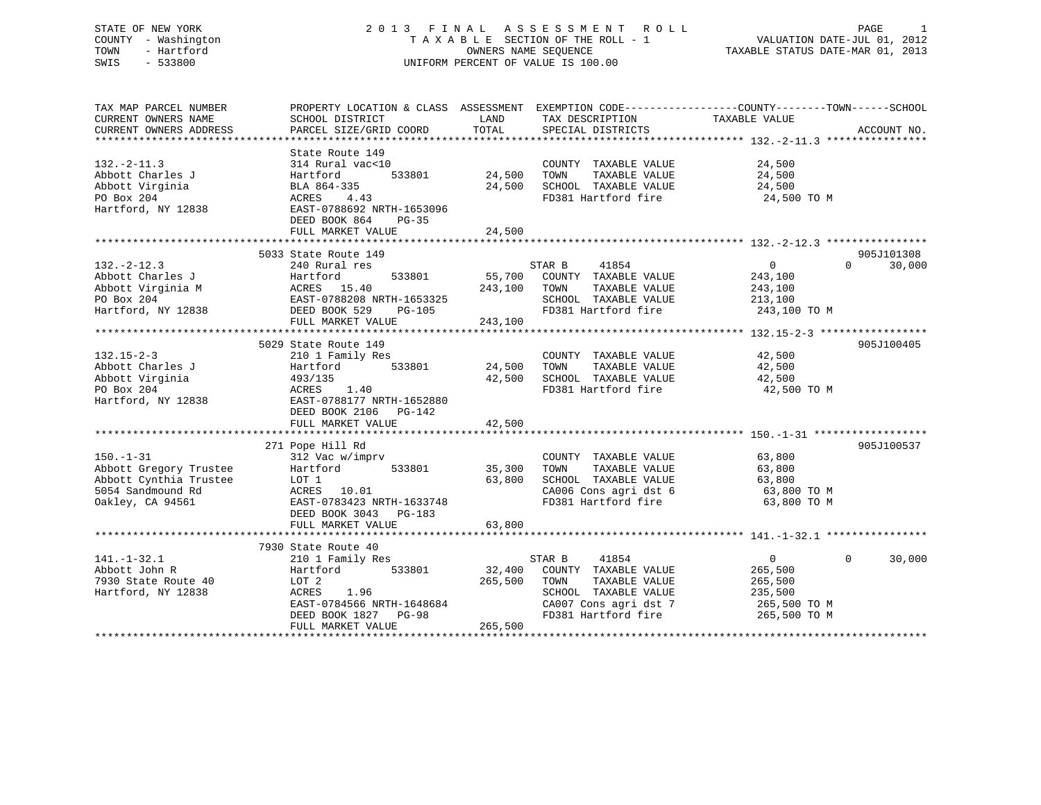# STATE OF NEW YORK 2 0 1 3 F I N A L A S S E S S M E N T R O L L PAGE 1 COUNTY - Washington T A X A B L E SECTION OF THE ROLL - 1 VALUATION DATE-JUL 01, 2012 TOWN - Hartford OWNERS NAME SEQUENCE TAXABLE STATUS DATE-MAR 01, 2013 SWIS - 533800 UNIFORM PERCENT OF VALUE IS 100.00

| TAX MAP PARCEL NUMBER<br>CURRENT OWNERS NAME<br>CURRENT OWNERS ADDRESS                                                                                                                                                                                                                                                                                                                                  | SCHOOL DISTRICT<br>PARCEL SIZE/GRID COORD                                                                                                                               | LAND<br>TOTAL                | TAX DESCRIPTION<br>SPECIAL DISTRICTS                                                                                                     | PROPERTY LOCATION & CLASS ASSESSMENT EXEMPTION CODE---------------COUNTY-------TOWN-----SCHOOL<br>TAXABLE VALUE | ACCOUNT NO.          |
|---------------------------------------------------------------------------------------------------------------------------------------------------------------------------------------------------------------------------------------------------------------------------------------------------------------------------------------------------------------------------------------------------------|-------------------------------------------------------------------------------------------------------------------------------------------------------------------------|------------------------------|------------------------------------------------------------------------------------------------------------------------------------------|-----------------------------------------------------------------------------------------------------------------|----------------------|
| $132. - 2 - 11.3$<br>Abbott Charles J<br>Abbott Virginia<br>PO Box 204<br>Hartford, NY 12838                                                                                                                                                                                                                                                                                                            | State Route 149<br>314 Rural vac<10<br>533801<br>Hartford<br>BLA 864-335<br>ACRES<br>4.43<br>EAST-0788692 NRTH-1653096<br>DEED BOOK 864<br>$PG-35$<br>FULL MARKET VALUE | 24,500<br>24,500<br>24,500   | COUNTY TAXABLE VALUE<br>TAXABLE VALUE<br>TOWN<br>SCHOOL TAXABLE VALUE<br>FD381 Hartford fire                                             | 24,500<br>24,500<br>24,500<br>24,500 TO M                                                                       |                      |
| 132.-2-12.3<br>Abbott Charles J<br>Abbott Virginia M<br>$\begin{array}{l} \text{AARTtora} \\ \text{Abbott Virginia M} \\ \text{ACRES} \\ \text{LAST}-0788208 \text{ NRTH}-1653325 \\ \text{DEED BOK 529} \\ \text{DEED BOK 529} \\ \text{DRED BOK 529} \\ \text{LST-TVATITE} \\ \text{LST} \\ \text{LST} \\ \text{LST} \\ \text{LST} \\ \text{LST} \\ \text{LST} \\ \text{LST} \\ \text{LST} \\ \text{$ | 5033 State Route 149                                                                                                                                                    | 55,700                       | 41854<br>STAR B<br>COUNTY TAXABLE VALUE<br>TOWN<br>TAXABLE VALUE<br>SCHOOL TAXABLE VALUE                                                 | $\Omega$<br>$\overline{0}$<br>243,100<br>243,100<br>213,100<br>FD381 Hartford fire 243,100 TO M                 | 905J101308<br>30,000 |
| $132.15 - 2 - 3$<br>Abbott Charles J<br>Abbott Virginia<br>PO Box 204<br>Hartford, NY 12838                                                                                                                                                                                                                                                                                                             | 5029 State Route 149<br>210 1 Family Res<br>533801<br>Hartford<br>493/135<br>1.40<br>ACRES<br>EAST-0788177 NRTH-1652880<br>DEED BOOK 2106 PG-142<br>FULL MARKET VALUE   | 24,500<br>42,500<br>42,500   | COUNTY TAXABLE VALUE<br>TOWN<br>TAXABLE VALUE<br>SCHOOL TAXABLE VALUE<br>FD381 Hartford fire                                             | 42,500<br>42,500<br>42,500<br>42,500 TO M                                                                       | 905J100405           |
| $150. - 1 - 31$<br>Abbott Gregory Trustee<br>Abbott Cynthia Trustee<br>5054 Sandmound Rd<br>Oakley, CA 94561                                                                                                                                                                                                                                                                                            | 271 Pope Hill Rd<br>312 Vac w/imprv<br>533801<br>Hartford<br>LOT 1<br>ACRES 10.01<br>EAST-0783423 NRTH-1633748<br>DEED BOOK 3043 PG-183<br>FULL MARKET VALUE            | 35,300<br>63,800<br>63,800   | COUNTY TAXABLE VALUE 63,800<br>TOWN<br>TAXABLE VALUE<br>SCHOOL TAXABLE VALUE<br>CA006 Cons agri dst 6<br>FD381 Hartford fire             | 63,800<br>63,800<br>63,800 TO M<br>63,800 TO M                                                                  | 905J100537           |
| $141. - 1 - 32.1$<br>Abbott John R<br>7930 State Route 40<br>Hartford, NY 12838                                                                                                                                                                                                                                                                                                                         | 7930 State Route 40<br>210 1 Family Res<br>533801<br>Hartford<br>LOT 2<br>ACRES 1.96<br>EAST-0784566 NRTH-1648684<br>DEED BOOK 1827 PG-98<br>FULL MARKET VALUE          | 32,400<br>265,500<br>265,500 | 41854<br>STAR B<br>COUNTY TAXABLE VALUE<br>TOWN<br>TAXABLE VALUE<br>SCHOOL TAXABLE VALUE<br>CA007 Cons agri dst 7<br>FD381 Hartford fire | $\overline{0}$<br>$\Omega$<br>265,500<br>265,500<br>235,500<br>265,500 TO M<br>265,500 TO M                     | 30,000               |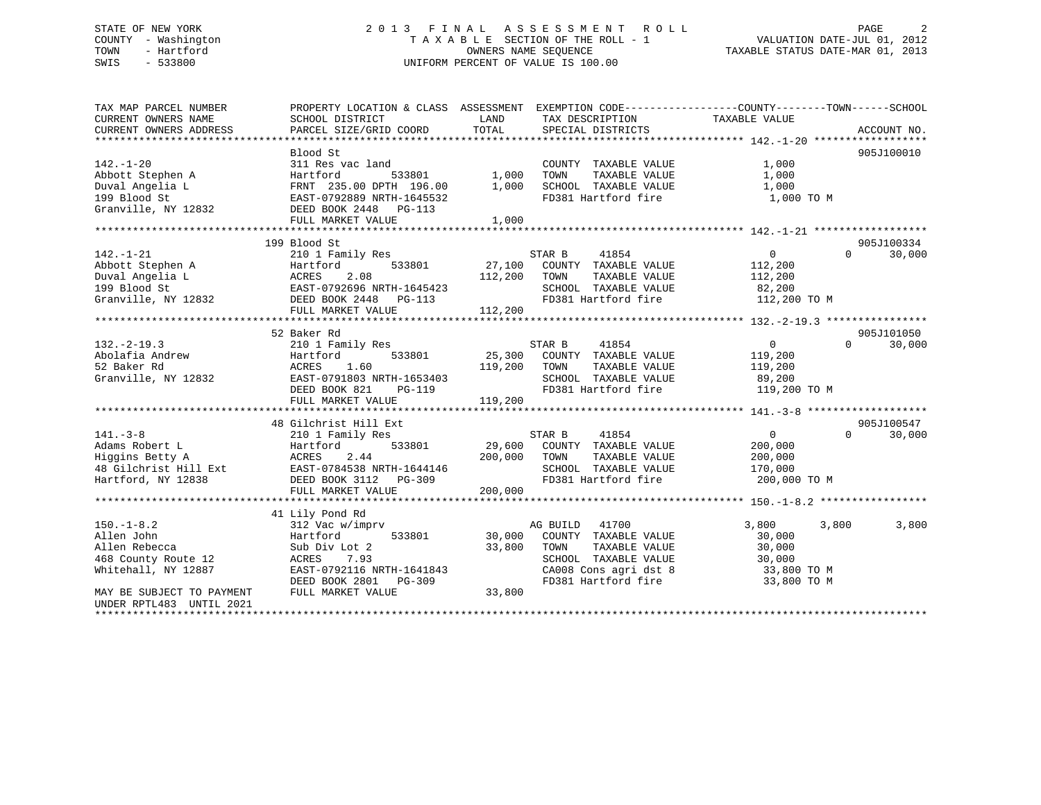# STATE OF NEW YORK 2 0 1 3 F I N A L A S S E S S M E N T R O L L PAGE 2 COUNTY - Washington T A X A B L E SECTION OF THE ROLL - 1 VALUATION DATE-JUL 01, 2012 TOWN - Hartford **TAXABLE STATUS DATE-MAR 01, 2013** OWNERS NAME SEQUENCE TAXABLE STATUS DATE-MAR 01, 2013 SWIS - 533800 UNIFORM PERCENT OF VALUE IS 100.00

| TAX MAP PARCEL NUMBER     | PROPERTY LOCATION & CLASS ASSESSMENT EXEMPTION CODE---------------COUNTY-------TOWN-----SCHOOL                                                        |              |                             |                        |                    |
|---------------------------|-------------------------------------------------------------------------------------------------------------------------------------------------------|--------------|-----------------------------|------------------------|--------------------|
| CURRENT OWNERS NAME       | SCHOOL DISTRICT                                                                                                                                       | LAND         | TAX DESCRIPTION             | TAXABLE VALUE          |                    |
| CURRENT OWNERS ADDRESS    | PARCEL SIZE/GRID COORD                                                                                                                                | TOTAL        | SPECIAL DISTRICTS           |                        | ACCOUNT NO.        |
|                           |                                                                                                                                                       |              |                             |                        |                    |
|                           | Blood St                                                                                                                                              |              |                             |                        | 905J100010         |
| $142. - 1 - 20$           | 311 Res vac land                                                                                                                                      |              | COUNTY TAXABLE VALUE        | 1,000                  |                    |
| Abbott Stephen A          | Hartford<br>533801                                                                                                                                    | 1,000        | TAXABLE VALUE<br>TOWN       | 1,000                  |                    |
| Duval Angelia L           | FRNT 235.00 DPTH 196.00                                                                                                                               | 1,000        | SCHOOL TAXABLE VALUE        | 1,000                  |                    |
| 199 Blood St              | EAST-0792889 NRTH-1645532                                                                                                                             |              | FD381 Hartford fire         | 1,000 TO M             |                    |
| Granville, NY 12832       | DEED BOOK 2448 PG-113                                                                                                                                 |              |                             |                        |                    |
|                           | FULL MARKET VALUE                                                                                                                                     | 1,000        |                             |                        |                    |
|                           |                                                                                                                                                       |              |                             |                        |                    |
|                           | 199 Blood St                                                                                                                                          |              |                             |                        | 905J100334         |
| $142. - 1 - 21$           | 210 1 Family Res                                                                                                                                      |              | STAR B<br>41854             | $\overline{0}$         | $\Omega$<br>30,000 |
|                           |                                                                                                                                                       |              | 27,100 COUNTY TAXABLE VALUE | 112,200                |                    |
|                           |                                                                                                                                                       | 112,200      | TOWN<br>TAXABLE VALUE       | 112,200                |                    |
|                           |                                                                                                                                                       |              | SCHOOL TAXABLE VALUE        | 82,200<br>112,200 TO M |                    |
|                           | Abbott Stephen A Martford 533801<br>Duval Angelia L ACRES 2.08<br>199 Blood St EAST-0792696 NRTH-1645423<br>Granville, NY 12832 DEED BOOK 2448 PG-113 |              | FD381 Hartford fire         |                        |                    |
|                           | FULL MARKET VALUE                                                                                                                                     | 112,200      |                             |                        |                    |
|                           |                                                                                                                                                       |              |                             |                        |                    |
|                           | 52 Baker Rd                                                                                                                                           |              |                             |                        | 905J101050         |
| $132. - 2 - 19.3$         | 210 1 Family Res                                                                                                                                      |              | STAR B<br>41854             | $\overline{0}$         | $\Omega$<br>30,000 |
| Abolafia Andrew           | 533801<br>Hartford                                                                                                                                    |              | 25,300 COUNTY TAXABLE VALUE | 119,200                |                    |
| 52 Baker Rd               | 1.60<br>ACRES                                                                                                                                         | 119,200      | TAXABLE VALUE<br>TOWN       | 119,200                |                    |
| Granville, NY 12832       | EAST-0791803 NRTH-1653403                                                                                                                             |              | SCHOOL TAXABLE VALUE        | 89,200                 |                    |
|                           | DEED BOOK 821<br>PG-119                                                                                                                               |              | FD381 Hartford fire         | 119,200 TO M           |                    |
|                           | FULL MARKET VALUE                                                                                                                                     | 119,200      |                             |                        |                    |
|                           |                                                                                                                                                       |              |                             |                        |                    |
|                           | 48 Gilchrist Hill Ext                                                                                                                                 |              |                             |                        | 905J100547         |
| $141. - 3 - 8$            | 210 1 Family Res                                                                                                                                      |              | 41854<br>STAR B             | $\overline{0}$         | $\Omega$<br>30,000 |
| Adams Robert L            | 533801<br>Hartford                                                                                                                                    |              | 29,600 COUNTY TAXABLE VALUE | 200,000                |                    |
| Higgins Betty A           | ACRES<br>2.44                                                                                                                                         | 200,000 TOWN | TAXABLE VALUE               | 200,000                |                    |
|                           | 48 Gilchrist Hill Ext EAST-0784538 NRTH-1644146                                                                                                       |              | SCHOOL TAXABLE VALUE        | 170,000                |                    |
| Hartford, NY 12838        | DEED BOOK 3112 PG-309                                                                                                                                 |              | FD381 Hartford fire         | 200,000 TO M           |                    |
|                           | FULL MARKET VALUE                                                                                                                                     | 200,000      |                             |                        |                    |
|                           |                                                                                                                                                       |              |                             |                        |                    |
|                           | 41 Lily Pond Rd                                                                                                                                       |              |                             |                        |                    |
| $150. - 1 - 8.2$          | 312 Vac w/imprv                                                                                                                                       |              | AG BUILD<br>41700           | 3,800<br>3,800         | 3,800              |
| Allen John                | 533801<br>Hartford                                                                                                                                    | 30,000       | COUNTY TAXABLE VALUE        | 30,000                 |                    |
| Allen Rebecca             | Sub Div Lot 2                                                                                                                                         | 33,800       | TAXABLE VALUE<br>TOWN       | 30,000                 |                    |
| 468 County Route 12       | 7.93<br>ACRES                                                                                                                                         |              | SCHOOL TAXABLE VALUE        | 30,000                 |                    |
| Whitehall, NY 12887       | EAST-0792116 NRTH-1641843                                                                                                                             |              | CA008 Cons agri dst 8       | 33,800 TO M            |                    |
|                           | DEED BOOK 2801<br>PG-309                                                                                                                              |              | FD381 Hartford fire         | 33,800 TO M            |                    |
| MAY BE SUBJECT TO PAYMENT | FULL MARKET VALUE                                                                                                                                     | 33,800       |                             |                        |                    |
| UNDER RPTL483 UNTIL 2021  |                                                                                                                                                       |              |                             |                        |                    |
|                           |                                                                                                                                                       |              |                             |                        |                    |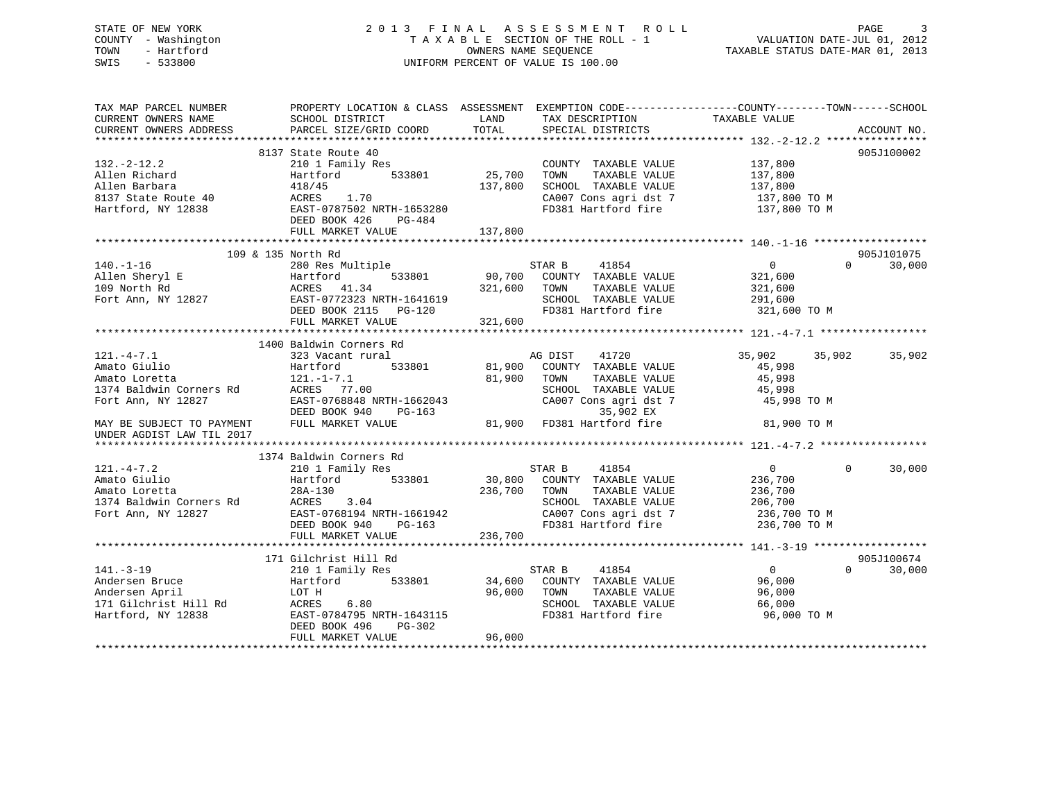| STATE OF NEW YORK<br>- Washington<br>COUNTY<br>- Hartford<br>TOWN<br>SWIS<br>$-533800$ |                                                 |         | 2013 FINAL ASSESSMENT ROLL<br>TAXABLE SECTION OF THE ROLL - 1<br>OWNERS NAME SEQUENCE<br>UNIFORM PERCENT OF VALUE IS 100.00 | VALUATION DATE-JUL 01, 2012<br>TAXABLE STATUS DATE-MAR 01, 2013 | $\sim$ 3<br>PAGE                          |
|----------------------------------------------------------------------------------------|-------------------------------------------------|---------|-----------------------------------------------------------------------------------------------------------------------------|-----------------------------------------------------------------|-------------------------------------------|
| TAX MAP PARCEL NUMBER                                                                  | PROPERTY LOCATION & CLASS ASSESSMENT            |         | EXEMPTION CODE-----------------COUNTY-------TOWN------SCHOOL                                                                |                                                                 |                                           |
| CURRENT OWNERS NAME                                                                    | SCHOOL DISTRICT                                 | LAND    | TAX DESCRIPTION                                                                                                             | TAXABLE VALUE                                                   |                                           |
| CURRENT OWNERS ADDRESS                                                                 | PARCEL SIZE/GRID COORD TOTAL SPECIAL DISTRICTS  |         |                                                                                                                             |                                                                 | ACCOUNT NO.                               |
|                                                                                        |                                                 |         |                                                                                                                             |                                                                 |                                           |
|                                                                                        | 8137 State Route 40                             |         |                                                                                                                             |                                                                 | 905J100002                                |
| $132 - 2 - 12.2$                                                                       | 210 1 Family Res                                |         | COUNTY<br>TAXABLE VALUE                                                                                                     | 137,800                                                         |                                           |
| Allen Richard                                                                          | Hartford<br>533801                              | 25,700  | TOWN<br>TAXABLE VALUE                                                                                                       | 137,800                                                         |                                           |
| Allen Barbara                                                                          | 418/45                                          | 137,800 | SCHOOL TAXABLE VALUE                                                                                                        | 137,800                                                         |                                           |
| 8137 State Route 40                                                                    | ACRES 1.70                                      |         | CA007 Cons agri dst 7                                                                                                       | 137,800 TO M                                                    |                                           |
| Hartford, NY 12838                                                                     | EAST-0787502 NRTH-1653280                       |         | FD381 Hartford fire                                                                                                         | 137,800 TO M                                                    |                                           |
|                                                                                        | DEED BOOK 426 PG-484                            |         |                                                                                                                             |                                                                 |                                           |
|                                                                                        | FULL MARKET VALUE                               | 137,800 |                                                                                                                             |                                                                 |                                           |
|                                                                                        |                                                 |         |                                                                                                                             |                                                                 |                                           |
| 109 & 135 North Rd                                                                     |                                                 |         |                                                                                                                             |                                                                 | 905J101075                                |
| $140 - 17$                                                                             | $200 \text{ Pa} \approx 1.1 \pm 1.1 \times 1.0$ |         | $OMAD$ $D$ $A10FA$                                                                                                          |                                                                 | $\sim$ $\sim$ $\sim$ $\sim$ $\sim$ $\sim$ |

|                                                                                 | 109 & 135 North Rd                          |                                                    |                               | 905J101075 |
|---------------------------------------------------------------------------------|---------------------------------------------|----------------------------------------------------|-------------------------------|------------|
|                                                                                 |                                             | 41854<br>STAR B                                    | $\overline{0}$<br>$\Omega$    | 30,000     |
|                                                                                 |                                             | 533801 90,700 COUNTY TAXABLE VALUE                 | 321,600                       |            |
|                                                                                 | 321,600                                     | TOWN<br>TAXABLE VALUE                              | 321,600                       |            |
|                                                                                 |                                             | SCHOOL TAXABLE VALUE                               | 291,600                       |            |
|                                                                                 | DEED BOOK 2115 PG-120                       | FD381 Hartford fire 321,600 TO M                   |                               |            |
|                                                                                 | FULL MARKET VALUE                           | 321,600                                            |                               |            |
|                                                                                 |                                             |                                                    |                               |            |
|                                                                                 | 1400 Baldwin Corners Rd                     |                                                    |                               |            |
| $121. -4 - 7.1$                                                                 | 323 Vacant rural                            | AG DIST 41720                                      | 35,902 35,902                 | 35,902     |
| Amato Giulio                                                                    |                                             | Hartford 533801 81,900 COUNTY TAXABLE VALUE        | 45,998                        |            |
|                                                                                 |                                             | 81,900<br>TOWN<br>TAXABLE VALUE                    | 45,998                        |            |
| Amato Sidilo<br>Amato Loretta 121.-1-7.1<br>1374 Baldwin Corners Rd ACRES 77.00 |                                             | SCHOOL TAXABLE VALUE 45,998                        |                               |            |
| Fort Ann, NY 12827                                                              | RO ACRES 77.00<br>EAST-0768848 NRTH-1662043 | CA007 Cons agri dst 7                              | 45,998 TO M                   |            |
|                                                                                 | DEED BOOK 940                               |                                                    |                               |            |
| MAY BE SUBJECT TO PAYMENT                                                       | FULL MARKET VALUE                           | PG-163 35,902 EX<br>LUE 81,900 FD381 Hartford fire | 81,900 TO M                   |            |
| UNDER AGDIST LAW TIL 2017                                                       |                                             |                                                    |                               |            |
|                                                                                 |                                             |                                                    |                               |            |
|                                                                                 | 1374 Baldwin Corners Rd                     |                                                    |                               |            |
| $121. -4 - 7.2$                                                                 | 210 1 Family Res                            | 41854<br>STAR B                                    | $0 \qquad \qquad$<br>$\Omega$ | 30,000     |
| Amato Giulio                                                                    | Hartford                                    | 533801 30,800 COUNTY TAXABLE VALUE                 | 236,700                       |            |
| Amato Loretta                                                                   |                                             | 236,700<br>TAXABLE VALUE<br>TOWN                   | 236,700                       |            |
| 1374 Baldwin Corners Rd                                                         |                                             | SCHOOL TAXABLE VALUE                               | 206,700                       |            |
| Fort Ann, NY 12827                                                              | EAST-0768194 NRTH-1661942                   | CA007 Cons agri dst 7 236,700 TO M                 |                               |            |
|                                                                                 | DEED BOOK 940<br>$PG-163$                   | FD381 Hartford fire 236,700 TO M                   |                               |            |
|                                                                                 | FULL MARKET VALUE                           | 236,700                                            |                               |            |
|                                                                                 |                                             |                                                    |                               |            |
|                                                                                 | 171 Gilchrist Hill Rd                       |                                                    |                               | 905J100674 |
| $141. - 3 - 19$                                                                 | 210 1 Family Res                            | STAR B<br>41854                                    | $\overline{0}$<br>$\Omega$    | 30,000     |
| Andersen Bruce                                                                  | Hartford                                    | 533801 34,600 COUNTY TAXABLE VALUE 96,000          |                               |            |
| Andersen April                                                                  | LOT H                                       | 96,000<br>TOWN<br>TAXABLE VALUE                    | 96,000                        |            |
| 171 Gilchrist Hill Rd                                                           | ACRES 6.80                                  | SCHOOL TAXABLE VALUE                               | 66,000                        |            |
| Hartford, NY 12838                                                              | EAST-0784795 NRTH-1643115                   | FD381 Hartford fire                                | 96,000 TO M                   |            |
|                                                                                 | DEED BOOK 496<br>PG-302                     |                                                    |                               |            |
|                                                                                 | FULL MARKET VALUE                           | 96,000                                             |                               |            |
|                                                                                 |                                             |                                                    |                               |            |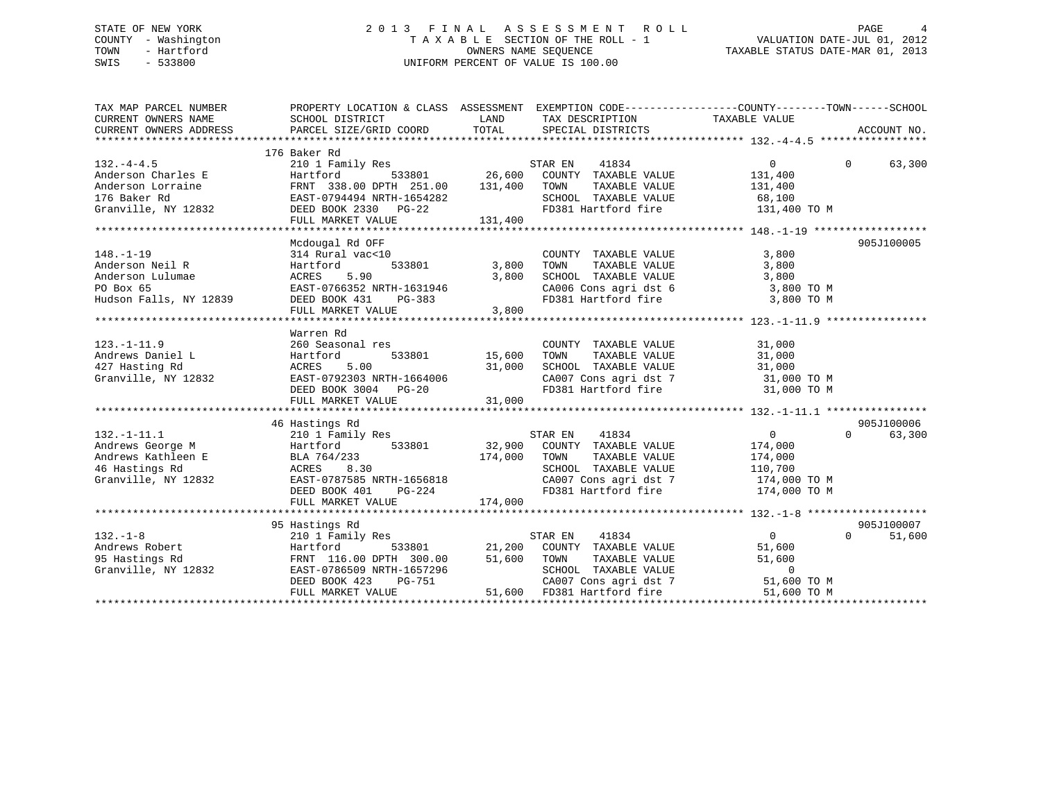# STATE OF NEW YORK 2 0 1 3 F I N A L A S S E S S M E N T R O L L PAGE 4 COUNTY - Washington T A X A B L E SECTION OF THE ROLL - 1 VALUATION DATE-JUL 01, 2012 STATE OF NEW YORK MOTOR CONTROLLER AND LOCAL AGAIN AND A COUNTROLL - IN A LOCAL COUNTROLLER OF MALUATION DATE-JUL 01, 2012<br>COUNTY - Washington<br>TOWN - Hartford CWNERS NAME SEQUENCE TOWN TAXABLE STATUS DATE-MAR 01, 2013 SWIS - 533800 UNIFORM PERCENT OF VALUE IS 100.00

TAX MAP PARCEL NUMBER PROPERTY LOCATION & CLASS ASSESSMENT EXEMPTION CODE------------------COUNTY--------TOWN------SCHOOL CURRENT OWNERS NAME SCHOOL DISTRICT LAND TAX DESCRIPTION TAXABLE VALUE CURRENT OWNERS ADDRESS PARCEL SIZE/GRID COORD TOTAL SPECIAL DISTRICTS ACCOUNT NO. \*\*\*\*\*\*\*\*\*\*\*\*\*\*\*\*\*\*\*\*\*\*\*\*\*\*\*\*\*\*\*\*\*\*\*\*\*\*\*\*\*\*\*\*\*\*\*\*\*\*\*\*\*\*\*\*\*\*\*\*\*\*\*\*\*\*\*\*\*\*\*\*\*\*\*\*\*\*\*\*\*\*\*\*\*\*\*\*\*\*\*\*\*\*\*\*\*\*\*\*\*\*\* 132.-4-4.5 \*\*\*\*\*\*\*\*\*\*\*\*\*\*\*\*\* 176 Baker Rd 132.-4-4.5 210 1 Family Res STAR EN 41834 0 0 63,300 Anderson Charles E Hartford 533801 26,600 COUNTY TAXABLE VALUE 131,400 Anderson Lorraine FRNT 338.00 DPTH 251.00 131,400 TOWN TAXABLE VALUE 131,400 176 Baker Rd EAST-0794494 NRTH-1654282 SCHOOL TAXABLE VALUE 68,100 Granville, NY 12832 DEED BOOK 2330 PG-22 FD381 Hartford fire 131,400 TO M The Baker Rd<br>Granville, NY 12832 DEED BOOK 2330 PG-22<br>FULL MARKET VALUE 131,400 \*\*\*\*\*\*\*\*\*\*\*\*\*\*\*\*\*\*\*\*\*\*\*\*\*\*\*\*\*\*\*\*\*\*\*\*\*\*\*\*\*\*\*\*\*\*\*\*\*\*\*\*\*\*\*\*\*\*\*\*\*\*\*\*\*\*\*\*\*\*\*\*\*\*\*\*\*\*\*\*\*\*\*\*\*\*\*\*\*\*\*\*\*\*\*\*\*\*\*\*\*\*\* 148.-1-19 \*\*\*\*\*\*\*\*\*\*\*\*\*\*\*\*\*\* Mcdougal Rd OFF 905J100005 148.-1-19 314 Rural vac<10 COUNTY TAXABLE VALUE 3,800 Anderson Neil R Hartford 533801 3,800 TOWN TAXABLE VALUE 3,800 Anderson Lulumae ACRES 5.90 3,800 SCHOOL TAXABLE VALUE 3,800 PO Box 65 EAST-0766352 NRTH-1631946 CA006 Cons agri dst 6 3,800 TO M Hudson Falls, NY 12839 DEED BOOK 431 PG-383 FD381 Hartford fire 3,800 TO M FULL MARKET VALUE 3,800 \*\*\*\*\*\*\*\*\*\*\*\*\*\*\*\*\*\*\*\*\*\*\*\*\*\*\*\*\*\*\*\*\*\*\*\*\*\*\*\*\*\*\*\*\*\*\*\*\*\*\*\*\*\*\*\*\*\*\*\*\*\*\*\*\*\*\*\*\*\*\*\*\*\*\*\*\*\*\*\*\*\*\*\*\*\*\*\*\*\*\*\*\*\*\*\*\*\*\*\*\*\*\* 123.-1-11.9 \*\*\*\*\*\*\*\*\*\*\*\*\*\*\*\* Warren Rd 123.-1-11.9 260 Seasonal res COUNTY TAXABLE VALUE 31,000 Andrews Daniel L Hartford 533801 15,600 TOWN TAXABLE VALUE 31,000 427 Hasting Rd ACRES 5.00 31,000 SCHOOL TAXABLE VALUE 31,000 Granville, NY 12832 EAST-0792303 NRTH-1664006 CA007 Cons agri dst 7 31,000 TO M DEED BOOK 3004 PG-20 FD381 Hartford fire 31,000 TO M DEED BOOK 3004 PG-20<br>FULL MARKET VALUE 31,000 \*\*\*\*\*\*\*\*\*\*\*\*\*\*\*\*\*\*\*\*\*\*\*\*\*\*\*\*\*\*\*\*\*\*\*\*\*\*\*\*\*\*\*\*\*\*\*\*\*\*\*\*\*\*\*\*\*\*\*\*\*\*\*\*\*\*\*\*\*\*\*\*\*\*\*\*\*\*\*\*\*\*\*\*\*\*\*\*\*\*\*\*\*\*\*\*\*\*\*\*\*\*\* 132.-1-11.1 \*\*\*\*\*\*\*\*\*\*\*\*\*\*\*\* 46 Hastings Rd 905J100006 132.-1-11.1 210 1 Family Res STAR EN 41834 0 0 63,300 Andrews George M Hartford 533801 32,900 COUNTY TAXABLE VALUE 174,000 Andrews Kathleen E BLA 764/233 174,000 TOWN TAXABLE VALUE 174,000 46 Hastings Rd ACRES 8.30 SCHOOL TAXABLE VALUE 110,700 Granville, NY 12832 EAST-0787585 NRTH-1656818 CA007 Cons agri dst 7 174,000 TO M DEED BOOK 401 PG-224 FD381 Hartford fire 174,000 TO M FULL MARKET VALUE 174,000 \*\*\*\*\*\*\*\*\*\*\*\*\*\*\*\*\*\*\*\*\*\*\*\*\*\*\*\*\*\*\*\*\*\*\*\*\*\*\*\*\*\*\*\*\*\*\*\*\*\*\*\*\*\*\*\*\*\*\*\*\*\*\*\*\*\*\*\*\*\*\*\*\*\*\*\*\*\*\*\*\*\*\*\*\*\*\*\*\*\*\*\*\*\*\*\*\*\*\*\*\*\*\* 132.-1-8 \*\*\*\*\*\*\*\*\*\*\*\*\*\*\*\*\*\*\* 95 Hastings Rd 905J100007 132.-1-8 210 1 Family Res STAR EN 41834 0 51,600 Andrews Robert Hartford 533801 21,200 COUNTY TAXABLE VALUE 51,600 95 Hastings Rd FRNT 116.00 DPTH 300.00 51,600 TOWN TAXABLE VALUE 51,600 Granville, NY 12832 EAST-0786509 NRTH-1657296 SCHOOL TAXABLE VALUE 0<br>DEED BOOK 423 PG-751 CA007 Cons agri dst 7 51,600 DEED BOOK 423 PG-751 CA007 Cons agri dst 7 51,600 TO M FULL MARKET VALUE 51,600 FD381 Hartford fire 51,600 TO M \*\*\*\*\*\*\*\*\*\*\*\*\*\*\*\*\*\*\*\*\*\*\*\*\*\*\*\*\*\*\*\*\*\*\*\*\*\*\*\*\*\*\*\*\*\*\*\*\*\*\*\*\*\*\*\*\*\*\*\*\*\*\*\*\*\*\*\*\*\*\*\*\*\*\*\*\*\*\*\*\*\*\*\*\*\*\*\*\*\*\*\*\*\*\*\*\*\*\*\*\*\*\*\*\*\*\*\*\*\*\*\*\*\*\*\*\*\*\*\*\*\*\*\*\*\*\*\*\*\*\*\*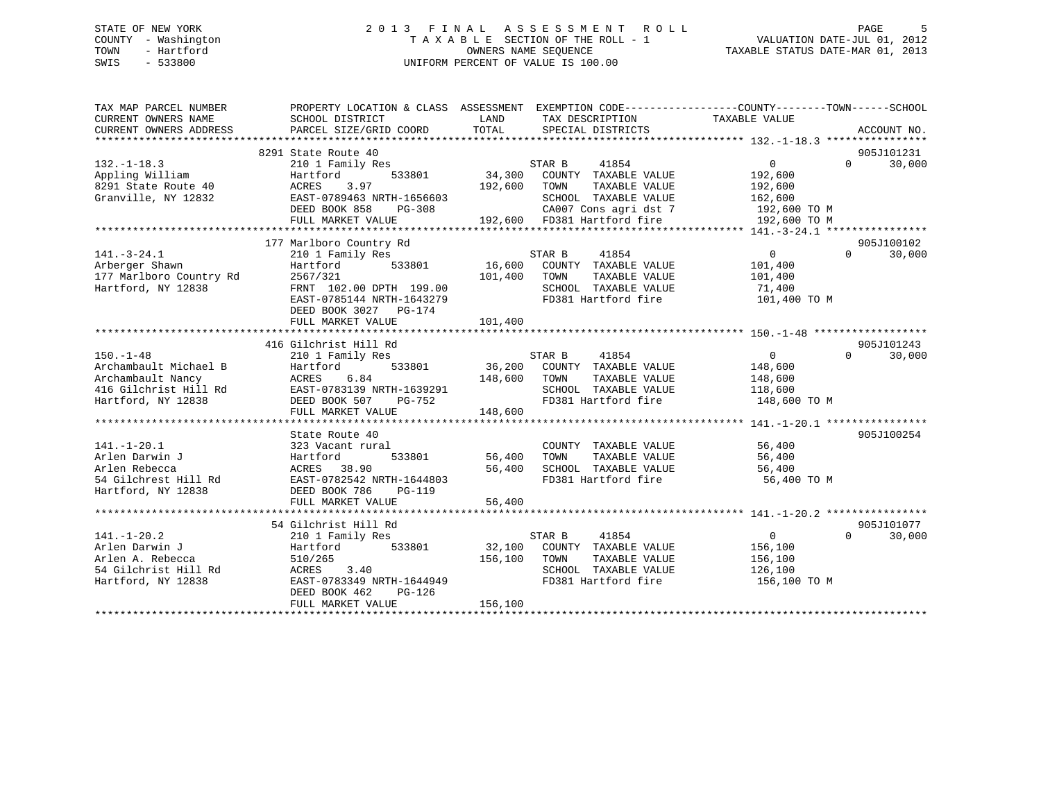# STATE OF NEW YORK 2 0 1 3 F I N A L A S S E S S M E N T R O L L PAGE 5 COUNTY - Washington T A X A B L E SECTION OF THE ROLL - 1 VALUATION DATE-JUL 01, 2012 TOWN - Hartford **TAXABLE STATUS DATE-MAR 01, 2013** OWNERS NAME SEQUENCE TAXABLE STATUS DATE-MAR 01, 2013 SWIS - 533800 UNIFORM PERCENT OF VALUE IS 100.00

| TAX MAP PARCEL NUMBER<br>CURRENT OWNERS NAME<br>CURRENT OWNERS ADDRESS                                       | PROPERTY LOCATION & CLASS ASSESSMENT<br>SCHOOL DISTRICT<br>PARCEL SIZE/GRID COORD                                                                             | LAND<br>TOTAL      | EXEMPTION CODE-----------------COUNTY--------TOWN------SCHOOL<br>TAX DESCRIPTION<br>SPECIAL DISTRICTS                  | TAXABLE VALUE                                                  | ACCOUNT NO.                      |
|--------------------------------------------------------------------------------------------------------------|---------------------------------------------------------------------------------------------------------------------------------------------------------------|--------------------|------------------------------------------------------------------------------------------------------------------------|----------------------------------------------------------------|----------------------------------|
|                                                                                                              | 8291 State Route 40                                                                                                                                           |                    |                                                                                                                        |                                                                | 905J101231                       |
| $132. - 1 - 18.3$<br>Appling William<br>8291 State Route 40<br>Granville, NY 12832                           | 210 1 Family Res<br>Hartford<br>533801<br>ACRES<br>3.97<br>EAST-0789463 NRTH-1656603<br>DEED BOOK 858<br>PG-308                                               | 34,300<br>192,600  | STAR B<br>41854<br>COUNTY TAXABLE VALUE<br>TOWN<br>TAXABLE VALUE<br>SCHOOL TAXABLE VALUE<br>CA007 Cons agri dst 7      | $\Omega$<br>192,600<br>192,600<br>162,600<br>192,600 TO M      | 30,000<br>$\Omega$               |
|                                                                                                              | FULL MARKET VALUE                                                                                                                                             |                    | 192,600 FD381 Hartford fire                                                                                            | 192,600 TO M                                                   |                                  |
|                                                                                                              | 177 Marlboro Country Rd                                                                                                                                       |                    |                                                                                                                        |                                                                | 905J100102                       |
| $141. - 3 - 24.1$<br>Arberger Shawn<br>177 Marlboro Country Rd<br>Hartford, NY 12838                         | 210 1 Family Res<br>533801<br>Hartford<br>2567/321<br>FRNT 102.00 DPTH 199.00<br>EAST-0785144 NRTH-1643279<br>DEED BOOK 3027 PG-174<br>FULL MARKET VALUE      | 101,400<br>101,400 | STAR B<br>41854<br>16,600 COUNTY TAXABLE VALUE<br>TOWN<br>TAXABLE VALUE<br>SCHOOL TAXABLE VALUE<br>FD381 Hartford fire | $\overline{0}$<br>101,400<br>101,400<br>71,400<br>101,400 TO M | $\Omega$<br>30,000               |
|                                                                                                              |                                                                                                                                                               |                    |                                                                                                                        |                                                                |                                  |
| $150. - 1 - 48$<br>Archambault Michael B<br>Archambault Nancy<br>416 Gilchrist Hill Rd<br>Hartford, NY 12838 | 416 Gilchrist Hill Rd<br>210 1 Family Res<br>533801<br>Hartford<br>6.84<br>ACRES<br>EAST-0783139 NRTH-1639291<br>DEED BOOK 507<br>PG-752<br>FULL MARKET VALUE | 148,600<br>148,600 | STAR B<br>41854<br>36,200 COUNTY TAXABLE VALUE<br>TOWN<br>TAXABLE VALUE<br>SCHOOL TAXABLE VALUE<br>FD381 Hartford fire | 0<br>148,600<br>148,600<br>118,600<br>148,600 TO M             | 905J101243<br>30,000<br>$\Omega$ |
|                                                                                                              | State Route 40                                                                                                                                                |                    |                                                                                                                        |                                                                | 905J100254                       |
| $141. - 1 - 20.1$<br>Arlen Darwin J<br>Arlen Rebecca<br>54 Gilchrest Hill Rd<br>Hartford, NY 12838           | 323 Vacant rural<br>533801<br>Hartford<br>ACRES 38.90<br>EAST-0782542 NRTH-1644803<br>DEED BOOK 786<br><b>PG-119</b>                                          | 56,400<br>56,400   | COUNTY TAXABLE VALUE<br>TOWN<br>TAXABLE VALUE<br>SCHOOL TAXABLE VALUE<br>FD381 Hartford fire                           | 56,400<br>56,400<br>56,400<br>56,400 TO M                      |                                  |
|                                                                                                              | FULL MARKET VALUE                                                                                                                                             | 56,400             |                                                                                                                        |                                                                |                                  |
|                                                                                                              | 54 Gilchrist Hill Rd                                                                                                                                          |                    |                                                                                                                        |                                                                | 905J101077                       |
| $141. - 1 - 20.2$<br>Arlen Darwin J<br>Arlen A. Rebecca<br>54 Gilchrist Hill Rd<br>Hartford, NY 12838        | 210 1 Family Res<br>533801<br>Hartford<br>510/265<br>ACRES<br>3.40<br>EAST-0783349 NRTH-1644949<br>DEED BOOK 462<br>PG-126<br>FULL MARKET VALUE               | 156,100<br>156,100 | STAR B<br>41854<br>32,100 COUNTY TAXABLE VALUE<br>TOWN<br>TAXABLE VALUE<br>SCHOOL TAXABLE VALUE<br>FD381 Hartford fire | $\Omega$<br>156,100<br>156,100<br>126,100<br>156,100 TO M      | 30,000<br>$\Omega$               |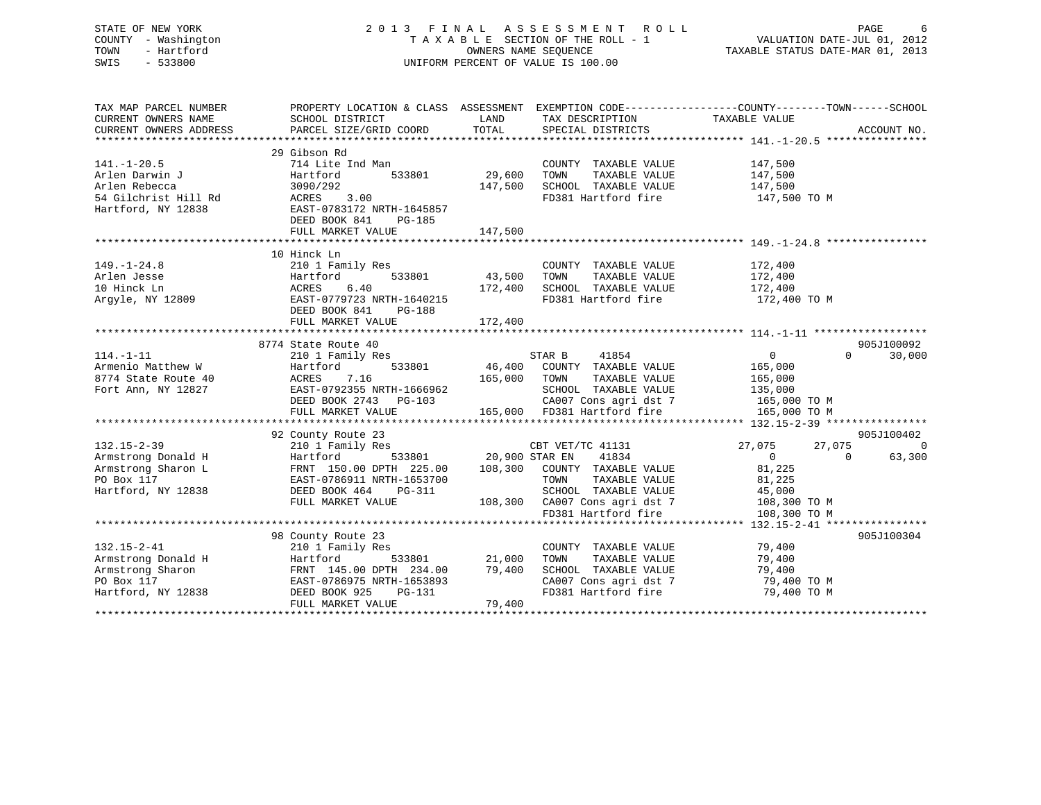| STATE OF NEW YORK<br>COUNTY - Washington<br>TOWN<br>- Hartford<br>SWIS<br>$-533800$                |                                                                                                                                                                                                                                                           |                               | 2013 FINAL ASSESSMENT ROLL<br>UNIFORM PERCENT OF VALUE IS 100.00                                                                                                       | FINAL ASSESSMENT ROLL<br>TAXABLE SECTION OF THE ROLL - 1 VALUATION DATE-JUL 01, 2012<br>OWNERS NAME SEQUENCE TAXABLE STATUS DATE-MAR 01, 2013 |                              |
|----------------------------------------------------------------------------------------------------|-----------------------------------------------------------------------------------------------------------------------------------------------------------------------------------------------------------------------------------------------------------|-------------------------------|------------------------------------------------------------------------------------------------------------------------------------------------------------------------|-----------------------------------------------------------------------------------------------------------------------------------------------|------------------------------|
| TAX MAP PARCEL NUMBER<br>CURRENT OWNERS NAME<br>CURRENT OWNERS ADDRESS                             | PROPERTY LOCATION & CLASS ASSESSMENT EXEMPTION CODE----------------COUNTY-------TOWN------SCHOOL<br>SCHOOL DISTRICT<br>CURRENT OWNERS ADDRESS FORCEL SIZE/GRID COORD TOTAL SPECIAL DISTRICTS MANUS AND ACCOUNT NO.<br>TOTAL SPECIAL DISTRICTS ACCOUNT NO. |                               | LAND TAX DESCRIPTION                                                                                                                                                   | TAXABLE VALUE                                                                                                                                 |                              |
|                                                                                                    |                                                                                                                                                                                                                                                           |                               |                                                                                                                                                                        |                                                                                                                                               |                              |
| $141. - 1 - 20.5$<br>Arlen Darwin J<br>Arlen Rebecca<br>54 Gilchrist Hill Rd<br>Hartford, NY 12838 | 29 Gibson Rd<br>714 Lite Ind Man<br>Hartford<br>3090/292<br>3.00<br>ACRES<br>EAST-0783172 NRTH-1645857<br>DEED BOOK 841 PG-185<br>FULL MARKET VALUE                                                                                                       | 533801 29,600 TOWN<br>147,500 | COUNTY TAXABLE VALUE 147,500<br>TAXABLE VALUE<br>147,500 SCHOOL TAXABLE VALUE<br>FD381 Hartford fire                                                                   | 147,500<br>147,500<br>147,500 TO M                                                                                                            |                              |
|                                                                                                    |                                                                                                                                                                                                                                                           |                               |                                                                                                                                                                        |                                                                                                                                               |                              |
| $149. - 1 - 24.8$<br>Arlen Jesse<br>10 Hinck Ln<br>Argyle, NY 12809                                | 10 Hinck Ln<br>210 1 Family Res<br>Hartford<br>ACRES<br>6.40<br>EAST-0779723 NRTH-1640215<br>DEED BOOK 841<br>PG-188<br>FULL MARKET VALUE                                                                                                                 | 533801 43,500 TOWN<br>172,400 | COUNTY TAXABLE VALUE<br>TAXABLE VALUE<br>172,400 SCHOOL TAXABLE VALUE<br>FD381 Hartford fire<br>FD381 Hartford fire                                                    | 172,400<br>172,400<br>172,400<br>172,400 TO M                                                                                                 |                              |
|                                                                                                    | 8774 State Route 40                                                                                                                                                                                                                                       |                               |                                                                                                                                                                        |                                                                                                                                               | 905J100092                   |
| $114. - 1 - 11$<br>Armenio Matthew W<br>8774 State Route 40<br>Fort Ann, NY 12827                  | 210 1 Family Res<br>Hartford<br>ACRES<br>7.16<br>EAST-0792355 NRTH-1666962<br>DEED BOOK 2743 PG-103<br>FULL MARKET VALUE                                                                                                                                  |                               | STAR B<br>41854<br>533801 46,400 COUNTY TAXABLE VALUE<br>165,000 TOWN<br>TAXABLE VALUE<br>SCHOOL TAXABLE VALUE<br>CA007 Cons agri dst 7<br>165,000 FD381 Hartford fire | $\Omega$<br>0<br>165,000<br>165,000<br>135,000<br>165,000 TO M<br>165,000 TO M                                                                | 30,000                       |
|                                                                                                    |                                                                                                                                                                                                                                                           |                               |                                                                                                                                                                        |                                                                                                                                               |                              |
| $132.15 - 2 - 39$                                                                                  | 92 County Route 23<br>210 1 Family Res                                                                                                                                                                                                                    |                               | CBT VET/TC 41131                                                                                                                                                       | 27,075<br>27,075                                                                                                                              | 905J100402<br>$\overline{0}$ |
| Armstrong Donald H<br>Armstrong Sharon L<br>PO Box 117<br>Hartford, NY 12838                       | Hartford<br>HALCLUI - 150.00 DPTH 225.00 108,300 COUNTY TAXABLE VALUE<br>FRNT 150.00 DPTH 225.00 108,300 COUNTY TAXABLE VALUE<br>DEED BOOK 464<br>PG-311<br>FULL MARKET VALUE                                                                             | 533801 20,900 STAR EN         | 41834<br>SCHOOL TAXABLE VALUE<br>108,300 CA007 Cons agri dst 7 108,300 TO M<br>FD381 Hartford fire 108 300 TO M<br>FD381 Hartford fire                                 | $\Omega$<br>$\Omega$<br>81,225<br>81,225<br>45,000<br>108,300 TO M                                                                            | 63,300                       |
|                                                                                                    |                                                                                                                                                                                                                                                           |                               |                                                                                                                                                                        |                                                                                                                                               |                              |

|                    | 98 County Route 23        |        |                         | 905J100304  |  |
|--------------------|---------------------------|--------|-------------------------|-------------|--|
| $132.15 - 2 - 41$  | 210 1 Family Res          |        | TAXABLE VALUE<br>COUNTY | 79,400      |  |
| Armstrong Donald H | Hartford<br>533801        | 21,000 | TOWN<br>TAXABLE VALUE   | 79,400      |  |
| Armstrong Sharon   | FRNT 145.00 DPTH 234.00   | 79,400 | SCHOOL TAXABLE VALUE    | 79,400      |  |
| PO Box 117         | EAST-0786975 NRTH-1653893 |        | CA007 Cons agri dst 7   | 79,400 TO M |  |
| Hartford, NY 12838 | DEED BOOK 925 PG-131      |        | FD381 Hartford fire     | 79,400 TO M |  |
|                    | FULL MARKET VALUE         | 79,400 |                         |             |  |
|                    |                           |        |                         |             |  |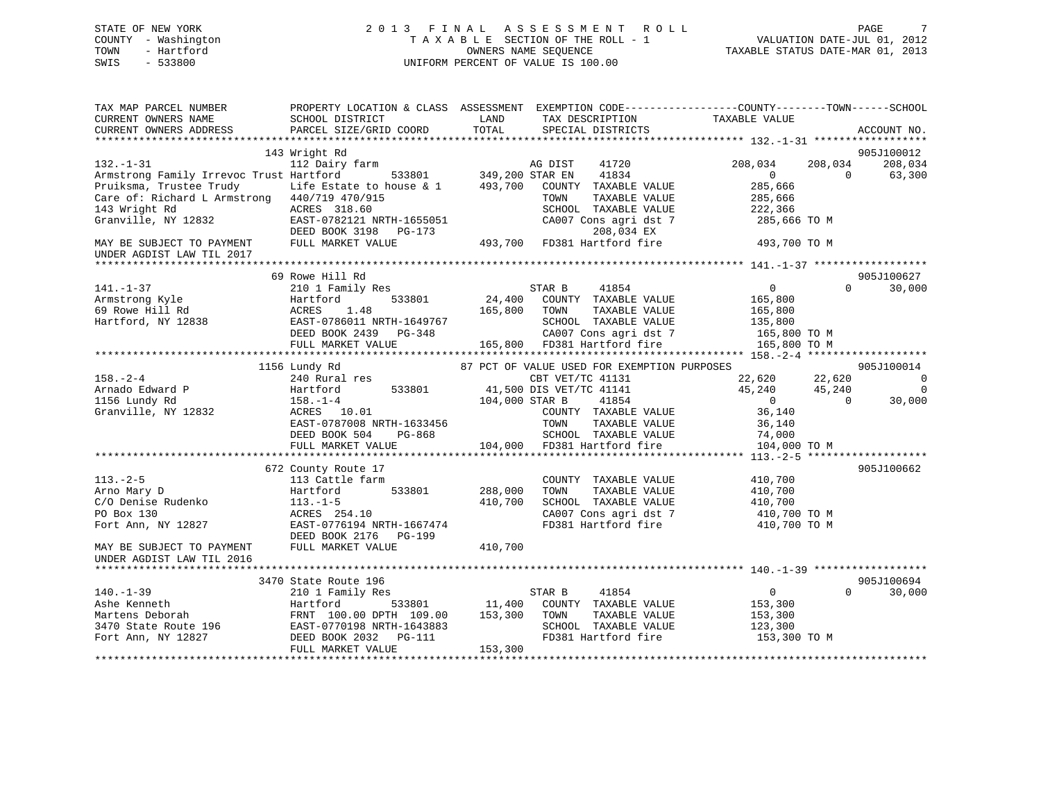# STATE OF NEW YORK 2 0 1 3 F I N A L A S S E S S M E N T R O L L PAGE 7 COUNTY - Washington T A X A B L E SECTION OF THE ROLL - 1 VALUATION DATE-JUL 01, 2012 TOWN - Hartford OWNERS NAME SEQUENCE TAXABLE STATUS DATE-MAR 01, 2013 SWIS - 533800 UNIFORM PERCENT OF VALUE IS 100.00

| TAX MAP PARCEL NUMBER<br>CURRENT OWNERS NAME<br>CURRENT OWNERS ADDRESS | PROPERTY LOCATION & CLASS ASSESSMENT EXEMPTION CODE----------------COUNTY-------TOWN------SCHOOL<br>SCHOOL DISTRICT<br>PARCEL SIZE/GRID COORD | LAND<br>TOTAL          | TAX DESCRIPTION<br>SPECIAL DISTRICTS        | TAXABLE VALUE  |          | ACCOUNT NO.    |
|------------------------------------------------------------------------|-----------------------------------------------------------------------------------------------------------------------------------------------|------------------------|---------------------------------------------|----------------|----------|----------------|
|                                                                        | 143 Wright Rd                                                                                                                                 |                        |                                             |                |          | 905J100012     |
| $132. - 1 - 31$                                                        | 112 Dairy farm                                                                                                                                |                        | AG DIST<br>41720                            | 208,034        | 208,034  | 208,034        |
| Armstrong Family Irrevoc Trust Hartford                                |                                                                                                                                               | 533801 349,200 STAR EN | 41834                                       | $\overline{0}$ | $\Omega$ | 63,300         |
| Pruiksma, Trustee Trudy                                                | Life Estate to house & 1                                                                                                                      |                        | 493,700 COUNTY TAXABLE VALUE                | 285,666        |          |                |
| Care of: Richard L Armstrong 440/719 470/915                           |                                                                                                                                               |                        | TAXABLE VALUE<br>TOWN                       | 285,666        |          |                |
| 143 Wright Rd                                                          | ACRES 318.60                                                                                                                                  |                        | SCHOOL TAXABLE VALUE                        | 222,366        |          |                |
| Granville, NY 12832                                                    | EAST-0782121 NRTH-1655051                                                                                                                     |                        | CA007 Cons agri dst 7                       | 285,666 TO M   |          |                |
|                                                                        | DEED BOOK 3198 PG-173                                                                                                                         |                        | 208,034 EX                                  |                |          |                |
| MAY BE SUBJECT TO PAYMENT<br>UNDER AGDIST LAW TIL 2017                 | FULL MARKET VALUE                                                                                                                             |                        | 493,700 FD381 Hartford fire                 | 493,700 TO M   |          |                |
|                                                                        |                                                                                                                                               |                        |                                             |                |          |                |
|                                                                        | 69 Rowe Hill Rd                                                                                                                               |                        |                                             |                |          | 905J100627     |
| $141. - 1 - 37$                                                        | 210 1 Family Res                                                                                                                              |                        | STAR B<br>41854                             | $\overline{0}$ | $\Omega$ | 30,000         |
| Armstrong Kyle                                                         | Hartford<br>533801                                                                                                                            | 24,400                 | COUNTY TAXABLE VALUE                        | 165,800        |          |                |
| 69 Rowe Hill Rd                                                        | ACRES<br>1.48                                                                                                                                 | 165,800                | TOWN<br>TAXABLE VALUE                       | 165,800        |          |                |
| Hartford, NY 12838                                                     | EAST-0786011 NRTH-1649767                                                                                                                     |                        | SCHOOL TAXABLE VALUE                        | 135,800        |          |                |
|                                                                        | DEED BOOK 2439 PG-348                                                                                                                         |                        | CA007 Cons agri dst 7                       | 165,800 TO M   |          |                |
|                                                                        | FULL MARKET VALUE                                                                                                                             |                        | 165,800 FD381 Hartford fire                 | 165,800 TO M   |          |                |
|                                                                        | 1156 Lundy Rd                                                                                                                                 |                        | 87 PCT OF VALUE USED FOR EXEMPTION PURPOSES |                |          | 905J100014     |
| $158. - 2 - 4$                                                         | 240 Rural res                                                                                                                                 |                        | CBT VET/TC 41131                            | 22,620         | 22,620   | $\overline{0}$ |
| Arnado Edward P                                                        | 533801<br>Hartford                                                                                                                            |                        | 41,500 DIS VET/TC 41141                     | 45,240         | 45,240   | $\mathbf 0$    |
| 1156 Lundy Rd                                                          | $158. - 1 - 4$                                                                                                                                | 104,000 STAR B         | 41854                                       | $\overline{0}$ | $\Omega$ | 30,000         |
| Granville, NY 12832                                                    | ACRES 10.01                                                                                                                                   |                        | COUNTY TAXABLE VALUE                        | 36,140         |          |                |
|                                                                        | EAST-0787008 NRTH-1633456                                                                                                                     |                        | TOWN<br>TAXABLE VALUE                       | 36,140         |          |                |
|                                                                        | DEED BOOK 504<br>PG-868                                                                                                                       |                        | SCHOOL TAXABLE VALUE                        | 74,000         |          |                |
|                                                                        | FULL MARKET VALUE                                                                                                                             |                        | 104,000 FD381 Hartford fire                 | 104,000 TO M   |          |                |
|                                                                        |                                                                                                                                               |                        |                                             |                |          |                |
|                                                                        | 672 County Route 17                                                                                                                           |                        |                                             |                |          | 905J100662     |
| $113. - 2 - 5$                                                         | 113 Cattle farm                                                                                                                               |                        | COUNTY TAXABLE VALUE                        | 410,700        |          |                |
| Arno Mary D                                                            | 533801<br>Hartford                                                                                                                            | 288,000                | TOWN<br>TAXABLE VALUE                       | 410,700        |          |                |
| C/O Denise Rudenko                                                     | $113.-1-5$                                                                                                                                    | 410,700                | SCHOOL TAXABLE VALUE                        | 410,700        |          |                |
| PO Box 130                                                             | ACRES 254.10                                                                                                                                  |                        | CA007 Cons agri dst 7                       | 410,700 TO M   |          |                |
| Fort Ann, NY 12827                                                     | EAST-0776194 NRTH-1667474                                                                                                                     |                        | FD381 Hartford fire                         | 410,700 TO M   |          |                |
|                                                                        | DEED BOOK 2176 PG-199                                                                                                                         |                        |                                             |                |          |                |
| MAY BE SUBJECT TO PAYMENT                                              | FULL MARKET VALUE                                                                                                                             | 410,700                |                                             |                |          |                |
| UNDER AGDIST LAW TIL 2016                                              |                                                                                                                                               |                        |                                             |                |          |                |
|                                                                        | 3470 State Route 196                                                                                                                          |                        |                                             |                |          | 905J100694     |
| $140. - 1 - 39$                                                        | 210 1 Family Res                                                                                                                              |                        | 41854<br>STAR B                             | $\overline{0}$ | $\Omega$ | 30,000         |
| Ashe Kenneth                                                           | Hartford                                                                                                                                      | 533801 11,400          | COUNTY TAXABLE VALUE                        | 153,300        |          |                |
| Martens Deborah                                                        | FRNT 100.00 DPTH 109.00                                                                                                                       | 153,300                | TAXABLE VALUE<br>TOWN                       | 153,300        |          |                |
| 3470 State Route 196                                                   | EAST-0770198 NRTH-1643883                                                                                                                     |                        | SCHOOL TAXABLE VALUE                        | 123,300        |          |                |
| Fort Ann, NY 12827                                                     | DEED BOOK 2032    PG-111                                                                                                                      |                        | FD381 Hartford fire                         | 153,300 TO M   |          |                |
|                                                                        | FULL MARKET VALUE                                                                                                                             | 153,300                |                                             |                |          |                |
|                                                                        |                                                                                                                                               |                        |                                             |                |          |                |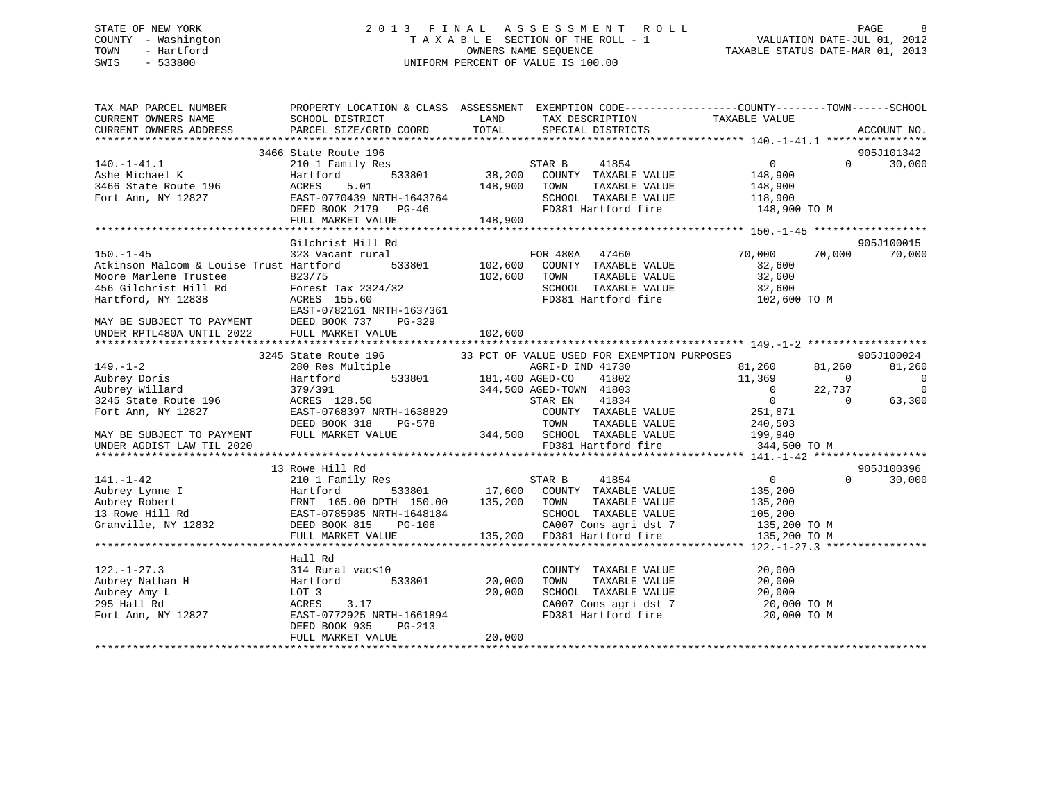# STATE OF NEW YORK 2 0 1 3 F I N A L A S S E S S M E N T R O L L PAGE 8 COUNTY - Washington T A X A B L E SECTION OF THE ROLL - 1 VALUATION DATE-JUL 01, 2012 TOWN - Hartford **TAXABLE STATUS DATE-MAR 01, 2013** OWNERS NAME SEQUENCE TAXABLE STATUS DATE-MAR 01, 2013 SWIS - 533800 UNIFORM PERCENT OF VALUE IS 100.00

| TAX MAP PARCEL NUMBER                                                                                                                                                                                                                                 | PROPERTY LOCATION & CLASS ASSESSMENT EXEMPTION CODE---------------COUNTY-------TOWN-----SCHOOL |               |                                                             |                                                                                              |                            |
|-------------------------------------------------------------------------------------------------------------------------------------------------------------------------------------------------------------------------------------------------------|------------------------------------------------------------------------------------------------|---------------|-------------------------------------------------------------|----------------------------------------------------------------------------------------------|----------------------------|
|                                                                                                                                                                                                                                                       |                                                                                                |               |                                                             |                                                                                              |                            |
|                                                                                                                                                                                                                                                       | 3466 State Route 196                                                                           |               |                                                             |                                                                                              | 905J101342                 |
|                                                                                                                                                                                                                                                       |                                                                                                |               |                                                             |                                                                                              | $\Omega$<br>30,000         |
|                                                                                                                                                                                                                                                       |                                                                                                |               |                                                             |                                                                                              |                            |
|                                                                                                                                                                                                                                                       |                                                                                                | 148,900 TOWN  | TAXABLE VALUE                                               | 148,900                                                                                      |                            |
|                                                                                                                                                                                                                                                       |                                                                                                |               | SCHOOL TAXABLE VALUE 118,900                                |                                                                                              |                            |
|                                                                                                                                                                                                                                                       |                                                                                                |               |                                                             | FD381 Hartford fire 148,900 TO M                                                             |                            |
| 140.-1-41.1<br>Ashe Michael K<br>3466 State Route 196<br>Fort Ann, NY 12827<br>Fort Ann, NY 12827<br>Fort Ann, NY 12827<br>CEED BOOK 2179<br>PG-46<br>THE VALUE<br>THE VALUE<br>THE VALUE                                                             |                                                                                                |               |                                                             |                                                                                              |                            |
|                                                                                                                                                                                                                                                       |                                                                                                |               |                                                             |                                                                                              |                            |
|                                                                                                                                                                                                                                                       | Gilchrist Hill Rd                                                                              |               |                                                             |                                                                                              | 905J100015                 |
| $150. - 1 - 45$                                                                                                                                                                                                                                       | 323 Vacant rural                                                                               |               | <br>L FOR 480A 47460<br>533801 102,600 COUNTY TAXABLE VALUE | 70,000                                                                                       | 70,000<br>70,000           |
| Atkinson Malcom & Louise Trust Hartford                                                                                                                                                                                                               |                                                                                                |               |                                                             | 32,600                                                                                       |                            |
|                                                                                                                                                                                                                                                       |                                                                                                | 102,600 TOWN  |                                                             |                                                                                              |                            |
|                                                                                                                                                                                                                                                       |                                                                                                |               |                                                             |                                                                                              |                            |
| Moore Marlene Trustee 823/75<br>456 Gilchrist Hill Rd Forest Tax 2324/32<br>Hartford, NY 12838 ACRES 155.60<br>EAST-0782161 NRTH-1637361                                                                                                              |                                                                                                |               |                                                             | TOWN TAXABLE VALUE 32,600<br>SCHOOL TAXABLE VALUE 32,600<br>FD381 Hartford fire 102,600 TO M |                            |
|                                                                                                                                                                                                                                                       |                                                                                                |               |                                                             |                                                                                              |                            |
|                                                                                                                                                                                                                                                       | PG-329                                                                                         |               |                                                             |                                                                                              |                            |
| MAY BE SUBJECT TO PAYMENT DEED BOOK 737<br>UNDER RPTL480A UNTIL 2022 FULL MARKET VF                                                                                                                                                                   | FULL MARKET VALUE                                                                              | 102,600       |                                                             |                                                                                              |                            |
|                                                                                                                                                                                                                                                       |                                                                                                |               |                                                             |                                                                                              |                            |
|                                                                                                                                                                                                                                                       | 3245 State Route 196 33 PCT OF VALUE USED FOR EXEMPTION PURPOSES                               |               |                                                             |                                                                                              | 905J100024                 |
|                                                                                                                                                                                                                                                       |                                                                                                |               |                                                             | 81,260 81,260                                                                                | 81,260                     |
|                                                                                                                                                                                                                                                       |                                                                                                |               |                                                             | 11,369                                                                                       | $\overline{0}$<br>$\sim$ 0 |
| 3245 State Route 196<br>Aubrey Doris<br>Aubrey Willard<br>280 Res Multiple<br>280 Res Multiple<br>280 Res Multiple<br>280 Res Multiple<br>280 Res Multiple<br>280 Res Multiple<br>280 Res Multiple<br>280 Res Multiple<br>280 Res Multiple<br>280 Res |                                                                                                |               |                                                             | $0 \t 22,737$                                                                                | $\overline{0}$             |
|                                                                                                                                                                                                                                                       |                                                                                                |               |                                                             | $\overline{0}$                                                                               | $\overline{0}$<br>63,300   |
|                                                                                                                                                                                                                                                       |                                                                                                |               | COUNTY TAXABLE VALUE 251,871                                |                                                                                              |                            |
|                                                                                                                                                                                                                                                       |                                                                                                |               |                                                             |                                                                                              |                            |
|                                                                                                                                                                                                                                                       |                                                                                                |               |                                                             |                                                                                              |                            |
| MAY BE SUBJECT TO PAYMENT                                                                                                                                                                                                                             |                                                                                                |               | FD381 Hartford fire                                         |                                                                                              |                            |
| UNDER AGDIST LAW TIL 2020                                                                                                                                                                                                                             |                                                                                                |               |                                                             | 344,500 TO M                                                                                 |                            |
|                                                                                                                                                                                                                                                       |                                                                                                |               |                                                             |                                                                                              |                            |
|                                                                                                                                                                                                                                                       | 13 Rowe Hill Rd                                                                                |               |                                                             |                                                                                              | 905J100396                 |
| $141. - 1 - 42$                                                                                                                                                                                                                                       | 210 1 Family Res                                                                               |               | 41854<br>STAR B                                             | $\overline{0}$                                                                               | $\Omega$<br>30,000         |
|                                                                                                                                                                                                                                                       |                                                                                                |               |                                                             |                                                                                              |                            |
| Aubrey Lynne I and Hartford<br>Aubrey Lynne I Hartford 533801 17,600 COUNTY TAXABLE VALUE 135,200<br>Aubrey Robert FRNT 165.00 DPTH 150.00 135,200 TOWN TAXABLE VALUE 135,200<br>135,200 TOWN TAXABLE VALUE 135,200<br>135,200 SCHOOL                 |                                                                                                |               |                                                             |                                                                                              |                            |
|                                                                                                                                                                                                                                                       |                                                                                                |               |                                                             |                                                                                              |                            |
|                                                                                                                                                                                                                                                       |                                                                                                |               | G-106 CA007 Cons agri dst 7<br>135,200 FD381 Hartford fire  | 135,200 TO M                                                                                 |                            |
|                                                                                                                                                                                                                                                       | FULL MARKET VALUE                                                                              |               |                                                             | 135,200 TO M                                                                                 |                            |
|                                                                                                                                                                                                                                                       |                                                                                                |               |                                                             |                                                                                              |                            |
|                                                                                                                                                                                                                                                       | Hall Rd                                                                                        |               |                                                             |                                                                                              |                            |
| $122. - 1 - 27.3$                                                                                                                                                                                                                                     | 314 Rural vac<10                                                                               |               | COUNTY TAXABLE VALUE                                        | 20,000                                                                                       |                            |
| Aubrey Nathan H                                                                                                                                                                                                                                       | Hartford                                                                                       | 533801 20,000 | TOWN                                                        | TAXABLE VALUE<br>20,000                                                                      |                            |
| Aubrey Amy L                                                                                                                                                                                                                                          | LOT 3                                                                                          | 20,000        |                                                             | SCHOOL TAXABLE VALUE 20,000<br>CA007 Cons agri dst 7 20,000 TO M                             |                            |
| 295 Hall Rd                                                                                                                                                                                                                                           | ACRES<br>3.17                                                                                  |               |                                                             |                                                                                              |                            |
| Fort Ann, NY 12827                                                                                                                                                                                                                                    | EAST-0772925 NRTH-1661894                                                                      |               | FD381 Hartford fire                                         | 20,000 TO M                                                                                  |                            |
|                                                                                                                                                                                                                                                       | DEED BOOK 935<br>$PG-213$                                                                      |               |                                                             |                                                                                              |                            |
|                                                                                                                                                                                                                                                       | FULL MARKET VALUE                                                                              | 20,000        |                                                             |                                                                                              |                            |
|                                                                                                                                                                                                                                                       |                                                                                                |               |                                                             |                                                                                              |                            |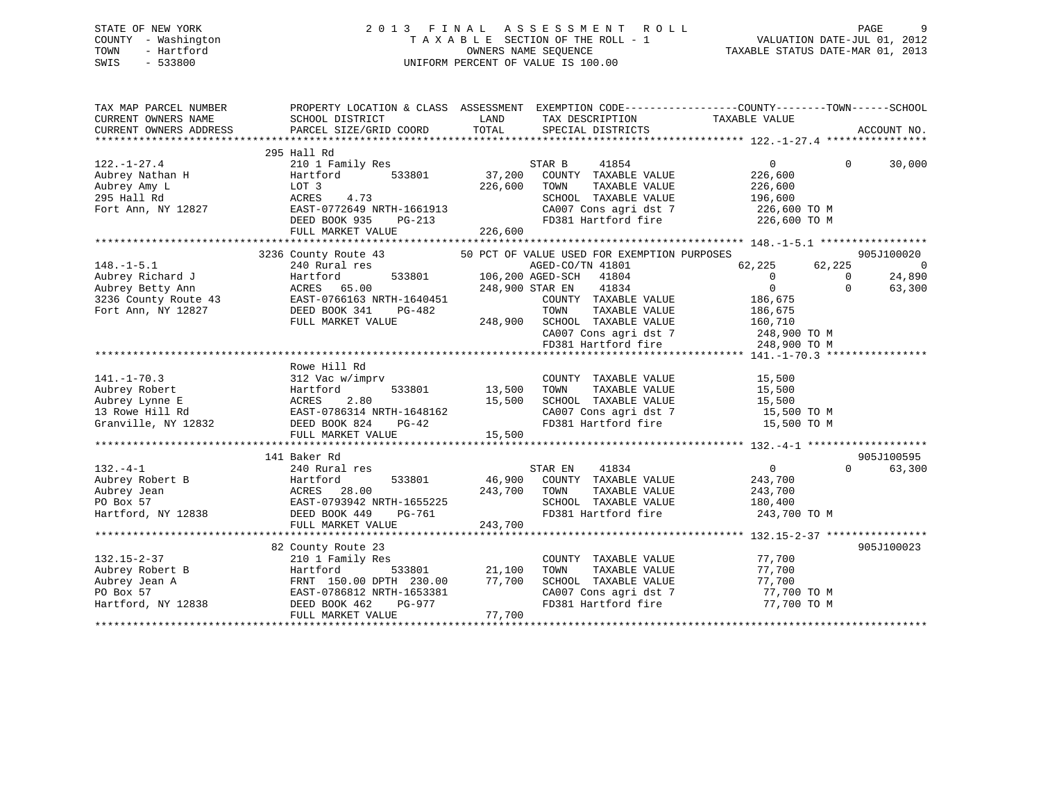# STATE OF NEW YORK 2 0 1 3 F I N A L A S S E S S M E N T R O L L PAGE 9 COUNTY - Washington T A X A B L E SECTION OF THE ROLL - 1 VALUATION DATE-JUL 01, 2012 TOWN - Hartford OWNERS NAME SEQUENCE TAXABLE STATUS DATE-MAR 01, 2013 SWIS - 533800 UNIFORM PERCENT OF VALUE IS 100.00

| TAX MAP PARCEL NUMBER<br>CURRENT OWNERS NAME<br>CURRENT OWNERS ADDRESS | PROPERTY LOCATION & CLASS ASSESSMENT<br>SCHOOL DISTRICT<br>PARCEL SIZE/GRID COORD | LAND<br>TOTAL | TAX DESCRIPTION TAXABLE VALUE<br>SPECIAL DISTRICTS | EXEMPTION CODE-----------------COUNTY-------TOWN------SCHOOL | ACCOUNT NO.            |
|------------------------------------------------------------------------|-----------------------------------------------------------------------------------|---------------|----------------------------------------------------|--------------------------------------------------------------|------------------------|
|                                                                        |                                                                                   |               |                                                    |                                                              |                        |
|                                                                        | 295 Hall Rd                                                                       |               |                                                    |                                                              |                        |
| $122. - 1 - 27.4$                                                      | 210 1 Family Res                                                                  |               | STAR B<br>41854                                    | $\overline{0}$                                               | $\Omega$<br>30,000     |
| Aubrey Nathan H                                                        | 533801<br>Hartford                                                                | 37,200        | COUNTY TAXABLE VALUE                               | 226,600                                                      |                        |
| Aubrey Amy L                                                           | LOT 3                                                                             | 226,600       | TOWN<br>TAXABLE VALUE                              | 226,600                                                      |                        |
| 295 Hall Rd                                                            | ACRES<br>4.73                                                                     |               | SCHOOL TAXABLE VALUE                               | 196,600                                                      |                        |
| Fort Ann, NY 12827                                                     | EAST-0772649 NRTH-1661913                                                         |               | CA007 Cons agri dst 7                              | 226,600 ТО М                                                 |                        |
|                                                                        | DEED BOOK 935<br>PG-213                                                           |               | FD381 Hartford fire                                | 226,600 TO M                                                 |                        |
|                                                                        | FULL MARKET VALUE                                                                 | 226,600       |                                                    |                                                              |                        |
|                                                                        |                                                                                   |               |                                                    |                                                              |                        |
|                                                                        | 3236 County Route 43                                                              |               | 50 PCT OF VALUE USED FOR EXEMPTION PURPOSES        |                                                              | 905J100020             |
| $148. - 1 - 5.1$                                                       | 240 Rural res                                                                     |               | AGED-CO/TN 41801                                   | 62,225<br>62,225                                             | $\Omega$               |
| Aubrey Richard J                                                       | 533801<br>Hartford                                                                |               | 106,200 AGED-SCH<br>41804                          | $\overline{0}$                                               | 24,890<br>$\Omega$     |
| Aubrey Betty Ann                                                       | ACRES 65.00                                                                       |               | 248,900 STAR EN<br>41834                           | $\mathbf 0$                                                  | $\Omega$<br>63,300     |
| 3236 County Route 43                                                   | EAST-0766163 NRTH-1640451                                                         |               | COUNTY TAXABLE VALUE                               | 186,675                                                      |                        |
| Fort Ann, NY 12827                                                     | DEED BOOK 341<br>PG-482                                                           |               | TOWN<br>TAXABLE VALUE                              | 186,675                                                      |                        |
|                                                                        | FULL MARKET VALUE                                                                 |               | 248,900 SCHOOL TAXABLE VALUE                       | 160,710                                                      |                        |
|                                                                        |                                                                                   |               | CA007 Cons agri dst 7                              | 248,900 TO M                                                 |                        |
|                                                                        |                                                                                   |               | FD381 Hartford fire                                | 248,900 TO M                                                 |                        |
|                                                                        |                                                                                   |               |                                                    |                                                              |                        |
|                                                                        | Rowe Hill Rd                                                                      |               |                                                    |                                                              |                        |
| $141. - 1 - 70.3$                                                      | 312 Vac w/imprv                                                                   |               | COUNTY TAXABLE VALUE                               | 15,500                                                       |                        |
| Aubrey Robert                                                          | Hartford                                                                          | 533801 13,500 | TAXABLE VALUE<br>TOWN                              | 15,500                                                       |                        |
| Aubrey Lynne E                                                         | ACRES<br>2.80                                                                     | 15,500        | SCHOOL TAXABLE VALUE                               | 15,500                                                       |                        |
| 13 Rowe Hill Rd                                                        | EAST-0786314 NRTH-1648162                                                         |               | CA007 Cons agri dst 7                              | 15,500 TO M                                                  |                        |
| Granville, NY 12832                                                    | DEED BOOK 824<br>PG-42                                                            |               | FD381 Hartford fire                                | 15,500 TO M                                                  |                        |
|                                                                        | FULL MARKET VALUE                                                                 | 15,500        |                                                    |                                                              |                        |
|                                                                        |                                                                                   |               |                                                    |                                                              |                        |
|                                                                        | 141 Baker Rd                                                                      |               |                                                    |                                                              | 905J100595<br>$\Omega$ |
| $132. -4-1$                                                            | 240 Rural res                                                                     |               | STAR EN<br>41834<br>46,900 COUNTY TAXABLE VALUE    | $\overline{0}$                                               | 63,300                 |
| Aubrey Robert B                                                        | Hartford<br>533801                                                                | 243,700       | TOWN                                               | 243,700                                                      |                        |
| Aubrey Jean<br>PO Box 57                                               | ACRES 28.00<br>EAST-0793942 NRTH-1655225                                          |               | TAXABLE VALUE<br>SCHOOL TAXABLE VALUE              | 243,700                                                      |                        |
| Hartford, NY 12838                                                     | DEED BOOK 449<br>PG-761                                                           |               | FD381 Hartford fire                                | 180,400<br>243,700 TO M                                      |                        |
|                                                                        | FULL MARKET VALUE                                                                 | 243,700       |                                                    |                                                              |                        |
|                                                                        |                                                                                   |               |                                                    |                                                              |                        |
|                                                                        | 82 County Route 23                                                                |               |                                                    |                                                              | 905J100023             |
| $132.15 - 2 - 37$                                                      | 210 1 Family Res                                                                  |               | COUNTY TAXABLE VALUE                               | 77,700                                                       |                        |
| Aubrey Robert B                                                        | 533801<br>Hartford                                                                | 21,100        | TAXABLE VALUE<br>TOWN                              | 77,700                                                       |                        |
| Aubrey Jean A                                                          | FRNT 150.00 DPTH 230.00                                                           | 77,700        | SCHOOL TAXABLE VALUE                               | 77,700                                                       |                        |
| PO Box 57                                                              | EAST-0786812 NRTH-1653381                                                         |               | CA007 Cons agri dst 7                              | 77,700 TO M                                                  |                        |
| Hartford, NY 12838                                                     | DEED BOOK 462<br>PG-977                                                           |               | FD381 Hartford fire                                | 77,700 TO M                                                  |                        |
|                                                                        | FULL MARKET VALUE                                                                 | 77,700        |                                                    |                                                              |                        |
|                                                                        |                                                                                   |               |                                                    |                                                              |                        |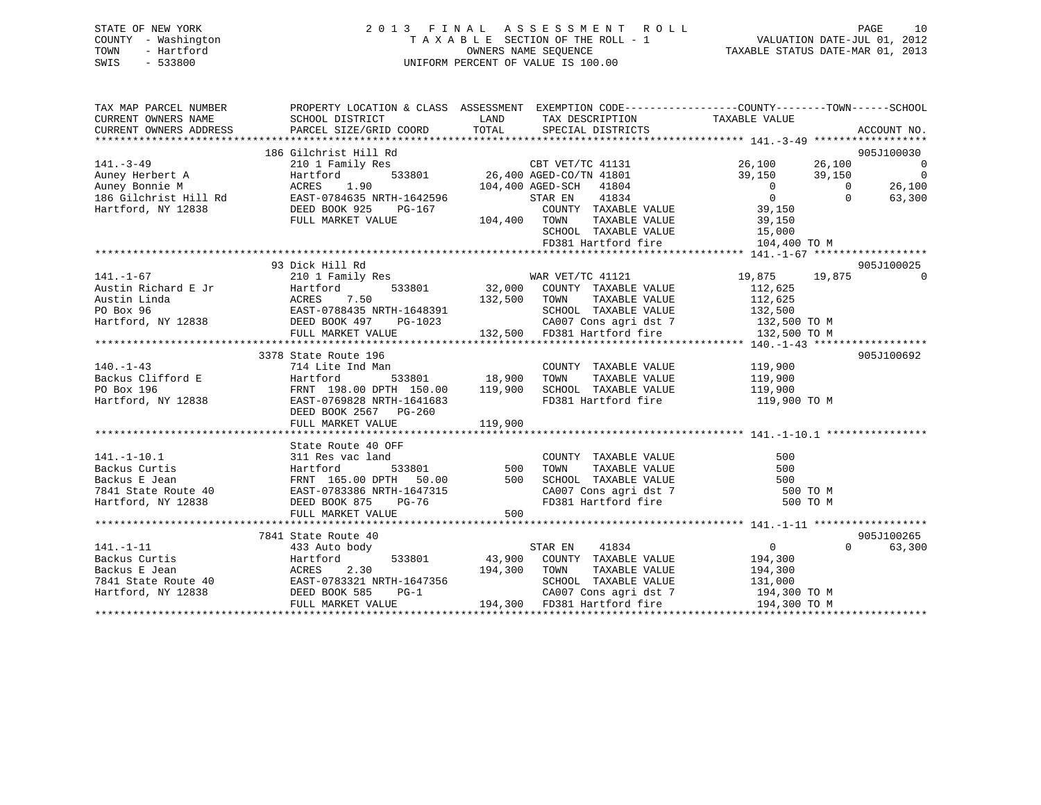| STATE OF NEW YORK   | 2013 FINAL ASSESSMENT ROLL         | 10<br>PAGE                       |
|---------------------|------------------------------------|----------------------------------|
| COUNTY - Washington | TAXABLE SECTION OF THE ROLL - 1    | VALUATION DATE-JUL 01, 2012      |
| TOWN<br>- Hartford  | OWNERS NAME SEOUENCE               | TAXABLE STATUS DATE-MAR 01, 2013 |
| SWIS<br>- 533800    | UNIFORM PERCENT OF VALUE IS 100.00 |                                  |
|                     |                                    |                                  |

| TAX MAP PARCEL NUMBER  | PROPERTY LOCATION & CLASS ASSESSMENT EXEMPTION CODE---------------COUNTY-------TOWN------SCHOOL                                                                                                                                                                |                 |                                                                |                |                          |
|------------------------|----------------------------------------------------------------------------------------------------------------------------------------------------------------------------------------------------------------------------------------------------------------|-----------------|----------------------------------------------------------------|----------------|--------------------------|
| CURRENT OWNERS NAME    | SCHOOL DISTRICT                                                                                                                                                                                                                                                |                 | LAND TAX DESCRIPTION                                           | TAXABLE VALUE  |                          |
| CURRENT OWNERS ADDRESS |                                                                                                                                                                                                                                                                |                 |                                                                |                |                          |
|                        |                                                                                                                                                                                                                                                                |                 |                                                                |                |                          |
|                        | 141.-3-49<br>2001 Family Res<br>2001 Family Res<br>2001 Family Res<br>2001 Family Res<br>2001 Family Res<br>2001 Family Res<br>26,400 AGED-CO/TN 41801<br>26,400 AGED-CO/TN 41801<br>26,100<br>26,100<br>39,150<br>39,150<br>39,150<br>39,150<br>39,150<br>39, |                 |                                                                |                | 905J100030               |
|                        |                                                                                                                                                                                                                                                                |                 |                                                                |                | $\overline{\phantom{0}}$ |
|                        |                                                                                                                                                                                                                                                                |                 |                                                                |                | $\sim$ 0                 |
|                        |                                                                                                                                                                                                                                                                |                 |                                                                |                | 26,100                   |
|                        |                                                                                                                                                                                                                                                                |                 |                                                                |                | 63,300                   |
|                        |                                                                                                                                                                                                                                                                |                 |                                                                |                |                          |
|                        |                                                                                                                                                                                                                                                                |                 |                                                                |                |                          |
|                        |                                                                                                                                                                                                                                                                |                 |                                                                |                |                          |
|                        |                                                                                                                                                                                                                                                                |                 | SCHOOL TAXABLE VALUE $15,000$<br>FD381 Hartford fire $104,400$ |                |                          |
|                        |                                                                                                                                                                                                                                                                |                 |                                                                |                |                          |
|                        | 93 Dick Hill Rd                                                                                                                                                                                                                                                |                 |                                                                |                | 905J100025               |
| $141. - 1 - 67$        | 210 1 Family Res WAR VET/TC 41121                                                                                                                                                                                                                              |                 |                                                                | 19,875 19,875  | $\bigcirc$               |
|                        |                                                                                                                                                                                                                                                                |                 |                                                                |                |                          |
|                        |                                                                                                                                                                                                                                                                |                 |                                                                |                |                          |
|                        |                                                                                                                                                                                                                                                                |                 |                                                                |                |                          |
|                        |                                                                                                                                                                                                                                                                |                 |                                                                |                |                          |
|                        |                                                                                                                                                                                                                                                                |                 |                                                                |                |                          |
|                        | 141.-1-67<br>Austin Richard E Jr Hartford 533801 32,000 COUNTI IAAADLE VALUE 112,625<br>Austin Linda ACRES 7.50 132,500 TOWN TAXABLE VALUE 112,625<br>PO Box 96 EAST-0788435 NRTH-1648391 SCHOOL TAXABLE VALUE 132,500 TO M<br>Hartfo                          |                 |                                                                |                |                          |
|                        | 3378 State Route 196                                                                                                                                                                                                                                           |                 |                                                                |                | 905J100692               |
|                        | 3378 State Route 196<br>2378 State Route 196<br>214 Lite Ind Man<br>214 Lite Ind Man<br>214 Lite Ind Man<br>21378 State Route 196<br>214 Lite Ind Man<br>21378 State Route 196<br>214 Lite Ind Man<br>21378 State Route 196<br>214 Lite Ind Man<br>2           |                 |                                                                |                |                          |
|                        |                                                                                                                                                                                                                                                                |                 |                                                                |                |                          |
|                        |                                                                                                                                                                                                                                                                |                 |                                                                |                |                          |
|                        |                                                                                                                                                                                                                                                                |                 |                                                                |                |                          |
|                        |                                                                                                                                                                                                                                                                |                 |                                                                |                |                          |
|                        |                                                                                                                                                                                                                                                                |                 |                                                                |                |                          |
|                        |                                                                                                                                                                                                                                                                |                 |                                                                |                |                          |
|                        | State Route 40 OFF                                                                                                                                                                                                                                             |                 |                                                                |                |                          |
| $141. -1 - 10.1$       |                                                                                                                                                                                                                                                                |                 | COUNTY TAXABLE VALUE<br>TOWN TAXABLE VALUE                     | 500            |                          |
|                        |                                                                                                                                                                                                                                                                | d<br>533801 500 |                                                                | 500            |                          |
|                        |                                                                                                                                                                                                                                                                |                 | SCHOOL TAXABLE VALUE 500<br>CA007 Cons agri dst 7 500 TO M     |                |                          |
|                        | 141.-1-10.1 311 Res vac land COUNTY TAXABLE VALUE<br>Backus Curtis Hartford 533801 500 TOWN TAXABLE VALUE<br>Backus E Jean FRNT 165.00 DPTH 50.00 500 SCHOOL TAXABLE VALUE<br>7841 State Route 40 EAST-0783386 NRTH-1647315 CA007 Co                           |                 |                                                                |                |                          |
|                        |                                                                                                                                                                                                                                                                |                 | FD381 Hartford fire                                            | 500 TO M       |                          |
|                        | FULL MARKET VALUE                                                                                                                                                                                                                                              | 500             |                                                                |                |                          |
|                        |                                                                                                                                                                                                                                                                |                 |                                                                |                |                          |
|                        | 7841 State Route 40                                                                                                                                                                                                                                            |                 |                                                                | $\overline{0}$ | 905J100265               |
| 141.-1-11              | 433 Auto body                                                                                                                                                                                                                                                  |                 | STAR EN<br>41834                                               |                | 63,300<br>$\Omega$       |
|                        |                                                                                                                                                                                                                                                                |                 |                                                                |                |                          |
|                        |                                                                                                                                                                                                                                                                |                 |                                                                |                |                          |
|                        |                                                                                                                                                                                                                                                                |                 |                                                                |                |                          |
|                        | Packus Curtis Fartford Backus E Jean Martford 533801 43,900 COUNTY TAXABLE VALUE 194,300<br>Backus E Jean ACRES 2.30 194,300 TOWN TAXABLE VALUE 194,300<br>7841 State Route 40 EAST-0783321 NRTH-1647356 SCHOOL TAXABLE VALUE 131,                             |                 | CA007 Cons agri dst 7 194,300 TO M                             |                |                          |
|                        | FULL MARKET VALUE                                                                                                                                                                                                                                              |                 | 194,300 FD381 Hartford fire                                    | 194,300 TO M   |                          |
|                        |                                                                                                                                                                                                                                                                |                 |                                                                |                |                          |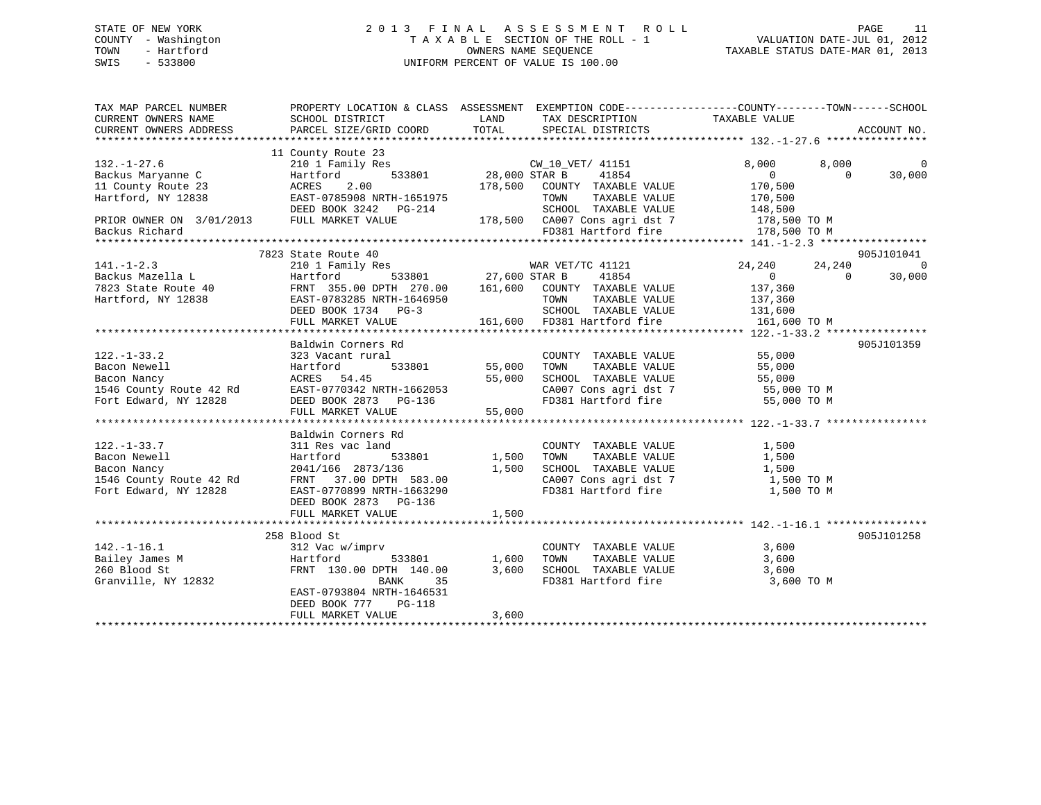# STATE OF NEW YORK 2 0 1 3 F I N A L A S S E S S M E N T R O L L PAGE 11 COUNTY - Washington T A X A B L E SECTION OF THE ROLL - 1 VALUATION DATE-JUL 01, 2012 TOWN - Hartford **TAXABLE STATUS DATE-MAR 01, 2013** OWNERS NAME SEQUENCE TAXABLE STATUS DATE-MAR 01, 2013 SWIS - 533800 UNIFORM PERCENT OF VALUE IS 100.00

| TAX MAP PARCEL NUMBER                                               | PROPERTY LOCATION & CLASS ASSESSMENT EXEMPTION CODE----------------COUNTY-------TOWN------SCHOOL                                                                                                                                                                          |               |                                                                  |                      |                          |
|---------------------------------------------------------------------|---------------------------------------------------------------------------------------------------------------------------------------------------------------------------------------------------------------------------------------------------------------------------|---------------|------------------------------------------------------------------|----------------------|--------------------------|
| CURRENT OWNERS NAME                                                 | SCHOOL DISTRICT                                                                                                                                                                                                                                                           | LAND          | TAX DESCRIPTION                                                  | TAXABLE VALUE        |                          |
| CURRENT OWNERS ADDRESS                                              | PARCEL SIZE/GRID COORD                                                                                                                                                                                                                                                    | TOTAL         | SPECIAL DISTRICTS                                                |                      | ACCOUNT NO.              |
|                                                                     |                                                                                                                                                                                                                                                                           |               |                                                                  |                      |                          |
|                                                                     | 11 County Route 23                                                                                                                                                                                                                                                        |               |                                                                  |                      |                          |
| $132. - 1 - 27.6$                                                   |                                                                                                                                                                                                                                                                           |               |                                                                  | 8,000                | 8,000<br>$\overline{0}$  |
| Backus Maryanne C                                                   |                                                                                                                                                                                                                                                                           |               | 41854                                                            | $\overline{0}$       | 30,000<br>$\Omega$       |
|                                                                     |                                                                                                                                                                                                                                                                           |               |                                                                  |                      |                          |
|                                                                     | $\begin{array}{ccccccccc} 11 & \text{County} & \text{Route 23} & \text{ACRES} & 2.00 & & & 178,500 & \text{COUNTY} & \text{TAXABLE VALUE} \\ \text{Hartford, NY} & 12838 & & & \text{EAST-0785908 NRTH-1651975} & & & & \text{TOWN} & & \text{TAXABLE VALUE} \end{array}$ |               | TOWN TAXABLE VALUE                                               | 170,500<br>170,500   |                          |
|                                                                     | DEED BOOK 3242 PG-214                                                                                                                                                                                                                                                     |               |                                                                  |                      |                          |
| PRIOR OWNER ON 3/01/2013 FULL MARKET VALUE                          |                                                                                                                                                                                                                                                                           |               |                                                                  |                      |                          |
| Backus Richard                                                      |                                                                                                                                                                                                                                                                           |               |                                                                  |                      |                          |
|                                                                     |                                                                                                                                                                                                                                                                           |               |                                                                  |                      |                          |
|                                                                     | 7823 State Route 40                                                                                                                                                                                                                                                       |               |                                                                  |                      | 905J101041               |
| $141. - 1 - 2.3$                                                    | ily Res<br>533801 533801 77,600 STAR B<br>210 1 Family Res                                                                                                                                                                                                                |               | WAR VET/TC 41121                                                 | 24,240               | 24,240<br>$\bigcirc$     |
| Backus Mazella L                                                    | Hartford                                                                                                                                                                                                                                                                  |               | 41854                                                            | $\overline{0}$       | 30,000<br>$\overline{0}$ |
|                                                                     |                                                                                                                                                                                                                                                                           |               |                                                                  |                      |                          |
|                                                                     |                                                                                                                                                                                                                                                                           |               |                                                                  |                      |                          |
|                                                                     |                                                                                                                                                                                                                                                                           |               |                                                                  |                      |                          |
|                                                                     | Backus Mazelia L<br>7823 State Route 40 FRNT 355.00 DPTH 270.00 161,600 COUNTY TAXABLE VALUE 137,360<br>Hartford, NY 12838 EAST-0783285 NRTH-1646950 TOWN TAXABLE VALUE 137,360<br>DEED BOOK 1734 PG-3 SCHOOL TAXABLE VALUE 161,600<br>                                   |               |                                                                  | 161,600 TO M         |                          |
|                                                                     |                                                                                                                                                                                                                                                                           |               |                                                                  |                      |                          |
|                                                                     | Baldwin Corners Rd                                                                                                                                                                                                                                                        |               |                                                                  |                      | 905J101359               |
| $122. - 1 - 33.2$                                                   | 323 Vacant rural                                                                                                                                                                                                                                                          |               | COUNTY TAXABLE VALUE 55,000                                      |                      |                          |
| Bacon Newell                                                        | Hartford                                                                                                                                                                                                                                                                  | 533801 55,000 | TOWN                                                             | TAXABLE VALUE 55,000 |                          |
| Bacon Nancy                                                         | ACRES 54.45                                                                                                                                                                                                                                                               | 55,000        |                                                                  |                      |                          |
|                                                                     | 1546 County Route 42 Rd EAST-0770342 NRTH-1662053                                                                                                                                                                                                                         |               | SCHOOL TAXABLE VALUE 55,000<br>CA007 Cons agri dst 7 55,000 TO M |                      |                          |
| Fort Edward, NY 12828                                               |                                                                                                                                                                                                                                                                           |               | FD381 Hartford fire 55,000 TO M                                  |                      |                          |
|                                                                     |                                                                                                                                                                                                                                                                           |               |                                                                  |                      |                          |
|                                                                     |                                                                                                                                                                                                                                                                           |               |                                                                  |                      |                          |
|                                                                     | Baldwin Corners Rd                                                                                                                                                                                                                                                        |               |                                                                  |                      |                          |
| $122. - 1 - 33.7$                                                   |                                                                                                                                                                                                                                                                           |               | COUNTY TAXABLE VALUE 1,500                                       |                      |                          |
|                                                                     | 311 Res vac land                                                                                                                                                                                                                                                          |               |                                                                  |                      |                          |
| Bacon Newell                                                        | $\begin{array}{ccccc} & 533801 & & 1,500 \\ 2873/136 & & & 1,500 \end{array}$<br>Hartford                                                                                                                                                                                 |               |                                                                  |                      |                          |
|                                                                     | 2041/166 2873/136                                                                                                                                                                                                                                                         |               |                                                                  |                      |                          |
| Bacon Nancy<br>1546 County Route 42 Rd<br>31 December 1973 NY 12828 | FRNT 37.00 DPTH 583.00                                                                                                                                                                                                                                                    |               | CA007 Cons agri dst 7 $1,500$ TO M                               |                      |                          |
|                                                                     | EAST-0770899 NRTH-1663290                                                                                                                                                                                                                                                 |               | FD381 Hartford fire                                              | 1,500 TO M           |                          |
|                                                                     | DEED BOOK 2873 PG-136                                                                                                                                                                                                                                                     |               |                                                                  |                      |                          |
|                                                                     | FULL MARKET VALUE                                                                                                                                                                                                                                                         | 1,500         |                                                                  |                      |                          |
|                                                                     |                                                                                                                                                                                                                                                                           |               |                                                                  |                      |                          |
|                                                                     | 258 Blood St                                                                                                                                                                                                                                                              |               |                                                                  |                      | 905J101258               |
| $142. - 1 - 16.1$                                                   | 312 Vac w/imprv                                                                                                                                                                                                                                                           |               | COUNTY TAXABLE VALUE 3,600                                       |                      |                          |
| Bailey James M                                                      | 533801 1,600<br>Hartford                                                                                                                                                                                                                                                  |               | TOWN                                                             | TAXABLE VALUE 3,600  |                          |
| 260 Blood St                                                        | FRNT 130.00 DPTH 140.00                                                                                                                                                                                                                                                   | 3,600         | SCHOOL TAXABLE VALUE 3,600<br>FD381 Hartford fire 3,600          |                      |                          |
| Granville, NY 12832                                                 | 35<br>BANK                                                                                                                                                                                                                                                                |               |                                                                  | 3,600 TO M           |                          |
|                                                                     | EAST-0793804 NRTH-1646531                                                                                                                                                                                                                                                 |               |                                                                  |                      |                          |
|                                                                     | DEED BOOK 777 PG-118                                                                                                                                                                                                                                                      |               |                                                                  |                      |                          |
|                                                                     | FULL MARKET VALUE                                                                                                                                                                                                                                                         | 3,600         |                                                                  |                      |                          |
|                                                                     |                                                                                                                                                                                                                                                                           |               |                                                                  |                      |                          |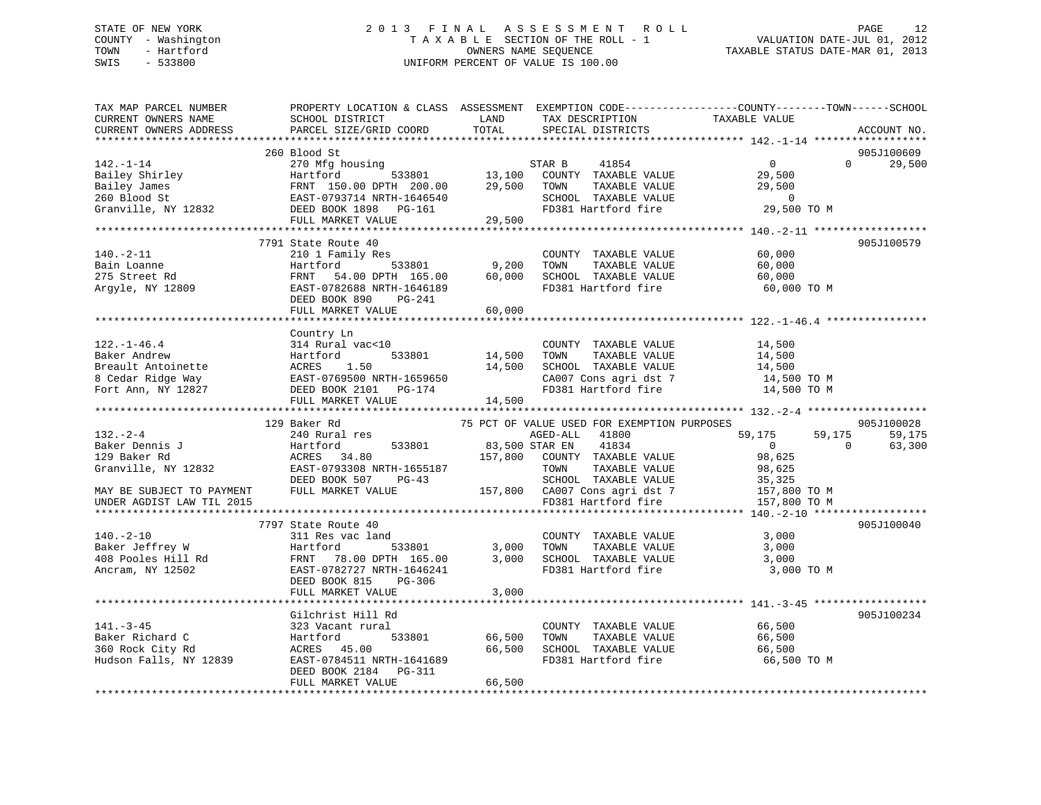# STATE OF NEW YORK 2 0 1 3 F I N A L A S S E S S M E N T R O L L PAGE 12 COUNTY - Washington T A X A B L E SECTION OF THE ROLL - 1 VALUATION DATE-JUL 01, 2012 TOWN - Hartford **TAXABLE STATUS DATE-MAR 01, 2013** OWNERS NAME SEQUENCE TAXABLE STATUS DATE-MAR 01, 2013 SWIS - 533800 UNIFORM PERCENT OF VALUE IS 100.00

| TAX MAP PARCEL NUMBER<br>CURRENT OWNERS NAME<br>CURRENT OWNERS ADDRESS                                                                                                                                 | SCHOOL DISTRICT<br>PARCEL SIZE/GRID COORD                                        | LAND<br>TOTAL | TAX DESCRIPTION<br>SPECIAL DISTRICTS                                                                                                       | PROPERTY LOCATION & CLASS ASSESSMENT EXEMPTION CODE----------------COUNTY-------TOWN-----SCHOOL<br>TAXABLE VALUE<br>ACCOUNT NO. |  |
|--------------------------------------------------------------------------------------------------------------------------------------------------------------------------------------------------------|----------------------------------------------------------------------------------|---------------|--------------------------------------------------------------------------------------------------------------------------------------------|---------------------------------------------------------------------------------------------------------------------------------|--|
|                                                                                                                                                                                                        |                                                                                  |               |                                                                                                                                            |                                                                                                                                 |  |
|                                                                                                                                                                                                        | 260 Blood St                                                                     |               |                                                                                                                                            | 905J100609                                                                                                                      |  |
| $142. - 1 - 14$                                                                                                                                                                                        | 270 Mfg housing                                                                  |               | STAR B<br>41854                                                                                                                            | $\overline{0}$<br>$\Omega$<br>29,500                                                                                            |  |
|                                                                                                                                                                                                        |                                                                                  |               | $533801$ 13,100 COUNTY TAXABLE VALUE                                                                                                       | 29,500                                                                                                                          |  |
|                                                                                                                                                                                                        |                                                                                  | 29,500        | TAXABLE VALUE<br>TOWN                                                                                                                      | 29,500                                                                                                                          |  |
|                                                                                                                                                                                                        |                                                                                  |               | SCHOOL TAXABLE VALUE<br>FD381 Hartford fire                                                                                                | $\overline{0}$                                                                                                                  |  |
| Pailey Shirley Hartford 533801 13,100<br>Bailey James FRNT 150.00 DPTH 200.00 29,500<br>260 Blood St EAST-0793714 NRTH-1646540<br>Granville, NY 12832 DEED BOOK 1898 PG-161<br>THE MONTH WATHER PG-161 |                                                                                  |               |                                                                                                                                            | 29,500 TO M                                                                                                                     |  |
|                                                                                                                                                                                                        | FULL MARKET VALUE                                                                | 29,500        |                                                                                                                                            |                                                                                                                                 |  |
|                                                                                                                                                                                                        | 7791 State Route 40                                                              |               |                                                                                                                                            | 905J100579                                                                                                                      |  |
| $140. -2 - 11$                                                                                                                                                                                         | 210 1 Family Res                                                                 |               | COUNTY TAXABLE VALUE                                                                                                                       | 60,000                                                                                                                          |  |
|                                                                                                                                                                                                        | 533801<br>Hartford                                                               | 9,200         | TOWN<br>TAXABLE VALUE                                                                                                                      | 60,000                                                                                                                          |  |
|                                                                                                                                                                                                        | FRNT 54.00 DPTH 165.00 60,000                                                    |               | SCHOOL TAXABLE VALUE                                                                                                                       | 60,000                                                                                                                          |  |
| Bain Loanne<br>275 Street Rd<br>Argyle, NY 12809                                                                                                                                                       | EAST-0782688 NRTH-1646189                                                        |               | FD381 Hartford fire                                                                                                                        | 60,000 TO M                                                                                                                     |  |
|                                                                                                                                                                                                        | DEED BOOK 890 PG-241                                                             |               |                                                                                                                                            |                                                                                                                                 |  |
|                                                                                                                                                                                                        | FULL MARKET VALUE                                                                | 60,000        |                                                                                                                                            |                                                                                                                                 |  |
|                                                                                                                                                                                                        |                                                                                  |               |                                                                                                                                            |                                                                                                                                 |  |
|                                                                                                                                                                                                        | Country Ln                                                                       |               |                                                                                                                                            |                                                                                                                                 |  |
| $122. - 1 - 46.4$                                                                                                                                                                                      | 314 Rural vac<10                                                                 |               | COUNTY TAXABLE VALUE                                                                                                                       | 14,500                                                                                                                          |  |
|                                                                                                                                                                                                        |                                                                                  |               | TOWN      TAXABLE  VALUE<br>SCHOOL    TAXABLE  VALUE                                                                                       |                                                                                                                                 |  |
|                                                                                                                                                                                                        |                                                                                  |               |                                                                                                                                            | 14,500<br>14,500                                                                                                                |  |
|                                                                                                                                                                                                        |                                                                                  |               | CA007 Cons agri dst 7                                                                                                                      | 14,500 TO M                                                                                                                     |  |
|                                                                                                                                                                                                        |                                                                                  |               | FD381 Hartford fire                                                                                                                        | 14,500 TO M                                                                                                                     |  |
|                                                                                                                                                                                                        |                                                                                  |               |                                                                                                                                            |                                                                                                                                 |  |
|                                                                                                                                                                                                        | 129 Baker Rd                                                                     |               |                                                                                                                                            | 905J100028                                                                                                                      |  |
| $132 - 2 - 4$                                                                                                                                                                                          | 240 Rural res                                                                    |               | 75 PCT OF VALUE USED FOR EXEMPTION PURPOSES<br>AGED-ALL 41800                                                                              | 59,175<br>59,175<br>59,175                                                                                                      |  |
| Baker Dennis J                                                                                                                                                                                         | 533801 83,500 STAR EN                                                            |               | 41834                                                                                                                                      | $\overline{0}$<br>$\Omega$<br>63,300                                                                                            |  |
| 129 Baker Rd                                                                                                                                                                                           | Hartford<br>ACRES 34.80                                                          | 157,800       | COUNTY TAXABLE VALUE                                                                                                                       | 98,625                                                                                                                          |  |
| Granville, NY 12832                                                                                                                                                                                    |                                                                                  |               | TOWN<br>TAXABLE VALUE                                                                                                                      | 98,625                                                                                                                          |  |
|                                                                                                                                                                                                        | EAST-0793308 NRTH-1655187<br>EAST-0793308 NRTH-1655187<br>DEED BOOK 507<br>PG-43 |               |                                                                                                                                            |                                                                                                                                 |  |
| MAY BE SUBJECT TO PAYMENT                                                                                                                                                                              | FULL MARKET VALUE                                                                |               |                                                                                                                                            |                                                                                                                                 |  |
| UNDER AGDIST LAW TIL 2015                                                                                                                                                                              |                                                                                  |               |                                                                                                                                            |                                                                                                                                 |  |
|                                                                                                                                                                                                        |                                                                                  |               | 30,625<br>SCHOOL TAXABLE VALUE 35,325<br>157,800 CA007 Cons agri dst 7<br>FD381 Hartford fire 157,800 TO M<br>157,800 TO M<br>157,800 TO M |                                                                                                                                 |  |
|                                                                                                                                                                                                        | 7797 State Route 40                                                              |               |                                                                                                                                            | 905J100040                                                                                                                      |  |
| $140. - 2 - 10$                                                                                                                                                                                        | 311 Res vac land                                                                 |               | COUNTY TAXABLE VALUE 3,000                                                                                                                 |                                                                                                                                 |  |
|                                                                                                                                                                                                        |                                                                                  |               | TOWN<br>TAXABLE VALUE                                                                                                                      | 3,000                                                                                                                           |  |
|                                                                                                                                                                                                        |                                                                                  |               | SCHOOL TAXABLE VALUE<br>FD381 Upxtf: '                                                                                                     | 3,000                                                                                                                           |  |
|                                                                                                                                                                                                        |                                                                                  |               | FD381 Hartford fire                                                                                                                        | 3,000 TO M                                                                                                                      |  |
|                                                                                                                                                                                                        | DEED BOOK 815<br>PG-306                                                          |               |                                                                                                                                            |                                                                                                                                 |  |
|                                                                                                                                                                                                        | FULL MARKET VALUE                                                                | 3,000         |                                                                                                                                            |                                                                                                                                 |  |
|                                                                                                                                                                                                        |                                                                                  |               |                                                                                                                                            |                                                                                                                                 |  |
| $141. - 3 - 45$                                                                                                                                                                                        | Gilchrist Hill Rd                                                                |               |                                                                                                                                            | 905J100234                                                                                                                      |  |
| Baker Richard C                                                                                                                                                                                        | 323 Vacant rural<br>Hartford                                                     | 533801 66,500 | COUNTY TAXABLE VALUE<br>TOWN                                                                                                               | 66,500<br>TAXABLE VALUE 66,500                                                                                                  |  |
| 360 Rock City Rd                                                                                                                                                                                       |                                                                                  |               | SCHOOL TAXABLE VALUE                                                                                                                       | 66,500                                                                                                                          |  |
| Hudson Falls, NY 12839                                                                                                                                                                                 | ACRES 45.00 66,500<br>EAST-0784511 NRTH-1641689 66,500                           |               | FD381 Hartford fire                                                                                                                        | 66,500 TO M                                                                                                                     |  |
|                                                                                                                                                                                                        | DEED BOOK 2184 PG-311                                                            |               |                                                                                                                                            |                                                                                                                                 |  |
|                                                                                                                                                                                                        | FULL MARKET VALUE                                                                | 66,500        |                                                                                                                                            |                                                                                                                                 |  |
|                                                                                                                                                                                                        |                                                                                  |               |                                                                                                                                            |                                                                                                                                 |  |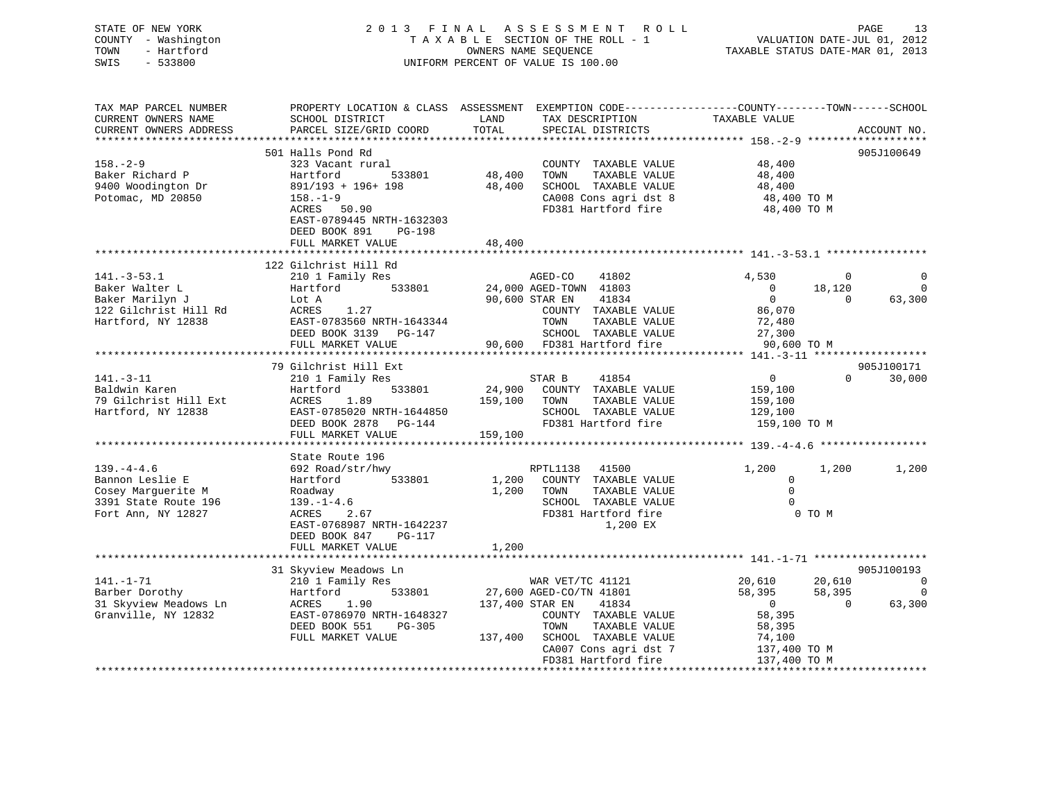| STATE OF NEW YORK<br>COUNTY - Washington<br>TOWN<br>- Hartford<br>SWIS<br>$-533800$                                                                                                                                                                     |                                                                                                                                                                                                         |                       | 2013 FINAL ASSESSMENT ROLL<br>TAXABLE SECTION OF THE ROLL - 1<br>OWNERS NAME SEQUENCE<br>UNIFORM PERCENT OF VALUE IS 100.00                                                                                                                                                                                                                                                                 | PAGE 13<br>VALUATION DATE-JUL 01, 2012<br>TAXABLE STATUS DATE-MAR 01, 2013 |                    |                                  |
|---------------------------------------------------------------------------------------------------------------------------------------------------------------------------------------------------------------------------------------------------------|---------------------------------------------------------------------------------------------------------------------------------------------------------------------------------------------------------|-----------------------|---------------------------------------------------------------------------------------------------------------------------------------------------------------------------------------------------------------------------------------------------------------------------------------------------------------------------------------------------------------------------------------------|----------------------------------------------------------------------------|--------------------|----------------------------------|
| TAX MAP PARCEL NUMBER<br>CURRENT OWNERS NAME<br>CURRENT OWNERS ADDRESS                                                                                                                                                                                  | PROPERTY LOCATION & CLASS ASSESSMENT EXEMPTION CODE----------------COUNTY-------TOWN------SCHOOL<br>SCHOOL DISTRICT<br>PARCEL SIZE/GRID COORD                                                           | <b>LAND</b><br>TOTAL  | TAX DESCRIPTION TAXABLE VALUE<br>SPECIAL DISTRICTS                                                                                                                                                                                                                                                                                                                                          |                                                                            |                    | ACCOUNT NO.                      |
|                                                                                                                                                                                                                                                         | 501 Halls Pond Rd                                                                                                                                                                                       |                       |                                                                                                                                                                                                                                                                                                                                                                                             |                                                                            |                    | 905J100649                       |
| $158. - 2 - 9$                                                                                                                                                                                                                                          | 323 Vacant rural                                                                                                                                                                                        | COUNTY<br>48,400 TOWN | COUNTY TAXABLE VALUE 48,400<br>48,400 TOWN TAXABLE VALUE 48,400<br>48,400 SCHOOL TAXABLE VALUE 48,400<br>CA008 Cons agri dst 8 48,400 TO M<br>FD381 Hartford fire 48,400 TO M                                                                                                                                                                                                               |                                                                            |                    |                                  |
| Baker Richard P                                                                                                                                                                                                                                         |                                                                                                                                                                                                         |                       |                                                                                                                                                                                                                                                                                                                                                                                             |                                                                            |                    |                                  |
| 9400 Woodington Dr<br>Potomac, MD 20850                                                                                                                                                                                                                 | 891/193 + 196+ 198<br>158.-1-9<br>ACRES 50.90                                                                                                                                                           |                       |                                                                                                                                                                                                                                                                                                                                                                                             |                                                                            |                    |                                  |
|                                                                                                                                                                                                                                                         |                                                                                                                                                                                                         |                       |                                                                                                                                                                                                                                                                                                                                                                                             |                                                                            |                    |                                  |
|                                                                                                                                                                                                                                                         | EAST-0789445 NRTH-1632303<br>DEED BOOK 891 PG-198<br>FULL MARKET VALUE                                                                                                                                  | 48,400                |                                                                                                                                                                                                                                                                                                                                                                                             |                                                                            |                    |                                  |
|                                                                                                                                                                                                                                                         |                                                                                                                                                                                                         |                       |                                                                                                                                                                                                                                                                                                                                                                                             |                                                                            |                    |                                  |
|                                                                                                                                                                                                                                                         | 122 Gilchrist Hill Rd                                                                                                                                                                                   |                       |                                                                                                                                                                                                                                                                                                                                                                                             |                                                                            |                    |                                  |
| $141.-3-53.1$<br>141.-3-53.1 210 1 Family Res AGED-CO 41802<br>Baker Walter L Hartford 533801 24,000 AGED-TOWN 41803<br>Baker Marilyn J Lot A 90,600 STAR EN 41834<br>122 Gilchrist Hill Rd ACRES 1.27 COUNTY TAXABLE VALUE<br>Hartford, NY 12838 EAST- | 210 1 Family Res                                                                                                                                                                                        |                       | AGED-CO 41802                                                                                                                                                                                                                                                                                                                                                                               | 4,530                                                                      | $\sim$ 0           | $\overline{0}$<br>$\overline{0}$ |
|                                                                                                                                                                                                                                                         |                                                                                                                                                                                                         |                       |                                                                                                                                                                                                                                                                                                                                                                                             | $\begin{array}{c} 0 \\ 0 \end{array}$                                      | 18,120<br>$\sim$ 0 | 63,300                           |
|                                                                                                                                                                                                                                                         |                                                                                                                                                                                                         |                       |                                                                                                                                                                                                                                                                                                                                                                                             | $0$<br>86,070<br>72,480<br>27,300                                          |                    |                                  |
|                                                                                                                                                                                                                                                         |                                                                                                                                                                                                         |                       | COUNTY TAXABLE VALUE<br>TOWN     TAXABLE VALUE<br>SCHOOL   TAXABLE VALUE                                                                                                                                                                                                                                                                                                                    |                                                                            |                    |                                  |
|                                                                                                                                                                                                                                                         | DEED BOOK 3139 PG-147                                                                                                                                                                                   |                       |                                                                                                                                                                                                                                                                                                                                                                                             |                                                                            |                    |                                  |
|                                                                                                                                                                                                                                                         | FULL MARKET VALUE 90,600 FD381 Hartford fire 90,600 TO M                                                                                                                                                |                       |                                                                                                                                                                                                                                                                                                                                                                                             |                                                                            |                    |                                  |
|                                                                                                                                                                                                                                                         |                                                                                                                                                                                                         |                       |                                                                                                                                                                                                                                                                                                                                                                                             |                                                                            |                    |                                  |
|                                                                                                                                                                                                                                                         | 79 Gilchrist Hill Ext                                                                                                                                                                                   |                       |                                                                                                                                                                                                                                                                                                                                                                                             |                                                                            |                    | 905J100171                       |
| $141.-3-11$                                                                                                                                                                                                                                             | 210 1 Family Res                                                                                                                                                                                        |                       | STAR B 41854                                                                                                                                                                                                                                                                                                                                                                                | $\overline{0}$                                                             |                    | $0 \t 30,000$                    |
| Baldwin Karen                                                                                                                                                                                                                                           |                                                                                                                                                                                                         |                       |                                                                                                                                                                                                                                                                                                                                                                                             |                                                                            |                    |                                  |
| 79 Gilchrist Hill Ext                                                                                                                                                                                                                                   |                                                                                                                                                                                                         |                       |                                                                                                                                                                                                                                                                                                                                                                                             | 159,100<br>159,100                                                         |                    |                                  |
| Hartford, NY 12838                                                                                                                                                                                                                                      |                                                                                                                                                                                                         |                       |                                                                                                                                                                                                                                                                                                                                                                                             | 129,100                                                                    |                    |                                  |
|                                                                                                                                                                                                                                                         | 210 1 Family Res<br>Hartford 533801 24,900 COUNTY TAXABLE VALUE<br>ACRES 1.89 159,100 TOWN TAXABLE VALUE<br>EAST-0785020 NRTH-1644850 SCHOOL TAXABLE VALUE<br>DEED BOOK 2878 PG-144 FD381 Hartford fire |                       |                                                                                                                                                                                                                                                                                                                                                                                             | 159,100 TO M                                                               |                    |                                  |
|                                                                                                                                                                                                                                                         | FULL MARKET VALUE                                                                                                                                                                                       | 159,100               |                                                                                                                                                                                                                                                                                                                                                                                             |                                                                            |                    |                                  |
|                                                                                                                                                                                                                                                         |                                                                                                                                                                                                         |                       |                                                                                                                                                                                                                                                                                                                                                                                             |                                                                            |                    |                                  |
| $139. -4 - 4.6$                                                                                                                                                                                                                                         | State Route 196                                                                                                                                                                                         |                       |                                                                                                                                                                                                                                                                                                                                                                                             |                                                                            |                    |                                  |
|                                                                                                                                                                                                                                                         | 692 Road/str/hwy<br>Hartford 533801                                                                                                                                                                     |                       | RPTL1138 41500<br>1,200 COUNTY TAXABLE VALUE                                                                                                                                                                                                                                                                                                                                                | 1,200<br>$\mathbf{0}$                                                      | 1,200              | 1,200                            |
| $\begin{array}{c}\n \cdot \cdot \cdot \\  \text{Bannon Leslie E} \\  \text{Coker: } \cdot \cdot\n \end{array}$<br>Cosey Marquerite M                                                                                                                    |                                                                                                                                                                                                         |                       | 1,200 TOWN TAXABLE VALUE                                                                                                                                                                                                                                                                                                                                                                    | $\overline{0}$                                                             |                    |                                  |
| 3391 State Route 196                                                                                                                                                                                                                                    |                                                                                                                                                                                                         |                       |                                                                                                                                                                                                                                                                                                                                                                                             | $\mathbf{0}$                                                               |                    |                                  |
| Fort Ann, NY 12827                                                                                                                                                                                                                                      | Roadway<br>139.-1-4.6<br>ACRES 2.67<br>DICE 15.17                                                                                                                                                       |                       | SCHOOL TAXABLE VALUE<br>FD381 Hartford fire                                                                                                                                                                                                                                                                                                                                                 |                                                                            | 0 TO M             |                                  |
|                                                                                                                                                                                                                                                         | EAST-0768987 NRTH-1642237                                                                                                                                                                               |                       | 1,200 EX                                                                                                                                                                                                                                                                                                                                                                                    |                                                                            |                    |                                  |
|                                                                                                                                                                                                                                                         | DEED BOOK 847 PG-117                                                                                                                                                                                    |                       |                                                                                                                                                                                                                                                                                                                                                                                             |                                                                            |                    |                                  |
|                                                                                                                                                                                                                                                         | FULL MARKET VALUE                                                                                                                                                                                       | 1,200                 |                                                                                                                                                                                                                                                                                                                                                                                             |                                                                            |                    |                                  |
|                                                                                                                                                                                                                                                         |                                                                                                                                                                                                         |                       |                                                                                                                                                                                                                                                                                                                                                                                             |                                                                            |                    |                                  |
|                                                                                                                                                                                                                                                         | 31 Skyview Meadows Ln                                                                                                                                                                                   |                       |                                                                                                                                                                                                                                                                                                                                                                                             |                                                                            |                    | 905J100193                       |
|                                                                                                                                                                                                                                                         |                                                                                                                                                                                                         |                       |                                                                                                                                                                                                                                                                                                                                                                                             |                                                                            |                    |                                  |
| 31 Skyview Meadows Ln<br>210 1 Family Res<br>Barber Dorothy<br>31 Skyview Meadows Ln<br>31 Skyview Meadows Ln<br>31 Skyview Meadows Ln<br>31 Skyview Meadows Ln<br>31 Skyview Meadows Ln<br>31 Skyview Meadows Ln<br>31 Skyview Meadows Ln<br>31 S      |                                                                                                                                                                                                         |                       |                                                                                                                                                                                                                                                                                                                                                                                             |                                                                            |                    |                                  |
|                                                                                                                                                                                                                                                         |                                                                                                                                                                                                         |                       |                                                                                                                                                                                                                                                                                                                                                                                             |                                                                            |                    |                                  |
|                                                                                                                                                                                                                                                         |                                                                                                                                                                                                         |                       |                                                                                                                                                                                                                                                                                                                                                                                             |                                                                            |                    |                                  |
|                                                                                                                                                                                                                                                         |                                                                                                                                                                                                         |                       |                                                                                                                                                                                                                                                                                                                                                                                             |                                                                            |                    |                                  |
|                                                                                                                                                                                                                                                         | FULL MARKET VALUE                                                                                                                                                                                       |                       | 137,400 SCHOOL TAXABLE VALUE<br>$\begin{tabular}{lllllllllll} \texttt{SCHOOL} & \texttt{TAXABLE} & \texttt{VAJUE} & & \texttt{74,100} \\ \texttt{CA007} & \texttt{Cons} & \texttt{agri} & \texttt{dst} & \texttt{7} & & \texttt{137,400} & \texttt{TO} & \texttt{M} \\ \texttt{FD381} & \texttt{Hartford} & \texttt{fire} & & \texttt{137,400} & \texttt{TO} & \texttt{M} \\ \end{tabular}$ |                                                                            |                    |                                  |
|                                                                                                                                                                                                                                                         |                                                                                                                                                                                                         |                       |                                                                                                                                                                                                                                                                                                                                                                                             |                                                                            |                    |                                  |
|                                                                                                                                                                                                                                                         |                                                                                                                                                                                                         |                       |                                                                                                                                                                                                                                                                                                                                                                                             |                                                                            |                    |                                  |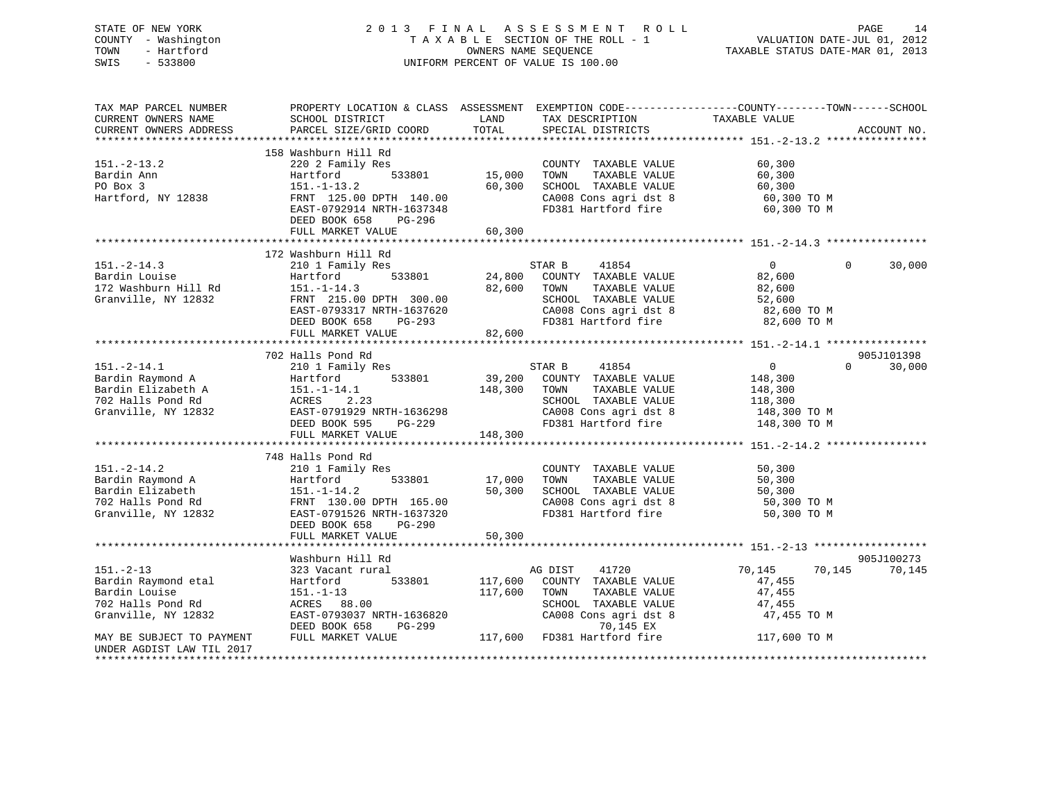# STATE OF NEW YORK 2 0 1 3 F I N A L A S S E S S M E N T R O L L PAGE 14 COUNTY - Washington T A X A B L E SECTION OF THE ROLL - 1 VALUATION DATE-JUL 01, 2012 TOWN - Hartford **TAXABLE STATUS DATE-MAR 01, 2013** OWNERS NAME SEQUENCE TAXABLE STATUS DATE-MAR 01, 2013 SWIS - 533800 UNIFORM PERCENT OF VALUE IS 100.00

| TAX MAP PARCEL NUMBER<br>CURRENT OWNERS NAME<br>CURRENT OWNERS ADDRESS                                                                                                                                                                | PROPERTY LOCATION & CLASS ASSESSMENT EXEMPTION CODE----------------COUNTY-------TOWN------SCHOOL<br>SCHOOL DISTRICT<br>PARCEL SIZE/GRID COORD                                                 | LAND<br>TOTAL                   | TAX DESCRIPTION<br>SPECIAL DISTRICTS                                                                                                                                                 | TAXABLE VALUE                                                                     | ACCOUNT NO.                      |
|---------------------------------------------------------------------------------------------------------------------------------------------------------------------------------------------------------------------------------------|-----------------------------------------------------------------------------------------------------------------------------------------------------------------------------------------------|---------------------------------|--------------------------------------------------------------------------------------------------------------------------------------------------------------------------------------|-----------------------------------------------------------------------------------|----------------------------------|
| $151.-2-13.2$<br>Bardin Ann<br>PO Box 3<br>Hartford, NY 12838                                                                                                                                                                         | 158 Washburn Hill Rd<br>220 2 Family Res<br>533801<br>Hartford<br>$151.-1-13.2$<br>FRNT 125.00 DPTH 140.00<br>EAST-0792914 NRTH-1637348<br>DEED BOOK 658<br>PG-296<br>FULL MARKET VALUE       | 15,000<br>60,300                | COUNTY TAXABLE VALUE<br>TOWN<br>TAXABLE VALUE<br>60,300 SCHOOL TAXABLE VALUE<br>CA008 Cons agri dst 8 60,300 TO M<br>FD381 Hartford fire 60,300 TO M                                 | 60, 300<br>60,300<br>60,300                                                       |                                  |
| $151.-2-14.3$<br>Bardin Louise<br>172 Washburn Hill Rd<br>Granville NY 12832<br>Granville, NY 12832                                                                                                                                   | 172 Washburn Hill Rd<br>210 1 Family Res<br>。<br>533801<br>Hartford<br>$151. - 1 - 14.3$<br>FRNT 215.00 DPTH 300.00<br>EAST-0793317 NRTH-1637620<br>DEED BOOK 658 PG-293<br>FULL MARKET VALUE | 82,600 TOWN<br>82,600           | STAR B 41854<br>24,800 COUNTY TAXABLE VALUE<br>TAXABLE VALUE<br>SCHOOL TAXABLE VALUE<br>CA008 Cons agri dst 8 32,600 TO M<br>FD381 Hartford fire                                     | $\overline{0}$<br>82,600<br>82,600<br>52,600<br>82,600 TO M                       | $\Omega$<br>30,000               |
| 151.-2-14.1 210 1 $r_{\text{a}}$<br>Bardin Raymond A Hartford 533801 1812abeth A 151.-1-14.1 148,300<br>702 Halls Pond Rd ACRES 2.23<br>7--nwille, NY 12832 EAST-0791929 NRTH-1636298<br>PEED BOOK 595 PG-229<br>PEED BOOK 595 PG-229 |                                                                                                                                                                                               | 148,300 TOWN                    | STAR B<br>41854<br>39,200 COUNTY TAXABLE VALUE<br>TAXABLE VALUE<br>SCHOOL TAXABLE VALUE<br>CAOO8 Cons agri dst 8 148,300 TO M<br>FD381 Hartford fire 148,300 TO M                    | $\overline{0}$<br>148,300<br>148,300<br>118, 300<br>148, 300 TO M<br>10, 300 TO M | 905J101398<br>30,000<br>$\Omega$ |
| $151. - 2 - 14.2$                                                                                                                                                                                                                     | 748 Halls Pond Rd<br>210 1 Family Res<br>DEED BOOK 658 PG-290<br>FULL MARKET VALUE                                                                                                            | 17,000 TOWN<br>50,300<br>50,300 | COUNTY TAXABLE VALUE<br>TAXABLE VALUE<br>SCHOOL TAXABLE VALUE<br>CA008 Cons agri dst 8 50,300 TO M<br>FD381 Hartford fire 50,300 TO M                                                | 50,300<br>50,300<br>50,300                                                        |                                  |
| $151. - 2 - 13$<br>Bardin Raymond etal<br>Bardin Louise<br>702 Halls Pond Rd<br>Granville, NY 12832<br>MAY BE SUBJECT TO PAYMENT<br>UNDER AGDIST LAW TIL 2017                                                                         | Washburn Hill Rd<br>323 Vacant rural<br>Hartford<br>$151.-1-13$<br>ACRES 88.00<br>EAST-0793037 NRTH-1636820<br>DEED BOOK 658<br>PG-299<br>FULL MARKET VALUE                                   | 117,600 TOWN                    | AG DIST<br>41720<br>533801 117,600 COUNTY TAXABLE VALUE<br>TAXABLE VALUE<br>SCHOOL TAXABLE VALUE<br>$CA008$ Cons agri dst 8<br>70,145 EX<br>117,600 FD381 Hartford fire 117,600 TO M | 70,145<br>70,145<br>47,455<br>47,455<br>47,455<br>47,455 TO M                     | 905J100273<br>70,145             |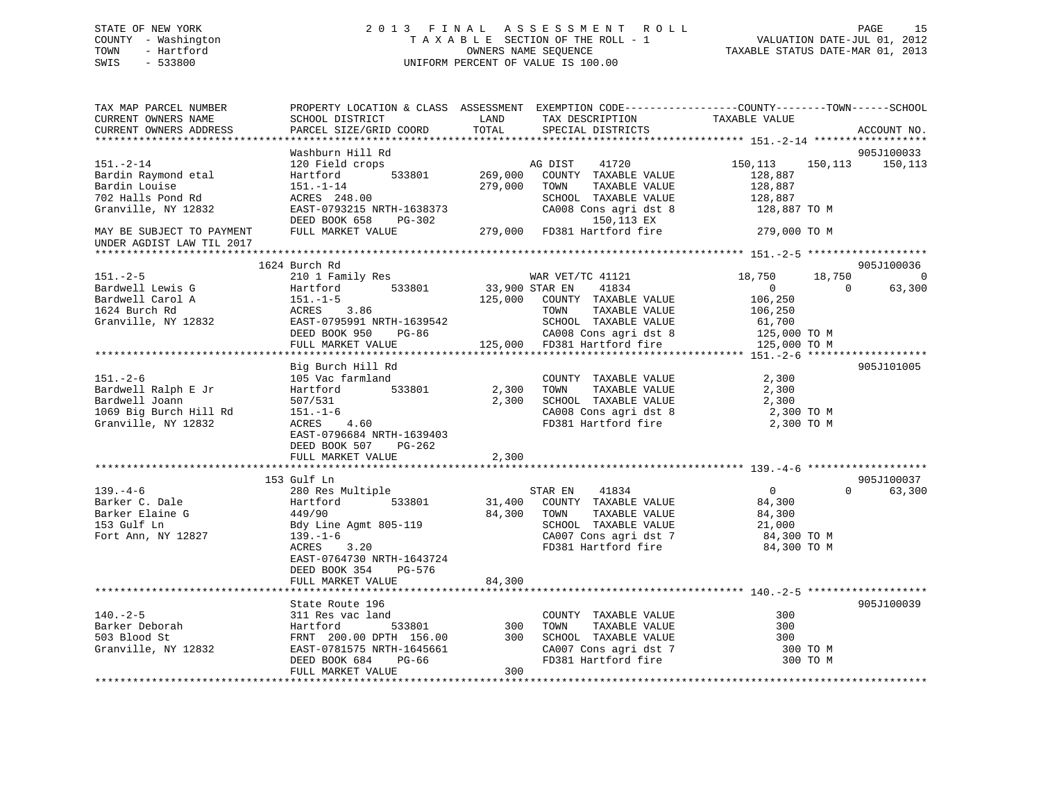# STATE OF NEW YORK 2 0 1 3 F I N A L A S S E S S M E N T R O L L PAGE 15 COUNTY - Washington T A X A B L E SECTION OF THE ROLL - 1 VALUATION DATE-JUL 01, 2012 TOWN - Hartford **TAXABLE STATUS DATE-MAR 01, 2013** OWNERS NAME SEQUENCE TAXABLE STATUS DATE-MAR 01, 2013 SWIS - 533800 UNIFORM PERCENT OF VALUE IS 100.00

| TAX MAP PARCEL NUMBER<br>CURRENT OWNERS NAME                                                             | PROPERTY LOCATION & CLASS ASSESSMENT EXEMPTION CODE----------------COUNTY-------TOWN------SCHOOL<br>SCHOOL DISTRICT                                                                 | LAND                      | TAX DESCRIPTION                                                                                                                                            | TAXABLE VALUE                                                                                |                                |
|----------------------------------------------------------------------------------------------------------|-------------------------------------------------------------------------------------------------------------------------------------------------------------------------------------|---------------------------|------------------------------------------------------------------------------------------------------------------------------------------------------------|----------------------------------------------------------------------------------------------|--------------------------------|
| CURRENT OWNERS ADDRESS                                                                                   | PARCEL SIZE/GRID COORD                                                                                                                                                              | TOTAL                     | SPECIAL DISTRICTS                                                                                                                                          |                                                                                              | ACCOUNT NO.                    |
|                                                                                                          | Washburn Hill Rd                                                                                                                                                                    |                           |                                                                                                                                                            |                                                                                              | 905J100033                     |
| $151. - 2 - 14$<br>Bardin Raymond etal<br>Bardin Louise<br>702 Halls Pond Rd<br>Granville, NY 12832      | 120 Field crops<br>533801<br>Hartford<br>$151. - 1 - 14$<br>ACRES 248.00<br>EAST-0793215 NRTH-1638373<br>DEED BOOK 658<br>PG-302                                                    | 269,000<br>279,000        | 41720<br>AG DIST<br>COUNTY TAXABLE VALUE<br>TOWN<br>TAXABLE VALUE<br>SCHOOL TAXABLE VALUE<br>CA008 Cons agri dst 8<br>150,113 EX                           | 150,113<br>150,113<br>128,887<br>128,887<br>128,887<br>128,887 TO M                          | 150,113                        |
| MAY BE SUBJECT TO PAYMENT<br>UNDER AGDIST LAW TIL 2017                                                   | FULL MARKET VALUE                                                                                                                                                                   |                           | 279,000 FD381 Hartford fire                                                                                                                                | 279,000 TO M                                                                                 |                                |
|                                                                                                          |                                                                                                                                                                                     |                           |                                                                                                                                                            |                                                                                              |                                |
|                                                                                                          | 1624 Burch Rd                                                                                                                                                                       |                           |                                                                                                                                                            |                                                                                              | 905J100036                     |
| $151. - 2 - 5$<br>Bardwell Lewis G<br>Bardwell Carol A<br>1624 Burch Rd<br>Granville, NY 12832           | 210 1 Family Res<br>533801<br>Hartford<br>$151.-1-5$<br>ACRES 3.86<br>EAST-0795991 NRTH-1639542<br>DEED BOOK 950<br>PG-86<br>FULL MARKET VALUE                                      | 33,900 STAR EN<br>125,000 | WAR VET/TC 41121<br>41834<br>COUNTY TAXABLE VALUE<br>TAXABLE VALUE<br>TOWN<br>SCHOOL TAXABLE VALUE<br>CA008 Cons agri dst 8<br>125,000 FD381 Hartford fire | 18,750<br>18,750<br>$\Omega$<br>106,250<br>106,250<br>61,700<br>125,000 TO M<br>125,000 TO M | $\Omega$<br>63,300<br>$\Omega$ |
|                                                                                                          |                                                                                                                                                                                     |                           |                                                                                                                                                            |                                                                                              |                                |
| $151. - 2 - 6$<br>Bardwell Ralph E Jr<br>Bardwell Joann<br>1069 Big Burch Hill Rd<br>Granville, NY 12832 | Big Burch Hill Rd<br>105 Vac farmland<br>Hartford<br>533801<br>507/531<br>$151. - 1 - 6$<br>ACRES<br>4.60<br>EAST-0796684 NRTH-1639403<br>DEED BOOK 507<br>PG-262                   | 2,300<br>2,300            | COUNTY TAXABLE VALUE<br>TAXABLE VALUE<br>TOWN<br>SCHOOL TAXABLE VALUE<br>CA008 Cons agri dst 8<br>FD381 Hartford fire                                      | 2,300<br>2,300<br>2,300<br>2,300 TO M<br>2,300 TO M                                          | 905J101005                     |
|                                                                                                          | FULL MARKET VALUE                                                                                                                                                                   | 2,300                     |                                                                                                                                                            |                                                                                              |                                |
|                                                                                                          |                                                                                                                                                                                     | * * * * * * * * * * * * * |                                                                                                                                                            |                                                                                              |                                |
| $139. -4 - 6$<br>Barker C. Dale<br>Barker Elaine G<br>153 Gulf Ln<br>Fort Ann, NY 12827                  | 153 Gulf Ln<br>280 Res Multiple<br>Hartford<br>533801<br>449/90<br>Bdy Line Agmt 805-119<br>$139. - 1 - 6$<br>3.20<br>ACRES<br>EAST-0764730 NRTH-1643724<br>DEED BOOK 354<br>PG-576 | 31,400<br>84,300          | STAR EN<br>41834<br>COUNTY TAXABLE VALUE<br>TAXABLE VALUE<br>TOWN<br>SCHOOL TAXABLE VALUE<br>CA007 Cons agri dst 7<br>FD381 Hartford fire                  | 0<br>84,300<br>84,300<br>21,000<br>84,300 TO M<br>84,300 TO M                                | 905J100037<br>0<br>63,300      |
|                                                                                                          | FULL MARKET VALUE                                                                                                                                                                   | 84,300                    |                                                                                                                                                            |                                                                                              |                                |
|                                                                                                          |                                                                                                                                                                                     |                           |                                                                                                                                                            |                                                                                              |                                |
| $140. - 2 - 5$<br>Barker Deborah<br>503 Blood St<br>Granville, NY 12832                                  | State Route 196<br>311 Res vac land<br>533801<br>Hartford<br>FRNT 200.00 DPTH 156.00<br>EAST-0781575 NRTH-1645661<br>DEED BOOK 684<br>PG-66                                         | 300<br>300                | COUNTY TAXABLE VALUE<br>TOWN<br>TAXABLE VALUE<br>SCHOOL TAXABLE VALUE<br>CA007 Cons agri dst 7<br>FD381 Hartford fire                                      | 300<br>300<br>300<br>300 TO M<br>300 TO M                                                    | 905J100039                     |
|                                                                                                          | FULL MARKET VALUE                                                                                                                                                                   | 300                       |                                                                                                                                                            |                                                                                              |                                |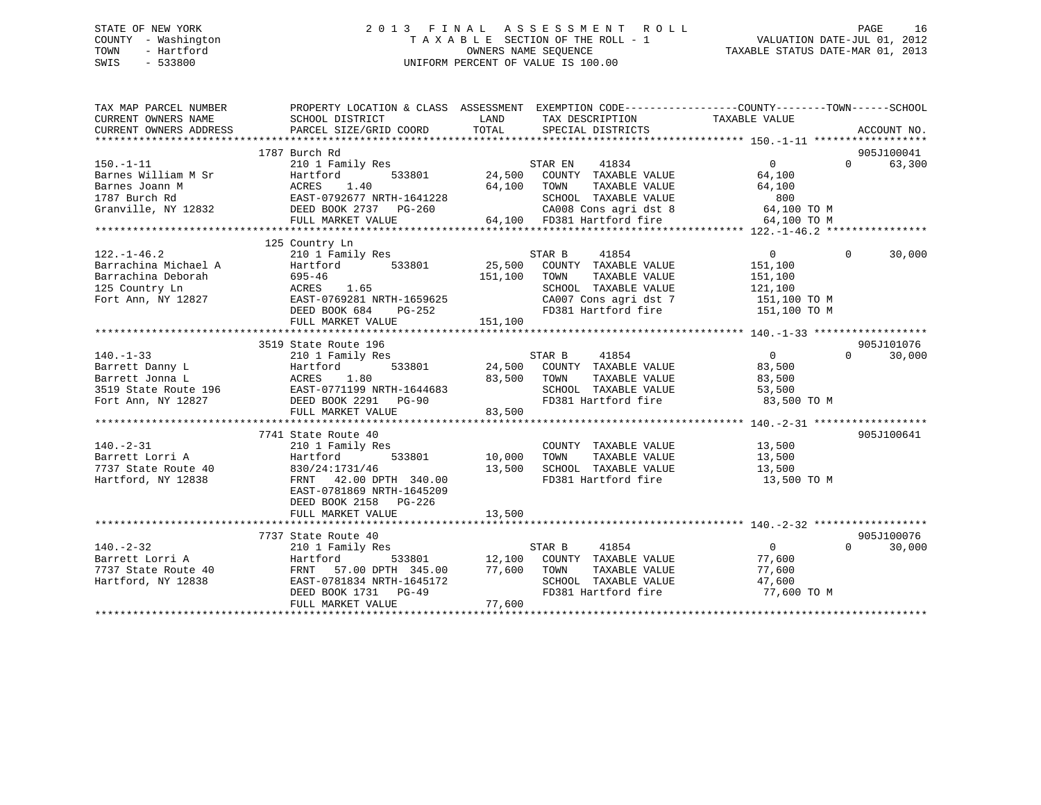# STATE OF NEW YORK 2 0 1 3 F I N A L A S S E S S M E N T R O L L PAGE 16 COUNTY - Washington T A X A B L E SECTION OF THE ROLL - 1 VALUATION DATE-JUL 01, 2012 TOWN - Hartford **TAXABLE STATUS DATE-MAR 01, 2013** OWNERS NAME SEQUENCE TAXABLE STATUS DATE-MAR 01, 2013 SWIS - 533800 UNIFORM PERCENT OF VALUE IS 100.00

| TAX MAP PARCEL NUMBER                                                           |                                                                                                                                                                                                                                                                                                          |                                                                                                                                                                                                                                                        | PROPERTY LOCATION & CLASS ASSESSMENT EXEMPTION CODE---------------COUNTY-------TOWN------SCHOOL               |
|---------------------------------------------------------------------------------|----------------------------------------------------------------------------------------------------------------------------------------------------------------------------------------------------------------------------------------------------------------------------------------------------------|--------------------------------------------------------------------------------------------------------------------------------------------------------------------------------------------------------------------------------------------------------|---------------------------------------------------------------------------------------------------------------|
| $150. - 1 - 11$                                                                 | 1787 Burch Rd<br>210 1 Family Res                                                                                                                                                                                                                                                                        | STAR EN 41834<br>150.-1-11<br>Barnes William M Sr Hartford 533801 24,500 COUNTI IMMERT UNITE WILD 64,100<br>Barnes Joann M ACRES 1.40 64,100 TOWN TAXABLE VALUE 64,100<br>1787 Burch Rd EAST-0792677 NRTH-1641228 SCHOOL TAXABLE VALUE 800<br>Granvill | 905J100041<br>$\overline{0}$<br>$\Omega$ and $\Omega$<br>63,300                                               |
|                                                                                 | 125 Country Ln<br>122.-1-46.2 210 1 $\overline{\text{Family Res}}$ 25,500<br>Barrachina Michael A Hartford 533801 25,500<br>151,100<br>151,100<br>151,100<br>Fort Ann, NY 12827 BAST-0769281 NRTH-1659625<br>DEED BOOK 684 PG-252<br>FULL MARKET VALUE                                                   | STAR B<br>41854<br>25,500 COUNTY TAXABLE VALUE<br>151,100 TOWN TAXABLE VALUE<br>151,100 TOWN<br>SCHOOL TAXABLE VALUE 121,100<br>CA007 Cons agri dst 7 151,100 TO M<br>FD381 Hartford fire 151,100 TO M<br>151,100                                      | $\overline{0}$<br>$\Omega$<br>30,000<br>151,100<br>151,100                                                    |
|                                                                                 | 3519 State Route 196                                                                                                                                                                                                                                                                                     | SCHOOL TAXABLE VALUE<br>FD381 Hartford fire                                                                                                                                                                                                            | 905J101076<br>$\overline{0}$<br>30,000<br>$\Omega$<br>83,500<br>TAXABLE VALUE 83,500<br>53,500<br>83,500 TO M |
|                                                                                 | 2 3.<br>210 1 Family Res<br>210 1 Family Res<br>210 1 Family Res<br>210 1 Family Res<br>210 1 533801<br>210 533801<br>210 533801<br>210 533801<br>210 533801<br>210 533801<br>210 533801<br>210,000 TOWN<br>210,000 TOWN<br>210,000 TOWN<br>210,500 SCHOOT<br>DEED BOOK 2158 PG-226<br>FULL MARKET VALUE | COUNTY TAXABLE VALUE 13,500<br>TOWN TAXABLE VALUE 13,500<br>SCHOOL TAXABLE VALUE 13,500<br>FD381 Hartford fire<br>13,500                                                                                                                               | 905J100641<br>13,500<br>13,500 TO M                                                                           |
| $140. - 2 - 32$<br>Farrett Lorri A<br>7737 State Route 40<br>Hartford, NY 12838 | 7737 State Route 40<br>210 1 Family Res                                                                                                                                                                                                                                                                  | $STAR B$ 41854<br>210 1 Paint Lips 2014 12, 100 COUNTY TAXABLE VALUE 77, 600<br>FRNT 57.00 DPTH 345.00 77, 600 TOWN TAXABLE VALUE 77, 600<br>EAST-0781834 NRTH-1645172 SCHOOL TAXABLE VALUE 47, 600<br>DEED BOOK 1731 PG-49 77, 600 FULL MARKET VALUE  | 905J100076<br>$\overline{0}$<br>$\Omega$<br>30,000<br>FD381 Hartford fire 77,600 TO M                         |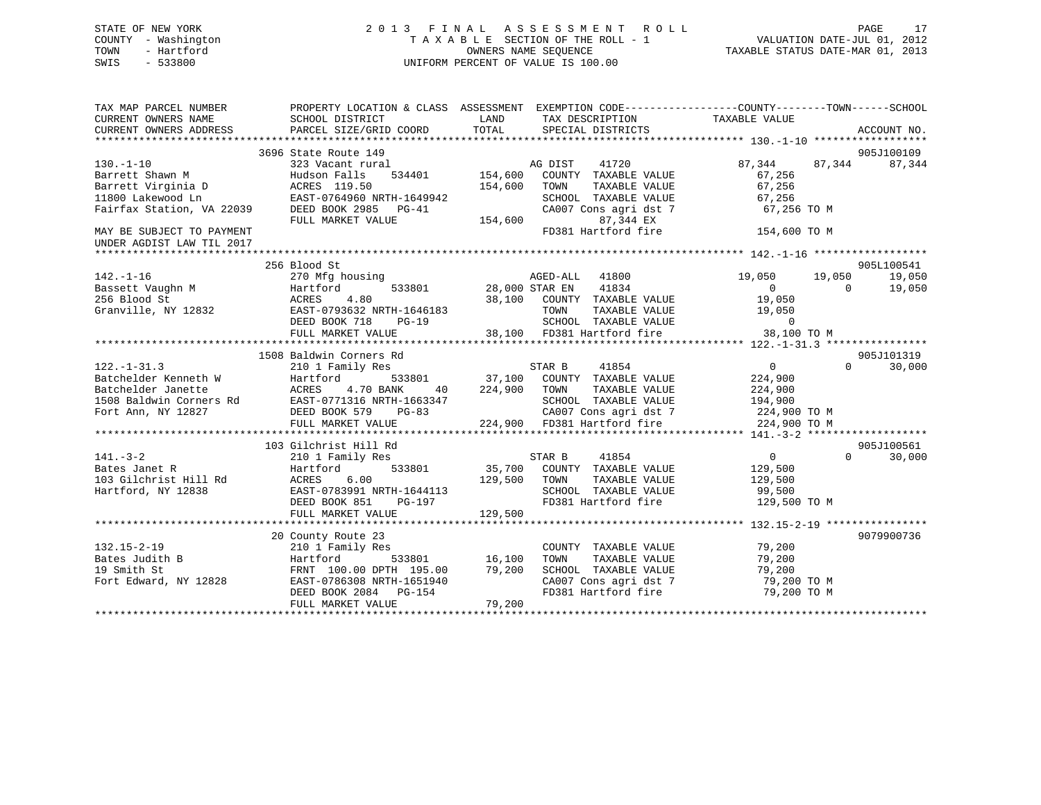# STATE OF NEW YORK 2 0 1 3 F I N A L A S S E S S M E N T R O L L PAGE 17 COUNTY - Washington T A X A B L E SECTION OF THE ROLL - 1 VALUATION DATE-JUL 01, 2012 TOWN - Hartford **TAXABLE STATUS DATE-MAR 01, 2013** SWIS - 533800 UNIFORM PERCENT OF VALUE IS 100.00

| TAX MAP PARCEL NUMBER<br>CURRENT OWNERS NAME<br>CURRENT OWNERS ADDRESS | PROPERTY LOCATION & CLASS ASSESSMENT EXEMPTION CODE---------------COUNTY-------TOWN-----SCHOOL<br>SCHOOL DISTRICT<br>PARCEL SIZE/GRID COORD                                                                                                        | LAND<br>TOTAL | TAX DESCRIPTION<br>SPECIAL DISTRICTS                             | TAXABLE VALUE        | ACCOUNT NO.                    |
|------------------------------------------------------------------------|----------------------------------------------------------------------------------------------------------------------------------------------------------------------------------------------------------------------------------------------------|---------------|------------------------------------------------------------------|----------------------|--------------------------------|
|                                                                        |                                                                                                                                                                                                                                                    |               |                                                                  |                      |                                |
|                                                                        | 3696 State Route 149                                                                                                                                                                                                                               |               |                                                                  |                      | 905J100109                     |
| $130. - 1 - 10$                                                        | 323 Vacant rural                                                                                                                                                                                                                                   |               | AG DIST<br>41720                                                 | 87,344 87,344        | 87,344                         |
| Barrett Shawn M                                                        | 534401 154,600<br>Hudson Falls                                                                                                                                                                                                                     |               | COUNTY TAXABLE VALUE                                             | 67,256               |                                |
| Barrett Virginia D                                                     | ACRES 119.50                                                                                                                                                                                                                                       | 154,600       | TOWN<br>TAXABLE VALUE                                            | 67,256               |                                |
|                                                                        |                                                                                                                                                                                                                                                    |               |                                                                  | 67,256               |                                |
|                                                                        |                                                                                                                                                                                                                                                    |               | SCHOOL TAXABLE VALUE<br>CA007 Cons agri dst 7                    | 67,256 TO M          |                                |
|                                                                        | FULL MARKET VALUE                                                                                                                                                                                                                                  | 154,600       | 87,344 EX                                                        |                      |                                |
| MAY BE SUBJECT TO PAYMENT<br>UNDER AGDIST LAW TIL 2017                 |                                                                                                                                                                                                                                                    |               | FD381 Hartford fire 154,600 TO M                                 |                      |                                |
|                                                                        |                                                                                                                                                                                                                                                    |               |                                                                  |                      |                                |
| $142. - 1 - 16$                                                        | 256 Blood St<br>270 Mfg housing                                                                                                                                                                                                                    |               | AGED-ALL 41800                                                   | 19,050               | 905L100541<br>19,050<br>19,050 |
|                                                                        |                                                                                                                                                                                                                                                    |               | 533801 28,000 STAR EN 41834                                      | $\overline{0}$       | $\overline{0}$<br>19,050       |
|                                                                        |                                                                                                                                                                                                                                                    |               | 38,100 COUNTY TAXABLE VALUE                                      | 19,050               |                                |
|                                                                        |                                                                                                                                                                                                                                                    |               | TOWN                                                             | TAXABLE VALUE 19,050 |                                |
|                                                                        | DEED BOOK 718<br>$PG-19$                                                                                                                                                                                                                           |               |                                                                  |                      |                                |
|                                                                        | FULL MARKET VALUE                                                                                                                                                                                                                                  |               | SCHOOL TAXABLE VALUE 0<br>38,100 FD381 Hartford fire 38,100 TO M |                      |                                |
|                                                                        |                                                                                                                                                                                                                                                    |               |                                                                  |                      |                                |
|                                                                        | 1508 Baldwin Corners Rd                                                                                                                                                                                                                            |               |                                                                  |                      | 905J101319                     |
| $122. - 1 - 31.3$                                                      | 210 1 Family Res                                                                                                                                                                                                                                   |               | STAR B 41854                                                     | $\overline{0}$       | $\Omega$<br>30,000             |
|                                                                        |                                                                                                                                                                                                                                                    |               |                                                                  |                      |                                |
|                                                                        |                                                                                                                                                                                                                                                    |               |                                                                  |                      |                                |
|                                                                        |                                                                                                                                                                                                                                                    |               |                                                                  |                      |                                |
|                                                                        |                                                                                                                                                                                                                                                    |               |                                                                  |                      |                                |
|                                                                        |                                                                                                                                                                                                                                                    |               |                                                                  |                      |                                |
|                                                                        |                                                                                                                                                                                                                                                    |               |                                                                  |                      |                                |
|                                                                        | 103 Gilchrist Hill Rd                                                                                                                                                                                                                              |               |                                                                  |                      | 905J100561                     |
| $141. - 3 - 2$                                                         | 210 1 Family Res                                                                                                                                                                                                                                   |               | STAR B<br>41854                                                  | $\overline{0}$       | $\Omega$<br>30,000             |
|                                                                        |                                                                                                                                                                                                                                                    |               | 533801 35,700 COUNTY TAXABLE VALUE 129,500                       |                      |                                |
|                                                                        | 141.-3-2<br>Bates Janet R<br>103 Gilchrist Hill Rd<br>103 Gilchrist Hill Rd<br>103 Gilchrist Hill Rd<br>103 Gilchrist Hill Rd<br>103 Gilchrist Hill Rd<br>103 Gilchrist Hill Rd<br>103 Gilchrist Hill Rd<br>103 Gilchrist Hill Rd<br>103 Gilchrist | 129,500       | TOWN<br>TAXABLE VALUE<br>SCHOOL TAXABLE VALUE 129,500            | 129,500              |                                |
|                                                                        |                                                                                                                                                                                                                                                    |               |                                                                  |                      |                                |
|                                                                        | DEED BOOK 851<br>PG-197                                                                                                                                                                                                                            |               | FD381 Hartford fire 129,500 TO M                                 |                      |                                |
|                                                                        | FULL MARKET VALUE                                                                                                                                                                                                                                  | 129,500       |                                                                  |                      |                                |
|                                                                        |                                                                                                                                                                                                                                                    |               |                                                                  |                      | 9079900736                     |
| $132.15 - 2 - 19$                                                      | 20 County Route 23<br>210 1 Family Res                                                                                                                                                                                                             |               | COUNTY TAXABLE VALUE 79,200                                      |                      |                                |
| Bates Judith B                                                         | Hartford                                                                                                                                                                                                                                           | 533801 16,100 | TOWN<br>TAXABLE VALUE                                            | 79,200               |                                |
| 19 Smith St                                                            |                                                                                                                                                                                                                                                    |               |                                                                  |                      |                                |
| Fort Edward, NY 12828                                                  |                                                                                                                                                                                                                                                    |               | SCHOOL TAXABLE VALUE 79,200<br>CA007 Cons agri dst 7 79,200 TO M |                      |                                |
|                                                                        | FRNT 100.00 DPTH 195.00 79,200<br>EAST-0786308 NRTH-1651940<br>DEED BOOK 2084 PG-154                                                                                                                                                               |               | FD381 Hartford fire 79,200 TO M                                  |                      |                                |
|                                                                        | FULL MARKET VALUE                                                                                                                                                                                                                                  | 79,200        |                                                                  |                      |                                |
|                                                                        |                                                                                                                                                                                                                                                    |               |                                                                  |                      |                                |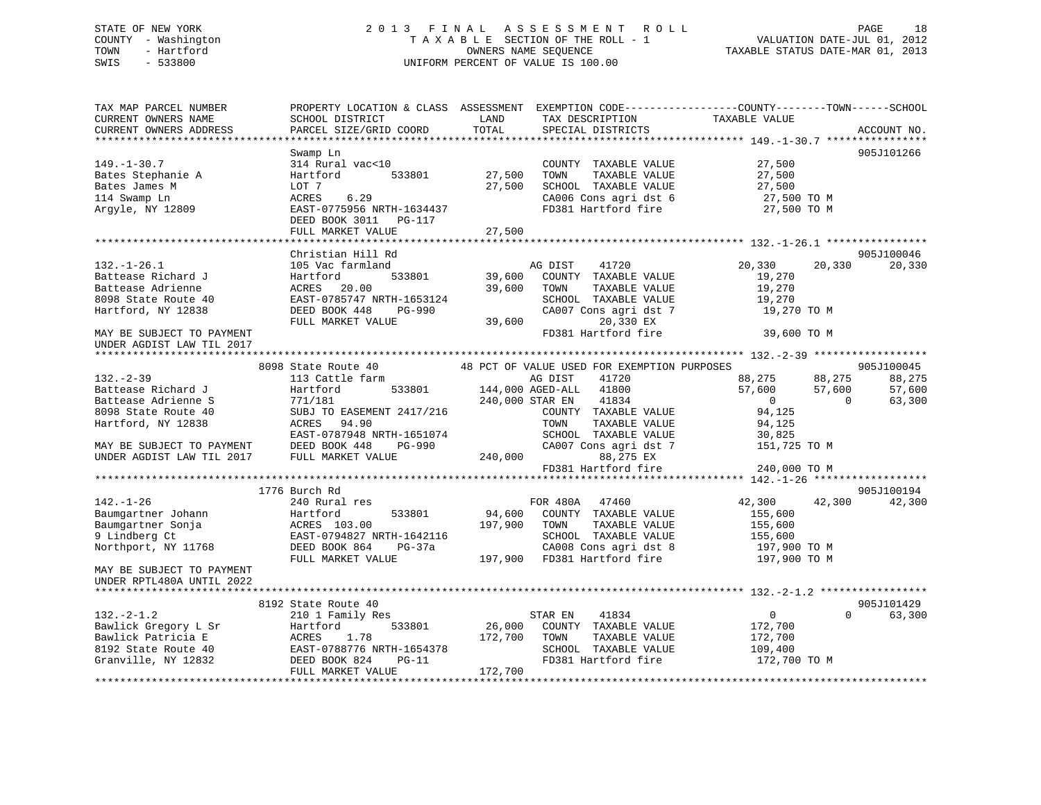# STATE OF NEW YORK 2 0 1 3 F I N A L A S S E S S M E N T R O L L PAGE 18 COUNTY - Washington T A X A B L E SECTION OF THE ROLL - 1 VALUATION DATE-JUL 01, 2012 TOWN - Hartford **TAXABLE STATUS DATE-MAR 01, 2013** OWNERS NAME SEQUENCE TAXABLE STATUS DATE-MAR 01, 2013 SWIS - 533800 UNIFORM PERCENT OF VALUE IS 100.00

| TAX MAP PARCEL NUMBER     |                           |         |                                             | PROPERTY LOCATION & CLASS ASSESSMENT EXEMPTION CODE---------------COUNTY-------TOWN------SCHOOL |             |
|---------------------------|---------------------------|---------|---------------------------------------------|-------------------------------------------------------------------------------------------------|-------------|
| CURRENT OWNERS NAME       | SCHOOL DISTRICT           | LAND    | TAX DESCRIPTION                             | TAXABLE VALUE                                                                                   |             |
| CURRENT OWNERS ADDRESS    | PARCEL SIZE/GRID COORD    | TOTAL   | SPECIAL DISTRICTS                           |                                                                                                 | ACCOUNT NO. |
|                           |                           |         |                                             |                                                                                                 |             |
|                           | Swamp Ln                  |         |                                             |                                                                                                 | 905J101266  |
| $149. - 1 - 30.7$         | 314 Rural vac<10          |         | COUNTY TAXABLE VALUE                        | 27,500                                                                                          |             |
| Bates Stephanie A         | Hartford<br>533801        | 27,500  | TAXABLE VALUE<br>TOWN                       | 27,500                                                                                          |             |
| Bates James M             | LOT 7                     | 27,500  | SCHOOL TAXABLE VALUE                        | 27,500                                                                                          |             |
| 114 Swamp Ln              | 6.29<br>ACRES             |         | CA006 Cons agri dst 6                       | 27,500 TO M                                                                                     |             |
| Argyle, NY 12809          | EAST-0775956 NRTH-1634437 |         | FD381 Hartford fire                         | 27,500 TO M                                                                                     |             |
|                           | DEED BOOK 3011<br>PG-117  |         |                                             |                                                                                                 |             |
|                           | FULL MARKET VALUE         | 27,500  |                                             |                                                                                                 |             |
|                           |                           |         |                                             |                                                                                                 |             |
|                           | Christian Hill Rd         |         |                                             |                                                                                                 | 905J100046  |
| $132. - 1 - 26.1$         | 105 Vac farmland          |         | 41720<br>AG DIST                            | 20,330<br>20,330                                                                                | 20,330      |
| Battease Richard J        | Hartford<br>533801        | 39,600  | COUNTY TAXABLE VALUE                        | 19,270                                                                                          |             |
| Battease Adrienne         | ACRES<br>20.00            | 39,600  | TOWN<br>TAXABLE VALUE                       | 19,270                                                                                          |             |
| 8098 State Route 40       | EAST-0785747 NRTH-1653124 |         | SCHOOL TAXABLE VALUE                        | 19,270                                                                                          |             |
| Hartford, NY 12838        | DEED BOOK 448<br>PG-990   |         | CA007 Cons agri dst 7                       | 19,270 TO M                                                                                     |             |
|                           | FULL MARKET VALUE         | 39,600  | 20,330 EX                                   |                                                                                                 |             |
| MAY BE SUBJECT TO PAYMENT |                           |         | FD381 Hartford fire                         | 39,600 TO M                                                                                     |             |
| UNDER AGDIST LAW TIL 2017 |                           |         |                                             |                                                                                                 |             |
|                           |                           |         |                                             |                                                                                                 |             |
|                           | 8098 State Route 40       |         | 48 PCT OF VALUE USED FOR EXEMPTION PURPOSES |                                                                                                 | 905J100045  |
| $132 - 2 - 39$            | 113 Cattle farm           |         | 41720<br>AG DIST                            | 88,275<br>88,275                                                                                | 88,275      |
| Battease Richard J        | 533801<br>Hartford        |         | 144,000 AGED-ALL 41800                      | 57,600<br>57,600                                                                                | 57,600      |
| Battease Adrienne S       | 771/181                   |         | 41834<br>240,000 STAR EN                    | $\overline{0}$<br>$\Omega$                                                                      | 63,300      |
| 8098 State Route 40       | SUBJ TO EASEMENT 2417/216 |         | COUNTY TAXABLE VALUE                        | 94,125                                                                                          |             |
| Hartford, NY 12838        | 94.90<br>ACRES            |         | TOWN<br>TAXABLE VALUE                       | 94,125                                                                                          |             |
|                           | EAST-0787948 NRTH-1651074 |         | SCHOOL TAXABLE VALUE                        | 30,825                                                                                          |             |
| MAY BE SUBJECT TO PAYMENT | DEED BOOK 448<br>PG-990   |         | CA007 Cons agri dst 7                       | 151,725 TO M                                                                                    |             |
| UNDER AGDIST LAW TIL 2017 | FULL MARKET VALUE         | 240,000 | 88,275 EX                                   |                                                                                                 |             |
|                           |                           |         | FD381 Hartford fire                         | 240,000 TO M                                                                                    |             |
|                           |                           |         |                                             |                                                                                                 |             |
|                           | 1776 Burch Rd             |         |                                             |                                                                                                 | 905J100194  |
| $142. - 1 - 26$           | 240 Rural res             |         | FOR 480A 47460                              | 42,300<br>42,300                                                                                | 42,300      |
| Baumgartner Johann        | Hartford<br>533801        | 94,600  | COUNTY TAXABLE VALUE                        | 155,600                                                                                         |             |
| Baumgartner Sonja         | ACRES 103.00              | 197,900 | TOWN<br>TAXABLE VALUE                       | 155,600                                                                                         |             |
| 9 Lindberg Ct             | EAST-0794827 NRTH-1642116 |         | SCHOOL TAXABLE VALUE                        | 155,600                                                                                         |             |
| Northport, NY 11768       | DEED BOOK 864<br>$PG-37a$ |         | CA008 Cons agri dst 8                       | 197,900 TO M                                                                                    |             |
|                           | FULL MARKET VALUE         |         | 197,900 FD381 Hartford fire                 | 197,900 TO M                                                                                    |             |
| MAY BE SUBJECT TO PAYMENT |                           |         |                                             |                                                                                                 |             |
| UNDER RPTL480A UNTIL 2022 |                           |         |                                             |                                                                                                 |             |
|                           |                           |         |                                             |                                                                                                 |             |
|                           | 8192 State Route 40       |         |                                             |                                                                                                 | 905J101429  |
|                           |                           |         |                                             | $\overline{0}$<br>$\Omega$                                                                      |             |
| $132 - 2 - 1.2$           | 210 1 Family Res          |         | 41834<br>STAR EN                            |                                                                                                 | 63,300      |
| Bawlick Gregory L Sr      | Hartford<br>533801        | 26,000  | COUNTY TAXABLE VALUE                        | 172,700                                                                                         |             |
| Bawlick Patricia E        | 1.78<br>ACRES             | 172,700 | TAXABLE VALUE<br>TOWN                       | 172,700                                                                                         |             |
| 8192 State Route 40       | EAST-0788776 NRTH-1654378 |         | SCHOOL TAXABLE VALUE                        | 109,400                                                                                         |             |
| Granville, NY 12832       | DEED BOOK 824<br>$PG-11$  |         | FD381 Hartford fire                         | 172,700 TO M                                                                                    |             |
|                           | FULL MARKET VALUE         | 172,700 |                                             |                                                                                                 |             |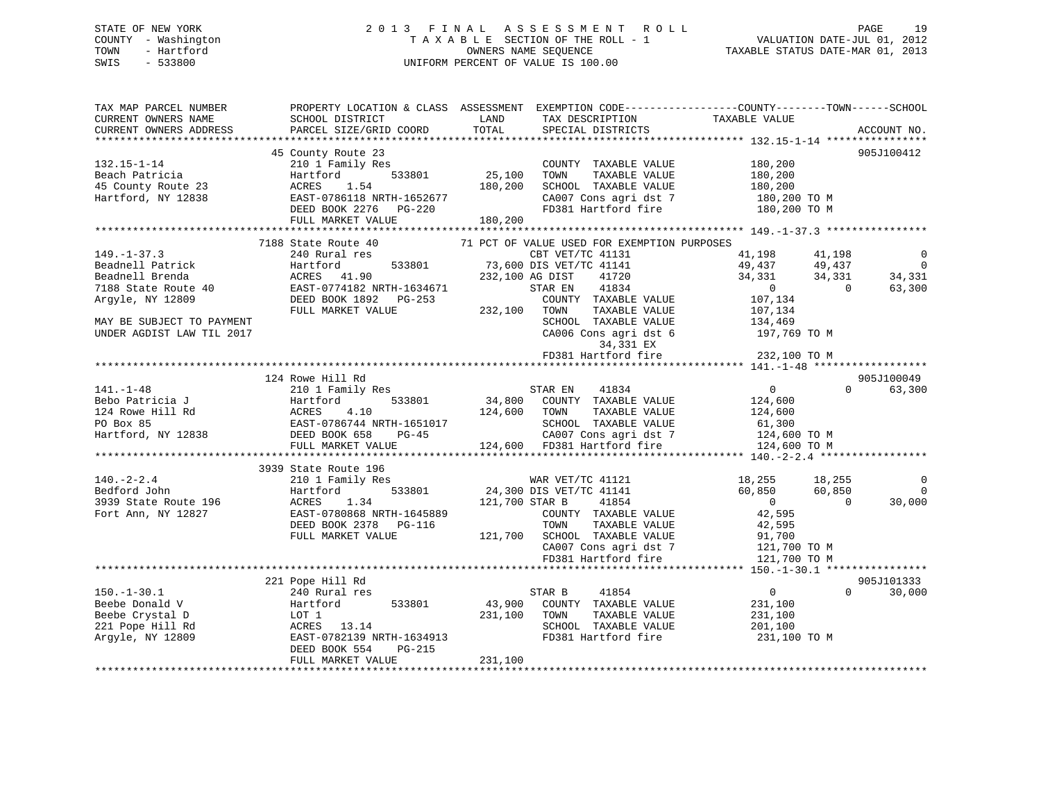# STATE OF NEW YORK 2 0 1 3 F I N A L A S S E S S M E N T R O L L PAGE 19 COUNTY - Washington T A X A B L E SECTION OF THE ROLL - 1 VALUATION DATE-JUL 01, 2012 TOWN - Hartford **TAXABLE STATUS DATE-MAR 01, 2013** OWNERS NAME SEQUENCE TAXABLE STATUS DATE-MAR 01, 2013 SWIS - 533800 UNIFORM PERCENT OF VALUE IS 100.00

| TAX MAP PARCEL NUMBER     | PROPERTY LOCATION & CLASS ASSESSMENT EXEMPTION CODE----------------COUNTY-------TOWN------SCHOOL |                 |                                             |                |            |                |
|---------------------------|--------------------------------------------------------------------------------------------------|-----------------|---------------------------------------------|----------------|------------|----------------|
| CURRENT OWNERS NAME       | SCHOOL DISTRICT                                                                                  | LAND            | TAX DESCRIPTION                             | TAXABLE VALUE  |            |                |
| CURRENT OWNERS ADDRESS    | PARCEL SIZE/GRID COORD                                                                           | TOTAL           | SPECIAL DISTRICTS                           |                |            | ACCOUNT NO.    |
|                           |                                                                                                  |                 |                                             |                |            |                |
|                           | 45 County Route 23                                                                               |                 |                                             |                |            | 905J100412     |
| $132.15 - 1 - 14$         | 210 1 Family Res                                                                                 |                 | COUNTY TAXABLE VALUE                        | 180,200        |            |                |
| Beach Patricia            | 533801<br>Hartford                                                                               | 25,100          | TOWN<br>TAXABLE VALUE                       | 180,200        |            |                |
| 45 County Route 23        | ACRES<br>1.54                                                                                    | 180,200         | SCHOOL TAXABLE VALUE                        | 180,200        |            |                |
| Hartford, NY 12838        | EAST-0786118 NRTH-1652677                                                                        |                 | CA007 Cons agri dst 7                       | 180,200 TO M   |            |                |
|                           | DEED BOOK 2276<br>PG-220                                                                         |                 | FD381 Hartford fire                         | 180,200 TO M   |            |                |
|                           | FULL MARKET VALUE                                                                                | 180,200         |                                             |                |            |                |
|                           |                                                                                                  |                 |                                             |                |            |                |
|                           | 7188 State Route 40                                                                              |                 | 71 PCT OF VALUE USED FOR EXEMPTION PURPOSES |                |            |                |
| $149. - 1 - 37.3$         | 240 Rural res                                                                                    |                 | CBT VET/TC 41131                            | 41,198         | 41,198     | 0              |
| Beadnell Patrick          | 533801<br>Hartford                                                                               |                 | 73,600 DIS VET/TC 41141                     | 49,437         | 49,437     | $\overline{0}$ |
| Beadnell Brenda           | ACRES 41.90                                                                                      | 232,100 AG DIST | 41720                                       | 34,331         | 34,331     | 34,331         |
| 7188 State Route 40       | EAST-0774182 NRTH-1634671                                                                        |                 | 41834<br>STAR EN                            | $\sim$ 0       | $\bigcirc$ | 63,300         |
| Argyle, NY 12809          | DEED BOOK 1892    PG-253                                                                         |                 | COUNTY TAXABLE VALUE                        | 107,134        |            |                |
|                           | FULL MARKET VALUE                                                                                | 232,100 TOWN    | TAXABLE VALUE                               | 107,134        |            |                |
| MAY BE SUBJECT TO PAYMENT |                                                                                                  |                 | SCHOOL TAXABLE VALUE                        | 134,469        |            |                |
| UNDER AGDIST LAW TIL 2017 |                                                                                                  |                 | CA006 Cons agri dst 6                       | 197,769 TO M   |            |                |
|                           |                                                                                                  |                 | 34,331 EX                                   |                |            |                |
|                           |                                                                                                  |                 | FD381 Hartford fire                         | 232,100 TO M   |            |                |
|                           |                                                                                                  |                 |                                             |                |            |                |
|                           | 124 Rowe Hill Rd                                                                                 |                 |                                             |                |            | 905J100049     |
| $141. - 1 - 48$           | 210 1 Family Res                                                                                 |                 | 41834<br>STAR EN                            | $\overline{0}$ | $\Omega$   | 63,300         |
| Bebo Patricia J           | Hartford<br>533801                                                                               | 34,800          | COUNTY TAXABLE VALUE                        | 124,600        |            |                |
| 124 Rowe Hill Rd          | ACRES<br>4.10                                                                                    | 124,600         | TAXABLE VALUE<br>TOWN                       | 124,600        |            |                |
| PO Box 85                 | EAST-0786744 NRTH-1651017<br>DEED BOOK 658 PG-45                                                 |                 | SCHOOL TAXABLE VALUE                        | 61,300         |            |                |
| Hartford, NY 12838        |                                                                                                  |                 | CA007 Cons agri dst 7                       | 124,600 TO M   |            |                |
|                           | FULL MARKET VALUE                                                                                |                 | 124,600 FD381 Hartford fire                 | 124,600 TO M   |            |                |
|                           |                                                                                                  |                 |                                             |                |            |                |
|                           | 3939 State Route 196                                                                             |                 |                                             |                |            |                |
| $140. - 2 - 2.4$          | 210 1 Family Res                                                                                 |                 | WAR VET/TC 41121                            | 18,255         | 18,255     | $\mathbf 0$    |
| Bedford John              | 533801<br>Hartford                                                                               |                 | 24,300 DIS VET/TC 41141                     | 60,850         | 60,850     | $\Omega$       |
| 3939 State Route 196      | ACRES<br>1.34                                                                                    | 121,700 STAR B  | 41854                                       | $\overline{0}$ | $\Omega$   | 30,000         |
| Fort Ann, NY 12827        | EAST-0780868 NRTH-1645889                                                                        |                 | COUNTY TAXABLE VALUE                        | 42,595         |            |                |
|                           | DEED BOOK 2378<br>PG-116                                                                         |                 | TAXABLE VALUE<br>TOWN                       | 42,595         |            |                |
|                           | FULL MARKET VALUE                                                                                |                 | 121,700 SCHOOL TAXABLE VALUE                | 91,700         |            |                |
|                           |                                                                                                  |                 | CA007 Cons agri dst 7                       | 121,700 TO M   |            |                |
|                           |                                                                                                  |                 | FD381 Hartford fire                         | 121,700 TO M   |            |                |
|                           |                                                                                                  |                 |                                             |                |            |                |
|                           | 221 Pope Hill Rd                                                                                 |                 |                                             |                |            | 905J101333     |
| $150. - 1 - 30.1$         | 240 Rural res                                                                                    |                 | STAR B<br>41854                             | $\overline{0}$ | $\Omega$   | 30,000         |
| Beebe Donald V            | 533801<br>Hartford                                                                               | 43,900          | COUNTY TAXABLE VALUE                        | 231,100        |            |                |
| Beebe Crystal D           | LOT 1                                                                                            | 231,100         | TOWN<br>TAXABLE VALUE                       | 231,100        |            |                |
| 221 Pope Hill Rd          | ACRES 13.14                                                                                      |                 | SCHOOL TAXABLE VALUE                        | 201,100        |            |                |
| Arqyle, NY 12809          | EAST-0782139 NRTH-1634913                                                                        |                 | FD381 Hartford fire                         | 231,100 TO M   |            |                |
|                           | DEED BOOK 554<br>PG-215                                                                          |                 |                                             |                |            |                |
|                           | FULL MARKET VALUE                                                                                | 231,100         |                                             |                |            |                |
|                           |                                                                                                  |                 |                                             |                |            |                |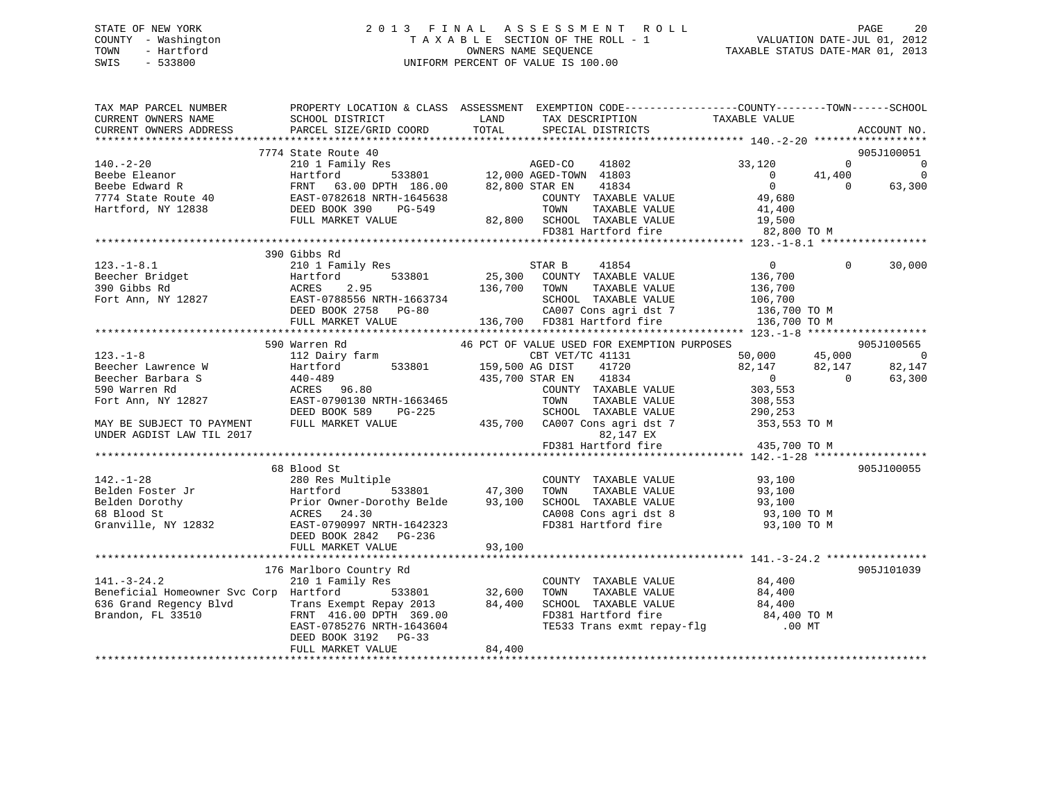# STATE OF NEW YORK 2 0 1 3 F I N A L A S S E S S M E N T R O L L PAGE 20 COUNTY - Washington T A X A B L E SECTION OF THE ROLL - 1 VALUATION DATE-JUL 01, 2012 TOWN - Hartford **TAXABLE STATUS DATE-MAR 01, 2013** OWNERS NAME SEQUENCE TAXABLE STATUS DATE-MAR 01, 2013 SWIS - 533800 UNIFORM PERCENT OF VALUE IS 100.00

| TAX MAP PARCEL NUMBER                                                                                                                                                                                                                                                      | PROPERTY LOCATION & CLASS ASSESSMENT EXEMPTION CODE----------------COUNTY-------TOWN------SCHOOL |                 |                                                                                                         |                      |                |                |
|----------------------------------------------------------------------------------------------------------------------------------------------------------------------------------------------------------------------------------------------------------------------------|--------------------------------------------------------------------------------------------------|-----------------|---------------------------------------------------------------------------------------------------------|----------------------|----------------|----------------|
| CURRENT OWNERS NAME                                                                                                                                                                                                                                                        | SCHOOL DISTRICT                                                                                  | LAND            |                                                                                                         |                      |                |                |
| CURRENT OWNERS ADDRESS                                                                                                                                                                                                                                                     | PARCEL SIZE/GRID COORD                                                                           | TOTAL           |                                                                                                         |                      |                | ACCOUNT NO.    |
|                                                                                                                                                                                                                                                                            |                                                                                                  |                 |                                                                                                         |                      |                |                |
|                                                                                                                                                                                                                                                                            | 7774 State Route 40                                                                              |                 |                                                                                                         |                      |                | 905J100051     |
| $140. -2 - 20$                                                                                                                                                                                                                                                             | 210 1 Family Res                                                                                 |                 | 3<br>533801 12,000 AGED-TOWN 41803                                                                      | 33,120               | $\Omega$       | $\overline{0}$ |
| 140.12.20<br>Beebe Edward R<br>Beebe Edward R<br>7774 State Route 40<br>Hartford, NY 12838<br>Hartford, NY 12838<br>COUNTY<br>Hartford, NY 12838<br>COUNTY<br>TOWN<br>TOWN<br>TOWN<br>TOWN<br>TOWN<br>TOWN<br>TOWN<br>TOWN<br>TOWN<br>TOWN<br>TOWN<br>TOWN<br>TOWN<br>TOWN |                                                                                                  |                 |                                                                                                         | $\overline{0}$       | 41,400         | $\mathbf 0$    |
|                                                                                                                                                                                                                                                                            |                                                                                                  |                 | 41834                                                                                                   | $\overline{0}$       | $\Omega$       | 63,300         |
|                                                                                                                                                                                                                                                                            |                                                                                                  |                 | COUNTY TAXABLE VALUE 49,680                                                                             |                      |                |                |
|                                                                                                                                                                                                                                                                            |                                                                                                  |                 | TAXABLE VALUE                                                                                           | 41,400               |                |                |
|                                                                                                                                                                                                                                                                            | FULL MARKET VALUE                                                                                |                 | 82,800 SCHOOL TAXABLE VALUE 19,500                                                                      |                      |                |                |
|                                                                                                                                                                                                                                                                            |                                                                                                  |                 | FD381 Hartford fire                                                                                     | 82,800 TO M          |                |                |
|                                                                                                                                                                                                                                                                            |                                                                                                  |                 |                                                                                                         |                      |                |                |
| 123.-1-8.1<br>Beecher Bridget<br>390 Gibbs Rd<br>Fort Ann, NY 12827<br>EAST-0788556 NRTH-1663734<br>DEED BOOK 2758 PG-80<br>Fort Ann, NY 12827<br>DEED BOOK 2758 PG-80<br>THI, MARKET VALUE<br>THI, MARKET VALUE<br>CAOOT CONS agridst 7<br>136,700                        | 390 Gibbs Rd                                                                                     |                 |                                                                                                         |                      |                |                |
|                                                                                                                                                                                                                                                                            |                                                                                                  |                 |                                                                                                         |                      | $\mathbf{0}$   | 30,000         |
|                                                                                                                                                                                                                                                                            |                                                                                                  |                 |                                                                                                         |                      |                |                |
|                                                                                                                                                                                                                                                                            |                                                                                                  |                 |                                                                                                         |                      |                |                |
|                                                                                                                                                                                                                                                                            |                                                                                                  |                 |                                                                                                         |                      |                |                |
|                                                                                                                                                                                                                                                                            |                                                                                                  |                 |                                                                                                         |                      |                |                |
|                                                                                                                                                                                                                                                                            |                                                                                                  |                 |                                                                                                         |                      |                |                |
|                                                                                                                                                                                                                                                                            |                                                                                                  |                 |                                                                                                         |                      |                |                |
|                                                                                                                                                                                                                                                                            |                                                                                                  |                 |                                                                                                         |                      |                | 905J100565     |
| $123. - 1 - 8$                                                                                                                                                                                                                                                             | 112 Dairy farm (CBT VET)<br>Hartford 533801 159,500 AG DIST                                      |                 | CBT VET/TC 41131                                                                                        | 50,000 45,000        |                | - 0            |
| Beecher Lawrence W                                                                                                                                                                                                                                                         |                                                                                                  |                 | 41720                                                                                                   | $82,147$<br>0        | 82,147         | 82,147         |
| Beecher Barbara S                                                                                                                                                                                                                                                          |                                                                                                  | 435,700 STAR EN | 41834                                                                                                   |                      | $\overline{0}$ | 63,300         |
| 590 Warren Rd                                                                                                                                                                                                                                                              |                                                                                                  |                 | COUNTY TAXABLE VALUE                                                                                    | 303,553              |                |                |
| Fort Ann, NY 12827                                                                                                                                                                                                                                                         | EAST-0790130 NRTH-1663465                                                                        |                 | TOWN<br>TAXABLE VALUE                                                                                   | 308,553              |                |                |
|                                                                                                                                                                                                                                                                            | DEED BOOK 589 PG-225                                                                             |                 | SCHOOL TAXABLE VALUE                                                                                    | 290,253              |                |                |
| MAY BE SUBJECT TO PAYMENT                                                                                                                                                                                                                                                  | FULL MARKET VALUE                                                                                |                 | 435,700 CA007 Cons agri dst 7                                                                           | 353,553 TO M         |                |                |
| UNDER AGDIST LAW TIL 2017                                                                                                                                                                                                                                                  |                                                                                                  |                 | 82,147 EX                                                                                               |                      |                |                |
|                                                                                                                                                                                                                                                                            |                                                                                                  |                 | FD381 Hartford fire                                                                                     | 435,700 TO M         |                |                |
|                                                                                                                                                                                                                                                                            |                                                                                                  |                 |                                                                                                         |                      |                |                |
|                                                                                                                                                                                                                                                                            | 68 Blood St                                                                                      |                 |                                                                                                         |                      |                | 905J100055     |
| $142. - 1 - 28$                                                                                                                                                                                                                                                            | 280 Res Multiple                                                                                 |                 | COUNTY TAXABLE VALUE                                                                                    | 93,100               |                |                |
|                                                                                                                                                                                                                                                                            |                                                                                                  |                 |                                                                                                         |                      |                |                |
|                                                                                                                                                                                                                                                                            |                                                                                                  |                 |                                                                                                         |                      |                |                |
|                                                                                                                                                                                                                                                                            |                                                                                                  |                 | CA008 Cons agri dst 8<br>FD381 Hartford fire                                                            | 93,100 TO M          |                |                |
| Granville, NY 12832<br>EAST-0790997 NRTH-1642323                                                                                                                                                                                                                           |                                                                                                  |                 |                                                                                                         | 93,100 TO M          |                |                |
|                                                                                                                                                                                                                                                                            | DEED BOOK 2842 PG-236                                                                            |                 |                                                                                                         |                      |                |                |
|                                                                                                                                                                                                                                                                            | FULL MARKET VALUE                                                                                | 93,100          |                                                                                                         |                      |                |                |
|                                                                                                                                                                                                                                                                            |                                                                                                  |                 |                                                                                                         |                      |                |                |
|                                                                                                                                                                                                                                                                            | 176 Marlboro Country Rd                                                                          |                 |                                                                                                         |                      |                | 905J101039     |
| $141. - 3 - 24.2$                                                                                                                                                                                                                                                          | 210 1 Family Res                                                                                 |                 | COUNTY TAXABLE VALUE                                                                                    | 84,400               |                |                |
| Beneficial Homeowner Svc Corp Hartford                                                                                                                                                                                                                                     |                                                                                                  |                 | TOWN                                                                                                    | TAXABLE VALUE 84,400 |                |                |
| 636 Grand Regency Blvd                                                                                                                                                                                                                                                     |                                                                                                  |                 |                                                                                                         |                      |                |                |
| Brandon, FL 33510                                                                                                                                                                                                                                                          | Trans Exempt Repay 2013 84,400<br>FRNT 416.00 DPTH 369.00<br>EAST-0785276 NRTH-1643604           |                 | SCHOOL TAXABLE VALUE $84,400$<br>FD381 Hartford fire $84,400$ TO M<br>TE533 Trans exmt repay-flg .00 MT |                      |                |                |
|                                                                                                                                                                                                                                                                            |                                                                                                  |                 |                                                                                                         |                      |                |                |
|                                                                                                                                                                                                                                                                            | DEED BOOK 3192 PG-33                                                                             |                 |                                                                                                         |                      |                |                |
|                                                                                                                                                                                                                                                                            | FULL MARKET VALUE                                                                                | 84,400          |                                                                                                         |                      |                |                |
|                                                                                                                                                                                                                                                                            |                                                                                                  |                 |                                                                                                         |                      |                |                |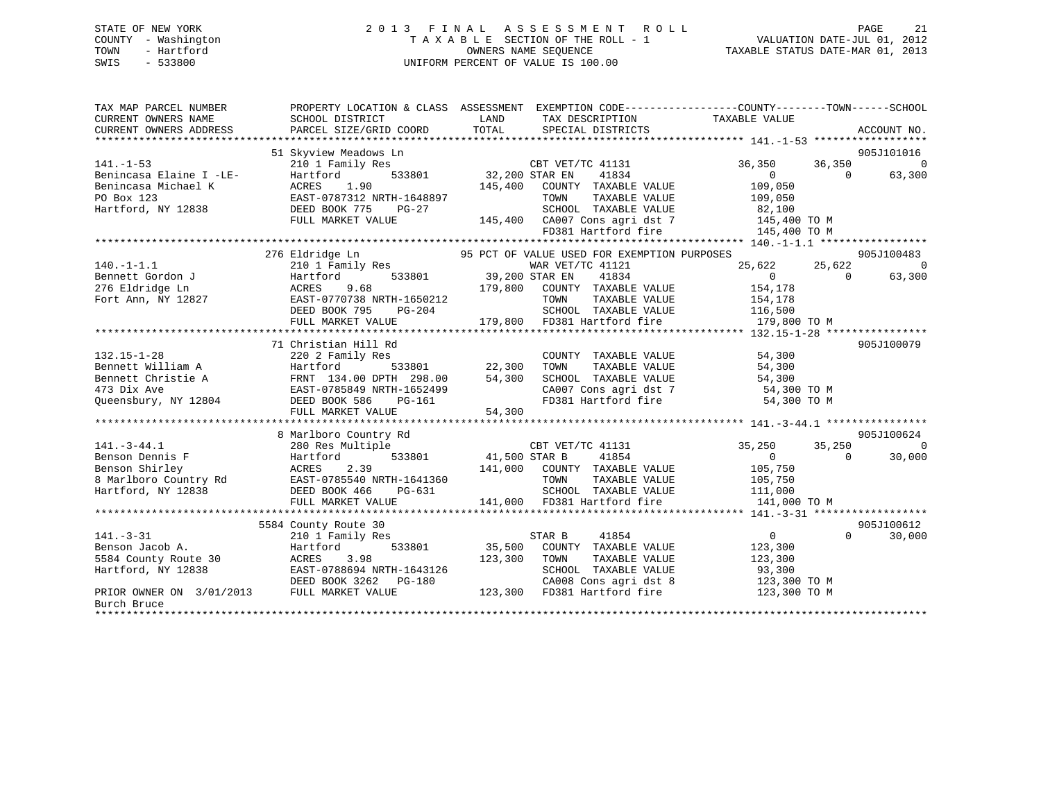# STATE OF NEW YORK 2 0 1 3 F I N A L A S S E S S M E N T R O L L PAGE 21 COUNTY - Washington T A X A B L E SECTION OF THE ROLL - 1 VALUATION DATE-JUL 01, 2012 TOWN - Hartford **TAXABLE STATUS DATE-MAR 01, 2013** SWIS - 533800 UNIFORM PERCENT OF VALUE IS 100.00

| TAX MAP PARCEL NUMBER<br>CURRENT OWNERS NAME<br>CURRENT OWNERS ADDRESS                                                                                            | PROPERTY LOCATION & CLASS ASSESSMENT EXEMPTION CODE---------------COUNTY-------TOWN-----SCHOOL<br>SCHOOL DISTRICT<br>PARCEL SIZE/GRID COORD | LAND<br>TOTAL                     | TAX DESCRIPTION TAXABLE VALUE<br>SPECIAL DISTRICTS                        |                                |            | ACCOUNT NO. |
|-------------------------------------------------------------------------------------------------------------------------------------------------------------------|---------------------------------------------------------------------------------------------------------------------------------------------|-----------------------------------|---------------------------------------------------------------------------|--------------------------------|------------|-------------|
|                                                                                                                                                                   | 51 Skyview Meadows Ln                                                                                                                       |                                   |                                                                           |                                |            | 905J101016  |
| $141. - 1 - 53$                                                                                                                                                   | 210 1 Family Res                                                                                                                            |                                   | CBT VET/TC 41131                                                          | 36,350                         | 36,350     | $\Omega$    |
| Benincasa Elaine I -LE-                                                                                                                                           | Hartford<br>533801                                                                                                                          | 32,200 STAR EN                    | 41834                                                                     | $\Omega$                       | $\bigcirc$ | 63,300      |
| Benincasa Michael K                                                                                                                                               | 1.90<br>ACRES                                                                                                                               | 145,400                           | COUNTY TAXABLE VALUE                                                      | 109,050                        |            |             |
| PO Box 123                                                                                                                                                        | EAST-0787312 NRTH-1648897                                                                                                                   |                                   | TOWN<br>TAXABLE VALUE                                                     | 109,050                        |            |             |
| Hartford, NY 12838                                                                                                                                                | DEED BOOK 775<br>PG-27                                                                                                                      |                                   |                                                                           |                                |            |             |
|                                                                                                                                                                   | FULL MARKET VALUE                                                                                                                           |                                   | SCHOOL TAXABLE VALUE 82,100<br>145,400 CA007 Cons agri dst 7 145,400 TO M |                                |            |             |
|                                                                                                                                                                   |                                                                                                                                             |                                   | FD381 Hartford fire                                                       | 145,400 TO M                   |            |             |
|                                                                                                                                                                   |                                                                                                                                             |                                   |                                                                           |                                |            |             |
|                                                                                                                                                                   | 276 Eldridge Ln                                                                                                                             |                                   | 95 PCT OF VALUE USED FOR EXEMPTION PURPOSES                               |                                |            | 905J100483  |
| $140. -1 - 1.1$                                                                                                                                                   | 210 1 Family Res                                                                                                                            |                                   | WAR VET/TC 41121                                                          | 25,622                         | 25,622     | $\Omega$    |
| Bennett Gordon J                                                                                                                                                  | Hartford                                                                                                                                    | MAR VET/<br>533801 39,200 STAR EN | 41834                                                                     | $\overline{0}$                 | $\Omega$   | 63,300      |
| 276 Eldridge Ln                                                                                                                                                   | ACRES<br>9.68                                                                                                                               |                                   | 179,800 COUNTY TAXABLE VALUE                                              | 154,178                        |            |             |
| Fort Ann, NY 12827                                                                                                                                                | EAST-0770738 NRTH-1650212                                                                                                                   |                                   | TOWN<br>TAXABLE VALUE                                                     | 154,178                        |            |             |
|                                                                                                                                                                   | DEED BOOK 795<br>PG-204                                                                                                                     |                                   | TOWN       TAXABLE  VALUE<br>SCHOOL    TAXABLE  VALUE                     | $\frac{1}{116}, \frac{1}{500}$ |            |             |
|                                                                                                                                                                   | FULL MARKET VALUE                                                                                                                           |                                   | 179,800 FD381 Hartford fire                                               | 179,800 TO M                   |            |             |
|                                                                                                                                                                   |                                                                                                                                             |                                   |                                                                           |                                |            |             |
|                                                                                                                                                                   | 71 Christian Hill Rd                                                                                                                        |                                   |                                                                           |                                |            | 905J100079  |
| $132.15 - 1 - 28$                                                                                                                                                 | 220 2 Family Res                                                                                                                            |                                   | COUNTY TAXABLE VALUE                                                      | 54,300                         |            |             |
| Bennett William A                                                                                                                                                 | Hartford<br>533801                                                                                                                          | 22,300                            | TAXABLE VALUE<br>TOWN                                                     | 54,300                         |            |             |
| Bennett Christie A                                                                                                                                                | FRNT 134.00 DPTH 298.00                                                                                                                     | 54,300                            | SCHOOL TAXABLE VALUE                                                      | 54,300                         |            |             |
| 473 Dix Ave                                                                                                                                                       |                                                                                                                                             |                                   | CA007 Cons agri dst 7 54,300 TO M                                         |                                |            |             |
| Queensbury, NY 12804                                                                                                                                              | EAST-0785849 NRTH-1652499<br>DEED BOOK 586    PG-161                                                                                        |                                   | FD381 Hartford fire                                                       | 54,300 TO M                    |            |             |
|                                                                                                                                                                   | FULL MARKET VALUE                                                                                                                           | 54,300                            |                                                                           |                                |            |             |
|                                                                                                                                                                   |                                                                                                                                             |                                   |                                                                           |                                |            |             |
|                                                                                                                                                                   | 8 Marlboro Country Rd                                                                                                                       |                                   |                                                                           |                                |            | 905J100624  |
| $141. - 3 - 44.1$                                                                                                                                                 | 280 Res Multiple                                                                                                                            |                                   | CBT VET/TC 41131                                                          | 35,250                         | 35,250     | $\Omega$    |
|                                                                                                                                                                   |                                                                                                                                             | 41,500 STAR B                     | 41854                                                                     | $\overline{0}$                 | $\Omega$   | 30,000      |
|                                                                                                                                                                   |                                                                                                                                             |                                   | 141,000 COUNTY TAXABLE VALUE                                              | 105,750                        |            |             |
| Benson Dennis F<br>Benson Shirley Renson Shirley ACRES 2.39<br>8 Marlboro Country Rd EAST-0785540<br>RENS 2.39<br>8 Marlboro Country Rd EAST-0785540<br>RENS 2.39 |                                                                                                                                             |                                   | TOWN<br>TAXABLE VALUE                                                     | 105,750                        |            |             |
| Hartford, NY 12838                                                                                                                                                | DEED BOOK 466<br>PG-631                                                                                                                     |                                   | SCHOOL TAXABLE VALUE                                                      | 111,000                        |            |             |
|                                                                                                                                                                   | FULL MARKET VALUE                                                                                                                           |                                   | 141,000 FD381 Hartford fire 141,000 TO M                                  |                                |            |             |
|                                                                                                                                                                   |                                                                                                                                             |                                   |                                                                           |                                |            |             |
|                                                                                                                                                                   | 5584 County Route 30                                                                                                                        |                                   |                                                                           |                                |            | 905J100612  |
| $141. - 3 - 31$                                                                                                                                                   | 210 1 Family Res                                                                                                                            |                                   | STAR B<br>41854                                                           | $\overline{0}$                 | $\Omega$   | 30,000      |
| Benson Jacob A.                                                                                                                                                   | 533801<br>Hartford                                                                                                                          |                                   | 35,500 COUNTY TAXABLE VALUE                                               | 123,300                        |            |             |
| 5584 County Route 30                                                                                                                                              | ACRES<br>3.98                                                                                                                               | 123,300                           | TOWN<br>TAXABLE VALUE                                                     | 123,300                        |            |             |
| Hartford, NY 12838                                                                                                                                                | EAST-0788694 NRTH-1643126                                                                                                                   |                                   | SCHOOL TAXABLE VALUE                                                      | 93,300                         |            |             |
|                                                                                                                                                                   | DEED BOOK 3262 PG-180                                                                                                                       |                                   | 180 CA008 Cons agri dst 8<br>123,300 FD381 Hartford fire                  | 123,300 TO M                   |            |             |
| PRIOR OWNER ON 3/01/2013 FULL MARKET VALUE                                                                                                                        |                                                                                                                                             |                                   |                                                                           | 123,300 TO M                   |            |             |
| Burch Bruce                                                                                                                                                       |                                                                                                                                             |                                   |                                                                           |                                |            |             |
|                                                                                                                                                                   |                                                                                                                                             |                                   |                                                                           |                                |            |             |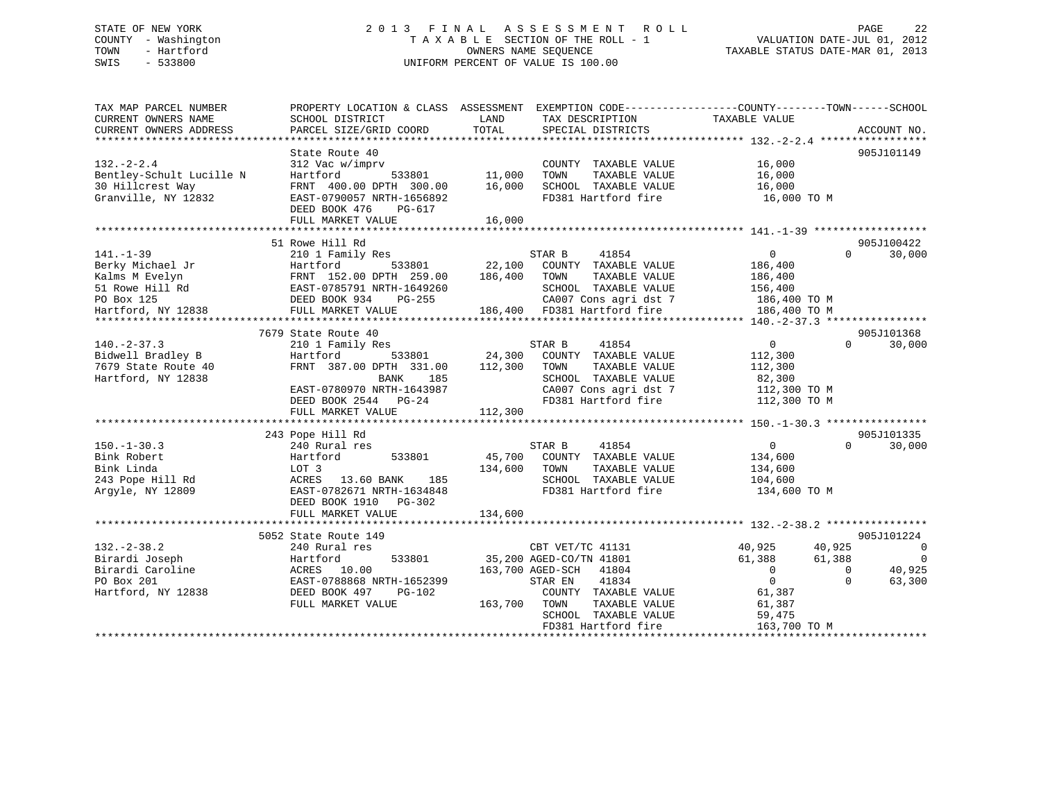# STATE OF NEW YORK 2 0 1 3 F I N A L A S S E S S M E N T R O L L PAGE 22 COUNTY - Washington T A X A B L E SECTION OF THE ROLL - 1 VALUATION DATE-JUL 01, 2012 TOWN - Hartford **TAXABLE STATUS DATE-MAR 01, 2013** OWNERS NAME SEQUENCE TAXABLE STATUS DATE-MAR 01, 2013 SWIS - 533800 UNIFORM PERCENT OF VALUE IS 100.00

| TAX MAP PARCEL NUMBER<br>CURRENT OWNERS NAME                                                                                                                                  | PROPERTY LOCATION & CLASS ASSESSMENT<br>SCHOOL DISTRICT                                                                                                                                                                                                                                                          | LAND                                              | EXEMPTION CODE-----------------COUNTY--------TOWN------SCHOOL<br>TAX DESCRIPTION                                                                                                                                                                            | TAXABLE VALUE                                                                                                                                     |                                                                      |
|-------------------------------------------------------------------------------------------------------------------------------------------------------------------------------|------------------------------------------------------------------------------------------------------------------------------------------------------------------------------------------------------------------------------------------------------------------------------------------------------------------|---------------------------------------------------|-------------------------------------------------------------------------------------------------------------------------------------------------------------------------------------------------------------------------------------------------------------|---------------------------------------------------------------------------------------------------------------------------------------------------|----------------------------------------------------------------------|
| CURRENT OWNERS ADDRESS                                                                                                                                                        | PARCEL SIZE/GRID COORD                                                                                                                                                                                                                                                                                           | TOTAL                                             | SPECIAL DISTRICTS                                                                                                                                                                                                                                           |                                                                                                                                                   | ACCOUNT NO.                                                          |
|                                                                                                                                                                               | State Route 40                                                                                                                                                                                                                                                                                                   |                                                   |                                                                                                                                                                                                                                                             |                                                                                                                                                   | 905J101149                                                           |
| $132 - 2 - 2.4$<br>Bentley-Schult Lucille N<br>30 Hillcrest Way<br>Granville, NY 12832                                                                                        | 312 Vac w/imprv<br>533801<br>Hartford<br>FRNT 400.00 DPTH 300.00<br>EAST-0790057 NRTH-1656892<br>DEED BOOK 476<br>PG-617<br>FULL MARKET VALUE                                                                                                                                                                    | 11,000<br>16,000<br>16,000                        | COUNTY TAXABLE VALUE<br>TOWN<br>TAXABLE VALUE<br>SCHOOL TAXABLE VALUE<br>FD381 Hartford fire                                                                                                                                                                | 16,000<br>16,000<br>16,000<br>16,000 TO M                                                                                                         |                                                                      |
|                                                                                                                                                                               | 51 Rowe Hill Rd                                                                                                                                                                                                                                                                                                  |                                                   |                                                                                                                                                                                                                                                             |                                                                                                                                                   | 905J100422                                                           |
| $141. - 1 - 39$<br>Berky Michael Jr<br>Kalms M Evelyn<br>51 Rowe Hill Rd<br>PO Box 125<br>Hartford, NY 12838                                                                  | 210 1 Family Res<br>533801<br>Hartford<br>FRNT 152.00 DPTH 259.00<br>EAST-0785791 NRTH-1649260<br>DEED BOOK 934<br>PG-255<br>FULL MARKET VALUE                                                                                                                                                                   | 22,100<br>186,400                                 | 41854<br>STAR B<br>COUNTY TAXABLE VALUE<br>TOWN<br>TAXABLE VALUE<br>SCHOOL TAXABLE VALUE<br>CA007 Cons agri dst 7<br>186,400 FD381 Hartford fire                                                                                                            | $\mathbf 0$<br>186,400<br>186,400<br>156,400<br>186,400 TO M<br>186,400 TO M                                                                      | $\Omega$<br>30,000                                                   |
|                                                                                                                                                                               |                                                                                                                                                                                                                                                                                                                  |                                                   |                                                                                                                                                                                                                                                             | **************** 140.-2-37.3 ****************                                                                                                     |                                                                      |
| $140. - 2 - 37.3$<br>Bidwell Bradley B<br>7679 State Route 40<br>Hartford, NY 12838<br>$150. - 1 - 30.3$<br>Bink Robert<br>Bink Linda<br>243 Pope Hill Rd<br>Arqyle, NY 12809 | 7679 State Route 40<br>210 1 Family Res<br>Hartford<br>533801<br>FRNT 387.00 DPTH 331.00<br>BANK<br>185<br>EAST-0780970 NRTH-1643987<br>DEED BOOK 2544 PG-24<br>FULL MARKET VALUE<br>243 Pope Hill Rd<br>240 Rural res<br>533801<br>Hartford<br>LOT 3<br>13.60 BANK<br>185<br>ACRES<br>EAST-0782671 NRTH-1634848 | 24,300<br>112,300<br>112,300<br>45,700<br>134,600 | STAR B<br>41854<br>COUNTY TAXABLE VALUE<br>TOWN<br>TAXABLE VALUE<br>SCHOOL TAXABLE VALUE<br>CA007 Cons agri dst 7<br>FD381 Hartford fire<br>41854<br>STAR B<br>COUNTY TAXABLE VALUE<br>TAXABLE VALUE<br>TOWN<br>SCHOOL TAXABLE VALUE<br>FD381 Hartford fire | $\overline{0}$<br>112,300<br>112,300<br>82,300<br>112,300 TO M<br>112,300 TO M<br>$\overline{0}$<br>134,600<br>134,600<br>104,600<br>134,600 TO M | 905J101368<br>$\Omega$<br>30,000<br>905J101335<br>$\Omega$<br>30,000 |
|                                                                                                                                                                               | DEED BOOK 1910 PG-302<br>FULL MARKET VALUE                                                                                                                                                                                                                                                                       | 134,600                                           |                                                                                                                                                                                                                                                             |                                                                                                                                                   |                                                                      |
|                                                                                                                                                                               | 5052 State Route 149                                                                                                                                                                                                                                                                                             |                                                   |                                                                                                                                                                                                                                                             |                                                                                                                                                   | 905J101224                                                           |
| $132. - 2 - 38.2$<br>Birardi Joseph<br>Birardi Caroline<br>PO Box 201<br>Hartford, NY 12838                                                                                   | 240 Rural res<br>533801<br>Hartford<br>ACRES 10.00<br>EAST-0788868 NRTH-1652399<br>DEED BOOK 497<br>$PG-102$<br>FULL MARKET VALUE                                                                                                                                                                                | 163,700                                           | CBT VET/TC 41131<br>35,200 AGED-CO/TN 41801<br>163,700 AGED-SCH 41804<br>41834<br>STAR EN<br>COUNTY TAXABLE VALUE<br>TOWN<br>TAXABLE VALUE<br>SCHOOL TAXABLE VALUE<br>FD381 Hartford fire                                                                   | 40,925<br>40,925<br>61,388<br>61,388<br>$\overline{0}$<br>$\overline{0}$<br>61,387<br>61,387<br>59,475<br>163,700 TO M                            | $\overline{0}$<br>0<br>40,925<br>$\Omega$<br>$\Omega$<br>63,300      |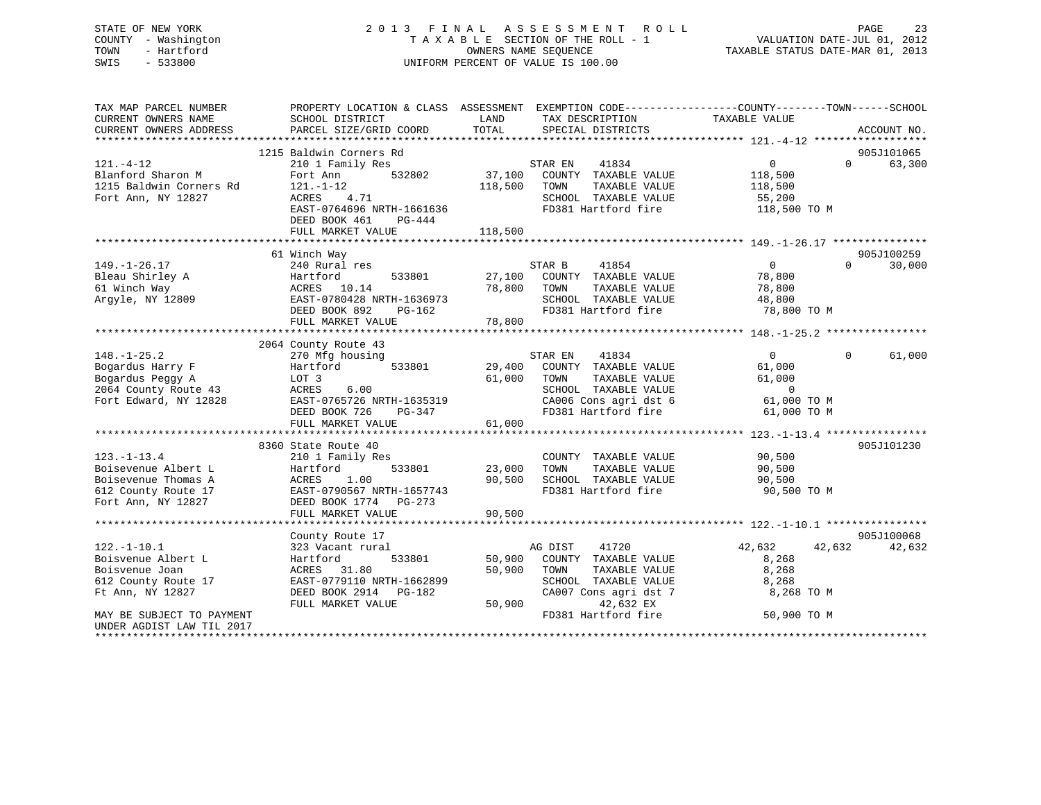# STATE OF NEW YORK 2 0 1 3 F I N A L A S S E S S M E N T R O L L PAGE 23 COUNTY - Washington T A X A B L E SECTION OF THE ROLL - 1 VALUATION DATE-JUL 01, 2012 TOWN - Hartford **TAXABLE STATUS DATE-MAR 01, 2013** OWNERS NAME SEQUENCE TAXABLE STATUS DATE-MAR 01, 2013 SWIS - 533800 UNIFORM PERCENT OF VALUE IS 100.00

| TAX MAP PARCEL NUMBER<br>CURRENT OWNERS NAME | SCHOOL DISTRICT                            | LAND<br>TAX DESCRIPTION                                           | PROPERTY LOCATION & CLASS ASSESSMENT EXEMPTION CODE---------------COUNTY-------TOWN------SCHOOL<br>TAXABLE VALUE |
|----------------------------------------------|--------------------------------------------|-------------------------------------------------------------------|------------------------------------------------------------------------------------------------------------------|
| CURRENT OWNERS ADDRESS                       | PARCEL SIZE/GRID COORD                     | TOTAL<br>SPECIAL DISTRICTS                                        | ACCOUNT NO.                                                                                                      |
|                                              |                                            |                                                                   |                                                                                                                  |
|                                              | 1215 Baldwin Corners Rd                    |                                                                   | 905J101065                                                                                                       |
| $121. - 4 - 12$                              | 210 1 Family Res                           | STAR EN<br>41834                                                  | 0<br>$\Omega$<br>63,300                                                                                          |
| Blanford Sharon M                            | 532802<br>Fort Ann                         | 37,100<br>COUNTY TAXABLE VALUE                                    | 118,500                                                                                                          |
| 1215 Baldwin Corners Rd                      | $121. - 1 - 12$                            | 118,500<br>TOWN<br>TAXABLE VALUE                                  | 118,500                                                                                                          |
| Fort Ann, NY 12827                           | 4.71<br>ACRES<br>EAST-0764696 NRTH-1661636 | SCHOOL TAXABLE VALUE<br>FD381 Hartford fire                       | 55,200                                                                                                           |
|                                              | DEED BOOK 461<br>PG-444                    |                                                                   | 118,500 TO M                                                                                                     |
|                                              | FULL MARKET VALUE                          | 118,500                                                           |                                                                                                                  |
|                                              |                                            |                                                                   |                                                                                                                  |
|                                              | 61 Winch Way                               |                                                                   | 905J100259                                                                                                       |
| $149. - 1 - 26.17$                           | 240 Rural res                              | STAR B<br>41854                                                   | $\overline{0}$<br>30,000<br>$\Omega$                                                                             |
| Bleau Shirley A                              | 533801<br>Hartford                         | 27,100<br>COUNTY TAXABLE VALUE                                    | 78,800                                                                                                           |
| 61 Winch Way                                 | ACRES 10.14                                | 78,800<br>TOWN<br>TAXABLE VALUE                                   | 78,800                                                                                                           |
| Argyle, NY 12809                             | EAST-0780428 NRTH-1636973                  | SCHOOL TAXABLE VALUE                                              | 48,800                                                                                                           |
|                                              | DEED BOOK 892<br>PG-162                    | FD381 Hartford fire                                               | 78,800 TO M                                                                                                      |
|                                              | FULL MARKET VALUE                          | 78,800                                                            |                                                                                                                  |
|                                              |                                            |                                                                   |                                                                                                                  |
|                                              | 2064 County Route 43                       |                                                                   |                                                                                                                  |
| $148. - 1 - 25.2$                            | 270 Mfg housing                            | STAR EN<br>41834                                                  | $\Omega$<br>61,000<br>$\Omega$                                                                                   |
| Bogardus Harry F                             | Hartford<br>533801                         | 29,400<br>COUNTY TAXABLE VALUE                                    | 61,000                                                                                                           |
| Bogardus Peggy A<br>2064 County Route 43     | LOT 3<br>ACRES<br>6.00                     | 61,000<br>TOWN<br>TAXABLE VALUE<br>SCHOOL TAXABLE VALUE           | 61,000<br>$\overline{0}$                                                                                         |
| Fort Edward, NY 12828                        | EAST-0765726 NRTH-1635319                  | CA006 Cons agri dst 6                                             | 61,000 TO M                                                                                                      |
|                                              | DEED BOOK 726<br>PG-347                    | FD381 Hartford fire                                               | 61,000 TO M                                                                                                      |
|                                              | FULL MARKET VALUE                          | 61,000                                                            |                                                                                                                  |
|                                              |                                            |                                                                   |                                                                                                                  |
|                                              | 8360 State Route 40                        |                                                                   | 905J101230                                                                                                       |
| $123. - 1 - 13.4$                            | 210 1 Family Res                           | COUNTY TAXABLE VALUE                                              | 90,500                                                                                                           |
| Boisevenue Albert L                          | Hartford<br>533801                         | 23,000<br>TOWN<br>TAXABLE VALUE                                   | 90,500                                                                                                           |
| Boisevenue Thomas A                          | 1.00<br>ACRES                              | 90,500<br>SCHOOL TAXABLE VALUE                                    | 90,500                                                                                                           |
| 612 County Route 17                          | EAST-0790567 NRTH-1657743                  | FD381 Hartford fire                                               | 90,500 TO M                                                                                                      |
| Fort Ann, NY 12827                           | DEED BOOK 1774 PG-273                      |                                                                   |                                                                                                                  |
|                                              | FULL MARKET VALUE                          | 90,500                                                            |                                                                                                                  |
|                                              |                                            |                                                                   |                                                                                                                  |
|                                              | County Route 17                            |                                                                   | 905J100068                                                                                                       |
| $122. - 1 - 10.1$                            | 323 Vacant rural                           | AG DIST<br>41720                                                  | 42,632<br>42,632<br>42,632                                                                                       |
| Boisvenue Albert L<br>Boisvenue Joan         | Hartford<br>533801<br>ACRES 31.80          | COUNTY TAXABLE VALUE<br>50,900<br>50,900<br>TOWN<br>TAXABLE VALUE | 8,268<br>8,268                                                                                                   |
| 612 County Route 17                          | EAST-0779110 NRTH-1662899                  | SCHOOL TAXABLE VALUE                                              | 8,268                                                                                                            |
| Ft Ann, NY 12827                             | DEED BOOK 2914 PG-182                      | CA007 Cons agri dst 7                                             | 8,268 TO M                                                                                                       |
|                                              | FULL MARKET VALUE                          | 50,900<br>42,632 EX                                               |                                                                                                                  |
| MAY BE SUBJECT TO PAYMENT                    |                                            | FD381 Hartford fire                                               | 50,900 TO M                                                                                                      |
| UNDER AGDIST LAW TIL 2017                    |                                            |                                                                   |                                                                                                                  |
|                                              |                                            |                                                                   |                                                                                                                  |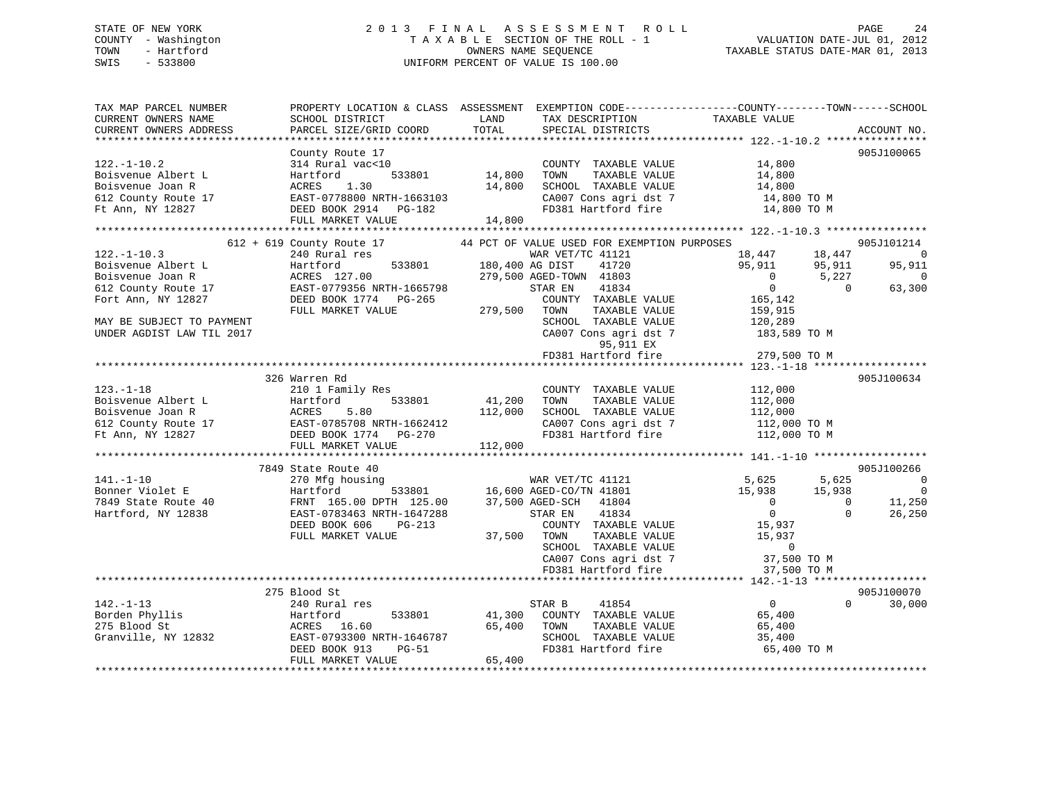# STATE OF NEW YORK 2 0 1 3 F I N A L A S S E S S M E N T R O L L PAGE 24 COUNTY - Washington T A X A B L E SECTION OF THE ROLL - 1 VALUATION DATE-JUL 01, 2012 TOWN - Hartford **TAXABLE STATUS DATE-MAR 01, 2013** OWNERS NAME SEQUENCE TAXABLE STATUS DATE-MAR 01, 2013 SWIS - 533800 UNIFORM PERCENT OF VALUE IS 100.00

| TAX MAP PARCEL NUMBER<br>CURRENT OWNERS NAME<br>CURRENT OWNERS ADDRESS                                                                                                                                                                     | PROPERTY LOCATION & CLASS ASSESSMENT EXEMPTION CODE---------------COUNTY-------TOWN------SCHOOL<br>SCHOOL DISTRICT<br>PARCEL SIZE/GRID COORD | LAND<br>TOTAL               | TAX DESCRIPTION<br>SPECIAL DISTRICTS                                                                                    | TAXABLE VALUE                      | ACCOUNT NO.              |
|--------------------------------------------------------------------------------------------------------------------------------------------------------------------------------------------------------------------------------------------|----------------------------------------------------------------------------------------------------------------------------------------------|-----------------------------|-------------------------------------------------------------------------------------------------------------------------|------------------------------------|--------------------------|
|                                                                                                                                                                                                                                            |                                                                                                                                              |                             |                                                                                                                         |                                    |                          |
|                                                                                                                                                                                                                                            | County Route 17                                                                                                                              |                             |                                                                                                                         |                                    | 905J100065               |
| $122. - 1 - 10.2$                                                                                                                                                                                                                          | 314 Rural vac<10                                                                                                                             |                             | COUNTY TAXABLE VALUE 14,800                                                                                             |                                    |                          |
| Boisvenue Albert L                                                                                                                                                                                                                         |                                                                                                                                              |                             | TAXABLE VALUE<br>TOWN                                                                                                   | 14,800                             |                          |
| Boisvenue Joan R                                                                                                                                                                                                                           | Hartford 533801 13,000<br>ACRES 1.30 14,800<br>EAST-0778800 NRTH-1663103<br>DEED BOOK 2914 PG-182<br>14,800                                  |                             | SCHOOL TAXABLE VALUE                                                                                                    | 14,800                             |                          |
| 612 County Route 17                                                                                                                                                                                                                        |                                                                                                                                              |                             | CA007 Cons agri dst 7                                                                                                   | 14,800 TO M                        |                          |
| Ft Ann, NY 12827                                                                                                                                                                                                                           |                                                                                                                                              |                             | FD381 Hartford fire                                                                                                     | 14,800 TO M                        |                          |
|                                                                                                                                                                                                                                            | FULL MARKET VALUE                                                                                                                            | 14,800                      |                                                                                                                         |                                    |                          |
|                                                                                                                                                                                                                                            |                                                                                                                                              |                             |                                                                                                                         |                                    |                          |
|                                                                                                                                                                                                                                            | 612 + 619 County Route 17 44 PCT OF VALUE USED FOR EXEMPTION PURPOSES                                                                        |                             |                                                                                                                         |                                    | 905J101214               |
| $122. - 1 - 10.3$                                                                                                                                                                                                                          | 240 Rural res                                                                                                                                |                             | WAR VET/TC 41121                                                                                                        | 18,447<br>18,447                   | $\overline{0}$           |
| Boisvenue Albert L                                                                                                                                                                                                                         |                                                                                                                                              | WAR VET/<br>180,400 AG DIST | 41720                                                                                                                   | 95,911<br>95,911                   | 95,911                   |
| Boisvenue Joan R                                                                                                                                                                                                                           |                                                                                                                                              |                             | 279,500 AGED-TOWN 41803                                                                                                 | $\sim$ 0<br>5,227                  | $\Omega$                 |
| 612 County Route 17                                                                                                                                                                                                                        |                                                                                                                                              |                             | STAR EN<br>41834                                                                                                        | $\overline{0}$<br>$\bigcirc$       | 63,300                   |
| Fort Ann, NY 12827                                                                                                                                                                                                                         | -<br>ACRES 127.00<br>EAST-0779356 NRTH-1665798<br>DEED BOOK 1774 PG-265<br>- MALIE                                                           |                             | COUNTY TAXABLE VALUE                                                                                                    | 165,142                            |                          |
|                                                                                                                                                                                                                                            |                                                                                                                                              | 279,500                     | TAXABLE VALUE<br>TOWN                                                                                                   | 159,915                            |                          |
| MAY BE SUBJECT TO PAYMENT                                                                                                                                                                                                                  |                                                                                                                                              |                             | SCHOOL TAXABLE VALUE                                                                                                    | 120,289                            |                          |
| UNDER AGDIST LAW TIL 2017                                                                                                                                                                                                                  |                                                                                                                                              |                             | CA007 Cons agri dst 7                                                                                                   | 183,589 TO M                       |                          |
|                                                                                                                                                                                                                                            |                                                                                                                                              |                             | 95,911 EX                                                                                                               |                                    |                          |
|                                                                                                                                                                                                                                            |                                                                                                                                              |                             | FD381 Hartford fire                                                                                                     | 279,500 TO M                       |                          |
|                                                                                                                                                                                                                                            |                                                                                                                                              |                             |                                                                                                                         |                                    |                          |
| 123.-1-18<br>Boisvenue Albert L<br>Boisvenue Joan R<br>612 County Route 17<br>The Ann. NY 12827<br>FULL MARKET VALUE<br>FULL MARKET VALUE<br>CONSITING THE POST OF THE POST OF THE POST OF THE POST OF THE POST OF THE POST OF THE POST OF | 326 Warren Rd                                                                                                                                |                             |                                                                                                                         |                                    | 905J100634               |
|                                                                                                                                                                                                                                            |                                                                                                                                              |                             | COUNTY TAXABLE VALUE                                                                                                    | 112,000                            |                          |
|                                                                                                                                                                                                                                            |                                                                                                                                              | 533801 41,200               | TAXABLE VALUE<br>TOWN                                                                                                   | 112,000                            |                          |
|                                                                                                                                                                                                                                            |                                                                                                                                              | 112,000                     | SCHOOL TAXABLE VALUE                                                                                                    | 112,000                            |                          |
|                                                                                                                                                                                                                                            |                                                                                                                                              |                             |                                                                                                                         | CA007 Cons agri dst 7 112,000 TO M |                          |
|                                                                                                                                                                                                                                            |                                                                                                                                              |                             | FD381 Hartford fire                                                                                                     | 112,000 TO M                       |                          |
|                                                                                                                                                                                                                                            |                                                                                                                                              | 112,000                     |                                                                                                                         |                                    |                          |
|                                                                                                                                                                                                                                            |                                                                                                                                              |                             |                                                                                                                         |                                    |                          |
|                                                                                                                                                                                                                                            | 7849 State Route 40                                                                                                                          |                             |                                                                                                                         |                                    | 905J100266               |
| $141. - 1 - 10$                                                                                                                                                                                                                            | 270 Mfg housing                                                                                                                              |                             | WAR VET/TC 41121                                                                                                        | 5,625<br>5,625                     | $\sim$ 0                 |
| Bonner Violet E                                                                                                                                                                                                                            |                                                                                                                                              |                             | $\begin{tabular}{lllll} \bf{WAR} & \tt VET/TC & 41121 \\ \bf 533801 & 16,600 & \tt AGED-CO/TN & 41801 \\ \end{tabular}$ | 15,938<br>15,938                   | $\overline{0}$           |
| 7849 State Route 40                                                                                                                                                                                                                        | Hartford 533801<br>FRNT 165.00 DPTH 125.00                                                                                                   |                             | 37,500 AGED-SCH 41804                                                                                                   | $\overline{0}$                     | $\overline{0}$<br>11,250 |
| Hartford, NY 12838                                                                                                                                                                                                                         | EAST-0783463 NRTH-1647288                                                                                                                    |                             | 41834<br>STAR EN                                                                                                        | $\overline{0}$                     | $\Omega$<br>26,250       |
|                                                                                                                                                                                                                                            | DEED BOOK 606<br>PG-213                                                                                                                      |                             | COUNTY TAXABLE VALUE                                                                                                    | 15,937                             |                          |
|                                                                                                                                                                                                                                            | FULL MARKET VALUE                                                                                                                            | 37,500                      | TOWN<br>TAXABLE VALUE                                                                                                   | 15,937                             |                          |
|                                                                                                                                                                                                                                            |                                                                                                                                              |                             | SCHOOL TAXABLE VALUE                                                                                                    | $\overline{0}$                     |                          |
|                                                                                                                                                                                                                                            |                                                                                                                                              |                             | CA007 Cons agri dst 7<br>CA007 Cons agri dst 7                                                                          | 37,500 TO M                        |                          |
|                                                                                                                                                                                                                                            |                                                                                                                                              |                             | FD381 Hartford fire                                                                                                     | 37,500 TO M                        |                          |
|                                                                                                                                                                                                                                            |                                                                                                                                              |                             |                                                                                                                         |                                    |                          |
|                                                                                                                                                                                                                                            | 275 Blood St                                                                                                                                 |                             |                                                                                                                         |                                    | 905J100070               |
| $142. - 1 - 13$                                                                                                                                                                                                                            | 240 Rural res                                                                                                                                |                             | STAR B<br>41854                                                                                                         | $\overline{0}$                     | $\Omega$<br>30,000       |
| Borden Phyllis                                                                                                                                                                                                                             | Hartford<br>533801                                                                                                                           | 41,300                      | COUNTY TAXABLE VALUE                                                                                                    | 65,400                             |                          |
| 275 Blood St                                                                                                                                                                                                                               | ACRES 16.60                                                                                                                                  | 65,400                      | TOWN<br>TAXABLE VALUE                                                                                                   | 65,400                             |                          |
| Granville, NY 12832                                                                                                                                                                                                                        | EAST-0793300 NRTH-1646787                                                                                                                    |                             | SCHOOL TAXABLE VALUE                                                                                                    | 35,400                             |                          |
|                                                                                                                                                                                                                                            | DEED BOOK 913<br>PG-51                                                                                                                       |                             | FD381 Hartford fire                                                                                                     | 65,400 TO M                        |                          |
|                                                                                                                                                                                                                                            | FULL MARKET VALUE                                                                                                                            | 65,400                      |                                                                                                                         |                                    |                          |
|                                                                                                                                                                                                                                            |                                                                                                                                              |                             |                                                                                                                         |                                    |                          |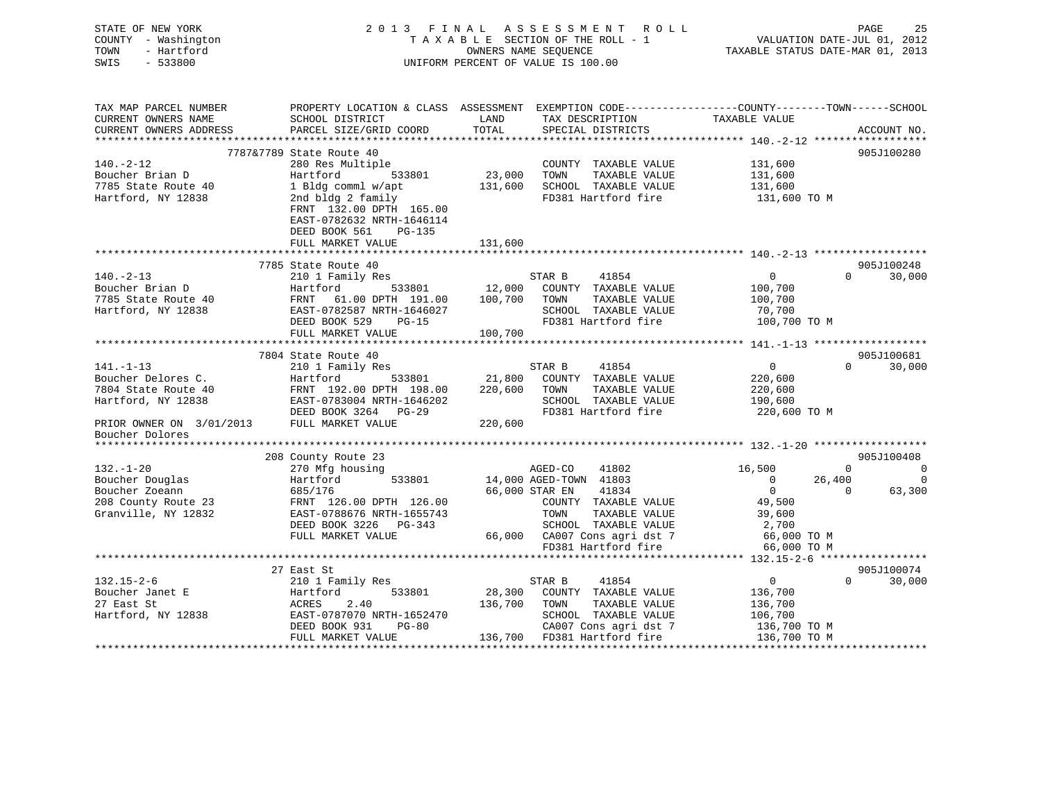| STATE OF NEW YORK<br>COUNTY - Washington<br>- Hartford<br>TOWN<br>$-533800$<br>SWIS |                                                                                                        | 2013 FINAL<br>A S S E S S M E N T<br>R O L L<br>TAXABLE SECTION OF THE ROLL - 1<br>OWNERS NAME SEQUENCE<br>UNIFORM PERCENT OF VALUE IS 100.00 |                                                 |                          |                    |             |
|-------------------------------------------------------------------------------------|--------------------------------------------------------------------------------------------------------|-----------------------------------------------------------------------------------------------------------------------------------------------|-------------------------------------------------|--------------------------|--------------------|-------------|
| TAX MAP PARCEL NUMBER                                                               | PROPERTY LOCATION & CLASS ASSESSMENT EXEMPTION CODE----------------COUNTY-------TOWN-----SCHOOL        |                                                                                                                                               |                                                 |                          |                    |             |
| CURRENT OWNERS NAME                                                                 | SCHOOL DISTRICT                                                                                        | LAND                                                                                                                                          | TAX DESCRIPTION                                 | TAXABLE VALUE            |                    |             |
| CURRENT OWNERS ADDRESS                                                              | PARCEL SIZE/GRID COORD                                                                                 | TOTAL                                                                                                                                         | SPECIAL DISTRICTS                               |                          |                    | ACCOUNT NO. |
|                                                                                     | 7787&7789 State Route 40                                                                               |                                                                                                                                               |                                                 |                          |                    | 905J100280  |
| $140. -2 - 12$                                                                      | 280 Res Multiple                                                                                       |                                                                                                                                               | COUNTY TAXABLE VALUE                            | 131,600                  |                    |             |
| Boucher Brian D                                                                     | Hartford<br>533801                                                                                     | 23,000                                                                                                                                        | TAXABLE VALUE<br>TOWN                           | 131,600                  |                    |             |
| 7785 State Route 40                                                                 | 1 Bldg comml w/apt                                                                                     | 131,600                                                                                                                                       | SCHOOL TAXABLE VALUE                            | 131,600                  |                    |             |
| Hartford, NY 12838                                                                  | 2nd bldg 2 family<br>FRNT 132.00 DPTH 165.00<br>EAST-0782632 NRTH-1646114<br>DEED BOOK 561<br>$PG-135$ |                                                                                                                                               | FD381 Hartford fire                             | 131,600 TO M             |                    |             |
|                                                                                     | FULL MARKET VALUE                                                                                      | 131,600                                                                                                                                       |                                                 |                          |                    |             |
|                                                                                     |                                                                                                        |                                                                                                                                               |                                                 |                          |                    |             |
|                                                                                     | 7785 State Route 40                                                                                    |                                                                                                                                               |                                                 |                          | $\Omega$           | 905J100248  |
| $140. -2 - 13$<br>Boucher Brian D                                                   | 210 1 Family Res<br>Hartford<br>533801                                                                 | 12,000                                                                                                                                        | STAR B<br>41854<br>COUNTY TAXABLE VALUE         | $\mathbf{0}$<br>100,700  |                    | 30,000      |
| 7785 State Route 40                                                                 | FRNT<br>61.00 DPTH 191.00                                                                              | 100,700                                                                                                                                       | TOWN<br>TAXABLE VALUE                           | 100,700                  |                    |             |
| Hartford, NY 12838                                                                  | EAST-0782587 NRTH-1646027                                                                              |                                                                                                                                               | SCHOOL TAXABLE VALUE                            | 70,700                   |                    |             |
|                                                                                     | DEED BOOK 529<br>$PG-15$                                                                               |                                                                                                                                               | FD381 Hartford fire                             | 100,700 TO M             |                    |             |
|                                                                                     | FULL MARKET VALUE                                                                                      | 100,700                                                                                                                                       |                                                 |                          |                    |             |
|                                                                                     |                                                                                                        |                                                                                                                                               |                                                 |                          |                    |             |
|                                                                                     | 7804 State Route 40                                                                                    |                                                                                                                                               |                                                 |                          |                    | 905J100681  |
| $141. - 1 - 13$                                                                     | 210 1 Family Res                                                                                       |                                                                                                                                               | 41854<br>STAR B                                 | $\overline{0}$           | $\Omega$           | 30,000      |
| Boucher Delores C.                                                                  | 533801<br>Hartford                                                                                     | 21,800                                                                                                                                        | COUNTY TAXABLE VALUE                            | 220,600                  |                    |             |
| 7804 State Route 40                                                                 | FRNT 192.00 DPTH 198.00                                                                                | 220,600                                                                                                                                       | TOWN<br>TAXABLE VALUE                           | 220,600                  |                    |             |
| Hartford, NY 12838                                                                  | EAST-0783004 NRTH-1646202                                                                              |                                                                                                                                               | SCHOOL TAXABLE VALUE                            | 190,600                  |                    |             |
|                                                                                     | DEED BOOK 3264 PG-29                                                                                   |                                                                                                                                               | FD381 Hartford fire                             | 220,600 TO M             |                    |             |
| PRIOR OWNER ON 3/01/2013<br>Boucher Dolores                                         | FULL MARKET VALUE                                                                                      | 220,600                                                                                                                                       |                                                 |                          |                    |             |
|                                                                                     |                                                                                                        |                                                                                                                                               |                                                 |                          |                    |             |
|                                                                                     | 208 County Route 23                                                                                    |                                                                                                                                               |                                                 |                          |                    | 905J100408  |
| $132. - 1 - 20$                                                                     | 270 Mfg housing                                                                                        |                                                                                                                                               | AGED-CO<br>41802                                | 16,500<br>$\mathbf 0$    | $\Omega$           | $\Omega$    |
| Boucher Douglas                                                                     | Hartford<br>533801                                                                                     |                                                                                                                                               | 14,000 AGED-TOWN 41803                          | $\overline{0}$           | 26,400<br>$\Omega$ | $\mathbf 0$ |
| Boucher Zoeann<br>208 County Route 23                                               | 685/176<br>FRNT 126.00 DPTH 126.00                                                                     |                                                                                                                                               | 66,000 STAR EN<br>41834<br>COUNTY TAXABLE VALUE | 49,500                   |                    | 63,300      |
| Granville, NY 12832                                                                 | EAST-0788676 NRTH-1655743                                                                              |                                                                                                                                               | TOWN<br>TAXABLE VALUE                           | 39,600                   |                    |             |
|                                                                                     | DEED BOOK 3226<br>$PG-343$                                                                             |                                                                                                                                               | SCHOOL TAXABLE VALUE                            | 2,700                    |                    |             |
|                                                                                     | FULL MARKET VALUE                                                                                      | 66,000                                                                                                                                        | CA007 Cons agri dst 7                           | 66,000 TO M              |                    |             |
|                                                                                     |                                                                                                        |                                                                                                                                               | FD381 Hartford fire                             | 66,000 TO M              |                    |             |
|                                                                                     | ******************************                                                                         |                                                                                                                                               |                                                 | ****** 132.15-2-6 ****** |                    |             |
|                                                                                     | 27 East St                                                                                             |                                                                                                                                               |                                                 |                          |                    | 905J100074  |
|                                                                                     |                                                                                                        |                                                                                                                                               |                                                 |                          |                    |             |

|                    | 27 East St                |         |                       |              | 905J100074 |
|--------------------|---------------------------|---------|-----------------------|--------------|------------|
| 132.15-2-6         | 210 1 Family Res          |         | 41854<br>STAR B       |              | 30,000     |
| Boucher Janet E    | 533801<br>Hartford        | 28,300  | COUNTY TAXABLE VALUE  | 136,700      |            |
| 27 East St         | 2.40<br>ACRES             | 136,700 | TAXABLE VALUE<br>TOWN | 136,700      |            |
| Hartford, NY 12838 | EAST-0787070 NRTH-1652470 |         | SCHOOL TAXABLE VALUE  | 106,700      |            |
|                    | DEED BOOK 931<br>PG-80    |         | CA007 Cons agri dst 7 | 136,700 TO M |            |
|                    | FULL MARKET VALUE         | 136,700 | FD381 Hartford fire   | 136,700 TO M |            |
|                    |                           |         |                       |              |            |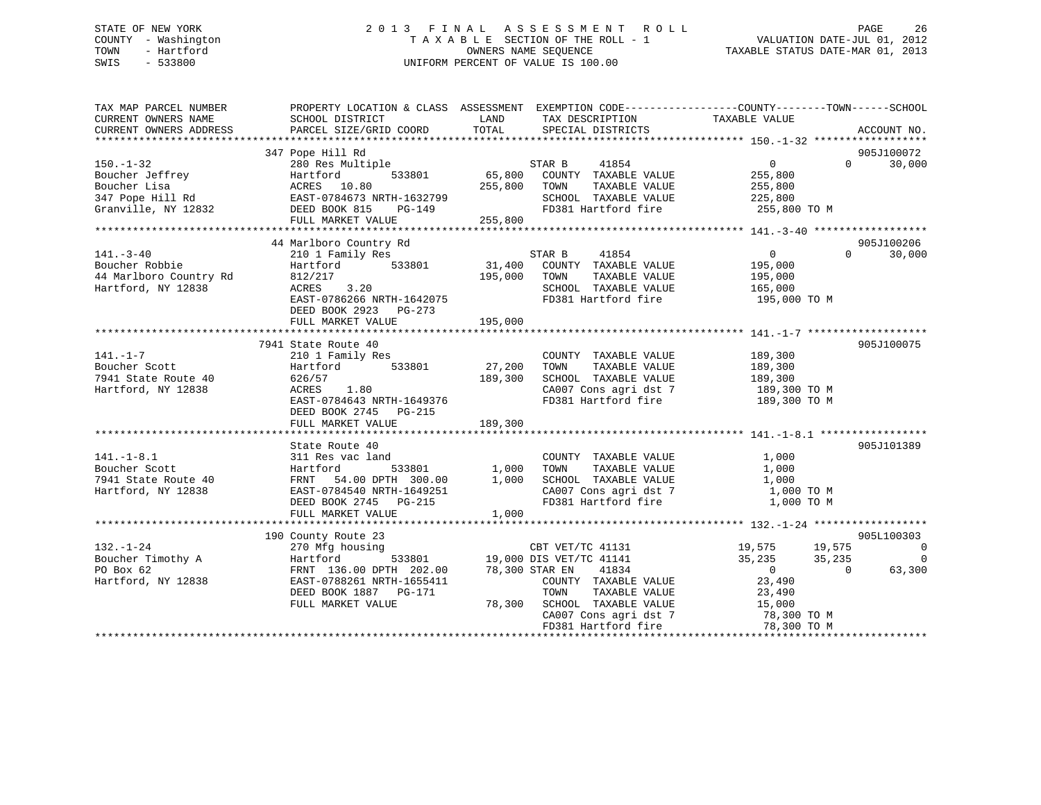# STATE OF NEW YORK 2 0 1 3 F I N A L A S S E S S M E N T R O L L PAGE 26 COUNTY - Washington T A X A B L E SECTION OF THE ROLL - 1 VALUATION DATE-JUL 01, 2012 TOWN - Hartford **TAXABLE STATUS DATE-MAR 01, 2013** OWNERS NAME SEQUENCE TAXABLE STATUS DATE-MAR 01, 2013 SWIS - 533800 UNIFORM PERCENT OF VALUE IS 100.00

| TAX MAP PARCEL NUMBER<br>CURRENT OWNERS NAME<br>CURRENT OWNERS ADDRESS            | SCHOOL DISTRICT<br>PARCEL SIZE/GRID COORD                                                                                                                              | LAND<br>TAX DESCRIPTION<br>TOTAL<br>SPECIAL DISTRICTS                                                                                                                 | PROPERTY LOCATION & CLASS ASSESSMENT EXEMPTION CODE---------------COUNTY-------TOWN------SCHOOL<br>TAXABLE VALUE<br>ACCOUNT NO.                                                                                                     |
|-----------------------------------------------------------------------------------|------------------------------------------------------------------------------------------------------------------------------------------------------------------------|-----------------------------------------------------------------------------------------------------------------------------------------------------------------------|-------------------------------------------------------------------------------------------------------------------------------------------------------------------------------------------------------------------------------------|
| $150. - 1 - 32$<br>Boucher Jeffrey                                                | 347 Pope Hill Rd<br>280 Res Multiple<br>Hartford<br>ACRES 10.80                                                                                                        | STAR B<br>41854<br>533801 65,800 COUNTY TAXABLE VALUE<br>255,800 TOWN<br>TAXABLE VALUE<br>SCHOOL TAXABLE VALUE 225,800                                                | 905J100072<br>$\overline{0}$<br>$\Omega$<br>30,000<br>255,800<br>255,800<br>FD381 Hartford fire 355,800 TO M                                                                                                                        |
| $141. - 3 - 40$<br>Boucher Robbie<br>44 Marlboro Country Rd<br>Hartford, NY 12838 | 44 Marlboro Country Rd<br>210 1 Family Res<br>533801<br>Hartford<br>812/217<br>ACRES 3.20<br>EAST-0786266 NRTH-1642075<br>DEED BOOK 2923 PG-273                        | STAR B<br>41854<br>31,400 COUNTY TAXABLE VALUE<br>195,000 TOWN TAXABLE VALUE<br>SCHOOL TAXABLE VALUE<br>FD381 Hartford fire                                           | 905J100206<br>$\overline{0}$<br>$0 \qquad \qquad$<br>30,000<br>195,000<br>195,000<br>165,000<br>195,000 TO M                                                                                                                        |
| $141. - 1 - 7$<br>Boucher Scott<br>7941 State Route 40<br>Hartford, NY 12838      | 7941 State Route 40<br>210 1 Family Res<br>533801<br>Hartford<br>626/57<br>ACRES 1.80<br>EAST-0784643 NRTH-1649376<br>DEED BOOK 2745 PG-215                            | COUNTY TAXABLE VALUE<br>27,200<br>TAXABLE VALUE<br>TOWN<br>189,300<br>SCHOOL TAXABLE VALUE                                                                            | 905J100075<br>189,300<br>189,300<br>189,300<br>CA007 Cons agri dst 7 189,300 TO M<br>FD381 Hartford fire 189,300 TO M                                                                                                               |
| $141. - 1 - 8.1$<br>Boucher Scott<br>7941 State Route 40<br>Hartford, NY 12838    | State Route 40<br>311 Res vac land<br>Hartford 533801 1,000<br>FRNT 54.00 DPTH 300.00 1,000<br>EAST-0784540 NRTH-1649251<br>DEED BOOK 2745 PG-215<br>FULL MARKET VALUE | COUNTY TAXABLE VALUE<br>TAXABLE VALUE<br>TOWN<br>SCHOOL TAXABLE VALUE<br>CA007 Cons agri dst 7<br>FD381 Hartford fire<br>1,000                                        | 905J101389<br>1,000<br>1,000<br>1,000<br>1,000 TO M<br>1,000 TO M                                                                                                                                                                   |
| $132. - 1 - 24$<br>Boucher Timothy A<br>PO Box 62<br>Hartford, NY 12838           | 190 County Route 23<br>270 Mfg housing<br>Hartford<br>FRNT 136.00 DPTH 202.00<br>EAST-0788261 NRTH-1655411<br>DEED BOOK 1887 PG-171<br>FULL MARKET VALUE               | sing<br>533801 19,000 DIS VET/TC 41141<br>78,300 STAR EN 41834<br>COUNTY TAXABLE VALUE<br>TOWN<br>TAXABLE VALUE<br>78,300 SCHOOL TAXABLE VALUE<br>FD381 Hartford fire | 905L100303<br>$\overline{0}$<br>19,575          19,575<br>35,235           35,235<br>$\overline{0}$<br>63,300<br>$\overline{0}$<br>$\overline{0}$<br>23,490<br>23,490<br>15,000<br>CA007 Cons agri dst 7 78,300 TO M<br>78,300 TO M |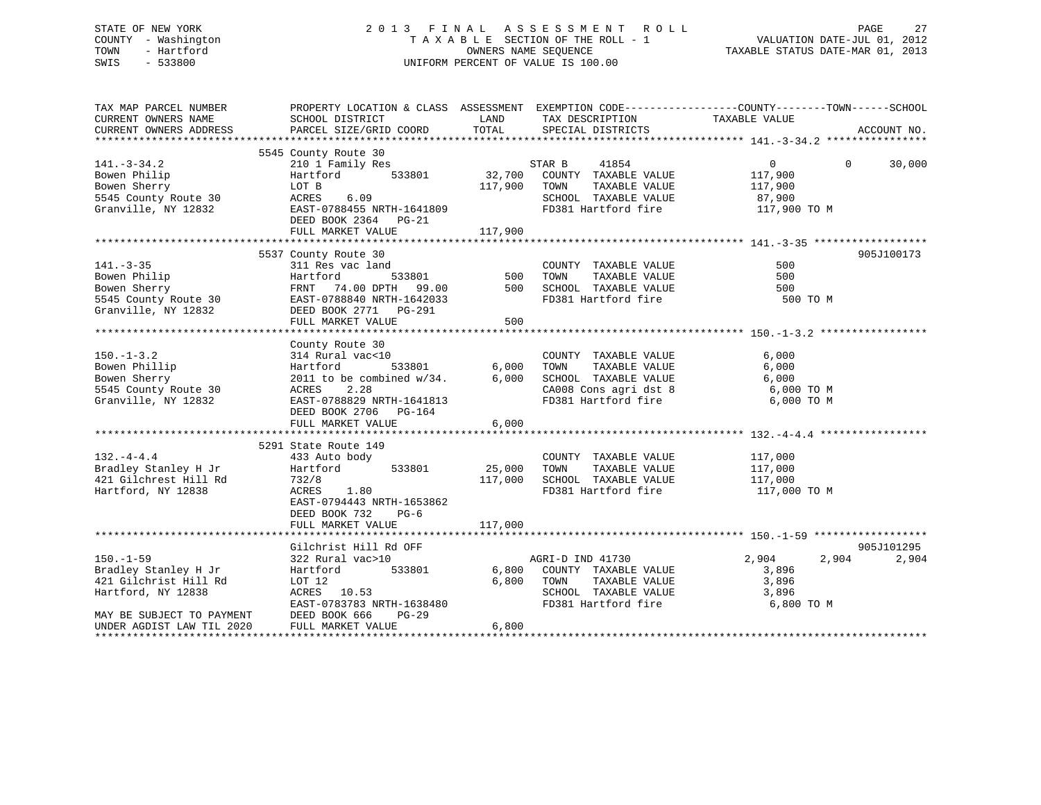| STATE OF NEW YORK   | 2013 FINAL ASSESSMENT ROLL         | 27<br>PAGE                       |
|---------------------|------------------------------------|----------------------------------|
| COUNTY - Washington | TAXABLE SECTION OF THE ROLL - 1    | VALUATION DATE-JUL 01, 2012      |
| - Hartford<br>TOWN  | OWNERS NAME SEOUENCE               | TAXABLE STATUS DATE-MAR 01, 2013 |
| - 533800<br>SWIS    | UNIFORM PERCENT OF VALUE IS 100.00 |                                  |
|                     |                                    |                                  |
|                     |                                    |                                  |

| TAX MAP PARCEL NUMBER<br>CURRENT OWNERS NAME                                           | PROPERTY LOCATION & CLASS ASSESSMENT EXEMPTION CODE---------------COUNTY-------TOWN-----SCHOOL<br>SCHOOL DISTRICT<br>CURRENT OWNERS ADDRESS PARCEL SIZE/GRID COORD TOTAL                                                                                                                                                | LAND        | TAX DESCRIPTION<br>SPECIAL DISTRICTS                                                                                                      | TAXABLE VALUE                         |          | ACCOUNT NO.         |
|----------------------------------------------------------------------------------------|-------------------------------------------------------------------------------------------------------------------------------------------------------------------------------------------------------------------------------------------------------------------------------------------------------------------------|-------------|-------------------------------------------------------------------------------------------------------------------------------------------|---------------------------------------|----------|---------------------|
|                                                                                        | 5545 County Route 30                                                                                                                                                                                                                                                                                                    |             |                                                                                                                                           |                                       |          |                     |
| $141. - 3 - 34.2$<br>Bowen Philip                                                      | = 2000 EOT B<br>2000 EOT B<br>2000 EOT B<br>2000 EOT B<br>2000 EAST-0788455 NRTH-1641809<br>2000 EAST-0788455 NRTH-1641809<br>2000 ED381 Hartford fire 117,900 TO M<br>217,900 EAST-0788455 NRTH-1641809<br>2010 ED381 Hartford fire 117,900<br>DEED BOOK 2364 PG-21<br>FULL MARKET VALUE                               | 117,900     |                                                                                                                                           | $\overline{0}$<br>117,900             | $\Omega$ | 30,000              |
|                                                                                        | 5537 County Route 30                                                                                                                                                                                                                                                                                                    |             |                                                                                                                                           |                                       |          | 905J100173          |
| $141. - 3 - 35$<br>Bowen Philip<br>Bowen Sherry                                        | 3337 UNIVERSITY OF THE MANUE STATE OF THE SANDER STATE OF THE STATE OF STATE SOUNCE SO TOWN TAXABLE VALUE SO TOWN TAXABLE VALUE SO TOWN TAXABLE VALUE SO TOWN TAXABLE VALUE SO TOWN TAXABLE VALUE SO TOWN TAXABLE VALUE SO TOW<br>5545 County Route 30<br>Granville, NY 12832<br>FULL MARKET VALUE<br>FULL MARKET VALUE | 500         | FD381 Hartford fire 500 TO M                                                                                                              |                                       |          |                     |
|                                                                                        | County Route 30                                                                                                                                                                                                                                                                                                         |             |                                                                                                                                           |                                       |          |                     |
|                                                                                        | Granville, NY 12832 EAST-0788829 NRTH-1641813<br>DEED BOOK 2706 PG-164<br>FULL MARKET VALUE                                                                                                                                                                                                                             | 6,000       | CA008 Cons agri dst 8 6,000 TO M<br>FD381 Hartford fire 6,000 TO M                                                                        |                                       |          |                     |
|                                                                                        | 5291 State Route 149                                                                                                                                                                                                                                                                                                    |             |                                                                                                                                           |                                       |          |                     |
| $132. -4 - 4.4$<br>Bradley Stanley H Jr<br>421 Gilchrest Hill Rd<br>Hartford, NY 12838 | 433 Auto body<br>Hartford<br>533801<br>732/8<br>ACRES 1.80<br>EAST-0794443 NRTH-1653862<br>DEED BOOK 732<br>$PG-6$                                                                                                                                                                                                      | 25,000 TOWN | COUNTY TAXABLE VALUE<br>TAXABLE VALUE<br>117,000 SCHOOL TAXABLE VALUE 117,000<br>FD381 Hartford fire 117,000 TO M                         | 117,000<br>117,000                    |          |                     |
|                                                                                        | FULL MARKET VALUE                                                                                                                                                                                                                                                                                                       | 117,000     |                                                                                                                                           |                                       |          |                     |
| $150. - 1 - 59$<br>Bradley Stanley H Jr<br>421 Gilchrist Hill Rd<br>Hartford, NY 12838 | Gilchrist Hill Rd OFF<br>322 Rural vac>10<br>Hartford<br>LOT 12<br>ACRES 10.53<br>EAST-0783783 NRTH-1638480                                                                                                                                                                                                             |             | AGRI-D IND 41730<br>533801 6,800 COUNTY TAXABLE VALUE<br>6,800 TOWN<br>TAXABLE VALUE<br>SCHOOL TAXABLE VALUE 3,896<br>FD381 Hartford fire | 2,904<br>3,896<br>3,896<br>6,800 TO M | 2,904    | 905J101295<br>2,904 |
| MAY BE SUBJECT TO PAYMENT<br>UNDER AGDIST LAW TIL 2020                                 | DEED BOOK 666<br>$PG-29$<br>FULL MARKET VALUE                                                                                                                                                                                                                                                                           | 6,800       |                                                                                                                                           |                                       |          |                     |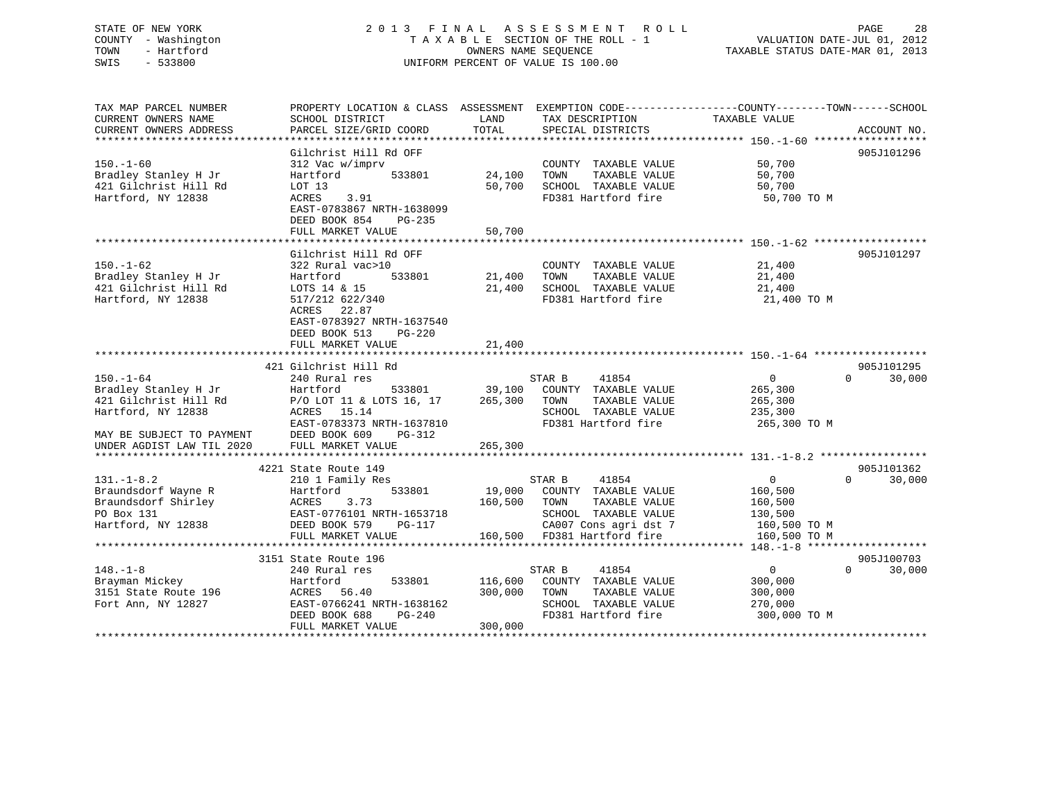# STATE OF NEW YORK 2 0 1 3 F I N A L A S S E S S M E N T R O L L PAGE 28 COUNTY - Washington T A X A B L E SECTION OF THE ROLL - 1 VALUATION DATE-JUL 01, 2012 TOWN - Hartford OWNERS NAME SEQUENCE TAXABLE STATUS DATE-MAR 01, 2013 SWIS - 533800 UNIFORM PERCENT OF VALUE IS 100.00

| TAX MAP PARCEL NUMBER     |                           |         |                             | PROPERTY LOCATION & CLASS ASSESSMENT EXEMPTION CODE----------------COUNTY-------TOWN------SCHOOL |
|---------------------------|---------------------------|---------|-----------------------------|--------------------------------------------------------------------------------------------------|
| CURRENT OWNERS NAME       | SCHOOL DISTRICT           | LAND    | TAX DESCRIPTION             | TAXABLE VALUE                                                                                    |
| CURRENT OWNERS ADDRESS    | PARCEL SIZE/GRID COORD    | TOTAL   | SPECIAL DISTRICTS           | ACCOUNT NO.                                                                                      |
|                           |                           |         |                             |                                                                                                  |
|                           | Gilchrist Hill Rd OFF     |         |                             | 905J101296                                                                                       |
| $150. - 1 - 60$           | 312 Vac w/imprv           |         | COUNTY TAXABLE VALUE        | 50,700                                                                                           |
| Bradley Stanley H Jr      | Hartford<br>533801        | 24,100  | TOWN<br>TAXABLE VALUE       | 50,700                                                                                           |
| 421 Gilchrist Hill Rd     | LOT 13                    | 50,700  | SCHOOL TAXABLE VALUE        | 50,700                                                                                           |
| Hartford, NY 12838        | 3.91<br>ACRES             |         | FD381 Hartford fire         | 50,700 TO M                                                                                      |
|                           | EAST-0783867 NRTH-1638099 |         |                             |                                                                                                  |
|                           | DEED BOOK 854<br>$PG-235$ |         |                             |                                                                                                  |
|                           | FULL MARKET VALUE         | 50,700  |                             |                                                                                                  |
|                           |                           |         |                             |                                                                                                  |
|                           | Gilchrist Hill Rd OFF     |         |                             | 905J101297                                                                                       |
| $150. - 1 - 62$           | 322 Rural vac>10          |         | COUNTY TAXABLE VALUE        | 21,400                                                                                           |
| Bradley Stanley H Jr      | Hartford<br>533801        | 21,400  | TAXABLE VALUE<br>TOWN       | 21,400                                                                                           |
| 421 Gilchrist Hill Rd     | LOTS 14 & 15              | 21,400  | SCHOOL TAXABLE VALUE        | 21,400                                                                                           |
| Hartford, NY 12838        | 517/212 622/340           |         | FD381 Hartford fire         | 21,400 TO M                                                                                      |
|                           | ACRES 22.87               |         |                             |                                                                                                  |
|                           | EAST-0783927 NRTH-1637540 |         |                             |                                                                                                  |
|                           | DEED BOOK 513<br>$PG-220$ |         |                             |                                                                                                  |
|                           | FULL MARKET VALUE         | 21,400  |                             |                                                                                                  |
|                           |                           |         |                             |                                                                                                  |
|                           | 421 Gilchrist Hill Rd     |         |                             | 905J101295                                                                                       |
| $150. - 1 - 64$           | 240 Rural res             |         | STAR B<br>41854             | $\mathbf{0}$<br>$\Omega$<br>30,000                                                               |
| Bradley Stanley H Jr      | Hartford<br>533801        | 39,100  | COUNTY TAXABLE VALUE        | 265,300                                                                                          |
| 421 Gilchrist Hill Rd     | P/O LOT 11 & LOTS 16, 17  | 265,300 | TOWN<br>TAXABLE VALUE       | 265,300                                                                                          |
| Hartford, NY 12838        | ACRES 15.14               |         | SCHOOL TAXABLE VALUE        | 235,300                                                                                          |
|                           | EAST-0783373 NRTH-1637810 |         | FD381 Hartford fire         | 265,300 TO M                                                                                     |
| MAY BE SUBJECT TO PAYMENT | DEED BOOK 609<br>PG-312   |         |                             |                                                                                                  |
| UNDER AGDIST LAW TIL 2020 | FULL MARKET VALUE         | 265,300 |                             |                                                                                                  |
|                           |                           |         |                             |                                                                                                  |
|                           | 4221 State Route 149      |         |                             | 905J101362                                                                                       |
|                           |                           |         |                             | $\overline{0}$<br>$\Omega$                                                                       |
| $131. - 1 - 8.2$          | 210 1 Family Res          |         | 41854<br>STAR B             | 30,000                                                                                           |
| Braundsdorf Wayne R       | Hartford<br>533801        | 19,000  | COUNTY TAXABLE VALUE        | 160,500                                                                                          |
| Braundsdorf Shirley       | 3.73<br>ACRES             | 160,500 | TOWN<br>TAXABLE VALUE       | 160,500                                                                                          |
| PO Box 131                | EAST-0776101 NRTH-1653718 |         | SCHOOL TAXABLE VALUE        | 130,500                                                                                          |
| Hartford, NY 12838        | DEED BOOK 579<br>PG-117   |         | CA007 Cons agri dst 7       | 160,500 TO M                                                                                     |
|                           | FULL MARKET VALUE         |         | 160,500 FD381 Hartford fire | 160,500 TO M                                                                                     |
|                           |                           |         |                             |                                                                                                  |
|                           | 3151 State Route 196      |         |                             | 905J100703                                                                                       |
| $148. - 1 - 8$            | 240 Rural res             |         | STAR B<br>41854             | $\overline{0}$<br>$\Omega$<br>30,000                                                             |
| Brayman Mickey            | Hartford<br>533801        | 116,600 | COUNTY TAXABLE VALUE        | 300,000                                                                                          |
| 3151 State Route 196      | ACRES 56.40               | 300,000 | TOWN<br>TAXABLE VALUE       | 300,000                                                                                          |
| Fort Ann, NY 12827        | EAST-0766241 NRTH-1638162 |         | SCHOOL TAXABLE VALUE        | 270,000                                                                                          |
|                           | DEED BOOK 688<br>$PG-240$ |         | FD381 Hartford fire         | 300,000 TO M                                                                                     |
|                           | FULL MARKET VALUE         | 300,000 |                             |                                                                                                  |
|                           |                           |         |                             |                                                                                                  |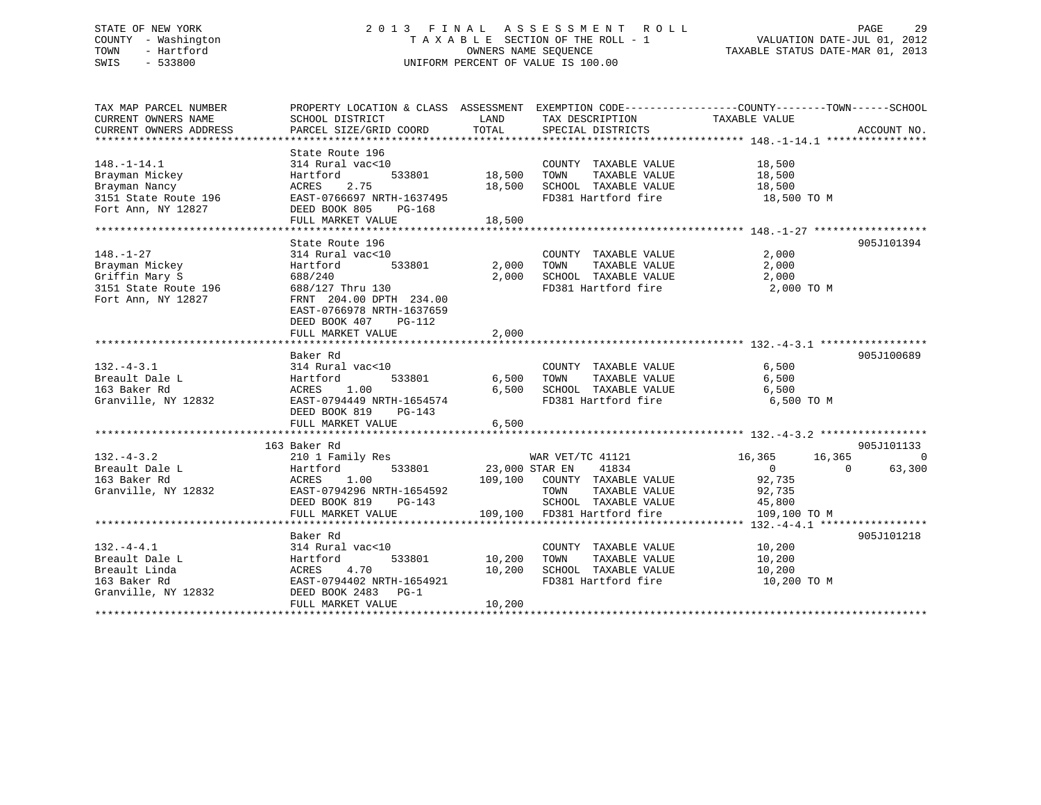# STATE OF NEW YORK 2 0 1 3 F I N A L A S S E S S M E N T R O L L PAGE 29 COUNTY - Washington T A X A B L E SECTION OF THE ROLL - 1 VALUATION DATE-JUL 01, 2012 TOWN - Hartford **TAXABLE STATUS DATE-MAR 01, 2013** OWNERS NAME SEQUENCE TAXABLE STATUS DATE-MAR 01, 2013 SWIS - 533800 UNIFORM PERCENT OF VALUE IS 100.00

| TAX MAP PARCEL NUMBER  | PROPERTY LOCATION & CLASS ASSESSMENT EXEMPTION CODE----------------COUNTY-------TOWN------SCHOOL |                |                                |                  |                    |
|------------------------|--------------------------------------------------------------------------------------------------|----------------|--------------------------------|------------------|--------------------|
| CURRENT OWNERS NAME    | SCHOOL DISTRICT                                                                                  | LAND           | TAX DESCRIPTION                | TAXABLE VALUE    |                    |
| CURRENT OWNERS ADDRESS | PARCEL SIZE/GRID COORD                                                                           | TOTAL          | SPECIAL DISTRICTS              |                  | ACCOUNT NO.        |
|                        |                                                                                                  |                |                                |                  |                    |
|                        | State Route 196                                                                                  |                |                                |                  |                    |
| $148. - 1 - 14.1$      | 314 Rural vac<10                                                                                 |                | COUNTY TAXABLE VALUE           | 18,500           |                    |
| Brayman Mickey         | Hartford<br>533801                                                                               | 18,500         | TAXABLE VALUE<br>TOWN          | 18,500           |                    |
| Brayman Nancy          | 2.75<br>ACRES                                                                                    | 18,500         | SCHOOL TAXABLE VALUE 18,500    |                  |                    |
| 3151 State Route 196   | EAST-0766697 NRTH-1637495                                                                        |                | FD381 Hartford fire            | 18,500 TO M      |                    |
| Fort Ann, NY 12827     | DEED BOOK 805<br>PG-168                                                                          |                |                                |                  |                    |
|                        | FULL MARKET VALUE                                                                                | 18,500         |                                |                  |                    |
|                        |                                                                                                  |                |                                |                  |                    |
|                        | State Route 196                                                                                  |                |                                |                  | 905J101394         |
| $148. - 1 - 27$        | 314 Rural vac<10                                                                                 |                | COUNTY TAXABLE VALUE           | 2,000            |                    |
| Brayman Mickey         | 533801<br>Hartford                                                                               | 2,000          | TOWN<br>TAXABLE VALUE          | 2,000            |                    |
| Griffin Mary S         | 688/240                                                                                          | 2,000          | SCHOOL TAXABLE VALUE 2,000     |                  |                    |
| 3151 State Route 196   | 688/127 Thru 130                                                                                 |                | FD381 Hartford fire            | 2,000 TO M       |                    |
| Fort Ann, NY 12827     | FRNT 204.00 DPTH 234.00                                                                          |                |                                |                  |                    |
|                        | EAST-0766978 NRTH-1637659                                                                        |                |                                |                  |                    |
|                        |                                                                                                  |                |                                |                  |                    |
|                        | DEED BOOK 407<br>PG-112                                                                          | 2,000          |                                |                  |                    |
|                        | FULL MARKET VALUE                                                                                |                |                                |                  |                    |
|                        | Baker Rd                                                                                         |                |                                |                  | 905J100689         |
|                        |                                                                                                  |                |                                |                  |                    |
| $132 - 4 - 3.1$        | 314 Rural vac<10                                                                                 |                | COUNTY TAXABLE VALUE           | 6,500            |                    |
| Breault Dale L         | 533801<br>Hartford                                                                               | 6,500          | TOWN<br>TAXABLE VALUE          | 6,500            |                    |
| 163 Baker Rd           | ACRES 1.00                                                                                       |                | 6,500 SCHOOL TAXABLE VALUE     | 6,500            |                    |
| Granville, NY 12832    | EAST-0794449 NRTH-1654574                                                                        |                | FD381 Hartford fire 6,500 TO M |                  |                    |
|                        | DEED BOOK 819 PG-143                                                                             |                |                                |                  |                    |
|                        | FULL MARKET VALUE                                                                                | 6,500          |                                |                  |                    |
|                        |                                                                                                  |                |                                |                  |                    |
|                        | 163 Baker Rd                                                                                     |                |                                |                  | 905J101133         |
| $132 - 4 - 3.2$        | 210 1 Family Res                                                                                 |                | WAR VET/TC 41121               | 16,365<br>16,365 | $\Omega$           |
| Breault Dale L         | 533801<br>Hartford                                                                               | 23,000 STAR EN | 41834                          | $\overline{0}$   | 63,300<br>$\Omega$ |
| 163 Baker Rd           | ACRES<br>1.00                                                                                    |                | 109,100 COUNTY TAXABLE VALUE   | 92,735           |                    |
| Granville, NY 12832    | EAST-0794296 NRTH-1654592                                                                        |                | TOWN<br>TAXABLE VALUE          | 92,735           |                    |
|                        | DEED BOOK 819<br>PG-143                                                                          |                | SCHOOL TAXABLE VALUE 45,800    |                  |                    |
|                        | FULL MARKET VALUE                                                                                |                | 109,100 FD381 Hartford fire    | 109,100 TO M     |                    |
|                        |                                                                                                  |                |                                |                  |                    |
|                        | Baker Rd                                                                                         |                |                                |                  | 905J101218         |
| $132. -4 - 4.1$        | 314 Rural vac<10                                                                                 |                | COUNTY TAXABLE VALUE 10,200    |                  |                    |
| Breault Dale L         | 533801<br>Hartford                                                                               | 10,200         | TOWN<br>TAXABLE VALUE          | 10,200           |                    |
| Breault Linda          | ACRES 4.70                                                                                       | 10,200         | SCHOOL TAXABLE VALUE           | 10,200           |                    |
| 163 Baker Rd           | EAST-0794402 NRTH-1654921                                                                        |                | FD381 Hartford fire            | 10,200 TO M      |                    |
| Granville, NY 12832    | DEED BOOK 2483 PG-1                                                                              |                |                                |                  |                    |
|                        | FULL MARKET VALUE                                                                                | 10,200         |                                |                  |                    |
|                        |                                                                                                  |                |                                |                  |                    |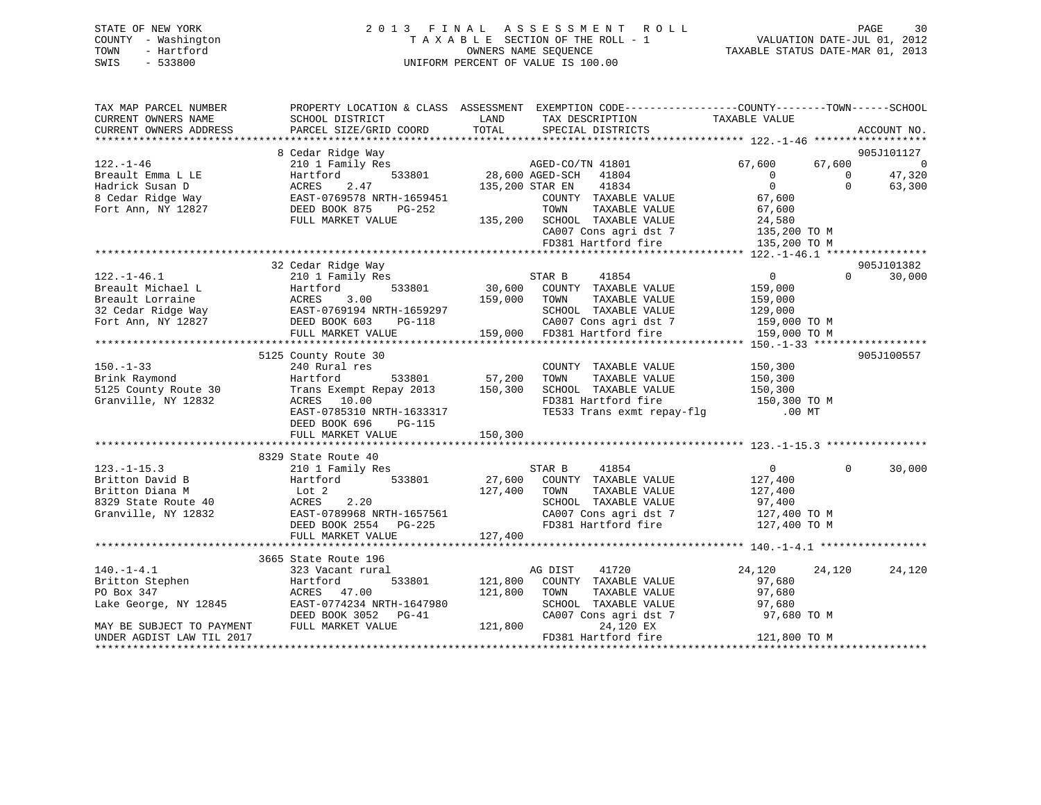# STATE OF NEW YORK 2 0 1 3 F I N A L A S S E S S M E N T R O L L PAGE 30 COUNTY - Washington T A X A B L E SECTION OF THE ROLL - 1 VALUATION DATE-JUL 01, 2012 TOWN - Hartford **TAXABLE STATUS DATE-MAR 01, 2013** OWNERS NAME SEQUENCE TAXABLE STATUS DATE-MAR 01, 2013 SWIS - 533800 UNIFORM PERCENT OF VALUE IS 100.00

| TAX MAP PARCEL NUMBER     |                                                                                                                                                                                                                      |              | PROPERTY LOCATION & CLASS ASSESSMENT EXEMPTION CODE----------------COUNTY-------TOWN------SCHOOL |                  |                |             |
|---------------------------|----------------------------------------------------------------------------------------------------------------------------------------------------------------------------------------------------------------------|--------------|--------------------------------------------------------------------------------------------------|------------------|----------------|-------------|
| CURRENT OWNERS NAME       | SCHOOL DISTRICT                                                                                                                                                                                                      | LAND         | TAX DESCRIPTION                                                                                  | TAXABLE VALUE    |                |             |
| CURRENT OWNERS ADDRESS    | PARCEL SIZE/GRID COORD                                                                                                                                                                                               | TOTAL        | SPECIAL DISTRICTS                                                                                |                  |                | ACCOUNT NO. |
|                           |                                                                                                                                                                                                                      |              |                                                                                                  |                  |                |             |
|                           | 8 Cedar Ridge Way                                                                                                                                                                                                    |              |                                                                                                  |                  |                | 905J101127  |
| $122. - 1 - 46$           | 210 1 Family Res                                                                                                                                                                                                     |              | AGED-CO/TN 41801<br>33801 28,600 AGED-SCH 41804                                                  | 67,600           |                | 67,600 0    |
| Breault Emma L LE         | 533801<br>Hartford                                                                                                                                                                                                   |              |                                                                                                  | $\overline{0}$   | $\overline{0}$ | 47,320      |
| Hadrick Susan D           | ACRES<br>2.47                                                                                                                                                                                                        |              | 41834<br>135,200 STAR EN                                                                         | $\overline{0}$   | $\Omega$       | 63,300      |
| 8 Cedar Ridge Way         | EAST-0769578 NRTH-1659451<br>DEED BOOK 875 PG-252                                                                                                                                                                    |              | COUNTY TAXABLE VALUE                                                                             | 67,600<br>67,600 |                |             |
| Fort Ann, NY 12827        |                                                                                                                                                                                                                      |              | TAXABLE VALUE<br>TOWN                                                                            |                  |                |             |
|                           | FULL MARKET VALUE                                                                                                                                                                                                    |              | 135,200 SCHOOL TAXABLE VALUE 24,580<br>CA007 Cons agri dst 7 135,200                             |                  |                |             |
|                           |                                                                                                                                                                                                                      |              | CA007 Cons agri dst 7                                                                            | 135,200 TO M     |                |             |
|                           |                                                                                                                                                                                                                      |              | FD381 Hartford fire                                                                              | 135,200 TO M     |                |             |
|                           |                                                                                                                                                                                                                      |              |                                                                                                  |                  |                |             |
|                           | 32 Cedar Ridge Way                                                                                                                                                                                                   |              |                                                                                                  |                  |                | 905J101382  |
| $122. - 1 - 46.1$         | 210 1 Family Res                                                                                                                                                                                                     |              | 41854<br>STAR B                                                                                  | $\overline{0}$   | $\Omega$       | 30,000      |
|                           | Example 1 Example 1 Hartford 533801<br>Breault Michael L<br>32 Cedar Ridge Way<br>Fort Ann, NY 12827<br>Fort Ann, NY 12827<br>CHERE BOOK 603<br>THERE BOOK 603<br>THERE BOOK 603<br>THERE BOOK 603<br>THERE BOOK 603 | 30,600       | COUNTY TAXABLE VALUE                                                                             | 159,000          |                |             |
|                           |                                                                                                                                                                                                                      | 159,000 TOWN | TAXABLE VALUE                                                                                    | 159,000          |                |             |
|                           |                                                                                                                                                                                                                      |              | SCHOOL TAXABLE VALUE                                                                             | 129,000          |                |             |
|                           |                                                                                                                                                                                                                      |              | CA007 Cons agri dst 7 159,000 TO M                                                               |                  |                |             |
|                           | FULL MARKET VALUE                                                                                                                                                                                                    |              | 159,000 FD381 Hartford fire                                                                      | 159,000 TO M     |                |             |
|                           |                                                                                                                                                                                                                      |              |                                                                                                  |                  |                |             |
|                           | 5125 County Route 30                                                                                                                                                                                                 |              |                                                                                                  |                  |                | 905J100557  |
| $150. - 1 - 33$           | 240 Rural res<br>res<br>533801 57,200                                                                                                                                                                                |              | COUNTY TAXABLE VALUE                                                                             | 150,300          |                |             |
| Brink Raymond             | Hartford                                                                                                                                                                                                             |              | TOWN<br>TAXABLE VALUE                                                                            | 150,300          |                |             |
| 5125 County Route 30      | Trans Exempt Repay 2013 150,300                                                                                                                                                                                      |              | SCHOOL TAXABLE VALUE 150,300                                                                     |                  |                |             |
| Granville, NY 12832       | ACRES 10.00                                                                                                                                                                                                          |              | FD381 Hartford fire                                                                              | 150,300 TO M     |                |             |
|                           | EAST-0785310 NRTH-1633317                                                                                                                                                                                            |              | TE533 Trans exmt repay-flg .00 MT                                                                |                  |                |             |
|                           | DEED BOOK 696<br>PG-115                                                                                                                                                                                              |              |                                                                                                  |                  |                |             |
|                           | FULL MARKET VALUE                                                                                                                                                                                                    | 150,300      |                                                                                                  |                  |                |             |
|                           |                                                                                                                                                                                                                      |              |                                                                                                  |                  |                |             |
|                           | 8329 State Route 40                                                                                                                                                                                                  |              |                                                                                                  |                  |                |             |
| $123. - 1 - 15.3$         | 210 1 Family Res                                                                                                                                                                                                     |              | 41854<br>STAR B                                                                                  | $\overline{0}$   | $\Omega$       | 30,000      |
| Britton David B           | Hartford 533801                                                                                                                                                                                                      |              | 27,600 COUNTY TAXABLE VALUE                                                                      | 127,400          |                |             |
| Britton Diana M           | Lot 2                                                                                                                                                                                                                | 127,400      | TAXABLE VALUE<br>TOWN                                                                            | 127,400          |                |             |
| 8329 State Route 40       | 2.20<br>ACRES                                                                                                                                                                                                        |              | SCHOOL TAXABLE VALUE                                                                             | 97,400           |                |             |
| Granville, NY 12832       | EAST-0789968 NRTH-1657561                                                                                                                                                                                            |              | CA007 Cons agri dst 7 127,400 TO M                                                               |                  |                |             |
|                           | DEED BOOK 2554 PG-225                                                                                                                                                                                                |              | FD381 Hartford fire                                                                              | 127,400 TO M     |                |             |
|                           | FULL MARKET VALUE                                                                                                                                                                                                    | 127,400      |                                                                                                  |                  |                |             |
|                           |                                                                                                                                                                                                                      |              |                                                                                                  |                  |                |             |
|                           | 3665 State Route 196                                                                                                                                                                                                 |              |                                                                                                  |                  |                |             |
| $140. - 1 - 4.1$          | 323 Vacant rural                                                                                                                                                                                                     |              | AG DIST 41720                                                                                    | 24,120           | 24,120         | 24,120      |
| Britton Stephen           | 533801<br>Hartford                                                                                                                                                                                                   | 121,800      | COUNTY TAXABLE VALUE                                                                             | 97,680           |                |             |
| PO Box 347                | ACRES 47.00                                                                                                                                                                                                          | 121,800      | TOWN<br>TAXABLE VALUE                                                                            | 97,680           |                |             |
| Lake George, NY 12845     | EAST-0774234 NRTH-1647980                                                                                                                                                                                            |              | SCHOOL TAXABLE VALUE                                                                             | 97,680           |                |             |
|                           | DEED BOOK 3052 PG-41                                                                                                                                                                                                 |              | CA007 Cons agri dst 7                                                                            | 97,680 TO M      |                |             |
| MAY BE SUBJECT TO PAYMENT | FULL MARKET VALUE                                                                                                                                                                                                    | 121,800      | 24,120 EX                                                                                        |                  |                |             |
| UNDER AGDIST LAW TIL 2017 |                                                                                                                                                                                                                      |              | FD381 Hartford fire                                                                              | 121,800 TO M     |                |             |
|                           |                                                                                                                                                                                                                      |              |                                                                                                  |                  |                |             |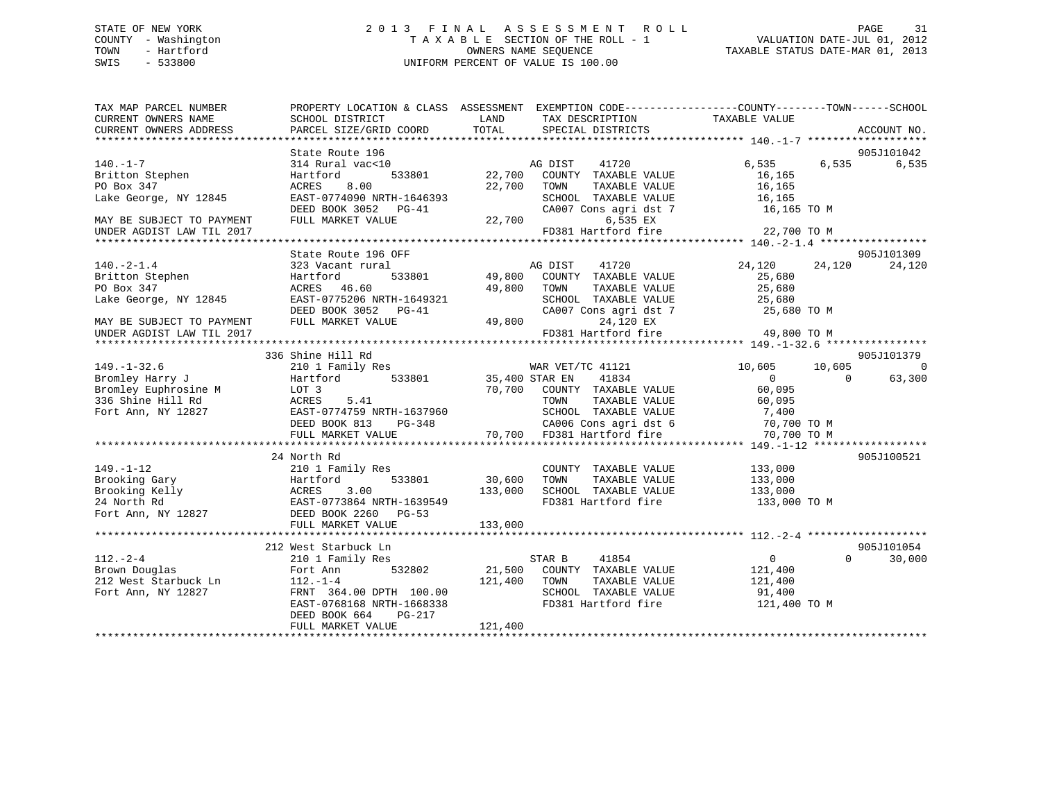# STATE OF NEW YORK 2 0 1 3 F I N A L A S S E S S M E N T R O L L PAGE 31 COUNTY - Washington T A X A B L E SECTION OF THE ROLL - 1 VALUATION DATE-JUL 01, 2012 TOWN - Hartford OWNERS NAME SEQUENCE TAXABLE STATUS DATE-MAR 01, 2013 SWIS - 533800 UNIFORM PERCENT OF VALUE IS 100.00

| TAX MAP PARCEL NUMBER<br>CURRENT OWNERS NAME                                                                                                                                                                            | SCHOOL DISTRICT                                                                                                                                                                      | LAND                                                     | TAX DESCRIPTION                                                                                                                                                                                          | PROPERTY LOCATION & CLASS ASSESSMENT EXEMPTION CODE----------------COUNTY-------TOWN-----SCHOOL<br>TAXABLE VALUE |
|-------------------------------------------------------------------------------------------------------------------------------------------------------------------------------------------------------------------------|--------------------------------------------------------------------------------------------------------------------------------------------------------------------------------------|----------------------------------------------------------|----------------------------------------------------------------------------------------------------------------------------------------------------------------------------------------------------------|------------------------------------------------------------------------------------------------------------------|
| CURRENT OWNERS ADDRESS                                                                                                                                                                                                  | PARCEL SIZE/GRID COORD                                                                                                                                                               | TOTAL                                                    | SPECIAL DISTRICTS                                                                                                                                                                                        | ACCOUNT NO.                                                                                                      |
|                                                                                                                                                                                                                         | State Route 196                                                                                                                                                                      |                                                          |                                                                                                                                                                                                          | 905J101042                                                                                                       |
| $140. -1 - 7$<br>Britton Stephen<br>PO Box 347<br>Lake George, NY 12845                                                                                                                                                 | 314 Rural vac<10<br>Hartford<br>ACRES 8.00<br>EAST-0774090 NRTH-1646393<br>DEED BOOK 3052 PG-41                                                                                      | 533801 22,700<br>22,700 TOWN                             | AG DIST<br>41720<br>COUNTY TAXABLE VALUE<br>TAXABLE VALUE<br>SCHOOL TAXABLE VALUE 16,165                                                                                                                 | 6,535 6,535<br>6,535<br>16,165<br>16,165<br>CA007 Cons agri dst 7 16,165 TO M                                    |
| MAY BE SUBJECT TO PAYMENT<br>UNDER AGDIST LAW TIL 2017                                                                                                                                                                  | FULL MARKET VALUE                                                                                                                                                                    |                                                          | 22,700<br>6,535 EX                                                                                                                                                                                       | FD381 Hartford fire 22,700 TO M                                                                                  |
|                                                                                                                                                                                                                         |                                                                                                                                                                                      |                                                          |                                                                                                                                                                                                          |                                                                                                                  |
| $140.-2-1.4$<br>Britton Stephen<br>PO Box 347<br>Lake George, NY 12845<br>MAY BE SUBJECT TO PAYMENT                                                                                                                     | State Route 196 OFF<br>323 Vacant rural<br>Hartford<br>ACRES 46.60<br>EAST-0775206 NRTH-1649321<br>DEED BOOK 3052 PG-41<br>FULL MARKET VALUE                                         | AG DIST<br>49,800 TOWN<br>1649321 SCHOOL<br>G-41 CA007 C | 41720<br>533801 49,800 COUNTY TAXABLE VALUE<br>TAXABLE VALUE<br>SCHOOL TAXABLE VALUE 25,000<br>CA007 Cons agri dst 7 25,680 TO M<br>24,120 EX                                                            | 905J101309<br>24,120 24,120<br>24,120<br>25,680<br>25,680                                                        |
| UNDER AGDIST LAW TIL 2017                                                                                                                                                                                               |                                                                                                                                                                                      |                                                          | FD381 Hartford fire                                                                                                                                                                                      | 49,800 TO M                                                                                                      |
|                                                                                                                                                                                                                         | 336 Shine Hill Rd                                                                                                                                                                    |                                                          |                                                                                                                                                                                                          | 905J101379                                                                                                       |
| $149. - 1 - 32.6$<br>Bromley Harry J Martford<br>Bromley aaily of the MCDC 3<br>Bromley Euphrosine MCDC 1<br>336 Shine Hill Rd (ACRES 5.41 Fort Ann, NY 12827 EAST-0774759 NRTH-1637960                                 | 210 1 Family Res<br>FULL MARKET VALUE                                                                                                                                                | 533801 35,400 STAR EN                                    | WAR VET/TC 41121<br>41834<br>70,700 COUNTY TAXABLE VALUE<br>TOWN TAXABLE VALUE<br>537960 SCHOOL TAXABLE VALUE 7,400<br>3-348 CA006 Cons agri dst 6 70,700 TO M<br>70,700 FD381 Hartford fire 70,700 TO M | 10,605<br>10,605<br>$\bigcirc$<br>$\overline{0}$<br>63,300<br>$\Omega$<br>60,095<br>60,095                       |
|                                                                                                                                                                                                                         | 24 North Rd                                                                                                                                                                          |                                                          |                                                                                                                                                                                                          | 905J100521                                                                                                       |
| $149. - 1 - 12$<br>149.-1-12<br>Brooking Gary<br>Brooking Kelly<br>24 North Rd<br>24 North Rd<br>Fort Ann, NY 12827<br>24 North Rd<br>24 North Rd<br>2600 Pool 24 NRTH-1639549<br>2600 PG-53<br>27 DEED BOOK 2260 PG-53 | 210 1 Family Res<br>133,000<br>FULL MARKET VALUE                                                                                                                                     | 533801 30,600<br>133,000                                 | COUNTY TAXABLE VALUE<br>TOWN<br>TAXABLE VALUE<br>SCHOOL TAXABLE VALUE 133,000<br>FD381 Hartford fire                                                                                                     | 133,000<br>133,000<br>133,000 TO M                                                                               |
|                                                                                                                                                                                                                         | 212 West Starbuck Ln                                                                                                                                                                 |                                                          |                                                                                                                                                                                                          | 905J101054                                                                                                       |
| $112. - 2 - 4$<br>Brown Douglas<br>212 West Starbuck Ln<br>Fort Ann, NY 12827                                                                                                                                           | 210 1 Family Res<br>532802<br>Fort Ann<br>- 010 Anni<br>112. - 1 - 4<br>----<br>FRNT 364.00 DPTH 100.00<br>FAST-0768168 NRTH-1668338<br>PG-217<br>DEED BOOK 664<br>FULL MARKET VALUE | 21,500<br>121,400<br>121,400                             | 41854<br>STAR B<br>COUNTY TAXABLE VALUE<br>TOWN<br>TAXABLE VALUE<br>SCHOOL TAXABLE VALUE 91,400<br>FD381 Hartford fire                                                                                   | $\Omega$<br>$\overline{0}$<br>30,000<br>121,400<br>121,400<br>121,400 TO M                                       |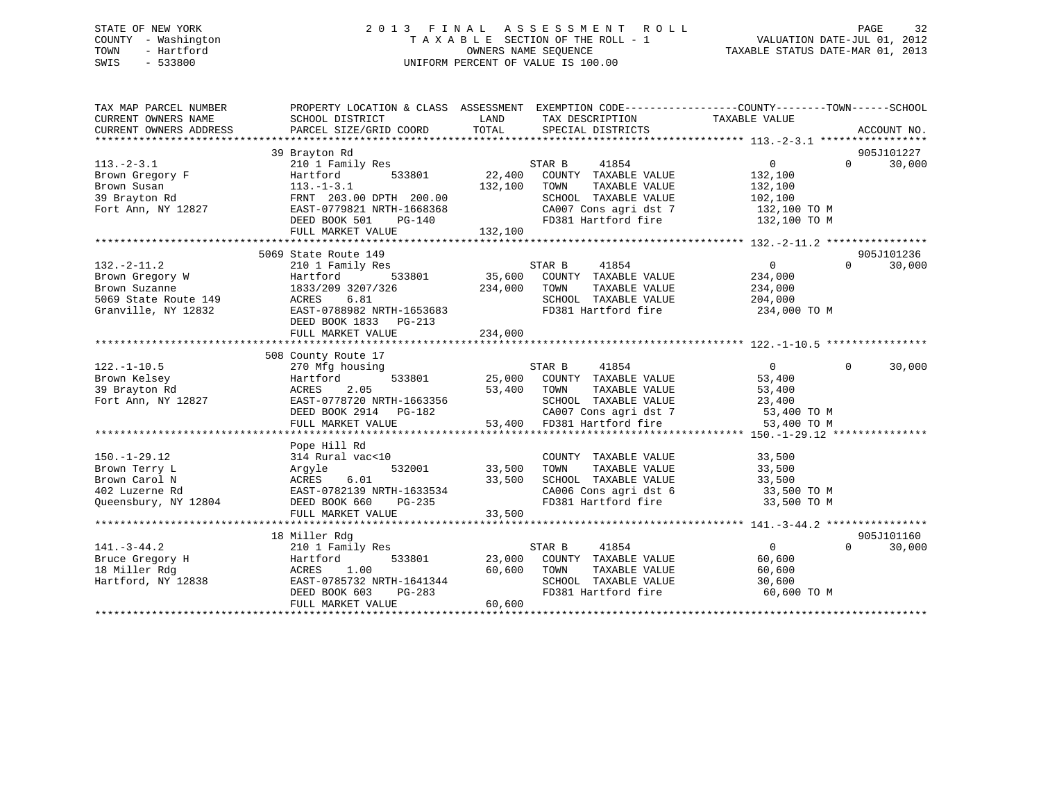# STATE OF NEW YORK 2 0 1 3 F I N A L A S S E S S M E N T R O L L PAGE 32 COUNTY - Washington T A X A B L E SECTION OF THE ROLL - 1 VALUATION DATE-JUL 01, 2012 TOWN - Hartford **TAXABLE STATUS DATE-MAR 01, 2013** OWNERS NAME SEQUENCE TAXABLE STATUS DATE-MAR 01, 2013 SWIS - 533800 UNIFORM PERCENT OF VALUE IS 100.00

| TAX MAP PARCEL NUMBER<br>CURRENT OWNERS NAME<br>CURRENT OWNERS ADDRESS | PROPERTY LOCATION & CLASS ASSESSMENT EXEMPTION CODE----------------COUNTY-------TOWN------SCHOOL<br>SCHOOL DISTRICT<br>PARCEL SIZE/GRID COORD                                                                                            | LAND<br>TOTAL          | TAX DESCRIPTION<br>SPECIAL DISTRICTS                                                                | TAXABLE VALUE     |          | ACCOUNT NO. |
|------------------------------------------------------------------------|------------------------------------------------------------------------------------------------------------------------------------------------------------------------------------------------------------------------------------------|------------------------|-----------------------------------------------------------------------------------------------------|-------------------|----------|-------------|
|                                                                        |                                                                                                                                                                                                                                          |                        |                                                                                                     |                   |          |             |
|                                                                        | 39 Brayton Rd                                                                                                                                                                                                                            |                        |                                                                                                     |                   |          | 905J101227  |
| $113.-2-3.1$                                                           | 210 1 Family Res                                                                                                                                                                                                                         |                        | STAR B<br>41854                                                                                     | $0 \qquad \qquad$ | $\Omega$ | 30,000      |
| Brown Gregory F                                                        | 533801<br>Hartford                                                                                                                                                                                                                       |                        | 22,400 COUNTY TAXABLE VALUE                                                                         | 132,100           |          |             |
| Brown Susan                                                            | $113.-1-3.1$                                                                                                                                                                                                                             | 132,100                | TAXABLE VALUE<br>TOWN                                                                               | 132,100           |          |             |
| 39 Brayton Rd                                                          | FRNT 203.00 DPTH 200.00<br>EAST-0779821 NRTH-1668368                                                                                                                                                                                     |                        | SCHOOL TAXABLE VALUE                                                                                | 102,100           |          |             |
| Fort Ann, NY 12827                                                     |                                                                                                                                                                                                                                          |                        | CA007 Cons agri dst 7 132,100 TO M<br>FD381 Hartford fire 132,100 TO M                              |                   |          |             |
|                                                                        | $PG-140$<br>DEED BOOK 501                                                                                                                                                                                                                |                        |                                                                                                     |                   |          |             |
|                                                                        |                                                                                                                                                                                                                                          |                        |                                                                                                     |                   |          |             |
|                                                                        |                                                                                                                                                                                                                                          |                        |                                                                                                     |                   |          |             |
|                                                                        | 5069 State Route 149                                                                                                                                                                                                                     |                        |                                                                                                     |                   |          | 905J101236  |
| $132 - 2 - 11.2$                                                       | 210 1 Family Res                                                                                                                                                                                                                         |                        |                                                                                                     | $\overline{0}$    | $\Omega$ | 30,000      |
| Brown Gregory W<br>Brown Gregory W<br>Brown Suzanne                    | Hartford                                                                                                                                                                                                                                 |                        |                                                                                                     | 234,000           |          |             |
|                                                                        |                                                                                                                                                                                                                                          | 234,000 TOWN           | TAXABLE VALUE                                                                                       | 234,000           |          |             |
|                                                                        |                                                                                                                                                                                                                                          |                        | SCHOOL TAXABLE VALUE $204,000$<br>FD381 Hartford fire $234,000$ TO M                                |                   |          |             |
|                                                                        | Brown Suzanne<br>Brown Suzanne<br>5069 State Route 149 (1833/209 3207/326 (1893)<br>87669 State Route 149 (1893)<br>RAST-0788982 NRTH-1653683                                                                                            |                        |                                                                                                     |                   |          |             |
|                                                                        | DEED BOOK 1833 PG-213                                                                                                                                                                                                                    |                        |                                                                                                     |                   |          |             |
|                                                                        | FULL MARKET VALUE                                                                                                                                                                                                                        | 234,000                |                                                                                                     |                   |          |             |
|                                                                        |                                                                                                                                                                                                                                          |                        |                                                                                                     |                   |          |             |
|                                                                        | 508 County Route 17                                                                                                                                                                                                                      |                        |                                                                                                     |                   |          |             |
| $122. - 1 - 10.5$                                                      | 270 Mfg housing                                                                                                                                                                                                                          |                        | STAR B 41854                                                                                        | $\overline{0}$    | $\Omega$ | 30,000      |
| Brown Kelsey                                                           | Hartford 533801 25,000 COUNTY TAXABLE VALUE                                                                                                                                                                                              |                        |                                                                                                     | 53,400            |          |             |
|                                                                        |                                                                                                                                                                                                                                          |                        |                                                                                                     |                   |          |             |
|                                                                        |                                                                                                                                                                                                                                          |                        |                                                                                                     |                   |          |             |
|                                                                        | 39 Brayton Rd 27 2.05<br>Fort Ann, NY 12827 2.05<br>Fort Ann, NY 12827 2.05<br>EEED BOOK 2914 PG-182 2.000 2018 23,400<br>EEED BOOK 2914 PG-182 2.0007 Cons agri dst 7 53,400 TO M<br>FULL MARKET VALUE 53,400 FD381 Hartford fire 53,40 |                        |                                                                                                     |                   |          |             |
|                                                                        |                                                                                                                                                                                                                                          |                        |                                                                                                     |                   |          |             |
|                                                                        |                                                                                                                                                                                                                                          |                        |                                                                                                     |                   |          |             |
|                                                                        | Pope Hill Rd                                                                                                                                                                                                                             |                        |                                                                                                     |                   |          |             |
| $150. - 1 - 29.12$                                                     | 314 Rural vac<10                                                                                                                                                                                                                         | )<br>532001     33,500 | COUNTY TAXABLE VALUE                                                                                | 33,500            |          |             |
| Brown Terry L                                                          | Arqyle                                                                                                                                                                                                                                   |                        | TAXABLE VALUE<br>TOWN                                                                               | 33,500            |          |             |
| Brown Carol N                                                          | ACRES 6.01<br>EAST-0782139 NRTH-1633534                                                                                                                                                                                                  | 33,500                 | SCHOOL TAXABLE VALUE 33,500<br>CA006 Cons agri dst 6 33,500 TO M<br>FD381 Hartford fire 33,500 TO M |                   |          |             |
| 402 Luzerne Rd                                                         |                                                                                                                                                                                                                                          |                        |                                                                                                     |                   |          |             |
| Queensbury, NY 12804                                                   | DEED BOOK 660                                                                                                                                                                                                                            | $PG-235$               |                                                                                                     |                   |          |             |
|                                                                        | FULL MARKET VALUE                                                                                                                                                                                                                        | 33,500                 |                                                                                                     |                   |          |             |
|                                                                        |                                                                                                                                                                                                                                          |                        |                                                                                                     |                   |          |             |
|                                                                        | 18 Miller Rdg                                                                                                                                                                                                                            |                        |                                                                                                     |                   |          | 905J101160  |
| $141. - 3 - 44.2$                                                      | $210$ 1 Family Res                                                                                                                                                                                                                       |                        | STAR B<br>41854                                                                                     | $\overline{0}$    | $\Omega$ | 30,000      |
| Bruce Gregory H                                                        | Hartford                                                                                                                                                                                                                                 |                        | 533801 23,000 COUNTY TAXABLE VALUE                                                                  | 60,600            |          |             |
| RORES<br>38 EAST-0<br>18 Miller Rdg                                    | 1.00                                                                                                                                                                                                                                     | 60,600 TOWN            | TAXABLE VALUE                                                                                       | 60,600            |          |             |
| Hartford, NY 12838                                                     |                                                                                                                                                                                                                                          |                        | SCHOOL TAXABLE VALUE                                                                                | 30,600            |          |             |
|                                                                        | EAST-0785732 NRTH-1641344<br>DEED BOOK 603 PG-283                                                                                                                                                                                        |                        | FD381 Hartford fire                                                                                 | 60,600 TO M       |          |             |
|                                                                        | FULL MARKET VALUE                                                                                                                                                                                                                        | 60,600                 |                                                                                                     |                   |          |             |
|                                                                        |                                                                                                                                                                                                                                          |                        |                                                                                                     |                   |          |             |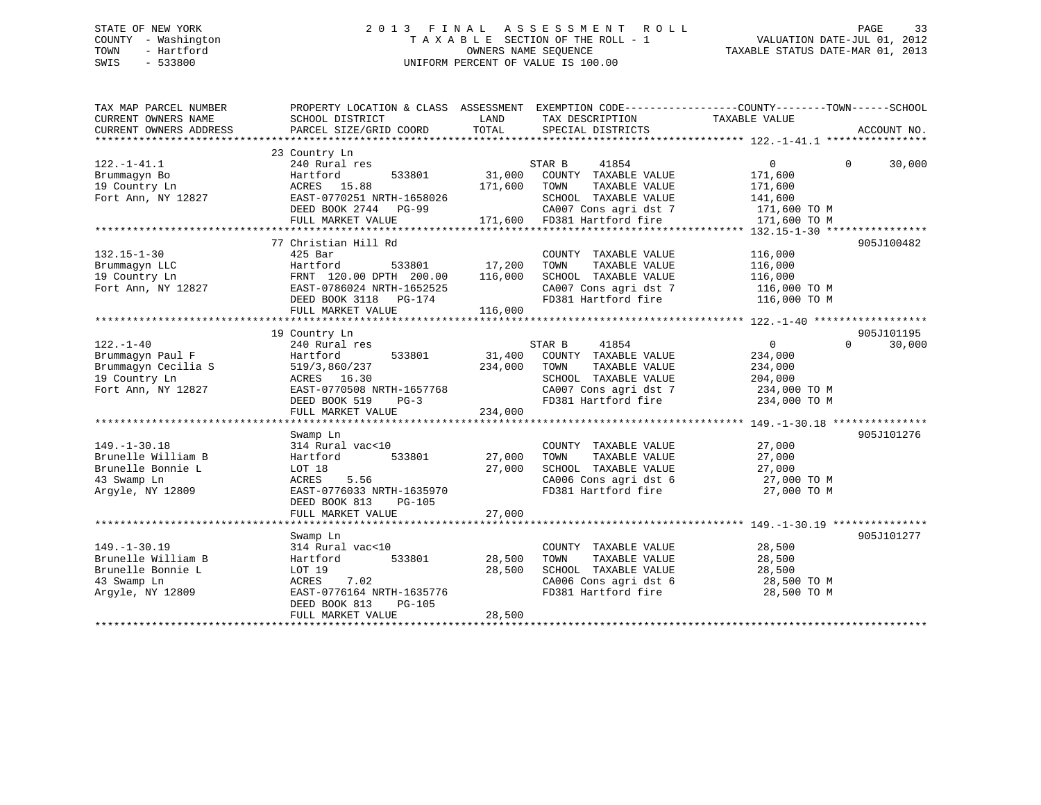# STATE OF NEW YORK 2 0 1 3 F I N A L A S S E S S M E N T R O L L PAGE 33 COUNTY - Washington T A X A B L E SECTION OF THE ROLL - 1 VALUATION DATE-JUL 01, 2012 TOWN - Hartford **TAXABLE STATUS DATE-MAR 01, 2013** SWIS - 533800 UNIFORM PERCENT OF VALUE IS 100.00

| TAX MAP PARCEL NUMBER<br>CURRENT OWNERS NAME<br>CURRENT OWNERS ADDRESS                            | PROPERTY LOCATION & CLASS ASSESSMENT<br>SCHOOL DISTRICT<br>PARCEL SIZE/GRID COORD                                                                                   | LAND<br>TOTAL                | EXEMPTION CODE----------------COUNTY-------TOWN-----SCHOOL<br>TAX DESCRIPTION<br>SPECIAL DISTRICTS                                               | TAXABLE VALUE                                                                      | ACCOUNT NO.        |
|---------------------------------------------------------------------------------------------------|---------------------------------------------------------------------------------------------------------------------------------------------------------------------|------------------------------|--------------------------------------------------------------------------------------------------------------------------------------------------|------------------------------------------------------------------------------------|--------------------|
| $122. - 1 - 41.1$<br>Brummaqyn Bo<br>19 Country Ln<br>Fort Ann, NY 12827                          | 23 Country Ln<br>240 Rural res<br>533801<br>Hartford<br>15.88<br>ACRES<br>EAST-0770251 NRTH-1658026<br>DEED BOOK 2744 PG-99<br>FULL MARKET VALUE                    | 31,000<br>171,600            | STAR B<br>41854<br>COUNTY TAXABLE VALUE<br>TAXABLE VALUE<br>TOWN<br>SCHOOL TAXABLE VALUE<br>CA007 Cons agri dst 7<br>171,600 FD381 Hartford fire | $\mathbf{0}$<br>171,600<br>171,600<br>141,600<br>171,600 TO M<br>171,600 TO M      | $\Omega$<br>30,000 |
|                                                                                                   | 77 Christian Hill Rd                                                                                                                                                |                              |                                                                                                                                                  |                                                                                    | 905J100482         |
| $132.15 - 1 - 30$<br>Brummaqyn LLC<br>19 Country Ln<br>Fort Ann, NY 12827                         | $425$ Bar<br>533801<br>Hartford<br>FRNT 120.00 DPTH 200.00<br>EAST-0786024 NRTH-1652525<br>DEED BOOK 3118<br>PG-174<br>FULL MARKET VALUE                            | 17,200<br>116,000<br>116,000 | COUNTY TAXABLE VALUE<br>TAXABLE VALUE<br>TOWN<br>SCHOOL TAXABLE VALUE<br>CA007 Cons agri dst 7<br>FD381 Hartford fire                            | 116,000<br>116,000<br>116,000<br>116,000 TO M<br>116,000 TO M                      |                    |
|                                                                                                   | 19 Country Ln                                                                                                                                                       |                              |                                                                                                                                                  |                                                                                    | 905J101195         |
| $122. - 1 - 40$<br>Brummaqyn Paul F<br>Brummaqyn Cecilia S<br>19 Country Ln<br>Fort Ann, NY 12827 | 240 Rural res<br>Hartford<br>533801<br>519/3,860/237<br>ACRES 16.30<br>EAST-0770508 NRTH-1657768<br>DEED BOOK 519<br>$PG-3$<br>FULL MARKET VALUE                    | 31,400<br>234,000<br>234,000 | 41854<br>STAR B<br>COUNTY TAXABLE VALUE<br>TAXABLE VALUE<br>TOWN<br>SCHOOL TAXABLE VALUE<br>CA007 Cons agri dst 7<br>FD381 Hartford fire         | $0 \qquad \qquad$<br>234,000<br>234,000<br>204,000<br>234,000 TO M<br>234,000 TO M | $\Omega$<br>30,000 |
|                                                                                                   | Swamp Ln                                                                                                                                                            |                              |                                                                                                                                                  |                                                                                    | 905J101276         |
| $149. - 1 - 30.18$<br>Brunelle William B<br>Brunelle Bonnie L<br>43 Swamp Ln<br>Argyle, NY 12809  | 314 Rural vac<10<br>533801<br>Hartford<br>LOT 18<br>ACRES<br>5.56<br>EAST-0776033 NRTH-1635970<br>DEED BOOK 813<br>PG-105                                           | 27,000<br>27,000             | COUNTY TAXABLE VALUE<br>TAXABLE VALUE<br>TOWN<br>SCHOOL TAXABLE VALUE<br>CA006 Cons agri dst 6<br>FD381 Hartford fire                            | 27,000<br>27,000<br>27,000<br>27,000 TO M<br>27,000 TO M                           |                    |
|                                                                                                   | FULL MARKET VALUE                                                                                                                                                   | 27,000                       |                                                                                                                                                  |                                                                                    |                    |
| $149. - 1 - 30.19$<br>Brunelle William B<br>Brunelle Bonnie L<br>43 Swamp Ln<br>Argyle, NY 12809  | Swamp Ln<br>314 Rural vac<10<br>533801<br>Hartford<br>LOT 19<br><b>ACRES</b><br>7.02<br>EAST-0776164 NRTH-1635776<br>DEED BOOK 813<br>$PG-105$<br>FULL MARKET VALUE | 28,500<br>28,500<br>28,500   | COUNTY TAXABLE VALUE<br>TAXABLE VALUE<br>TOWN<br>SCHOOL TAXABLE VALUE<br>CA006 Cons agri dst 6<br>FD381 Hartford fire                            | 28,500<br>28,500<br>28,500<br>28,500 TO M<br>28,500 TO M                           | 905J101277         |
|                                                                                                   |                                                                                                                                                                     |                              |                                                                                                                                                  |                                                                                    |                    |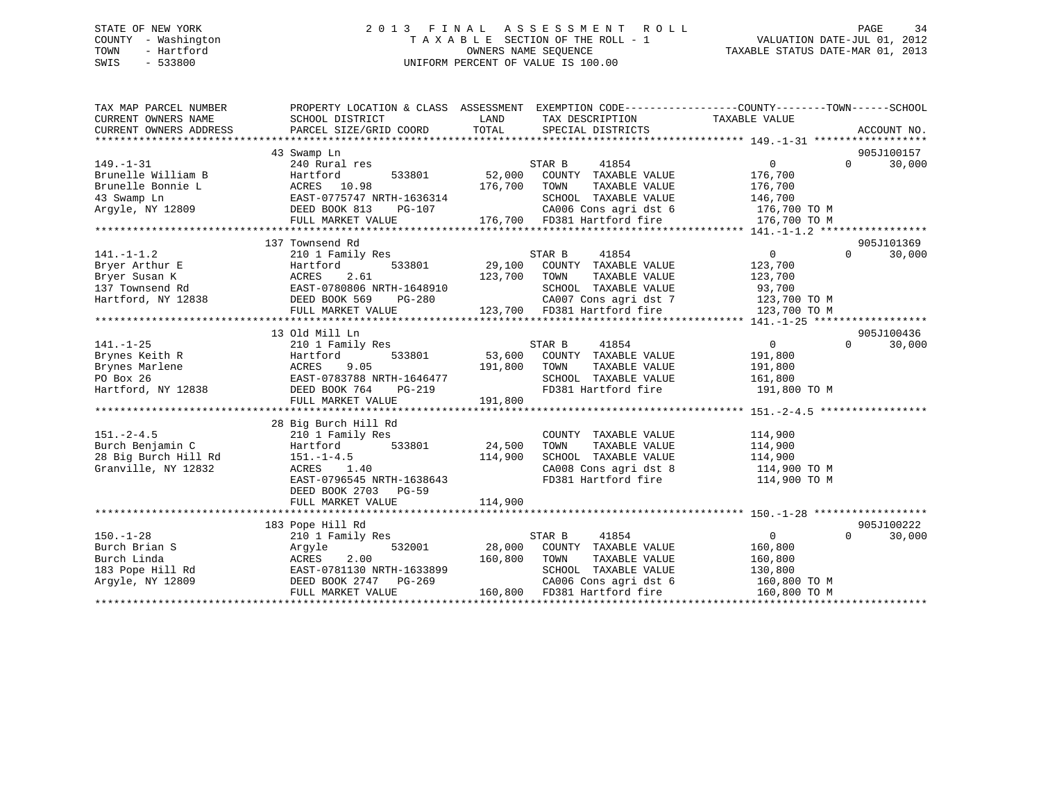#### STATE OF NEW YORK 2 0 1 3 F I N A L A S S E S S M E N T R O L L PAGE 34COUNTY - Washington T A X A B L E SECTION OF THE ROLL - 1 VALUATION DATE-JUL 01, 2012 OWNERS NAME SEQUENCE TAXABLE STATUS DATE-MAR 01, 2013 SWIS - 533800 UNIFORM PERCENT OF VALUE IS 100.00

| TAX MAP PARCEL NUMBER  | PROPERTY LOCATION & CLASS ASSESSMENT EXEMPTION CODE----------------COUNTY-------TOWN------SCHOOL                                                                                                                                                                                                                                                                                                            |         |                                                                             |                    |                   |             |
|------------------------|-------------------------------------------------------------------------------------------------------------------------------------------------------------------------------------------------------------------------------------------------------------------------------------------------------------------------------------------------------------------------------------------------------------|---------|-----------------------------------------------------------------------------|--------------------|-------------------|-------------|
| CURRENT OWNERS NAME    | SCHOOL DISTRICT                                                                                                                                                                                                                                                                                                                                                                                             | LAND    | TAX DESCRIPTION                                                             | TAXABLE VALUE      |                   |             |
| CURRENT OWNERS ADDRESS | PARCEL SIZE/GRID COORD                                                                                                                                                                                                                                                                                                                                                                                      | TOTAL   | SPECIAL DISTRICTS                                                           |                    |                   | ACCOUNT NO. |
|                        |                                                                                                                                                                                                                                                                                                                                                                                                             |         |                                                                             |                    |                   |             |
|                        | 43 Swamp Ln                                                                                                                                                                                                                                                                                                                                                                                                 |         |                                                                             |                    |                   | 905J100157  |
| $149. - 1 - 31$        | 240 Rural res                                                                                                                                                                                                                                                                                                                                                                                               |         | 41854<br>STAR B                                                             | $0 \qquad \qquad$  | $\overline{0}$    | 30,000      |
| Brunelle William B     | Hartford<br>533801                                                                                                                                                                                                                                                                                                                                                                                          | 52,000  | COUNTY TAXABLE VALUE                                                        | 176,700            |                   |             |
| Brunelle Bonnie L      | ACRES 10.98                                                                                                                                                                                                                                                                                                                                                                                                 | 176,700 | TAXABLE VALUE<br>TOWN                                                       | 176,700            |                   |             |
|                        | EAST-0775747 NRTH-1636314<br>DEED BOOK 813 PG-107<br>TILL MARGER HALLER                                                                                                                                                                                                                                                                                                                                     |         |                                                                             |                    |                   |             |
| Argyle, NY 12809       |                                                                                                                                                                                                                                                                                                                                                                                                             |         |                                                                             |                    |                   |             |
|                        | $\begin{tabular}{lllllllllll} \textbf{43 } \texttt{Swamp} & \texttt{EMS} & \texttt{EAST-0775747} & \texttt{NRTH-1636314} & \texttt{SCHOOL} & \texttt{TAXABLE} & \texttt{VALUE} & 146,700 \\ \texttt{Argyle, NY 12809} & \texttt{DEED BOOK 813 } & \texttt{PG-107} & \texttt{CAO06} & \texttt{Cons } \texttt{agr} & \texttt{dst 6} & 176,700 T0 M \\ & \texttt{FULL MARKET VALUE} & 176,700 & \texttt{FD381$ |         |                                                                             |                    |                   |             |
|                        |                                                                                                                                                                                                                                                                                                                                                                                                             |         |                                                                             |                    |                   |             |
|                        | 137 Townsend Rd                                                                                                                                                                                                                                                                                                                                                                                             |         |                                                                             |                    |                   | 905J101369  |
| $141. - 1 - 1.2$       | 210 1 Family Res                                                                                                                                                                                                                                                                                                                                                                                            |         | 41854<br>STAR B                                                             | $\overline{0}$     | $0 \qquad \qquad$ | 30,000      |
| Bryer Arthur E         | Hartford                                                                                                                                                                                                                                                                                                                                                                                                    |         | 533801 29,100 COUNTY TAXABLE VALUE                                          | 123,700            |                   |             |
| Bryer Susan K          |                                                                                                                                                                                                                                                                                                                                                                                                             |         | 123,700 TOWN TAXABLE VALUE 123,700<br>H-1648910 SCHOOL TAXABLE VALUE 93,700 |                    |                   |             |
| 137 Townsend Rd        |                                                                                                                                                                                                                                                                                                                                                                                                             |         |                                                                             |                    |                   |             |
|                        |                                                                                                                                                                                                                                                                                                                                                                                                             |         |                                                                             |                    |                   |             |
|                        | 137 IOWISER MARKET VALUE 123,700 FOR ACTIVITY CONSIDERED BOOK 569 PEED BOOK 569 PEED 280<br>FULL MARKET VALUE 123,700 FD381 Hartford fire 123,700 TO M<br>FULL MARKET VALUE 123,700 FD381 Hartford fire 123,700 TO M<br>************                                                                                                                                                                        |         |                                                                             |                    |                   |             |
|                        |                                                                                                                                                                                                                                                                                                                                                                                                             |         |                                                                             |                    |                   |             |
|                        | 13 Old Mill Ln                                                                                                                                                                                                                                                                                                                                                                                              |         |                                                                             |                    |                   | 905J100436  |
| $141. - 1 - 25$        | 210 1 Family Res                                                                                                                                                                                                                                                                                                                                                                                            |         | STAR B<br>41854<br>STAR B 41854<br>53,600 COUNTY TAXABLE VALUE              | $\overline{0}$     | $0 \qquad \qquad$ | 30,000      |
|                        |                                                                                                                                                                                                                                                                                                                                                                                                             |         |                                                                             | 191,800            |                   |             |
|                        |                                                                                                                                                                                                                                                                                                                                                                                                             | 191,800 | TAXABLE VALUE<br>TOWN                                                       | 191,800            |                   |             |
|                        |                                                                                                                                                                                                                                                                                                                                                                                                             |         | SCHOOL TAXABLE VALUE 161,800                                                |                    |                   |             |
|                        |                                                                                                                                                                                                                                                                                                                                                                                                             |         | FD381 Hartford fire                                                         | 191,800 TO M       |                   |             |
|                        | FULL MARKET VALUE                                                                                                                                                                                                                                                                                                                                                                                           | 191,800 |                                                                             |                    |                   |             |
|                        |                                                                                                                                                                                                                                                                                                                                                                                                             |         |                                                                             |                    |                   |             |
|                        | 28 Big Burch Hill Rd                                                                                                                                                                                                                                                                                                                                                                                        |         |                                                                             |                    |                   |             |
| $151. - 2 - 4.5$       | 210 1 Family Res                                                                                                                                                                                                                                                                                                                                                                                            |         | COUNTY TAXABLE VALUE                                                        | 114,900            |                   |             |
| Burch Benjamin C       | Hartford 533801 24,500                                                                                                                                                                                                                                                                                                                                                                                      |         | TAXABLE VALUE<br>TOWN                                                       | 114,900            |                   |             |
| 28 Big Burch Hill Rd   | $\texttt{101.} - 1 - 4.5$<br>ACRES 1.40                                                                                                                                                                                                                                                                                                                                                                     | 114,900 | SCHOOL TAXABLE VALUE 114,900<br>CA008 Cons agri dst 8 114,900 TO M          |                    |                   |             |
| Granville, NY 12832    |                                                                                                                                                                                                                                                                                                                                                                                                             |         |                                                                             |                    |                   |             |
|                        | EAST-0796545 NRTH-1638643                                                                                                                                                                                                                                                                                                                                                                                   |         | FD381 Hartford fire 114,900 TO M                                            |                    |                   |             |
|                        | DEED BOOK 2703 PG-59                                                                                                                                                                                                                                                                                                                                                                                        |         |                                                                             |                    |                   |             |
|                        | FULL MARKET VALUE                                                                                                                                                                                                                                                                                                                                                                                           | 114,900 |                                                                             |                    |                   |             |
|                        |                                                                                                                                                                                                                                                                                                                                                                                                             |         |                                                                             |                    |                   |             |
|                        | 183 Pope Hill Rd<br>210 1 Family Res                                                                                                                                                                                                                                                                                                                                                                        |         |                                                                             |                    |                   | 905J100222  |
| $150. - 1 - 28$        |                                                                                                                                                                                                                                                                                                                                                                                                             |         | 41854<br>STAR B                                                             | $\overline{0}$     | $0 \qquad \qquad$ | 30,000      |
| Burch Brian S          | Arqyle                                                                                                                                                                                                                                                                                                                                                                                                      |         | 532001 28,000 COUNTY TAXABLE VALUE                                          | 160,800            |                   |             |
|                        | 160,800 TOWN                                                                                                                                                                                                                                                                                                                                                                                                |         | TAXABLE VALUE                                                               | 160,800<br>130,800 |                   |             |
|                        |                                                                                                                                                                                                                                                                                                                                                                                                             |         | SCHOOL TAXABLE VALUE                                                        |                    |                   |             |
|                        | Argyle, NY 12809 DEED BOOK 2747 PG-269                                                                                                                                                                                                                                                                                                                                                                      |         | CA006 Cons agri dst 6 160,800 TO M                                          |                    |                   |             |
|                        | FULL MARKET VALUE                                                                                                                                                                                                                                                                                                                                                                                           |         | 160,800 FD381 Hartford fire                                                 | 160,800 TO M       |                   |             |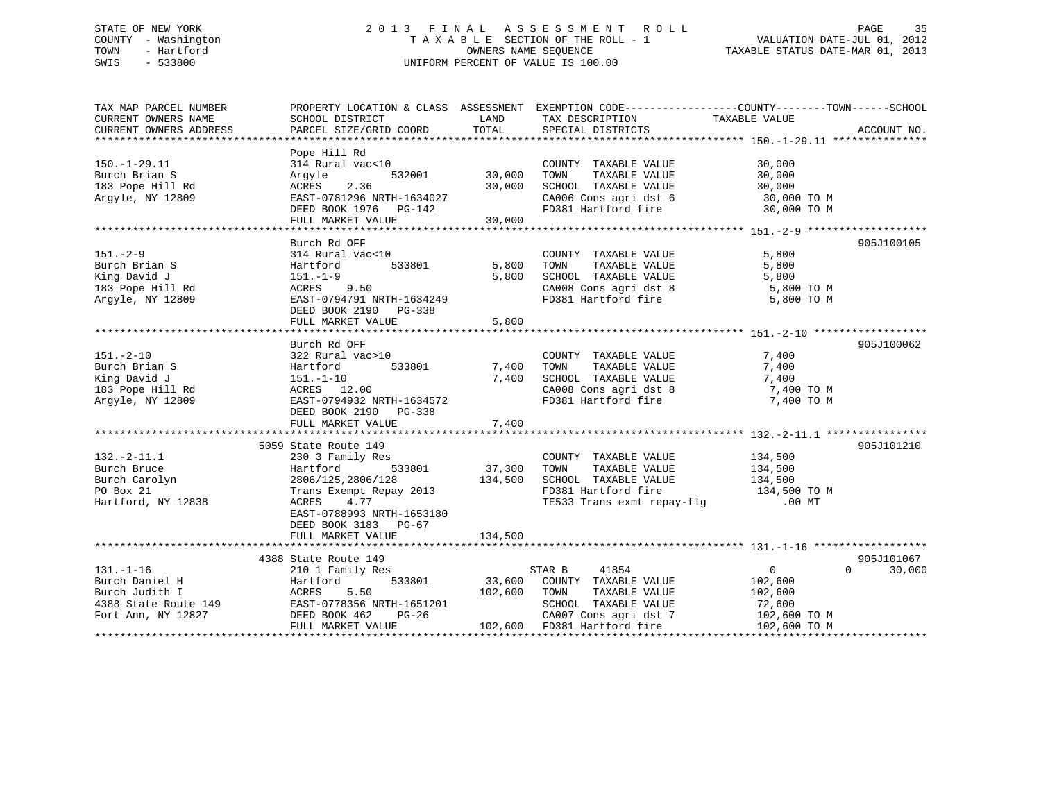# STATE OF NEW YORK 2 0 1 3 F I N A L A S S E S S M E N T R O L L PAGE 35 COUNTY - Washington T A X A B L E SECTION OF THE ROLL - 1 VALUATION DATE-JUL 01, 2012 TOWN - Hartford **TAXABLE STATUS DATE-MAR 01, 2013** OWNERS NAME SEQUENCE TAXABLE STATUS DATE-MAR 01, 2013 SWIS - 533800 UNIFORM PERCENT OF VALUE IS 100.00

| TAX MAP PARCEL NUMBER  | PROPERTY LOCATION & CLASS ASSESSMENT EXEMPTION CODE----------------COUNTY-------TOWN------SCHOOL |         |                             |                |                    |
|------------------------|--------------------------------------------------------------------------------------------------|---------|-----------------------------|----------------|--------------------|
| CURRENT OWNERS NAME    | SCHOOL DISTRICT                                                                                  | LAND    | TAX DESCRIPTION             | TAXABLE VALUE  |                    |
| CURRENT OWNERS ADDRESS | PARCEL SIZE/GRID COORD                                                                           | TOTAL   | SPECIAL DISTRICTS           |                | ACCOUNT NO.        |
|                        |                                                                                                  |         |                             |                |                    |
|                        | Pope Hill Rd                                                                                     |         |                             |                |                    |
| $150.-1-29.11$         | 314 Rural vac<10                                                                                 |         | COUNTY TAXABLE VALUE        | 30,000         |                    |
| Burch Brian S          | 532001<br>Arqyle                                                                                 | 30,000  | TAXABLE VALUE<br>TOWN       | 30,000         |                    |
| 183 Pope Hill Rd       | 2.36<br>ACRES                                                                                    | 30,000  | SCHOOL TAXABLE VALUE        | 30,000         |                    |
| Argyle, NY 12809       | EAST-0781296 NRTH-1634027                                                                        |         | CA006 Cons agri dst 6       | 30,000 TO M    |                    |
|                        | DEED BOOK 1976 PG-142                                                                            |         | FD381 Hartford fire         | 30,000 TO M    |                    |
|                        | FULL MARKET VALUE                                                                                | 30,000  |                             |                |                    |
|                        |                                                                                                  |         |                             |                |                    |
|                        | Burch Rd OFF                                                                                     |         |                             |                | 905J100105         |
| $151. - 2 - 9$         | 314 Rural vac<10                                                                                 |         | COUNTY TAXABLE VALUE        | 5,800          |                    |
| Burch Brian S          | Hartford<br>533801                                                                               | 5,800   | TAXABLE VALUE<br>TOWN       | 5,800          |                    |
| King David J           | 151.-1-9                                                                                         | 5,800   | SCHOOL TAXABLE VALUE        | 5,800          |                    |
| 183 Pope Hill Rd       | ACRES 9.50                                                                                       |         | CA008 Cons agri dst 8       | 5,800 TO M     |                    |
| Argyle, NY 12809       | EAST-0794791 NRTH-1634249                                                                        |         | FD381 Hartford fire         | 5,800 TO M     |                    |
|                        | DEED BOOK 2190 PG-338                                                                            |         |                             |                |                    |
|                        | FULL MARKET VALUE                                                                                | 5,800   |                             |                |                    |
|                        |                                                                                                  |         |                             |                |                    |
|                        | Burch Rd OFF                                                                                     |         |                             |                | 905J100062         |
| $151. - 2 - 10$        | 322 Rural vac>10                                                                                 |         | COUNTY TAXABLE VALUE        | 7,400          |                    |
| Burch Brian S          | 533801<br>Hartford                                                                               | 7,400   | TOWN<br>TAXABLE VALUE       | 7,400          |                    |
| King David J           | 151.-1-10                                                                                        | 7,400   | SCHOOL TAXABLE VALUE        | 7,400          |                    |
| 183 Pope Hill Rd       | ACRES 12.00                                                                                      |         | CA008 Cons agri dst 8       | 7,400 TO M     |                    |
| Argyle, NY 12809       | EAST-0794932 NRTH-1634572                                                                        |         | FD381 Hartford fire         | 7,400 TO M     |                    |
|                        | DEED BOOK 2190 PG-338                                                                            |         |                             |                |                    |
|                        | FULL MARKET VALUE                                                                                | 7,400   |                             |                |                    |
|                        |                                                                                                  |         |                             |                |                    |
|                        | 5059 State Route 149                                                                             |         |                             |                | 905J101210         |
| $132 - 2 - 11.1$       | 230 3 Family Res                                                                                 |         | COUNTY TAXABLE VALUE        | 134,500        |                    |
| Burch Bruce            | 533801                                                                                           | 37,300  | TOWN<br>TAXABLE VALUE       | 134,500        |                    |
|                        | Hartford                                                                                         | 134,500 |                             |                |                    |
| Burch Carolyn          | 2806/125,2806/128                                                                                |         | SCHOOL TAXABLE VALUE        | 134,500        |                    |
| PO Box 21              | Trans Exempt Repay 2013                                                                          |         | FD381 Hartford fire         | 134,500 TO M   |                    |
| Hartford, NY 12838     | ACRES<br>4.77                                                                                    |         | TE533 Trans exmt repay-flg  | $.00$ $MT$     |                    |
|                        | EAST-0788993 NRTH-1653180                                                                        |         |                             |                |                    |
|                        | DEED BOOK 3183 PG-67                                                                             |         |                             |                |                    |
|                        | FULL MARKET VALUE                                                                                | 134,500 |                             |                |                    |
|                        |                                                                                                  |         |                             |                |                    |
|                        | 4388 State Route 149                                                                             |         |                             |                | 905J101067         |
| $131. - 1 - 16$        | 210 1 Family Res                                                                                 |         | STAR B<br>41854             | $\overline{0}$ | $\Omega$<br>30,000 |
| Burch Daniel H         | 533801<br>Hartford                                                                               | 33,600  | COUNTY TAXABLE VALUE        | 102,600        |                    |
| Burch Judith I         | 5.50<br>ACRES                                                                                    | 102,600 | TOWN<br>TAXABLE VALUE       | 102,600        |                    |
| 4388 State Route 149   | EAST-0778356 NRTH-1651201<br>EAST-0778356 M<br>DEED BOOK 462                                     |         | SCHOOL TAXABLE VALUE        | 72,600         |                    |
| Fort Ann, NY 12827     | PG-26                                                                                            |         | CA007 Cons agri dst 7       | 102,600 TO M   |                    |
|                        | FULL MARKET VALUE                                                                                |         | 102,600 FD381 Hartford fire | 102,600 TO M   |                    |
|                        |                                                                                                  |         |                             |                |                    |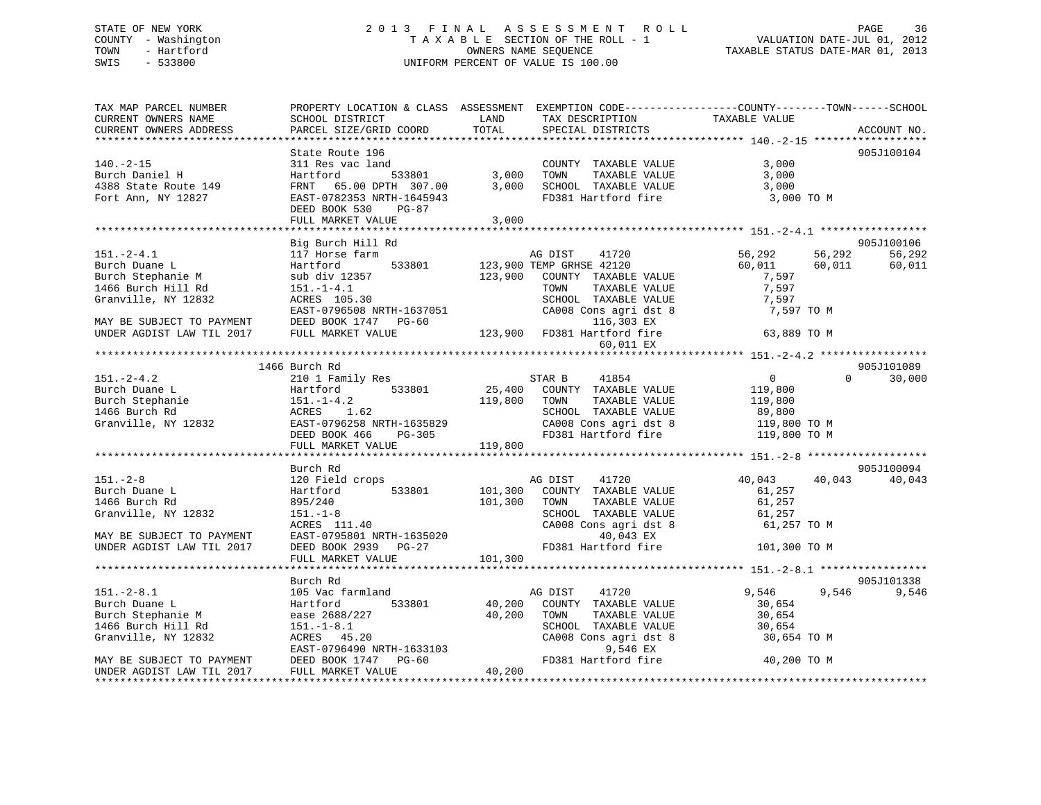# STATE OF NEW YORK 2 0 1 3 F I N A L A S S E S S M E N T R O L L PAGE 36 COUNTY - Washington T A X A B L E SECTION OF THE ROLL - 1 VALUATION DATE-JUL 01, 2012 TOWN - Hartford **TAXABLE STATUS DATE-MAR 01, 2013** OWNERS NAME SEQUENCE TAXABLE STATUS DATE-MAR 01, 2013 SWIS - 533800 UNIFORM PERCENT OF VALUE IS 100.00

| TAX MAP PARCEL NUMBER<br>CURRENT OWNERS NAME<br>CURRENT OWNERS ADDRESS                                                                                                                           | PROPERTY LOCATION & CLASS ASSESSMENT EXEMPTION CODE---------------COUNTY-------TOWN------SCHOOL<br>SCHOOL DISTRICT<br>PARCEL SIZE/GRID COORD                                           | LAND<br>TOTAL                                         | TAX DESCRIPTION<br>SPECIAL DISTRICTS                                                                                                                                        | TAXABLE VALUE                                                       |                  | ACCOUNT NO.                    |
|--------------------------------------------------------------------------------------------------------------------------------------------------------------------------------------------------|----------------------------------------------------------------------------------------------------------------------------------------------------------------------------------------|-------------------------------------------------------|-----------------------------------------------------------------------------------------------------------------------------------------------------------------------------|---------------------------------------------------------------------|------------------|--------------------------------|
|                                                                                                                                                                                                  |                                                                                                                                                                                        |                                                       |                                                                                                                                                                             |                                                                     |                  |                                |
| $140. - 2 - 15$<br>Burch Daniel H<br>$4388$ State Route 149<br>Fort Ann, NY 12827                                                                                                                | State Route 196<br>311 Res vac land<br>Hartford<br>Hartloru<br>FRNT 65.00 DPTH 307.00<br>EAST-0782353 NRTH-1645943<br>DEED BOOK 530<br>PG-87<br>FULL MARKET VALUE                      | TOWN<br>3.000<br>3,000                                | COUNTY TAXABLE VALUE<br>TAXABLE VALUE<br>SCHOOL TAXABLE VALUE<br>FD381 Hartford fire                                                                                        | 3,000<br>3,000<br>3,000<br>3,000 TO M                               |                  | 905J100104                     |
|                                                                                                                                                                                                  |                                                                                                                                                                                        |                                                       |                                                                                                                                                                             |                                                                     |                  |                                |
| $151. - 2 - 4.1$<br>Burch Duane L<br>Burch Stephanie M<br>1466 Burch Hill Rd<br>Granville, NY 12832                                                                                              | Big Burch Hill Rd<br>117 Horse farm<br>Hartford<br>sub div 12357<br>$151. - 1 - 4.1$<br>ACRES 105.30<br>EAST-0796508 NRTH-1637051                                                      | AG DIST<br>533801 123,900 TEMP GRHSE 42120<br>123,900 | 41720<br>COUNTY TAXABLE VALUE<br>TOWN      TAXABLE  VALUE<br>SCHOOL   TAXABLE  VALUE<br>$CA008$ Cons agri dst $8$<br>116,303 EX                                             | 56,292<br>60,011<br>7,597<br>7,597<br>7,597<br>7,597 TO M           | 56,292<br>60,011 | 905J100106<br>56,292<br>60,011 |
| MAY BE SUBJECT TO PAYMENT DEED BOOK 1747 PG-60<br>UNDER AGDIST LAW TIL 2017                                                                                                                      | FULL MARKET VALUE                                                                                                                                                                      |                                                       | 123,900 FD381 Hartford fire                                                                                                                                                 | 63,889 TO M                                                         |                  |                                |
|                                                                                                                                                                                                  |                                                                                                                                                                                        |                                                       | 60,011 EX                                                                                                                                                                   |                                                                     |                  |                                |
|                                                                                                                                                                                                  |                                                                                                                                                                                        |                                                       |                                                                                                                                                                             |                                                                     |                  |                                |
|                                                                                                                                                                                                  | 1466 Burch Rd                                                                                                                                                                          |                                                       |                                                                                                                                                                             |                                                                     |                  | 905J101089                     |
| $151. - 2 - 4.2$<br>Burch Duane L<br>Burch Stephanie 151.-1-4.2<br>1466 Burch Rd ACRES 1.62<br>Granville, NY 12832<br>EXECT-0796258 NRTH-1635829<br>NRTH-1635829<br>NRTH-1635829<br>NRTH-1635829 | 210 1 Family Res<br>DEED BOOK 466<br>PG-305<br>FULL MARKET VALUE                                                                                                                       | STAR B<br>119,800<br>TOWN<br>119,800                  | 41854<br>25,400 COUNTY TAXABLE VALUE<br>TAXABLE VALUE<br>SCHOOL TAXABLE VALUE 89,800<br>CA008 Cons agri dst 8 119,800 TO M<br>FD381 Hartford fire                           | $\overline{0}$<br>119,800<br>119,800<br>119,800 TO M                | $\Omega$         | 30,000                         |
|                                                                                                                                                                                                  |                                                                                                                                                                                        |                                                       |                                                                                                                                                                             |                                                                     |                  |                                |
|                                                                                                                                                                                                  | Burch Rd                                                                                                                                                                               |                                                       |                                                                                                                                                                             |                                                                     |                  | 905J100094                     |
| $151. - 2 - 8$<br>Burch Duane L<br>1466 Burch Rd<br>Granville, NY 12832<br>MAY BE SUBJECT TO PAYMENT<br>UNDER AGDIST LAW TIL 2017                                                                | 120 Field crops<br>533801<br>Hartford<br>895/240<br>$151. - 1 - 8$<br>$ACRES$ 111.40<br>ACRES 111.40<br>EAST-0795801 NRTH-1635020<br>DEED BOOK 2939 PG-27<br>FULL MARKET VALUE 101,300 | 101,300<br>TOWN                                       | AG DIST 41720<br>101,300 COUNTY TAXABLE VALUE<br>TAXABLE VALUE<br>SCHOOL TAXABLE VALUE<br>SCHOOL TAXABLE VALUE<br>CA008 Cons agri dst 8<br>40,043 EX<br>FD381 Hartford fire | 40,043<br>61,257<br>61,257<br>61,257<br>61,257 TO M<br>101,300 TO M | 40,043           | 40,043                         |
|                                                                                                                                                                                                  |                                                                                                                                                                                        |                                                       |                                                                                                                                                                             |                                                                     |                  |                                |
|                                                                                                                                                                                                  |                                                                                                                                                                                        |                                                       |                                                                                                                                                                             |                                                                     |                  |                                |
| $151. - 2 - 8.1$<br>Burch Duane L<br>Burch Stephanie M<br>Burch Stephanie M<br>1466 Burch Hill Rd<br>Granville, NY 12832<br>MAY BE SUBJECT TO PAYMENT                                            | Burch Rd<br>105 Vac farmland<br>533801<br>Hartford<br>EAST-0796490 NRTH-1633103<br>DEED BOOK 1747 PG-60<br>FULL MARKET VALUE                                                           | AG DIST<br>40,200<br>40,200<br>TOWN                   | 41720<br>COUNTY TAXABLE VALUE<br>TAXABLE VALUE<br>TOWN         TAXABLE  VALUE<br>SCHOOL     TAXABLE  VALUE<br>CA008 Cons agri dst 8<br>9,546 EX<br>FD381 Hartford fire      | 9,546<br>30,654<br>30,654<br>30,654<br>30,654 TO M<br>40,200 TO M   | 9,546            | 905J101338<br>9,546            |
| UNDER AGDIST LAW TIL 2017                                                                                                                                                                        | FULL MARKET VALUE                                                                                                                                                                      | 40,200                                                |                                                                                                                                                                             |                                                                     |                  |                                |
|                                                                                                                                                                                                  |                                                                                                                                                                                        |                                                       |                                                                                                                                                                             |                                                                     |                  |                                |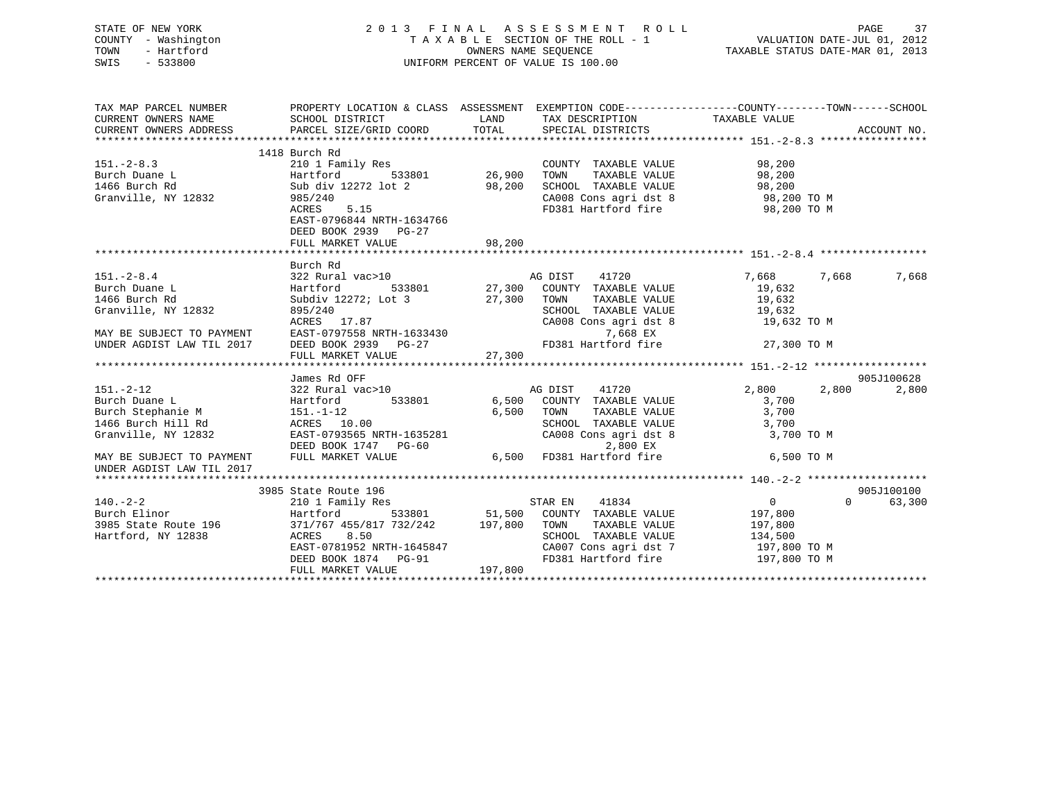| STATE OF NEW YORK         |                                                                                                |             | 2013 FINAL ASSESSMENT ROLL                                                                                                             |                  |          | 37<br>PAGE  |
|---------------------------|------------------------------------------------------------------------------------------------|-------------|----------------------------------------------------------------------------------------------------------------------------------------|------------------|----------|-------------|
| COUNTY - Washington       |                                                                                                |             | TAXABLE SECTION OF THE ROLL - 1<br>OWNERS NAME SEQUENCE<br>TAXABLE STATUS DATE-MAR 01, 2013                                            |                  |          |             |
| TOWN<br>- Hartford        |                                                                                                |             |                                                                                                                                        |                  |          |             |
| $-533800$<br>SWIS         |                                                                                                |             | UNIFORM PERCENT OF VALUE IS 100.00                                                                                                     |                  |          |             |
|                           |                                                                                                |             |                                                                                                                                        |                  |          |             |
| TAX MAP PARCEL NUMBER     | PROPERTY LOCATION & CLASS ASSESSMENT EXEMPTION CODE---------------COUNTY-------TOWN-----SCHOOL |             |                                                                                                                                        |                  |          |             |
| CURRENT OWNERS NAME       | SCHOOL DISTRICT                                                                                |             | LAND TAX DESCRIPTION                                                                                                                   | TAXABLE VALUE    |          |             |
| CURRENT OWNERS ADDRESS    | PARCEL SIZE/GRID COORD                                                                         |             | TOTAL SPECIAL DISTRICTS                                                                                                                |                  |          | ACCOUNT NO. |
|                           |                                                                                                |             |                                                                                                                                        |                  |          |             |
|                           | 1418 Burch Rd                                                                                  |             |                                                                                                                                        |                  |          |             |
| $151 - 2 - 8.3$           | 210 1 Family Res                                                                               |             | COUNTY TAXABLE VALUE                                                                                                                   | 98,200           |          |             |
| Burch Duane L             | 533801<br>Hartford                                                                             |             | 26,900    TOWN      TAXABLE VALUE<br>98,200    SCHOOL   TAXABLE VALUE                                                                  | 98,200<br>98,200 |          |             |
| 1466 Burch Rd             | Sub div 12272 lot 2                                                                            |             |                                                                                                                                        |                  |          |             |
| Granville, NY 12832       | 985/240                                                                                        |             | CA008 Cons agri dst 8 98,200 TO M                                                                                                      |                  |          |             |
|                           | ACRES 5.15                                                                                     |             | FD381 Hartford fire                                                                                                                    | 98,200 TO M      |          |             |
|                           | EAST-0796844 NRTH-1634766                                                                      |             |                                                                                                                                        |                  |          |             |
|                           | DEED BOOK 2939 PG-27                                                                           |             |                                                                                                                                        |                  |          |             |
|                           | FULL MARKET VALUE                                                                              | 98,200      |                                                                                                                                        |                  |          |             |
|                           |                                                                                                |             |                                                                                                                                        |                  |          |             |
| $151. - 2 - 8.4$          | Burch Rd<br>322 Rural vac>10 AG DIST                                                           |             | 41720                                                                                                                                  | 7,668            | 7,668    | 7,668       |
| Burch Duane L             |                                                                                                |             |                                                                                                                                        |                  |          |             |
|                           | Hartford                                                                                       |             | 533801 27,300 COUNTY TAXABLE VALUE                                                                                                     | 19,632           |          |             |
| 1466 Burch Rd             | Subdiv 12272; Lot 3                                                                            | 27,300 TOWN | TAXABLE VALUE<br>TOWN      TAXABLE VALUE<br>SCHOOL   TAXABLE VALUE                                                                     | 19,632           |          |             |
| Granville, NY 12832       | 895/240                                                                                        |             |                                                                                                                                        | 19,632           |          |             |
|                           | ACRES 17.87                                                                                    |             | CA008 Cons agri dst 8                                                                                                                  | 19,632 TO M      |          |             |
| MAY BE SUBJECT TO PAYMENT | EAST-0797558 NRTH-1633430                                                                      |             | 7,668 EX<br>FD381 Hartford fire                                                                                                        |                  |          |             |
| UNDER AGDIST LAW TIL 2017 | DEED BOOK 2939 PG-27                                                                           |             |                                                                                                                                        | 27,300 TO M      |          |             |
|                           | FULL MARKET VALUE                                                                              | 27,300      |                                                                                                                                        |                  |          |             |
|                           | James Rd OFF                                                                                   |             |                                                                                                                                        |                  |          | 905J100628  |
| $151. - 2 - 12$           | 322 Rural vac>10                                                                               |             | AG DIST 41720                                                                                                                          | 2,800            | 2,800    | 2,800       |
| Burch Duane L             | 533801<br>Hartford                                                                             |             | 6,500 COUNTY TAXABLE VALUE                                                                                                             | 3,700            |          |             |
| Burch Stephanie M         | 151.-1-12                                                                                      | 6,500       | TOWN<br>TAXABLE VALUE                                                                                                                  | 3,700            |          |             |
| 1466 Burch Hill Rd        | ACRES 10.00                                                                                    |             |                                                                                                                                        | 3,700            |          |             |
| Granville, NY 12832       | EAST-0793565 NRTH-1635281                                                                      |             | SCHOOL TAXABLE VALUE<br>CA008 Cons agri dst 8<br>CA008 Cons agri dst 8                                                                 | 3,700 TO M       |          |             |
|                           | DEED BOOK 1747 PG-60                                                                           |             | 2,800 EX                                                                                                                               |                  |          |             |
| MAY BE SUBJECT TO PAYMENT | FULL MARKET VALUE                                                                              |             | 6,500 FD381 Hartford fire                                                                                                              | 6,500 TO M       |          |             |
| UNDER AGDIST LAW TIL 2017 |                                                                                                |             |                                                                                                                                        |                  |          |             |
|                           |                                                                                                |             |                                                                                                                                        |                  |          |             |
|                           | 3985 State Route 196                                                                           |             |                                                                                                                                        |                  |          | 905J100100  |
| $140. -2 - 2$             | 210 1 Family Res                                                                               |             | 41834<br>STAR EN                                                                                                                       | $\overline{0}$   | $\Omega$ | 63,300      |
| Burch Elinor              | Hartford                                                                                       |             |                                                                                                                                        | 197,800          |          |             |
| 3985 State Route 196      | 371/767 455/817 732/242                                                                        |             | $\begin{tabular}{lllllllll} 533801 & & 51,500 & COUNTY & TAXABLE VALUE \\ 732/242 & & 197,800 & Town & TAXABLE VALUE \\ \end{tabular}$ | 197,800          |          |             |
| Hartford, NY 12838        | ACRES 8.50                                                                                     |             | SCHOOL TAXABLE VALUE                                                                                                                   | 134,500          |          |             |

EAST-0781952 NRTH-1645847 CA007 Cons agri dst 7 197,800 TO M<br>DEED BOOK 1874 PG-91 FD381 Hartford fire 197,800 TO M

\*\*\*\*\*\*\*\*\*\*\*\*\*\*\*\*\*\*\*\*\*\*\*\*\*\*\*\*\*\*\*\*\*\*\*\*\*\*\*\*\*\*\*\*\*\*\*\*\*\*\*\*\*\*\*\*\*\*\*\*\*\*\*\*\*\*\*\*\*\*\*\*\*\*\*\*\*\*\*\*\*\*\*\*\*\*\*\*\*\*\*\*\*\*\*\*\*\*\*\*\*\*\*\*\*\*\*\*\*\*\*\*\*\*\*\*\*\*\*\*\*\*\*\*\*\*\*\*\*\*\*\*

DEED BOOK 1874 PG-91

FULL MARKET VALUE 197,800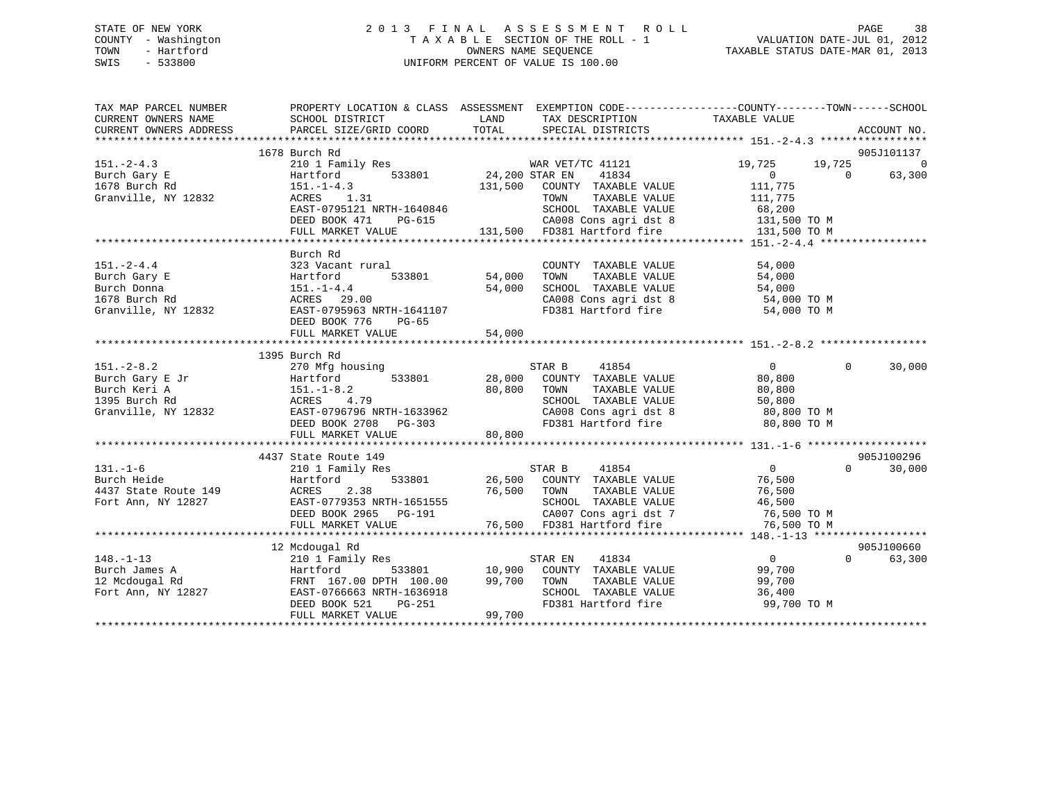## STATE OF NEW YORK 2 0 1 3 F I N A L A S S E S S M E N T R O L L PAGE 38 COUNTY - Washington T A X A B L E SECTION OF THE ROLL - 1 VALUATION DATE-JUL 01, 2012 TOWN - Hartford **TAXABLE STATUS DATE-MAR 01, 2013** OWNERS NAME SEQUENCE TAXABLE STATUS DATE-MAR 01, 2013 SWIS - 533800 UNIFORM PERCENT OF VALUE IS 100.00

| TAX MAP PARCEL NUMBER<br>CURRENT OWNERS NAME<br>CURRENT OWNERS ADDRESS                                                                                                                                                                                                                                                                                                                 | PROPERTY LOCATION & CLASS ASSESSMENT EXEMPTION CODE---------------COUNTY-------TOWN-----SCHOOL<br>SCHOOL DISTRICT<br>PARCEL SIZE/GRID COORD | LAND<br>TOTAL | TAX DESCRIPTION TAXABLE VALUE<br>SPECIAL DISTRICTS                                          |                              | ACCOUNT NO.                      |
|----------------------------------------------------------------------------------------------------------------------------------------------------------------------------------------------------------------------------------------------------------------------------------------------------------------------------------------------------------------------------------------|---------------------------------------------------------------------------------------------------------------------------------------------|---------------|---------------------------------------------------------------------------------------------|------------------------------|----------------------------------|
|                                                                                                                                                                                                                                                                                                                                                                                        |                                                                                                                                             |               |                                                                                             |                              | 905J101137                       |
|                                                                                                                                                                                                                                                                                                                                                                                        | 1678 Burch Rd                                                                                                                               |               |                                                                                             |                              |                                  |
| $151. -2 - 4.3$                                                                                                                                                                                                                                                                                                                                                                        | 210 1 Family Res                                                                                                                            |               |                                                                                             | 19,725<br>19,725<br>$\Omega$ | $\overline{0}$<br>$\overline{0}$ |
| Burch Gary E                                                                                                                                                                                                                                                                                                                                                                           | Hartford                                                                                                                                    |               |                                                                                             | 111,775                      | 63,300                           |
| 1678 Burch Rd                                                                                                                                                                                                                                                                                                                                                                          | $151.-1-4.3$<br>ACRES 1.31                                                                                                                  |               |                                                                                             |                              |                                  |
| Granville, NY 12832                                                                                                                                                                                                                                                                                                                                                                    | ACRES 1.31<br>EAST-0795121 NRTH-1640846                                                                                                     |               | TOWN TAXABLE VALUE 111,775<br>SCHOOL TAXABLE VALUE 68,200                                   |                              |                                  |
|                                                                                                                                                                                                                                                                                                                                                                                        |                                                                                                                                             |               |                                                                                             |                              |                                  |
|                                                                                                                                                                                                                                                                                                                                                                                        |                                                                                                                                             |               |                                                                                             |                              |                                  |
|                                                                                                                                                                                                                                                                                                                                                                                        |                                                                                                                                             |               |                                                                                             |                              |                                  |
|                                                                                                                                                                                                                                                                                                                                                                                        |                                                                                                                                             |               |                                                                                             |                              |                                  |
|                                                                                                                                                                                                                                                                                                                                                                                        | Burch Rd                                                                                                                                    |               |                                                                                             |                              |                                  |
| $151. - 2 - 4.4$                                                                                                                                                                                                                                                                                                                                                                       | 323 Vacant rural                                                                                                                            |               | COUNTY TAXABLE VALUE                                                                        | 54,000                       |                                  |
| Burch Gary E                                                                                                                                                                                                                                                                                                                                                                           | 533801 54,000                                                                                                                               |               | TAXABLE VALUE<br>TOWN                                                                       | 54,000                       |                                  |
| Burch Donna                                                                                                                                                                                                                                                                                                                                                                            |                                                                                                                                             | 54,000        | SCHOOL TAXABLE VALUE 54,000<br>CA008 Cons agri dst 8 54,000 TO M                            |                              |                                  |
| 1678 Burch Rd                                                                                                                                                                                                                                                                                                                                                                          |                                                                                                                                             |               |                                                                                             |                              |                                  |
| Hartford<br>151.-1-4.4<br>d<br>29<br>19832<br>EAST-07959<br>DEED BOOK<br>NPER SOOK<br>Granville, NY 12832                                                                                                                                                                                                                                                                              | -- 2,000<br>EAST-0795963 NRTH-1641107<br>DEED BOOK 776 PG-65<br>FUIL ::                                                                     |               | FD381 Hartford fire                                                                         | 54,000 TO M                  |                                  |
|                                                                                                                                                                                                                                                                                                                                                                                        |                                                                                                                                             |               |                                                                                             |                              |                                  |
|                                                                                                                                                                                                                                                                                                                                                                                        | FULL MARKET VALUE                                                                                                                           | 54,000        |                                                                                             |                              |                                  |
|                                                                                                                                                                                                                                                                                                                                                                                        |                                                                                                                                             |               |                                                                                             |                              |                                  |
|                                                                                                                                                                                                                                                                                                                                                                                        | 1395 Burch Rd                                                                                                                               |               |                                                                                             |                              |                                  |
| $151. - 2 - 8.2$                                                                                                                                                                                                                                                                                                                                                                       | 270 Mfg housing                                                                                                                             |               | STAR B 41854                                                                                | $\Omega$                     | $\Omega$<br>30,000               |
|                                                                                                                                                                                                                                                                                                                                                                                        |                                                                                                                                             |               | 533801 28,000 COUNTY TAXABLE VALUE                                                          | 80,800                       |                                  |
|                                                                                                                                                                                                                                                                                                                                                                                        |                                                                                                                                             | 80,800        | TOWN<br>TOWN TAXABLE VALUE<br>SCHOOL TAXABLE VALUE                                          | 80,800                       |                                  |
|                                                                                                                                                                                                                                                                                                                                                                                        |                                                                                                                                             |               |                                                                                             | 50,800                       |                                  |
| Granville, NY 12832 EAST-0796796 NRTH-1633962<br>DEED BOOK 2708 PG-303                                                                                                                                                                                                                                                                                                                 |                                                                                                                                             |               | CA008 Cons agri dst 8 30,800 TO M                                                           |                              |                                  |
|                                                                                                                                                                                                                                                                                                                                                                                        |                                                                                                                                             |               | FD381 Hartford fire                                                                         | 80,800 TO M                  |                                  |
|                                                                                                                                                                                                                                                                                                                                                                                        | FULL MARKET VALUE                                                                                                                           | 80,800        |                                                                                             |                              |                                  |
|                                                                                                                                                                                                                                                                                                                                                                                        |                                                                                                                                             |               |                                                                                             |                              |                                  |
|                                                                                                                                                                                                                                                                                                                                                                                        | 4437 State Route 149                                                                                                                        |               |                                                                                             |                              | 905J100296                       |
| $131. - 1 - 6$                                                                                                                                                                                                                                                                                                                                                                         |                                                                                                                                             |               | STAR B 41854<br>26,500 COUNTY TAXABLE VALUE                                                 | $\overline{0}$               | $\Omega$<br>30,000               |
| Burch Heide                                                                                                                                                                                                                                                                                                                                                                            | Hartford                                                                                                                                    |               |                                                                                             | 76,500                       |                                  |
| Particular and the Route 149<br>Fort Ann, NY 12827<br>DEED E                                                                                                                                                                                                                                                                                                                           | 2.38                                                                                                                                        | 76,500 TOWN   |                                                                                             | TAXABLE VALUE 76,500         |                                  |
|                                                                                                                                                                                                                                                                                                                                                                                        | EAST-0779353 NRTH-1651555                                                                                                                   |               | SCHOOL TAXABLE VALUE 46,500<br>CA007 Cons agri dst 7 76,500 TO M                            |                              |                                  |
|                                                                                                                                                                                                                                                                                                                                                                                        | EAST-0779353 NRTH-1651555<br>DEED BOOK 2965 PG-191                                                                                          |               |                                                                                             |                              |                                  |
|                                                                                                                                                                                                                                                                                                                                                                                        | FULL MARKET VALUE                                                                                                                           |               | 76,500 FD381 Hartford fire                                                                  | 76,500 TO M                  |                                  |
|                                                                                                                                                                                                                                                                                                                                                                                        |                                                                                                                                             |               |                                                                                             |                              |                                  |
|                                                                                                                                                                                                                                                                                                                                                                                        | 12 Mcdougal Rd                                                                                                                              |               |                                                                                             |                              | 905J100660                       |
| $148. - 1 - 13$                                                                                                                                                                                                                                                                                                                                                                        |                                                                                                                                             |               | STAR EN 41834                                                                               | $\overline{0}$               | $\Omega$<br>63,300               |
|                                                                                                                                                                                                                                                                                                                                                                                        |                                                                                                                                             |               | 533801 10,900 COUNTY TAXABLE VALUE 99,700                                                   |                              |                                  |
|                                                                                                                                                                                                                                                                                                                                                                                        |                                                                                                                                             |               |                                                                                             |                              |                                  |
|                                                                                                                                                                                                                                                                                                                                                                                        |                                                                                                                                             |               | TOWN TAXABLE VALUE 99,700<br>SCHOOL TAXABLE VALUE 36,400<br>FD381 Hartford fire 99,700 TO M |                              |                                  |
|                                                                                                                                                                                                                                                                                                                                                                                        |                                                                                                                                             |               |                                                                                             |                              |                                  |
| $\begin{tabular}{lllllllllllllllllll} \texttt{148.-1-13} & \texttt{210.11} & \texttt{210.11} & \texttt{210.12} & \texttt{533801} & \texttt{10,900} & \texttt{CUUN11} \\ \texttt{Burch James A} & \texttt{Hartford} & \texttt{57.00 DFTH} & \texttt{100.00} & \texttt{99,700} & \texttt{TOMN} \\ \texttt{Fort Ann, NY 12827} & \texttt{EAST-076663 NFTH-1636918} & \texttt{SCHOOL} & \$ | FULL MARKET VALUE                                                                                                                           | 99,700        |                                                                                             |                              |                                  |
|                                                                                                                                                                                                                                                                                                                                                                                        |                                                                                                                                             |               |                                                                                             |                              |                                  |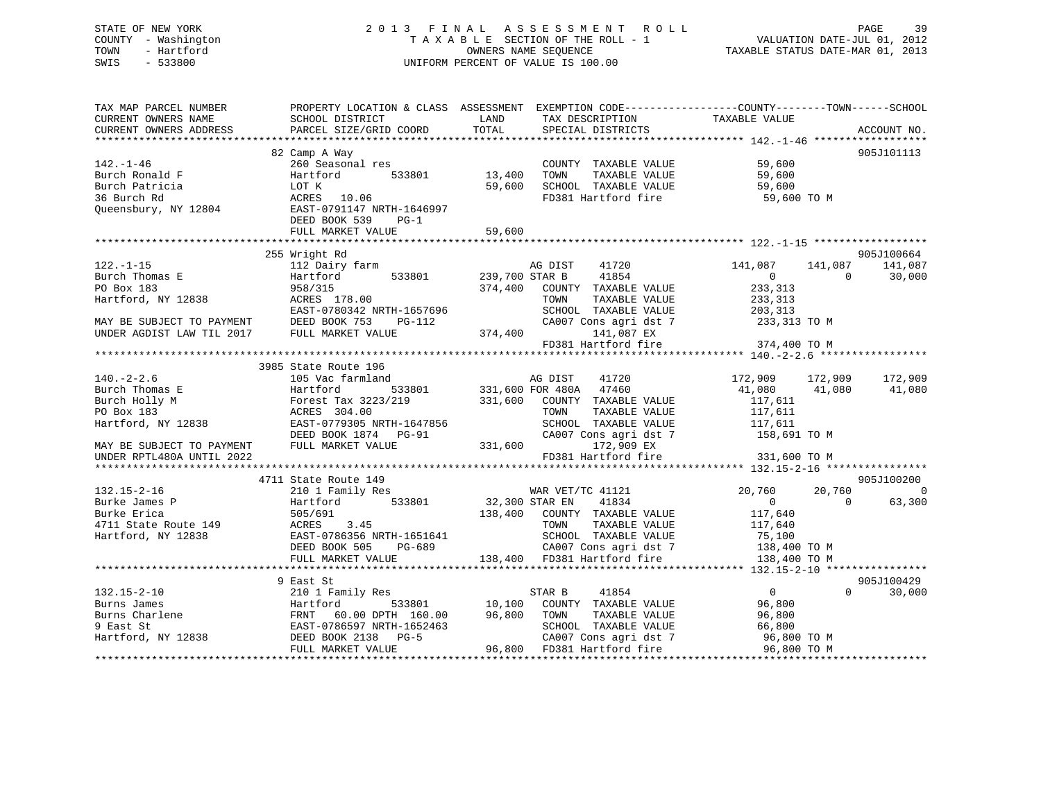## STATE OF NEW YORK 2 0 1 3 F I N A L A S S E S S M E N T R O L L PAGE 39 COUNTY - Washington T A X A B L E SECTION OF THE ROLL - 1 VALUATION DATE-JUL 01, 2012 TOWN - Hartford OWNERS NAME SEQUENCE TAXABLE STATUS DATE-MAR 01, 2013 SWIS - 533800 UNIFORM PERCENT OF VALUE IS 100.00

| TAX MAP PARCEL NUMBER<br>CURRENT OWNERS NAME        | SCHOOL DISTRICT                                                                                                            | LAND                    | TAX DESCRIPTION TAXABLE VALUE                                         | PROPERTY LOCATION & CLASS ASSESSMENT EXEMPTION CODE----------------COUNTY-------TOWN-----SCHOOL |                             |
|-----------------------------------------------------|----------------------------------------------------------------------------------------------------------------------------|-------------------------|-----------------------------------------------------------------------|-------------------------------------------------------------------------------------------------|-----------------------------|
| CURRENT OWNERS ADDRESS                              | PARCEL SIZE/GRID COORD                                                                                                     | TOTAL                   | SPECIAL DISTRICTS                                                     |                                                                                                 | ACCOUNT NO.                 |
|                                                     |                                                                                                                            |                         |                                                                       |                                                                                                 |                             |
| $142. - 1 - 46$<br>Burch Ronald F<br>Burch Patricia | 82 Camp A Way<br>260 Seasonal res<br>Hartford<br>LOT K                                                                     | 533801 13,400<br>59,600 | COUNTY TAXABLE VALUE<br>TAXABLE VALUE<br>TOWN<br>SCHOOL TAXABLE VALUE | 59,600<br>59,600<br>59,600                                                                      | 905J101113                  |
| 36 Burch Rd<br>Queensbury, NY 12804                 | 20.06 ACRES 10.06<br>EAST-0791147 ב<br>EAST-0791147 NRTH-1646997<br>DEED BOOK 539<br>$PG-1$<br>FULL MARKET VALUE           | 59,600                  | FD381 Hartford fire                                                   | 59,600 TO M                                                                                     |                             |
|                                                     |                                                                                                                            |                         |                                                                       |                                                                                                 |                             |
|                                                     | 255 Wright Rd                                                                                                              |                         |                                                                       |                                                                                                 | 905J100664                  |
| $122. - 1 - 15$<br>Burch Thomas E                   | 112 Dairy farm<br>533801<br>Hartford                                                                                       |                         | AG DIST<br>41720<br>239,700 STAR B<br>41854                           | 141,087<br>141,087<br>$\overline{0}$<br>$\Omega$                                                | 141,087<br>30,000           |
| PO Box 183                                          | 958/315                                                                                                                    | 374,400                 | COUNTY TAXABLE VALUE                                                  | 233,313                                                                                         |                             |
| Hartford, NY 12838                                  | ACRES 178.00                                                                                                               |                         | TAXABLE VALUE<br>TOWN                                                 | 233,313                                                                                         |                             |
|                                                     | EAST-0780342 NRTH-1657696<br>MAY BE SUBJECT TO PAYMENT DEED BOOK 753 PG-112<br>UNDER AGDIST LAW TIL 2017 FULL MARKET VALUE |                         | SCHOOL TAXABLE VALUE                                                  | 203,313                                                                                         |                             |
|                                                     |                                                                                                                            | 374,400                 | CA007 Cons agri dst 7<br>141,087 EX                                   | 233,313 TO M                                                                                    |                             |
|                                                     |                                                                                                                            |                         | FD381 Hartford fire                                                   | 374,400 TO M                                                                                    |                             |
|                                                     |                                                                                                                            |                         |                                                                       |                                                                                                 |                             |
|                                                     | 3985 State Route 196                                                                                                       |                         |                                                                       |                                                                                                 |                             |
| $140. - 2 - 2.6$                                    | 105 Vac farmland                                                                                                           |                         | AG DIST<br>41720                                                      | 172,909<br>172,909                                                                              | 172,909                     |
| Burch Thomas E                                      | 533801<br>Hartford                                                                                                         |                         | 331,600 FOR 480A 47460                                                | 41,080<br>41,080                                                                                | 41,080                      |
| Burch Holly M                                       | Forest Tax 3223/219                                                                                                        | 331,600                 | COUNTY TAXABLE VALUE                                                  | 117,611                                                                                         |                             |
| PO Box 183                                          | ACRES 304.00                                                                                                               |                         | TAXABLE VALUE<br>TOWN                                                 | 117,611                                                                                         |                             |
|                                                     | FO LOS NY 12838<br>Hartford, NY 12838 EAST-0779305 NRTH-1647856                                                            |                         | SCHOOL TAXABLE VALUE                                                  | 117,611                                                                                         |                             |
|                                                     |                                                                                                                            |                         | CA007 Cons agri dst 7                                                 | 158,691 TO M                                                                                    |                             |
| MAY BE SUBJECT TO PAYMENT FULL MARKET VALUE         |                                                                                                                            |                         | 331,600 172,909 EX                                                    |                                                                                                 |                             |
| UNDER RPTL480A UNTIL 2022                           |                                                                                                                            |                         | FD381 Hartford fire                                                   | 331,600 TO M                                                                                    |                             |
|                                                     |                                                                                                                            |                         |                                                                       |                                                                                                 |                             |
|                                                     | 4711 State Route 149                                                                                                       |                         |                                                                       |                                                                                                 | 905J100200                  |
| $132.15 - 2 - 16$                                   | 210 1 Family Res                                                                                                           |                         | WAR VET/TC 41121<br>32,300 STAR EN 41834                              | 20,760<br>20,760                                                                                | $\sim$ 0                    |
| Burke James P                                       | Hartford 533801                                                                                                            |                         |                                                                       | $\overline{0}$<br>$\Omega$                                                                      | 63,300                      |
| Burke Erica                                         | 505/691                                                                                                                    |                         | 138,400 COUNTY TAXABLE VALUE                                          | 117,640                                                                                         |                             |
| 4711 State Route 149                                | 3.45<br>ACRES<br>EAST-0786356 NRTH-1651641                                                                                 |                         | TAXABLE VALUE<br>TOWN                                                 | 117,640                                                                                         |                             |
| Hartford, NY 12838                                  | EAST-0786356 NRTH-1651641<br>DEED BOOK 505 PG-689                                                                          |                         | SCHOOL TAXABLE VALUE<br>CA007 Cons agri dst 7                         | 75,100<br>138,400 TO M                                                                          |                             |
|                                                     | FULL MARKET VALUE                                                                                                          |                         | 138,400 FD381 Hartford fire                                           | 138,400 TO M                                                                                    |                             |
|                                                     |                                                                                                                            |                         |                                                                       |                                                                                                 |                             |
|                                                     | 9 East St                                                                                                                  |                         |                                                                       |                                                                                                 | 905J100429                  |
| $132.15 - 2 - 10$                                   | 210 1 Family Res                                                                                                           |                         | STAR B<br>41854                                                       | $\overline{0}$                                                                                  | $0 \qquad \qquad$<br>30,000 |
|                                                     |                                                                                                                            | 10,100                  | COUNTY TAXABLE VALUE                                                  | 96,800                                                                                          |                             |
|                                                     |                                                                                                                            | 96,800                  | TAXABLE VALUE<br>TOWN                                                 | 96,800                                                                                          |                             |
|                                                     |                                                                                                                            |                         | SCHOOL TAXABLE VALUE                                                  | 66,800                                                                                          |                             |
|                                                     |                                                                                                                            |                         | CA007 Cons agri dst 7                                                 | 96,800 TO M                                                                                     |                             |
|                                                     | FULL MARKET VALUE                                                                                                          |                         | 96,800 FD381 Hartford fire                                            | 96,800 TO M                                                                                     |                             |
|                                                     |                                                                                                                            |                         |                                                                       | *************************************                                                           |                             |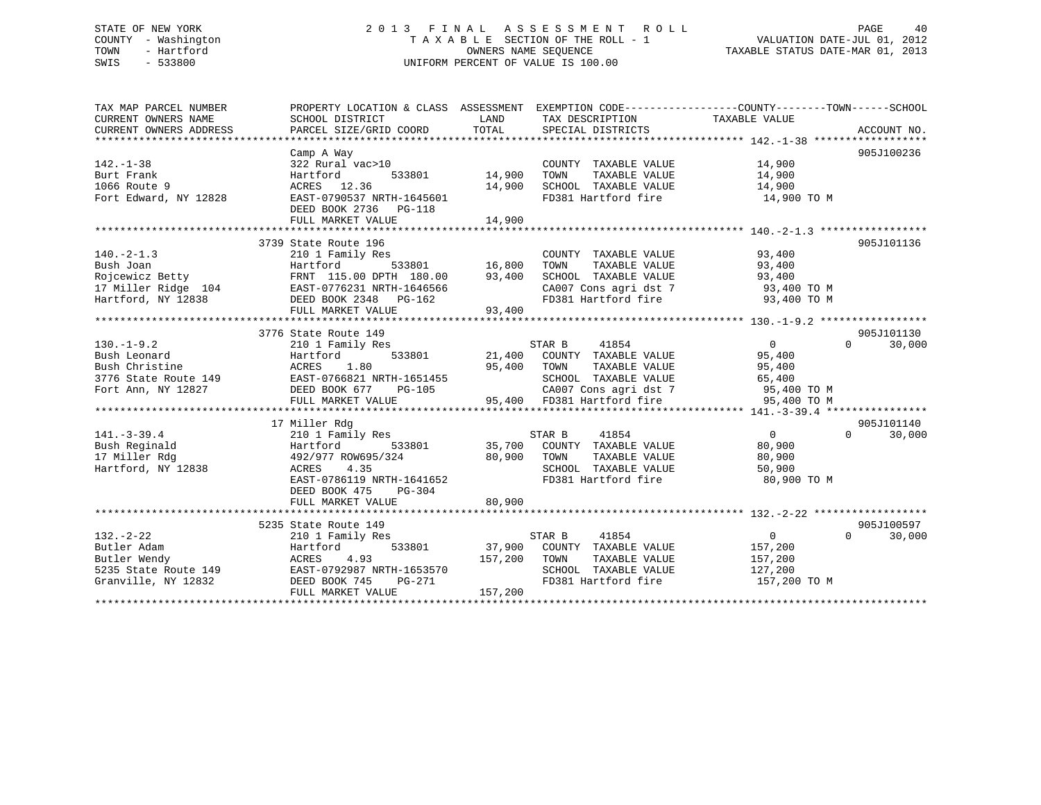## STATE OF NEW YORK 2 0 1 3 F I N A L A S S E S S M E N T R O L L PAGE 40 COUNTY - Washington T A X A B L E SECTION OF THE ROLL - 1 VALUATION DATE-JUL 01, 2012 TOWN - Hartford OWNERS NAME SEQUENCE TAXABLE STATUS DATE-MAR 01, 2013 SWIS - 533800 UNIFORM PERCENT OF VALUE IS 100.00

| TAX MAP PARCEL NUMBER<br>CURRENT OWNERS NAME<br>CURRENT OWNERS ADDRESS                                                                                                                                                        | PROPERTY LOCATION & CLASS ASSESSMENT EXEMPTION CODE----------------COUNTY-------TOWN-----SCHOOL<br>SCHOOL DISTRICT<br>PARCEL SIZE/GRID COORD TOTAL | LAND          | TAX DESCRIPTION TAXABLE VALUE<br>SPECIAL DISTRICTS                                                        |                  | ACCOUNT NO.        |
|-------------------------------------------------------------------------------------------------------------------------------------------------------------------------------------------------------------------------------|----------------------------------------------------------------------------------------------------------------------------------------------------|---------------|-----------------------------------------------------------------------------------------------------------|------------------|--------------------|
|                                                                                                                                                                                                                               |                                                                                                                                                    |               |                                                                                                           |                  |                    |
|                                                                                                                                                                                                                               | Camp A Way                                                                                                                                         |               |                                                                                                           |                  | 905J100236         |
| $142. - 1 - 38$                                                                                                                                                                                                               | 322 Rural vac>10                                                                                                                                   |               | COUNTY TAXABLE VALUE                                                                                      | 14,900           |                    |
| Burt Frank                                                                                                                                                                                                                    | 533801 14,900<br>Hartford                                                                                                                          |               | TAXABLE VALUE<br>TOWN                                                                                     | 14,900           |                    |
| 1066 Route 9                                                                                                                                                                                                                  | ACRES 12.36                                                                                                                                        | 14,900        |                                                                                                           | 14,900           |                    |
| Fort Edward, NY 12828                                                                                                                                                                                                         | EAST-0790537 NRTH-1645601                                                                                                                          |               | SCHOOL TAXABLE VALUE<br>FD381 Hartford fire                                                               | 14,900 TO M      |                    |
|                                                                                                                                                                                                                               | DEED BOOK 2736<br>PG-118                                                                                                                           |               |                                                                                                           |                  |                    |
|                                                                                                                                                                                                                               | FULL MARKET VALUE                                                                                                                                  | 14,900        |                                                                                                           |                  |                    |
|                                                                                                                                                                                                                               |                                                                                                                                                    |               |                                                                                                           |                  |                    |
|                                                                                                                                                                                                                               | 3739 State Route 196                                                                                                                               |               |                                                                                                           |                  | 905J101136         |
| $140. -2 - 1.3$                                                                                                                                                                                                               | 210 1 Family Res                                                                                                                                   |               | COUNTY TAXABLE VALUE                                                                                      | 93,400<br>93.400 |                    |
| Bush Joan                                                                                                                                                                                                                     | 533801 16,800<br>Hartford                                                                                                                          |               | TAXABLE VALUE<br>TOWN                                                                                     | 93,400           |                    |
|                                                                                                                                                                                                                               |                                                                                                                                                    |               | SCHOOL TAXABLE VALUE                                                                                      | 93,400           |                    |
|                                                                                                                                                                                                                               |                                                                                                                                                    |               |                                                                                                           |                  |                    |
| Example of the term in the control of the control of the control of the control of the control of the control of the control of the control of the control of the control of the control of the control of the control of the |                                                                                                                                                    |               | CA007 Cons agri dst 7 93,400 TO M<br>FD381 Hartford fire 93,400 TO M                                      |                  |                    |
|                                                                                                                                                                                                                               | FULL MARKET VALUE                                                                                                                                  | 93,400        |                                                                                                           |                  |                    |
|                                                                                                                                                                                                                               |                                                                                                                                                    |               |                                                                                                           |                  |                    |
|                                                                                                                                                                                                                               | 3776 State Route 149                                                                                                                               |               |                                                                                                           |                  | 905J101130         |
| $130. - 1 - 9.2$                                                                                                                                                                                                              | 210 1 Family Res                                                                                                                                   |               | STAR B<br>41854                                                                                           | $\overline{0}$   | $\Omega$<br>30,000 |
| Bush Leonard                                                                                                                                                                                                                  | Hartford<br>533801                                                                                                                                 |               |                                                                                                           | 95,400           |                    |
| Bush Christine                                                                                                                                                                                                                | 1.80<br>ACRES                                                                                                                                      |               | 21,400 COUNTY TAXABLE VALUE<br>95,400 TOWN TAXABLE VALUE                                                  | 95,400           |                    |
| 3776 State Route 149<br>Fort Ann, NY 12827<br>Fort Ann, NY 12827<br>COME DEED BOOK 677<br>PORT PO-105                                                                                                                         |                                                                                                                                                    |               |                                                                                                           |                  |                    |
|                                                                                                                                                                                                                               |                                                                                                                                                    |               |                                                                                                           |                  |                    |
|                                                                                                                                                                                                                               | FULL MARKET VALUE                                                                                                                                  |               | 55<br>SCHOOL TAXABLE VALUE<br>CA007 Cons agri dst 7 55,400 TO M<br>95,400 TD381 Hartford fire 95,400 TO M |                  |                    |
|                                                                                                                                                                                                                               |                                                                                                                                                    |               |                                                                                                           |                  |                    |
|                                                                                                                                                                                                                               | 17 Miller Rdg                                                                                                                                      |               |                                                                                                           |                  | 905J101140         |
| $141. - 3 - 39.4$                                                                                                                                                                                                             | 210 1 Family Res                                                                                                                                   |               | 41854<br>STAR B                                                                                           | $\overline{0}$   | $\Omega$<br>30,000 |
| 2838<br>Bush Reginald                                                                                                                                                                                                         | Hartford                                                                                                                                           | 533801 35,700 | COUNTY TAXABLE VALUE                                                                                      | 80,900           |                    |
| 17 Miller Rdg                                                                                                                                                                                                                 | 492/977 ROW695/324                                                                                                                                 |               | TOWN<br>TAXABLE VALUE                                                                                     | 80,900           |                    |
| Hartford, NY 12838                                                                                                                                                                                                            | 4.35<br>ACRES                                                                                                                                      | 80,900        | SCHOOL TAXABLE VALUE                                                                                      | 50,900           |                    |
|                                                                                                                                                                                                                               | EAST-0786119 NRTH-1641652                                                                                                                          |               | FD381 Hartford fire                                                                                       | 80,900 TO M      |                    |
|                                                                                                                                                                                                                               | PG-304<br>DEED BOOK 475                                                                                                                            |               |                                                                                                           |                  |                    |
|                                                                                                                                                                                                                               | FULL MARKET VALUE                                                                                                                                  | 80,900        |                                                                                                           |                  |                    |
|                                                                                                                                                                                                                               |                                                                                                                                                    |               |                                                                                                           |                  |                    |
|                                                                                                                                                                                                                               | 5235 State Route 149                                                                                                                               |               |                                                                                                           |                  | 905J100597         |
| $132 - 2 - 22$                                                                                                                                                                                                                | 210 1 Family Res                                                                                                                                   |               | STAR B<br>41854                                                                                           | $\overline{0}$   | $\Omega$<br>30,000 |
| 132.-2-22<br>Butler Adam<br>Butler Wendy<br>5235 State Route 149<br>The Magnus CRES<br>FAST-0792987 NRTH-1653570<br>The CRES<br>CRES<br>DEED BOOK 745<br>PG-271<br>157.200                                                    |                                                                                                                                                    |               | 533801 37,900 COUNTY TAXABLE VALUE                                                                        | 157,200          |                    |
|                                                                                                                                                                                                                               |                                                                                                                                                    | 157,200       | TOWN<br>TAXABLE VALUE                                                                                     | 157,200          |                    |
|                                                                                                                                                                                                                               |                                                                                                                                                    |               | SCHOOL TAXABLE VALUE                                                                                      | 127,200          |                    |
|                                                                                                                                                                                                                               |                                                                                                                                                    |               | FD381 Hartford fire 157,200 TO M                                                                          |                  |                    |
|                                                                                                                                                                                                                               | FULL MARKET VALUE                                                                                                                                  | 157,200       |                                                                                                           |                  |                    |
|                                                                                                                                                                                                                               |                                                                                                                                                    |               |                                                                                                           |                  |                    |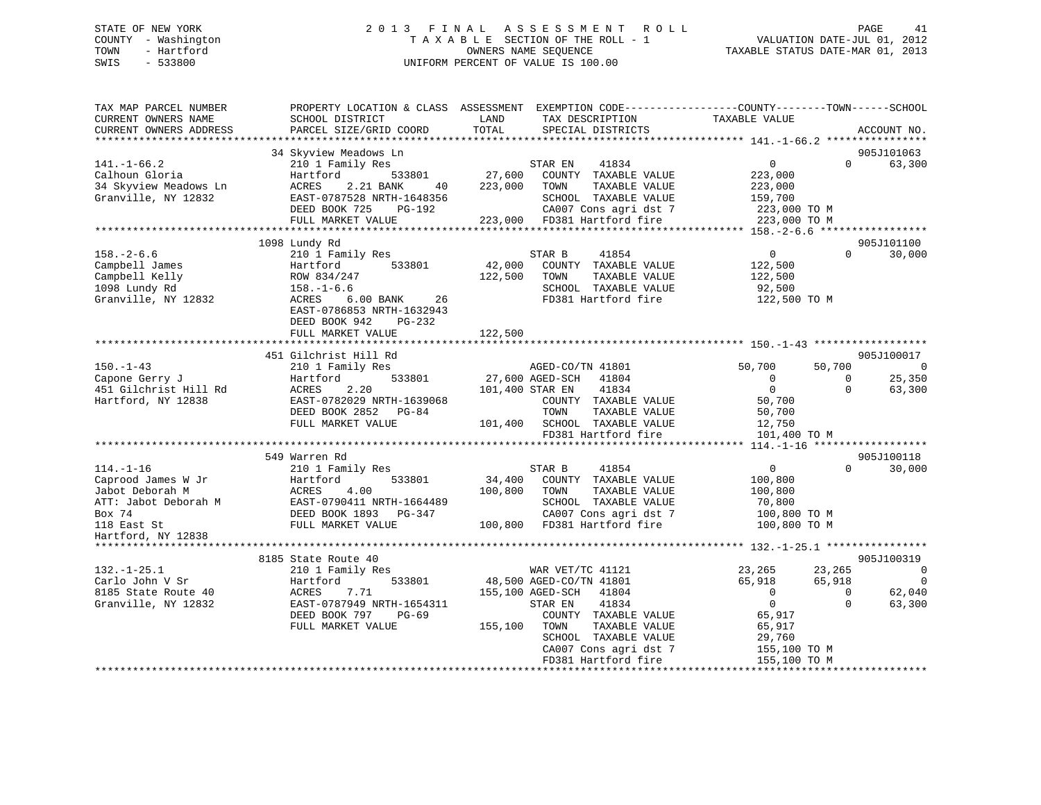## STATE OF NEW YORK 2 0 1 3 F I N A L A S S E S S M E N T R O L L PAGE 41 COUNTY - Washington T A X A B L E SECTION OF THE ROLL - 1 VALUATION DATE-JUL 01, 2012 TOWN - Hartford **TAXABLE STATUS DATE-MAR 01, 2013** OWNERS NAME SEQUENCE TAXABLE STATUS DATE-MAR 01, 2013 SWIS - 533800 UNIFORM PERCENT OF VALUE IS 100.00

| TAX MAP PARCEL NUMBER<br>CURRENT OWNERS NAME<br>CURRENT OWNERS ADDRESS                                                          | SCHOOL DISTRICT<br>PARCEL SIZE/GRID COORD                                                                                                                                                               | LAND<br>TAX DESCRIPTION<br>TOTAL<br>SPECIAL DISTRICTS                                                                                                                                                                            | PROPERTY LOCATION & CLASS ASSESSMENT EXEMPTION CODE----------------COUNTY-------TOWN------SCHOOL<br>TAXABLE VALUE<br>ACCOUNT NO.                                                                                                         |
|---------------------------------------------------------------------------------------------------------------------------------|---------------------------------------------------------------------------------------------------------------------------------------------------------------------------------------------------------|----------------------------------------------------------------------------------------------------------------------------------------------------------------------------------------------------------------------------------|------------------------------------------------------------------------------------------------------------------------------------------------------------------------------------------------------------------------------------------|
|                                                                                                                                 |                                                                                                                                                                                                         |                                                                                                                                                                                                                                  |                                                                                                                                                                                                                                          |
| $141. - 1 - 66.2$<br>Calhoun Gloria<br>34 Skyview Meadows Ln<br>Granville, NY 12832                                             | 34 Skyview Meadows Ln<br>210 1 Family Res<br>533801<br>Hartford<br>ACRES<br>2.21 BANK<br>40<br>EAST-0787528 NRTH-1648356<br>DEED BOOK 725<br>PG-192<br>FULL MARKET VALUE                                | STAR EN<br>41834<br>27,600<br>COUNTY TAXABLE VALUE<br>223,000<br>TOWN<br>TAXABLE VALUE<br>SCHOOL TAXABLE VALUE<br>CA007 Cons agri dst 7<br>223,000 FD381 Hartford fire                                                           | 905J101063<br>$\Omega$<br>$\overline{0}$<br>63,300<br>223,000<br>223,000<br>159,700<br>223,000 TO M<br>223,000 TO M                                                                                                                      |
|                                                                                                                                 |                                                                                                                                                                                                         |                                                                                                                                                                                                                                  |                                                                                                                                                                                                                                          |
| $158. - 2 - 6.6$<br>Campbell James<br>Campbell Kelly<br>1098 Lundy Rd<br>Granville, NY 12832                                    | 1098 Lundy Rd<br>210 1 Family Res<br>533801<br>Hartford<br>ROW 834/247<br>$158. - 1 - 6.6$<br>ACRES<br>$6.00$ BANK<br>26<br>EAST-0786853 NRTH-1632943<br>DEED BOOK 942<br>$PG-232$<br>FULL MARKET VALUE | STAR B<br>41854<br>42,000<br>COUNTY TAXABLE VALUE<br>122,500<br>TAXABLE VALUE<br>TOWN<br>SCHOOL TAXABLE VALUE<br>FD381 Hartford fire<br>122,500                                                                                  | 905J101100<br>$\overline{0}$<br>$\Omega$<br>30,000<br>122,500<br>122,500<br>92,500<br>122,500 TO M                                                                                                                                       |
|                                                                                                                                 | 451 Gilchrist Hill Rd                                                                                                                                                                                   |                                                                                                                                                                                                                                  | 905J100017                                                                                                                                                                                                                               |
| $150. - 1 - 43$<br>Capone Gerry J<br>451 Gilchrist Hill Rd<br>Hartford, NY 12838                                                | 210 1 Family Res<br>533801<br>Hartford<br>2.20<br>ACRES<br>EAST-0782029 NRTH-1639068<br>DEED BOOK 2852 PG-84<br>FULL MARKET VALUE                                                                       | AGED-CO/TN 41801<br>27,600 AGED-SCH<br>41804<br>101,400 STAR EN<br>41834<br>COUNTY TAXABLE VALUE<br>TOWN<br>TAXABLE VALUE<br>101,400<br>SCHOOL TAXABLE VALUE                                                                     | $\overline{0}$<br>50,700<br>50,700<br>$\overline{0}$<br>25,350<br>$\Omega$<br>$\overline{0}$<br>63,300<br>$\Omega$<br>50,700<br>50,700<br>12,750                                                                                         |
|                                                                                                                                 |                                                                                                                                                                                                         | FD381 Hartford fire                                                                                                                                                                                                              | 101,400 TO M                                                                                                                                                                                                                             |
| $114. - 1 - 16$<br>Caprood James W Jr<br>Jabot Deborah M<br>ATT: Jabot Deborah M<br>Box 74<br>118 East St<br>Hartford, NY 12838 | 549 Warren Rd<br>210 1 Family Res<br>Hartford<br>533801<br>ACRES<br>4.00<br>EAST-0790411 NRTH-1664489<br>DEED BOOK 1893 PG-347<br>FULL MARKET VALUE                                                     | STAR B<br>41854<br>34,400<br>COUNTY TAXABLE VALUE<br>100,800<br>TAXABLE VALUE<br>TOWN<br>SCHOOL TAXABLE VALUE<br>CA007 Cons agri dst 7<br>100,800 FD381 Hartford fire                                                            | 905J100118<br>$\overline{0}$<br>$\Omega$<br>30,000<br>100,800<br>100,800<br>70,800<br>100,800 TO M<br>100,800 TO M                                                                                                                       |
| **********************                                                                                                          |                                                                                                                                                                                                         |                                                                                                                                                                                                                                  |                                                                                                                                                                                                                                          |
| $132. - 1 - 25.1$<br>Carlo John V Sr<br>8185 State Route 40<br>Granville, NY 12832                                              | 8185 State Route 40<br>210 1 Family Res<br>533801<br>Hartford<br>ACRES<br>7.71<br>EAST-0787949 NRTH-1654311<br>$PG-69$<br>DEED BOOK 797<br>FULL MARKET VALUE                                            | WAR VET/TC 41121<br>48,500 AGED-CO/TN 41801<br>155,100 AGED-SCH<br>41804<br>STAR EN<br>41834<br>COUNTY TAXABLE VALUE<br>155,100<br>TAXABLE VALUE<br>TOWN<br>SCHOOL TAXABLE VALUE<br>CA007 Cons agri dst 7<br>FD381 Hartford fire | 905J100319<br>23,265<br>23,265<br>$\overline{0}$<br>$\overline{0}$<br>65,918<br>65,918<br>62,040<br>$\overline{0}$<br>$\mathbf{0}$<br>$\overline{0}$<br>$\Omega$<br>63,300<br>65,917<br>65,917<br>29,760<br>155,100 TO M<br>155,100 TO M |
|                                                                                                                                 |                                                                                                                                                                                                         |                                                                                                                                                                                                                                  |                                                                                                                                                                                                                                          |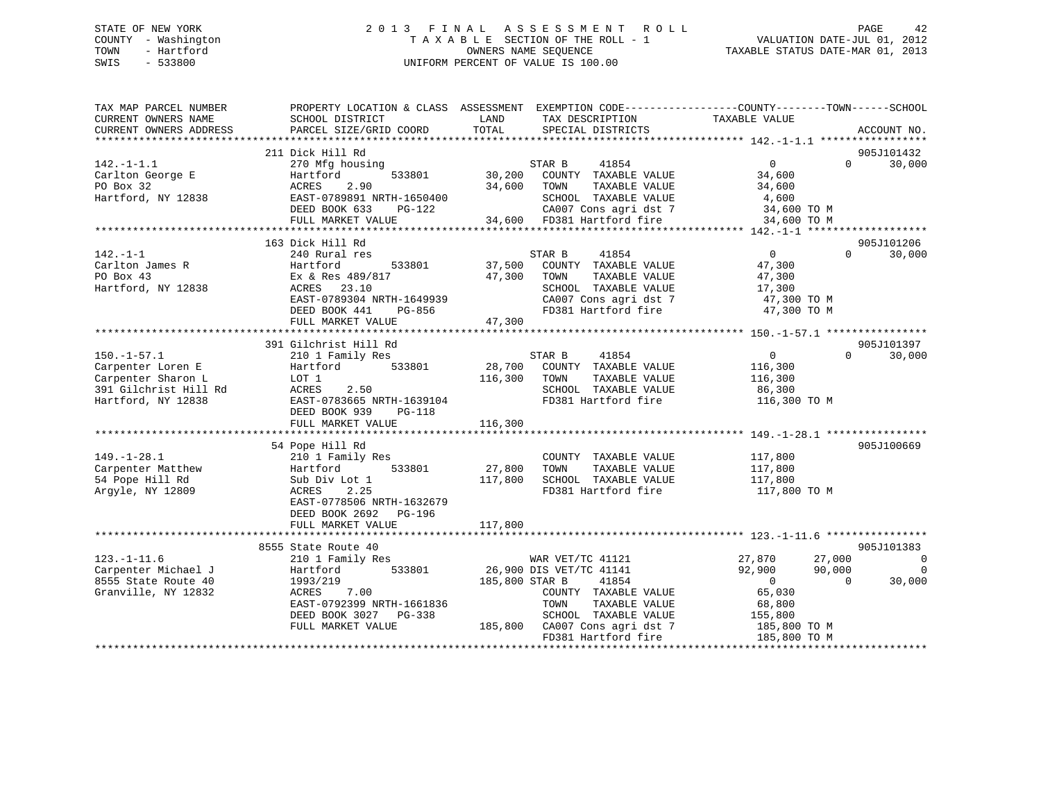## STATE OF NEW YORK 2 0 1 3 F I N A L A S S E S S M E N T R O L L PAGE 42 COUNTY - Washington T A X A B L E SECTION OF THE ROLL - 1 VALUATION DATE-JUL 01, 2012 TOWN - Hartford **TAXABLE STATUS DATE-MAR 01, 2013** OWNERS NAME SEQUENCE TAXABLE STATUS DATE-MAR 01, 2013 SWIS - 533800 UNIFORM PERCENT OF VALUE IS 100.00

| TAX MAP PARCEL NUMBER<br>CURRENT OWNERS NAME<br>CURRENT OWNERS ADDRESS | SCHOOL DISTRICT<br>PARCEL SIZE/GRID COORD | LAND<br>TAX DESCRIPTION<br>TOTAL<br>SPECIAL DISTRICTS | PROPERTY LOCATION & CLASS ASSESSMENT EXEMPTION CODE---------------COUNTY-------TOWN-----SCHOOL<br>TAXABLE VALUE<br>ACCOUNT NO. |
|------------------------------------------------------------------------|-------------------------------------------|-------------------------------------------------------|--------------------------------------------------------------------------------------------------------------------------------|
|                                                                        |                                           |                                                       |                                                                                                                                |
|                                                                        | 211 Dick Hill Rd                          |                                                       | 905J101432                                                                                                                     |
| $142. - 1 - 1.1$                                                       | 270 Mfg housing                           | 41854<br>STAR B                                       | $\overline{0}$<br>$\Omega$<br>30,000                                                                                           |
| Carlton George E                                                       | 533801<br>Hartford                        | 30,200<br>COUNTY TAXABLE VALUE                        | 34,600                                                                                                                         |
| PO Box 32                                                              | ACRES<br>2.90                             | 34,600<br>TOWN<br>TAXABLE VALUE                       | 34,600                                                                                                                         |
| Hartford, NY 12838                                                     | EAST-0789891 NRTH-1650400                 | SCHOOL TAXABLE VALUE                                  | 4,600                                                                                                                          |
|                                                                        | DEED BOOK 633<br>PG-122                   | CA007 Cons agri dst 7                                 | 34,600 TO M                                                                                                                    |
|                                                                        | FULL MARKET VALUE                         | $34,600$ FD381 Hartford fire                          | 34,600 TO M                                                                                                                    |
|                                                                        |                                           |                                                       |                                                                                                                                |
|                                                                        | 163 Dick Hill Rd                          |                                                       | 905J101206                                                                                                                     |
| $142. - 1 - 1$                                                         | 240 Rural res                             | 41854<br>STAR B                                       | $\overline{0}$<br>$\Omega$<br>30,000                                                                                           |
| Carlton James R                                                        | Hartford<br>533801                        | 37,500<br>COUNTY TAXABLE VALUE                        | 47,300                                                                                                                         |
| PO Box 43                                                              | Ex & Res 489/817                          | 47,300<br>TAXABLE VALUE<br>TOWN                       | 47,300                                                                                                                         |
| Hartford, NY 12838                                                     | 23.10<br>ACRES                            | SCHOOL TAXABLE VALUE                                  | 17,300                                                                                                                         |
|                                                                        | EAST-0789304 NRTH-1649939                 | CA007 Cons agri dst 7                                 | 47,300 TO M                                                                                                                    |
|                                                                        | DEED BOOK 441<br>PG-856                   | FD381 Hartford fire                                   | 47,300 TO M                                                                                                                    |
|                                                                        | FULL MARKET VALUE                         | 47,300                                                |                                                                                                                                |
|                                                                        |                                           |                                                       |                                                                                                                                |
|                                                                        | 391 Gilchrist Hill Rd                     |                                                       | 905J101397                                                                                                                     |
| $150.-1-57.1$                                                          | 210 1 Family Res                          | 41854<br>STAR B                                       | $\overline{0}$<br>$\Omega$<br>30,000                                                                                           |
| Carpenter Loren E                                                      | 533801<br>Hartford                        | 28,700<br>COUNTY TAXABLE VALUE                        | 116,300                                                                                                                        |
| Carpenter Sharon L                                                     | LOT 1                                     | 116,300<br>TOWN<br>TAXABLE VALUE                      | 116,300                                                                                                                        |
| 391 Gilchrist Hill Rd                                                  | 2.50<br>ACRES                             | SCHOOL TAXABLE VALUE                                  | 86,300                                                                                                                         |
| Hartford, NY 12838                                                     | EAST-0783665 NRTH-1639104                 | FD381 Hartford fire                                   | 116,300 TO M                                                                                                                   |
|                                                                        | DEED BOOK 939<br><b>PG-118</b>            |                                                       |                                                                                                                                |
|                                                                        | FULL MARKET VALUE                         | 116,300                                               |                                                                                                                                |
|                                                                        |                                           |                                                       |                                                                                                                                |
|                                                                        | 54 Pope Hill Rd                           |                                                       | 905J100669                                                                                                                     |
| $149. - 1 - 28.1$                                                      | 210 1 Family Res                          | COUNTY TAXABLE VALUE                                  | 117,800                                                                                                                        |
| Carpenter Matthew                                                      | 533801<br>Hartford                        | 27,800<br>TOWN<br>TAXABLE VALUE                       | 117,800                                                                                                                        |
| 54 Pope Hill Rd                                                        | Sub Div Lot 1                             | 117,800<br>SCHOOL TAXABLE VALUE                       | 117,800                                                                                                                        |
| Argyle, NY 12809                                                       | ACRES<br>2.25                             | FD381 Hartford fire                                   | 117,800 TO M                                                                                                                   |
|                                                                        | EAST-0778506 NRTH-1632679                 |                                                       |                                                                                                                                |
|                                                                        | DEED BOOK 2692<br>PG-196                  |                                                       |                                                                                                                                |
|                                                                        | FULL MARKET VALUE                         | 117,800                                               |                                                                                                                                |
|                                                                        |                                           |                                                       |                                                                                                                                |
|                                                                        | 8555 State Route 40                       |                                                       | 905J101383                                                                                                                     |
| $123. - 1 - 11.6$                                                      | 210 1 Family Res                          | WAR VET/TC 41121                                      | 27,870<br>27,000<br>$\overline{0}$                                                                                             |
| Carpenter Michael J                                                    | Hartford 533801                           | 26,900 DIS VET/TC 41141                               | 92,900<br>$\overline{0}$<br>90,000                                                                                             |
| 8555 State Route 40                                                    | 1993/219                                  | 41854<br>185,800 STAR B                               | $\overline{0}$<br>30,000<br>$\Omega$                                                                                           |
| Granville, NY 12832                                                    | 7.00<br>ACRES                             | COUNTY TAXABLE VALUE                                  | 65,030                                                                                                                         |
|                                                                        | EAST-0792399 NRTH-1661836                 | TOWN<br>TAXABLE VALUE                                 | 68,800                                                                                                                         |
|                                                                        | DEED BOOK 3027 PG-338                     | SCHOOL TAXABLE VALUE                                  | 155,800                                                                                                                        |
|                                                                        | FULL MARKET VALUE                         | 185,800 CA007 Cons agri dst 7                         | 185,800 TO M                                                                                                                   |
|                                                                        |                                           | FD381 Hartford fire                                   | 185,800 TO M                                                                                                                   |
|                                                                        |                                           |                                                       |                                                                                                                                |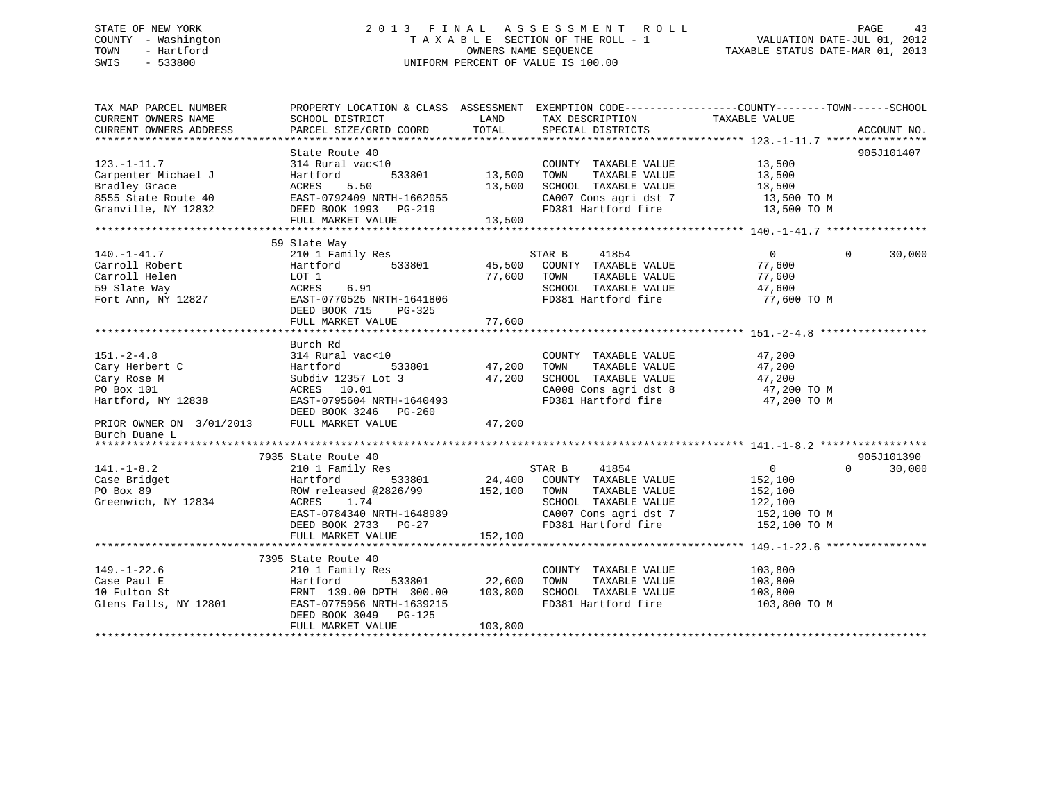## STATE OF NEW YORK 2 0 1 3 F I N A L A S S E S S M E N T R O L L PAGE 43 COUNTY - Washington T A X A B L E SECTION OF THE ROLL - 1 VALUATION DATE-JUL 01, 2012 TOWN - Hartford **TAXABLE STATUS DATE-MAR 01, 2013** OWNERS NAME SEQUENCE TAXABLE STATUS DATE-MAR 01, 2013 SWIS - 533800 UNIFORM PERCENT OF VALUE IS 100.00

| TAX MAP PARCEL NUMBER<br>CURRENT OWNERS NAME<br>CURRENT OWNERS ADDRESS                                                             | PROPERTY LOCATION & CLASS ASSESSMENT<br>SCHOOL DISTRICT<br>PARCEL SIZE/GRID COORD                                                                                                 | LAND<br>TOTAL                       | EXEMPTION CODE-----------------COUNTY-------TOWN------SCHOOL<br>TAX DESCRIPTION<br>SPECIAL DISTRICTS                                    | TAXABLE VALUE                                                                   | ACCOUNT NO.                      |
|------------------------------------------------------------------------------------------------------------------------------------|-----------------------------------------------------------------------------------------------------------------------------------------------------------------------------------|-------------------------------------|-----------------------------------------------------------------------------------------------------------------------------------------|---------------------------------------------------------------------------------|----------------------------------|
| $123. - 1 - 11.7$<br>Carpenter Michael J<br>Bradley Grace<br>8555 State Route 40<br>Granville, NY 12832                            | State Route 40<br>314 Rural vac<10<br>533801<br>Hartford<br>5.50<br>ACRES<br>EAST-0792409 NRTH-1662055<br>DEED BOOK 1993 PG-219<br>FULL MARKET VALUE                              | 13,500<br>13,500<br>13,500          | COUNTY TAXABLE VALUE<br>TOWN<br>TAXABLE VALUE<br>SCHOOL TAXABLE VALUE<br>CA007 Cons agri dst 7<br>FD381 Hartford fire                   | 13,500<br>13,500<br>13,500<br>13,500 TO M<br>13,500 TO M                        | 905J101407                       |
| $140. - 1 - 41.7$<br>Carroll Robert<br>Carroll Helen<br>59 Slate Way<br>Fort Ann, NY 12827                                         | 59 Slate Way<br>210 1 Family Res<br>533801<br>Hartford<br>LOT 1<br>6.91<br>ACRES<br>EAST-0770525 NRTH-1641806<br>DEED BOOK 715<br>PG-325<br>FULL MARKET VALUE                     | 45,500<br>77,600<br>77,600          | STAR B<br>41854<br>COUNTY TAXABLE VALUE<br>TOWN<br>TAXABLE VALUE<br>SCHOOL TAXABLE VALUE<br>FD381 Hartford fire                         | $\overline{0}$<br>77,600<br>77,600<br>47,600<br>77,600 TO M                     | 30,000<br>$\Omega$               |
| $151. - 2 - 4.8$<br>Cary Herbert C<br>Cary Rose M<br>PO Box 101<br>Hartford, NY 12838<br>PRIOR OWNER ON 3/01/2013<br>Burch Duane L | Burch Rd<br>314 Rural vac<10<br>533801<br>Hartford<br>Subdiv 12357 Lot 3<br>ACRES 10.01<br>EAST-0795604 NRTH-1640493<br>DEED BOOK 3246 PG-260<br>FULL MARKET VALUE                | 47,200<br>47,200<br>47,200          | COUNTY TAXABLE VALUE<br>TAXABLE VALUE<br>TOWN<br>SCHOOL TAXABLE VALUE<br>CA008 Cons agri dst 8<br>FD381 Hartford fire                   | 47,200<br>47,200<br>47,200<br>47,200 TO M<br>47,200 TO M                        |                                  |
| $141. - 1 - 8.2$<br>Case Bridget<br>PO Box 89<br>Greenwich, NY 12834                                                               | 7935 State Route 40<br>210 1 Family Res<br>533801<br>Hartford<br>ROW released @2826/99<br>1.74<br>ACRES<br>EAST-0784340 NRTH-1648989<br>DEED BOOK 2733 PG-27<br>FULL MARKET VALUE | 152,100 TOWN<br>152,100             | STAR B<br>41854<br>24,400 COUNTY TAXABLE VALUE<br>TAXABLE VALUE<br>SCHOOL TAXABLE VALUE<br>CA007 Cons agri dst 7<br>FD381 Hartford fire | $\overline{0}$<br>152,100<br>152,100<br>122,100<br>152,100 TO M<br>152,100 TO M | 905J101390<br>$\Omega$<br>30,000 |
| $149. - 1 - 22.6$<br>Case Paul E<br>10 Fulton St<br>Glens Falls, NY 12801                                                          | 7395 State Route 40<br>210 1 Family Res<br>Hartford<br>FRNT 139.00 DPTH 300.00<br>EAST-0775956 NRTH-1639215<br>DEED BOOK 3049 PG-125<br>FULL MARKET VALUE                         | 533801 22,600<br>103,800<br>103,800 | COUNTY TAXABLE VALUE<br>TAXABLE VALUE<br>TOWN<br>SCHOOL TAXABLE VALUE<br>FD381 Hartford fire                                            | 103,800<br>103,800<br>103,800<br>103,800 TO M                                   |                                  |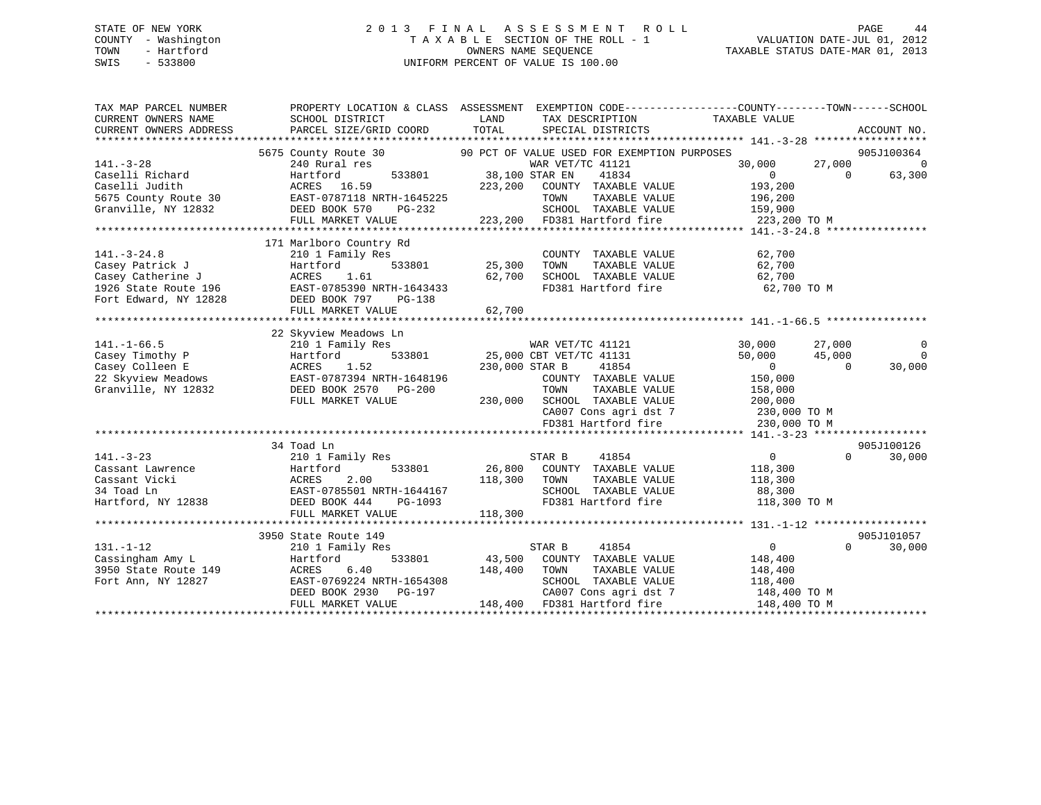## STATE OF NEW YORK 2 0 1 3 F I N A L A S S E S S M E N T R O L L PAGE 44 COUNTY - Washington T A X A B L E SECTION OF THE ROLL - 1 VALUATION DATE-JUL 01, 2012 TOWN - Hartford **TAXABLE STATUS DATE-MAR 01, 2013** OWNERS NAME SEQUENCE TAXABLE STATUS DATE-MAR 01, 2013 SWIS - 533800 UNIFORM PERCENT OF VALUE IS 100.00

| TAX MAP PARCEL NUMBER                                                                                | PROPERTY LOCATION & CLASS ASSESSMENT EXEMPTION CODE---------------COUNTY-------TOWN------SCHOOL                                                                                                                                          |                         |                                                                                                        |                   |                |                |
|------------------------------------------------------------------------------------------------------|------------------------------------------------------------------------------------------------------------------------------------------------------------------------------------------------------------------------------------------|-------------------------|--------------------------------------------------------------------------------------------------------|-------------------|----------------|----------------|
| CURRENT OWNERS NAME                                                                                  | SCHOOL DISTRICT                                                                                                                                                                                                                          | LAND                    | TAX DESCRIPTION                                                                                        | TAXABLE VALUE     |                |                |
| CURRENT OWNERS ADDRESS                                                                               | PARCEL SIZE/GRID COORD                                                                                                                                                                                                                   | TOTAL                   | SPECIAL DISTRICTS                                                                                      |                   |                | ACCOUNT NO.    |
|                                                                                                      |                                                                                                                                                                                                                                          |                         |                                                                                                        |                   |                |                |
|                                                                                                      | 5675 County Route 30 90 PCT OF VALUE USED FOR EXEMPTION PURPOSES                                                                                                                                                                         |                         |                                                                                                        |                   |                | 905J100364     |
| $141. - 3 - 28$                                                                                      | 240 Rural res                                                                                                                                                                                                                            |                         | WAR VET/TC 41121                                                                                       | 30,000            | 27,000         | $\overline{0}$ |
| Caselli Richard                                                                                      | Hartford                                                                                                                                                                                                                                 | 533801 38,100 STAR EN   | 41834                                                                                                  | $\sim$ 0          | $\overline{0}$ | 63,300         |
|                                                                                                      |                                                                                                                                                                                                                                          |                         |                                                                                                        | 193,200           |                |                |
|                                                                                                      |                                                                                                                                                                                                                                          |                         | TAXABLE VALUE                                                                                          | 196,200           |                |                |
|                                                                                                      |                                                                                                                                                                                                                                          |                         | SCHOOL TAXABLE VALUE 159,900                                                                           |                   |                |                |
|                                                                                                      | Caselli Judith MCRES 16.59<br>CASES 16.59 223,200 COUNTY TAXABLE VALUE<br>5675 County Route 30 EAST-0787118 NRTH-1645225 TOWN TAXABLE VALUE<br>Granville, NY 12832 DEED BOOK 570 PG-232 SCHOOL TAXABLE VALUE<br>FULL MARKET VALUE<br>FUL |                         | 223,200 FD381 Hartford fire 223,200 TO M                                                               |                   |                |                |
|                                                                                                      |                                                                                                                                                                                                                                          |                         |                                                                                                        |                   |                |                |
|                                                                                                      | 171 Marlboro Country Rd                                                                                                                                                                                                                  |                         |                                                                                                        |                   |                |                |
|                                                                                                      | 210 1 Family Res                                                                                                                                                                                                                         | 3<br>533801 25,300 TOWN | COUNTY TAXABLE VALUE                                                                                   | 62,700            |                |                |
|                                                                                                      | Hartford                                                                                                                                                                                                                                 |                         | TAXABLE VALUE                                                                                          | 62,700            |                |                |
|                                                                                                      | ACRES 1.61                                                                                                                                                                                                                               |                         | 62,700 SCHOOL TAXABLE VALUE                                                                            | 62,700            |                |                |
|                                                                                                      | EAST-0785390 NRTH-1643433                                                                                                                                                                                                                |                         | FD381 Hartford fire                                                                                    | 62,700 TO M       |                |                |
| 141.-3-24.8<br>Casey Patrick J<br>Casey Catherine J<br>1926 State Route 196<br>Fort Edward, NY 12828 | DEED BOOK 797 PG-138                                                                                                                                                                                                                     |                         |                                                                                                        |                   |                |                |
|                                                                                                      | FULL MARKET VALUE                                                                                                                                                                                                                        | 62,700                  |                                                                                                        |                   |                |                |
|                                                                                                      |                                                                                                                                                                                                                                          |                         |                                                                                                        |                   |                |                |
|                                                                                                      | 22 Skyview Meadows Ln                                                                                                                                                                                                                    |                         |                                                                                                        |                   |                |                |
|                                                                                                      | 210 1 Family Res                                                                                                                                                                                                                         |                         |                                                                                                        | 30,000            | 27,000         | $\overline{0}$ |
|                                                                                                      | Hartford                                                                                                                                                                                                                                 |                         |                                                                                                        | 50,000            | 45,000         | $\overline{0}$ |
| 141.-1-66.5<br>Casey Timothy P<br>Calleen E                                                          | Hartfo<br>ACRES<br>1.52                                                                                                                                                                                                                  |                         | 10WS LIL<br>y Res<br>533801 25,000 CBT VET/TC 41131<br>25,000 CBT VET/TC 41131<br>230.000 STAR B 41854 | $\sim$ 0          | $\overline{0}$ | 30,000         |
|                                                                                                      | 22 Skyview Meadows EAST-0787394 NRTH-1648196<br>Granville, NY 12832 DEED BOOK 2570 PG-200                                                                                                                                                |                         | COUNTY TAXABLE VALUE                                                                                   | 150,000           |                |                |
| Granville, NY 12832                                                                                  | DEED BOOK 2570 PG-200                                                                                                                                                                                                                    |                         | TOWN<br>TAXABLE VALUE                                                                                  | 158,000           |                |                |
|                                                                                                      | FULL MARKET VALUE                                                                                                                                                                                                                        |                         | 230,000 SCHOOL TAXABLE VALUE 200,000                                                                   |                   |                |                |
|                                                                                                      |                                                                                                                                                                                                                                          |                         | CA007 Cons agri dst 7 230,000 TO M<br>FD381 Hartford fire 230,000 TO M                                 |                   |                |                |
|                                                                                                      |                                                                                                                                                                                                                                          |                         |                                                                                                        |                   |                |                |
|                                                                                                      |                                                                                                                                                                                                                                          |                         |                                                                                                        |                   |                |                |
|                                                                                                      | 34 Toad Ln                                                                                                                                                                                                                               |                         |                                                                                                        |                   |                | 905J100126     |
| $141. - 3 - 23$                                                                                      | 210 1 Family Res                                                                                                                                                                                                                         |                         | STAR B<br>41854                                                                                        | $\overline{0}$    | $\Omega$       | 30,000         |
|                                                                                                      |                                                                                                                                                                                                                                          |                         | 533801 26,800 COUNTY TAXABLE VALUE 118,300                                                             |                   |                |                |
|                                                                                                      | Cassant Lawrence<br>Cassant Vicki<br>Cassant Vicki<br>34 Toad Ln<br>34 Toad Ln<br>Cassant Vicki<br>Cassant Vicki<br>Cassant ACRES<br>BAST-0785501 NRTH-1644167                                                                           | 118,300 TOWN            | TAXABLE VALUE                                                                                          | 118,300<br>88,300 |                |                |
|                                                                                                      |                                                                                                                                                                                                                                          |                         | SCHOOL TAXABLE VALUE                                                                                   |                   |                |                |
| Hartford, NY 12838 DEED BOOK 444                                                                     | PG-1093                                                                                                                                                                                                                                  |                         | FD381 Hartford fire 118,300 TO M                                                                       |                   |                |                |
|                                                                                                      | FULL MARKET VALUE                                                                                                                                                                                                                        | 118,300                 |                                                                                                        |                   |                |                |
|                                                                                                      |                                                                                                                                                                                                                                          |                         |                                                                                                        |                   |                |                |
|                                                                                                      | 3950 State Route 149                                                                                                                                                                                                                     |                         |                                                                                                        |                   |                | 905J101057     |
| $131. - 1 - 12$                                                                                      | 210 1 Family Res                                                                                                                                                                                                                         |                         | STAR B<br>41854                                                                                        | $\overline{0}$    | $\Omega$       | 30,000         |
| Cassingham Amy L                                                                                     | Hartford                                                                                                                                                                                                                                 |                         | 533801 43,500 COUNTY TAXABLE VALUE 148,400                                                             |                   |                |                |
|                                                                                                      |                                                                                                                                                                                                                                          |                         | TAXABLE VALUE                                                                                          | 148,400           |                |                |
|                                                                                                      | Cassingnam Amy 1<br>3950 State Route 149<br>- 1 April 17827 EAST-0769224 NRTH-1654308                                                                                                                                                    |                         | SCHOOL TAXABLE VALUE                                                                                   | 118,400           |                |                |
|                                                                                                      | ACRES  6.40   148,400   TOWN<br>EAST-0769224 NRTH-1654308   SCHOOL<br>DEED BOOK   2930   PG-197   CA007   C                                                                                                                              |                         | CA007 Cons agri dst 7 148,400 TO M                                                                     |                   |                |                |
|                                                                                                      | FULL MARKET VALUE                                                                                                                                                                                                                        |                         | 148,400 FD381 Hartford fire                                                                            | 148,400 TO M      |                |                |
|                                                                                                      |                                                                                                                                                                                                                                          |                         |                                                                                                        |                   |                |                |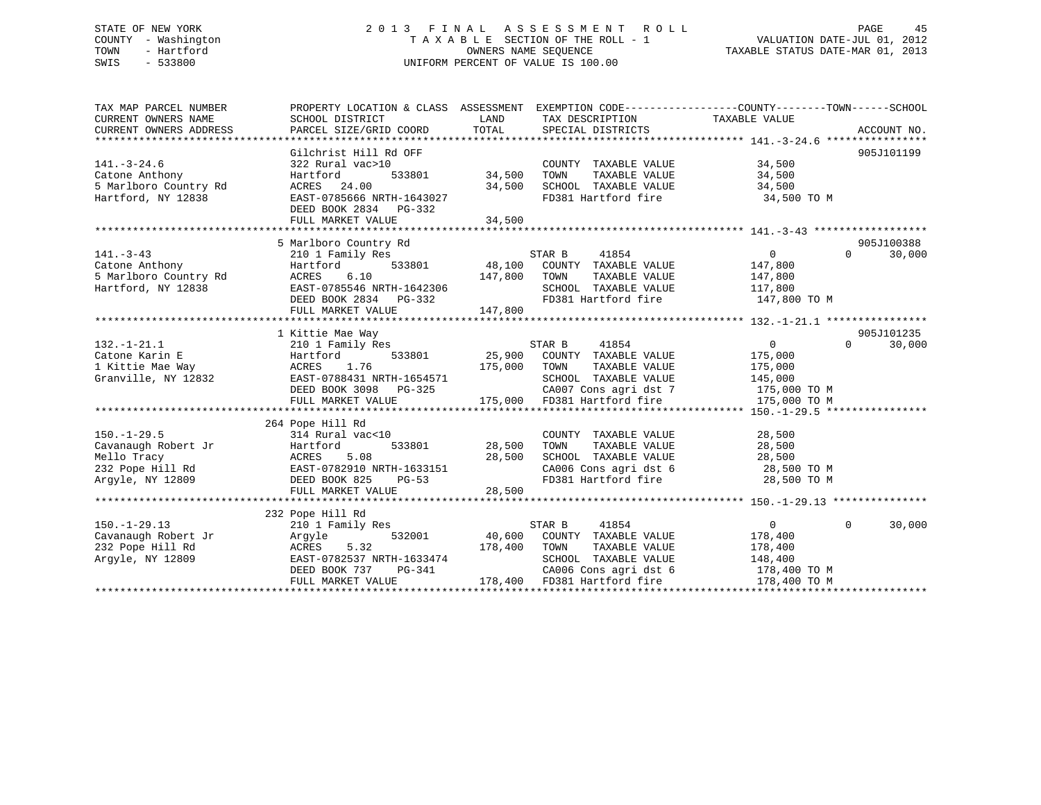## STATE OF NEW YORK 2 0 1 3 F I N A L A S S E S S M E N T R O L L PAGE 45 COUNTY - Washington T A X A B L E SECTION OF THE ROLL - 1 VALUATION DATE-JUL 01, 2012 TOWN - Hartford **TAXABLE STATUS DATE-MAR 01, 2013** OWNERS NAME SEQUENCE TAXABLE STATUS DATE-MAR 01, 2013 SWIS - 533800 UNIFORM PERCENT OF VALUE IS 100.00

| TAX MAP PARCEL NUMBER                       |                            |                                             | PROPERTY LOCATION & CLASS ASSESSMENT EXEMPTION CODE---------------COUNTY-------TOWN-----SCHOOL |
|---------------------------------------------|----------------------------|---------------------------------------------|------------------------------------------------------------------------------------------------|
| CURRENT OWNERS NAME                         | SCHOOL DISTRICT            | LAND<br>TAX DESCRIPTION                     | TAXABLE VALUE                                                                                  |
| CURRENT OWNERS ADDRESS                      | PARCEL SIZE/GRID COORD     | TOTAL<br>SPECIAL DISTRICTS                  | ACCOUNT NO.                                                                                    |
|                                             | Gilchrist Hill Rd OFF      |                                             | 905J101199                                                                                     |
| $141. - 3 - 24.6$                           | 322 Rural vac>10           | COUNTY TAXABLE VALUE                        | 34,500                                                                                         |
| Catone Anthony                              | 533801                     | 34,500<br>TAXABLE VALUE                     | 34,500                                                                                         |
|                                             | Hartford<br>ACRES<br>24.00 | TOWN<br>34,500                              |                                                                                                |
| 5 Marlboro Country Rd<br>Hartford, NY 12838 | EAST-0785666 NRTH-1643027  | SCHOOL TAXABLE VALUE<br>FD381 Hartford fire | 34,500<br>34,500 TO M                                                                          |
|                                             | DEED BOOK 2834 PG-332      |                                             |                                                                                                |
|                                             | FULL MARKET VALUE          | 34,500                                      |                                                                                                |
|                                             |                            |                                             |                                                                                                |
|                                             | 5 Marlboro Country Rd      |                                             | 905J100388                                                                                     |
| $141. - 3 - 43$                             | 210 1 Family Res           | STAR B<br>41854                             | 30,000<br>$\overline{0}$<br>$\Omega$                                                           |
| Catone Anthony                              | 533801<br>Hartford         | 48,100 COUNTY TAXABLE VALUE                 | 147,800                                                                                        |
| 5 Marlboro Country Rd                       | 6.10<br>ACRES              | 147,800<br>TOWN<br>TAXABLE VALUE            | 147,800                                                                                        |
| Hartford, NY 12838                          | EAST-0785546 NRTH-1642306  | SCHOOL TAXABLE VALUE                        | 117,800                                                                                        |
|                                             | DEED BOOK 2834 PG-332      | FD381 Hartford fire                         | 147,800 TO M                                                                                   |
|                                             | FULL MARKET VALUE          | 147,800                                     |                                                                                                |
|                                             |                            |                                             |                                                                                                |
|                                             | 1 Kittie Mae Way           |                                             | 905J101235                                                                                     |
| $132. - 1 - 21.1$                           | 210 1 Family Res           | STAR B<br>41854                             | $\overline{0}$<br>$\Omega$<br>30,000                                                           |
| Catone Karin E                              | 533801<br>Hartford         | 25,900 COUNTY TAXABLE VALUE                 | 175,000                                                                                        |
| 1 Kittie Mae Way                            | ACRES 1.76                 | 175,000<br>TOWN<br>TAXABLE VALUE            | 175,000                                                                                        |
| Granville, NY 12832                         | EAST-0788431 NRTH-1654571  | SCHOOL TAXABLE VALUE                        | 145,000                                                                                        |
|                                             | DEED BOOK 3098 PG-325      |                                             | CA007 Cons agri dst 7 175,000 TO M                                                             |
|                                             | FULL MARKET VALUE          | 175,000 FD381 Hartford fire                 | 175,000 TO M                                                                                   |
|                                             |                            |                                             |                                                                                                |
|                                             | 264 Pope Hill Rd           |                                             |                                                                                                |
| $150. - 1 - 29.5$                           | 314 Rural vac<10           | COUNTY TAXABLE VALUE                        | 28,500                                                                                         |
| Cavanaugh Robert Jr                         | 533801<br>Hartford         | 28,500<br>TAXABLE VALUE<br>TOWN             | 28,500                                                                                         |
| Mello Tracy                                 | 5.08<br>ACRES              | 28,500<br>SCHOOL TAXABLE VALUE              | 28,500                                                                                         |
| 232 Pope Hill Rd                            | EAST-0782910 NRTH-1633151  |                                             | CA006 Cons agri dst 6 28,500 TO M                                                              |
| Argyle, NY 12809                            | DEED BOOK 825<br>$PG-53$   | FD381 Hartford fire                         | 28,500 TO M                                                                                    |
|                                             | FULL MARKET VALUE          | 28,500                                      |                                                                                                |
|                                             |                            |                                             |                                                                                                |
|                                             | 232 Pope Hill Rd           |                                             |                                                                                                |
| $150. - 1 - 29.13$                          | 210 1 Family Res           | STAR B<br>41854                             | 0<br>$\Omega$<br>30,000                                                                        |
| Cavanaugh Robert Jr                         | 532001<br>Argyle           | 40,600 COUNTY TAXABLE VALUE                 | 178,400                                                                                        |
| 232 Pope Hill Rd                            | 5.32<br>ACRES              | 178,400<br>TOWN<br>TAXABLE VALUE            | 178,400                                                                                        |
| Argyle, NY 12809                            | EAST-0782537 NRTH-1633474  | SCHOOL TAXABLE VALUE                        | 148,400                                                                                        |
|                                             | DEED BOOK 737<br>PG-341    | CA006 Cons agri dst 6                       | 178,400 TO M                                                                                   |
|                                             | FULL MARKET VALUE          | 178,400 FD381 Hartford fire                 | 178,400 TO M                                                                                   |
|                                             |                            |                                             |                                                                                                |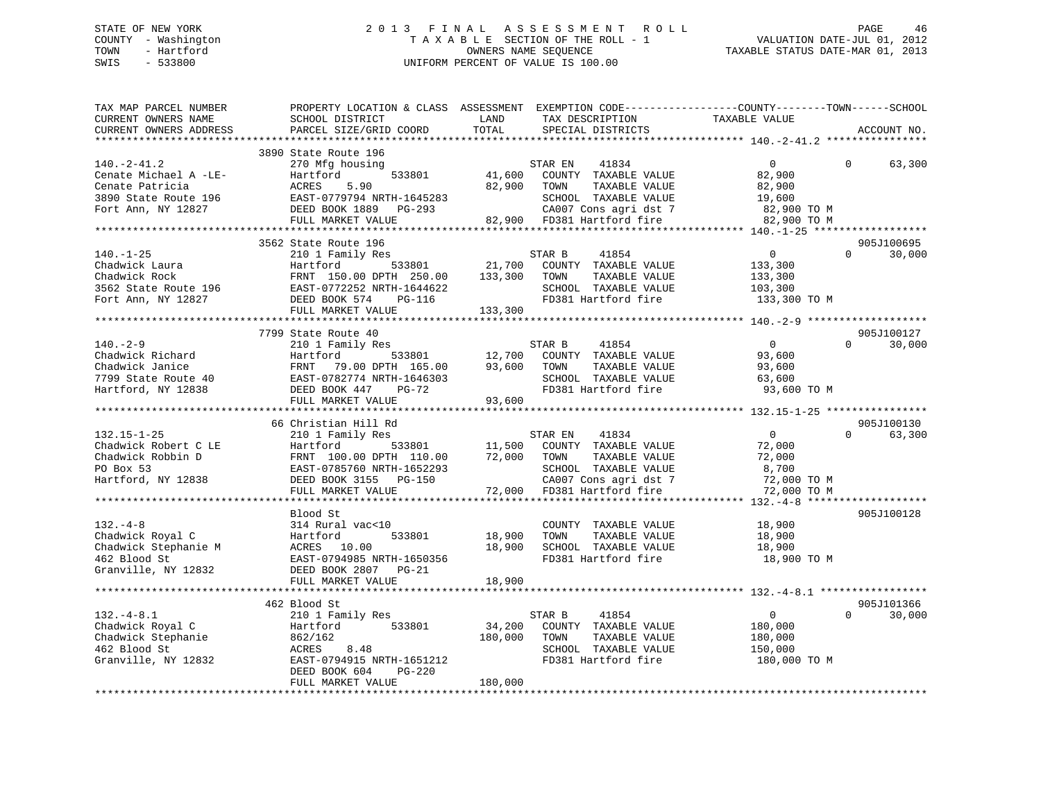## STATE OF NEW YORK 2 0 1 3 F I N A L A S S E S S M E N T R O L L PAGE 46 COUNTY - Washington T A X A B L E SECTION OF THE ROLL - 1 VALUATION DATE-JUL 01, 2012 TOWN - Hartford **TAXABLE STATUS DATE-MAR 01, 2013** OWNERS NAME SEQUENCE TAXABLE STATUS DATE-MAR 01, 2013 SWIS - 533800 UNIFORM PERCENT OF VALUE IS 100.00

| CURRENT OWNERS NAME<br>LAND<br>TAX DESCRIPTION<br>TAXABLE VALUE<br>SCHOOL DISTRICT<br>TOTAL<br>CURRENT OWNERS ADDRESS<br>PARCEL SIZE/GRID COORD<br>SPECIAL DISTRICTS<br>ACCOUNT NO.<br>3890 State Route 196<br>$140. -2 - 41.2$<br>270 Mfg housing<br>$\Omega$<br>63,300<br>$\begin{tabular}{lllllllllllll} \multicolumn{3}{l}{{140.2-41.2}} & & & & & & & & & & \\ \multicolumn{3}{l}{{C}\space{C}} & & & & & & & & & \\ \multicolumn{3}{l}{{C}\space{C}} & & & & & & & & \\ \multicolumn{3}{l}{{C}\space{C}} & & & & & & & & \\ \multicolumn{3}{l}{{C}\space{C}} & & & & & & & & \\ \multicolumn{3}{l}{{C}\space{C}} & & & & & & & & \\ \multicolumn{3}{l}{{C}\space{C}} & & & & & & & & \\ \multicolumn{3}{l}{{C}\space{C}} & & & & & & &$<br>905J100695<br>$\overline{0}$<br>$\Omega$<br>30,000<br>210 1 Family Res<br>STAR B<br>41854<br>$140.-1-25$<br>Chadwick Laura<br>533801 21,700 COUNTY TAXABLE VALUE<br>140.-1-25<br>Chadwick Laura Martford 533801 21,700 COMM<br>Chadwick Rock FRNT 150.00 DPTH 250.00 133,300 TOWN<br>3562 State Route 196 EAST-0772252 NRTH-1644622 SCHOOL<br>Fort Ann, NY 12827 DEED BOOK 574 PG-116 133,300 FD381 Hartf<br>133,300<br>TAXABLE VALUE<br>133,300<br>SCHOOL TAXABLE VALUE<br>103,300<br>FD381 Hartford fire<br>133,300 TO M<br>7799 State Route 40<br>905J100127<br>210 1 Family Res<br>$140. - 2 - 9$<br>$\begin{array}{c} 0 \ 93,600 \end{array}$<br>$\Omega$<br>STAR B<br>41854<br>30,000<br>533801 12,700 COUNTY TAXABLE VALUE<br>TOWN<br>TAXABLE VALUE<br>93,600<br>63,600<br>SCHOOL TAXABLE VALUE<br>FD381 Hartford fire<br>93,600 TO M<br>93,600<br>FULL MARKET VALUE<br>905J100130<br>66 Christian Hill Rd<br>210 1 Family Res<br>$\overline{0}$<br>$\Omega$<br>63,300<br>STAR EN<br>41834<br>$[132.15-1-25$ Chadwick Robert CLE<br>Chadwick Robert CLE<br>Chadwick Robbin D<br>Chadwick Robbin D<br>PO Box 53<br>ERST-0785760 NRTH-1652293<br>ERST-0785760 NRTH-1652293<br>DEED BOOK 3155 PG-150<br>TAXABLE VALUE<br>TAXABLE VALUE<br>CA007 Co<br>Blood St<br>905J100128<br>TAXABLE VALUE 18,900<br>TAXABLE VALUE 18,900<br>COUNTY TAXABLE VALUE<br>Chadwick Royal C<br>Chadwick Stephanie M<br>462 Blood St<br>Granville, NY 12832<br>10.00<br>10.00<br>2007 PG-21<br>2008 2807 PG-21<br>2008 2807 PG-21<br>2008 2807 PG-21<br>18,900<br>TOWN<br>SCHOOL TAXABLE VALUE<br>18,900<br>18,900<br>FD381 Hartford fire<br>18,900 TO M<br>18,900<br>905J101366<br>462 Blood St<br>132.-4-8.1<br>Chadwick Royal C<br>Chadwick Stephanie<br>462 Blood St<br>Granville, NY 12832<br>210 1 Family Res<br>862/162<br>862/162<br>20 ACRES<br>283801<br>283201<br>2862/162<br>2867-0794915 NRTH-1651212<br>DEED BOOK 604<br>PG-220<br>280,000<br>280,00<br>41854<br>$\overline{0}$<br>$\Omega$<br>30,000<br>STAR B<br>$\begin{array}{c} 34,200 \\ 180,000 \end{array}$<br>COUNTY TAXABLE VALUE<br>180,000<br>TOWN<br>TAXABLE VALUE<br>180,000<br>SCHOOL TAXABLE VALUE<br>150,000<br>FD381 Hartford fire<br>180,000 TO M | TAX MAP PARCEL NUMBER | PROPERTY LOCATION & CLASS ASSESSMENT EXEMPTION CODE---------------COUNTY-------TOWN------SCHOOL |  |  |  |
|---------------------------------------------------------------------------------------------------------------------------------------------------------------------------------------------------------------------------------------------------------------------------------------------------------------------------------------------------------------------------------------------------------------------------------------------------------------------------------------------------------------------------------------------------------------------------------------------------------------------------------------------------------------------------------------------------------------------------------------------------------------------------------------------------------------------------------------------------------------------------------------------------------------------------------------------------------------------------------------------------------------------------------------------------------------------------------------------------------------------------------------------------------------------------------------------------------------------------------------------------------------------------------------------------------------------------------------------------------------------------------------------------------------------------------------------------------------------------------------------------------------------------------------------------------------------------------------------------------------------------------------------------------------------------------------------------------------------------------------------------------------------------------------------------------------------------------------------------------------------------------------------------------------------------------------------------------------------------------------------------------------------------------------------------------------------------------------------------------------------------------------------------------------------------------------------------------------------------------------------------------------------------------------------------------------------------------------------------------------------------------------------------------------------------------------------------------------------------------------------------------------------------------------------------------------------------------------------------------------------------------------------------------------------------------------------------------------------------------------------------------------------------------------------------------------------------------------------------------------------------------------------------------------------------------------------------------------------|-----------------------|-------------------------------------------------------------------------------------------------|--|--|--|
|                                                                                                                                                                                                                                                                                                                                                                                                                                                                                                                                                                                                                                                                                                                                                                                                                                                                                                                                                                                                                                                                                                                                                                                                                                                                                                                                                                                                                                                                                                                                                                                                                                                                                                                                                                                                                                                                                                                                                                                                                                                                                                                                                                                                                                                                                                                                                                                                                                                                                                                                                                                                                                                                                                                                                                                                                                                                                                                                                                     |                       |                                                                                                 |  |  |  |
|                                                                                                                                                                                                                                                                                                                                                                                                                                                                                                                                                                                                                                                                                                                                                                                                                                                                                                                                                                                                                                                                                                                                                                                                                                                                                                                                                                                                                                                                                                                                                                                                                                                                                                                                                                                                                                                                                                                                                                                                                                                                                                                                                                                                                                                                                                                                                                                                                                                                                                                                                                                                                                                                                                                                                                                                                                                                                                                                                                     |                       |                                                                                                 |  |  |  |
|                                                                                                                                                                                                                                                                                                                                                                                                                                                                                                                                                                                                                                                                                                                                                                                                                                                                                                                                                                                                                                                                                                                                                                                                                                                                                                                                                                                                                                                                                                                                                                                                                                                                                                                                                                                                                                                                                                                                                                                                                                                                                                                                                                                                                                                                                                                                                                                                                                                                                                                                                                                                                                                                                                                                                                                                                                                                                                                                                                     |                       |                                                                                                 |  |  |  |
|                                                                                                                                                                                                                                                                                                                                                                                                                                                                                                                                                                                                                                                                                                                                                                                                                                                                                                                                                                                                                                                                                                                                                                                                                                                                                                                                                                                                                                                                                                                                                                                                                                                                                                                                                                                                                                                                                                                                                                                                                                                                                                                                                                                                                                                                                                                                                                                                                                                                                                                                                                                                                                                                                                                                                                                                                                                                                                                                                                     |                       |                                                                                                 |  |  |  |
|                                                                                                                                                                                                                                                                                                                                                                                                                                                                                                                                                                                                                                                                                                                                                                                                                                                                                                                                                                                                                                                                                                                                                                                                                                                                                                                                                                                                                                                                                                                                                                                                                                                                                                                                                                                                                                                                                                                                                                                                                                                                                                                                                                                                                                                                                                                                                                                                                                                                                                                                                                                                                                                                                                                                                                                                                                                                                                                                                                     |                       |                                                                                                 |  |  |  |
|                                                                                                                                                                                                                                                                                                                                                                                                                                                                                                                                                                                                                                                                                                                                                                                                                                                                                                                                                                                                                                                                                                                                                                                                                                                                                                                                                                                                                                                                                                                                                                                                                                                                                                                                                                                                                                                                                                                                                                                                                                                                                                                                                                                                                                                                                                                                                                                                                                                                                                                                                                                                                                                                                                                                                                                                                                                                                                                                                                     |                       |                                                                                                 |  |  |  |
|                                                                                                                                                                                                                                                                                                                                                                                                                                                                                                                                                                                                                                                                                                                                                                                                                                                                                                                                                                                                                                                                                                                                                                                                                                                                                                                                                                                                                                                                                                                                                                                                                                                                                                                                                                                                                                                                                                                                                                                                                                                                                                                                                                                                                                                                                                                                                                                                                                                                                                                                                                                                                                                                                                                                                                                                                                                                                                                                                                     |                       |                                                                                                 |  |  |  |
|                                                                                                                                                                                                                                                                                                                                                                                                                                                                                                                                                                                                                                                                                                                                                                                                                                                                                                                                                                                                                                                                                                                                                                                                                                                                                                                                                                                                                                                                                                                                                                                                                                                                                                                                                                                                                                                                                                                                                                                                                                                                                                                                                                                                                                                                                                                                                                                                                                                                                                                                                                                                                                                                                                                                                                                                                                                                                                                                                                     |                       |                                                                                                 |  |  |  |
|                                                                                                                                                                                                                                                                                                                                                                                                                                                                                                                                                                                                                                                                                                                                                                                                                                                                                                                                                                                                                                                                                                                                                                                                                                                                                                                                                                                                                                                                                                                                                                                                                                                                                                                                                                                                                                                                                                                                                                                                                                                                                                                                                                                                                                                                                                                                                                                                                                                                                                                                                                                                                                                                                                                                                                                                                                                                                                                                                                     |                       |                                                                                                 |  |  |  |
|                                                                                                                                                                                                                                                                                                                                                                                                                                                                                                                                                                                                                                                                                                                                                                                                                                                                                                                                                                                                                                                                                                                                                                                                                                                                                                                                                                                                                                                                                                                                                                                                                                                                                                                                                                                                                                                                                                                                                                                                                                                                                                                                                                                                                                                                                                                                                                                                                                                                                                                                                                                                                                                                                                                                                                                                                                                                                                                                                                     |                       |                                                                                                 |  |  |  |
|                                                                                                                                                                                                                                                                                                                                                                                                                                                                                                                                                                                                                                                                                                                                                                                                                                                                                                                                                                                                                                                                                                                                                                                                                                                                                                                                                                                                                                                                                                                                                                                                                                                                                                                                                                                                                                                                                                                                                                                                                                                                                                                                                                                                                                                                                                                                                                                                                                                                                                                                                                                                                                                                                                                                                                                                                                                                                                                                                                     |                       |                                                                                                 |  |  |  |
|                                                                                                                                                                                                                                                                                                                                                                                                                                                                                                                                                                                                                                                                                                                                                                                                                                                                                                                                                                                                                                                                                                                                                                                                                                                                                                                                                                                                                                                                                                                                                                                                                                                                                                                                                                                                                                                                                                                                                                                                                                                                                                                                                                                                                                                                                                                                                                                                                                                                                                                                                                                                                                                                                                                                                                                                                                                                                                                                                                     |                       |                                                                                                 |  |  |  |
|                                                                                                                                                                                                                                                                                                                                                                                                                                                                                                                                                                                                                                                                                                                                                                                                                                                                                                                                                                                                                                                                                                                                                                                                                                                                                                                                                                                                                                                                                                                                                                                                                                                                                                                                                                                                                                                                                                                                                                                                                                                                                                                                                                                                                                                                                                                                                                                                                                                                                                                                                                                                                                                                                                                                                                                                                                                                                                                                                                     |                       |                                                                                                 |  |  |  |
|                                                                                                                                                                                                                                                                                                                                                                                                                                                                                                                                                                                                                                                                                                                                                                                                                                                                                                                                                                                                                                                                                                                                                                                                                                                                                                                                                                                                                                                                                                                                                                                                                                                                                                                                                                                                                                                                                                                                                                                                                                                                                                                                                                                                                                                                                                                                                                                                                                                                                                                                                                                                                                                                                                                                                                                                                                                                                                                                                                     |                       |                                                                                                 |  |  |  |
|                                                                                                                                                                                                                                                                                                                                                                                                                                                                                                                                                                                                                                                                                                                                                                                                                                                                                                                                                                                                                                                                                                                                                                                                                                                                                                                                                                                                                                                                                                                                                                                                                                                                                                                                                                                                                                                                                                                                                                                                                                                                                                                                                                                                                                                                                                                                                                                                                                                                                                                                                                                                                                                                                                                                                                                                                                                                                                                                                                     |                       |                                                                                                 |  |  |  |
|                                                                                                                                                                                                                                                                                                                                                                                                                                                                                                                                                                                                                                                                                                                                                                                                                                                                                                                                                                                                                                                                                                                                                                                                                                                                                                                                                                                                                                                                                                                                                                                                                                                                                                                                                                                                                                                                                                                                                                                                                                                                                                                                                                                                                                                                                                                                                                                                                                                                                                                                                                                                                                                                                                                                                                                                                                                                                                                                                                     |                       |                                                                                                 |  |  |  |
|                                                                                                                                                                                                                                                                                                                                                                                                                                                                                                                                                                                                                                                                                                                                                                                                                                                                                                                                                                                                                                                                                                                                                                                                                                                                                                                                                                                                                                                                                                                                                                                                                                                                                                                                                                                                                                                                                                                                                                                                                                                                                                                                                                                                                                                                                                                                                                                                                                                                                                                                                                                                                                                                                                                                                                                                                                                                                                                                                                     |                       |                                                                                                 |  |  |  |
|                                                                                                                                                                                                                                                                                                                                                                                                                                                                                                                                                                                                                                                                                                                                                                                                                                                                                                                                                                                                                                                                                                                                                                                                                                                                                                                                                                                                                                                                                                                                                                                                                                                                                                                                                                                                                                                                                                                                                                                                                                                                                                                                                                                                                                                                                                                                                                                                                                                                                                                                                                                                                                                                                                                                                                                                                                                                                                                                                                     |                       |                                                                                                 |  |  |  |
|                                                                                                                                                                                                                                                                                                                                                                                                                                                                                                                                                                                                                                                                                                                                                                                                                                                                                                                                                                                                                                                                                                                                                                                                                                                                                                                                                                                                                                                                                                                                                                                                                                                                                                                                                                                                                                                                                                                                                                                                                                                                                                                                                                                                                                                                                                                                                                                                                                                                                                                                                                                                                                                                                                                                                                                                                                                                                                                                                                     |                       |                                                                                                 |  |  |  |
|                                                                                                                                                                                                                                                                                                                                                                                                                                                                                                                                                                                                                                                                                                                                                                                                                                                                                                                                                                                                                                                                                                                                                                                                                                                                                                                                                                                                                                                                                                                                                                                                                                                                                                                                                                                                                                                                                                                                                                                                                                                                                                                                                                                                                                                                                                                                                                                                                                                                                                                                                                                                                                                                                                                                                                                                                                                                                                                                                                     |                       |                                                                                                 |  |  |  |
|                                                                                                                                                                                                                                                                                                                                                                                                                                                                                                                                                                                                                                                                                                                                                                                                                                                                                                                                                                                                                                                                                                                                                                                                                                                                                                                                                                                                                                                                                                                                                                                                                                                                                                                                                                                                                                                                                                                                                                                                                                                                                                                                                                                                                                                                                                                                                                                                                                                                                                                                                                                                                                                                                                                                                                                                                                                                                                                                                                     |                       |                                                                                                 |  |  |  |
|                                                                                                                                                                                                                                                                                                                                                                                                                                                                                                                                                                                                                                                                                                                                                                                                                                                                                                                                                                                                                                                                                                                                                                                                                                                                                                                                                                                                                                                                                                                                                                                                                                                                                                                                                                                                                                                                                                                                                                                                                                                                                                                                                                                                                                                                                                                                                                                                                                                                                                                                                                                                                                                                                                                                                                                                                                                                                                                                                                     |                       |                                                                                                 |  |  |  |
|                                                                                                                                                                                                                                                                                                                                                                                                                                                                                                                                                                                                                                                                                                                                                                                                                                                                                                                                                                                                                                                                                                                                                                                                                                                                                                                                                                                                                                                                                                                                                                                                                                                                                                                                                                                                                                                                                                                                                                                                                                                                                                                                                                                                                                                                                                                                                                                                                                                                                                                                                                                                                                                                                                                                                                                                                                                                                                                                                                     |                       |                                                                                                 |  |  |  |
|                                                                                                                                                                                                                                                                                                                                                                                                                                                                                                                                                                                                                                                                                                                                                                                                                                                                                                                                                                                                                                                                                                                                                                                                                                                                                                                                                                                                                                                                                                                                                                                                                                                                                                                                                                                                                                                                                                                                                                                                                                                                                                                                                                                                                                                                                                                                                                                                                                                                                                                                                                                                                                                                                                                                                                                                                                                                                                                                                                     |                       |                                                                                                 |  |  |  |
|                                                                                                                                                                                                                                                                                                                                                                                                                                                                                                                                                                                                                                                                                                                                                                                                                                                                                                                                                                                                                                                                                                                                                                                                                                                                                                                                                                                                                                                                                                                                                                                                                                                                                                                                                                                                                                                                                                                                                                                                                                                                                                                                                                                                                                                                                                                                                                                                                                                                                                                                                                                                                                                                                                                                                                                                                                                                                                                                                                     |                       |                                                                                                 |  |  |  |
|                                                                                                                                                                                                                                                                                                                                                                                                                                                                                                                                                                                                                                                                                                                                                                                                                                                                                                                                                                                                                                                                                                                                                                                                                                                                                                                                                                                                                                                                                                                                                                                                                                                                                                                                                                                                                                                                                                                                                                                                                                                                                                                                                                                                                                                                                                                                                                                                                                                                                                                                                                                                                                                                                                                                                                                                                                                                                                                                                                     |                       |                                                                                                 |  |  |  |
|                                                                                                                                                                                                                                                                                                                                                                                                                                                                                                                                                                                                                                                                                                                                                                                                                                                                                                                                                                                                                                                                                                                                                                                                                                                                                                                                                                                                                                                                                                                                                                                                                                                                                                                                                                                                                                                                                                                                                                                                                                                                                                                                                                                                                                                                                                                                                                                                                                                                                                                                                                                                                                                                                                                                                                                                                                                                                                                                                                     |                       |                                                                                                 |  |  |  |
|                                                                                                                                                                                                                                                                                                                                                                                                                                                                                                                                                                                                                                                                                                                                                                                                                                                                                                                                                                                                                                                                                                                                                                                                                                                                                                                                                                                                                                                                                                                                                                                                                                                                                                                                                                                                                                                                                                                                                                                                                                                                                                                                                                                                                                                                                                                                                                                                                                                                                                                                                                                                                                                                                                                                                                                                                                                                                                                                                                     |                       |                                                                                                 |  |  |  |
|                                                                                                                                                                                                                                                                                                                                                                                                                                                                                                                                                                                                                                                                                                                                                                                                                                                                                                                                                                                                                                                                                                                                                                                                                                                                                                                                                                                                                                                                                                                                                                                                                                                                                                                                                                                                                                                                                                                                                                                                                                                                                                                                                                                                                                                                                                                                                                                                                                                                                                                                                                                                                                                                                                                                                                                                                                                                                                                                                                     |                       |                                                                                                 |  |  |  |
|                                                                                                                                                                                                                                                                                                                                                                                                                                                                                                                                                                                                                                                                                                                                                                                                                                                                                                                                                                                                                                                                                                                                                                                                                                                                                                                                                                                                                                                                                                                                                                                                                                                                                                                                                                                                                                                                                                                                                                                                                                                                                                                                                                                                                                                                                                                                                                                                                                                                                                                                                                                                                                                                                                                                                                                                                                                                                                                                                                     | $132.15 - 1 - 25$     |                                                                                                 |  |  |  |
|                                                                                                                                                                                                                                                                                                                                                                                                                                                                                                                                                                                                                                                                                                                                                                                                                                                                                                                                                                                                                                                                                                                                                                                                                                                                                                                                                                                                                                                                                                                                                                                                                                                                                                                                                                                                                                                                                                                                                                                                                                                                                                                                                                                                                                                                                                                                                                                                                                                                                                                                                                                                                                                                                                                                                                                                                                                                                                                                                                     |                       |                                                                                                 |  |  |  |
|                                                                                                                                                                                                                                                                                                                                                                                                                                                                                                                                                                                                                                                                                                                                                                                                                                                                                                                                                                                                                                                                                                                                                                                                                                                                                                                                                                                                                                                                                                                                                                                                                                                                                                                                                                                                                                                                                                                                                                                                                                                                                                                                                                                                                                                                                                                                                                                                                                                                                                                                                                                                                                                                                                                                                                                                                                                                                                                                                                     |                       |                                                                                                 |  |  |  |
|                                                                                                                                                                                                                                                                                                                                                                                                                                                                                                                                                                                                                                                                                                                                                                                                                                                                                                                                                                                                                                                                                                                                                                                                                                                                                                                                                                                                                                                                                                                                                                                                                                                                                                                                                                                                                                                                                                                                                                                                                                                                                                                                                                                                                                                                                                                                                                                                                                                                                                                                                                                                                                                                                                                                                                                                                                                                                                                                                                     |                       |                                                                                                 |  |  |  |
|                                                                                                                                                                                                                                                                                                                                                                                                                                                                                                                                                                                                                                                                                                                                                                                                                                                                                                                                                                                                                                                                                                                                                                                                                                                                                                                                                                                                                                                                                                                                                                                                                                                                                                                                                                                                                                                                                                                                                                                                                                                                                                                                                                                                                                                                                                                                                                                                                                                                                                                                                                                                                                                                                                                                                                                                                                                                                                                                                                     |                       |                                                                                                 |  |  |  |
|                                                                                                                                                                                                                                                                                                                                                                                                                                                                                                                                                                                                                                                                                                                                                                                                                                                                                                                                                                                                                                                                                                                                                                                                                                                                                                                                                                                                                                                                                                                                                                                                                                                                                                                                                                                                                                                                                                                                                                                                                                                                                                                                                                                                                                                                                                                                                                                                                                                                                                                                                                                                                                                                                                                                                                                                                                                                                                                                                                     |                       |                                                                                                 |  |  |  |
|                                                                                                                                                                                                                                                                                                                                                                                                                                                                                                                                                                                                                                                                                                                                                                                                                                                                                                                                                                                                                                                                                                                                                                                                                                                                                                                                                                                                                                                                                                                                                                                                                                                                                                                                                                                                                                                                                                                                                                                                                                                                                                                                                                                                                                                                                                                                                                                                                                                                                                                                                                                                                                                                                                                                                                                                                                                                                                                                                                     |                       |                                                                                                 |  |  |  |
|                                                                                                                                                                                                                                                                                                                                                                                                                                                                                                                                                                                                                                                                                                                                                                                                                                                                                                                                                                                                                                                                                                                                                                                                                                                                                                                                                                                                                                                                                                                                                                                                                                                                                                                                                                                                                                                                                                                                                                                                                                                                                                                                                                                                                                                                                                                                                                                                                                                                                                                                                                                                                                                                                                                                                                                                                                                                                                                                                                     |                       |                                                                                                 |  |  |  |
|                                                                                                                                                                                                                                                                                                                                                                                                                                                                                                                                                                                                                                                                                                                                                                                                                                                                                                                                                                                                                                                                                                                                                                                                                                                                                                                                                                                                                                                                                                                                                                                                                                                                                                                                                                                                                                                                                                                                                                                                                                                                                                                                                                                                                                                                                                                                                                                                                                                                                                                                                                                                                                                                                                                                                                                                                                                                                                                                                                     |                       |                                                                                                 |  |  |  |
|                                                                                                                                                                                                                                                                                                                                                                                                                                                                                                                                                                                                                                                                                                                                                                                                                                                                                                                                                                                                                                                                                                                                                                                                                                                                                                                                                                                                                                                                                                                                                                                                                                                                                                                                                                                                                                                                                                                                                                                                                                                                                                                                                                                                                                                                                                                                                                                                                                                                                                                                                                                                                                                                                                                                                                                                                                                                                                                                                                     |                       |                                                                                                 |  |  |  |
|                                                                                                                                                                                                                                                                                                                                                                                                                                                                                                                                                                                                                                                                                                                                                                                                                                                                                                                                                                                                                                                                                                                                                                                                                                                                                                                                                                                                                                                                                                                                                                                                                                                                                                                                                                                                                                                                                                                                                                                                                                                                                                                                                                                                                                                                                                                                                                                                                                                                                                                                                                                                                                                                                                                                                                                                                                                                                                                                                                     |                       |                                                                                                 |  |  |  |
|                                                                                                                                                                                                                                                                                                                                                                                                                                                                                                                                                                                                                                                                                                                                                                                                                                                                                                                                                                                                                                                                                                                                                                                                                                                                                                                                                                                                                                                                                                                                                                                                                                                                                                                                                                                                                                                                                                                                                                                                                                                                                                                                                                                                                                                                                                                                                                                                                                                                                                                                                                                                                                                                                                                                                                                                                                                                                                                                                                     |                       |                                                                                                 |  |  |  |
|                                                                                                                                                                                                                                                                                                                                                                                                                                                                                                                                                                                                                                                                                                                                                                                                                                                                                                                                                                                                                                                                                                                                                                                                                                                                                                                                                                                                                                                                                                                                                                                                                                                                                                                                                                                                                                                                                                                                                                                                                                                                                                                                                                                                                                                                                                                                                                                                                                                                                                                                                                                                                                                                                                                                                                                                                                                                                                                                                                     |                       |                                                                                                 |  |  |  |
|                                                                                                                                                                                                                                                                                                                                                                                                                                                                                                                                                                                                                                                                                                                                                                                                                                                                                                                                                                                                                                                                                                                                                                                                                                                                                                                                                                                                                                                                                                                                                                                                                                                                                                                                                                                                                                                                                                                                                                                                                                                                                                                                                                                                                                                                                                                                                                                                                                                                                                                                                                                                                                                                                                                                                                                                                                                                                                                                                                     |                       |                                                                                                 |  |  |  |
|                                                                                                                                                                                                                                                                                                                                                                                                                                                                                                                                                                                                                                                                                                                                                                                                                                                                                                                                                                                                                                                                                                                                                                                                                                                                                                                                                                                                                                                                                                                                                                                                                                                                                                                                                                                                                                                                                                                                                                                                                                                                                                                                                                                                                                                                                                                                                                                                                                                                                                                                                                                                                                                                                                                                                                                                                                                                                                                                                                     |                       |                                                                                                 |  |  |  |
|                                                                                                                                                                                                                                                                                                                                                                                                                                                                                                                                                                                                                                                                                                                                                                                                                                                                                                                                                                                                                                                                                                                                                                                                                                                                                                                                                                                                                                                                                                                                                                                                                                                                                                                                                                                                                                                                                                                                                                                                                                                                                                                                                                                                                                                                                                                                                                                                                                                                                                                                                                                                                                                                                                                                                                                                                                                                                                                                                                     |                       |                                                                                                 |  |  |  |
|                                                                                                                                                                                                                                                                                                                                                                                                                                                                                                                                                                                                                                                                                                                                                                                                                                                                                                                                                                                                                                                                                                                                                                                                                                                                                                                                                                                                                                                                                                                                                                                                                                                                                                                                                                                                                                                                                                                                                                                                                                                                                                                                                                                                                                                                                                                                                                                                                                                                                                                                                                                                                                                                                                                                                                                                                                                                                                                                                                     |                       |                                                                                                 |  |  |  |
|                                                                                                                                                                                                                                                                                                                                                                                                                                                                                                                                                                                                                                                                                                                                                                                                                                                                                                                                                                                                                                                                                                                                                                                                                                                                                                                                                                                                                                                                                                                                                                                                                                                                                                                                                                                                                                                                                                                                                                                                                                                                                                                                                                                                                                                                                                                                                                                                                                                                                                                                                                                                                                                                                                                                                                                                                                                                                                                                                                     |                       |                                                                                                 |  |  |  |
|                                                                                                                                                                                                                                                                                                                                                                                                                                                                                                                                                                                                                                                                                                                                                                                                                                                                                                                                                                                                                                                                                                                                                                                                                                                                                                                                                                                                                                                                                                                                                                                                                                                                                                                                                                                                                                                                                                                                                                                                                                                                                                                                                                                                                                                                                                                                                                                                                                                                                                                                                                                                                                                                                                                                                                                                                                                                                                                                                                     |                       |                                                                                                 |  |  |  |
|                                                                                                                                                                                                                                                                                                                                                                                                                                                                                                                                                                                                                                                                                                                                                                                                                                                                                                                                                                                                                                                                                                                                                                                                                                                                                                                                                                                                                                                                                                                                                                                                                                                                                                                                                                                                                                                                                                                                                                                                                                                                                                                                                                                                                                                                                                                                                                                                                                                                                                                                                                                                                                                                                                                                                                                                                                                                                                                                                                     |                       |                                                                                                 |  |  |  |
|                                                                                                                                                                                                                                                                                                                                                                                                                                                                                                                                                                                                                                                                                                                                                                                                                                                                                                                                                                                                                                                                                                                                                                                                                                                                                                                                                                                                                                                                                                                                                                                                                                                                                                                                                                                                                                                                                                                                                                                                                                                                                                                                                                                                                                                                                                                                                                                                                                                                                                                                                                                                                                                                                                                                                                                                                                                                                                                                                                     |                       |                                                                                                 |  |  |  |
|                                                                                                                                                                                                                                                                                                                                                                                                                                                                                                                                                                                                                                                                                                                                                                                                                                                                                                                                                                                                                                                                                                                                                                                                                                                                                                                                                                                                                                                                                                                                                                                                                                                                                                                                                                                                                                                                                                                                                                                                                                                                                                                                                                                                                                                                                                                                                                                                                                                                                                                                                                                                                                                                                                                                                                                                                                                                                                                                                                     |                       |                                                                                                 |  |  |  |
|                                                                                                                                                                                                                                                                                                                                                                                                                                                                                                                                                                                                                                                                                                                                                                                                                                                                                                                                                                                                                                                                                                                                                                                                                                                                                                                                                                                                                                                                                                                                                                                                                                                                                                                                                                                                                                                                                                                                                                                                                                                                                                                                                                                                                                                                                                                                                                                                                                                                                                                                                                                                                                                                                                                                                                                                                                                                                                                                                                     |                       |                                                                                                 |  |  |  |
|                                                                                                                                                                                                                                                                                                                                                                                                                                                                                                                                                                                                                                                                                                                                                                                                                                                                                                                                                                                                                                                                                                                                                                                                                                                                                                                                                                                                                                                                                                                                                                                                                                                                                                                                                                                                                                                                                                                                                                                                                                                                                                                                                                                                                                                                                                                                                                                                                                                                                                                                                                                                                                                                                                                                                                                                                                                                                                                                                                     |                       |                                                                                                 |  |  |  |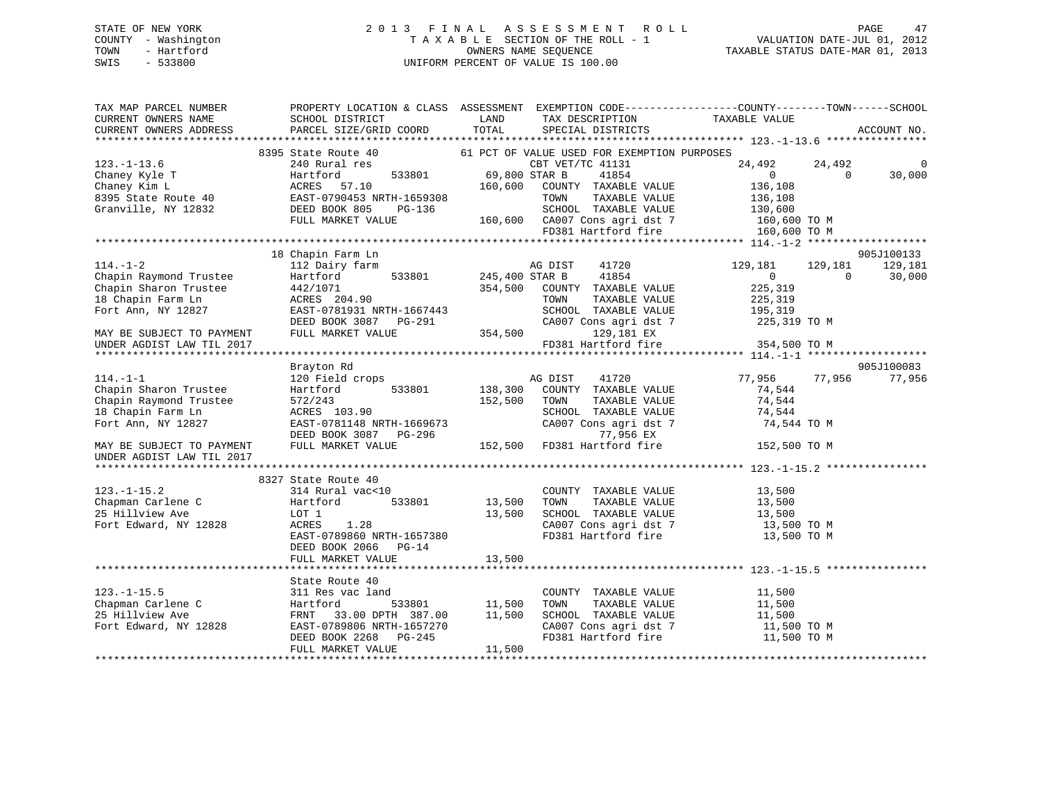## STATE OF NEW YORK 2 0 1 3 F I N A L A S S E S S M E N T R O L L PAGE 47 COUNTY - Washington T A X A B L E SECTION OF THE ROLL - 1 VALUATION DATE-JUL 01, 2012 TOWN - Hartford **TAXABLE STATUS DATE-MAR 01, 2013** SWIS - 533800 UNIFORM PERCENT OF VALUE IS 100.00

| TAX MAP PARCEL NUMBER     | PROPERTY LOCATION & CLASS ASSESSMENT EXEMPTION CODE----------------COUNTY-------TOWN------SCHOOL |                |                                             |                |          |             |
|---------------------------|--------------------------------------------------------------------------------------------------|----------------|---------------------------------------------|----------------|----------|-------------|
| CURRENT OWNERS NAME       | SCHOOL DISTRICT                                                                                  | LAND           | TAX DESCRIPTION                             | TAXABLE VALUE  |          |             |
| CURRENT OWNERS ADDRESS    | PARCEL SIZE/GRID COORD                                                                           | TOTAL          | SPECIAL DISTRICTS                           |                |          | ACCOUNT NO. |
|                           |                                                                                                  |                |                                             |                |          |             |
|                           | 8395 State Route 40                                                                              |                | 61 PCT OF VALUE USED FOR EXEMPTION PURPOSES |                |          |             |
| $123. - 1 - 13.6$         | 240 Rural res                                                                                    |                | CBT VET/TC 41131                            | 24,492         | 24,492   |             |
| Chaney Kyle T             | Hartford<br>533801                                                                               | 69,800 STAR B  | 41854                                       | $\overline{0}$ | $\Omega$ | 30,000      |
| Chaney Kim L              | ACRES<br>57.10                                                                                   | 160,600        | COUNTY TAXABLE VALUE                        | 136,108        |          |             |
| 8395 State Route 40       | EAST-0790453 NRTH-1659308                                                                        |                | TAXABLE VALUE<br>TOWN                       | 136,108        |          |             |
| Granville, NY 12832       | DEED BOOK 805<br>PG-136                                                                          |                | SCHOOL TAXABLE VALUE                        | 130,600        |          |             |
|                           | FULL MARKET VALUE                                                                                |                | 160,600 CA007 Cons agri dst 7               | 160,600 TO M   |          |             |
|                           |                                                                                                  |                | FD381 Hartford fire                         | 160,600 TO M   |          |             |
|                           |                                                                                                  |                |                                             |                |          | 905J100133  |
| $114. - 1 - 2$            | 18 Chapin Farm Ln<br>112 Dairy farm                                                              |                | AG DIST<br>41720                            | 129,181        | 129,181  | 129,181     |
| Chapin Raymond Trustee    | Hartford<br>533801                                                                               | 245,400 STAR B | 41854                                       | $\overline{0}$ | $\Omega$ | 30,000      |
| Chapin Sharon Trustee     | 442/1071                                                                                         | 354,500        | COUNTY TAXABLE VALUE                        | 225,319        |          |             |
| 18 Chapin Farm Ln         | ACRES 204.90                                                                                     |                | TOWN<br>TAXABLE VALUE                       | 225,319        |          |             |
| Fort Ann, NY 12827        | EAST-0781931 NRTH-1667443                                                                        |                | SCHOOL TAXABLE VALUE                        | 195,319        |          |             |
|                           | DEED BOOK 3087 PG-291                                                                            |                | CA007 Cons agri dst 7                       | 225,319 TO M   |          |             |
| MAY BE SUBJECT TO PAYMENT | FULL MARKET VALUE                                                                                | 354,500        | 129,181 EX                                  |                |          |             |
| UNDER AGDIST LAW TIL 2017 |                                                                                                  |                | FD381 Hartford fire                         | 354,500 TO M   |          |             |
|                           |                                                                                                  |                |                                             |                |          |             |
|                           | Brayton Rd                                                                                       |                |                                             |                |          | 905J100083  |
| $114. - 1 - 1$            | 120 Field crops                                                                                  |                | AG DIST<br>41720                            | 77,956         | 77,956   | 77,956      |
| Chapin Sharon Trustee     | 533801<br>Hartford                                                                               | 138,300        | COUNTY TAXABLE VALUE                        | 74,544         |          |             |
| Chapin Raymond Trustee    | 572/243                                                                                          | 152,500        | TOWN<br>TAXABLE VALUE                       | 74,544         |          |             |
| 18 Chapin Farm Ln         | ACRES 103.90                                                                                     |                | SCHOOL TAXABLE VALUE                        | 74,544         |          |             |
| Fort Ann, NY 12827        | EAST-0781148 NRTH-1669673                                                                        |                | CA007 Cons agri dst 7                       | 74,544 TO M    |          |             |
|                           | DEED BOOK 3087<br>PG-296                                                                         |                | 77,956 EX                                   |                |          |             |
| MAY BE SUBJECT TO PAYMENT | FULL MARKET VALUE                                                                                | 152,500        | FD381 Hartford fire                         | 152,500 TO M   |          |             |
| UNDER AGDIST LAW TIL 2017 |                                                                                                  |                |                                             |                |          |             |
|                           |                                                                                                  |                |                                             |                |          |             |
|                           | 8327 State Route 40                                                                              |                |                                             |                |          |             |
| $123. - 1 - 15.2$         | 314 Rural vac<10                                                                                 |                | COUNTY TAXABLE VALUE                        | 13,500         |          |             |
| Chapman Carlene C         | 533801<br>Hartford                                                                               | 13,500         | TOWN<br>TAXABLE VALUE                       | 13,500         |          |             |
| 25 Hillview Ave           | LOT 1                                                                                            | 13,500         | SCHOOL TAXABLE VALUE                        | 13,500         |          |             |
| Fort Edward, NY 12828     | 1.28<br>ACRES                                                                                    |                | CA007 Cons agri dst 7                       | 13,500 TO M    |          |             |
|                           | EAST-0789860 NRTH-1657380                                                                        |                | FD381 Hartford fire                         | 13,500 TO M    |          |             |
|                           | DEED BOOK 2066 PG-14                                                                             |                |                                             |                |          |             |
|                           | FULL MARKET VALUE                                                                                | 13,500         |                                             |                |          |             |
|                           |                                                                                                  |                |                                             |                |          |             |
|                           | State Route 40                                                                                   |                |                                             |                |          |             |
| $123. - 1 - 15.5$         | 311 Res vac land                                                                                 |                | COUNTY TAXABLE VALUE                        | 11,500         |          |             |
| Chapman Carlene C         | Hartford<br>533801                                                                               | 11,500         | TOWN<br>TAXABLE VALUE                       | 11,500         |          |             |
| 25 Hillview Ave           | 33.00 DPTH 387.00<br>FRNT                                                                        | 11,500         | SCHOOL TAXABLE VALUE                        | 11,500         |          |             |
| Fort Edward, NY 12828     | EAST-0789806 NRTH-1657270                                                                        |                | CA007 Cons agri dst 7                       | 11,500 TO M    |          |             |
|                           | DEED BOOK 2268<br>PG-245                                                                         |                | FD381 Hartford fire                         | 11,500 TO M    |          |             |
|                           | FULL MARKET VALUE                                                                                | 11,500         |                                             |                |          |             |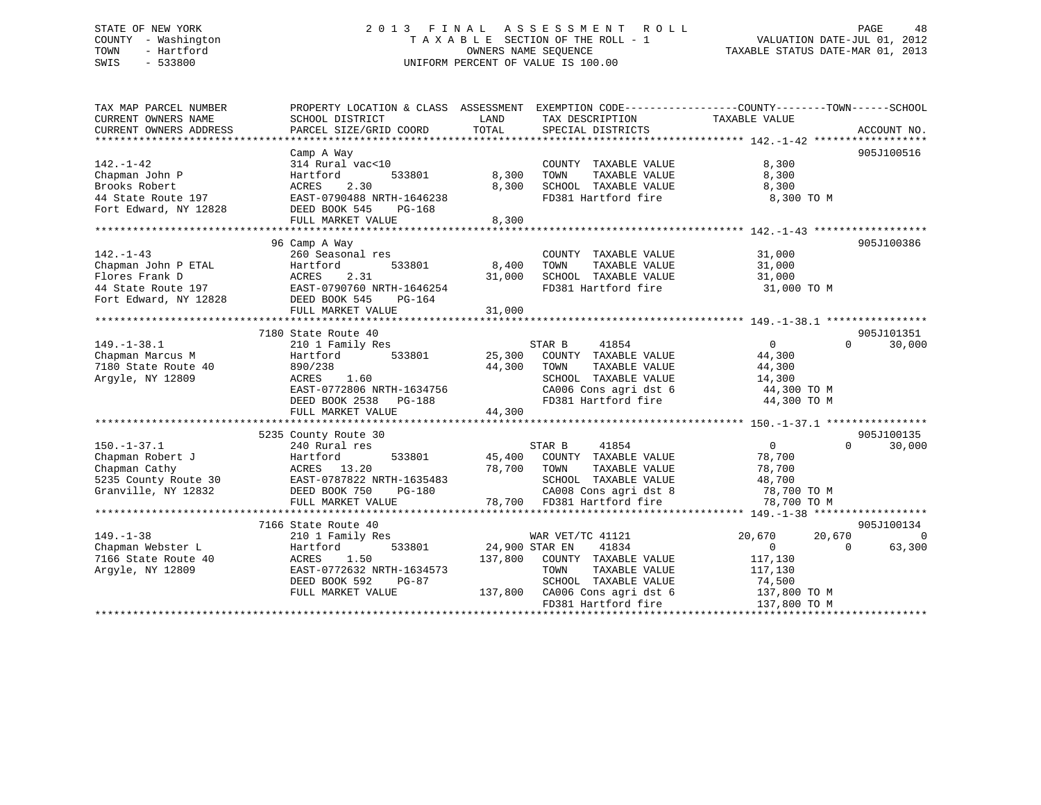## STATE OF NEW YORK 2 0 1 3 F I N A L A S S E S S M E N T R O L L PAGE 48 COUNTY - Washington T A X A B L E SECTION OF THE ROLL - 1 VALUATION DATE-JUL 01, 2012 TOWN - Hartford **TAXABLE STATUS DATE-MAR 01, 2013** OWNERS NAME SEQUENCE TAXABLE STATUS DATE-MAR 01, 2013 SWIS - 533800 UNIFORM PERCENT OF VALUE IS 100.00

| TAX MAP PARCEL NUMBER                       |                           |                                              | PROPERTY LOCATION & CLASS ASSESSMENT EXEMPTION CODE----------------COUNTY-------TOWN------SCHOOL |
|---------------------------------------------|---------------------------|----------------------------------------------|--------------------------------------------------------------------------------------------------|
| CURRENT OWNERS NAME                         | SCHOOL DISTRICT           | LAND<br>TAX DESCRIPTION                      | TAXABLE VALUE                                                                                    |
| CURRENT OWNERS ADDRESS                      | PARCEL SIZE/GRID COORD    | TOTAL<br>SPECIAL DISTRICTS                   | ACCOUNT NO.                                                                                      |
|                                             |                           |                                              |                                                                                                  |
|                                             | Camp A Way                |                                              | 905J100516                                                                                       |
| $142. - 1 - 42$                             | 314 Rural vac<10          | COUNTY TAXABLE VALUE                         | 8,300                                                                                            |
| Chapman John P                              | Hartford<br>533801        | 8,300<br>TOWN<br>TAXABLE VALUE               | 8,300                                                                                            |
| Brooks Robert                               | ACRES<br>2.30             | 8,300<br>SCHOOL TAXABLE VALUE                | 8,300                                                                                            |
| 44 State Route 197                          | EAST-0790488 NRTH-1646238 | FD381 Hartford fire                          | 8,300 TO M                                                                                       |
| ++ state Route 197<br>Fort Edward, NY 12828 | DEED BOOK 545<br>PG-168   |                                              |                                                                                                  |
|                                             | FULL MARKET VALUE         | 8,300                                        |                                                                                                  |
|                                             |                           |                                              |                                                                                                  |
|                                             | 96 Camp A Way             |                                              | 905J100386                                                                                       |
| $142. - 1 - 43$                             | 260 Seasonal res          | COUNTY TAXABLE VALUE                         | 31,000                                                                                           |
| Chapman John P ETAL                         | Hartford<br>533801        | 8,400 TOWN<br>TAXABLE VALUE                  | 31,000                                                                                           |
| Flores Frank D                              | 2.31<br>ACRES             | 31,000 SCHOOL TAXABLE VALUE                  | 31,000                                                                                           |
| 44 State Route $197$                        | EAST-0790760 NRTH-1646254 | FD381 Hartford fire                          | 31,000 TO M                                                                                      |
| Fort Edward, NY 12828                       | DEED BOOK 545<br>PG-164   |                                              |                                                                                                  |
|                                             | FULL MARKET VALUE         | 31,000                                       |                                                                                                  |
|                                             |                           |                                              |                                                                                                  |
|                                             | 7180 State Route 40       |                                              | 905J101351                                                                                       |
| $149. - 1 - 38.1$                           | 210 1 Family Res          | STAR B<br>41854                              | $\sim$ 0<br>$\Omega$<br>30,000                                                                   |
| Chapman Marcus M                            | 533801<br>Hartford        | 25,300 COUNTY TAXABLE VALUE                  | 44,300                                                                                           |
| 7180 State Route 40                         | 890/238                   | 44,300<br>TAXABLE VALUE<br>TOWN              | 44,300                                                                                           |
| Argyle, NY 12809                            | ACRES 1.60                | SCHOOL TAXABLE VALUE                         | 14,300                                                                                           |
|                                             | EAST-0772806 NRTH-1634756 |                                              | 44,300 TO M                                                                                      |
|                                             | DEED BOOK 2538 PG-188     | CA006 Cons agri dst 6<br>FD381 Hartford fire | 44,300 TO M                                                                                      |
|                                             | FULL MARKET VALUE         | 44,300                                       |                                                                                                  |
|                                             |                           |                                              |                                                                                                  |
|                                             | 5235 County Route 30      |                                              | 905J100135                                                                                       |
| $150. - 1 - 37.1$                           | 240 Rural res             | STAR B                                       | $0 \qquad \qquad$<br>$\Omega$                                                                    |
|                                             |                           | 41854                                        | 30,000                                                                                           |
| Chapman Robert J                            | Hartford<br>533801        | 45,400 COUNTY TAXABLE VALUE                  | 78,700                                                                                           |
| Chapman Cathy                               | ACRES 13.20               | 78,700 TOWN<br>TAXABLE VALUE                 | 78,700                                                                                           |
| 5235 County Route 30                        | EAST-0787822 NRTH-1635483 | SCHOOL TAXABLE VALUE                         | 48,700                                                                                           |
| Granville, NY 12832                         | DEED BOOK 750<br>PG-180   | CA008 Cons agri dst 8                        | 78,700 TO M                                                                                      |
|                                             | FULL MARKET VALUE         | 78,700 FD381 Hartford fire                   | 78,700 TO M                                                                                      |
|                                             |                           |                                              |                                                                                                  |
|                                             | 7166 State Route 40       |                                              | 905J100134                                                                                       |
| $149. - 1 - 38$                             | 210 1 Family Res          | WAR VET/TC 41121                             | 20,670<br>20,670<br>$\Omega$                                                                     |
| Chapman Webster L                           | Hartford<br>533801        | 24,900 STAR EN<br>41834                      | $\overline{0}$<br>63,300<br>$\Omega$                                                             |
| 7166 State Route 40                         | 1.50<br>ACRES             | 137,800 COUNTY TAXABLE VALUE                 | 117,130                                                                                          |
| Argyle, NY 12809                            | EAST-0772632 NRTH-1634573 | TOWN<br>TAXABLE VALUE                        | 117,130                                                                                          |
|                                             | DEED BOOK 592<br>PG-87    | SCHOOL TAXABLE VALUE                         | 74,500                                                                                           |
|                                             | FULL MARKET VALUE         | 137,800 CA006 Cons agri dst 6                | 137,800 TO M                                                                                     |
|                                             |                           | FD381 Hartford fire                          | 137,800 TO M                                                                                     |
|                                             |                           |                                              |                                                                                                  |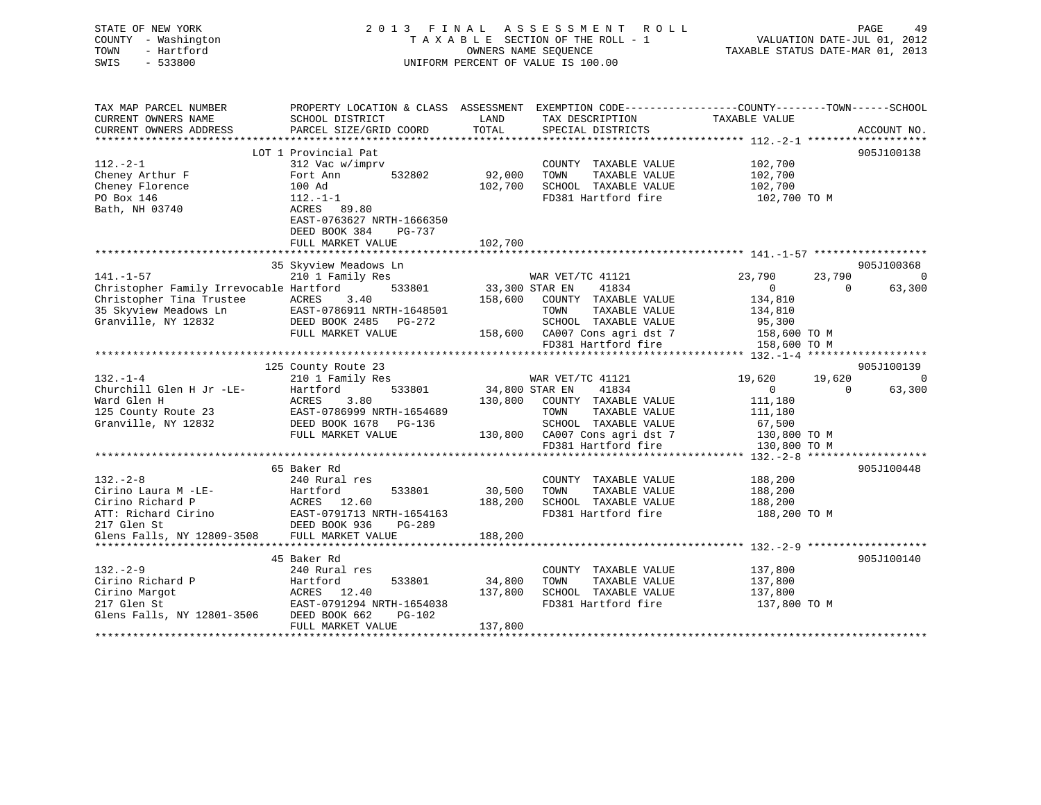| STATE OF NEW YORK<br>COUNTY - Washington<br>- Hartford<br>TOWN<br>SWIS<br>$-533800$ | 2013 FINAL ASSESSMENT ROLL<br>TAXABLE SECTION OF THE ROLL - 1<br>OWNERS NAME SEOUENCE<br>UNIFORM PERCENT OF VALUE IS 100.00 |                                                                                                   | -49<br><b>PAGE</b><br>VALUATION DATE-JUL 01, 2012<br>TAXABLE STATUS DATE-MAR 01, 2013 |
|-------------------------------------------------------------------------------------|-----------------------------------------------------------------------------------------------------------------------------|---------------------------------------------------------------------------------------------------|---------------------------------------------------------------------------------------|
| TAX MAP PARCEL NUMBER<br>CURRENT OWNERS NAME                                        | PROPERTY LOCATION & CLASS ASSESSMENT<br>SCHOOL DISTRICT<br>LAND                                                             | EXEMPTION CODE------------------COUNTY-------TOWN------SCHOOL<br>TAX DESCRIPTION<br>TAXABLE VALUE |                                                                                       |

| CURRENT OWNERS ADDRESS                  | PARCEL SIZE/GRID COORD               | SPECIAL DISTRICTS<br>TOTAL       | ACCOUNT NO.                        |
|-----------------------------------------|--------------------------------------|----------------------------------|------------------------------------|
| ***********************                 | ************************************ |                                  |                                    |
|                                         | LOT 1 Provincial Pat                 |                                  | 905J100138                         |
| $112.-2-1$                              | 312 Vac w/imprv                      | COUNTY TAXABLE VALUE             | 102,700                            |
| Cheney Arthur F                         | Fort Ann<br>532802                   | 92,000<br>TOWN<br>TAXABLE VALUE  | 102,700                            |
| Cheney Florence                         | 100 Ad                               | SCHOOL TAXABLE VALUE<br>102,700  | 102,700                            |
| PO Box 146                              | $112.-1-1$                           | FD381 Hartford fire              | 102,700 TO M                       |
| Bath, NH 03740                          | ACRES 89.80                          |                                  |                                    |
|                                         | EAST-0763627 NRTH-1666350            |                                  |                                    |
|                                         | DEED BOOK 384<br>PG-737              |                                  |                                    |
|                                         | FULL MARKET VALUE                    | 102,700                          |                                    |
|                                         |                                      |                                  |                                    |
|                                         | 35 Skyview Meadows Ln                |                                  | 905J100368                         |
| $141. - 1 - 57$                         | 210 1 Family Res                     | WAR VET/TC 41121                 | 23,790<br>23,790<br>$\Omega$       |
| Christopher Family Irrevocable Hartford | 533801                               | 41834<br>33,300 STAR EN          | $\Omega$<br>$\mathbf 0$<br>63,300  |
| Christopher Tina Trustee                | ACRES<br>3.40                        | 158,600<br>COUNTY TAXABLE VALUE  | 134,810                            |
| 35 Skyview Meadows Ln                   | EAST-0786911 NRTH-1648501            | TAXABLE VALUE<br>TOWN            | 134,810                            |
| Granville, NY 12832                     | DEED BOOK 2485 PG-272                | SCHOOL TAXABLE VALUE             | 95,300                             |
|                                         | FULL MARKET VALUE                    | CA007 Cons agri dst 7<br>158,600 | 158,600 TO M                       |
|                                         |                                      | FD381 Hartford fire              | 158,600 TO M                       |
|                                         |                                      |                                  |                                    |
|                                         | 125 County Route 23                  |                                  | 905J100139                         |
| $132. - 1 - 4$                          | 210 1 Family Res                     | WAR VET/TC 41121                 | 19,620<br>19,620<br>$\Omega$       |
| Churchill Glen H Jr -LE-                | Hartford<br>533801                   | 41834<br>34,800 STAR EN          | $\mathbf{0}$<br>63,300<br>$\Omega$ |
| Ward Glen H                             | 3.80<br>ACRES                        | 130,800<br>COUNTY TAXABLE VALUE  | 111,180                            |
| 125 County Route 23                     | EAST-0786999 NRTH-1654689            | TAXABLE VALUE<br>TOWN            | 111,180                            |
| Granville, NY 12832                     | DEED BOOK 1678<br>PG-136             | SCHOOL TAXABLE VALUE             | 67,500                             |
|                                         | FULL MARKET VALUE                    | CA007 Cons agri dst 7<br>130,800 | 130,800 TO M                       |
|                                         |                                      | FD381 Hartford fire              | 130,800 TO M                       |
|                                         |                                      |                                  |                                    |
|                                         | 65 Baker Rd                          |                                  | 905J100448                         |
| $132 - 2 - 8$                           | 240 Rural res                        | COUNTY TAXABLE VALUE             | 188,200                            |
| Cirino Laura M -LE-                     | Hartford<br>533801                   | 30,500<br>TAXABLE VALUE<br>TOWN  | 188,200                            |
| Cirino Richard P                        | ACRES 12.60                          | 188,200<br>SCHOOL TAXABLE VALUE  | 188,200                            |
| ATT: Richard Cirino                     | EAST-0791713 NRTH-1654163            | FD381 Hartford fire              | 188,200 TO M                       |
| 217 Glen St                             | DEED BOOK 936<br>PG-289              |                                  |                                    |
| Glens Falls, NY 12809-3508              | FULL MARKET VALUE                    | 188,200                          |                                    |
| **********************                  | ***************************          | * * * * * * * * * * * * *        |                                    |
|                                         | 45 Baker Rd                          |                                  | 905J100140                         |
| $132 - 2 - 9$                           | 240 Rural res                        | COUNTY TAXABLE VALUE             | 137,800                            |
| Cirino Richard P                        | Hartford<br>533801                   | 34,800<br>TAXABLE VALUE<br>TOWN  | 137,800                            |
| Cirino Margot                           | ACRES 12.40                          | 137,800<br>SCHOOL TAXABLE VALUE  | 137,800                            |
| 217 Glen St                             | EAST-0791294 NRTH-1654038            | FD381 Hartford fire              | 137,800 TO M                       |
| Glens Falls, NY 12801-3506              | DEED BOOK 662<br>$PG-102$            |                                  |                                    |
|                                         | FULL MARKET VALUE                    | 137,800                          |                                    |
|                                         | *********************                |                                  |                                    |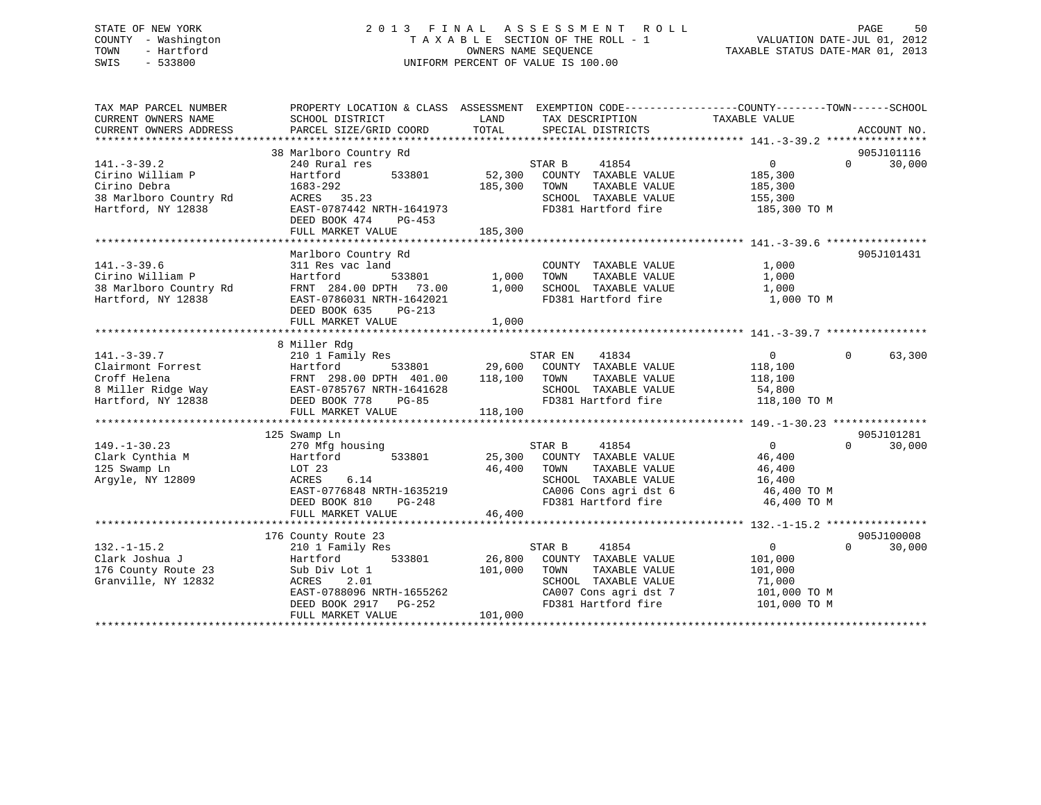## STATE OF NEW YORK 2 0 1 3 F I N A L A S S E S S M E N T R O L L PAGE 50 COUNTY - Washington T A X A B L E SECTION OF THE ROLL - 1 VALUATION DATE-JUL 01, 2012 TOWN - Hartford **TAXABLE STATUS DATE-MAR 01, 2013** OWNERS NAME SEQUENCE TAXABLE STATUS DATE-MAR 01, 2013 SWIS - 533800 UNIFORM PERCENT OF VALUE IS 100.00

| TAX MAP PARCEL NUMBER<br>CURRENT OWNERS NAME<br>CURRENT OWNERS ADDRESS                                | PROPERTY LOCATION & CLASS ASSESSMENT EXEMPTION CODE---------------COUNTY-------TOWN-----SCHOOL<br>SCHOOL DISTRICT<br>PARCEL SIZE/GRID COORD                                | LAND<br>TOTAL                | TAX DESCRIPTION<br>SPECIAL DISTRICTS                                                                                                     | TAXABLE VALUE                                                              | ACCOUNT NO.                      |
|-------------------------------------------------------------------------------------------------------|----------------------------------------------------------------------------------------------------------------------------------------------------------------------------|------------------------------|------------------------------------------------------------------------------------------------------------------------------------------|----------------------------------------------------------------------------|----------------------------------|
| $141. - 3 - 39.2$<br>Cirino William P<br>Cirino Debra<br>38 Marlboro Country Rd<br>Hartford, NY 12838 | 38 Marlboro Country Rd<br>240 Rural res<br>Hartford<br>533801<br>1683-292<br>ACRES 35.23<br>EAST-0787442 NRTH-1641973<br>DEED BOOK 474<br>PG-453                           | 52,300<br>185,300            | STAR B<br>41854<br>COUNTY TAXABLE VALUE<br>TAXABLE VALUE<br>TOWN<br>SCHOOL TAXABLE VALUE<br>FD381 Hartford fire                          | $\mathbf{0}$<br>185,300<br>185,300<br>155,300<br>185,300 TO M              | 905J101116<br>30,000<br>$\Omega$ |
|                                                                                                       | FULL MARKET VALUE                                                                                                                                                          | 185,300                      |                                                                                                                                          |                                                                            |                                  |
| $141. - 3 - 39.6$<br>Cirino William P<br>38 Marlboro Country Rd<br>Hartford, NY 12838                 | Marlboro Country Rd<br>311 Res vac land<br>533801<br>Hartford<br>FRNT 284.00 DPTH 73.00<br>EAST-0786031 NRTH-1642021<br>DEED BOOK 635<br>PG-213<br>FULL MARKET VALUE       | 1,000<br>1,000<br>1,000      | COUNTY TAXABLE VALUE<br>TAXABLE VALUE<br>TOWN<br>SCHOOL TAXABLE VALUE<br>FD381 Hartford fire                                             | 1,000<br>1,000<br>1,000<br>1,000 TO M                                      | 905J101431                       |
|                                                                                                       | 8 Miller Rdg                                                                                                                                                               |                              |                                                                                                                                          |                                                                            |                                  |
| $141. - 3 - 39.7$<br>Clairmont Forrest<br>Croff Helena<br>8 Miller Ridge Way<br>Hartford, NY 12838    | 210 1 Family Res<br>Hartford<br>533801<br>FRNT 298.00 DPTH 401.00<br>EAST-0785767 NRTH-1641628<br>DEED BOOK 778<br>$PG-85$<br>FULL MARKET VALUE                            | 29,600<br>118,100<br>118,100 | STAR EN<br>41834<br>COUNTY TAXABLE VALUE<br>TOWN<br>TAXABLE VALUE<br>SCHOOL TAXABLE VALUE<br>FD381 Hartford fire                         | $\overline{0}$<br>118,100<br>118,100<br>54,800<br>118,100 TO M             | $\Omega$<br>63,300               |
|                                                                                                       | 125 Swamp Ln                                                                                                                                                               |                              |                                                                                                                                          |                                                                            | 905J101281                       |
| $149. - 1 - 30.23$<br>Clark Cynthia M<br>125 Swamp Ln<br>Arqyle, NY 12809                             | 270 Mfg housing<br>533801<br>Hartford<br>LOT 23<br>6.14<br>ACRES<br>EAST-0776848 NRTH-1635219<br>$PG-248$<br>DEED BOOK 810<br>FULL MARKET VALUE                            | 25,300<br>46,400<br>46,400   | STAR B<br>41854<br>COUNTY TAXABLE VALUE<br>TOWN<br>TAXABLE VALUE<br>SCHOOL TAXABLE VALUE<br>CA006 Cons agri dst 6<br>FD381 Hartford fire | $\overline{0}$<br>46,400<br>46,400<br>16,400<br>46,400 TO M<br>46,400 TO M | 30,000<br>$\Omega$               |
|                                                                                                       |                                                                                                                                                                            |                              |                                                                                                                                          |                                                                            | 905J100008                       |
| $132. - 1 - 15.2$<br>Clark Joshua J<br>176 County Route 23<br>Granville, NY 12832                     | 176 County Route 23<br>210 1 Family Res<br>533801<br>Hartford<br>Sub Div Lot 1<br>2.01<br>ACRES<br>EAST-0788096 NRTH-1655262<br>DEED BOOK 2917 PG-252<br>FULL MARKET VALUE | 26,800<br>101,000<br>101,000 | 41854<br>STAR B<br>COUNTY TAXABLE VALUE<br>TAXABLE VALUE<br>TOWN<br>SCHOOL TAXABLE VALUE<br>CA007 Cons agri dst 7<br>FD381 Hartford fire | $\Omega$<br>101,000<br>101,000<br>71,000<br>101,000 TO M<br>101,000 TO M   | 30,000<br>$\Omega$               |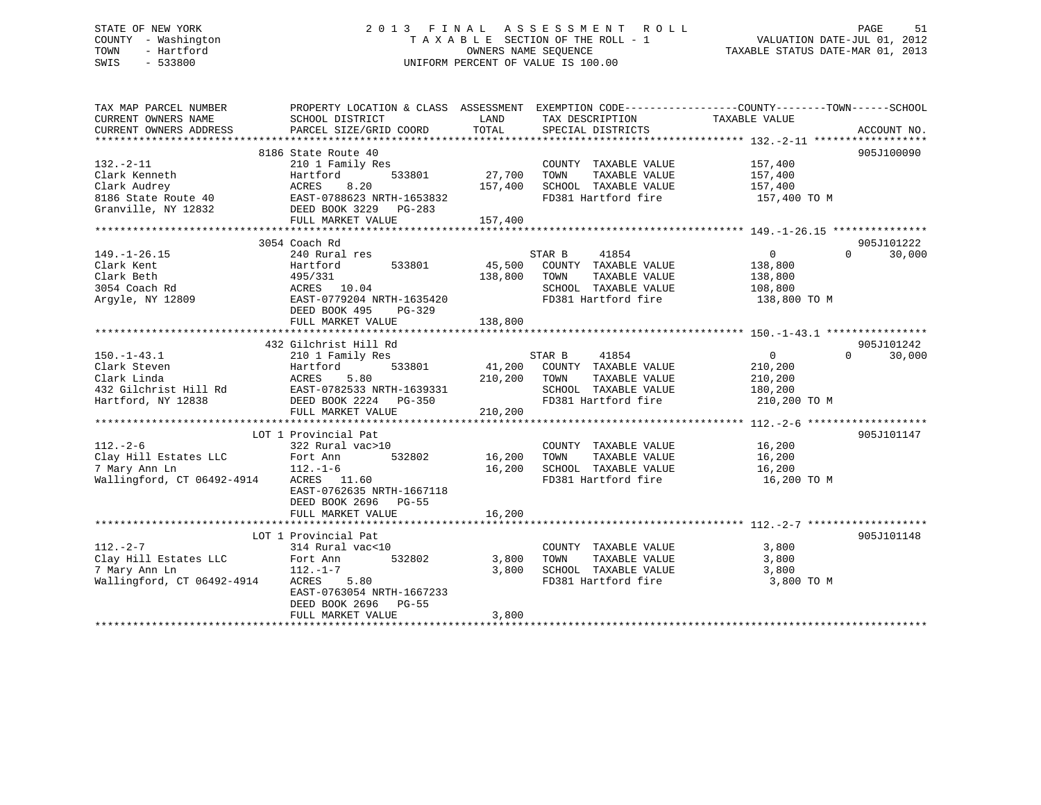## STATE OF NEW YORK 2 0 1 3 F I N A L A S S E S S M E N T R O L L PAGE 51 COUNTY - Washington T A X A B L E SECTION OF THE ROLL - 1 VALUATION DATE-JUL 01, 2012 TOWN - Hartford **TAXABLE STATUS DATE-MAR 01, 2013** SWIS - 533800 UNIFORM PERCENT OF VALUE IS 100.00

| TAX MAP PARCEL NUMBER<br>CURRENT OWNERS NAME<br>CURRENT OWNERS ADDRESS | PROPERTY LOCATION & CLASS ASSESSMENT EXEMPTION CODE----------------COUNTY-------TOWN------SCHOOL<br>SCHOOL DISTRICT<br>PARCEL SIZE/GRID COORD | LAND<br>TOTAL | TAX DESCRIPTION<br>SPECIAL DISTRICTS | TAXABLE VALUE              | ACCOUNT NO. |
|------------------------------------------------------------------------|-----------------------------------------------------------------------------------------------------------------------------------------------|---------------|--------------------------------------|----------------------------|-------------|
|                                                                        |                                                                                                                                               |               |                                      |                            |             |
|                                                                        | 8186 State Route 40                                                                                                                           |               |                                      |                            | 905J100090  |
| $132 - 2 - 11$                                                         | 210 1 Family Res                                                                                                                              |               | COUNTY TAXABLE VALUE                 | 157,400                    |             |
| Clark Kenneth                                                          | Hartford<br>533801                                                                                                                            | 27,700        | TOWN<br>TAXABLE VALUE                | 157,400                    |             |
| Clark Audrey                                                           | 8.20<br>ACRES                                                                                                                                 | 157,400       | SCHOOL TAXABLE VALUE                 | 157,400                    |             |
| 8186 State Route 40                                                    | EAST-0788623 NRTH-1653832                                                                                                                     |               | FD381 Hartford fire                  | 157,400 TO M               |             |
| Granville, NY 12832                                                    | DEED BOOK 3229 PG-283                                                                                                                         |               |                                      |                            |             |
|                                                                        | FULL MARKET VALUE                                                                                                                             | 157,400       |                                      |                            |             |
|                                                                        |                                                                                                                                               |               |                                      |                            |             |
|                                                                        | 3054 Coach Rd                                                                                                                                 |               |                                      |                            | 905J101222  |
| $149. - 1 - 26.15$                                                     | 240 Rural res                                                                                                                                 |               | STAR B<br>41854                      | $\Omega$<br>$\Omega$       | 30,000      |
| Clark Kent                                                             | 533801<br>Hartford                                                                                                                            | 45,500        | COUNTY TAXABLE VALUE                 | 138,800                    |             |
| Clark Beth                                                             | 495/331                                                                                                                                       | 138,800       | TOWN<br>TAXABLE VALUE                | 138,800                    |             |
| 3054 Coach Rd                                                          | ACRES 10.04                                                                                                                                   |               | SCHOOL TAXABLE VALUE                 | 108,800                    |             |
| Argyle, NY 12809                                                       | EAST-0779204 NRTH-1635420                                                                                                                     |               | FD381 Hartford fire                  | 138,800 TO M               |             |
|                                                                        | DEED BOOK 495<br>PG-329                                                                                                                       |               |                                      |                            |             |
|                                                                        |                                                                                                                                               |               |                                      |                            |             |
|                                                                        | FULL MARKET VALUE                                                                                                                             | 138,800       |                                      |                            |             |
|                                                                        |                                                                                                                                               |               |                                      |                            |             |
|                                                                        | 432 Gilchrist Hill Rd                                                                                                                         |               |                                      |                            | 905J101242  |
| $150.-1-43.1$                                                          | 210 1 Family Res                                                                                                                              |               | STAR B<br>41854                      | $\overline{0}$<br>$\Omega$ | 30,000      |
| Clark Steven                                                           | 533801<br>Hartford                                                                                                                            |               | 41,200 COUNTY TAXABLE VALUE          | 210,200                    |             |
| Clark Linda                                                            | ACRES<br>5.80                                                                                                                                 | 210,200       | TOWN<br>TAXABLE VALUE                | 210,200                    |             |
| 432 Gilchrist Hill Rd                                                  | EAST-0782533 NRTH-1639331                                                                                                                     |               | SCHOOL TAXABLE VALUE                 | 180,200                    |             |
| Hartford, NY 12838                                                     | DEED BOOK 2224 PG-350                                                                                                                         |               | FD381 Hartford fire                  | 210,200 TO M               |             |
|                                                                        | FULL MARKET VALUE                                                                                                                             | 210,200       |                                      |                            |             |
|                                                                        |                                                                                                                                               |               |                                      |                            |             |
|                                                                        | LOT 1 Provincial Pat                                                                                                                          |               |                                      |                            | 905J101147  |
| $112. - 2 - 6$                                                         | 322 Rural vac>10                                                                                                                              |               | COUNTY TAXABLE VALUE                 | 16,200                     |             |
| Clay Hill Estates LLC                                                  | Fort Ann<br>532802                                                                                                                            | 16,200        | TOWN<br>TAXABLE VALUE                | 16,200                     |             |
| 7 Mary Ann Ln                                                          | $112. - 1 - 6$                                                                                                                                |               | 16,200 SCHOOL TAXABLE VALUE          | 16,200                     |             |
| Wallingford, CT 06492-4914                                             | ACRES 11.60                                                                                                                                   |               | FD381 Hartford fire                  | 16,200 TO M                |             |
|                                                                        | EAST-0762635 NRTH-1667118                                                                                                                     |               |                                      |                            |             |
|                                                                        | DEED BOOK 2696 PG-55                                                                                                                          |               |                                      |                            |             |
|                                                                        | FULL MARKET VALUE                                                                                                                             | 16,200        |                                      |                            |             |
|                                                                        |                                                                                                                                               |               |                                      |                            |             |
|                                                                        | LOT 1 Provincial Pat                                                                                                                          |               |                                      |                            | 905J101148  |
| $112. - 2 - 7$                                                         | 314 Rural vac<10                                                                                                                              |               | COUNTY TAXABLE VALUE                 | 3,800                      |             |
| Clay Hill Estates LLC                                                  | Fort Ann<br>532802                                                                                                                            | 3,800         | TAXABLE VALUE<br>TOWN                | 3,800                      |             |
| 7 Mary Ann Ln                                                          | $112. - 1 - 7$                                                                                                                                | 3,800         | SCHOOL TAXABLE VALUE                 | 3,800                      |             |
| Wallingford, CT 06492-4914                                             | ACRES 5.80                                                                                                                                    |               | FD381 Hartford fire                  | 3,800 TO M                 |             |
|                                                                        | EAST-0763054 NRTH-1667233                                                                                                                     |               |                                      |                            |             |
|                                                                        | DEED BOOK 2696<br>$PG-55$                                                                                                                     |               |                                      |                            |             |
|                                                                        | FULL MARKET VALUE                                                                                                                             | 3,800         |                                      |                            |             |
|                                                                        |                                                                                                                                               |               |                                      |                            |             |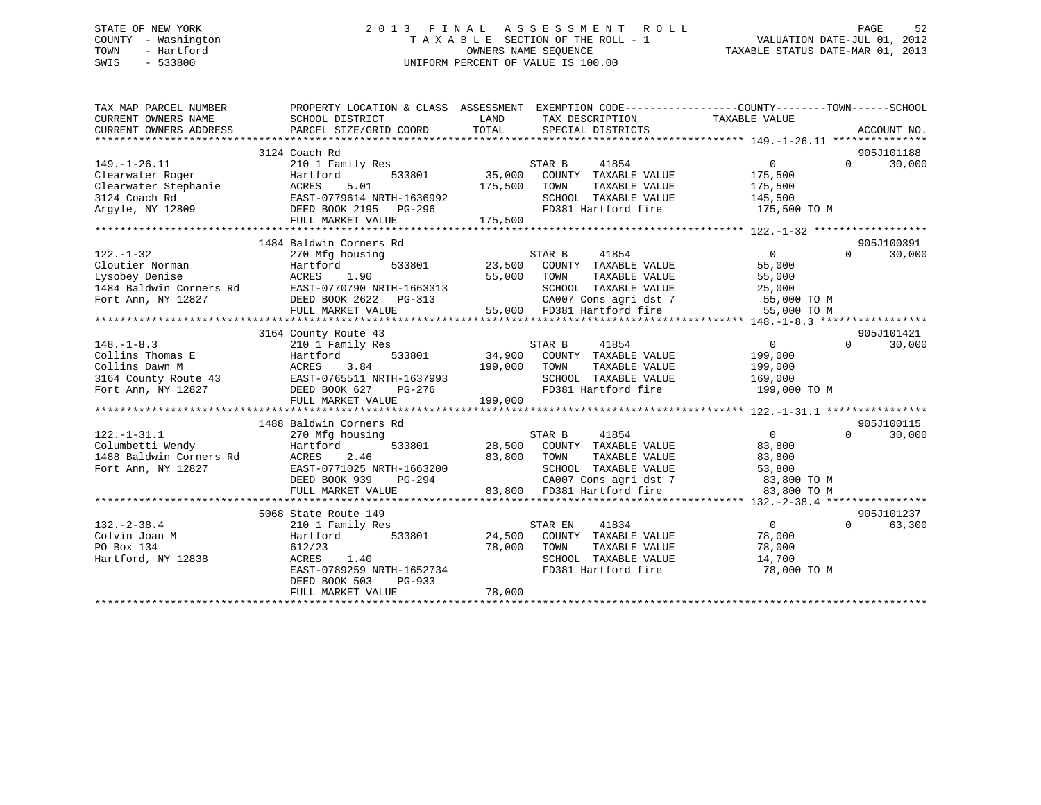### STATE OF NEW YORK GOOD CONTROLL STATE OF NEW YORK A LOCAL CONTROLL SERVICE SOMETHING A LOCAL SERVICE SOMETHING A LOCAL CONTROLL CONTROLLER SOMETHING A LOCAL CONTROLLER SOMETHING A LOCAL CONTROLLER SOMETHING A LOCAL CONTROL COUNTY - Washington  $\begin{array}{ccc}\n\text{T A X A B L E} & \text{SECTION OF THE ROLL - 1} \\
\text{T} & \text{MWR R SEOUENCE}\n\end{array}$ OWNERS NAME SEQUENCE TAXABLE STATUS DATE-MAR 01, 2013 SWIS - 533800 UNIFORM PERCENT OF VALUE IS 100.00

| TAX MAP PARCEL NUMBER   |                                                                                                                                                                                                                                                                      | PROPERTY LOCATION & CLASS ASSESSMENT EXEMPTION CODE----------------COUNTY-------TOWN------SCHOOL           |                                               |
|-------------------------|----------------------------------------------------------------------------------------------------------------------------------------------------------------------------------------------------------------------------------------------------------------------|------------------------------------------------------------------------------------------------------------|-----------------------------------------------|
| CURRENT OWNERS NAME     | SCHOOL DISTRICT                                                                                                                                                                                                                                                      | LAND<br>TAX DESCRIPTION                                                                                    | TAXABLE VALUE                                 |
| CURRENT OWNERS ADDRESS  | PARCEL SIZE/GRID COORD                                                                                                                                                                                                                                               | TOTAL<br>SPECIAL DISTRICTS                                                                                 | ACCOUNT NO.                                   |
|                         | 49.-1-26.11<br>Clearwater Roger<br>Clearwater Stephanie<br>Clearwater Stephanie<br>Clearwater Stephanie<br>ACRES 5.01<br>210 1 Faunt.<br>533801<br>533801<br>533801<br>533801<br>533801<br>533801<br>533801<br>533801<br>533801<br>533801<br>533801<br>533801<br>55, |                                                                                                            |                                               |
|                         |                                                                                                                                                                                                                                                                      |                                                                                                            | 905J101188<br>$\overline{0}$                  |
|                         |                                                                                                                                                                                                                                                                      |                                                                                                            | $0 \t 30,000$<br>175,500                      |
|                         |                                                                                                                                                                                                                                                                      | TAXABLE VALUE<br>TOWN                                                                                      | 175,500                                       |
|                         |                                                                                                                                                                                                                                                                      |                                                                                                            |                                               |
|                         |                                                                                                                                                                                                                                                                      | SCHOOL TAXABLE VALUE 145,500<br>FD381 Hartford fire                                                        | 175,500 TO M                                  |
|                         |                                                                                                                                                                                                                                                                      |                                                                                                            |                                               |
|                         |                                                                                                                                                                                                                                                                      |                                                                                                            |                                               |
|                         | 1484 Baldwin Corners Rd                                                                                                                                                                                                                                              |                                                                                                            | 905J100391                                    |
| $122. - 1 - 32$         | 270 Mfg housing                                                                                                                                                                                                                                                      |                                                                                                            | $\overline{0}$<br>$\Omega$<br>30,000          |
|                         |                                                                                                                                                                                                                                                                      | $533801 \qquad \qquad 23,500 \qquad \qquad \text{COUNTY} \qquad \text{TAXABLE VALUE} \qquad \qquad 55,000$ |                                               |
|                         |                                                                                                                                                                                                                                                                      |                                                                                                            |                                               |
|                         |                                                                                                                                                                                                                                                                      |                                                                                                            |                                               |
|                         |                                                                                                                                                                                                                                                                      |                                                                                                            |                                               |
|                         |                                                                                                                                                                                                                                                                      |                                                                                                            |                                               |
|                         |                                                                                                                                                                                                                                                                      |                                                                                                            |                                               |
|                         | 3164 County Route 43                                                                                                                                                                                                                                                 |                                                                                                            | 905J101421                                    |
| $148. - 1 - 8.3$        | 210 1 Family Res                                                                                                                                                                                                                                                     | STAR B 41854                                                                                               | $\overline{0}$<br>$\Omega$<br>30,000          |
|                         |                                                                                                                                                                                                                                                                      | 533801 34,900 COUNTY TAXABLE VALUE 199,000                                                                 |                                               |
|                         |                                                                                                                                                                                                                                                                      | 199,000 TOWN<br>TAXABLE VALUE                                                                              | 199,000                                       |
|                         |                                                                                                                                                                                                                                                                      | SCHOOL TAXABLE VALUE                                                                                       | 169,000                                       |
|                         |                                                                                                                                                                                                                                                                      | FD381 Hartford fire 199,000 TO M                                                                           |                                               |
|                         | FULL MARKET VALUE                                                                                                                                                                                                                                                    | 199,000                                                                                                    |                                               |
|                         |                                                                                                                                                                                                                                                                      |                                                                                                            |                                               |
|                         | 1488 Baldwin Corners Rd                                                                                                                                                                                                                                              |                                                                                                            | 905J100115                                    |
| $122. - 1 - 31.1$       | 270 Mfg housing                                                                                                                                                                                                                                                      | STAR B<br>41854                                                                                            | $\overline{0}$<br>$0 \qquad \qquad$<br>30,000 |
| Columbetti Wendy        | Hartford                                                                                                                                                                                                                                                             | 533801 28,500 COUNTY TAXABLE VALUE                                                                         | 83,800                                        |
| 1488 Baldwin Corners Rd | ACRES<br>2.46                                                                                                                                                                                                                                                        | TAXABLE VALUE<br>83,800<br>TOWN                                                                            | 83,800                                        |
| Fort Ann, NY 12827      | EAST-0771025 NRTH-1663200                                                                                                                                                                                                                                            | SCHOOL TAXABLE VALUE 53,800                                                                                |                                               |
|                         | DEED BOOK 939 PG-294                                                                                                                                                                                                                                                 | CA007 Cons agri dst 7 83,800 TO M<br>83,800 FD381 Hartford fire 83,800 TO M                                |                                               |
|                         | FULL MARKET VALUE                                                                                                                                                                                                                                                    |                                                                                                            |                                               |
|                         |                                                                                                                                                                                                                                                                      |                                                                                                            | 905J101237                                    |
| $132. - 2 - 38.4$       | 5068 State Route 149<br>210 1 Family Res                                                                                                                                                                                                                             | 41834<br>STAR EN                                                                                           | $\overline{0}$<br>$\Omega$<br>63,300          |
| Colvin Joan M           | Hartford                                                                                                                                                                                                                                                             |                                                                                                            |                                               |
| PO Box 134              | 612/23                                                                                                                                                                                                                                                               | 533801 24,500 COUNTY TAXABLE VALUE 78,000<br>78,000 TOWN<br>TAXABLE VALUE                                  | 78,000                                        |
| Hartford, NY 12838      | ACRES<br>1.40                                                                                                                                                                                                                                                        | SCHOOL TAXABLE VALUE 14,700                                                                                |                                               |
|                         | EAST-0789259 NRTH-1652734                                                                                                                                                                                                                                            | FD381 Hartford fire 78,000 TO M                                                                            |                                               |
|                         | DEED BOOK 503<br>PG-933                                                                                                                                                                                                                                              |                                                                                                            |                                               |
|                         | FULL MARKET VALUE                                                                                                                                                                                                                                                    | 78,000                                                                                                     |                                               |
|                         |                                                                                                                                                                                                                                                                      |                                                                                                            |                                               |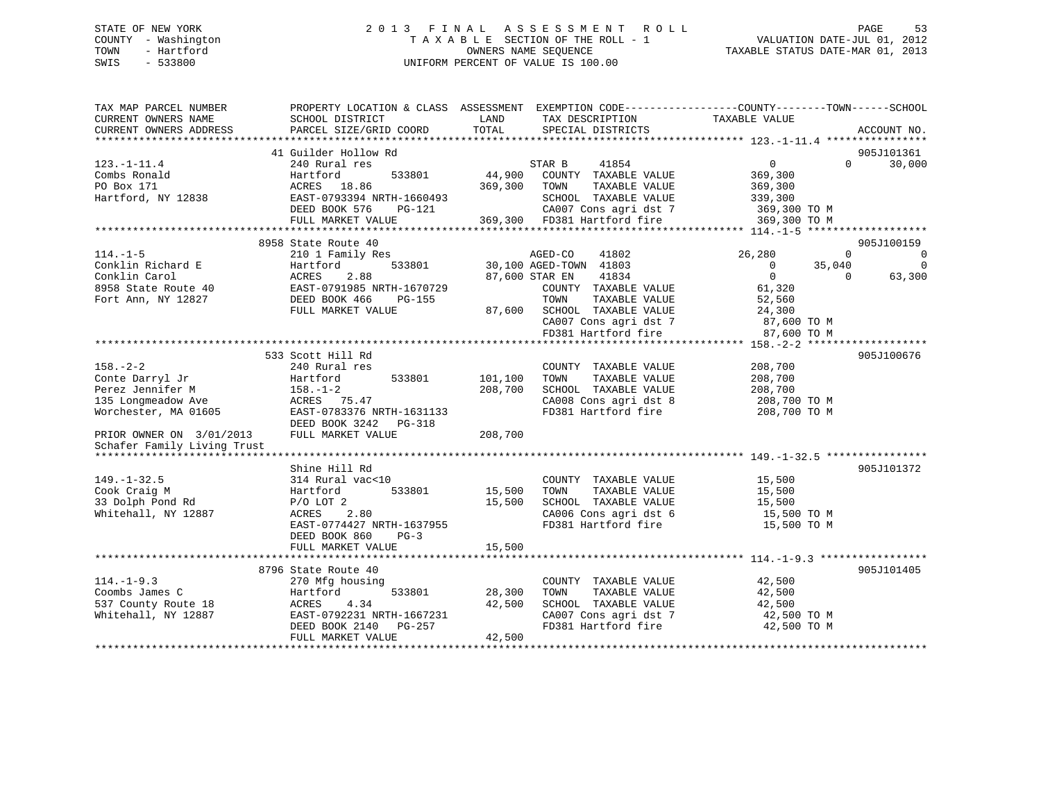# STATE OF NEW YORK STATE OF NEW YORK STATE OF NEW YORK SALL ASSESSMENT ROLL STATE OF NEW YORK STATE STATE ASSESSMENT ROLL COUNTY - Washington  $T A X A B L E$  SECTION OF THE ROLL - 1<br>TOWN - Hartford SWIS - 533800 UNIFORM PERCENT OF VALUE IS 100.00

| TAX MAP PARCEL NUMBER                                                                    | PROPERTY LOCATION & CLASS ASSESSMENT EXEMPTION CODE---------------COUNTY-------TOWN------SCHOOL |         |                                    |                               |                          |
|------------------------------------------------------------------------------------------|-------------------------------------------------------------------------------------------------|---------|------------------------------------|-------------------------------|--------------------------|
| CURRENT OWNERS NAME                                                                      | SCHOOL DISTRICT                                                                                 | LAND    | TAX DESCRIPTION                    | TAXABLE VALUE                 |                          |
| CURRENT OWNERS ADDRESS                                                                   | PARCEL SIZE/GRID COORD                                                                          | TOTAL   | SPECIAL DISTRICTS                  |                               | ACCOUNT NO.              |
|                                                                                          |                                                                                                 |         |                                    |                               |                          |
|                                                                                          | 41 Guilder Hollow Rd                                                                            |         |                                    |                               | 905J101361               |
| $123. - 1 - 11.4$                                                                        | 240 Rural res                                                                                   |         | 41854<br>STAR B                    | $0 \qquad \qquad$<br>$\Omega$ | 30,000                   |
| Combs Ronald                                                                             | Hartford<br>533801                                                                              | 44,900  | COUNTY TAXABLE VALUE               | 369,300                       |                          |
| PO Box 171                                                                               |                                                                                                 | 369,300 | TOWN<br>TAXABLE VALUE              | 369,300                       |                          |
| Hartford, NY 12838                                                                       | ACRES 18.86<br>EAST-0793394 NRTH-1660493                                                        |         | SCHOOL TAXABLE VALUE               | 339,300                       |                          |
|                                                                                          |                                                                                                 |         |                                    |                               |                          |
|                                                                                          | DEED BOOK 576<br>PG-121                                                                         |         | CA007 Cons agri dst 7 369,300 TO M |                               |                          |
|                                                                                          | FULL MARKET VALUE                                                                               |         | 369,300 FD381 Hartford fire        | 369,300 TO M                  |                          |
|                                                                                          |                                                                                                 |         |                                    |                               |                          |
|                                                                                          | 8958 State Route 40                                                                             |         |                                    |                               | 905J100159               |
| $114. -1 - 5$                                                                            | 210 1 Family Res                                                                                |         | AGED-CO<br>41802                   | 26,280<br>$\Omega$            | $\overline{\phantom{0}}$ |
| Conklin Richard E                                                                        | 533801<br>Hartford                                                                              |         | 30,100 AGED-TOWN 41803             | 35,040<br>$\overline{0}$      | $\overline{\phantom{0}}$ |
| Conklin Carol                                                                            | Hartio<br>ACRES<br>2.88                                                                         |         | 41834<br>87,600 STAR EN            | $\overline{0}$<br>$\Omega$    | 63,300                   |
|                                                                                          |                                                                                                 |         | COUNTY TAXABLE VALUE               |                               |                          |
| 8958 State Route 40 EAST-0791985 NRTH-1670729<br>Fort Ann, NY 12827 DEED BOOK 466 PG-155 |                                                                                                 |         | TOWN<br>TAXABLE VALUE              | 61,320<br>52,560              |                          |
|                                                                                          | FULL MARKET VALUE                                                                               |         | 87,600 SCHOOL TAXABLE VALUE        | 24,300                        |                          |
|                                                                                          |                                                                                                 |         | CA007 Cons agri dst 7              | 87,600 TO M                   |                          |
|                                                                                          |                                                                                                 |         | FD381 Hartford fire                | 87,600 TO M                   |                          |
|                                                                                          |                                                                                                 |         |                                    |                               |                          |
|                                                                                          | 533 Scott Hill Rd                                                                               |         |                                    |                               | 905J100676               |
|                                                                                          |                                                                                                 |         |                                    |                               |                          |
| $158. - 2 - 2$                                                                           | 240 Rural res                                                                                   |         | COUNTY TAXABLE VALUE               | 208,700                       |                          |
| Conte Darryl Jr                                                                          | 533801<br>Hartford                                                                              | 101,100 | TOWN<br>TAXABLE VALUE              | 208,700                       |                          |
| Perez Jennifer M                                                                         | $158. - 1 - 2$                                                                                  | 208,700 | SCHOOL TAXABLE VALUE               | 208,700                       |                          |
| 135 Longmeadow Ave MCRES 75.47                                                           |                                                                                                 |         | CA008 Cons agri dst 8              | $208,700$ TO M                |                          |
| Worchester, MA 01605                                                                     | EAST-0783376 NRTH-1631133                                                                       |         | FD381 Hartford fire                | 208,700 TO M                  |                          |
|                                                                                          | DEED BOOK 3242 PG-318                                                                           |         |                                    |                               |                          |
| PRIOR OWNER ON 3/01/2013                                                                 | FULL MARKET VALUE                                                                               | 208,700 |                                    |                               |                          |
| Schafer Family Living Trust                                                              |                                                                                                 |         |                                    |                               |                          |
|                                                                                          |                                                                                                 |         |                                    |                               |                          |
|                                                                                          | Shine Hill Rd                                                                                   |         |                                    |                               | 905J101372               |
| $149. - 1 - 32.5$                                                                        | 314 Rural vac<10                                                                                |         | COUNTY TAXABLE VALUE               | 15,500                        |                          |
| Cook Craig M                                                                             | 533801<br>Hartford                                                                              | 15,500  | TOWN<br>TAXABLE VALUE              | 15,500                        |                          |
| 33 Dolph Pond Rd                                                                         | $P/O$ LOT $2$                                                                                   | 15,500  | SCHOOL TAXABLE VALUE               | 15,500                        |                          |
| Whitehall, NY 12887                                                                      | 2.80<br>ACRES                                                                                   |         | CA006 Cons agri dst 6              | 15,500 TO M                   |                          |
|                                                                                          | EAST-0774427 NRTH-1637955                                                                       |         | FD381 Hartford fire                | 15,500 TO M                   |                          |
|                                                                                          | DEED BOOK 860<br>$PG-3$                                                                         |         |                                    |                               |                          |
|                                                                                          | FULL MARKET VALUE                                                                               | 15,500  |                                    |                               |                          |
|                                                                                          |                                                                                                 |         |                                    |                               |                          |
|                                                                                          |                                                                                                 |         |                                    |                               |                          |
|                                                                                          | 8796 State Route 40                                                                             |         |                                    |                               | 905J101405               |
| $114. - 1 - 9.3$                                                                         | 270 Mfg housing                                                                                 |         | COUNTY TAXABLE VALUE               | 42,500                        |                          |
| Coombs James C                                                                           | Hartford<br>533801                                                                              | 28,300  | TAXABLE VALUE<br>TOWN              | 42,500                        |                          |
| 537 County Route 18                                                                      | 4.34<br>ACRES                                                                                   | 42,500  | SCHOOL TAXABLE VALUE               | 42,500                        |                          |
| Whitehall, NY 12887                                                                      | EAST-0792231 NRTH-1667231                                                                       |         | CA007 Cons agri dst 7              | 42,500 TO M                   |                          |
|                                                                                          | DEED BOOK 2140<br>PG-257                                                                        |         | FD381 Hartford fire                | 42,500 TO M                   |                          |
|                                                                                          | FULL MARKET VALUE                                                                               | 42,500  |                                    |                               |                          |
|                                                                                          |                                                                                                 |         |                                    |                               |                          |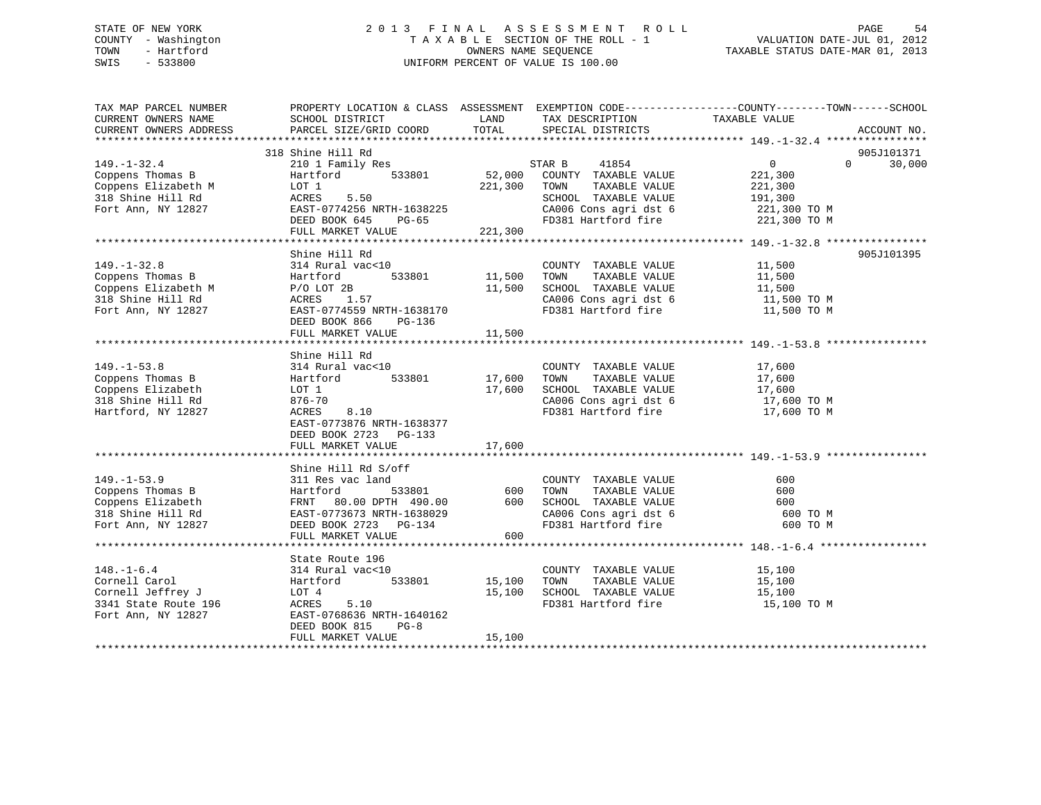## STATE OF NEW YORK 2 0 1 3 F I N A L A S S E S S M E N T R O L L PAGE 54 COUNTY - Washington T A X A B L E SECTION OF THE ROLL - 1 VALUATION DATE-JUL 01, 2012 TOWN - Hartford **TAXABLE STATUS DATE-MAR 01, 2013** OWNERS NAME SEQUENCE TAXABLE STATUS DATE-MAR 01, 2013 SWIS - 533800 UNIFORM PERCENT OF VALUE IS 100.00

| TAX MAP PARCEL NUMBER<br>CURRENT OWNERS NAME                                                                                                     | PROPERTY LOCATION & CLASS ASSESSMENT EXEMPTION CODE----------------COUNTY-------TOWN-----SCHOOL<br>SCHOOL DISTRICT                                                 | LAND                         | TAX DESCRIPTION                                                                                                                                                                                                                                                                                                                               | TAXABLE VALUE                                                   |          |                      |
|--------------------------------------------------------------------------------------------------------------------------------------------------|--------------------------------------------------------------------------------------------------------------------------------------------------------------------|------------------------------|-----------------------------------------------------------------------------------------------------------------------------------------------------------------------------------------------------------------------------------------------------------------------------------------------------------------------------------------------|-----------------------------------------------------------------|----------|----------------------|
| CURRENT OWNERS ADDRESS                                                                                                                           | PARCEL SIZE/GRID COORD                                                                                                                                             | TOTAL                        | SPECIAL DISTRICTS                                                                                                                                                                                                                                                                                                                             |                                                                 |          | ACCOUNT NO.          |
|                                                                                                                                                  |                                                                                                                                                                    |                              |                                                                                                                                                                                                                                                                                                                                               |                                                                 |          |                      |
| $149. - 1 - 32.4$<br>Coppens Thomas B<br>Coppens Elizabeth M<br>318 Shine Hill Rd<br>Fort Ann, NY 12827                                          | 318 Shine Hill Rd<br>210 1 Family Res<br>533801<br>Hartford<br>LOT 1<br>5.50<br>ACRES<br>EAST-0774256 NRTH-1638225<br>DEED BOOK 645<br>PG-65<br>FULL MARKET VALUE  | 52,000<br>221,300<br>221,300 | 41854<br>STAR B<br>COUNTY TAXABLE VALUE<br>TAXABLE VALUE<br>TOWN<br>SCHOOL TAXABLE VALUE<br>CA006 Cons agri dst 6<br>FD381 Hartford fire 221,300 TO M                                                                                                                                                                                         | $\overline{0}$<br>221,300<br>221,300<br>191,300<br>221,300 TO M | $\Omega$ | 905J101371<br>30,000 |
|                                                                                                                                                  | **************************************                                                                                                                             |                              |                                                                                                                                                                                                                                                                                                                                               |                                                                 |          |                      |
| $149. - 1 - 32.8$<br>Coppens Thomas B<br>Coppens Thomas b<br>Coppens Elizabeth M (28)<br>210 Chine Hill Rd (2005) ACRES 1.<br>Fort Ann, NY 12827 | Shine Hill Rd<br>314 Rural vac<10<br>Hartford 533801<br>ACRES 1.57<br>EAST-0774559 NRTH-1638170<br>DEED BOOK 866<br>PG-136                                         | 11,500<br>11,500             | COUNTY TAXABLE VALUE<br>TOWN<br>TAXABLE VALUE<br>SCHOOL TAXABLE VALUE<br>$\begin{array}{lll} \texttt{CA006} \texttt{ Cons} & \texttt{aspti} & \texttt{dst} & \texttt{6} & \texttt{11,500} & \texttt{TO} \; \texttt{M} \\ \texttt{FD381} & \texttt{Hartford} & \texttt{fire} & & & \texttt{11,500} & \texttt{TO} \; \texttt{M} \\ \end{array}$ | 11,500<br>11,500<br>11,500<br>11,500 TO M<br>11,500 TO M        |          | 905J101395           |
|                                                                                                                                                  | FULL MARKET VALUE                                                                                                                                                  | 11,500                       |                                                                                                                                                                                                                                                                                                                                               |                                                                 |          |                      |
|                                                                                                                                                  | Shine Hill Rd                                                                                                                                                      |                              |                                                                                                                                                                                                                                                                                                                                               |                                                                 |          |                      |
| $149. - 1 - 53.8$<br>Coppens Thomas B<br>Coppens Elizabeth<br>318 Shine Hill Rd<br>Hartford, NY 12827                                            | 314 Rural vac<10<br>533801<br>Hartford<br>LOT 1<br>876-70<br>8.10<br>ACRES<br>EAST-0773876 NRTH-1638377<br>DEED BOOK 2723 PG-133                                   | 17,600<br>17,600             | COUNTY TAXABLE VALUE<br>TOWN TAXABLE VALUE<br>SCHOOL TAXABLE VALUE<br>CA006 Cons agri dst 6<br>FD381 Hartford fire 17,600 TO M                                                                                                                                                                                                                | 17,600<br>17,600<br>17,600<br>17,600 TO M                       |          |                      |
|                                                                                                                                                  | FULL MARKET VALUE                                                                                                                                                  | 17,600                       |                                                                                                                                                                                                                                                                                                                                               |                                                                 |          |                      |
| $149. - 1 - 53.9$<br>Coppens Thomas B<br>Coppens Elizabeth<br>318 Shine Hill Rd<br>Fort Ann, NY 12827                                            | Shine Hill Rd S/off<br>311 Res vac land<br>Hartford<br>533801<br>FRNT 80.00 DPTH 490.00<br>EAST-0773673 NRTH-1638029<br>DEED BOOK 2723 PG-134<br>FULL MARKET VALUE | 600<br>600<br>600            | COUNTY TAXABLE VALUE<br>TOWN<br>TAXABLE VALUE<br>SCHOOL TAXABLE VALUE<br>CA006 Cons agri dst 6<br>FD381 Hartford fire                                                                                                                                                                                                                         | 600<br>600<br>600<br>600 TO M<br>600 TO M                       |          |                      |
|                                                                                                                                                  |                                                                                                                                                                    |                              |                                                                                                                                                                                                                                                                                                                                               |                                                                 |          |                      |
| $148. - 1 - 6.4$<br>Cornell Carol<br>Cornell Jeffrey J<br>3341 State Route 196<br>Fort Ann, NY 12827                                             | State Route 196<br>314 Rural vac<10<br>533801<br>Hartford<br>LOT 4<br>5.10<br>ACRES<br>EAST-0768636 NRTH-1640162<br>DEED BOOK 815<br>$PG-8$<br>FULL MARKET VALUE   | 15,100<br>15,100<br>15,100   | COUNTY TAXABLE VALUE<br>TAXABLE VALUE<br>TOWN<br>SCHOOL TAXABLE VALUE<br>FD381 Hartford fire                                                                                                                                                                                                                                                  | 15,100<br>15,100<br>15,100<br>15,100 TO M                       |          |                      |
|                                                                                                                                                  |                                                                                                                                                                    |                              |                                                                                                                                                                                                                                                                                                                                               |                                                                 |          |                      |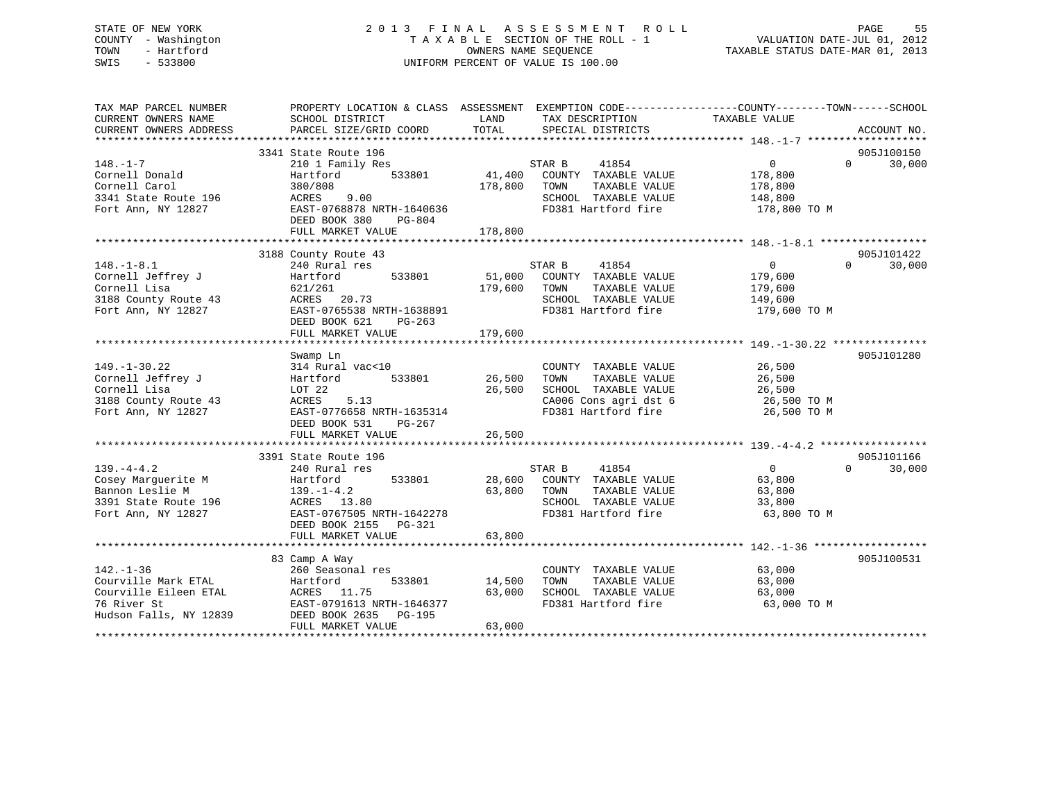## STATE OF NEW YORK 2 0 1 3 F I N A L A S S E S S M E N T R O L L PAGE 55 COUNTY - Washington T A X A B L E SECTION OF THE ROLL - 1 VALUATION DATE-JUL 01, 2012 TOWN - Hartford **TAXABLE STATUS DATE-MAR 01, 2013** OWNERS NAME SEQUENCE TAXABLE STATUS DATE-MAR 01, 2013 SWIS - 533800 UNIFORM PERCENT OF VALUE IS 100.00

| TAX MAP PARCEL NUMBER<br>CURRENT OWNERS NAME<br>CURRENT OWNERS ADDRESS | PROPERTY LOCATION & CLASS ASSESSMENT<br>SCHOOL DISTRICT<br>PARCEL SIZE/GRID COORD | LAND<br>TAX DESCRIPTION<br>TOTAL<br>SPECIAL DISTRICTS | EXEMPTION CODE-----------------COUNTY-------TOWN------SCHOOL<br>TAXABLE VALUE<br>ACCOUNT NO. |
|------------------------------------------------------------------------|-----------------------------------------------------------------------------------|-------------------------------------------------------|----------------------------------------------------------------------------------------------|
|                                                                        |                                                                                   |                                                       |                                                                                              |
|                                                                        | 3341 State Route 196                                                              |                                                       | 905J100150                                                                                   |
| $148. - 1 - 7$                                                         | 210 1 Family Res                                                                  | 41854<br>STAR B                                       | $\Omega$<br>30,000<br>$\Omega$                                                               |
| Cornell Donald                                                         | 533801<br>Hartford                                                                | 41,400<br>COUNTY TAXABLE VALUE                        | 178,800                                                                                      |
| Cornell Carol                                                          | 380/808                                                                           | 178,800<br>TOWN<br>TAXABLE VALUE                      | 178,800                                                                                      |
| 3341 State Route 196                                                   | ACRES<br>9.00                                                                     | SCHOOL TAXABLE VALUE                                  | 148,800                                                                                      |
| Fort Ann, NY 12827                                                     | EAST-0768878 NRTH-1640636                                                         | FD381 Hartford fire                                   | 178,800 TO M                                                                                 |
|                                                                        | DEED BOOK 380<br>PG-804                                                           |                                                       |                                                                                              |
|                                                                        | FULL MARKET VALUE                                                                 | 178,800                                               |                                                                                              |
|                                                                        |                                                                                   |                                                       |                                                                                              |
|                                                                        | 3188 County Route 43                                                              |                                                       | 905J101422                                                                                   |
| $148. - 1 - 8.1$                                                       | 240 Rural res                                                                     | 41854<br>STAR B                                       | $\Omega$<br>$\Omega$<br>30,000                                                               |
| Cornell Jeffrey J                                                      | 533801<br>Hartford                                                                | 51,000<br>COUNTY TAXABLE VALUE                        | 179,600                                                                                      |
| Cornell Lisa                                                           | 621/261                                                                           | 179,600<br>TAXABLE VALUE<br>TOWN                      | 179,600                                                                                      |
| 3188 County Route 43                                                   | ACRES<br>20.73                                                                    | SCHOOL TAXABLE VALUE                                  | 149,600                                                                                      |
| Fort Ann, NY 12827                                                     | EAST-0765538 NRTH-1638891                                                         | FD381 Hartford fire                                   | 179,600 TO M                                                                                 |
|                                                                        | DEED BOOK 621<br>$PG-263$                                                         |                                                       |                                                                                              |
|                                                                        | FULL MARKET VALUE                                                                 | 179,600                                               |                                                                                              |
|                                                                        |                                                                                   |                                                       |                                                                                              |
|                                                                        | Swamp Ln                                                                          |                                                       | 905J101280                                                                                   |
| $149. - 1 - 30.22$                                                     | 314 Rural vac<10                                                                  | COUNTY TAXABLE VALUE                                  | 26,500                                                                                       |
| Cornell Jeffrey J                                                      | Hartford<br>533801                                                                | 26,500<br>TOWN<br>TAXABLE VALUE                       | 26,500                                                                                       |
| Cornell Lisa                                                           | LOT 22                                                                            | 26,500<br>SCHOOL TAXABLE VALUE                        | 26,500                                                                                       |
| 3188 County Route 43                                                   | ACRES<br>5.13                                                                     | CA006 Cons agri dst 6                                 | 26,500 TO M                                                                                  |
| Fort Ann, NY 12827                                                     | EAST-0776658 NRTH-1635314                                                         | FD381 Hartford fire                                   | 26,500 TO M                                                                                  |
|                                                                        | DEED BOOK 531<br>$PG-267$                                                         |                                                       |                                                                                              |
|                                                                        | FULL MARKET VALUE                                                                 | 26,500                                                |                                                                                              |
|                                                                        |                                                                                   |                                                       |                                                                                              |
|                                                                        | 3391 State Route 196                                                              |                                                       | 905J101166                                                                                   |
| $139. -4 - 4.2$                                                        | 240 Rural res                                                                     | STAR B<br>41854                                       | $\overline{0}$<br>$\Omega$<br>30,000                                                         |
| Cosey Marguerite M                                                     | 533801<br>Hartford                                                                | 28,600<br>COUNTY TAXABLE VALUE                        | 63,800                                                                                       |
| Bannon Leslie M                                                        | $139. - 1 - 4.2$                                                                  | 63,800<br>TOWN<br>TAXABLE VALUE                       | 63,800                                                                                       |
| 3391 State Route 196                                                   | ACRES 13.80                                                                       | SCHOOL TAXABLE VALUE                                  | 33,800                                                                                       |
| Fort Ann, NY 12827                                                     | EAST-0767505 NRTH-1642278                                                         | FD381 Hartford fire                                   | 63,800 TO M                                                                                  |
|                                                                        | DEED BOOK 2155 PG-321                                                             |                                                       |                                                                                              |
|                                                                        | FULL MARKET VALUE                                                                 | 63,800                                                |                                                                                              |
|                                                                        |                                                                                   |                                                       |                                                                                              |
|                                                                        | 83 Camp A Way                                                                     |                                                       | 905J100531                                                                                   |
| $142. - 1 - 36$                                                        | 260 Seasonal res                                                                  | COUNTY TAXABLE VALUE                                  | 63,000                                                                                       |
| Courville Mark ETAL                                                    | Hartford<br>533801                                                                | 14,500<br>TAXABLE VALUE<br>TOWN                       | 63,000                                                                                       |
| Courville Eileen ETAL                                                  | 11.75<br>ACRES                                                                    | 63,000<br>SCHOOL TAXABLE VALUE                        | 63,000                                                                                       |
| 76 River St                                                            | EAST-0791613 NRTH-1646377                                                         | FD381 Hartford fire                                   | 63,000 TO M                                                                                  |
| Hudson Falls, NY 12839                                                 | DEED BOOK 2635<br>PG-195                                                          |                                                       |                                                                                              |
|                                                                        | FULL MARKET VALUE                                                                 | 63,000                                                |                                                                                              |
|                                                                        |                                                                                   |                                                       |                                                                                              |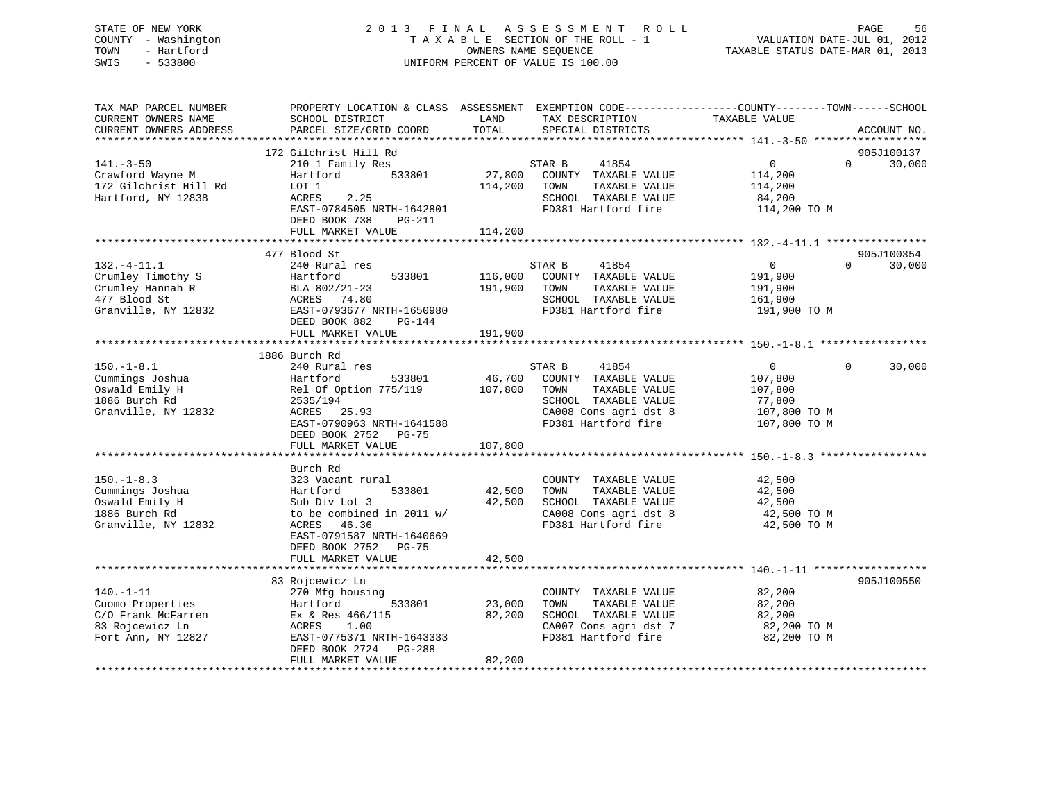## STATE OF NEW YORK 2 0 1 3 F I N A L A S S E S S M E N T R O L L PAGE 56 COUNTY - Washington T A X A B L E SECTION OF THE ROLL - 1 VALUATION DATE-JUL 01, 2012 TOWN - Hartford **TAXABLE STATUS DATE-MAR 01, 2013** OWNERS NAME SEQUENCE TAXABLE STATUS DATE-MAR 01, 2013 SWIS - 533800 UNIFORM PERCENT OF VALUE IS 100.00

| TAX MAP PARCEL NUMBER<br>CURRENT OWNERS NAME<br>CURRENT OWNERS ADDRESS                             | PROPERTY LOCATION & CLASS ASSESSMENT EXEMPTION CODE----------------COUNTY-------TOWN------SCHOOL<br>SCHOOL DISTRICT<br>PARCEL SIZE/GRID COORD                     | LAND<br>TOTAL                 | TAX DESCRIPTION<br>SPECIAL DISTRICTS                                                                                                     | TAXABLE VALUE                                                                  | ACCOUNT NO.                      |
|----------------------------------------------------------------------------------------------------|-------------------------------------------------------------------------------------------------------------------------------------------------------------------|-------------------------------|------------------------------------------------------------------------------------------------------------------------------------------|--------------------------------------------------------------------------------|----------------------------------|
|                                                                                                    |                                                                                                                                                                   |                               |                                                                                                                                          |                                                                                |                                  |
| $141. - 3 - 50$<br>Crawford Wayne M<br>172 Gilchrist Hill Rd<br>Hartford, NY 12838                 | 172 Gilchrist Hill Rd<br>210 1 Family Res<br>533801<br>Hartford<br>LOT 1<br>ACRES<br>2.25<br>EAST-0784505 NRTH-1642801<br>DEED BOOK 738<br>PG-211                 | 27,800<br>114,200             | STAR B<br>41854<br>COUNTY TAXABLE VALUE<br>TAXABLE VALUE<br>TOWN<br>SCHOOL TAXABLE VALUE<br>FD381 Hartford fire                          | $\mathbf 0$<br>114,200<br>114,200<br>84,200<br>114,200 TO M                    | 905J100137<br>30,000<br>$\Omega$ |
|                                                                                                    | FULL MARKET VALUE                                                                                                                                                 | 114,200                       |                                                                                                                                          |                                                                                |                                  |
| $132. - 4 - 11.1$<br>Crumley Timothy S<br>Crumley Hannah R<br>477 Blood St<br>Granville, NY 12832  | 477 Blood St<br>240 Rural res<br>533801<br>Hartford<br>BLA 802/21-23<br>ACRES 74.80<br>EAST-0793677 NRTH-1650980<br>DEED BOOK 882<br>PG-144<br>FULL MARKET VALUE  | 116,000<br>191,900<br>191,900 | 41854<br>STAR B<br>COUNTY TAXABLE VALUE<br>TOWN<br>TAXABLE VALUE<br>SCHOOL TAXABLE VALUE<br>FD381 Hartford fire                          | $\overline{0}$<br>191,900<br>191,900<br>161,900<br>191,900 TO M                | 905J100354<br>30,000<br>$\Omega$ |
|                                                                                                    | 1886 Burch Rd                                                                                                                                                     |                               |                                                                                                                                          |                                                                                |                                  |
| $150. - 1 - 8.1$<br>Cummings Joshua<br>Oswald Emily H<br>1886 Burch Rd<br>Granville, NY 12832      | 240 Rural res<br>Hartford<br>533801<br>Rel Of Option 775/119<br>2535/194<br>ACRES 25.93<br>EAST-0790963 NRTH-1641588<br>DEED BOOK 2752 PG-75<br>FULL MARKET VALUE | 46,700<br>107,800<br>107,800  | 41854<br>STAR B<br>COUNTY TAXABLE VALUE<br>TOWN<br>TAXABLE VALUE<br>SCHOOL TAXABLE VALUE<br>CA008 Cons agri dst 8<br>FD381 Hartford fire | $\overline{0}$<br>107,800<br>107,800<br>77,800<br>107,800 TO M<br>107,800 TO M | 30,000<br>$\Omega$               |
|                                                                                                    | Burch Rd                                                                                                                                                          |                               |                                                                                                                                          |                                                                                |                                  |
| $150. - 1 - 8.3$<br>Cummings Joshua<br>Oswald Emily H<br>1886 Burch Rd<br>Granville, NY 12832      | 323 Vacant rural<br>Hartford<br>533801<br>Sub Div Lot 3<br>to be combined in 2011 w/<br>46.36<br>ACRES<br>EAST-0791587 NRTH-1640669<br>DEED BOOK 2752<br>$PG-75$  | 42,500<br>42,500              | COUNTY TAXABLE VALUE<br>TAXABLE VALUE<br>TOWN<br>SCHOOL TAXABLE VALUE<br>CA008 Cons agri dst 8<br>FD381 Hartford fire                    | 42,500<br>42,500<br>42,500<br>42,500 TO M<br>42,500 TO M                       |                                  |
|                                                                                                    | FULL MARKET VALUE                                                                                                                                                 | 42,500                        |                                                                                                                                          |                                                                                |                                  |
|                                                                                                    | 83 Rojcewicz Ln                                                                                                                                                   |                               |                                                                                                                                          |                                                                                | 905J100550                       |
| $140. - 1 - 11$<br>Cuomo Properties<br>C/O Frank McFarren<br>83 Rojcewicz Ln<br>Fort Ann, NY 12827 | 270 Mfg housing<br>533801<br>Hartford<br>Ex & Res 466/115<br>ACRES<br>1.00<br>EAST-0775371 NRTH-1643333<br>DEED BOOK 2724<br>PG-288<br>FULL MARKET VALUE          | 23,000<br>82,200<br>82,200    | COUNTY TAXABLE VALUE<br>TAXABLE VALUE<br>TOWN<br>SCHOOL TAXABLE VALUE<br>CA007 Cons agri dst 7<br>FD381 Hartford fire                    | 82,200<br>82,200<br>82,200<br>82,200 TO M<br>82,200 TO M                       |                                  |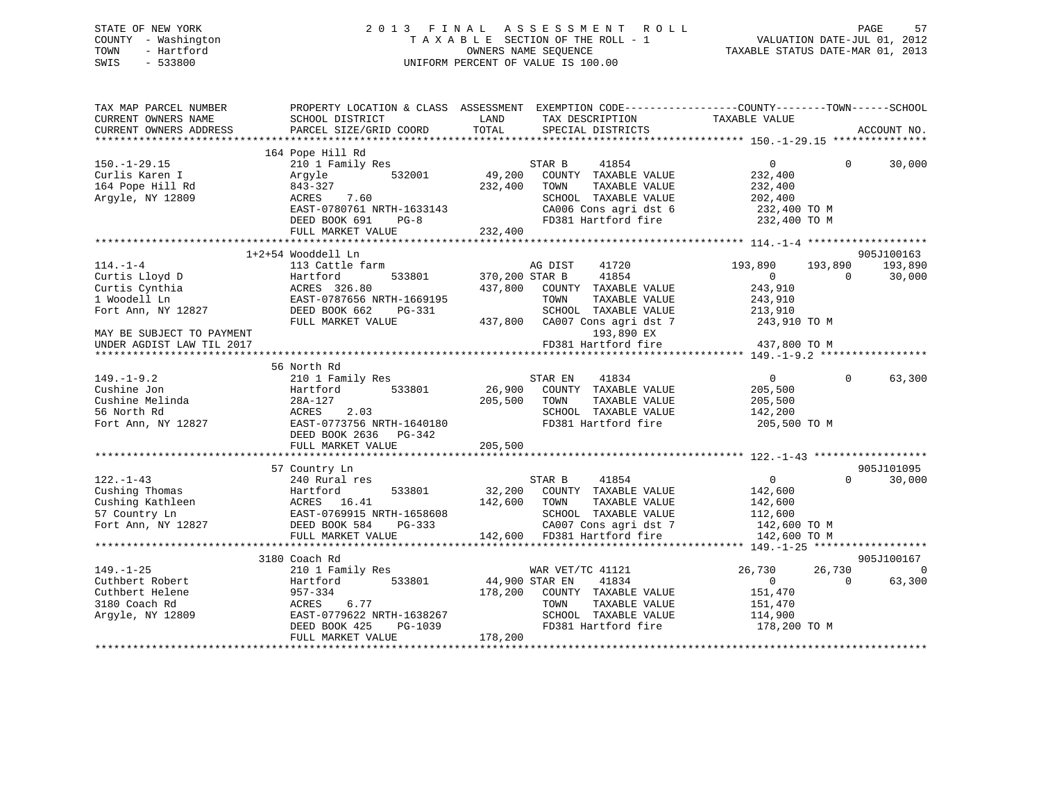## STATE OF NEW YORK 2 0 1 3 F I N A L A S S E S S M E N T R O L L PAGE 57 COUNTY - Washington T A X A B L E SECTION OF THE ROLL - 1 VALUATION DATE-JUL 01, 2012 TOWN - Hartford **TAXABLE STATUS DATE-MAR 01, 2013** SWIS - 533800 UNIFORM PERCENT OF VALUE IS 100.00

| TAX MAP PARCEL NUMBER<br>CURRENT OWNERS NAME<br>CURRENT OWNERS ADDRESS | SCHOOL DISTRICT<br>PARCEL SIZE/GRID COORD    | LAND<br>TOTAL  | PROPERTY LOCATION & CLASS ASSESSMENT EXEMPTION CODE----------------COUNTY-------TOWN-----SCHOOL<br>TAX DESCRIPTION<br>SPECIAL DISTRICTS | TAXABLE VALUE  |              | ACCOUNT NO. |
|------------------------------------------------------------------------|----------------------------------------------|----------------|-----------------------------------------------------------------------------------------------------------------------------------------|----------------|--------------|-------------|
|                                                                        |                                              |                |                                                                                                                                         |                |              |             |
|                                                                        | 164 Pope Hill Rd                             |                |                                                                                                                                         |                |              |             |
| $150. - 1 - 29.15$                                                     | 210 1 Family Res                             |                | STAR B<br>41854                                                                                                                         | $\overline{0}$ | $\Omega$     | 30,000      |
| Curlis Karen I                                                         | 532001<br>Argyle                             | 49,200         | COUNTY TAXABLE VALUE                                                                                                                    | 232,400        |              |             |
| 164 Pope Hill Rd                                                       | 843-327                                      | 232,400        | TOWN<br>TAXABLE VALUE                                                                                                                   | 232,400        |              |             |
| Argyle, NY 12809                                                       | ACRES<br>7.60                                |                | SCHOOL TAXABLE VALUE                                                                                                                    | 202,400        |              |             |
|                                                                        | EAST-0780761 NRTH-1633143                    |                | CA006 Cons agri dst 6                                                                                                                   | 232,400 TO M   |              |             |
|                                                                        | DEED BOOK 691<br>$PG-8$                      |                | FD381 Hartford fire                                                                                                                     | 232,400 TO M   |              |             |
|                                                                        | FULL MARKET VALUE                            | 232,400        |                                                                                                                                         |                |              |             |
|                                                                        | 1+2+54 Wooddell Ln                           |                |                                                                                                                                         |                |              | 905J100163  |
| $114. - 1 - 4$                                                         | 113 Cattle farm                              |                | AG DIST<br>41720                                                                                                                        | 193,890        | 193,890      | 193,890     |
| Curtis Lloyd D                                                         | 533801<br>Hartford                           | 370,200 STAR B | 41854                                                                                                                                   | $\Omega$       | $\Omega$     | 30,000      |
| Curtis Cynthia                                                         | ACRES 326.80                                 | 437,800        | COUNTY TAXABLE VALUE                                                                                                                    | 243,910        |              |             |
| 1 Woodell Ln                                                           | EAST-0787656 NRTH-1669195                    |                | TOWN<br>TAXABLE VALUE                                                                                                                   | 243,910        |              |             |
| Fort Ann, NY 12827                                                     | DEED BOOK 662<br>PG-331                      |                | SCHOOL TAXABLE VALUE                                                                                                                    | 213,910        |              |             |
|                                                                        | FULL MARKET VALUE                            | 437,800        | CA007 Cons agri dst 7                                                                                                                   | 243,910 TO M   |              |             |
| MAY BE SUBJECT TO PAYMENT                                              |                                              |                | 193,890 EX                                                                                                                              |                |              |             |
| UNDER AGDIST LAW TIL 2017                                              |                                              |                | FD381 Hartford fire                                                                                                                     | 437,800 TO M   |              |             |
|                                                                        |                                              |                |                                                                                                                                         |                |              |             |
|                                                                        | 56 North Rd                                  |                |                                                                                                                                         |                |              |             |
| $149. - 1 - 9.2$                                                       | 210 1 Family Res                             |                | 41834<br>STAR EN                                                                                                                        | $\overline{0}$ | $\mathbf{0}$ | 63,300      |
| Cushine Jon                                                            | Hartford<br>533801                           | 26,900         | COUNTY TAXABLE VALUE                                                                                                                    | 205,500        |              |             |
| Cushine Melinda                                                        | 28A-127                                      | 205,500        | TOWN<br>TAXABLE VALUE                                                                                                                   | 205,500        |              |             |
| 56 North Rd                                                            | ACRES<br>2.03                                |                | SCHOOL TAXABLE VALUE                                                                                                                    | 142,200        |              |             |
| Fort Ann, NY 12827                                                     | EAST-0773756 NRTH-1640180                    |                | FD381 Hartford fire                                                                                                                     | 205,500 TO M   |              |             |
|                                                                        | DEED BOOK 2636<br>PG-342                     |                |                                                                                                                                         |                |              |             |
|                                                                        | FULL MARKET VALUE                            | 205,500        |                                                                                                                                         |                |              |             |
|                                                                        |                                              |                |                                                                                                                                         |                |              |             |
|                                                                        | 57 Country Ln                                |                |                                                                                                                                         |                | $\Omega$     | 905J101095  |
| $122. - 1 - 43$                                                        | 240 Rural res                                |                | STAR B<br>41854                                                                                                                         | $\overline{0}$ |              | 30,000      |
| Cushing Thomas                                                         | Hartford<br>533801                           | 32,200         | COUNTY TAXABLE VALUE                                                                                                                    | 142,600        |              |             |
| Cushing Kathleen                                                       | ACRES<br>16.41                               | 142,600        | TOWN<br>TAXABLE VALUE                                                                                                                   | 142,600        |              |             |
| 57 Country Ln                                                          | EAST-0769915 NRTH-1658608                    |                | SCHOOL TAXABLE VALUE                                                                                                                    | 112,600        |              |             |
| Fort Ann, NY 12827                                                     | DEED BOOK 584<br>PG-333<br>FULL MARKET VALUE |                | CA007 Cons agri dst 7<br>142,600 FD381 Hartford fire                                                                                    | 142,600 TO M   |              |             |
|                                                                        |                                              |                |                                                                                                                                         | 142,600 TO M   |              |             |
|                                                                        | 3180 Coach Rd                                |                |                                                                                                                                         |                |              | 905J100167  |
| $149. - 1 - 25$                                                        | 210 1 Family Res                             |                | WAR VET/TC 41121                                                                                                                        | 26,730         | 26,730       | $\Omega$    |
| Cuthbert Robert                                                        | Hartford<br>533801                           | 44,900 STAR EN | 41834                                                                                                                                   | $\overline{0}$ | $\Omega$     | 63,300      |
| Cuthbert Helene                                                        | 957-334                                      | 178,200        | COUNTY TAXABLE VALUE                                                                                                                    | 151,470        |              |             |
| 3180 Coach Rd                                                          | ACRES<br>6.77                                |                | TOWN<br>TAXABLE VALUE                                                                                                                   | 151,470        |              |             |
| Argyle, NY 12809                                                       | EAST-0779622 NRTH-1638267                    |                | SCHOOL TAXABLE VALUE                                                                                                                    | 114,900        |              |             |
|                                                                        | DEED BOOK 425<br>PG-1039                     |                | FD381 Hartford fire                                                                                                                     | 178,200 TO M   |              |             |
|                                                                        | FULL MARKET VALUE                            | 178,200        |                                                                                                                                         |                |              |             |
|                                                                        |                                              |                |                                                                                                                                         |                |              |             |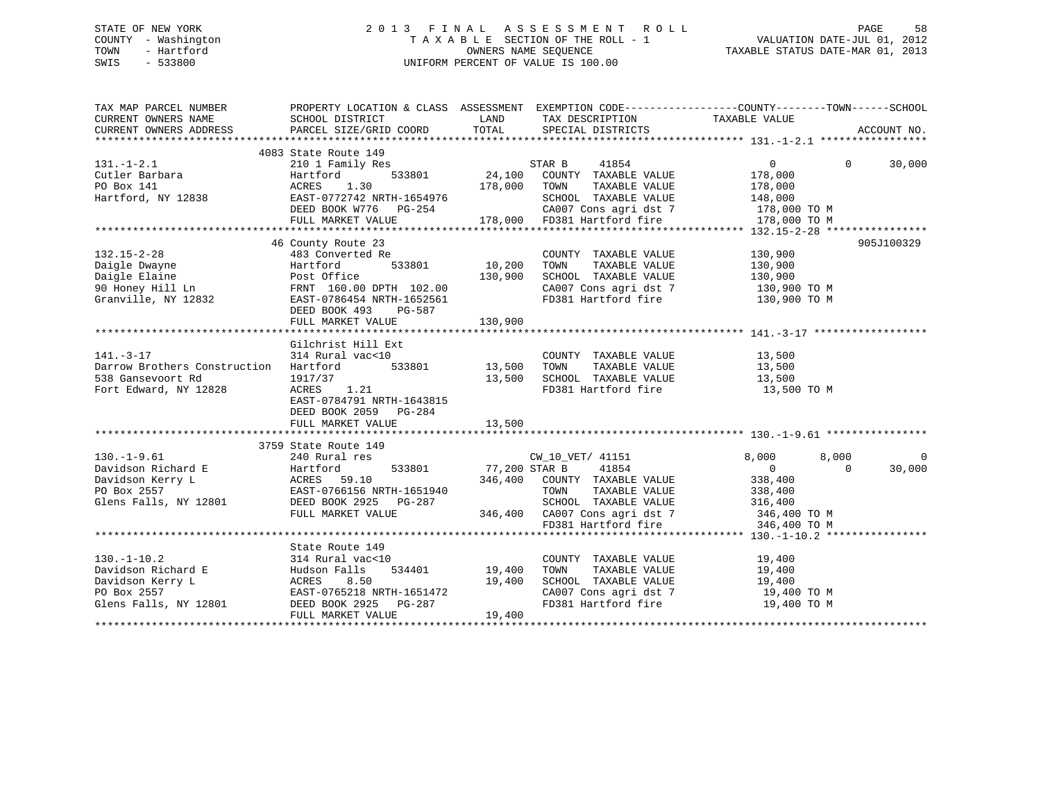## STATE OF NEW YORK 2 0 1 3 F I N A L A S S E S S M E N T R O L L PAGE 58 COUNTY - Washington T A X A B L E SECTION OF THE ROLL - 1 VALUATION DATE-JUL 01, 2012 TOWN - Hartford OWNERS NAME SEQUENCE TAXABLE STATUS DATE-MAR 01, 2013 SWIS - 533800 UNIFORM PERCENT OF VALUE IS 100.00

| TAX MAP PARCEL NUMBER                       | PROPERTY LOCATION & CLASS ASSESSMENT                                                                                                                    |               |                                                                                                                | EXEMPTION CODE-----------------COUNTY-------TOWN------SCHOOL |             |
|---------------------------------------------|---------------------------------------------------------------------------------------------------------------------------------------------------------|---------------|----------------------------------------------------------------------------------------------------------------|--------------------------------------------------------------|-------------|
|                                             |                                                                                                                                                         |               |                                                                                                                |                                                              |             |
|                                             | 4083 State Route 149                                                                                                                                    |               |                                                                                                                |                                                              |             |
| $131. - 1 - 2.1$                            | 210 1 Family Res                                                                                                                                        |               | STAR B<br>41854                                                                                                | $\overline{0}$<br>$\Omega$                                   | 30,000      |
| Cutler Barbara                              | Hartford<br>533801                                                                                                                                      | 24,100        | COUNTY TAXABLE VALUE                                                                                           | 178,000                                                      |             |
| PO Box 141                                  | 1.30<br>ACRES                                                                                                                                           | 178,000       | TOWN<br>TAXABLE VALUE                                                                                          | 178,000                                                      |             |
| Hartford, NY 12838                          | EAST-0772742 NRTH-1654976                                                                                                                               |               | SCHOOL TAXABLE VALUE<br>CA007 Cons agri dst 7                                                                  | 148,000                                                      |             |
|                                             | DEED BOOK W776 PG-254                                                                                                                                   |               |                                                                                                                | $178,000$ TO M                                               |             |
|                                             | FULL MARKET VALUE                                                                                                                                       |               | 178,000 FD381 Hartford fire                                                                                    | 178,000 TO M                                                 |             |
|                                             |                                                                                                                                                         |               |                                                                                                                |                                                              |             |
|                                             | 46 County Route 23<br>Analy Route 23<br>483 Converted Re<br>Hartford 533801<br>Post Office<br>FRNT 160.00 DPTH 102.00<br>2832 EAST-0786454 NRTT-1666655 |               |                                                                                                                |                                                              | 905J100329  |
| $132.15 - 2 - 28$                           |                                                                                                                                                         |               | COUNTY TAXABLE VALUE                                                                                           | 130,900                                                      |             |
| Daigle Dwayne                               |                                                                                                                                                         | 10,200        | TOWN<br>TAXABLE VALUE                                                                                          | 130,900                                                      |             |
| Daigle Elaine                               |                                                                                                                                                         | 130,900       | SCHOOL TAXABLE VALUE                                                                                           | 130,900<br>130,900 TO M                                      |             |
| 90 Honey Hill Ln                            |                                                                                                                                                         |               | CA007 Cons agri dst 7                                                                                          |                                                              |             |
| Granville, NY 12832                         |                                                                                                                                                         |               | FD381 Hartford fire 130,900 TO M                                                                               |                                                              |             |
|                                             | DEED BOOK 493<br>PG-587                                                                                                                                 |               |                                                                                                                |                                                              |             |
|                                             | FULL MARKET VALUE                                                                                                                                       | 130,900       |                                                                                                                |                                                              |             |
|                                             |                                                                                                                                                         |               |                                                                                                                |                                                              |             |
|                                             | Gilchrist Hill Ext                                                                                                                                      |               |                                                                                                                |                                                              |             |
| $141. - 3 - 17$                             | 314 Rural vac<10                                                                                                                                        |               | COUNTY TAXABLE VALUE                                                                                           | 13,500                                                       |             |
| Darrow Brothers Construction Hartford       | 533801                                                                                                                                                  | 13,500        |                                                                                                                | 13,500                                                       |             |
| 538 Gansevoort Rd                           | 1917/37                                                                                                                                                 | 13,500        | TOWN      TAXABLE VALUE<br>SCHOOL   TAXABLE VALUE                                                              | 13,500                                                       |             |
| Fort Edward, NY 12828                       | ACRES 1.21                                                                                                                                              |               | FD381 Hartford fire                                                                                            | 13,500 TO M                                                  |             |
|                                             | EAST-0784791 NRTH-1643815                                                                                                                               |               |                                                                                                                |                                                              |             |
|                                             | DEED BOOK 2059 PG-284                                                                                                                                   |               |                                                                                                                |                                                              |             |
|                                             | FULL MARKET VALUE                                                                                                                                       | 13,500        |                                                                                                                |                                                              |             |
|                                             |                                                                                                                                                         |               |                                                                                                                |                                                              |             |
|                                             | 3759 State Route 149                                                                                                                                    |               |                                                                                                                |                                                              |             |
| $130. - 1 - 9.61$                           | 240 Rural res                                                                                                                                           |               | CW_10_VET/ 41151                                                                                               | 8,000<br>8,000                                               | $\mathbf 0$ |
|                                             |                                                                                                                                                         | 77,200 STAR B | 41854                                                                                                          | $\Omega$<br>$\Omega$                                         | 30,000      |
|                                             |                                                                                                                                                         |               | 346,400 COUNTY TAXABLE VALUE                                                                                   | 338,400                                                      |             |
|                                             |                                                                                                                                                         |               | TOWN<br>TAXABLE VALUE                                                                                          | 338,400                                                      |             |
| Glens Falls, NY 12801 DEED BOOK 2925 PG-287 |                                                                                                                                                         |               |                                                                                                                |                                                              |             |
|                                             | FULL MARKET VALUE                                                                                                                                       |               |                                                                                                                |                                                              |             |
|                                             |                                                                                                                                                         |               | SCHOOL TAXABLE VALUE 316,400<br>346,400 CA007 Cons agri dst 7 346,400 TO M<br>FD381 Hartford fire 346,400 TO M |                                                              |             |
|                                             |                                                                                                                                                         |               |                                                                                                                |                                                              |             |
|                                             | State Route 149                                                                                                                                         |               |                                                                                                                |                                                              |             |
| $130. - 1 - 10.2$                           | 314 Rural vac<10                                                                                                                                        |               | COUNTY TAXABLE VALUE                                                                                           | 19,400                                                       |             |
| Davidson Richard E                          | 314 Kurai vad<br>Hudson Falls<br>534401                                                                                                                 | 19,400        | TAXABLE VALUE<br>TOWN                                                                                          | 19,400                                                       |             |
| Davidson Kerry L                            | ACRES<br>8.50                                                                                                                                           | 19,400        | SCHOOL TAXABLE VALUE                                                                                           | 19,400                                                       |             |
| PO Box 2557                                 |                                                                                                                                                         |               |                                                                                                                | 19,400 TO M                                                  |             |
| Glens Falls, NY 12801                       | EASI-0765218 NRTH-1651472                                                                                                                               |               | CA007 Cons agri dst 7<br>En281 Hartford fire<br>FD381 Hartford fire                                            | 19,400 TO M                                                  |             |
|                                             | FULL MARKET VALUE                                                                                                                                       | 19,400        |                                                                                                                |                                                              |             |
|                                             |                                                                                                                                                         |               |                                                                                                                |                                                              |             |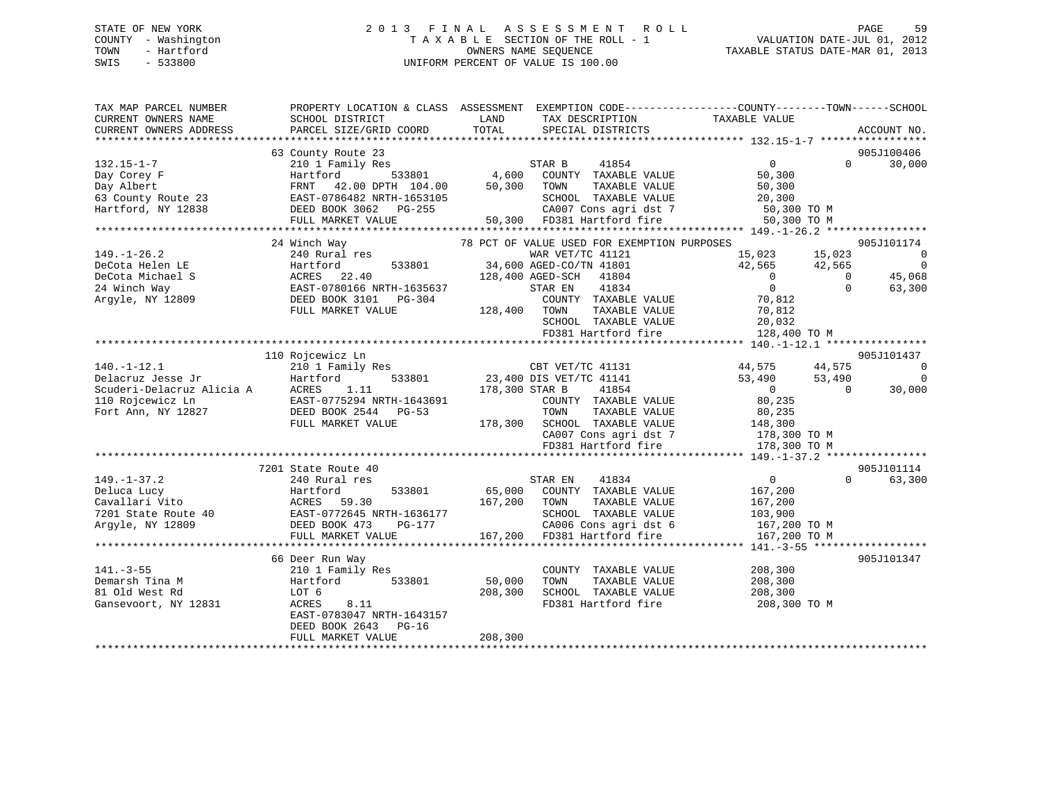## STATE OF NEW YORK 2 0 1 3 F I N A L A S S E S S M E N T R O L L PAGE 59 COUNTY - Washington T A X A B L E SECTION OF THE ROLL - 1 VALUATION DATE-JUL 01, 2012 TOWN - Hartford **TAXABLE STATUS DATE-MAR 01, 2013** OWNERS NAME SEQUENCE TAXABLE STATUS DATE-MAR 01, 2013 SWIS - 533800 UNIFORM PERCENT OF VALUE IS 100.00

| TAX MAP PARCEL NUMBER                                                                                   |                                                                                                                                                        |                                                                            | PROPERTY LOCATION & CLASS ASSESSMENT EXEMPTION CODE---------------COUNTY-------TOWN-----SCHOOL |
|---------------------------------------------------------------------------------------------------------|--------------------------------------------------------------------------------------------------------------------------------------------------------|----------------------------------------------------------------------------|------------------------------------------------------------------------------------------------|
| CURRENT OWNERS NAME                                                                                     | SCHOOL DISTRICT                                                                                                                                        | LAND<br>TAX DESCRIPTION                                                    | TAXABLE VALUE                                                                                  |
| CURRENT OWNERS ADDRESS                                                                                  | PARCEL SIZE/GRID COORD                                                                                                                                 | TOTAL<br>SPECIAL DISTRICTS                                                 | ACCOUNT NO.                                                                                    |
|                                                                                                         | 63 County Route 23                                                                                                                                     |                                                                            | 905J100406                                                                                     |
| $132.15 - 1 - 7$                                                                                        | 210 1 Family Res                                                                                                                                       | STAR B<br>41854                                                            | $\overline{0}$<br>$\Omega$<br>30,000                                                           |
| Day Corey F                                                                                             | 533801<br>Hartford                                                                                                                                     | 4,600 COUNTY TAXABLE VALUE<br>50,300 TOWN TAXABLE VALUE                    | 50,300                                                                                         |
|                                                                                                         | FRNT 42.00 DPTH 104.00                                                                                                                                 |                                                                            | 50,300                                                                                         |
|                                                                                                         | EAST-0786482 NRTH-1653105                                                                                                                              |                                                                            |                                                                                                |
| Hartford, NY 12838                                                                                      |                                                                                                                                                        | SCHOOL TAXABLE VALUE 20,300<br>CA007 Cons agri dst 7 50,300 TO M           |                                                                                                |
|                                                                                                         |                                                                                                                                                        | CA007 Cons agri dst 7<br>50,300 FD381 Hartford fire                        | 50,300 TO M                                                                                    |
|                                                                                                         |                                                                                                                                                        |                                                                            |                                                                                                |
|                                                                                                         | 24 Winch Way                                                                                                                                           | 78 PCT OF VALUE USED FOR EXEMPTION PURPOSES                                | 905J101174                                                                                     |
| $149. - 1 - 26.2$                                                                                       | 240 Rural res                                                                                                                                          | WAR VET/TC 41121                                                           | $\overline{\phantom{0}}$<br>15,023 15,023                                                      |
| DeCota Helen LE                                                                                         | 533801<br>Hartford                                                                                                                                     | 34,600 AGED-CO/TN 41801                                                    | 42,565<br>$\overline{0}$<br>42,565                                                             |
| DeCota Michael S                                                                                        | ACRES 22.40<br>EAST-0780166 NRTH-1635637<br>EAST-0207 2101 PG-304                                                                                      | 128,400 AGED-SCH 41804                                                     | 45,068<br>$\overline{0}$<br>$\overline{0}$                                                     |
| 24 Winch Way                                                                                            |                                                                                                                                                        | 41834<br>STAR EN                                                           | $\overline{0}$<br>$\Omega$<br>63,300                                                           |
| Argyle, NY 12809                                                                                        |                                                                                                                                                        | COUNTY TAXABLE VALUE                                                       | 70,812                                                                                         |
|                                                                                                         | FULL MARKET VALUE                                                                                                                                      | 128,400 TOWN<br>TAXABLE VALUE                                              | 70,812                                                                                         |
|                                                                                                         |                                                                                                                                                        | SCHOOL TAXABLE VALUE                                                       |                                                                                                |
|                                                                                                         |                                                                                                                                                        | FD381 Hartford fire                                                        | 20,032<br>128,400 TO M                                                                         |
|                                                                                                         |                                                                                                                                                        |                                                                            |                                                                                                |
|                                                                                                         | 110 Rojcewicz Ln                                                                                                                                       |                                                                            | 905J101437                                                                                     |
| ---acruz Jesse Jr<br>210 1<br>Scuderi-Delacruz Alicia A ACRES<br>110 Rojcewicz Ln<br>Fort Ann, NY 12827 | 210 1 Family Res                                                                                                                                       |                                                                            | CBT VET/TC 41131 44,575 44,575<br>$\overline{0}$                                               |
|                                                                                                         | 533801<br>Hartford                                                                                                                                     | CBT VET/TC 41131<br>23,400 DIS VET/TC 41141                                | $\overline{0}$<br>53,490 53,490                                                                |
|                                                                                                         | 1.11                                                                                                                                                   | 178,300 STAR B<br>41854                                                    | $\overline{0}$<br>30,000<br>$\Omega$                                                           |
|                                                                                                         | EAST-0775294 NRTH-1643691                                                                                                                              | COUNTY TAXABLE VALUE                                                       | 80,235                                                                                         |
|                                                                                                         | DEED BOOK 2544 PG-53                                                                                                                                   | TOWN                                                                       | TAXABLE VALUE 80,235                                                                           |
|                                                                                                         | FULL MARKET VALUE                                                                                                                                      |                                                                            |                                                                                                |
|                                                                                                         |                                                                                                                                                        | 178,300 SCHOOL TAXABLE VALUE 148,300<br>CA007 Cons agri dst 7 178,300 TO M |                                                                                                |
|                                                                                                         |                                                                                                                                                        | FD381 Hartford fire                                                        | 178,300 TO M                                                                                   |
|                                                                                                         |                                                                                                                                                        |                                                                            |                                                                                                |
|                                                                                                         | 7201 State Route 40                                                                                                                                    |                                                                            | 905J101114                                                                                     |
| $149. - 1 - 37.2$                                                                                       | 240 Rural res                                                                                                                                          | STAR EN<br>41834                                                           | 63,300<br>$\overline{0}$<br>$\Omega$                                                           |
|                                                                                                         |                                                                                                                                                        | 65,000 COUNTY TAXABLE VALUE                                                | 167,200                                                                                        |
|                                                                                                         |                                                                                                                                                        | 167,200<br>TAXABLE VALUE<br>TOWN                                           | 167,200                                                                                        |
|                                                                                                         |                                                                                                                                                        | SCHOOL TAXABLE VALUE                                                       |                                                                                                |
|                                                                                                         | Peluca Lucy<br>Cavallari Vito<br>7201 State Route 40<br>7201 State Route 40<br>82 EAST-0772645 NRTH-1636177<br>74 Argyle, NY 12809<br>82 DEED BOOK 473 |                                                                            | 103,900<br>167,200 TO M                                                                        |
|                                                                                                         | FULL MARKET VALUE                                                                                                                                      | CA006 Cons agri dst 6<br>167,200 FD381 Hartford fire                       | 167,200 TO M                                                                                   |
|                                                                                                         |                                                                                                                                                        |                                                                            |                                                                                                |
|                                                                                                         | 66 Deer Run Way                                                                                                                                        |                                                                            | 905J101347                                                                                     |
| $141. - 3 - 55$                                                                                         | 210 1 Family Res                                                                                                                                       | COUNTY TAXABLE VALUE                                                       | 208,300                                                                                        |
| Demarsh Tina M                                                                                          | 533801<br>Hartford                                                                                                                                     | 50,000<br>TOWN<br>TAXABLE VALUE                                            | 208,300                                                                                        |
| 81 Old West Rd                                                                                          | LOT 6                                                                                                                                                  | SCHOOL TAXABLE VALUE<br>208,300                                            | 208,300                                                                                        |
| Gansevoort, NY 12831                                                                                    | 8.11<br>ACRES                                                                                                                                          | VALUE COMMANDE VALUE                                                       | 208,300 TO M                                                                                   |
|                                                                                                         | EAST-0783047 NRTH-1643157                                                                                                                              |                                                                            |                                                                                                |
|                                                                                                         | DEED BOOK 2643 PG-16                                                                                                                                   |                                                                            |                                                                                                |
|                                                                                                         | FULL MARKET VALUE                                                                                                                                      |                                                                            |                                                                                                |
|                                                                                                         |                                                                                                                                                        | 208,300                                                                    |                                                                                                |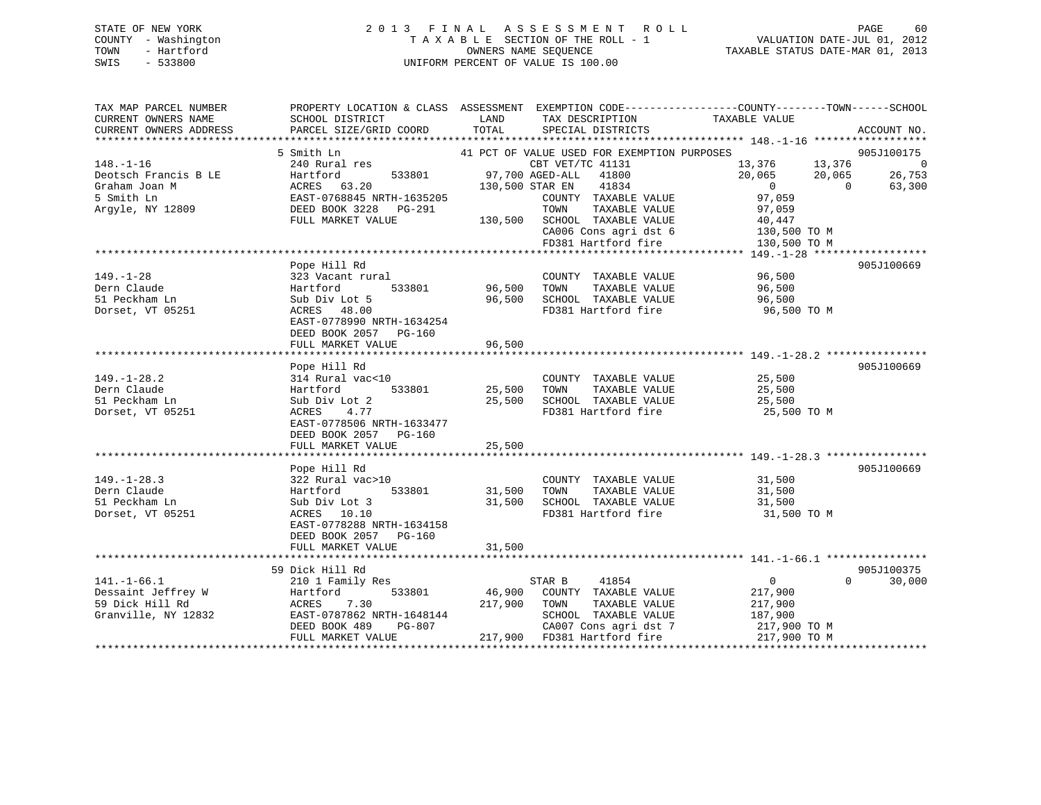## STATE OF NEW YORK 2 0 1 3 F I N A L A S S E S S M E N T R O L L PAGE 60 COUNTY - Washington T A X A B L E SECTION OF THE ROLL - 1 VALUATION DATE-JUL 01, 2012 TOWN - Hartford OWNERS NAME SEQUENCE TAXABLE STATUS DATE-MAR 01, 2013 SWIS - 533800 UNIFORM PERCENT OF VALUE IS 100.00

| PROPERTY LOCATION & CLASS ASSESSMENT EXEMPTION CODE----------------COUNTY-------TOWN------SCHOOL<br>TAX MAP PARCEL NUMBER<br>CURRENT OWNERS NAME<br>SCHOOL DISTRICT<br>LAND<br>TAX DESCRIPTION | TAXABLE VALUE                              |
|------------------------------------------------------------------------------------------------------------------------------------------------------------------------------------------------|--------------------------------------------|
| TOTAL<br>PARCEL SIZE/GRID COORD<br>CURRENT OWNERS ADDRESS<br>SPECIAL DISTRICTS                                                                                                                 | ACCOUNT NO.                                |
| 5 Smith Ln<br>41 PCT OF VALUE USED FOR EXEMPTION PURPOSES                                                                                                                                      | 905J100175                                 |
| $148. - 1 - 16$<br>240 Rural res<br>CBT VET/TC 41131                                                                                                                                           | 13,376<br>$\sim$ 0<br>13,376               |
| Deotsch Francis B LE<br>Hartford<br>533801<br>97,700 AGED-ALL<br>41800                                                                                                                         | 20,065<br>26,753<br>20,065                 |
| ACRES 63.20<br>41834<br>Graham Joan M<br>130,500 STAR EN                                                                                                                                       | $\overline{0}$<br>$\overline{0}$<br>63,300 |
| 5 Smith Ln<br>EAST-0768845 NRTH-1635205<br>COUNTY TAXABLE VALUE                                                                                                                                | 97,059                                     |
| DEED BOOK 3228 PG-291<br>TAXABLE VALUE<br>Argyle, NY 12809<br>TOWN                                                                                                                             | 97,059                                     |
| FULL MARKET VALUE<br>130,500<br>SCHOOL TAXABLE VALUE                                                                                                                                           | 40,447                                     |
| CA006 Cons agri dst 6                                                                                                                                                                          | 130,500 TO M                               |
| FD381 Hartford fire                                                                                                                                                                            | 130,500 TO M                               |
|                                                                                                                                                                                                |                                            |
| Pope Hill Rd                                                                                                                                                                                   | 905J100669                                 |
| $149. - 1 - 28$<br>323 Vacant rural<br>COUNTY TAXABLE VALUE                                                                                                                                    | 96,500                                     |
| 96,500<br>Dern Claude<br>Hartford<br>533801<br>TOWN<br>TAXABLE VALUE                                                                                                                           | 96,500                                     |
| 51 Peckham Ln<br>SCHOOL TAXABLE VALUE<br>Sub Div Lot 5<br>96,500                                                                                                                               | 96,500                                     |
| Dorset, VT 05251<br>FD381 Hartford fire<br>ACRES 48.00                                                                                                                                         | 96,500 TO M                                |
| EAST-0778990 NRTH-1634254                                                                                                                                                                      |                                            |
| DEED BOOK 2057 PG-160                                                                                                                                                                          |                                            |
| FULL MARKET VALUE<br>96,500                                                                                                                                                                    |                                            |
|                                                                                                                                                                                                |                                            |
| Pope Hill Rd                                                                                                                                                                                   | 905J100669                                 |
| $149. - 1 - 28.2$<br>314 Rural vac<10<br>COUNTY TAXABLE VALUE                                                                                                                                  | 25,500                                     |
| Dern Claude<br>533801<br>25,500<br>TOWN<br>TAXABLE VALUE<br>Hartford                                                                                                                           | 25,500                                     |
| 51 Peckham Ln<br>SCHOOL TAXABLE VALUE<br>Sub Div Lot 2<br>25,500                                                                                                                               | 25,500                                     |
| FD381 Hartford fire<br>Dorset, VT 05251<br>ACRES<br>4.77                                                                                                                                       | 25,500 TO M                                |
| EAST-0778506 NRTH-1633477                                                                                                                                                                      |                                            |
| DEED BOOK 2057 PG-160                                                                                                                                                                          |                                            |
| FULL MARKET VALUE<br>25,500                                                                                                                                                                    |                                            |
| Pope Hill Rd                                                                                                                                                                                   | 905J100669                                 |
| $149. - 1 - 28.3$<br>322 Rural vac>10<br>COUNTY TAXABLE VALUE                                                                                                                                  | 31,500                                     |
| Dern Claude<br>533801<br>31,500<br>TOWN<br>TAXABLE VALUE<br>Hartford                                                                                                                           | 31,500                                     |
| 51 Peckham Ln<br>Sub Div Lot 3<br>31,500<br>SCHOOL TAXABLE VALUE                                                                                                                               | 31,500                                     |
| FD381 Hartford fire<br>Dorset, VT 05251<br>ACRES 10.10                                                                                                                                         | 31,500 TO M                                |
| EAST-0778288 NRTH-1634158                                                                                                                                                                      |                                            |
| DEED BOOK 2057 PG-160                                                                                                                                                                          |                                            |
| FULL MARKET VALUE<br>31,500                                                                                                                                                                    |                                            |
|                                                                                                                                                                                                |                                            |
| 59 Dick Hill Rd                                                                                                                                                                                | 905J100375                                 |
| $141. - 1 - 66.1$<br>210 1 Family Res<br>41854<br>STAR B                                                                                                                                       | $\overline{0}$<br>$\Omega$<br>30,000       |
| 46,900<br>Dessaint Jeffrey W<br>533801<br>COUNTY TAXABLE VALUE<br>Hartford                                                                                                                     | 217,900                                    |
| 7.30<br>59 Dick Hill Rd<br>ACRES<br>217,900<br>TAXABLE VALUE<br>TOWN                                                                                                                           | 217,900                                    |
| Granville, NY 12832<br>EAST-0787862 NRTH-1648144<br>SCHOOL TAXABLE VALUE                                                                                                                       | 187,900                                    |
| DEED BOOK 489<br>PG-807<br>CA007 Cons agri dst 7                                                                                                                                               | 217,900 TO M                               |
| FULL MARKET VALUE<br>217,900 FD381 Hartford fire                                                                                                                                               | 217,900 TO M                               |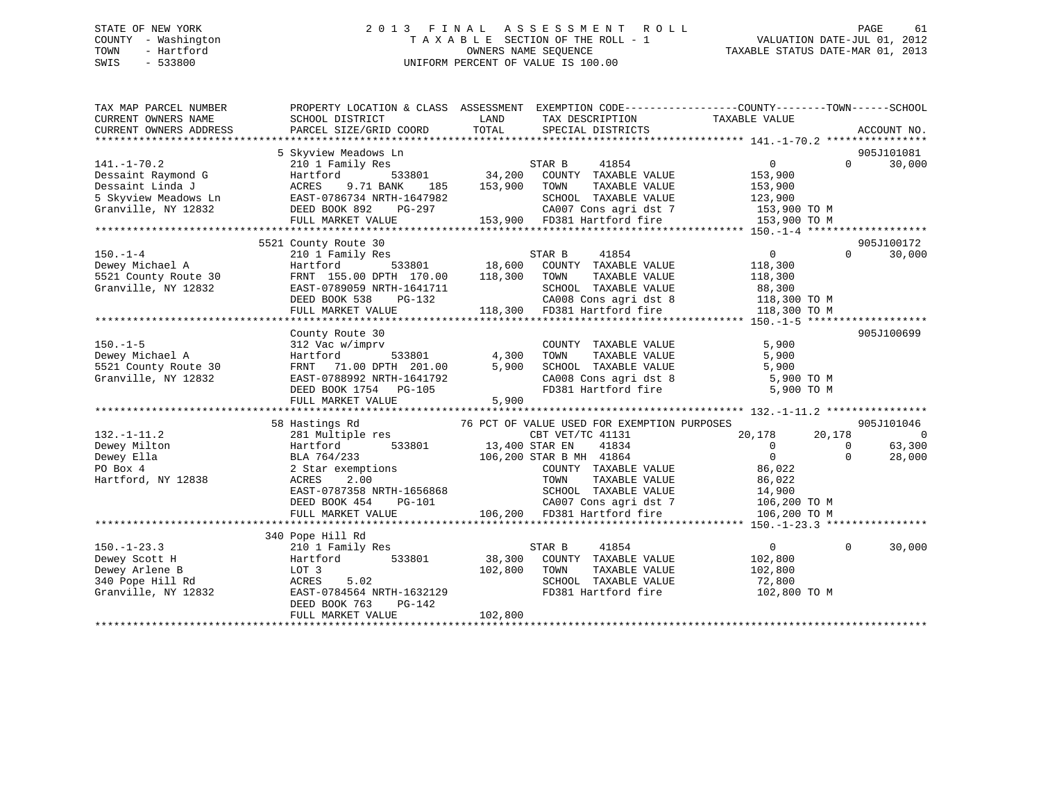## STATE OF NEW YORK 2 0 1 3 F I N A L A S S E S S M E N T R O L L PAGE 61 COUNTY - Washington T A X A B L E SECTION OF THE ROLL - 1 VALUATION DATE-JUL 01, 2012 TOWN - Hartford **TAXABLE STATUS DATE-MAR 01, 2013** OWNERS NAME SEQUENCE TAXABLE STATUS DATE-MAR 01, 2013 SWIS - 533800 UNIFORM PERCENT OF VALUE IS 100.00

| TAX MAP PARCEL NUMBER<br>CURRENT OWNERS NAME<br>CURRENT OWNERS ADDRESS | PROPERTY LOCATION & CLASS ASSESSMENT EXEMPTION CODE---------------COUNTY-------TOWN-----SCHOOL<br>SCHOOL DISTRICT<br>PARCEL SIZE/GRID COORD | LAND<br>TOTAL | TAX DESCRIPTION<br>SPECIAL DISTRICTS        | TAXABLE VALUE                                                                  |                | ACCOUNT NO. |
|------------------------------------------------------------------------|---------------------------------------------------------------------------------------------------------------------------------------------|---------------|---------------------------------------------|--------------------------------------------------------------------------------|----------------|-------------|
|                                                                        |                                                                                                                                             |               |                                             |                                                                                |                |             |
|                                                                        | 5 Skyview Meadows Ln                                                                                                                        |               |                                             |                                                                                |                | 905J101081  |
| $141. - 1 - 70.2$                                                      | 210 1 Family Res                                                                                                                            |               | STAR B 41854<br>34,200 COUNTY TAXABLE VALUE | $\overline{0}$                                                                 | $\Omega$       | 30,000      |
| Dessaint Raymond G                                                     | 533801<br>Hartford                                                                                                                          |               |                                             | 153,900                                                                        |                |             |
| Dessaint Linda J                                                       | ACRES<br>9.71 BANK<br>185                                                                                                                   | 153,900       | TAXABLE VALUE<br>TOWN                       | 153,900                                                                        |                |             |
| 5 Skyview Meadows Ln                                                   | EAST-0786734 NRTH-1647982                                                                                                                   |               | SCHOOL TAXABLE VALUE                        | 123,900                                                                        |                |             |
| Granville, NY 12832                                                    | DEED BOOK 892 PG-297                                                                                                                        |               |                                             | CA007 Cons agri dst 7 153,900 TO M                                             |                |             |
|                                                                        | FULL MARKET VALUE                                                                                                                           |               | 153,900 FD381 Hartford fire                 | 153,900 TO M                                                                   |                |             |
|                                                                        |                                                                                                                                             |               |                                             |                                                                                |                |             |
|                                                                        | 5521 County Route 30                                                                                                                        |               |                                             |                                                                                |                | 905J100172  |
| $150. - 1 - 4$                                                         | 210 1 Family Res                                                                                                                            |               | STAR B<br>41854                             | $\overline{0}$                                                                 | $\Omega$       | 30,000      |
| Dewey Michael A                                                        | 533801<br>Hartford                                                                                                                          | 18,600        | COUNTY TAXABLE VALUE                        | 118,300                                                                        |                |             |
| 5521 County Route 30                                                   | FRNT 155.00 DPTH 170.00                                                                                                                     | 118,300       | TOWN<br>TAXABLE VALUE                       | 118,300                                                                        |                |             |
| Granville, NY 12832                                                    | EAST-0789059 NRTH-1641711                                                                                                                   |               | SCHOOL TAXABLE VALUE                        | 88,300                                                                         |                |             |
|                                                                        | DEED BOOK 538<br>PG-132                                                                                                                     |               | CA008 Cons agri dst 8                       | 118,300 TO M                                                                   |                |             |
|                                                                        | FULL MARKET VALUE                                                                                                                           |               | 118,300 FD381 Hartford fire                 | 118,300 TO M                                                                   |                |             |
|                                                                        |                                                                                                                                             |               |                                             |                                                                                |                |             |
|                                                                        | County Route 30                                                                                                                             |               |                                             |                                                                                |                | 905J100699  |
| $150. - 1 - 5$                                                         | 312 Vac w/imprv                                                                                                                             |               | COUNTY TAXABLE VALUE                        | 5,900                                                                          |                |             |
| Dewey Michael A                                                        | Hartford                                                                                                                                    | 533801 4,300  | TOWN<br>TAXABLE VALUE                       | 5,900                                                                          |                |             |
| 5521 County Route 30                                                   | FRNT 71.00 DPTH 201.00                                                                                                                      | 5,900         | SCHOOL TAXABLE VALUE                        | 5,900<br>SCHOOL TAXABLE VALUE 5,900<br>CA008 Cons agri dst 8 5,900 TO M        |                |             |
| Granville, NY 12832                                                    | EAST-0788992 NRTH-1641792                                                                                                                   |               |                                             |                                                                                |                |             |
|                                                                        | DEED BOOK 1754 PG-105                                                                                                                       |               |                                             | FD381 Hartford fire 5,900 TO M                                                 |                |             |
|                                                                        | FULL MARKET VALUE                                                                                                                           | 5,900         |                                             |                                                                                |                |             |
|                                                                        |                                                                                                                                             |               | 76 PCT OF VALUE USED FOR EXEMPTION PURPOSES |                                                                                |                | 905J101046  |
| $132. - 1 - 11.2$                                                      | 58 Hastings Rd<br>281 Multiple res                                                                                                          |               | CBT VET/TC 41131                            | 20,178                                                                         | 20,178         | $\Omega$    |
| Dewey Milton                                                           | Hartford                                                                                                                                    |               | 41834                                       | $\overline{0}$                                                                 | $\overline{0}$ | 63,300      |
| Dewey Ella                                                             | 533801 13,400 STAR EN                                                                                                                       |               | 106,200 STAR B MH 41864                     | $\overline{0}$                                                                 | $\Omega$       | 28,000      |
| PO Box 4                                                               | BLA 764/233<br>2 Star exemptions                                                                                                            |               | COUNTY TAXABLE VALUE                        | 86,022                                                                         |                |             |
| Hartford, NY 12838                                                     | 2.00<br>ACRES                                                                                                                               |               |                                             |                                                                                |                |             |
|                                                                        | EAST-0787358 NRTH-1656868                                                                                                                   |               |                                             |                                                                                |                |             |
|                                                                        | DEED BOOK 454<br>PG-101                                                                                                                     |               |                                             |                                                                                |                |             |
|                                                                        | FULL MARKET VALUE                                                                                                                           |               |                                             | CA007 Cons agri dst 7 106,200 TO M<br>106,200 FD381 Hartford fire 106,200 TO M |                |             |
|                                                                        |                                                                                                                                             |               |                                             |                                                                                |                |             |
|                                                                        | 340 Pope Hill Rd                                                                                                                            |               |                                             |                                                                                |                |             |
| $150. - 1 - 23.3$                                                      | 210 1 Family Res                                                                                                                            |               | STAR B<br>41854                             | $\overline{0}$                                                                 | $\Omega$       | 30,000      |
| Dewey Scott H                                                          | 533801<br>Hartford                                                                                                                          | 38,300        | COUNTY TAXABLE VALUE                        | 102,800                                                                        |                |             |
| Dewey Arlene B                                                         | LOT 3                                                                                                                                       | 102,800       | TAXABLE VALUE<br>TOWN                       | 102,800                                                                        |                |             |
| 340 Pope Hill Rd                                                       | ACRES<br>5.02                                                                                                                               |               | SCHOOL TAXABLE VALUE                        | 72,800                                                                         |                |             |
| Granville, NY 12832                                                    | EAST-0784564 NRTH-1632129                                                                                                                   |               | FD381 Hartford fire                         | 102,800 TO M                                                                   |                |             |
|                                                                        | DEED BOOK 763<br>PG-142                                                                                                                     |               |                                             |                                                                                |                |             |
|                                                                        | FULL MARKET VALUE                                                                                                                           | 102,800       |                                             |                                                                                |                |             |
|                                                                        |                                                                                                                                             |               |                                             |                                                                                |                |             |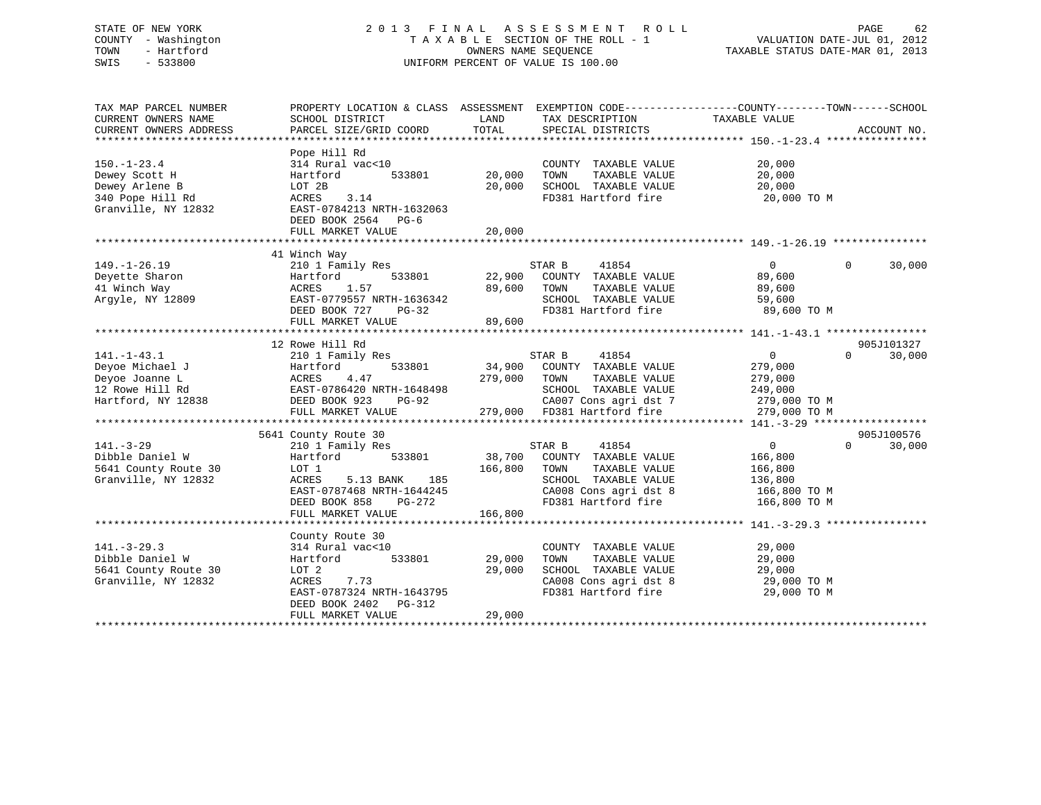## STATE OF NEW YORK 2 0 1 3 F I N A L A S S E S S M E N T R O L L PAGE 62 COUNTY - Washington T A X A B L E SECTION OF THE ROLL - 1 VALUATION DATE-JUL 01, 2012 TOWN - Hartford **TAXABLE STATUS DATE-MAR 01, 2013** OWNERS NAME SEQUENCE TAXABLE STATUS DATE-MAR 01, 2013 SWIS - 533800 UNIFORM PERCENT OF VALUE IS 100.00

| TAX MAP PARCEL NUMBER<br>CURRENT OWNERS NAME<br>CURRENT OWNERS ADDRESS                          | PROPERTY LOCATION & CLASS ASSESSMENT<br>SCHOOL DISTRICT<br>PARCEL SIZE/GRID COORD                                                                                 | LAND<br>TOTAL                | TAX DESCRIPTION<br>SPECIAL DISTRICTS                                                                                                             | EXEMPTION CODE-----------------COUNTY-------TOWN------SCHOOL<br>TAXABLE VALUE               | ACCOUNT NO. |
|-------------------------------------------------------------------------------------------------|-------------------------------------------------------------------------------------------------------------------------------------------------------------------|------------------------------|--------------------------------------------------------------------------------------------------------------------------------------------------|---------------------------------------------------------------------------------------------|-------------|
| $150. - 1 - 23.4$<br>Dewey Scott H<br>Dewey Arlene B<br>340 Pope Hill Rd<br>Granville, NY 12832 | Pope Hill Rd<br>314 Rural vac<10<br>Hartford<br>533801<br>LOT 2B<br>ACRES<br>3.14<br>EAST-0784213 NRTH-1632063<br>DEED BOOK 2564 PG-6<br>FULL MARKET VALUE        | 20,000<br>20,000<br>20,000   | COUNTY TAXABLE VALUE<br>TOWN<br>TAXABLE VALUE<br>SCHOOL TAXABLE VALUE<br>FD381 Hartford fire                                                     | 20,000<br>20,000<br>20,000<br>20,000 TO M                                                   |             |
|                                                                                                 |                                                                                                                                                                   |                              |                                                                                                                                                  |                                                                                             |             |
| $149. - 1 - 26.19$<br>Deyette Sharon<br>41 Winch Way<br>Arqyle, NY 12809                        | 41 Winch Way<br>210 1 Family Res<br>533801<br>Hartford<br>1.57<br>ACRES<br>EAST-0779557 NRTH-1636342<br>DEED BOOK 727<br>PG-32<br>FULL MARKET VALUE               | 22,900<br>89,600<br>89,600   | STAR B<br>41854<br>COUNTY TAXABLE VALUE<br>TOWN<br>TAXABLE VALUE<br>SCHOOL TAXABLE VALUE<br>FD381 Hartford fire                                  | $\Omega$<br>$\Omega$<br>89,600<br>89,600<br>59,600<br>89,600 TO M                           | 30,000      |
|                                                                                                 |                                                                                                                                                                   |                              |                                                                                                                                                  |                                                                                             |             |
|                                                                                                 | 12 Rowe Hill Rd                                                                                                                                                   |                              |                                                                                                                                                  |                                                                                             | 905J101327  |
| $141. - 1 - 43.1$<br>Deyoe Michael J<br>Deyoe Joanne L<br>12 Rowe Hill Rd<br>Hartford, NY 12838 | 210 1 Family Res<br>Hartford<br>533801<br>ACRES<br>4.47<br>EAST-0786420 NRTH-1648498<br>DEED BOOK 923<br>$PG-92$<br>FULL MARKET VALUE                             | 34,900<br>279,000            | 41854<br>STAR B<br>COUNTY TAXABLE VALUE<br>TAXABLE VALUE<br>TOWN<br>SCHOOL TAXABLE VALUE<br>CA007 Cons agri dst 7<br>279,000 FD381 Hartford fire | $\overline{0}$<br>$\Omega$<br>279,000<br>279,000<br>249,000<br>279,000 TO M<br>279,000 TO M | 30,000      |
|                                                                                                 |                                                                                                                                                                   |                              |                                                                                                                                                  |                                                                                             |             |
|                                                                                                 | 5641 County Route 30                                                                                                                                              |                              |                                                                                                                                                  |                                                                                             | 905J100576  |
| $141. - 3 - 29$<br>Dibble Daniel W<br>5641 County Route 30<br>Granville, NY 12832               | 210 1 Family Res<br>Hartford<br>533801<br>LOT 1<br>185<br>ACRES<br>5.13 BANK<br>EAST-0787468 NRTH-1644245<br>DEED BOOK 858<br>PG-272<br>FULL MARKET VALUE         | 38,700<br>166,800<br>166,800 | 41854<br>STAR B<br>COUNTY TAXABLE VALUE<br>TOWN<br>TAXABLE VALUE<br>SCHOOL TAXABLE VALUE<br>CA008 Cons agri dst 8<br>FD381 Hartford fire         | $\Omega$<br>$\overline{0}$<br>166,800<br>166,800<br>136,800<br>166,800 ТО М<br>166,800 TO M | 30,000      |
|                                                                                                 |                                                                                                                                                                   |                              |                                                                                                                                                  |                                                                                             |             |
| $141. - 3 - 29.3$<br>Dibble Daniel W<br>5641 County Route 30<br>Granville, NY 12832             | County Route 30<br>314 Rural vac<10<br>Hartford<br>533801<br>LOT 2<br>ACRES<br>7.73<br>EAST-0787324 NRTH-1643795<br>DEED BOOK 2402<br>PG-312<br>FULL MARKET VALUE | 29,000<br>29,000<br>29,000   | COUNTY TAXABLE VALUE<br>TOWN<br>TAXABLE VALUE<br>SCHOOL TAXABLE VALUE<br>CA008 Cons agri dst 8<br>FD381 Hartford fire                            | 29,000<br>29,000<br>29,000<br>29,000 TO M<br>29,000 TO M                                    |             |
|                                                                                                 |                                                                                                                                                                   |                              |                                                                                                                                                  |                                                                                             |             |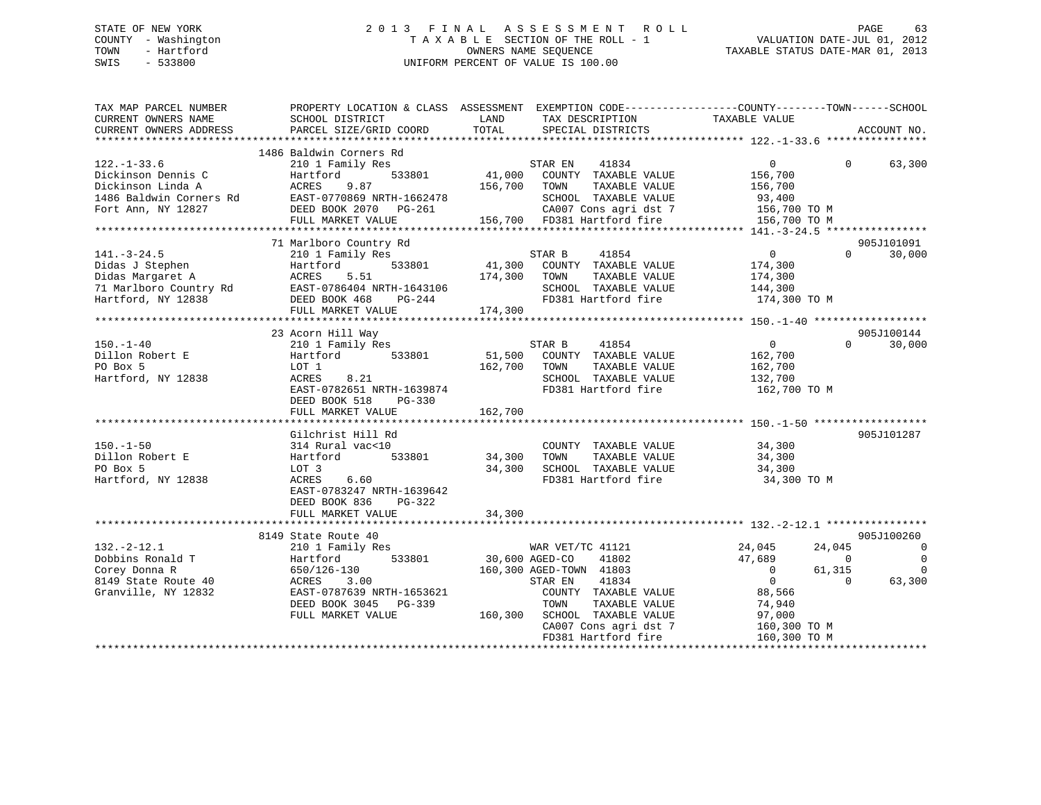## STATE OF NEW YORK 2 0 1 3 F I N A L A S S E S S M E N T R O L L PAGE 63 COUNTY - Washington T A X A B L E SECTION OF THE ROLL - 1 VALUATION DATE-JUL 01, 2012 TOWN - Hartford **TAXABLE STATUS DATE-MAR 01, 2013** OWNERS NAME SEQUENCE TAXABLE STATUS DATE-MAR 01, 2013 SWIS - 533800 UNIFORM PERCENT OF VALUE IS 100.00

| SCHOOL DISTRICT<br>PARCEL SIZE/GRID COORD                                                                                                                                                                                      | LAND<br>TOTAL                                                                                            | SPECIAL DISTRICTS                                                             |                                                                                                                                                                                                                                                                                                                                                      | ACCOUNT NO.                                                                                                                                                                                                                                                                                                                  |
|--------------------------------------------------------------------------------------------------------------------------------------------------------------------------------------------------------------------------------|----------------------------------------------------------------------------------------------------------|-------------------------------------------------------------------------------|------------------------------------------------------------------------------------------------------------------------------------------------------------------------------------------------------------------------------------------------------------------------------------------------------------------------------------------------------|------------------------------------------------------------------------------------------------------------------------------------------------------------------------------------------------------------------------------------------------------------------------------------------------------------------------------|
| 1486 Baldwin Corners Rd<br>210 1 Family Res<br>Hartford<br>533801<br>ACRES<br>9.87<br>EAST-0770869 NRTH-1662478<br>DEED BOOK 2070 PG-261<br>FULL MARKET VALUE                                                                  |                                                                                                          | 41834<br>TAXABLE VALUE<br>SCHOOL TAXABLE VALUE                                | $\overline{0}$<br>$\Omega$<br>156,700<br>156,700<br>93,400                                                                                                                                                                                                                                                                                           | 63,300                                                                                                                                                                                                                                                                                                                       |
|                                                                                                                                                                                                                                |                                                                                                          |                                                                               |                                                                                                                                                                                                                                                                                                                                                      | 905J101091                                                                                                                                                                                                                                                                                                                   |
| 210 1 Family Res<br>533801<br>Hartford<br>Didas Margaret A<br>Tidas Margaret A<br>71 Marlboro Country Rd<br>Hartford, NY 12838<br>5.51<br>ACRES<br>EAST-0786404 NRTH-1643106<br>DEED BOOK 468<br>$PG-244$<br>FULL MARKET VALUE |                                                                                                          | 41854<br>TAXABLE VALUE<br>SCHOOL TAXABLE VALUE                                | $\overline{0}$<br>$\Omega$<br>174,300<br>174,300<br>144,300                                                                                                                                                                                                                                                                                          | 30,000                                                                                                                                                                                                                                                                                                                       |
|                                                                                                                                                                                                                                |                                                                                                          |                                                                               |                                                                                                                                                                                                                                                                                                                                                      |                                                                                                                                                                                                                                                                                                                              |
| 210 1 Family Res<br>533801<br>Hartford<br>LOT 1<br>8.21<br>ACRES<br>EAST-0782651 NRTH-1639874<br>DEED BOOK 518<br>$PG-330$<br>FULL MARKET VALUE                                                                                | 162,700<br>162,700                                                                                       | 41854<br>TOWN<br>TAXABLE VALUE<br>SCHOOL TAXABLE VALUE<br>FD381 Hartford fire | $\overline{0}$<br>$\Omega$<br>162,700<br>162,700<br>132,700<br>162,700 TO M                                                                                                                                                                                                                                                                          | 905J100144<br>30,000                                                                                                                                                                                                                                                                                                         |
|                                                                                                                                                                                                                                |                                                                                                          |                                                                               |                                                                                                                                                                                                                                                                                                                                                      |                                                                                                                                                                                                                                                                                                                              |
| 314 Rural vac<10<br>533801<br>Hartford<br>LOT 3<br>6.60<br>ACRES<br>EAST-0783247 NRTH-1639642<br>$PG-322$                                                                                                                      |                                                                                                          | COUNTY TAXABLE VALUE<br>TAXABLE VALUE<br>FD381 Hartford fire                  | 34,300<br>34,300 TO M                                                                                                                                                                                                                                                                                                                                | 905J101287                                                                                                                                                                                                                                                                                                                   |
| FULL MARKET VALUE                                                                                                                                                                                                              | 34,300                                                                                                   |                                                                               |                                                                                                                                                                                                                                                                                                                                                      |                                                                                                                                                                                                                                                                                                                              |
|                                                                                                                                                                                                                                |                                                                                                          |                                                                               |                                                                                                                                                                                                                                                                                                                                                      |                                                                                                                                                                                                                                                                                                                              |
| 210 1 Family Res<br>533801<br>Hartford<br>650/126-130<br>3.00<br>ACRES<br>EAST-0787639 NRTH-1653621<br>DEED BOOK 3045 PG-339<br>FULL MARKET VALUE                                                                              |                                                                                                          | 41802<br>41834<br>TAXABLE VALUE<br>TOWN<br>CA007 Cons agri dst 7              | 24,045<br>24,045<br>47,689<br>$\overline{\phantom{0}}$<br>61,315<br>$\overline{0}$<br>$\overline{0}$<br>$\Omega$<br>88,566<br>74,940<br>97,000<br>160,300 TO M                                                                                                                                                                                       | 905J100260<br>$\overline{0}$<br>$\mathbf 0$<br>$\Omega$<br>63,300                                                                                                                                                                                                                                                            |
|                                                                                                                                                                                                                                | 71 Marlboro Country Rd<br>23 Acorn Hill Way<br>Gilchrist Hill Rd<br>DEED BOOK 836<br>8149 State Route 40 |                                                                               | STAR EN<br>41,000 COUNTY TAXABLE VALUE<br>156,700 TOWN<br>STAR B<br>41,300 COUNTY TAXABLE VALUE<br>174,300 TOWN<br>174,300<br>STAR B<br>51,500 COUNTY TAXABLE VALUE<br>34,300 TOWN<br>34,300 SCHOOL TAXABLE VALUE<br>WAR VET/TC 41121<br>30,600 AGED-CO<br>160,300 AGED-TOWN 41803<br>STAR EN<br>160,300 SCHOOL TAXABLE VALUE<br>FD381 Hartford fire | PROPERTY LOCATION & CLASS ASSESSMENT EXEMPTION CODE---------------COUNTY-------TOWN-----SCHOOL<br>TAX DESCRIPTION TAXABLE VALUE<br>3-261 CA007 Cons agri dst 7 156,700 TO M<br>156,700 FD381 Hartford fire 156,700 TO M<br>FD381 Hartford fire 174,300 TO M<br>$\frac{34}{34}$ , 300<br>COUNTY TAXABLE VALUE<br>160,300 TO M |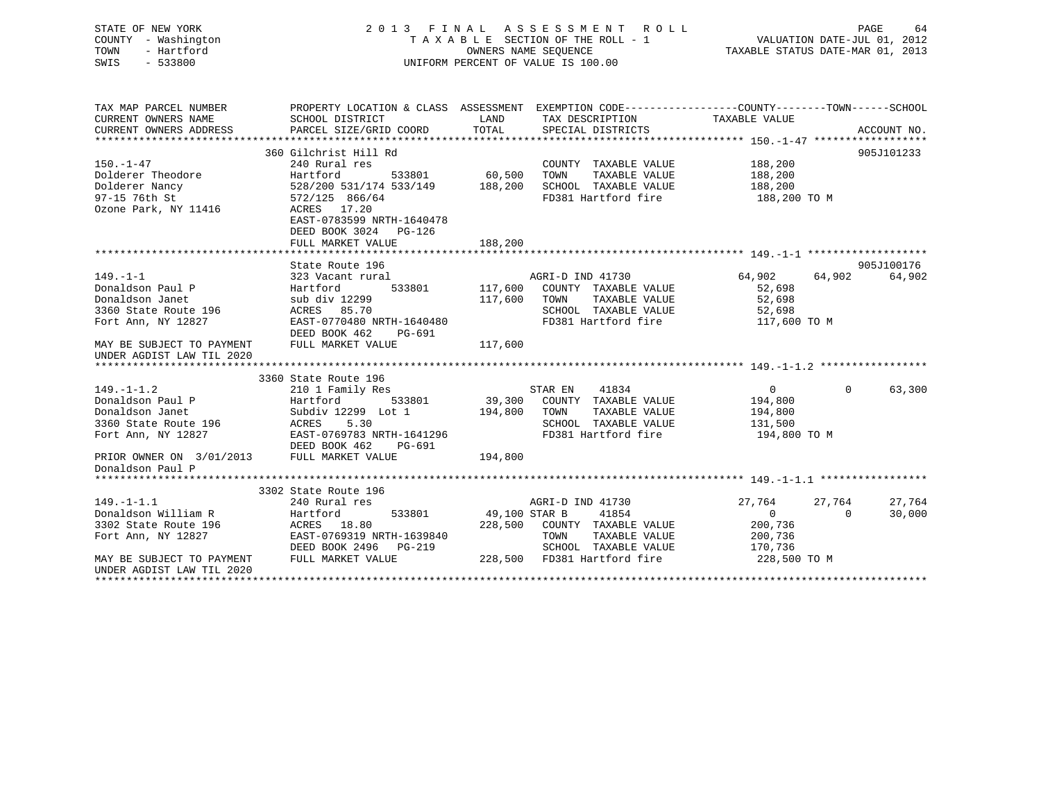| STATE OF NEW YORK<br>COUNTY - Washington<br>- Hartford<br>TOWN<br>$-533800$<br>SWIS |                                                                                                                                              |         | 2013 FINAL ASSESSMENT ROLL<br>OWNERS NAME SEQUENCE<br>UNIFORM PERCENT OF VALUE IS 100.00 |                        | 64<br>PAGE         |
|-------------------------------------------------------------------------------------|----------------------------------------------------------------------------------------------------------------------------------------------|---------|------------------------------------------------------------------------------------------|------------------------|--------------------|
| TAX MAP PARCEL NUMBER                                                               | PROPERTY LOCATION & CLASS ASSESSMENT EXEMPTION CODE---------------COUNTY-------TOWN------SCHOOL                                              |         |                                                                                          |                        |                    |
| CURRENT OWNERS NAME<br>CURRENT OWNERS ADDRESS                                       | SCHOOL DISTRICT<br>PARCEL SIZE/GRID COORD TOTAL SPECIAL DISTRICTS                                                                            |         | LAND TAX DESCRIPTION TAXABLE VALUE                                                       |                        | ACCOUNT NO.        |
|                                                                                     |                                                                                                                                              |         |                                                                                          |                        |                    |
|                                                                                     | 360 Gilchrist Hill Rd                                                                                                                        |         |                                                                                          |                        | 905J101233         |
| $150. - 1 - 47$                                                                     | 240 Rural res<br>240 Rural res<br>533801 60,500 TOWN TAXABLE VALUE<br>528/200 531/174 533/149 188,200 SCHOOL TAXABLE VALUE<br>572/125 866/64 |         | COUNTY TAXABLE VALUE 188,200                                                             |                        |                    |
| Dolderer Theodore                                                                   |                                                                                                                                              |         |                                                                                          | 188,200                |                    |
| Dolderer Nancy                                                                      |                                                                                                                                              |         | SCHOOL TAXABLE VALUE 188,200<br>FD381 Hartford fire 188,200 TO M                         |                        |                    |
| 97-15 76th St                                                                       |                                                                                                                                              |         |                                                                                          |                        |                    |
| Ozone Park, NY 11416                                                                | ACRES 17.20                                                                                                                                  |         |                                                                                          |                        |                    |
|                                                                                     | EAST-0783599 NRTH-1640478                                                                                                                    |         |                                                                                          |                        |                    |
|                                                                                     | DEED BOOK 3024 PG-126                                                                                                                        |         |                                                                                          |                        |                    |
|                                                                                     | FULL MARKET VALUE                                                                                                                            | 188,200 |                                                                                          |                        |                    |
|                                                                                     | State Route 196                                                                                                                              |         |                                                                                          |                        | 905J100176         |
| $149. - 1 - 1$                                                                      | 323 Vacant rural                                                                                                                             |         | AGRI-D IND 41730                                                                         | $64,902$ $64,902$      | 64,902             |
| Donaldson Paul P                                                                    | Hartford                                                                                                                                     |         | 533801 117,600 COUNTY TAXABLE VALUE                                                      | 52,698                 |                    |
| Donaldson Janet                                                                     | sub div 12299 117,600 TOWN                                                                                                                   |         | TAXABLE VALUE                                                                            | 52,698                 |                    |
| 3360 State Route 196                                                                | ACRES 85.70                                                                                                                                  |         |                                                                                          |                        |                    |
| Fort Ann, NY 12827                                                                  | EAST-0770480 NRTH-1640480<br>DEED BOOK 462<br>PG-691                                                                                         |         | SCHOOL TAXABLE VALUE<br>FD381 Hartford fire                                              | 52,698<br>117,600 TO M |                    |
| MAY BE SUBJECT TO PAYMENT<br>UNDER AGDIST LAW TIL 2020                              | FULL MARKET VALUE                                                                                                                            | 117,600 |                                                                                          |                        |                    |
|                                                                                     |                                                                                                                                              |         |                                                                                          |                        |                    |
|                                                                                     | 3360 State Route 196                                                                                                                         |         |                                                                                          |                        |                    |
| $149. - 1 - 1.2$                                                                    | 210 1 Family Res                                                                                                                             |         | 41834<br>STAR EN                                                                         | $\overline{0}$         | $\Omega$<br>63,300 |
| Donaldson Paul P                                                                    | Hartford                                                                                                                                     |         | 533801 39,300 COUNTY TAXABLE VALUE 194,800                                               |                        |                    |
| Donaldson Janet                                                                     | Subdiv 12299 Lot 1 194,800 TOWN                                                                                                              |         | TAXABLE VALUE                                                                            | 194,800                |                    |
| 3360 State Route 196                                                                | ACRES<br>5.30                                                                                                                                |         | SCHOOL TAXABLE VALUE                                                                     | 131,500                |                    |
| Fort Ann, NY 12827                                                                  | EAST-0769783 NRTH-1641296<br>DEED BOOK 462<br>PG-691                                                                                         |         | FD381 Hartford fire the 194,800 TO M                                                     |                        |                    |
| PRIOR OWNER ON 3/01/2013 FULL MARKET VALUE<br>Donaldson Paul P                      |                                                                                                                                              | 194,800 |                                                                                          |                        |                    |
|                                                                                     |                                                                                                                                              |         |                                                                                          |                        |                    |

|                           | 3302 State Route 196      |                                    |                  |        |
|---------------------------|---------------------------|------------------------------------|------------------|--------|
| $149. - 1 - 1.1$          | 240 Rural res             | AGRI-D IND 41730                   | 27,764<br>27.764 | 27,764 |
| Donaldson William R       | 533801<br>Hartford        | 49,100 STAR B<br>41854             |                  | 30,000 |
| 3302 State Route 196      | ACRES 18.80               | 228,500<br>TAXABLE VALUE<br>COUNTY | 200,736          |        |
| Fort Ann, NY 12827        | EAST-0769319 NRTH-1639840 | TOWN<br>TAXABLE VALUE              | 200,736          |        |
|                           | DEED BOOK 2496 PG-219     | TAXABLE VALUE<br>SCHOOL            | 170,736          |        |
| MAY BE SUBJECT TO PAYMENT | FULL MARKET VALUE         | FD381 Hartford fire<br>228,500     | 228,500 TO M     |        |
| UNDER AGDIST LAW TIL 2020 |                           |                                    |                  |        |
|                           |                           |                                    |                  |        |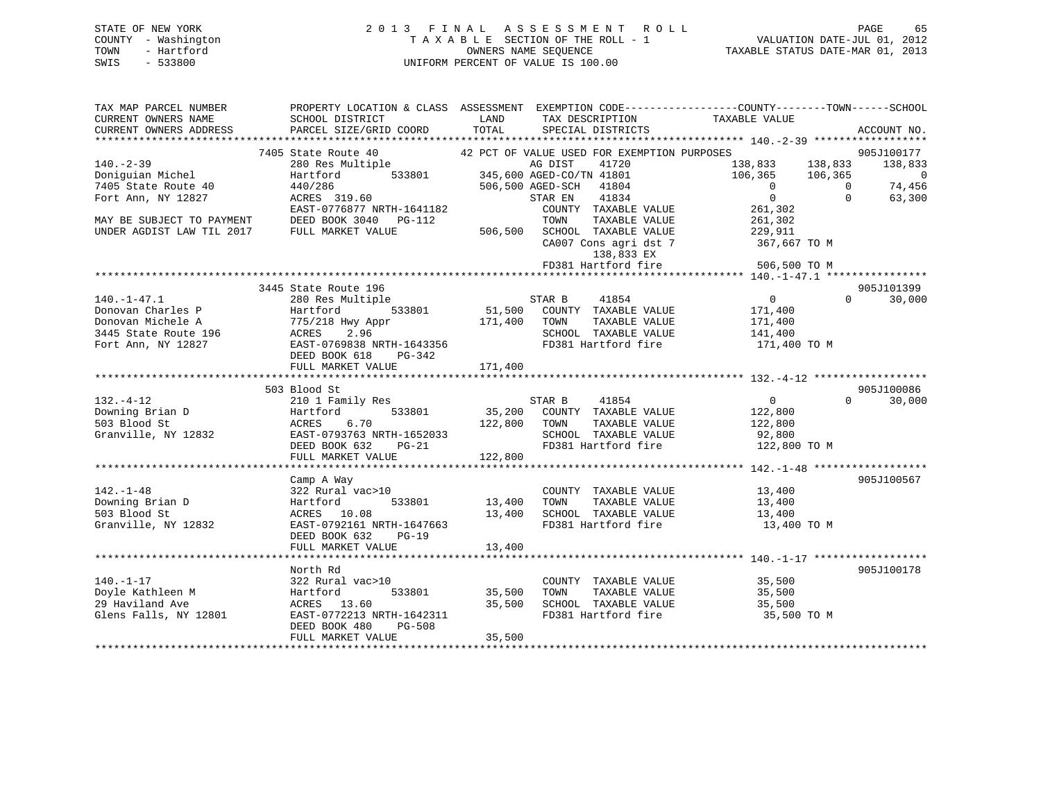| STATE OF NEW YORK   | 2013 FINAL ASSESSMENT ROLL         | 65<br>PAGE                       |
|---------------------|------------------------------------|----------------------------------|
| COUNTY - Washington | TAXABLE SECTION OF THE ROLL - 1    | VALUATION DATE-JUL 01, 2012      |
| TOWN<br>- Hartford  | OWNERS NAME SEOUENCE               | TAXABLE STATUS DATE-MAR 01, 2013 |
| - 533800<br>SWIS    | UNIFORM PERCENT OF VALUE IS 100.00 |                                  |

| TAX MAP PARCEL NUMBER     | PROPERTY LOCATION & CLASS ASSESSMENT EXEMPTION CODE--------------COUNTY-------TOWN-----SCHOOL             |               |                                             |                                                                 |                          |
|---------------------------|-----------------------------------------------------------------------------------------------------------|---------------|---------------------------------------------|-----------------------------------------------------------------|--------------------------|
| CURRENT OWNERS NAME       | SCHOOL DISTRICT                                                                                           | LAND          | TAX DESCRIPTION                             | TAXABLE VALUE                                                   |                          |
|                           | CURRENT OWNERS ADDRESS PARCEL SIZE/GRID COORD TOTAL                                                       |               | SPECIAL DISTRICTS                           |                                                                 | ACCOUNT NO.              |
|                           |                                                                                                           |               |                                             |                                                                 |                          |
|                           | 7405 State Route 40                                                                                       |               | 42 PCT OF VALUE USED FOR EXEMPTION PURPOSES |                                                                 | 905J100177               |
| $140. -2 - 39$            | 280 Res Multiple<br>Hartford 533801 345,600 AGED-CO/TN 41801<br>1804 1804                                 |               |                                             | 138,833 138,833<br>106,365 106,365                              | 138,833                  |
| Doniguian Michel          |                                                                                                           |               |                                             |                                                                 | $\overline{\phantom{0}}$ |
| 7405 State Route 40       | 440/286<br>ACRES 319.60                                                                                   |               | 506,500 AGED-SCH<br>41804                   | $\overline{0}$                                                  | 74,456<br>$\overline{0}$ |
| Fort Ann, NY 12827        |                                                                                                           |               | 41834<br>STAR EN                            | $\Omega$                                                        | $\Omega$<br>63,300       |
|                           | EAST-0776877 NRTH-1641182                                                                                 |               | COUNTY TAXABLE VALUE                        | 261,302                                                         |                          |
| MAY BE SUBJECT TO PAYMENT | DEED BOOK 3040 PG-112                                                                                     |               | TOWN<br>TAXABLE VALUE                       | 261,302                                                         |                          |
| UNDER AGDIST LAW TIL 2017 | FULL MARKET VALUE                                                                                         |               | 506,500 SCHOOL TAXABLE VALUE 229,911        |                                                                 |                          |
|                           |                                                                                                           |               | CA007 Cons agri dst 7                       | 367,667 TO M                                                    |                          |
|                           |                                                                                                           |               | 138,833 EX                                  |                                                                 |                          |
|                           |                                                                                                           |               | FD381 Hartford fire                         | 506,500 TO M                                                    |                          |
|                           |                                                                                                           |               |                                             |                                                                 |                          |
|                           | 3445 State Route 196                                                                                      |               |                                             |                                                                 | 905J101399               |
| $140. - 1 - 47.1$         | 280 Res Multiple                                                                                          | STAR B        | 41854                                       | $\overline{0}$                                                  | $\Omega$<br>30,000       |
| Donovan Charles P         | Hartford 533801 51,500 COUNTY TAXABLE VALUE<br>775/218 Hwy Appr 171,400 TOWN TAXABLE VALUE                |               |                                             | 171,400                                                         |                          |
|                           |                                                                                                           |               |                                             | 171,400                                                         |                          |
|                           |                                                                                                           |               | SCHOOL TAXABLE VALUE 141,400                |                                                                 |                          |
|                           | 0011 11,50 112827<br>Fort Ann, NY 12827<br>Tot Ann, NY 12827<br>DEED BOOK 618<br>DEED BOOK 618<br>POC-242 |               | FD381 Hartford fire                         | 171,400 TO M                                                    |                          |
|                           |                                                                                                           |               |                                             |                                                                 |                          |
|                           | FULL MARKET VALUE                                                                                         | 171,400       |                                             |                                                                 |                          |
|                           |                                                                                                           |               |                                             |                                                                 |                          |
|                           | 503 Blood St                                                                                              |               |                                             |                                                                 | 905J100086               |
| $132. - 4 - 12$           | 210 1 Family Res                                                                                          |               | STAR B 41854                                | $\overline{0}$                                                  | $\Omega$<br>30,000       |
| Downing Brian $D$         | 533801<br>Hartford                                                                                        |               | 35,200 COUNTY TAXABLE VALUE                 | 122,800                                                         |                          |
| 503 Blood St              | ACRES 6.70                                                                                                |               | 122,800 TOWN<br>TAXABLE VALUE               | 122,800                                                         |                          |
| Granville, NY 12832       |                                                                                                           |               |                                             |                                                                 |                          |
|                           | DEED BOOK 632                                                                                             |               | FD381 Hartford fire                         | SCHOOL TAXABLE VALUE 92,800<br>FD381 Hartford fire 122,800 TO M |                          |
|                           | FULL MARKET VALUE                                                                                         | 122,800       |                                             |                                                                 |                          |
|                           |                                                                                                           |               |                                             |                                                                 |                          |
|                           | Camp A Way                                                                                                |               |                                             |                                                                 | 905J100567               |
| $142. - 1 - 48$           | 322 Rural vac>10                                                                                          |               | COUNTY TAXABLE VALUE 13,400                 |                                                                 |                          |
| Downing Brian D           | Hartford                                                                                                  | 533801 13,400 | TOWN                                        | TAXABLE VALUE 13,400                                            |                          |
| 503 Blood St              | ACRES 10.08                                                                                               |               | 13,400 SCHOOL TAXABLE VALUE 13,400          |                                                                 |                          |
| Granville, NY 12832       | EAST-0792161 NRTH-1647663                                                                                 |               | FD381 Hartford fire                         | 13,400 TO M                                                     |                          |
|                           | DEED BOOK 632<br>$PG-19$                                                                                  |               |                                             |                                                                 |                          |
|                           |                                                                                                           |               |                                             |                                                                 |                          |
|                           |                                                                                                           |               |                                             |                                                                 |                          |
|                           | North Rd                                                                                                  |               |                                             |                                                                 | 905J100178               |
| $140. - 1 - 17$           | 322 Rural vac>10                                                                                          |               | COUNTY TAXABLE VALUE                        | 35,500                                                          |                          |
| Doyle Kathleen M          | 533801<br>Hartford                                                                                        | 35,500        | TAXABLE VALUE<br>TOWN                       | 35,500                                                          |                          |
| 29 Haviland Ave           | ACRES 13.60                                                                                               | 35,500        | SCHOOL TAXABLE VALUE 35,500                 |                                                                 |                          |
| Glens Falls, NY 12801     | EAST-0772213 NRTH-1642311                                                                                 |               | FD381 Hartford fire                         | 35,500 TO M                                                     |                          |
|                           | DEED BOOK 480<br>PG-508                                                                                   |               |                                             |                                                                 |                          |
|                           | FULL MARKET VALUE                                                                                         | 35,500        |                                             |                                                                 |                          |
|                           |                                                                                                           |               |                                             |                                                                 |                          |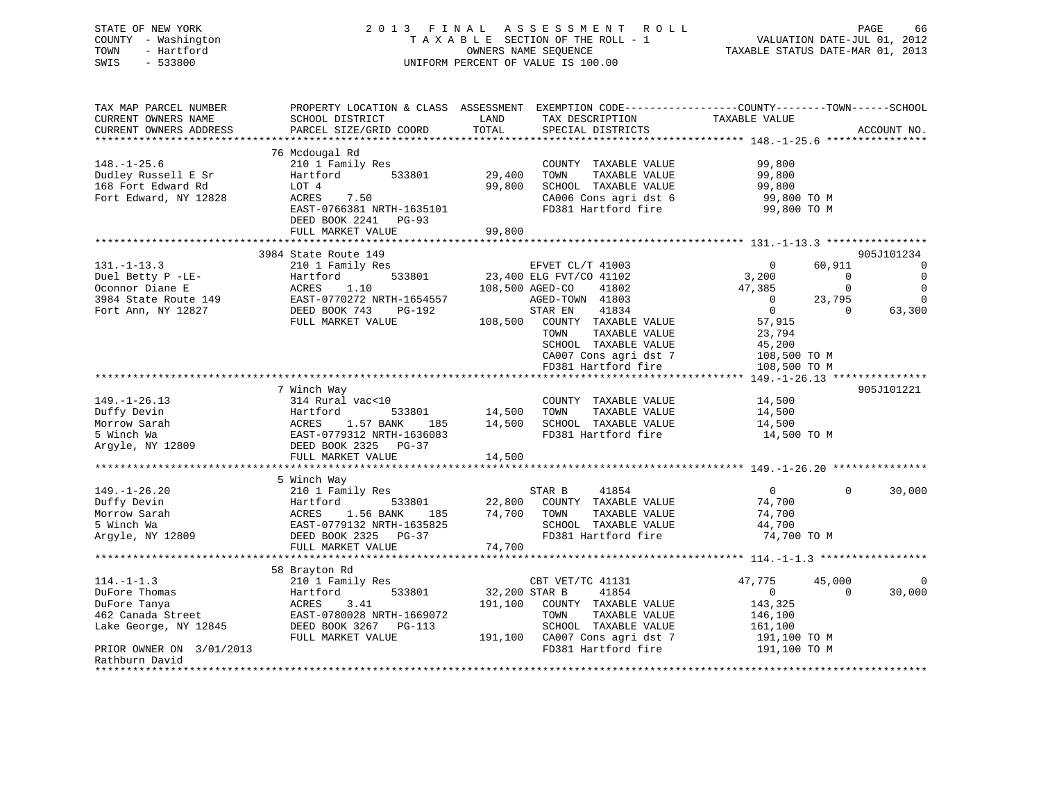| STATE OF NEW YORK<br>COUNTY - Washington<br>TOWN<br>- Hartford<br>SWIS<br>$-533800$ | 2013 FINAL                                 | ASSESSMENT<br>ROLL<br>TAXABLE SECTION OF THE ROLL - 1<br>OWNERS NAME SEQUENCE<br>UNIFORM PERCENT OF VALUE IS 100.00                                       | PAGE<br>66<br>VALUATION DATE-JUL 01, 2012<br>TAXABLE STATUS DATE-MAR 01, 2013 |
|-------------------------------------------------------------------------------------|--------------------------------------------|-----------------------------------------------------------------------------------------------------------------------------------------------------------|-------------------------------------------------------------------------------|
| TAX MAP PARCEL NUMBER<br>CURRENT OWNERS NAME<br>CURRENT OWNERS ADDRESS              | SCHOOL DISTRICT<br>PARCEL SIZE/GRID COORD  | PROPERTY LOCATION & CLASS ASSESSMENT EXEMPTION CODE----------------COUNTY-------TOWN------SCHOOL<br>LAND<br>TAX DESCRIPTION<br>TOTAL<br>SPECIAL DISTRICTS | TAXABLE VALUE<br>ACCOUNT NO.                                                  |
| ***********************                                                             |                                            |                                                                                                                                                           |                                                                               |
| $148. - 1 - 25.6$                                                                   | 76 Mcdougal Rd<br>210 1 Family Res         | COUNTY TAXABLE VALUE                                                                                                                                      | 99,800                                                                        |
| Dudley Russell E Sr                                                                 | Hartford<br>533801                         | 29,400<br>TOWN<br>TAXABLE VALUE                                                                                                                           | 99,800                                                                        |
| 168 Fort Edward Rd                                                                  | LOT 4                                      | 99,800<br>SCHOOL TAXABLE VALUE                                                                                                                            | 99,800                                                                        |
| Fort Edward, NY 12828                                                               | ACRES<br>7.50                              | CA006 Cons agri dst 6                                                                                                                                     | 99,800 TO M                                                                   |
|                                                                                     | EAST-0766381 NRTH-1635101                  | FD381 Hartford fire                                                                                                                                       | 99,800 TO M                                                                   |
|                                                                                     | DEED BOOK 2241 PG-93                       |                                                                                                                                                           |                                                                               |
|                                                                                     | FULL MARKET VALUE                          | 99,800                                                                                                                                                    |                                                                               |
|                                                                                     | 3984 State Route 149                       |                                                                                                                                                           | 905J101234                                                                    |
| $131. - 1 - 13.3$                                                                   | 210 1 Family Res                           | EFVET CL/T 41003                                                                                                                                          | 60,911<br>$\mathbf 0$<br>$\mathbf 0$                                          |
| Duel Betty P -LE-                                                                   | 533801<br>Hartford                         | 23,400 ELG FVT/CO 41102                                                                                                                                   | $\mathsf 0$<br>3,200<br>0                                                     |
| Oconnor Diane E                                                                     | 1.10<br>ACRES                              | 108,500 AGED-CO<br>41802                                                                                                                                  | $\mathbf 0$<br>$\mathbf 0$<br>47,385                                          |
| 3984 State Route 149                                                                | EAST-0770272 NRTH-1654557                  | AGED-TOWN 41803                                                                                                                                           | 23,795<br>$\mathbf 0$<br>$\Omega$                                             |
| Fort Ann, NY 12827                                                                  | DEED BOOK 743<br>PG-192                    | STAR EN<br>41834                                                                                                                                          | $\mathbf{0}$<br>$\Omega$<br>63,300                                            |
|                                                                                     | FULL MARKET VALUE                          | 108,500 COUNTY TAXABLE VALUE                                                                                                                              | 57,915                                                                        |
|                                                                                     |                                            | TOWN<br>TAXABLE VALUE                                                                                                                                     | 23,794                                                                        |
|                                                                                     |                                            | SCHOOL TAXABLE VALUE                                                                                                                                      | 45,200                                                                        |
|                                                                                     |                                            | CA007 Cons agri dst 7                                                                                                                                     | 108,500 TO M                                                                  |
|                                                                                     |                                            | FD381 Hartford fire                                                                                                                                       | 108,500 TO M<br>* * * * * * *<br>$149, -1 - 26, 13$ ***************           |
|                                                                                     | 7 Winch Way                                |                                                                                                                                                           | 905J101221                                                                    |
| $149. - 1 - 26.13$                                                                  | 314 Rural vac<10                           | COUNTY TAXABLE VALUE                                                                                                                                      | 14,500                                                                        |
| Duffy Devin                                                                         | Hartford<br>533801                         | 14,500<br>TOWN<br>TAXABLE VALUE                                                                                                                           | 14,500                                                                        |
| Morrow Sarah                                                                        | ACRES<br>1.57 BANK<br>185                  | 14,500 SCHOOL TAXABLE VALUE                                                                                                                               | 14,500                                                                        |
| 5 Winch Wa                                                                          | EAST-0779312 NRTH-1636083                  | FD381 Hartford fire                                                                                                                                       | 14,500 TO M                                                                   |
| Argyle, NY 12809                                                                    | DEED BOOK 2325 PG-37                       |                                                                                                                                                           |                                                                               |
|                                                                                     | FULL MARKET VALUE                          | 14,500                                                                                                                                                    |                                                                               |
|                                                                                     |                                            |                                                                                                                                                           | ********************* 149.-1-26.20 ***************                            |
| $149. - 1 - 26.20$                                                                  | 5 Winch Way<br>210 1 Family Res            | STAR B<br>41854                                                                                                                                           | $\Omega$<br>$\overline{0}$<br>30,000                                          |
| Duffy Devin                                                                         | Hartford<br>533801                         | 22,800<br>COUNTY TAXABLE VALUE                                                                                                                            | 74,700                                                                        |
| Morrow Sarah                                                                        | 1.56 BANK<br>ACRES<br>185                  | 74,700<br>TOWN<br>TAXABLE VALUE                                                                                                                           | 74,700                                                                        |
| 5 Winch Wa                                                                          | EAST-0779132 NRTH-1635825                  | SCHOOL TAXABLE VALUE                                                                                                                                      | 44,700                                                                        |
| Argyle, NY 12809                                                                    | DEED BOOK 2325 PG-37                       | FD381 Hartford fire                                                                                                                                       | 74,700 TO M                                                                   |
|                                                                                     | FULL MARKET VALUE                          | 74,700                                                                                                                                                    |                                                                               |
|                                                                                     | ******************                         |                                                                                                                                                           |                                                                               |
|                                                                                     | 58 Brayton Rd                              |                                                                                                                                                           |                                                                               |
| $114. - 1 - 1.3$                                                                    | 210 1 Family Res                           | CBT VET/TC 41131                                                                                                                                          | 45,000<br>47,775<br>0                                                         |
| DuFore Thomas                                                                       | Hartford<br>533801                         | 32,200 STAR B<br>41854                                                                                                                                    | $\overline{0}$<br>$\Omega$<br>30,000                                          |
| DuFore Tanya<br>462 Canada Street                                                   | ACRES<br>3.41<br>EAST-0780028 NRTH-1669072 | 191,100<br>COUNTY TAXABLE VALUE<br>TOWN<br>TAXABLE VALUE                                                                                                  | 143,325<br>146,100                                                            |
| Lake George, NY 12845                                                               | DEED BOOK 3267<br>PG-113                   | SCHOOL TAXABLE VALUE                                                                                                                                      | 161,100                                                                       |
|                                                                                     | FULL MARKET VALUE                          | 191,100 CA007 Cons agri dst 7                                                                                                                             | 191,100 TO M                                                                  |
| PRIOR OWNER ON 3/01/2013                                                            |                                            | FD381 Hartford fire                                                                                                                                       | 191,100 TO M                                                                  |
| Rathburn David                                                                      |                                            |                                                                                                                                                           |                                                                               |
| ****************                                                                    | *********************************          |                                                                                                                                                           |                                                                               |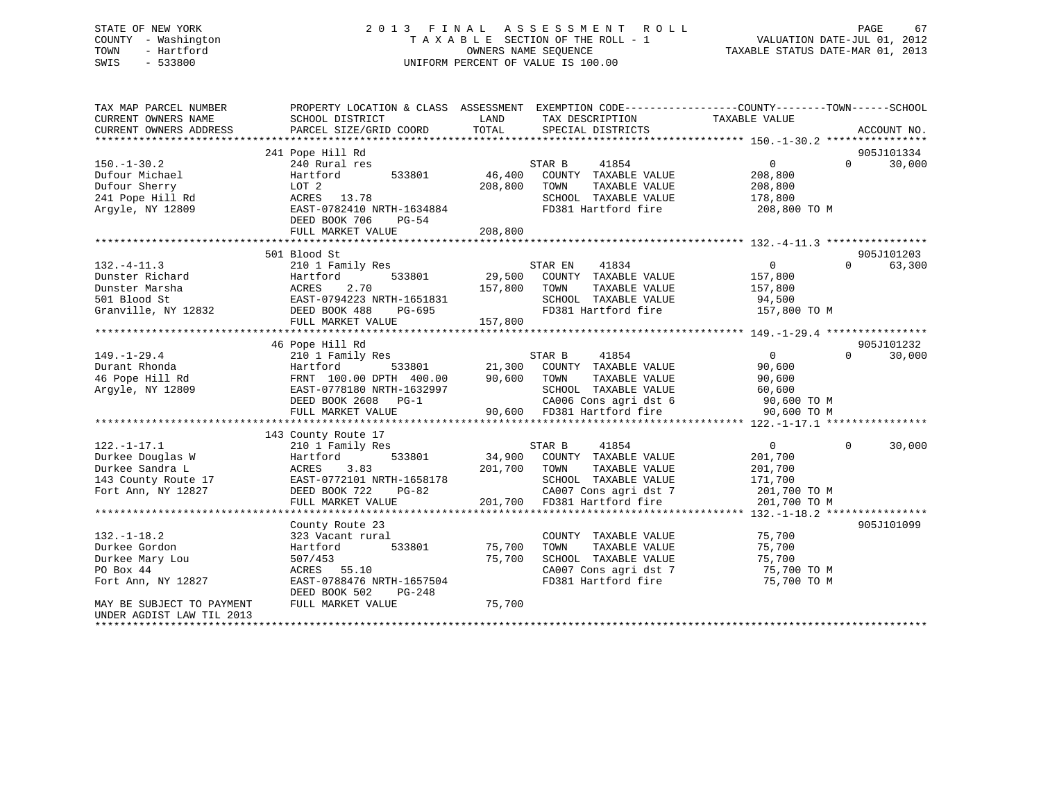## STATE OF NEW YORK 2 0 1 3 F I N A L A S S E S S M E N T R O L L PAGE 67 COUNTY - Washington T A X A B L E SECTION OF THE ROLL - 1 VALUATION DATE-JUL 01, 2012 TOWN - Hartford **TAXABLE STATUS DATE-MAR 01, 2013** SWIS - 533800 UNIFORM PERCENT OF VALUE IS 100.00

| TAX MAP PARCEL NUMBER<br>CURRENT OWNERS NAME<br>CURRENT OWNERS ADDRESS | PROPERTY LOCATION & CLASS ASSESSMENT EXEMPTION CODE----------------COUNTY-------TOWN------SCHOOL<br>SCHOOL DISTRICT<br>PARCEL SIZE/GRID COORD | LAND<br>TOTAL | TAX DESCRIPTION<br>SPECIAL DISTRICTS                | TAXABLE VALUE                               | ACCOUNT NO.        |
|------------------------------------------------------------------------|-----------------------------------------------------------------------------------------------------------------------------------------------|---------------|-----------------------------------------------------|---------------------------------------------|--------------------|
|                                                                        |                                                                                                                                               |               |                                                     |                                             |                    |
|                                                                        | 241 Pope Hill Rd                                                                                                                              |               |                                                     |                                             | 905J101334         |
| $150. - 1 - 30.2$                                                      | 240 Rural res                                                                                                                                 |               | STAR B<br>41854                                     | $0 \qquad \qquad$                           | 30,000<br>$\Omega$ |
| Dufour Michael                                                         | 533801<br>Hartford                                                                                                                            | 46,400        | COUNTY TAXABLE VALUE                                | 208,800                                     |                    |
| Dufour Sherry                                                          | LOT 2<br>ACRES 13.78                                                                                                                          | 208,800       | TOWN<br>TAXABLE VALUE<br>SCHOOL TAXABLE VALUE       | 208,800                                     |                    |
| 241 Pope Hill Rd                                                       |                                                                                                                                               |               |                                                     | 178,800                                     |                    |
| Argyle, NY 12809                                                       | EAST-0782410 NRTH-1634884<br>DEED BOOK 706<br>$PG-54$                                                                                         | 208,800       | FD381 Hartford fire                                 | 208,800 TO M                                |                    |
|                                                                        | FULL MARKET VALUE                                                                                                                             |               |                                                     |                                             |                    |
|                                                                        | 501 Blood St                                                                                                                                  |               |                                                     |                                             | 905J101203         |
| $132. - 4 - 11.3$                                                      | 210 1 Family Res                                                                                                                              |               | 41834<br>STAR EN                                    | $\overline{0}$                              | $\Omega$<br>63,300 |
| Dunster Richard                                                        | 533801<br>Hartford                                                                                                                            |               | 29,500 COUNTY TAXABLE VALUE                         | 157,800                                     |                    |
| Dunster Marsha                                                         | 2.70<br>ACRES                                                                                                                                 | 157,800       | TOWN<br>TAXABLE VALUE                               | 157,800                                     |                    |
| 501 Blood St                                                           | EAST-0794223 NRTH-1651831<br>DEED BOOK 488 PG-695                                                                                             |               | SCHOOL TAXABLE VALUE                                | 94,500                                      |                    |
| Granville, NY 12832                                                    | DEED BOOK 488<br>PG-695                                                                                                                       |               | FD381 Hartford fire                                 | 157,800 TO M                                |                    |
|                                                                        | FULL MARKET VALUE                                                                                                                             | 157,800       |                                                     |                                             |                    |
|                                                                        |                                                                                                                                               |               |                                                     |                                             |                    |
|                                                                        | 46 Pope Hill Rd                                                                                                                               |               |                                                     |                                             | 905J101232         |
| $149. - 1 - 29.4$                                                      | 210 1 Family Res                                                                                                                              |               | 41854<br>STAR B                                     | $\overline{0}$                              | $\Omega$<br>30,000 |
| Durant Rhonda                                                          | Hartford                                                                                                                                      |               | 533801 21,300 COUNTY TAXABLE VALUE                  | 90,600                                      |                    |
| 46 Pope Hill Rd                                                        | FRNT 100.00 DPTH 400.00                                                                                                                       | 90,600 TOWN   | TAXABLE VALUE                                       | 90,600                                      |                    |
| Argyle, NY 12809                                                       | EAST-0778180 NRTH-1632997                                                                                                                     |               | SCHOOL TAXABLE VALUE                                | 60,600                                      |                    |
|                                                                        | DEED BOOK 2608 PG-1<br>FULL MARKET VALUE                                                                                                      |               | CA006 Cons agri dst 6<br>90,600 FD381 Hartford fire | $90,600$ TO M<br>90,600 TO M<br>90,600 TO M |                    |
|                                                                        |                                                                                                                                               |               |                                                     |                                             |                    |
|                                                                        | 143 County Route 17                                                                                                                           |               |                                                     |                                             |                    |
| $122. - 1 - 17.1$                                                      | 210 1 Family Res                                                                                                                              |               | STAR B<br>41854                                     | $0 \qquad \qquad$                           | $\Omega$<br>30,000 |
| Durkee Douglas W                                                       | Hartford<br>533801                                                                                                                            |               | 34,900 COUNTY TAXABLE VALUE                         | 201,700                                     |                    |
| Durkee Sandra L                                                        | 3.83<br>ACRES                                                                                                                                 | 201,700       | TOWN<br>TAXABLE VALUE                               | 201,700                                     |                    |
| 143 County Route 17                                                    | EAST-0772101 NRTH-1658178                                                                                                                     |               | SCHOOL TAXABLE VALUE                                | 171,700                                     |                    |
| Fort Ann, NY 12827                                                     | DEED BOOK 722<br>PG-82                                                                                                                        |               | CA007 Cons agri dst 7                               | 201,700 TO M                                |                    |
|                                                                        | FULL MARKET VALUE                                                                                                                             |               | 201,700 FD381 Hartford fire                         | 201,700 TO M                                |                    |
|                                                                        |                                                                                                                                               |               |                                                     |                                             |                    |
|                                                                        | County Route 23                                                                                                                               |               |                                                     |                                             | 905J101099         |
| $132. - 1 - 18.2$                                                      | 323 Vacant rural                                                                                                                              |               | COUNTY TAXABLE VALUE                                | 75,700                                      |                    |
| Durkee Gordon                                                          | 533801<br>Hartford                                                                                                                            | 75,700        | TOWN<br>TAXABLE VALUE                               | 75,700                                      |                    |
| Durkee Mary Lou                                                        | 507/453                                                                                                                                       | 75,700        | SCHOOL TAXABLE VALUE                                | 75,700                                      |                    |
| PO Box 44                                                              | ACRES 55.10                                                                                                                                   |               | CA007 Cons agri dst 7                               | $75,700$ TO M                               |                    |
| Fort Ann, NY 12827                                                     | EAST-0788476 NRTH-1657504                                                                                                                     |               | FD381 Hartford fire                                 | 75,700 TO M                                 |                    |
|                                                                        | DEED BOOK 502<br>PG-248                                                                                                                       |               |                                                     |                                             |                    |
| MAY BE SUBJECT TO PAYMENT<br>UNDER AGDIST LAW TIL 2013                 | FULL MARKET VALUE                                                                                                                             | 75,700        |                                                     |                                             |                    |
|                                                                        |                                                                                                                                               |               |                                                     |                                             |                    |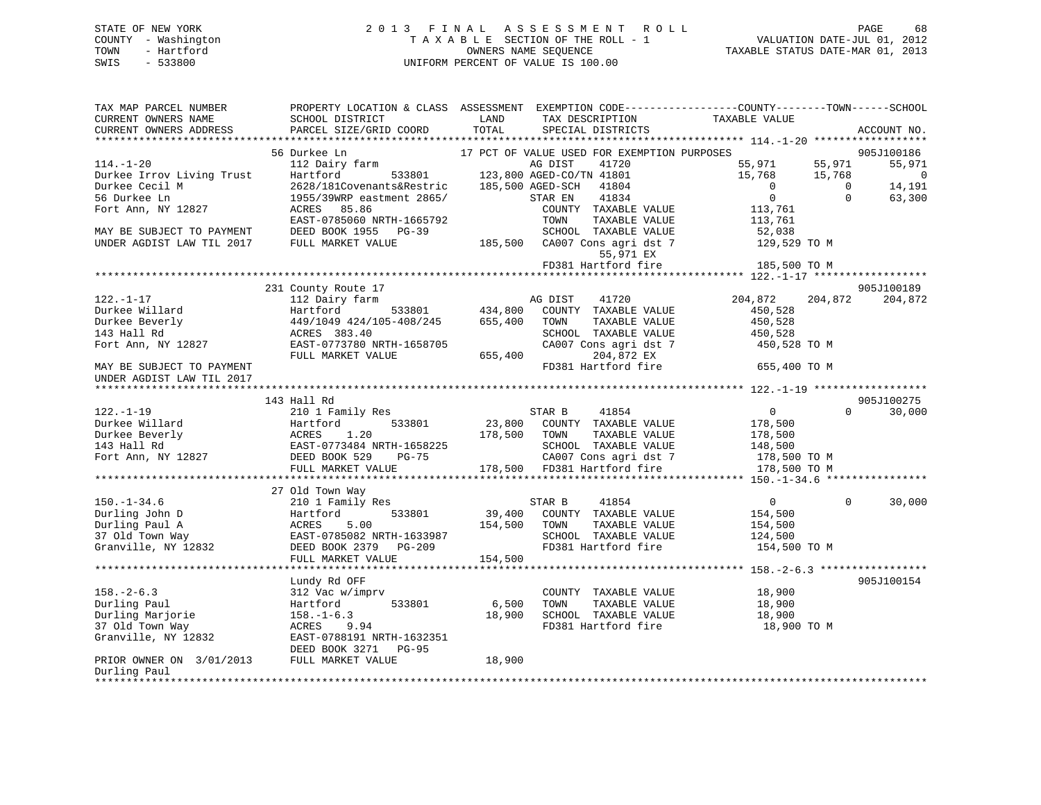## STATE OF NEW YORK 2 0 1 3 F I N A L A S S E S S M E N T R O L L PAGE 68 COUNTY - Washington T A X A B L E SECTION OF THE ROLL - 1 VALUATION DATE-JUL 01, 2012 TOWN - Hartford **TAXABLE STATUS DATE-MAR 01, 2013** OWNERS NAME SEQUENCE TAXABLE STATUS DATE-MAR 01, 2013 SWIS - 533800 UNIFORM PERCENT OF VALUE IS 100.00

| TAX MAP PARCEL NUMBER<br>CURRENT OWNERS NAME<br>CURRENT OWNERS ADDRESS | PROPERTY LOCATION & CLASS ASSESSMENT<br>SCHOOL DISTRICT<br>PARCEL SIZE/GRID COORD | LAND<br>TOTAL    | TAX DESCRIPTION<br>SPECIAL DISTRICTS        | EXEMPTION CODE-----------------COUNTY-------TOWN------SCHOOL<br>TAXABLE VALUE | ACCOUNT NO.    |
|------------------------------------------------------------------------|-----------------------------------------------------------------------------------|------------------|---------------------------------------------|-------------------------------------------------------------------------------|----------------|
| *************************                                              |                                                                                   |                  |                                             |                                                                               |                |
|                                                                        | 56 Durkee Ln                                                                      |                  | 17 PCT OF VALUE USED FOR EXEMPTION PURPOSES |                                                                               | 905J100186     |
| $114. - 1 - 20$                                                        | 112 Dairy farm                                                                    |                  | AG DIST<br>41720                            | 55,971<br>55,971                                                              | 55,971         |
| Durkee Irrov Living Trust                                              | 533801<br>Hartford                                                                |                  | 123,800 AGED-CO/TN 41801                    | 15,768<br>15,768                                                              | $\overline{0}$ |
| Durkee Cecil M                                                         | 2628/181Covenants&Restric                                                         | 185,500 AGED-SCH | 41804                                       | $\mathbf{0}$<br>$\Omega$                                                      | 14,191         |
| 56 Durkee Ln                                                           | 1955/39WRP eastment 2865/                                                         |                  | 41834<br>STAR EN                            | $\mathbf 0$<br>$\Omega$                                                       | 63,300         |
| Fort Ann, NY 12827                                                     | 85.86<br>ACRES                                                                    |                  | COUNTY TAXABLE VALUE                        | 113,761                                                                       |                |
|                                                                        | EAST-0785060 NRTH-1665792                                                         |                  | TOWN<br>TAXABLE VALUE                       | 113,761                                                                       |                |
| MAY BE SUBJECT TO PAYMENT                                              | DEED BOOK 1955 PG-39                                                              |                  | SCHOOL TAXABLE VALUE                        | 52,038                                                                        |                |
| UNDER AGDIST LAW TIL 2017                                              | FULL MARKET VALUE                                                                 |                  | 185,500 CA007 Cons agri dst 7               | 129,529 TO M                                                                  |                |
|                                                                        |                                                                                   |                  | 55,971 EX                                   |                                                                               |                |
|                                                                        |                                                                                   |                  | FD381 Hartford fire                         | 185,500 TO M<br>***************** 122.-1-17 ****                              |                |
|                                                                        | 231 County Route 17                                                               |                  |                                             |                                                                               | 905J100189     |
| $122. - 1 - 17$                                                        | 112 Dairy farm                                                                    |                  | 41720<br>AG DIST                            | 204,872<br>204,872                                                            | 204,872        |
| Durkee Willard                                                         | 533801<br>Hartford                                                                | 434,800          | COUNTY TAXABLE VALUE                        | 450,528                                                                       |                |
| Durkee Beverly                                                         | 449/1049 424/105-408/245                                                          | 655,400          | TOWN<br>TAXABLE VALUE                       | 450,528                                                                       |                |
| 143 Hall Rd                                                            | ACRES 383.40                                                                      |                  | SCHOOL TAXABLE VALUE                        | 450,528                                                                       |                |
| Fort Ann, NY 12827                                                     | EAST-0773780 NRTH-1658705                                                         |                  | CA007 Cons agri dst 7                       | 450,528 TO M                                                                  |                |
|                                                                        | FULL MARKET VALUE                                                                 | 655,400          | 204,872 EX                                  |                                                                               |                |
| MAY BE SUBJECT TO PAYMENT                                              |                                                                                   |                  | FD381 Hartford fire                         | 655,400 TO M                                                                  |                |
| UNDER AGDIST LAW TIL 2017                                              |                                                                                   |                  |                                             |                                                                               |                |
|                                                                        |                                                                                   |                  |                                             |                                                                               |                |
|                                                                        | 143 Hall Rd                                                                       |                  |                                             |                                                                               | 905J100275     |
| $122. - 1 - 19$                                                        | 210 1 Family Res                                                                  |                  | STAR B<br>41854                             | $\mathsf{O}$<br>$\Omega$                                                      | 30,000         |
| Durkee Willard                                                         | 533801<br>Hartford                                                                | 23,800           | COUNTY TAXABLE VALUE                        | 178,500                                                                       |                |
| Durkee Beverly                                                         | 1.20<br>ACRES                                                                     | 178,500          | TOWN<br>TAXABLE VALUE                       | 178,500                                                                       |                |
| 143 Hall Rd                                                            | EAST-0773484 NRTH-1658225                                                         |                  | SCHOOL TAXABLE VALUE                        | 148,500                                                                       |                |
| Fort Ann, NY 12827                                                     | DEED BOOK 529<br>PG-75                                                            |                  | CA007 Cons agri dst 7                       | 178,500 TO M                                                                  |                |
|                                                                        | FULL MARKET VALUE                                                                 |                  | 178,500 FD381 Hartford fire                 | 178,500 TO M                                                                  |                |
|                                                                        | ************************                                                          |                  |                                             |                                                                               |                |
|                                                                        | 27 Old Town Way                                                                   |                  |                                             |                                                                               |                |
| $150. - 1 - 34.6$                                                      | 210 1 Family Res                                                                  |                  | 41854<br>STAR B                             | $\mathbf{0}$<br>$\Omega$                                                      | 30,000         |
| Durling John D                                                         | 533801<br>Hartford                                                                | 39,400           | COUNTY TAXABLE VALUE                        | 154,500                                                                       |                |
| Durling Paul A                                                         | ACRES<br>5.00                                                                     | 154,500          | TOWN<br>TAXABLE VALUE                       | 154,500                                                                       |                |
| 37 Old Town Way                                                        | EAST-0785082 NRTH-1633987                                                         |                  | SCHOOL TAXABLE VALUE                        | 124,500                                                                       |                |
| Granville, NY 12832                                                    | DEED BOOK 2379 PG-209                                                             |                  | FD381 Hartford fire                         | 154,500 TO M                                                                  |                |
|                                                                        | FULL MARKET VALUE<br>*****************************                                | 154,500          |                                             |                                                                               |                |
|                                                                        |                                                                                   |                  |                                             |                                                                               |                |
|                                                                        | Lundy Rd OFF                                                                      |                  |                                             |                                                                               | 905J100154     |
| $158. - 2 - 6.3$                                                       | 312 Vac w/imprv                                                                   |                  | COUNTY TAXABLE VALUE                        | 18,900                                                                        |                |
| Durling Paul                                                           | 533801<br>Hartford                                                                | 6,500            | TAXABLE VALUE<br>TOWN                       | 18,900                                                                        |                |
| Durling Marjorie                                                       | $158. - 1 - 6.3$                                                                  | 18,900           | SCHOOL TAXABLE VALUE                        | 18,900                                                                        |                |
| 37 Old Town Way                                                        | ACRES<br>9.94                                                                     |                  | FD381 Hartford fire                         | 18,900 TO M                                                                   |                |
| Granville, NY 12832                                                    | EAST-0788191 NRTH-1632351<br><b>PG-95</b>                                         |                  |                                             |                                                                               |                |
| PRIOR OWNER ON 3/01/2013 FULL MARKET VALUE                             | DEED BOOK 3271                                                                    | 18,900           |                                             |                                                                               |                |
| Durling Paul                                                           |                                                                                   |                  |                                             |                                                                               |                |
| * * * * * * * * * *                                                    |                                                                                   |                  |                                             |                                                                               |                |
|                                                                        |                                                                                   |                  |                                             |                                                                               |                |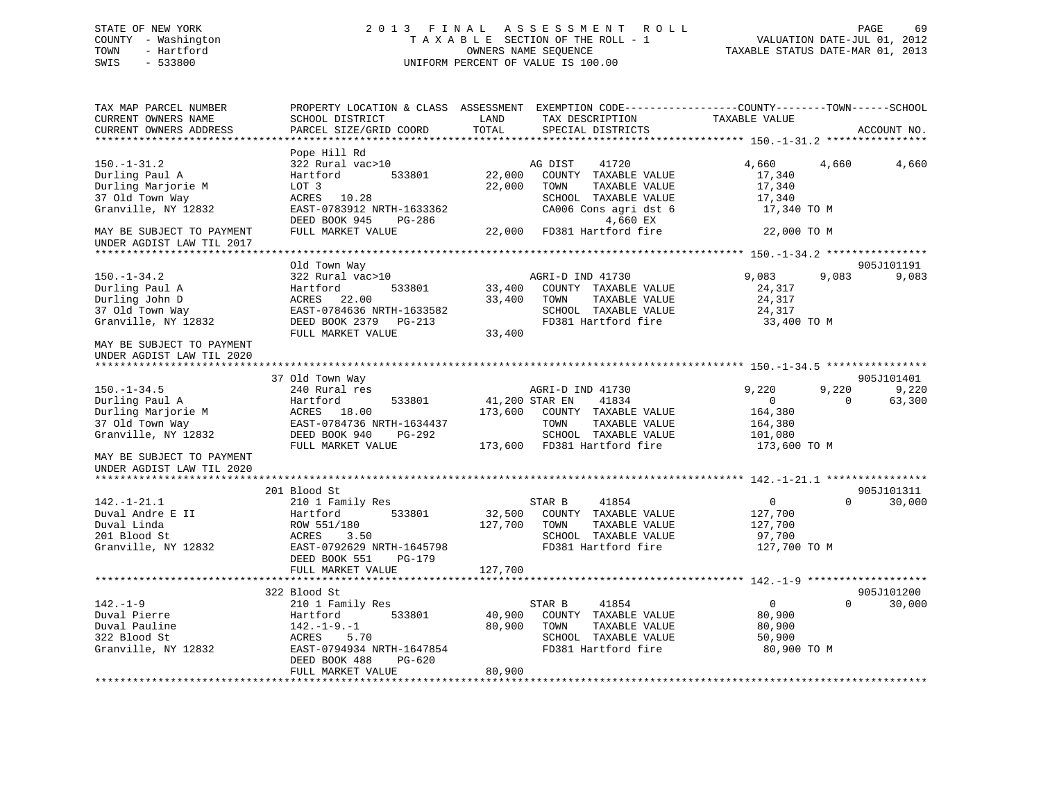## STATE OF NEW YORK 2 0 1 3 F I N A L A S S E S S M E N T R O L L PAGE 69 COUNTY - Washington T A X A B L E SECTION OF THE ROLL - 1 VALUATION DATE-JUL 01, 2012 TOWN - Hartford **TAXABLE STATUS DATE-MAR 01, 2013** OWNERS NAME SEQUENCE TAXABLE STATUS DATE-MAR 01, 2013 SWIS - 533800 UNIFORM PERCENT OF VALUE IS 100.00

| TAX MAP PARCEL NUMBER<br>CURRENT OWNERS NAME<br>CURRENT OWNERS ADDRESS                                                                                        | PROPERTY LOCATION & CLASS ASSESSMENT<br>SCHOOL DISTRICT<br>PARCEL SIZE/GRID COORD                                                                           | LAND<br>TOTAL                | EXEMPTION CODE-----------------COUNTY-------TOWN------SCHOOL<br>TAX DESCRIPTION<br>SPECIAL DISTRICTS                                                | TAXABLE VALUE                                                                           | ACCOUNT NO.     |
|---------------------------------------------------------------------------------------------------------------------------------------------------------------|-------------------------------------------------------------------------------------------------------------------------------------------------------------|------------------------------|-----------------------------------------------------------------------------------------------------------------------------------------------------|-----------------------------------------------------------------------------------------|-----------------|
| *********************                                                                                                                                         | *************************                                                                                                                                   |                              |                                                                                                                                                     |                                                                                         |                 |
| $150.-1-31.2$<br>Durling Paul A<br>Durling Marjorie M<br>37 Old Town Way<br>Granville, NY 12832                                                               | Pope Hill Rd<br>322 Rural vac>10<br>Hartford<br>533801<br>LOT 3<br>ACRES 10.28<br>EAST-0783912 NRTH-1633362<br>DEED BOOK 945<br>PG-286                      | 22,000<br>22,000             | AG DIST<br>41720<br>COUNTY TAXABLE VALUE<br>TOWN<br>TAXABLE VALUE<br>SCHOOL TAXABLE VALUE<br>CA006 Cons agri dst 6<br>4,660 EX                      | 4,660<br>4,660<br>17,340<br>17,340<br>17,340<br>17,340 TO M                             | 4,660           |
| MAY BE SUBJECT TO PAYMENT<br>UNDER AGDIST LAW TIL 2017                                                                                                        | FULL MARKET VALUE                                                                                                                                           | 22,000                       | FD381 Hartford fire                                                                                                                                 | 22,000 TO M                                                                             |                 |
|                                                                                                                                                               | Old Town Way                                                                                                                                                |                              |                                                                                                                                                     |                                                                                         | 905J101191      |
| $150. - 1 - 34.2$<br>Durling Paul A<br>Durling John D<br>37 Old Town Way<br>Granville, NY 12832<br>MAY BE SUBJECT TO PAYMENT                                  | 322 Rural vac>10<br>Hartford<br>533801<br>22.00<br>ACRES<br>EAST-0784636 NRTH-1633582<br>DEED BOOK 2379<br>$PG-213$<br>FULL MARKET VALUE                    | 33,400<br>33,400<br>33,400   | AGRI-D IND 41730<br>COUNTY TAXABLE VALUE<br>TOWN<br>TAXABLE VALUE<br>SCHOOL TAXABLE VALUE<br>FD381 Hartford fire                                    | 9,083<br>9,083<br>24,317<br>24,317<br>24,317<br>33,400 TO M                             | 9,083           |
| UNDER AGDIST LAW TIL 2020                                                                                                                                     |                                                                                                                                                             |                              |                                                                                                                                                     |                                                                                         |                 |
|                                                                                                                                                               | 37 Old Town Way                                                                                                                                             |                              |                                                                                                                                                     |                                                                                         | 905J101401      |
| $150. - 1 - 34.5$<br>Durling Paul A<br>Durling Marjorie M<br>37 Old Town Way<br>Granville, NY 12832<br>MAY BE SUBJECT TO PAYMENT<br>UNDER AGDIST LAW TIL 2020 | 240 Rural res<br>Hartford<br>533801<br>ACRES 18.00<br>EAST-0784736 NRTH-1634437<br>DEED BOOK 940<br>PG-292<br>FULL MARKET VALUE                             | 173,600                      | AGRI-D IND 41730<br>41834<br>41,200 STAR EN<br>COUNTY TAXABLE VALUE<br>TAXABLE VALUE<br>TOWN<br>SCHOOL TAXABLE VALUE<br>173,600 FD381 Hartford fire | 9.220<br>9,220<br>$\Omega$<br>$\Omega$<br>164,380<br>164,380<br>101,080<br>173,600 TO M | 9,220<br>63,300 |
|                                                                                                                                                               | 201 Blood St                                                                                                                                                |                              |                                                                                                                                                     |                                                                                         | 905J101311      |
| $142. - 1 - 21.1$<br>Duval Andre E II<br>Duval Linda<br>201 Blood St<br>Granville, NY 12832                                                                   | 210 1 Family Res<br>Hartford<br>533801<br>ROW 551/180<br>ACRES<br>3.50<br>EAST-0792629 NRTH-1645798<br>DEED BOOK 551<br>PG-179                              | 32,500<br>127,700<br>127,700 | 41854<br>STAR B<br>COUNTY TAXABLE VALUE<br>TOWN<br>TAXABLE VALUE<br>SCHOOL TAXABLE VALUE<br>FD381 Hartford fire                                     | $\mathbf{0}$<br>$\Omega$<br>127,700<br>127,700<br>97,700<br>127,700 TO M                | 30,000          |
|                                                                                                                                                               | FULL MARKET VALUE                                                                                                                                           |                              |                                                                                                                                                     |                                                                                         |                 |
|                                                                                                                                                               | 322 Blood St                                                                                                                                                |                              |                                                                                                                                                     |                                                                                         | 905J101200      |
| $142. - 1 - 9$<br>Duval Pierre<br>Duval Pauline<br>322 Blood St<br>Granville, NY 12832                                                                        | 210 1 Family Res<br>533801<br>Hartford<br>$142. - 1 - 9. - 1$<br>ACRES<br>5.70<br>EAST-0794934 NRTH-1647854<br>DEED BOOK 488<br>PG-620<br>FULL MARKET VALUE | 40,900<br>80,900<br>80,900   | STAR B<br>41854<br>COUNTY TAXABLE VALUE<br>TAXABLE VALUE<br>TOWN<br>SCHOOL TAXABLE VALUE<br>FD381 Hartford fire                                     | $\overline{0}$<br>$\Omega$<br>80,900<br>80,900<br>50,900<br>80,900 TO M                 | 30,000          |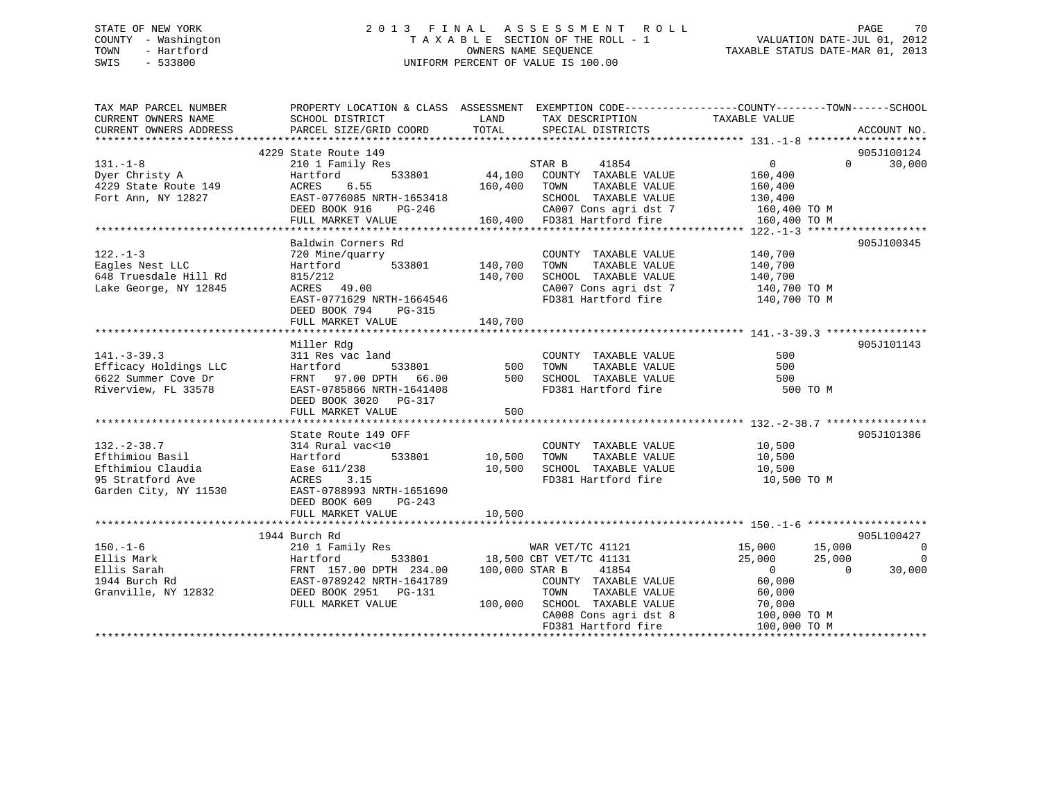## STATE OF NEW YORK 2 0 1 3 F I N A L A S S E S S M E N T R O L L PAGE 70 COUNTY - Washington T A X A B L E SECTION OF THE ROLL - 1 VALUATION DATE-JUL 01, 2012 TOWN - Hartford OWNERS NAME SEQUENCE TAXABLE STATUS DATE-MAR 01, 2013 SWIS - 533800 UNIFORM PERCENT OF VALUE IS 100.00

| TAX MAP PARCEL NUMBER<br>CURRENT OWNERS NAME<br>CURRENT OWNERS ADDRESS                                 | PROPERTY LOCATION & CLASS ASSESSMENT EXEMPTION CODE---------------COUNTY-------TOWN-----SCHOOL<br>SCHOOL DISTRICT<br>PARCEL SIZE/GRID COORD                                                                                                   | LAND<br>TOTAL             | TAX DESCRIPTION<br>SPECIAL DISTRICTS                                                                                                                                      | TAXABLE VALUE                                                | ACCOUNT NO.                                                                                    |
|--------------------------------------------------------------------------------------------------------|-----------------------------------------------------------------------------------------------------------------------------------------------------------------------------------------------------------------------------------------------|---------------------------|---------------------------------------------------------------------------------------------------------------------------------------------------------------------------|--------------------------------------------------------------|------------------------------------------------------------------------------------------------|
| $131. - 1 - 8$<br>Dyer Christy A<br>1000 State Route 149<br>4229 State Route 149<br>Fort Ann, NY 12827 | 4229 State Route 149<br>210 1 Family Res<br>Hartford<br>ACRES<br>6.55<br>EAST-0776085 NRTH-1653418 (SCHOOL TAXABLE VALUE 130,400<br>DEED BOOK 916 PG-246 (CA007 Cons agri dst 7 160,400 TO M<br>FULL MARKET VALUE 160,400 FD381 Hartford fire | 160,400 TOWN              | 41854<br>STAR B<br>533801 44,100 COUNTY TAXABLE VALUE<br>TAXABLE VALUE                                                                                                    | $\overline{0}$<br>160,400<br>160,400                         | 905J100124<br>$0 \t 30,000$                                                                    |
| $122. - 1 - 3$<br>Eagles Nest LLC<br>648 Truesdale Hill Rd<br>Lake George, NY 12845                    | Baldwin Corners Rd<br>720 Mine/quarry<br>533801 140,700<br>Hartford<br>815/212<br>ACRES 49.00<br>EAST-0771629 NRTH-1664546<br>DEED BOOK 794<br>PG-315                                                                                         | 140,700                   | COUNTY TAXABLE VALUE<br>TAXABLE VALUE<br>TOWN<br>SCHOOL TAXABLE VALUE<br>CA007 Cons agri dst 7 140,700 TO M<br>FD381 Hartford fire 140,700 TO M                           | 140,700<br>140,700<br>140,700                                | 905J100345                                                                                     |
| $141. - 3 - 39.3$<br>Efficacy Holdings LLC<br>6622 Summer Cove Dr<br>Riverview, FL 33578               | Miller Rdg<br>311 Res vac land<br>Hartford<br>533801<br>FRNT 97.00 DPTH 66.00<br>EAST-0785866 NRTH-1641408<br>DEED BOOK 3020 PG-317<br>FULL MARKET VALUE                                                                                      | 500<br>500<br>500         | COUNTY TAXABLE VALUE<br>TAXABLE VALUE<br>TOWN<br>SCHOOL TAXABLE VALUE<br>FD381 Hartford fire                                                                              | 500<br>500<br>500<br>500 TO M                                | 905J101143                                                                                     |
| $132 - 2 - 38.7$<br>Efthimiou Basil<br>Efthimiou Claudia<br>95 Stratford Ave<br>Garden City, NY 11530  | State Route 149 OFF<br>314 Rural vac<10<br>$533801$ 10,500<br>Hartford<br>Ease 611/238<br>ACRES<br>3.15<br>EAST-0788993 NRTH-1651690<br>DEED BOOK 609<br>PG-243<br>FULL MARKET VALUE                                                          | 10,500<br>10,500          | COUNTY TAXABLE VALUE 10,500<br>TAXABLE VALUE<br>TOWN<br>SCHOOL TAXABLE VALUE<br>FD381 Hartford fire                                                                       | 10,500<br>10,500<br>$10,500$ TO M                            | 905J101386                                                                                     |
| $150. - 1 - 6$<br>Ellis Mark<br>Ellis Sarah<br>1944 Burch Rd<br>Granville, NY 12832                    | 1944 Burch Rd<br>210 1 Family Res<br>Hartford<br>FRNT 157.00 DPTH 234.00<br>EAST-0789242 NRTH-1641789<br>DEED BOOK 2951 PG-131<br>FULL MARKET VALUE                                                                                           | 100,000 STAR B<br>100,000 | ily Res 633801 MAR VET/TC 41121<br>41854<br>COUNTY TAXABLE VALUE<br>TOWN TAXABLE VALUE<br>TOWN TAXABLE VALUE<br>CA008 CONS agri dst 8 100,000 TO M<br>FD381 Hartford fire | 15,000<br>25,000<br>$\overline{0}$<br>60,000<br>100,000 TO M | 905L100427<br>15,000<br>$\overline{0}$<br>$\overline{0}$<br>25,000<br>$\overline{0}$<br>30,000 |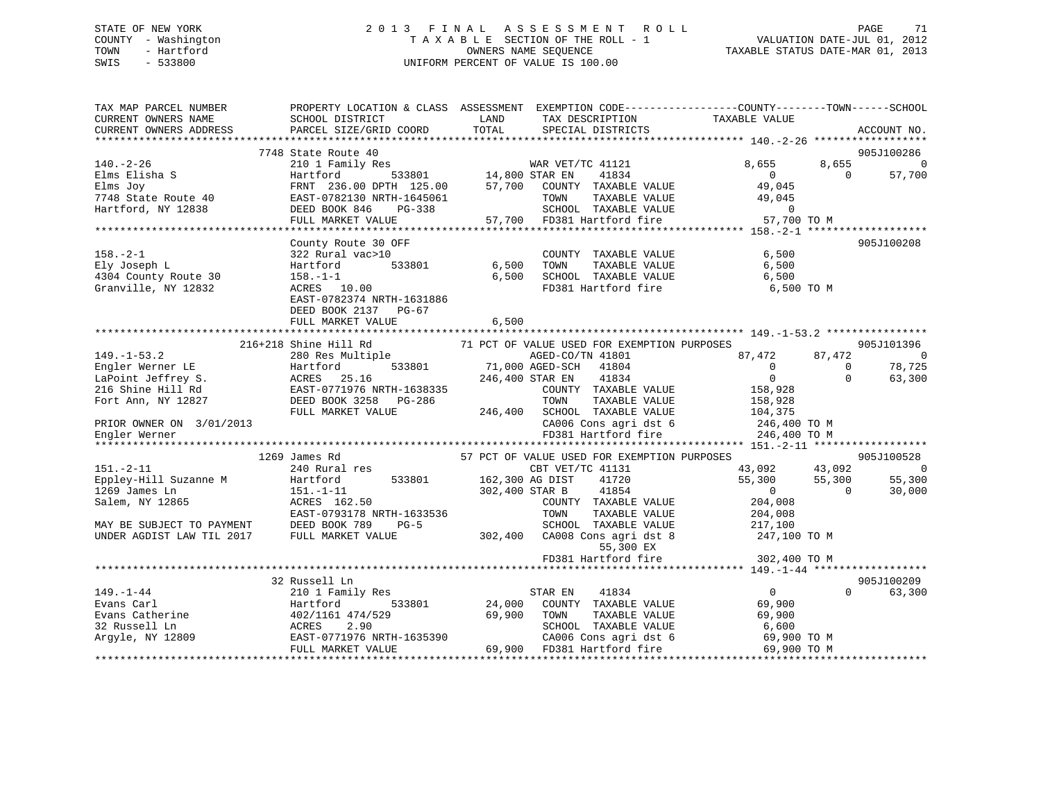## STATE OF NEW YORK 2 0 1 3 F I N A L A S S E S S M E N T R O L L PAGE 71 COUNTY - Washington T A X A B L E SECTION OF THE ROLL - 1 VALUATION DATE-JUL 01, 2012 TOWN - Hartford **TAXABLE STATUS DATE-MAR 01, 2013** SWIS - 533800 UNIFORM PERCENT OF VALUE IS 100.00

| TAX MAP PARCEL NUMBER<br>CURRENT OWNERS NAME<br>CURRENT OWNERS ADDRESS                                                                               | PROPERTY LOCATION & CLASS ASSESSMENT EXEMPTION CODE---------------COUNTY-------TOWN-----SCHOOL<br>SCHOOL DISTRICT<br>PARCEL SIZE/GRID COORD                                     | LAND<br>TOTAL                                    | TAX DESCRIPTION<br>SPECIAL DISTRICTS                                                                                                                                                                                                                  | TAXABLE VALUE                                                                                         |                                | ACCOUNT NO.                                                |
|------------------------------------------------------------------------------------------------------------------------------------------------------|---------------------------------------------------------------------------------------------------------------------------------------------------------------------------------|--------------------------------------------------|-------------------------------------------------------------------------------------------------------------------------------------------------------------------------------------------------------------------------------------------------------|-------------------------------------------------------------------------------------------------------|--------------------------------|------------------------------------------------------------|
|                                                                                                                                                      |                                                                                                                                                                                 |                                                  |                                                                                                                                                                                                                                                       |                                                                                                       |                                |                                                            |
|                                                                                                                                                      | 7748 State Route 40                                                                                                                                                             |                                                  |                                                                                                                                                                                                                                                       |                                                                                                       |                                | 905J100286                                                 |
| $140. - 2 - 26$<br>Elms Elisha S<br>Elms Joy<br>Elms ovy<br>7748 State Route 40 EAST-0782130 N<br>Tartford NY 12838 DEED BOOK 846                    | 210 1 Family Res<br>Hartford<br>FRNT 236.00 DPTH 125.00<br>EAST-0782130 NRTH-1645061<br>PG-338<br>FULL MARKET VALUE                                                             | 533801 14,800 STAR EN<br>TH 125.00 57,700 COUNTY | WAR VET/TC 41121<br>41834<br>57,700 COUNTY TAXABLE VALUE<br>TOWN<br>TAXABLE VALUE<br>SCHOOL TAXABLE VALUE<br>57,700 FD381 Hartford fire                                                                                                               | 8,655<br>$\overline{0}$<br>49,045<br>49,045<br>$\overline{0}$<br>57,700 TO M                          | 8,655<br>$\bigcap$             | $\overline{0}$<br>57,700                                   |
|                                                                                                                                                      |                                                                                                                                                                                 |                                                  |                                                                                                                                                                                                                                                       |                                                                                                       |                                |                                                            |
| $158. - 2 - 1$<br>Ely Joseph L<br>4304 County Route 30<br>Granville, NY 12832                                                                        | County Route 30 OFF<br>322 Rural vac>10<br>533801<br>Hartford<br>$158. - 1 - 1$<br>ACRES 10.00<br>EAST-0782374 NRTH-1631886<br>DEED BOOK 2137 PG-67<br>FULL MARKET VALUE        | 6,500<br>6,500<br>6,500                          | COUNTY TAXABLE VALUE<br>TOWN<br>TAXABLE VALUE<br>SCHOOL TAXABLE VALUE<br>FD381 Hartford fire                                                                                                                                                          | 6,500<br>6,500<br>6,500<br>6,500 TO M                                                                 |                                | 905J100208                                                 |
|                                                                                                                                                      |                                                                                                                                                                                 |                                                  |                                                                                                                                                                                                                                                       |                                                                                                       |                                |                                                            |
| $149. - 1 - 53.2$<br>Engler Werner LE<br>LaPoint Jeffrey S.<br>216 Shine Hill Rd<br>Fort Ann, NY 12827<br>PRIOR OWNER ON 3/01/2013<br>Engler Werner  | 216+218 Shine Hill Rd<br>280 Res Multiple<br>533801<br>Hartford<br>ACRES 25.16<br>------------------<br>EAST-0771976 NRTH-1638335<br>DEED BOOK 3258 PG-286<br>FULL MARKET VALUE |                                                  | 71 PCT OF VALUE USED FOR EXEMPTION PURPOSES<br>AGED-CO/TN 41801<br>71,000 AGED-SCH 41804<br>246,400 STAR EN<br>41834<br>COUNTY TAXABLE VALUE<br>TOWN<br>TAXABLE VALUE<br>246,400 SCHOOL TAXABLE VALUE<br>CA006 Cons agri dst 6<br>FD381 Hartford fire | 87,472<br>$\Omega$<br>$\overline{0}$<br>158,928<br>158,928<br>104,375<br>246,400 TO M<br>246,400 TO M | 87,472<br>$\Omega$<br>$\Omega$ | 905J101396<br>$\overline{\phantom{0}}$<br>78,725<br>63,300 |
|                                                                                                                                                      |                                                                                                                                                                                 |                                                  |                                                                                                                                                                                                                                                       |                                                                                                       |                                |                                                            |
| $151. - 2 - 11$<br>Eppley-Hill Suzanne M<br>1269 James Ln<br>Salem, NY 12865<br>MAY BE SUBJECT TO PAYMENT DEED BOOK 789<br>UNDER AGDIST LAW TIL 2017 | 1269 James Rd<br>240 Rural res<br>533801<br>Hartford<br>$151.-1-11$<br>ACRES 162.50<br>EAST-0793178 NRTH-1633536<br>$PG-5$<br>FULL MARKET VALUE                                 | 162,300 AG DIST                                  | 57 PCT OF VALUE USED FOR EXEMPTION PURPOSES<br>CBT VET/TC 41131<br>41720<br>41854<br>302,400 STAR B<br>COUNTY TAXABLE VALUE<br>TAXABLE VALUE<br>TOWN<br>SCHOOL TAXABLE VALUE<br>302,400 CA008 Cons agri dst 8<br>55,300 EX                            | 43,092<br>55,300<br>$\overline{0}$<br>204,008<br>204,008<br>217,100<br>247,100 TO M                   | 43,092<br>55,300<br>$\Omega$   | 905J100528<br>$\overline{\phantom{0}}$<br>55,300<br>30,000 |
|                                                                                                                                                      |                                                                                                                                                                                 |                                                  | FD381 Hartford fire                                                                                                                                                                                                                                   | 302,400 TO M                                                                                          |                                |                                                            |
|                                                                                                                                                      |                                                                                                                                                                                 |                                                  |                                                                                                                                                                                                                                                       |                                                                                                       |                                |                                                            |
| $149. - 1 - 44$<br>Evans Carl<br>Evans Catherine<br>32 Russell Ln<br>Argyle, NY 12809                                                                | 32 Russell Ln<br>210 1 Family Res<br>533801<br>Hartford<br>402/1161 474/529<br>ACRES<br>2.90<br>EAST-0771976 NRTH-1635390<br>FULL MARKET VALUE                                  | 24,000<br>69,900                                 | 41834<br>STAR EN<br>COUNTY TAXABLE VALUE<br>TOWN<br>TAXABLE VALUE<br>SCHOOL TAXABLE VALUE<br>CA006 Cons agri dst 6<br>69,900 FD381 Hartford fire                                                                                                      | $\overline{0}$<br>69,900<br>69,900<br>6,600<br>69,900 TO M<br>69,900 TO M                             | $\Omega$                       | 905J100209<br>63,300                                       |
|                                                                                                                                                      |                                                                                                                                                                                 |                                                  |                                                                                                                                                                                                                                                       |                                                                                                       |                                |                                                            |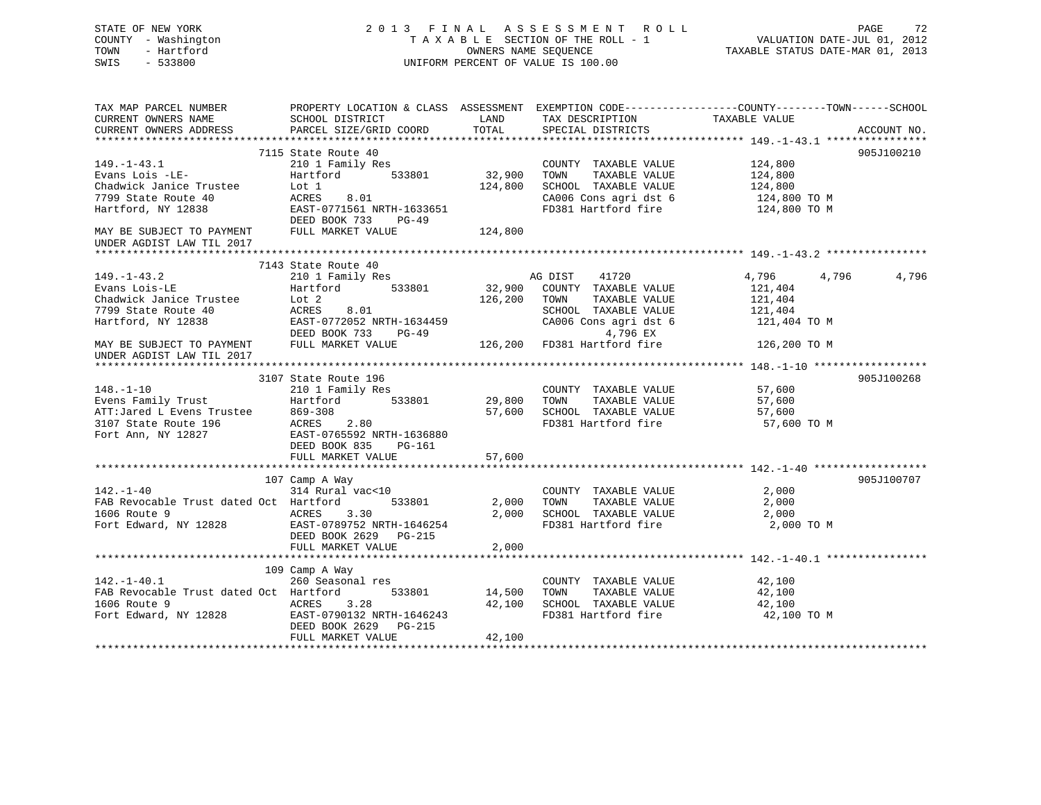| STATE OF NEW YORK<br>COUNTY - Washington<br>TOWN<br>- Hartford<br>SWIS<br>$-533800$                                                                                                                                                                       |                                                    |                         | 2013 FINAL ASSESSMENT ROLL<br>T A X A B L E SECTION OF THE ROLL - 1<br>OWNERS NAME SEQUENCE<br>UNIFORM PERCENT OF VALUE IS 100.00                                                                                       | 72 PAGE 72<br>VALUATION DATE-JUL 01, 2012<br>TAXABLE STATUS DATE-MAR 01, 2013 |             |
|-----------------------------------------------------------------------------------------------------------------------------------------------------------------------------------------------------------------------------------------------------------|----------------------------------------------------|-------------------------|-------------------------------------------------------------------------------------------------------------------------------------------------------------------------------------------------------------------------|-------------------------------------------------------------------------------|-------------|
| TAX MAP PARCEL NUMBER PROPERTY LOCATION & CLASS ASSESSMENT EXEMPTION CODE---------------COUNTY--------TOWN-----SCHOOL                                                                                                                                     |                                                    |                         |                                                                                                                                                                                                                         |                                                                               |             |
| CURRENT OWNERS NAME                                                                                                                                                                                                                                       | SCHOOL DISTRICT LAND                               |                         | TAX DESCRIPTION TAXABLE VALUE                                                                                                                                                                                           |                                                                               |             |
| CURRENT OWNERS ADDRESS<br>*********************                                                                                                                                                                                                           | PARCEL SIZE/GRID COORD                             | TOTAL                   | SPECIAL DISTRICTS                                                                                                                                                                                                       |                                                                               | ACCOUNT NO. |
|                                                                                                                                                                                                                                                           | 7115 State Route 40                                |                         |                                                                                                                                                                                                                         |                                                                               | 905J100210  |
| $149. - 1 - 43.1$                                                                                                                                                                                                                                         | 210 1 Family Res                                   |                         | COUNTY TAXABLE VALUE                                                                                                                                                                                                    |                                                                               |             |
|                                                                                                                                                                                                                                                           |                                                    | 32,900                  | TOWN TAXABLE VALUE                                                                                                                                                                                                      |                                                                               |             |
|                                                                                                                                                                                                                                                           |                                                    | 124,800                 | SCHOOL TAXABLE VALUE                                                                                                                                                                                                    | 124,800<br>124,800<br>124,800                                                 |             |
|                                                                                                                                                                                                                                                           |                                                    |                         | $\begin{array}{lll} \texttt{CA006} \texttt{ Cons} & \texttt{aspti} & \texttt{dst6} & \texttt{124,800} \texttt{TO M} \\ \texttt{FD381} & \texttt{Hartford} & \texttt{fire} & \texttt{124,800} \texttt{TO M} \end{array}$ |                                                                               |             |
| $219 - 1 - 43.1$<br>Evans Lois -LE-<br>Chadwick Janice Trustee<br>7799 State Route 40<br>Hartford, NY 12838<br>FRACES 8.01<br>Hartford, NY 12838<br>FRACES 8.01<br>FRACES 8.01<br>FRACES 8.01<br>FRACES 8.01<br>FRACES 8.01<br>FRACES 8.01<br>FRACES 8.01 |                                                    |                         |                                                                                                                                                                                                                         |                                                                               |             |
|                                                                                                                                                                                                                                                           | DEED BOOK 733 PG-49                                |                         |                                                                                                                                                                                                                         |                                                                               |             |
| MAY BE SUBJECT TO PAYMENT<br>UNDER AGDIST LAW TIL 2017                                                                                                                                                                                                    | FULL MARKET VALUE                                  | 124,800                 |                                                                                                                                                                                                                         |                                                                               |             |
|                                                                                                                                                                                                                                                           |                                                    |                         |                                                                                                                                                                                                                         |                                                                               |             |
|                                                                                                                                                                                                                                                           | 7143 State Route 40<br>210 1 Family Res            |                         | 41720<br>AG DIST                                                                                                                                                                                                        | 4,796 4,796                                                                   | 4,796       |
| $149. - 1 - 43.2$<br>Evans Lois-LE                                                                                                                                                                                                                        | Hartford 533801                                    |                         | 32,900 COUNTY TAXABLE VALUE                                                                                                                                                                                             | 121,404                                                                       |             |
|                                                                                                                                                                                                                                                           |                                                    |                         | 126,200 TOWN TAXABLE VALUE                                                                                                                                                                                              |                                                                               |             |
|                                                                                                                                                                                                                                                           | 8.01<br>ACRES                                      |                         | SCHOOL TAXABLE VALUE                                                                                                                                                                                                    | 121,404<br>121,404                                                            |             |
| Chadwick Janice Trustee 10 Lot 2<br>7799 State Route 40 ACRES<br>Hartford, NY 12838 EAST-0                                                                                                                                                                | EAST-0772052 NRTH-1634459                          |                         | CA006 Cons agri dst 6                                                                                                                                                                                                   | 121,404 TO M                                                                  |             |
|                                                                                                                                                                                                                                                           | DEED BOOK 733 PG-49                                |                         | 4,796 EX                                                                                                                                                                                                                |                                                                               |             |
| MAY BE SUBJECT TO PAYMENT<br>UNDER AGDIST LAW TIL 2017                                                                                                                                                                                                    | FULL MARKET VALUE                                  |                         | 126,200 FD381 Hartford fire                                                                                                                                                                                             | 126,200 TO M                                                                  |             |
|                                                                                                                                                                                                                                                           |                                                    |                         |                                                                                                                                                                                                                         |                                                                               |             |
|                                                                                                                                                                                                                                                           | 3107 State Route 196                               |                         |                                                                                                                                                                                                                         |                                                                               | 905J100268  |
| $148. - 1 - 10$                                                                                                                                                                                                                                           | 210 1 Family Res                                   |                         | COUNTY TAXABLE VALUE                                                                                                                                                                                                    | 57,600                                                                        |             |
|                                                                                                                                                                                                                                                           |                                                    | 29,800                  | TOWN TAXABLE VALUE                                                                                                                                                                                                      | 57,600                                                                        |             |
|                                                                                                                                                                                                                                                           |                                                    | 57,600                  | SCHOOL TAXABLE VALUE                                                                                                                                                                                                    | 57,600                                                                        |             |
| Evens Family Trust<br>ATT:Jared L Evens Trustee 869-308 533801<br>3107 State Route 196 ACRES 2.80<br>Fort Ann, NY 12827 EAST-0765592 NRTH-1636880                                                                                                         |                                                    |                         | FD381 Hartford fire                                                                                                                                                                                                     | 57,600 TO M                                                                   |             |
|                                                                                                                                                                                                                                                           | DEED BOOK 835 PG-161                               |                         |                                                                                                                                                                                                                         |                                                                               |             |
|                                                                                                                                                                                                                                                           | FULL MARKET VALUE                                  | 57,600                  |                                                                                                                                                                                                                         |                                                                               |             |
|                                                                                                                                                                                                                                                           |                                                    | * * * * * * * * * * * * |                                                                                                                                                                                                                         |                                                                               |             |
|                                                                                                                                                                                                                                                           | 107 Camp A Way                                     |                         |                                                                                                                                                                                                                         |                                                                               | 905J100707  |
| $142. - 1 - 40$                                                                                                                                                                                                                                           | 314 Rural vac<10                                   |                         | COUNTY TAXABLE VALUE                                                                                                                                                                                                    | 2,000                                                                         |             |
| FAB Revocable Trust dated Oct Hartford 533801                                                                                                                                                                                                             |                                                    | 2,000                   | TOWN TAXABLE VALUE                                                                                                                                                                                                      | 2,000                                                                         |             |
| 1606 Route 9<br>ACRES 3.30                                                                                                                                                                                                                                |                                                    | 2,000                   | SCHOOL TAXABLE VALUE                                                                                                                                                                                                    | 2,000                                                                         |             |
| Fort Edward, NY 12828                                                                                                                                                                                                                                     | EAST-0789752 NRTH-1646254<br>DEED BOOK 2629 PG-215 |                         | FD381 Hartford fire                                                                                                                                                                                                     | 2,000 TO M                                                                    |             |
|                                                                                                                                                                                                                                                           | FULL MARKET VALUE                                  | 2,000                   |                                                                                                                                                                                                                         |                                                                               |             |
|                                                                                                                                                                                                                                                           |                                                    |                         |                                                                                                                                                                                                                         |                                                                               |             |
| $142.-1-40.1$                                                                                                                                                                                                                                             | 109 Camp A Way                                     |                         |                                                                                                                                                                                                                         |                                                                               |             |
|                                                                                                                                                                                                                                                           | 260 Seasonal res                                   |                         | COUNTY TAXABLE VALUE                                                                                                                                                                                                    | 42,100                                                                        |             |
| FAB Revocable Trust dated Oct Hartford                                                                                                                                                                                                                    | 533801                                             | 14,500                  | TOWN TAXABLE VALUE                                                                                                                                                                                                      | 42,100<br>42,100                                                              |             |
|                                                                                                                                                                                                                                                           |                                                    | 42,100                  | SCHOOL TAXABLE VALUE<br>FD381 Hartford fire                                                                                                                                                                             | 42,100 TO M                                                                   |             |
|                                                                                                                                                                                                                                                           | DEED BOOK 2629 PG-215                              |                         |                                                                                                                                                                                                                         |                                                                               |             |
|                                                                                                                                                                                                                                                           | FULL MARKET VALUE                                  | 42,100                  |                                                                                                                                                                                                                         |                                                                               |             |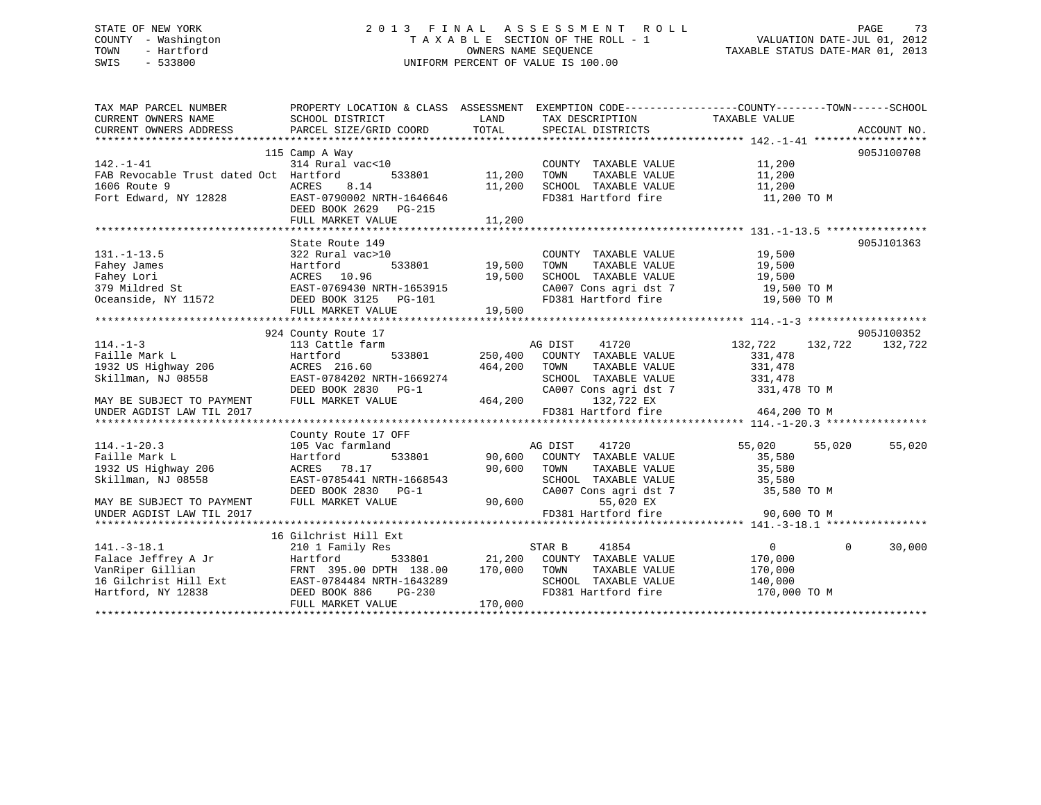# STATE OF NEW YORK 2 0 1 3 F I N A L A S S E S S M E N T R O L L PAGE 73 COUNTY - Washington T A X A B L E SECTION OF THE ROLL - 1 VALUATION DATE-JUL 01, 2012 TOWN - Hartford OWNERS NAME SEQUENCE TAXABLE STATUS DATE-MAR 01, 2013 SWIS - 533800 UNIFORM PERCENT OF VALUE IS 100.00

| TAX MAP PARCEL NUMBER<br>CURRENT OWNERS NAME<br>CURRENT OWNERS ADDRESS | SCHOOL DISTRICT<br>PARCEL SIZE/GRID COORD | LAND<br>TOTAL  | TAX DESCRIPTION TAXABLE VALUE<br>SPECIAL DISTRICTS | PROPERTY LOCATION & CLASS ASSESSMENT EXEMPTION CODE---------------COUNTY-------TOWN------SCHOOL | ACCOUNT NO. |
|------------------------------------------------------------------------|-------------------------------------------|----------------|----------------------------------------------------|-------------------------------------------------------------------------------------------------|-------------|
|                                                                        |                                           |                |                                                    |                                                                                                 |             |
|                                                                        | 115 Camp A Way                            |                |                                                    |                                                                                                 | 905J100708  |
| $142. - 1 - 41$                                                        | 314 Rural vac<10                          |                | COUNTY TAXABLE VALUE                               | 11,200                                                                                          |             |
| FAB Revocable Trust dated Oct Hartford                                 | 533801                                    | 11,200         | TAXABLE VALUE<br>TOWN                              | 11,200                                                                                          |             |
| 1606 Route 9                                                           | ACRES<br>8.14                             | 11,200         | SCHOOL TAXABLE VALUE                               | 11,200                                                                                          |             |
| Fort Edward, NY 12828                                                  | EAST-0790002 NRTH-1646646                 |                | FD381 Hartford fire                                | 11,200 TO M                                                                                     |             |
|                                                                        | DEED BOOK 2629 PG-215                     |                |                                                    |                                                                                                 |             |
|                                                                        | FULL MARKET VALUE                         | 11,200         |                                                    |                                                                                                 |             |
|                                                                        |                                           |                |                                                    |                                                                                                 |             |
|                                                                        | State Route 149                           |                |                                                    |                                                                                                 | 905J101363  |
| $131. - 1 - 13.5$                                                      | 322 Rural vac>10                          |                | COUNTY TAXABLE VALUE                               | 19,500                                                                                          |             |
|                                                                        | 533801<br>Hartford                        | 19,500         | TOWN<br>TAXABLE VALUE                              | 19,500                                                                                          |             |
|                                                                        | ACRES 10.96                               | 19,500         | SCHOOL TAXABLE VALUE                               | 19,500                                                                                          |             |
| Fahey James<br>Fahey Lori<br>379 Mildred St                            | EAST-0769430 NRTH-1653915                 |                |                                                    | CA007 Cons agri dst 7 19,500 TO M                                                               |             |
| Oceanside, NY 11572                                                    | DEED BOOK 3125 PG-101                     |                | FD381 Hartford fire                                | 19,500 TO M                                                                                     |             |
|                                                                        | FULL MARKET VALUE                         | 19,500         |                                                    |                                                                                                 |             |
|                                                                        |                                           |                |                                                    |                                                                                                 |             |
|                                                                        | 924 County Route 17                       |                |                                                    |                                                                                                 | 905J100352  |
| $114. - 1 - 3$                                                         | 113 Cattle farm                           |                | AG DIST<br>41720                                   | 132,722<br>132,722                                                                              | 132,722     |
| Faille Mark L                                                          | Hartford                                  | 533801 250,400 | COUNTY TAXABLE VALUE                               | 331,478                                                                                         |             |
| 1932 US Highway 206                                                    | ACRES 216.60                              | 464,200        | TOWN<br>TAXABLE VALUE                              | 331,478                                                                                         |             |
| Skillman, NJ 08558                                                     | EAST-0784202 NRTH-1669274                 |                | SCHOOL TAXABLE VALUE                               | 331,478                                                                                         |             |
|                                                                        | DEED BOOK 2830 PG-1                       |                | CA007 Cons agri dst 7                              | 331,478 TO M                                                                                    |             |
| MAY BE SUBJECT TO PAYMENT                                              | FULL MARKET VALUE                         | 464,200        | 132,722 EX                                         |                                                                                                 |             |
| UNDER AGDIST LAW TIL 2017                                              |                                           |                | FD381 Hartford fire                                | 464,200 TO M                                                                                    |             |
|                                                                        |                                           |                |                                                    |                                                                                                 |             |
|                                                                        | County Route 17 OFF                       |                |                                                    |                                                                                                 |             |
| $114. - 1 - 20.3$                                                      | 105 Vac farmland                          |                | 41720<br>AG DIST                                   | 55,020<br>55,020                                                                                | 55,020      |
| Faille Mark L                                                          | 533801<br>Hartford                        | 90,600         | COUNTY TAXABLE VALUE                               | 35,580                                                                                          |             |
| 1932 US Highway 206                                                    | ACRES 78.17                               | 90,600         | TOWN<br>TAXABLE VALUE                              | 35,580                                                                                          |             |
| Skillman, NJ 08558                                                     | EAST-0785441 NRTH-1668543                 |                | SCHOOL TAXABLE VALUE                               | 35,580                                                                                          |             |
|                                                                        | DEED BOOK 2830 PG-1<br>FULL MARKET VALUE  | 90,600         | CA007 Cons agri dst 7<br>55,020 EX                 | 35,580 TO M                                                                                     |             |
| MAY BE SUBJECT TO PAYMENT                                              |                                           |                | FD381 Hartford fire                                | 90,600 TO M                                                                                     |             |
| UNDER AGDIST LAW TIL 2017                                              |                                           |                |                                                    |                                                                                                 |             |
|                                                                        | 16 Gilchrist Hill Ext                     |                |                                                    |                                                                                                 |             |
| $141. - 3 - 18.1$                                                      | 210 1 Family Res                          |                | STAR B<br>41854                                    | $\Omega$<br>$\Omega$                                                                            | 30,000      |
| Falace Jeffrey A Jr                                                    | Hartford                                  | 533801 21,200  | COUNTY TAXABLE VALUE                               | 170,000                                                                                         |             |
| VanRiper Gillian                                                       | FRNT 395.00 DPTH 138.00                   | 170,000        | TOWN<br>TAXABLE VALUE                              | 170,000                                                                                         |             |
| 16 Gilchrist Hill Ext                                                  | EAST-0784484 NRTH-1643289                 |                | SCHOOL TAXABLE VALUE                               | 140,000                                                                                         |             |
| Hartford, NY 12838                                                     | DEED BOOK 886<br>$PG-230$                 |                | FD381 Hartford fire                                | 170,000 TO M                                                                                    |             |
|                                                                        | FULL MARKET VALUE                         | 170,000        |                                                    |                                                                                                 |             |
|                                                                        |                                           |                |                                                    |                                                                                                 |             |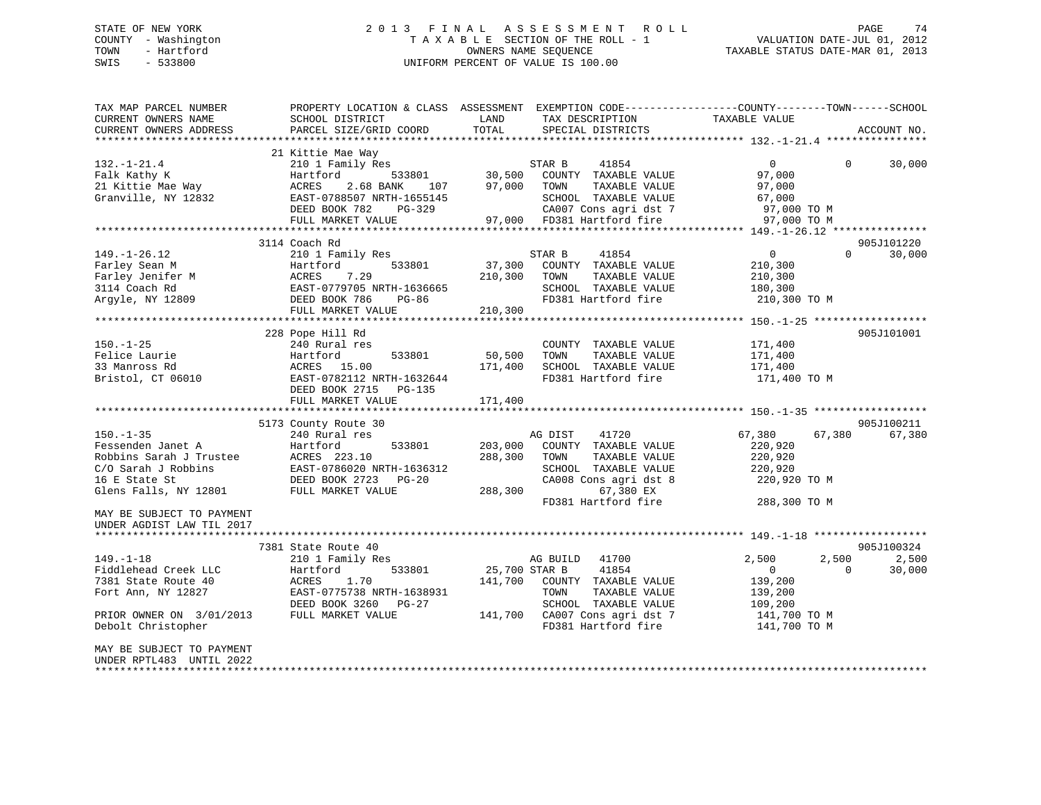# STATE OF NEW YORK 2 0 1 3 F I N A L A S S E S S M E N T R O L L PAGE 74 COUNTY - Washington T A X A B L E SECTION OF THE ROLL - 1 VALUATION DATE-JUL 01, 2012 TOWN - Hartford OWNERS NAME SEQUENCE TAXABLE STATUS DATE-MAR 01, 2013 SWIS - 533800 UNIFORM PERCENT OF VALUE IS 100.00

| TAX MAP PARCEL NUMBER<br>CURRENT OWNERS NAME<br>CURRENT OWNERS ADDRESS                                                                                                                                                                                               | SCHOOL DISTRICT<br>PARCEL SIZE/GRID COORD                                                                                                                                                                                                                                                                     | LAND<br>TAX DESCRIPTION<br>TOTAL<br>SPECIAL DISTRICTS                                                                                                                                                                                                                                                                   | PROPERTY LOCATION & CLASS ASSESSMENT EXEMPTION CODE---------------COUNTY-------TOWN-----SCHOOL<br>TAXABLE VALUE<br>ACCOUNT NO.                                           |
|----------------------------------------------------------------------------------------------------------------------------------------------------------------------------------------------------------------------------------------------------------------------|---------------------------------------------------------------------------------------------------------------------------------------------------------------------------------------------------------------------------------------------------------------------------------------------------------------|-------------------------------------------------------------------------------------------------------------------------------------------------------------------------------------------------------------------------------------------------------------------------------------------------------------------------|--------------------------------------------------------------------------------------------------------------------------------------------------------------------------|
| $132. - 1 - 21.4$<br>Falk Kathy K<br>21 Kittie Mae Way<br>Granville, NY 12832                                                                                                                                                                                        | 21 Kittie Mae Way<br>210 1 Family Res<br>Hartford<br>533801<br>ACRES<br>2.68 BANK<br>107<br>EAST-0788507 NRTH-1655145<br>DEED BOOK 782<br>PG-329                                                                                                                                                              | STAR B<br>41854<br>30,500<br>COUNTY TAXABLE VALUE<br>97,000<br>TOWN<br>TAXABLE VALUE<br>SCHOOL TAXABLE VALUE<br>CA007 Cons agri dst 7                                                                                                                                                                                   | $\mathbf{0}$<br>30,000<br>$\Omega$<br>97,000<br>97,000<br>67,000<br>97,000 TO M                                                                                          |
|                                                                                                                                                                                                                                                                      | FULL MARKET VALUE                                                                                                                                                                                                                                                                                             | 97,000 FD381 Hartford fire                                                                                                                                                                                                                                                                                              | 97,000 TO M                                                                                                                                                              |
|                                                                                                                                                                                                                                                                      | 3114 Coach Rd                                                                                                                                                                                                                                                                                                 |                                                                                                                                                                                                                                                                                                                         | 905J101220                                                                                                                                                               |
| $149. - 1 - 26.12$<br>Farley Sean M<br>Farley Jenifer M<br>3114 Coach Rd<br>Argyle, NY 12809                                                                                                                                                                         | 210 1 Family Res<br>533801<br>Hartford<br>ACRES<br>7.29<br>EAST-0779705 NRTH-1636665<br>DEED BOOK 786<br>$PG-86$<br>FULL MARKET VALUE                                                                                                                                                                         | 41854<br>STAR B<br>37,300<br>COUNTY TAXABLE VALUE<br>TAXABLE VALUE<br>210,300<br>TOWN<br>SCHOOL TAXABLE VALUE<br>FD381 Hartford fire<br>210,300                                                                                                                                                                         | $\overline{0}$<br>$\Omega$<br>30,000<br>210,300<br>210,300<br>180,300<br>210,300 TO M                                                                                    |
|                                                                                                                                                                                                                                                                      |                                                                                                                                                                                                                                                                                                               |                                                                                                                                                                                                                                                                                                                         |                                                                                                                                                                          |
| $150. - 1 - 25$<br>Felice Laurie<br>33 Manross Rd<br>Bristol, CT 06010<br>$150. - 1 - 35$<br>Fessenden Janet A<br>Robbins Sarah J Trustee<br>C/O Sarah J Robbins<br>16 E State St<br>Glens Falls, NY 12801<br>MAY BE SUBJECT TO PAYMENT<br>UNDER AGDIST LAW TIL 2017 | 228 Pope Hill Rd<br>240 Rural res<br>Hartford<br>533801<br>ACRES 15.00<br>EAST-0782112 NRTH-1632644<br>DEED BOOK 2715<br>PG-135<br>FULL MARKET VALUE<br>5173 County Route 30<br>240 Rural res<br>Hartford<br>533801<br>ACRES 223.10<br>EAST-0786020 NRTH-1636312<br>DEED BOOK 2723 PG-20<br>FULL MARKET VALUE | COUNTY TAXABLE VALUE<br>50,500<br>TOWN<br>TAXABLE VALUE<br>171,400<br>SCHOOL TAXABLE VALUE<br>FD381 Hartford fire<br>171,400<br>AG DIST<br>41720<br>203,000<br>COUNTY TAXABLE VALUE<br>288,300<br>TOWN<br>TAXABLE VALUE<br>SCHOOL TAXABLE VALUE<br>CA008 Cons agri dst 8<br>67,380 EX<br>288,300<br>FD381 Hartford fire | 905J101001<br>171,400<br>171,400<br>171,400<br>171,400 TO M<br>905J100211<br>67,380<br>67,380<br>67,380<br>220,920<br>220,920<br>220,920<br>220,920 TO M<br>288,300 TO M |
|                                                                                                                                                                                                                                                                      | 7381 State Route 40                                                                                                                                                                                                                                                                                           |                                                                                                                                                                                                                                                                                                                         | 905J100324                                                                                                                                                               |
| $149. - 1 - 18$<br>Fiddlehead Creek LLC<br>7381 State Route 40<br>Fort Ann, NY 12827<br>PRIOR OWNER ON 3/01/2013<br>Debolt Christopher                                                                                                                               | 210 1 Family Res<br>533801<br>Hartford<br><b>ACRES</b><br>1.70<br>EAST-0775738 NRTH-1638931<br>DEED BOOK 3260<br>PG-27<br>FULL MARKET VALUE                                                                                                                                                                   | AG BUILD<br>41700<br>41854<br>25,700 STAR B<br>141,700<br>COUNTY TAXABLE VALUE<br>TOWN<br>TAXABLE VALUE<br>SCHOOL TAXABLE VALUE<br>CA007 Cons agri dst 7<br>141,700<br>FD381 Hartford fire                                                                                                                              | 2,500<br>2,500<br>2,500<br>$\mathbf{0}$<br>30,000<br>$\Omega$<br>139,200<br>139,200<br>109,200<br>141,700 TO M<br>141,700 TO M                                           |
| MAY BE SUBJECT TO PAYMENT<br>UNDER RPTL483 UNTIL 2022                                                                                                                                                                                                                |                                                                                                                                                                                                                                                                                                               |                                                                                                                                                                                                                                                                                                                         |                                                                                                                                                                          |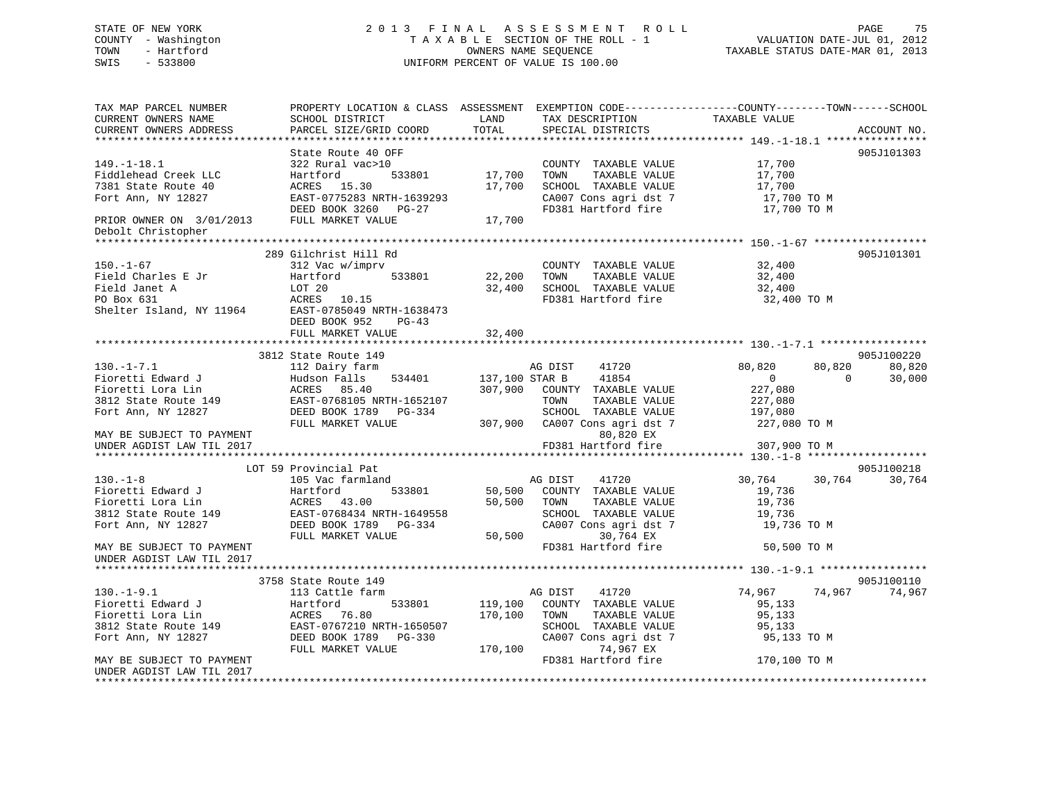# STATE OF NEW YORK 2 0 1 3 F I N A L A S S E S S M E N T R O L L PAGE 75 COUNTY - Washington T A X A B L E SECTION OF THE ROLL - 1 VALUATION DATE-JUL 01, 2012 TOWN - Hartford **TAXABLE STATUS DATE-MAR 01, 2013** SWIS - 533800 UNIFORM PERCENT OF VALUE IS 100.00

| TAX MAP PARCEL NUMBER<br>CURRENT OWNERS NAME<br>CURRENT OWNERS ADDRESS                 | PROPERTY LOCATION & CLASS ASSESSMENT EXEMPTION CODE---------------COUNTY-------TOWN-----SCHOOL<br>SCHOOL DISTRICT<br>PARCEL SIZE/GRID COORD | LAND<br>TOTAL    | TAX DESCRIPTION<br>SPECIAL DISTRICTS                                                           | TAXABLE VALUE                             | ACCOUNT NO.                  |
|----------------------------------------------------------------------------------------|---------------------------------------------------------------------------------------------------------------------------------------------|------------------|------------------------------------------------------------------------------------------------|-------------------------------------------|------------------------------|
|                                                                                        |                                                                                                                                             |                  |                                                                                                |                                           |                              |
| $149. - 1 - 18.1$<br>Fiddlehead Creek LLC<br>7381 State Route 40<br>Fort Ann, NY 12827 | State Route 40 OFF<br>322 Rural vac>10<br>533801<br>Hartford<br>ACRES 15.30<br>EAST-0775283 NRTH-1639293                                    | 17,700<br>17,700 | COUNTY TAXABLE VALUE<br>TAXABLE VALUE<br>TOWN<br>SCHOOL TAXABLE VALUE<br>CA007 Cons agri dst 7 | 17,700<br>17,700<br>17,700<br>17,700 TO M | 905J101303                   |
| PRIOR OWNER ON 3/01/2013<br>Debolt Christopher                                         | DEED BOOK 3260 PG-27<br>FULL MARKET VALUE                                                                                                   | 17,700           | FD381 Hartford fire                                                                            | 17,700 TO M                               |                              |
|                                                                                        |                                                                                                                                             |                  |                                                                                                |                                           |                              |
| $150. - 1 - 67$                                                                        | 289 Gilchrist Hill Rd<br>312 Vac w/imprv                                                                                                    |                  | COUNTY TAXABLE VALUE                                                                           | 32,400                                    | 905J101301                   |
| Field Charles E Jr<br>Field Janet A                                                    | Hartford<br>533801<br>LOT 20                                                                                                                | 22,200<br>32,400 | TAXABLE VALUE<br>TOWN<br>SCHOOL TAXABLE VALUE                                                  | 32,400<br>32,400                          |                              |
| PO Box 631<br>Shelter Island, NY 11964                                                 | ACRES 10.15<br>EAST-0785049 NRTH-1638473<br>DEED BOOK 952<br>$PG-43$                                                                        |                  | FD381 Hartford fire                                                                            | 32,400 TO M                               |                              |
|                                                                                        | FULL MARKET VALUE                                                                                                                           | 32,400           |                                                                                                |                                           |                              |
|                                                                                        | ****************************                                                                                                                |                  |                                                                                                |                                           |                              |
| $130. -1 - 7.1$                                                                        | 3812 State Route 149                                                                                                                        |                  |                                                                                                |                                           | 905J100220                   |
| Fioretti Edward J                                                                      | 112 Dairy farm<br>Hudson Falls<br>534401                                                                                                    | 137,100 STAR B   | 41720<br>AG DIST<br>41854                                                                      | 80,820<br>80,820<br>$\mathbf 0$           | 80,820<br>$\Omega$<br>30,000 |
| Fioretti Lora Lin                                                                      | ACRES 85.40                                                                                                                                 | 307,900          | COUNTY TAXABLE VALUE                                                                           | 227,080                                   |                              |
| 3812 State Route 149                                                                   | EAST-0768105 NRTH-1652107                                                                                                                   |                  | TOWN<br>TAXABLE VALUE                                                                          | 227,080                                   |                              |
| Fort Ann, NY 12827                                                                     | DEED BOOK 1789 PG-334                                                                                                                       |                  | SCHOOL TAXABLE VALUE                                                                           | 197,080                                   |                              |
|                                                                                        | FULL MARKET VALUE                                                                                                                           | 307,900          | CA007 Cons agri dst 7                                                                          | 227,080 TO M                              |                              |
| MAY BE SUBJECT TO PAYMENT                                                              |                                                                                                                                             |                  | 80,820 EX                                                                                      |                                           |                              |
| UNDER AGDIST LAW TIL 2017                                                              |                                                                                                                                             |                  | FD381 Hartford fire                                                                            | 307,900 TO M                              |                              |
|                                                                                        |                                                                                                                                             |                  |                                                                                                |                                           |                              |
| $130. - 1 - 8$                                                                         | LOT 59 Provincial Pat<br>105 Vac farmland                                                                                                   |                  | AG DIST<br>41720                                                                               | 30,764<br>30,764                          | 905J100218<br>30,764         |
| Fioretti Edward J                                                                      | 533801<br>Hartford                                                                                                                          | 50,500           | COUNTY TAXABLE VALUE                                                                           | 19,736                                    |                              |
| Fioretti Lora Lin                                                                      | ACRES 43.00                                                                                                                                 | 50,500           | TOWN<br>TAXABLE VALUE                                                                          | 19,736                                    |                              |
| 3812 State Route 149                                                                   | EAST-0768434 NRTH-1649558                                                                                                                   |                  | SCHOOL TAXABLE VALUE                                                                           | 19,736                                    |                              |
| Fort Ann, NY 12827                                                                     | DEED BOOK 1789 PG-334<br>FULL MARKET VALUE                                                                                                  | 50,500           | CA007 Cons agri dst 7<br>30,764 EX                                                             | 19,736 TO M                               |                              |
| MAY BE SUBJECT TO PAYMENT<br>UNDER AGDIST LAW TIL 2017                                 |                                                                                                                                             |                  | FD381 Hartford fire                                                                            | 50,500 TO M                               |                              |
|                                                                                        |                                                                                                                                             |                  |                                                                                                |                                           |                              |
| $130. - 1 - 9.1$                                                                       | 3758 State Route 149                                                                                                                        |                  | AG DIST                                                                                        | 74,967                                    | 905J100110<br>74,967         |
| Fioretti Edward J                                                                      | 113 Cattle farm<br>Hartford<br>533801                                                                                                       | 119,100          | 41720<br>COUNTY TAXABLE VALUE                                                                  | 74,967<br>95,133                          |                              |
| Fioretti Lora Lin                                                                      | ACRES 76.80                                                                                                                                 | 170,100          | TOWN<br>TAXABLE VALUE                                                                          | 95,133                                    |                              |
| 3812 State Route 149                                                                   | EAST-0767210 NRTH-1650507                                                                                                                   |                  | SCHOOL TAXABLE VALUE                                                                           | 95,133                                    |                              |
| Fort Ann, NY 12827                                                                     | DEED BOOK 1789 PG-330                                                                                                                       |                  | CA007 Cons agri dst 7                                                                          | 95,133 TO M                               |                              |
|                                                                                        | FULL MARKET VALUE                                                                                                                           | 170,100          | 74,967 EX                                                                                      |                                           |                              |
| MAY BE SUBJECT TO PAYMENT                                                              |                                                                                                                                             |                  | FD381 Hartford fire                                                                            | 170,100 TO M                              |                              |
| UNDER AGDIST LAW TIL 2017                                                              |                                                                                                                                             |                  |                                                                                                |                                           |                              |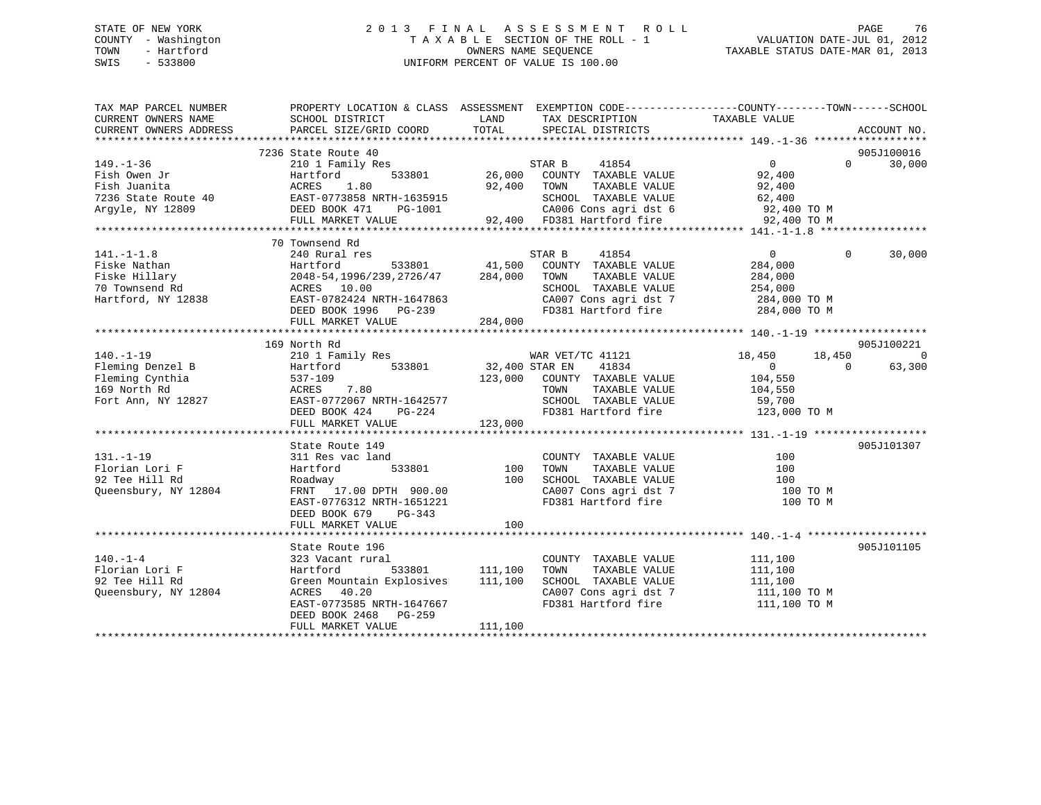# STATE OF NEW YORK 2 0 1 3 F I N A L A S S E S S M E N T R O L L PAGE 76 COUNTY - Washington T A X A B L E SECTION OF THE ROLL - 1 VALUATION DATE-JUL 01, 2012 TOWN - Hartford **TAXABLE STATUS DATE-MAR 01, 2013** OWNERS NAME SEQUENCE TAXABLE STATUS DATE-MAR 01, 2013 SWIS - 533800 UNIFORM PERCENT OF VALUE IS 100.00

| TAX MAP PARCEL NUMBER<br>CURRENT OWNERS NAME<br>CURRENT OWNERS ADDRESS                                                                                                                                                                                                                                                                                                                                                  | PROPERTY LOCATION & CLASS ASSESSMENT EXEMPTION CODE---------------COUNTY-------TOWN-----SCHOOL<br>SCHOOL DISTRICT<br>PARCEL SIZE/GRID COORD                                                                                        | <b>EXAMPLE THE STATE OF STATE OF STATE</b><br>TOTAL | TAX DESCRIPTION TAXABLE VALUE<br>SPECIAL DISTRICTS                                                                                                      |                                                    | ACCOUNT NO.   |               |         |         |               |                          |         |      |               |         |                |       |  |                                 |  |                 |                            |        |
|-------------------------------------------------------------------------------------------------------------------------------------------------------------------------------------------------------------------------------------------------------------------------------------------------------------------------------------------------------------------------------------------------------------------------|------------------------------------------------------------------------------------------------------------------------------------------------------------------------------------------------------------------------------------|-----------------------------------------------------|---------------------------------------------------------------------------------------------------------------------------------------------------------|----------------------------------------------------|---------------|---------------|---------|---------|---------------|--------------------------|---------|------|---------------|---------|----------------|-------|--|---------------------------------|--|-----------------|----------------------------|--------|
| $\begin{tabular}{lllllllllllllllllllll} \textbf{149.}-1-36 & \textbf{2101 Family Res} & \textbf{STAR B} & 41854 & 0 & 0 & 30,000 \\ \textbf{Fish Owen Jr} & \textbf{2101 Family Res} & \textbf{533801} & 26,000 & \textbf{COUNTY TAXABLE VALUE} & 92,400 & 0 & 30,000 \\ \textbf{Fish Juanita} & \textbf{ACRES} & 1.80 & 92,400 & \textbf{TONIN} & \textbf{TAXABLE VALUE} & 92,400 \\ \textbf{7236 State Route A0} & \$ | 7236 State Route 40                                                                                                                                                                                                                |                                                     | $\begin{array}{cccc}\n 3 & 3 & 26,000 \\  26,000 & 533801\n\end{array}$                                                                                 |                                                    | 905J100016    |               |         |         |               |                          |         |      |               |         |                |       |  |                                 |  |                 |                            |        |
| $141. -1 - 1.8$<br>$\n\n\nFiske Hillary\n240 Nular1psilon\n333801\n41,500\n200NTY\nTAXABLE VALUE\n284,000\n284,000\n\n\nFiske Hillary\n2048-54,1996/239,2726/47\n284,000\nTOWN\nTAXABLE VALUE\n284,000\n\n\nT0 Townsend Rd\nACRES\n$                                                                                                                                                                                    | Fiske Hillary                                                                                                                                                                                                                      | 240 Nular1psilon                                    | 333801                                                                                                                                                  | 41,500                                             | 200NTY        | TAXABLE VALUE | 284,000 | 284,000 | Fiske Hillary | 2048-54,1996/239,2726/47 | 284,000 | TOWN | TAXABLE VALUE | 284,000 | T0 Townsend Rd | ACRES |  | 70 Townsend Rd<br>240 Rural res |  | STAR B<br>41854 | $\overline{0}$<br>$\Omega$ | 30,000 |
| Fiske Hillary                                                                                                                                                                                                                                                                                                                                                                                                           | 240 Nular1psilon                                                                                                                                                                                                                   | 333801                                              | 41,500                                                                                                                                                  | 200NTY                                             | TAXABLE VALUE | 284,000       | 284,000 |         |               |                          |         |      |               |         |                |       |  |                                 |  |                 |                            |        |
| Fiske Hillary                                                                                                                                                                                                                                                                                                                                                                                                           | 2048-54,1996/239,2726/47                                                                                                                                                                                                           | 284,000                                             | TOWN                                                                                                                                                    | TAXABLE VALUE                                      | 284,000       |               |         |         |               |                          |         |      |               |         |                |       |  |                                 |  |                 |                            |        |
| T0 Townsend Rd                                                                                                                                                                                                                                                                                                                                                                                                          | ACRES                                                                                                                                                                                                                              |                                                     |                                                                                                                                                         |                                                    |               |               |         |         |               |                          |         |      |               |         |                |       |  |                                 |  |                 |                            |        |
|                                                                                                                                                                                                                                                                                                                                                                                                                         | 169 North Rd                                                                                                                                                                                                                       |                                                     |                                                                                                                                                         |                                                    | 905J100221    |               |         |         |               |                          |         |      |               |         |                |       |  |                                 |  |                 |                            |        |
| 131.-1-19<br>Florian Lori F<br>הס נוצר<br>Queensbury, NY 12804                                                                                                                                                                                                                                                                                                                                                          | State Route 149<br>311 Res vac land<br>c land<br>533801 100<br>20 PPII 100<br>Hartford<br>Roadway<br>FRNT 17.00 DPTH 900.00<br>EAST-0776312 NRTH-1651221<br>EAST-0776312 NRTH-1651221<br>DEED BOOK 679 PG-343<br>FULL MARKET VALUE | 100                                                 | COUNTY TAXABLE VALUE<br>TAXABLE VALUE<br>TOWN<br>SCHOOL TAXABLE VALUE<br>CA007 Cons agri dst 7<br>FD381 Hartford fire<br>FD381 Hartford fire            | 100<br>$\frac{100}{100}$<br>$100$ TO M<br>100 TO M | 905J101307    |               |         |         |               |                          |         |      |               |         |                |       |  |                                 |  |                 |                            |        |
| $140. - 1 - 4$<br>Florian Lori F<br>92 Tee Hill Rd<br>Queensbury, NY 12804                                                                                                                                                                                                                                                                                                                                              | State Route 196<br>323 Vacant rural<br>Hartford<br>Green Mountain Explosives 111,100<br>ACRES 40.20<br>EAST-0773585 NRTH-1647667<br>DEED BOOK 2468 PG-259<br>FULL MARKET VALUE                                                     | 533801 111,100<br>111,100                           | COUNTY TAXABLE VALUE<br>TAXABLE VALUE<br>TOWN<br>SCHOOL TAXABLE VALUE 111,100<br>CA007 Cons agri dst 7 111,100 TO M<br>FD381 Hartford fire 111,100 TO M | 111,100<br>111,100                                 | 905J101105    |               |         |         |               |                          |         |      |               |         |                |       |  |                                 |  |                 |                            |        |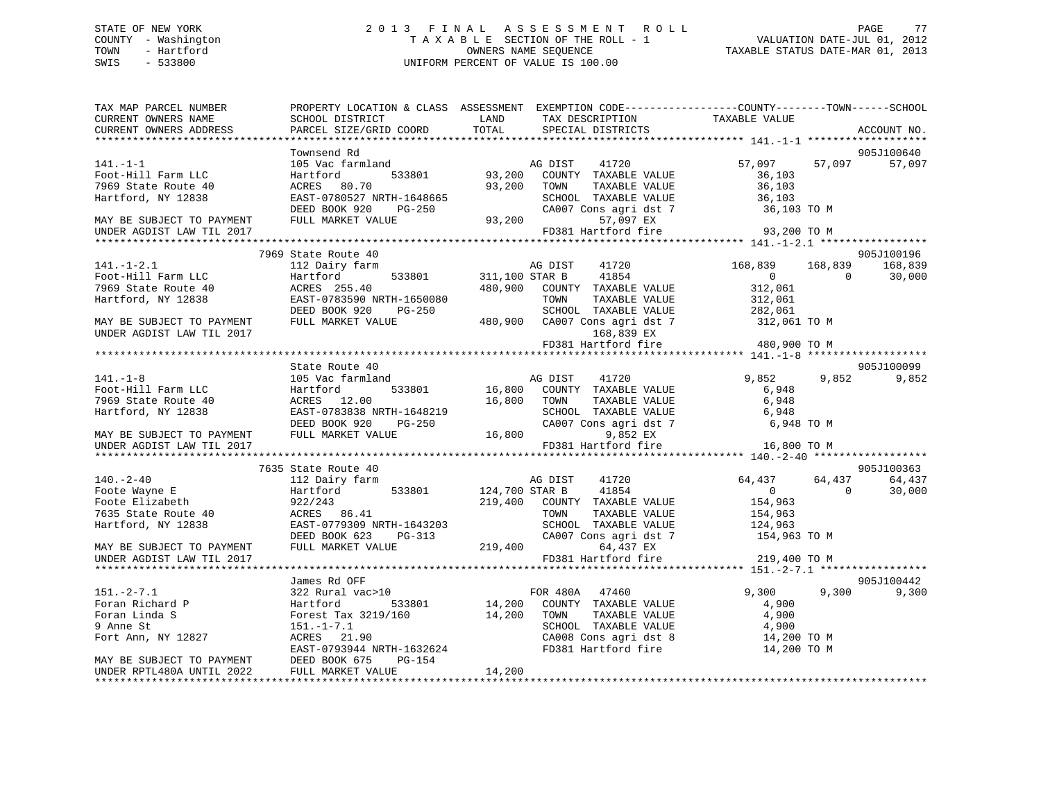# STATE OF NEW YORK 2 0 1 3 F I N A L A S S E S S M E N T R O L L PAGE 77 COUNTY - Washington T A X A B L E SECTION OF THE ROLL - 1 VALUATION DATE-JUL 01, 2012 TOWN - Hartford **TAXABLE STATUS DATE-MAR 01, 2013** SWIS - 533800 UNIFORM PERCENT OF VALUE IS 100.00

| TAX MAP PARCEL NUMBER<br>CURRENT OWNERS NAME                                                                                                                                                                                                    | PROPERTY LOCATION & CLASS ASSESSMENT EXEMPTION CODE-----------------COUNTY-------TOWN------SCHOOL<br>SCHOOL DISTRICT                                                                                                                                   | <b>LAND</b> | TAX DESCRIPTION TAXABLE VALUE                                                                        |                           |        |             |
|-------------------------------------------------------------------------------------------------------------------------------------------------------------------------------------------------------------------------------------------------|--------------------------------------------------------------------------------------------------------------------------------------------------------------------------------------------------------------------------------------------------------|-------------|------------------------------------------------------------------------------------------------------|---------------------------|--------|-------------|
| CURRENT OWNERS ADDRESS                                                                                                                                                                                                                          | PARCEL SIZE/GRID COORD                                                                                                                                                                                                                                 | TOTAL       | SPECIAL DISTRICTS                                                                                    |                           |        | ACCOUNT NO. |
|                                                                                                                                                                                                                                                 |                                                                                                                                                                                                                                                        |             |                                                                                                      |                           |        |             |
|                                                                                                                                                                                                                                                 | Townsend Rd                                                                                                                                                                                                                                            |             |                                                                                                      |                           |        | 905J100640  |
| $141. - 1 - 1$                                                                                                                                                                                                                                  |                                                                                                                                                                                                                                                        |             |                                                                                                      | 57,097                    | 57,097 | 57,097      |
| Foot-Hill Farm LLC                                                                                                                                                                                                                              | 105 Vac farmland<br>Hartford 133801 93,200 COUNTY TAXABLE VALUE                                                                                                                                                                                        |             |                                                                                                      |                           |        |             |
| 7969 State Route 40                                                                                                                                                                                                                             |                                                                                                                                                                                                                                                        |             |                                                                                                      |                           |        |             |
| Hartford, NY 12838                                                                                                                                                                                                                              |                                                                                                                                                                                                                                                        |             | COUNTY TAXABLE VALUE 36,103<br>TOWN TAXABLE VALUE 36,103<br>SCHOOL TAXABLE VALUE 36,103<br>36,103    |                           |        |             |
|                                                                                                                                                                                                                                                 |                                                                                                                                                                                                                                                        |             |                                                                                                      | 36,103 TO M               |        |             |
| MAY BE SUBJECT TO PAYMENT                                                                                                                                                                                                                       |                                                                                                                                                                                                                                                        |             |                                                                                                      |                           |        |             |
| UNDER AGDIST LAW TIL 2017                                                                                                                                                                                                                       | ACRES 80.70<br>EAST-0780527 NRTH-1648665<br>DEED BOOK 920 PG-250<br>FULL MARKET VALUE<br>FULL MARKET VALUE<br>ARKET VALUE<br>PERENT VALUE<br>PERENT VALUE<br>PERENT VALUE<br>PERENT VALUE<br>PERENT VALUE<br>PERENT VALUE<br>PERENT VALUE<br>PERENT V  |             | FD381 Hartford fire 93,200 TO M                                                                      |                           |        |             |
|                                                                                                                                                                                                                                                 |                                                                                                                                                                                                                                                        |             |                                                                                                      |                           |        |             |
|                                                                                                                                                                                                                                                 | 7969 State Route 40                                                                                                                                                                                                                                    |             |                                                                                                      |                           |        | 905J100196  |
|                                                                                                                                                                                                                                                 |                                                                                                                                                                                                                                                        |             |                                                                                                      | 168,839 168,839           |        | 168,839     |
|                                                                                                                                                                                                                                                 |                                                                                                                                                                                                                                                        |             |                                                                                                      | $0$<br>312,061<br>312,061 |        | 30,000      |
|                                                                                                                                                                                                                                                 |                                                                                                                                                                                                                                                        |             |                                                                                                      |                           |        |             |
|                                                                                                                                                                                                                                                 |                                                                                                                                                                                                                                                        |             |                                                                                                      |                           |        |             |
|                                                                                                                                                                                                                                                 |                                                                                                                                                                                                                                                        |             |                                                                                                      |                           |        |             |
|                                                                                                                                                                                                                                                 |                                                                                                                                                                                                                                                        |             |                                                                                                      |                           |        |             |
|                                                                                                                                                                                                                                                 |                                                                                                                                                                                                                                                        |             |                                                                                                      |                           |        |             |
|                                                                                                                                                                                                                                                 |                                                                                                                                                                                                                                                        |             | FD381 Hartford fire 480,900 TO M                                                                     |                           |        |             |
|                                                                                                                                                                                                                                                 |                                                                                                                                                                                                                                                        |             |                                                                                                      |                           |        |             |
|                                                                                                                                                                                                                                                 | State Route 40                                                                                                                                                                                                                                         |             |                                                                                                      |                           |        | 905J100099  |
| $141. - 1 - 8$                                                                                                                                                                                                                                  | 105 Vac farmland                                                                                                                                                                                                                                       |             | AG DIST 41720<br>533801 16,800 COUNTY TAXABLE VALUE<br>16,800 TOWN TAXABLE VALUE<br>19. NDTI 1646616 | 9,852                     |        | 9,852 9,852 |
| 141.-1-0<br>Foot-Hill Farm LLC                                                                                                                                                                                                                  | Hartford                                                                                                                                                                                                                                               |             |                                                                                                      | 6,948<br>6,948            |        |             |
| 7969 State Route 40                                                                                                                                                                                                                             | ACRES 12.00                                                                                                                                                                                                                                            |             |                                                                                                      |                           |        |             |
| Hartford, NY 12838                                                                                                                                                                                                                              |                                                                                                                                                                                                                                                        |             |                                                                                                      |                           |        |             |
|                                                                                                                                                                                                                                                 |                                                                                                                                                                                                                                                        |             |                                                                                                      |                           |        |             |
| MAY BE SUBJECT TO PAYMENT                                                                                                                                                                                                                       | EAST-0783838 NRTH-1648219<br>DEED BOOK 920 PG-250 CA007 Cons agri dst 7 6,948 TO M<br>FULL MARKET VALUE 16,800 9,852 EX                                                                                                                                |             |                                                                                                      |                           |        |             |
| UNDER AGDIST LAW TIL 2017                                                                                                                                                                                                                       |                                                                                                                                                                                                                                                        |             | FD381 Hartford fire                                                                                  | 16,800 TO M               |        |             |
|                                                                                                                                                                                                                                                 |                                                                                                                                                                                                                                                        |             |                                                                                                      |                           |        |             |
|                                                                                                                                                                                                                                                 | 7635 State Route 40                                                                                                                                                                                                                                    |             |                                                                                                      |                           |        | 905J100363  |
| $140. - 2 - 40$                                                                                                                                                                                                                                 | 112 Dairy farm                                                                                                                                                                                                                                         |             | AG DIST<br>41720                                                                                     | $64,437$ $64,437$ 0       |        | 64,437      |
| Foote Wayne E<br>Foote Elizabeth                                                                                                                                                                                                                |                                                                                                                                                                                                                                                        |             |                                                                                                      |                           |        | 30,000      |
|                                                                                                                                                                                                                                                 | Hartford 533801 124,700 STAR B 41854 0<br>922/243 219,400 COUNTY TAXABLE VALUE 154,963<br>2002 22.243 219,400 COUNTY TAXABLE VALUE 154,963                                                                                                             |             |                                                                                                      |                           |        |             |
| 7635 State Route 40                                                                                                                                                                                                                             | 322/243<br>ACRES 86.41                                                                                                                                                                                                                                 |             |                                                                                                      |                           |        |             |
| Hartford, NY 12838                                                                                                                                                                                                                              |                                                                                                                                                                                                                                                        |             |                                                                                                      |                           |        |             |
|                                                                                                                                                                                                                                                 |                                                                                                                                                                                                                                                        |             |                                                                                                      |                           |        |             |
| MAY BE SUBJECT TO PAYMENT                                                                                                                                                                                                                       | ACRES 86.41<br>EAST-0779309 NRTH-1643203<br>DEED BOOK 623 PG-313<br>FULL MARKET VALUE<br>CA007 Cons agrid st 7<br>219,400<br>CA007 Cons agrid st 7<br>FULL MARKET VALUE<br>219,400<br>CA007 Cons agrid st 7<br>219,400<br>CA007 Cons agrid st 7<br>219 |             |                                                                                                      |                           |        |             |
| UNDER AGDIST LAW TIL 2017                                                                                                                                                                                                                       |                                                                                                                                                                                                                                                        |             | FD381 Hartford fire                                                                                  | 219,400 TO M              |        |             |
|                                                                                                                                                                                                                                                 |                                                                                                                                                                                                                                                        |             |                                                                                                      |                           |        |             |
|                                                                                                                                                                                                                                                 | James Rd OFF                                                                                                                                                                                                                                           |             |                                                                                                      |                           |        | 905J100442  |
|                                                                                                                                                                                                                                                 | 322 Rural vac>10                                                                                                                                                                                                                                       |             | FOR 480A 47460<br>0 FOR 480A 47460<br>533801 14,200 COUNTY TAXABLE VALUE                             | 9,300 9,300 9,300         |        |             |
|                                                                                                                                                                                                                                                 |                                                                                                                                                                                                                                                        |             |                                                                                                      | 4,900                     |        |             |
|                                                                                                                                                                                                                                                 |                                                                                                                                                                                                                                                        |             |                                                                                                      |                           |        |             |
| 151.-2-7.1 $322 \text{ R }$<br>Foran Richard P $\begin{array}{ccc}\n & 322 \text{ R } \\ \n\end{array}$<br>Foran Linda S $\begin{array}{ccc}\n & 322 & \text{R } \\ \n\end{array}$<br>$\begin{array}{ccc}\n & 324 & \text{R } \\ \n\end{array}$ |                                                                                                                                                                                                                                                        |             |                                                                                                      |                           |        |             |
| Fort Ann, NY 12827                                                                                                                                                                                                                              | Forest Tax 3219/160 14,200 TOWN TAXABLE VALUE 4,900<br>151.-1-7.1 SCHOOL TAXABLE VALUE 4,900<br>ACRES 21.90 CA008 Cons agri dst 8 14,200<br>EAST-0793944 NRTH-1632624 FD381 Hartford fire 14,200                                                       |             | CA008 Cons agri dst 8 14,200 TO M<br>FD381 Hartford fire 14,200 TO M                                 |                           |        |             |
| MAY BE SUBJECT TO PAYMENT                                                                                                                                                                                                                       |                                                                                                                                                                                                                                                        |             |                                                                                                      |                           |        |             |
| UNDER RPTL480A UNTIL 2022                                                                                                                                                                                                                       | DEED BOOK 675 PG-154                                                                                                                                                                                                                                   | 14,200      |                                                                                                      |                           |        |             |
|                                                                                                                                                                                                                                                 | FULL MARKET VALUE                                                                                                                                                                                                                                      |             |                                                                                                      |                           |        |             |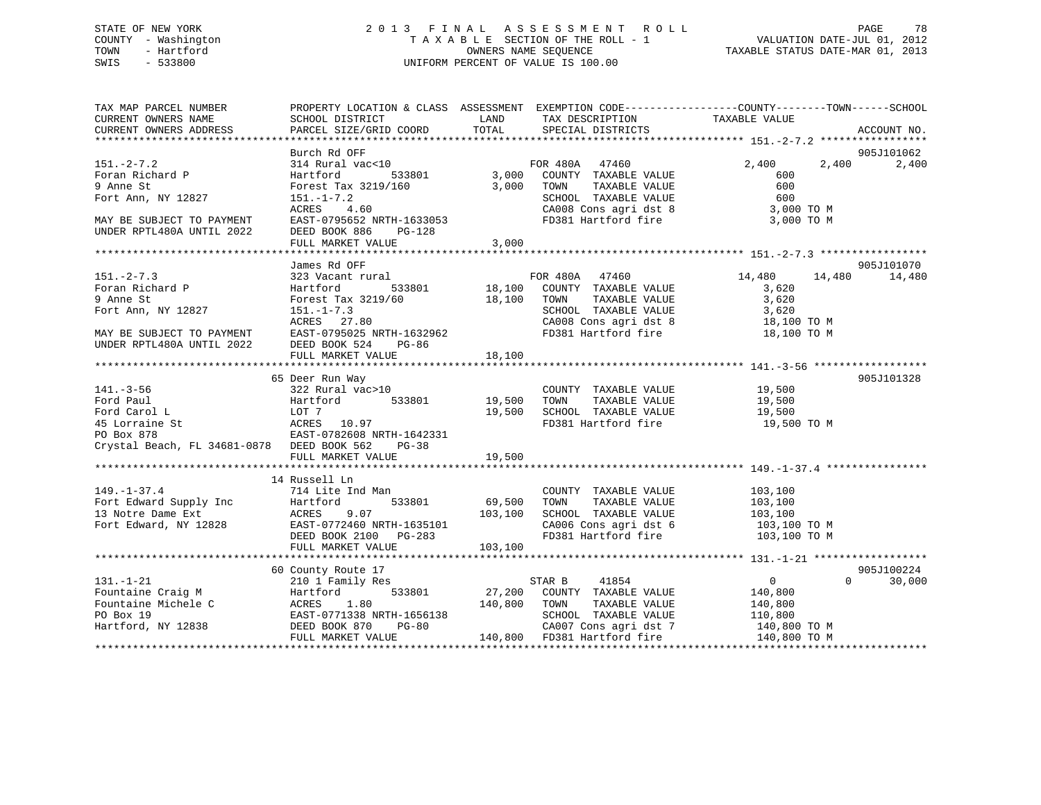#### STATE OF NEW YORK 2 0 1 3 F I N A L A S S E S S M E N T R O L L PAGE 78COUNTY - Washington T A X A B L E SECTION OF THE ROLL - 1 VALUATION DATE-JUL 01, 2012 OWNERS NAME SEQUENCE TAXABLE STATUS DATE-MAR 01, 2013 SWIS - 533800 UNIFORM PERCENT OF VALUE IS 100.00

| TAX MAP PARCEL NUMBER<br>CURRENT OWNERS NAME<br>CURRENT OWNERS ADDRESS | SCHOOL DISTRICT                                       | PROPERTY LOCATION & CLASS ASSESSMENT EXEMPTION CODE---------------COUNTY-------TOWN-----SCHOOL<br>LAND TAX DESCRIPTION<br>PARCEL SIZE/GRID COORD TOTAL SPECIAL DISTRICTS                                                                                                                                                                                                                                                  | TAXABLE VALUE<br>ACCOUNT NO.         |
|------------------------------------------------------------------------|-------------------------------------------------------|---------------------------------------------------------------------------------------------------------------------------------------------------------------------------------------------------------------------------------------------------------------------------------------------------------------------------------------------------------------------------------------------------------------------------|--------------------------------------|
|                                                                        |                                                       |                                                                                                                                                                                                                                                                                                                                                                                                                           |                                      |
|                                                                        | Burch Rd OFF                                          |                                                                                                                                                                                                                                                                                                                                                                                                                           | 905J101062                           |
| $151 - 2 - 7.2$<br>Foran Richard P                                     |                                                       | Burch Rd OFF<br>314 Rural vac<10<br>Hartford 533801 533801 3,000 COUNTY TAXABLE VALUE                                                                                                                                                                                                                                                                                                                                     | 2,400<br>2,400<br>2,400<br>600       |
| 9 Anne St                                                              | Forest Tax 3219/160                                   | 3,000 TOWN                                                                                                                                                                                                                                                                                                                                                                                                                |                                      |
| Fort Ann, NY 12827                                                     | 151.-1-7.2<br>ACRES 4.60<br>EAST-0795652 NRTH-1633053 | TOWN TAXABLE VALUE 600<br>SCHOOL TAXABLE VALUE 600<br>CA008 Cons agri dst 8 3,000 TO M<br>FD381 Hartford fire 3,000 TO M                                                                                                                                                                                                                                                                                                  |                                      |
|                                                                        |                                                       |                                                                                                                                                                                                                                                                                                                                                                                                                           |                                      |
| MAY BE SUBJECT TO PAYMENT<br>UNDER RPTL480A UNTIL 2022                 | DEED BOOK 886<br>PG-128                               |                                                                                                                                                                                                                                                                                                                                                                                                                           |                                      |
|                                                                        | FULL MARKET VALUE                                     | 3,000                                                                                                                                                                                                                                                                                                                                                                                                                     |                                      |
|                                                                        |                                                       |                                                                                                                                                                                                                                                                                                                                                                                                                           |                                      |
|                                                                        | James Rd OFF                                          |                                                                                                                                                                                                                                                                                                                                                                                                                           | 905J101070                           |
| $151. - 2 - 7.3$                                                       |                                                       | 323 Vacant rural [1833801 533801 [18] FOR 480A 47460<br>Hartford 533801 18,100 COUNTY TAXABLE VALUE                                                                                                                                                                                                                                                                                                                       | 14,480<br>14,480<br>14,480           |
| Foran Richard P<br>9 Anne St<br>7 Anne St                              |                                                       |                                                                                                                                                                                                                                                                                                                                                                                                                           | 3,620                                |
|                                                                        | Forest Tax 3219/60 18,100 TOWN                        | TOWN      TAXABLE VALUE<br>SCHOOL   TAXABLE VALUE                                                                                                                                                                                                                                                                                                                                                                         | 3,620<br>3,620                       |
| Fort Ann, NY 12827                                                     |                                                       |                                                                                                                                                                                                                                                                                                                                                                                                                           |                                      |
|                                                                        |                                                       |                                                                                                                                                                                                                                                                                                                                                                                                                           |                                      |
| MAY BE SUBJECT TO PAYMENT                                              |                                                       |                                                                                                                                                                                                                                                                                                                                                                                                                           |                                      |
| UNDER RPTL480A UNTIL 2022                                              | DEED BOOK 524<br>PG-86                                |                                                                                                                                                                                                                                                                                                                                                                                                                           |                                      |
|                                                                        |                                                       |                                                                                                                                                                                                                                                                                                                                                                                                                           |                                      |
|                                                                        | 65 Deer Run Way                                       |                                                                                                                                                                                                                                                                                                                                                                                                                           | 905J101328                           |
|                                                                        |                                                       |                                                                                                                                                                                                                                                                                                                                                                                                                           |                                      |
| 141.-3-56<br>Ford Paul<br>Ford Carol L                                 |                                                       |                                                                                                                                                                                                                                                                                                                                                                                                                           |                                      |
|                                                                        |                                                       |                                                                                                                                                                                                                                                                                                                                                                                                                           |                                      |
|                                                                        |                                                       | FD381 Hartford fire                                                                                                                                                                                                                                                                                                                                                                                                       | 19,500 TO M                          |
|                                                                        |                                                       |                                                                                                                                                                                                                                                                                                                                                                                                                           |                                      |
| Crystal Beach, FL 34681-0878 DEED BOOK 562 PG-38                       |                                                       |                                                                                                                                                                                                                                                                                                                                                                                                                           |                                      |
|                                                                        | FULL MARKET VALUE                                     | 19,500                                                                                                                                                                                                                                                                                                                                                                                                                    |                                      |
|                                                                        |                                                       |                                                                                                                                                                                                                                                                                                                                                                                                                           |                                      |
|                                                                        | 14 Russell Ln                                         |                                                                                                                                                                                                                                                                                                                                                                                                                           |                                      |
| $149. - 1 - 37.4$                                                      | 714 Lite Ind Man                                      | COUNTY TAXABLE VALUE                                                                                                                                                                                                                                                                                                                                                                                                      | 103,100<br>103,100                   |
|                                                                        |                                                       | TAXABLE VALUE<br>TAXABLE VALUE                                                                                                                                                                                                                                                                                                                                                                                            |                                      |
|                                                                        |                                                       |                                                                                                                                                                                                                                                                                                                                                                                                                           |                                      |
|                                                                        |                                                       |                                                                                                                                                                                                                                                                                                                                                                                                                           |                                      |
|                                                                        |                                                       |                                                                                                                                                                                                                                                                                                                                                                                                                           |                                      |
|                                                                        |                                                       |                                                                                                                                                                                                                                                                                                                                                                                                                           |                                      |
|                                                                        |                                                       | $\begin{tabular}{lllllllllllllllllllllll} \hline 149.-1-37.4 & 714 \hbox{\tt lite Ind Man} & 533801 & 69,500 & TONTY & TAXABLE VALUE & 103,100 \\ \hline \hline \texttt{Fort Edward Supply Inc} & 533801 & 69,500 & TONN & TAXABLE VALUE & 103,100 \\ \hline \texttt{13 Notre Dame Ext} & \texttt{ACRES} & 9.07 & 103,100 & \texttt{SCAO06 Const} & 103,100 \\ \hline \texttt{Fort Edward, NY 12828} & \texttt{EAESE} & $ |                                      |
|                                                                        | 60 County Route 17                                    |                                                                                                                                                                                                                                                                                                                                                                                                                           | 905J100224                           |
|                                                                        |                                                       |                                                                                                                                                                                                                                                                                                                                                                                                                           | $\overline{0}$<br>$\Omega$<br>30,000 |
|                                                                        |                                                       |                                                                                                                                                                                                                                                                                                                                                                                                                           | 140,800                              |
|                                                                        |                                                       | 131.-1-21<br>Fountaine Craig M<br>Fountaine Craig M<br>Fountaine Michele C<br>PO Box 19<br>Hartford, NY 12838<br>Hartford, NY 12838<br>PO Box 19<br>Hartford, NY 12838<br>PO Box 19<br>Hartford, NY 12838<br>PO Box 19<br>PO Box 19<br>PO Box 19<br>PO Box                                                                                                                                                                | TAXABLE VALUE 140,800                |
|                                                                        |                                                       | SCHOOL TAXABLE VALUE 110,800<br>CA007 Cons agri dst 7 140,800 TO M                                                                                                                                                                                                                                                                                                                                                        |                                      |
|                                                                        | FULL MARKET VALUE                                     | 140,800 FD381 Hartford fire                                                                                                                                                                                                                                                                                                                                                                                               |                                      |
|                                                                        |                                                       |                                                                                                                                                                                                                                                                                                                                                                                                                           | 140,800 TO M                         |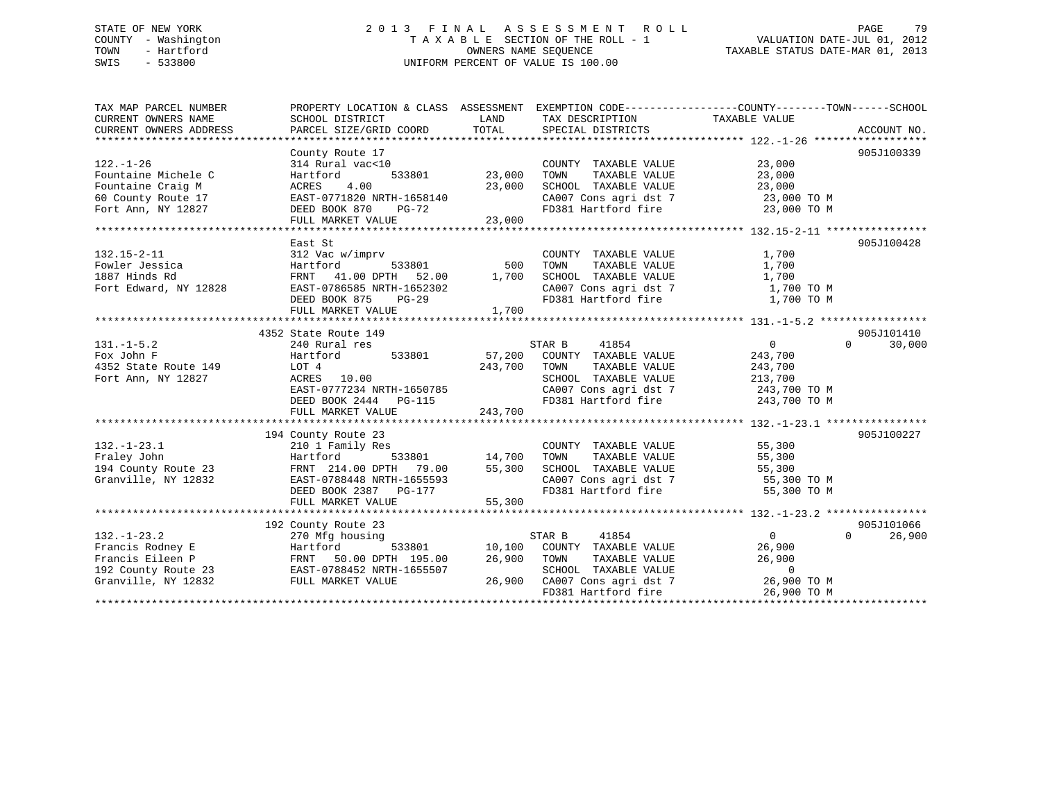# STATE OF NEW YORK 2 0 1 3 F I N A L A S S E S S M E N T R O L L PAGE 79 COUNTY - Washington T A X A B L E SECTION OF THE ROLL - 1 VALUATION DATE-JUL 01, 2012 TOWN - Hartford **TAXABLE STATUS DATE-MAR 01, 2013** SWIS - 533800 UNIFORM PERCENT OF VALUE IS 100.00

| TAX MAP PARCEL NUMBER<br>CURRENT OWNERS NAME | PROPERTY LOCATION & CLASS ASSESSMENT EXEMPTION CODE---------------COUNTY-------TOWN------SCHOOL<br>SCHOOL DISTRICT | LAND          | TAX DESCRIPTION                                                       | TAXABLE VALUE           |                    |
|----------------------------------------------|--------------------------------------------------------------------------------------------------------------------|---------------|-----------------------------------------------------------------------|-------------------------|--------------------|
| CURRENT OWNERS ADDRESS                       | PARCEL SIZE/GRID COORD                                                                                             | TOTAL         | SPECIAL DISTRICTS                                                     |                         | ACCOUNT NO.        |
|                                              |                                                                                                                    |               |                                                                       |                         |                    |
|                                              | County Route 17                                                                                                    |               |                                                                       |                         | 905J100339         |
| $122. - 1 - 26$                              | 314 Rural vac<10                                                                                                   |               | COUNTY TAXABLE VALUE                                                  | 23,000                  |                    |
| Fountaine Michele C                          | 533801<br>Hartford                                                                                                 | 23,000        | TAXABLE VALUE<br>TOWN                                                 | 23,000                  |                    |
| Fountaine Craig M                            | 4.00<br>ACRES                                                                                                      | 23,000        | SCHOOL TAXABLE VALUE                                                  | 23,000                  |                    |
| 60 County Route 17                           | EAST-0771820 NRTH-1658140                                                                                          |               | CA007 Cons agri dst 7                                                 | 23,000 TO M             |                    |
| Fort Ann, NY 12827                           | DEED BOOK 870<br><b>PG-72</b>                                                                                      |               | FD381 Hartford fire                                                   | 23,000 TO M             |                    |
|                                              | FULL MARKET VALUE                                                                                                  | 23,000        |                                                                       |                         |                    |
|                                              |                                                                                                                    |               |                                                                       |                         |                    |
|                                              | East St                                                                                                            |               |                                                                       |                         | 905J100428         |
| $132.15 - 2 - 11$                            | 312 Vac w/imprv                                                                                                    |               | COUNTY TAXABLE VALUE                                                  | 1,700                   |                    |
| Fowler Jessica                               | Hartford<br>533801                                                                                                 | 500           | TAXABLE VALUE<br>TOWN                                                 | 1,700                   |                    |
| 1887 Hinds Rd                                | FRNT 41.00 DPTH 52.00                                                                                              | 1,700         | SCHOOL TAXABLE VALUE<br>SCHOOL TAXABLE VALUE<br>CA007 Cons agri dst 7 | 1,700                   |                    |
| Fort Edward, NY 12828                        | EAST-0786585 NRTH-1652302                                                                                          |               |                                                                       | 1,700 TO M              |                    |
|                                              | DEED BOOK 875<br>$PG-29$                                                                                           |               | FD381 Hartford fire 1,700 TO M                                        |                         |                    |
|                                              | FULL MARKET VALUE                                                                                                  | 1,700         |                                                                       |                         |                    |
|                                              |                                                                                                                    |               |                                                                       |                         |                    |
|                                              | 4352 State Route 149                                                                                               |               |                                                                       |                         | 905J101410         |
| $131. -1 - 5.2$                              | 240 Rural res                                                                                                      |               | STAR B<br>41854                                                       | $\overline{0}$          | $\Omega$<br>30,000 |
| Fox John F                                   | 533801<br>Hartford                                                                                                 |               | 57,200 COUNTY TAXABLE VALUE                                           | 243,700                 |                    |
| 4352 State Route 149                         | LOT 4                                                                                                              | 243,700       | TAXABLE VALUE<br>TOWN                                                 | 243,700                 |                    |
| Fort Ann, NY 12827                           | ACRES 10.00                                                                                                        |               | SCHOOL TAXABLE VALUE                                                  | 213,700<br>243,700 TO M |                    |
|                                              | EAST-0777234 NRTH-1650785                                                                                          |               | CA007 Cons agri dst 7                                                 |                         |                    |
|                                              | DEED BOOK 2444<br>PG-115                                                                                           |               | FD381 Hartford fire 243,700 TO M                                      |                         |                    |
|                                              | FULL MARKET VALUE                                                                                                  | 243,700       |                                                                       |                         |                    |
|                                              |                                                                                                                    |               |                                                                       |                         |                    |
|                                              | 194 County Route 23                                                                                                |               |                                                                       |                         | 905J100227         |
| $132. - 1 - 23.1$<br>Fraley John             | 210 1 Family Res                                                                                                   | 533801 14,700 | COUNTY TAXABLE VALUE<br>TAXABLE VALUE<br>TOWN                         | 55,300                  |                    |
| 194 County Route 23                          | Hartford<br>FRNT 214.00 DPTH 79.00                                                                                 | 55,300        | SCHOOL TAXABLE VALUE                                                  | 55,300<br>55,300        |                    |
|                                              | EAST-0788448 NRTH-1655593                                                                                          |               |                                                                       | 55,300 TO M             |                    |
| Granville, NY 12832                          | DEED BOOK 2387 PG-177                                                                                              |               | CA007 Cons agri dst 7<br>FD381 Hartford fire                          | 55,300 TO M             |                    |
|                                              | FULL MARKET VALUE                                                                                                  | 55,300        |                                                                       |                         |                    |
|                                              |                                                                                                                    |               |                                                                       |                         |                    |
|                                              | 192 County Route 23                                                                                                |               |                                                                       |                         | 905J101066         |
| $132. - 1 - 23.2$                            | 270 Mfg housing                                                                                                    |               | 41854<br>STAR B                                                       | $\overline{0}$          | $\Omega$<br>26,900 |
| Francis Rodney E                             | 533801<br>Hartford                                                                                                 |               | 10,100 COUNTY TAXABLE VALUE                                           | 26,900                  |                    |
| Francis Eileen P                             | FRNT 50.00 DPTH 195.00                                                                                             | 26,900        | TOWN<br>TAXABLE VALUE                                                 | 26,900                  |                    |
| 192 County Route 23                          | EAST-0788452 NRTH-1655507                                                                                          |               | SCHOOL TAXABLE VALUE                                                  | $\bigcirc$              |                    |
| Granville, NY 12832                          | FULL MARKET VALUE                                                                                                  |               | 26,900 CA007 Cons agri dst 7                                          | 26,900 TO M             |                    |
|                                              |                                                                                                                    |               | FD381 Hartford fire                                                   | 26,900 TO M             |                    |
|                                              |                                                                                                                    |               |                                                                       |                         |                    |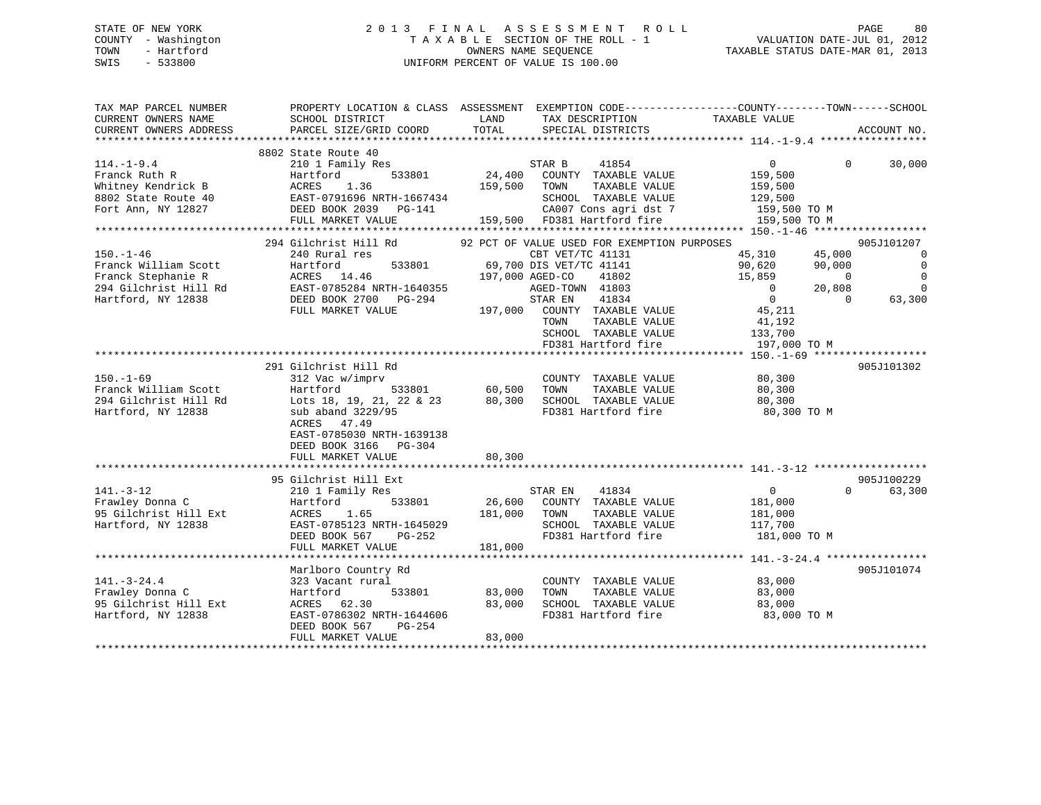#### STATE OF NEW YORK 2 0 1 3 F I N A L A S S E S S M E N T R O L L PAGE 80COUNTY - Washington T A X A B L E SECTION OF THE ROLL - 1<br>TOWN - Hartford TOWN - And COUNTRINAL SEQUENCE OWNERS NAME SEQUENCE TAXABLE STATUS DATE-MAR 01, 2013 SWIS - 533800 UNIFORM PERCENT OF VALUE IS 100.00

| TAX MAP PARCEL NUMBER<br>CURRENT OWNERS NAME<br>CURRENT OWNERS ADDRESS                          | SCHOOL DISTRICT<br><b>EXAMPLE DESCRIPTION OF STREET AND STREET AND STREET AND STREET AND STREET AND STREET AND STREET AND STREET AND</b><br>PARCEL SIZE/GRID COORD | TOTAL                                                                                                            | PROPERTY LOCATION & CLASS ASSESSMENT EXEMPTION CODE----------------COUNTY-------TOWN-----SCHOOL<br>TAX DESCRIPTION TAXABLE VALUE SPECIAL DISTRICTS<br>ACCOUNT NO.                                                                                        |
|-------------------------------------------------------------------------------------------------|--------------------------------------------------------------------------------------------------------------------------------------------------------------------|------------------------------------------------------------------------------------------------------------------|----------------------------------------------------------------------------------------------------------------------------------------------------------------------------------------------------------------------------------------------------------|
| $114. - 1 - 9.4$                                                                                | 8802 State Route 40                                                                                                                                                | 41854                                                                                                            | $\overline{0}$<br>$\Omega$<br>30,000<br>159,500<br>159,500<br>SCHOOL TAXABLE VALUE 129,500<br>159,500 TO M<br>159,500 TO M                                                                                                                               |
|                                                                                                 | 294 Gilchrist Hill Rd                                                                                                                                              | 92 PCT OF VALUE USED FOR EXEMPTION PURPOSES                                                                      | 905J101207                                                                                                                                                                                                                                               |
| $150. - 1 - 46$                                                                                 | 240 Rural res                                                                                                                                                      | CBT VET/TC 41131<br>TOWN<br>SCHOOL TAXABLE VALUE<br>FD381 Hartford fire                                          | 45,310   45,000<br>90,620   90,000<br>$\overline{0}$<br>$\overline{0}$<br>$\mathbf 0$<br>$15,859$ 0<br>0 20,808<br>$\overline{0}$<br>$\begin{array}{c} 0 \\ 45,211 \end{array}$<br>$\Omega$<br>63,300<br>TAXABLE VALUE 41,192<br>133,700<br>197,000 TO M |
|                                                                                                 |                                                                                                                                                                    |                                                                                                                  |                                                                                                                                                                                                                                                          |
| $150. - 1 - 69$<br>Franck William Scott Hartford<br>294 Gilchrist Hill Rd<br>Hartford, NY 12838 | 291 Gilchrist Hill Rd<br>312 Vac w/imprv<br>Lots 18, 19, 21, 22 & 23<br>sub aband 3229/95<br>ACRES 47.49<br>EAST-0785030 NRTH-1639138<br>DEED BOOK 3166 PG-304     | COUNTY TAXABLE VALUE                                                                                             | 905J101302<br>80,300<br>TAXABLE VALUE 80,300                                                                                                                                                                                                             |
|                                                                                                 | FULL MARKET VALUE                                                                                                                                                  | 80,300                                                                                                           |                                                                                                                                                                                                                                                          |
| $141. - 3 - 12$<br>Frawley Donna C<br>95 Gilchrist Hill Ext<br>Hartford, NY 12838               | 95 Gilchrist Hill Ext<br>210 1 Family Res<br>533801<br>Hartford                                                                                                    | STAR EN 41834<br>26,600 COUNTY TAXABLE VALUE<br>TAXABLE VALUE<br>SCHOOL TAXABLE VALUE                            | 905J100229<br>$\overline{0}$<br>63,300<br>$\Omega$<br>181,000<br>181,000<br>117,700<br>FD381 Hartford fire 181,000 TO M                                                                                                                                  |
|                                                                                                 | Marlboro Country Rd                                                                                                                                                |                                                                                                                  | 905J101074                                                                                                                                                                                                                                               |
| $141. - 3 - 24.4$<br>Frawley Donna C<br>95 Gilchrist Hill Ext<br>Hartford, NY 12838             | 323 Vacant rural<br>Hartford<br>533801 83,000<br>ACRES 62.30<br>EAST-0786302 NRTH-1644606<br>DEED BOOK 567<br>$PG-254$<br>FULL MARKET VALUE                        | COUNTY TAXABLE VALUE<br>TAXABLE VALUE<br>TOWN<br>SCHOOL TAXABLE VALUE<br>83,000<br>FD381 Hartford fire<br>83,000 | 83,000<br>83,000<br>83,000<br>83,000 TO M                                                                                                                                                                                                                |
|                                                                                                 |                                                                                                                                                                    |                                                                                                                  |                                                                                                                                                                                                                                                          |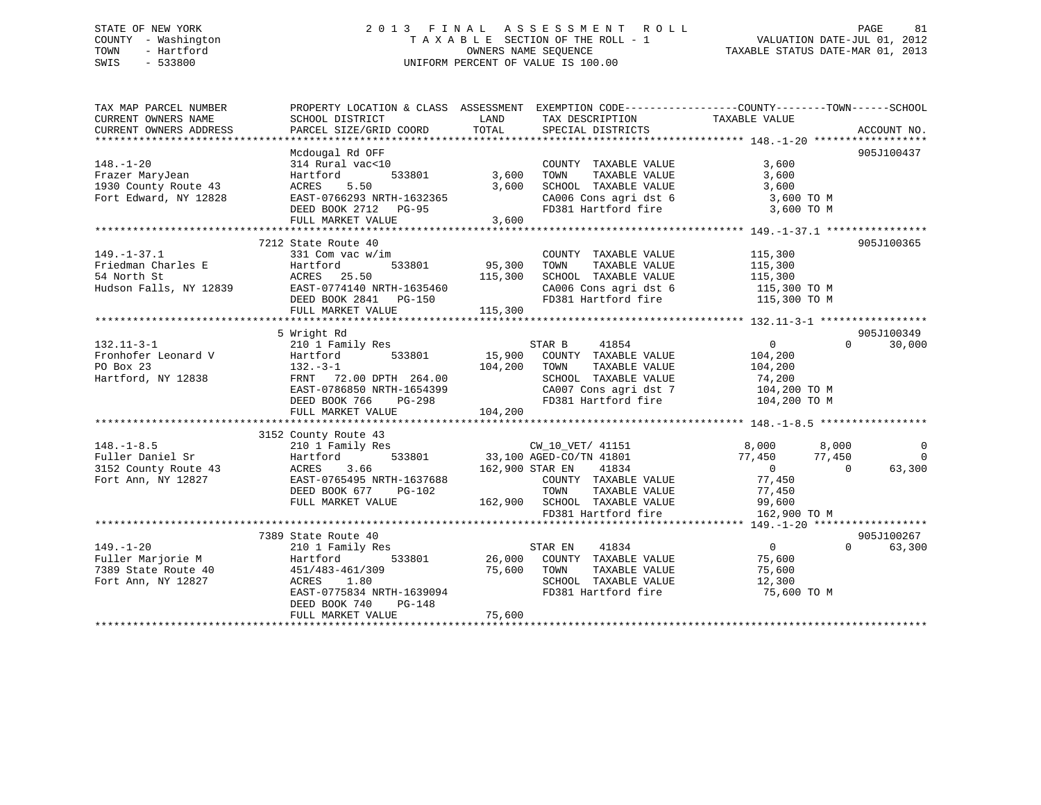# STATE OF NEW YORK 2 0 1 3 F I N A L A S S E S S M E N T R O L L PAGE 81 COUNTY - Washington T A X A B L E SECTION OF THE ROLL - 1 VALUATION DATE-JUL 01, 2012 TOWN - Hartford **TAXABLE STATUS DATE-MAR 01, 2013** OWNERS NAME SEQUENCE TAXABLE STATUS DATE-MAR 01, 2013 SWIS - 533800 UNIFORM PERCENT OF VALUE IS 100.00

| TAX MAP PARCEL NUMBER<br>CURRENT OWNERS NAME<br>CURRENT OWNERS ADDRESS | SCHOOL DISTRICT<br>PARCEL SIZE/GRID COORD | LAND<br>TOTAL | TAX DESCRIPTION TAXABLE VALUE                       | PROPERTY LOCATION & CLASS ASSESSMENT EXEMPTION CODE---------------COUNTY-------TOWN------SCHOOL |                      |
|------------------------------------------------------------------------|-------------------------------------------|---------------|-----------------------------------------------------|-------------------------------------------------------------------------------------------------|----------------------|
|                                                                        |                                           |               | SPECIAL DISTRICTS                                   |                                                                                                 | ACCOUNT NO.          |
|                                                                        | Mcdougal Rd OFF                           |               |                                                     |                                                                                                 | 905J100437           |
| $148. - 1 - 20$                                                        | 314 Rural vac<10                          |               | COUNTY TAXABLE VALUE                                | 3,600                                                                                           |                      |
| Frazer MaryJean                                                        | 533801<br>Hartford                        | 3,600         | TAXABLE VALUE<br>TOWN                               | 3,600                                                                                           |                      |
| 1930 County Route 43                                                   | ACRES<br>5.50                             | 3,600         | SCHOOL TAXABLE VALUE                                | 3,600                                                                                           |                      |
| Fort Edward, NY 12828                                                  | EAST-0766293 NRTH-1632365                 |               |                                                     |                                                                                                 |                      |
|                                                                        | DEED BOOK 2712 PG-95                      |               |                                                     | $CA006$ Cons agri dst 6 $3,600$ TO M<br>FD381 Hartford fire 3,600 TO M                          |                      |
|                                                                        | FULL MARKET VALUE                         | 3,600         |                                                     |                                                                                                 |                      |
|                                                                        |                                           |               |                                                     |                                                                                                 |                      |
|                                                                        | 7212 State Route 40                       |               |                                                     |                                                                                                 | 905J100365           |
| $149. - 1 - 37.1$                                                      | 331 Com vac w/im                          |               | COUNTY TAXABLE VALUE                                | 115,300                                                                                         |                      |
| Friedman Charles E                                                     | Hartford                                  | 533801 95,300 | TAXABLE VALUE<br>TOWN                               | 115,300                                                                                         |                      |
| 54 North St                                                            | ACRES 25.50                               | 115,300       | SCHOOL TAXABLE VALUE                                | 115,300                                                                                         |                      |
| Hudson Falls, NY 12839 EAST-0774140 NRTH-1635460                       |                                           |               | CA006 Cons agri dst $6$                             | $115,300$ TO M                                                                                  |                      |
|                                                                        | DEED BOOK 2841 PG-150                     |               |                                                     | FD381 Hartford fire 115,300 TO M                                                                |                      |
|                                                                        | FULL MARKET VALUE                         | 115,300       |                                                     |                                                                                                 |                      |
|                                                                        |                                           |               |                                                     |                                                                                                 |                      |
|                                                                        | 5 Wright Rd                               |               |                                                     |                                                                                                 | 905J100349           |
| $132.11 - 3 - 1$                                                       | 210 1 Family Res                          |               | 41854<br>STAR B                                     | $\Omega$<br>$\sim$ 0                                                                            | 30,000               |
| Fronhofer Leonard V                                                    | 533801<br>Hartford                        |               | 15,900 COUNTY TAXABLE VALUE                         | 104,200                                                                                         |                      |
| PO Box 23                                                              | $132. -3 - 1$                             | 104,200       | TOWN<br>TAXABLE VALUE                               | 104,200                                                                                         |                      |
| Hartford, NY 12838                                                     | FRNT 72.00 DPTH 264.00                    |               | SCHOOL TAXABLE VALUE                                | 74,200                                                                                          |                      |
|                                                                        | EAST-0786850 NRTH-1654399                 |               |                                                     | CA007 Cons agri dst 7 104,200 TO M<br>FD381 Hartford fire 104,200 TO M                          |                      |
|                                                                        | DEED BOOK 766<br>PG-298                   |               |                                                     |                                                                                                 |                      |
|                                                                        | FULL MARKET VALUE                         | 104,200       |                                                     |                                                                                                 |                      |
|                                                                        |                                           |               |                                                     |                                                                                                 |                      |
|                                                                        | 3152 County Route 43                      |               |                                                     |                                                                                                 |                      |
| $148. - 1 - 8.5$                                                       | 210 1 Family Res                          |               | CW_10_VET/ 41151                                    | 8,000<br>8,000                                                                                  | $\Omega$             |
| Fuller Daniel Sr                                                       | Hartford                                  |               | 533801 33,100 AGED-CO/TN 41801                      | 77,450<br>77,450                                                                                | $\overline{0}$       |
| 3152 County Route 43                                                   | ACRES<br>3.66                             |               | 162,900 STAR EN 41834                               | $\overline{0}$<br>$\Omega$                                                                      | 63,300               |
| Fort Ann, NY 12827                                                     | EAST-0765495 NRTH-1637688                 |               | COUNTY TAXABLE VALUE                                | 77,450                                                                                          |                      |
|                                                                        | DEED BOOK 677<br>PG-102                   |               | TOWN<br>TAXABLE VALUE                               | 77,450                                                                                          |                      |
|                                                                        | FULL MARKET VALUE                         |               | 162,900 SCHOOL TAXABLE VALUE<br>FD381 Hartford fire | 99,600                                                                                          |                      |
|                                                                        |                                           |               |                                                     | 162,900 TO M                                                                                    |                      |
|                                                                        |                                           |               |                                                     |                                                                                                 |                      |
| $149. - 1 - 20$                                                        | 7389 State Route 40                       |               | 41834                                               | $\overline{0}$<br>$\overline{0}$                                                                | 905J100267<br>63,300 |
| Fuller Marjorie M                                                      | 210 1 Family Res<br>533801                | 26,000        | STAR EN<br>COUNTY TAXABLE VALUE                     |                                                                                                 |                      |
| 7389 State Route 40                                                    | Hartford<br>451/483-461/309               | 75,600        | TAXABLE VALUE<br>TOWN                               | 75,600<br>75,600                                                                                |                      |
| Fort Ann, NY 12827                                                     | ACRES 1.80                                |               | SCHOOL TAXABLE VALUE                                | 12,300                                                                                          |                      |
|                                                                        | EAST-0775834 NRTH-1639094                 |               | FD381 Hartford fire                                 | 75,600 TO M                                                                                     |                      |
|                                                                        | DEED BOOK 740<br>PG-148                   |               |                                                     |                                                                                                 |                      |
|                                                                        | FULL MARKET VALUE                         | 75,600        |                                                     |                                                                                                 |                      |
|                                                                        |                                           |               |                                                     |                                                                                                 |                      |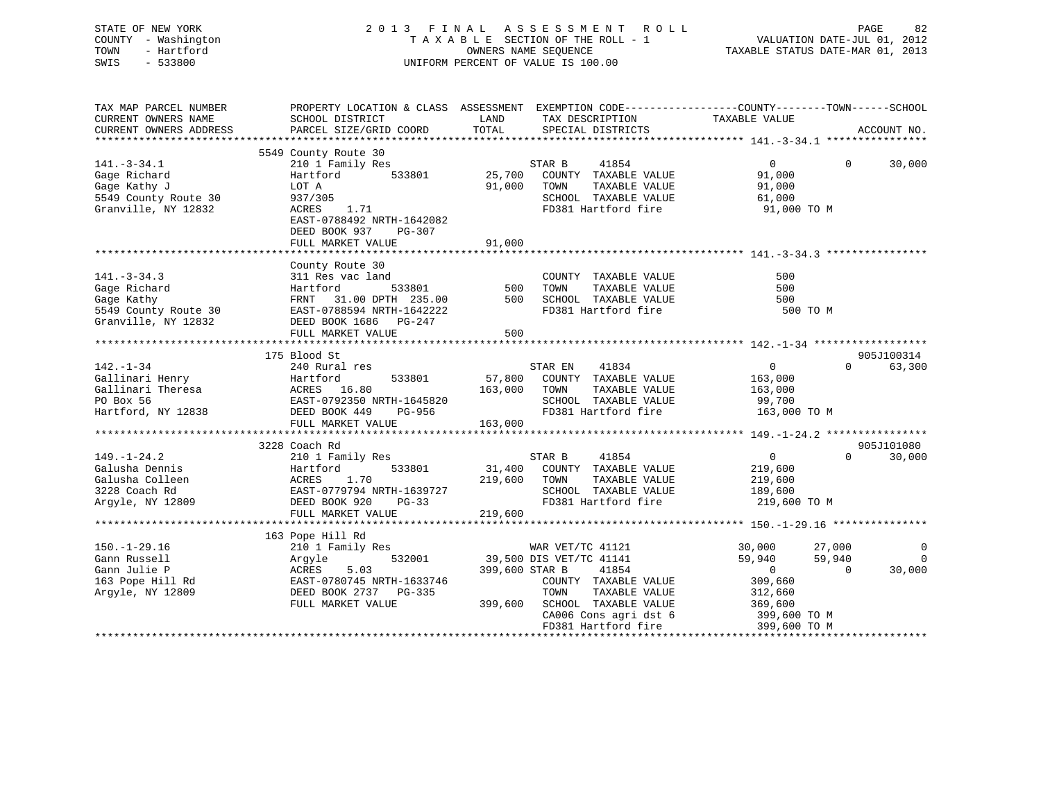| STATE OF NEW YORK   | 2013 FINAL ASSESSMENT ROLL         | 82<br>PAGE                       |
|---------------------|------------------------------------|----------------------------------|
| COUNTY - Washington | TAXABLE SECTION OF THE ROLL - 1    | VALUATION DATE-JUL 01, 2012      |
| - Hartford<br>TOWN  | OWNERS NAME SEOUENCE               | TAXABLE STATUS DATE-MAR 01, 2013 |
| $-533800$<br>SWIS   | UNIFORM PERCENT OF VALUE IS 100.00 |                                  |
|                     |                                    |                                  |

| TAX MAP PARCEL NUMBER<br>CURRENT OWNERS NAME                                                                                                                                                                                                                      | PROPERTY LOCATION & CLASS ASSESSMENT EXEMPTION CODE---------------COUNTY-------TOWN------SCHOOL<br>SCHOOL DISTRICT | LAND    | TAX DESCRIPTION                             | TAXABLE VALUE                               |                                 |
|-------------------------------------------------------------------------------------------------------------------------------------------------------------------------------------------------------------------------------------------------------------------|--------------------------------------------------------------------------------------------------------------------|---------|---------------------------------------------|---------------------------------------------|---------------------------------|
| CURRENT OWNERS ADDRESS                                                                                                                                                                                                                                            | PARCEL SIZE/GRID COORD                                                                                             | TOTAL   | SPECIAL DISTRICTS                           |                                             | ACCOUNT NO.                     |
|                                                                                                                                                                                                                                                                   |                                                                                                                    |         |                                             |                                             |                                 |
|                                                                                                                                                                                                                                                                   | 5549 County Route 30                                                                                               |         |                                             |                                             |                                 |
| $141.-3-34.1$                                                                                                                                                                                                                                                     | 210 1 Family Res                                                                                                   |         | STAR B 41854<br>25,700 COUNTY TAXABLE VALUE | $\overline{0}$<br>$\Omega$                  | 30,000                          |
| Gage Richard                                                                                                                                                                                                                                                      | 533801<br>Hartford                                                                                                 |         |                                             | 91,000                                      |                                 |
| Gage Kathy J                                                                                                                                                                                                                                                      | LOT A                                                                                                              |         | 91,000 TOWN<br>TAXABLE VALUE                | 91,000                                      |                                 |
| 5549 County Route 30                                                                                                                                                                                                                                              | 937/305                                                                                                            |         | SCHOOL TAXABLE VALUE                        | 61,000                                      |                                 |
| Granville, NY 12832                                                                                                                                                                                                                                               | ACRES 1.71                                                                                                         |         | FD381 Hartford fire                         | 91,000 TO M                                 |                                 |
|                                                                                                                                                                                                                                                                   | EAST-0788492 NRTH-1642082                                                                                          |         |                                             |                                             |                                 |
|                                                                                                                                                                                                                                                                   | DEED BOOK 937 PG-307                                                                                               |         |                                             |                                             |                                 |
|                                                                                                                                                                                                                                                                   | FULL MARKET VALUE                                                                                                  | 91,000  |                                             |                                             |                                 |
|                                                                                                                                                                                                                                                                   |                                                                                                                    |         |                                             |                                             |                                 |
|                                                                                                                                                                                                                                                                   | County Route 30                                                                                                    |         |                                             |                                             |                                 |
| $141. - 3 - 34.3$                                                                                                                                                                                                                                                 | 311 Res vac land<br>ic land COUNT 500 COUNT                                                                        |         | COUNTY TAXABLE VALUE                        | 500                                         |                                 |
|                                                                                                                                                                                                                                                                   |                                                                                                                    |         | TAXABLE VALUE<br>TAXABLE VALUE              | 500                                         |                                 |
|                                                                                                                                                                                                                                                                   |                                                                                                                    |         |                                             | 500                                         |                                 |
|                                                                                                                                                                                                                                                                   |                                                                                                                    |         | FD381 Hartford fire                         | 500 TO M                                    |                                 |
| Granville, NY 12832                                                                                                                                                                                                                                               | DEED BOOK 1686 PG-247                                                                                              |         |                                             |                                             |                                 |
|                                                                                                                                                                                                                                                                   | FULL MARKET VALUE                                                                                                  | 500     |                                             |                                             |                                 |
|                                                                                                                                                                                                                                                                   |                                                                                                                    |         |                                             |                                             |                                 |
|                                                                                                                                                                                                                                                                   | 175 Blood St                                                                                                       |         |                                             |                                             | 905J100314                      |
| $142. - 1 - 34$                                                                                                                                                                                                                                                   | 240 Rural res                                                                                                      |         | STAR EN<br>41834                            | $\overline{0}$                              | 63,300<br>$\Omega$ and $\Omega$ |
|                                                                                                                                                                                                                                                                   |                                                                                                                    |         |                                             |                                             |                                 |
|                                                                                                                                                                                                                                                                   |                                                                                                                    |         |                                             |                                             |                                 |
|                                                                                                                                                                                                                                                                   |                                                                                                                    |         |                                             |                                             |                                 |
|                                                                                                                                                                                                                                                                   |                                                                                                                    |         |                                             |                                             |                                 |
|                                                                                                                                                                                                                                                                   | FULL MARKET VALUE                                                                                                  | 163,000 |                                             |                                             |                                 |
|                                                                                                                                                                                                                                                                   |                                                                                                                    |         |                                             |                                             |                                 |
|                                                                                                                                                                                                                                                                   | 3228 Coach Rd                                                                                                      |         |                                             |                                             | 905J101080                      |
|                                                                                                                                                                                                                                                                   | 210 1 Family Res                                                                                                   |         | STAR B 41854<br>31,400 COUNTY TAXABLE VALUE | $\overline{0}$                              | $\Omega$<br>30,000              |
|                                                                                                                                                                                                                                                                   |                                                                                                                    |         |                                             | 219,600                                     |                                 |
|                                                                                                                                                                                                                                                                   |                                                                                                                    |         | 219,600 TOWN<br>TAXABLE VALUE               | 219,600                                     |                                 |
|                                                                                                                                                                                                                                                                   |                                                                                                                    |         | SCHOOL TAXABLE VALUE                        | 189,600                                     |                                 |
| 149.-1-24.2<br>Galusha Dennis<br>Galusha Colleen<br>31,400<br>Galusha Colleen<br>3228 Coach Rd<br>Argyle, NY 12809<br>2008 DEED BOOK 920<br>219,600<br>219,600<br>219,600<br>219,600<br>219,600<br>219,600<br>219,600<br>219,600<br>228 Coach Rd<br>21809<br>DEED |                                                                                                                    |         | FD381 Hartford fire                         | 219,600 TO M                                |                                 |
|                                                                                                                                                                                                                                                                   |                                                                                                                    |         |                                             |                                             |                                 |
|                                                                                                                                                                                                                                                                   |                                                                                                                    |         |                                             |                                             |                                 |
|                                                                                                                                                                                                                                                                   | 163 Pope Hill Rd                                                                                                   |         |                                             |                                             |                                 |
| $150. - 1 - 29.16$                                                                                                                                                                                                                                                | 210 1 Family Res MAR VET/TC 41121<br>Argyle 532001 39,500 DIS VET/TC 41141                                         |         |                                             | 30,000<br>27,000                            | $\mathbf 0$                     |
| Gann Russell                                                                                                                                                                                                                                                      | 210 1 Family Res<br>Argyle 532001<br>ACRES 5.03<br>EAST-0780745 NRTH-1633746                                       |         |                                             | 59,940<br>59,940                            | $\mathbf 0$                     |
| Gann Julie P<br>Gann Julie P<br>163 Pope Hill Rd                                                                                                                                                                                                                  |                                                                                                                    |         | 399,600 STAR B 41854                        | $\overline{0}$<br>$\overline{0}$<br>309,660 | 30,000                          |
|                                                                                                                                                                                                                                                                   |                                                                                                                    |         | COUNTY TAXABLE VALUE                        |                                             |                                 |
| Argyle, NY 12809                                                                                                                                                                                                                                                  | DEED BOOK 2737 PG-335                                                                                              |         | TOWN                                        | TAXABLE VALUE 312,660                       |                                 |
|                                                                                                                                                                                                                                                                   | FULL MARKET VALUE                                                                                                  |         | CA006 Cons agri dst 6 399,600 TO M          | 369,600                                     |                                 |
|                                                                                                                                                                                                                                                                   |                                                                                                                    |         |                                             |                                             |                                 |
|                                                                                                                                                                                                                                                                   |                                                                                                                    |         | FD381 Hartford fire                         | 399,600 TO M                                |                                 |
|                                                                                                                                                                                                                                                                   |                                                                                                                    |         |                                             |                                             |                                 |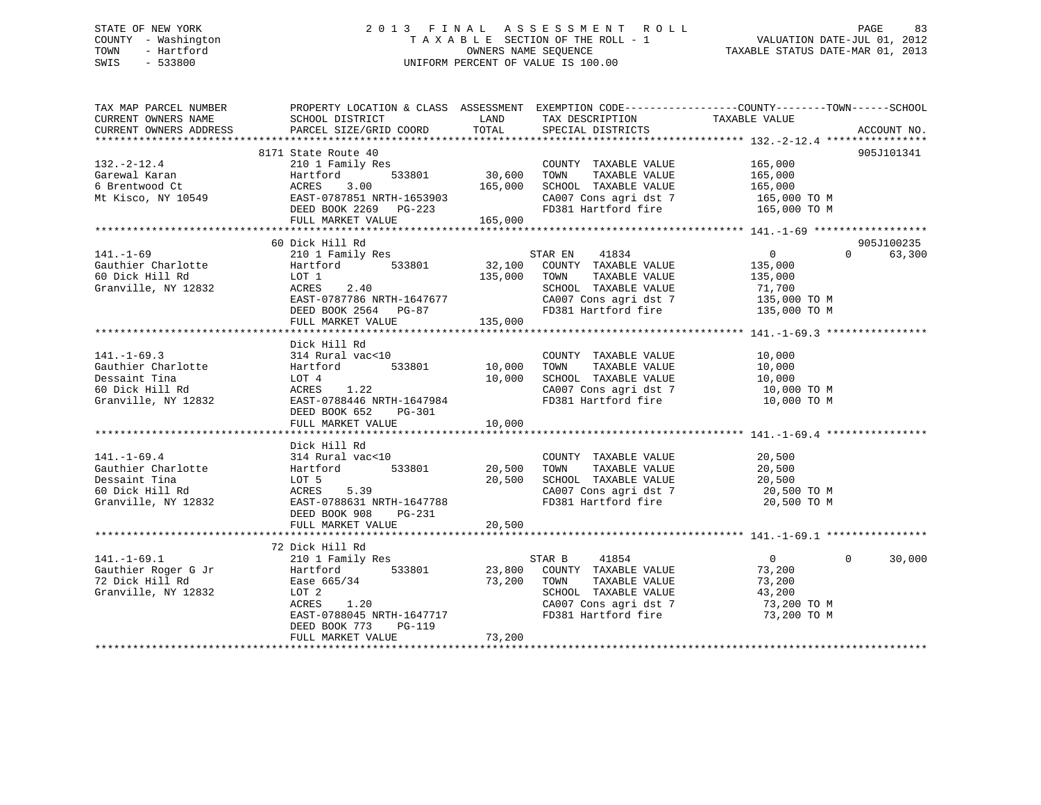# STATE OF NEW YORK 2 0 1 3 F I N A L A S S E S S M E N T R O L L PAGE 83 COUNTY - Washington T A X A B L E SECTION OF THE ROLL - 1 VALUATION DATE-JUL 01, 2012 TOWN - Hartford **TAXABLE STATUS DATE-MAR 01, 2013** SWIS - 533800 UNIFORM PERCENT OF VALUE IS 100.00

| TAX MAP PARCEL NUMBER<br>CURRENT OWNERS NAME<br>CURRENT OWNERS ADDRESS                             | PROPERTY LOCATION & CLASS ASSESSMENT EXEMPTION CODE----------------COUNTY-------TOWN------SCHOOL<br>SCHOOL DISTRICT<br>PARCEL SIZE/GRID COORD                                   | LAND<br>TOTAL                | TAX DESCRIPTION<br>SPECIAL DISTRICTS                                                                                                            | TAXABLE VALUE                                                                                 | ACCOUNT NO.          |
|----------------------------------------------------------------------------------------------------|---------------------------------------------------------------------------------------------------------------------------------------------------------------------------------|------------------------------|-------------------------------------------------------------------------------------------------------------------------------------------------|-----------------------------------------------------------------------------------------------|----------------------|
| $132. - 2 - 12.4$<br>Garewal Karan<br>6 Brentwood Ct<br>Mt Kisco, NY 10549                         | 8171 State Route 40<br>210 1 Family Res<br>533801<br>Hartford<br>ACRES<br>3.00<br>EAST-0787851 NRTH-1653903<br>DEED BOOK 2269 PG-223<br>FULL MARKET VALUE                       | 30,600<br>165,000<br>165,000 | COUNTY TAXABLE VALUE<br>TOWN<br>TAXABLE VALUE<br>SCHOOL TAXABLE VALUE<br>CA007 Cons agri dst 7<br>FD381 Hartford fire                           | 165,000<br>165,000<br>165,000<br>165,000 TO M<br>165,000 TO M                                 | 905J101341           |
| $141. - 1 - 69$<br>Gauthier Charlotte<br>60 Dick Hill Rd<br>Granville, NY 12832                    | 60 Dick Hill Rd<br>210 1 Family Res<br>533801<br>Hartford<br>LOT 1<br>2.40<br>ACRES<br>EAST-0787786 NRTH-1647677<br>DEED BOOK 2564 PG-87<br>FULL MARKET VALUE                   | 32,100<br>135,000<br>135,000 | STAR EN 41834<br>COUNTY TAXABLE VALUE<br>TAXABLE VALUE<br>TOWN<br>SCHOOL TAXABLE VALUE<br>CA007 Cons agri dst 7<br>FD381 Hartford fire          | $0 \qquad \qquad$<br>$\Omega$<br>135,000<br>135,000<br>71,700<br>135,000 TO M<br>135,000 TO M | 905J100235<br>63,300 |
| $141. - 1 - 69.3$<br>Gauthier Charlotte<br>Dessaint Tina<br>60 Dick Hill Rd<br>Granville, NY 12832 | Dick Hill Rd<br>314 Rural vac<10<br>533801<br>Hartford<br>LOT 4<br>1.22<br>ACRES<br>EAST-0788446 NRTH-1647984<br>DEED BOOK 652<br>PG-301<br>FULL MARKET VALUE                   | 10,000<br>10,000<br>10,000   | COUNTY TAXABLE VALUE<br>TOWN<br>TAXABLE VALUE<br>SCHOOL TAXABLE VALUE<br>CA007 Cons agri dst 7<br>FD381 Hartford fire                           | 10,000<br>10,000<br>10,000<br>10,000 TO M<br>10,000 TO M                                      |                      |
| $141. - 1 - 69.4$<br>Gauthier Charlotte<br>Dessaint Tina<br>60 Dick Hill Rd<br>Granville, NY 12832 | Dick Hill Rd<br>314 Rural vac<10<br>533801<br>Hartford<br>LOT 5<br>ACRES<br>5.39<br>EAST-0788631 NRTH-1647788<br>DEED BOOK 908<br>PG-231<br>FULL MARKET VALUE                   | 20,500<br>20,500<br>20,500   | COUNTY TAXABLE VALUE<br>TAXABLE VALUE<br>TOWN<br>SCHOOL TAXABLE VALUE<br>CA007 Cons agri dst 7<br>FD381 Hartford fire                           | 20,500<br>20,500<br>20,500<br>20,500 TO M<br>20,500 TO M                                      |                      |
| $141. - 1 - 69.1$<br>Gauthier Roger G Jr<br>72 Dick Hill Rd<br>Granville, NY 12832                 | 72 Dick Hill Rd<br>210 1 Family Res<br>533801<br>Hartford<br>Ease 665/34<br>LOT 2<br>ACRES<br>1.20<br>EAST-0788045 NRTH-1647717<br>DEED BOOK 773<br>PG-119<br>FULL MARKET VALUE | 73,200<br>73,200             | STAR B<br>41854<br>23,800 COUNTY TAXABLE VALUE<br>TOWN<br>TAXABLE VALUE<br>SCHOOL TAXABLE VALUE<br>CA007 Cons agri dst 7<br>FD381 Hartford fire | $\overline{0}$<br>$\Omega$<br>73,200<br>73,200<br>43,200<br>73,200 TO M<br>73,200 TO M        | 30,000               |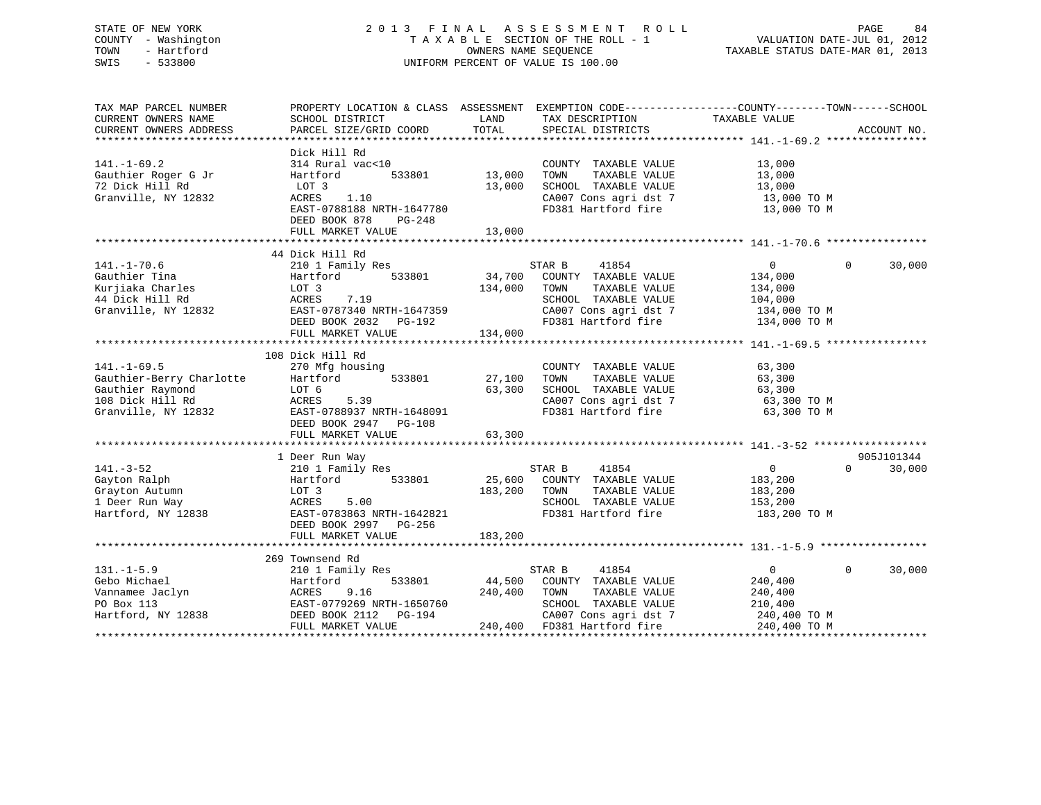# STATE OF NEW YORK 2 0 1 3 F I N A L A S S E S S M E N T R O L L PAGE 84 COUNTY - Washington T A X A B L E SECTION OF THE ROLL - 1 VALUATION DATE-JUL 01, 2012 TOWN - Hartford **TAXABLE STATUS DATE-MAR 01, 2013** OWNERS NAME SEQUENCE TAXABLE STATUS DATE-MAR 01, 2013 SWIS - 533800 UNIFORM PERCENT OF VALUE IS 100.00

| TAX MAP PARCEL NUMBER    | PROPERTY LOCATION & CLASS ASSESSMENT EXEMPTION CODE----------------COUNTY-------TOWN------SCHOOL |         |                             |                |                        |
|--------------------------|--------------------------------------------------------------------------------------------------|---------|-----------------------------|----------------|------------------------|
| CURRENT OWNERS NAME      | SCHOOL DISTRICT                                                                                  | LAND    | TAX DESCRIPTION             | TAXABLE VALUE  |                        |
| CURRENT OWNERS ADDRESS   | PARCEL SIZE/GRID COORD                                                                           | TOTAL   | SPECIAL DISTRICTS           |                | ACCOUNT NO.            |
|                          |                                                                                                  |         |                             |                |                        |
|                          | Dick Hill Rd                                                                                     |         |                             |                |                        |
| $141. - 1 - 69.2$        | 314 Rural vac<10                                                                                 |         | COUNTY TAXABLE VALUE        | 13,000         |                        |
| Gauthier Roger G Jr      | Hartford<br>533801                                                                               | 13,000  | TOWN<br>TAXABLE VALUE       | 13,000         |                        |
| 72 Dick Hill Rd          | LOT 3                                                                                            | 13,000  | SCHOOL TAXABLE VALUE        | 13,000         |                        |
| Granville, NY 12832      | 1.10<br>ACRES                                                                                    |         | CA007 Cons agri dst 7       | 13,000 TO M    |                        |
|                          | EAST-0788188 NRTH-1647780                                                                        |         | FD381 Hartford fire         | 13,000 TO M    |                        |
|                          | DEED BOOK 878<br>$PG-248$                                                                        |         |                             |                |                        |
|                          | FULL MARKET VALUE                                                                                | 13,000  |                             |                |                        |
|                          |                                                                                                  |         |                             |                |                        |
|                          | 44 Dick Hill Rd                                                                                  |         |                             |                |                        |
| $141. - 1 - 70.6$        | 210 1 Family Res                                                                                 |         | 41854<br>STAR B             | $\overline{0}$ | $\Omega$<br>30,000     |
| Gauthier Tina            | 533801<br>Hartford                                                                               | 34,700  | COUNTY TAXABLE VALUE        | 134,000        |                        |
| Kurjiaka Charles         | LOT 3                                                                                            | 134,000 | TOWN<br>TAXABLE VALUE       | 134,000        |                        |
| 44 Dick Hill Rd          | 7.19<br>ACRES                                                                                    |         | SCHOOL TAXABLE VALUE        | 104,000        |                        |
| Granville, NY 12832      | EAST-0787340 NRTH-1647359                                                                        |         | CA007 Cons agri dst 7       | 134,000 TO M   |                        |
|                          | DEED BOOK 2032    PG-192                                                                         |         | FD381 Hartford fire         | 134,000 TO M   |                        |
|                          | FULL MARKET VALUE                                                                                | 134,000 |                             |                |                        |
|                          |                                                                                                  |         |                             |                |                        |
|                          | 108 Dick Hill Rd                                                                                 |         |                             |                |                        |
| $141. - 1 - 69.5$        | 270 Mfg housing                                                                                  |         | COUNTY TAXABLE VALUE        | 63,300         |                        |
| Gauthier-Berry Charlotte | 533801<br>Hartford                                                                               | 27,100  | TAXABLE VALUE<br>TOWN       | 63,300         |                        |
| Gauthier Raymond         | LOT 6                                                                                            | 63,300  | SCHOOL TAXABLE VALUE        | 63,300         |                        |
| 108 Dick Hill Rd         | 5.39<br>ACRES                                                                                    |         | CA007 Cons agri dst 7       | 63,300 TO M    |                        |
| Granville, NY 12832      | EAST-0788937 NRTH-1648091                                                                        |         | FD381 Hartford fire         | 63,300 TO M    |                        |
|                          | DEED BOOK 2947 PG-108                                                                            |         |                             |                |                        |
|                          | FULL MARKET VALUE                                                                                |         |                             |                |                        |
|                          |                                                                                                  | 63,300  |                             |                |                        |
|                          |                                                                                                  |         |                             |                |                        |
|                          | 1 Deer Run Way                                                                                   |         |                             |                | 905J101344<br>$\Omega$ |
| $141. - 3 - 52$          | 210 1 Family Res                                                                                 |         | STAR B<br>41854             | $\overline{0}$ | 30,000                 |
| Gayton Ralph             | 533801<br>Hartford                                                                               | 25,600  | COUNTY TAXABLE VALUE        | 183,200        |                        |
| Grayton Autumn           | LOT <sub>3</sub>                                                                                 | 183,200 | TOWN<br>TAXABLE VALUE       | 183,200        |                        |
| 1 Deer Run Way           | ACRES<br>5.00                                                                                    |         | SCHOOL TAXABLE VALUE        | 153,200        |                        |
| Hartford, NY 12838       | EAST-0783863 NRTH-1642821                                                                        |         | FD381 Hartford fire         | 183,200 TO M   |                        |
|                          | DEED BOOK 2997 PG-256                                                                            |         |                             |                |                        |
|                          | FULL MARKET VALUE                                                                                | 183,200 |                             |                |                        |
|                          |                                                                                                  |         |                             |                |                        |
|                          | 269 Townsend Rd                                                                                  |         |                             |                |                        |
| $131. -1 - 5.9$          | 210 1 Family Res                                                                                 |         | STAR B<br>41854             | $\overline{0}$ | $\Omega$<br>30,000     |
| Gebo Michael             | 533801<br>Hartford                                                                               | 44,500  | COUNTY TAXABLE VALUE        | 240,400        |                        |
| Vannamee Jaclyn          | 9.16<br>ACRES                                                                                    | 240,400 | TOWN<br>TAXABLE VALUE       | 240,400        |                        |
| PO Box 113               | EAST-0779269 NRTH-1650760                                                                        |         | SCHOOL TAXABLE VALUE        | 210,400        |                        |
| Hartford, NY 12838       | DEED BOOK 2112<br>PG-194                                                                         |         | CA007 Cons agri dst 7       | 240,400 TO M   |                        |
|                          | FULL MARKET VALUE                                                                                |         | 240,400 FD381 Hartford fire | 240,400 TO M   |                        |
|                          |                                                                                                  |         |                             |                |                        |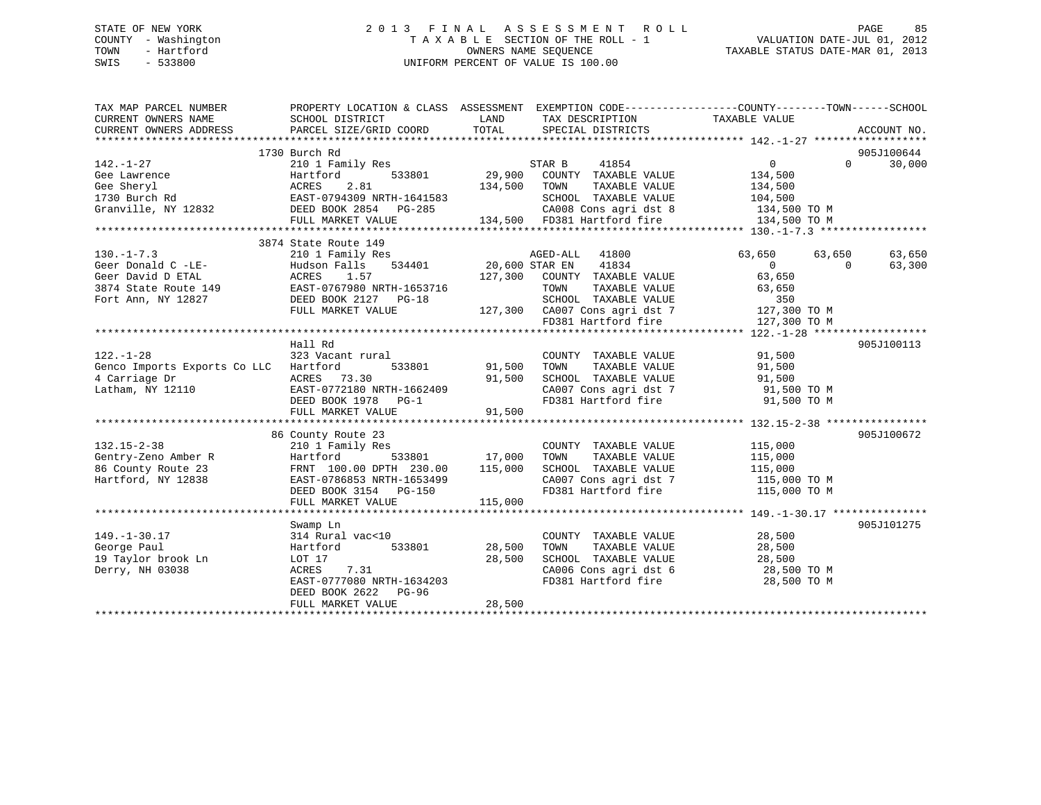# STATE OF NEW YORK 2 0 1 3 F I N A L A S S E S S M E N T R O L L PAGE 85 COUNTY - Washington T A X A B L E SECTION OF THE ROLL - 1 VALUATION DATE-JUL 01, 2012 TOWN - Hartford **TAXABLE STATUS DATE-MAR 01, 2013** OWNERS NAME SEQUENCE TAXABLE STATUS DATE-MAR 01, 2013 SWIS - 533800 UNIFORM PERCENT OF VALUE IS 100.00

| TAX MAP PARCEL NUMBER<br>CURRENT OWNERS NAME | PROPERTY LOCATION & CLASS ASSESSMENT EXEMPTION CODE---------------COUNTY-------TOWN------SCHOOL<br>SCHOOL DISTRICT | LAND           | TAX DESCRIPTION                                | TAXABLE VALUE     |          |             |
|----------------------------------------------|--------------------------------------------------------------------------------------------------------------------|----------------|------------------------------------------------|-------------------|----------|-------------|
| CURRENT OWNERS ADDRESS                       | PARCEL SIZE/GRID COORD                                                                                             | TOTAL          | SPECIAL DISTRICTS                              |                   |          | ACCOUNT NO. |
|                                              |                                                                                                                    |                |                                                |                   |          |             |
|                                              | 1730 Burch Rd                                                                                                      |                |                                                |                   |          | 905J100644  |
| $142. - 1 - 27$                              | 210 1 Family Res                                                                                                   |                | STAR B<br>41854                                | $0 \qquad \qquad$ | $\Omega$ | 30,000      |
| Gee Lawrence                                 | 533801<br>Hartford                                                                                                 | 29,900         | COUNTY TAXABLE VALUE                           | 134,500           |          |             |
| Gee Sheryl                                   | 2.81<br>ACRES                                                                                                      | 134,500        | TAXABLE VALUE<br>TOWN                          | 134,500           |          |             |
| 1730 Burch Rd                                | EAST-0794309<br>R22 DEED BOOK 2854 PG-285<br>CHERE SOOK 2854 PG-285                                                |                | SCHOOL TAXABLE VALUE                           | 104,500           |          |             |
| Granville, NY 12832                          |                                                                                                                    |                | CA008 Cons agri dst 8                          | 134,500 TO M      |          |             |
|                                              | FULL MARKET VALUE                                                                                                  |                | 134,500 FD381 Hartford fire                    | 134,500 TO M      |          |             |
|                                              |                                                                                                                    |                |                                                |                   |          |             |
|                                              | 3874 State Route 149                                                                                               |                |                                                |                   |          |             |
| $130. -1 - 7.3$                              | 210 1 Family Res                                                                                                   |                | AGED-ALL<br>41800                              | 63,650            | 63,650   | 63,650      |
| Geer Donald C -LE-                           | 534401<br>Hudson Falls                                                                                             | 20,600 STAR EN | 41834                                          | $\overline{0}$    | $\Omega$ | 63,300      |
| Geer David D ETAL                            | ACRES<br>1.57                                                                                                      | 127,300        | COUNTY TAXABLE VALUE                           | 63,650            |          |             |
| 3874 State Route 149                         | EAST-0767980 NRTH-1653716                                                                                          |                | TAXABLE VALUE<br>TOWN                          | 63,650            |          |             |
| Fort Ann, NY 12827                           | DEED BOOK 2127 PG-18                                                                                               |                | SCHOOL TAXABLE VALUE                           | 350               |          |             |
|                                              | FULL MARKET VALUE                                                                                                  |                | 127,300 CA007 Cons agri dst 7 127,300 TO M     |                   |          |             |
|                                              |                                                                                                                    |                | FD381 Hartford fire                            | 127,300 TO M      |          |             |
|                                              |                                                                                                                    |                |                                                |                   |          |             |
|                                              | Hall Rd                                                                                                            |                |                                                |                   |          | 905J100113  |
| $122. - 1 - 28$                              | 323 Vacant rural                                                                                                   |                | COUNTY TAXABLE VALUE                           | 91,500            |          |             |
| Genco Imports Exports Co LLC Hartford        | 533801                                                                                                             | 91,500         | TAXABLE VALUE<br>TOWN                          | 91,500            |          |             |
| 4 Carriage Dr                                | ACRES 73.30                                                                                                        | 91,500         | SCHOOL TAXABLE VALUE                           | 91,500            |          |             |
| Latham, NY 12110                             | EAST-0772180 NRTH-1662409                                                                                          |                | CA007 Cons agri dst 7<br>FD381 Hartford fire   | 91,500 TO M       |          |             |
|                                              | DEED BOOK 1978 PG-1                                                                                                |                |                                                | 91,500 TO M       |          |             |
|                                              | FULL MARKET VALUE                                                                                                  | 91,500         |                                                |                   |          |             |
|                                              |                                                                                                                    |                |                                                |                   |          |             |
|                                              | 86 County Route 23                                                                                                 |                |                                                |                   |          | 905J100672  |
| $132.15 - 2 - 38$                            | 210 1 Family Res                                                                                                   |                | COUNTY TAXABLE VALUE                           | 115,000           |          |             |
| Gentry-Zeno Amber R                          | Hartford                                                                                                           | 533801 17,000  | TAXABLE VALUE<br>TOWN                          | 115,000           |          |             |
| 86 County Route 23                           | FRNT 100.00 DPTH 230.00                                                                                            | 115,000        | SCHOOL TAXABLE VALUE                           | 115,000           |          |             |
| Hartford, NY 12838                           | EAST-0786853 NRTH-1653499                                                                                          |                | SCHOOL IAAADDD<br>CA007 Cons agridst 7         | 115,000 TO M      |          |             |
|                                              | DEED BOOK 3154 PG-150                                                                                              |                |                                                | 115,000 TO M      |          |             |
|                                              | FULL MARKET VALUE                                                                                                  | 115,000        |                                                |                   |          |             |
|                                              |                                                                                                                    |                |                                                |                   |          |             |
|                                              | Swamp Ln                                                                                                           |                |                                                |                   |          | 905J101275  |
| $149. - 1 - 30.17$                           | 314 Rural vac<10                                                                                                   |                | COUNTY TAXABLE VALUE                           | 28,500            |          |             |
| George Paul                                  | 533801<br>Hartford                                                                                                 | 28,500         | TAXABLE VALUE<br>TOWN                          | 28,500            |          |             |
| 19 Taylor brook Ln                           | LOT 17                                                                                                             | 28,500         | SCHOOL TAXABLE VALUE                           | 28,500            |          |             |
| Derry, NH 03038                              | ACRES<br>7.31                                                                                                      |                | CA006 Cons agri dst 6<br>CA006 Cons agri dst 6 | 28,500 TO M       |          |             |
|                                              | EAST-0777080 NRTH-1634203                                                                                          |                | FD381 Hartford fire                            | 28,500 TO M       |          |             |
|                                              | DEED BOOK 2622<br>PG-96                                                                                            |                |                                                |                   |          |             |
|                                              | FULL MARKET VALUE                                                                                                  | 28,500         |                                                |                   |          |             |
|                                              |                                                                                                                    |                |                                                |                   |          |             |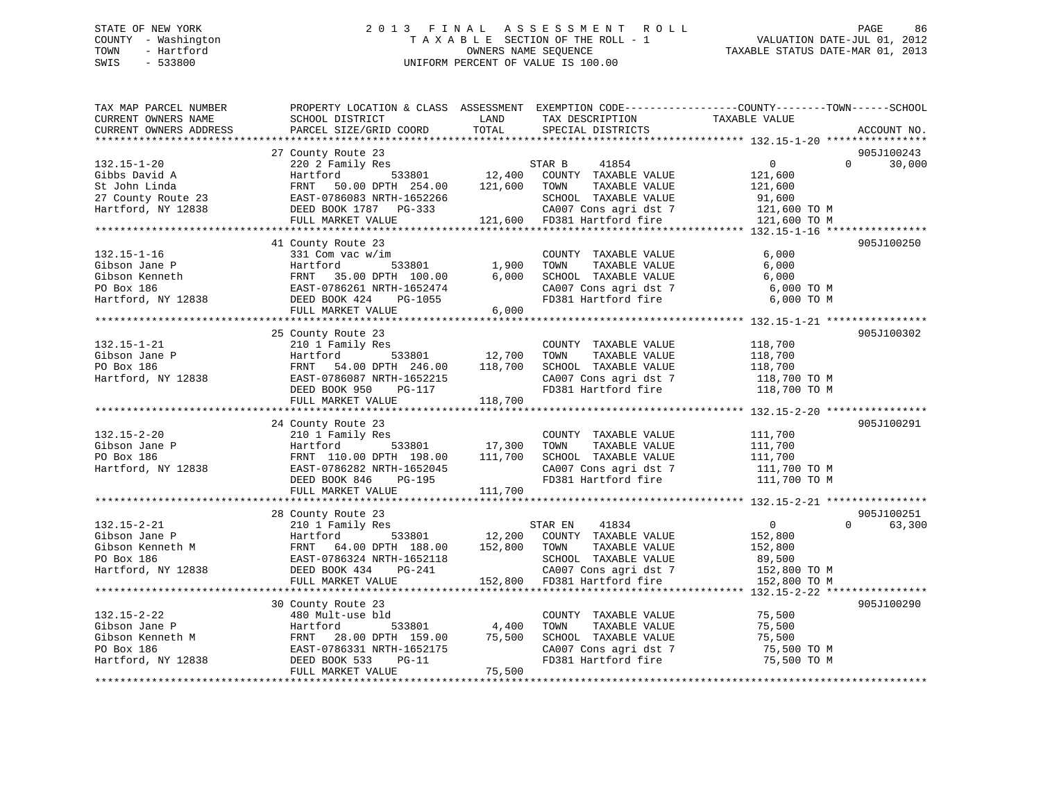# STATE OF NEW YORK 2 0 1 3 F I N A L A S S E S S M E N T R O L L PAGE 86 COUNTY - Washington T A X A B L E SECTION OF THE ROLL - 1 VALUATION DATE-JUL 01, 2012 TOWN - Hartford **TAXABLE STATUS DATE-MAR 01, 2013** OWNERS NAME SEQUENCE TAXABLE STATUS DATE-MAR 01, 2013 SWIS - 533800 UNIFORM PERCENT OF VALUE IS 100.00

| TAX MAP PARCEL NUMBER<br>CURRENT OWNERS NAME<br>CURRENT OWNERS ADDRESS                          | SCHOOL DISTRICT<br>PARCEL SIZE/GRID COORD                                                                                                                               | LAND<br>TAX DESCRIPTION<br>TOTAL<br>SPECIAL DISTRICTS                                                                                                                 | PROPERTY LOCATION & CLASS ASSESSMENT EXEMPTION CODE----------------COUNTY-------TOWN------SCHOOL<br>TAXABLE VALUE<br>ACCOUNT NO. |
|-------------------------------------------------------------------------------------------------|-------------------------------------------------------------------------------------------------------------------------------------------------------------------------|-----------------------------------------------------------------------------------------------------------------------------------------------------------------------|----------------------------------------------------------------------------------------------------------------------------------|
| $132.15 - 1 - 20$<br>Gibbs David A<br>St John Linda<br>27 County Route 23<br>Hartford, NY 12838 | 27 County Route 23<br>220 2 Family Res<br>533801<br>Hartford<br>FRNT<br>50.00 DPTH 254.00<br>EAST-0786083 NRTH-1652266<br>DEED BOOK 1787    PG-333<br>FULL MARKET VALUE | STAR B<br>41854<br>12,400<br>COUNTY TAXABLE VALUE<br>121,600<br>TOWN<br>TAXABLE VALUE<br>SCHOOL TAXABLE VALUE<br>CA007 Cons agri dst 7<br>121,600 FD381 Hartford fire | 905J100243<br>0<br>30,000<br>$\Omega$<br>121,600<br>121,600<br>91,600<br>121,600 TO M<br>121,600 TO M                            |
| $132.15 - 1 - 16$<br>Gibson Jane P<br>Gibson Kenneth<br>PO Box 186<br>Hartford, NY 12838        | 41 County Route 23<br>331 Com vac w/im<br>Hartford<br>533801<br>FRNT 35.00 DPTH 100.00<br>EAST-0786261 NRTH-1652474<br>DEED BOOK 424<br>PG-1055<br>FULL MARKET VALUE    | COUNTY TAXABLE VALUE<br>1,900<br>TAXABLE VALUE<br>TOWN<br>6,000<br>SCHOOL TAXABLE VALUE<br>CA007 Cons agri dst 7<br>FD381 Hartford fire<br>$6,000$                    | 905J100250<br>6,000<br>6,000<br>6,000<br>6,000 TO M<br>6,000 TO M                                                                |
| $132.15 - 1 - 21$<br>Gibson Jane P<br>PO Box 186<br>Hartford, NY 12838                          | 25 County Route 23<br>210 1 Family Res<br>533801<br>Hartford<br>FRNT<br>54.00 DPTH 246.00<br>EAST-0786087 NRTH-1652215<br>DEED BOOK 950<br>PG-117<br>FULL MARKET VALUE  | COUNTY TAXABLE VALUE<br>12,700<br>TAXABLE VALUE<br>TOWN<br>118,700<br>SCHOOL TAXABLE VALUE<br>CA007 Cons agri dst 7<br>118,700                                        | 905J100302<br>118,700<br>118,700<br>118,700<br>118,700 TO M<br>FD381 Hartford fire 118,700 TO M                                  |
| $132.15 - 2 - 20$<br>Gibson Jane P<br>PO Box 186<br>Hartford, NY 12838                          | 24 County Route 23<br>210 1 Family Res<br>Hartford<br>533801<br>FRNT 110.00 DPTH 198.00<br>EAST-0786282 NRTH-1652045<br>DEED BOOK 846<br>PG-195<br>FULL MARKET VALUE    | COUNTY TAXABLE VALUE<br>17,300<br>TOWN<br>TAXABLE VALUE<br>111,700<br>SCHOOL TAXABLE VALUE<br>CA007 Cons agri dst 7<br>FD381 Hartford fire<br>111,700                 | 905J100291<br>111,700<br>111,700<br>111,700<br>111,700 TO M<br>111,700 TO M                                                      |
| $132.15 - 2 - 21$<br>Gibson Jane P<br>Gibson Kenneth M<br>PO Box 186<br>Hartford, NY 12838      | 28 County Route 23<br>210 1 Family Res<br>Hartford<br>533801<br>FRNT<br>64.00 DPTH 188.00<br>EAST-0786324 NRTH-1652118<br>DEED BOOK 434<br>PG-241<br>FULL MARKET VALUE  | 41834<br>STAR EN<br>12,200 COUNTY TAXABLE VALUE<br>152,800<br>TOWN<br>TAXABLE VALUE<br>SCHOOL TAXABLE VALUE<br>CA007 Cons agri dst 7<br>152,800 FD381 Hartford fire   | 905J100251<br>$\Omega$<br>63,300<br>$\overline{0}$<br>152,800<br>152,800<br>89,500<br>152,800 TO M<br>152,800 TO M               |
| $132.15 - 2 - 22$<br>Gibson Jane P<br>Gibson Kenneth M<br>PO Box 186<br>Hartford, NY 12838      | 30 County Route 23<br>480 Mult-use bld<br>Hartford<br>533801<br>FRNT<br>28.00 DPTH 159.00<br>EAST-0786331 NRTH-1652175<br>DEED BOOK 533<br>$PG-11$<br>FULL MARKET VALUE | COUNTY TAXABLE VALUE<br>4,400<br>TAXABLE VALUE<br>TOWN<br>75,500<br>SCHOOL TAXABLE VALUE<br>CA007 Cons agri dst 7<br>FD381 Hartford fire<br>75,500                    | 905J100290<br>75,500<br>75,500<br>75,500<br>75,500 TO M<br>75,500 TO M                                                           |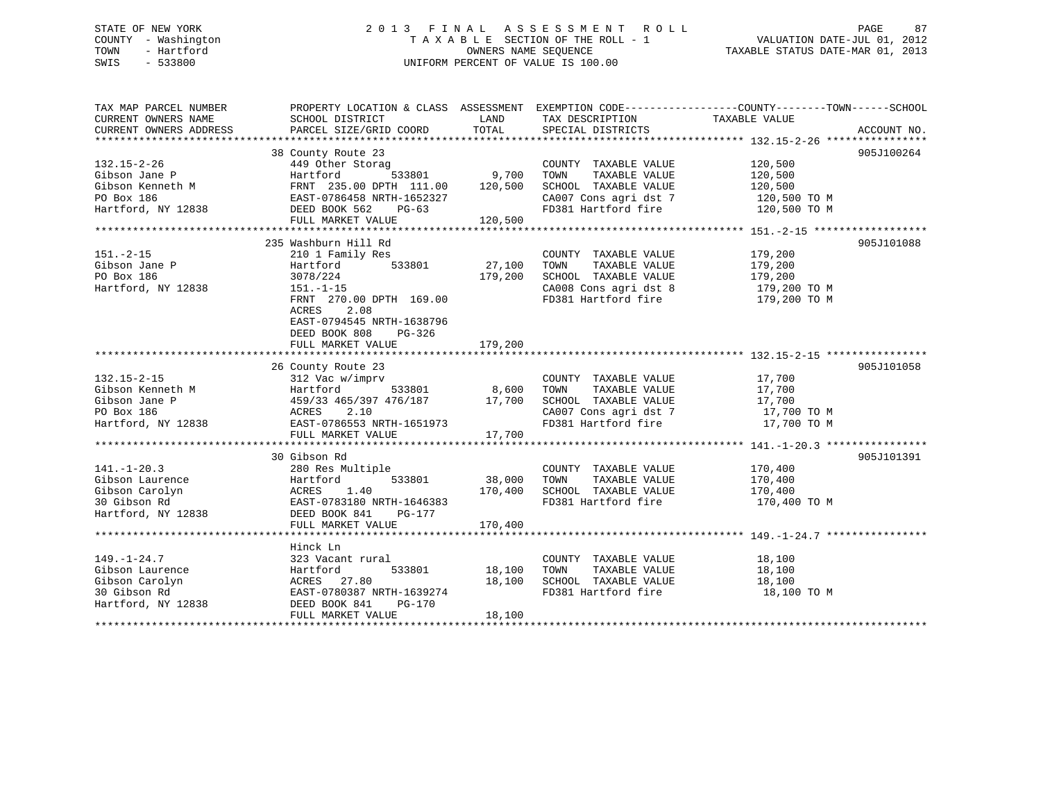# STATE OF NEW YORK 2 0 1 3 F I N A L A S S E S S M E N T R O L L PAGE 87 COUNTY - Washington T A X A B L E SECTION OF THE ROLL - 1 VALUATION DATE-JUL 01, 2012 TOWN - Hartford **TAXABLE STATUS DATE-MAR 01, 2013** SWIS - 533800 UNIFORM PERCENT OF VALUE IS 100.00

| TAX MAP PARCEL NUMBER<br>CURRENT OWNERS NAME | SCHOOL DISTRICT                                               | LAND    | TAX DESCRIPTION              | PROPERTY LOCATION & CLASS ASSESSMENT EXEMPTION CODE---------------COUNTY-------TOWN-----SCHOOL<br>TAXABLE VALUE |             |
|----------------------------------------------|---------------------------------------------------------------|---------|------------------------------|-----------------------------------------------------------------------------------------------------------------|-------------|
| CURRENT OWNERS ADDRESS                       | PARCEL SIZE/GRID COORD                                        | TOTAL   | SPECIAL DISTRICTS            |                                                                                                                 | ACCOUNT NO. |
|                                              |                                                               |         |                              |                                                                                                                 |             |
|                                              | 38 County Route 23                                            |         |                              |                                                                                                                 | 905J100264  |
| $132.15 - 2 - 26$                            | 449 Other Storag                                              |         | COUNTY TAXABLE VALUE         | 120,500                                                                                                         |             |
| Gibson Jane P                                | 533801<br>Hartford                                            | 9,700   | TAXABLE VALUE<br>TOWN        | 120,500                                                                                                         |             |
| Gibson Kenneth M                             | FRNT 235.00 DPTH 111.00                                       | 120,500 | SCHOOL TAXABLE VALUE         | 120,500                                                                                                         |             |
| PO Box 186                                   | EAST-0786458 NRTH-1652327                                     |         | CA007 Cons agri dst 7        | 120,500 TO M<br>120,500 TO M                                                                                    |             |
| Hartford, NY 12838                           | DEED BOOK 562<br>$PG-63$                                      |         | FD381 Hartford fire          |                                                                                                                 |             |
|                                              | FULL MARKET VALUE                                             | 120,500 |                              |                                                                                                                 |             |
|                                              |                                                               |         |                              |                                                                                                                 |             |
|                                              | 235 Washburn Hill Rd                                          |         |                              |                                                                                                                 | 905J101088  |
| $151. - 2 - 15$                              | 210 1 Family Res                                              |         | COUNTY TAXABLE VALUE         | 179,200                                                                                                         |             |
| Gibson Jane P                                | 533801<br>Hartford                                            | 27,100  | TOWN<br>TAXABLE VALUE        | 179,200                                                                                                         |             |
| PO Box 186                                   | 3078/224                                                      | 179,200 | SCHOOL TAXABLE VALUE         | 179,200                                                                                                         |             |
| Hartford, NY 12838                           | $151.-1-15$                                                   |         | CA008 Cons agri dst 8        | 179,200 TO M                                                                                                    |             |
|                                              | FRNT 270.00 DPTH 169.00                                       |         |                              | FD381 Hartford fire 179,200 TO M                                                                                |             |
|                                              | 2.08<br>ACRES                                                 |         |                              |                                                                                                                 |             |
|                                              | EAST-0794545 NRTH-1638796                                     |         |                              |                                                                                                                 |             |
|                                              | DEED BOOK 808<br>PG-326                                       |         |                              |                                                                                                                 |             |
|                                              | FULL MARKET VALUE                                             | 179,200 |                              |                                                                                                                 |             |
|                                              |                                                               |         |                              |                                                                                                                 |             |
|                                              | 26 County Route 23                                            |         |                              |                                                                                                                 | 905J101058  |
| $132.15 - 2 - 15$                            | 312 Vac w/imprv                                               |         | COUNTY TAXABLE VALUE         | 17,700                                                                                                          |             |
| Gibson Kenneth M                             | Hartford<br>533801                                            | 8,600   | TOWN<br>TAXABLE VALUE        | 17,700                                                                                                          |             |
| Gibson Jane P                                | Hartfc<br>459/33<br>ACRES<br>EAST-0<br>459/33 465/397 476/187 | 17,700  | SCHOOL TAXABLE VALUE         | 17,700                                                                                                          |             |
| PO Box 186                                   | 2.10                                                          |         | CA007 Cons agri dst 7        | 17,700 TO M                                                                                                     |             |
| Hartford, NY 12838                           | EAST-0786553 NRTH-1651973                                     |         | FD381 Hartford fire          | 17,700 TO M                                                                                                     |             |
|                                              | FULL MARKET VALUE                                             | 17,700  |                              |                                                                                                                 |             |
|                                              |                                                               |         |                              |                                                                                                                 |             |
|                                              | 30 Gibson Rd                                                  |         |                              |                                                                                                                 | 905J101391  |
| $141. - 1 - 20.3$                            | 280 Res Multiple                                              |         | COUNTY TAXABLE VALUE         | 170,400                                                                                                         |             |
| Gibson Laurence                              | Hartford<br>533801                                            | 38,000  | TOWN<br>TAXABLE VALUE        | 170,400                                                                                                         |             |
| Gibson Carolyn                               | ACRES                                                         | 170,400 | SCHOOL TAXABLE VALUE 170,400 |                                                                                                                 |             |
|                                              | 1.40                                                          |         |                              |                                                                                                                 |             |
| 30 Gibson Rd<br>Hartford, NY 12838           | EAST-0783180 NRTH-1646383                                     |         | FD381 Hartford fire          | 170,400 TO M                                                                                                    |             |
|                                              | DEED BOOK 841<br>PG-177                                       |         |                              |                                                                                                                 |             |
|                                              | FULL MARKET VALUE                                             | 170,400 |                              |                                                                                                                 |             |
|                                              |                                                               |         |                              |                                                                                                                 |             |
|                                              | Hinck Ln                                                      |         |                              |                                                                                                                 |             |
| $149. - 1 - 24.7$                            | 323 Vacant rural                                              |         | COUNTY TAXABLE VALUE         | 18,100                                                                                                          |             |
| Gibson Laurence                              | Hartford<br>533801                                            | 18,100  | TOWN<br>TAXABLE VALUE        | 18,100                                                                                                          |             |
| Gibson Carolyn                               | ACRES 27.80                                                   | 18,100  | SCHOOL TAXABLE VALUE         | 18,100                                                                                                          |             |
| 30 Gibson Rd                                 | EAST-0780387 NRTH-1639274                                     |         | FD381 Hartford fire          | 18,100 TO M                                                                                                     |             |
| Hartford, NY 12838                           | DEED BOOK 841<br>PG-170                                       |         |                              |                                                                                                                 |             |
|                                              | FULL MARKET VALUE                                             | 18,100  |                              |                                                                                                                 |             |
|                                              |                                                               |         |                              |                                                                                                                 |             |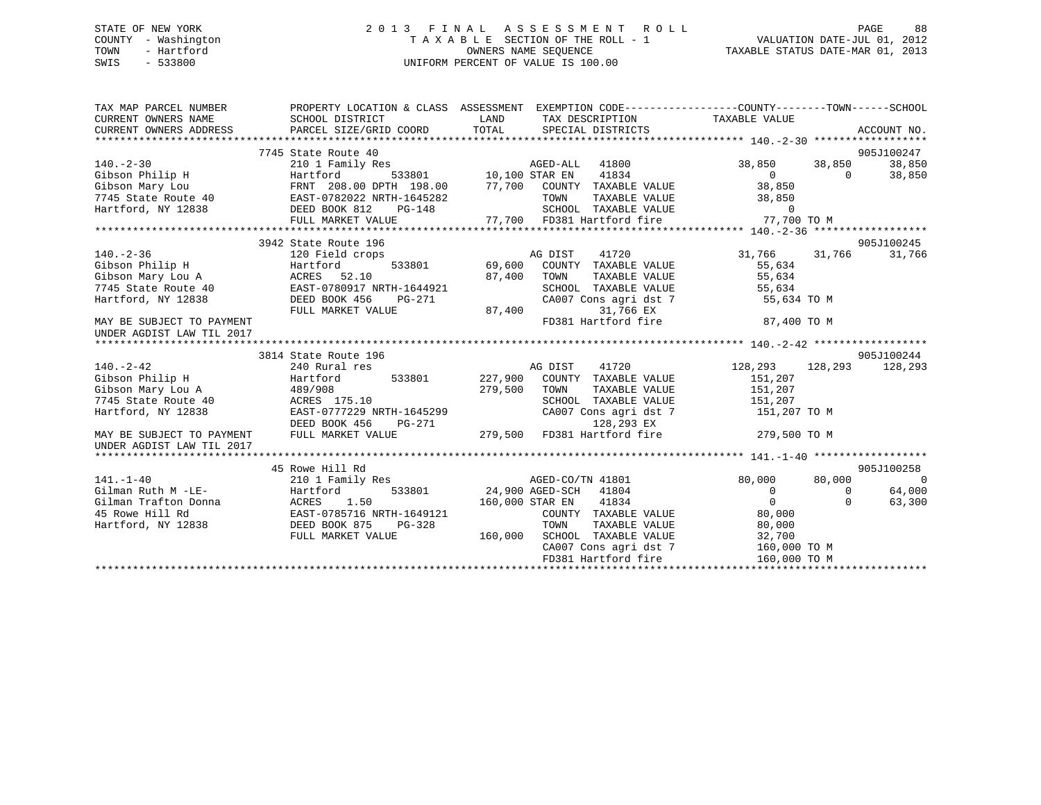# STATE OF NEW YORK 2 0 1 3 F I N A L A S S E S S M E N T R O L L PAGE 88 COUNTY - Washington T A X A B L E SECTION OF THE ROLL - 1 VALUATION DATE-JUL 01, 2012 TOWN - Hartford **TAXABLE STATUS DATE-MAR 01, 2013** OWNERS NAME SEQUENCE TAXABLE STATUS DATE-MAR 01, 2013 SWIS - 533800 UNIFORM PERCENT OF VALUE IS 100.00

| TAX MAP PARCEL NUMBER<br>CURRENT OWNERS NAME                                                             | SCHOOL DISTRICT           | PROPERTY LOCATION & CLASS ASSESSMENT EXEMPTION CODE----------------COUNTY-------TOWN------SCHOOL<br>LAND<br>TAX DESCRIPTION TAXABLE VALUE                                                                                                                                                                                                                                                     | ACCOUNT NO.                                |
|----------------------------------------------------------------------------------------------------------|---------------------------|-----------------------------------------------------------------------------------------------------------------------------------------------------------------------------------------------------------------------------------------------------------------------------------------------------------------------------------------------------------------------------------------------|--------------------------------------------|
|                                                                                                          |                           |                                                                                                                                                                                                                                                                                                                                                                                               |                                            |
|                                                                                                          | 7745 State Route 40       |                                                                                                                                                                                                                                                                                                                                                                                               | 905J100247                                 |
|                                                                                                          |                           |                                                                                                                                                                                                                                                                                                                                                                                               | 38,850 38,850<br>38,850                    |
|                                                                                                          |                           |                                                                                                                                                                                                                                                                                                                                                                                               | $\overline{0}$<br>$\overline{0}$<br>38,850 |
|                                                                                                          |                           |                                                                                                                                                                                                                                                                                                                                                                                               | 38,850                                     |
|                                                                                                          |                           |                                                                                                                                                                                                                                                                                                                                                                                               |                                            |
|                                                                                                          |                           |                                                                                                                                                                                                                                                                                                                                                                                               |                                            |
|                                                                                                          |                           |                                                                                                                                                                                                                                                                                                                                                                                               |                                            |
|                                                                                                          |                           | 0 12836<br>Hartford, NY 12838 EXST-0782022 NRTH-1645282<br>Hartford, NY 12838 EXST-0782022 NRTH-1645282 FOWN TAXABLE VALUE<br>FULL MARKET VALUE 77,700 FD381 Hartford fire 77,700 TO M<br>FULL MARKET VALUE 77,700 FD381 Hartford fire                                                                                                                                                        |                                            |
|                                                                                                          | 3942 State Route 196      |                                                                                                                                                                                                                                                                                                                                                                                               | 905J100245                                 |
| $140. - 2 - 36$                                                                                          | 120 Field crops           | AG DIST 41720<br>533801 69,600 COUNTY TAXABLE VALUE<br>AG DIST 41720                                                                                                                                                                                                                                                                                                                          | 31,766 31,766<br>31,766                    |
| Cibson Philip H<br>Gibson Mary Lou A<br>7745 State Route 40<br>Hartford, NY 12838<br>RES BOOK 456 PG-271 |                           |                                                                                                                                                                                                                                                                                                                                                                                               | 55,634                                     |
|                                                                                                          |                           | 87,400 TOWN                                                                                                                                                                                                                                                                                                                                                                                   |                                            |
|                                                                                                          |                           | TOWN TAXABLE VALUE 55,634<br>SCHOOL TAXABLE VALUE 55,634<br>CA007 Cons agri dst 7 55,634 TO M                                                                                                                                                                                                                                                                                                 |                                            |
|                                                                                                          |                           |                                                                                                                                                                                                                                                                                                                                                                                               |                                            |
|                                                                                                          | FULL MARKET VALUE         | 31,766 EX                                                                                                                                                                                                                                                                                                                                                                                     |                                            |
| MAY BE SUBJECT TO PAYMENT                                                                                |                           | $PG-271$ CAO<br>MLUE 87,400 FD38<br>FD381 Hartford fire                                                                                                                                                                                                                                                                                                                                       | 87,400 TO M                                |
| UNDER AGDIST LAW TIL 2017                                                                                |                           |                                                                                                                                                                                                                                                                                                                                                                                               |                                            |
|                                                                                                          |                           |                                                                                                                                                                                                                                                                                                                                                                                               |                                            |
|                                                                                                          | 3814 State Route 196      |                                                                                                                                                                                                                                                                                                                                                                                               | 905J100244                                 |
|                                                                                                          |                           |                                                                                                                                                                                                                                                                                                                                                                                               | 128,293 128,293<br>128,293                 |
|                                                                                                          |                           |                                                                                                                                                                                                                                                                                                                                                                                               | 151,207                                    |
|                                                                                                          |                           | TAXABLE VALUE                                                                                                                                                                                                                                                                                                                                                                                 | 151,207                                    |
| 7745 State Route 40 ACRES 175.10                                                                         |                           | SCHOOL TAXABLE VALUE 151,207                                                                                                                                                                                                                                                                                                                                                                  |                                            |
| Hartford, NY 12838                                                                                       | EAST-0777229 NRTH-1645299 | CA007 Cons agri dst 7 151,207 TO M                                                                                                                                                                                                                                                                                                                                                            |                                            |
|                                                                                                          | DEED BOOK 456             |                                                                                                                                                                                                                                                                                                                                                                                               |                                            |
| MAY BE SUBJECT TO PAYMENT                                                                                | FULL MARKET VALUE         | PG-271 128,293 EX<br>LUE 279,500 FD381 Hartford fire 279,500 TO M                                                                                                                                                                                                                                                                                                                             |                                            |
| UNDER AGDIST LAW TIL 2017                                                                                |                           |                                                                                                                                                                                                                                                                                                                                                                                               |                                            |
|                                                                                                          |                           |                                                                                                                                                                                                                                                                                                                                                                                               |                                            |
|                                                                                                          | 45 Rowe Hill Rd           |                                                                                                                                                                                                                                                                                                                                                                                               | 905J100258                                 |
| $141. - 1 - 40$                                                                                          |                           | AGED-CO/TN 41801                                                                                                                                                                                                                                                                                                                                                                              | $\overline{0}$<br>80,000<br>80,000         |
|                                                                                                          |                           |                                                                                                                                                                                                                                                                                                                                                                                               | $\overline{0}$<br>64,000<br>$\Omega$       |
| Calman Trafton Donna<br>ACRES 1.50<br>45 Rowe Hill Rd<br>Hartford, NY 12838<br>DEED BOOK 875 PG-328      |                           | 160,000 STAR EN 41834                                                                                                                                                                                                                                                                                                                                                                         | $\overline{0}$<br>$\cap$<br>63,300         |
|                                                                                                          |                           | $\begin{minipage}{.4\linewidth} \textbf{COUNTY} & \textbf{TAXABLE VALUE} & \textbf{0.000} \\ \textbf{0.000} & \textbf{0.000} \\ \textbf{0.000} & \textbf{0.000} \\ \textbf{0.000} & \textbf{0.000} \\ \textbf{0.000} & \textbf{0.000} \\ \textbf{0.000} & \textbf{0.000} \\ \textbf{0.000} & \textbf{0.000} \\ \textbf{0.000} & \textbf{0.000} \\ \textbf{0.000} & \textbf{0.000} \\ \textbf$ |                                            |
|                                                                                                          |                           | TOWN<br>TAXABLE VALUE<br>TAXABLE VALUE                                                                                                                                                                                                                                                                                                                                                        | 80,000                                     |
|                                                                                                          | FULL MARKET VALUE         | 160,000 SCHOOL TAXABLE VALUE                                                                                                                                                                                                                                                                                                                                                                  | 32,700                                     |
|                                                                                                          |                           | CA007 Cons agri dst 7                                                                                                                                                                                                                                                                                                                                                                         | 160,000 TO M                               |
|                                                                                                          |                           |                                                                                                                                                                                                                                                                                                                                                                                               |                                            |
|                                                                                                          |                           |                                                                                                                                                                                                                                                                                                                                                                                               |                                            |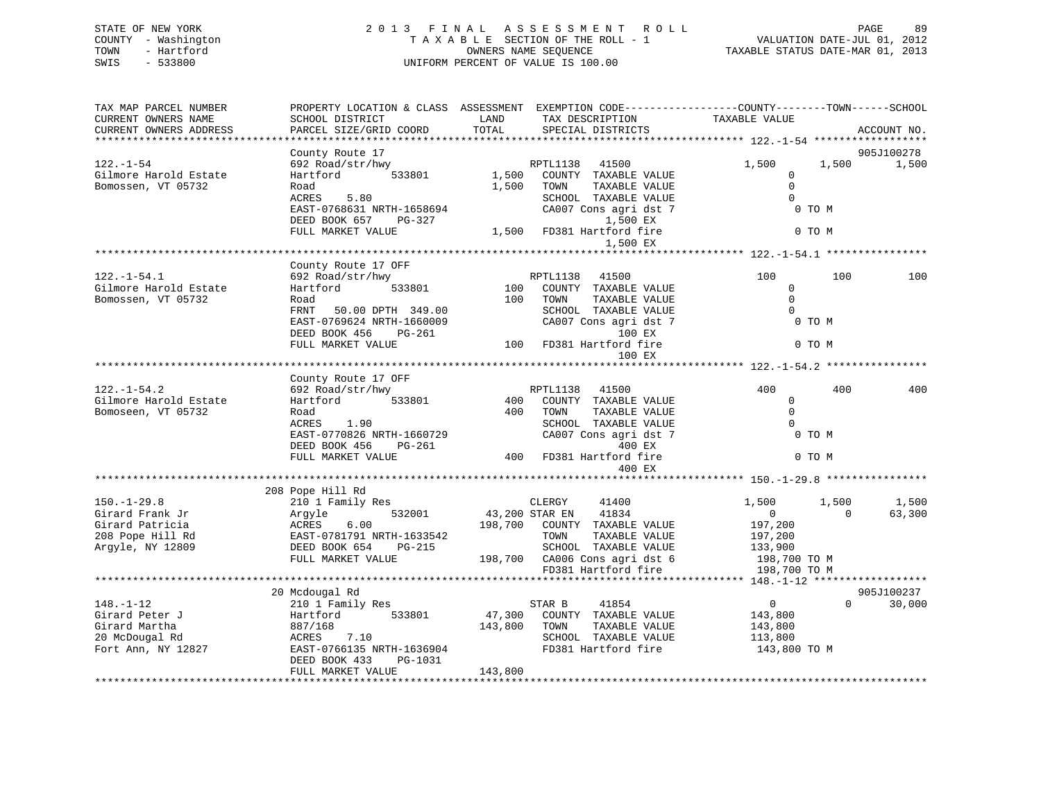# STATE OF NEW YORK 2 0 1 3 F I N A L A S S E S S M E N T R O L L PAGE 89 COUNTY - Washington T A X A B L E SECTION OF THE ROLL - 1 VALUATION DATE-JUL 01, 2012 TOWN - Hartford **TAXABLE STATUS DATE-MAR 01, 2013** OWNERS NAME SEQUENCE TAXABLE STATUS DATE-MAR 01, 2013 SWIS - 533800 UNIFORM PERCENT OF VALUE IS 100.00

| TAX MAP PARCEL NUMBER<br>CURRENT OWNERS NAME<br>CURRENT OWNERS ADDRESS                          | PROPERTY LOCATION & CLASS ASSESSMENT<br>SCHOOL DISTRICT<br>PARCEL SIZE/GRID COORD                                                                                               | LAND<br>TOTAL                | TAX DESCRIPTION<br>SPECIAL DISTRICTS                                                                                                                         | EXEMPTION CODE-----------------COUNTY-------TOWN------SCHOOL<br>TAXABLE VALUE                                 | ACCOUNT NO.          |
|-------------------------------------------------------------------------------------------------|---------------------------------------------------------------------------------------------------------------------------------------------------------------------------------|------------------------------|--------------------------------------------------------------------------------------------------------------------------------------------------------------|---------------------------------------------------------------------------------------------------------------|----------------------|
|                                                                                                 |                                                                                                                                                                                 |                              |                                                                                                                                                              |                                                                                                               |                      |
| $122. - 1 - 54$<br>Gilmore Harold Estate<br>Bomossen, VT 05732                                  | County Route 17<br>692 Road/str/hwy<br>Hartford<br>533801<br>Road<br>ACRES<br>5.80<br>EAST-0768631 NRTH-1658694<br>DEED BOOK 657<br>PG-327<br>FULL MARKET VALUE                 | 1,500<br>1,500               | RPTL1138<br>41500<br>COUNTY TAXABLE VALUE<br>TOWN<br>TAXABLE VALUE<br>SCHOOL TAXABLE VALUE<br>CA007 Cons agri dst 7<br>1,500 EX<br>1,500 FD381 Hartford fire | 1,500<br>1,500<br>0<br>$\Omega$<br>$\mathbf 0$<br>0 TO M<br>0 TO M                                            | 905J100278<br>1,500  |
|                                                                                                 |                                                                                                                                                                                 |                              | 1,500 EX                                                                                                                                                     |                                                                                                               |                      |
| $122. - 1 - 54.1$<br>Gilmore Harold Estate<br>Bomossen, VT 05732                                | County Route 17 OFF<br>692 Road/str/hwy<br>533801<br>Hartford<br>Road<br>FRNT<br>50.00 DPTH 349.00<br>EAST-0769624 NRTH-1660009<br>DEED BOOK 456<br>PG-261<br>FULL MARKET VALUE | 100<br>100<br>100            | RPTL1138 41500<br>COUNTY TAXABLE VALUE<br>TAXABLE VALUE<br>TOWN<br>SCHOOL TAXABLE VALUE<br>CA007 Cons agri dst 7<br>100 EX<br>FD381 Hartford fire<br>100 EX  | 100<br>100<br>$\mathbf 0$<br>$\Omega$<br>$\Omega$<br>0 TO M<br>0 TO M                                         | 100                  |
|                                                                                                 |                                                                                                                                                                                 |                              |                                                                                                                                                              |                                                                                                               |                      |
| $122. - 1 - 54.2$<br>Gilmore Harold Estate<br>Bomoseen, VT 05732                                | County Route 17 OFF<br>692 Road/str/hwy<br>533801<br>Hartford<br>Road<br>ACRES<br>1.90<br>EAST-0770826 NRTH-1660729<br>DEED BOOK 456<br>PG-261<br>FULL MARKET VALUE             | 400<br>400<br>400            | RPTL1138 41500<br>COUNTY TAXABLE VALUE<br>TAXABLE VALUE<br>TOWN<br>SCHOOL TAXABLE VALUE<br>CA007 Cons agri dst 7<br>400 EX<br>FD381 Hartford fire            | 400<br>400<br>$\Omega$<br>$\Omega$<br>$\Omega$<br>0 TO M<br>0 TO M                                            | 400                  |
|                                                                                                 |                                                                                                                                                                                 |                              | 400 EX                                                                                                                                                       |                                                                                                               |                      |
| $150. - 1 - 29.8$<br>Girard Frank Jr<br>Girard Patricia<br>208 Pope Hill Rd<br>Argyle, NY 12809 | 208 Pope Hill Rd<br>210 1 Family Res<br>532001<br>Argyle<br>ACRES<br>6.00<br>EAST-0781791 NRTH-1633542<br>DEED BOOK 654<br>PG-215<br>FULL MARKET VALUE                          | 43,200 STAR EN<br>198,700    | CLERGY<br>41400<br>41834<br>COUNTY TAXABLE VALUE<br>TOWN<br>TAXABLE VALUE<br>SCHOOL TAXABLE VALUE<br>198,700 CA006 Cons agri dst 6<br>FD381 Hartford fire    | 1,500<br>1,500<br>$\overline{0}$<br>$\Omega$<br>197,200<br>197,200<br>133,900<br>198,700 TO M<br>198,700 TO M | 1,500<br>63,300      |
|                                                                                                 |                                                                                                                                                                                 |                              |                                                                                                                                                              |                                                                                                               |                      |
| $148. - 1 - 12$<br>Girard Peter J<br>Girard Martha<br>20 McDougal Rd<br>Fort Ann, NY 12827      | 20 Mcdougal Rd<br>210 1 Family Res<br>Hartford<br>533801<br>887/168<br>7.10<br>ACRES<br>EAST-0766135 NRTH-1636904<br>DEED BOOK 433<br>PG-1031<br>FULL MARKET VALUE              | 47,300<br>143,800<br>143,800 | STAR B<br>41854<br>COUNTY TAXABLE VALUE<br>TOWN<br>TAXABLE VALUE<br>SCHOOL TAXABLE VALUE<br>FD381 Hartford fire                                              | $\overline{0}$<br>$\Omega$<br>143,800<br>143,800<br>113,800<br>143,800 TO M                                   | 905J100237<br>30,000 |
|                                                                                                 |                                                                                                                                                                                 |                              |                                                                                                                                                              |                                                                                                               |                      |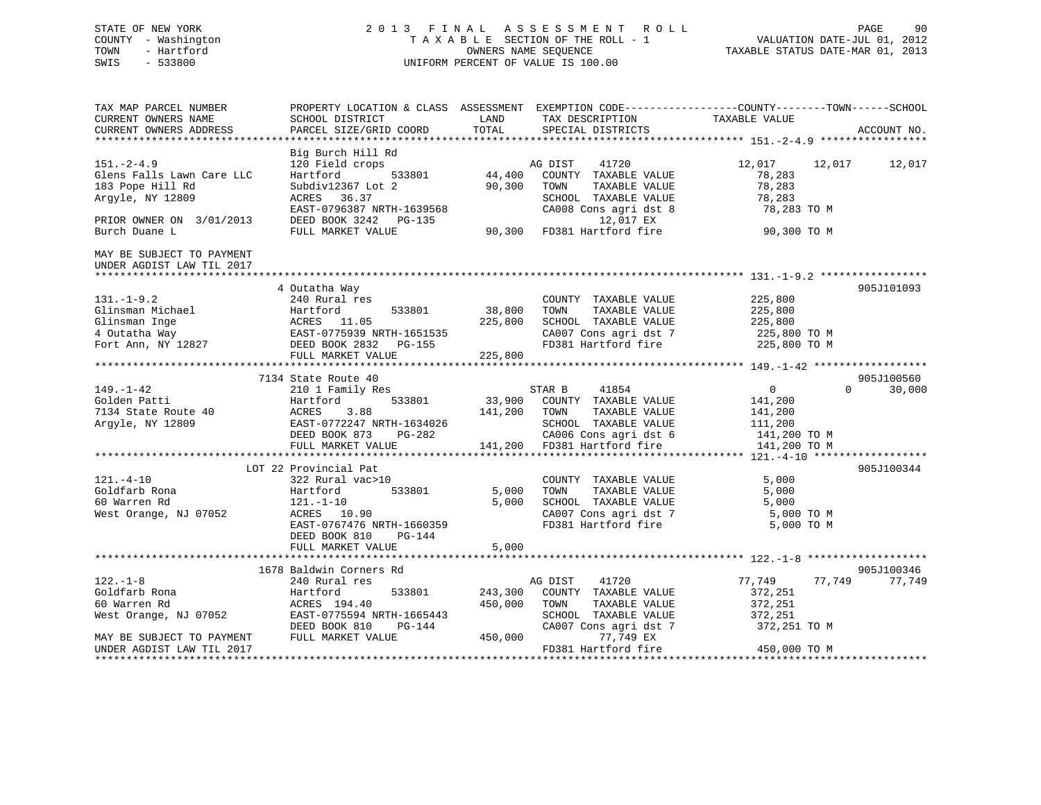# STATE OF NEW YORK 2 0 1 3 F I N A L A S S E S S M E N T R O L L PAGE 90 COUNTY - Washington T A X A B L E SECTION OF THE ROLL - 1 VALUATION DATE-JUL 01, 2012 TOWN - Hartford **TAXABLE STATUS DATE-MAR 01, 2013** OWNERS NAME SEQUENCE TAXABLE STATUS DATE-MAR 01, 2013 SWIS - 533800 UNIFORM PERCENT OF VALUE IS 100.00

| TAX MAP PARCEL NUMBER<br>CURRENT OWNERS NAME<br>CURRENT OWNERS ADDRESS                       | SCHOOL DISTRICT<br>PARCEL SIZE/GRID COORD                                                                                                             | LAND<br>TOTAL      | PROPERTY LOCATION & CLASS ASSESSMENT EXEMPTION CODE----------------COUNTY-------TOWN------SCHOOL<br>TAX DESCRIPTION<br>SPECIAL DISTRICTS | TAXABLE VALUE                                                     | ACCOUNT NO.        |
|----------------------------------------------------------------------------------------------|-------------------------------------------------------------------------------------------------------------------------------------------------------|--------------------|------------------------------------------------------------------------------------------------------------------------------------------|-------------------------------------------------------------------|--------------------|
|                                                                                              |                                                                                                                                                       |                    |                                                                                                                                          |                                                                   |                    |
| $151. - 2 - 4.9$<br>Glens Falls Lawn Care LLC<br>183 Pope Hill Rd<br>Argyle, NY 12809        | Big Burch Hill Rd<br>120 Field crops<br>533801<br>Hartford<br>Subdiv12367 Lot 2<br>ACRES 36.37<br>EAST-0796387 NRTH-1639568                           | 44,400<br>90,300   | 41720<br>AG DIST<br>COUNTY TAXABLE VALUE<br>TOWN<br>TAXABLE VALUE<br>SCHOOL TAXABLE VALUE<br>CA008 Cons agri dst 8                       | 12,017<br>78,283<br>78,283<br>78,283<br>78,283 TO M               | 12,017<br>12,017   |
| PRIOR OWNER ON 3/01/2013<br>Burch Duane L                                                    | DEED BOOK 3242 PG-135<br>FULL MARKET VALUE                                                                                                            |                    | 12,017 EX<br>90,300 FD381 Hartford fire                                                                                                  | 90,300 TO M                                                       |                    |
| MAY BE SUBJECT TO PAYMENT<br>UNDER AGDIST LAW TIL 2017                                       |                                                                                                                                                       |                    |                                                                                                                                          |                                                                   |                    |
|                                                                                              | 4 Outatha Way                                                                                                                                         |                    |                                                                                                                                          |                                                                   | 905J101093         |
| $131. - 1 - 9.2$<br>Glinsman Michael<br>Glinsman Inge<br>4 Outatha Way<br>Fort Ann, NY 12827 | 240 Rural res<br>533801<br>Hartford<br>ACRES 11.05<br>EAST-0775939 NRTH-1651535<br>DEED BOOK 2832 DG-155                                              | 38,800<br>225,800  | COUNTY TAXABLE VALUE<br>TOWN<br>TAXABLE VALUE<br>SCHOOL TAXABLE VALUE<br>CA007 Cons agri dst 7                                           | 225,800<br>225,800<br>225,800<br>225,800 TO M                     |                    |
|                                                                                              | DEED BOOK 2832 PG-155                                                                                                                                 | 225,800            | FD381 Hartford fire                                                                                                                      | 225,800 TO M                                                      |                    |
|                                                                                              | FULL MARKET VALUE                                                                                                                                     |                    |                                                                                                                                          |                                                                   |                    |
|                                                                                              | 7134 State Route 40                                                                                                                                   |                    |                                                                                                                                          |                                                                   | 905J100560         |
| $149. - 1 - 42$<br>Golden Patti<br>7134 State Route 40<br>Argyle, NY 12809                   | 210 1 Family Res<br>533801<br>Hartford<br>ACRES<br>3.88<br>EAST-0772247 NRTH-1634026<br>DEED BOOK 873<br>PG-282                                       | 141,200            | 41854<br>STAR B<br>33,900 COUNTY TAXABLE VALUE<br>TOWN<br>TAXABLE VALUE<br>SCHOOL TAXABLE VALUE<br>CA006 Cons agri dst 6                 | $\sim$ 0<br>141,200<br>141,200<br>111,200                         | 30,000<br>$\Omega$ |
|                                                                                              | FULL MARKET VALUE                                                                                                                                     |                    | 141,200 FD381 Hartford fire                                                                                                              | 141,200 TO M<br>141,200 TO M                                      |                    |
|                                                                                              |                                                                                                                                                       |                    |                                                                                                                                          |                                                                   |                    |
| $121. - 4 - 10$<br>Goldfarb Rona<br>60 Warren Rd<br>West Orange, NJ 07052                    | LOT 22 Provincial Pat<br>322 Rural vac>10<br>533801<br>Hartford<br>$121.-1-10$<br>ACRES 10.90<br>EAST-0767476 NRTH-1660359<br>DEED BOOK 810<br>PG-144 | 5,000<br>5,000     | COUNTY TAXABLE VALUE<br>TOWN<br>TAXABLE VALUE<br>SCHOOL TAXABLE VALUE<br>CA007 Cons agri dst 7<br>FD381 Hartford fire                    | 5,000<br>5,000<br>5,000<br>5,000 TO M<br>5,000 TO M               | 905J100344         |
|                                                                                              | FULL MARKET VALUE                                                                                                                                     | 5,000              |                                                                                                                                          |                                                                   |                    |
|                                                                                              |                                                                                                                                                       |                    |                                                                                                                                          |                                                                   |                    |
|                                                                                              | 1678 Baldwin Corners Rd                                                                                                                               |                    |                                                                                                                                          |                                                                   | 905J100346         |
| $122. - 1 - 8$<br>Goldfarb Rona<br>60 Warren Rd<br>West Orange, NJ 07052                     | 240 Rural res<br>533801<br>Hartford<br>ACRES 194.40<br>EAST-0775594 NRTH-1665443<br>DEED BOOK 810<br>PG-144                                           | 243,300<br>450,000 | AG DIST<br>41720<br>COUNTY TAXABLE VALUE<br>TAXABLE VALUE<br>TOWN<br>SCHOOL TAXABLE VALUE<br>CA007 Cons agri dst 7                       | 77,749<br>77,749<br>372,251<br>372,251<br>372,251<br>372,251 TO M | 77,749             |
| MAY BE SUBJECT TO PAYMENT<br>UNDER AGDIST LAW TIL 2017                                       | FULL MARKET VALUE                                                                                                                                     | 450,000            | 77,749 EX<br>FD381 Hartford fire                                                                                                         | 450,000 TO M                                                      |                    |
| *********************                                                                        |                                                                                                                                                       |                    |                                                                                                                                          |                                                                   |                    |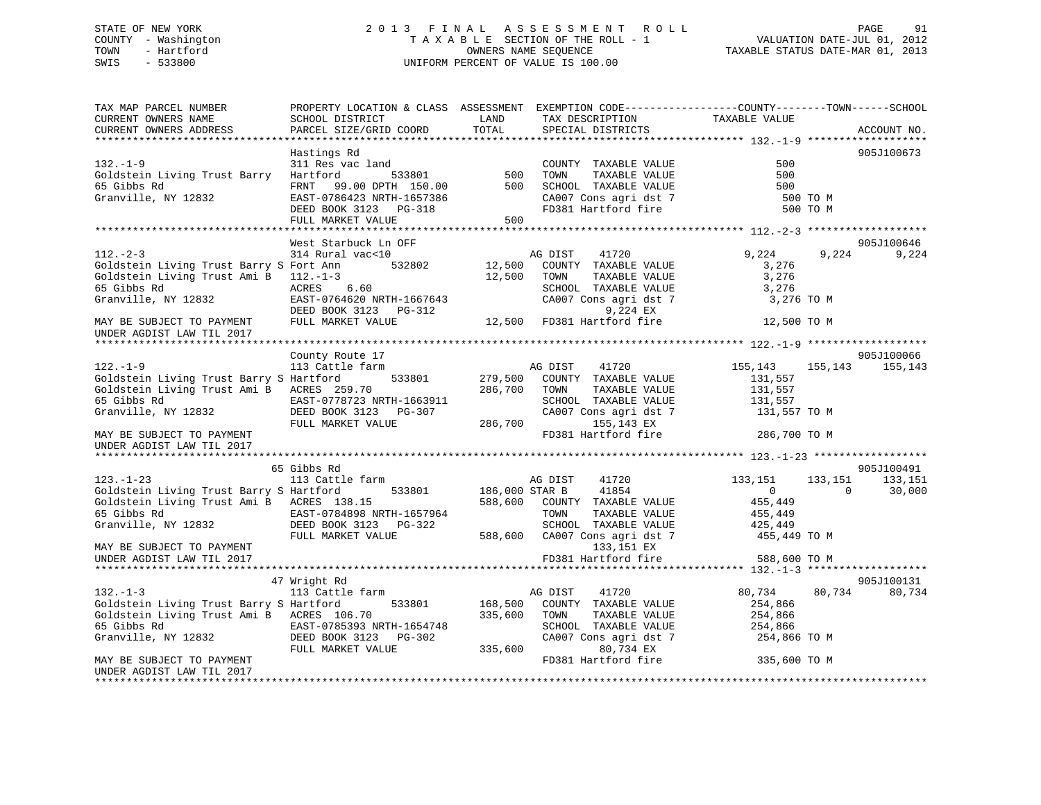# STATE OF NEW YORK 2 0 1 3 F I N A L A S S E S S M E N T R O L L PAGE 91 COUNTY - Washington T A X A B L E SECTION OF THE ROLL - 1 VALUATION DATE-JUL 01, 2012 TOWN - Hartford **TAXABLE STATUS DATE-MAR 01, 2013** SWIS - 533800 UNIFORM PERCENT OF VALUE IS 100.00

| TAX MAP PARCEL NUMBER<br>CURRENT OWNERS NAME<br>CURRENT OWNERS ADDRESS | PROPERTY LOCATION & CLASS ASSESSMENT EXEMPTION CODE---------------COUNTY-------TOWN------SCHOOL<br>SCHOOL DISTRICT<br>PARCEL SIZE/GRID COORD | LAND<br>TOTAL  | TAX DESCRIPTION<br>SPECIAL DISTRICTS                               | TAXABLE VALUE  |          | ACCOUNT NO. |
|------------------------------------------------------------------------|----------------------------------------------------------------------------------------------------------------------------------------------|----------------|--------------------------------------------------------------------|----------------|----------|-------------|
|                                                                        |                                                                                                                                              |                |                                                                    |                |          |             |
|                                                                        | Hastings Rd                                                                                                                                  |                |                                                                    |                |          | 905J100673  |
| $132. - 1 - 9$                                                         | land<br>533801 500<br>311 Res vac land                                                                                                       |                | COUNTY TAXABLE VALUE                                               | 500            |          |             |
| Goldstein Living Trust Barry Hartford                                  |                                                                                                                                              |                | TOWN<br>TAXABLE VALUE                                              | 500            |          |             |
| 65 Gibbs Rd                                                            | FRNT 99.00 DPTH 150.00 500 SCHOOL TAXABLE VALUE                                                                                              |                |                                                                    | 500            |          |             |
| Granville, NY 12832                                                    | EAST-0786423 NRTH-1657386                                                                                                                    |                | SCHOOL TAXABLE VALUE<br>CA007 Cons agri dst 7<br>ED381 Hartford of | 500 TO M       |          |             |
|                                                                        | DEED BOOK 3123 PG-318                                                                                                                        |                | FD381 Hartford fire                                                | 500 TO M       |          |             |
|                                                                        | FULL MARKET VALUE                                                                                                                            | 500            |                                                                    |                |          |             |
|                                                                        | West Starbuck Ln OFF                                                                                                                         |                |                                                                    |                |          | 905J100646  |
| $112. - 2 - 3$                                                         | 314 Rural vac<10                                                                                                                             |                | AG DIST<br>41720                                                   | 9,224          | 9,224    | 9,224       |
| Goldstein Living Trust Barry S Fort Ann                                | 532802                                                                                                                                       | 12,500         | COUNTY TAXABLE VALUE                                               | 3,276          |          |             |
| Goldstein Living Trust Ami B 112.-1-3                                  |                                                                                                                                              | 12,500         | TOWN<br>TAXABLE VALUE                                              | 3,276          |          |             |
| 65 Gibbs Rd                                                            | ACRES 6.60                                                                                                                                   |                |                                                                    | 3,276          |          |             |
| Granville, NY 12832                                                    | EAST-0764620 NRTH-1667643                                                                                                                    |                | SCHOOL TAXABLE VALUE<br>CA007 Cons agri dst 7                      | 3,276 TO M     |          |             |
|                                                                        | DEED BOOK 3123 PG-312                                                                                                                        |                | 9,224 EX                                                           |                |          |             |
| MAY BE SUBJECT TO PAYMENT                                              | FULL MARKET VALUE                                                                                                                            |                | 12,500 FD381 Hartford fire                                         | 12,500 TO M    |          |             |
| UNDER AGDIST LAW TIL 2017                                              |                                                                                                                                              |                |                                                                    |                |          |             |
|                                                                        |                                                                                                                                              |                |                                                                    |                |          |             |
|                                                                        | County Route 17                                                                                                                              |                |                                                                    |                |          | 905J100066  |
| $122. - 1 - 9$                                                         | 113 Cattle farm                                                                                                                              |                | AG DIST<br>41720                                                   | 155,143        | 155,143  | 155,143     |
| Goldstein Living Trust Barry S Hartford                                | 533801                                                                                                                                       |                | 279,500 COUNTY TAXABLE VALUE                                       | 131,557        |          |             |
| Goldstein Living Trust Ami B ACRES 259.70                              |                                                                                                                                              | 286,700        | TOWN<br>TAXABLE VALUE                                              | 131,557        |          |             |
| 65 Gibbs Rd                                                            | EAST-0778723 NRTH-1663911<br>32 DEED BOOK 3123 PG-307                                                                                        |                | SCHOOL TAXABLE VALUE                                               | 131,557        |          |             |
| Granville, NY 12832                                                    |                                                                                                                                              |                | CA007 Cons agri dst 7                                              | 131,557 TO M   |          |             |
|                                                                        | FULL MARKET VALUE                                                                                                                            | 286,700        | 155,143 EX                                                         |                |          |             |
| MAY BE SUBJECT TO PAYMENT                                              |                                                                                                                                              |                | FD381 Hartford fire                                                | 286,700 TO M   |          |             |
| UNDER AGDIST LAW TIL 2017                                              |                                                                                                                                              |                |                                                                    |                |          |             |
|                                                                        | 65 Gibbs Rd                                                                                                                                  |                |                                                                    |                |          | 905J100491  |
| $123. - 1 - 23$                                                        | 113 Cattle farm                                                                                                                              |                | AG DIST<br>41720                                                   | 133,151        | 133,151  | 133,151     |
| Goldstein Living Trust Barry S Hartford                                | 533801                                                                                                                                       | 186,000 STAR B | 41854                                                              | $\overline{0}$ | $\Omega$ | 30,000      |
| Goldstein Living Trust Ami B ACRES 138.15                              |                                                                                                                                              |                | 588,600 COUNTY TAXABLE VALUE                                       | 455,449        |          |             |
|                                                                        |                                                                                                                                              |                | TAXABLE VALUE<br>TOWN                                              | 455,449        |          |             |
|                                                                        |                                                                                                                                              |                | SCHOOL TAXABLE VALUE                                               | 425,449        |          |             |
|                                                                        | FULL MARKET VALUE                                                                                                                            |                | 588,600 CA007 Cons agri dst 7                                      | 455,449 TO M   |          |             |
| MAY BE SUBJECT TO PAYMENT                                              |                                                                                                                                              |                | 133,151 EX                                                         |                |          |             |
| UNDER AGDIST LAW TIL 2017                                              |                                                                                                                                              |                | FD381 Hartford fire                                                | 588,600 TO M   |          |             |
|                                                                        |                                                                                                                                              |                |                                                                    |                |          |             |
|                                                                        | 47 Wright Rd                                                                                                                                 |                |                                                                    |                |          | 905J100131  |
| $132 - 1 - 3$                                                          | 113 Cattle farm                                                                                                                              |                | 41720<br>AG DIST                                                   | 80,734         | 80,734   | 80,734      |
| Goldstein Living Trust Barry S Hartford                                |                                                                                                                                              |                | 533801 168,500 COUNTY TAXABLE VALUE                                | 254,866        |          |             |
| Goldstein Living Trust Ami B ACRES 106.70                              |                                                                                                                                              | 335,600        | TOWN<br>TAXABLE VALUE                                              | 254,866        |          |             |
| 65 Gibbs Rd                                                            | EAST-0785393 NRTH-1654748<br>DEED BOOK 3123 PG-302                                                                                           |                | SCHOOL TAXABLE VALUE                                               | 254,866        |          |             |
| Granville, NY 12832                                                    | FULL MARKET VALUE                                                                                                                            | 335,600        | CA007 Cons agri dst 7<br>80,734 EX                                 | 254,866 TO M   |          |             |
| MAY BE SUBJECT TO PAYMENT                                              |                                                                                                                                              |                | FD381 Hartford fire                                                | 335,600 TO M   |          |             |
| UNDER AGDIST LAW TIL 2017                                              |                                                                                                                                              |                |                                                                    |                |          |             |
|                                                                        |                                                                                                                                              |                |                                                                    |                |          |             |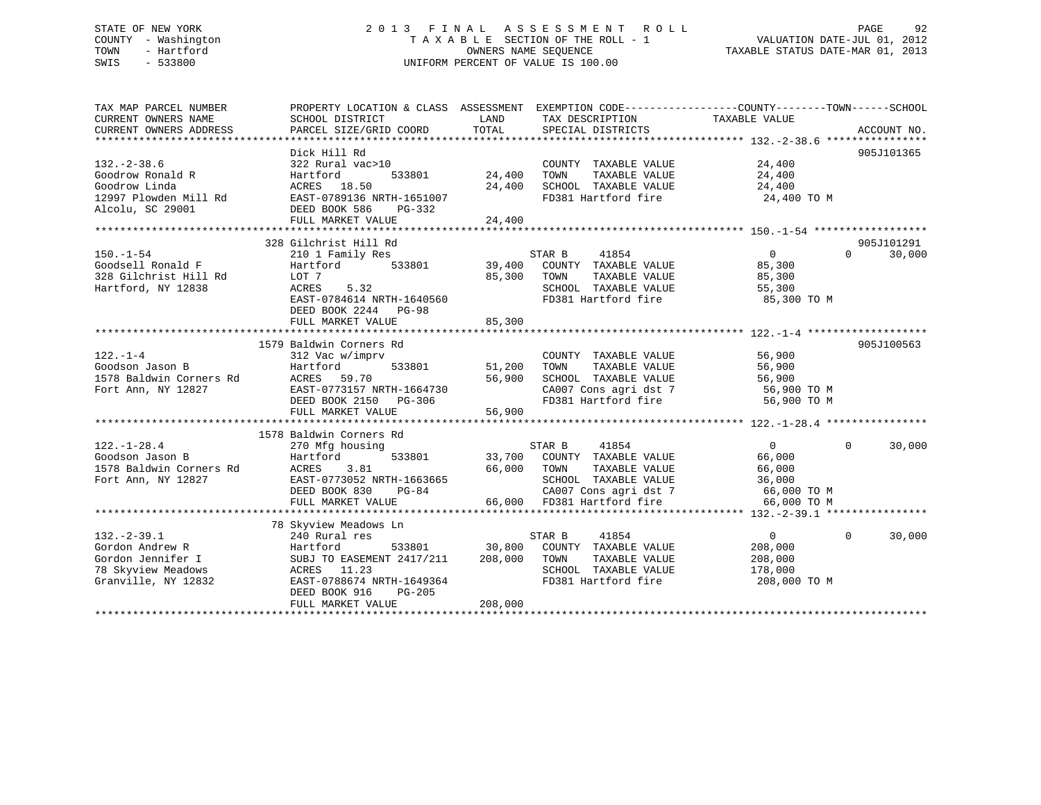# STATE OF NEW YORK 2 0 1 3 F I N A L A S S E S S M E N T R O L L PAGE 92 COUNTY - Washington T A X A B L E SECTION OF THE ROLL - 1 VALUATION DATE-JUL 01, 2012 TOWN - Hartford **TAXABLE STATUS DATE-MAR 01, 2013** OWNERS NAME SEQUENCE TAXABLE STATUS DATE-MAR 01, 2013 SWIS - 533800 UNIFORM PERCENT OF VALUE IS 100.00

| TAX MAP PARCEL NUMBER                                                                                                                          | PROPERTY LOCATION & CLASS ASSESSMENT EXEMPTION CODE---------------COUNTY-------TOWN------SCHOOL |                       |                                                                                                     |                      |                    |
|------------------------------------------------------------------------------------------------------------------------------------------------|-------------------------------------------------------------------------------------------------|-----------------------|-----------------------------------------------------------------------------------------------------|----------------------|--------------------|
|                                                                                                                                                |                                                                                                 |                       |                                                                                                     |                      |                    |
|                                                                                                                                                | Dick Hill Rd                                                                                    |                       |                                                                                                     |                      | 905J101365         |
| $132. - 2 - 38.6$                                                                                                                              | 322 Rural vac>10                                                                                |                       | COUNTY TAXABLE VALUE 24,400                                                                         |                      |                    |
| Goodrow Ronald R                                                                                                                               | Hartford                                                                                        | 533801 24,400         |                                                                                                     |                      |                    |
| Goodrow Linda                                                                                                                                  | ACRES 18.50                                                                                     | 24,400                | TOWN      TAXABLE VALUE<br>SCHOOL   TAXABLE VALUE                                                   | 24,400<br>24,400     |                    |
| 12997 Plowden Mill Rd<br>EAST-0789136 NRTH-1651007                                                                                             |                                                                                                 |                       | FD381 Hartford fire 24,400 TO M                                                                     |                      |                    |
| Alcolu, SC 29001                                                                                                                               | DEED BOOK 586<br>PG-332                                                                         |                       |                                                                                                     |                      |                    |
|                                                                                                                                                | FULL MARKET VALUE                                                                               | 24,400                |                                                                                                     |                      |                    |
|                                                                                                                                                |                                                                                                 |                       |                                                                                                     |                      |                    |
|                                                                                                                                                | 328 Gilchrist Hill Rd                                                                           |                       |                                                                                                     |                      | 905J101291         |
| $150. - 1 - 54$                                                                                                                                |                                                                                                 |                       |                                                                                                     | $\overline{0}$       | $\Omega$<br>30,000 |
|                                                                                                                                                |                                                                                                 |                       |                                                                                                     | 85,300               |                    |
| Goodsell Ronald F<br>328 Gilchrist Hill Rd                                                                                                     | LOT 7                                                                                           |                       | TAXABLE VALUE                                                                                       | 85,300               |                    |
| Hartford, NY 12838                                                                                                                             | ACRES 5.32                                                                                      | 85,300 TOWN<br>SCHOOL | SCHOOL TAXABLE VALUE 55,300                                                                         |                      |                    |
|                                                                                                                                                | EAST-0784614 NRTH-1640560                                                                       |                       | FD381 Hartford fire                                                                                 | 85,300 TO M          |                    |
|                                                                                                                                                | DEED BOOK 2244 PG-98                                                                            |                       |                                                                                                     |                      |                    |
|                                                                                                                                                | FULL MARKET VALUE                                                                               | 85,300                |                                                                                                     |                      |                    |
|                                                                                                                                                |                                                                                                 |                       |                                                                                                     |                      |                    |
|                                                                                                                                                | 1579 Baldwin Corners Rd                                                                         |                       |                                                                                                     |                      | 905J100563         |
| $122. - 1 - 4$                                                                                                                                 | 312 Vac w/imprv                                                                                 |                       | COUNTY TAXABLE VALUE                                                                                | 56,900               |                    |
|                                                                                                                                                |                                                                                                 | 533801 51,200 TOWN    | TAXABLE VALUE                                                                                       | 56,900               |                    |
|                                                                                                                                                |                                                                                                 |                       |                                                                                                     |                      |                    |
| 22.1<br>1578 Baldwin Corners Rd<br>1578 Baldwin Corners Rd<br>Fort Ann, NY 12827<br>Fort Ann, NY 12827<br>EAST-0773157 N<br>Fort Ann, NY 12827 | ACRES 59.70 56,900<br>EAST-0773157 NRTH-1664730 56,900<br>DEED BOOK 2150 PG-306                 |                       | SCHOOL TAXABLE VALUE 56,900<br>CA007 Cons agri dst 7 56,900 TO M<br>FD381 Hartford fire 56,900 TO M |                      |                    |
|                                                                                                                                                |                                                                                                 |                       |                                                                                                     |                      |                    |
|                                                                                                                                                | FULL MARKET VALUE                                                                               | 56,900                |                                                                                                     |                      |                    |
|                                                                                                                                                |                                                                                                 |                       |                                                                                                     |                      |                    |
|                                                                                                                                                | 1578 Baldwin Corners Rd                                                                         |                       |                                                                                                     |                      |                    |
| $122. - 1 - 28.4$                                                                                                                              | 270 Mfg housing                                                                                 |                       |                                                                                                     | $\overline{0}$       | $\Omega$<br>30,000 |
| 270 Mtg n<br>Hartford<br>Goodson Jason B                                                                                                       |                                                                                                 |                       | STAR B 41854<br>533801 33,700 COUNTY TAXABLE VALUE                                                  | 66,000               |                    |
|                                                                                                                                                |                                                                                                 | 66,000 TOWN           | TAXABLE VALUE                                                                                       |                      |                    |
|                                                                                                                                                | EAST-0773052 NRTH-1663665                                                                       |                       | SCHOOL TAXABLE VALUE                                                                                | $66,000$<br>$36,000$ |                    |
|                                                                                                                                                | RTH-1663665<br>PG-84<br>DEED BOOK 830                                                           |                       | CA007 Cons agri dst 7 66,000 TO M                                                                   |                      |                    |
|                                                                                                                                                | FULL MARKET VALUE                                                                               |                       | 66,000 FD381 Hartford fire                                                                          | 66,000 TO M          |                    |
|                                                                                                                                                |                                                                                                 |                       |                                                                                                     |                      |                    |
|                                                                                                                                                | 78 Skyview Meadows Ln                                                                           |                       |                                                                                                     |                      |                    |
| $132. - 2 - 39.1$                                                                                                                              | 240 Rural res                                                                                   |                       | STAR B 41854                                                                                        | $\Omega$             | $\Omega$<br>30,000 |
| Gordon Andrew R                                                                                                                                | Hartford                                                                                        |                       | 533801 30,800 COUNTY TAXABLE VALUE                                                                  | 208,000              |                    |
|                                                                                                                                                | SUBJ TO EASEMENT 2417/211 208,000 TOWN                                                          |                       | TAXABLE VALUE                                                                                       | 208,000              |                    |
| Gordon Anuity<br>Gordon Jennifer I<br>The Meddows                                                                                              | ACRES 11.23                                                                                     |                       | SCHOOL TAXABLE VALUE                                                                                | 178,000              |                    |
| Granville, NY 12832                                                                                                                            | EAST-0788674 NRTH-1649364                                                                       |                       | FD381 Hartford fire 208,000 TO M                                                                    |                      |                    |
|                                                                                                                                                | DEED BOOK 916<br>PG-205                                                                         |                       |                                                                                                     |                      |                    |
|                                                                                                                                                | FULL MARKET VALUE                                                                               | 208,000               |                                                                                                     |                      |                    |
|                                                                                                                                                |                                                                                                 |                       |                                                                                                     |                      |                    |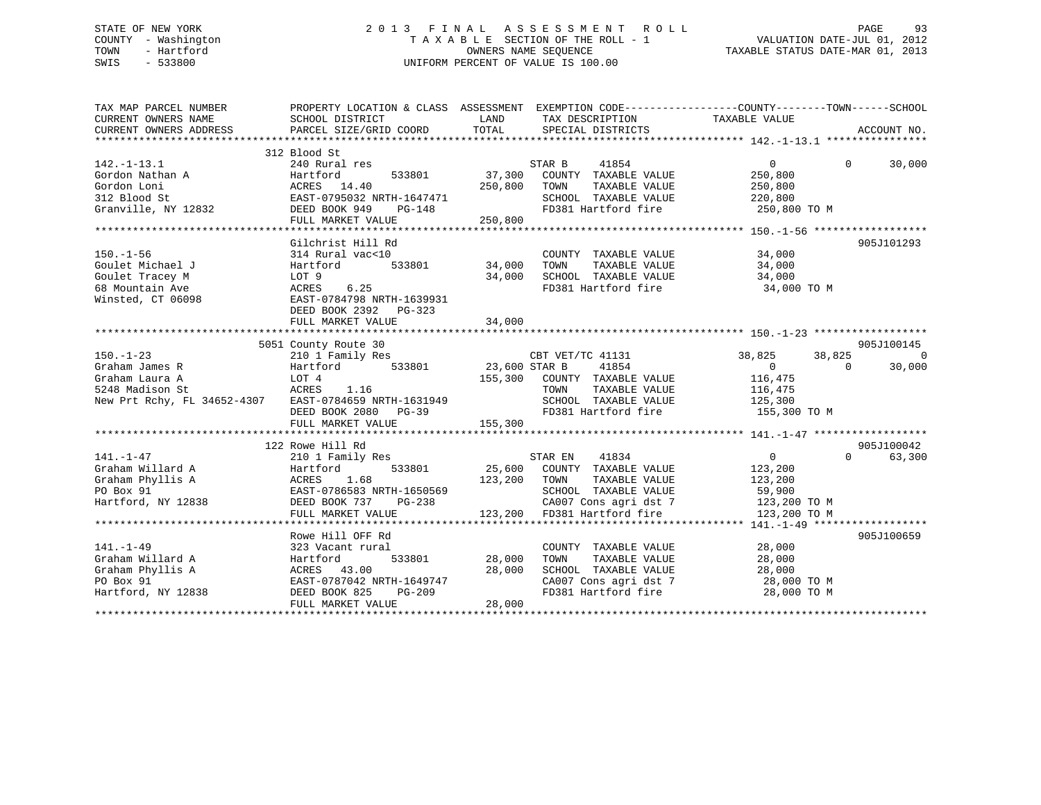# STATE OF NEW YORK 2 0 1 3 F I N A L A S S E S S M E N T R O L L PAGE 93 COUNTY - Washington T A X A B L E SECTION OF THE ROLL - 1 VALUATION DATE-JUL 01, 2012 TOWN - Hartford **TAXABLE STATUS DATE-MAR 01, 2013** OWNERS NAME SEQUENCE TAXABLE STATUS DATE-MAR 01, 2013 SWIS - 533800 UNIFORM PERCENT OF VALUE IS 100.00

| TAX MAP PARCEL NUMBER<br>CURRENT OWNERS NAME          | SCHOOL DISTRICT                         | LAND          | TAX DESCRIPTION                                   | PROPERTY LOCATION & CLASS ASSESSMENT EXEMPTION CODE----------------COUNTY-------TOWN------SCHOOL<br>TAXABLE VALUE |                |
|-------------------------------------------------------|-----------------------------------------|---------------|---------------------------------------------------|-------------------------------------------------------------------------------------------------------------------|----------------|
| CURRENT OWNERS ADDRESS                                | PARCEL SIZE/GRID COORD                  | TOTAL         | SPECIAL DISTRICTS                                 |                                                                                                                   | ACCOUNT NO.    |
|                                                       |                                         |               |                                                   |                                                                                                                   |                |
| $142. - 1 - 13.1$                                     | 312 Blood St<br>240 Rural res           |               | STAR B<br>41854                                   | $\Omega$<br>$\Omega$                                                                                              | 30,000         |
| Gordon Nathan A                                       | Hartford<br>533801                      | 37,300        | COUNTY TAXABLE VALUE                              | 250,800                                                                                                           |                |
| Gordon Loni                                           | ACRES 14.40                             | 250,800       | TOWN<br>TAXABLE VALUE                             | 250,800                                                                                                           |                |
| 312 Blood St                                          |                                         |               | SCHOOL TAXABLE VALUE                              |                                                                                                                   |                |
| Granville, NY 12832                                   |                                         |               | FD381 Hartford fire                               | 220,800<br>250,800 TO M                                                                                           |                |
|                                                       |                                         |               |                                                   |                                                                                                                   |                |
|                                                       | FULL MARKET VALUE                       | 250,800       |                                                   |                                                                                                                   |                |
|                                                       |                                         |               |                                                   |                                                                                                                   |                |
|                                                       | Gilchrist Hill Rd                       |               |                                                   |                                                                                                                   | 905J101293     |
| $150. - 1 - 56$                                       | 314 Rural vac<10                        |               | COUNTY TAXABLE VALUE                              | 34,000                                                                                                            |                |
| Goulet Michael J                                      | 533801<br>Hartford                      | 34,000        | TOWN      TAXABLE VALUE<br>SCHOOL   TAXABLE VALUE | 34,000<br>34,000                                                                                                  |                |
| Goulet Tracey M                                       | LOT 9                                   | 34,000        |                                                   |                                                                                                                   |                |
| 68 Mountain Ave                                       | 6.25<br>ACRES                           |               |                                                   | FD381 Hartford fire 34,000 TO M                                                                                   |                |
| Winsted, CT 06098                                     | EAST-0784798 NRTH-1639931               |               |                                                   |                                                                                                                   |                |
|                                                       | DEED BOOK 2392 PG-323                   |               |                                                   |                                                                                                                   |                |
|                                                       | FULL MARKET VALUE                       | 34,000        |                                                   |                                                                                                                   |                |
|                                                       |                                         |               |                                                   |                                                                                                                   |                |
|                                                       | 5051 County Route 30                    |               |                                                   |                                                                                                                   | 905J100145     |
| $150. - 1 - 23$                                       | 210 1 Family Res                        |               | CBT VET/TC 41131                                  | 38,825<br>38,825                                                                                                  | $\overline{0}$ |
| Graham James R                                        | Hartford 533801                         | 23,600 STAR B | 41854                                             | $\overline{0}$<br>$\Omega$                                                                                        | 30,000         |
| Graham Laura A                                        | LOT 4                                   |               | 155,300 COUNTY TAXABLE VALUE                      | 116,475                                                                                                           |                |
| 5248 Madison St                                       | ACRES<br>1.16                           |               | TOWN      TAXABLE VALUE<br>SCHOOL   TAXABLE VALUE | 116,475<br>125,300                                                                                                |                |
| New Prt Rchy, FL 34652-4307 EAST-0784659 NRTH-1631949 |                                         |               |                                                   |                                                                                                                   |                |
|                                                       | DEED BOOK 2080 PG-39                    |               |                                                   | FD381 Hartford fire 155,300 TO M                                                                                  |                |
|                                                       |                                         |               |                                                   |                                                                                                                   |                |
|                                                       |                                         |               |                                                   |                                                                                                                   |                |
|                                                       | 122 Rowe Hill Rd                        |               |                                                   |                                                                                                                   | 905J100042     |
| $141. - 1 - 47$                                       | 210 1 Family Res                        |               | STAR EN<br>41834                                  | $\overline{0}$<br>$\Omega$                                                                                        | 63,300         |
| Graham Willard A                                      | Hartford                                |               | 533801 25,600 COUNTY TAXABLE VALUE                | 123,200                                                                                                           |                |
| Graham Phyllis A                                      |                                         | 123,200 TOWN  | TAXABLE VALUE                                     | 123,200                                                                                                           |                |
| PO Box 91                                             | ACRES 1.68<br>EAST-0786583 NRTH-1650569 |               | SCHOOL TAXABLE VALUE                              | 59,900                                                                                                            |                |
| Hartford, NY 12838                                    | DEED BOOK 737<br>PG-238                 |               | CA007 Cons agri dst 7 123,200 TO M                |                                                                                                                   |                |
|                                                       | FULL MARKET VALUE                       |               | 123,200 FD381 Hartford fire                       | 123,200 TO M                                                                                                      |                |
|                                                       |                                         |               |                                                   |                                                                                                                   |                |
|                                                       | Rowe Hill OFF Rd                        |               |                                                   |                                                                                                                   | 905J100659     |
| $141. - 1 - 49$                                       | 323 Vacant rural                        |               | COUNTY TAXABLE VALUE                              | 28,000                                                                                                            |                |
| Graham Willard A                                      | 533801<br>Hartford                      | 28,000        | TOWN<br>TAXABLE VALUE                             | 28,000                                                                                                            |                |
| Graham Phyllis A                                      | ACRES 43.00                             | 28,000        | SCHOOL TAXABLE VALUE                              |                                                                                                                   |                |
| PO Box 91                                             | EAST-0787042 NRTH-1649747               |               |                                                   |                                                                                                                   |                |
| Hartford, NY 12838                                    | DEED BOOK 825<br>PG-209                 |               | CA007 Cons agri dst 7<br>FD381 Hartford fire      | 28, UU<br>28, 000 TO M<br>200 TO M<br>28,000 TO M                                                                 |                |
|                                                       | FULL MARKET VALUE                       | 28,000        |                                                   |                                                                                                                   |                |
|                                                       |                                         |               |                                                   |                                                                                                                   |                |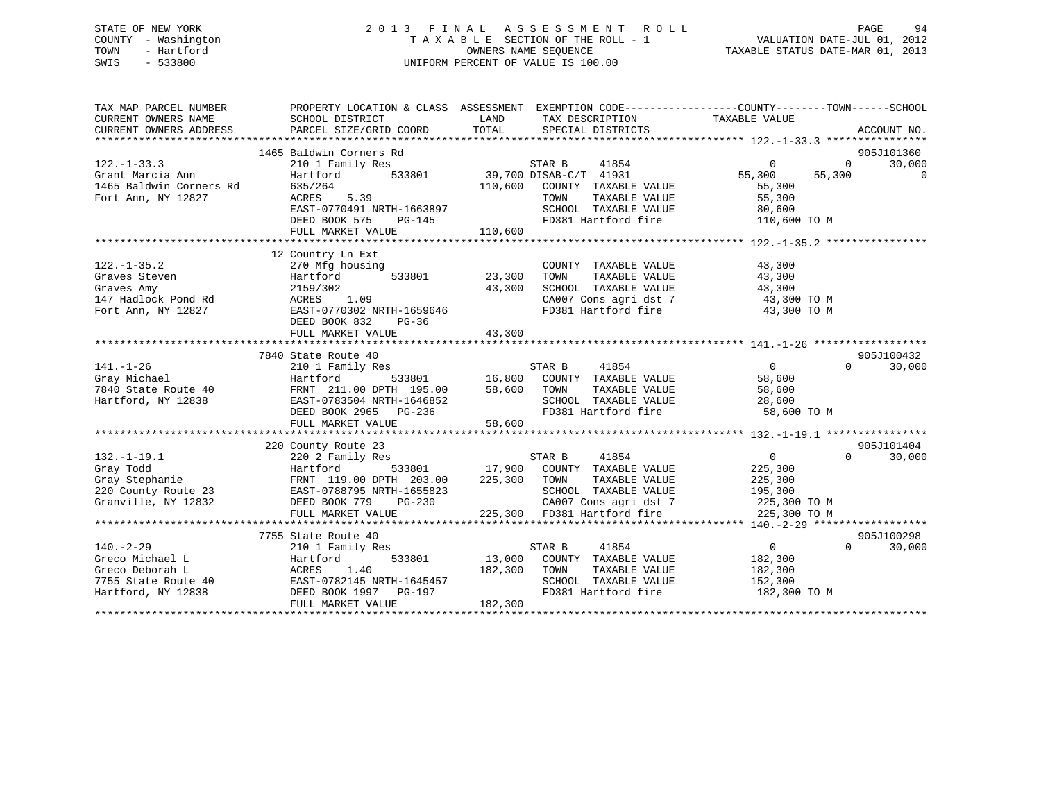# STATE OF NEW YORK 2 0 1 3 F I N A L A S S E S S M E N T R O L L PAGE 94 COUNTY - Washington T A X A B L E SECTION OF THE ROLL - 1 VALUATION DATE-JUL 01, 2012 TOWN - Hartford **TAXABLE STATUS DATE-MAR 01, 2013** OWNERS NAME SEQUENCE TAXABLE STATUS DATE-MAR 01, 2013 SWIS - 533800 UNIFORM PERCENT OF VALUE IS 100.00

| TAX MAP PARCEL NUMBER<br>CURRENT OWNERS NAME<br>CURRENT OWNERS ADDRESS | PROPERTY LOCATION & CLASS ASSESSMENT EXEMPTION CODE---------------COUNTY-------TOWN------SCHOOL<br>SCHOOL DISTRICT<br>PARCEL SIZE/GRID COORD | LAND<br>TOTAL | TAX DESCRIPTION<br>SPECIAL DISTRICTS | TAXABLE VALUE              | ACCOUNT NO.        |
|------------------------------------------------------------------------|----------------------------------------------------------------------------------------------------------------------------------------------|---------------|--------------------------------------|----------------------------|--------------------|
|                                                                        |                                                                                                                                              |               |                                      |                            |                    |
|                                                                        | 1465 Baldwin Corners Rd                                                                                                                      |               |                                      |                            | 905J101360         |
| $122. - 1 - 33.3$                                                      | 210 1 Family Res                                                                                                                             |               | STAR B<br>41854                      | $\overline{0}$<br>$\Omega$ | 30,000             |
| Grant Marcia Ann                                                       | Hartford<br>533801                                                                                                                           |               | 39,700 DISAB-C/T 41931               | 55,300<br>55,300           | $\mathbf 0$        |
| 1465 Baldwin Corners Rd                                                | 635/264                                                                                                                                      | 110,600       | COUNTY TAXABLE VALUE                 | 55,300                     |                    |
| Fort Ann, NY 12827                                                     | 5.39<br>ACRES                                                                                                                                |               | TOWN<br>TAXABLE VALUE                | 55,300                     |                    |
|                                                                        | EAST-0770491 NRTH-1663897                                                                                                                    |               | SCHOOL TAXABLE VALUE                 | 80,600                     |                    |
|                                                                        | DEED BOOK 575<br>PG-145                                                                                                                      |               | FD381 Hartford fire                  | 110,600 TO M               |                    |
|                                                                        | FULL MARKET VALUE                                                                                                                            | 110,600       |                                      |                            |                    |
|                                                                        |                                                                                                                                              |               |                                      |                            |                    |
|                                                                        | 12 Country Ln Ext                                                                                                                            |               |                                      |                            |                    |
| $122. - 1 - 35.2$                                                      | 270 Mfg housing                                                                                                                              |               | COUNTY TAXABLE VALUE                 | 43,300                     |                    |
| Graves Steven                                                          | 533801<br>Hartford                                                                                                                           | 23,300        | TOWN<br>TAXABLE VALUE                | 43,300                     |                    |
| Graves Amy                                                             | 2159/302                                                                                                                                     | 43,300        | SCHOOL TAXABLE VALUE                 | 43,300                     |                    |
| 147 Hadlock Pond Rd                                                    | ACRES 1.09                                                                                                                                   |               | CA007 Cons agri dst 7                | 43,300 TO M                |                    |
| Fort Ann, NY 12827                                                     | EAST-0770302 NRTH-1659646                                                                                                                    |               | FD381 Hartford fire                  | 43,300 TO M                |                    |
|                                                                        | DEED BOOK 832<br>PG-36                                                                                                                       |               |                                      |                            |                    |
|                                                                        | FULL MARKET VALUE                                                                                                                            | 43,300        |                                      |                            |                    |
|                                                                        |                                                                                                                                              |               |                                      |                            |                    |
|                                                                        | 7840 State Route 40                                                                                                                          |               |                                      |                            | 905J100432         |
| $141. - 1 - 26$                                                        | 210 1 Family Res                                                                                                                             |               | 41854<br>STAR B                      | $\overline{0}$<br>$\cap$   | 30,000             |
| Gray Michael                                                           | Hartford                                                                                                                                     |               | 533801 16,800 COUNTY TAXABLE VALUE   | 58,600                     |                    |
| 7840 State Route 40                                                    | FRNT 211.00 DPTH 195.00 58,600 TOWN                                                                                                          |               | TAXABLE VALUE                        | 58,600                     |                    |
| Hartford, NY 12838                                                     | EAST-0783504 NRTH-1646852                                                                                                                    |               | SCHOOL TAXABLE VALUE                 | 28,600                     |                    |
|                                                                        | DEED BOOK 2965 PG-236                                                                                                                        |               | FD381 Hartford fire                  | 58,600 TO M                |                    |
|                                                                        |                                                                                                                                              |               |                                      |                            |                    |
|                                                                        |                                                                                                                                              |               |                                      |                            |                    |
|                                                                        | 220 County Route 23                                                                                                                          |               |                                      |                            | 905J101404         |
| $132. - 1 - 19.1$                                                      | 220 2 Family Res                                                                                                                             |               | STAR B<br>41854                      | $\overline{0}$             | 30,000<br>$\Omega$ |
| Gray Todd                                                              | Hartford                                                                                                                                     | 533801 17,900 | COUNTY TAXABLE VALUE                 | 225,300                    |                    |
| Gray Stephanie                                                         | FRNT 119.00 DPTH 203.00                                                                                                                      | 225,300       | TOWN<br>TAXABLE VALUE                | 225,300                    |                    |
| 220 County Route 23                                                    | EAST-0788795 NRTH-1655823                                                                                                                    |               | SCHOOL TAXABLE VALUE                 | 195,300                    |                    |
| Granville, NY 12832                                                    | DEED BOOK 779<br>PG-230                                                                                                                      |               | CA007 Cons agri dst 7                | 225,300 TO M               |                    |
|                                                                        | FULL MARKET VALUE                                                                                                                            |               | 225,300 FD381 Hartford fire          | 225,300 TO M               |                    |
|                                                                        |                                                                                                                                              |               |                                      |                            |                    |
|                                                                        | 7755 State Route 40                                                                                                                          |               |                                      |                            | 905J100298         |
| $140. - 2 - 29$                                                        | 210 1 Family Res                                                                                                                             |               | STAR B<br>41854                      | $\overline{0}$             | $\Omega$<br>30,000 |
| Greco Michael L                                                        | 533801<br>Hartford                                                                                                                           |               | 13,000 COUNTY TAXABLE VALUE          | 182,300                    |                    |
| Greco Deborah L                                                        | ACRES 1.40                                                                                                                                   | 182,300       | TOWN<br>TAXABLE VALUE                | 182,300                    |                    |
| 7755 State Route 40                                                    | EAST-0782145 NRTH-1645457                                                                                                                    |               | SCHOOL TAXABLE VALUE                 | 152,300                    |                    |
| Hartford, NY 12838                                                     | DEED BOOK 1997    PG-197                                                                                                                     |               | FD381 Hartford fire                  | 182,300 TO M               |                    |
|                                                                        | FULL MARKET VALUE                                                                                                                            | 182,300       |                                      |                            |                    |
|                                                                        |                                                                                                                                              |               |                                      |                            |                    |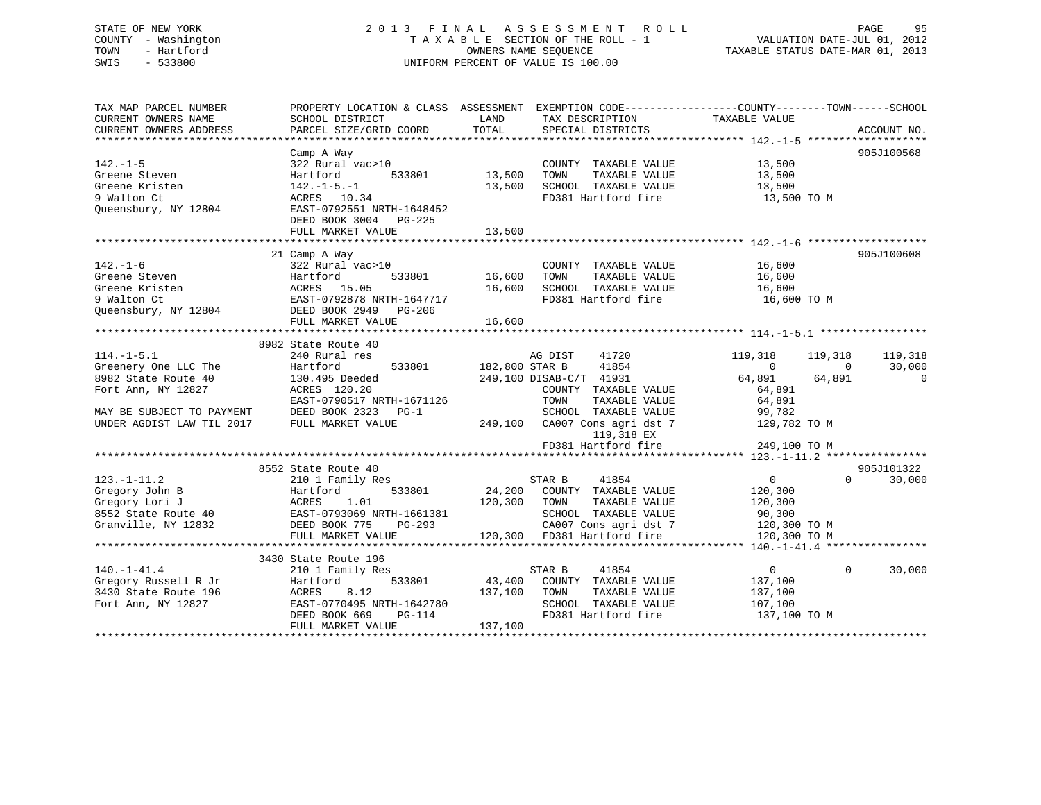# STATE OF NEW YORK 2 0 1 3 F I N A L A S S E S S M E N T R O L L PAGE 95 COUNTY - Washington T A X A B L E SECTION OF THE ROLL - 1 VALUATION DATE-JUL 01, 2012 TOWN - Hartford **TAXABLE STATUS DATE-MAR 01, 2013** OWNERS NAME SEQUENCE TAXABLE STATUS DATE-MAR 01, 2013 SWIS - 533800 UNIFORM PERCENT OF VALUE IS 100.00

| TAX MAP PARCEL NUMBER<br>CURRENT OWNERS NAME<br>CURRENT OWNERS ADDRESS | SCHOOL DISTRICT<br>PARCEL SIZE/GRID COORD                                                                                                            | PROPERTY LOCATION & CLASS ASSESSMENT EXEMPTION CODE----------------COUNTY-------TOWN------SCHOOL<br>LAND<br>TAX DESCRIPTION<br>TOTAL<br>SPECIAL DISTRICTS | TAXABLE VALUE<br>ACCOUNT NO.               |
|------------------------------------------------------------------------|------------------------------------------------------------------------------------------------------------------------------------------------------|-----------------------------------------------------------------------------------------------------------------------------------------------------------|--------------------------------------------|
|                                                                        |                                                                                                                                                      |                                                                                                                                                           |                                            |
|                                                                        | Camp A Way                                                                                                                                           |                                                                                                                                                           | 905J100568                                 |
| $142. - 1 - 5$                                                         | 322 Rural vac>10                                                                                                                                     | COUNTY TAXABLE VALUE                                                                                                                                      | 13,500                                     |
| Greene Steven                                                          | 533801<br>Hartford                                                                                                                                   | 13,500<br>TAXABLE VALUE<br>TOWN                                                                                                                           | 13,500                                     |
| Greene Kristen                                                         | $142. - 1 - 5. - 1$                                                                                                                                  | SCHOOL TAXABLE VALUE 13,500<br>13,500                                                                                                                     |                                            |
| 9 Walton Ct                                                            | $\text{ACRES}$ 10.34                                                                                                                                 | FD381 Hartford fire                                                                                                                                       | 13,500 TO M                                |
|                                                                        | Queensbury, NY 12804 EAST-0792551 NRTH-1648452                                                                                                       |                                                                                                                                                           |                                            |
|                                                                        | DEED BOOK 3004 PG-225                                                                                                                                |                                                                                                                                                           |                                            |
|                                                                        | FULL MARKET VALUE                                                                                                                                    | 13,500                                                                                                                                                    |                                            |
|                                                                        |                                                                                                                                                      |                                                                                                                                                           |                                            |
|                                                                        | 21 Camp A Way                                                                                                                                        |                                                                                                                                                           | 905J100608                                 |
| $142. - 1 - 6$                                                         | 322 Rural vac>10                                                                                                                                     | COUNTY TAXABLE VALUE                                                                                                                                      | 16,600<br>16,600                           |
| Greene Steven                                                          | Hartford                                                                                                                                             | 533801 16,600<br>TOWN<br>TAXABLE VALUE                                                                                                                    |                                            |
|                                                                        |                                                                                                                                                      | 16,600<br>SCHOOL TAXABLE VALUE                                                                                                                            | 16,600                                     |
|                                                                        |                                                                                                                                                      | FD381 Hartford fire                                                                                                                                       | 16,600 TO M                                |
|                                                                        | Greene Kristen<br>9 Walton Ct 2010 15.05<br>9 Walton Ct 2010 16.05<br>2021 202378 NRTH-1647717<br>2021 202378 NRTH-1647717<br>2021 2023879 2024 2025 |                                                                                                                                                           |                                            |
|                                                                        |                                                                                                                                                      |                                                                                                                                                           |                                            |
|                                                                        |                                                                                                                                                      |                                                                                                                                                           |                                            |
|                                                                        | 8982 State Route 40                                                                                                                                  |                                                                                                                                                           |                                            |
| $114. - 1 - 5.1$                                                       | 240 Rural res                                                                                                                                        | AG DIST<br>41720                                                                                                                                          | 119,318<br>119,318<br>119,318              |
| Greenery One LLC The                                                   | Hartronu<br>130.495 Deeded<br>100.20                                                                                                                 | 533801 182,800 STAR B<br>41854                                                                                                                            | $\overline{0}$<br>$\overline{0}$<br>30,000 |
| 8982 State Route 40                                                    |                                                                                                                                                      | 249,100 DISAB-C/T 41931                                                                                                                                   | 64,891<br>64,891<br>$\overline{0}$         |
| Fort Ann, NY 12827                                                     | ACRES 120.20                                                                                                                                         | COUNTY TAXABLE VALUE                                                                                                                                      | 64,891                                     |
|                                                                        | EAST-0790517 NRTH-1671126                                                                                                                            | TOWN<br>TAXABLE VALUE                                                                                                                                     | 64,891                                     |
| MAY BE SUBJECT TO PAYMENT                                              | DEED BOOK 2323 PG-1                                                                                                                                  | SCHOOL TAXABLE VALUE                                                                                                                                      | 99,782                                     |
| UNDER AGDIST LAW TIL 2017                                              | FULL MARKET VALUE                                                                                                                                    | 249,100 CA007 Cons agri dst 7                                                                                                                             | 129,782 TO M                               |
|                                                                        |                                                                                                                                                      | 119,318 EX                                                                                                                                                |                                            |
|                                                                        |                                                                                                                                                      | FD381 Hartford fire                                                                                                                                       | 249,100 TO M                               |
|                                                                        |                                                                                                                                                      |                                                                                                                                                           |                                            |
|                                                                        | 8552 State Route 40                                                                                                                                  |                                                                                                                                                           | 905J101322                                 |
| $123. - 1 - 11.2$                                                      | 210 1 Family Res                                                                                                                                     | STAR B<br>41854                                                                                                                                           | $\overline{0}$<br>$\Omega$<br>30,000       |
|                                                                        | 123.-1-11.2<br>Gregory John B<br>Gregory Lori J<br>8552 State Route 40<br>Granville, NY 12832<br>THE BOOK 775 PG-293<br>PEED BOOK 775 PG-293         | 533801 24,200 COUNTY TAXABLE VALUE                                                                                                                        | 120,300                                    |
|                                                                        |                                                                                                                                                      | 120,300 TOWN<br>TAXABLE VALUE                                                                                                                             | 120,300                                    |
|                                                                        |                                                                                                                                                      | SCHOOL TAXABLE VALUE 90,300                                                                                                                               |                                            |
|                                                                        |                                                                                                                                                      |                                                                                                                                                           |                                            |
|                                                                        | FULL MARKET VALUE                                                                                                                                    |                                                                                                                                                           |                                            |
|                                                                        |                                                                                                                                                      |                                                                                                                                                           |                                            |
| $140. - 1 - 41.4$                                                      | 3430 State Route 196<br>210 1 Family Res                                                                                                             | 41854                                                                                                                                                     | $\Omega$<br>$\overline{0}$<br>30,000       |
|                                                                        |                                                                                                                                                      | STAR B<br>533801 43,400 COUNTY TAXABLE VALUE                                                                                                              |                                            |
| Gregory Russell R Jr<br>3430 State Route 196                           | Hartford<br>ACRES<br>8.12                                                                                                                            | 137,100<br>TOWN<br>TAXABLE VALUE                                                                                                                          | 137,100                                    |
|                                                                        | EAST-0770495 NRTH-1642780                                                                                                                            | SCHOOL TAXABLE VALUE                                                                                                                                      | 137,100                                    |
| Fort Ann, NY 12827                                                     | <sup>H-1642780</sup><br>PG-114<br>DEED BOOK 669                                                                                                      | FD381 Hartford fire                                                                                                                                       | 107,100                                    |
|                                                                        | FULL MARKET VALUE                                                                                                                                    | 137,100                                                                                                                                                   | 137,100 TO M                               |
|                                                                        |                                                                                                                                                      |                                                                                                                                                           |                                            |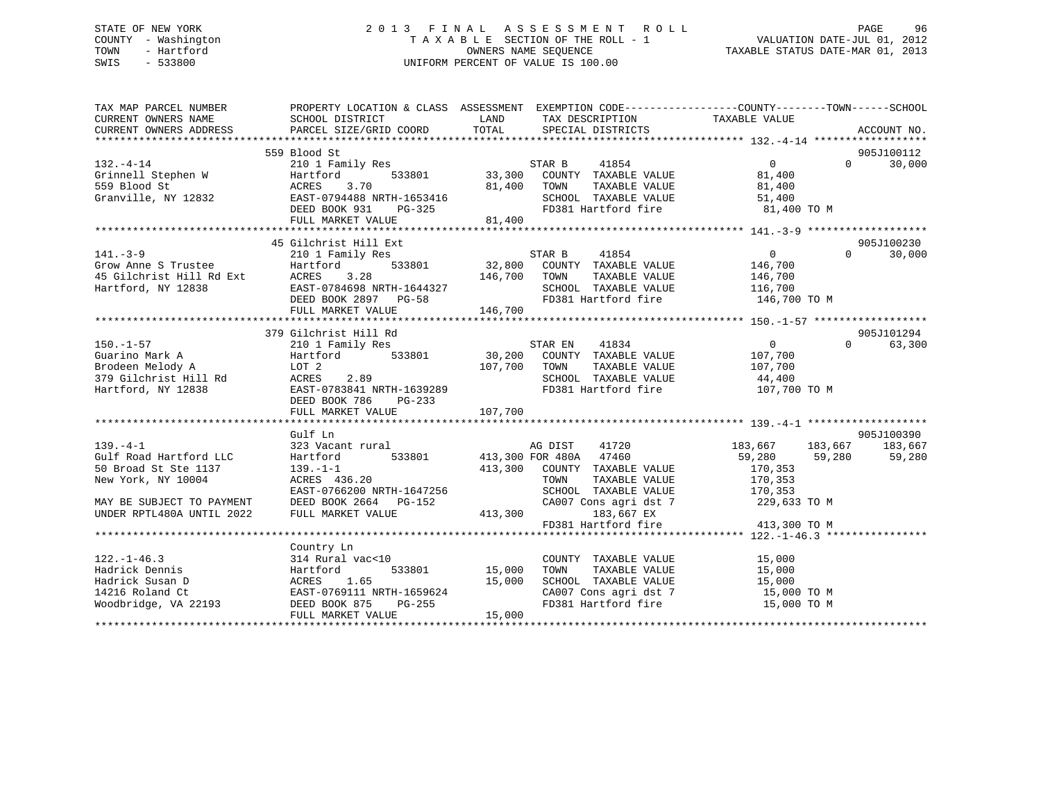# STATE OF NEW YORK 2 0 1 3 F I N A L A S S E S S M E N T R O L L PAGE 96 COUNTY - Washington T A X A B L E SECTION OF THE ROLL - 1 VALUATION DATE-JUL 01, 2012 TOWN - Hartford OWNERS NAME SEQUENCE TAXABLE STATUS DATE-MAR 01, 2013 SWIS - 533800 UNIFORM PERCENT OF VALUE IS 100.00

| TAX MAP PARCEL NUMBER<br>CURRENT OWNERS NAME<br>CURRENT OWNERS ADDRESS | PROPERTY LOCATION & CLASS ASSESSMENT EXEMPTION CODE----------------COUNTY-------TOWN-----SCHOOL<br>SCHOOL DISTRICT<br>PARCEL SIZE/GRID COORD | LAND<br>TOTAL | TAX DESCRIPTION<br>SPECIAL DISTRICTS       | TAXABLE VALUE      | ACCOUNT NO.        |
|------------------------------------------------------------------------|----------------------------------------------------------------------------------------------------------------------------------------------|---------------|--------------------------------------------|--------------------|--------------------|
|                                                                        |                                                                                                                                              |               |                                            |                    |                    |
|                                                                        | 559 Blood St                                                                                                                                 |               |                                            |                    | 905J100112         |
| $132. - 4 - 14$                                                        | 210 1 Family Res                                                                                                                             |               | STAR B<br>41854                            | $\overline{0}$     | 30,000<br>$\Omega$ |
| Grinnell Stephen W                                                     | Hartford<br>533801                                                                                                                           |               | 33,300 COUNTY TAXABLE VALUE                | 81,400             |                    |
| 559 Blood St                                                           | 3.70<br>ACRES                                                                                                                                | 81,400        | TOWN<br>TAXABLE VALUE                      | 81,400             |                    |
| Granville, NY 12832                                                    | EAST-0794488 NRTH-1653416                                                                                                                    |               | SCHOOL TAXABLE VALUE                       | 51,400             |                    |
|                                                                        | DEED BOOK 931 PG-325                                                                                                                         |               | FD381 Hartford fire<br>FD381 Hartford fire | 81,400 TO M        |                    |
|                                                                        | FULL MARKET VALUE                                                                                                                            | 81,400        |                                            |                    |                    |
|                                                                        |                                                                                                                                              |               |                                            |                    |                    |
|                                                                        | 45 Gilchrist Hill Ext                                                                                                                        |               |                                            |                    | 905J100230         |
| $141. - 3 - 9$                                                         | 210 1 Family Res                                                                                                                             |               | STAR B<br>41854                            | $\overline{0}$     | 30,000<br>$\Omega$ |
| Grow Anne S Trustee                                                    | 533801<br>Hartford                                                                                                                           |               | 32,800 COUNTY TAXABLE VALUE                | 146,700            |                    |
| 45 Gilchrist Hill Rd Ext<br>Hartford, NY 12838                         | 3.28<br>ACRES                                                                                                                                | 146,700       | TOWN<br>TAXABLE VALUE                      | 146,700            |                    |
| Hartford, NY 12838                                                     | EAST-0784698 NRTH-1644327                                                                                                                    |               | SCHOOL TAXABLE VALUE                       | 116,700            |                    |
|                                                                        | DEED BOOK 2897 PG-58                                                                                                                         |               | FD381 Hartford fire 146,700 TO M           |                    |                    |
|                                                                        | FULL MARKET VALUE                                                                                                                            | 146,700       |                                            |                    |                    |
|                                                                        |                                                                                                                                              |               |                                            |                    |                    |
|                                                                        | 379 Gilchrist Hill Rd                                                                                                                        |               |                                            |                    | 905J101294         |
| $150. - 1 - 57$                                                        | 210 1 Family Res                                                                                                                             |               | STAR EN<br>41834                           | $\overline{0}$     | $\Omega$<br>63,300 |
| Guarino Mark A                                                         | 533801<br>Hartford                                                                                                                           |               | 30,200 COUNTY TAXABLE VALUE                | 107,700            |                    |
| Brodeen Melody A                                                       | LOT 2                                                                                                                                        | 107,700 TOWN  | TAXABLE VALUE                              | 107,700            |                    |
| 379 Gilchrist Hill Rd                                                  | ACRES<br>2.89                                                                                                                                |               | SCHOOL TAXABLE VALUE                       | 44,400             |                    |
| Hartford, NY 12838                                                     | EAST-0783841 NRTH-1639289                                                                                                                    |               | FD381 Hartford fire                        | 107,700 TO M       |                    |
|                                                                        | DEED BOOK 786<br>PG-233                                                                                                                      |               |                                            |                    |                    |
|                                                                        |                                                                                                                                              |               |                                            |                    |                    |
|                                                                        |                                                                                                                                              |               |                                            |                    |                    |
|                                                                        | Gulf Ln                                                                                                                                      |               |                                            |                    | 905J100390         |
| $139. -4 - 1$                                                          | 323 Vacant rural                                                                                                                             |               | AG DIST<br>41720                           | 183,667<br>183,667 | 183,667            |
| Gulf Road Hartford LLC                                                 | Hartford<br>533801                                                                                                                           |               | 413,300 FOR 480A 47460                     | 59,280<br>59,280   | 59,280             |
| 50 Broad St Ste 1137                                                   | $139. - 1 - 1$                                                                                                                               | 413,300       | COUNTY TAXABLE VALUE                       | 170,353            |                    |
| New York, NY 10004                                                     | ACRES 436.20                                                                                                                                 |               | TOWN<br>TAXABLE VALUE                      | 170,353            |                    |
|                                                                        | EAST-0766200 NRTH-1647256                                                                                                                    |               | SCHOOL TAXABLE VALUE                       | 170,353            |                    |
| MAY BE SUBJECT TO PAYMENT                                              | DEED BOOK 2664 PG-152                                                                                                                        |               | CA007 Cons agri dst 7                      | 229,633 TO M       |                    |
| UNDER RPTL480A UNTIL 2022                                              | FULL MARKET VALUE                                                                                                                            | 413,300       | 183,667 EX                                 |                    |                    |
|                                                                        |                                                                                                                                              |               | FD381 Hartford fire                        | 413,300 TO M       |                    |
|                                                                        |                                                                                                                                              |               |                                            |                    |                    |
|                                                                        | Country Ln                                                                                                                                   |               |                                            |                    |                    |
| $122. - 1 - 46.3$                                                      | 314 Rural vac<10                                                                                                                             |               | COUNTY TAXABLE VALUE                       | 15,000             |                    |
| Hadrick Dennis                                                         | 533801<br>Hartford                                                                                                                           | 15,000        | TOWN<br>TAXABLE VALUE                      | 15,000             |                    |
| Hadrick Susan D                                                        | 1.65<br>ACRES                                                                                                                                | 15,000        | SCHOOL TAXABLE VALUE                       | 15,000             |                    |
| 14216 Roland Ct                                                        | EAST-0769111 NRTH-1659624                                                                                                                    |               | CA007 Cons agri dst 7                      | 15,000 TO M        |                    |
| Woodbridge, VA 22193                                                   | PG-255<br>DEED BOOK 875                                                                                                                      |               | FD381 Hartford fire                        | 15,000 TO M        |                    |
|                                                                        | FULL MARKET VALUE                                                                                                                            | 15,000        |                                            |                    |                    |
|                                                                        |                                                                                                                                              |               |                                            |                    |                    |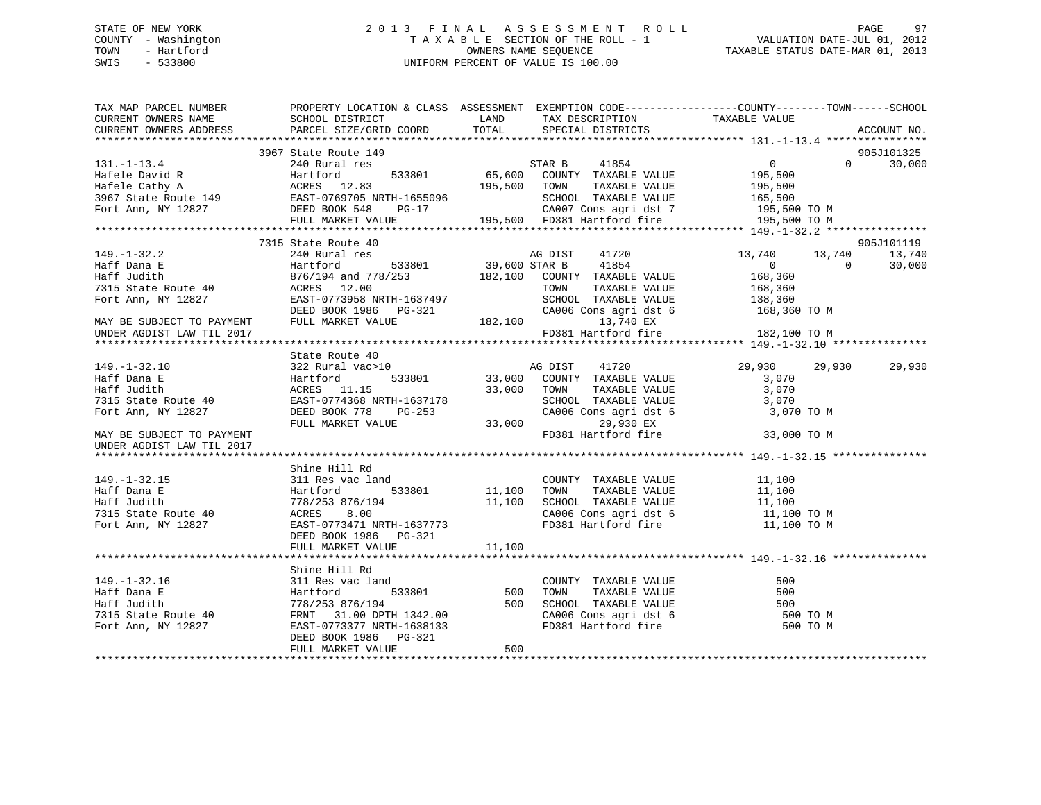# STATE OF NEW YORK 2 0 1 3 F I N A L A S S E S S M E N T R O L L PAGE 97 COUNTY - Washington T A X A B L E SECTION OF THE ROLL - 1 VALUATION DATE-JUL 01, 2012 TOWN - Hartford **TAXABLE STATUS DATE-MAR 01, 2013** SWIS - 533800 UNIFORM PERCENT OF VALUE IS 100.00

| TAX MAP PARCEL NUMBER THE PROPERTY LOCATION & CLASS ASSESSMENT EXEMPTION CODE---------------COUNTY--------TOWN------SCHOOL<br>CURRENT OWNERS NAME SCHOOL DISTRICT                                                                                 |                       |        |                                                                |               |               |
|---------------------------------------------------------------------------------------------------------------------------------------------------------------------------------------------------------------------------------------------------|-----------------------|--------|----------------------------------------------------------------|---------------|---------------|
| CURRENT OWNERS ADDRESS PARCEL SIZE/GRID COORD TOTAL SPECIAL DISTRICTS                                                                                                                                                                             |                       |        | LAND TAX DESCRIPTION TAXABLE VALUE                             |               | ACCOUNT NO.   |
|                                                                                                                                                                                                                                                   |                       |        |                                                                |               |               |
|                                                                                                                                                                                                                                                   | 3967 State Route 149  |        |                                                                |               | 905J101325    |
| 3967 State Route 149<br>3967 State Route 149<br>3967 State Route 149<br>3967 State Route 149<br>3967 State Route 149<br>3967 State Route 149<br>3967 State Route 149<br>3967 State Route 149<br>3967 State Route 149<br>3967 State Route 149<br>3 |                       |        |                                                                |               | $0 \t 30,000$ |
|                                                                                                                                                                                                                                                   |                       |        |                                                                |               |               |
|                                                                                                                                                                                                                                                   |                       |        |                                                                |               |               |
|                                                                                                                                                                                                                                                   |                       |        |                                                                |               |               |
|                                                                                                                                                                                                                                                   |                       |        |                                                                |               |               |
|                                                                                                                                                                                                                                                   |                       |        |                                                                |               |               |
|                                                                                                                                                                                                                                                   |                       |        |                                                                |               |               |
|                                                                                                                                                                                                                                                   | 7315 State Route 40   |        |                                                                |               | 905J101119    |
|                                                                                                                                                                                                                                                   |                       |        |                                                                |               |               |
|                                                                                                                                                                                                                                                   |                       |        |                                                                |               |               |
|                                                                                                                                                                                                                                                   |                       |        |                                                                |               |               |
|                                                                                                                                                                                                                                                   |                       |        |                                                                |               |               |
|                                                                                                                                                                                                                                                   |                       |        |                                                                |               |               |
|                                                                                                                                                                                                                                                   |                       |        |                                                                |               |               |
|                                                                                                                                                                                                                                                   |                       |        |                                                                |               |               |
|                                                                                                                                                                                                                                                   |                       |        | FD381 Hartford fire 182,100 TO M                               |               |               |
| UNDER AGDIST LAW TIL 2017                                                                                                                                                                                                                         |                       |        |                                                                |               |               |
|                                                                                                                                                                                                                                                   |                       |        |                                                                |               |               |
|                                                                                                                                                                                                                                                   |                       |        |                                                                |               |               |
|                                                                                                                                                                                                                                                   |                       |        |                                                                | 29,930 29,930 | 29,930        |
|                                                                                                                                                                                                                                                   |                       |        |                                                                |               |               |
|                                                                                                                                                                                                                                                   |                       |        |                                                                |               |               |
|                                                                                                                                                                                                                                                   |                       |        | SCHOOL TAXABLE VALUE 3,070<br>CA006 Cons agri dst 6 3,070 TO M |               |               |
|                                                                                                                                                                                                                                                   |                       |        |                                                                |               |               |
|                                                                                                                                                                                                                                                   |                       |        |                                                                |               |               |
| UNDER AGDIST LAW TIL 2017                                                                                                                                                                                                                         |                       |        |                                                                | 33,000 TO M   |               |
|                                                                                                                                                                                                                                                   |                       |        |                                                                |               |               |
|                                                                                                                                                                                                                                                   | Shine Hill Rd         |        |                                                                |               |               |
| $149. - 1 - 32.15$                                                                                                                                                                                                                                | 311 Res vac land      |        | COUNTY TAXABLE VALUE 11,100                                    |               |               |
|                                                                                                                                                                                                                                                   |                       |        |                                                                |               |               |
|                                                                                                                                                                                                                                                   |                       |        |                                                                |               |               |
|                                                                                                                                                                                                                                                   |                       |        |                                                                |               |               |
| 1 - 1 - 1 - 1 - 1 - 1 - 1 - 1 - 1 - 1 - 1 - 1 - 1 - 1 - 1 - 1<br>Harff Judith 778/253 876/194 11,100 SCHOOL TAXABLE VALUE 11,100<br>7315 State Route 40 ACRES 8.00 CA006 Cons agr                                                                 |                       |        |                                                                |               |               |
|                                                                                                                                                                                                                                                   | DEED BOOK 1986 PG-321 |        |                                                                |               |               |
|                                                                                                                                                                                                                                                   | FULL MARKET VALUE     | 11,100 |                                                                |               |               |
|                                                                                                                                                                                                                                                   |                       |        |                                                                |               |               |
|                                                                                                                                                                                                                                                   | Shine Hill Rd         |        |                                                                |               |               |
|                                                                                                                                                                                                                                                   |                       |        |                                                                |               |               |
|                                                                                                                                                                                                                                                   |                       |        |                                                                |               |               |
|                                                                                                                                                                                                                                                   |                       |        |                                                                |               |               |
|                                                                                                                                                                                                                                                   |                       |        |                                                                |               |               |
|                                                                                                                                                                                                                                                   |                       |        |                                                                |               |               |
|                                                                                                                                                                                                                                                   | DEED BOOK 1986 PG-321 |        |                                                                |               |               |
|                                                                                                                                                                                                                                                   | FULL MARKET VALUE     | 500    |                                                                |               |               |
|                                                                                                                                                                                                                                                   |                       |        |                                                                |               |               |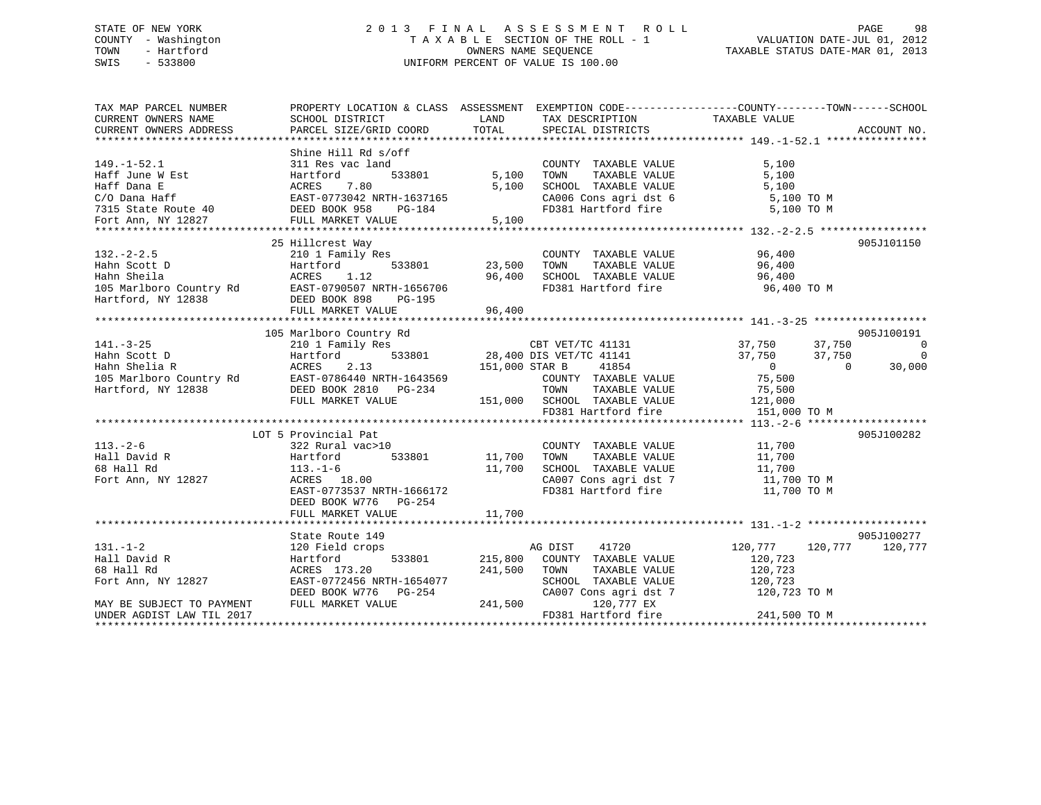# STATE OF NEW YORK 2 0 1 3 F I N A L A S S E S S M E N T R O L L PAGE 98 COUNTY - Washington T A X A B L E SECTION OF THE ROLL - 1 VALUATION DATE-JUL 01, 2012 TOWN - Hartford **TAXABLE STATUS DATE-MAR 01, 2013** OWNERS NAME SEQUENCE TAXABLE STATUS DATE-MAR 01, 2013 SWIS - 533800 UNIFORM PERCENT OF VALUE IS 100.00

| TAX MAP PARCEL NUMBER                                                                                                                                                                                      | PROPERTY LOCATION & CLASS ASSESSMENT EXEMPTION CODE---------------COUNTY-------TOWN-----SCHOOL                                                                                                   |                                   |                                                                                                                                                                                                                                               |                                |             |
|------------------------------------------------------------------------------------------------------------------------------------------------------------------------------------------------------------|--------------------------------------------------------------------------------------------------------------------------------------------------------------------------------------------------|-----------------------------------|-----------------------------------------------------------------------------------------------------------------------------------------------------------------------------------------------------------------------------------------------|--------------------------------|-------------|
| CURRENT OWNERS NAME                                                                                                                                                                                        | SCHOOL DISTRICT                                                                                                                                                                                  | <b>EXAMPLE THE STATE OF STATE</b> | TAX DESCRIPTION                                                                                                                                                                                                                               | TAXABLE VALUE                  |             |
| CURRENT OWNERS ADDRESS                                                                                                                                                                                     | PARCEL SIZE/GRID COORD                                                                                                                                                                           | TOTAL                             | SPECIAL DISTRICTS                                                                                                                                                                                                                             |                                | ACCOUNT NO. |
|                                                                                                                                                                                                            |                                                                                                                                                                                                  |                                   |                                                                                                                                                                                                                                               |                                |             |
|                                                                                                                                                                                                            | Shine Hill Rd s/off                                                                                                                                                                              |                                   |                                                                                                                                                                                                                                               |                                |             |
| $149. - 1 - 52.1$                                                                                                                                                                                          | 311 Res vac land                                                                                                                                                                                 |                                   | COUNTY TAXABLE VALUE                                                                                                                                                                                                                          | 5,100                          |             |
|                                                                                                                                                                                                            | -<br>533801                                                                                                                                                                                      |                                   | TAXABLE VALUE<br>5,100 TOWN                                                                                                                                                                                                                   | 5,100                          |             |
|                                                                                                                                                                                                            |                                                                                                                                                                                                  |                                   | SCHOOL TAXABLE VALUE                                                                                                                                                                                                                          | $\frac{5}{5}, \frac{100}{100}$ |             |
|                                                                                                                                                                                                            |                                                                                                                                                                                                  |                                   |                                                                                                                                                                                                                                               |                                |             |
|                                                                                                                                                                                                            |                                                                                                                                                                                                  |                                   | CA006 Cons agri dst 6 5,100 TO M<br>FD381 Hartford fire 5,100 TO M                                                                                                                                                                            |                                |             |
| Haff June W Est Hartford 533801 5,100<br>Haff Dana E ACRES 7.80 5,100<br>C/O Dana Haff EAST-0773042 NRTH-1637165<br>T315 State Route 40 DEED BOOK 958 PG-184<br>Fort Ann, NY 12827 FULL MARKET VALUE 5,100 |                                                                                                                                                                                                  |                                   |                                                                                                                                                                                                                                               |                                |             |
|                                                                                                                                                                                                            |                                                                                                                                                                                                  |                                   |                                                                                                                                                                                                                                               |                                |             |
|                                                                                                                                                                                                            | 25 Hillcrest Way                                                                                                                                                                                 |                                   |                                                                                                                                                                                                                                               |                                | 905J101150  |
| $132 - 2 - 2.5$                                                                                                                                                                                            | 210 1 Family Res                                                                                                                                                                                 |                                   | COUNTY TAXABLE VALUE 96,400                                                                                                                                                                                                                   |                                |             |
|                                                                                                                                                                                                            |                                                                                                                                                                                                  |                                   | TOWN                                                                                                                                                                                                                                          | TAXABLE VALUE 96,400           |             |
|                                                                                                                                                                                                            |                                                                                                                                                                                                  | 96,400                            |                                                                                                                                                                                                                                               | 96,400                         |             |
| 132.-2-2.5 210 1 Family Res<br>Hahn Scott D<br>Hahn Sheila (15 Marlboro Country Rd (112)<br>Hartford, NY 12838 DEAST-0790507 NRTH-1656706<br>Hartford, NY 12838 DEED BOOK 898 PG-195<br>THIT MAPKET VALUE  |                                                                                                                                                                                                  |                                   | SCHOOL TAXABLE VALUE<br>FD381 Hartford fire                                                                                                                                                                                                   | 96,400 TO M                    |             |
|                                                                                                                                                                                                            |                                                                                                                                                                                                  |                                   |                                                                                                                                                                                                                                               |                                |             |
|                                                                                                                                                                                                            |                                                                                                                                                                                                  |                                   |                                                                                                                                                                                                                                               |                                |             |
|                                                                                                                                                                                                            |                                                                                                                                                                                                  |                                   |                                                                                                                                                                                                                                               |                                |             |
|                                                                                                                                                                                                            |                                                                                                                                                                                                  |                                   |                                                                                                                                                                                                                                               |                                |             |
|                                                                                                                                                                                                            |                                                                                                                                                                                                  |                                   |                                                                                                                                                                                                                                               |                                |             |
|                                                                                                                                                                                                            |                                                                                                                                                                                                  |                                   |                                                                                                                                                                                                                                               |                                |             |
|                                                                                                                                                                                                            |                                                                                                                                                                                                  |                                   |                                                                                                                                                                                                                                               |                                |             |
|                                                                                                                                                                                                            |                                                                                                                                                                                                  |                                   |                                                                                                                                                                                                                                               |                                |             |
|                                                                                                                                                                                                            |                                                                                                                                                                                                  |                                   |                                                                                                                                                                                                                                               |                                |             |
|                                                                                                                                                                                                            |                                                                                                                                                                                                  |                                   |                                                                                                                                                                                                                                               |                                |             |
|                                                                                                                                                                                                            |                                                                                                                                                                                                  |                                   |                                                                                                                                                                                                                                               |                                |             |
|                                                                                                                                                                                                            |                                                                                                                                                                                                  |                                   |                                                                                                                                                                                                                                               |                                |             |
|                                                                                                                                                                                                            | LOT 5 Provincial Pat                                                                                                                                                                             |                                   |                                                                                                                                                                                                                                               |                                | 905J100282  |
| $113. - 2 - 6$                                                                                                                                                                                             |                                                                                                                                                                                                  |                                   | COUNTY TAXABLE VALUE 11,700                                                                                                                                                                                                                   |                                |             |
|                                                                                                                                                                                                            | 322 Rural vac>10                                                                                                                                                                                 |                                   |                                                                                                                                                                                                                                               | TAXABLE VALUE 11,700           |             |
| Hall David R                                                                                                                                                                                               | Hartford 533801 11,700 TOWN TAXABLE VALUE 11,700 TO 11,700 SCHOOL TAXABLE VALUE 11,700 TO M<br>113.-1-6 11,700 SCHOOL TAXABLE VALUE 11,700 TO M<br>ACRES 18.00 CA007 Cons agri dst 7 11,700 TO M |                                   |                                                                                                                                                                                                                                               |                                |             |
| 68 Hall Rd                                                                                                                                                                                                 |                                                                                                                                                                                                  |                                   |                                                                                                                                                                                                                                               |                                |             |
| Fort Ann, NY 12827                                                                                                                                                                                         |                                                                                                                                                                                                  |                                   |                                                                                                                                                                                                                                               |                                |             |
|                                                                                                                                                                                                            |                                                                                                                                                                                                  |                                   |                                                                                                                                                                                                                                               |                                |             |
|                                                                                                                                                                                                            | DEED BOOK W776 PG-254                                                                                                                                                                            |                                   |                                                                                                                                                                                                                                               |                                |             |
|                                                                                                                                                                                                            | FULL MARKET VALUE                                                                                                                                                                                | 11,700                            |                                                                                                                                                                                                                                               |                                |             |
|                                                                                                                                                                                                            |                                                                                                                                                                                                  |                                   |                                                                                                                                                                                                                                               |                                |             |
|                                                                                                                                                                                                            | State Route 149                                                                                                                                                                                  |                                   |                                                                                                                                                                                                                                               |                                | 905J100277  |
| $131. - 1 - 2$                                                                                                                                                                                             | 120 Field crops                                                                                                                                                                                  |                                   | AG DIST<br>41720                                                                                                                                                                                                                              | 120,777<br>120,777             | 120,777     |
| Hall David R                                                                                                                                                                                               | Hartford                                                                                                                                                                                         |                                   | 533801 215,800 COUNTY TAXABLE VALUE                                                                                                                                                                                                           | 120,723                        |             |
| 68 Hall Rd                                                                                                                                                                                                 | ACRES 173.20                                                                                                                                                                                     | 241,500 TOWN                      |                                                                                                                                                                                                                                               | TAXABLE VALUE 120,723          |             |
| Fort Ann, NY 12827                                                                                                                                                                                         |                                                                                                                                                                                                  |                                   | $\begin{tabular}{lllllllll} \texttt{SCHOOL} & \texttt{TAXABLE} & \texttt{VALUE} & & \texttt{120,723} \\ \texttt{CA007} & \texttt{Cons}\ \texttt{agri}\ \texttt{dst}\ \texttt{7} & & \texttt{120,723} \ \texttt{TO}\ \texttt{M} \end{tabular}$ |                                |             |
|                                                                                                                                                                                                            | LASI-0772456 NRTH-1654077<br>DEED BOOK W776 PG-254                                                                                                                                               |                                   |                                                                                                                                                                                                                                               |                                |             |
| MAY BE SUBJECT TO PAYMENT                                                                                                                                                                                  | FULL MARKET VALUE                                                                                                                                                                                | 241,500                           | 120,777 EX                                                                                                                                                                                                                                    |                                |             |
| UNDER AGDIST LAW TIL 2017                                                                                                                                                                                  |                                                                                                                                                                                                  |                                   | FD381 Hartford fire                                                                                                                                                                                                                           | 241,500 TO M                   |             |
|                                                                                                                                                                                                            |                                                                                                                                                                                                  |                                   |                                                                                                                                                                                                                                               |                                |             |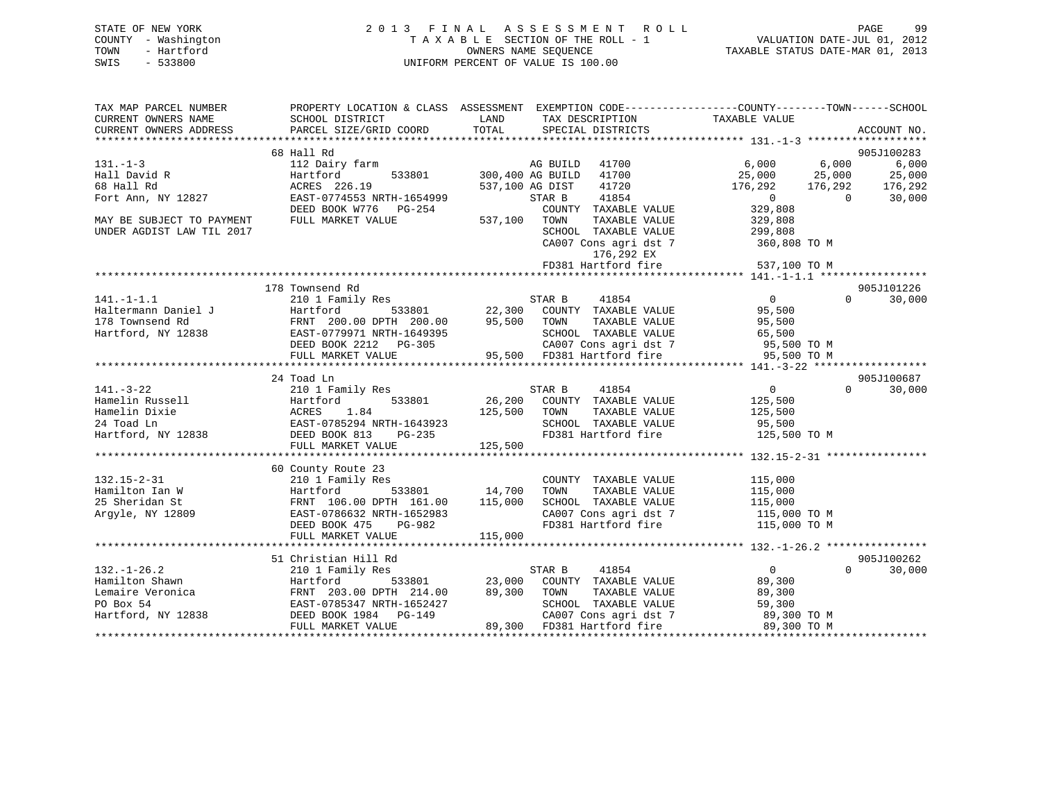| STATE OF NEW YORK   | 2013 FINAL ASSESSMENT ROLL         | 99<br>PAGE                       |
|---------------------|------------------------------------|----------------------------------|
| COUNTY - Washington | TAXABLE SECTION OF THE ROLL - 1    | VALUATION DATE-JUL 01, 2012      |
| TOWN<br>- Hartford  | OWNERS NAME SEOUENCE               | TAXABLE STATUS DATE-MAR 01, 2013 |
| $-533800$<br>SWIS   | UNIFORM PERCENT OF VALUE IS 100.00 |                                  |

| TAX MAP PARCEL NUMBER     |                                              | PROPERTY LOCATION & CLASS ASSESSMENT EXEMPTION CODE---------------COUNTY-------TOWN------SCHOOL                          |                                            |
|---------------------------|----------------------------------------------|--------------------------------------------------------------------------------------------------------------------------|--------------------------------------------|
| CURRENT OWNERS NAME       | SCHOOL DISTRICT                              | LAND<br>TAX DESCRIPTION                                                                                                  | TAXABLE VALUE                              |
| CURRENT OWNERS ADDRESS    | PARCEL SIZE/GRID COORD                       | TOTAL<br>SPECIAL DISTRICTS                                                                                               | ACCOUNT NO.                                |
|                           |                                              |                                                                                                                          |                                            |
|                           | 68 Hall Rd                                   |                                                                                                                          | 905J100283                                 |
| $131. - 1 - 3$            | 112 Dairy farm No AG BUILD                   | 41700                                                                                                                    | 6,000<br>6,000<br>6,000                    |
| Hall David R              | Hartford                                     | 533801 300,400 AG BUILD<br>41700                                                                                         |                                            |
| 68 Hall Rd                | ACRES 226.19                                 | 537,100 AG DIST<br>41720                                                                                                 |                                            |
| Fort Ann, NY 12827        | EAST-0774553 NRTH-1654999                    | 41854<br>STAR B                                                                                                          | $\overline{0}$<br>$\overline{0}$<br>30,000 |
|                           | DEED BOOK W776 PG-254                        | COUNTY TAXABLE VALUE                                                                                                     | 329,808                                    |
| MAY BE SUBJECT TO PAYMENT | FULL MARKET VALUE                            | 537,100 TOWN<br>TAXABLE VALUE                                                                                            | 329,808                                    |
| UNDER AGDIST LAW TIL 2017 |                                              | SCHOOL TAXABLE VALUE<br>SCHOOL TAXABLE VALUE<br>CA007 Cons agri dst 7                                                    | 299,808<br>360,808 TO M                    |
|                           |                                              |                                                                                                                          |                                            |
|                           |                                              | 176,292 EX                                                                                                               | 537,100 TO M                               |
|                           |                                              |                                                                                                                          |                                            |
|                           |                                              |                                                                                                                          |                                            |
|                           | 178 Townsend Rd                              |                                                                                                                          | 905J101226                                 |
| $141. -1 - 1.1$           | 210 1 Family Res                             | STAR B<br>41854                                                                                                          | $\overline{0}$<br>$\Omega$<br>30,000       |
| Haltermann Daniel J       |                                              |                                                                                                                          | 95,500                                     |
| 178 Townsend Rd           |                                              |                                                                                                                          | 95,500                                     |
|                           | Hartford, NY 12838 EAST-0779971 NRTH-1649395 |                                                                                                                          | 65,500                                     |
|                           |                                              |                                                                                                                          | 95,500 TO M                                |
|                           |                                              | EAST-0779971 NRTH-1649395<br>DEED BOOK 2212 PG-305 CA007 Cons agri dst 7<br>FULL MARKET VALUE 95,500 FD381 Hartford fire | 95,500 TO M                                |
|                           |                                              |                                                                                                                          |                                            |
|                           | 24 Toad Ln                                   |                                                                                                                          | 905J100687                                 |
| $141. - 3 - 22$           | 210 1 Family Res                             |                                                                                                                          | $\overline{0}$<br>$\Omega$<br>30,000       |
| Hamelin Russell           | 533801<br>Hartford                           |                                                                                                                          | 125,500                                    |
| Hamelin Dixie             | ACRES<br>1.84                                | 125,500 TOWN<br>TAXABLE VALUE                                                                                            | 125,500                                    |
| 24 Toad Ln                | EAST-0785294 NRTH-1643923                    | SCHOOL TAXABLE VALUE<br>H-1643923<br>PG-235<br>FD381 Hartford fire                                                       | 95,500                                     |
| Hartford, NY 12838        | DEED BOOK 813                                |                                                                                                                          | 125,500 TO M                               |
|                           | FULL MARKET VALUE                            | 125,500                                                                                                                  |                                            |
|                           | 60 County Route 23                           |                                                                                                                          |                                            |
| $132.15 - 2 - 31$         | 210 1 Family Res                             | COUNTY TAXABLE VALUE                                                                                                     | 115,000                                    |
| Hamilton Ian W            | Hartford                                     | TOWN<br>TAXABLE VALUE                                                                                                    | 115,000                                    |
| 25 Sheridan St            | FRNT 106.00 DPTH 161.00 115,000              | 533801 14,700<br>SCHOOL TAXABLE VALUE                                                                                    | 115,000                                    |
| Argyle, NY 12809          | EAST-0786632 NRTH-1652983                    | CA007 Cons agri dst 7 115,000 TO M                                                                                       |                                            |
|                           | DEED BOOK 475 PG-982                         | FD381 Hartford fire 115,000 TO M                                                                                         |                                            |
|                           | FULL MARKET VALUE                            | 115,000                                                                                                                  |                                            |
|                           |                                              |                                                                                                                          |                                            |
|                           | 51 Christian Hill Rd                         |                                                                                                                          | 905J100262                                 |
| $132. - 1 - 26.2$         |                                              |                                                                                                                          | $\overline{0}$<br>$\Omega$<br>30,000       |
| Hamilton Shawn            |                                              |                                                                                                                          | 89,300                                     |
| Lemaire Veronica          |                                              |                                                                                                                          | 89,300                                     |
| PO Box 54                 | EAST-0785347 NRTH-1652427                    | SCHOOL TAXABLE VALUE                                                                                                     | 59,300                                     |
| Hartford, NY 12838        | DEED BOOK 1984 PG-149<br>FIIT.T MADVDE YY -- | CA007 Cons agri dst 7                                                                                                    | 89,300 TO M                                |
|                           | FULL MARKET VALUE                            | 89,300 FD381 Hartford fire                                                                                               | 89,300 TO M                                |
|                           |                                              |                                                                                                                          |                                            |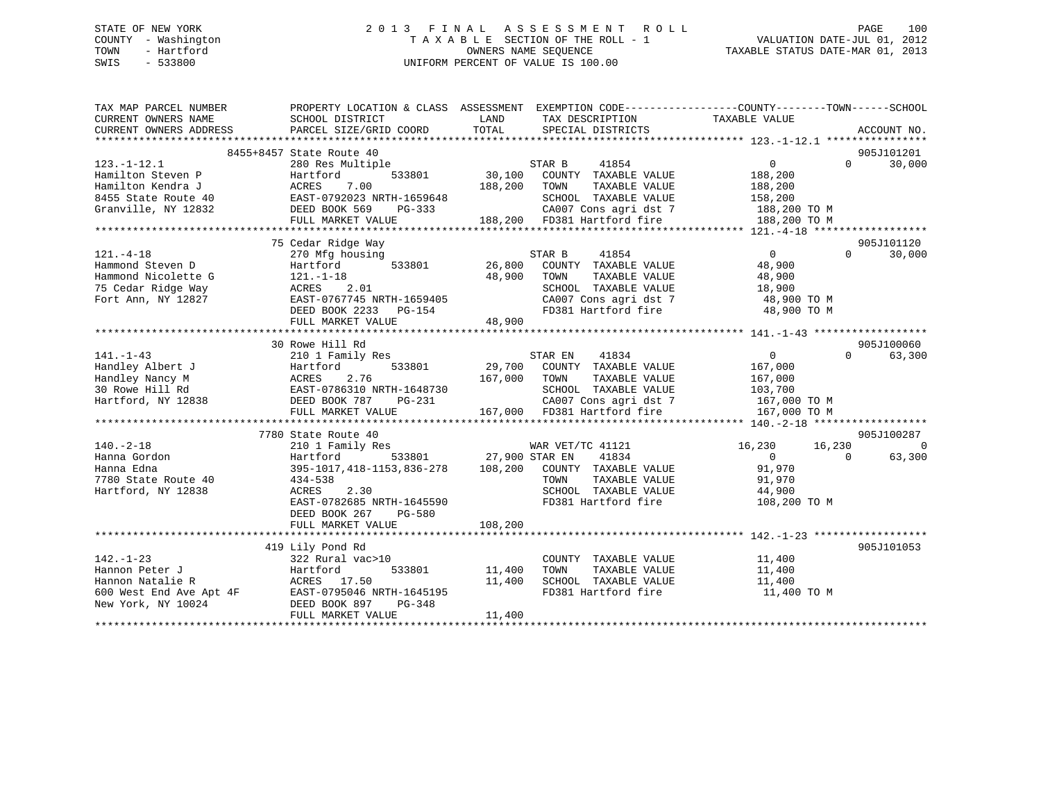# STATE OF NEW YORK 2 0 1 3 F I N A L A S S E S S M E N T R O L L PAGE 100 COUNTY - Washington T A X A B L E SECTION OF THE ROLL - 1 VALUATION DATE-JUL 01, 2012 TOWN - Hartford **TAXABLE STATUS DATE-MAR 01, 2013** SWIS - 533800 UNIFORM PERCENT OF VALUE IS 100.00

| TAX MAP PARCEL NUMBER  |                                                                                                                                                                                                                                                      |                                                                     | PROPERTY LOCATION & CLASS ASSESSMENT EXEMPTION CODE---------------COUNTY-------TOWN------SCHOOL |                          |
|------------------------|------------------------------------------------------------------------------------------------------------------------------------------------------------------------------------------------------------------------------------------------------|---------------------------------------------------------------------|-------------------------------------------------------------------------------------------------|--------------------------|
| CURRENT OWNERS NAME    | SCHOOL DISTRICT                                                                                                                                                                                                                                      | LAND<br>TAX DESCRIPTION                                             | TAXABLE VALUE                                                                                   |                          |
| CURRENT OWNERS ADDRESS | PARCEL SIZE/GRID COORD                                                                                                                                                                                                                               | TOTAL<br>SPECIAL DISTRICTS                                          |                                                                                                 | ACCOUNT NO.              |
|                        |                                                                                                                                                                                                                                                      |                                                                     |                                                                                                 |                          |
|                        | 8455+8457 State Route 40                                                                                                                                                                                                                             |                                                                     |                                                                                                 | 905J101201               |
| $123. - 1 - 12.1$      | 280 Res Multiple                                                                                                                                                                                                                                     | STAR B 41854<br>30,100 COUNTY TAXABLE VALUE                         | $\overline{0}$                                                                                  | 30,000<br>$\Omega$       |
|                        | 123.-1-12.1<br>Hamilton Steven P<br>Hartford 533801 30,100<br>Hamilton Kendra J<br>8455 State Route 40<br>Granville, NY 12832<br>THE MONG TO PAST-0792023 NRTH-1659648<br>THE MONG TO PAST POST PRG-333<br>THE MONG TO PRG-333                       |                                                                     | 188,200                                                                                         |                          |
|                        |                                                                                                                                                                                                                                                      | 188,200 TOWN                                                        | TAXABLE VALUE<br>188,200                                                                        |                          |
|                        |                                                                                                                                                                                                                                                      | SCHOOL TAXABLE VALUE                                                | 158,200                                                                                         |                          |
|                        |                                                                                                                                                                                                                                                      |                                                                     | CA007 Cons agri dst 7 188,200 TO M                                                              |                          |
|                        | FULL MARKET VALUE 188,200 FD381 Hartford fire                                                                                                                                                                                                        |                                                                     | 188,200 TO M                                                                                    |                          |
|                        |                                                                                                                                                                                                                                                      |                                                                     |                                                                                                 |                          |
|                        | 75 Cedar Ridge Way                                                                                                                                                                                                                                   |                                                                     |                                                                                                 | 905J101120               |
| $121. -4 - 18$         | 270 Mfg housing                                                                                                                                                                                                                                      | 41854<br>STAR B                                                     | $\overline{0}$                                                                                  | $\Omega$<br>30,000       |
| Hammond Steven D       | Hartford                                                                                                                                                                                                                                             | using<br>533801 26,800 COUNTY TAXABLE VALUE                         | 48,900                                                                                          |                          |
| Hammond Nicolette G    | $121. - 1 - 18$                                                                                                                                                                                                                                      | 48,900<br>TOWN                                                      | TAXABLE VALUE<br>48,900                                                                         |                          |
| 75 Cedar Ridge Way     | 121.-1-18<br>ACRES 2.01                                                                                                                                                                                                                              | SCHOOL TAXABLE VALUE                                                | 18,900                                                                                          |                          |
| Fort Ann, NY 12827     | EAST-0767745 NRTH-1659405<br>DEED BOOK 2233 PG-154                                                                                                                                                                                                   |                                                                     | CA007 Cons agri dst 7 48,900 TO M                                                               |                          |
|                        |                                                                                                                                                                                                                                                      | FD381 Hartford fire                                                 | 48,900 TO M                                                                                     |                          |
|                        | FULL MARKET VALUE                                                                                                                                                                                                                                    | 48,900                                                              |                                                                                                 |                          |
|                        |                                                                                                                                                                                                                                                      |                                                                     |                                                                                                 |                          |
|                        | 30 Rowe Hill Rd                                                                                                                                                                                                                                      |                                                                     |                                                                                                 | 905J100060               |
|                        | 141.-1-43<br>Handley Albert J<br>Handley Nancy M<br>29,700 COUNTY TAXABLE VALUE<br>30 Rowe Hill Rd<br>Hartford, NY 12838<br>29,700 COUNTY TAXABLE VALUE<br>29,700 COUNTY TAXABLE VALUE<br>167,000<br>29,700 COUNTY TAXABLE VALUE<br>167,000<br>29,70 |                                                                     |                                                                                                 | $\Omega$<br>63,300       |
|                        |                                                                                                                                                                                                                                                      |                                                                     |                                                                                                 |                          |
|                        |                                                                                                                                                                                                                                                      |                                                                     |                                                                                                 |                          |
|                        |                                                                                                                                                                                                                                                      |                                                                     |                                                                                                 |                          |
|                        |                                                                                                                                                                                                                                                      |                                                                     |                                                                                                 |                          |
|                        |                                                                                                                                                                                                                                                      |                                                                     |                                                                                                 |                          |
|                        |                                                                                                                                                                                                                                                      |                                                                     |                                                                                                 |                          |
|                        |                                                                                                                                                                                                                                                      |                                                                     |                                                                                                 | 905J100287               |
| $140. - 2 - 18$        | 7780 State Route 40                                                                                                                                                                                                                                  | WAR VET/TC 41121                                                    |                                                                                                 | $\Omega$                 |
|                        | 210 1 Family Res                                                                                                                                                                                                                                     | WAR VET<br>  633801 027,900 STAR EN                                 | 16,230 16,230                                                                                   |                          |
| Hanna Gordon           | Hartford                                                                                                                                                                                                                                             | 41834                                                               | $\overline{0}$                                                                                  | $\overline{0}$<br>63,300 |
| Hanna Edna             |                                                                                                                                                                                                                                                      | 395-1017,418-1153,836-278   108,200   COUNTY TAXABLE VALUE   91,970 |                                                                                                 |                          |
| 7780 State Route 40    | 434-538                                                                                                                                                                                                                                              | TOWN                                                                | TAXABLE VALUE<br>91,970<br>SCHOOL TAXABLE VALUE 44,900                                          |                          |
| Hartford, NY 12838     | ACRES<br>2.30                                                                                                                                                                                                                                        |                                                                     |                                                                                                 |                          |
|                        | EAST-0782685 NRTH-1645590                                                                                                                                                                                                                            |                                                                     | FD381 Hartford fire<br>108,200 TO M                                                             |                          |
|                        | DEED BOOK 267<br>PG-580                                                                                                                                                                                                                              |                                                                     |                                                                                                 |                          |
|                        | FULL MARKET VALUE                                                                                                                                                                                                                                    | 108, 200                                                            |                                                                                                 |                          |
|                        |                                                                                                                                                                                                                                                      |                                                                     |                                                                                                 |                          |
|                        | 419 Lily Pond Rd                                                                                                                                                                                                                                     |                                                                     |                                                                                                 | 905J101053               |
| $142. - 1 - 23$        | 322 Rural vac>10                                                                                                                                                                                                                                     | COUNTY TAXABLE VALUE                                                | 11,400<br>11,400                                                                                |                          |
| Hannon Peter J         | <i>Saa</i> Ruidi<br>Hartford<br>533801                                                                                                                                                                                                               | 11,400 TOWN                                                         | TAXABLE VALUE                                                                                   |                          |
|                        |                                                                                                                                                                                                                                                      | 11,400 SCHOOL TAXABLE VALUE                                         | 11,400                                                                                          |                          |
|                        |                                                                                                                                                                                                                                                      | FD381 Hartford fire                                                 | 11,400 TO M                                                                                     |                          |
|                        | Hannon Fett of the Contract of the MCRES<br>Fract Solo West End Ave Apt 4F EAST-0795046 NRTH-1645195<br>New York, NY 10024 DEED BOOK 897 PG-348                                                                                                      |                                                                     |                                                                                                 |                          |
|                        | FULL MARKET VALUE                                                                                                                                                                                                                                    | 11,400                                                              |                                                                                                 |                          |
|                        |                                                                                                                                                                                                                                                      |                                                                     |                                                                                                 |                          |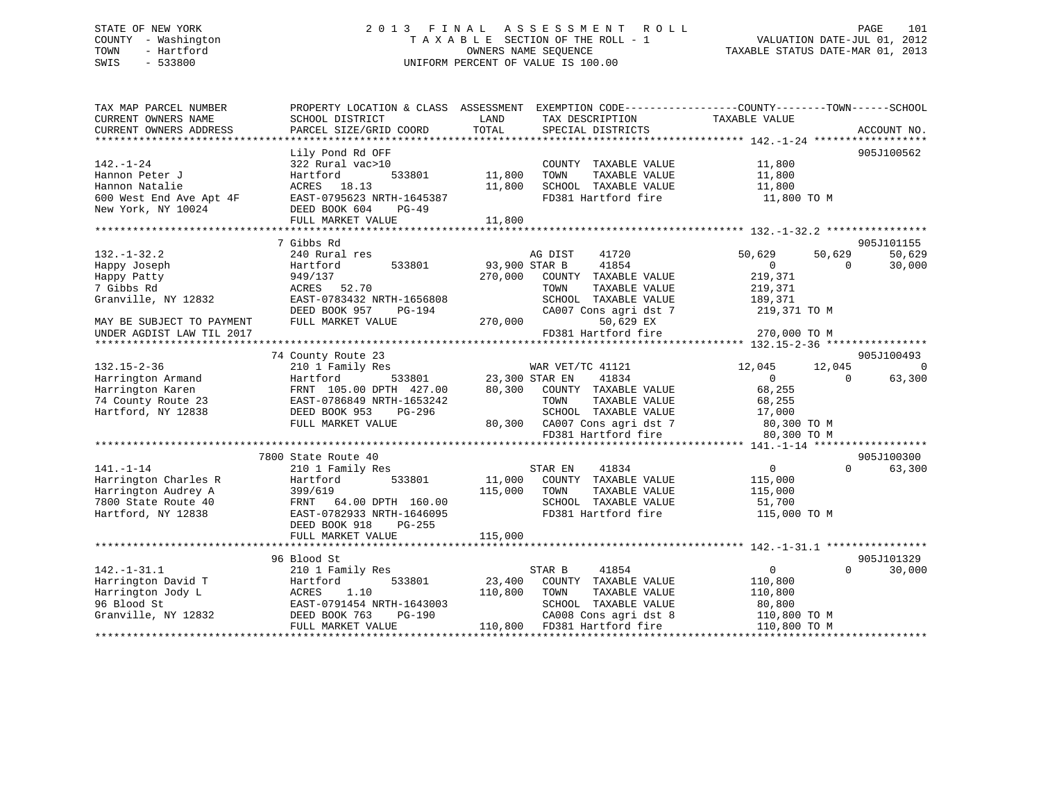# STATE OF NEW YORK 2 0 1 3 F I N A L A S S E S S M E N T R O L L PAGE 101 COUNTY - Washington T A X A B L E SECTION OF THE ROLL - 1 VALUATION DATE-JUL 01, 2012 TOWN - Hartford **TAXABLE STATUS DATE-MAR 01, 2013** SWIS - 533800 UNIFORM PERCENT OF VALUE IS 100.00

| TAX MAP PARCEL NUMBER<br>CURRENT OWNERS NAME<br>CURRENT OWNERS ADDRESS                                                                          | PROPERTY LOCATION & CLASS ASSESSMENT EXEMPTION CODE---------------COUNTY-------TOWN-----SCHOOL<br>SCHOOL DISTRICT<br>PARCEL SIZE/GRID COORD                                     | LAND<br>TOTAL                       | TAX DESCRIPTION<br>SPECIAL DISTRICTS                                                                                                                             | TAXABLE VALUE                                                                                                           | ACCOUNT NO.                            |
|-------------------------------------------------------------------------------------------------------------------------------------------------|---------------------------------------------------------------------------------------------------------------------------------------------------------------------------------|-------------------------------------|------------------------------------------------------------------------------------------------------------------------------------------------------------------|-------------------------------------------------------------------------------------------------------------------------|----------------------------------------|
| $142. - 1 - 24$<br>Hannon Peter J<br>Hannon Natalie<br>600 West End Ave Apt 4F<br>New York, NY 10024                                            | Lily Pond Rd OFF<br>322 Rural vac>10<br>533801<br>Hartford<br>ACRES 18.13<br>EAST-0795623 NRTH-1645387<br>DEED BOOK 604<br>$PG-49$<br>FULL MARKET VALUE                         | 11,800<br>11,800<br>11,800          | COUNTY TAXABLE VALUE<br>TAXABLE VALUE<br>TOWN<br>SCHOOL TAXABLE VALUE<br>FD381 Hartford fire                                                                     | 11,800<br>11,800<br>11,800<br>11,800 TO M                                                                               | 905J100562                             |
| $132. - 1 - 32.2$<br>Happy Joseph<br>Happy Patty<br>7 Gibbs Rd<br>Granville, NY 12832<br>MAY BE SUBJECT TO PAYMENT<br>UNDER AGDIST LAW TIL 2017 | 7 Gibbs Rd<br>240 Rural res<br>Hartford<br>533801<br>949/137<br>ACRES 52.70<br>EAST-0783432 NRTH-1656808<br>DEED BOOK 957<br>PG-194<br>FULL MARKET VALUE                        | 93,900 STAR B<br>270,000<br>270,000 | AG DIST<br>41720<br>41854<br>COUNTY TAXABLE VALUE<br>TOWN<br>TAXABLE VALUE<br>SCHOOL TAXABLE VALUE<br>CA007 Cons agri dst 7<br>50,629 EX<br>FD381 Hartford fire  | 50,629<br>50,629<br>$\Omega$<br>$\Omega$<br>219,371<br>219,371<br>189,371<br>219,371 TO M<br>270,000 TO M               | 905J101155<br>50,629<br>30,000         |
| $132.15 - 2 - 36$<br>Harrington Armand<br>Harrington Karen<br>74 County Route 23<br>Hartford, NY 12838                                          | 74 County Route 23<br>210 1 Family Res<br>Hartford<br>FRNT 105.00 DPTH 427.00<br>EAST-0786849 NRTH-1653242<br>DEED BOOK 953<br>PG-296<br>FULL MARKET VALUE                      | 533801 23,300 STAR EN               | WAR VET/TC 41121<br>41834<br>80,300 COUNTY TAXABLE VALUE<br>TAXABLE VALUE<br>TOWN<br>SCHOOL TAXABLE VALUE<br>80,300 CA007 Cons agri dst 7<br>FD381 Hartford fire | 12,045<br>12,045<br>$\overline{0}$<br>$\Omega$<br>68,255<br>68,255<br>17, UU<br>80, 300 TO M<br>200 TO M<br>80,300 TO M | 905J100493<br>$\overline{0}$<br>63,300 |
| $141. - 1 - 14$<br>Harrington Charles R<br>Harrington Audrey A<br>7800 State Route 40<br>Hartford, NY 12838                                     | 7800 State Route 40<br>210 1 Family Res<br>Hartford<br>533801<br>399/619<br>FRNT 64.00 DPTH 160.00<br>EAST-0782933 NRTH-1646095<br>DEED BOOK 918<br>PG-255<br>FULL MARKET VALUE | 115,000 TOWN<br>115,000             | STAR EN<br>41834<br>11,000 COUNTY TAXABLE VALUE<br>TAXABLE VALUE<br>SCHOOL TAXABLE VALUE<br>FD381 Hartford fire                                                  | $\Omega$<br>$\overline{0}$<br>115,000<br>115,000<br>51,700<br>115,000 TO M                                              | 905J100300<br>63,300                   |
| $142. - 1 - 31.1$<br>Harrington David T<br>Harrington Jody L<br>96 Blood St<br>Granville, NY 12832                                              | 96 Blood St<br>210 1 Family Res<br>533801<br>Hartford<br>ACRES<br>1.10<br>EAST-0791454 NRTH-1643003<br>DEED BOOK 763<br>PG-190<br>FULL MARKET VALUE                             | 23,400<br>110,800                   | STAR B<br>41854<br>COUNTY TAXABLE VALUE<br>TOWN<br>TAXABLE VALUE<br>SCHOOL TAXABLE VALUE<br>CA008 Cons agri dst 8<br>110,800 FD381 Hartford fire                 | $\Omega$<br>$\Omega$<br>110,800<br>110,800<br>80,800<br>110,800 TO M<br>110,800 TO M                                    | 905J101329<br>30,000                   |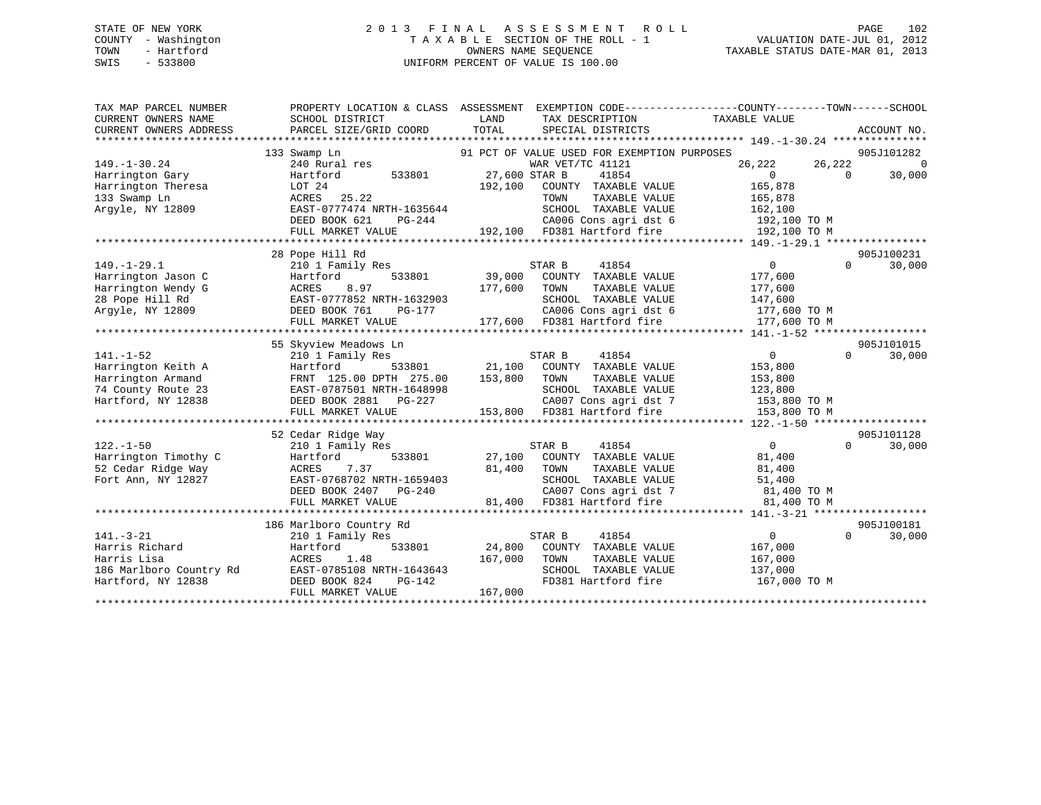# STATE OF NEW YORK 2 0 1 3 F I N A L A S S E S S M E N T R O L L PAGE 102 COUNTY - Washington T A X A B L E SECTION OF THE ROLL - 1 VALUATION DATE-JUL 01, 2012 TOWN - Hartford **TAXABLE STATUS DATE-MAR 01, 2013** SWIS - 533800 UNIFORM PERCENT OF VALUE IS 100.00

| TAX MAP PARCEL NUMBER<br>CURRENT OWNERS NAME<br>CURRENT OWNERS ADDRESS                                 | PROPERTY LOCATION & CLASS ASSESSMENT<br>SCHOOL DISTRICT<br>PARCEL SIZE/GRID COORD                                                                                        | LAND<br>TAX DESCRIPTION<br>TOTAL<br>SPECIAL DISTRICTS                                                                                                                                                                                 | EXEMPTION CODE-----------------COUNTY--------TOWN------SCHOOL<br>TAXABLE VALUE<br>ACCOUNT NO.                                                       |
|--------------------------------------------------------------------------------------------------------|--------------------------------------------------------------------------------------------------------------------------------------------------------------------------|---------------------------------------------------------------------------------------------------------------------------------------------------------------------------------------------------------------------------------------|-----------------------------------------------------------------------------------------------------------------------------------------------------|
| $149. - 1 - 30.24$<br>Harrington Gary<br>Harrington Theresa<br>133 Swamp Ln<br>Argyle, NY 12809        | 133 Swamp Ln<br>240 Rural res<br>Hartford<br>533801<br>LOT 24<br>ACRES 25.22<br>EAST-0777474 NRTH-1635644<br>DEED BOOK 621<br>PG-244<br>FULL MARKET VALUE                | 91 PCT OF VALUE USED FOR EXEMPTION PURPOSES<br>WAR VET/TC 41121<br>27,600 STAR B<br>41854<br>192,100<br>COUNTY TAXABLE VALUE<br>TOWN<br>TAXABLE VALUE<br>SCHOOL TAXABLE VALUE<br>CA006 Cons agri dst 6<br>192,100 FD381 Hartford fire | 905J101282<br>26,222<br>$\Omega$<br>26,222<br>$\overline{0}$<br>$\Omega$<br>30,000<br>165,878<br>165,878<br>162,100<br>192,100 TO M<br>192,100 TO M |
| $149. - 1 - 29.1$<br>Harrington Jason C<br>Harrington Wendy G<br>28 Pope Hill Rd<br>Arqyle, NY 12809   | 28 Pope Hill Rd<br>210 1 Family Res<br>533801<br>Hartford<br>8.97<br>ACRES<br>EAST-0777852 NRTH-1632903<br>DEED BOOK 761<br>PG-177<br>FULL MARKET VALUE                  | STAR B<br>41854<br>39,000<br>COUNTY TAXABLE VALUE<br>177,600<br>TOWN<br>TAXABLE VALUE<br>SCHOOL TAXABLE VALUE<br>CA006 Cons agri dst 6<br>177,600 FD381 Hartford fire                                                                 | 905J100231<br>$\overline{0}$<br>30,000<br>$\Omega$<br>177,600<br>177,600<br>147,600<br>177,600 TO M<br>177,600 TO M                                 |
| $141. - 1 - 52$<br>Harrington Keith A<br>Harrington Armand<br>74 County Route 23<br>Hartford, NY 12838 | 55 Skyview Meadows Ln<br>210 1 Family Res<br>Hartford<br>533801<br>FRNT 125.00 DPTH 275.00<br>EAST-0787501 NRTH-1648998<br>DEED BOOK 2881<br>PG-227<br>FULL MARKET VALUE | STAR B<br>41854<br>21,100<br>COUNTY TAXABLE VALUE<br>153,800<br>TAXABLE VALUE<br>TOWN<br>SCHOOL TAXABLE VALUE<br>CA007 Cons agri dst 7<br>153,800 FD381 Hartford fire                                                                 | 905J101015<br>$\overline{0}$<br>30,000<br>$\Omega$<br>153,800<br>153,800<br>123,800<br>153,800 TO M<br>153,800 TO M                                 |
| $122. - 1 - 50$<br>Harrington Timothy C<br>52 Cedar Ridge Way<br>Fort Ann, NY 12827                    | 52 Cedar Ridge Way<br>210 1 Family Res<br>Hartford<br>533801<br>7.37<br>ACRES<br>EAST-0768702 NRTH-1659403<br>DEED BOOK 2407 PG-240<br>FULL MARKET VALUE                 | 41854<br>STAR B<br>27,100<br>COUNTY TAXABLE VALUE<br>81,400<br>TOWN<br>TAXABLE VALUE<br>SCHOOL TAXABLE VALUE<br>CA007 Cons agri dst 7<br>81,400<br>FD381 Hartford fire                                                                | 905J101128<br>$\overline{0}$<br>30,000<br>$\Omega$<br>81,400<br>81,400<br>51,400<br>81,400 TO M<br>81,400 TO M                                      |
| $141. - 3 - 21$<br>Harris Richard<br>Harris Lisa<br>186 Marlboro Country Rd<br>Hartford, NY 12838      | 186 Marlboro Country Rd<br>210 1 Family Res<br>533801<br>Hartford<br>1.48<br>ACRES<br>EAST-0785108 NRTH-1643643<br>DEED BOOK 824<br>PG-142<br>FULL MARKET VALUE          | STAR B<br>41854<br>24,800<br>COUNTY TAXABLE VALUE<br>167,000<br>TOWN<br>TAXABLE VALUE<br>SCHOOL TAXABLE VALUE<br>FD381 Hartford fire<br>167,000                                                                                       | 905J100181<br>$\overline{0}$<br>$\Omega$<br>30,000<br>167,000<br>167,000<br>137,000<br>167,000 TO M                                                 |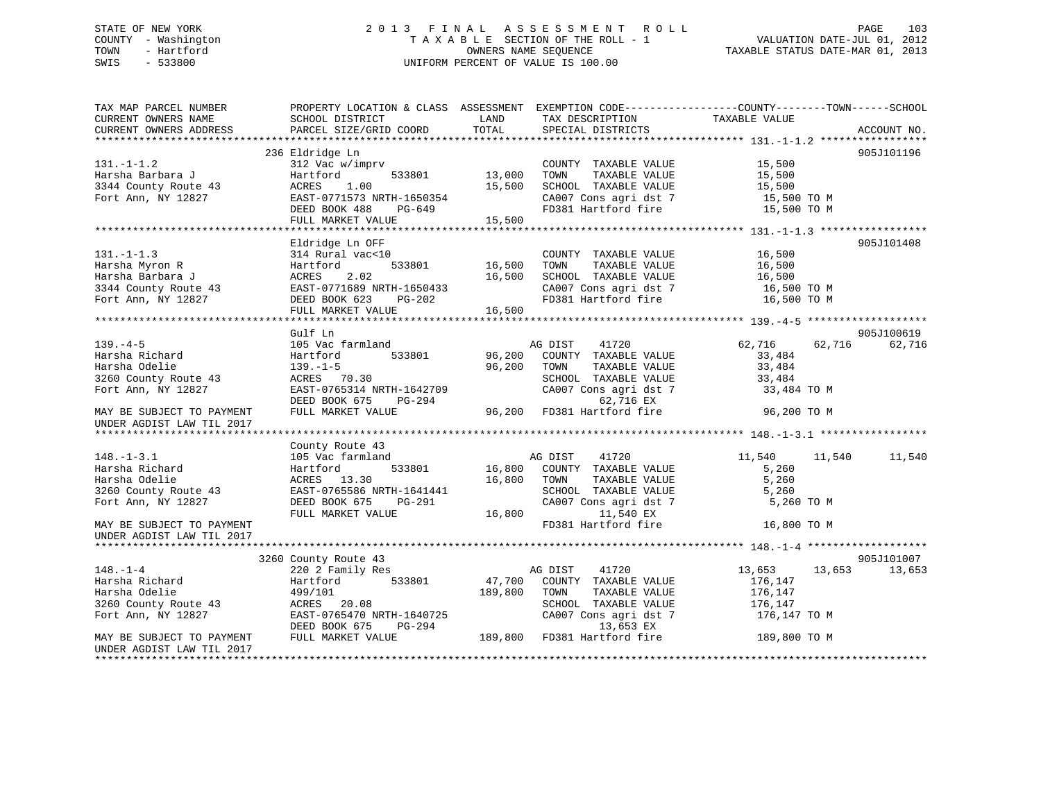# STATE OF NEW YORK 2 0 1 3 F I N A L A S S E S S M E N T R O L L PAGE 103 COUNTY - Washington T A X A B L E SECTION OF THE ROLL - 1 VALUATION DATE-JUL 01, 2012 TOWN - Hartford **TAXABLE STATUS DATE-MAR 01, 2013** SWIS - 533800 UNIFORM PERCENT OF VALUE IS 100.00

| TAX MAP PARCEL NUMBER<br>CURRENT OWNERS NAME       | PROPERTY LOCATION & CLASS ASSESSMENT<br>SCHOOL DISTRICT | LAND    | TAX DESCRIPTION                               | EXEMPTION CODE-----------------COUNTY-------TOWN------SCHOOL<br>TAXABLE VALUE |             |
|----------------------------------------------------|---------------------------------------------------------|---------|-----------------------------------------------|-------------------------------------------------------------------------------|-------------|
| CURRENT OWNERS ADDRESS                             | PARCEL SIZE/GRID COORD                                  | TOTAL   | SPECIAL DISTRICTS                             |                                                                               | ACCOUNT NO. |
|                                                    | 236 Eldridge Ln                                         |         |                                               |                                                                               | 905J101196  |
| $131. - 1 - 1.2$                                   | 312 Vac w/imprv                                         |         | COUNTY TAXABLE VALUE                          | 15,500                                                                        |             |
| Harsha Barbara J                                   | Hartford<br>533801                                      | 13,000  | TOWN<br>TAXABLE VALUE                         | 15,500                                                                        |             |
| 3344 County Route 43                               | 1.00<br>ACRES                                           | 15,500  | SCHOOL TAXABLE VALUE                          | 15,500                                                                        |             |
| Fort Ann, NY 12827                                 | EAST-0771573 NRTH-1650354                               |         | CA007 Cons agri dst 7                         | 15,500 TO M                                                                   |             |
|                                                    | DEED BOOK 488<br>$PG-649$                               |         | FD381 Hartford fire                           | 15,500 TO M                                                                   |             |
|                                                    | FULL MARKET VALUE                                       | 15,500  |                                               |                                                                               |             |
|                                                    |                                                         |         |                                               |                                                                               |             |
|                                                    | Eldridge Ln OFF                                         |         |                                               |                                                                               | 905J101408  |
| $131. -1 - 1.3$                                    | 314 Rural vac<10                                        |         | COUNTY TAXABLE VALUE                          | 16,500                                                                        |             |
| Harsha Myron R                                     | 533801<br>Hartford                                      | 16,500  | TOWN<br>TAXABLE VALUE                         | 16,500                                                                        |             |
| Harsha Barbara J                                   | 2.02<br>ACRES                                           | 16,500  | SCHOOL TAXABLE VALUE                          | 16,500                                                                        |             |
| 3344 County Route 43                               | EAST-0771689 NRTH-1650433                               |         | CA007 Cons agri dst 7                         | 16,500 TO M                                                                   |             |
| Fort Ann, NY 12827                                 | DEED BOOK 623 PG-202                                    |         | FD381 Hartford fire                           | 16,500 TO M                                                                   |             |
|                                                    | FULL MARKET VALUE                                       | 16,500  |                                               |                                                                               |             |
|                                                    |                                                         |         |                                               |                                                                               |             |
|                                                    | Gulf Ln                                                 |         |                                               |                                                                               | 905J100619  |
| $139. -4 - 5$                                      | 105 Vac farmland                                        |         | AG DIST 41720                                 | 62,716<br>62,716                                                              | 62,716      |
| Harsha Richard                                     | 533801<br>Hartford                                      |         | 96,200 COUNTY TAXABLE VALUE                   | 33,484                                                                        |             |
| Harsha Odelie                                      | $139. - 1 - 5$                                          | 96,200  | TOWN<br>TAXABLE VALUE                         | 33,484                                                                        |             |
| 3260 County Route 43<br>Fort Ann, NY 12827         | ACRES 70.30<br>EAST-0765314 NRTH-1642709                |         | SCHOOL TAXABLE VALUE<br>CA007 Cons agri dst 7 | 33,484<br>33,484 TO M                                                         |             |
|                                                    | DEED BOOK 675<br>PG-294                                 |         | 62,716 EX                                     |                                                                               |             |
| MAY BE SUBJECT TO PAYMENT                          | FULL MARKET VALUE                                       |         | مط ملاب / 62<br>96,200 FD381 Hartford fire    | 96,200 TO M                                                                   |             |
| UNDER AGDIST LAW TIL 2017                          |                                                         |         |                                               |                                                                               |             |
|                                                    |                                                         |         |                                               |                                                                               |             |
|                                                    | County Route 43                                         |         |                                               |                                                                               |             |
| $148. - 1 - 3.1$                                   | 105 Vac farmland                                        |         | AG DIST<br>41720                              | 11,540<br>11,540                                                              | 11,540      |
| Harsha Richard                                     | 533801<br>Hartford                                      | 16,800  | COUNTY TAXABLE VALUE                          | 5,260                                                                         |             |
| Harsha Odelie                                      | ACRES 13.30                                             | 16,800  | TOWN<br>TAXABLE VALUE                         | 5,260                                                                         |             |
| 3260 County Route 43                               | EAST-0765586 NRTH-1641441                               |         | SCHOOL TAXABLE VALUE                          | 5,260                                                                         |             |
| Fort Ann, NY 12827                                 | DEED BOOK 675<br>PG-291                                 |         | CA007 Cons agri dst 7                         | 5,260 TO M                                                                    |             |
|                                                    | FULL MARKET VALUE                                       | 16,800  | 11,540 EX                                     |                                                                               |             |
| MAY BE SUBJECT TO PAYMENT                          |                                                         |         | FD381 Hartford fire                           | 16,800 TO M                                                                   |             |
| UNDER AGDIST LAW TIL 2017                          |                                                         |         |                                               |                                                                               |             |
|                                                    |                                                         |         |                                               |                                                                               |             |
|                                                    | 3260 County Route 43                                    |         |                                               |                                                                               | 905J101007  |
| $148. - 1 - 4$                                     | 220 2 Family Res                                        |         | 41720<br>AG DIST                              | 13,653<br>13,653                                                              | 13,653      |
| Harsha Richard                                     | 533801<br>Hartford                                      | 47,700  | COUNTY TAXABLE VALUE                          | 176,147                                                                       |             |
| Harsha Odelie                                      | 499/101                                                 | 189,800 | TAXABLE VALUE<br>TOWN                         | 176,147                                                                       |             |
| 3260 County Route 43                               | ACRES 20.08                                             |         | SCHOOL TAXABLE VALUE                          | 176,147                                                                       |             |
| Fort Ann, NY 12827                                 | EAST-0765470 NRTH-1640725                               |         | CA007 Cons agri dst 7                         | 176,147 TO M                                                                  |             |
|                                                    | DEED BOOK 675<br>PG-294                                 |         | 13,653 EX                                     |                                                                               |             |
| MAY BE SUBJECT TO PAYMENT                          | FULL MARKET VALUE                                       |         | 189,800 FD381 Hartford fire                   | 189,800 TO M                                                                  |             |
| UNDER AGDIST LAW TIL 2017<br>********************* |                                                         |         |                                               |                                                                               |             |
|                                                    |                                                         |         |                                               |                                                                               |             |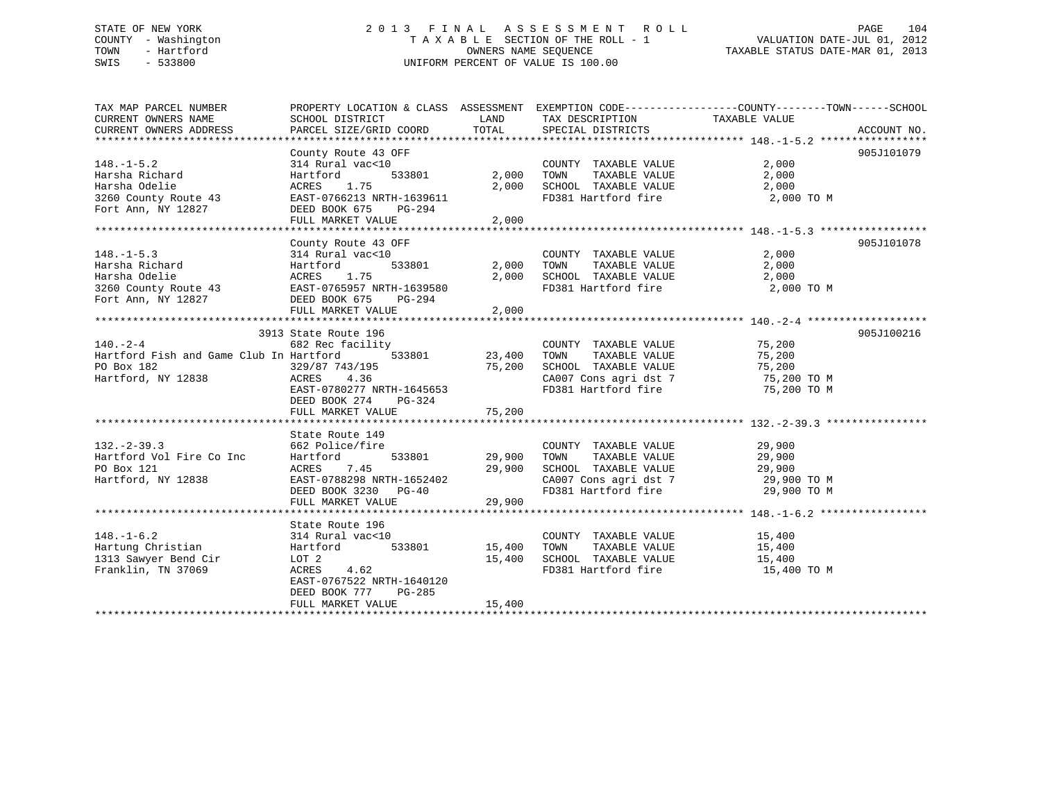#### STATE OF NEW YORK 2 0 1 3 F I N A L A S S E S S M E N T R O L L PAGE 104COUNTY - Washington T A X A B L E SECTION OF THE ROLL - 1 TOWN - Hartford **TAXABLE STATUS DATE-MAR 01, 2013** SWIS - 533800 UNIFORM PERCENT OF VALUE IS 100.00

| ◡▾▴◡<br>-----          |                           |            | ONIT ONL FERCENT OF AUTOR TO TAA AA                          |               |             |
|------------------------|---------------------------|------------|--------------------------------------------------------------|---------------|-------------|
|                        |                           |            |                                                              |               |             |
| TAX MAP PARCEL NUMBER  | PROPERTY LOCATION & CLASS | ASSESSMENT | EXEMPTION CODE-----------------COUNTY-------TOWN------SCHOOL |               |             |
| CURRENT OWNERS NAME    | SCHOOL DISTRICT           | LAND       | TAX DESCRIPTION                                              | TAXABLE VALUE |             |
| CURRENT OWNERS ADDRESS | PARCEL SIZE/GRID COORD    | TOTAL      | SPECIAL DISTRICTS                                            |               | ACCOUNT NO. |
|                        |                           |            |                                                              |               |             |
|                        | County Route 43 OFF       |            |                                                              |               | 905J101079  |
| $148. - 1 - 5.2$       | 314 Rural vac<10          |            | TAXABLE VALUE<br>COUNTY                                      | 2,000         |             |
| Harsha Richard         | 533801<br>Hartford        | 2,000      | TOWN<br>TAXABLE VALUE                                        | 2,000         |             |
| Harsha Odelie          | ACRES 1.75                | 2,000      | SCHOOL<br>TAXABLE VALUE                                      | 2,000         |             |
| 3260 County Route 43   | EAST-0766213 NRTH-1639611 |            | FD381 Hartford fire                                          | 2,000 TO M    |             |
| Fort Ann, NY 12827     | DEED BOOK 675<br>$PG-294$ |            |                                                              |               |             |
|                        | FULL MARKET VALUE         | 2,000      |                                                              |               |             |
|                        |                           |            |                                                              |               |             |

| County Route 43 OFF<br>314 Rural vac<10<br>Hartford<br>Hartford<br>ACRES 1.75<br>DEED BOOK 675<br>PG-294<br>FULL MARKET VALUE                                                   | 2,000            | COUNTY TAXABLE VALUE<br>TAXABLE VALUE                                                                                             | 905J101078<br>2,000<br>2,000<br>2,000                                                                                                                                                                                                                                                                                                                                                                                                                                                                                                                                                                                                              |
|---------------------------------------------------------------------------------------------------------------------------------------------------------------------------------|------------------|-----------------------------------------------------------------------------------------------------------------------------------|----------------------------------------------------------------------------------------------------------------------------------------------------------------------------------------------------------------------------------------------------------------------------------------------------------------------------------------------------------------------------------------------------------------------------------------------------------------------------------------------------------------------------------------------------------------------------------------------------------------------------------------------------|
| 3913 State Route 196<br>329/87 743/195<br>PO Box 182<br>Hartford, NY 12838<br>ACRES 4.36<br>DEED BOOK 274 PG-324<br>FULL MARKET VALUE                                           |                  |                                                                                                                                   | 905J100216<br>75,200<br>75,200<br>75,200 TO M                                                                                                                                                                                                                                                                                                                                                                                                                                                                                                                                                                                                      |
| State Route 149<br>662 Police/fire<br>Hartford Vol Fire Co Inc Hartford<br>7.45<br>ACRES<br>Hartford, NY 12838<br>EAST-0788298 NRTH-1652402<br>FULL MARKET VALUE                | 29,900           |                                                                                                                                   |                                                                                                                                                                                                                                                                                                                                                                                                                                                                                                                                                                                                                                                    |
| State Route 196<br>314 Rural vac<10<br>Hartford<br>533801<br>1313 Sawyer Bend Cir LOT 2<br>ACRES 4.62<br>EAST-0767522 NRTH-1640120<br>DEED BOOK 777 PG-285<br>FULL MARKET VALUE | 15,400<br>15,400 |                                                                                                                                   |                                                                                                                                                                                                                                                                                                                                                                                                                                                                                                                                                                                                                                                    |
|                                                                                                                                                                                 |                  | 3260 County Route 43 EAST-0765957 NRTH-1639580<br>75,200<br>EAST-0780277 NRTH-1645653<br>75,200<br>29,900<br>DEED BOOK 3230 PG-40 | 533801 2,000 TOWN<br>2,000 SCHOOL TAXABLE VALUE<br>FD381 Hartford fire 2,000 TO M<br>140.-2-4 682 Rec facility COUNT<br>Hartford Fish and Game Club In Hartford 533801 23,400 TOWN<br>COUNTY TAXABLE VALUE<br>TAXABLE VALUE<br>SCHOOL TAXABLE VALUE 75,200<br>CA007 Cons agri dst 7 75,200 TO M<br>FD381 Hartford fire<br>COUNTY TAXABLE VALUE 29,900<br>533801 29,900 TOWN<br>TAXABLE VALUE 29,900<br>SCHOOL TAXABLE VALUE 29,900<br>CA007 Cons agri dst 7 39,900 TO M<br>FD381 Hartford fire 29,900 TO M<br>COUNTY TAXABLE VALUE 15,400<br>15,400 TOWN<br>TAXABLE VALUE 15,400<br>SCHOOL TAXABLE VALUE 15,400<br>FD381 Hartford fire 15,400 TO M |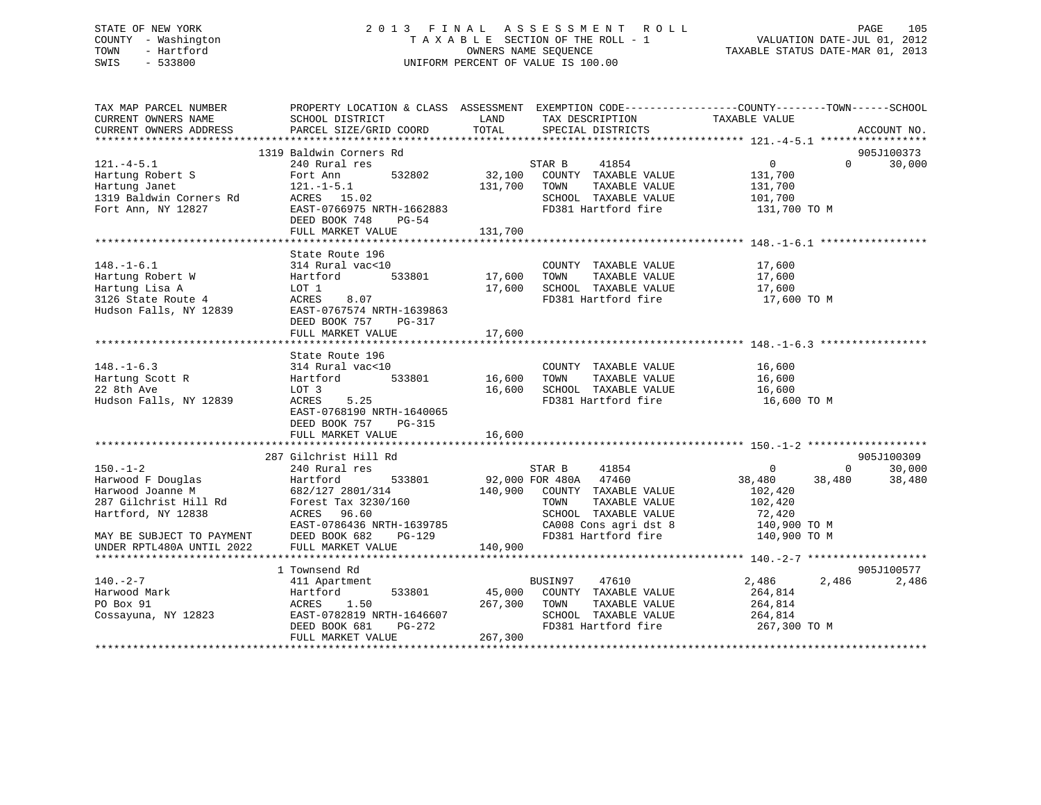# STATE OF NEW YORK 2 0 1 3 F I N A L A S S E S S M E N T R O L L PAGE 105 COUNTY - Washington T A X A B L E SECTION OF THE ROLL - 1 VALUATION DATE-JUL 01, 2012 TOWN - Hartford **TAXABLE STATUS DATE-MAR 01, 2013** SWIS - 533800 UNIFORM PERCENT OF VALUE IS 100.00

| TAX MAP PARCEL NUMBER                                   | PROPERTY LOCATION & CLASS ASSESSMENT EXEMPTION CODE---------------COUNTY-------TOWN-----SCHOOL                                                                                                                                              |         |                                                                                                                                                                                                                                  |                    |                |                      |
|---------------------------------------------------------|---------------------------------------------------------------------------------------------------------------------------------------------------------------------------------------------------------------------------------------------|---------|----------------------------------------------------------------------------------------------------------------------------------------------------------------------------------------------------------------------------------|--------------------|----------------|----------------------|
| CURRENT OWNERS NAME SCHOOL DISTRICT                     |                                                                                                                                                                                                                                             | LAND    | TAX DESCRIPTION                                                                                                                                                                                                                  | TAXABLE VALUE      |                |                      |
| CURRENT OWNERS ADDRESS                                  | PARCEL SIZE/GRID COORD                                                                                                                                                                                                                      | TOTAL   | SPECIAL DISTRICTS                                                                                                                                                                                                                |                    |                | ACCOUNT NO.          |
|                                                         | 1319 Baldwin Corners Rd                                                                                                                                                                                                                     |         |                                                                                                                                                                                                                                  |                    |                | 905J100373           |
| $121. -4 - 5.1$                                         | 240 Rural res                                                                                                                                                                                                                               |         | STAR B 41854                                                                                                                                                                                                                     | $\overline{0}$     |                | $0 \t 30,000$        |
|                                                         |                                                                                                                                                                                                                                             |         |                                                                                                                                                                                                                                  |                    |                |                      |
|                                                         |                                                                                                                                                                                                                                             |         |                                                                                                                                                                                                                                  |                    |                |                      |
|                                                         |                                                                                                                                                                                                                                             |         |                                                                                                                                                                                                                                  |                    |                |                      |
|                                                         | Hartung Robert S<br>Hartung Janet Startung Janet 121.-1-5.1 532802 32,100 COUNTY TAXABLE VALUE<br>131,700 TOWN TAXABLE VALUE 131,700<br>1319 Baldwin Corners Rd ACRES 15.02 SCHOOL TAXABLE VALUE 131,700<br>Fort Ann, NY 12827 EAST-07      |         |                                                                                                                                                                                                                                  | 131,700 TO M       |                |                      |
|                                                         |                                                                                                                                                                                                                                             |         |                                                                                                                                                                                                                                  |                    |                |                      |
|                                                         | FULL MARKET VALUE                                                                                                                                                                                                                           | 131,700 |                                                                                                                                                                                                                                  |                    |                |                      |
|                                                         |                                                                                                                                                                                                                                             |         |                                                                                                                                                                                                                                  |                    |                |                      |
|                                                         | State Route 196                                                                                                                                                                                                                             |         |                                                                                                                                                                                                                                  |                    |                |                      |
|                                                         |                                                                                                                                                                                                                                             |         | COUNTY TAXABLE VALUE 17,600                                                                                                                                                                                                      |                    |                |                      |
|                                                         |                                                                                                                                                                                                                                             |         |                                                                                                                                                                                                                                  |                    |                |                      |
|                                                         |                                                                                                                                                                                                                                             |         |                                                                                                                                                                                                                                  |                    |                |                      |
|                                                         |                                                                                                                                                                                                                                             |         | 17,600 CHOOL TAXABLE VALUE 17,600<br>17,600 SCHOOL TAXABLE VALUE 17,600<br>FD381 Hartford fire                                                                                                                                   | 17,600 TO M        |                |                      |
|                                                         | 148.-1-6.1<br>Hartung Robert W (314 Rural vac<10)<br>Hartford 533801 17,600 TOWN TAXABLE VALUE<br>Hartung Lisa A LOT 1 17,600 SCHOOL TAXABLE VALUE<br>3126 State Route 4 ACRES 8.07<br>Hudson Falls, NY 12839 EAST-0767574 NRTH-1639863<br> |         |                                                                                                                                                                                                                                  |                    |                |                      |
|                                                         | DEED BOOK 757<br>PG-317                                                                                                                                                                                                                     |         |                                                                                                                                                                                                                                  |                    |                |                      |
|                                                         | FULL MARKET VALUE                                                                                                                                                                                                                           | 17,600  |                                                                                                                                                                                                                                  |                    |                |                      |
|                                                         |                                                                                                                                                                                                                                             |         |                                                                                                                                                                                                                                  |                    |                |                      |
|                                                         |                                                                                                                                                                                                                                             |         |                                                                                                                                                                                                                                  |                    |                |                      |
| $148. - 1 - 6.3$                                        |                                                                                                                                                                                                                                             |         | COUNTY TAXABLE VALUE 16,600<br>TOWN TAXABLE VALUE 16,600                                                                                                                                                                         |                    |                |                      |
| Hartung Scott R                                         |                                                                                                                                                                                                                                             |         |                                                                                                                                                                                                                                  |                    |                |                      |
| Hartung Scott R<br>22 8th Ave<br>Hudson Falls, NY 12839 |                                                                                                                                                                                                                                             |         | 16,600 TOWN TAAADDE VADOO<br>16,600 SCHOOL TAXABLE VALUE 16,600<br>PD201 Hartford fire 16,600 TO M                                                                                                                               |                    |                |                      |
|                                                         |                                                                                                                                                                                                                                             |         |                                                                                                                                                                                                                                  |                    |                |                      |
|                                                         | EAST-0768190 NRTH-1640065                                                                                                                                                                                                                   |         |                                                                                                                                                                                                                                  |                    |                |                      |
|                                                         | DEED BOOK 757 PG-315                                                                                                                                                                                                                        |         |                                                                                                                                                                                                                                  |                    |                |                      |
|                                                         | FULL MARKET VALUE                                                                                                                                                                                                                           | 16,600  |                                                                                                                                                                                                                                  |                    |                |                      |
|                                                         |                                                                                                                                                                                                                                             |         |                                                                                                                                                                                                                                  |                    |                |                      |
|                                                         | 287 Gilchrist Hill Rd                                                                                                                                                                                                                       |         |                                                                                                                                                                                                                                  | $\sim$ 0           | $\overline{0}$ | 905J100309<br>30,000 |
|                                                         |                                                                                                                                                                                                                                             |         |                                                                                                                                                                                                                                  | 38,480 38,480      |                | 38,480               |
|                                                         |                                                                                                                                                                                                                                             |         |                                                                                                                                                                                                                                  |                    |                |                      |
|                                                         |                                                                                                                                                                                                                                             |         |                                                                                                                                                                                                                                  | 102,420<br>102,420 |                |                      |
|                                                         |                                                                                                                                                                                                                                             |         |                                                                                                                                                                                                                                  |                    |                |                      |
|                                                         |                                                                                                                                                                                                                                             |         | $\begin{tabular}{lllllllll} \texttt{SCHOOL} & \texttt{TAXABLE} & \texttt{VALUE} & & \texttt{72,420} \\ \texttt{CA008} & \texttt{Cons}\ & \texttt{agt}\ & \texttt{8} & & \texttt{140,900} & \texttt{TO}~\texttt{M} \end{tabular}$ |                    |                |                      |
|                                                         |                                                                                                                                                                                                                                             |         |                                                                                                                                                                                                                                  |                    |                |                      |
|                                                         |                                                                                                                                                                                                                                             |         |                                                                                                                                                                                                                                  |                    |                |                      |
|                                                         | HATTIOTO, NY 12838 ACKES 96.60<br>EAST-0786436 NRTH-1639785 CHOOL IAAABLE VALUE (2022 EVERTHEND DEED BOOK 682 PG-129 FD381 Hartford fire 140,900 TO M<br>UNDER RPTL480A UNTIL 2022 FULL MARKET VALUE 140,900<br>********************        |         |                                                                                                                                                                                                                                  |                    |                |                      |
|                                                         | 1 Townsend Rd                                                                                                                                                                                                                               |         |                                                                                                                                                                                                                                  |                    |                | 905J100577           |
| $140. -2 - 7$                                           | 411 Apartment                                                                                                                                                                                                                               |         | 47610<br>BUSIN97                                                                                                                                                                                                                 | 2,486              |                | 2,486 2,486          |
|                                                         |                                                                                                                                                                                                                                             |         |                                                                                                                                                                                                                                  | 264,814            |                |                      |
|                                                         |                                                                                                                                                                                                                                             |         | TAXABLE VALUE                                                                                                                                                                                                                    | 264,814            |                |                      |
|                                                         |                                                                                                                                                                                                                                             |         |                                                                                                                                                                                                                                  |                    |                |                      |
|                                                         | Hartford 533801 45,000 COUNTY TAXABLE VALUE<br>ACRES 1.50 267,300 TOWN TAXABLE VALUE<br>EAST-0782819 NRTH-1646607 SCHOOL TAXABLE VALUE<br>DEED BOOK 681 PG-272 FD381 Hartford fire<br>DEED BOOK 681                                         |         | SCHOOL TAXABLE VALUE<br>FD381 Hartford fire 267,300 TO M                                                                                                                                                                         |                    |                |                      |
|                                                         | FULL MARKET VALUE                                                                                                                                                                                                                           | 267,300 |                                                                                                                                                                                                                                  |                    |                |                      |
|                                                         |                                                                                                                                                                                                                                             |         |                                                                                                                                                                                                                                  |                    |                |                      |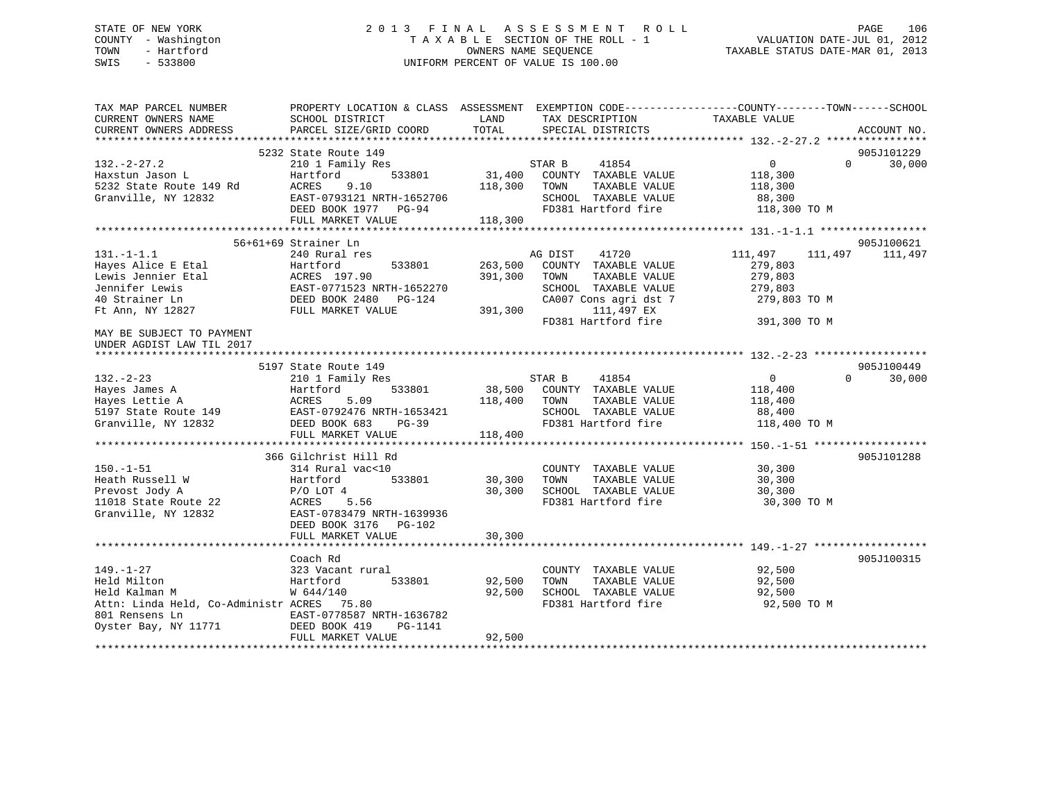# STATE OF NEW YORK 2 0 1 3 F I N A L A S S E S S M E N T R O L L PAGE 106 COUNTY - Washington T A X A B L E SECTION OF THE ROLL - 1 VALUATION DATE-JUL 01, 2012 TOWN - Hartford **TAXABLE STATUS DATE-MAR 01, 2013** SWIS - 533800 UNIFORM PERCENT OF VALUE IS 100.00

| TAX MAP PARCEL NUMBER<br>CURRENT OWNERS NAME<br>CURRENT OWNERS ADDRESS | SCHOOL DISTRICT<br>PARCEL SIZE/GRID COORD | LAND<br>TOTAL | TAX DESCRIPTION<br>SPECIAL DISTRICTS | PROPERTY LOCATION & CLASS ASSESSMENT EXEMPTION CODE---------------COUNTY-------TOWN-----SCHOOL<br>TAXABLE VALUE | ACCOUNT NO. |
|------------------------------------------------------------------------|-------------------------------------------|---------------|--------------------------------------|-----------------------------------------------------------------------------------------------------------------|-------------|
|                                                                        |                                           |               |                                      |                                                                                                                 |             |
|                                                                        | 5232 State Route 149                      |               |                                      |                                                                                                                 | 905J101229  |
| $132 - 2 - 27.2$                                                       | 210 1 Family Res                          |               | 41854<br>STAR B                      | $\overline{0}$<br>$\Omega$                                                                                      | 30,000      |
| Haxstun Jason L                                                        | 533801<br>Hartford                        |               | 31,400 COUNTY TAXABLE VALUE          | 118,300                                                                                                         |             |
| 5232 State Route 149 Rd                                                | 9.10<br>ACRES                             | 118,300       | TOWN<br>TAXABLE VALUE                | 118,300                                                                                                         |             |
| Granville, NY 12832                                                    | EAST-0793121 NRTH-1652706                 |               | SCHOOL TAXABLE VALUE                 | 88,300                                                                                                          |             |
|                                                                        | DEED BOOK 1977 PG-94                      |               | FD381 Hartford fire                  | 118,300 TO M                                                                                                    |             |
|                                                                        | FULL MARKET VALUE                         | 118,300       |                                      |                                                                                                                 |             |
|                                                                        |                                           |               |                                      |                                                                                                                 |             |
|                                                                        | 56+61+69 Strainer Ln                      |               |                                      |                                                                                                                 | 905J100621  |
| $131. -1 - 1.1$                                                        | 240 Rural res                             |               | 41720<br>AG DIST                     | 111,497<br>111,497                                                                                              | 111,497     |
| Hayes Alice E Etal                                                     | 533801<br>Hartford                        | 263,500       | COUNTY TAXABLE VALUE                 | 279,803                                                                                                         |             |
| Lewis Jennier Etal                                                     | ACRES 197.90                              | 391,300       | TOWN<br>TAXABLE VALUE                | 279,803                                                                                                         |             |
| Jennifer Lewis                                                         | EAST-0771523 NRTH-1652270                 |               | SCHOOL TAXABLE VALUE                 | 279,803                                                                                                         |             |
| 40 Strainer Ln                                                         | DEED BOOK 2480 PG-124                     |               | CA007 Cons agri dst 7                | 279,803 TO M                                                                                                    |             |
| Ft Ann, NY 12827                                                       | FULL MARKET VALUE                         | 391,300       | 111,497 EX                           |                                                                                                                 |             |
|                                                                        |                                           |               | FD381 Hartford fire                  | 391,300 TO M                                                                                                    |             |
| MAY BE SUBJECT TO PAYMENT<br>UNDER AGDIST LAW TIL 2017                 |                                           |               |                                      |                                                                                                                 |             |
|                                                                        |                                           |               |                                      |                                                                                                                 |             |
|                                                                        | 5197 State Route 149                      |               |                                      |                                                                                                                 | 905J100449  |
| $132 - 2 - 23$                                                         | 210 1 Family Res                          |               | 41854<br>STAR B                      | $\mathbf{0}$<br>$\Omega$                                                                                        | 30,000      |
| Hayes James A                                                          | Hartford<br>533801                        |               | 38,500 COUNTY TAXABLE VALUE          | 118,400                                                                                                         |             |
| Hayes Lettie A                                                         | ACRES<br>5.09                             | 118,400       | TOWN<br>TAXABLE VALUE                | 118,400                                                                                                         |             |
| 5197 State Route 149                                                   | EAST-0792476 NRTH-1653421                 |               | SCHOOL TAXABLE VALUE                 | 88,400                                                                                                          |             |
| Granville, NY 12832                                                    | DEED BOOK 683<br>$PG-39$                  |               | FD381 Hartford fire                  | 118,400 TO M                                                                                                    |             |
|                                                                        | FULL MARKET VALUE                         | 118,400       |                                      |                                                                                                                 |             |
|                                                                        |                                           |               |                                      |                                                                                                                 |             |
|                                                                        | 366 Gilchrist Hill Rd                     |               |                                      |                                                                                                                 | 905J101288  |
| $150.-1-51$                                                            | 314 Rural vac<10                          |               | COUNTY TAXABLE VALUE                 | 30,300                                                                                                          |             |
| Heath Russell W                                                        | 533801<br>Hartford                        | 30,300        | TOWN<br>TAXABLE VALUE                | 30,300                                                                                                          |             |
| Prevost Jody A                                                         | $P/O$ LOT $4$                             | 30,300        | SCHOOL TAXABLE VALUE                 | 30,300                                                                                                          |             |
| 11018 State Route 22                                                   | ACRES 5.56                                |               | FD381 Hartford fire                  | 30,300 TO M                                                                                                     |             |
| Granville, NY 12832                                                    | EAST-0783479 NRTH-1639936                 |               |                                      |                                                                                                                 |             |
|                                                                        | DEED BOOK 3176 PG-102                     |               |                                      |                                                                                                                 |             |
|                                                                        | FULL MARKET VALUE                         | 30,300        |                                      |                                                                                                                 |             |
|                                                                        |                                           |               |                                      |                                                                                                                 |             |
|                                                                        | Coach Rd                                  |               |                                      |                                                                                                                 | 905J100315  |
| $149. - 1 - 27$                                                        | 323 Vacant rural                          |               | COUNTY TAXABLE VALUE                 | 92,500                                                                                                          |             |
| Held Milton                                                            | Hartford<br>533801                        | 92,500        | TOWN<br>TAXABLE VALUE                | 92,500                                                                                                          |             |
| Held Kalman M                                                          | W 644/140                                 | 92,500        | SCHOOL TAXABLE VALUE                 | 92,500                                                                                                          |             |
| Attn: Linda Held, Co-Administr ACRES 75.80                             |                                           |               | FD381 Hartford fire                  | 92,500 TO M                                                                                                     |             |
| 801 Rensens Ln                                                         | EAST-0778587 NRTH-1636782                 |               |                                      |                                                                                                                 |             |
| Oyster Bay, NY 11771                                                   | DEED BOOK 419<br>PG-1141                  |               |                                      |                                                                                                                 |             |
|                                                                        | FULL MARKET VALUE                         | 92,500        |                                      |                                                                                                                 |             |
|                                                                        |                                           |               |                                      |                                                                                                                 |             |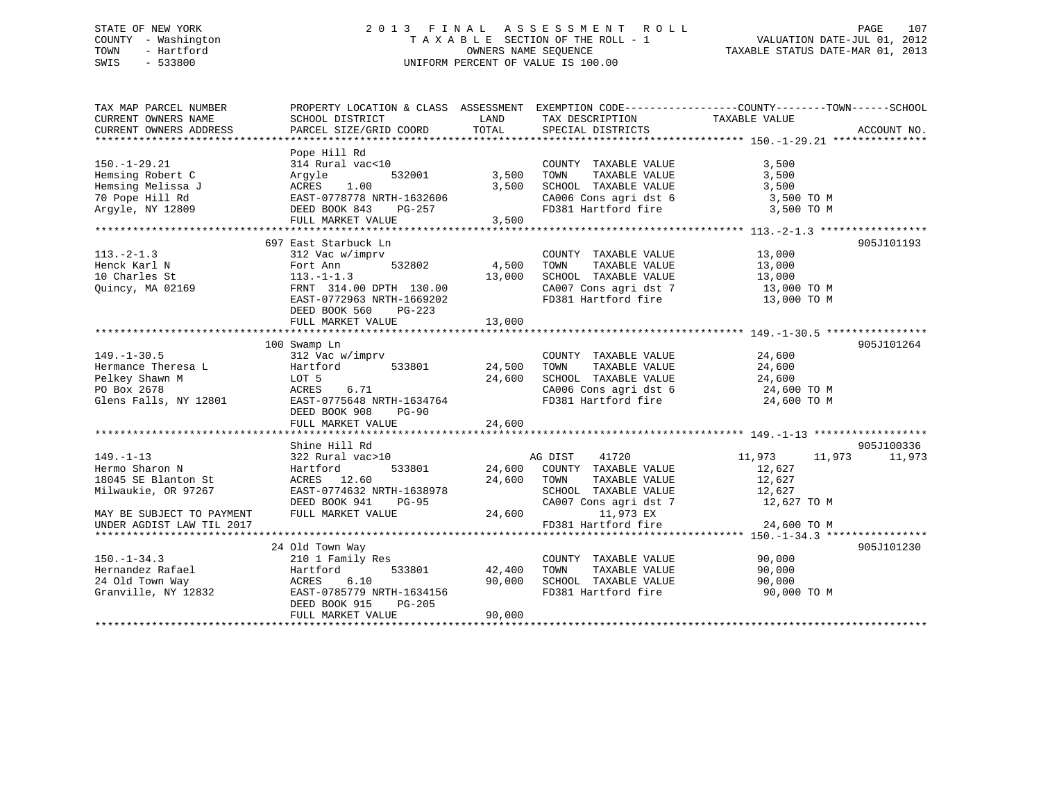# STATE OF NEW YORK 2 0 1 3 F I N A L A S S E S S M E N T R O L L PAGE 107 COUNTY - Washington T A X A B L E SECTION OF THE ROLL - 1 VALUATION DATE-JUL 01, 2012 TOWN - Hartford **TAXABLE STATUS DATE-MAR 01, 2013** SWIS - 533800 UNIFORM PERCENT OF VALUE IS 100.00

| TAX MAP PARCEL NUMBER     | PROPERTY LOCATION & CLASS ASSESSMENT EXEMPTION CODE---------------COUNTY-------TOWN------SCHOOL |               |                                              |                              |             |
|---------------------------|-------------------------------------------------------------------------------------------------|---------------|----------------------------------------------|------------------------------|-------------|
| CURRENT OWNERS NAME       | SCHOOL DISTRICT                                                                                 | LAND          | TAX DESCRIPTION                              | TAXABLE VALUE                |             |
| CURRENT OWNERS ADDRESS    | PARCEL SIZE/GRID COORD                                                                          | TOTAL         | SPECIAL DISTRICTS                            |                              | ACCOUNT NO. |
|                           |                                                                                                 |               |                                              |                              |             |
|                           | Pope Hill Rd                                                                                    |               |                                              |                              |             |
| $150. - 1 - 29.21$        | 314 Rural vac<10                                                                                |               | COUNTY TAXABLE VALUE                         | 3,500                        |             |
| Hemsing Robert C          | 532001<br>Argyle                                                                                | 3,500         | TOWN<br>TAXABLE VALUE                        | 3,500                        |             |
| Hemsing Melissa J         | ACRES 1.00                                                                                      | 3,500         | SCHOOL TAXABLE VALUE                         | 3,500                        |             |
| 70 Pope Hill Rd           | EAST-0778778 NRTH-1632606                                                                       |               | CA006 Cons agri dst 6                        | 3,500 TO M                   |             |
| Argyle, NY 12809          | $PG-257$<br>DEED BOOK 843                                                                       |               | FD381 Hartford fire 3,500 TO M               |                              |             |
|                           | FULL MARKET VALUE 3,500                                                                         |               |                                              |                              |             |
|                           |                                                                                                 |               |                                              |                              |             |
|                           | 697 East Starbuck Ln                                                                            |               |                                              |                              | 905J101193  |
| $113. -2 - 1.3$           | 312 Vac w/imprv                                                                                 |               | COUNTY TAXABLE VALUE                         | 13,000                       |             |
| Henck Karl N              | Fort Ann                                                                                        | 532802 4,500  | TAXABLE VALUE<br>TOWN                        | 13,000                       |             |
| 10 Charles St             | $113.-1-1.3$                                                                                    | 13,000        | SCHOOL TAXABLE VALUE                         | 13,000                       |             |
| Quincy, MA 02169          | FRNT 314.00 DPTH 130.00                                                                         |               |                                              |                              |             |
|                           | EAST-0772963 NRTH-1669202                                                                       |               | FD381 Hartford fire                          | 13,000 TO M                  |             |
|                           | DEED BOOK 560 PG-223                                                                            |               |                                              |                              |             |
|                           | FULL MARKET VALUE                                                                               | 13,000        |                                              |                              |             |
|                           |                                                                                                 |               |                                              |                              |             |
|                           | 100 Swamp Ln                                                                                    |               |                                              |                              | 905J101264  |
| $149. - 1 - 30.5$         | 312 Vac w/imprv                                                                                 |               | COUNTY TAXABLE VALUE                         |                              |             |
| Hermance Theresa L        | 533801<br>Hartford                                                                              | 24,500        | TAXABLE VALUE<br>TOWN                        | $24,600$<br>24.500<br>24,600 |             |
| Pelkey Shawn M            | LOT 5                                                                                           | 24,600        | SCHOOL TAXABLE VALUE                         | 24,600                       |             |
| PO Box 2678               | 6.71<br>ACRES                                                                                   |               |                                              | 24,600 TO M                  |             |
| Glens Falls, NY 12801     | EAST-0775648 NRTH-1634764                                                                       |               | CA006 Cons agri dst 6<br>FD381 Hartford fire | 24,600 TO M                  |             |
|                           | DEED BOOK 908<br><b>PG-90</b>                                                                   |               |                                              |                              |             |
|                           | FULL MARKET VALUE                                                                               | 24,600        |                                              |                              |             |
|                           |                                                                                                 |               |                                              |                              |             |
|                           | Shine Hill Rd                                                                                   |               |                                              |                              | 905J100336  |
| $149. - 1 - 13$           | 322 Rural vac>10                                                                                |               | AG DIST<br>41720                             | 11,973 11,973                | 11,973      |
| Hermo Sharon N            | 533801<br>Hartford                                                                              |               | 24,600 COUNTY TAXABLE VALUE                  |                              |             |
| 18045 SE Blanton St       | ACRES 12.60                                                                                     |               | 24,600 TOWN<br>TAXABLE VALUE                 | 12,627<br>12,627             |             |
| Milwaukie, OR 97267       | EAST-0774632 NRTH-1638978                                                                       |               | SCHOOL TAXABLE VALUE                         |                              |             |
|                           | DEED BOOK 941<br><b>PG-95</b>                                                                   |               |                                              | 12,627<br>12,627 TO M        |             |
|                           | FULL MARKET VALUE                                                                               |               | CA007 Cons agri dst 7<br>24,600<br>11,973 EX |                              |             |
| MAY BE SUBJECT TO PAYMENT |                                                                                                 |               |                                              |                              |             |
| UNDER AGDIST LAW TIL 2017 |                                                                                                 |               | FD381 Hartford fire                          | 24,600 TO M                  |             |
|                           |                                                                                                 |               |                                              |                              |             |
|                           | 24 Old Town Way                                                                                 |               |                                              |                              | 905J101230  |
| $150. - 1 - 34.3$         | 210 1 Family Res                                                                                |               | COUNTY TAXABLE VALUE 90,000                  |                              |             |
| Hernandez Rafael          | Hartford                                                                                        | 533801 42,400 | TOWN<br>TAXABLE VALUE                        | 90,000                       |             |
| 24 Old Town Way           | ACRES 6.10                                                                                      | 90,000        | SCHOOL TAXABLE VALUE<br>FD381 Hartford fire  | 90,000                       |             |
| Granville, NY 12832       | EAST-0785779 NRTH-1634156                                                                       |               |                                              | 90,000 TO M                  |             |
|                           | DEED BOOK 915<br>PG-205                                                                         |               |                                              |                              |             |
|                           | FULL MARKET VALUE                                                                               | 90,000        |                                              |                              |             |
|                           |                                                                                                 |               |                                              |                              |             |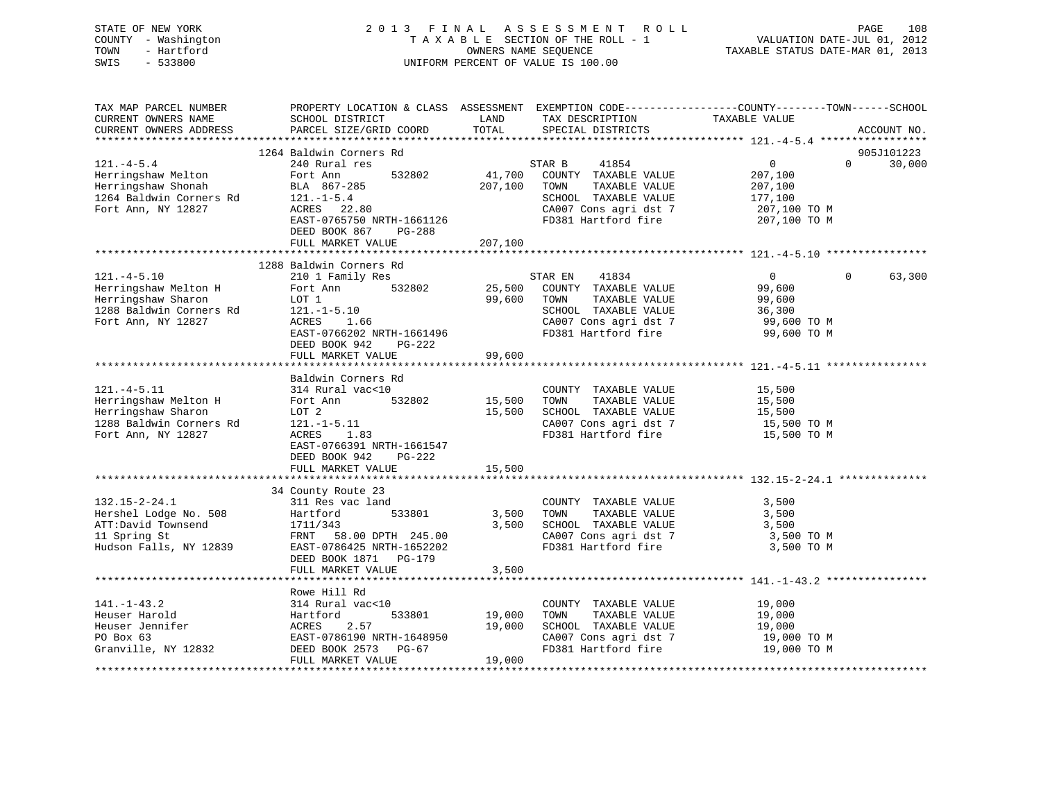STATE OF NEW YORK 2 0 1 3 F I N A L A S S E S S M E N T R O L L PAGE 108 COUNTY - Washington T A X A B L E SECTION OF THE ROLL - 1 VALUATION DATE-JUL 01, 2012 TOWN - Hartford **TAXABLE STATUS DATE-MAR 01, 2013** SWIS - 533800 UNIFORM PERCENT OF VALUE IS 100.00

| TAX MAP PARCEL NUMBER                              |                           |               |                                                     | PROPERTY LOCATION & CLASS ASSESSMENT EXEMPTION CODE---------------COUNTY-------TOWN-----SCHOOL                                                                                                                                                                                                                                                       |             |
|----------------------------------------------------|---------------------------|---------------|-----------------------------------------------------|------------------------------------------------------------------------------------------------------------------------------------------------------------------------------------------------------------------------------------------------------------------------------------------------------------------------------------------------------|-------------|
| CURRENT OWNERS NAME                                | SCHOOL DISTRICT           | LAND          | TAX DESCRIPTION                                     | TAXABLE VALUE                                                                                                                                                                                                                                                                                                                                        |             |
| CURRENT OWNERS ADDRESS                             | PARCEL SIZE/GRID COORD    | TOTAL         | SPECIAL DISTRICTS                                   |                                                                                                                                                                                                                                                                                                                                                      | ACCOUNT NO. |
|                                                    |                           |               |                                                     |                                                                                                                                                                                                                                                                                                                                                      |             |
|                                                    | 1264 Baldwin Corners Rd   |               |                                                     |                                                                                                                                                                                                                                                                                                                                                      | 905J101223  |
| $121. -4-5.4$                                      | 240 Rural res             |               | STAR B<br>41854                                     | $0 \qquad \qquad$<br>$\Omega$                                                                                                                                                                                                                                                                                                                        | 30,000      |
| Herringshaw Melton                                 | 532802<br>Fort Ann        | 41,700        | COUNTY TAXABLE VALUE                                | 207,100                                                                                                                                                                                                                                                                                                                                              |             |
| Herringshaw Shonah                                 | BLA 867-285               | 207,100       | TOWN<br>TAXABLE VALUE                               | 207,100                                                                                                                                                                                                                                                                                                                                              |             |
| 1264 Baldwin Corners Rd                            | $121. -1 - 5.4$           |               | SCHOOL TAXABLE VALUE                                | 177,100                                                                                                                                                                                                                                                                                                                                              |             |
| Fort Ann, NY 12827                                 | ACRES 22.80               |               | CA007 Cons agri dst 7                               | 207,100 TO M                                                                                                                                                                                                                                                                                                                                         |             |
|                                                    | EAST-0765750 NRTH-1661126 |               | FD381 Hartford fire 207,100 TO M                    |                                                                                                                                                                                                                                                                                                                                                      |             |
|                                                    | DEED BOOK 867<br>PG-288   |               |                                                     |                                                                                                                                                                                                                                                                                                                                                      |             |
|                                                    | FULL MARKET VALUE         | 207,100       |                                                     |                                                                                                                                                                                                                                                                                                                                                      |             |
|                                                    |                           |               |                                                     |                                                                                                                                                                                                                                                                                                                                                      |             |
|                                                    | 1288 Baldwin Corners Rd   |               |                                                     |                                                                                                                                                                                                                                                                                                                                                      |             |
| $121. -4 - 5.10$                                   | 210 1 Family Res          |               | STAR EN 41834                                       | $\overline{0}$<br>$\overline{0}$ and $\overline{0}$ and $\overline{0}$ and $\overline{0}$ and $\overline{0}$ and $\overline{0}$ and $\overline{0}$ and $\overline{0}$ and $\overline{0}$ and $\overline{0}$ and $\overline{0}$ and $\overline{0}$ and $\overline{0}$ and $\overline{0}$ and $\overline{0}$ and $\overline{0}$ and $\overline{0}$ and | 63,300      |
| Herringshaw Melton H                               | 532802<br>Fort Ann        |               | 25,500 COUNTY TAXABLE VALUE                         | 99,600                                                                                                                                                                                                                                                                                                                                               |             |
| Herringshaw Sharon                                 | LOT 1                     | 99,600        | TAXABLE VALUE<br>TOWN                               | 99,600                                                                                                                                                                                                                                                                                                                                               |             |
| 1288 Baldwin Corners Rd                            |                           |               | SCHOOL TAXABLE VALUE                                | 36,300                                                                                                                                                                                                                                                                                                                                               |             |
| Fort Ann, NY 12827                                 | 121.-1-5.10<br>ACRES 1.66 |               | VALUE<br>CA007 Cons agri dst 7<br>FD381 Hartford of | 36,300<br>99,600 TO M                                                                                                                                                                                                                                                                                                                                |             |
|                                                    | EAST-0766202 NRTH-1661496 |               | FD381 Hartford fire                                 | 99,600 TO M                                                                                                                                                                                                                                                                                                                                          |             |
|                                                    | DEED BOOK 942<br>PG-222   |               |                                                     |                                                                                                                                                                                                                                                                                                                                                      |             |
|                                                    | FULL MARKET VALUE         | 99,600        |                                                     |                                                                                                                                                                                                                                                                                                                                                      |             |
|                                                    |                           |               |                                                     |                                                                                                                                                                                                                                                                                                                                                      |             |
|                                                    | Baldwin Corners Rd        |               |                                                     |                                                                                                                                                                                                                                                                                                                                                      |             |
| $121. -4 - 5.11$                                   | 314 Rural vac<10          |               | COUNTY TAXABLE VALUE                                | 15,500                                                                                                                                                                                                                                                                                                                                               |             |
| Herringshaw Melton H                               | Fort Ann<br>532802        | 15,500        | TAXABLE VALUE<br>TOWN                               | 15,500                                                                                                                                                                                                                                                                                                                                               |             |
| Herringshaw Sharon                                 | LOT 2                     | 15,500        | SCHOOL TAXABLE VALUE                                | 15,500                                                                                                                                                                                                                                                                                                                                               |             |
| 1288 Baldwin Corners Rd                            | $121.-1-5.11$             |               |                                                     | 15,500 TO M                                                                                                                                                                                                                                                                                                                                          |             |
| Fort Ann, NY 12827                                 | 1.83<br>ACRES             |               | CA007 Cons agri dst 7<br>FD381 Hartford fire        | 15,500 TO M                                                                                                                                                                                                                                                                                                                                          |             |
|                                                    | EAST-0766391 NRTH-1661547 |               |                                                     |                                                                                                                                                                                                                                                                                                                                                      |             |
|                                                    | DEED BOOK 942<br>PG-222   |               |                                                     |                                                                                                                                                                                                                                                                                                                                                      |             |
|                                                    | FULL MARKET VALUE         | 15,500        |                                                     |                                                                                                                                                                                                                                                                                                                                                      |             |
|                                                    |                           |               |                                                     |                                                                                                                                                                                                                                                                                                                                                      |             |
|                                                    | 34 County Route 23        |               |                                                     |                                                                                                                                                                                                                                                                                                                                                      |             |
| $132.15 - 2 - 24.1$                                | 311 Res vac land          |               | COUNTY TAXABLE VALUE                                | 3,500                                                                                                                                                                                                                                                                                                                                                |             |
| Hershel Lodge No. 508                              | 533801<br>Hartford        | 3,500         | TOWN<br>TAXABLE VALUE                               | 3,500                                                                                                                                                                                                                                                                                                                                                |             |
|                                                    | 1711/343                  | 3,500         | SCHOOL TAXABLE VALUE 3,500                          |                                                                                                                                                                                                                                                                                                                                                      |             |
| ATT:David Townsend<br>11 Spring St<br>11 Spring St | FRNT 58.00 DPTH 245.00    |               | CA007 Cons agri dst 7                               | 3,500 TO M                                                                                                                                                                                                                                                                                                                                           |             |
| Hudson Falls, NY 12839                             | EAST-0786425 NRTH-1652202 |               | FD381 Hartford fire                                 | 3,500 TO M                                                                                                                                                                                                                                                                                                                                           |             |
|                                                    | DEED BOOK 1871 PG-179     |               |                                                     |                                                                                                                                                                                                                                                                                                                                                      |             |
|                                                    | FULL MARKET VALUE         | 3,500         |                                                     |                                                                                                                                                                                                                                                                                                                                                      |             |
|                                                    |                           |               |                                                     |                                                                                                                                                                                                                                                                                                                                                      |             |
|                                                    | Rowe Hill Rd              |               |                                                     |                                                                                                                                                                                                                                                                                                                                                      |             |
| $141. - 1 - 43.2$                                  | 314 Rural vac<10          |               | COUNTY TAXABLE VALUE                                | 19,000                                                                                                                                                                                                                                                                                                                                               |             |
| Heuser Harold                                      | Hartford                  | 533801 19,000 | TAXABLE VALUE<br>TOWN                               |                                                                                                                                                                                                                                                                                                                                                      |             |
| Heuser Jennifer                                    | 2.57<br>ACRES             | 19,000        | SCHOOL TAXABLE VALUE                                | 19,000<br>19,000                                                                                                                                                                                                                                                                                                                                     |             |
| PO Box 63                                          | EAST-0786190 NRTH-1648950 |               | CA007 Cons agri dst 7                               | 19,000 TO M                                                                                                                                                                                                                                                                                                                                          |             |
| Granville, NY 12832                                | DEED BOOK 2573 PG-67      |               | FD381 Hartford fire                                 | 19,000 TO M                                                                                                                                                                                                                                                                                                                                          |             |
|                                                    | FULL MARKET VALUE         | 19,000        |                                                     |                                                                                                                                                                                                                                                                                                                                                      |             |
|                                                    |                           |               |                                                     |                                                                                                                                                                                                                                                                                                                                                      |             |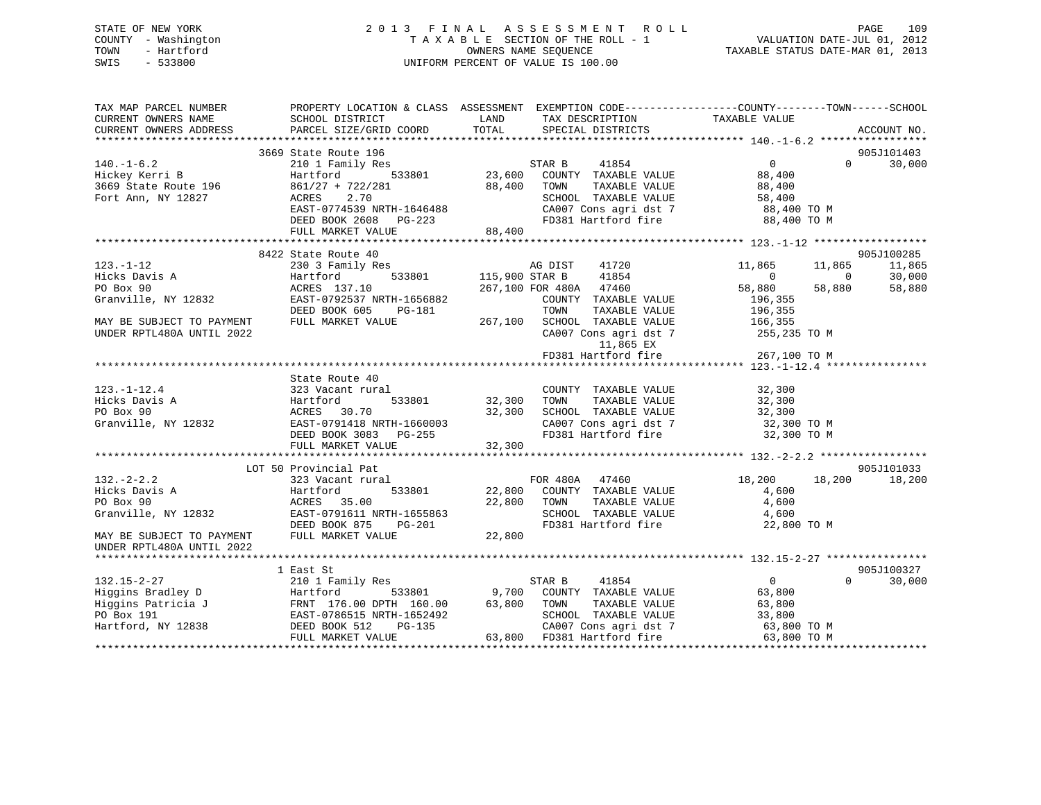# STATE OF NEW YORK 2 0 1 3 F I N A L A S S E S S M E N T R O L L PAGE 109 COUNTY - Washington T A X A B L E SECTION OF THE ROLL - 1 VALUATION DATE-JUL 01, 2012 TOWN - Hartford **TAXABLE STATUS DATE-MAR 01, 2013** SWIS - 533800 UNIFORM PERCENT OF VALUE IS 100.00

| TAX MAP PARCEL NUMBER<br>CURRENT OWNERS NAME<br>CURRENT OWNERS ADDRESS | PROPERTY LOCATION & CLASS ASSESSMENT<br>SCHOOL DISTRICT<br>PARCEL SIZE/GRID COORD | LAND<br>TOTAL  | EXEMPTION CODE-----------------COUNTY-------TOWN------SCHOOL<br>TAX DESCRIPTION<br>SPECIAL DISTRICTS | TAXABLE VALUE  |                | ACCOUNT NO. |
|------------------------------------------------------------------------|-----------------------------------------------------------------------------------|----------------|------------------------------------------------------------------------------------------------------|----------------|----------------|-------------|
|                                                                        |                                                                                   |                |                                                                                                      |                |                |             |
|                                                                        | 3669 State Route 196                                                              |                |                                                                                                      |                |                | 905J101403  |
| $140. - 1 - 6.2$                                                       | 210 1 Family Res                                                                  |                | 41854<br>STAR B                                                                                      | $\overline{0}$ | $\Omega$       | 30,000      |
| Hickey Kerri B                                                         | Hartford<br>533801                                                                | 23,600         | COUNTY TAXABLE VALUE                                                                                 | 88,400         |                |             |
| 3669 State Route 196                                                   | $861/27 + 722/281$                                                                | 88,400         | TAXABLE VALUE<br>TOWN                                                                                | 88,400         |                |             |
| Fort Ann, NY 12827                                                     | 2.70<br>ACRES                                                                     |                | SCHOOL TAXABLE VALUE                                                                                 | 58,400         |                |             |
|                                                                        | EAST-0774539 NRTH-1646488                                                         |                | CA007 Cons agri dst 7                                                                                | 88,400 TO M    |                |             |
|                                                                        | DEED BOOK 2608<br>PG-223                                                          |                | FD381 Hartford fire                                                                                  | 88,400 TO M    |                |             |
|                                                                        | FULL MARKET VALUE                                                                 | 88,400         |                                                                                                      |                |                |             |
|                                                                        |                                                                                   |                |                                                                                                      |                |                |             |
|                                                                        | 8422 State Route 40                                                               |                |                                                                                                      |                |                | 905J100285  |
| $123. - 1 - 12$                                                        | 230 3 Family Res                                                                  |                | 41720<br>AG DIST                                                                                     | 11,865         | 11,865         | 11,865      |
| Hicks Davis A                                                          | 533801<br>Hartford                                                                | 115,900 STAR B | 41854                                                                                                | $\overline{0}$ | $\overline{0}$ | 30,000      |
| PO Box 90                                                              | ACRES 137.10                                                                      |                | 267,100 FOR 480A 47460                                                                               | 58,880         | 58,880         | 58,880      |
| Granville, NY 12832                                                    | EAST-0792537 NRTH-1656882                                                         |                | COUNTY TAXABLE VALUE                                                                                 | 196,355        |                |             |
|                                                                        | DEED BOOK 605<br>PG-181                                                           |                | TOWN<br>TAXABLE VALUE                                                                                | 196,355        |                |             |
| MAY BE SUBJECT TO PAYMENT                                              | FULL MARKET VALUE                                                                 | 267,100        | SCHOOL TAXABLE VALUE                                                                                 | 166,355        |                |             |
| UNDER RPTL480A UNTIL 2022                                              |                                                                                   |                | CA007 Cons agri dst 7                                                                                | 255,235 TO M   |                |             |
|                                                                        |                                                                                   |                | 11,865 EX                                                                                            |                |                |             |
|                                                                        |                                                                                   |                | FD381 Hartford fire                                                                                  | 267,100 TO M   |                |             |
|                                                                        |                                                                                   |                |                                                                                                      |                |                |             |
|                                                                        | State Route 40                                                                    |                |                                                                                                      |                |                |             |
| $123. - 1 - 12.4$                                                      | 323 Vacant rural                                                                  |                | COUNTY TAXABLE VALUE                                                                                 | 32,300         |                |             |
| Hicks Davis A                                                          | 533801<br>Hartford                                                                | 32,300         | TAXABLE VALUE<br>TOWN                                                                                | 32,300         |                |             |
| PO Box 90                                                              | ACRES 30.70                                                                       | 32,300         | SCHOOL TAXABLE VALUE                                                                                 | 32,300         |                |             |
| Granville, NY 12832                                                    | EAST-0791418 NRTH-1660003                                                         |                | CA007 Cons agri dst 7                                                                                | 32,300 TO M    |                |             |
|                                                                        | DEED BOOK 3083 PG-255                                                             |                | FD381 Hartford fire                                                                                  | 32,300 TO M    |                |             |
|                                                                        | FULL MARKET VALUE                                                                 | 32,300         |                                                                                                      |                |                |             |
|                                                                        | LOT 50 Provincial Pat                                                             |                |                                                                                                      |                |                | 905J101033  |
| $132 - 2 - 2.2$                                                        | 323 Vacant rural                                                                  |                | FOR 480A 47460                                                                                       | 18,200         | 18,200         | 18,200      |
| Hicks Davis A                                                          | Hartford<br>533801                                                                | 22,800         | COUNTY TAXABLE VALUE                                                                                 | 4,600          |                |             |
| PO Box 90                                                              | 35.00<br>ACRES                                                                    | 22,800         | TAXABLE VALUE<br>TOWN                                                                                | 4,600          |                |             |
| Granville, NY 12832                                                    | EAST-0791611 NRTH-1655863                                                         |                | SCHOOL TAXABLE VALUE                                                                                 | 4,600          |                |             |
|                                                                        | DEED BOOK 875<br>PG-201                                                           |                | FD381 Hartford fire                                                                                  | 22,800 TO M    |                |             |
| MAY BE SUBJECT TO PAYMENT                                              | FULL MARKET VALUE                                                                 | 22,800         |                                                                                                      |                |                |             |
| UNDER RPTL480A UNTIL 2022                                              |                                                                                   |                |                                                                                                      |                |                |             |
|                                                                        |                                                                                   |                |                                                                                                      |                |                |             |
|                                                                        | 1 East St                                                                         |                |                                                                                                      |                |                | 905J100327  |
| $132.15 - 2 - 27$                                                      | 210 1 Family Res                                                                  |                | STAR B<br>41854                                                                                      | $\overline{0}$ | $\Omega$       | 30,000      |
| Higgins Bradley D                                                      | Hartford<br>533801                                                                | 9,700          | COUNTY TAXABLE VALUE                                                                                 | 63,800         |                |             |
| Higgins Patricia J                                                     | FRNT 176.00 DPTH 160.00                                                           | 63,800         | TAXABLE VALUE<br>TOWN                                                                                | 63,800         |                |             |
| PO Box 191                                                             | EAST-0786515 NRTH-1652492                                                         |                | SCHOOL TAXABLE VALUE                                                                                 | 33,800         |                |             |
| Hartford, NY 12838                                                     | PG-135<br>DEED BOOK 512                                                           |                | CA007 Cons agri dst 7                                                                                | 63,800 TO M    |                |             |
|                                                                        | FULL MARKET VALUE                                                                 |                | 63,800 FD381 Hartford fire                                                                           | 63,800 TO M    |                |             |
|                                                                        |                                                                                   |                |                                                                                                      |                |                |             |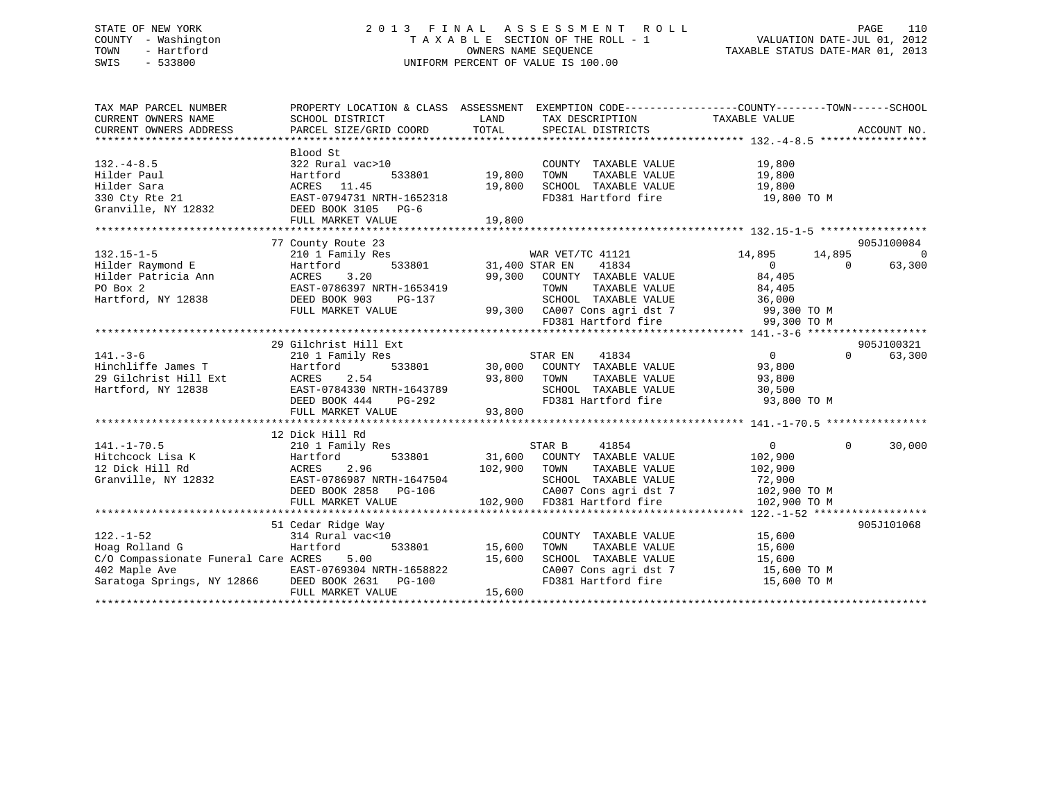# STATE OF NEW YORK 2 0 1 3 F I N A L A S S E S S M E N T R O L L PAGE 110 COUNTY - Washington T A X A B L E SECTION OF THE ROLL - 1 VALUATION DATE-JUL 01, 2012 TOWN - Hartford **TAXABLE STATUS DATE-MAR 01, 2013** SWIS - 533800 UNIFORM PERCENT OF VALUE IS 100.00

| TAX MAP PARCEL NUMBER<br>CURRENT OWNERS NAME<br>CURRENT OWNERS ADDRESS                                                                              | SCHOOL DISTRICT<br>PARCEL SIZE/GRID COORD                                                                                                        | LAND<br>TOTAL                     | TAX DESCRIPTION TAXABLE VALUE<br>SPECIAL DISTRICTS                                                                                                                                          | PROPERTY LOCATION & CLASS ASSESSMENT EXEMPTION CODE----------------COUNTY-------TOWN-----SCHOOL | ACCOUNT NO.                            |
|-----------------------------------------------------------------------------------------------------------------------------------------------------|--------------------------------------------------------------------------------------------------------------------------------------------------|-----------------------------------|---------------------------------------------------------------------------------------------------------------------------------------------------------------------------------------------|-------------------------------------------------------------------------------------------------|----------------------------------------|
| $132 - 4 - 8.5$<br>Hilder Paul<br>Hilder Sara<br>330 Cty Rte 21<br>Granville, NY 12832                                                              | Blood St<br>322 Rural vac>10<br>Hartford<br>ACRES 11.45<br>EAST-0794731 NRTH-1652318<br>DEED BOOK 3105 PG-6<br>FULL MARKET VALUE                 | 533801 19,800<br>19,800<br>19,800 | COUNTY TAXABLE VALUE<br>TAXABLE VALUE<br>TOWN<br>SCHOOL TAXABLE VALUE<br>FD381 Hartford fire                                                                                                | 19,800<br>19,800<br>19,800<br>19,800 TO M                                                       |                                        |
| $132.15 - 1 - 5$<br>Hilder Raymond E<br>Hilder Patricia Ann<br>PO Box 2<br>Hartford, NY 12838                                                       | 77 County Route 23<br>210 1 Family Res<br>Hartford<br>3.20<br>ACRES<br>EAST-0786397 NRTH-1653419<br>DEED BOOK 903<br>PG-137<br>FULL MARKET VALUE | /war ver<br>533801 31,400 STAR EN | WAR VET/TC 41121<br>41834<br>99,300 COUNTY TAXABLE VALUE<br>TOWN      TAXABLE VALUE<br>SCHOOL   TAXABLE VALUE<br>99,300 CA007 Cons agridst 7 99,300 TO M<br>ED381 Hartford fire 99,300 TO M | 14,895<br>14,895<br>$\Omega$<br>$\Omega$<br>84,405<br>84,405<br>36,000                          | 905J100084<br>$\overline{0}$<br>63,300 |
|                                                                                                                                                     | 29 Gilchrist Hill Ext                                                                                                                            |                                   | FD381 Hartford fire                                                                                                                                                                         | 99,300 TO M                                                                                     | 905J100321                             |
| $141. - 3 - 6$<br>Hinchliffe James T<br>29 Gilchrist Hill Ext<br>Hartford, NY 12838                                                                 | 210 1 Family Res<br>533801<br>Hartford<br>ACRES<br>2.54<br>EAST-0784330 NRTH-1643789<br>DEED BOOK 444<br>PG-292<br>FULL MARKET VALUE             | 93,800<br>93,800                  | 41834<br>STAR EN       41834<br>30,000    COUNTY   TAXABLE  VALUE<br>TOWN<br>TAXABLE VALUE<br>SCHOOL TAXABLE VALUE<br>FD381 Hartford fire                                                   | $\overline{0}$<br>$\Omega$<br>93,800<br>93,800<br>30,500<br>93,800 TO M                         | 63,300                                 |
|                                                                                                                                                     | 12 Dick Hill Rd                                                                                                                                  |                                   |                                                                                                                                                                                             |                                                                                                 |                                        |
| $141. - 1 - 70.5$<br>Hitchcock Lisa K<br>12 Dick Hill Rd<br>Granville, NY 12832                                                                     | 210 1 Family Res<br>Hartford<br>533801<br>2.96<br>ACRES<br>EAST-0786987 NRTH-1647504<br>DEED BOOK 2858 PG-106<br>FULL MARKET VALUE               | 102,900                           | STAR B<br>41854<br>31,600 COUNTY TAXABLE VALUE<br>TOWN<br>TAXABLE VALUE<br>SCHOOL TAXABLE VALUE<br>CA007 Cons agri dst 7<br>102,900 FD381 Hartford fire                                     | $\overline{0}$<br>$\Omega$<br>102,900<br>102,900<br>72,900<br>102,900 TO M<br>102,900 TO M      | 30,000                                 |
|                                                                                                                                                     |                                                                                                                                                  |                                   |                                                                                                                                                                                             |                                                                                                 |                                        |
| $122. - 1 - 52$<br>Hoag Rolland G<br>C/O Compassionate Funeral Care ACRES 5.00<br>402 Maple Ave<br>Saratoga Springs, NY 12866 DEED BOOK 2631 PG-100 | 51 Cedar Ridge Way<br>314 Rural vac<10<br>Hartford<br>533801<br>EAST-0769304 NRTH-1658822<br>FULL MARKET VALUE                                   | 15,600<br>15,600<br>15,600        | COUNTY TAXABLE VALUE<br>TOWN<br>TAXABLE VALUE<br>SCHOOL TAXABLE VALUE<br>CA007 Cons agri dst 7 15,600 TO M<br>FD381 Hartford fire                                                           | 15,600<br>15,600<br>15,600<br>15,600 TO M                                                       | 905J101068                             |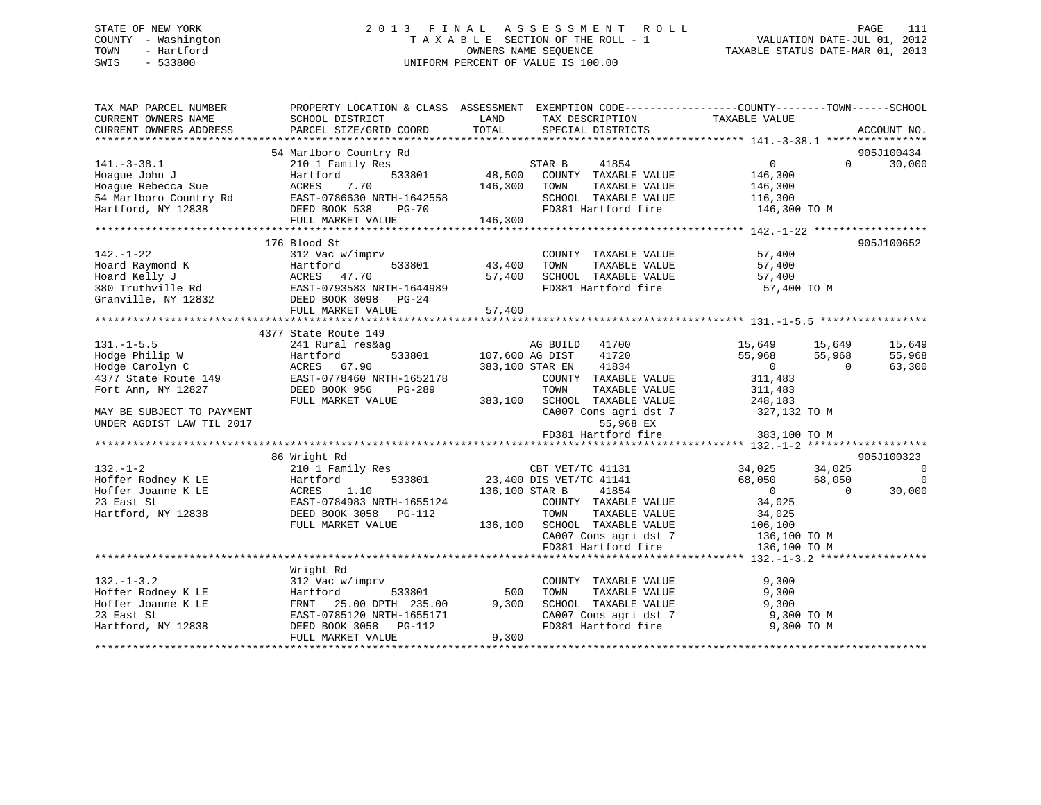# STATE OF NEW YORK 2 0 1 3 F I N A L A S S E S S M E N T R O L L PAGE 111 COUNTY - Washington T A X A B L E SECTION OF THE ROLL - 1 VALUATION DATE-JUL 01, 2012 TOWN - Hartford **TAXABLE STATUS DATE-MAR 01, 2013** SWIS - 533800 UNIFORM PERCENT OF VALUE IS 100.00

| TAX MAP PARCEL NUMBER                    | PROPERTY LOCATION & CLASS ASSESSMENT EXEMPTION CODE---------------COUNTY-------TOWN-----SCHOOL                |                 |                                              |                |           |                          |
|------------------------------------------|---------------------------------------------------------------------------------------------------------------|-----------------|----------------------------------------------|----------------|-----------|--------------------------|
| CURRENT OWNERS NAME                      | SCHOOL DISTRICT                                                                                               | LAND            | TAX DESCRIPTION                              | TAXABLE VALUE  |           |                          |
| CURRENT OWNERS ADDRESS                   | PARCEL SIZE/GRID COORD                                                                                        | TOTAL           | SPECIAL DISTRICTS                            |                |           | ACCOUNT NO.              |
|                                          |                                                                                                               |                 |                                              |                |           |                          |
|                                          | 54 Marlboro Country Rd                                                                                        |                 |                                              | $\overline{0}$ | $\Omega$  | 905J100434               |
| $141.-3-38.1$                            | 210 1 Family Res                                                                                              |                 | STAR B<br>41854                              |                |           | 30,000                   |
| Hoaque John J<br>Hoaque Rebecca Sue      | 533801<br>Hartford<br>7.70                                                                                    |                 | 48,500 COUNTY TAXABLE VALUE                  | 146,300        |           |                          |
|                                          | ACRES                                                                                                         | 146,300         | TOWN<br>TAXABLE VALUE                        | 146,300        |           |                          |
|                                          |                                                                                                               |                 | SCHOOL TAXABLE VALUE                         | 116,300        |           |                          |
|                                          | FULL MARKET VALUE                                                                                             | 146,300         | FD381 Hartford fire                          | 146,300 TO M   |           |                          |
|                                          |                                                                                                               |                 |                                              |                |           |                          |
|                                          | 176 Blood St                                                                                                  |                 |                                              |                |           | 905J100652               |
| $142. - 1 - 22$                          | 312 Vac w/imprv                                                                                               |                 | COUNTY TAXABLE VALUE                         | 57,400         |           |                          |
|                                          |                                                                                                               | 43,400          | TAXABLE VALUE<br>TOWN                        | 57,400         |           |                          |
|                                          |                                                                                                               | 57,400          |                                              | 57,400         |           |                          |
|                                          | Hoard Raymond K Martford 533801<br>Hoard Kelly J (ACRES 47.70<br>380 Truthville Rd (EAST-0793583 NRTH-1644989 |                 | SCHOOL TAXABLE VALUE<br>FD381 Hartford fire  | 57,400 TO M    |           |                          |
| Granville, NY 12832 DEED BOOK 3098 PG-24 |                                                                                                               |                 |                                              |                |           |                          |
|                                          | FULL MARKET VALUE                                                                                             | 57,400          |                                              |                |           |                          |
|                                          |                                                                                                               |                 |                                              |                |           |                          |
|                                          | 4377 State Route 149                                                                                          |                 |                                              |                |           |                          |
| $131. - 1 - 5.5$                         | 241 Rural res&ag                                                                                              |                 | AG BUILD 41700                               | 15,649         | 15,649    | 15,649                   |
| Hodge Philip W                           |                                                                                                               | 107,600 AG DIST | 41720                                        | 55,968         | 55,968    | 55,968                   |
| Hodge Carolyn C                          | Hartford 533801<br>ACRES 67.90<br>149 EAST-0778460 NRTH-1652178                                               |                 | 383,100 STAR EN<br>41834                     | $\overline{0}$ | $\Omega$  | 63,300                   |
| 4377 State Route 149                     |                                                                                                               |                 | COUNTY TAXABLE VALUE                         | 311,483        |           |                          |
| Fort Ann, NY 12827                       | DEED BOOK 956<br>PG-289                                                                                       |                 | TOWN<br>TAXABLE VALUE                        | 311,483        |           |                          |
|                                          | FULL MARKET VALUE                                                                                             | 383,100         | SCHOOL TAXABLE VALUE                         | 248,183        |           |                          |
| MAY BE SUBJECT TO PAYMENT                |                                                                                                               |                 | CA007 Cons agri dst 7 327,132 TO M           |                |           |                          |
| UNDER AGDIST LAW TIL 2017                |                                                                                                               |                 | 55,968 EX                                    |                |           |                          |
|                                          |                                                                                                               |                 | FD381 Hartford fire                          | 383,100 TO M   |           |                          |
|                                          |                                                                                                               |                 |                                              |                |           |                          |
|                                          | 86 Wright Rd                                                                                                  |                 |                                              |                |           | 905J100323               |
| $132. - 1 - 2$                           | 210 1 Family Res                                                                                              |                 |                                              | 34,025         | 34,025    | $\overline{\phantom{0}}$ |
| Hoffer Rodney K LE                       | 533801<br>Hartford                                                                                            |                 | CBT VET/TC 41131<br>23,400 DIS VET/TC 41141  | 68,050         | 68,050    | $\overline{0}$           |
| Hoffer Joanne K LE                       |                                                                                                               | 136,100 STAR B  | 41854                                        | $\overline{0}$ | $\bigcap$ | 30,000                   |
| 23 East St                               | ACRES 1.10<br>EAST-0784983 NRTH-1655124                                                                       |                 | COUNTY TAXABLE VALUE                         | 34,025         |           |                          |
| Hartford, NY 12838                       | DEED BOOK 3058 PG-112                                                                                         |                 | TOWN<br>TAXABLE VALUE                        | 34,025         |           |                          |
|                                          | FULL MARKET VALUE                                                                                             |                 | 136,100 SCHOOL TAXABLE VALUE                 | 106,100        |           |                          |
|                                          |                                                                                                               |                 | CA007 Cons agri dst 7 136,100 TO M           |                |           |                          |
|                                          |                                                                                                               |                 | FD381 Hartford fire                          | 136,100 TO M   |           |                          |
|                                          |                                                                                                               |                 |                                              |                |           |                          |
|                                          | Wright Rd                                                                                                     |                 |                                              |                |           |                          |
| $132. - 1 - 3.2$                         | 312 Vac w/imprv                                                                                               |                 | COUNTY TAXABLE VALUE                         | 9,300          |           |                          |
| Hoffer Rodney K LE                       | Hartford<br>533801                                                                                            | 500             | TAXABLE VALUE<br>TOWN                        | 9,300          |           |                          |
| Hoffer Joanne K LE                       | 25.00 DPTH 235.00<br>FRNT                                                                                     | 9,300           | SCHOOL TAXABLE VALUE                         | 9,300          |           |                          |
| 23 East St                               | EAST-0785120 NRTH-1655171                                                                                     |                 |                                              | 9,300 TO M     |           |                          |
| Hartford, NY 12838                       | DEED BOOK 3058 PG-112                                                                                         |                 | CA007 Cons agri dst 7<br>FD381 Hartford fire | 9,300 TO M     |           |                          |
|                                          | FULL MARKET VALUE                                                                                             | 9,300           |                                              |                |           |                          |
|                                          |                                                                                                               |                 |                                              |                |           |                          |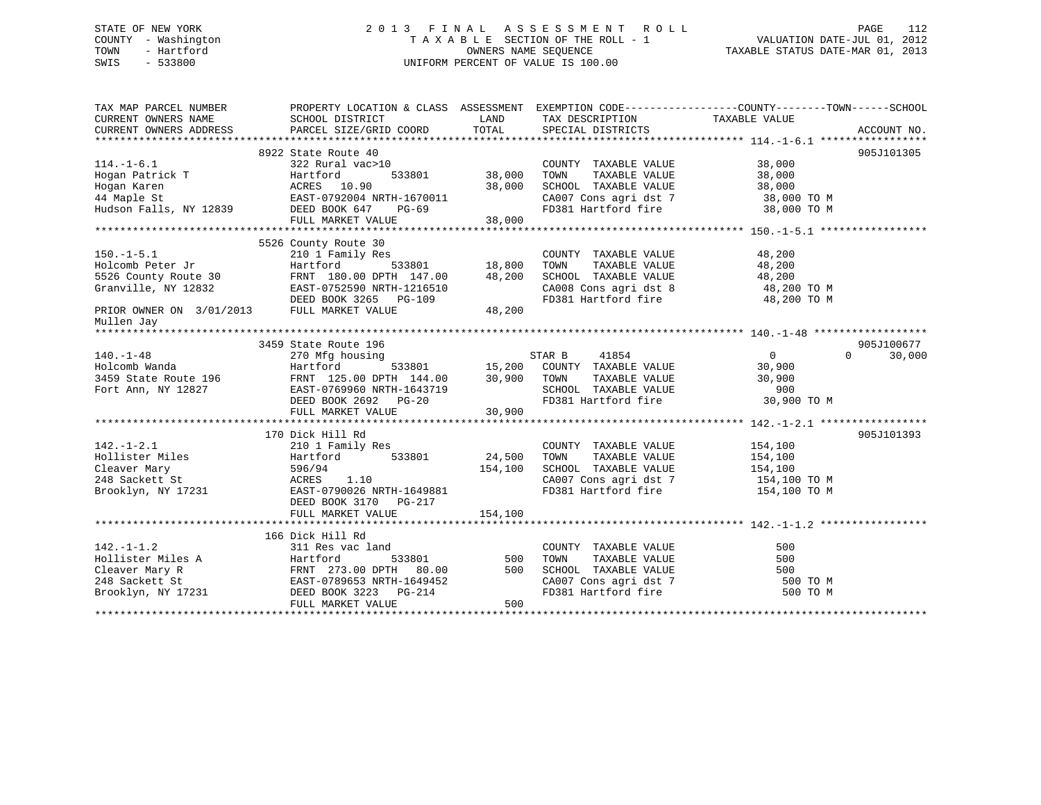# STATE OF NEW YORK 2 0 1 3 F I N A L A S S E S S M E N T R O L L PAGE 112 COUNTY - Washington T A X A B L E SECTION OF THE ROLL - 1 VALUATION DATE-JUL 01, 2012 TOWN - Hartford **TAXABLE STATUS DATE-MAR 01, 2013** SWIS - 533800 UNIFORM PERCENT OF VALUE IS 100.00

| TAX MAP PARCEL NUMBER<br>CURRENT OWNERS NAME                  | PROPERTY LOCATION & CLASS ASSESSMENT EXEMPTION CODE---------------COUNTY-------TOWN-----SCHOOL<br>SCHOOL DISTRICT                                                                               | LAND          | TAX DESCRIPTION                                                                                                                               | TAXABLE VALUE              |             |
|---------------------------------------------------------------|-------------------------------------------------------------------------------------------------------------------------------------------------------------------------------------------------|---------------|-----------------------------------------------------------------------------------------------------------------------------------------------|----------------------------|-------------|
| CURRENT OWNERS ADDRESS                                        | PARCEL SIZE/GRID COORD                                                                                                                                                                          | TOTAL         | SPECIAL DISTRICTS                                                                                                                             |                            | ACCOUNT NO. |
|                                                               |                                                                                                                                                                                                 |               |                                                                                                                                               |                            |             |
|                                                               | 8922 State Route 40                                                                                                                                                                             |               |                                                                                                                                               |                            | 905J101305  |
| $114. - 1 - 6.1$                                              | 322 Rural vac>10                                                                                                                                                                                |               | COUNTY TAXABLE VALUE                                                                                                                          | 38,000                     |             |
| Hogan Patrick T<br>Hogan Karen                                | Hartford<br>Hogan Patrick T<br>Hogan Karen Martford 533801<br>44 Maple St EAST-0792004 NRTH-1670011<br>Hudson Falls, NY 12839 DEED BOOK 647 PG-69<br>Hudson Falls, NY 12839 DEED BOOK 647 PG-69 | 38,000        | TAXABLE VALUE<br>TOWN                                                                                                                         | 38,000                     |             |
|                                                               |                                                                                                                                                                                                 | 38,000        | SCHOOL TAXABLE VALUE                                                                                                                          | 38,000                     |             |
|                                                               |                                                                                                                                                                                                 |               | CA007 Cons agri dst 7 38,000 TO M                                                                                                             |                            |             |
|                                                               |                                                                                                                                                                                                 |               | FD381 Hartford fire                                                                                                                           | 38,000 TO M                |             |
|                                                               | FULL MARKET VALUE                                                                                                                                                                               | 38,000        |                                                                                                                                               |                            |             |
|                                                               |                                                                                                                                                                                                 |               |                                                                                                                                               |                            |             |
|                                                               | 5526 County Route 30                                                                                                                                                                            |               |                                                                                                                                               |                            |             |
| $150.-1-5.1$                                                  | 210 1 Family Res                                                                                                                                                                                |               | COUNTY TAXABLE VALUE                                                                                                                          | 48,200                     |             |
|                                                               | Hartford                                                                                                                                                                                        | 533801 18,800 |                                                                                                                                               | 48,200                     |             |
| Holcomb Peter Jr<br>5526 County Route 30                      | FRNT 180.00 DPTH 147.00                                                                                                                                                                         | 48,200        | TOWN      TAXABLE VALUE<br>SCHOOL   TAXABLE VALUE                                                                                             | 48,200                     |             |
|                                                               | SS20 Councy Rouse 50<br>Granville, NY 12832<br>Arra DON' 2365 DON' 2365 DO-109                                                                                                                  |               | CA008 Cons agri dst 8 48,200 TO M                                                                                                             |                            |             |
|                                                               | DEED BOOK 3265 PG-109                                                                                                                                                                           |               | FD381 Hartford fire                                                                                                                           | 48,200 TO M                |             |
| PRIOR OWNER ON 3/01/2013 FULL MARKET VALUE                    |                                                                                                                                                                                                 | 48,200        |                                                                                                                                               |                            |             |
| Mullen Jay                                                    |                                                                                                                                                                                                 |               |                                                                                                                                               |                            |             |
|                                                               |                                                                                                                                                                                                 |               |                                                                                                                                               |                            |             |
|                                                               | 3459 State Route 196                                                                                                                                                                            |               |                                                                                                                                               |                            | 905J100677  |
| $140. - 1 - 48$                                               | 270 Mfg housing                                                                                                                                                                                 |               | $\begin{array}{cccc}\n & \text{STAR B} & \text{41854} \\  \text{533801} & \text{15,200} & \text{COUNTY} & \text{TAXABLE VALUE}\n \end{array}$ | $\overline{0}$<br>$\Omega$ | 30,000      |
| Holcomb Wanda                                                 | Hartford                                                                                                                                                                                        |               |                                                                                                                                               | 30,900                     |             |
| 3459 State Route 196                                          | FRNT 125.00 DPTH 144.00 30,900 TOWN                                                                                                                                                             |               | TAXABLE VALUE                                                                                                                                 | 30,900                     |             |
| Fort Ann, NY 12827                                            | FRNT 125.00 21.1.<br>EAST-0769960 NRTH-1643719                                                                                                                                                  |               | SCHOOL TAXABLE VALUE<br>FD381 Hartford fire                                                                                                   | 900                        |             |
|                                                               | DEED BOOK 2692 PG-20                                                                                                                                                                            |               |                                                                                                                                               | 30,900 TO M                |             |
|                                                               | FULL MARKET VALUE                                                                                                                                                                               | 30,900        |                                                                                                                                               |                            |             |
|                                                               |                                                                                                                                                                                                 |               |                                                                                                                                               |                            |             |
|                                                               | 170 Dick Hill Rd                                                                                                                                                                                |               |                                                                                                                                               |                            | 905J101393  |
|                                                               | 210 1 Family Res                                                                                                                                                                                |               | COUNTY TAXABLE VALUE 154,100                                                                                                                  |                            |             |
|                                                               | 533801<br>Hartford                                                                                                                                                                              | 24,500        | TAXABLE VALUE<br>TOWN                                                                                                                         | 154,100                    |             |
|                                                               | 596/94                                                                                                                                                                                          | 154,100       | SCHOOL TAXABLE VALUE 154,100                                                                                                                  |                            |             |
| $142.-1-2.1$<br>Hollister Miles<br>Theory Mary<br>$5x$<br>$7$ | ACRES<br>1.10                                                                                                                                                                                   |               | CA007 Cons agri dst 7 154,100 TO M                                                                                                            |                            |             |
|                                                               | EAST-0790026 NRTH-1649881                                                                                                                                                                       |               | FD381 Hartford fire                                                                                                                           | 154,100 TO M               |             |
|                                                               | DEED BOOK 3170 PG-217                                                                                                                                                                           |               |                                                                                                                                               |                            |             |
|                                                               | FULL MARKET VALUE                                                                                                                                                                               | 154,100       |                                                                                                                                               |                            |             |
|                                                               |                                                                                                                                                                                                 |               |                                                                                                                                               |                            |             |
|                                                               | 166 Dick Hill Rd                                                                                                                                                                                |               |                                                                                                                                               |                            |             |
|                                                               |                                                                                                                                                                                                 |               | COUNTY TAXABLE VALUE                                                                                                                          | 500                        |             |
|                                                               |                                                                                                                                                                                                 | 533801 500    | TAXABLE VALUE<br>TOWN                                                                                                                         | 500                        |             |
|                                                               |                                                                                                                                                                                                 | 500           | SCHOOL TAXABLE VALUE                                                                                                                          | 500                        |             |
|                                                               |                                                                                                                                                                                                 |               | CA007 Cons agri dst 7<br>FD381 Hartford fire                                                                                                  | 500 TO M                   |             |
|                                                               | 142.-1-1.2<br>Hollister Miles A (1978)<br>Cleaver Mary R (1978)<br>TRNT 273.00 DPTH 80.00<br>EAST-0789653 NRTH-1649452<br>PG-214                                                                |               |                                                                                                                                               | 500 TO M                   |             |
|                                                               | FULL MARKET VALUE                                                                                                                                                                               | 500           |                                                                                                                                               |                            |             |
|                                                               |                                                                                                                                                                                                 |               |                                                                                                                                               |                            |             |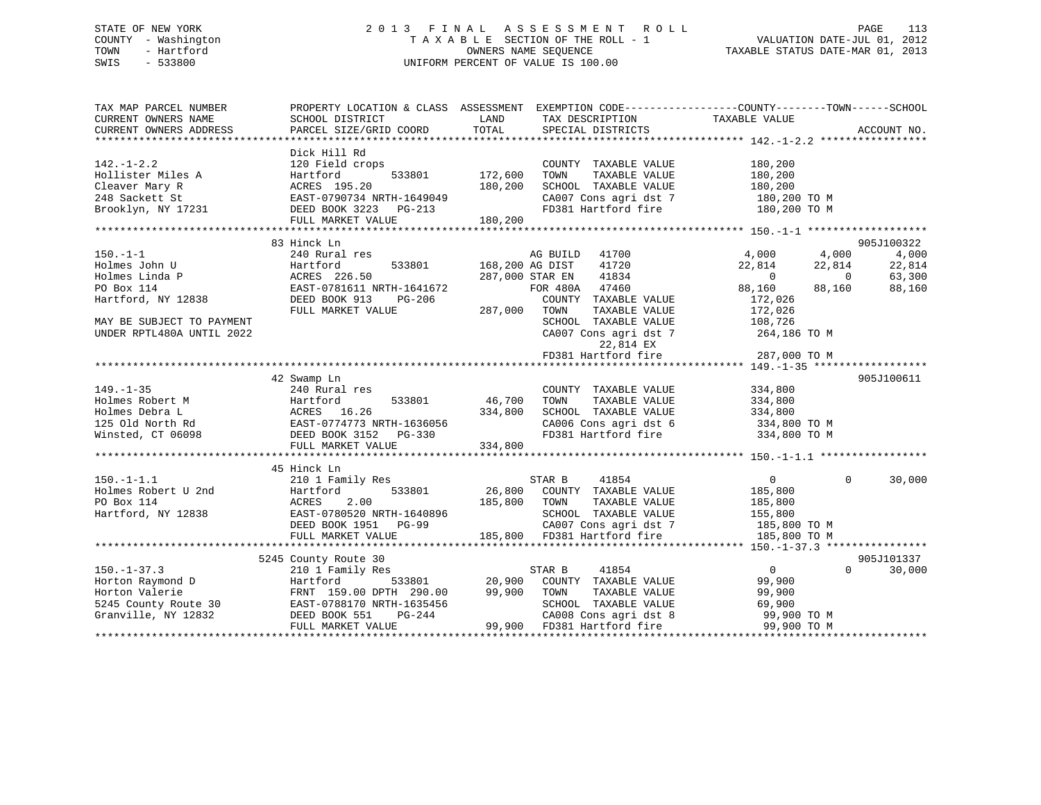# STATE OF NEW YORK 2 0 1 3 F I N A L A S S E S S M E N T R O L L PAGE 113 COUNTY - Washington T A X A B L E SECTION OF THE ROLL - 1 VALUATION DATE-JUL 01, 2012 TOWN - Hartford **TAXABLE STATUS DATE-MAR 01, 2013** SWIS - 533800 UNIFORM PERCENT OF VALUE IS 100.00

| TAX MAP PARCEL NUMBER                             | PROPERTY LOCATION & CLASS ASSESSMENT              |                                                                        | EXEMPTION CODE-----------------COUNTY-------TOWN------SCHOOL                                                                                                                                                                           |
|---------------------------------------------------|---------------------------------------------------|------------------------------------------------------------------------|----------------------------------------------------------------------------------------------------------------------------------------------------------------------------------------------------------------------------------------|
|                                                   | Dick Hill Rd                                      |                                                                        |                                                                                                                                                                                                                                        |
| $142. - 1 - 2.2$                                  | 120 Field crops                                   | COUNTY TAXABLE VALUE                                                   | 180,200                                                                                                                                                                                                                                |
| Hollister Miles A                                 | 533801<br>Hartford                                | 172,600<br>TOWN<br>TAXABLE VALUE                                       | 180,200                                                                                                                                                                                                                                |
|                                                   |                                                   | SCHOOL TAXABLE VALUE                                                   | 180,200                                                                                                                                                                                                                                |
|                                                   |                                                   | CA007 Cons agri dst 7                                                  | 180,200 TO M                                                                                                                                                                                                                           |
|                                                   |                                                   | FD381 Hartford fire 180,200 TO M                                       |                                                                                                                                                                                                                                        |
|                                                   | FULL MARKET VALUE 180,200                         |                                                                        |                                                                                                                                                                                                                                        |
|                                                   |                                                   |                                                                        |                                                                                                                                                                                                                                        |
|                                                   | 83 Hinck Ln                                       |                                                                        | 905J100322                                                                                                                                                                                                                             |
| $150. - 1 - 1$                                    | 240 Rural res                                     | AG BUILD 41700                                                         | 4,000<br>4,000<br>4,000                                                                                                                                                                                                                |
|                                                   | Hartford                                          | 533801 168,200 AG DIST<br>41720                                        | 22,814<br>22,814<br>22,814                                                                                                                                                                                                             |
| Holmes John U<br>Holmes Linda P<br>Holmes Linda P | Hartford<br>ACRES 226.50                          | 41834<br>287,000 STAR EN                                               | $22,814$<br>0<br>$\overline{0}$<br>63,300                                                                                                                                                                                              |
| PO Box 114                                        |                                                   | FOR 480A 47460                                                         | 88,160                                                                                                                                                                                                                                 |
|                                                   | EAST-0781611 NRTH-1641672<br>DEED BOOK 913 PG-206 |                                                                        | 88,160<br>88,160                                                                                                                                                                                                                       |
| Hartford, NY 12838                                | DEED BOOK 913<br>PG-206                           | COUNTY TAXABLE VALUE                                                   | 172,026                                                                                                                                                                                                                                |
|                                                   | FULL MARKET VALUE                                 | 287,000<br>TOWN<br>TAXABLE VALUE                                       | 172,026                                                                                                                                                                                                                                |
| MAY BE SUBJECT TO PAYMENT                         |                                                   | SCHOOL TAXABLE VALUE                                                   | 108,726                                                                                                                                                                                                                                |
| UNDER RPTL480A UNTIL 2022                         |                                                   | CA007 Cons agri dst 7                                                  | $264,186$ TO M                                                                                                                                                                                                                         |
|                                                   |                                                   | 22,814 EX                                                              |                                                                                                                                                                                                                                        |
|                                                   |                                                   | FD381 Hartford fire                                                    | 287,000 TO M                                                                                                                                                                                                                           |
|                                                   |                                                   |                                                                        |                                                                                                                                                                                                                                        |
|                                                   | 42 Swamp Ln                                       |                                                                        | 905J100611                                                                                                                                                                                                                             |
| $149. - 1 - 35$                                   | 240 Rural res                                     | COUNTY TAXABLE VALUE                                                   | 334,800                                                                                                                                                                                                                                |
|                                                   |                                                   | TOWN<br>TAXABLE VALUE                                                  | 334,800                                                                                                                                                                                                                                |
|                                                   |                                                   | SCHOOL TAXABLE VALUE 334,800                                           |                                                                                                                                                                                                                                        |
|                                                   |                                                   |                                                                        |                                                                                                                                                                                                                                        |
|                                                   |                                                   | CA006 Cons agri dst 6 334,800 TO M<br>FD381 Hartford fire 334,800 TO M |                                                                                                                                                                                                                                        |
|                                                   |                                                   |                                                                        |                                                                                                                                                                                                                                        |
|                                                   | FULL MARKET VALUE                                 | 334,800                                                                |                                                                                                                                                                                                                                        |
|                                                   |                                                   |                                                                        |                                                                                                                                                                                                                                        |
|                                                   | 45 Hinck Ln                                       |                                                                        |                                                                                                                                                                                                                                        |
| $150. -1 - 1.1$                                   | 210 1 Family Res                                  | STAR B<br>41854                                                        | $\overline{0}$<br>$\Omega$<br>30,000                                                                                                                                                                                                   |
| Holmes Robert U 2nd                               | 533801<br>Hartford                                | 26,800 COUNTY TAXABLE VALUE                                            | 185,800                                                                                                                                                                                                                                |
| PO Box 114                                        | ACRES 2.00                                        | 185,800 TOWN<br>TAXABLE VALUE                                          | 185,800                                                                                                                                                                                                                                |
| Hartford, NY 12838                                |                                                   | SCHOOL TAXABLE VALUE 155,800                                           |                                                                                                                                                                                                                                        |
|                                                   |                                                   |                                                                        |                                                                                                                                                                                                                                        |
|                                                   |                                                   |                                                                        |                                                                                                                                                                                                                                        |
|                                                   |                                                   |                                                                        | 10 1005 11<br>Hartford, NY 12838 EAST-0780520 NRTH-1640896 SCHOOL TAXABLE VALUE 155,800<br>DEED BOOK 1951 PG-99 CA007 Cons agri dst 7 185,800 TO M<br>FULL MARKET VALUE 185,800 FD381 Hartford fire 185,800 TO M<br>****************** |
|                                                   | 5245 County Route 30                              |                                                                        | 905J101337                                                                                                                                                                                                                             |
|                                                   | 210 1 Family Res                                  | 41854<br>STAR B                                                        | $\overline{0}$<br>$\Omega$<br>30,000                                                                                                                                                                                                   |
|                                                   | 533801<br>Hartford                                | 20,900<br>COUNTY TAXABLE VALUE                                         | 99,900                                                                                                                                                                                                                                 |
|                                                   | FRNT 159.00 DPTH 290.00                           | 99,900                                                                 |                                                                                                                                                                                                                                        |
|                                                   |                                                   | TOWN<br>TAXABLE VALUE                                                  | 99,900                                                                                                                                                                                                                                 |
|                                                   | EAST-0788170 NRTH-1635456                         | SCHOOL TAXABLE VALUE                                                   | 69,900                                                                                                                                                                                                                                 |
|                                                   | DEED BOOK 551<br>PG-244                           | CA008 Cons agri dst 8                                                  | 99,900 TO M                                                                                                                                                                                                                            |
|                                                   | FULL MARKET VALUE                                 | 99,900 FD381 Hartford fire                                             | 99,900 TO M                                                                                                                                                                                                                            |
|                                                   |                                                   |                                                                        |                                                                                                                                                                                                                                        |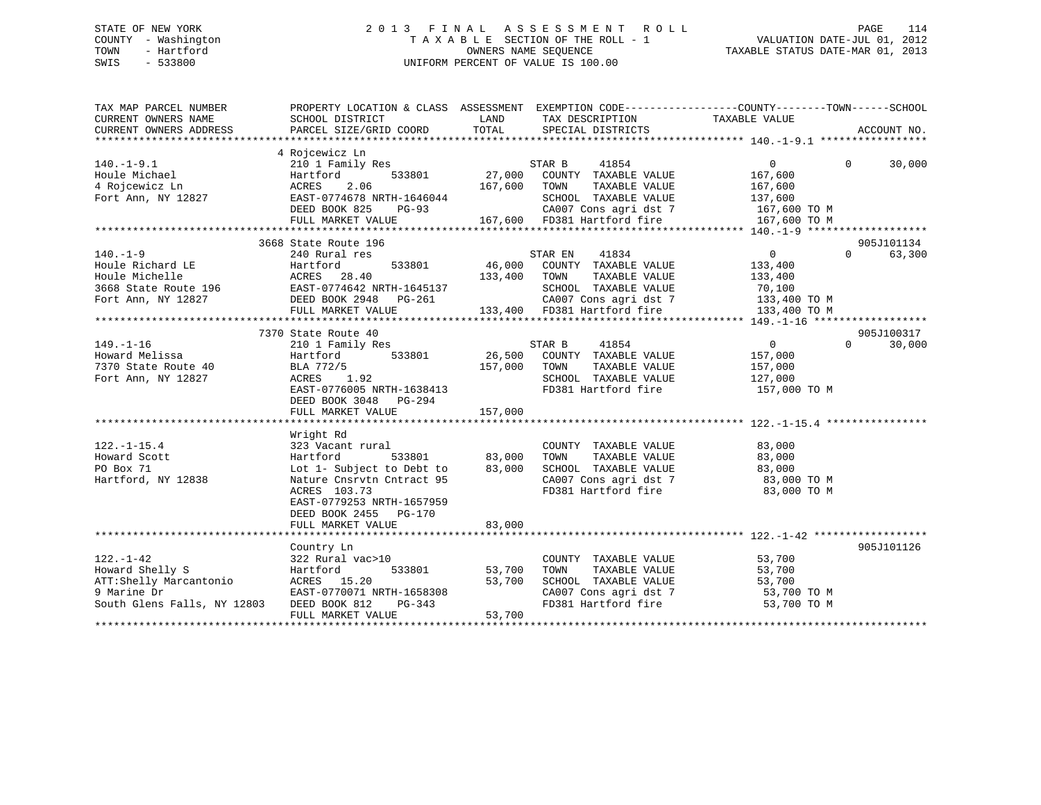# STATE OF NEW YORK 2 0 1 3 F I N A L A S S E S S M E N T R O L L PAGE 114 COUNTY - Washington T A X A B L E SECTION OF THE ROLL - 1 VALUATION DATE-JUL 01, 2012 TOWN - Hartford OWNERS NAME SEQUENCE TAXABLE STATUS DATE-MAR 01, 2013 SWIS - 533800 UNIFORM PERCENT OF VALUE IS 100.00

| TAX MAP PARCEL NUMBER<br>CURRENT OWNERS NAME<br>CURRENT OWNERS ADDRESS                                      | PROPERTY LOCATION & CLASS ASSESSMENT EXEMPTION CODE----------------COUNTY-------TOWN------SCHOOL<br>SCHOOL DISTRICT<br>PARCEL SIZE/GRID COORD                                                            | LAND<br>TOTAL                | TAX DESCRIPTION<br>SPECIAL DISTRICTS                                                                                                              | TAXABLE VALUE                                                                                      | ACCOUNT NO.                          |
|-------------------------------------------------------------------------------------------------------------|----------------------------------------------------------------------------------------------------------------------------------------------------------------------------------------------------------|------------------------------|---------------------------------------------------------------------------------------------------------------------------------------------------|----------------------------------------------------------------------------------------------------|--------------------------------------|
| $140. - 1 - 9.1$<br>Houle Michael<br>4 Rojcewicz Ln<br>Fort Ann, NY 12827                                   | 4 Rojcewicz Ln<br>210 1 Family Res<br>533801<br>Hartford<br>2.06<br>ACRES<br>EAST-0774678 NRTH-1646044<br>DEED BOOK 825<br>PG-93<br>FULL MARKET VALUE<br>*******************************                 | 27,000<br>167,600            | STAR B<br>41854<br>COUNTY TAXABLE VALUE<br>TOWN<br>TAXABLE VALUE<br>SCHOOL TAXABLE VALUE<br>CA007 Cons agri dst 7<br>167,600 FD381 Hartford fire  | $\overline{0}$<br>167,600<br>167,600<br>137,600<br>167,600 TO M<br>167,600 TO M                    | $\mathbf 0$<br>30,000                |
| $140. - 1 - 9$<br>Houle Richard LE<br>Houle Michelle                                                        | 3668 State Route 196<br>240 Rural res<br>533801<br>Hartford<br>ACRES<br>28.40<br>FULL MARKET VALUE                                                                                                       | 46,000<br>133,400            | 41834<br>STAR EN<br>COUNTY TAXABLE VALUE<br>TOWN<br>TAXABLE VALUE<br>SCHOOL TAXABLE VALUE<br>CA007 Cons agri dst 7<br>133,400 FD381 Hartford fire | $\overline{0}$<br>133,400<br>133,400<br>70,100<br>$133,400$ TO M<br>$133,400$ TO M<br>133,400 TO M | 905J101134<br>$\Omega$<br>63,300     |
| $149. - 1 - 16$<br>Howard Melissa<br>7370 State Route 40<br>Fort Ann, NY 12827                              | 7370 State Route 40<br>210 1 Family Res<br>533801<br>Hartford<br>BLA 772/5<br>1.92<br>ACRES<br>EAST-0776005 NRTH-1638413<br>DEED BOOK 3048 PG-294<br>FULL MARKET VALUE                                   | 26,500<br>157,000<br>157,000 | 41854<br>STAR B<br>COUNTY TAXABLE VALUE<br>TOWN<br>TAXABLE VALUE<br>SCHOOL TAXABLE VALUE<br>FD381 Hartford fire                                   | $\overline{0}$<br>157,000<br>157,000<br>127,000<br>157,000 TO M                                    | 905J100317<br>$\mathbf{0}$<br>30,000 |
| $122. - 1 - 15.4$<br>Howard Scott<br>PO Box 71<br>Hartford, NY 12838                                        | Wright Rd<br>323 Vacant rural<br>Hartford<br>533801<br>Lot 1- Subject to Debt to<br>Nature Cnsrvtn Cntract 95<br>ACRES 103.73<br>EAST-0779253 NRTH-1657959<br>DEED BOOK 2455 PG-170<br>FULL MARKET VALUE | 83,000<br>83,000<br>83,000   | COUNTY TAXABLE VALUE<br>TOWN<br>TAXABLE VALUE<br>SCHOOL TAXABLE VALUE<br>CA007 Cons agri dst 7<br>FD381 Hartford fire                             | 83,000<br>83,000<br>83,000<br>83,000 TO M<br>83,000 TO M                                           |                                      |
| $122. - 1 - 42$<br>Howard Shelly S<br>ATT: Shelly Marcantonio<br>9 Marine Dr<br>South Glens Falls, NY 12803 | Country Ln<br>322 Rural vac>10<br>Hartford<br>533801<br>ACRES 15.20<br>EAST-0770071 NRTH-1658308<br>DEED BOOK 812<br>PG-343<br>FULL MARKET VALUE                                                         | 53,700<br>53,700<br>53,700   | COUNTY TAXABLE VALUE<br>TAXABLE VALUE<br>TOWN<br>SCHOOL TAXABLE VALUE<br>CA007 Cons agri dst 7<br>FD381 Hartford fire                             | 53,700<br>53,700<br>53,700<br>53,700 TO M<br>53,700 TO M                                           | 905J101126                           |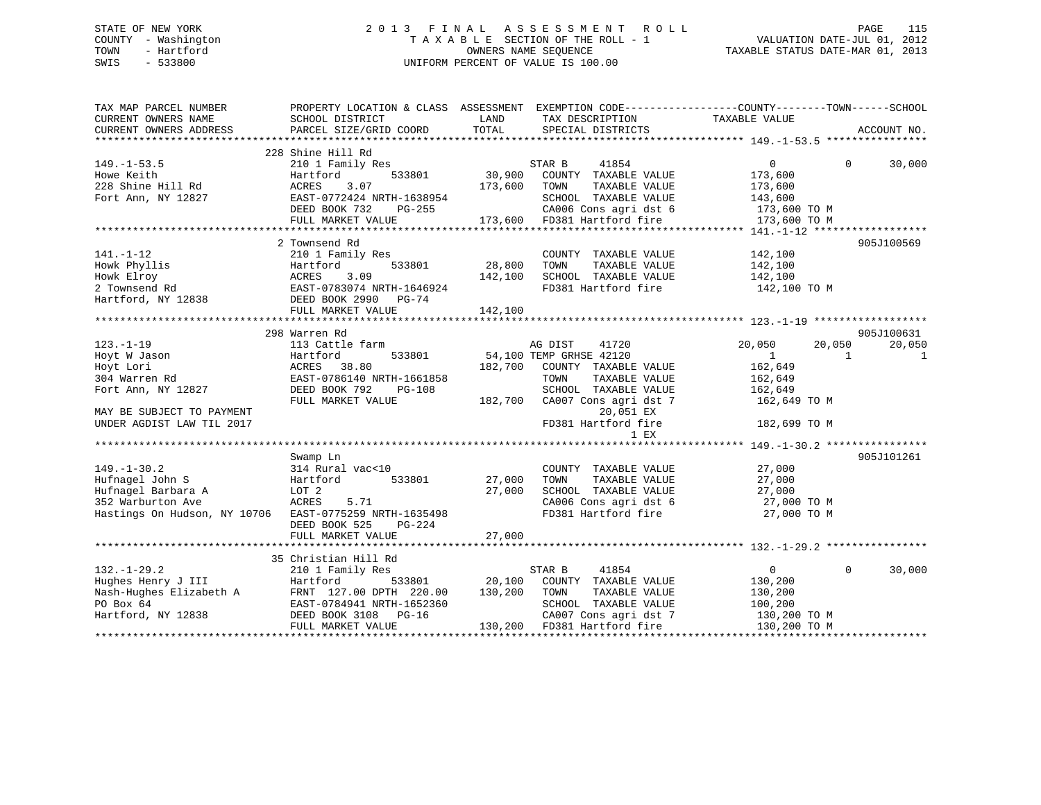# STATE OF NEW YORK 2 0 1 3 F I N A L A S S E S S M E N T R O L L PAGE 115 COUNTY - Washington T A X A B L E SECTION OF THE ROLL - 1 VALUATION DATE-JUL 01, 2012 TOWN - Hartford OWNERS NAME SEQUENCE TAXABLE STATUS DATE-MAR 01, 2013 SWIS - 533800 UNIFORM PERCENT OF VALUE IS 100.00

| TAX MAP PARCEL NUMBER<br>CURRENT OWNERS NAME                                                                                 | PROPERTY LOCATION & CLASS ASSESSMENT EXEMPTION CODE----------------COUNTY-------TOWN------SCHOOL<br>SCHOOL DISTRICT | LAND                      | TAX DESCRIPTION TAXABLE VALUE      |                     |                    |
|------------------------------------------------------------------------------------------------------------------------------|---------------------------------------------------------------------------------------------------------------------|---------------------------|------------------------------------|---------------------|--------------------|
| CURRENT OWNERS ADDRESS                                                                                                       | PARCEL SIZE/GRID COORD                                                                                              | TOTAL                     | SPECIAL DISTRICTS                  |                     | ACCOUNT NO.        |
|                                                                                                                              |                                                                                                                     |                           |                                    |                     |                    |
|                                                                                                                              | 228 Shine Hill Rd                                                                                                   |                           |                                    |                     |                    |
| $149. - 1 - 53.5$                                                                                                            | 210 1 Family Res                                                                                                    | <sup>؟</sup><br>30 , 90 0 | STAR B<br>41854                    | $\overline{0}$      | $\Omega$<br>30,000 |
| Howe Keith                                                                                                                   | Hartford<br>533801                                                                                                  |                           | COUNTY TAXABLE VALUE               | 173,600             |                    |
| 228 Shine Hill Rd                                                                                                            | 3.07<br>ACRES                                                                                                       | 173,600                   | TAXABLE VALUE<br>TOWN              | 173,600             |                    |
| Fort Ann, NY 12827                                                                                                           | EAST-0772424 NRTH-1638954                                                                                           |                           | SCHOOL TAXABLE VALUE               | 143,600             |                    |
|                                                                                                                              | DEED BOOK 732<br>PG-255                                                                                             |                           | CA006 Cons agri dst 6 173,600 TO M |                     |                    |
|                                                                                                                              | FULL MARKET VALUE                                                                                                   |                           | 173,600 FD381 Hartford fire        | 173,600 TO M        |                    |
|                                                                                                                              |                                                                                                                     |                           |                                    |                     |                    |
|                                                                                                                              | 2 Townsend Rd                                                                                                       |                           |                                    |                     | 905J100569         |
| $141. - 1 - 12$                                                                                                              | 210 1 Family Res                                                                                                    |                           | COUNTY TAXABLE VALUE               | 142,100             |                    |
| Howk Phyllis                                                                                                                 | Hartford                                                                                                            | 533801 28,800             | TOWN<br>TAXABLE VALUE              | 142,100             |                    |
| Howk Elroy                                                                                                                   | ACRES<br>3.09                                                                                                       | 142,100                   | SCHOOL TAXABLE VALUE               | 142,100             |                    |
| 2 Townsend Rd                                                                                                                | EAST-0783074 NRTH-1646924                                                                                           |                           | FD381 Hartford fire 142,100 TO M   |                     |                    |
|                                                                                                                              |                                                                                                                     |                           |                                    |                     |                    |
| Hartford, NY 12838                                                                                                           | DEED BOOK 2990 PG-74                                                                                                |                           |                                    |                     |                    |
|                                                                                                                              | FULL MARKET VALUE                                                                                                   | 142,100                   |                                    |                     |                    |
|                                                                                                                              |                                                                                                                     |                           |                                    |                     |                    |
|                                                                                                                              | 298 Warren Rd                                                                                                       |                           |                                    |                     | 905J100631         |
| $123. - 1 - 19$                                                                                                              | 113 Cattle farm                                                                                                     |                           | AG DIST<br>41720                   | 20,050<br>20,050    | 20,050             |
| Hoyt W Jason                                                                                                                 | 533801<br>Hartford                                                                                                  |                           | 54,100 TEMP GRHSE 42120            | $\overline{1}$<br>1 | <sup>1</sup>       |
| Hoyt Lori                                                                                                                    | ACRES<br>38.80                                                                                                      | 182,700                   | COUNTY TAXABLE VALUE               | 162,649             |                    |
| 304 Warren Rd                                                                                                                | EAST-0786140 NRTH-1661858                                                                                           |                           | TOWN<br>TAXABLE VALUE              | 162,649             |                    |
| Fort Ann, NY 12827                                                                                                           | DEED BOOK 792<br>PG-108                                                                                             |                           | SCHOOL TAXABLE VALUE               | 162,649             |                    |
|                                                                                                                              | FULL MARKET VALUE                                                                                                   | 182,700                   | CA007 Cons agri dst 7              | 162,649 TO M        |                    |
| MAY BE SUBJECT TO PAYMENT                                                                                                    |                                                                                                                     |                           | 20,051 EX                          |                     |                    |
| UNDER AGDIST LAW TIL 2017                                                                                                    |                                                                                                                     |                           | FD381 Hartford fire                | 182,699 TO M        |                    |
|                                                                                                                              |                                                                                                                     |                           | 1 EX                               |                     |                    |
|                                                                                                                              |                                                                                                                     |                           |                                    |                     |                    |
|                                                                                                                              | Swamp Ln                                                                                                            |                           |                                    |                     | 905J101261         |
| $149. - 1 - 30.2$                                                                                                            | 314 Rural vac<10                                                                                                    |                           | COUNTY TAXABLE VALUE               | 27,000              |                    |
| Hufnagel John S                                                                                                              |                                                                                                                     |                           | TAXABLE VALUE                      | 27,000              |                    |
|                                                                                                                              | 533801<br>Hartford                                                                                                  | 27,000                    | TOWN                               |                     |                    |
| Hufnagel Barbara A                                                                                                           | LOT 2                                                                                                               | 27,000                    | SCHOOL TAXABLE VALUE               | 27,000              |                    |
| 352 Warburton Ave                                                                                                            | ACRES<br>5.71                                                                                                       |                           | CA006 Cons agri dst 6              | 27,000 TO M         |                    |
| Hastings On Hudson, NY 10706 EAST-0775259 NRTH-1635498                                                                       |                                                                                                                     |                           | FD381 Hartford fire                | 27,000 TO M         |                    |
|                                                                                                                              | DEED BOOK 525<br>PG-224                                                                                             |                           |                                    |                     |                    |
|                                                                                                                              |                                                                                                                     |                           |                                    |                     |                    |
|                                                                                                                              |                                                                                                                     |                           |                                    |                     |                    |
|                                                                                                                              | 35 Christian Hill Rd                                                                                                |                           |                                    |                     |                    |
| $132. - 1 - 29.2$                                                                                                            | 210 1 Family Res                                                                                                    |                           | STAR B<br>41854                    | $\overline{0}$      | 30,000<br>$\Omega$ |
|                                                                                                                              |                                                                                                                     | 20,100                    | COUNTY TAXABLE VALUE               | 130,200             |                    |
| Hughes Henry J III Hartford 533801<br>Nash-Hughes Elizabeth A FRNT 127.00 DPTH 220.00<br>PO Box 64 EAST-0784941 NRTH-1652360 |                                                                                                                     | 130,200                   | TOWN<br>TAXABLE VALUE              | 130,200             |                    |
| PO Box 64                                                                                                                    | EAST-0784941 NRTH-1652360                                                                                           |                           | SCHOOL TAXABLE VALUE               | 100,200             |                    |
| Hartford, NY 12838                                                                                                           | DEED BOOK 3108 PG-16                                                                                                |                           | CA007 Cons agri dst 7              | 130,200 TO M        |                    |
|                                                                                                                              | FULL MARKET VALUE                                                                                                   |                           | 130,200 FD381 Hartford fire        | 130,200 TO M        |                    |
|                                                                                                                              |                                                                                                                     |                           |                                    |                     |                    |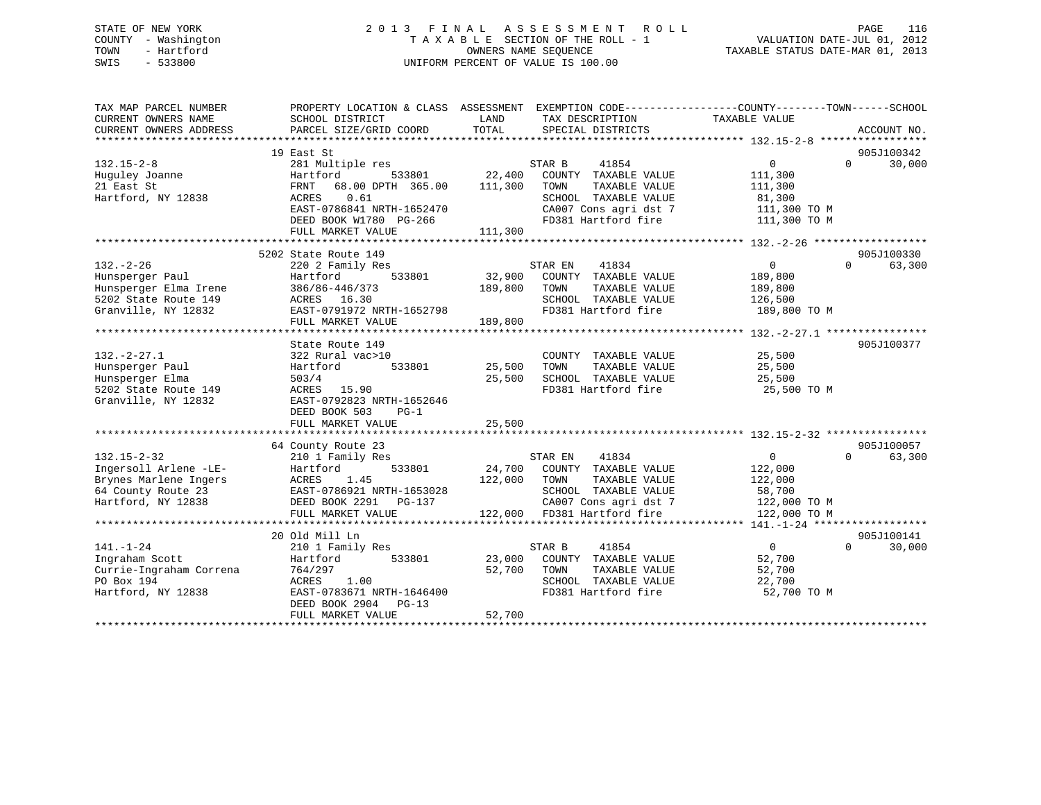# STATE OF NEW YORK 2 0 1 3 F I N A L A S S E S S M E N T R O L L PAGE 116COUNTY - Washington  $\begin{array}{ccc}\n\text{T A X A B L E} & \text{SECTION OF THE ROLL - 1} \\
\text{T} & \text{M NERS NAME SEQUENCE}\n\end{array}$ SWIS - 533800 UNIFORM PERCENT OF VALUE IS 100.00

VALUATION DATE-JUL 01, 2012 TAXABLE STATUS DATE-MAR 01, 2013

| TAX MAP PARCEL NUMBER                | PROPERTY LOCATION & CLASS ASSESSMENT EXEMPTION CODE----------------COUNTY-------TOWN------SCHOOL                                                                                                   |               |                             |                            |             |
|--------------------------------------|----------------------------------------------------------------------------------------------------------------------------------------------------------------------------------------------------|---------------|-----------------------------|----------------------------|-------------|
| CURRENT OWNERS NAME                  | SCHOOL DISTRICT                                                                                                                                                                                    | LAND          | TAX DESCRIPTION             | TAXABLE VALUE              |             |
| CURRENT OWNERS ADDRESS               | PARCEL SIZE/GRID COORD                                                                                                                                                                             | TOTAL         | SPECIAL DISTRICTS           |                            | ACCOUNT NO. |
|                                      |                                                                                                                                                                                                    |               |                             |                            |             |
|                                      | 19 East St                                                                                                                                                                                         |               |                             |                            | 905J100342  |
| $132.15 - 2 - 8$                     | 281 Multiple res                                                                                                                                                                                   |               | 41854<br>STAR B             | $\overline{0}$<br>$\Omega$ | 30,000      |
| Huguley Joanne                       |                                                                                                                                                                                                    | 533801 22,400 | COUNTY TAXABLE VALUE        | 111,300                    |             |
| 21 East St                           |                                                                                                                                                                                                    |               | TOWN<br>TAXABLE VALUE       | 111,300                    |             |
| Hartford, NY 12838                   | Hartford<br>FRNT 68.00 DPTH 365.00 111,300<br>0.61<br>ACRES                                                                                                                                        |               | SCHOOL TAXABLE VALUE        | 81,300                     |             |
|                                      | EAST-0786841 NRTH-1652470                                                                                                                                                                          |               | CA007 Cons agri dst 7       | 111,300 TO M               |             |
|                                      | DEED BOOK W1780 PG-266                                                                                                                                                                             |               | FD381 Hartford fire         | 111,300 TO M               |             |
|                                      | FULL MARKET VALUE                                                                                                                                                                                  | 111,300       |                             |                            |             |
|                                      |                                                                                                                                                                                                    |               |                             |                            |             |
|                                      |                                                                                                                                                                                                    |               |                             |                            | 905J100330  |
|                                      | 5202 State Route 149                                                                                                                                                                               |               |                             |                            |             |
| $132 - 2 - 26$                       | 220 2 Family Res                                                                                                                                                                                   |               | 41834<br>STAR EN            | $\overline{0}$<br>$\Omega$ | 63,300      |
| Hunsperger Paul                      | 533801<br>Hartford                                                                                                                                                                                 | 32,900        | COUNTY TAXABLE VALUE        | 189,800                    |             |
| Hunsperger Elma Irene 386/86-446/373 |                                                                                                                                                                                                    | 189,800       | TAXABLE VALUE<br>TOWN       | 189,800                    |             |
| 5202 State Route 149                 | ACRES 16.30                                                                                                                                                                                        |               | SCHOOL TAXABLE VALUE        | 126,500                    |             |
| Granville, NY 12832                  | EAST-0791972 NRTH-1652798                                                                                                                                                                          |               | FD381 Hartford fire         | 189,800 TO M               |             |
|                                      | FULL MARKET VALUE                                                                                                                                                                                  | 189,800       |                             |                            |             |
|                                      |                                                                                                                                                                                                    |               |                             |                            |             |
|                                      | State Route 149                                                                                                                                                                                    |               |                             |                            | 905J100377  |
| $132 - 2 - 27.1$                     | 322 Rural vac>10                                                                                                                                                                                   |               | COUNTY TAXABLE VALUE        | 25,500                     |             |
| Hunsperger Paul                      | Hartford<br>533801                                                                                                                                                                                 | 25,500        | TAXABLE VALUE<br>TOWN       | 25,500                     |             |
| Hunsperger Elma                      | 503/4                                                                                                                                                                                              | 25,500        | SCHOOL TAXABLE VALUE        | 25,500                     |             |
| 5202 State Route 149                 | <b>ACRES</b> 15.90                                                                                                                                                                                 |               | FD381 Hartford fire         | 25,500 TO M                |             |
| Granville, NY 12832                  | EAST-0792823 NRTH-1652646                                                                                                                                                                          |               |                             |                            |             |
|                                      | DEED BOOK 503<br>$PG-1$                                                                                                                                                                            |               |                             |                            |             |
|                                      | FULL MARKET VALUE                                                                                                                                                                                  | 25,500        |                             |                            |             |
|                                      |                                                                                                                                                                                                    |               |                             |                            |             |
|                                      | 64 County Route 23                                                                                                                                                                                 |               |                             |                            | 905J100057  |
|                                      |                                                                                                                                                                                                    |               | 41834<br>STAR EN            | 0<br>$\Omega$              | 63,300      |
|                                      |                                                                                                                                                                                                    |               | 24,700 COUNTY TAXABLE VALUE | 122,000                    |             |
|                                      |                                                                                                                                                                                                    | 122,000       | TOWN<br>TAXABLE VALUE       | 122,000                    |             |
|                                      |                                                                                                                                                                                                    |               | SCHOOL TAXABLE VALUE        | 58,700                     |             |
|                                      |                                                                                                                                                                                                    |               | CA007 Cons agri dst 7       | 122,000 TO M               |             |
|                                      | Ingersoll Arlene -LE-<br>Brynes Marlene Ingers<br>64 County Route 23<br>The Tast County Route 23<br>The BOOK 2291 PER BOOK 2291 PG-137<br>The Cast Cast Cast Cook 2291 PG-137<br>FULL MARKET VALUE |               | 122,000 FD381 Hartford fire | 122,000 TO M               |             |
|                                      |                                                                                                                                                                                                    |               |                             |                            |             |
|                                      | 20 Old Mill Ln                                                                                                                                                                                     |               |                             |                            | 905J100141  |
|                                      |                                                                                                                                                                                                    |               |                             | $\Omega$                   |             |
| $141. - 1 - 24$                      | 210 1 Family Res<br>---<br>Hartford                                                                                                                                                                |               | 41854<br>STAR B             | $\overline{0}$             | 30,000      |
| Ingraham Scott                       | 533801                                                                                                                                                                                             | 23,000        | COUNTY TAXABLE VALUE        | 52,700                     |             |
| Currie-Ingraham Correna (164/297)    |                                                                                                                                                                                                    | 52,700        | TOWN<br>TAXABLE VALUE       | 52,700                     |             |
| PO Box 194                           | ACRES 1.00                                                                                                                                                                                         |               | SCHOOL TAXABLE VALUE        | 22,700                     |             |
| Hartford, NY 12838                   | EAST-0783671 NRTH-1646400                                                                                                                                                                          |               | FD381 Hartford fire         | 52,700 TO M                |             |
|                                      | DEED BOOK 2904 PG-13                                                                                                                                                                               |               |                             |                            |             |
|                                      | FULL MARKET VALUE                                                                                                                                                                                  | 52,700        |                             |                            |             |
|                                      |                                                                                                                                                                                                    |               |                             |                            |             |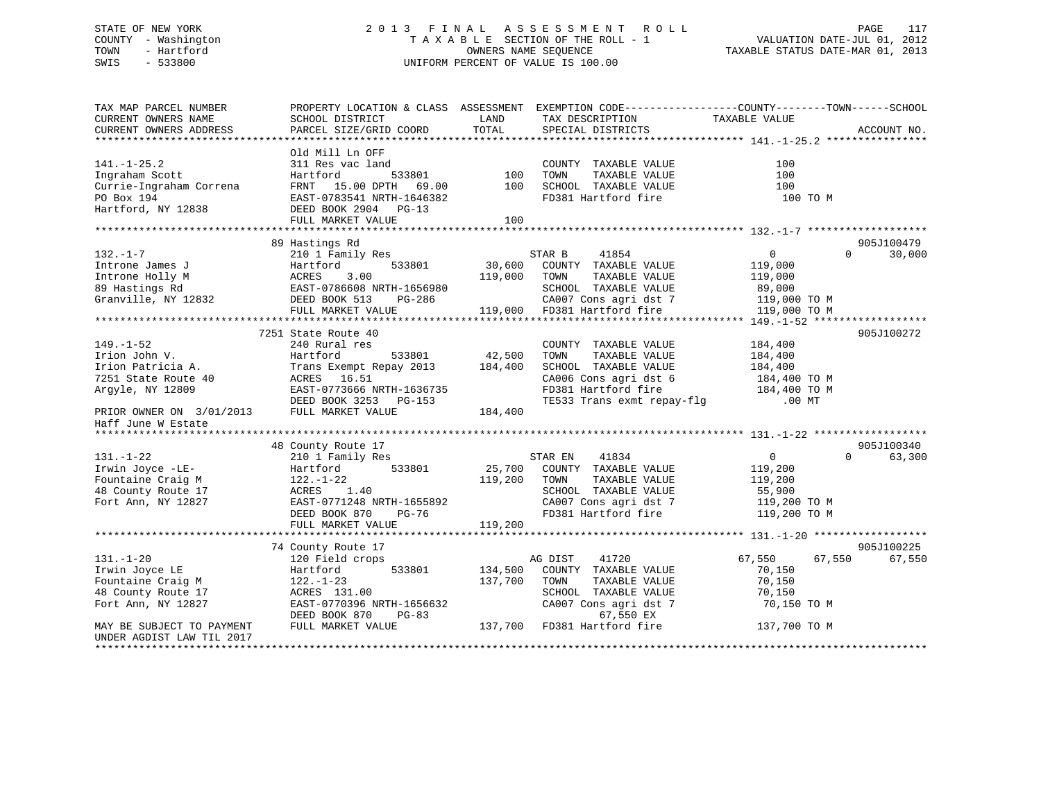#### STATE OF NEW YORK 2 0 1 3 F I N A L A S S E S S M E N T R O L L PAGE 117COUNTY - Washington  $T A X A B L E$  SECTION OF THE ROLL - 1<br>TOWN - Hartford OWNERS NAME SEQUENCE TAXABLE STATUS DATE-MAR 01, 2013 SWIS - 533800 UNIFORM PERCENT OF VALUE IS 100.00

| TAX MAP PARCEL NUMBER<br>CURRENT OWNERS NAME<br>CURRENT OWNERS ADDRESS                                                       | PROPERTY LOCATION & CLASS ASSESSMENT<br>SCHOOL DISTRICT<br>PARCEL SIZE/GRID COORD                                                                                                       | LAND<br>TOTAL      | TAX DESCRIPTION<br>SPECIAL DISTRICTS                                                                                                                                          | EXEMPTION CODE-----------------COUNTY-------TOWN------SCHOOL<br>TAXABLE VALUE | ACCOUNT NO.          |
|------------------------------------------------------------------------------------------------------------------------------|-----------------------------------------------------------------------------------------------------------------------------------------------------------------------------------------|--------------------|-------------------------------------------------------------------------------------------------------------------------------------------------------------------------------|-------------------------------------------------------------------------------|----------------------|
| $141. - 1 - 25.2$<br>Ingraham Scott<br>Currie-Ingraham Correna<br>PO Box 194<br>Hartford, NY 12838                           | Old Mill Ln OFF<br>DEED BOOK 2904 PG-13<br>FULL MARKET VALUE                                                                                                                            | 100                |                                                                                                                                                                               | 100<br>100<br>100<br>100 TO M                                                 |                      |
|                                                                                                                              | 89 Hastings Rd                                                                                                                                                                          |                    |                                                                                                                                                                               |                                                                               | 905J100479           |
| $132. - 1 - 7$                                                                                                               | 210 1 Family Res                                                                                                                                                                        |                    | STAR B<br>41854                                                                                                                                                               | $\overline{0}$                                                                | $\Omega$<br>30,000   |
|                                                                                                                              |                                                                                                                                                                                         |                    |                                                                                                                                                                               |                                                                               |                      |
| $149. - 1 - 52$<br>Irion John V.<br>Irion Patricia A.<br>7251 State Route 40<br>Argyle, NY 12809<br>PRIOR OWNER ON 3/01/2013 | 7251 State Route 40<br>240 Rural res<br>533801<br>Hartford<br>Trans Exempt Repay 2013 184,400<br>ACRES 16.51<br>EAST-0773666 NRTH-1636735<br>DEED BOOK 3253 PG-153<br>FULL MARKET VALUE | 42,500<br>184,400  | COUNTY TAXABLE VALUE<br>TAXABLE VALUE<br>TOWN<br>SCHOOL TAXABLE VALUE<br>CA006 Cons agri dst 6 184,400 TO M<br>FD381 Hartford fire 184,400 TO M<br>TE533 Trans exmt repay-flg | 184,400<br>184,400<br>184,400<br>$.00$ MT                                     | 905J100272           |
| Haff June W Estate                                                                                                           |                                                                                                                                                                                         |                    |                                                                                                                                                                               |                                                                               |                      |
|                                                                                                                              |                                                                                                                                                                                         |                    |                                                                                                                                                                               |                                                                               | 905J100340           |
| $131. - 1 - 22$<br>Irwin Joyce -LE-<br>Fountaine Craig M<br>48 County Route 17<br>Fort Ann, NY 12827                         | 48 County Route 17<br>210 1 Family Res<br>533801<br>Hartford<br>122.-1-22<br>ACRES 1.40<br>EAST-0771248 NRTH-1655892<br>PG-76<br>DEED BOOK 870<br>FULL MARKET VALUE                     | 119,200            | STAR EN 41834<br>25,700 COUNTY TAXABLE VALUE<br>119,200 TOWN TAXABLE VALUE<br>SCHOOL TAXABLE VALUE<br>CA007 Cons agri dst 7<br>FD381 Hartford fire 119,200 TO M               | $\overline{0}$<br>119,200<br>119,200<br>55,900<br>119,200 TO M                | $\Omega$<br>63,300   |
|                                                                                                                              |                                                                                                                                                                                         |                    |                                                                                                                                                                               |                                                                               |                      |
| $131. - 1 - 20$<br>Irwin Joyce LE<br>Fountaine Craig M<br>48 County Route 17<br>Fort Ann, NY 12827                           | 74 County Route 17<br>120 Field crops<br>533801<br>Hartford<br>$122. - 1 - 23$<br>ACRES 131.00<br>EAST-0770396 NRTH-1656632<br>DEED BOOK 870<br>PG-83                                   | 134,500<br>137,700 | AG DIST<br>41720<br>COUNTY TAXABLE VALUE<br>TAXABLE VALUE<br>TOWN<br>SCHOOL TAXABLE VALUE<br>SCHOOL TAXABLE VALUE<br>CA007 Cons agri dst 7<br>67,550 EX                       | 67,550<br>67,550<br>70,150<br>70,150<br>70,150<br>70,150 TO M                 | 905J100225<br>67,550 |
| MAY BE SUBJECT TO PAYMENT<br>UNDER AGDIST LAW TIL 2017<br>**********************                                             | FULL MARKET VALUE                                                                                                                                                                       |                    | 137,700 FD381 Hartford fire                                                                                                                                                   | 137,700 TO M                                                                  |                      |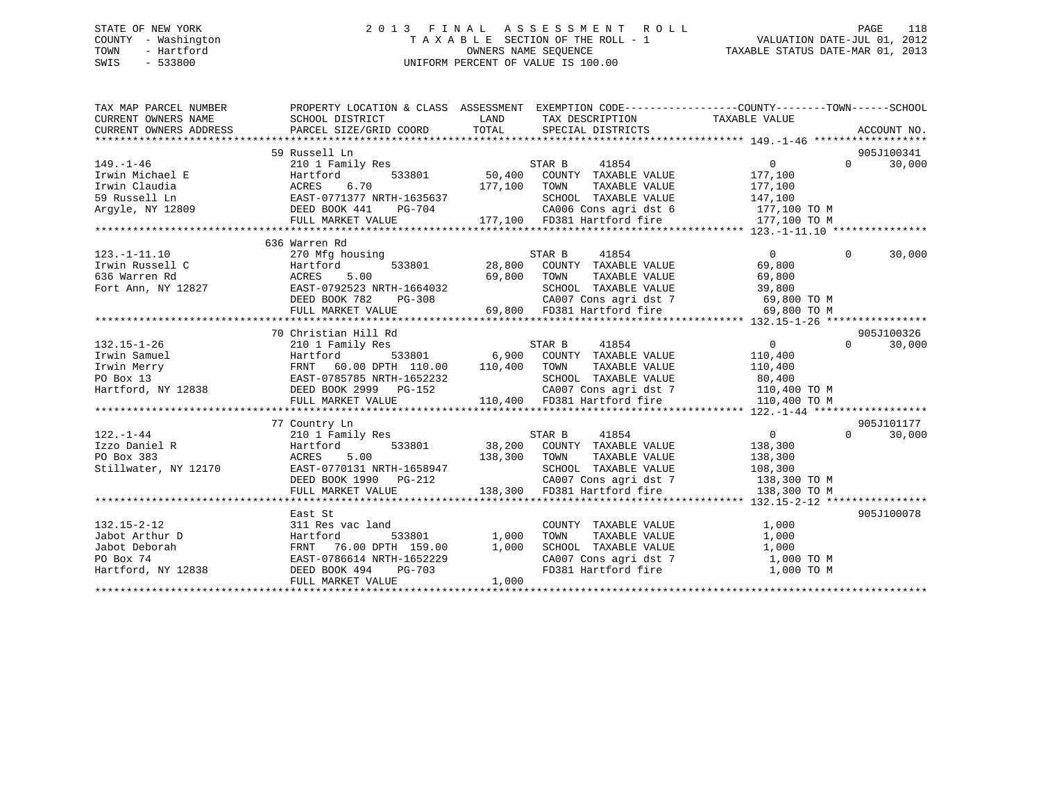# STATE OF NEW YORK 2 0 1 3 F I N A L A S S E S S M E N T R O L L PAGE 118 COUNTY - Washington T A X A B L E SECTION OF THE ROLL - 1 VALUATION DATE-JUL 01, 2012 TOWN - Hartford **TAXABLE STATUS DATE-MAR 01, 2013** SWIS - 533800 UNIFORM PERCENT OF VALUE IS 100.00

| TAX MAP PARCEL NUMBER<br>CURRENT OWNERS NAME   | PROPERTY LOCATION & CLASS ASSESSMENT EXEMPTION CODE---------------COUNTY-------TOWN------SCHOOL<br>SCHOOL DISTRICT                                                                      | LAND         | TAX DESCRIPTION                                                             | TAXABLE VALUE  |                             |
|------------------------------------------------|-----------------------------------------------------------------------------------------------------------------------------------------------------------------------------------------|--------------|-----------------------------------------------------------------------------|----------------|-----------------------------|
| CURRENT OWNERS ADDRESS                         | PARCEL SIZE/GRID COORD                                                                                                                                                                  |              | TOTAL SPECIAL DISTRICTS                                                     |                | ACCOUNT NO.                 |
|                                                | 59 Russell Ln                                                                                                                                                                           |              |                                                                             |                | 905J100341                  |
| $149. - 1 - 46$                                | 210 1 Family Res                                                                                                                                                                        |              | 41854<br>STAR B                                                             | 0              | 30,000<br>$0 \qquad \qquad$ |
| Irwin Michael E                                | Hartford                                                                                                                                                                                |              | 533801 50,400 COUNTY TAXABLE VALUE                                          | 177,100        |                             |
| Irwin Claudia                                  | ACRES 6.70                                                                                                                                                                              | 177,100      | TOWN<br>TAXABLE VALUE                                                       | 177,100        |                             |
| 59 Russell Ln                                  | EAST-0771377 NRTH-1635637                                                                                                                                                               |              | SCHOOL TAXABLE VALUE                                                        | 147,100        |                             |
| Arqyle, NY 12809                               | $PG-704$<br>DEED BOOK 441                                                                                                                                                               |              | CA006 Cons agri dst 6 177,100 TO M                                          |                |                             |
|                                                | FULL MARKET VALUE                                                                                                                                                                       |              | 177,100 FD381 Hartford fire 177,100 TO M                                    |                |                             |
|                                                |                                                                                                                                                                                         |              |                                                                             |                |                             |
|                                                | 636 Warren Rd                                                                                                                                                                           |              |                                                                             |                |                             |
| $123. - 1 - 11.10$                             | 270 Mfg housing                                                                                                                                                                         |              | STAR B<br>41854                                                             | $\overline{0}$ | $\Omega$<br>30,000          |
| Irwin Russell C                                | 533801<br>Hartford                                                                                                                                                                      |              | 28,800 COUNTY TAXABLE VALUE                                                 | 69,800         |                             |
| 636 Warren Rd                                  | ACRES<br>5.00                                                                                                                                                                           | 69,800 TOWN  | TAXABLE VALUE                                                               | 69,800         |                             |
| Fort Ann, NY 12827                             |                                                                                                                                                                                         |              | SCHOOL TAXABLE VALUE                                                        | 39,800         |                             |
|                                                |                                                                                                                                                                                         |              |                                                                             |                |                             |
|                                                | EAST-0792523 NRTH-1664032<br>DEED BOOK 782 PG-308<br>FULL MARKET VALUE 69,800                                                                                                           |              | CA007 Cons agri dst 7 69,800 TO M<br>69,800 FD381 Hartford fire 69,800 TO M |                |                             |
|                                                |                                                                                                                                                                                         |              |                                                                             |                |                             |
|                                                | 70 Christian Hill Rd                                                                                                                                                                    |              |                                                                             |                | 905J100326                  |
| $132.15 - 1 - 26$                              | 210 1 Family Res                                                                                                                                                                        |              | STAR B 41854                                                                | $\overline{0}$ | $0 \qquad \qquad$<br>30,000 |
| Irwin Samuel                                   | Hartford                                                                                                                                                                                |              | 533801 6,900 COUNTY TAXABLE VALUE                                           | 110,400        |                             |
| Irwin Merry<br>PO Box 13<br>Hartford, NY 12838 | FRNT 60.00 DPTH 110.00                                                                                                                                                                  | 110,400 TOWN | TAXABLE VALUE                                                               | 110,400        |                             |
|                                                | EAST-0785785 NRTH-1652232                                                                                                                                                               |              | SCHOOL TAXABLE VALUE                                                        | 80,400         |                             |
|                                                | NEXT V/03/03 NRIH-1052232<br>DEED BOOK 2999 PG-152<br>NEXT WI-W                                                                                                                         |              | CA007 Cons agri dst 7 110,400 TO M                                          |                |                             |
|                                                | FULL MARKET VALUE                                                                                                                                                                       |              | 110,400 FD381 Hartford fire                                                 | 110,400 TO M   |                             |
|                                                |                                                                                                                                                                                         |              |                                                                             |                |                             |
|                                                | 77 Country Ln                                                                                                                                                                           |              |                                                                             |                | 905J101177                  |
| $122. - 1 - 44$                                | 210 1 Family Res                                                                                                                                                                        |              | 41854<br>STAR B                                                             | $\overline{0}$ | $\Omega$<br>30,000          |
| Izzo Daniel R                                  | 533801<br>Hartford                                                                                                                                                                      |              | 38,200 COUNTY TAXABLE VALUE                                                 | 138,300        |                             |
| PO Box 383                                     |                                                                                                                                                                                         |              |                                                                             | 138,300        |                             |
| Stillwater, NY 12170                           |                                                                                                                                                                                         |              | SCHOOL TAXABLE VALUE 108,300                                                |                |                             |
|                                                |                                                                                                                                                                                         |              | CA007 Cons agri dst 7 138,300 TO M                                          |                |                             |
|                                                | ACRES 5.00 138,300 TOWN TAXABLE VALUE<br>EAST-0770131 NRTH-1658947 SCHOOL TAXABLE VALUE<br>DEED BOOK 1990 PG-212 CA007 Cons agri dst 7<br>FULL MARKET VALUE 138,300 FD381 Hartford fire |              |                                                                             | 138,300 TO M   |                             |
|                                                |                                                                                                                                                                                         |              |                                                                             |                |                             |
|                                                | East St                                                                                                                                                                                 |              |                                                                             |                | 905J100078                  |
| $132.15 - 2 - 12$                              | 311 Res vac land                                                                                                                                                                        |              | COUNTY TAXABLE VALUE                                                        | 1,000          |                             |
| Jabot Arthur D                                 | Hartford                                                                                                                                                                                | 533801 1,000 | TOWN<br>TAXABLE VALUE                                                       | 1,000          |                             |
| Jabot Deborah                                  | FRNT 76.00 DPTH 159.00                                                                                                                                                                  | 1,000        | SCHOOL TAXABLE VALUE                                                        | 1,000          |                             |
| PO Box 74                                      | EAST-0786614 NRTH-1652229                                                                                                                                                               |              | CA007 Cons agri dst 7                                                       | 1,000 TO M     |                             |
| Hartford, NY 12838                             | DEED BOOK 494<br>PG-703                                                                                                                                                                 |              | FD381 Hartford fire                                                         | 1,000 TO M     |                             |
|                                                | FULL MARKET VALUE                                                                                                                                                                       | 1,000        |                                                                             |                |                             |
|                                                |                                                                                                                                                                                         |              |                                                                             |                |                             |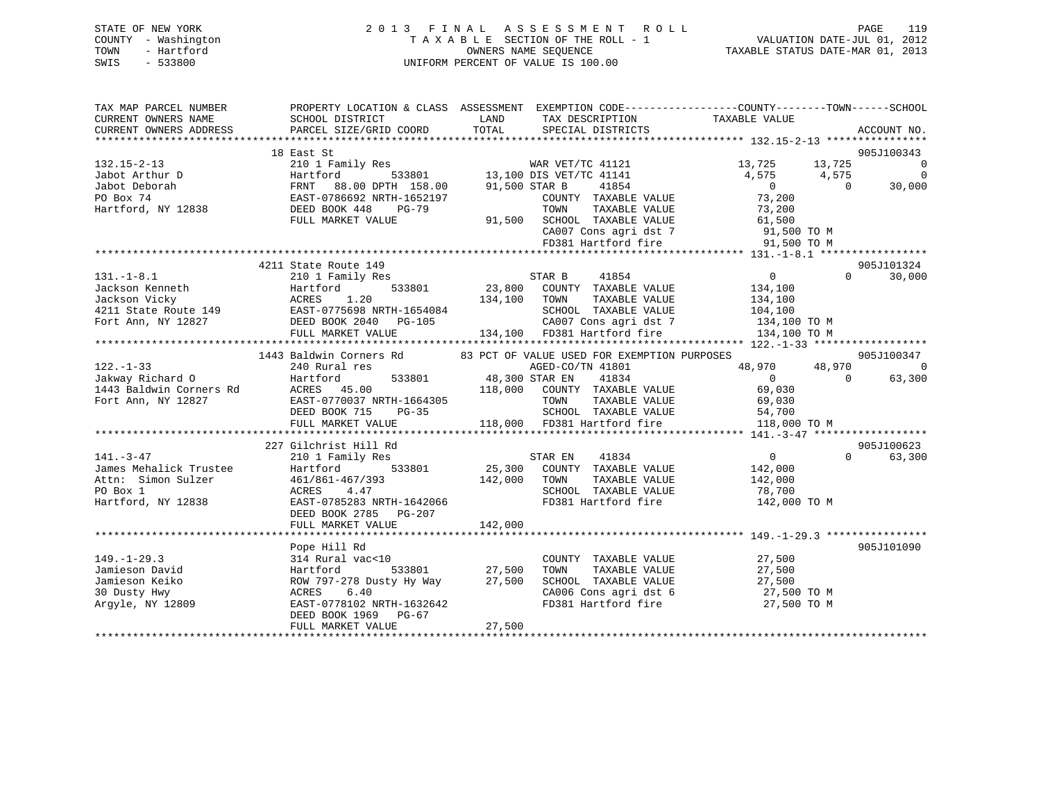| STATE OF NEW YORK   | 2013 FINAL ASSESSMENT ROLL         | 119<br>PAGE                      |
|---------------------|------------------------------------|----------------------------------|
| COUNTY - Washington | TAXABLE SECTION OF THE ROLL - 1    | VALUATION DATE-JUL 01, 2012      |
| TOWN<br>- Hartford  | OWNERS NAME SEOUENCE               | TAXABLE STATUS DATE-MAR 01, 2013 |
| - 533800<br>SWIS    | UNIFORM PERCENT OF VALUE IS 100.00 |                                  |

| TAX MAP PARCEL NUMBER<br>CURRENT OWNERS NAME<br>CURRENT OWNERS ADDRESS                           | SCHOOL DISTRICT<br>PARCEL SIZE/GRID COORD                                                                                                                                                                          | LAND<br>TAX DESCRIPTION<br>TOTAL<br>SPECIAL DISTRICTS                                                                                                                                                                                                   | PROPERTY LOCATION & CLASS ASSESSMENT EXEMPTION CODE----------------COUNTY-------TOWN------SCHOOL<br>TAXABLE VALUE<br>ACCOUNT NO. |
|--------------------------------------------------------------------------------------------------|--------------------------------------------------------------------------------------------------------------------------------------------------------------------------------------------------------------------|---------------------------------------------------------------------------------------------------------------------------------------------------------------------------------------------------------------------------------------------------------|----------------------------------------------------------------------------------------------------------------------------------|
|                                                                                                  |                                                                                                                                                                                                                    |                                                                                                                                                                                                                                                         |                                                                                                                                  |
| 132.15-2-13<br>Jabot Arthur D                                                                    | 18 East St<br>210 1 Family Res<br>Hartford<br>VARO TRANSPORT AND TRANSPORT AND FINIT 198.00 DPTH 158.00 91,500 STAR B<br>PO Box 74 EAST-0786692 NRTH-1652197 COUNTY<br>Hartford, NY 12838 DEED BOOK 448 PG-79 TOWN | % WAR VET/TC 41121<br>533801 13,100 DIS VET/TC 41141<br>41854<br>COUNTY TAXABLE VALUE 73,200                                                                                                                                                            | 905J100343<br>13,725 13,725<br>$\overline{0}$<br>4,575 4,575<br>$\overline{0}$<br>$\overline{0}$<br>30,000<br>$\overline{0}$     |
|                                                                                                  | FULL MARKET VALUE                                                                                                                                                                                                  | COUNTY TAXABLE VALUE 73,200<br>TOWN TAXABLE VALUE 73,200<br>91,500 SCHOOL TAXABLE VALUE 61,500<br>CA007 Cons agri dst 7 91,500 TO M<br>FD381 Hartford fire 91,500 TO M<br>FD381 Hartford fire 91,500 TO M                                               |                                                                                                                                  |
|                                                                                                  |                                                                                                                                                                                                                    |                                                                                                                                                                                                                                                         | 905J101324                                                                                                                       |
| $131. -1 - 8.1$                                                                                  | 4211 State Route 149<br>210 1 Family Res                                                                                                                                                                           | STAR B<br>41854<br>131.-1-8.1 --1.<br>Jackson Kenneth Hartford 533801 23,800 COONN TAXABLE VALUE<br>4211 State Route 149 EAST-0775698 NRTH-1654084 SCHOOL TAXABLE VALUE 104,100<br>Fort Ann, NY 12827 DEED BOOK 2040 PG-105 2807 Cons agri dst 7 134,10 | $\overline{0}$<br>$\Omega$<br>30,000                                                                                             |
|                                                                                                  |                                                                                                                                                                                                                    | 1443 Baldwin Corners Rd 83 PCT OF VALUE USED FOR EXEMPTION PURPOSES                                                                                                                                                                                     | 905J100347                                                                                                                       |
| $122. - 1 - 33$<br>Jakway Richard O Hartford<br>Fort Ann, NY 12827                               | 240 Rural res                                                                                                                                                                                                      | AGED-CO/TN 41801<br>533801 48,300 STAR EN<br>41834                                                                                                                                                                                                      | 48,970<br>48,970<br>- 0<br>$\overline{0}$<br>$\overline{0}$<br>63,300                                                            |
|                                                                                                  |                                                                                                                                                                                                                    | ACRES 45.00 118,000 COUNTY TAXABLE VALUE 69,030<br>EAST-0770037 NRTH-1664305 TOWN TAXABLE VALUE 69,030<br>DEED BOOK 715 PG-35 SCHOOL TAXABLE VALUE 54,700<br>FULL MARKET VALUE 118,000 FD381 Hartford fire 118,000 TO M                                 |                                                                                                                                  |
|                                                                                                  | 227 Gilchrist Hill Rd                                                                                                                                                                                              |                                                                                                                                                                                                                                                         | 905J100623                                                                                                                       |
| $141 - 3 - 47$<br>James Mehalick Trustee<br>Attn: Simon Sulzer<br>PO Box 1<br>Hartford, NY 12838 | 210 1 Family Res<br>533801<br>Hartford<br>$461/861-467/393$ 142,000<br>ACRES 4.47<br>EAST-0785283 NRTH-1642066<br>DEED BOOK 2785 PG-207                                                                            | STAR EN<br>41834<br>$25,300$ COUNTY TAXABLE VALUE<br>142,000 TOWN<br>TAXABLE VALUE<br>SCHOOL TAXABLE VALUE 78,700<br>FD381 Hartford fire                                                                                                                | $\overline{0}$<br>63,300<br>$\Omega$<br>142,000<br>142,000<br>142,000 TO M                                                       |
|                                                                                                  |                                                                                                                                                                                                                    |                                                                                                                                                                                                                                                         |                                                                                                                                  |
| $149. - 1 - 29.3$<br>Jamieson David<br>Jamieson Keiko<br>30 Dusty Hwy<br>Argyle, NY 12809        | Pope Hill Rd<br>314 Rural vac<10<br>Hartford 533801 27,500<br>ROW 797-278 Dusty Hy Way 27,500<br>6.40<br>ACRES<br>EAST-0778102 NRTH-1632642<br>DEED BOOK 1969 PG-67<br>FULL MARKET VALUE                           | COUNTY TAXABLE VALUE<br>TOWN TAXABLE VALUE 27,500<br>SCHOOL TAXABLE VALUE 27,500<br>CA006 Cons agri dst 6 27,500 TO M<br>FD381 Hartford fire<br>27,500                                                                                                  | 905J101090<br>27,500<br>27,500 TO M                                                                                              |
|                                                                                                  |                                                                                                                                                                                                                    |                                                                                                                                                                                                                                                         |                                                                                                                                  |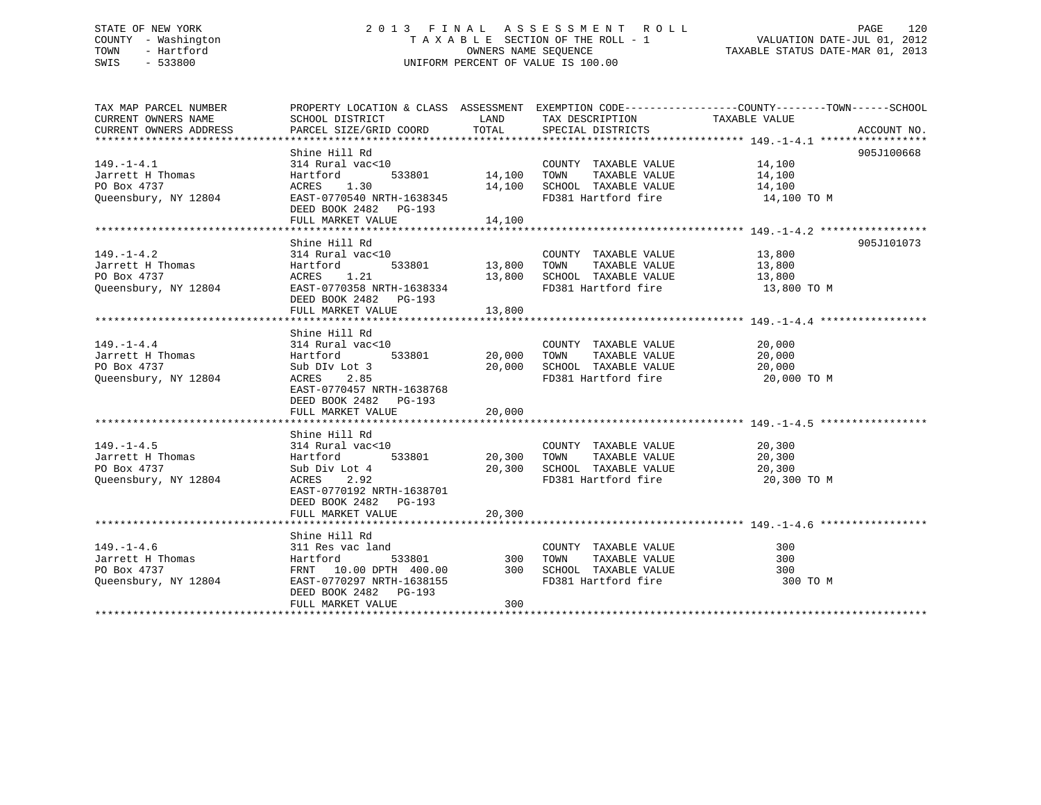# STATE OF NEW YORK 2 0 1 3 F I N A L A S S E S S M E N T R O L L PAGE 120 COUNTY - Washington T A X A B L E SECTION OF THE ROLL - 1 VALUATION DATE-JUL 01, 2012 TOWN - Hartford **TAXABLE STATUS DATE-MAR 01, 2013** OWNERS NAME SEQUENCE TAXABLE STATUS DATE-MAR 01, 2013 SWIS - 533800 UNIFORM PERCENT OF VALUE IS 100.00

| TAX MAP PARCEL NUMBER     |                                                                                                                                                                                                                                                                                                                                                                                                                                |        |                                    | PROPERTY LOCATION & CLASS ASSESSMENT EXEMPTION CODE---------------COUNTY-------TOWN------SCHOOL |            |
|---------------------------|--------------------------------------------------------------------------------------------------------------------------------------------------------------------------------------------------------------------------------------------------------------------------------------------------------------------------------------------------------------------------------------------------------------------------------|--------|------------------------------------|-------------------------------------------------------------------------------------------------|------------|
|                           |                                                                                                                                                                                                                                                                                                                                                                                                                                |        |                                    |                                                                                                 |            |
|                           |                                                                                                                                                                                                                                                                                                                                                                                                                                |        |                                    |                                                                                                 |            |
|                           |                                                                                                                                                                                                                                                                                                                                                                                                                                |        |                                    |                                                                                                 |            |
|                           |                                                                                                                                                                                                                                                                                                                                                                                                                                |        |                                    |                                                                                                 | 905J100668 |
| $149. - 1 - 4.1$          | Shine Hill Rd<br>314 Rural vac<10 COUNTY TAXABLE VALUE 14,100<br>Hartford 533801 14,100 TOWN TAXABLE VALUE 14,100<br>14,100                                                                                                                                                                                                                                                                                                    |        |                                    |                                                                                                 |            |
| Jarrett H Thomas          |                                                                                                                                                                                                                                                                                                                                                                                                                                |        |                                    |                                                                                                 |            |
| PO Box 4737               |                                                                                                                                                                                                                                                                                                                                                                                                                                |        |                                    |                                                                                                 |            |
| Queensbury, NY 12804      | ACRES 1.30 $14,100$ SCHOOL TAXABLE VALUE $14,100$<br>EAST-0770540 NRTH-1638345 FD381 Hartford fire $14,100$ TO M                                                                                                                                                                                                                                                                                                               |        |                                    |                                                                                                 |            |
|                           | DEED BOOK 2482    PG-193                                                                                                                                                                                                                                                                                                                                                                                                       |        |                                    |                                                                                                 |            |
|                           | FULL MARKET VALUE 14,100                                                                                                                                                                                                                                                                                                                                                                                                       |        |                                    |                                                                                                 |            |
|                           |                                                                                                                                                                                                                                                                                                                                                                                                                                |        |                                    |                                                                                                 |            |
|                           | Shine Hill Rd                                                                                                                                                                                                                                                                                                                                                                                                                  |        |                                    |                                                                                                 | 905J101073 |
|                           | $\begin{array}{lllllllllllllll} \text{149.-1-4.2} & \text{314 Rural vac} & \text{20UNTY} & \text{TAXABLE VALUE} & \text{13,800} \\ \text{Jarrett H Thomas} & \text{Hartford} & \text{533801} & \text{13,800} & \text{TOWN} & \text{TAXABLE VALUE} & \text{13,800} \\ \text{PO Box 4737} & \text{ACRES} & \text{1.21} & \text{13,800} & \text{SCHOOL TAXABLE VALUE} & \text{13,800} & \text{13,800} \\ \text{Queensbury, NY 12$ |        |                                    |                                                                                                 |            |
|                           |                                                                                                                                                                                                                                                                                                                                                                                                                                |        |                                    |                                                                                                 |            |
|                           |                                                                                                                                                                                                                                                                                                                                                                                                                                |        |                                    |                                                                                                 |            |
|                           | ACRES 1.21 13,800 SCHOOL TAXABLE VALUE 13,800 DAST-0770358 NRTH-1638334 FD381 Hartford fire 13,800 TO M                                                                                                                                                                                                                                                                                                                        |        |                                    |                                                                                                 |            |
|                           | DEED BOOK 2482 PG-193                                                                                                                                                                                                                                                                                                                                                                                                          |        |                                    |                                                                                                 |            |
|                           |                                                                                                                                                                                                                                                                                                                                                                                                                                |        |                                    |                                                                                                 |            |
|                           | FULL MARKET VALUE                                                                                                                                                                                                                                                                                                                                                                                                              | 13,800 |                                    |                                                                                                 |            |
|                           |                                                                                                                                                                                                                                                                                                                                                                                                                                |        |                                    |                                                                                                 |            |
|                           | Shine Hill Rd                                                                                                                                                                                                                                                                                                                                                                                                                  |        |                                    | $\frac{20,000}{20,000}$                                                                         |            |
| $149. - 1 - 4.4$          |                                                                                                                                                                                                                                                                                                                                                                                                                                |        | COUNTY TAXABLE VALUE               |                                                                                                 |            |
| Jarrett H Thomas          | 314 Rural vac<10 (COUNTY)<br>Hartford 533801 20,000 TOWN<br>Sub DIv Lot 3 20,000 SCHOOL                                                                                                                                                                                                                                                                                                                                        |        | TAXABLE VALUE                      |                                                                                                 |            |
| PO Box 4737               | Sub DIv Lot 3<br>ACRES 2.85                                                                                                                                                                                                                                                                                                                                                                                                    |        | 20,000 SCHOOL TAXABLE VALUE 20,000 |                                                                                                 |            |
| Queensbury, NY 12804      |                                                                                                                                                                                                                                                                                                                                                                                                                                |        | FD381 Hartford fire 20,000 TO M    |                                                                                                 |            |
|                           | EAST-0770457 NRTH-1638768                                                                                                                                                                                                                                                                                                                                                                                                      |        |                                    |                                                                                                 |            |
|                           | DEED BOOK 2482    PG-193                                                                                                                                                                                                                                                                                                                                                                                                       |        |                                    |                                                                                                 |            |
|                           |                                                                                                                                                                                                                                                                                                                                                                                                                                |        |                                    |                                                                                                 |            |
|                           |                                                                                                                                                                                                                                                                                                                                                                                                                                |        |                                    |                                                                                                 |            |
|                           | 314 Rural vac<10<br>Hartford 533801 30,300 TOWN TAXABLE VALUE<br>Sub Div Lot 4 20,300 SCHOOL TAXABLE VALUE<br>ACRES 2.92 RD381 RD381 Boxtford fini                                                                                                                                                                                                                                                                             |        |                                    |                                                                                                 |            |
| $149. - 1 - 4.5$          |                                                                                                                                                                                                                                                                                                                                                                                                                                |        |                                    | 20,300<br>20,300                                                                                |            |
| Jarrett H Thomas          |                                                                                                                                                                                                                                                                                                                                                                                                                                |        |                                    |                                                                                                 |            |
| PO Box 4737               | Sub Div Lot 4 $20,300$ SCHOOL TAXABLE VALUE $20,300$<br>ACRES 2.92 FD381 Hartford fire 20.300                                                                                                                                                                                                                                                                                                                                  |        |                                    |                                                                                                 |            |
| Queensbury, NY 12804      |                                                                                                                                                                                                                                                                                                                                                                                                                                |        |                                    | 20,300 TO M                                                                                     |            |
|                           | EAST-0770192 NRTH-1638701                                                                                                                                                                                                                                                                                                                                                                                                      |        |                                    |                                                                                                 |            |
|                           | DEED BOOK 2482 PG-193                                                                                                                                                                                                                                                                                                                                                                                                          |        |                                    |                                                                                                 |            |
|                           | FULL MARKET VALUE                                                                                                                                                                                                                                                                                                                                                                                                              | 20,300 |                                    |                                                                                                 |            |
|                           |                                                                                                                                                                                                                                                                                                                                                                                                                                |        |                                    |                                                                                                 |            |
|                           | Shine Hill Rd                                                                                                                                                                                                                                                                                                                                                                                                                  |        |                                    |                                                                                                 |            |
| $149. - 1 - 4.6$          | 311 Res vac land                                                                                                                                                                                                                                                                                                                                                                                                               |        | COUNTY TAXABLE VALUE               | 300                                                                                             |            |
| Jarrett H Thomas Hartford |                                                                                                                                                                                                                                                                                                                                                                                                                                |        | 533801 300 TOWN TAXABLE VALUE      | 300                                                                                             |            |
| PO Box 4737               |                                                                                                                                                                                                                                                                                                                                                                                                                                |        |                                    |                                                                                                 |            |
| Queensbury, NY 12804      |                                                                                                                                                                                                                                                                                                                                                                                                                                |        |                                    | 300 TO M                                                                                        |            |
|                           | DEED BOOK 2482 PG-193                                                                                                                                                                                                                                                                                                                                                                                                          |        |                                    |                                                                                                 |            |
|                           | FULL MARKET VALUE                                                                                                                                                                                                                                                                                                                                                                                                              | 300    |                                    |                                                                                                 |            |
|                           |                                                                                                                                                                                                                                                                                                                                                                                                                                |        |                                    |                                                                                                 |            |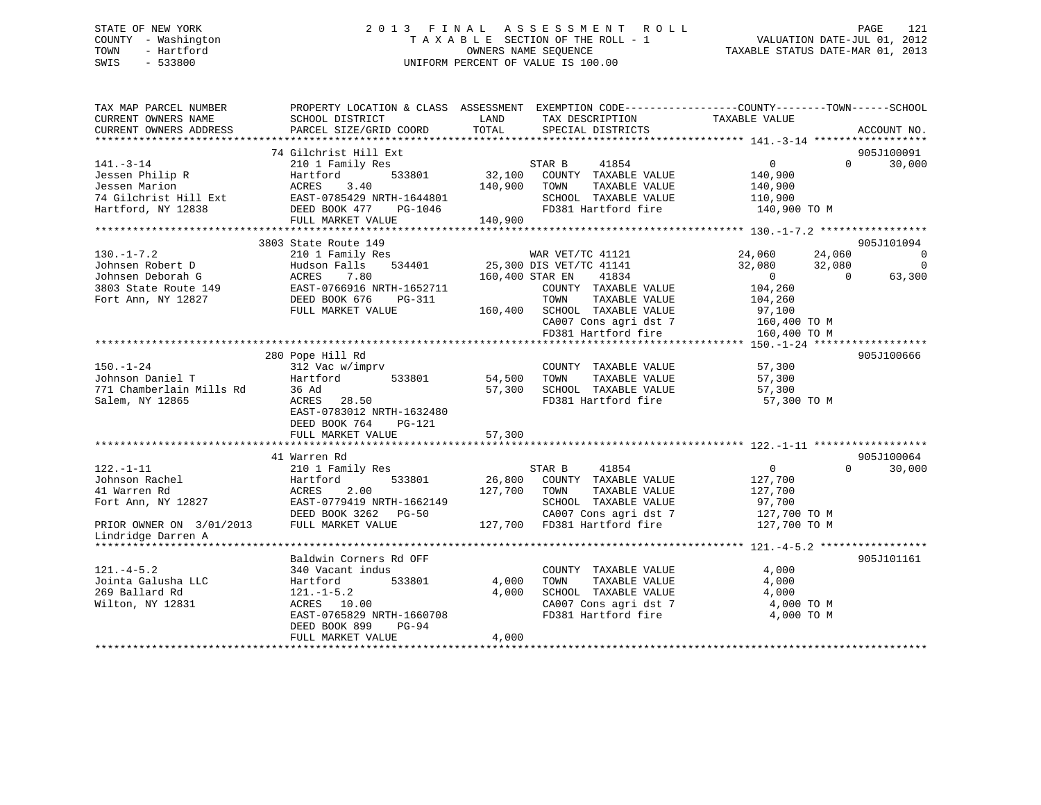# STATE OF NEW YORK 2 0 1 3 F I N A L A S S E S S M E N T R O L L PAGE 121 COUNTY - Washington T A X A B L E SECTION OF THE ROLL - 1 VALUATION DATE-JUL 01, 2012 TOWN - Hartford OWNERS NAME SEQUENCE TAXABLE STATUS DATE-MAR 01, 2013 SWIS - 533800 UNIFORM PERCENT OF VALUE IS 100.00

| TAX MAP PARCEL NUMBER<br>CURRENT OWNERS NAME<br>CURRENT OWNERS ADDRESS | SCHOOL DISTRICT<br>PARCEL SIZE/GRID COORD  | LAND<br>TOTAL     | TAX DESCRIPTION<br>SPECIAL DISTRICTS          | PROPERTY LOCATION & CLASS ASSESSMENT EXEMPTION CODE----------------COUNTY-------TOWN-----SCHOOL<br>TAXABLE VALUE | ACCOUNT NO.                  |
|------------------------------------------------------------------------|--------------------------------------------|-------------------|-----------------------------------------------|------------------------------------------------------------------------------------------------------------------|------------------------------|
|                                                                        |                                            |                   |                                               |                                                                                                                  |                              |
|                                                                        | 74 Gilchrist Hill Ext                      |                   |                                               |                                                                                                                  | 905J100091                   |
| $141. - 3 - 14$                                                        | 210 1 Family Res                           |                   | STAR B<br>41854                               | $\Omega$<br>$\Omega$                                                                                             | 30,000                       |
| Jessen Philip R                                                        | 533801<br>Hartford                         | 32,100            | COUNTY TAXABLE VALUE                          | 140,900                                                                                                          |                              |
| Jessen Marion                                                          | ACRES<br>3.40                              | 140,900           | TAXABLE VALUE<br>TOWN                         | 140,900                                                                                                          |                              |
| 74 Gilchrist Hill Ext                                                  | EAST-0785429 NRTH-1644801                  |                   | SCHOOL TAXABLE VALUE                          | 110,900                                                                                                          |                              |
| Hartford, NY 12838                                                     | DEED BOOK 477<br>PG-1046                   |                   | FD381 Hartford fire                           | 140,900 TO M                                                                                                     |                              |
|                                                                        | FULL MARKET VALUE                          | 140,900           |                                               |                                                                                                                  |                              |
|                                                                        |                                            |                   |                                               |                                                                                                                  |                              |
| $130. -1 - 7.2$                                                        | 3803 State Route 149                       |                   | WAR VET/TC 41121                              | 24,060                                                                                                           | 905J101094<br>$\overline{0}$ |
| Johnsen Robert D                                                       | 210 1 Family Res<br>Hudson Falls<br>534401 |                   | 25,300 DIS VET/TC 41141                       | 24,060<br>32,080<br>32,080                                                                                       | $\Omega$                     |
| Johnsen Deborah G                                                      | ACRES<br>7.80                              |                   | 160,400 STAR EN<br>41834                      | $\overline{0}$<br>$\Omega$                                                                                       | 63,300                       |
| 3803 State Route 149                                                   | EAST-0766916 NRTH-1652711                  |                   | COUNTY TAXABLE VALUE                          | 104,260                                                                                                          |                              |
| Fort Ann, NY 12827                                                     | DEED BOOK 676<br>PG-311                    |                   | TAXABLE VALUE<br>TOWN                         | 104,260                                                                                                          |                              |
|                                                                        | FULL MARKET VALUE                          | 160,400           | SCHOOL TAXABLE VALUE                          | 97,100                                                                                                           |                              |
|                                                                        |                                            |                   | CA007 Cons agri dst 7                         | 160,400 TO M                                                                                                     |                              |
|                                                                        |                                            |                   | FD381 Hartford fire                           | 160,400 TO M                                                                                                     |                              |
|                                                                        |                                            |                   |                                               |                                                                                                                  |                              |
|                                                                        | 280 Pope Hill Rd                           |                   |                                               |                                                                                                                  | 905J100666                   |
| $150. - 1 - 24$                                                        | 312 Vac w/imprv                            |                   | COUNTY TAXABLE VALUE                          | 57,300                                                                                                           |                              |
| Johnson Daniel T                                                       | Hartford<br>533801                         | 54,500            | TOWN<br>TAXABLE VALUE                         | 57,300                                                                                                           |                              |
| 771 Chamberlain Mills Rd                                               | 36 Ad                                      | 57,300            | SCHOOL TAXABLE VALUE                          | 57,300                                                                                                           |                              |
| Salem, NY 12865                                                        | ACRES 28.50                                |                   | FD381 Hartford fire                           | 57,300 TO M                                                                                                      |                              |
|                                                                        | EAST-0783012 NRTH-1632480                  |                   |                                               |                                                                                                                  |                              |
|                                                                        | DEED BOOK 764<br>PG-121                    |                   |                                               |                                                                                                                  |                              |
|                                                                        | FULL MARKET VALUE                          | 57,300            |                                               |                                                                                                                  |                              |
|                                                                        |                                            |                   |                                               |                                                                                                                  |                              |
|                                                                        | 41 Warren Rd                               |                   |                                               |                                                                                                                  | 905J100064                   |
| $122. - 1 - 11$                                                        | 210 1 Family Res                           |                   | STAR B<br>41854                               | $\overline{0}$<br>$\Omega$                                                                                       | 30,000                       |
| Johnson Rachel                                                         | 533801<br>Hartford                         | 26,800<br>127,700 | COUNTY TAXABLE VALUE                          | 127,700                                                                                                          |                              |
| 41 Warren Rd<br>Fort Ann, NY 12827                                     | ACRES<br>2.00<br>EAST-0779419 NRTH-1662149 |                   | TAXABLE VALUE<br>TOWN<br>SCHOOL TAXABLE VALUE | 127,700                                                                                                          |                              |
|                                                                        | DEED BOOK 3262 PG-50                       |                   | CA007 Cons agri dst 7                         | 97,700<br>127,700 TO M                                                                                           |                              |
| PRIOR OWNER ON 3/01/2013                                               | FULL MARKET VALUE                          |                   | 127,700 FD381 Hartford fire                   | 127,700 TO M                                                                                                     |                              |
| Lindridge Darren A                                                     |                                            |                   |                                               |                                                                                                                  |                              |
|                                                                        |                                            |                   |                                               |                                                                                                                  |                              |
|                                                                        | Baldwin Corners Rd OFF                     |                   |                                               |                                                                                                                  | 905J101161                   |
| $121. -4 - 5.2$                                                        | 340 Vacant indus                           |                   | COUNTY TAXABLE VALUE                          | 4,000                                                                                                            |                              |
| Jointa Galusha LLC                                                     | 533801<br>Hartford                         | 4,000             | TOWN<br>TAXABLE VALUE                         | 4,000                                                                                                            |                              |
| 269 Ballard Rd                                                         | $121. - 1 - 5.2$                           | 4,000             | SCHOOL TAXABLE VALUE                          | 4,000                                                                                                            |                              |
| Wilton, NY 12831                                                       | ACRES 10.00                                |                   | CA007 Cons agri dst 7                         | 4,000 TO M                                                                                                       |                              |
|                                                                        | EAST-0765829 NRTH-1660708                  |                   | FD381 Hartford fire                           | 4,000 TO M                                                                                                       |                              |
|                                                                        | DEED BOOK 899<br>$PG-94$                   |                   |                                               |                                                                                                                  |                              |
|                                                                        | FULL MARKET VALUE                          | 4,000             |                                               |                                                                                                                  |                              |
|                                                                        |                                            |                   |                                               |                                                                                                                  |                              |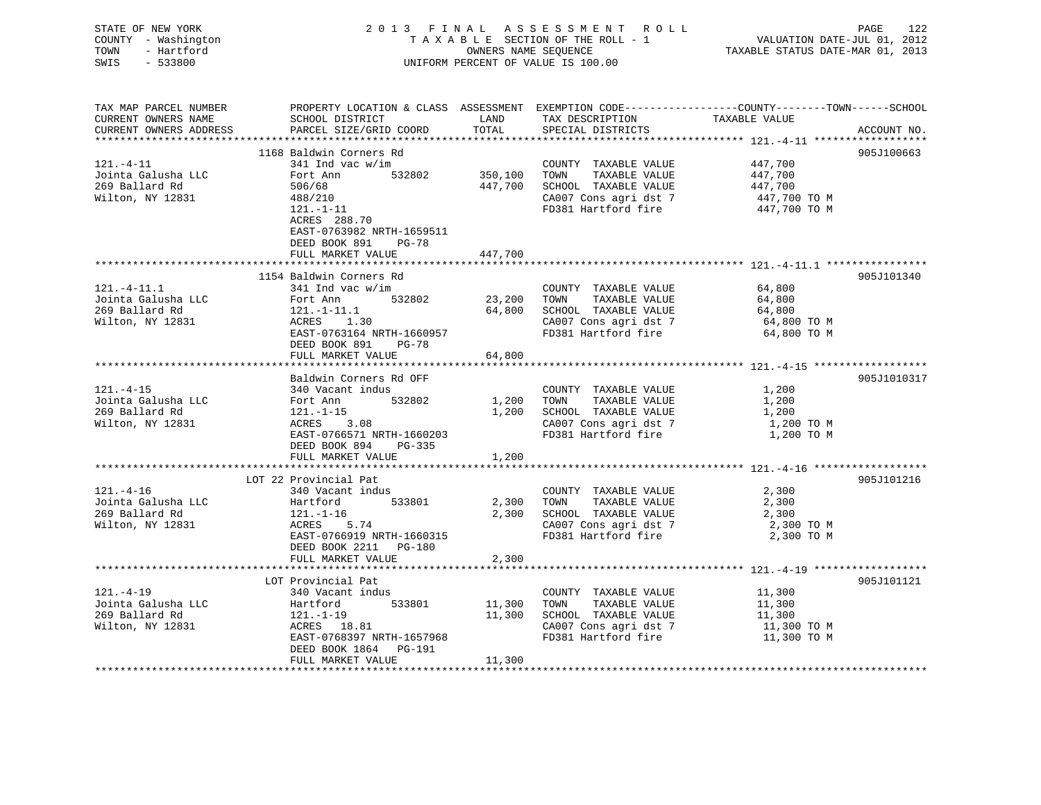| STATE OF NEW YORK<br>COUNTY - Washington<br>- Hartford<br>TOWN<br>$-533800$<br>SWIS |                                                                                                                                             | OWNERS NAME SEQUENCE | 2013 FINAL ASSESSMENT ROLL<br>TAXABLE SECTION OF THE ROLL - 1<br>UNIFORM PERCENT OF VALUE IS 100.00 | ras<br>7212 VALUATION DATE-JUL<br>7212 TAXABLE STATUS DATE-MAR | PAGE<br>122 |
|-------------------------------------------------------------------------------------|---------------------------------------------------------------------------------------------------------------------------------------------|----------------------|-----------------------------------------------------------------------------------------------------|----------------------------------------------------------------|-------------|
| TAX MAP PARCEL NUMBER<br>CURRENT OWNERS NAME<br>CURRENT OWNERS ADDRESS              | PROPERTY LOCATION & CLASS ASSESSMENT EXEMPTION CODE---------------COUNTY-------TOWN-----SCHOOL<br>SCHOOL DISTRICT<br>PARCEL SIZE/GRID COORD | LAND<br>TOTAL        | TAX DESCRIPTION<br>TAX DESCRIPTION TAXABLE VALUE                                                    |                                                                | ACCOUNT NO. |
|                                                                                     | 1168 Baldwin Corners Rd                                                                                                                     |                      |                                                                                                     |                                                                | 905J100663  |
| 121.-4-11                                                                           | $341$ Ind vac w/im                                                                                                                          |                      | COUNTY TAXABLE VALUE                                                                                | 447,700                                                        |             |
| Jointa Galusha LLC                                                                  | 532802<br>Fort Ann                                                                                                                          | 350,100              | TOWN<br>TAXABLE VALUE                                                                               | 447,700                                                        |             |
| 269 Ballard Rd                                                                      | 506/68                                                                                                                                      | 447,700              | SCHOOL TAXABLE VALUE                                                                                | 447,700                                                        |             |
| Wilton, NY 12831                                                                    | 488/210                                                                                                                                     |                      | CA007 Cons agri dst 7                                                                               | 447,700 TO M                                                   |             |
|                                                                                     | 121.-1-11<br>ACRES 288.70<br>EAST-0763982 NRTH-1659511<br>DEED BOOK 891<br>PG-78                                                            |                      | FD381 Hartford fire                                                                                 | $447,700$ TO M                                                 |             |
|                                                                                     | FULL MARKET VALUE                                                                                                                           | 447,700              |                                                                                                     |                                                                |             |
|                                                                                     | 1154 Baldwin Corners Rd                                                                                                                     |                      |                                                                                                     |                                                                | 905J101340  |
| $121. -4 - 11.1$                                                                    | $341$ Ind vac w/im                                                                                                                          |                      | COUNTY TAXABLE VALUE                                                                                | 64,800                                                         |             |
| Jointa Galusha LLC                                                                  | 532802<br>Fort Ann                                                                                                                          | 23,200               | TOWN<br>TAXABLE VALUE                                                                               | 64,800                                                         |             |
| 269 Ballard Rd                                                                      | $ACRES$ 1.30                                                                                                                                |                      | 64,800 SCHOOL TAXABLE VALUE                                                                         | 64,800                                                         |             |
| Wilton, NY 12831                                                                    |                                                                                                                                             |                      | CA007 Cons agri dst 7                                                                               | 64,800 TO M                                                    |             |
|                                                                                     | EAST-0763164 NRTH-1660957<br>DEED BOOK 891 PG-78                                                                                            |                      | FD381 Hartford fire                                                                                 | 64,800 TO M                                                    |             |
|                                                                                     | FULL MARKET VALUE                                                                                                                           | 64,800               |                                                                                                     |                                                                |             |
|                                                                                     |                                                                                                                                             |                      |                                                                                                     |                                                                |             |
| $121. - 4 - 15$                                                                     | Baldwin Corners Rd OFF<br>340 Vacant indus                                                                                                  |                      | COUNTY TAXABLE VALUE                                                                                | 1,200                                                          | 905J1010317 |
| Jointa Galusha LLC                                                                  | Fort Ann 532802                                                                                                                             | 1,200                | TAXABLE VALUE<br>TOWN                                                                               | 1,200                                                          |             |
| 269 Ballard Rd                                                                      | 121.-1-15                                                                                                                                   |                      | 1,200 SCHOOL TAXABLE VALUE                                                                          | 1,200                                                          |             |
| Wilton, NY 12831                                                                    | ACRES 3.08                                                                                                                                  |                      | CA007 Cons agri dst 7                                                                               | 1,200 TO M                                                     |             |
|                                                                                     | EAST-0766571 NRTH-1660203                                                                                                                   |                      | FD381 Hartford fire                                                                                 | 1,200 TO M                                                     |             |
|                                                                                     | DEED BOOK 894 PG-335                                                                                                                        |                      |                                                                                                     |                                                                |             |
|                                                                                     | FULL MARKET VALUE                                                                                                                           | 1,200                |                                                                                                     |                                                                |             |
|                                                                                     |                                                                                                                                             | ***********          |                                                                                                     |                                                                |             |
|                                                                                     | LOT 22 Provincial Pat                                                                                                                       |                      |                                                                                                     |                                                                | 905J101216  |
| $121. - 4 - 16$                                                                     | 340 Vacant indus                                                                                                                            |                      | COUNTY TAXABLE VALUE                                                                                | 2,300                                                          |             |
| Jointa Galusha LLC                                                                  | 533801<br>Hartford                                                                                                                          | 2,300                | TAXABLE VALUE<br>TOWN                                                                               | 2,300                                                          |             |
| 269 Ballard Rd                                                                      | 5.74<br>121.-1-16                                                                                                                           | 2,300                | SCHOOL TAXABLE VALUE                                                                                | 2,300                                                          |             |
| Wilton, NY 12831                                                                    | ACRES                                                                                                                                       |                      | CA007 Cons agri dst 7                                                                               | 2,300 TO M                                                     |             |
|                                                                                     | EAST-0766919 NRTH-1660315                                                                                                                   |                      | FD381 Hartford fire                                                                                 | 2,300 TO M                                                     |             |
|                                                                                     | DEED BOOK 2211 PG-180                                                                                                                       |                      |                                                                                                     |                                                                |             |
|                                                                                     | FULL MARKET VALUE                                                                                                                           | 2,300                |                                                                                                     |                                                                |             |
|                                                                                     | LOT Provincial Pat                                                                                                                          |                      |                                                                                                     |                                                                | 905J101121  |
| $121. - 4 - 19$                                                                     | 340 Vacant indus                                                                                                                            |                      | COUNTY TAXABLE VALUE                                                                                | 11,300                                                         |             |
| Jointa Galusha LLC                                                                  | 533801<br>Hartford                                                                                                                          | 11,300               | TOWN<br>TAXABLE VALUE                                                                               | 11,300                                                         |             |
| 269 Ballard Rd                                                                      | Hartford<br>121.-1-19<br>ACRES 18                                                                                                           |                      | 11,300 SCHOOL TAXABLE VALUE                                                                         | 11,300                                                         |             |
| Wilton, NY 12831                                                                    | ACRES 18.81                                                                                                                                 |                      | CA007 Cons agri dst 7                                                                               | 11,300 TO M                                                    |             |
|                                                                                     | EAST-0768397 NRTH-1657968                                                                                                                   |                      | FD381 Hartford fire                                                                                 | 11,300 TO M                                                    |             |
|                                                                                     | DEED BOOK 1864 PG-191                                                                                                                       |                      |                                                                                                     |                                                                |             |
|                                                                                     | FULL MARKET VALUE                                                                                                                           | 11,300               |                                                                                                     |                                                                |             |
|                                                                                     |                                                                                                                                             |                      |                                                                                                     |                                                                |             |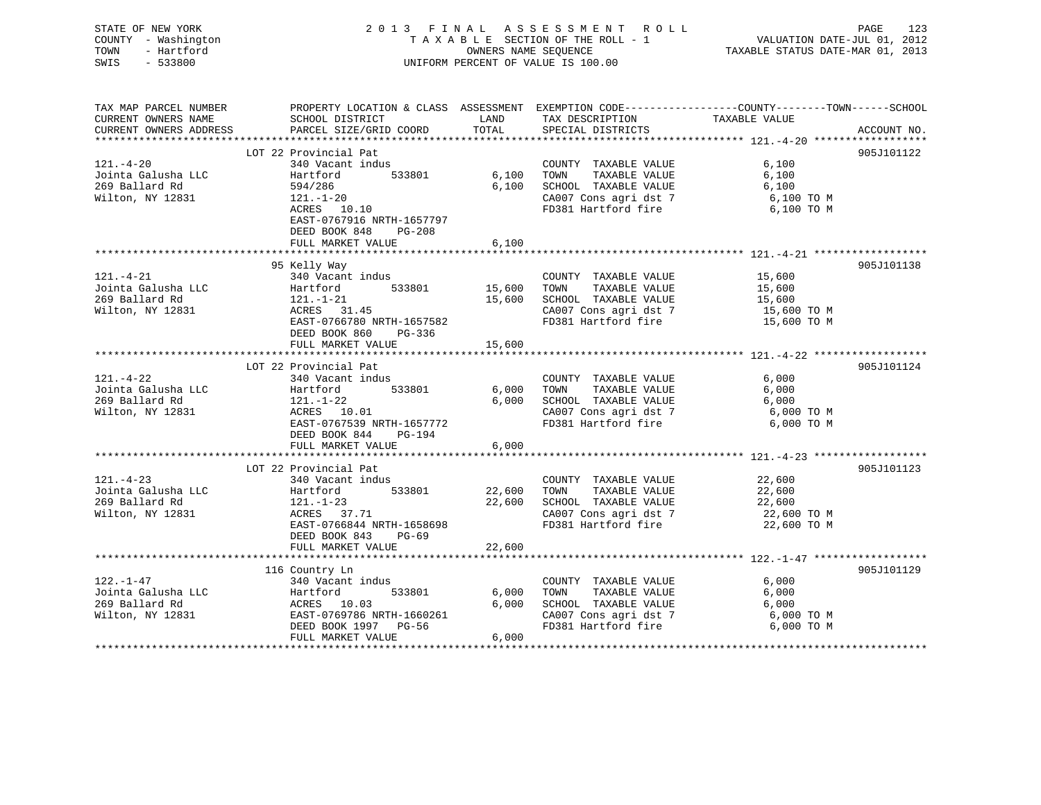| STATE OF NEW YORK<br>COUNTY - Washington<br>TOWN<br>- Hartford<br>SWIS<br>$-533800$ |                                                                                                                                                                                | OWNERS NAME SEQUENCE       | 2013 FINAL ASSESSMENT ROLL<br>TAXABLE SECTION OF THE ROLL - 1<br>UNIFORM PERCENT OF VALUE IS 100.00                   | VALUATION DATE-JUL 01, 2012<br>TAXABLE STATUS DATE-MAR 01, 2013 | PAGE<br>123 |
|-------------------------------------------------------------------------------------|--------------------------------------------------------------------------------------------------------------------------------------------------------------------------------|----------------------------|-----------------------------------------------------------------------------------------------------------------------|-----------------------------------------------------------------|-------------|
| TAX MAP PARCEL NUMBER<br>CURRENT OWNERS NAME<br>CURRENT OWNERS ADDRESS              | PROPERTY LOCATION & CLASS ASSESSMENT EXEMPTION CODE----------------COUNTY-------TOWN------SCHOOL<br>SCHOOL DISTRICT<br>PARCEL SIZE/GRID COORD                                  | LAND<br>TOTAL              | TAX DESCRIPTION<br>SPECIAL DISTRICTS                                                                                  | TAXABLE VALUE                                                   | ACCOUNT NO. |
|                                                                                     | LOT 22 Provincial Pat                                                                                                                                                          |                            |                                                                                                                       |                                                                 | 905J101122  |
| $121. - 4 - 20$<br>Jointa Galusha LLC<br>269 Ballard Rd<br>Wilton, NY 12831         | 340 Vacant indus<br>Hartford<br>533801<br>594/286<br>$121. - 1 - 20$<br>ACRES 10.10<br>EAST-0767916 NRTH-1657797<br>DEED BOOK 848<br>PG-208                                    | 6,100<br>6,100             | COUNTY TAXABLE VALUE<br>TOWN<br>TAXABLE VALUE<br>SCHOOL TAXABLE VALUE<br>CA007 Cons agri dst 7<br>FD381 Hartford fire | 6,100<br>6,100<br>6,100<br>6,100 TO M<br>6,100 TO M             |             |
|                                                                                     | FULL MARKET VALUE                                                                                                                                                              | 6,100                      |                                                                                                                       |                                                                 |             |
| $121. - 4 - 21$                                                                     | 95 Kelly Way<br>340 Vacant indus                                                                                                                                               |                            | COUNTY TAXABLE VALUE                                                                                                  | 15,600                                                          | 905J101138  |
| Jointa Galusha LLC<br>269 Ballard Rd<br>Wilton, NY 12831                            | 533801<br>Hartford<br>$121. - 1 - 21$<br>ACRES 31.45<br>EAST-0766780 NRTH-1657582<br>DEED BOOK 860<br>PG-336<br>FULL MARKET VALUE                                              | 15,600<br>15,600<br>15,600 | TOWN<br>TAXABLE VALUE<br>SCHOOL TAXABLE VALUE<br>CA007 Cons agri dst 7<br>FD381 Hartford fire                         | 15,600<br>15,600<br>15,600 TO M<br>15,600 TO M                  |             |
|                                                                                     |                                                                                                                                                                                |                            |                                                                                                                       |                                                                 |             |
| $121. - 4 - 22$<br>Jointa Galusha LLC<br>269 Ballard Rd<br>Wilton, NY 12831         | LOT 22 Provincial Pat<br>340 Vacant indus<br>Hartford<br>533801<br>$121. - 1 - 22$<br>ACRES 10.01<br>EAST-0767539 NRTH-1657772<br>DEED BOOK 844<br>PG-194<br>FULL MARKET VALUE | 6,000<br>6,000<br>6,000    | COUNTY TAXABLE VALUE<br>TOWN<br>TAXABLE VALUE<br>SCHOOL TAXABLE VALUE<br>CA007 Cons agri dst 7<br>FD381 Hartford fire | 6,000<br>6,000<br>6,000<br>6,000 TO M<br>6,000 TO M             | 905J101124  |
|                                                                                     | LOT 22 Provincial Pat                                                                                                                                                          |                            |                                                                                                                       |                                                                 | 905J101123  |
| $121. - 4 - 23$<br>Jointa Galusha LLC<br>269 Ballard Rd<br>Wilton, NY 12831         | 340 Vacant indus<br>Hartford<br>533801<br>$121. - 1 - 23$<br>ACRES 37.71<br>EAST-0766844 NRTH-1658698<br>DEED BOOK 843<br>PG-69                                                | 22,600<br>22,600           | COUNTY TAXABLE VALUE<br>TOWN<br>TAXABLE VALUE<br>SCHOOL TAXABLE VALUE<br>CA007 Cons agri dst 7<br>FD381 Hartford fire | 22,600<br>22,600<br>22,600<br>22,600 TO M<br>22,600 TO M        |             |
|                                                                                     | FULL MARKET VALUE                                                                                                                                                              | 22,600                     |                                                                                                                       |                                                                 |             |
| $122. - 1 - 47$<br>Jointa Galusha LLC<br>269 Ballard Rd<br>Wilton, NY 12831         | 116 Country Ln<br>340 Vacant indus<br>Hartford<br>533801<br>ACRES 10.03<br>EAST-0769786 NRTH-1660261<br>DEED BOOK 1997 PG-56<br>FULL MARKET VALUE                              | 6,000<br>6,000<br>6,000    | COUNTY TAXABLE VALUE<br>TOWN<br>TAXABLE VALUE<br>SCHOOL TAXABLE VALUE<br>CA007 Cons agri dst 7<br>FD381 Hartford fire | 6,000<br>6,000<br>6,000<br>6,000 TO M<br>6,000 TO M             | 905J101129  |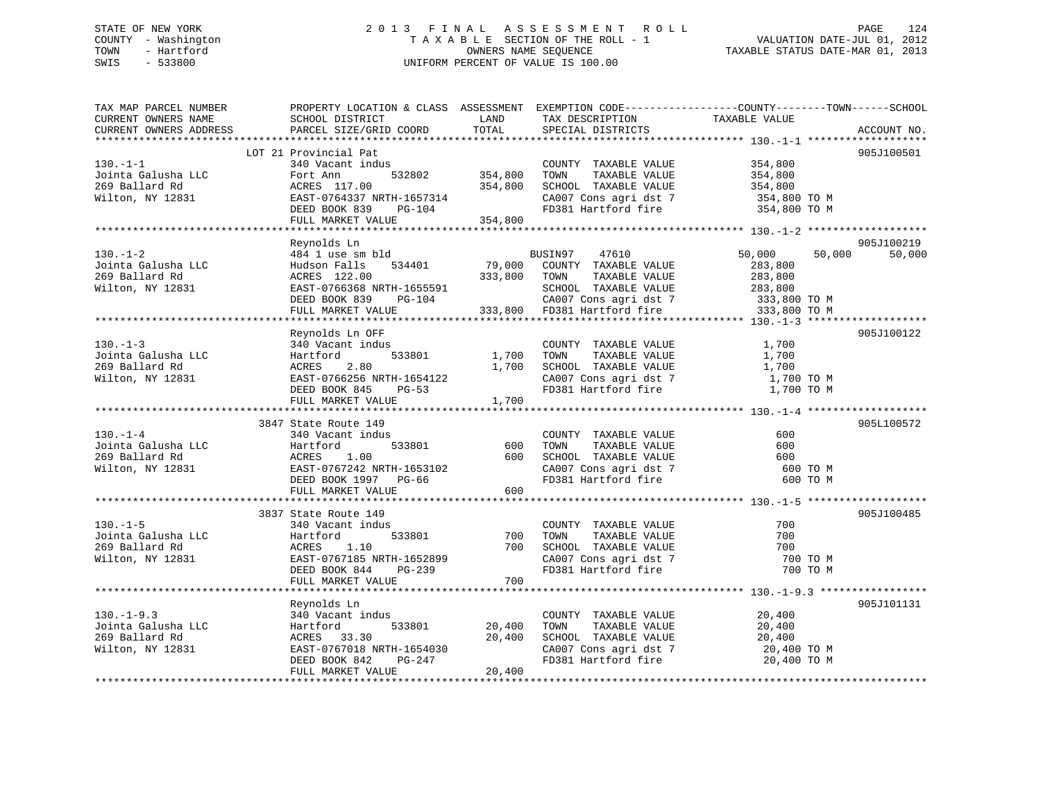# STATE OF NEW YORK 2 0 1 3 F I N A L A S S E S S M E N T R O L L PAGE 124 COUNTY - Washington T A X A B L E SECTION OF THE ROLL - 1 VALUATION DATE-JUL 01, 2012 TOWN - Hartford **TAXABLE STATUS DATE-MAR 01, 2013** OWNERS NAME SEQUENCE TAXABLE STATUS DATE-MAR 01, 2013 SWIS - 533800 UNIFORM PERCENT OF VALUE IS 100.00

| TAX MAP PARCEL NUMBER<br>CURRENT OWNERS NAME                                                                                        | PROPERTY LOCATION & CLASS ASSESSMENT EXEMPTION CODE---------------COUNTY-------TOWN------SCHOOL<br>SCHOOL DISTRICT<br><b>LAND</b>                                                                                                          |                   | TAX DESCRIPTION TAXABLE VALUE                                                               |                                              |        |             |
|-------------------------------------------------------------------------------------------------------------------------------------|--------------------------------------------------------------------------------------------------------------------------------------------------------------------------------------------------------------------------------------------|-------------------|---------------------------------------------------------------------------------------------|----------------------------------------------|--------|-------------|
|                                                                                                                                     |                                                                                                                                                                                                                                            |                   | SPECIAL DISTRICTS                                                                           |                                              |        | ACCOUNT NO. |
|                                                                                                                                     | LOT 21 Provincial Pat                                                                                                                                                                                                                      |                   |                                                                                             |                                              |        | 905J100501  |
| $130. - 1 - 1$                                                                                                                      | 340 Vacant indus                                                                                                                                                                                                                           |                   | COUNTY TAXABLE VALUE 354,800                                                                |                                              |        |             |
|                                                                                                                                     |                                                                                                                                                                                                                                            | 532802 354,800    | TOWN                                                                                        | TAXABLE VALUE 354,800                        |        |             |
|                                                                                                                                     |                                                                                                                                                                                                                                            |                   | SCHOOL TAXABLE VALUE                                                                        | 354,800                                      |        |             |
|                                                                                                                                     |                                                                                                                                                                                                                                            |                   |                                                                                             |                                              |        |             |
|                                                                                                                                     |                                                                                                                                                                                                                                            |                   | CA007 Cons agri dst 7 354,800 TO M<br>FD381 Hartford fire 354,800 TO M                      |                                              |        |             |
|                                                                                                                                     | 130.-1-1<br>Jointa Galusha LLC Fort Ann 532802 354,800<br>269 Ballard Rd ACRES 117.00 354,800<br>Wilton, NY 12831 BEED BOOK 839 PG-104<br>DEED BOOK 839 PG-104<br>The Matrix Chapter of Matrix<br>254,800<br>FULL MARKET VALUE 354,800     |                   |                                                                                             |                                              |        |             |
|                                                                                                                                     |                                                                                                                                                                                                                                            |                   |                                                                                             |                                              |        |             |
|                                                                                                                                     | Reynolds Ln                                                                                                                                                                                                                                |                   |                                                                                             |                                              |        | 905J100219  |
| $130 - 1 - 2$                                                                                                                       | 484 1 use sm bld                                                                                                                                                                                                                           |                   | BUSIN97 47610                                                                               | 50,000                                       | 50,000 | 50,000      |
| Jointa Galusha LLC<br>269 Ballard Rd                                                                                                |                                                                                                                                                                                                                                            |                   |                                                                                             |                                              |        |             |
|                                                                                                                                     |                                                                                                                                                                                                                                            |                   |                                                                                             |                                              |        |             |
| Wilton, NY 12831                                                                                                                    |                                                                                                                                                                                                                                            |                   |                                                                                             |                                              |        |             |
|                                                                                                                                     | Full Market Value<br>EXERES 122.00 333,800 TOWN TAXABLE VALUE<br>EXERES 122.00 333,800 TOWN TAXABLE VALUE 283,800<br>EXET-0766368 NRTH-1655591 SCHOOL TAXABLE VALUE 283,800<br>DEED BOOK 839 PG-104 333,800 FD381 Hartford fire 333,80     |                   |                                                                                             |                                              |        |             |
|                                                                                                                                     |                                                                                                                                                                                                                                            |                   |                                                                                             |                                              |        |             |
|                                                                                                                                     | Reynolds Ln OFF                                                                                                                                                                                                                            |                   |                                                                                             |                                              |        | 905J100122  |
| $130 - 1 - 3$                                                                                                                       | 340 Vacant indus                                                                                                                                                                                                                           |                   |                                                                                             |                                              |        |             |
|                                                                                                                                     | Hartford                                                                                                                                                                                                                                   | 533801 1,700 TOWN | COUNTY TAXABLE VALUE<br>TOWN TAXABLE VALUE                                                  | 1,700<br>1,700<br>1,700                      |        |             |
| Jointa Galusha LLC<br>269 Ballard Rd<br>Wilton, NY 12831                                                                            | ACRES 2.80 1,700 SCHOOL TAXABLE VALUE 1,700<br>EAST-0766256 NRTH-1654122 2 CA007 Cons agri dst 7 1,700 TO M<br>DEED BOOK 845 PG-53 FD381 Hartford fire 1.700 TO M                                                                          |                   |                                                                                             |                                              |        |             |
|                                                                                                                                     |                                                                                                                                                                                                                                            |                   |                                                                                             |                                              |        |             |
|                                                                                                                                     |                                                                                                                                                                                                                                            |                   |                                                                                             |                                              |        |             |
|                                                                                                                                     | FULL MARKET VALUE                                                                                                                                                                                                                          | 1,700             |                                                                                             |                                              |        |             |
|                                                                                                                                     |                                                                                                                                                                                                                                            |                   |                                                                                             |                                              |        |             |
|                                                                                                                                     | 3847 State Route 149                                                                                                                                                                                                                       |                   |                                                                                             |                                              |        | 905L100572  |
|                                                                                                                                     |                                                                                                                                                                                                                                            |                   | COUNTY TAXABLE VALUE                                                                        | 600                                          |        |             |
|                                                                                                                                     |                                                                                                                                                                                                                                            |                   |                                                                                             | 600                                          |        |             |
|                                                                                                                                     |                                                                                                                                                                                                                                            |                   |                                                                                             | 600                                          |        |             |
|                                                                                                                                     |                                                                                                                                                                                                                                            |                   |                                                                                             | 600 TO M                                     |        |             |
|                                                                                                                                     | State Route 149<br>340 Vacant indus<br>Hartford 533801 600 TOWN TAXABLE VALUE<br>ACRES 1.00 600 SCHOOL TAXABLE VALUE<br>EAST-0757242 NRTH-1653102 CA007 Cons agri dst 7<br>DEED BOOK 1997 PG-66 FD381 Hartford fire<br>---- ------         |                   |                                                                                             | 600 TO M                                     |        |             |
|                                                                                                                                     | FULL MARKET VALUE                                                                                                                                                                                                                          | 600               |                                                                                             |                                              |        |             |
|                                                                                                                                     | 3837 State Route 149                                                                                                                                                                                                                       |                   |                                                                                             |                                              |        | 905J100485  |
| $130. - 1 - 5$                                                                                                                      |                                                                                                                                                                                                                                            |                   |                                                                                             |                                              |        |             |
|                                                                                                                                     |                                                                                                                                                                                                                                            |                   |                                                                                             |                                              |        |             |
|                                                                                                                                     |                                                                                                                                                                                                                                            |                   |                                                                                             |                                              |        |             |
| 340 Va<br>Jointa Galusha LLC<br>269 Ballard Rd<br>Wilton, NY 12831<br>EAST-0<br>2007-08<br>2007-09<br>2007-09<br>2007-09<br>2007-09 |                                                                                                                                                                                                                                            |                   |                                                                                             | 700 TO M                                     |        |             |
|                                                                                                                                     |                                                                                                                                                                                                                                            |                   |                                                                                             | 700 TO M                                     |        |             |
|                                                                                                                                     | 340 Vacant indus<br>340 Vacant indus<br>333801 533801 700 TOWN TAXABLE VALUE<br>ACRES 1.10 700 SCHOOL TAXABLE VALUE 700<br>EAST-0767185 NRTH-1652899 CA007 Cons agri dst 7 700<br>DEED BOOK 844 PG-239 FD381 Hartford fire 700<br>FULL MAR |                   |                                                                                             |                                              |        |             |
|                                                                                                                                     |                                                                                                                                                                                                                                            |                   |                                                                                             |                                              |        |             |
|                                                                                                                                     | Reynolds Ln                                                                                                                                                                                                                                |                   |                                                                                             |                                              |        | 905J101131  |
| $130. - 1 - 9.3$                                                                                                                    | 340 Vacant indus                                                                                                                                                                                                                           |                   | COUNTY TAXABLE VALUE                                                                        | 20,400                                       |        |             |
|                                                                                                                                     | indus<br>533801 20,400                                                                                                                                                                                                                     |                   | TOWN                                                                                        | TAXABLE VALUE 20,400<br>TAXABLE VALUE 20,400 |        |             |
|                                                                                                                                     |                                                                                                                                                                                                                                            |                   | SCHOOL TAXABLE VALUE                                                                        |                                              |        |             |
| Wilton, NY 12831                                                                                                                    | ACRES 33.30 20,400<br>EAST-0767018 NRTH-1654030 20,400<br>DEED BOOK 842 PG-247                                                                                                                                                             |                   | CHOOL TAXABLE VALUE<br>CA007 Cons agri dst 7 20,400 TO M<br>FD381 Hartford fire 20,400 TO M |                                              |        |             |
|                                                                                                                                     |                                                                                                                                                                                                                                            |                   |                                                                                             |                                              |        |             |
|                                                                                                                                     | FULL MARKET VALUE                                                                                                                                                                                                                          | 20,400            |                                                                                             |                                              |        |             |
|                                                                                                                                     |                                                                                                                                                                                                                                            |                   |                                                                                             |                                              |        |             |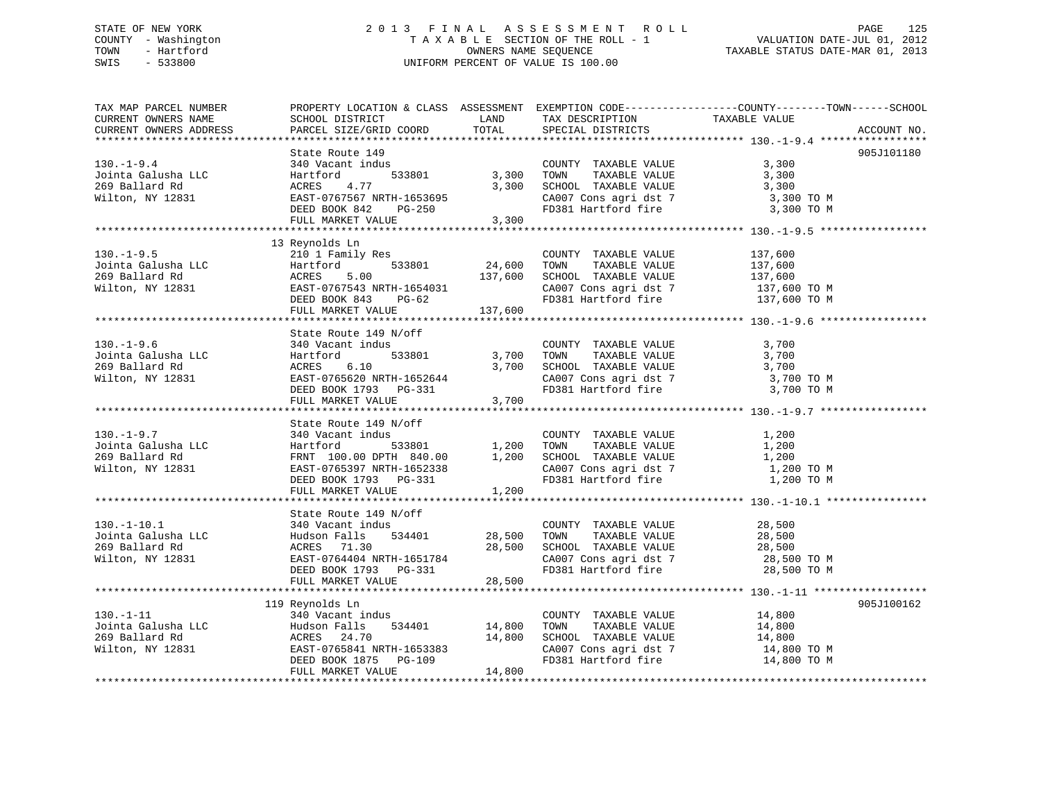# STATE OF NEW YORK 2 0 1 3 F I N A L A S S E S S M E N T R O L L PAGE 125 COUNTY - Washington T A X A B L E SECTION OF THE ROLL - 1 VALUATION DATE-JUL 01, 2012 TOWN - Hartford **TAXABLE STATUS DATE-MAR 01, 2013** SWIS - 533800 UNIFORM PERCENT OF VALUE IS 100.00

| TAX MAP PARCEL NUMBER<br>CURRENT OWNERS NAME<br>CURRENT OWNERS ADDRESS                                                                                                                                                                                                                                  | SCHOOL DISTRICT<br>PARCEL SIZE/GRID COORD                                                                                                                                                                                                                                                                                                                                                                                                           | <b>LAND</b><br>TOTAL | TAX DESCRIPTION TAXABLE VALUE<br>SPECIAL DISTRICTS                                                                 | PROPERTY LOCATION & CLASS ASSESSMENT EXEMPTION CODE----------------COUNTY-------TOWN------SCHOOL<br>ACCOUNT NO.                                                    |
|---------------------------------------------------------------------------------------------------------------------------------------------------------------------------------------------------------------------------------------------------------------------------------------------------------|-----------------------------------------------------------------------------------------------------------------------------------------------------------------------------------------------------------------------------------------------------------------------------------------------------------------------------------------------------------------------------------------------------------------------------------------------------|----------------------|--------------------------------------------------------------------------------------------------------------------|--------------------------------------------------------------------------------------------------------------------------------------------------------------------|
|                                                                                                                                                                                                                                                                                                         |                                                                                                                                                                                                                                                                                                                                                                                                                                                     |                      |                                                                                                                    |                                                                                                                                                                    |
| $130. -1 - 9.4$<br>Jointa Galusha LLC<br>269 Ballard Rd<br>269 Ballard Rd<br>Wilton, NY 12831                                                                                                                                                                                                           | State Route 149<br>340 Vacant indus<br>Hartford 533801 53,300 TOWN TAXABLE VALUE<br>ACRES 4.77 1653695<br>1673695 1990 1991 Variford fire 3,300 TO M<br>2007 Cons agri dst 7 3,300 TO M<br>2007 Cons agri dst 7 3,300 TO M<br>2007 Variford<br>340 Vacant indus<br>Hartford 533801<br>ACRES 4.77<br>EAST-0767567 NRTH-1653695<br>DEED BOOK 842 PG-250<br>ACKES 4.77<br>EAST-0767567 NRTH-1653695<br>DEED BOOK 842 PG-250<br>FULL MARKET VALUE 3,300 |                      |                                                                                                                    | 905J101180                                                                                                                                                         |
|                                                                                                                                                                                                                                                                                                         |                                                                                                                                                                                                                                                                                                                                                                                                                                                     |                      |                                                                                                                    |                                                                                                                                                                    |
| 130.-1-9.5<br>Jointa Galusha LLC $\begin{array}{l} 2101 \text{ Family Res} \\ \text{Hartford} \\ 269 \text{ Ballard Rd} \\ \text{Wilton, NY } 12831 \\ \text{DEED BOK } 843 \text{ PG-62} \\ \text{FULL MARKET VALUE} \\ \text{MALC} \\ \text{FULL MARKET VALUE} \\ \text{MARKET VALUE} \\ \end{array}$ | 13 Reynolds Ln                                                                                                                                                                                                                                                                                                                                                                                                                                      |                      | COUNTY TAXABLE VALUE<br>TOWN<br>SCHOOL TAXABLE VALUE                                                               | 137,600<br>TAXABLE VALUE 137,600<br>TAXABLE VALUE 137,600<br>CAOOL TAXABLE VALUE 137,600<br>CAOO7 Cons agri dst 7 137,600 TO M<br>FD381 Hartford fire 137,600 TO M |
|                                                                                                                                                                                                                                                                                                         |                                                                                                                                                                                                                                                                                                                                                                                                                                                     |                      |                                                                                                                    |                                                                                                                                                                    |
| 130.-1-9.6<br>Jointa Galusha LLC Hartford 533801<br>269 Ballard Rd ACRES 6.10 3,700<br>Wilton, NY 12831<br>EAST-0765620 NRTH-1652644<br>DEED BOOK 1793 PG-331<br>FULL MARKET VALUE 3,700<br>FULL MARKET VALUE 3,700                                                                                     | $533801 \t\t\t 3,700\t\t\t 700M$<br>$6.10 \t\t 3,700\t\t 8CHOOL$                                                                                                                                                                                                                                                                                                                                                                                    |                      | COUNTY TAXABLE VALUE<br>TOWN TAXABLE VALUE<br>SCHOOL TAXABLE VALUE<br>CA007 Cons agri dst 7<br>FD381 Hartford fire | 3,700<br>3,700<br>3,700<br>3,700 TO M<br>3,700 TO M                                                                                                                |
|                                                                                                                                                                                                                                                                                                         |                                                                                                                                                                                                                                                                                                                                                                                                                                                     |                      |                                                                                                                    |                                                                                                                                                                    |
| $130. - 1 - 9.7$<br>Format Hartford<br>269 Ballard Rd<br>Wilton, NY 12831 EAST-0765397 NRTH-1652338 (2007) COMN TAXABLE VALUE<br>Wilton, NY 12831 EAST-0765397 NRTH-1652338 (2007) Consagridst 7<br>DEED BOOK 1793 PG-331 FD381 Hartford fire                                                           | State Route 149 N/off<br>340 Vacant indus<br>FULL MARKET VALUE                                                                                                                                                                                                                                                                                                                                                                                      | 1,200                | COUNTY TAXABLE VALUE<br>CA007 Cons agri dst 7<br>FD381 Hartford fire                                               | 1,200<br>1,200<br>1,200<br>1,200 TO M<br>1,200 TO M                                                                                                                |
|                                                                                                                                                                                                                                                                                                         |                                                                                                                                                                                                                                                                                                                                                                                                                                                     |                      |                                                                                                                    |                                                                                                                                                                    |
|                                                                                                                                                                                                                                                                                                         | FULL MARKET VALUE                                                                                                                                                                                                                                                                                                                                                                                                                                   | 28,500               |                                                                                                                    |                                                                                                                                                                    |
|                                                                                                                                                                                                                                                                                                         |                                                                                                                                                                                                                                                                                                                                                                                                                                                     |                      |                                                                                                                    |                                                                                                                                                                    |
| $130. - 1 - 11$                                                                                                                                                                                                                                                                                         | 119 Reynolds Ln<br>340 Vacant indus<br>FULL MARKET VALUE                                                                                                                                                                                                                                                                                                                                                                                            | 14,800               | COUNTY TAXABLE VALUE 14,800<br>TOWN                                                                                | 905J100162<br>TAXABLE VALUE 14,800<br>TAXABLE VALUE 14,800                                                                                                         |
|                                                                                                                                                                                                                                                                                                         |                                                                                                                                                                                                                                                                                                                                                                                                                                                     |                      |                                                                                                                    |                                                                                                                                                                    |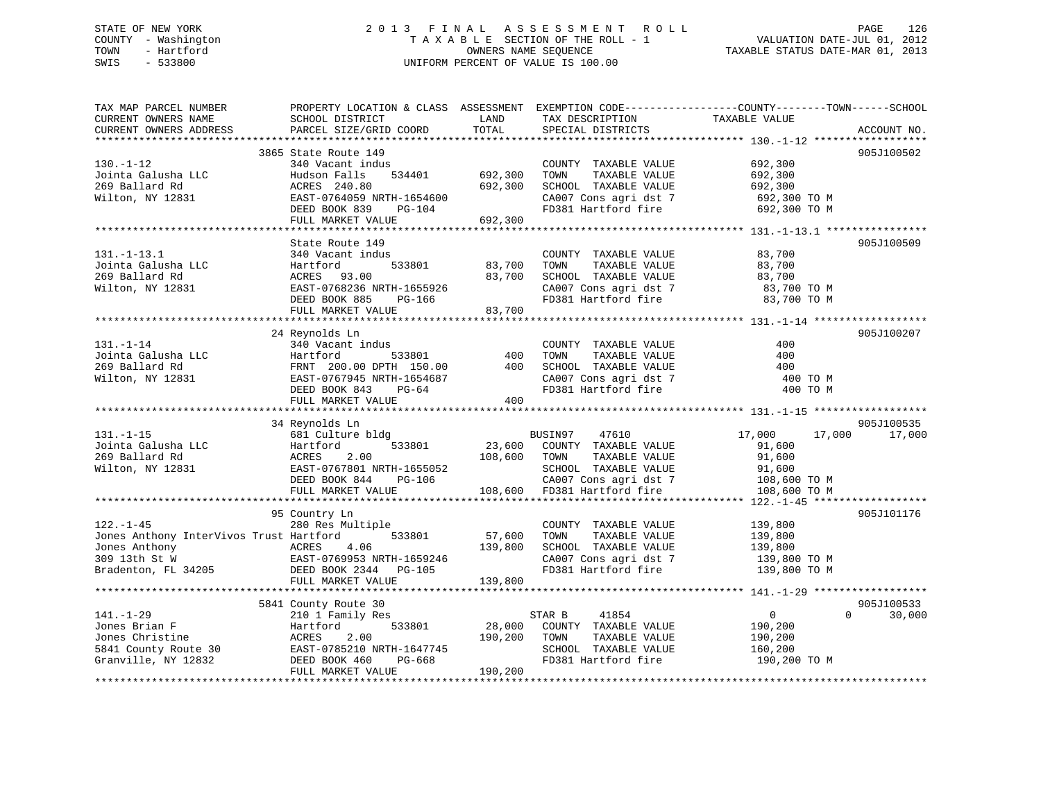# STATE OF NEW YORK 2 0 1 3 F I N A L A S S E S S M E N T R O L L PAGE 126 COUNTY - Washington T A X A B L E SECTION OF THE ROLL - 1 VALUATION DATE-JUL 01, 2012 TOWN - Hartford OWNERS NAME SEQUENCE TAXABLE STATUS DATE-MAR 01, 2013 SWIS - 533800 UNIFORM PERCENT OF VALUE IS 100.00

| TAX MAP PARCEL NUMBER<br>CURRENT OWNERS NAME<br>CURRENT OWNERS ADDRESS                                              | PROPERTY LOCATION & CLASS ASSESSMENT EXEMPTION CODE----------------COUNTY-------TOWN------SCHOOL<br>SCHOOL DISTRICT<br>PARCEL SIZE/GRID COORD                   | LAND<br>TOTAL                 | TAX DESCRIPTION<br>SPECIAL DISTRICTS                                                                                                      | TAXABLE VALUE                                                                  | ACCOUNT NO.          |
|---------------------------------------------------------------------------------------------------------------------|-----------------------------------------------------------------------------------------------------------------------------------------------------------------|-------------------------------|-------------------------------------------------------------------------------------------------------------------------------------------|--------------------------------------------------------------------------------|----------------------|
|                                                                                                                     |                                                                                                                                                                 |                               |                                                                                                                                           |                                                                                |                      |
| $130. - 1 - 12$<br>Jointa Galusha LLC<br>269 Ballard Rd<br>Wilton, NY 12831                                         | 3865 State Route 149<br>340 Vacant indus<br>Hudson Falls<br>534401<br>ACRES 240.80<br>EAST-0764059 NRTH-1654600<br>DEED BOOK 839<br>PG-104<br>FULL MARKET VALUE | 692,300<br>692,300<br>692,300 | COUNTY TAXABLE VALUE<br>TAXABLE VALUE<br>TOWN<br>SCHOOL TAXABLE VALUE<br>CA007 Cons agri dst 7<br>FD381 Hartford fire                     | 692,300<br>692,300<br>692,300<br>692,300 TO M<br>692,300 TO M                  | 905J100502           |
|                                                                                                                     |                                                                                                                                                                 |                               |                                                                                                                                           |                                                                                |                      |
| $131. - 1 - 13.1$<br>Jointa Galusha LLC<br>269 Ballard Rd<br>Wilton, NY 12831                                       | State Route 149<br>340 Vacant indus<br>533801<br>Hartford<br>ACRES 93.00<br>EAST-0768236 NRTH-1655926<br>DEED BOOK 885<br>PG-166<br>FULL MARKET VALUE           | 83,700<br>83,700<br>83,700    | COUNTY TAXABLE VALUE<br>TAXABLE VALUE<br>TOWN<br>SCHOOL TAXABLE VALUE<br>CA007 Cons agri dst 7<br>FD381 Hartford fire                     | 83,700<br>83,700<br>83,700<br>83,700 TO M<br>83,700 TO M                       | 905J100509           |
|                                                                                                                     |                                                                                                                                                                 |                               |                                                                                                                                           |                                                                                |                      |
| $131. - 1 - 14$<br>Jointa Galusha LLC<br>269 Ballard Rd<br>Wilton, NY 12831                                         | 24 Reynolds Ln<br>340 Vacant indus<br>Hartford<br>533801<br>FRNT 200.00 DPTH 150.00<br>EAST-0767945 NRTH-1654687<br>DEED BOOK 843<br>PG-64<br>FULL MARKET VALUE | 400<br>400<br>400             | COUNTY TAXABLE VALUE<br>TAXABLE VALUE<br>TOWN<br>SCHOOL TAXABLE VALUE<br>CA007 Cons agri dst 7<br>FD381 Hartford fire                     | 400<br>400<br>400<br>400 TO M<br>400 TO M                                      | 905J100207           |
|                                                                                                                     |                                                                                                                                                                 |                               |                                                                                                                                           |                                                                                |                      |
| $131. - 1 - 15$<br>Jointa Galusha LLC<br>269 Ballard Rd<br>Wilton, NY 12831                                         | 34 Reynolds Ln<br>681 Culture bldg<br>Hartford<br>533801<br>2.00<br>ACRES<br>EAST-0767801 NRTH-1655052<br>DEED BOOK 844<br>PG-106<br>FULL MARKET VALUE          | 23,600<br>108,600<br>108,600  | 47610<br>BUSIN97<br>COUNTY TAXABLE VALUE<br>TOWN<br>TAXABLE VALUE<br>SCHOOL TAXABLE VALUE<br>CA007 Cons agri dst 7<br>FD381 Hartford fire | 17,000<br>17,000<br>91,600<br>91,600<br>91,600<br>108,600 TO M<br>108,600 TO M | 905J100535<br>17,000 |
|                                                                                                                     | 95 Country Ln                                                                                                                                                   |                               |                                                                                                                                           |                                                                                | 905J101176           |
| $122. - 1 - 45$<br>Jones Anthony InterVivos Trust Hartford<br>Jones Anthony<br>309 13th St W<br>Bradenton, FL 34205 | 280 Res Multiple<br>533801<br>ACRES<br>4.06<br>EAST-0769953 NRTH-1659246<br>DEED BOOK 2344 PG-105                                                               | 57,600<br>139,800             | COUNTY TAXABLE VALUE<br>TAXABLE VALUE<br>TOWN<br>SCHOOL TAXABLE VALUE<br>CA007 Cons agri dst 7<br>FD381 Hartford fire                     | 139,800<br>139,800<br>139,800<br>139,800 TO M<br>139,800 TO M                  |                      |
|                                                                                                                     | FULL MARKET VALUE                                                                                                                                               | 139,800                       |                                                                                                                                           |                                                                                |                      |
|                                                                                                                     | **********************************<br>5841 County Route 30                                                                                                      |                               |                                                                                                                                           |                                                                                | 905J100533           |
| $141. - 1 - 29$<br>Jones Brian F<br>Jones Christine<br>5841 County Route 30<br>Granville, NY 12832                  | 210 1 Family Res<br>533801<br>Hartford<br>ACRES<br>2.00<br>EAST-0785210 NRTH-1647745<br>DEED BOOK 460<br>PG-668<br>FULL MARKET VALUE                            | 28,000<br>190,200<br>190,200  | STAR B<br>41854<br>COUNTY TAXABLE VALUE<br>TOWN<br>TAXABLE VALUE<br>SCHOOL TAXABLE VALUE<br>FD381 Hartford fire                           | $\overline{0}$<br>$\Omega$<br>190,200<br>190,200<br>160,200<br>190,200 TO M    | 30,000               |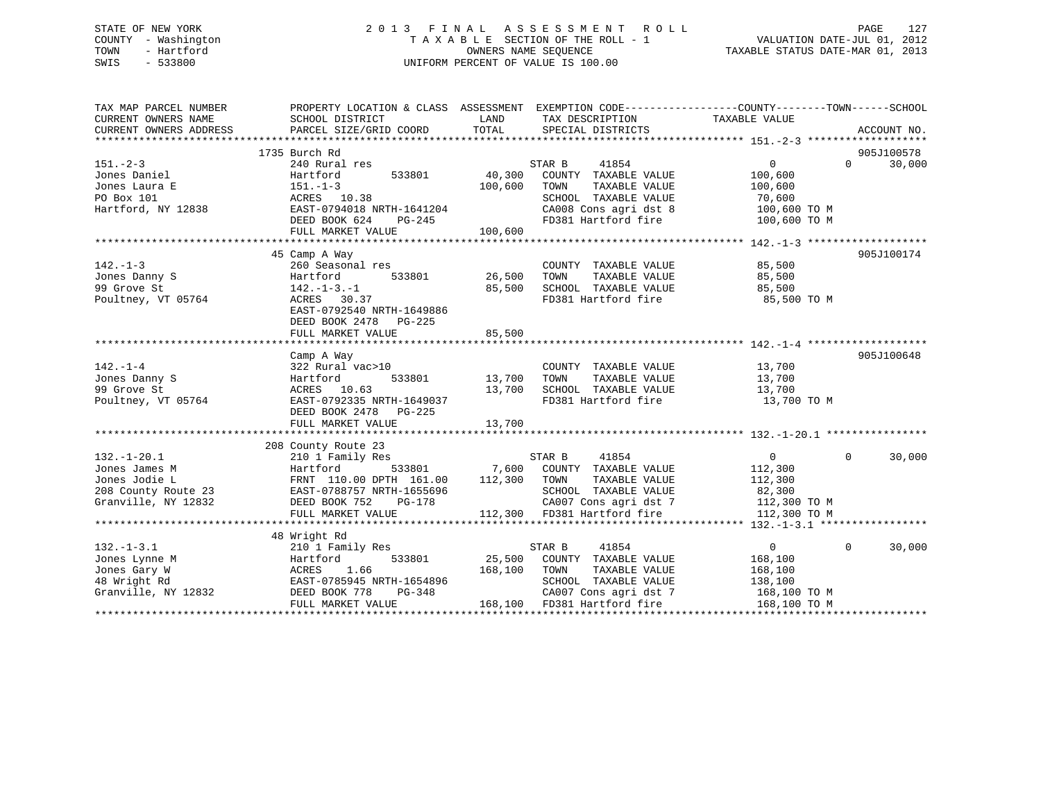# STATE OF NEW YORK 2 0 1 3 F I N A L A S S E S S M E N T R O L L PAGE 127 COUNTY - Washington T A X A B L E SECTION OF THE ROLL - 1 VALUATION DATE-JUL 01, 2012 TOWN - Hartford OWNERS NAME SEQUENCE TAXABLE STATUS DATE-MAR 01, 2013 SWIS - 533800 UNIFORM PERCENT OF VALUE IS 100.00

| TAX MAP PARCEL NUMBER<br>CURRENT OWNERS NAME<br>CURRENT OWNERS ADDRESS | PROPERTY LOCATION & CLASS ASSESSMENT EXEMPTION CODE---------------COUNTY-------TOWN-----SCHOOL<br>SCHOOL DISTRICT<br>PARCEL SIZE/GRID COORD | LAND<br>TOTAL | TAX DESCRIPTION TAXABLE VALUE<br>SPECIAL DISTRICTS |                                    | ACCOUNT NO.        |
|------------------------------------------------------------------------|---------------------------------------------------------------------------------------------------------------------------------------------|---------------|----------------------------------------------------|------------------------------------|--------------------|
|                                                                        |                                                                                                                                             |               |                                                    |                                    | 905J100578         |
| $151 - 2 - 3$                                                          | 1735 Burch Rd<br>240 Rural res                                                                                                              |               | STAR B<br>41854                                    | $\Omega$                           | 30,000<br>$\Omega$ |
|                                                                        |                                                                                                                                             | 40,300        |                                                    |                                    |                    |
| Jones Daniel                                                           | 533801<br>Hartford                                                                                                                          |               | COUNTY TAXABLE VALUE                               | 100,600                            |                    |
| Jones Laura E                                                          | $151. - 1 - 3$                                                                                                                              | 100,600       | TOWN<br>TAXABLE VALUE                              | 100,600                            |                    |
| PO Box 101                                                             | ACRES 10.38                                                                                                                                 |               | SCHOOL TAXABLE VALUE                               | 70,600                             |                    |
| Hartford, NY 12838                                                     | EAST-0794018 NRTH-1641204                                                                                                                   |               | CA008 Cons agri dst 8<br>FD381 Hartford fire       | 100,600 TO M                       |                    |
|                                                                        | DEED BOOK 624 PG-245                                                                                                                        |               |                                                    | 100,600 TO M                       |                    |
|                                                                        | FULL MARKET VALUE                                                                                                                           | 100,600       |                                                    |                                    |                    |
|                                                                        |                                                                                                                                             |               |                                                    |                                    |                    |
|                                                                        | 45 Camp A Way                                                                                                                               |               |                                                    |                                    | 905J100174         |
| $142. - 1 - 3$                                                         | 260 Seasonal res                                                                                                                            |               | COUNTY TAXABLE VALUE                               | 85,500                             |                    |
| Jones Danny S                                                          | 533801<br>Hartford                                                                                                                          | 26,500        | TAXABLE VALUE<br>TOWN                              | 85,500                             |                    |
| 99 Grove St                                                            | $142. - 1 - 3. - 1$                                                                                                                         | 85,500        | SCHOOL TAXABLE VALUE 85,500                        |                                    |                    |
| Poultney, VT 05764                                                     | ACRES 30.37                                                                                                                                 |               | FD381 Hartford fire                                | 85,500 TO M                        |                    |
|                                                                        | EAST-0792540 NRTH-1649886                                                                                                                   |               |                                                    |                                    |                    |
|                                                                        | DEED BOOK 2478 PG-225                                                                                                                       |               |                                                    |                                    |                    |
|                                                                        | FULL MARKET VALUE                                                                                                                           | 85,500        |                                                    |                                    |                    |
|                                                                        |                                                                                                                                             |               |                                                    |                                    |                    |
|                                                                        | Camp A Way                                                                                                                                  |               |                                                    |                                    | 905J100648         |
| $142. - 1 - 4$                                                         | 322 Rural vac>10                                                                                                                            |               | COUNTY TAXABLE VALUE                               | 13,700                             |                    |
| Jones Danny S                                                          | Hartford<br>533801                                                                                                                          | 13,700        | TOWN<br>TAXABLE VALUE                              | 13,700                             |                    |
| 99 Grove St                                                            | ACRES 10.63                                                                                                                                 | 13,700        | SCHOOL TAXABLE VALUE                               | 13,700                             |                    |
| Poultney, VT 05764                                                     | EAST-0792335 NRTH-1649037                                                                                                                   |               | FD381 Hartford fire                                | 13,700 TO M                        |                    |
|                                                                        | DEED BOOK 2478 PG-225                                                                                                                       |               |                                                    |                                    |                    |
|                                                                        | FULL MARKET VALUE                                                                                                                           | 13,700        |                                                    |                                    |                    |
|                                                                        |                                                                                                                                             |               |                                                    |                                    |                    |
|                                                                        | 208 County Route 23                                                                                                                         |               |                                                    |                                    |                    |
| $132. - 1 - 20.1$                                                      | 210 1 Family Res                                                                                                                            |               | STAR B<br>41854                                    | $0 \qquad \qquad$                  | $\Omega$<br>30,000 |
| Jones James M                                                          | Hartford                                                                                                                                    |               | 533801 7,600 COUNTY TAXABLE VALUE                  | 112,300                            |                    |
| Jones Jodie L                                                          | FRNT 110.00 DPTH 161.00                                                                                                                     | 112,300 TOWN  | TAXABLE VALUE                                      | 112,300                            |                    |
| 208 County Route 23                                                    | EAST-0788757 NRTH-1655696                                                                                                                   |               | SCHOOL TAXABLE VALUE                               | 82,300                             |                    |
| Granville, NY 12832                                                    | DEED BOOK 752<br>PG-178                                                                                                                     |               |                                                    | CA007 Cons agri dst 7 112,300 TO M |                    |
|                                                                        | FULL MARKET VALUE                                                                                                                           |               | 112,300 FD381 Hartford fire                        | 112,300 TO M                       |                    |
|                                                                        |                                                                                                                                             |               |                                                    |                                    |                    |
|                                                                        | 48 Wright Rd                                                                                                                                |               |                                                    |                                    |                    |
| $132. - 1 - 3.1$                                                       | 210 1 Family Res                                                                                                                            |               | 41854<br>STAR B                                    | $\Omega$                           | $\Omega$<br>30,000 |
| Jones Lynne M                                                          | 533801<br>Hartford                                                                                                                          | 25,500        | COUNTY TAXABLE VALUE                               | 168,100                            |                    |
| Jones Gary W                                                           | 1.66<br>ACRES                                                                                                                               | 168,100       | TOWN<br>TAXABLE VALUE                              | 168,100                            |                    |
| 48 Wright Rd                                                           | EAST-0785945 NRTH-1654896                                                                                                                   |               | SCHOOL TAXABLE VALUE                               | 138,100                            |                    |
| Granville, NY 12832                                                    | DEED BOOK 778<br>PG-348                                                                                                                     |               | CA007 Cons agri dst 7                              | 168,100 TO M                       |                    |
|                                                                        | FULL MARKET VALUE                                                                                                                           |               | 168,100 FD381 Hartford fire                        | 168,100 TO M                       |                    |
|                                                                        |                                                                                                                                             |               |                                                    |                                    |                    |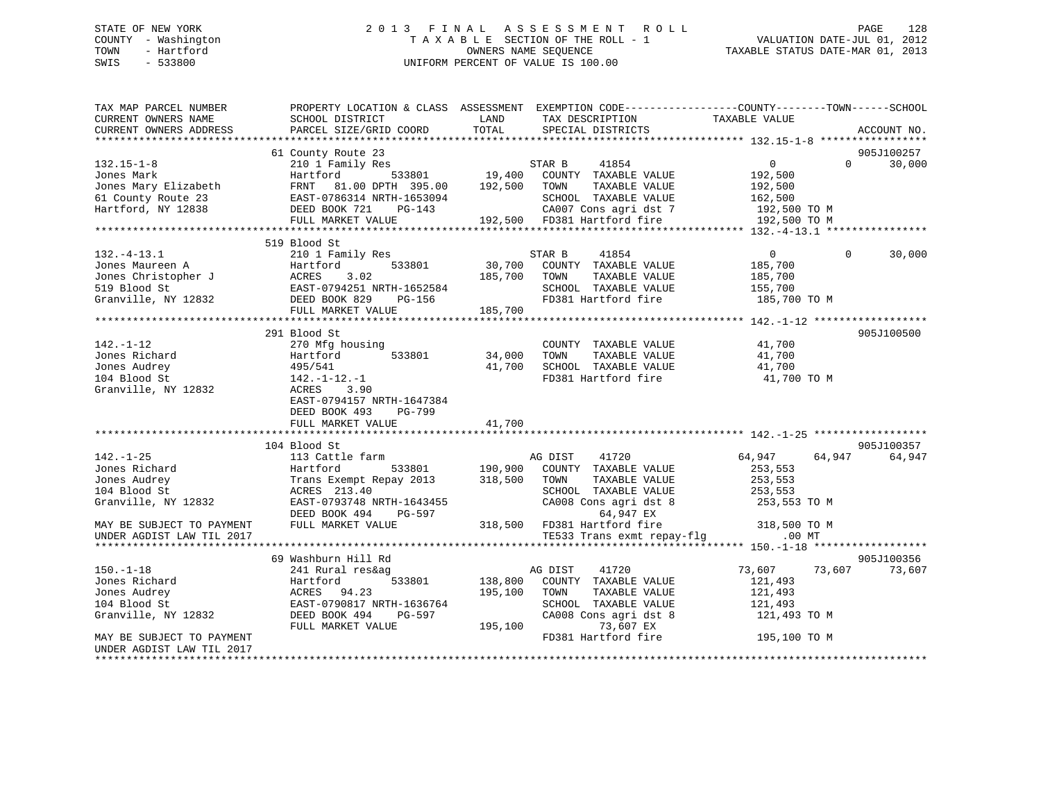# STATE OF NEW YORK 2 0 1 3 F I N A L A S S E S S M E N T R O L L PAGE 128 COUNTY - Washington T A X A B L E SECTION OF THE ROLL - 1 VALUATION DATE-JUL 01, 2012 TOWN - Hartford **TAXABLE STATUS DATE-MAR 01, 2013** SWIS - 533800 UNIFORM PERCENT OF VALUE IS 100.00

| TAX MAP PARCEL NUMBER<br>CURRENT OWNERS NAME<br>CURRENT OWNERS ADDRESS | PROPERTY LOCATION & CLASS ASSESSMENT EXEMPTION CODE---------------COUNTY-------TOWN------SCHOOL<br>SCHOOL DISTRICT<br>PARCEL SIZE/GRID COORD | LAND<br>TOTAL | TAX DESCRIPTION<br>SPECIAL DISTRICTS                 | TAXABLE VALUE      | ACCOUNT NO.        |
|------------------------------------------------------------------------|----------------------------------------------------------------------------------------------------------------------------------------------|---------------|------------------------------------------------------|--------------------|--------------------|
|                                                                        |                                                                                                                                              |               |                                                      |                    |                    |
|                                                                        | 61 County Route 23                                                                                                                           |               |                                                      |                    | 905J100257         |
| $132.15 - 1 - 8$                                                       | 210 1 Family Res<br>533801                                                                                                                   |               | STAR B<br>41854                                      | $\overline{0}$     | 30,000<br>$\Omega$ |
| Jones Mark<br>Jones Mary Elizabeth                                     | Hartford<br>FRNT 81.00 DPTH 395.00                                                                                                           | 192,500       | 19,400 COUNTY TAXABLE VALUE<br>TOWN<br>TAXABLE VALUE | 192,500<br>192,500 |                    |
| 61 County Route 23                                                     | EAST-0786314 NRTH-1653094                                                                                                                    |               | SCHOOL TAXABLE VALUE                                 | 162,500            |                    |
| Hartford, NY 12838                                                     | DEED BOOK 721 PG-143                                                                                                                         |               | CA007 Cons agri dst 7                                | 192,500 TO M       |                    |
|                                                                        | FULL MARKET VALUE                                                                                                                            |               | 192,500 FD381 Hartford fire                          | 192,500 TO M       |                    |
|                                                                        |                                                                                                                                              |               |                                                      |                    |                    |
|                                                                        | 519 Blood St                                                                                                                                 |               |                                                      |                    |                    |
| $132. - 4 - 13.1$                                                      | 210 1 Family Res                                                                                                                             |               | 41854<br>STAR B                                      | $\overline{0}$     | $\Omega$<br>30,000 |
| Jones Maureen A                                                        | 533801<br>Hartford                                                                                                                           | 30,700        | COUNTY TAXABLE VALUE                                 | 185,700            |                    |
| Jones Christopher J                                                    | 3.02<br>ACRES                                                                                                                                | 185,700       | TOWN<br>TAXABLE VALUE                                | 185,700            |                    |
| 519 Blood St                                                           | EAST-0794251 NRTH-1652584                                                                                                                    |               | SCHOOL TAXABLE VALUE                                 | 155,700            |                    |
| Granville, NY 12832                                                    | DEED BOOK 829<br>PG-156                                                                                                                      |               | FD381 Hartford fire                                  | 185,700 TO M       |                    |
|                                                                        | FULL MARKET VALUE                                                                                                                            | 185,700       |                                                      |                    |                    |
|                                                                        |                                                                                                                                              |               |                                                      |                    |                    |
|                                                                        | 291 Blood St                                                                                                                                 |               |                                                      |                    | 905J100500         |
| $142. - 1 - 12$                                                        | 270 Mfg housing                                                                                                                              |               | COUNTY TAXABLE VALUE                                 | 41,700             |                    |
| Jones Richard                                                          | 533801<br>Hartford                                                                                                                           | 34,000        | TOWN<br>TAXABLE VALUE                                | 41,700             |                    |
| Jones Audrey                                                           | 495/541                                                                                                                                      | 41,700        | SCHOOL TAXABLE VALUE                                 | 41,700             |                    |
| 104 Blood St                                                           | $142.-1-12.-1$                                                                                                                               |               | FD381 Hartford fire                                  | 41,700 TO M        |                    |
| Granville, NY 12832                                                    | ACRES 3.90                                                                                                                                   |               |                                                      |                    |                    |
|                                                                        | EAST-0794157 NRTH-1647384                                                                                                                    |               |                                                      |                    |                    |
|                                                                        | DEED BOOK 493<br>PG-799                                                                                                                      |               |                                                      |                    |                    |
|                                                                        | FULL MARKET VALUE                                                                                                                            | 41,700        |                                                      |                    |                    |
|                                                                        |                                                                                                                                              |               |                                                      |                    |                    |
|                                                                        | 104 Blood St                                                                                                                                 |               |                                                      |                    | 905J100357         |
| $142. - 1 - 25$                                                        | 113 Cattle farm                                                                                                                              |               | AG DIST<br>41720                                     | 64,947             | 64,947<br>64,947   |
| Jones Richard                                                          | Hartford<br>533801                                                                                                                           | 190,900       | COUNTY TAXABLE VALUE                                 | 253,553            |                    |
| Jones Audrey                                                           | Trans Exempt Repay 2013                                                                                                                      | 318,500       | TAXABLE VALUE<br>TOWN                                | 253,553            |                    |
| 104 Blood St                                                           | ACRES 213.40                                                                                                                                 |               | SCHOOL TAXABLE VALUE                                 | 253,553            |                    |
| Granville, NY 12832                                                    | EAST-0793748 NRTH-1643455                                                                                                                    |               | CA008 Cons agri dst 8                                | 253,553 TO M       |                    |
|                                                                        | DEED BOOK 494<br>PG-597                                                                                                                      |               | 64,947 EX                                            |                    |                    |
| MAY BE SUBJECT TO PAYMENT                                              | FULL MARKET VALUE                                                                                                                            |               | 318,500 FD381 Hartford fire                          | 318,500 TO M       |                    |
| UNDER AGDIST LAW TIL 2017                                              |                                                                                                                                              |               | TE533 Trans exmt repay-flg                           | $.00$ MT           |                    |
|                                                                        |                                                                                                                                              |               |                                                      |                    |                    |
|                                                                        | 69 Washburn Hill Rd                                                                                                                          |               |                                                      |                    | 905J100356         |
| $150. - 1 - 18$                                                        | 241 Rural res&ag                                                                                                                             |               | 41720<br>AG DIST                                     | 73,607 73,607      | 73,607             |
| Jones Richard                                                          | 533801<br>Hartford                                                                                                                           | 138,800       | COUNTY TAXABLE VALUE                                 | 121,493            |                    |
| Jones Audrey                                                           | ACRES 94.23                                                                                                                                  | 195,100       | TOWN<br>TAXABLE VALUE                                | 121,493            |                    |
| 104 Blood St                                                           | EAST-0790817 NRTH-1636764                                                                                                                    |               | SCHOOL TAXABLE VALUE                                 | 121,493            |                    |
| Granville, NY 12832                                                    | DEED BOOK 494<br>PG-597                                                                                                                      |               | CA008 Cons agri dst 8                                | 121,493 TO M       |                    |
|                                                                        | FULL MARKET VALUE                                                                                                                            | 195,100       | 73,607 EX                                            |                    |                    |
| MAY BE SUBJECT TO PAYMENT                                              |                                                                                                                                              |               | FD381 Hartford fire                                  | 195,100 TO M       |                    |
| UNDER AGDIST LAW TIL 2017                                              |                                                                                                                                              |               |                                                      |                    |                    |
|                                                                        |                                                                                                                                              |               |                                                      |                    |                    |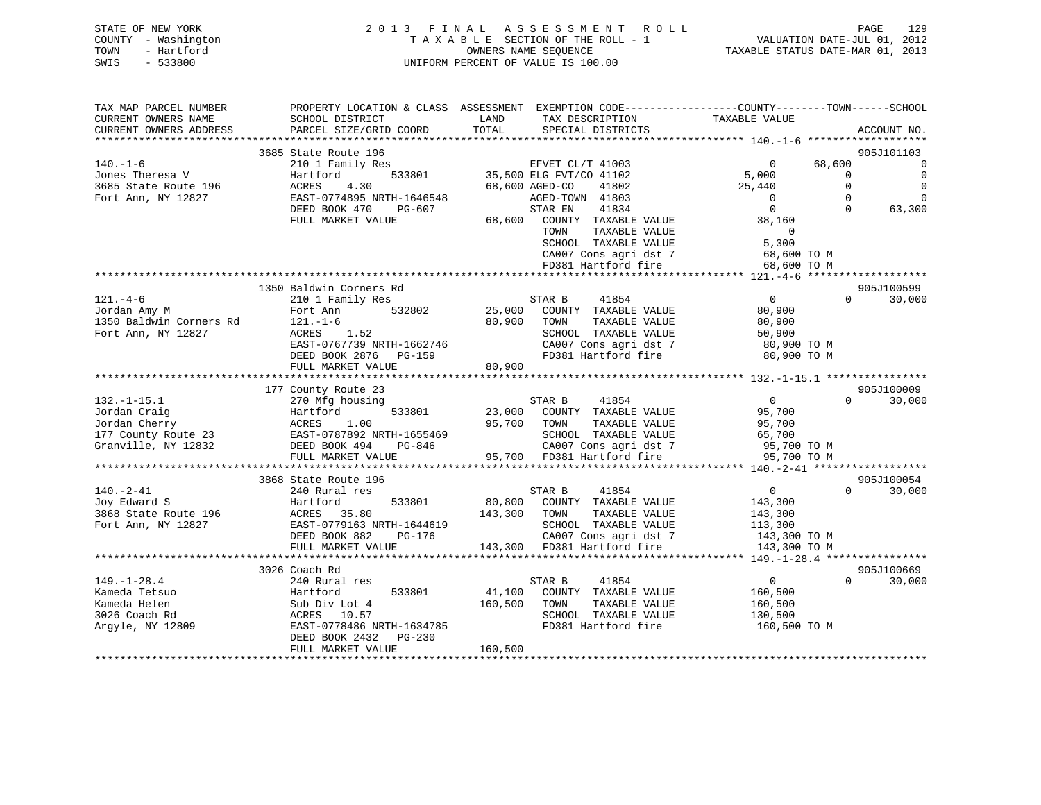| STATE OF NEW YORK   | 2013 FINAL ASSESSMENT ROLL         | 129<br>PAGE                      |
|---------------------|------------------------------------|----------------------------------|
| COUNTY - Washington | TAXABLE SECTION OF THE ROLL - 1    | VALUATION DATE-JUL 01, 2012      |
| TOWN<br>- Hartford  | OWNERS NAME SEOUENCE               | TAXABLE STATUS DATE-MAR 01, 2013 |
| $-533800$<br>SWIS   | UNIFORM PERCENT OF VALUE IS 100.00 |                                  |

| TAX MAP PARCEL NUMBER<br>CURRENT OWNERS NAME        | SCHOOL DISTRICT                              | PROPERTY LOCATION & CLASS ASSESSMENT EXEMPTION CODE----------------COUNTY-------TOWN-----SCHOOL<br>LAND<br>TAX DESCRIPTION | TAXABLE VALUE                                      |
|-----------------------------------------------------|----------------------------------------------|----------------------------------------------------------------------------------------------------------------------------|----------------------------------------------------|
| CURRENT OWNERS ADDRESS<br>************************* | PARCEL SIZE/GRID COORD                       | TOTAL<br>SPECIAL DISTRICTS                                                                                                 | ACCOUNT NO.                                        |
|                                                     | 3685 State Route 196                         |                                                                                                                            | 905J101103                                         |
| $140. - 1 - 6$                                      | 210 1 Family Res                             | EFVET CL/T 41003                                                                                                           | 68,600<br>$\mathbf 0$<br>$\mathbf 0$               |
| Jones Theresa V                                     | 533801<br>Hartford                           | 35,500 ELG FVT/CO 41102                                                                                                    | $\mathbf 0$<br>5,000<br>$\mathbf 0$                |
| 3685 State Route 196                                | ACRES<br>4.30                                | 41802<br>68,600 AGED-CO                                                                                                    | $\Omega$<br>$\mathbf 0$<br>25,440                  |
| Fort Ann, NY 12827                                  | EAST-0774895 NRTH-1646548                    | AGED-TOWN 41803                                                                                                            | $\mathbf 0$<br>$\overline{0}$<br>$\Omega$          |
|                                                     | DEED BOOK 470<br>PG-607                      | 41834<br>STAR EN                                                                                                           | $\overline{0}$<br>$\Omega$<br>63,300               |
|                                                     | FULL MARKET VALUE                            | 68,600 COUNTY TAXABLE VALUE                                                                                                | 38,160                                             |
|                                                     |                                              | TAXABLE VALUE<br>TOWN                                                                                                      | $\overline{0}$                                     |
|                                                     |                                              | SCHOOL TAXABLE VALUE                                                                                                       | 5,300                                              |
|                                                     |                                              | CA007 Cons agri dst 7                                                                                                      | 68,600 TO M                                        |
|                                                     |                                              | FD381 Hartford fire                                                                                                        | 68,600 TO M                                        |
|                                                     |                                              |                                                                                                                            |                                                    |
|                                                     | 1350 Baldwin Corners Rd                      |                                                                                                                            | 905J100599                                         |
| $121. -4 - 6$                                       | 210 1 Family Res                             | STAR B<br>41854                                                                                                            | $\overline{0}$<br>30,000<br>$\Omega$               |
| Jordan Amy M                                        | 532802<br>Fort Ann                           | 25,000<br>COUNTY TAXABLE VALUE                                                                                             | 80,900                                             |
| 1350 Baldwin Corners Rd                             | $121. - 1 - 6$                               | 80,900<br>TOWN<br>TAXABLE VALUE                                                                                            | 80,900                                             |
| Fort Ann, NY 12827                                  | ACRES 1.52                                   | SCHOOL TAXABLE VALUE                                                                                                       | 50,900                                             |
|                                                     | EAST-0767739 NRTH-1662746                    | CA007 Cons agri dst 7                                                                                                      | 80,900 TO M                                        |
|                                                     | DEED BOOK 2876 PG-159                        | FD381 Hartford fire                                                                                                        | 80,900 TO M                                        |
|                                                     | FULL MARKET VALUE                            | 80,900                                                                                                                     |                                                    |
|                                                     | *********************************            | **************************                                                                                                 | ********************* 132.-1-15.1 **************** |
|                                                     | 177 County Route 23                          |                                                                                                                            | 905J100009                                         |
| $132.-1-15.1$                                       | 270 Mfg housing                              | 41854<br>STAR B                                                                                                            | $\overline{0}$<br>30,000<br>$\Omega$               |
| Jordan Craig                                        | 533801<br>Hartford                           | 23,000<br>COUNTY TAXABLE VALUE                                                                                             | 95,700                                             |
| Jordan Cherry                                       | ACRES<br>1.00                                | 95,700<br>TOWN<br>TAXABLE VALUE                                                                                            | 95,700                                             |
| 177 County Route 23                                 | EAST-0787892 NRTH-1655469                    | SCHOOL TAXABLE VALUE                                                                                                       | 65,700                                             |
| Granville, NY 12832                                 | DEED BOOK 494<br>PG-846<br>FULL MARKET VALUE | CA007 Cons agri dst 7<br>95,700 FD381 Hartford fire                                                                        | 95,700 TO M<br>95,700 TO M                         |
|                                                     |                                              |                                                                                                                            | **************** 140.-2-41 *******************     |
|                                                     | 3868 State Route 196                         |                                                                                                                            | 905J100054                                         |
| $140. - 2 - 41$                                     | 240 Rural res                                | 41854<br>STAR B                                                                                                            | $\overline{\mathbf{0}}$<br>30,000<br>$\Omega$      |
| Joy Edward S                                        | 533801<br>Hartford                           | 80,800<br>COUNTY TAXABLE VALUE                                                                                             | 143,300                                            |
| 3868 State Route 196                                | ACRES 35.80                                  | 143,300<br>TAXABLE VALUE<br>TOWN                                                                                           | 143,300                                            |
| Fort Ann, NY 12827                                  | EAST-0779163 NRTH-1644619                    | SCHOOL TAXABLE VALUE                                                                                                       | 113,300                                            |
|                                                     | DEED BOOK 882<br>PG-176                      | CA007 Cons agri dst 7                                                                                                      | 143,300 TO M                                       |
|                                                     |                                              |                                                                                                                            |                                                    |
|                                                     |                                              |                                                                                                                            |                                                    |
|                                                     | 3026 Coach Rd                                |                                                                                                                            | 905J100669                                         |
| $149. - 1 - 28.4$                                   | 240 Rural res                                | 41854<br>STAR B                                                                                                            | $\overline{0}$<br>$\Omega$<br>30,000               |
| Kameda Tetsuo                                       | 533801<br>Hartford                           | 41,100<br>COUNTY TAXABLE VALUE                                                                                             | 160,500                                            |
| Kameda Helen                                        | Sub Div Lot 4                                | 160,500<br>TOWN<br>TAXABLE VALUE                                                                                           | 160,500                                            |
| 3026 Coach Rd                                       | ACRES 10.57                                  | SCHOOL TAXABLE VALUE                                                                                                       | 130,500                                            |
| Argyle, NY 12809                                    | EAST-0778486 NRTH-1634785                    | FD381 Hartford fire                                                                                                        | 160,500 TO M                                       |
|                                                     | PG-230<br>DEED BOOK 2432                     |                                                                                                                            |                                                    |
|                                                     | FULL MARKET VALUE                            | 160,500                                                                                                                    |                                                    |
|                                                     |                                              |                                                                                                                            |                                                    |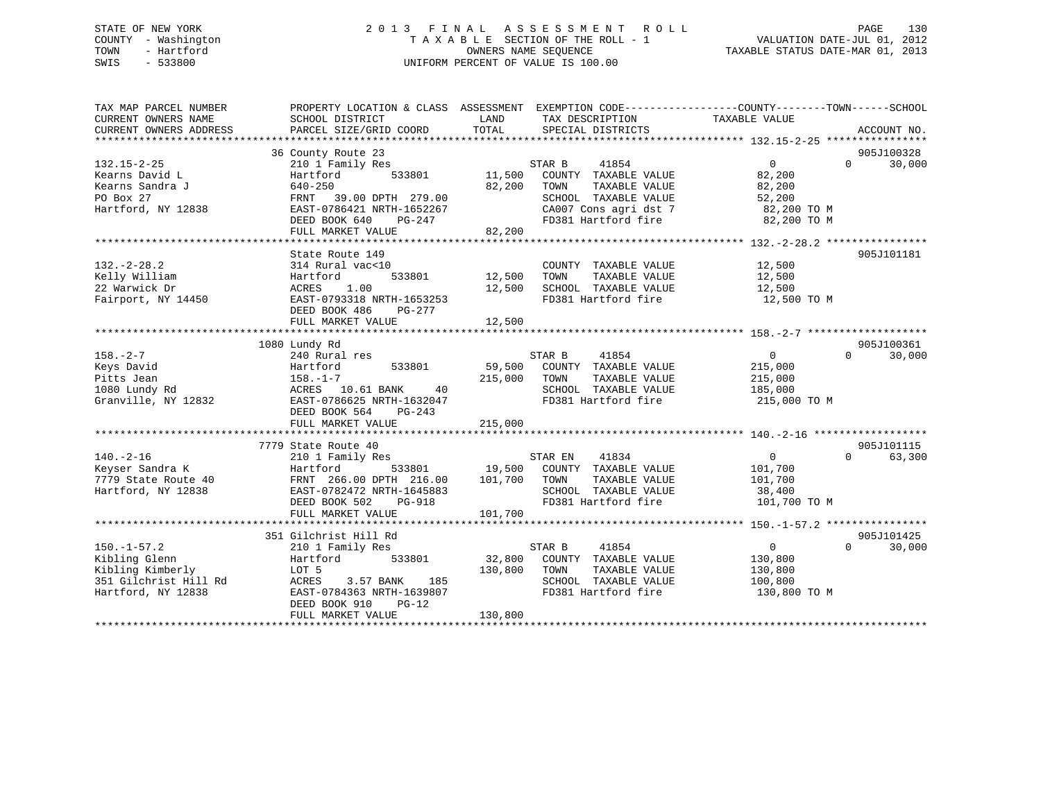# STATE OF NEW YORK 2 0 1 3 F I N A L A S S E S S M E N T R O L L PAGE 130 COUNTY - Washington T A X A B L E SECTION OF THE ROLL - 1 VALUATION DATE-JUL 01, 2012 TOWN - Hartford **TAXABLE STATUS DATE-MAR 01, 2013** SWIS - 533800 UNIFORM PERCENT OF VALUE IS 100.00

| TAX MAP PARCEL NUMBER<br>CURRENT OWNERS NAME | PROPERTY LOCATION & CLASS ASSESSMENT<br>SCHOOL DISTRICT | LAND    | EXEMPTION CODE-----------------COUNTY-------TOWN------SCHOOL<br>TAX DESCRIPTION | TAXABLE VALUE     |                        |
|----------------------------------------------|---------------------------------------------------------|---------|---------------------------------------------------------------------------------|-------------------|------------------------|
| CURRENT OWNERS ADDRESS                       | PARCEL SIZE/GRID COORD                                  | TOTAL   | SPECIAL DISTRICTS                                                               |                   | ACCOUNT NO.            |
|                                              | 36 County Route 23                                      |         |                                                                                 |                   | 905J100328             |
| $132.15 - 2 - 25$                            | 210 1 Family Res                                        |         | STAR B<br>41854                                                                 | $0 \qquad \qquad$ | 30,000<br>$\Omega$     |
| Kearns David L                               | 533801<br>Hartford                                      | 11,500  | COUNTY TAXABLE VALUE                                                            | 82,200            |                        |
| Kearns Sandra J                              | 640-250                                                 | 82,200  | TOWN<br>TAXABLE VALUE                                                           | 82,200            |                        |
| PO Box 27                                    | FRNT 39.00 DPTH 279.00                                  |         | SCHOOL TAXABLE VALUE                                                            | 52,200            |                        |
| Hartford, NY 12838                           | EAST-0786421 NRTH-1652267                               |         | CA007 Cons agri dst 7                                                           | 82,200 TO M       |                        |
|                                              | DEED BOOK 640<br>PG-247                                 |         | FD381 Hartford fire                                                             | 82,200 TO M       |                        |
|                                              | FULL MARKET VALUE                                       | 82,200  |                                                                                 |                   |                        |
|                                              |                                                         |         |                                                                                 |                   |                        |
|                                              | State Route 149                                         |         |                                                                                 |                   | 905J101181             |
| $132. - 2 - 28.2$                            | 314 Rural vac<10                                        |         | COUNTY TAXABLE VALUE                                                            | 12,500            |                        |
| Kelly William                                | 533801<br>Hartford                                      | 12,500  | TOWN<br>TAXABLE VALUE                                                           | 12,500            |                        |
| 22 Warwick Dr                                | ACRES<br>1.00                                           | 12,500  | SCHOOL TAXABLE VALUE                                                            | 12,500            |                        |
| Fairport, NY 14450                           | EAST-0793318 NRTH-1653253                               |         | FD381 Hartford fire                                                             | 12,500 TO M       |                        |
|                                              | DEED BOOK 486<br>PG-277                                 |         |                                                                                 |                   |                        |
|                                              | FULL MARKET VALUE                                       | 12,500  |                                                                                 |                   |                        |
|                                              |                                                         |         |                                                                                 |                   |                        |
|                                              | 1080 Lundy Rd                                           |         |                                                                                 |                   | 905J100361             |
| $158. - 2 - 7$                               | 240 Rural res                                           |         | STAR B<br>41854                                                                 | $0 \qquad \qquad$ | $\Omega$<br>30,000     |
| Keys David                                   | Hartford<br>533801                                      | 59,500  | COUNTY TAXABLE VALUE                                                            | 215,000           |                        |
| Pitts Jean                                   | $158. - 1 - 7$                                          | 215,000 | TOWN<br>TAXABLE VALUE                                                           | 215,000           |                        |
| 1080 Lundy Rd                                | ACRES 10.61 BANK<br>40                                  |         | SCHOOL TAXABLE VALUE                                                            | 185,000           |                        |
| Granville, NY 12832                          | EAST-0786625 NRTH-1632047                               |         | FD381 Hartford fire                                                             | 215,000 TO M      |                        |
|                                              | DEED BOOK 564<br>PG-243                                 |         |                                                                                 |                   |                        |
|                                              | FULL MARKET VALUE                                       | 215,000 |                                                                                 |                   |                        |
|                                              |                                                         |         |                                                                                 |                   |                        |
|                                              | 7779 State Route 40                                     |         |                                                                                 |                   | 905J101115<br>$\Omega$ |
| $140. - 2 - 16$                              | 210 1 Family Res                                        |         | 41834<br>STAR EN<br>533801 19,500 COUNTY TAXABLE VALUE                          | $\overline{0}$    | 63,300                 |
| Keyser Sandra K                              | Hartford                                                | 101,700 |                                                                                 | 101,700           |                        |
| 7779 State Route 40                          | FRNT 266.00 DPTH 216.00                                 |         | TOWN<br>TAXABLE VALUE                                                           | 101,700           |                        |
| Hartford, NY 12838                           | EAST-0782472 NRTH-1645883                               |         | SCHOOL TAXABLE VALUE                                                            | 38,400            |                        |
|                                              | DEED BOOK 502<br>PG-918                                 |         | FD381 Hartford fire                                                             | 101,700 TO M      |                        |
|                                              | FULL MARKET VALUE                                       | 101,700 |                                                                                 |                   |                        |
|                                              | 351 Gilchrist Hill Rd                                   |         |                                                                                 |                   | 905J101425             |
| $150. - 1 - 57.2$                            | 210 1 Family Res                                        |         | STAR B<br>41854                                                                 | $\overline{0}$    | $\Omega$<br>30,000     |
| Kibling Glenn                                | Hartford<br>533801                                      |         | 32,800 COUNTY TAXABLE VALUE                                                     | 130,800           |                        |
| Kibling Kimberly                             | LOT 5                                                   | 130,800 | TOWN<br>TAXABLE VALUE                                                           | 130,800           |                        |
| 351 Gilchrist Hill Rd                        | ACRES<br>185                                            |         | SCHOOL TAXABLE VALUE                                                            | 100,800           |                        |
| Hartford, NY 12838                           | 3.57 BANK<br>EAST-0784363 NRTH-1639807                  |         | FD381 Hartford fire                                                             | 130,800 TO M      |                        |
|                                              | $PG-12$<br>DEED BOOK 910                                |         |                                                                                 |                   |                        |
|                                              | FULL MARKET VALUE                                       | 130,800 |                                                                                 |                   |                        |
|                                              |                                                         |         |                                                                                 |                   |                        |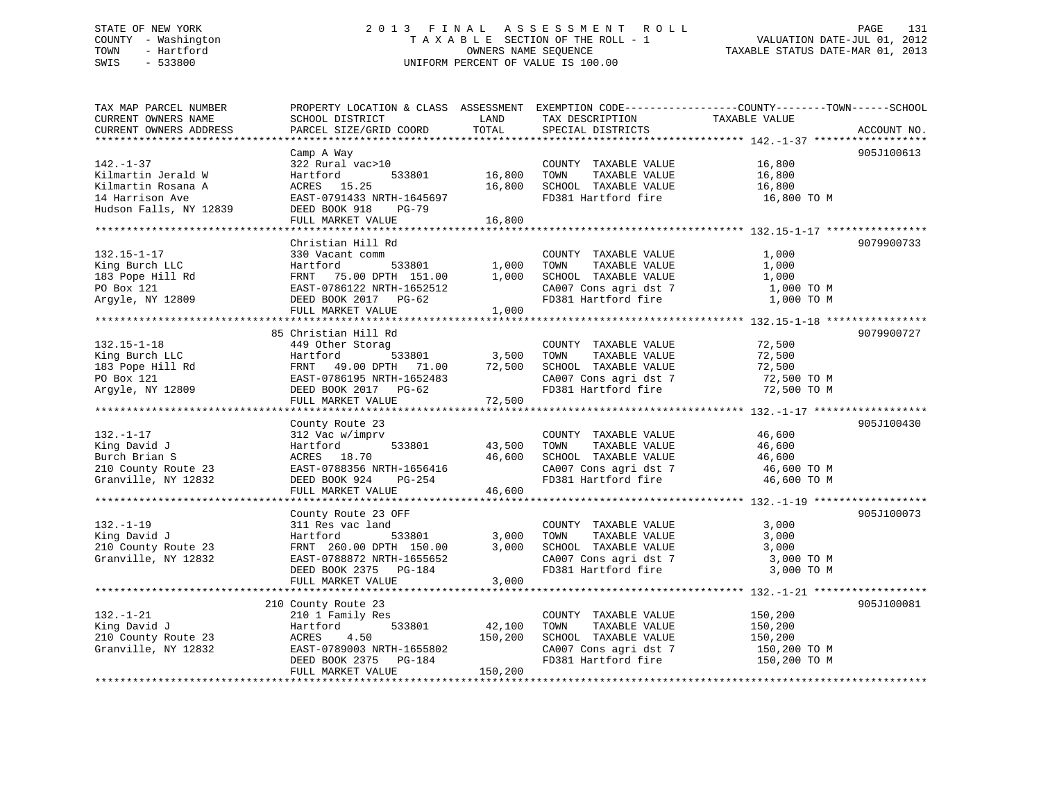# STATE OF NEW YORK 2 0 1 3 F I N A L A S S E S S M E N T R O L L PAGE 131 COUNTY - Washington T A X A B L E SECTION OF THE ROLL - 1 VALUATION DATE-JUL 01, 2012 TOWN - Hartford **TAXABLE STATUS DATE-MAR 01, 2013** OWNERS NAME SEQUENCE TAXABLE STATUS DATE-MAR 01, 2013 SWIS - 533800 UNIFORM PERCENT OF VALUE IS 100.00

| TAX MAP PARCEL NUMBER<br>CURRENT OWNERS NAME<br>CURRENT OWNERS ADDRESS                                                                                                                                          | SCHOOL DISTRICT<br>PARCEL SIZE/GRID COORD                                                                                                                           | LAND<br>TOTAL                | TAX DESCRIPTION<br>SPECIAL DISTRICTS                                                                                                           | PROPERTY LOCATION & CLASS ASSESSMENT EXEMPTION CODE----------------COUNTY-------TOWN------SCHOOL<br>TAXABLE VALUE | ACCOUNT NO. |
|-----------------------------------------------------------------------------------------------------------------------------------------------------------------------------------------------------------------|---------------------------------------------------------------------------------------------------------------------------------------------------------------------|------------------------------|------------------------------------------------------------------------------------------------------------------------------------------------|-------------------------------------------------------------------------------------------------------------------|-------------|
|                                                                                                                                                                                                                 |                                                                                                                                                                     |                              |                                                                                                                                                |                                                                                                                   |             |
| $142. - 1 - 37$<br>Kilmartin Jerald W<br>Kilmartin Rosana A<br>14 Harrison Ave<br>Hudson Falls, NY 12839                                                                                                        | Camp A Way<br>322 Rural vac>10<br>533801<br>Hartford<br>ACRES 15.25<br>EAST-0791433 NRTH-1645697<br>DEED BOOK 918<br>PG-79<br>FULL MARKET VALUE                     | 16,800<br>16,800<br>16,800   | COUNTY TAXABLE VALUE<br>TOWN<br>TAXABLE VALUE<br>SCHOOL TAXABLE VALUE<br>FD381 Hartford fire                                                   | 16,800<br>16,800<br>16,800<br>16,800 TO M                                                                         | 905J100613  |
|                                                                                                                                                                                                                 |                                                                                                                                                                     |                              |                                                                                                                                                |                                                                                                                   |             |
| $132.15 - 1 - 17$<br>King Burch LLC<br>Exing Burch LLC<br>183 Pope Hill Rd<br>183 Pope Hill Rd<br>PO Box 121<br>Argyle, NY 12809<br>2008 DEED BOOK 2017 PG-62                                                   | Christian Hill Rd<br>330 Vacant comm<br>-----<br>533801 1,000<br>DPTH 151.00 1,000<br>Hartford<br>FULL MARKET VALUE                                                 | 1,000                        | COUNTY TAXABLE VALUE<br>TAXABLE VALUE<br>TOWN<br>SCHOOL TAXABLE VALUE<br>CA007 Cons agri dst 7<br>FD381 Hartford fire                          | 1,000<br>1,000<br>1,000<br>1,000 TO M<br>1,000 TO M                                                               | 9079900733  |
|                                                                                                                                                                                                                 | 85 Christian Hill Rd                                                                                                                                                |                              |                                                                                                                                                |                                                                                                                   | 9079900727  |
| $132.15 - 1 - 18$<br>King Burch LLC<br>183 Pope Hill Rd<br>183 Pope Hill Rd<br>PO Box 121<br>Reast-0786195 NRTH-1652483<br>Reast-0786195 NRTH-1652483<br>Reast-0786195 NRTH-1652483<br>PO Box 121<br>PO Box 121 | 449 Other Storag<br>Hartford<br>533801<br>FULL MARKET VALUE                                                                                                         | 3,500<br>72,500              | COUNTY TAXABLE VALUE<br>TOWN<br>TAXABLE VALUE<br>SCHOOL TAXABLE VALUE<br>CA007 Cons agri dst 7<br>FD381 Hartford fire                          | 72,500<br>72,500<br>72,500<br>72,500 TO M<br>72,500 TO M                                                          |             |
|                                                                                                                                                                                                                 |                                                                                                                                                                     |                              |                                                                                                                                                |                                                                                                                   |             |
| $132. - 1 - 17$<br>King David J<br>Burch Brian S<br>210 County Route 23<br>Granville, NY 12832                                                                                                                  | County Route 23<br>312 Vac w/imprv<br>Hartford<br>533801<br>ACRES 18.70<br>EAST-0788356 NRTH-1656416<br>DEED BOOK 924<br>PG-254<br>FULL MARKET VALUE                | 43,500<br>46,600<br>46,600   | COUNTY TAXABLE VALUE<br>TOWN<br>TAXABLE VALUE<br>SCHOOL TAXABLE VALUE<br>CA007 Cons agri dst 7<br>CA007 Cons agri dst 7<br>FD381 Hartford fire | 46,600<br>46,600<br>46,600<br>46,600 TO M<br>46,600 TO M                                                          | 905J100430  |
|                                                                                                                                                                                                                 |                                                                                                                                                                     |                              |                                                                                                                                                |                                                                                                                   |             |
| $132. - 1 - 19$<br>King David J<br>210 County Route 23<br>Granville, NY 12832                                                                                                                                   | County Route 23 OFF<br>311 Res vac land<br>533801<br>Hartford<br>FRNT 260.00 DPTH 150.00<br>EAST-0788872 NRTH-1655652<br>DEED BOOK 2375 PG-184<br>FULL MARKET VALUE | 3,000<br>3,000<br>3,000      | COUNTY TAXABLE VALUE<br>TOWN<br>TAXABLE VALUE<br>SCHOOL TAXABLE VALUE<br>CA007 Cons agri dst 7<br>FD381 Hartford fire                          | 3,000<br>3,000<br>3,000<br>3,000 TO M<br>3,000 TO M                                                               | 905J100073  |
|                                                                                                                                                                                                                 |                                                                                                                                                                     |                              |                                                                                                                                                |                                                                                                                   |             |
| $132. - 1 - 21$<br>King David J<br>210 County Route 23<br>Granville, NY 12832                                                                                                                                   | 210 County Route 23<br>210 1 Family Res<br>533801<br>Hartford<br>4.50<br>ACRES<br>EAST-0789003 NRTH-1655802<br>DEED BOOK 2375 PG-184<br>FULL MARKET VALUE           | 42,100<br>150,200<br>150,200 | COUNTY TAXABLE VALUE<br>TOWN<br>TAXABLE VALUE<br>SCHOOL TAXABLE VALUE<br>CA007 Cons agri dst 7<br>FD381 Hartford fire                          | 150,200<br>150,200<br>150,200<br>150,200 TO M<br>150,200 TO M                                                     | 905J100081  |
|                                                                                                                                                                                                                 |                                                                                                                                                                     |                              |                                                                                                                                                |                                                                                                                   |             |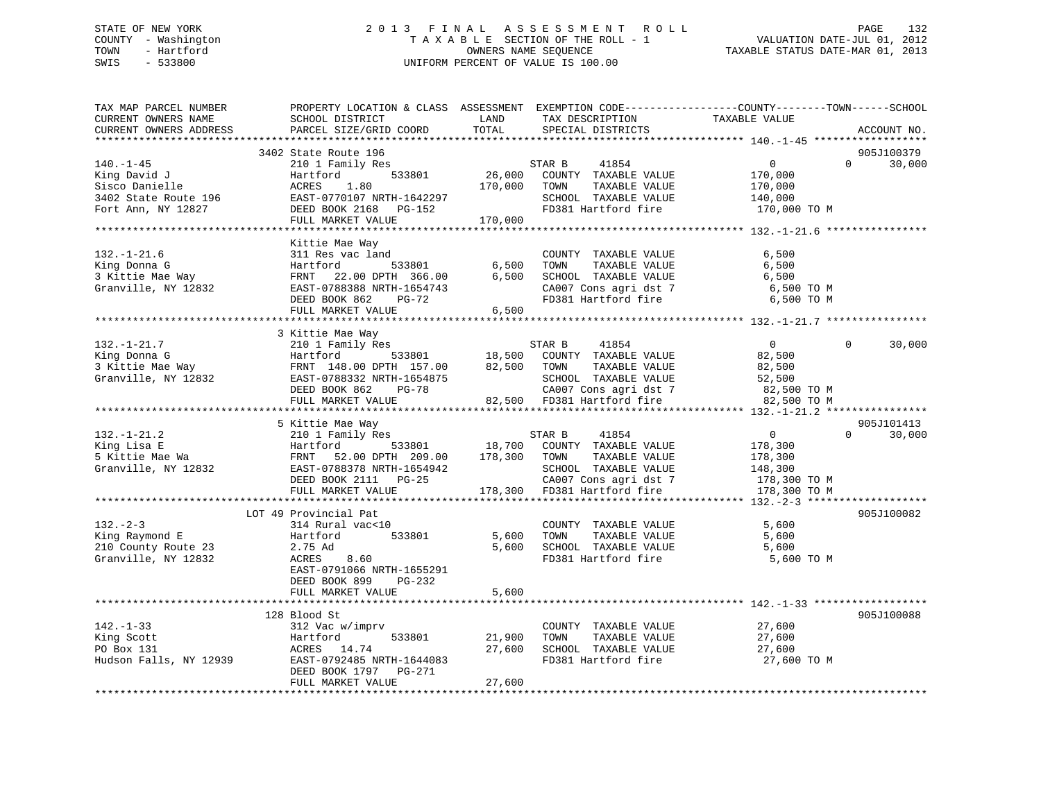# STATE OF NEW YORK 2 0 1 3 F I N A L A S S E S S M E N T R O L L PAGE 132 COUNTY - Washington T A X A B L E SECTION OF THE ROLL - 1 VALUATION DATE-JUL 01, 2012 TOWN - Hartford **TAXABLE STATUS DATE-MAR 01, 2013** SWIS - 533800 UNIFORM PERCENT OF VALUE IS 100.00

| TAX MAP PARCEL NUMBER<br>CURRENT OWNERS NAME<br>CURRENT OWNERS ADDRESS                          | PROPERTY LOCATION & CLASS ASSESSMENT EXEMPTION CODE----------------COUNTY-------TOWN------SCHOOL<br>SCHOOL DISTRICT<br>PARCEL SIZE/GRID COORD                     | LAND<br>TOTAL                | TAX DESCRIPTION<br>SPECIAL DISTRICTS                                                                                                            | TAXABLE VALUE                                                              | ACCOUNT NO.                      |
|-------------------------------------------------------------------------------------------------|-------------------------------------------------------------------------------------------------------------------------------------------------------------------|------------------------------|-------------------------------------------------------------------------------------------------------------------------------------------------|----------------------------------------------------------------------------|----------------------------------|
| ***********************                                                                         |                                                                                                                                                                   |                              |                                                                                                                                                 |                                                                            |                                  |
| $140. - 1 - 45$<br>King David J<br>Sisco Danielle<br>3402 State Route 196<br>Fort Ann, NY 12827 | 3402 State Route 196<br>210 1 Family Res<br>533801<br>Hartford<br>ACRES<br>1.80<br>EAST-0770107 NRTH-1642297<br>DEED BOOK 2168 PG-152<br>FULL MARKET VALUE        | 26,000<br>170,000<br>170,000 | STAR B<br>41854<br>COUNTY TAXABLE VALUE<br>TAXABLE VALUE<br>TOWN<br>SCHOOL TAXABLE VALUE<br>FD381 Hartford fire                                 | $\mathbf 0$<br>170,000<br>170,000<br>140,000<br>170,000 TO M               | 905J100379<br>$\Omega$<br>30,000 |
|                                                                                                 |                                                                                                                                                                   |                              |                                                                                                                                                 |                                                                            |                                  |
| $132. - 1 - 21.6$<br>King Donna G<br>3 Kittie Mae Way<br>Granville, NY 12832                    | Kittie Mae Way<br>311 Res vac land<br>Hartford<br>533801<br>FRNT 22.00 DPTH 366.00<br>EAST-0788388 NRTH-1654743<br>DEED BOOK 862<br>PG-72                         | 6,500<br>6,500               | COUNTY TAXABLE VALUE<br>TAXABLE VALUE<br>TOWN<br>SCHOOL TAXABLE VALUE<br>CA007 Cons agri dst 7<br>FD381 Hartford fire                           | 6,500<br>6,500<br>6,500<br>6,500 TO M<br>6,500 ТО М                        |                                  |
|                                                                                                 | FULL MARKET VALUE                                                                                                                                                 | 6,500                        |                                                                                                                                                 |                                                                            |                                  |
|                                                                                                 |                                                                                                                                                                   |                              |                                                                                                                                                 |                                                                            |                                  |
| $132. - 1 - 21.7$<br>King Donna G<br>3 Kittie Mae Way<br>Granville, NY 12832                    | 3 Kittie Mae Way<br>210 1 Family Res<br>Hartford<br>533801<br>FRNT 148.00 DPTH 157.00<br>EAST-0788332 NRTH-1654875<br>DEED BOOK 862<br>PG-78<br>FULL MARKET VALUE | 18,500<br>82,500             | 41854<br>STAR B<br>COUNTY TAXABLE VALUE<br>TOWN<br>TAXABLE VALUE<br>SCHOOL TAXABLE VALUE<br>CA007 Cons agri dst 7<br>82,500 FD381 Hartford fire | $\overline{0}$<br>82,500<br>82,500<br>52,500<br>82,500 TO M<br>82,500 TO M | $\Omega$<br>30,000               |
|                                                                                                 |                                                                                                                                                                   |                              |                                                                                                                                                 |                                                                            |                                  |
| $132. - 1 - 21.2$<br>King Lisa E<br>5 Kittie Mae Wa<br>Granville, NY 12832                      | 5 Kittie Mae Way<br>210 1 Family Res<br>533801<br>Hartford<br>FRNT 52.00 DPTH 209.00<br>EAST-0788378 NRTH-1654942<br>DEED BOOK 2111 PG-25                         | 18,700<br>178,300            | STAR B<br>41854<br>COUNTY TAXABLE VALUE<br>TAXABLE VALUE<br>TOWN<br>SCHOOL TAXABLE VALUE<br>CA007 Cons agri dst 7                               | $\overline{0}$<br>178,300<br>178,300<br>148,300<br>178,300 TO M            | 905J101413<br>$\Omega$<br>30,000 |
|                                                                                                 | FULL MARKET VALUE                                                                                                                                                 |                              | 178,300 FD381 Hartford fire                                                                                                                     | 178,300 TO M                                                               |                                  |
| $132 - 2 - 3$<br>King Raymond E<br>210 County Route 23<br>Granville, NY 12832                   | LOT 49 Provincial Pat<br>314 Rural vac<10<br>Hartford<br>533801<br>2.75 Ad<br>8.60<br>ACRES<br>EAST-0791066 NRTH-1655291                                          | 5,600<br>5,600               | COUNTY TAXABLE VALUE<br>TAXABLE VALUE<br>TOWN<br>SCHOOL TAXABLE VALUE<br>FD381 Hartford fire                                                    | 5,600<br>5,600<br>5,600<br>5,600 TO M                                      | 905J100082                       |
|                                                                                                 | DEED BOOK 899<br>PG-232<br>FULL MARKET VALUE                                                                                                                      | 5,600                        |                                                                                                                                                 |                                                                            |                                  |
| $142. - 1 - 33$<br>King Scott<br>PO Box 131<br>Hudson Falls, NY 12939                           | 128 Blood St<br>312 Vac w/imprv<br>533801<br>Hartford<br>ACRES 14.74<br>EAST-0792485 NRTH-1644083<br>DEED BOOK 1797 PG-271<br>FULL MARKET VALUE                   | 21,900<br>27,600<br>27,600   | COUNTY TAXABLE VALUE<br>TOWN<br>TAXABLE VALUE<br>SCHOOL TAXABLE VALUE<br>FD381 Hartford fire                                                    | 27,600<br>27,600<br>27,600<br>27,600 TO M                                  | 905J100088                       |
|                                                                                                 |                                                                                                                                                                   |                              |                                                                                                                                                 |                                                                            |                                  |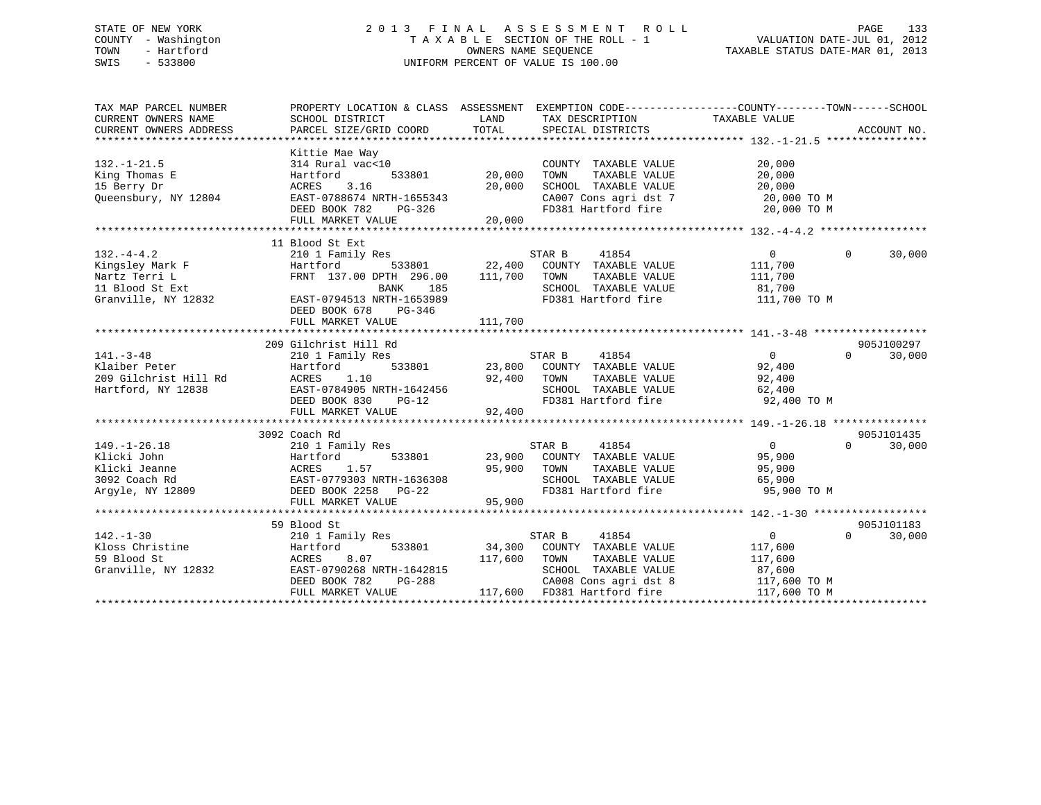# STATE OF NEW YORK 2 0 1 3 F I N A L A S S E S S M E N T R O L L PAGE 133 COUNTY - Washington T A X A B L E SECTION OF THE ROLL - 1 VALUATION DATE-JUL 01, 2012 TOWN - Hartford **TAXABLE STATUS DATE-MAR 01, 2013** SWIS - 533800 UNIFORM PERCENT OF VALUE IS 100.00

| TAX MAP PARCEL NUMBER<br>CURRENT OWNERS NAME<br>CURRENT OWNERS ADDRESS<br>********************** | PROPERTY LOCATION & CLASS ASSESSMENT<br>SCHOOL DISTRICT<br>PARCEL SIZE/GRID COORD                                                                                                                 | LAND<br>TOTAL              | EXEMPTION CODE-----------------COUNTY--------TOWN-----SCHOOL<br>TAX DESCRIPTION<br>SPECIAL DISTRICTS                   | TAXABLE VALUE                                                  | ACCOUNT NO.                      |
|--------------------------------------------------------------------------------------------------|---------------------------------------------------------------------------------------------------------------------------------------------------------------------------------------------------|----------------------------|------------------------------------------------------------------------------------------------------------------------|----------------------------------------------------------------|----------------------------------|
| $132. - 1 - 21.5$<br>King Thomas E<br>15 Berry Dr<br>Queensbury, NY 12804                        | Kittie Mae Way<br>314 Rural vac<10<br>533801<br>Hartford<br><b>ACRES</b><br>3.16<br>EAST-0788674 NRTH-1655343<br>DEED BOOK 782<br>PG-326<br>FULL MARKET VALUE<br>******************************** | 20,000<br>20,000<br>20,000 | COUNTY TAXABLE VALUE<br>TOWN<br>TAXABLE VALUE<br>SCHOOL TAXABLE VALUE<br>CA007 Cons agri dst 7<br>FD381 Hartford fire  | 20,000<br>20,000<br>20,000<br>20,000 TO M<br>20,000 TO M       |                                  |
| $132. -4 - 4.2$<br>Kingsley Mark F<br>Nartz Terri L<br>11 Blood St Ext<br>Granville, NY 12832    | 11 Blood St Ext<br>210 1 Family Res<br>Hartford<br>533801<br>FRNT 137.00 DPTH 296.00<br><b>BANK</b><br>185<br>EAST-0794513 NRTH-1653989<br>DEED BOOK 678<br>PG-346<br>FULL MARKET VALUE           | 111,700<br>111,700         | STAR B<br>41854<br>22,400 COUNTY TAXABLE VALUE<br>TOWN<br>TAXABLE VALUE<br>SCHOOL TAXABLE VALUE<br>FD381 Hartford fire | $\overline{0}$<br>111,700<br>111,700<br>81,700<br>111,700 TO M | $\Omega$<br>30,000               |
|                                                                                                  |                                                                                                                                                                                                   |                            |                                                                                                                        |                                                                |                                  |
| $141. - 3 - 48$<br>Klaiber Peter<br>209 Gilchrist Hill Rd<br>Hartford, NY 12838                  | 209 Gilchrist Hill Rd<br>210 1 Family Res<br>Hartford<br>533801<br>ACRES<br>1.10<br>EAST-0784905 NRTH-1642456<br>DEED BOOK 830<br>$PG-12$<br>FULL MARKET VALUE                                    | 23,800<br>92,400<br>92,400 | STAR B<br>41854<br>COUNTY TAXABLE VALUE<br>TOWN<br>TAXABLE VALUE<br>SCHOOL TAXABLE VALUE<br>FD381 Hartford fire        | $\overline{0}$<br>92,400<br>92,400<br>62,400<br>92,400 TO M    | 905J100297<br>$\Omega$<br>30,000 |
|                                                                                                  |                                                                                                                                                                                                   |                            |                                                                                                                        |                                                                |                                  |
| $149. - 1 - 26.18$<br>Klicki John<br>Klicki Jeanne<br>3092 Coach Rd<br>Argyle, NY 12809          | 3092 Coach Rd<br>210 1 Family Res<br>Hartford<br>533801<br>1.57<br>ACRES<br>EAST-0779303 NRTH-1636308<br>DEED BOOK 2258 PG-22                                                                     | 95,900                     | STAR B<br>41854<br>23,900 COUNTY TAXABLE VALUE<br>TAXABLE VALUE<br>TOWN<br>SCHOOL TAXABLE VALUE<br>FD381 Hartford fire | $\overline{0}$<br>95,900<br>95,900<br>65,900<br>95,900 TO M    | 905J101435<br>30,000<br>$\Omega$ |
|                                                                                                  | FULL MARKET VALUE                                                                                                                                                                                 | 95,900                     |                                                                                                                        |                                                                |                                  |
| $142. - 1 - 30$<br>Kloss Christine<br>59 Blood St<br>Granville, NY 12832                         | 59 Blood St<br>210 1 Family Res<br>Hartford<br>533801<br>ACRES<br>8.07<br>EAST-0790268 NRTH-1642815                                                                                               | 34,300<br>117,600          | STAR B<br>41854<br>COUNTY TAXABLE VALUE<br>TOWN<br>TAXABLE VALUE<br>SCHOOL TAXABLE VALUE                               | $\overline{0}$<br>117,600<br>117,600<br>87,600                 | 905J101183<br>$\Omega$<br>30,000 |
|                                                                                                  | DEED BOOK 782<br>PG-288<br>FULL MARKET VALUE                                                                                                                                                      | 117,600                    | CA008 Cons agri dst 8<br>FD381 Hartford fire                                                                           | 117,600 TO M<br>117,600 TO M                                   |                                  |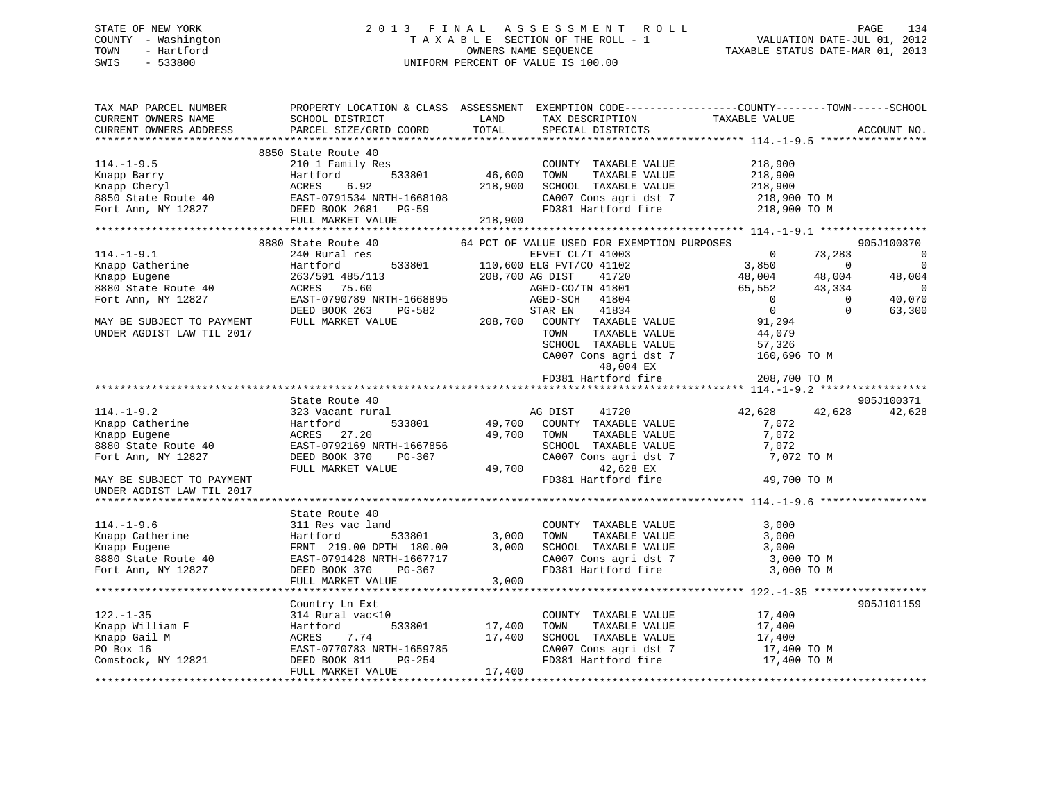# STATE OF NEW YORK 2 0 1 3 F I N A L A S S E S S M E N T R O L L PAGE 134 COUNTY - Washington T A X A B L E SECTION OF THE ROLL - 1 VALUATION DATE-JUL 01, 2012 TOWN - Hartford OWNERS NAME SEQUENCE TAXABLE STATUS DATE-MAR 01, 2013 SWIS - 533800 UNIFORM PERCENT OF VALUE IS 100.00

| TAX MAP PARCEL NUMBER                                                  |                                                                                                                                                                                                                                                                                      |                                      |                                                        | PROPERTY LOCATION & CLASS ASSESSMENT EXEMPTION CODE---------------COUNTY-------TOWN-----SCHOOL |                          |
|------------------------------------------------------------------------|--------------------------------------------------------------------------------------------------------------------------------------------------------------------------------------------------------------------------------------------------------------------------------------|--------------------------------------|--------------------------------------------------------|------------------------------------------------------------------------------------------------|--------------------------|
| CURRENT OWNERS NAME                                                    | SCHOOL DISTRICT                                                                                                                                                                                                                                                                      | LAND                                 | TAX DESCRIPTION                                        | TAXABLE VALUE                                                                                  |                          |
| CURRENT OWNERS ADDRESS                                                 | PARCEL SIZE/GRID COORD                                                                                                                                                                                                                                                               | TOTAL                                | SPECIAL DISTRICTS                                      |                                                                                                | ACCOUNT NO.              |
|                                                                        |                                                                                                                                                                                                                                                                                      |                                      |                                                        |                                                                                                |                          |
|                                                                        | 8850 State Route 40                                                                                                                                                                                                                                                                  |                                      |                                                        |                                                                                                |                          |
| $114.-1-9.5$                                                           | 210 1 Family Res                                                                                                                                                                                                                                                                     | з<br>533801                   46,600 | COUNTY TAXABLE VALUE                                   | 218,900                                                                                        |                          |
|                                                                        |                                                                                                                                                                                                                                                                                      |                                      | TOWN<br>TAXABLE VALUE                                  | 218,900                                                                                        |                          |
|                                                                        |                                                                                                                                                                                                                                                                                      | 218,900                              | SCHOOL TAXABLE VALUE                                   | 218,900<br>218,900 TO M                                                                        |                          |
|                                                                        |                                                                                                                                                                                                                                                                                      |                                      | CA007 Cons agri dst 7                                  |                                                                                                |                          |
|                                                                        |                                                                                                                                                                                                                                                                                      |                                      | FD381 Hartford fire                                    | 218,900 TO M                                                                                   |                          |
|                                                                        | Xnapp Barry<br>Xnapp Cheryl<br>Xnapp Cheryl<br>Xnapp Cheryl<br>Xnapp Cheryl<br>Xnapp Cheryl<br>Xnapp Cheryl<br>Xnapp Cheryl<br>Xnapp Cheryl<br>Xnapp Cheryl<br>Xnapp Cheryl<br>Xnapp Cheryl<br>Xnapp Cheryl<br>Xnapp Cheryl<br>Xnapp Cheryl<br>Xnapp Cheryl<br><br>FULL MARKET VALUE | 218,900                              |                                                        |                                                                                                |                          |
|                                                                        |                                                                                                                                                                                                                                                                                      |                                      |                                                        |                                                                                                |                          |
|                                                                        | 8880 State Route 40                                                                                                                                                                                                                                                                  |                                      | 64 PCT OF VALUE USED FOR EXEMPTION PURPOSES            |                                                                                                | 905J100370               |
| $114.-1-9.1$                                                           | 240 Rural res                                                                                                                                                                                                                                                                        |                                      | EFVET CL/T 41003                                       | $\overline{0}$<br>73,283                                                                       | $\overline{0}$           |
|                                                                        | Example Catherine<br>Eugene 263/591 485/113<br>8880 State Route 40<br>Fort Ann, NY 12827<br>Fort Ann, NY 12827<br>EAST-0790789 NRTH-1668895                                                                                                                                          |                                      | 533801 110,600 ELG FVT/CO 41102                        | $3,850$ 0<br>48,004 48,004                                                                     | $\overline{\phantom{0}}$ |
|                                                                        |                                                                                                                                                                                                                                                                                      |                                      | 208,700 AG DIST<br>41720                               |                                                                                                | 48,004                   |
|                                                                        |                                                                                                                                                                                                                                                                                      |                                      | AGED-CO/TN 41801                                       | 65,552 43,334                                                                                  | $\overline{0}$           |
|                                                                        | EAST-0790789 NRTH-1668895                                                                                                                                                                                                                                                            |                                      | AGED-SCH 41804                                         | $\overline{0}$<br>$\overline{0}$                                                               | 40,070                   |
|                                                                        | DEED BOOK 263<br>PG-582                                                                                                                                                                                                                                                              |                                      | STAR EN<br>41834                                       | $\overline{0}$<br>$\Omega$                                                                     | 63,300                   |
| MAY BE SUBJECT TO PAYMENT                                              | FULL MARKET VALUE                                                                                                                                                                                                                                                                    |                                      | 208,700 COUNTY TAXABLE VALUE                           | 91,294                                                                                         |                          |
| UNDER AGDIST LAW TIL 2017                                              |                                                                                                                                                                                                                                                                                      |                                      | TOWN<br>TAXABLE VALUE                                  | 44,079                                                                                         |                          |
|                                                                        |                                                                                                                                                                                                                                                                                      |                                      | SCHOOL TAXABLE VALUE                                   |                                                                                                |                          |
|                                                                        |                                                                                                                                                                                                                                                                                      |                                      | CA007 Cons agri dst 7                                  | 57,326<br>160,696 TO M                                                                         |                          |
|                                                                        |                                                                                                                                                                                                                                                                                      |                                      | 48,004 EX                                              |                                                                                                |                          |
|                                                                        |                                                                                                                                                                                                                                                                                      |                                      | FD381 Hartford fire                                    | 208,700 TO M                                                                                   |                          |
|                                                                        |                                                                                                                                                                                                                                                                                      |                                      |                                                        |                                                                                                |                          |
|                                                                        | State Route 40                                                                                                                                                                                                                                                                       |                                      |                                                        |                                                                                                | 905J100371               |
| $114. - 1 - 9.2$                                                       | 323 Vacant rural                                                                                                                                                                                                                                                                     |                                      | AG DIST 41720                                          | 42,628<br>42,628                                                                               | 42,628                   |
|                                                                        | 114.-1-9.2<br>Knapp Catherine 1988<br>Knapp Eugene 1988<br>Sacres 27.20<br>8880 State Route 40<br>Fort Ann, NY 12827<br>PEED BOOK 370 PG-367                                                                                                                                         |                                      | 533801 49,700 COUNTY TAXABLE VALUE                     | 7,072                                                                                          |                          |
|                                                                        |                                                                                                                                                                                                                                                                                      | 49,700 TOWN                          | TAXABLE VALUE                                          | 7,072                                                                                          |                          |
|                                                                        |                                                                                                                                                                                                                                                                                      |                                      | SCHOOL TAXABLE VALUE                                   | 7,072                                                                                          |                          |
|                                                                        |                                                                                                                                                                                                                                                                                      |                                      | CA007 Cons agri dst 7                                  | 7,072 TO M                                                                                     |                          |
|                                                                        | FULL MARKET VALUE                                                                                                                                                                                                                                                                    | 49,700                               | 42,628 EX                                              |                                                                                                |                          |
| MAY BE SUBJECT TO PAYMENT                                              |                                                                                                                                                                                                                                                                                      |                                      | FD381 Hartford fire                                    | 49,700 TO M                                                                                    |                          |
| UNDER AGDIST LAW TIL 2017                                              |                                                                                                                                                                                                                                                                                      |                                      |                                                        |                                                                                                |                          |
|                                                                        |                                                                                                                                                                                                                                                                                      |                                      |                                                        |                                                                                                |                          |
|                                                                        | State Route 40                                                                                                                                                                                                                                                                       |                                      |                                                        |                                                                                                |                          |
| $114. - 1 - 9.6$                                                       | 311 Res vac land                                                                                                                                                                                                                                                                     |                                      | COUNTY TAXABLE VALUE                                   | 3,000                                                                                          |                          |
| Il4.-1-2.2<br>Knapp Catherine                                          | Xnapp Catherine<br>Xnapp Eugene<br>Xnapp Eugene<br>S33801<br>Xnapp Eugene<br>SAST-0791428 NRTH-1667717<br>Fort Ann, NY 12827<br>DEED BOOK 370 PG-367<br>533801                                                                                                                       |                                      |                                                        | 3,000                                                                                          |                          |
|                                                                        |                                                                                                                                                                                                                                                                                      |                                      | 3,000 TOWN TAXABLE VALUE<br>3,000 SCHOOL TAXABLE VALUE | 3,000                                                                                          |                          |
|                                                                        |                                                                                                                                                                                                                                                                                      |                                      | CA007 Cons agri dst 7                                  | 3,000 TO M                                                                                     |                          |
|                                                                        |                                                                                                                                                                                                                                                                                      |                                      | FD381 Hartford fire                                    | 3,000 TO M                                                                                     |                          |
|                                                                        | FULL MARKET VALUE                                                                                                                                                                                                                                                                    | 3,000                                |                                                        |                                                                                                |                          |
|                                                                        |                                                                                                                                                                                                                                                                                      |                                      |                                                        |                                                                                                |                          |
|                                                                        | Country Ln Ext                                                                                                                                                                                                                                                                       |                                      |                                                        |                                                                                                | 905J101159               |
|                                                                        | 314 Rural vac<10                                                                                                                                                                                                                                                                     |                                      | COUNTY TAXABLE VALUE                                   | 17,400                                                                                         |                          |
| 122.-1-35<br>Knapp William F<br>Knapp Gail M<br>PO Box 16<br>Any 12821 | Hartford                                                                                                                                                                                                                                                                             | _<br>533801 17,400                   | TOWN<br>TAXABLE VALUE                                  | 17,400                                                                                         |                          |
|                                                                        | ACRES<br>7.74                                                                                                                                                                                                                                                                        | 17,400                               |                                                        | 17,400                                                                                         |                          |
|                                                                        | EAST-0770783 NRTH-1659785                                                                                                                                                                                                                                                            |                                      | SCHOOL TAXABLE VALUE<br>CA007 Cons agri dst 7          | 17,400 TO M                                                                                    |                          |
|                                                                        | PG-254<br>DEED BOOK 811                                                                                                                                                                                                                                                              |                                      | FD381 Hartford fire                                    | 17,400 TO M                                                                                    |                          |
|                                                                        | FULL MARKET VALUE                                                                                                                                                                                                                                                                    | 17,400                               |                                                        |                                                                                                |                          |
|                                                                        |                                                                                                                                                                                                                                                                                      |                                      |                                                        |                                                                                                |                          |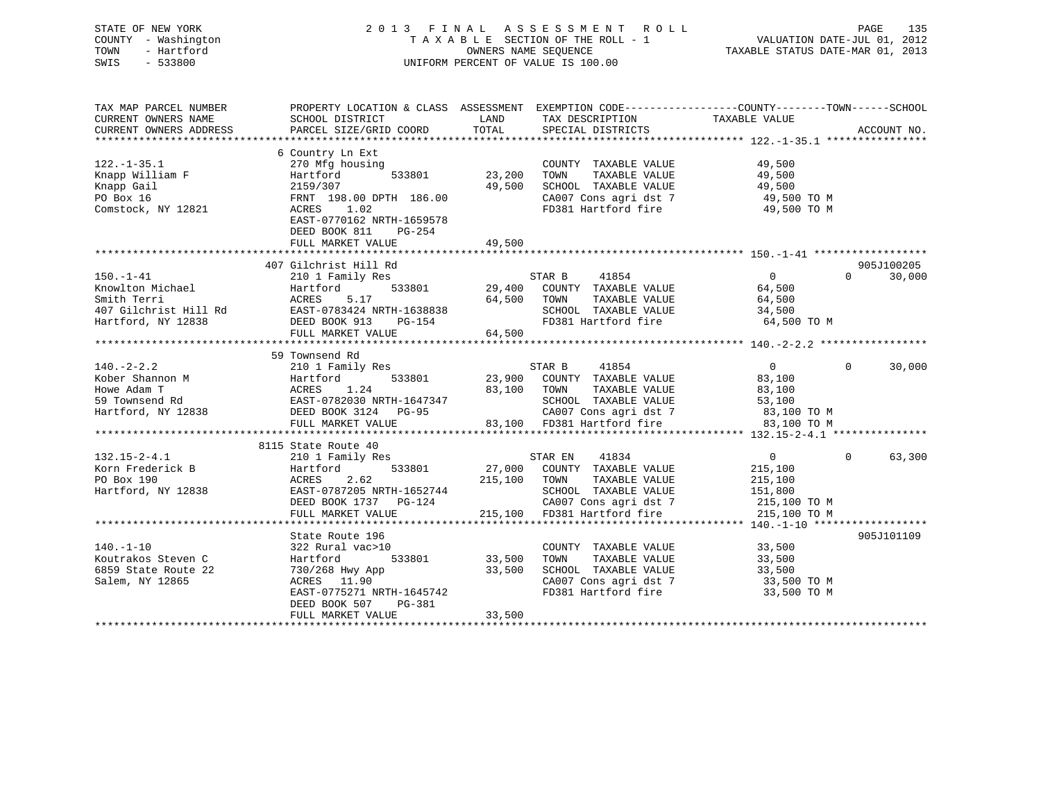# STATE OF NEW YORK 2 0 1 3 F I N A L A S S E S S M E N T R O L L PAGE 135 COUNTY - Washington T A X A B L E SECTION OF THE ROLL - 1 VALUATION DATE-JUL 01, 2012 TOWN - Hartford **TAXABLE STATUS DATE-MAR 01, 2013** SWIS - 533800 UNIFORM PERCENT OF VALUE IS 100.00

| TOTAL<br>PARCEL SIZE/GRID COORD<br>SPECIAL DISTRICTS<br>ACCOUNT NO.<br>CURRENT OWNERS ADDRESS<br>6 Country Ln Ext<br>270 Mfg housing<br>49,500<br>COUNTY TAXABLE VALUE<br>533801<br>23,200<br>49,500<br>Knapp William F<br>Hartford<br>TAXABLE VALUE<br>TOWN<br>49,500<br>2159/307<br>SCHOOL TAXABLE VALUE<br>49,500<br>PO Box 16<br>FRNT 198.00 DPTH 186.00<br>CA007 Cons agri dst 7 49,500 TO M<br>FD381 Hartford fire 49,500 TO M<br>ACRES 1.02<br>EAST-0770162 NRTH-1659578<br>DEED BOOK 811<br>PG-254<br>FULL MARKET VALUE<br>49,500<br>407 Gilchrist Hill Rd<br>905J100205<br>$\overline{0}$<br>STAR B 41854<br>30,000<br>$150. - 1 - 41$<br>210 1 Family Res<br>$\Omega$<br>533801 29,400 COUNTY TAXABLE VALUE<br>Knowlton Michael<br>64,500<br>Hartford<br>Smith Terri<br>ACRES 5.17 64,500 TOWN<br>EAST-0783424 NRTH-1638838 SCHOO<br>DEED BOOK 913 PG-154 FD381<br>TAXABLE VALUE<br>$64,500$<br>$34,500$<br>407 Gilchrist Hill Rd<br>SCHOOL TAXABLE VALUE<br>FD381 Hartford fire 64,500 TO M<br>Hartford, NY 12838<br>64,500<br>FULL MARKET VALUE<br>59 Townsend Rd<br>$140. -2 - 2.2$<br>41854<br>$\overline{0}$<br>$\mathbf{0}$<br>30,000<br>210 1 Family Res<br>STAR B<br>From Shannon M<br>Hartford 533801<br>Howe Adam T<br>59 Townsend Rd<br>59 Townsend Rd<br>EAST-0782030 NRTH-1647347<br>533801 23,900 COUNTY TAXABLE VALUE<br>83,100<br>83,100 TOWN<br>TAXABLE VALUE<br>83,100<br>SCHOOL TAXABLE VALUE<br>53,100<br>Hartford, NY 12838 DEED BOOK 3124 PG-95<br>CA007 Cons agri dst 7 83,100 TO M<br>83,100 FD381 Hartford fire 83,100 TO M<br>FULL MARKET VALUE<br>8115 State Route 40<br>$\Omega$<br>63,300<br>$132.15 - 2 - 4.1$<br>STAR EN<br>41834<br>$\overline{0}$<br>210 1 Family Res<br>533801<br>27,000 COUNTY TAXABLE VALUE<br>Hartford<br>215,100<br>215,100 TOWN<br>PO Box 190<br>ACRES<br>2.62<br>TAXABLE VALUE<br>215,100<br>Hartford, NY 12838<br>EAST-0787205 NRTH-1652744<br>SCHOOL TAXABLE VALUE<br>151,800<br>215,100 TO M<br>DEED BOOK 1737 PG-124<br>CA007 Cons agri dst 7<br>215,100 FD381 Hartford fire<br>215,100 TO M<br>FULL MARKET VALUE<br>905J101109<br>State Route 196<br>$140. - 1 - 10$<br>33,500<br>322 Rural vac>10<br>COUNTY TAXABLE VALUE<br>33,500<br>Koutrakos Steven C<br>533801<br>TAXABLE VALUE<br>33,500<br>Hartford<br>TOWN<br>33,500<br>SCHOOL TAXABLE VALUE<br>6859 State Route 22<br>730/268 Hwy App<br>33,500<br>Salem, NY 12865<br>CA007 Cons agri dst 7<br>En381 Hartford fire<br>33,500 TO M<br>ACRES 11.90<br>FD381 Hartford fire<br>EAST-0775271 NRTH-1645742<br>33,500 TO M<br>DEED BOOK 507<br>PG-381<br>33,500<br>FULL MARKET VALUE | TAX MAP PARCEL NUMBER<br>CURRENT OWNERS NAME | SCHOOL DISTRICT | LAND | TAX DESCRIPTION | PROPERTY LOCATION & CLASS ASSESSMENT EXEMPTION CODE---------------COUNTY-------TOWN-----SCHOOL<br>TAXABLE VALUE |  |
|----------------------------------------------------------------------------------------------------------------------------------------------------------------------------------------------------------------------------------------------------------------------------------------------------------------------------------------------------------------------------------------------------------------------------------------------------------------------------------------------------------------------------------------------------------------------------------------------------------------------------------------------------------------------------------------------------------------------------------------------------------------------------------------------------------------------------------------------------------------------------------------------------------------------------------------------------------------------------------------------------------------------------------------------------------------------------------------------------------------------------------------------------------------------------------------------------------------------------------------------------------------------------------------------------------------------------------------------------------------------------------------------------------------------------------------------------------------------------------------------------------------------------------------------------------------------------------------------------------------------------------------------------------------------------------------------------------------------------------------------------------------------------------------------------------------------------------------------------------------------------------------------------------------------------------------------------------------------------------------------------------------------------------------------------------------------------------------------------------------------------------------------------------------------------------------------------------------------------------------------------------------------------------------------------------------------------------------------------------------------------------------------------------------------------------------------------------------------------------------------------------------------------------------------------------------------------------------------------------------|----------------------------------------------|-----------------|------|-----------------|-----------------------------------------------------------------------------------------------------------------|--|
|                                                                                                                                                                                                                                                                                                                                                                                                                                                                                                                                                                                                                                                                                                                                                                                                                                                                                                                                                                                                                                                                                                                                                                                                                                                                                                                                                                                                                                                                                                                                                                                                                                                                                                                                                                                                                                                                                                                                                                                                                                                                                                                                                                                                                                                                                                                                                                                                                                                                                                                                                                                                                |                                              |                 |      |                 |                                                                                                                 |  |
|                                                                                                                                                                                                                                                                                                                                                                                                                                                                                                                                                                                                                                                                                                                                                                                                                                                                                                                                                                                                                                                                                                                                                                                                                                                                                                                                                                                                                                                                                                                                                                                                                                                                                                                                                                                                                                                                                                                                                                                                                                                                                                                                                                                                                                                                                                                                                                                                                                                                                                                                                                                                                |                                              |                 |      |                 |                                                                                                                 |  |
|                                                                                                                                                                                                                                                                                                                                                                                                                                                                                                                                                                                                                                                                                                                                                                                                                                                                                                                                                                                                                                                                                                                                                                                                                                                                                                                                                                                                                                                                                                                                                                                                                                                                                                                                                                                                                                                                                                                                                                                                                                                                                                                                                                                                                                                                                                                                                                                                                                                                                                                                                                                                                | $122. - 1 - 35.1$                            |                 |      |                 |                                                                                                                 |  |
|                                                                                                                                                                                                                                                                                                                                                                                                                                                                                                                                                                                                                                                                                                                                                                                                                                                                                                                                                                                                                                                                                                                                                                                                                                                                                                                                                                                                                                                                                                                                                                                                                                                                                                                                                                                                                                                                                                                                                                                                                                                                                                                                                                                                                                                                                                                                                                                                                                                                                                                                                                                                                |                                              |                 |      |                 |                                                                                                                 |  |
|                                                                                                                                                                                                                                                                                                                                                                                                                                                                                                                                                                                                                                                                                                                                                                                                                                                                                                                                                                                                                                                                                                                                                                                                                                                                                                                                                                                                                                                                                                                                                                                                                                                                                                                                                                                                                                                                                                                                                                                                                                                                                                                                                                                                                                                                                                                                                                                                                                                                                                                                                                                                                | Knapp Gail                                   |                 |      |                 |                                                                                                                 |  |
|                                                                                                                                                                                                                                                                                                                                                                                                                                                                                                                                                                                                                                                                                                                                                                                                                                                                                                                                                                                                                                                                                                                                                                                                                                                                                                                                                                                                                                                                                                                                                                                                                                                                                                                                                                                                                                                                                                                                                                                                                                                                                                                                                                                                                                                                                                                                                                                                                                                                                                                                                                                                                |                                              |                 |      |                 |                                                                                                                 |  |
|                                                                                                                                                                                                                                                                                                                                                                                                                                                                                                                                                                                                                                                                                                                                                                                                                                                                                                                                                                                                                                                                                                                                                                                                                                                                                                                                                                                                                                                                                                                                                                                                                                                                                                                                                                                                                                                                                                                                                                                                                                                                                                                                                                                                                                                                                                                                                                                                                                                                                                                                                                                                                | Comstock, NY 12821                           |                 |      |                 |                                                                                                                 |  |
|                                                                                                                                                                                                                                                                                                                                                                                                                                                                                                                                                                                                                                                                                                                                                                                                                                                                                                                                                                                                                                                                                                                                                                                                                                                                                                                                                                                                                                                                                                                                                                                                                                                                                                                                                                                                                                                                                                                                                                                                                                                                                                                                                                                                                                                                                                                                                                                                                                                                                                                                                                                                                |                                              |                 |      |                 |                                                                                                                 |  |
|                                                                                                                                                                                                                                                                                                                                                                                                                                                                                                                                                                                                                                                                                                                                                                                                                                                                                                                                                                                                                                                                                                                                                                                                                                                                                                                                                                                                                                                                                                                                                                                                                                                                                                                                                                                                                                                                                                                                                                                                                                                                                                                                                                                                                                                                                                                                                                                                                                                                                                                                                                                                                |                                              |                 |      |                 |                                                                                                                 |  |
|                                                                                                                                                                                                                                                                                                                                                                                                                                                                                                                                                                                                                                                                                                                                                                                                                                                                                                                                                                                                                                                                                                                                                                                                                                                                                                                                                                                                                                                                                                                                                                                                                                                                                                                                                                                                                                                                                                                                                                                                                                                                                                                                                                                                                                                                                                                                                                                                                                                                                                                                                                                                                |                                              |                 |      |                 |                                                                                                                 |  |
|                                                                                                                                                                                                                                                                                                                                                                                                                                                                                                                                                                                                                                                                                                                                                                                                                                                                                                                                                                                                                                                                                                                                                                                                                                                                                                                                                                                                                                                                                                                                                                                                                                                                                                                                                                                                                                                                                                                                                                                                                                                                                                                                                                                                                                                                                                                                                                                                                                                                                                                                                                                                                |                                              |                 |      |                 |                                                                                                                 |  |
|                                                                                                                                                                                                                                                                                                                                                                                                                                                                                                                                                                                                                                                                                                                                                                                                                                                                                                                                                                                                                                                                                                                                                                                                                                                                                                                                                                                                                                                                                                                                                                                                                                                                                                                                                                                                                                                                                                                                                                                                                                                                                                                                                                                                                                                                                                                                                                                                                                                                                                                                                                                                                |                                              |                 |      |                 |                                                                                                                 |  |
|                                                                                                                                                                                                                                                                                                                                                                                                                                                                                                                                                                                                                                                                                                                                                                                                                                                                                                                                                                                                                                                                                                                                                                                                                                                                                                                                                                                                                                                                                                                                                                                                                                                                                                                                                                                                                                                                                                                                                                                                                                                                                                                                                                                                                                                                                                                                                                                                                                                                                                                                                                                                                |                                              |                 |      |                 |                                                                                                                 |  |
|                                                                                                                                                                                                                                                                                                                                                                                                                                                                                                                                                                                                                                                                                                                                                                                                                                                                                                                                                                                                                                                                                                                                                                                                                                                                                                                                                                                                                                                                                                                                                                                                                                                                                                                                                                                                                                                                                                                                                                                                                                                                                                                                                                                                                                                                                                                                                                                                                                                                                                                                                                                                                |                                              |                 |      |                 |                                                                                                                 |  |
|                                                                                                                                                                                                                                                                                                                                                                                                                                                                                                                                                                                                                                                                                                                                                                                                                                                                                                                                                                                                                                                                                                                                                                                                                                                                                                                                                                                                                                                                                                                                                                                                                                                                                                                                                                                                                                                                                                                                                                                                                                                                                                                                                                                                                                                                                                                                                                                                                                                                                                                                                                                                                |                                              |                 |      |                 |                                                                                                                 |  |
|                                                                                                                                                                                                                                                                                                                                                                                                                                                                                                                                                                                                                                                                                                                                                                                                                                                                                                                                                                                                                                                                                                                                                                                                                                                                                                                                                                                                                                                                                                                                                                                                                                                                                                                                                                                                                                                                                                                                                                                                                                                                                                                                                                                                                                                                                                                                                                                                                                                                                                                                                                                                                |                                              |                 |      |                 |                                                                                                                 |  |
|                                                                                                                                                                                                                                                                                                                                                                                                                                                                                                                                                                                                                                                                                                                                                                                                                                                                                                                                                                                                                                                                                                                                                                                                                                                                                                                                                                                                                                                                                                                                                                                                                                                                                                                                                                                                                                                                                                                                                                                                                                                                                                                                                                                                                                                                                                                                                                                                                                                                                                                                                                                                                |                                              |                 |      |                 |                                                                                                                 |  |
|                                                                                                                                                                                                                                                                                                                                                                                                                                                                                                                                                                                                                                                                                                                                                                                                                                                                                                                                                                                                                                                                                                                                                                                                                                                                                                                                                                                                                                                                                                                                                                                                                                                                                                                                                                                                                                                                                                                                                                                                                                                                                                                                                                                                                                                                                                                                                                                                                                                                                                                                                                                                                |                                              |                 |      |                 |                                                                                                                 |  |
|                                                                                                                                                                                                                                                                                                                                                                                                                                                                                                                                                                                                                                                                                                                                                                                                                                                                                                                                                                                                                                                                                                                                                                                                                                                                                                                                                                                                                                                                                                                                                                                                                                                                                                                                                                                                                                                                                                                                                                                                                                                                                                                                                                                                                                                                                                                                                                                                                                                                                                                                                                                                                |                                              |                 |      |                 |                                                                                                                 |  |
|                                                                                                                                                                                                                                                                                                                                                                                                                                                                                                                                                                                                                                                                                                                                                                                                                                                                                                                                                                                                                                                                                                                                                                                                                                                                                                                                                                                                                                                                                                                                                                                                                                                                                                                                                                                                                                                                                                                                                                                                                                                                                                                                                                                                                                                                                                                                                                                                                                                                                                                                                                                                                |                                              |                 |      |                 |                                                                                                                 |  |
|                                                                                                                                                                                                                                                                                                                                                                                                                                                                                                                                                                                                                                                                                                                                                                                                                                                                                                                                                                                                                                                                                                                                                                                                                                                                                                                                                                                                                                                                                                                                                                                                                                                                                                                                                                                                                                                                                                                                                                                                                                                                                                                                                                                                                                                                                                                                                                                                                                                                                                                                                                                                                |                                              |                 |      |                 |                                                                                                                 |  |
|                                                                                                                                                                                                                                                                                                                                                                                                                                                                                                                                                                                                                                                                                                                                                                                                                                                                                                                                                                                                                                                                                                                                                                                                                                                                                                                                                                                                                                                                                                                                                                                                                                                                                                                                                                                                                                                                                                                                                                                                                                                                                                                                                                                                                                                                                                                                                                                                                                                                                                                                                                                                                |                                              |                 |      |                 |                                                                                                                 |  |
|                                                                                                                                                                                                                                                                                                                                                                                                                                                                                                                                                                                                                                                                                                                                                                                                                                                                                                                                                                                                                                                                                                                                                                                                                                                                                                                                                                                                                                                                                                                                                                                                                                                                                                                                                                                                                                                                                                                                                                                                                                                                                                                                                                                                                                                                                                                                                                                                                                                                                                                                                                                                                |                                              |                 |      |                 |                                                                                                                 |  |
|                                                                                                                                                                                                                                                                                                                                                                                                                                                                                                                                                                                                                                                                                                                                                                                                                                                                                                                                                                                                                                                                                                                                                                                                                                                                                                                                                                                                                                                                                                                                                                                                                                                                                                                                                                                                                                                                                                                                                                                                                                                                                                                                                                                                                                                                                                                                                                                                                                                                                                                                                                                                                |                                              |                 |      |                 |                                                                                                                 |  |
|                                                                                                                                                                                                                                                                                                                                                                                                                                                                                                                                                                                                                                                                                                                                                                                                                                                                                                                                                                                                                                                                                                                                                                                                                                                                                                                                                                                                                                                                                                                                                                                                                                                                                                                                                                                                                                                                                                                                                                                                                                                                                                                                                                                                                                                                                                                                                                                                                                                                                                                                                                                                                |                                              |                 |      |                 |                                                                                                                 |  |
|                                                                                                                                                                                                                                                                                                                                                                                                                                                                                                                                                                                                                                                                                                                                                                                                                                                                                                                                                                                                                                                                                                                                                                                                                                                                                                                                                                                                                                                                                                                                                                                                                                                                                                                                                                                                                                                                                                                                                                                                                                                                                                                                                                                                                                                                                                                                                                                                                                                                                                                                                                                                                |                                              |                 |      |                 |                                                                                                                 |  |
|                                                                                                                                                                                                                                                                                                                                                                                                                                                                                                                                                                                                                                                                                                                                                                                                                                                                                                                                                                                                                                                                                                                                                                                                                                                                                                                                                                                                                                                                                                                                                                                                                                                                                                                                                                                                                                                                                                                                                                                                                                                                                                                                                                                                                                                                                                                                                                                                                                                                                                                                                                                                                | Korn Frederick B                             |                 |      |                 |                                                                                                                 |  |
|                                                                                                                                                                                                                                                                                                                                                                                                                                                                                                                                                                                                                                                                                                                                                                                                                                                                                                                                                                                                                                                                                                                                                                                                                                                                                                                                                                                                                                                                                                                                                                                                                                                                                                                                                                                                                                                                                                                                                                                                                                                                                                                                                                                                                                                                                                                                                                                                                                                                                                                                                                                                                |                                              |                 |      |                 |                                                                                                                 |  |
|                                                                                                                                                                                                                                                                                                                                                                                                                                                                                                                                                                                                                                                                                                                                                                                                                                                                                                                                                                                                                                                                                                                                                                                                                                                                                                                                                                                                                                                                                                                                                                                                                                                                                                                                                                                                                                                                                                                                                                                                                                                                                                                                                                                                                                                                                                                                                                                                                                                                                                                                                                                                                |                                              |                 |      |                 |                                                                                                                 |  |
|                                                                                                                                                                                                                                                                                                                                                                                                                                                                                                                                                                                                                                                                                                                                                                                                                                                                                                                                                                                                                                                                                                                                                                                                                                                                                                                                                                                                                                                                                                                                                                                                                                                                                                                                                                                                                                                                                                                                                                                                                                                                                                                                                                                                                                                                                                                                                                                                                                                                                                                                                                                                                |                                              |                 |      |                 |                                                                                                                 |  |
|                                                                                                                                                                                                                                                                                                                                                                                                                                                                                                                                                                                                                                                                                                                                                                                                                                                                                                                                                                                                                                                                                                                                                                                                                                                                                                                                                                                                                                                                                                                                                                                                                                                                                                                                                                                                                                                                                                                                                                                                                                                                                                                                                                                                                                                                                                                                                                                                                                                                                                                                                                                                                |                                              |                 |      |                 |                                                                                                                 |  |
|                                                                                                                                                                                                                                                                                                                                                                                                                                                                                                                                                                                                                                                                                                                                                                                                                                                                                                                                                                                                                                                                                                                                                                                                                                                                                                                                                                                                                                                                                                                                                                                                                                                                                                                                                                                                                                                                                                                                                                                                                                                                                                                                                                                                                                                                                                                                                                                                                                                                                                                                                                                                                |                                              |                 |      |                 |                                                                                                                 |  |
|                                                                                                                                                                                                                                                                                                                                                                                                                                                                                                                                                                                                                                                                                                                                                                                                                                                                                                                                                                                                                                                                                                                                                                                                                                                                                                                                                                                                                                                                                                                                                                                                                                                                                                                                                                                                                                                                                                                                                                                                                                                                                                                                                                                                                                                                                                                                                                                                                                                                                                                                                                                                                |                                              |                 |      |                 |                                                                                                                 |  |
|                                                                                                                                                                                                                                                                                                                                                                                                                                                                                                                                                                                                                                                                                                                                                                                                                                                                                                                                                                                                                                                                                                                                                                                                                                                                                                                                                                                                                                                                                                                                                                                                                                                                                                                                                                                                                                                                                                                                                                                                                                                                                                                                                                                                                                                                                                                                                                                                                                                                                                                                                                                                                |                                              |                 |      |                 |                                                                                                                 |  |
|                                                                                                                                                                                                                                                                                                                                                                                                                                                                                                                                                                                                                                                                                                                                                                                                                                                                                                                                                                                                                                                                                                                                                                                                                                                                                                                                                                                                                                                                                                                                                                                                                                                                                                                                                                                                                                                                                                                                                                                                                                                                                                                                                                                                                                                                                                                                                                                                                                                                                                                                                                                                                |                                              |                 |      |                 |                                                                                                                 |  |
|                                                                                                                                                                                                                                                                                                                                                                                                                                                                                                                                                                                                                                                                                                                                                                                                                                                                                                                                                                                                                                                                                                                                                                                                                                                                                                                                                                                                                                                                                                                                                                                                                                                                                                                                                                                                                                                                                                                                                                                                                                                                                                                                                                                                                                                                                                                                                                                                                                                                                                                                                                                                                |                                              |                 |      |                 |                                                                                                                 |  |
|                                                                                                                                                                                                                                                                                                                                                                                                                                                                                                                                                                                                                                                                                                                                                                                                                                                                                                                                                                                                                                                                                                                                                                                                                                                                                                                                                                                                                                                                                                                                                                                                                                                                                                                                                                                                                                                                                                                                                                                                                                                                                                                                                                                                                                                                                                                                                                                                                                                                                                                                                                                                                |                                              |                 |      |                 |                                                                                                                 |  |
|                                                                                                                                                                                                                                                                                                                                                                                                                                                                                                                                                                                                                                                                                                                                                                                                                                                                                                                                                                                                                                                                                                                                                                                                                                                                                                                                                                                                                                                                                                                                                                                                                                                                                                                                                                                                                                                                                                                                                                                                                                                                                                                                                                                                                                                                                                                                                                                                                                                                                                                                                                                                                |                                              |                 |      |                 |                                                                                                                 |  |
|                                                                                                                                                                                                                                                                                                                                                                                                                                                                                                                                                                                                                                                                                                                                                                                                                                                                                                                                                                                                                                                                                                                                                                                                                                                                                                                                                                                                                                                                                                                                                                                                                                                                                                                                                                                                                                                                                                                                                                                                                                                                                                                                                                                                                                                                                                                                                                                                                                                                                                                                                                                                                |                                              |                 |      |                 |                                                                                                                 |  |
|                                                                                                                                                                                                                                                                                                                                                                                                                                                                                                                                                                                                                                                                                                                                                                                                                                                                                                                                                                                                                                                                                                                                                                                                                                                                                                                                                                                                                                                                                                                                                                                                                                                                                                                                                                                                                                                                                                                                                                                                                                                                                                                                                                                                                                                                                                                                                                                                                                                                                                                                                                                                                |                                              |                 |      |                 |                                                                                                                 |  |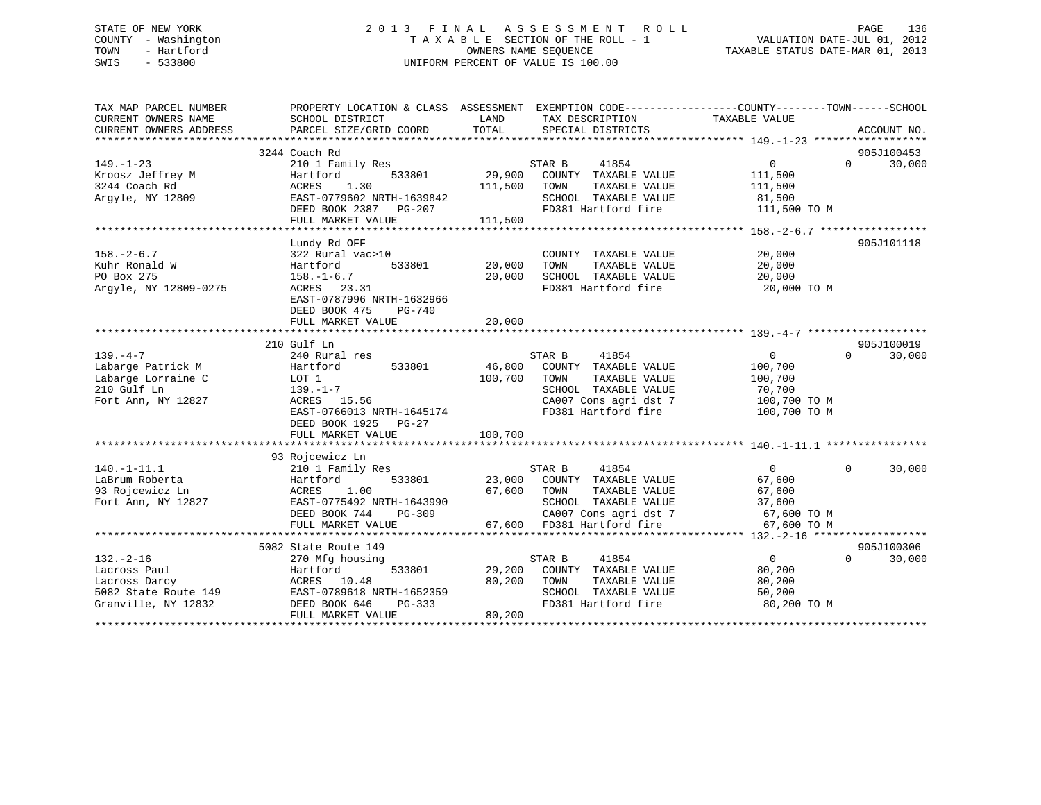# STATE OF NEW YORK 2 0 1 3 F I N A L A S S E S S M E N T R O L L PAGE 136 COUNTY - Washington T A X A B L E SECTION OF THE ROLL - 1 VALUATION DATE-JUL 01, 2012 TOWN - Hartford **TAXABLE STATUS DATE-MAR 01, 2013** SWIS - 533800 UNIFORM PERCENT OF VALUE IS 100.00

| TAX MAP PARCEL NUMBER<br>CURRENT OWNERS NAME | PROPERTY LOCATION & CLASS ASSESSMENT EXEMPTION CODE----------------COUNTY-------TOWN------SCHOOL<br>SCHOOL DISTRICT | LAND    | TAX DESCRIPTION             | TAXABLE VALUE     |                    |
|----------------------------------------------|---------------------------------------------------------------------------------------------------------------------|---------|-----------------------------|-------------------|--------------------|
| CURRENT OWNERS ADDRESS                       | PARCEL SIZE/GRID COORD                                                                                              | TOTAL   | SPECIAL DISTRICTS           |                   | ACCOUNT NO.        |
|                                              |                                                                                                                     |         |                             |                   |                    |
|                                              | 3244 Coach Rd                                                                                                       |         |                             |                   | 905J100453         |
| $149. - 1 - 23$                              | 210 1 Family Res                                                                                                    |         | STAR B<br>41854             | $\overline{0}$    | 30,000<br>$\Omega$ |
| Kroosz Jeffrey M                             | 533801<br>Hartford                                                                                                  | 29,900  | COUNTY TAXABLE VALUE        | 111,500           |                    |
| 3244 Coach Rd                                | 1.30<br>ACRES                                                                                                       | 111,500 | TAXABLE VALUE<br>TOWN       | 111,500           |                    |
| Argyle, NY 12809                             | EAST-0779602 NRTH-1639842                                                                                           |         | SCHOOL TAXABLE VALUE        | 81,500            |                    |
|                                              | DEED BOOK 2387 PG-207                                                                                               |         | FD381 Hartford fire         | 111,500 TO M      |                    |
|                                              | FULL MARKET VALUE                                                                                                   | 111,500 |                             |                   |                    |
|                                              |                                                                                                                     |         |                             |                   |                    |
|                                              | Lundy Rd OFF                                                                                                        |         |                             |                   | 905J101118         |
| $158. - 2 - 6.7$                             | 322 Rural vac>10                                                                                                    |         | COUNTY TAXABLE VALUE        | 20,000            |                    |
| Kuhr Ronald W                                | Hartford<br>533801                                                                                                  | 20,000  | TOWN<br>TAXABLE VALUE       | 20,000            |                    |
| PO Box 275                                   | $158. - 1 - 6.7$                                                                                                    | 20,000  | SCHOOL TAXABLE VALUE        | 20,000            |                    |
| Argyle, NY 12809-0275                        | ACRES 23.31                                                                                                         |         | FD381 Hartford fire         | 20,000 TO M       |                    |
|                                              | EAST-0787996 NRTH-1632966                                                                                           |         |                             |                   |                    |
|                                              | DEED BOOK 475<br>PG-740                                                                                             |         |                             |                   |                    |
|                                              | FULL MARKET VALUE                                                                                                   | 20,000  |                             |                   |                    |
|                                              |                                                                                                                     |         |                             |                   |                    |
|                                              | 210 Gulf Ln                                                                                                         |         |                             |                   | 905J100019         |
| $139. -4 -7$                                 | 240 Rural res                                                                                                       |         | STAR B<br>41854             | $\overline{0}$    | $\Omega$<br>30,000 |
| Labarge Patrick M                            | 533801<br>Hartford                                                                                                  | 46,800  | COUNTY TAXABLE VALUE        | 100,700           |                    |
| Labarge Lorraine C                           | LOT 1                                                                                                               | 100,700 | TAXABLE VALUE<br>TOWN       | 100,700           |                    |
| 210 Gulf Ln                                  | 139.–1–7                                                                                                            |         | SCHOOL TAXABLE VALUE        | 70,700            |                    |
| Fort Ann, NY 12827                           | ACRES 15.56                                                                                                         |         | CA007 Cons agri dst 7       | 100,700 TO M      |                    |
|                                              | EAST-0766013 NRTH-1645174                                                                                           |         | FD381 Hartford fire         | 100,700 TO M      |                    |
|                                              | DEED BOOK 1925 PG-27                                                                                                |         |                             |                   |                    |
|                                              | FULL MARKET VALUE                                                                                                   | 100,700 |                             |                   |                    |
|                                              |                                                                                                                     |         |                             |                   |                    |
|                                              | 93 Rojcewicz Ln                                                                                                     |         |                             |                   |                    |
| $140. - 1 - 11.1$                            | 210 1 Family Res                                                                                                    |         | STAR B<br>41854             | $\overline{0}$    | $\Omega$<br>30,000 |
| LaBrum Roberta                               | Hartford<br>533801                                                                                                  |         | 23,000 COUNTY TAXABLE VALUE | 67,600            |                    |
| 93 Rojcewicz Ln                              | ACRES<br>1.00                                                                                                       | 67,600  | TOWN<br>TAXABLE VALUE       | 67,600            |                    |
| Fort Ann, NY 12827                           | EAST-0775492 NRTH-1643990                                                                                           |         | SCHOOL TAXABLE VALUE        | 37,600            |                    |
|                                              | DEED BOOK 744<br>$PG-309$                                                                                           |         | CA007 Cons agri dst 7       | 67,600 TO M       |                    |
|                                              | FULL MARKET VALUE                                                                                                   |         | 67,600 FD381 Hartford fire  | 67,600 TO M       |                    |
|                                              |                                                                                                                     |         |                             |                   |                    |
|                                              | 5082 State Route 149                                                                                                |         |                             |                   | 905J100306         |
| $132. - 2 - 16$                              | 270 Mfg housing                                                                                                     |         | STAR B<br>41854             | $0 \qquad \qquad$ | $\Omega$<br>30,000 |
| Lacross Paul                                 | Hartford<br>533801                                                                                                  | 29,200  | COUNTY TAXABLE VALUE        | 80,200            |                    |
| Lacross Darcy                                | ACRES 10.48                                                                                                         | 80,200  | TOWN<br>TAXABLE VALUE       | 80,200            |                    |
| 5082 State Route 149                         | EAST-0789618 NRTH-1652359                                                                                           |         | SCHOOL TAXABLE VALUE        | 50,200            |                    |
| Granville, NY 12832                          | DEED BOOK 646<br>PG-333                                                                                             |         | FD381 Hartford fire         | 80,200 TO M       |                    |
|                                              | FULL MARKET VALUE                                                                                                   | 80,200  |                             |                   |                    |
|                                              |                                                                                                                     |         |                             |                   |                    |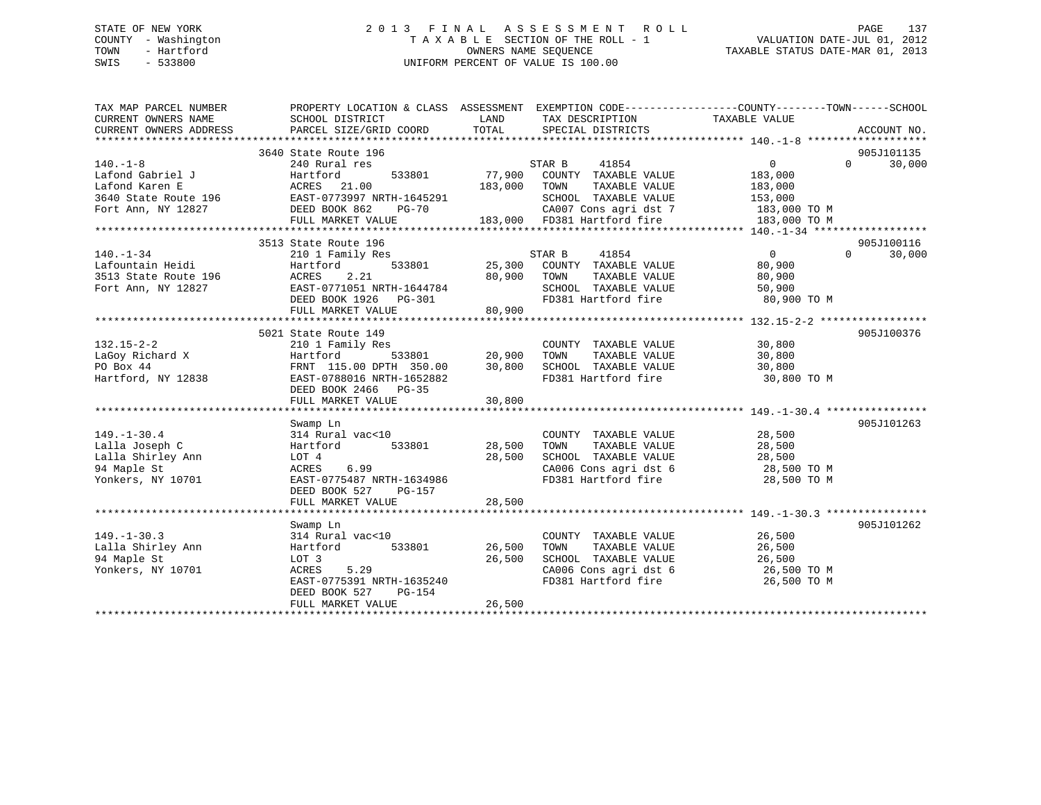# STATE OF NEW YORK 2 0 1 3 F I N A L A S S E S S M E N T R O L L PAGE 137 COUNTY - Washington T A X A B L E SECTION OF THE ROLL - 1 VALUATION DATE-JUL 01, 2012 TOWN - Hartford **TAXABLE STATUS DATE-MAR 01, 2013** SWIS - 533800 UNIFORM PERCENT OF VALUE IS 100.00

| TAX MAP PARCEL NUMBER<br>CURRENT OWNERS NAME                 | PROPERTY LOCATION & CLASS ASSESSMENT EXEMPTION CODE---------------COUNTY-------TOWN------SCHOOL<br>SCHOOL DISTRICT | LAND<br>TOTAL | TAX DESCRIPTION                                      | TAXABLE VALUE                                                    |                    |
|--------------------------------------------------------------|--------------------------------------------------------------------------------------------------------------------|---------------|------------------------------------------------------|------------------------------------------------------------------|--------------------|
| CURRENT OWNERS ADDRESS                                       | PARCEL SIZE/GRID COORD                                                                                             |               | SPECIAL DISTRICTS                                    |                                                                  | ACCOUNT NO.        |
|                                                              | 3640 State Route 196                                                                                               |               |                                                      |                                                                  | 905J101135         |
| $140. -1 - 8$                                                | 240 Rural res                                                                                                      |               | STAR B<br>41854                                      | $\overline{0}$                                                   | $\Omega$<br>30,000 |
| Lafond Gabriel J                                             | Hartford<br>533801                                                                                                 | 77,900        | COUNTY TAXABLE VALUE                                 | 183,000                                                          |                    |
| Lafond Karen E                                               | ACRES 21.00                                                                                                        | 183,000       | TAXABLE VALUE<br>TOWN                                | 183,000                                                          |                    |
| 3640 State Route 196 EAST-0773997 NRTH-1645291               |                                                                                                                    |               | SCHOOL TAXABLE VALUE                                 | 153,000                                                          |                    |
| Fort Ann, NY 12827                                           | DEED BOOK 862<br>PG-70                                                                                             |               |                                                      | 183,000 TO M                                                     |                    |
|                                                              | FULL MARKET VALUE                                                                                                  |               | CA007 Cons agri dst 7<br>183,000 FD381 Hartford fire | 183,000 TO M                                                     |                    |
|                                                              |                                                                                                                    |               |                                                      |                                                                  |                    |
|                                                              | 3513 State Route 196                                                                                               |               |                                                      |                                                                  | 905J100116         |
| $140. - 1 - 34$                                              | 210 1 Family Res                                                                                                   |               | 41854<br>STAR B                                      | $\overline{0}$                                                   | $\Omega$<br>30,000 |
| Lafountain Heidi<br>Lafountain Heidi<br>3513 State Route 196 | 533801<br>Hartford                                                                                                 |               | 25,300 COUNTY TAXABLE VALUE                          | 80,900                                                           |                    |
|                                                              | 2.21<br>ACRES                                                                                                      | 80,900        | TOWN<br>TAXABLE VALUE                                | 80,900                                                           |                    |
| Fort Ann, NY 12827                                           | EAST-0771051 NRTH-1644784<br>DEED BOOK 1926 PG-301                                                                 |               | SCHOOL TAXABLE VALUE                                 | 50,900                                                           |                    |
|                                                              |                                                                                                                    |               | FD381 Hartford fire                                  | 80,900 TO M                                                      |                    |
|                                                              | FULL MARKET VALUE                                                                                                  | 80,900        |                                                      |                                                                  |                    |
|                                                              |                                                                                                                    |               |                                                      |                                                                  |                    |
|                                                              | 5021 State Route 149                                                                                               |               |                                                      |                                                                  | 905J100376         |
| $132.15 - 2 - 2$                                             | 210 1 Family Res                                                                                                   |               | COUNTY TAXABLE VALUE                                 | 30,800                                                           |                    |
| LaGoy Richard X                                              | Hartford                                                                                                           | 533801 20,900 | TOWN<br>TAXABLE VALUE                                | 30,800                                                           |                    |
| PO Box 44                                                    | FRNT 115.00 DPTH 350.00                                                                                            | 30,800        | SCHOOL TAXABLE VALUE                                 | 30,800                                                           |                    |
| Hartford, NY 12838                                           | EAST-0788016 NRTH-1652882                                                                                          |               | FD381 Hartford fire                                  | 30,800 TO M                                                      |                    |
|                                                              | DEED BOOK 2466 PG-35                                                                                               |               |                                                      |                                                                  |                    |
|                                                              | FULL MARKET VALUE                                                                                                  | 30,800        |                                                      |                                                                  |                    |
|                                                              | Swamp Ln                                                                                                           |               |                                                      |                                                                  | 905J101263         |
| $149. - 1 - 30.4$                                            | 314 Rural vac<10                                                                                                   |               | COUNTY TAXABLE VALUE 28,500                          |                                                                  |                    |
| Lalla Joseph C                                               | Hartford 533801                                                                                                    | 28,500        | TOWN<br>TAXABLE VALUE                                | 28,500                                                           |                    |
| Lalla Shirley Ann                                            | LOT 4                                                                                                              | 28,500        | SCHOOL TAXABLE VALUE                                 | 28,500                                                           |                    |
| 94 Maple St                                                  | 6.99<br>ACRES                                                                                                      |               |                                                      | SCHOOL TAXABLE VALUE 28,500<br>CA006 Cons agri dst 6 28,500 TO M |                    |
| Yonkers, NY 10701                                            | EAST-0775487 NRTH-1634986                                                                                          |               | FD381 Hartford fire                                  | 28,500 TO M                                                      |                    |
|                                                              | DEED BOOK 527<br>PG-157                                                                                            |               |                                                      |                                                                  |                    |
|                                                              | FULL MARKET VALUE                                                                                                  | 28,500        |                                                      |                                                                  |                    |
|                                                              |                                                                                                                    |               |                                                      |                                                                  |                    |
|                                                              | Swamp Ln                                                                                                           |               |                                                      |                                                                  | 905J101262         |
| $149. - 1 - 30.3$                                            | 314 Rural vac<10                                                                                                   |               | COUNTY TAXABLE VALUE                                 | 26,500                                                           |                    |
| Lalla Shirley Ann                                            | 533801<br>Hartford                                                                                                 | 26,500        | TAXABLE VALUE<br>TOWN                                | 26,500                                                           |                    |
| 94 Maple St                                                  | LOT 3                                                                                                              | 26,500        | SCHOOL TAXABLE VALUE                                 | 26,500                                                           |                    |
| Yonkers, NY 10701                                            | 5.29<br>ACRES                                                                                                      |               |                                                      | CA006 Cons agri dst 6 26,500 TO M                                |                    |
|                                                              | EAST-0775391 NRTH-1635240                                                                                          |               | FD381 Hartford fire                                  | 26,500 TO M                                                      |                    |
|                                                              | PG-154<br>DEED BOOK 527                                                                                            |               |                                                      |                                                                  |                    |
|                                                              | FULL MARKET VALUE                                                                                                  | 26,500        |                                                      |                                                                  |                    |
|                                                              |                                                                                                                    |               |                                                      |                                                                  |                    |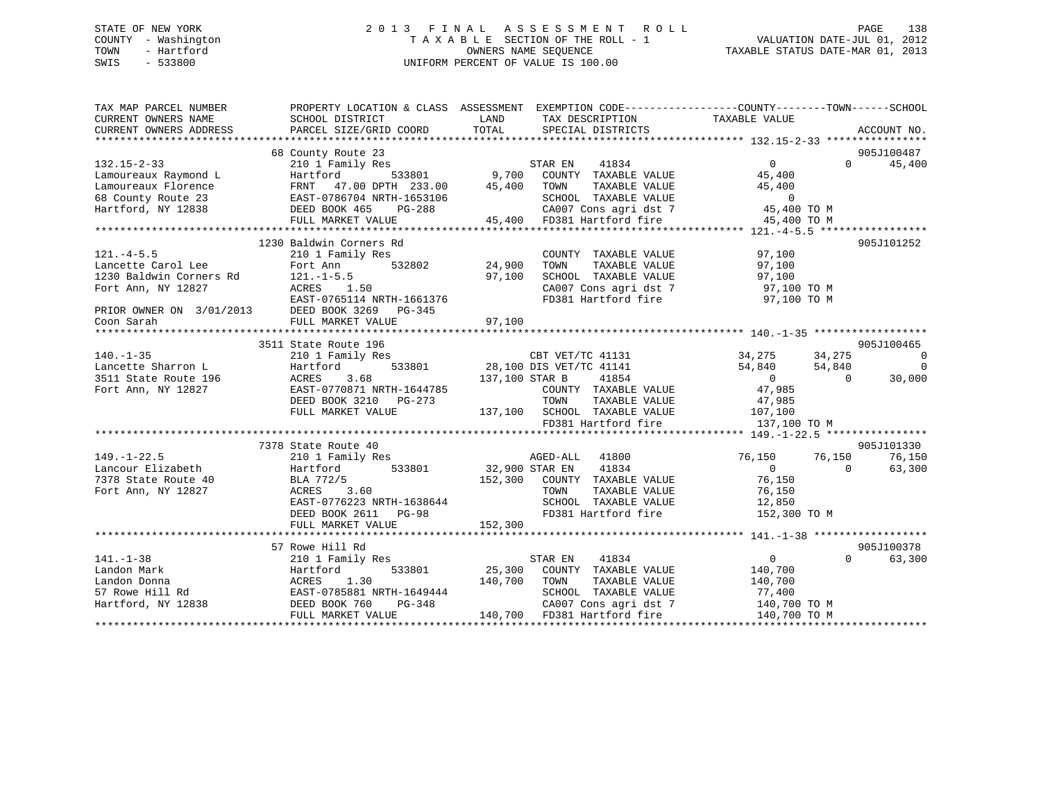# STATE OF NEW YORK 2 0 1 3 F I N A L A S S E S S M E N T R O L L PAGE 138 COUNTY - Washington T A X A B L E SECTION OF THE ROLL - 1 VALUATION DATE-JUL 01, 2012 TOWN - Hartford **TAXABLE STATUS DATE-MAR 01, 2013** SWIS - 533800 UNIFORM PERCENT OF VALUE IS 100.00

| TAX MAP PARCEL NUMBER                                                            |                                                                                               | PROPERTY LOCATION & CLASS ASSESSMENT EXEMPTION CODE---------------COUNTY-------TOWN------SCHOOL                                                                                                     |                                      |                          |
|----------------------------------------------------------------------------------|-----------------------------------------------------------------------------------------------|-----------------------------------------------------------------------------------------------------------------------------------------------------------------------------------------------------|--------------------------------------|--------------------------|
| CURRENT OWNERS NAME                                                              | SCHOOL DISTRICT                                                                               | LAND<br>TAX DESCRIPTION                                                                                                                                                                             | TAXABLE VALUE                        |                          |
| CURRENT OWNERS ADDRESS                                                           | PARCEL SIZE/GRID COORD                                                                        | TOTAL<br>SPECIAL DISTRICTS                                                                                                                                                                          | ACCOUNT NO.                          |                          |
|                                                                                  |                                                                                               |                                                                                                                                                                                                     |                                      |                          |
|                                                                                  | 68 County Route 23                                                                            |                                                                                                                                                                                                     | 905J100487                           |                          |
| $132.15 - 2 - 33$                                                                | 210 1 Family Res                                                                              | $\begin{array}{cccc}\n 3 & 533801 & 9,700 & \text{COUNTY} & \text{TAXABLE VALUE}\n \end{array}$                                                                                                     | 45,400<br>$\overline{0}$<br>$\Omega$ |                          |
| Lamoureaux Raymond L                                                             | Hartford                                                                                      |                                                                                                                                                                                                     | 45,400                               |                          |
|                                                                                  | FRNT 47.00 DPTH 233.00 45,400 TOWN                                                            | TAXABLE VALUE                                                                                                                                                                                       | 45,400                               |                          |
|                                                                                  |                                                                                               |                                                                                                                                                                                                     |                                      |                          |
| Lamoureaux Florence<br>68 County Route 23<br>Hartford, NY 12838<br>DEED BOOK 465 | EAST-0786704 NRTH-1653106<br>DEED BOOK 465 PG-288                                             | $\begin{tabular}{lllllllll} \multicolumn{2}{c}{\textbf{SCHODL}} & \textbf{TAXABLE VALUE} & & & & 0 \\ \multicolumn{2}{c}{\textbf{CAOO7 Cons agri dst 7}} & & & 45,400 \textbf{ TO M} \end{tabular}$ |                                      |                          |
|                                                                                  | FULL MARKET VALUE                                                                             | 45,400 FD381 Hartford fire                                                                                                                                                                          | 45,400 TO M                          |                          |
|                                                                                  |                                                                                               |                                                                                                                                                                                                     |                                      |                          |
|                                                                                  | 1230 Baldwin Corners Rd                                                                       |                                                                                                                                                                                                     | 905J101252                           |                          |
| $121. -4 - 5.5$                                                                  | 210 1 Family Res                                                                              | COUNTY TAXABLE VALUE                                                                                                                                                                                | 97,100                               |                          |
|                                                                                  | Fort Ann                                                                                      | 。<br>532802     24,900<br>TAXABLE VALUE<br>TOWN                                                                                                                                                     | 97,100                               |                          |
|                                                                                  | $121. - 1 - 5.5$                                                                              | SCHOOL TAXABLE VALUE<br>97,100                                                                                                                                                                      | 97,100                               |                          |
|                                                                                  |                                                                                               | SCHOOL TAXABLE VALUE 97,100<br>CA007 Cons agri dst 7 97,100 TO M                                                                                                                                    |                                      |                          |
|                                                                                  |                                                                                               | FD381 Hartford fire 97,100 TO M                                                                                                                                                                     |                                      |                          |
|                                                                                  |                                                                                               |                                                                                                                                                                                                     |                                      |                          |
|                                                                                  | PRIOR OWNER ON 3/01/2013<br>EAST-0765114 NRTH-1661376<br>Coon Sarah FULL MARKFT WATH-1980-345 |                                                                                                                                                                                                     |                                      |                          |
|                                                                                  |                                                                                               |                                                                                                                                                                                                     |                                      |                          |
|                                                                                  | 3511 State Route 196                                                                          |                                                                                                                                                                                                     | 905J100465                           |                          |
| $140. - 1 - 35$                                                                  |                                                                                               |                                                                                                                                                                                                     |                                      | $\overline{\phantom{0}}$ |
| Lancette Sharron L                                                               | Hartford                                                                                      | 210 1 Family Res<br>Hartford 533801 28,100 DIS VET/TC 41141 34,275 34,275 34,275<br>ACRES 3.68 137,100 STAR B 41854 0 0                                                                             |                                      | $\overline{\phantom{0}}$ |
| 3511 State Route 196                                                             | ACRES                                                                                         | 137,100 STAR B                                                                                                                                                                                      | $\overline{0}$<br>30,000             |                          |
| Fort Ann, NY 12827                                                               | EAST-0770871 NRTH-1644785                                                                     | COUNTY TAXABLE VALUE                                                                                                                                                                                | 47,985                               |                          |
|                                                                                  | DEED BOOK 3210 PG-273                                                                         | TAXABLE VALUE<br>TOWN                                                                                                                                                                               | 47,985                               |                          |
|                                                                                  | FULL MARKET VALUE                                                                             | 137,100 SCHOOL TAXABLE VALUE 107,100                                                                                                                                                                |                                      |                          |
|                                                                                  |                                                                                               | FD381 Hartford fire                                                                                                                                                                                 | 137,100 TO M                         |                          |
|                                                                                  |                                                                                               |                                                                                                                                                                                                     |                                      |                          |
|                                                                                  | 7378 State Route 40                                                                           |                                                                                                                                                                                                     | 905J101330                           |                          |
| $149. - 1 - 22.5$                                                                | 210 1 Family Res                                                                              | AGED-ALL 41800                                                                                                                                                                                      | 76,150<br>76,150<br>76,150           |                          |
| Lancour Elizabeth<br><sup>7278</sup> State Route 40                              | 533801<br>Hartford                                                                            | $32,900$ STAR EN<br>41834                                                                                                                                                                           | 63,300<br>$\overline{0}$<br>$\Omega$ |                          |
|                                                                                  | BLA 772/5                                                                                     | 152,300 COUNTY TAXABLE VALUE                                                                                                                                                                        | 76,150                               |                          |
| Fort Ann, NY 12827                                                               | ACRES<br>3.60                                                                                 | TAXABLE VALUE<br>TOWN                                                                                                                                                                               | 76,150                               |                          |
|                                                                                  | EAST-0776223 NRTH-1638644                                                                     | SCHOOL TAXABLE VALUE                                                                                                                                                                                | 12,850                               |                          |
|                                                                                  | DEED BOOK 2611 PG-98                                                                          | oon - AAABLE VALUE<br>FD381 Hartford fire                                                                                                                                                           | 152,300 TO M                         |                          |
|                                                                                  | FULL MARKET VALUE                                                                             | 152,300                                                                                                                                                                                             |                                      |                          |
|                                                                                  |                                                                                               |                                                                                                                                                                                                     |                                      |                          |
|                                                                                  | 57 Rowe Hill Rd<br>$210$ 1 Family Res                                                         |                                                                                                                                                                                                     | 905J100378                           |                          |
| $141. - 1 - 38$                                                                  |                                                                                               | STAR EN 41834                                                                                                                                                                                       | $\Omega$<br>$\Omega$<br>63,300       |                          |
| Landon Mark                                                                      | Hartford<br>533801                                                                            | 25,300 COUNTY TAXABLE VALUE                                                                                                                                                                         | 140,700                              |                          |
|                                                                                  |                                                                                               | 140,700<br>TOWN<br>TAXABLE VALUE                                                                                                                                                                    | 140,700                              |                          |
|                                                                                  | ACRES 1.30<br>EAST-0785881 NRTH-1649444                                                       | SCHOOL TAXABLE VALUE                                                                                                                                                                                | 77,400                               |                          |
| Landon Donna<br>57 Rowe Hill Rd<br>Hartford, NY 12838                            | $PG-348$<br>DEED BOOK 760                                                                     | CA007 Cons agri dst 7                                                                                                                                                                               | 140,700 TO M                         |                          |
|                                                                                  | FULL MARKET VALUE                                                                             | 140,700 FD381 Hartford fire                                                                                                                                                                         | 140,700 TO M                         |                          |
|                                                                                  |                                                                                               |                                                                                                                                                                                                     |                                      |                          |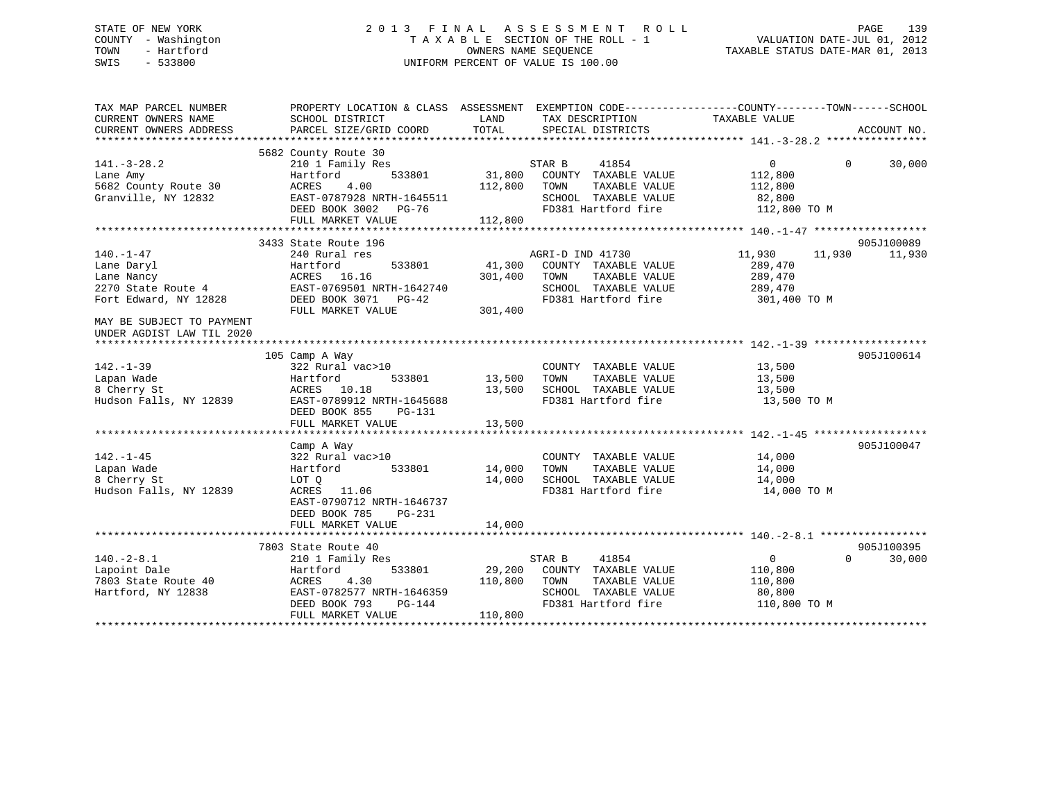# STATE OF NEW YORK 2 0 1 3 F I N A L A S S E S S M E N T R O L L PAGE 139 COUNTY - Washington T A X A B L E SECTION OF THE ROLL - 1 VALUATION DATE-JUL 01, 2012 TOWN - Hartford **TAXABLE STATUS DATE-MAR 01, 2013** SWIS - 533800 UNIFORM PERCENT OF VALUE IS 100.00

| TAX MAP PARCEL NUMBER<br>CURRENT OWNERS NAME<br>CURRENT OWNERS ADDRESS                                                                               | PROPERTY LOCATION & CLASS ASSESSMENT EXEMPTION CODE---------------COUNTY-------TOWN-----SCHOOL<br>SCHOOL DISTRICT<br>PARCEL SIZE/GRID COORD                   | LAND<br>TOTAL                | TAX DESCRIPTION<br>SPECIAL DISTRICTS                                                                             | TAXABLE VALUE                                                            | ACCOUNT NO.          |
|------------------------------------------------------------------------------------------------------------------------------------------------------|---------------------------------------------------------------------------------------------------------------------------------------------------------------|------------------------------|------------------------------------------------------------------------------------------------------------------|--------------------------------------------------------------------------|----------------------|
| $141. - 3 - 28.2$<br>Lane Amy<br>5682 County Route 30<br>Granville, NY 12832                                                                         | 5682 County Route 30<br>210 1 Family Res<br>533801<br>Hartford<br>ACRES<br>4.00<br>EAST-0787928 NRTH-1645511<br>DEED BOOK 3002 PG-76<br>FULL MARKET VALUE     | 31,800<br>112,800<br>112,800 | STAR B<br>41854<br>COUNTY TAXABLE VALUE<br>TAXABLE VALUE<br>TOWN<br>SCHOOL TAXABLE VALUE<br>FD381 Hartford fire  | $\mathbf{0}$<br>$\Omega$<br>112,800<br>112,800<br>82,800<br>112,800 TO M | 30,000               |
|                                                                                                                                                      |                                                                                                                                                               |                              |                                                                                                                  |                                                                          |                      |
| $140. - 1 - 47$<br>Lane Daryl<br>Lane Nancy<br>2270 State Route 4<br>Fort Edward, NY 12828<br>MAY BE SUBJECT TO PAYMENT<br>UNDER AGDIST LAW TIL 2020 | 3433 State Route 196<br>240 Rural res<br>Hartford<br>533801<br>ACRES 16.16<br>EAST-0769501 NRTH-1642740<br>DEED BOOK 3071 PG-42<br>FULL MARKET VALUE          | 41,300<br>301,400<br>301,400 | AGRI-D IND 41730<br>COUNTY TAXABLE VALUE<br>TAXABLE VALUE<br>TOWN<br>SCHOOL TAXABLE VALUE<br>FD381 Hartford fire | 11,930<br>11,930<br>289,470<br>289,470<br>289,470<br>301,400 TO M        | 905J100089<br>11,930 |
|                                                                                                                                                      |                                                                                                                                                               |                              |                                                                                                                  |                                                                          |                      |
| $142. - 1 - 39$<br>Lapan Wade<br>8 Cherry St<br>Hudson Falls, NY 12839                                                                               | 105 Camp A Way<br>322 Rural vac>10<br>533801<br>Hartford<br>ACRES 10.18<br>EAST-0789912 NRTH-1645688<br>DEED BOOK 855<br>PG-131<br>FULL MARKET VALUE          | 13,500<br>13,500<br>13,500   | COUNTY TAXABLE VALUE<br>TAXABLE VALUE<br>TOWN<br>SCHOOL TAXABLE VALUE<br>FD381 Hartford fire                     | 13,500<br>13,500<br>13,500<br>13,500 TO M                                | 905J100614           |
|                                                                                                                                                      |                                                                                                                                                               |                              |                                                                                                                  |                                                                          | 905J100047           |
| $142. - 1 - 45$<br>Lapan Wade<br>8 Cherry St<br>Hudson Falls, NY 12839                                                                               | Camp A Way<br>322 Rural vac>10<br>533801<br>Hartford<br>LOT 0<br>ACRES<br>11.06<br>EAST-0790712 NRTH-1646737<br>DEED BOOK 785<br>PG-231                       | 14,000<br>14,000             | COUNTY TAXABLE VALUE<br>TAXABLE VALUE<br>TOWN<br>SCHOOL TAXABLE VALUE<br>FD381 Hartford fire                     | 14,000<br>14,000<br>14,000<br>14,000 TO M                                |                      |
|                                                                                                                                                      | FULL MARKET VALUE                                                                                                                                             | 14,000                       |                                                                                                                  |                                                                          |                      |
| $140. - 2 - 8.1$<br>Lapoint Dale<br>7803 State Route 40<br>Hartford, NY 12838                                                                        | 7803 State Route 40<br>210 1 Family Res<br>533801<br>Hartford<br>4.30<br>ACRES<br>EAST-0782577 NRTH-1646359<br>DEED BOOK 793<br>$PG-144$<br>FULL MARKET VALUE | 29,200<br>110,800<br>110,800 | STAR B<br>41854<br>COUNTY TAXABLE VALUE<br>TAXABLE VALUE<br>TOWN<br>SCHOOL TAXABLE VALUE<br>FD381 Hartford fire  | $\mathbf{0}$<br>$\Omega$<br>110,800<br>110,800<br>80,800<br>110,800 TO M | 905J100395<br>30,000 |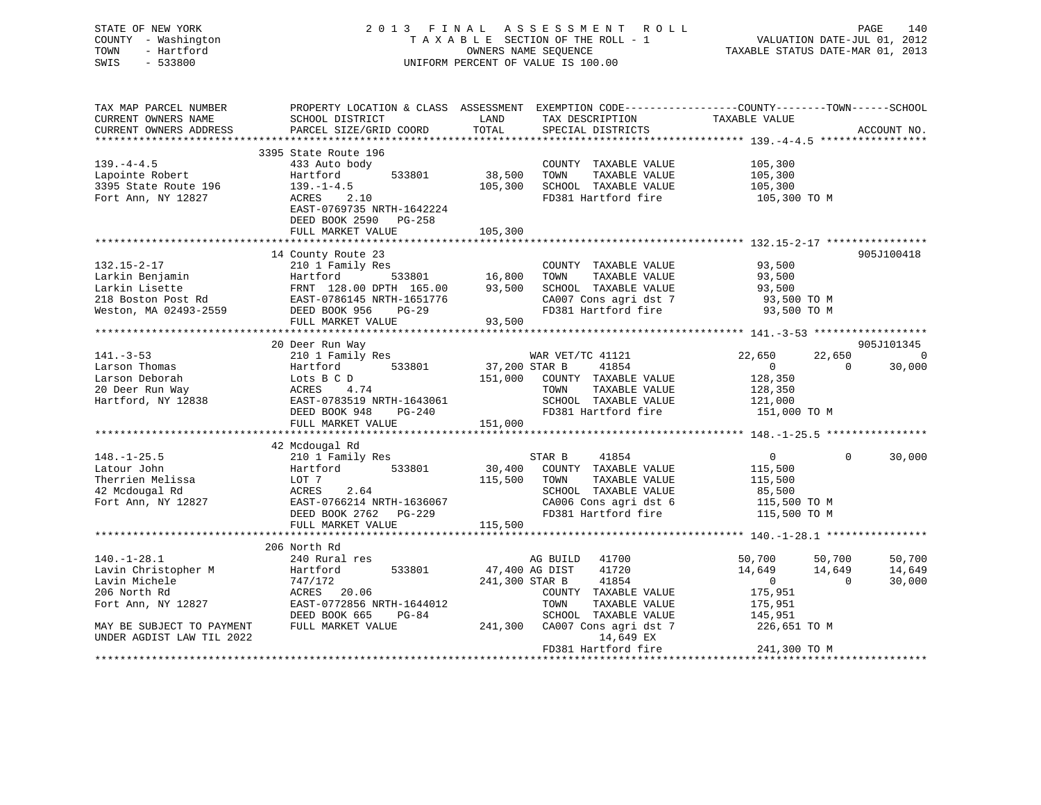STATE OF NEW YORK 2 0 1 3 F I N A L A S S E S S M E N T R O L L PAGE 140 COUNTY - Washington T A X A B L E SECTION OF THE ROLL - 1 VALUATION DATE-JUL 01, 2012 TOWN - Hartford OWNERS NAME SEQUENCE TAXABLE STATUS DATE-MAR 01, 2013 SWIS - 533800 UNIFORM PERCENT OF VALUE IS 100.00

| TAX MAP PARCEL NUMBER<br>CURRENT OWNERS NAME                                                              | PROPERTY LOCATION & CLASS ASSESSMENT EXEMPTION CODE----------------COUNTY-------TOWN-----SCHOOL<br>SCHOOL DISTRICT | LAND           | TAX DESCRIPTION               | TAXABLE VALUE  |                |             |
|-----------------------------------------------------------------------------------------------------------|--------------------------------------------------------------------------------------------------------------------|----------------|-------------------------------|----------------|----------------|-------------|
| CURRENT OWNERS ADDRESS                                                                                    | PARCEL SIZE/GRID COORD                                                                                             | TOTAL          | SPECIAL DISTRICTS             |                |                | ACCOUNT NO. |
|                                                                                                           |                                                                                                                    |                |                               |                |                |             |
|                                                                                                           | 3395 State Route 196                                                                                               |                |                               |                |                |             |
| $139. -4 - 4.5$                                                                                           | 433 Auto body                                                                                                      |                | COUNTY TAXABLE VALUE          | 105,300        |                |             |
| Lapointe Robert                                                                                           | 533801<br>Hartford                                                                                                 | 38,500         | TOWN<br>TAXABLE VALUE         | 105,300        |                |             |
| 3395 State Route 196                                                                                      | $139. - 1 - 4.5$                                                                                                   | 105,300        | SCHOOL TAXABLE VALUE          | 105,300        |                |             |
| Fort Ann, NY 12827                                                                                        | ACRES 2.10                                                                                                         |                | FD381 Hartford fire           | 105,300 TO M   |                |             |
|                                                                                                           | EAST-0769735 NRTH-1642224                                                                                          |                |                               |                |                |             |
|                                                                                                           | DEED BOOK 2590 PG-258                                                                                              |                |                               |                |                |             |
|                                                                                                           | FULL MARKET VALUE                                                                                                  | 105,300        |                               |                |                |             |
|                                                                                                           |                                                                                                                    |                |                               |                |                |             |
|                                                                                                           | 14 County Route 23                                                                                                 |                |                               |                |                | 905J100418  |
| $132.15 - 2 - 17$                                                                                         | 210 1 Family Res                                                                                                   |                | COUNTY TAXABLE VALUE          | 93,500         |                |             |
|                                                                                                           |                                                                                                                    |                | TOWN<br>TAXABLE VALUE         | 93,500         |                |             |
| Larkin Benjamin<br>Larkin Lisette FRNT 128.00 DPTH 165.00<br>218 Boston Post Rd EAST-0786145 NRTH-1651776 | FRNT 128.00 DPTH 165.00                                                                                            | 93,500         | SCHOOL TAXABLE VALUE          | 93,500         |                |             |
|                                                                                                           |                                                                                                                    |                | CA007 Cons agri dst 7         | 93,500 TO M    |                |             |
| Weston, MA 02493-2559                                                                                     | DEED BOOK 956<br>$PG-29$                                                                                           |                | FD381 Hartford fire           | 93,500 TO M    |                |             |
|                                                                                                           | FULL MARKET VALUE                                                                                                  | 93,500         |                               |                |                |             |
|                                                                                                           |                                                                                                                    |                |                               |                |                |             |
|                                                                                                           | 20 Deer Run Way                                                                                                    |                |                               |                |                | 905J101345  |
| $141. - 3 - 53$                                                                                           | 210 1 Family Res                                                                                                   |                | WAR VET/TC 41121              | 22,650         | 22,650         | $\mathbf 0$ |
| Larson Thomas                                                                                             | 533801<br>Hartford                                                                                                 | 37,200 STAR B  | 41854                         | $\overline{0}$ | $\Omega$       | 30,000      |
| Larson Deborah                                                                                            | Lots B C D                                                                                                         | 151,000        | COUNTY TAXABLE VALUE          | 128,350        |                |             |
| 20 Deer Run Way                                                                                           | ACRES<br>4.74                                                                                                      |                | TAXABLE VALUE<br>TOWN         | 128,350        |                |             |
| Hartford, NY 12838                                                                                        | EAST-0783519 NRTH-1643061                                                                                          |                | SCHOOL TAXABLE VALUE          | 121,000        |                |             |
|                                                                                                           | DEED BOOK 948 PG-240                                                                                               |                | FD381 Hartford fire           | 151,000 TO M   |                |             |
|                                                                                                           | FULL MARKET VALUE                                                                                                  | 151,000        |                               |                |                |             |
|                                                                                                           |                                                                                                                    |                |                               |                |                |             |
| $148. - 1 - 25.5$                                                                                         | 42 Mcdougal Rd<br>210 1 Family Res                                                                                 |                | STAR B<br>41854               | $\overline{0}$ | $\Omega$       | 30,000      |
| Latour John                                                                                               | 533801<br>Hartford                                                                                                 | 30,400         | COUNTY TAXABLE VALUE          | 115,500        |                |             |
| Therrien Melissa                                                                                          | LOT 7                                                                                                              | 115,500        | TOWN<br>TAXABLE VALUE         | 115,500        |                |             |
| 42 Mcdougal Rd                                                                                            | ACRES<br>2.64                                                                                                      |                | SCHOOL TAXABLE VALUE          | 85,500         |                |             |
| Fort Ann, NY 12827                                                                                        | EAST-0766214 NRTH-1636067                                                                                          |                | CA006 Cons agri dst 6         | 115,500 TO M   |                |             |
|                                                                                                           | DEED BOOK 2762 PG-229                                                                                              |                | FD381 Hartford fire           | 115,500 TO M   |                |             |
|                                                                                                           | FULL MARKET VALUE                                                                                                  | 115,500        |                               |                |                |             |
|                                                                                                           |                                                                                                                    |                |                               |                |                |             |
|                                                                                                           | 206 North Rd                                                                                                       |                |                               |                |                |             |
| $140.-1-28.1$                                                                                             | 240 Rural res                                                                                                      |                | AG BUILD<br>41700             | 50,700         | 50,700         | 50,700      |
| Lavin Christopher M                                                                                       | 533801<br>Hartford                                                                                                 | 47,400 AG DIST | 41720                         | 14,649         | 14,649         | 14,649      |
| Lavin Michele                                                                                             | 747/172                                                                                                            |                | 241,300 STAR B<br>41854       | $\overline{0}$ | $\overline{0}$ | 30,000      |
| 206 North Rd                                                                                              | ACRES 20.06                                                                                                        |                | COUNTY TAXABLE VALUE          | 175,951        |                |             |
| Fort Ann, NY 12827                                                                                        | EAST-0772856 NRTH-1644012                                                                                          |                | TAXABLE VALUE<br>TOWN         | 175,951        |                |             |
|                                                                                                           | DEED BOOK 665<br>$PG-84$                                                                                           |                | SCHOOL TAXABLE VALUE          | 145,951        |                |             |
| MAY BE SUBJECT TO PAYMENT                                                                                 | FULL MARKET VALUE                                                                                                  |                | 241,300 CA007 Cons agri dst 7 | 226,651 TO M   |                |             |
| UNDER AGDIST LAW TIL 2022                                                                                 |                                                                                                                    |                | 14,649 EX                     |                |                |             |
|                                                                                                           |                                                                                                                    |                | FD381 Hartford fire           | 241,300 TO M   |                |             |
|                                                                                                           |                                                                                                                    |                |                               |                |                |             |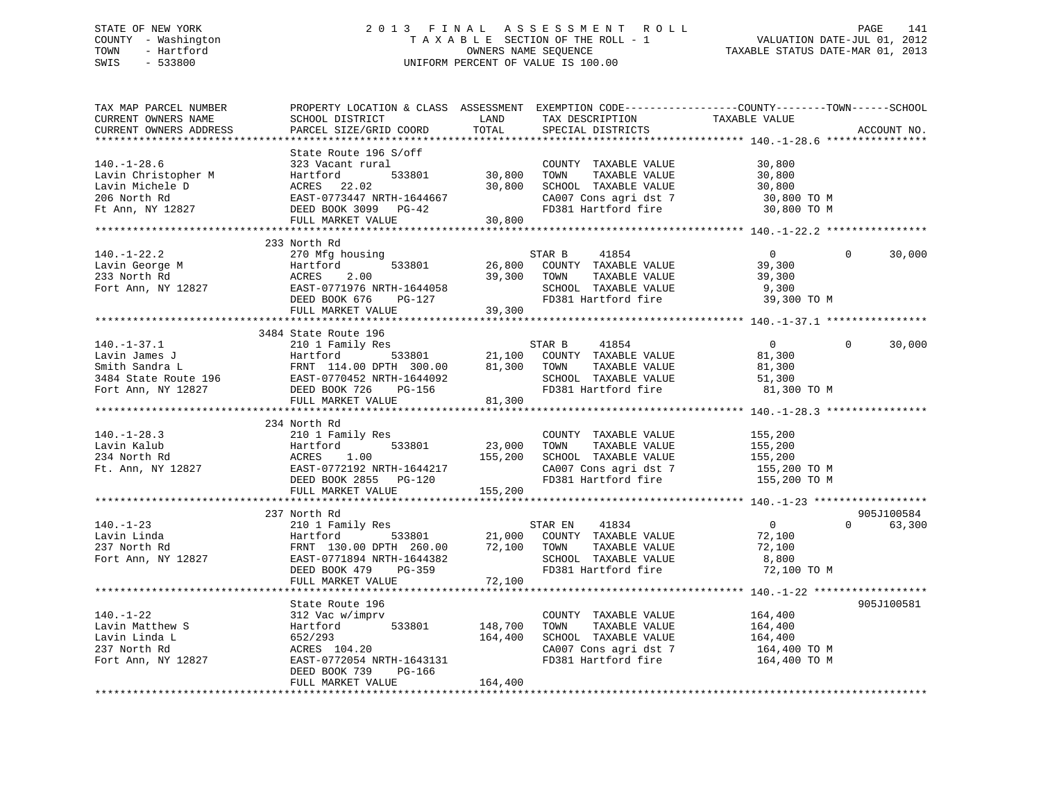# STATE OF NEW YORK 2 0 1 3 F I N A L A S S E S S M E N T R O L L PAGE 141 COUNTY - Washington T A X A B L E SECTION OF THE ROLL - 1 VALUATION DATE-JUL 01, 2012 TOWN - Hartford **TAXABLE STATUS DATE-MAR 01, 2013** SWIS - 533800 UNIFORM PERCENT OF VALUE IS 100.00

| TAX MAP PARCEL NUMBER<br>CURRENT OWNERS NAME<br>CURRENT OWNERS ADDRESS                          | PROPERTY LOCATION & CLASS ASSESSMENT<br>SCHOOL DISTRICT<br>PARCEL SIZE/GRID COORD                                                                              | LAND<br>TOTAL              | TAX DESCRIPTION<br>SPECIAL DISTRICTS                                                                                    | EXEMPTION CODE-----------------COUNTY-------TOWN------SCHOOL<br>TAXABLE VALUE   | ACCOUNT NO.          |
|-------------------------------------------------------------------------------------------------|----------------------------------------------------------------------------------------------------------------------------------------------------------------|----------------------------|-------------------------------------------------------------------------------------------------------------------------|---------------------------------------------------------------------------------|----------------------|
| $140. - 1 - 28.6$<br>Lavin Christopher M<br>Lavin Michele D<br>206 North Rd<br>Ft Ann, NY 12827 | State Route 196 S/off<br>323 Vacant rural<br>Hartford<br>533801<br>ACRES 22.02<br>EAST-0773447 NRTH-1644667<br>DEED BOOK 3099 PG-42<br>FULL MARKET VALUE       | 30,800<br>30,800<br>30,800 | COUNTY TAXABLE VALUE<br>TOWN<br>TAXABLE VALUE<br>SCHOOL TAXABLE VALUE<br>CA007 Cons agri dst 7<br>FD381 Hartford fire   | 30,800<br>30,800<br>30,800<br>30,800 TO M<br>30,800 TO M                        |                      |
|                                                                                                 | 233 North Rd                                                                                                                                                   |                            |                                                                                                                         |                                                                                 |                      |
| $140. - 1 - 22.2$<br>Lavin George M<br>233 North Rd<br>Fort Ann, NY 12827                       | 270 Mfg housing<br>533801<br>Hartford<br>ACRES<br>2.00<br>EAST-0771976 NRTH-1644058<br>DEED BOOK 676<br>PG-127                                                 | 26,800<br>39,300           | 41854<br>STAR B<br>COUNTY TAXABLE VALUE<br>TOWN<br>TAXABLE VALUE<br>SCHOOL TAXABLE VALUE<br>FD381 Hartford fire         | $\overline{0}$<br>$\Omega$<br>39,300<br>39,300<br>9,300<br>39,300 TO M          | 30,000               |
|                                                                                                 | FULL MARKET VALUE                                                                                                                                              | 39,300                     |                                                                                                                         |                                                                                 |                      |
|                                                                                                 | 3484 State Route 196                                                                                                                                           |                            |                                                                                                                         |                                                                                 |                      |
| $140. - 1 - 37.1$<br>Lavin James J                                                              | 210 1 Family Res<br>Hartford<br>533801<br>FULL MARKET VALUE                                                                                                    | 21,100<br>81,300<br>81,300 | STAR B<br>41854<br>COUNTY TAXABLE VALUE<br>TOWN<br>TAXABLE VALUE<br>SCHOOL TAXABLE VALUE<br>FD381 Hartford fire         | $\overline{0}$<br>$\Omega$<br>81,300<br>81,300<br>51,300<br>81,300 TO M         | 30,000               |
|                                                                                                 |                                                                                                                                                                |                            |                                                                                                                         |                                                                                 |                      |
| $140. - 1 - 28.3$<br>Lavin Kalub<br>234 North Rd<br>Ft. Ann, NY 12827                           | 234 North Rd<br>210 1 Family Res<br>533801<br>Hartford<br>ACRES<br>1.00<br>EAST-0772192 NRTH-1644217<br>DEED BOOK 2855 PG-120                                  | 23,000<br>155,200          | COUNTY TAXABLE VALUE<br>TOWN<br>TAXABLE VALUE<br>SCHOOL TAXABLE VALUE<br>CA007 Cons agri dst 7<br>FD381 Hartford fire   | 155,200<br>155,200<br>155,200<br>$155,200$ TO M<br>155,200 TO M                 |                      |
|                                                                                                 | FULL MARKET VALUE                                                                                                                                              | 155,200                    |                                                                                                                         |                                                                                 |                      |
| $140. - 1 - 23$<br>Lavin Linda<br>237 North Rd<br>Fort Ann, NY 12827                            | 237 North Rd<br>210 1 Family Res<br>Hartford<br>533801<br>FRNT 130.00 DPTH 260.00<br>EAST-0771894 NRTH-1644382<br>DEED BOOK 479<br>PG-359<br>FULL MARKET VALUE | 72,100<br>72,100           | 41834<br>STAR EN<br>21,000 COUNTY TAXABLE VALUE<br>TOWN<br>TAXABLE VALUE<br>SCHOOL TAXABLE VALUE<br>FD381 Hartford fire | $\overline{0}$<br>$0 \qquad \qquad$<br>72,100<br>72,100<br>8,800<br>72,100 TO M | 905J100584<br>63,300 |
|                                                                                                 |                                                                                                                                                                |                            |                                                                                                                         |                                                                                 |                      |
| $140. - 1 - 22$<br>Lavin Matthew S<br>Lavin Linda L<br>237 North Rd<br>Fort Ann, NY 12827       | State Route 196<br>312 Vac w/imprv<br>533801<br>Hartford<br>652/293<br>ACRES 104.20<br>EAST-0772054 NRTH-1643131<br>DEED BOOK 739<br>PG-166                    | 148,700<br>164,400         | COUNTY TAXABLE VALUE<br>TOWN<br>TAXABLE VALUE<br>SCHOOL TAXABLE VALUE<br>CA007 Cons agri dst 7<br>FD381 Hartford fire   | 164,400<br>164,400<br>164,400<br>164,400 TO M<br>164,400 TO M                   | 905J100581           |
|                                                                                                 | FULL MARKET VALUE                                                                                                                                              | 164,400                    |                                                                                                                         |                                                                                 |                      |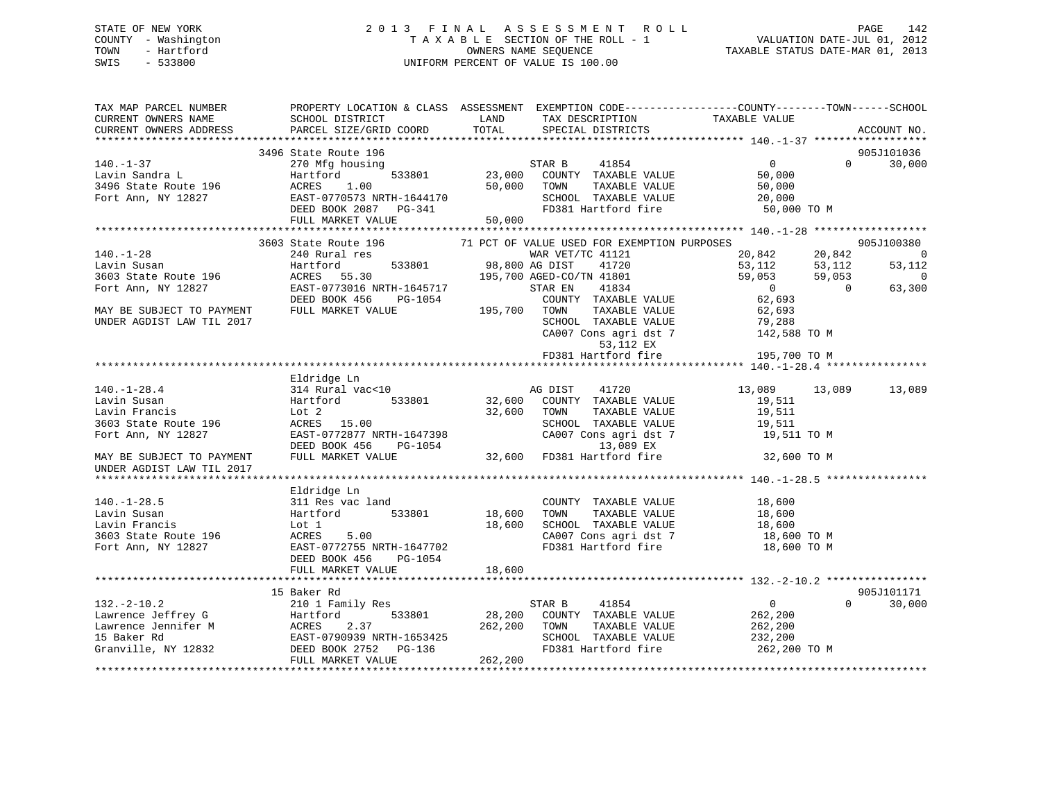# STATE OF NEW YORK 2 0 1 3 F I N A L A S S E S S M E N T R O L L PAGE 142 COUNTY - Washington T A X A B L E SECTION OF THE ROLL - 1 VALUATION DATE-JUL 01, 2012 TOWN - Hartford OWNERS NAME SEQUENCE TAXABLE STATUS DATE-MAR 01, 2013 SWIS - 533800 UNIFORM PERCENT OF VALUE IS 100.00

| TAX MAP PARCEL NUMBER<br>CURRENT OWNERS NAME<br>CURRENT OWNERS ADDRESS                                                                                                                                                                                                       | PROPERTY LOCATION & CLASS ASSESSMENT EXEMPTION CODE---------------COUNTY-------TOWN------SCHOOL<br>SCHOOL DISTRICT<br>PARCEL SIZE/GRID COORD | <b>LAND</b><br>TOTAL              | TAX DESCRIPTION<br>SPECIAL DISTRICTS                                        | TAXABLE VALUE                                | ACCOUNT NO.                                |
|------------------------------------------------------------------------------------------------------------------------------------------------------------------------------------------------------------------------------------------------------------------------------|----------------------------------------------------------------------------------------------------------------------------------------------|-----------------------------------|-----------------------------------------------------------------------------|----------------------------------------------|--------------------------------------------|
|                                                                                                                                                                                                                                                                              |                                                                                                                                              |                                   |                                                                             |                                              |                                            |
|                                                                                                                                                                                                                                                                              | 3496 State Route 196                                                                                                                         |                                   |                                                                             |                                              | 905J101036                                 |
| $140. - 1 - 37$                                                                                                                                                                                                                                                              | 270 Mfg housing                                                                                                                              |                                   | 41854<br>STAR B                                                             | $\sim$ 0                                     | $\Omega$<br>30,000                         |
| Lavin Sandra L<br>1.00 533801 23,000<br>3496 State Route 196 ACRES 1.00 50,000<br>Fort Ann, NY 12827 EAST-0770573 NRTH-1644170<br>DEED BOOK 2087 PG-341                                                                                                                      |                                                                                                                                              |                                   | 533801 23,000 COUNTY TAXABLE VALUE                                          | 50,000                                       |                                            |
|                                                                                                                                                                                                                                                                              |                                                                                                                                              |                                   | 50,000 TOWN<br>TAXABLE VALUE                                                | 50,000                                       |                                            |
|                                                                                                                                                                                                                                                                              |                                                                                                                                              |                                   | SCHOOL TAXABLE VALUE<br>FD381 Hartford fire                                 | 20,000                                       |                                            |
|                                                                                                                                                                                                                                                                              |                                                                                                                                              |                                   |                                                                             | 50,000 TO M                                  |                                            |
|                                                                                                                                                                                                                                                                              | FULL MARKET VALUE                                                                                                                            | 50,000                            |                                                                             |                                              |                                            |
|                                                                                                                                                                                                                                                                              |                                                                                                                                              |                                   |                                                                             |                                              |                                            |
|                                                                                                                                                                                                                                                                              | 3603 State Route 196                                                                                                                         |                                   | 71 PCT OF VALUE USED FOR EXEMPTION PURPOSES                                 |                                              | 905J100380                                 |
| $140. - 1 - 28$                                                                                                                                                                                                                                                              | 240 Rural res                                                                                                                                | /WAR VET<br>533801 98,800 AG DIST | WAR VET/TC 41121                                                            | 20,842<br>20,842<br>53,112                   | $\overline{0}$                             |
|                                                                                                                                                                                                                                                                              |                                                                                                                                              |                                   |                                                                             | 53,112                                       | 53,112                                     |
| Lavin Susan Martford 533801 98,800<br>3603 State Route 196 ACRES 55.30 195,700<br>Fort Ann, NY 12827 EAST-0773016 NRTH-1645717<br>DEED BOOK 456 PG-1054<br>MAY BE SUBJECT TO PAYMENT FULL MARKET VALUE 195,700                                                               |                                                                                                                                              |                                   | 98,800 AG DIST 41720<br>195,700 AGED-CO/TN 41801<br>H-1645717 STAR EN 41834 | 59,053                                       | 59,053<br>$\overline{0}$<br>$\overline{0}$ |
|                                                                                                                                                                                                                                                                              |                                                                                                                                              |                                   |                                                                             | $0$ 62,693                                   | 63,300                                     |
|                                                                                                                                                                                                                                                                              | $PG-1054$ COUNTY<br>LUE 195,700 TOWN                                                                                                         |                                   | COUNTY TAXABLE VALUE                                                        |                                              |                                            |
| UNDER AGDIST LAW TIL 2017                                                                                                                                                                                                                                                    |                                                                                                                                              |                                   | TAXABLE VALUE                                                               | 62,693                                       |                                            |
|                                                                                                                                                                                                                                                                              |                                                                                                                                              |                                   | SCHOOL TAXABLE VALUE<br>CA007 Cons agri dst 7                               | 79,288<br>142,588 TO M                       |                                            |
|                                                                                                                                                                                                                                                                              |                                                                                                                                              |                                   | 53,112 EX                                                                   |                                              |                                            |
|                                                                                                                                                                                                                                                                              |                                                                                                                                              |                                   | FD381 Hartford fire                                                         | 195,700 TO M                                 |                                            |
|                                                                                                                                                                                                                                                                              |                                                                                                                                              |                                   |                                                                             |                                              |                                            |
| And Transition of the Magnetics Case of the Magnetics Case of the Magnetics Case of the Magnetics Case of the Magnetics Case of the Magnetics Case of the Magnetics Case of the Magnetics Case of the Magnetics Case of the Ma                                               |                                                                                                                                              |                                   |                                                                             |                                              |                                            |
|                                                                                                                                                                                                                                                                              | 314 Rural vac<10                                                                                                                             |                                   | AG DIST 41720                                                               | 13,089 13,089                                | 13,089                                     |
|                                                                                                                                                                                                                                                                              | Hartford<br>533801                                                                                                                           | AC<br>32,600                      | COUNTY TAXABLE VALUE                                                        | 19,511                                       |                                            |
|                                                                                                                                                                                                                                                                              |                                                                                                                                              | 32,600                            | TAXABLE VALUE<br>TOWN                                                       | 19,511                                       |                                            |
|                                                                                                                                                                                                                                                                              |                                                                                                                                              |                                   | SCHOOL TAXABLE VALUE                                                        | 19,511                                       |                                            |
|                                                                                                                                                                                                                                                                              |                                                                                                                                              |                                   |                                                                             | 19,511 TO M                                  |                                            |
|                                                                                                                                                                                                                                                                              |                                                                                                                                              |                                   |                                                                             |                                              |                                            |
|                                                                                                                                                                                                                                                                              | EAST-0772877 NRTH-1647398<br>DEED BOOK 456 PG-1054 (CA007 Cons agri dst 7<br>FULL MARKET VALUE 32,600 FD381 Hartford fire                    |                                   |                                                                             | 32,600 TO M                                  |                                            |
|                                                                                                                                                                                                                                                                              |                                                                                                                                              |                                   |                                                                             |                                              |                                            |
|                                                                                                                                                                                                                                                                              |                                                                                                                                              |                                   |                                                                             |                                              |                                            |
|                                                                                                                                                                                                                                                                              | Eldridge Ln                                                                                                                                  |                                   |                                                                             |                                              |                                            |
| $140. - 1 - 28.5$                                                                                                                                                                                                                                                            | 311 Res vac land                                                                                                                             |                                   | COUNTY TAXABLE VALUE 18,600                                                 |                                              |                                            |
| Lavin Susan                                                                                                                                                                                                                                                                  | 533801<br>Hartford                                                                                                                           | 18,600                            | TOWN                                                                        | TAXABLE VALUE 18,600<br>TAXABLE VALUE 18,600 |                                            |
| Lavin Francis                                                                                                                                                                                                                                                                | Lot 1                                                                                                                                        | 18,600                            | SCHOOL TAXABLE VALUE                                                        |                                              |                                            |
| 3603 State Route 196<br>Fort Ann, NY 12827<br>Fort Ann, NY 12827<br>EAST-0772755 NRTH-1647702                                                                                                                                                                                |                                                                                                                                              |                                   | CA007 Cons agri dst 7<br>FD381 Hartford fire                                | 18,600 TO M                                  |                                            |
|                                                                                                                                                                                                                                                                              |                                                                                                                                              |                                   |                                                                             | 18,600 TO M                                  |                                            |
|                                                                                                                                                                                                                                                                              | DEED BOOK 456<br>PG-1054                                                                                                                     |                                   |                                                                             |                                              |                                            |
|                                                                                                                                                                                                                                                                              | FULL MARKET VALUE                                                                                                                            | 18,600                            |                                                                             |                                              |                                            |
|                                                                                                                                                                                                                                                                              |                                                                                                                                              |                                   |                                                                             |                                              | 905J101171                                 |
|                                                                                                                                                                                                                                                                              | 15 Baker Rd                                                                                                                                  |                                   |                                                                             | $\overline{0}$                               | $\Omega$                                   |
| $132. - 2 - 10.2$<br>132.-2-10.2<br>Lawrence Jeffrey G<br>Lawrence Jennifer M<br>15 Baker Rd<br>Granville, NY 12832<br>PRIS 12832<br>PRIS 1000K 2752<br>PRIS 12832<br>PRIS 1000K 2752<br>PRIS 1000K 2752<br>PRIS 1000K 2752<br>PRIS 1000K 2752<br>PRIS 100K 2752<br>PRIS 100 | 210 1 Family Res                                                                                                                             |                                   | STAR B<br>41854<br>$\overline{28,200}$ COUNTY TAXABLE VALUE 262,200         |                                              | 30,000                                     |
|                                                                                                                                                                                                                                                                              |                                                                                                                                              |                                   | TAXABLE VALUE                                                               | 262,200                                      |                                            |
|                                                                                                                                                                                                                                                                              |                                                                                                                                              |                                   | SCHOOL TAXABLE VALUE                                                        | 232,200                                      |                                            |
|                                                                                                                                                                                                                                                                              |                                                                                                                                              | 262,200 TOWN<br>SCHOC<br>FD381    | FD381 Hartford fire                                                         | 262,200 TO M                                 |                                            |
|                                                                                                                                                                                                                                                                              | FULL MARKET VALUE                                                                                                                            | 262, 200                          |                                                                             |                                              |                                            |
|                                                                                                                                                                                                                                                                              |                                                                                                                                              |                                   |                                                                             |                                              |                                            |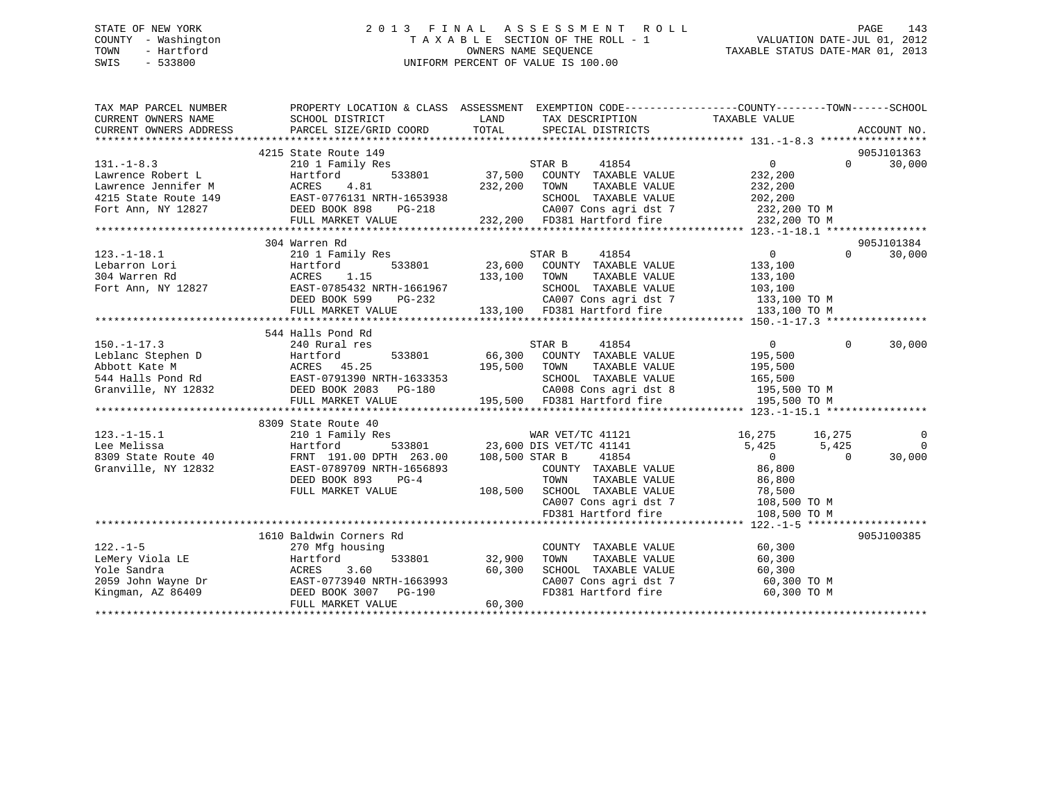# STATE OF NEW YORK 2 0 1 3 F I N A L A S S E S S M E N T R O L L PAGE 143 COUNTY - Washington T A X A B L E SECTION OF THE ROLL - 1 VALUATION DATE-JUL 01, 2012 TOWN - Hartford OWNERS NAME SEQUENCE TAXABLE STATUS DATE-MAR 01, 2013 SWIS - 533800 UNIFORM PERCENT OF VALUE IS 100.00

| TAX MAP PARCEL NUMBER<br>CURRENT OWNERS NAME<br>CURRENT OWNERS ADDRESS                                                                                                                                    | PROPERTY LOCATION & CLASS ASSESSMENT EXEMPTION CODE---------------COUNTY-------TOWN-----SCHOOL<br>SCHOOL DISTRICT<br>PARCEL SIZE/GRID COORD | LAND<br>TOTAL | TAX DESCRIPTION TAXABLE VALUE<br>SPECIAL DISTRICTS                                                             |                |          | ACCOUNT NO.    |
|-----------------------------------------------------------------------------------------------------------------------------------------------------------------------------------------------------------|---------------------------------------------------------------------------------------------------------------------------------------------|---------------|----------------------------------------------------------------------------------------------------------------|----------------|----------|----------------|
|                                                                                                                                                                                                           | 4215 State Route 149                                                                                                                        |               |                                                                                                                |                |          | 905J101363     |
| $131. -1 - 8.3$                                                                                                                                                                                           | 210 1 Family Res                                                                                                                            |               | STAR B<br>41854                                                                                                | $\Omega$       | $\Omega$ | 30,000         |
| Lawrence Robert L                                                                                                                                                                                         | Hartford<br>533801                                                                                                                          | 37,500        | COUNTY TAXABLE VALUE                                                                                           | 232,200        |          |                |
| Lawrence Jennifer M                                                                                                                                                                                       | ACRES<br>4.81                                                                                                                               | 232,200       | TOWN<br>TAXABLE VALUE                                                                                          | 232,200        |          |                |
| 4215 State Route 149                                                                                                                                                                                      | EAST-0776131 NRTH-1653938                                                                                                                   |               | SCHOOL TAXABLE VALUE                                                                                           | 202,200        |          |                |
| Fort Ann, NY 12827                                                                                                                                                                                        | DEED BOOK 898<br>PG-218                                                                                                                     |               |                                                                                                                |                |          |                |
|                                                                                                                                                                                                           | FULL MARKET VALUE                                                                                                                           |               | CA007 Cons agri dst 7 232,200 TO M<br>232,200 FD381 Hartford fire 232,200 TO M                                 |                |          |                |
|                                                                                                                                                                                                           |                                                                                                                                             |               |                                                                                                                |                |          |                |
|                                                                                                                                                                                                           | 304 Warren Rd                                                                                                                               |               |                                                                                                                |                |          | 905J101384     |
| $123. - 1 - 18.1$                                                                                                                                                                                         | 210 1 Family Res                                                                                                                            |               | STAR B<br>41854                                                                                                | $\overline{0}$ | $\Omega$ | 30,000         |
| Lebarron Lori                                                                                                                                                                                             | 533801<br>Hartford                                                                                                                          |               | 23,600 COUNTY TAXABLE VALUE                                                                                    | 133,100        |          |                |
| 304 Warren Rd                                                                                                                                                                                             | 1.15<br>ACRES                                                                                                                               | 133,100       | TOWN<br>TAXABLE VALUE                                                                                          | 133,100        |          |                |
| Fort Ann, NY 12827                                                                                                                                                                                        | EAST-0785432 NRTH-1661967                                                                                                                   |               | SCHOOL TAXABLE VALUE                                                                                           | 103, 100       |          |                |
|                                                                                                                                                                                                           |                                                                                                                                             |               |                                                                                                                |                |          |                |
|                                                                                                                                                                                                           |                                                                                                                                             |               |                                                                                                                |                |          |                |
|                                                                                                                                                                                                           |                                                                                                                                             |               |                                                                                                                |                |          |                |
|                                                                                                                                                                                                           | 544 Halls Pond Rd                                                                                                                           |               |                                                                                                                |                |          |                |
| $150. - 1 - 17.3$                                                                                                                                                                                         | 240 Rural res                                                                                                                               |               | STAR B<br>41854                                                                                                | $\overline{0}$ | $\Omega$ | 30,000         |
|                                                                                                                                                                                                           |                                                                                                                                             | 533801 66,300 | COUNTY TAXABLE VALUE                                                                                           | 195,500        |          |                |
|                                                                                                                                                                                                           |                                                                                                                                             | 195,500       | TOWN<br>TAXABLE VALUE                                                                                          | 195,500        |          |                |
|                                                                                                                                                                                                           |                                                                                                                                             |               | SCHOOL TAXABLE VALUE                                                                                           | 165,500        |          |                |
| Granville, NY 12832 DEED BOOK 2083 PG-180                                                                                                                                                                 |                                                                                                                                             |               |                                                                                                                |                |          |                |
|                                                                                                                                                                                                           | FULL MARKET VALUE                                                                                                                           |               | SCHOOL TAXABLE VALUE 165,500<br>CAOO8 Cons agri dst 8 195,500 TO M<br>195,500 FD381 Hartford fire 195,500 TO M |                |          |                |
|                                                                                                                                                                                                           |                                                                                                                                             |               |                                                                                                                |                |          |                |
|                                                                                                                                                                                                           | 8309 State Route 40                                                                                                                         |               |                                                                                                                |                |          |                |
| $123. - 1 - 15.1$                                                                                                                                                                                         | 210 1 Family Res                                                                                                                            |               | WAR VET/TC 41121                                                                                               | 16,275 16,275  |          | $\overline{0}$ |
| Lee Melissa                                                                                                                                                                                               | Hartford                                                                                                                                    |               | 533801 23,600 DIS VET/TC 41141                                                                                 | 5,425          | 5,425    | $\Omega$       |
| 8309 State Route 40                                                                                                                                                                                       | FRNT 191.00 DPTH 263.00 108,500 STAR B                                                                                                      |               | 41854                                                                                                          | $\overline{0}$ | $\Omega$ | 30,000         |
| Granville, NY 12832                                                                                                                                                                                       | EAST-0789709 NRTH-1656893                                                                                                                   |               | COUNTY TAXABLE VALUE                                                                                           | 86,800         |          |                |
|                                                                                                                                                                                                           | DEED BOOK 893<br>$PG-4$                                                                                                                     |               | TAXABLE VALUE<br>TOWN                                                                                          | 86,800         |          |                |
|                                                                                                                                                                                                           | FULL MARKET VALUE                                                                                                                           |               | 108,500 SCHOOL TAXABLE VALUE                                                                                   | 78,500         |          |                |
|                                                                                                                                                                                                           |                                                                                                                                             |               | CA007 Cons agri dst 7                                                                                          | 108,500 TO M   |          |                |
|                                                                                                                                                                                                           |                                                                                                                                             |               | FD381 Hartford fire                                                                                            | 108,500 TO M   |          |                |
|                                                                                                                                                                                                           |                                                                                                                                             |               |                                                                                                                |                |          |                |
|                                                                                                                                                                                                           | 1610 Baldwin Corners Rd                                                                                                                     |               |                                                                                                                |                |          | 905J100385     |
| $122. - 1 - 5$                                                                                                                                                                                            | 270 Mfg housing                                                                                                                             |               | COUNTY TAXABLE VALUE                                                                                           | 60,300         |          |                |
|                                                                                                                                                                                                           |                                                                                                                                             | 533801 32,900 | TAXABLE VALUE<br>TOWN                                                                                          | 60,300         |          |                |
|                                                                                                                                                                                                           |                                                                                                                                             | 60,300        | SCHOOL TAXABLE VALUE                                                                                           | 60,300         |          |                |
|                                                                                                                                                                                                           |                                                                                                                                             |               | CA007 Cons agri dst 7<br>The 1 Hartford fire                                                                   | 60,300 TO M    |          |                |
| LeMery Viola LE<br>LeMery Viola LE<br>Yole Sandra<br>2059 John Wayne Dr<br>2059 John Wayne Dr<br>2059 John Wayne Dr<br>2059 John Wayne Dr<br>2068 BAST-0773940 NRTH-1663993<br>2068 DEED BOOK 3007 PG-190 |                                                                                                                                             |               | FD381 Hartford fire                                                                                            | 60,300 TO M    |          |                |
|                                                                                                                                                                                                           | FULL MARKET VALUE                                                                                                                           | 60,300        |                                                                                                                |                |          |                |
|                                                                                                                                                                                                           |                                                                                                                                             |               |                                                                                                                |                |          |                |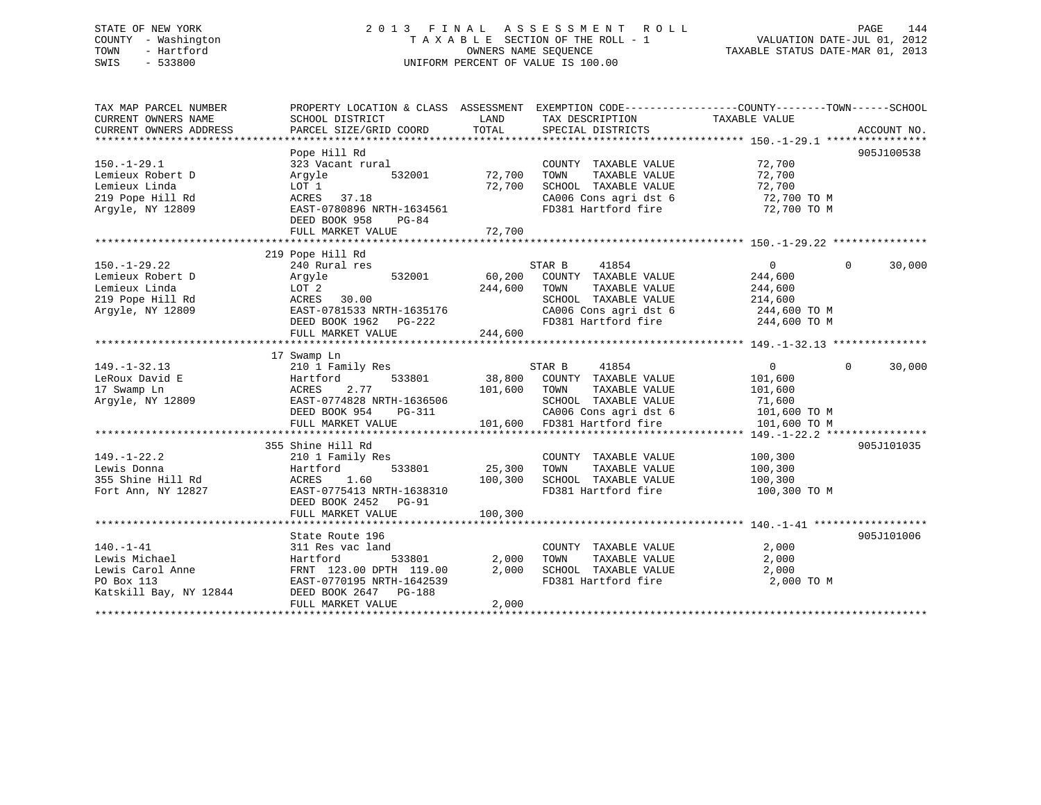# STATE OF NEW YORK 2 0 1 3 F I N A L A S S E S S M E N T R O L L PAGE 144 COUNTY - Washington T A X A B L E SECTION OF THE ROLL - 1 VALUATION DATE-JUL 01, 2012 TOWN - Hartford OWNERS NAME SEQUENCE TAXABLE STATUS DATE-MAR 01, 2013 SWIS - 533800 UNIFORM PERCENT OF VALUE IS 100.00

| TAX MAP PARCEL NUMBER<br>CURRENT OWNERS NAME<br>CURRENT OWNERS ADDRESS                          | PROPERTY LOCATION & CLASS ASSESSMENT EXEMPTION CODE----------------COUNTY-------TOWN-----SCHOOL<br>SCHOOL DISTRICT<br>PARCEL SIZE/GRID COORD                    | LAND<br>TOTAL                | TAX DESCRIPTION<br>SPECIAL DISTRICTS                                                                                                             | TAXABLE VALUE                                                                   |          | ACCOUNT NO. |
|-------------------------------------------------------------------------------------------------|-----------------------------------------------------------------------------------------------------------------------------------------------------------------|------------------------------|--------------------------------------------------------------------------------------------------------------------------------------------------|---------------------------------------------------------------------------------|----------|-------------|
| $150. - 1 - 29.1$<br>Lemieux Robert D<br>Lemieux Linda<br>219 Pope Hill Rd<br>Argyle, NY 12809  | Pope Hill Rd<br>323 Vacant rural<br>Arqyle<br>532001<br>LOT 1<br>37.18<br>ACRES<br>EAST-0780896 NRTH-1634561<br>DEED BOOK 958<br>PG-84                          | 72,700<br>72,700             | COUNTY TAXABLE VALUE<br>TOWN<br>TAXABLE VALUE<br>SCHOOL TAXABLE VALUE<br>CA006 Cons agri dst 6<br>FD381 Hartford fire                            | 72,700<br>72,700<br>72,700<br>72,700 TO M<br>72,700 TO M                        |          | 905J100538  |
|                                                                                                 | FULL MARKET VALUE                                                                                                                                               | 72,700                       |                                                                                                                                                  |                                                                                 |          |             |
| $150. - 1 - 29.22$<br>Lemieux Robert D<br>Lemieux Linda<br>219 Pope Hill Rd<br>Argyle, NY 12809 | 219 Pope Hill Rd<br>240 Rural res<br>532001<br>Argyle<br>LOT 2<br>ACRES 30.00<br>EAST-0781533 NRTH-1635176<br>DEED BOOK 1962 PG-222<br>FULL MARKET VALUE        | 60,200<br>244,600<br>244,600 | STAR B<br>41854<br>COUNTY TAXABLE VALUE<br>TOWN<br>TAXABLE VALUE<br>SCHOOL TAXABLE VALUE<br>CA006 Cons agri dst 6<br>FD381 Hartford fire         | $\overline{0}$<br>244,600<br>244,600<br>214,600<br>244,600 TO M<br>244,600 TO M | $\Omega$ | 30,000      |
| $149. - 1 - 32.13$<br>LeRoux David E<br>17 Swamp Ln<br>Arqyle, NY 12809                         | 17 Swamp Ln<br>210 1 Family Res<br>533801<br>Hartford<br>2.77<br>ACRES<br>EAST-0774828 NRTH-1636506<br>DEED BOOK 954<br>PG-311<br>FULL MARKET VALUE             | 38,800<br>101,600            | STAR B<br>41854<br>COUNTY TAXABLE VALUE<br>TOWN<br>TAXABLE VALUE<br>SCHOOL TAXABLE VALUE<br>CA006 Cons agri dst 6<br>101,600 FD381 Hartford fire | $\overline{0}$<br>101,600<br>101,600<br>71,600<br>101,600 TO M<br>101,600 TO M  | $\Omega$ | 30,000      |
| $149. - 1 - 22.2$<br>Lewis Donna<br>355 Shine Hill Rd<br>Fort Ann, NY 12827                     | 355 Shine Hill Rd<br>210 1 Family Res<br>533801<br>Hartford<br>1.60<br>ACRES<br>EAST-0775413 NRTH-1638310<br>DEED BOOK 2452 PG-91<br>FULL MARKET VALUE          | 25,300<br>100,300<br>100,300 | COUNTY TAXABLE VALUE<br>TOWN<br>TAXABLE VALUE<br>SCHOOL TAXABLE VALUE<br>FD381 Hartford fire                                                     | 100,300<br>100,300<br>100,300<br>100,300 TO M                                   |          | 905J101035  |
| $140. - 1 - 41$<br>Lewis Michael<br>Lewis Carol Anne<br>PO Box 113<br>Katskill Bay, NY 12844    | State Route 196<br>311 Res vac land<br>533801<br>Hartford<br>FRNT 123.00 DPTH 119.00<br>EAST-0770195 NRTH-1642539<br>DEED BOOK 2647 PG-188<br>FULL MARKET VALUE | 2,000<br>2,000<br>2,000      | COUNTY TAXABLE VALUE<br>TAXABLE VALUE<br>TOWN<br>SCHOOL TAXABLE VALUE<br>FD381 Hartford fire                                                     | 2,000<br>2,000<br>2,000<br>2,000 TO M                                           |          | 905J101006  |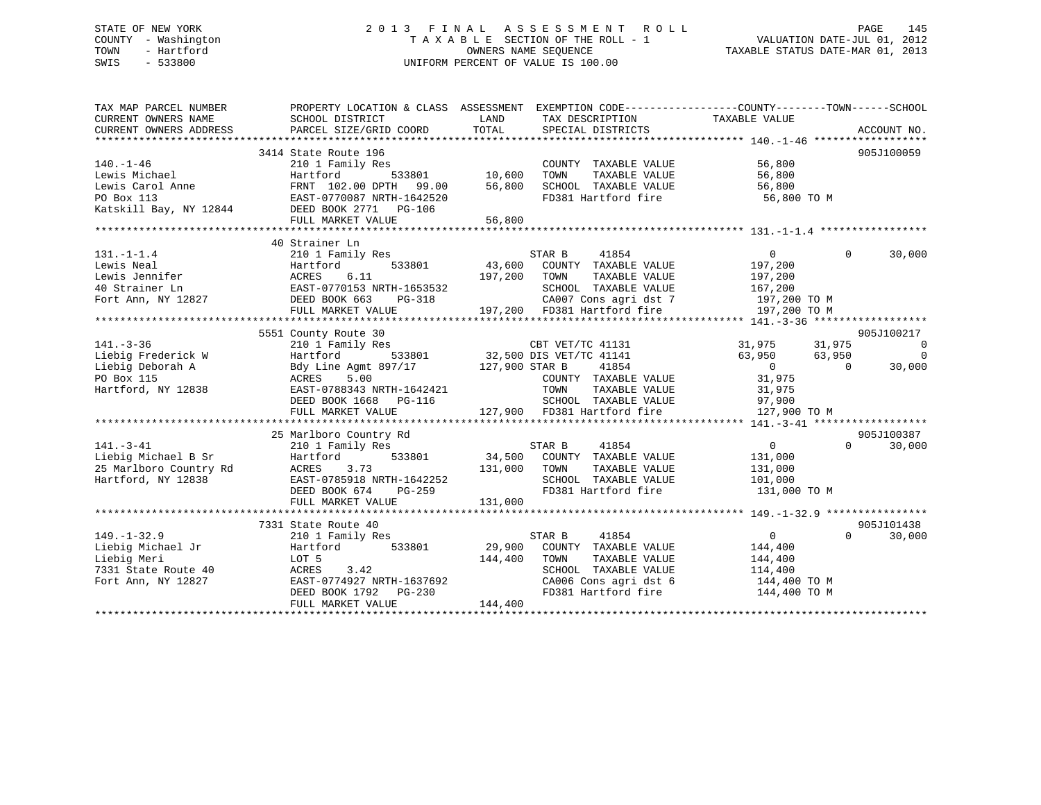## STATE OF NEW YORK 2 0 1 3 F I N A L A S S E S S M E N T R O L L PAGE 145 COUNTY - Washington T A X A B L E SECTION OF THE ROLL - 1 VALUATION DATE-JUL 01, 2012 TOWN - Hartford OWNERS NAME SEQUENCE TAXABLE STATUS DATE-MAR 01, 2013 SWIS - 533800 UNIFORM PERCENT OF VALUE IS 100.00

| TAX MAP PARCEL NUMBER        | PROPERTY LOCATION & CLASS ASSESSMENT EXEMPTION CODE----------------COUNTY-------TOWN-----SCHOOL                                                               |              |                                                                       |                         |                |                          |
|------------------------------|---------------------------------------------------------------------------------------------------------------------------------------------------------------|--------------|-----------------------------------------------------------------------|-------------------------|----------------|--------------------------|
| CURRENT OWNERS NAME          | SCHOOL DISTRICT                                                                                                                                               | LAND         | TAX DESCRIPTION                                                       | TAXABLE VALUE           |                |                          |
| CURRENT OWNERS ADDRESS       | PARCEL SIZE/GRID COORD                                                                                                                                        | TOTAL        | SPECIAL DISTRICTS                                                     |                         |                | ACCOUNT NO.              |
|                              |                                                                                                                                                               |              |                                                                       |                         |                |                          |
|                              | 3414 State Route 196                                                                                                                                          |              |                                                                       |                         |                | 905J100059               |
| $140. - 1 - 46$              | 210 1 Family Res                                                                                                                                              |              | COUNTY TAXABLE VALUE                                                  | 56,800                  |                |                          |
| Lewis Michael                | ily Res<br>533801 10,600<br>Hartford                                                                                                                          |              | TAXABLE VALUE<br>TOWN                                                 | 56,800                  |                |                          |
|                              |                                                                                                                                                               |              | SCHOOL TAXABLE VALUE                                                  | 56,800                  |                |                          |
|                              |                                                                                                                                                               |              | FD381 Hartford fire                                                   | 56,800 TO M             |                |                          |
|                              | Lewis Carol Anne<br>Elewis Carol Anne<br>PO Box 113<br>RAST-0770087 NRTH-1642520<br>Ratskill Bay, NY 12844<br>DEED BOOK 2771 PG-106                           |              |                                                                       |                         |                |                          |
|                              | FULL MARKET VALUE                                                                                                                                             | 56,800       |                                                                       |                         |                |                          |
|                              |                                                                                                                                                               |              |                                                                       |                         |                |                          |
|                              | 40 Strainer Ln                                                                                                                                                |              |                                                                       |                         |                |                          |
| $131. - 1 - 1.4$             | 210 1 Family Res                                                                                                                                              |              | STAR B<br>41854                                                       | $\overline{0}$          | $\Omega$       | 30,000                   |
|                              |                                                                                                                                                               |              | 43,600 COUNTY TAXABLE VALUE                                           | 197,200                 |                |                          |
|                              | Lewis Neal Martford 533801 43,600<br>Lewis Jennifer ACRES 6.11 197,200<br>40 Strainer Ln EAST-0770153 NRTH-1653532<br>Fort Ann, NY 12827 DEED BOOK 663 PG-318 | 197,200 TOWN | TAXABLE VALUE                                                         | 197,200                 |                |                          |
|                              |                                                                                                                                                               |              | SCHOOL TAXABLE VALUE                                                  | 167,200<br>197,200 TO M |                |                          |
|                              |                                                                                                                                                               |              | CA007 Cons agri dst 7                                                 |                         |                |                          |
|                              | FULL MARKET VALUE                                                                                                                                             |              | 197,200 FD381 Hartford fire 197,200 TO M                              |                         |                |                          |
|                              |                                                                                                                                                               |              |                                                                       |                         |                |                          |
|                              | 5551 County Route 30                                                                                                                                          |              |                                                                       |                         |                | 905J100217               |
| $141. - 3 - 36$              | 210 1 Family Res                                                                                                                                              |              | CBT VET/TC 41131                                                      | 31,975 31,975           |                | $\overline{\phantom{0}}$ |
| Liebig Frederick W           |                                                                                                                                                               |              |                                                                       | 63,950                  | 63,950         | $\overline{0}$           |
| Liebig Deborah A             | Hartford 533801 32,500 DIS VET/TC 41141<br>Bdy Line Agmt 897/17 127,900 STAR B 41854<br>ACRES 5.00 COUNTY TAXABLE VALUE                                       |              |                                                                       | $\overline{0}$          | $\overline{0}$ | 30,000                   |
| PO Box 115                   | $\frac{5.50}{2.50}$ EAST-0788343 NRTH-1642421                                                                                                                 |              | COUNTY TAXABLE VALUE                                                  | 31,975                  |                |                          |
| Hartford, NY 12838           |                                                                                                                                                               |              | TOWN<br>TAXABLE VALUE                                                 | 31,975                  |                |                          |
|                              | DEED BOOK 1668 PG-116                                                                                                                                         |              |                                                                       | 97,900                  |                |                          |
|                              | FULL MARKET VALUE                                                                                                                                             |              | -116<br>SCHOOL TAXABLE VALUE<br>127,900 FD381 Hartford fire           | 127,900 TO M            |                |                          |
|                              |                                                                                                                                                               |              |                                                                       |                         |                |                          |
|                              | 25 Marlboro Country Rd                                                                                                                                        |              |                                                                       |                         |                | 905J100387               |
| $141. - 3 - 41$              | 210 1 Family Res                                                                                                                                              |              | STAR B<br>41854<br>STAR B 41854<br>34,500 COUNTY TAXABLE VALUE        | $\overline{0}$          | $\Omega$       | 30,000                   |
| Liebig Michael B Sr          | Hartford<br>533801                                                                                                                                            |              |                                                                       | 131,000                 |                |                          |
| 25 Marlboro Country Rd ACRES | 3.73                                                                                                                                                          | 131,000 TOWN | TAXABLE VALUE                                                         | 131,000                 |                |                          |
| Hartford, NY 12838           | EAST-0785918 NRTH-1642252<br>DEED BOOK 674 PG-259                                                                                                             |              | SCHOOL TAXABLE VALUE                                                  | 101,000                 |                |                          |
|                              |                                                                                                                                                               |              | FD381 Hartford fire                                                   | 131,000 TO M            |                |                          |
|                              | FULL MARKET VALUE                                                                                                                                             | 131,000      |                                                                       |                         |                |                          |
|                              |                                                                                                                                                               |              |                                                                       |                         |                |                          |
|                              | 7331 State Route 40                                                                                                                                           |              |                                                                       |                         |                | 905J101438               |
| $149. - 1 - 32.9$            | 210 1 Family Res                                                                                                                                              |              | 41854<br>STAR B                                                       | $\overline{0}$          | $\Omega$       | 30,000                   |
| Liebig Michael Jr            | Hartford<br>533801                                                                                                                                            |              | 29,900 COUNTY TAXABLE VALUE                                           | 144,400                 |                |                          |
| Liebig Meri                  | LOT 5                                                                                                                                                         | 144,400      | TOWN<br>TAXABLE VALUE                                                 | 144,400                 |                |                          |
| 7331 State Route 40          | ACRES<br>3.42                                                                                                                                                 |              | SCHOOL TAXABLE VALUE<br>SCHOOL TAXABLE VALUE<br>CA006 Cons agri dst 6 | 114,400                 |                |                          |
| Fort Ann, NY 12827           | EAST-0774927 NRTH-1637692                                                                                                                                     |              |                                                                       | 144,400 TO M            |                |                          |
|                              | DEED BOOK 1792    PG-230                                                                                                                                      |              | FD381 Hartford fire                                                   | 144,400 TO M            |                |                          |
|                              | FULL MARKET VALUE                                                                                                                                             | 144,400      |                                                                       |                         |                |                          |
|                              |                                                                                                                                                               |              |                                                                       |                         |                |                          |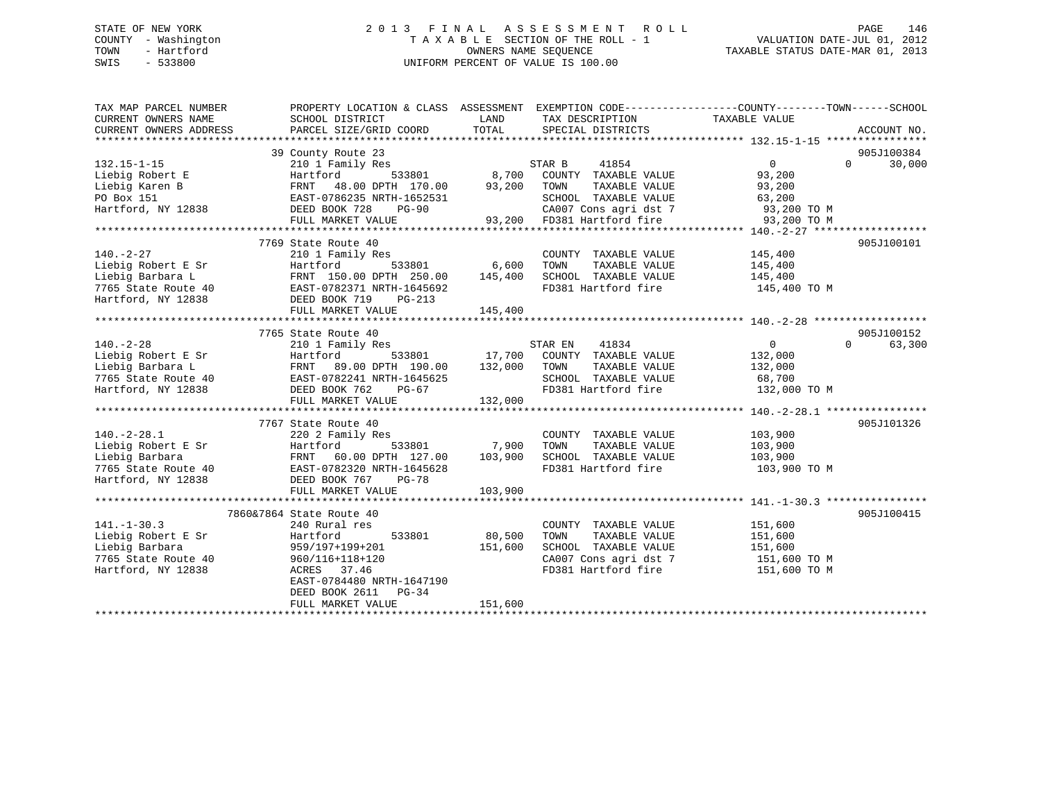## STATE OF NEW YORK 2 0 1 3 F I N A L A S S E S S M E N T R O L L PAGE 146 COUNTY - Washington T A X A B L E SECTION OF THE ROLL - 1 VALUATION DATE-JUL 01, 2012 TOWN - Hartford **TAXABLE STATUS DATE-MAR 01, 2013** OWNERS NAME SEQUENCE TAXABLE STATUS DATE-MAR 01, 2013 SWIS - 533800 UNIFORM PERCENT OF VALUE IS 100.00

| TAX MAP PARCEL NUMBER                                                                    | PROPERTY LOCATION & CLASS ASSESSMENT EXEMPTION CODE----------------COUNTY-------TOWN------SCHOOL           |         |                            |                               |             |
|------------------------------------------------------------------------------------------|------------------------------------------------------------------------------------------------------------|---------|----------------------------|-------------------------------|-------------|
| CURRENT OWNERS NAME                                                                      | SCHOOL DISTRICT                                                                                            | LAND    | TAX DESCRIPTION            | TAXABLE VALUE                 |             |
| CURRENT OWNERS ADDRESS                                                                   | PARCEL SIZE/GRID COORD                                                                                     | TOTAL   | SPECIAL DISTRICTS          |                               | ACCOUNT NO. |
|                                                                                          |                                                                                                            |         |                            |                               |             |
|                                                                                          | 39 County Route 23                                                                                         |         |                            |                               | 905J100384  |
| $132.15 - 1 - 15$                                                                        | 210 1 Family Res                                                                                           |         | STAR B<br>41854            | $0 \qquad \qquad$<br>$\Omega$ | 30,000      |
| Liebig Robert E                                                                          | 533801<br>Hartford                                                                                         | 8,700   | COUNTY TAXABLE VALUE       | 93,200                        |             |
| Liebig Karen B                                                                           | 48.00 DPTH 170.00 93,200<br>FRNT                                                                           |         | TOWN<br>TAXABLE VALUE      | 93,200                        |             |
| PO Box 151                                                                               | EAST-0786235 NRTH-1652531                                                                                  |         | SCHOOL TAXABLE VALUE       | 63,200                        |             |
| Hartford, NY 12838                                                                       | DEED BOOK 728<br>PG-90                                                                                     |         | CA007 Cons agri dst 7      | 93,200 TO M                   |             |
|                                                                                          | FULL MARKET VALUE                                                                                          |         | 93,200 FD381 Hartford fire | 93,200 TO M                   |             |
|                                                                                          |                                                                                                            |         |                            |                               |             |
|                                                                                          | 7769 State Route 40                                                                                        |         |                            |                               | 905J100101  |
| $140. -2 - 27$                                                                           | 210 1 Family Res                                                                                           |         | COUNTY TAXABLE VALUE       | 145,400                       |             |
| Liebig Robert E Sr                                                                       | Hartford<br>533801                                                                                         | 6,600   | TOWN<br>TAXABLE VALUE      | 145,400                       |             |
| Liebig Barbara L                                                                         | FRNT 150.00 DPTH 250.00                                                                                    | 145,400 | SCHOOL TAXABLE VALUE       | 145,400                       |             |
| 7765 State Route 40 EAST-0782371 NRTH-1645692<br>Hartford, NY 12838 DEED BOOK 719 PG-213 |                                                                                                            |         | FD381 Hartford fire        | 145,400 TO M                  |             |
| Hartford, NY 12838                                                                       | DEED BOOK 719<br>$PG-213$                                                                                  |         |                            |                               |             |
|                                                                                          | FULL MARKET VALUE                                                                                          | 145,400 |                            |                               |             |
|                                                                                          |                                                                                                            |         |                            |                               |             |
|                                                                                          | 7765 State Route 40                                                                                        |         |                            |                               | 905J100152  |
| $140. - 2 - 28$                                                                          | 210 1 Family Res                                                                                           |         | STAR EN<br>41834           | $\overline{0}$<br>$\Omega$    | 63,300      |
| Liebig Robert E Sr                                                                       | Hartford<br>533801                                                                                         | 17,700  | COUNTY TAXABLE VALUE       | 132,000                       |             |
| Liebig Barbara L                                                                         | 89.00 DPTH 190.00                                                                                          | 132,000 | TAXABLE VALUE<br>TOWN      | 132,000                       |             |
| 7765 State Route 40                                                                      | EAST-0782241 NRTH-1645625                                                                                  |         | SCHOOL TAXABLE VALUE       | 68,700                        |             |
| Hartford, NY 12838                                                                       | PG-67                                                                                                      |         | FD381 Hartford fire        | 132,000 TO M                  |             |
|                                                                                          | FRNT<br>EAST-0782241 NR<br>DEED BOOK 762<br>ETILL MARKET V<br>FULL MARKET VALUE                            | 132,000 |                            |                               |             |
|                                                                                          |                                                                                                            |         |                            |                               |             |
|                                                                                          | 7767 State Route 40                                                                                        |         |                            |                               | 905J101326  |
| $140. -2 - 28.1$                                                                         | 220 2 Family Res                                                                                           |         | COUNTY TAXABLE VALUE       | 103,900                       |             |
| Liebig Robert E Sr                                                                       | 533801                                                                                                     | 7,900   | TOWN<br>TAXABLE VALUE      | 103,900                       |             |
| Liebig Barbara                                                                           | FRNT 60.00 DPTH 127.00                                                                                     | 103,900 | SCHOOL TAXABLE VALUE       | 103,900                       |             |
| 7765 State Route 40                                                                      | Hartlor<br>FRNT 60.00 DP<br>EAST-0782320 NR<br>DEED BOOK 767<br>PULL MARKET V<br>EAST-0782320 NRTH-1645628 |         | FD381 Hartford fire        | 103,900 ТО М                  |             |
| Hartford, NY 12838                                                                       | PG-78                                                                                                      |         |                            |                               |             |
|                                                                                          | FULL MARKET VALUE                                                                                          | 103,900 |                            |                               |             |
|                                                                                          |                                                                                                            |         |                            |                               |             |
|                                                                                          | 7860&7864 State Route 40                                                                                   |         |                            |                               | 905J100415  |
| $141. - 1 - 30.3$                                                                        | 240 Rural res                                                                                              |         | COUNTY TAXABLE VALUE       | 151,600                       |             |
| Liebig Robert E Sr                                                                       | Hartford<br>533801                                                                                         | 80,500  | TAXABLE VALUE<br>TOWN      | 151,600                       |             |
| Liebig Barbara                                                                           | 959/197+199+201                                                                                            | 151,600 | SCHOOL TAXABLE VALUE       | 151,600                       |             |
| 7765 State Route 40                                                                      | 960/116+118+120                                                                                            |         | CA007 Cons agri dst 7      | 151,600 TO M                  |             |
| Hartford, NY 12838                                                                       | ACRES 37.46<br>EAST-0784480 NRTH-1647190                                                                   |         | FD381 Hartford fire        | 151,600 TO M                  |             |
|                                                                                          |                                                                                                            |         |                            |                               |             |
|                                                                                          | DEED BOOK 2611 PG-34                                                                                       | 151,600 |                            |                               |             |
|                                                                                          | FULL MARKET VALUE                                                                                          |         |                            |                               |             |
|                                                                                          |                                                                                                            |         |                            |                               |             |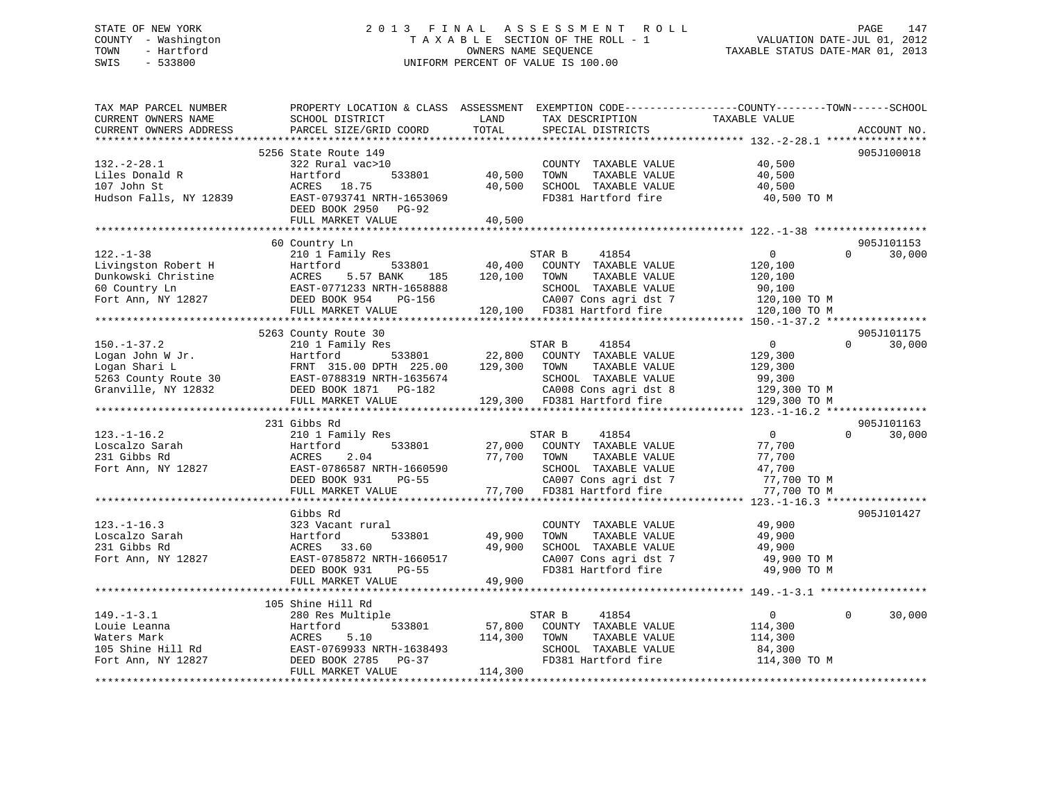## STATE OF NEW YORK 2 0 1 3 F I N A L A S S E S S M E N T R O L L PAGE 147 COUNTY - Washington T A X A B L E SECTION OF THE ROLL - 1 VALUATION DATE-JUL 01, 2012 TOWN - Hartford OWNERS NAME SEQUENCE TAXABLE STATUS DATE-MAR 01, 2013 SWIS - 533800 UNIFORM PERCENT OF VALUE IS 100.00

| TAX MAP PARCEL NUMBER<br>CURRENT OWNERS NAME<br>CURRENT OWNERS ADDRESS            | PROPERTY LOCATION & CLASS ASSESSMENT<br>SCHOOL DISTRICT<br>PARCEL SIZE/GRID COORD                              | LAND<br>TOTAL     | TAX DESCRIPTION<br>SPECIAL DISTRICTS                                                           | EXEMPTION CODE-----------------COUNTY-------TOWN------SCHOOL<br>TAXABLE VALUE | ACCOUNT NO. |
|-----------------------------------------------------------------------------------|----------------------------------------------------------------------------------------------------------------|-------------------|------------------------------------------------------------------------------------------------|-------------------------------------------------------------------------------|-------------|
| **********************                                                            | ***************************<br>5256 State Route 149                                                            |                   |                                                                                                |                                                                               | 905J100018  |
| $132 - 2 - 28.1$<br>Liles Donald R<br>107 John St<br>Hudson Falls, NY 12839       | 322 Rural vac>10<br>Hartford<br>533801<br>ACRES 18.75<br>EAST-0793741 NRTH-1653069                             | 40,500<br>40,500  | COUNTY TAXABLE VALUE<br>TOWN<br>TAXABLE VALUE<br>SCHOOL TAXABLE VALUE<br>FD381 Hartford fire   | 40,500<br>40,500<br>40,500<br>40,500 TO M                                     |             |
|                                                                                   | DEED BOOK 2950<br><b>PG-92</b><br>FULL MARKET VALUE                                                            | 40,500            |                                                                                                |                                                                               |             |
|                                                                                   | 60 Country Ln                                                                                                  |                   |                                                                                                |                                                                               | 905J101153  |
| $122. - 1 - 38$                                                                   | 210 1 Family Res                                                                                               |                   | STAR B<br>41854                                                                                | $\mathbf{0}$<br>$\Omega$                                                      | 30,000      |
| Livingston Robert H<br>Dunkowski Christine<br>60 Country Ln<br>Fort Ann, NY 12827 | Hartford<br>533801<br>5.57 BANK<br>ACRES<br>185<br>EAST-0771233 NRTH-1658888<br>DEED BOOK 954<br><b>PG-156</b> | 40,400<br>120,100 | COUNTY TAXABLE VALUE<br>TOWN<br>TAXABLE VALUE<br>SCHOOL TAXABLE VALUE<br>CA007 Cons agri dst 7 | 120,100<br>120,100<br>90,100<br>120,100 TO M                                  |             |
|                                                                                   | FULL MARKET VALUE                                                                                              | 120,100           | FD381 Hartford fire                                                                            | 120,100 TO M                                                                  |             |
|                                                                                   |                                                                                                                |                   |                                                                                                | **************** 150.-1-37.2 *****************                                |             |
|                                                                                   | 5263 County Route 30                                                                                           |                   |                                                                                                |                                                                               | 905J101175  |
| $150. - 1 - 37.2$                                                                 | 210 1 Family Res                                                                                               |                   | STAR B<br>41854                                                                                | $\mathbf{0}$<br>$\Omega$                                                      | 30,000      |
| Logan John W Jr.                                                                  | 533801<br>Hartford                                                                                             | 22,800            | COUNTY TAXABLE VALUE                                                                           | 129,300                                                                       |             |
| Logan Shari L                                                                     | FRNT 315.00 DPTH 225.00                                                                                        | 129,300           | TOWN<br>TAXABLE VALUE                                                                          | 129,300                                                                       |             |
| 5263 County Route 30                                                              | EAST-0788319 NRTH-1635674                                                                                      |                   | SCHOOL TAXABLE VALUE                                                                           | 99,300                                                                        |             |
| Granville, NY 12832                                                               | DEED BOOK 1871 PG-182                                                                                          |                   | CA008 Cons agri dst 8                                                                          | 129,300 TO M                                                                  |             |
|                                                                                   | FULL MARKET VALUE                                                                                              |                   | 129,300 FD381 Hartford fire                                                                    | 129,300 TO M                                                                  |             |
|                                                                                   | 231 Gibbs Rd                                                                                                   |                   |                                                                                                |                                                                               | 905J101163  |
| $123. - 1 - 16.2$                                                                 | 210 1 Family Res                                                                                               |                   | STAR B<br>41854                                                                                | $\overline{0}$<br>$\Omega$                                                    | 30,000      |
| Loscalzo Sarah                                                                    | 533801<br>Hartford                                                                                             | 27,000            | COUNTY TAXABLE VALUE                                                                           | 77,700                                                                        |             |
| 231 Gibbs Rd                                                                      | ACRES<br>2.04                                                                                                  | 77,700            | TOWN<br>TAXABLE VALUE                                                                          | 77,700                                                                        |             |
| Fort Ann, NY 12827                                                                | EAST-0786587 NRTH-1660590                                                                                      |                   | SCHOOL TAXABLE VALUE                                                                           | 47,700                                                                        |             |
|                                                                                   | DEED BOOK 931<br>$PG-55$                                                                                       |                   | CA007 Cons agri dst 7                                                                          | 77,700 TO M                                                                   |             |
|                                                                                   | FULL MARKET VALUE                                                                                              | 77,700            | FD381 Hartford fire                                                                            | 77,700 TO M                                                                   |             |
|                                                                                   |                                                                                                                |                   |                                                                                                |                                                                               |             |
|                                                                                   | Gibbs Rd                                                                                                       |                   |                                                                                                |                                                                               | 905J101427  |
| $123. - 1 - 16.3$                                                                 | 323 Vacant rural                                                                                               |                   | COUNTY TAXABLE VALUE                                                                           | 49,900                                                                        |             |
| Loscalzo Sarah                                                                    | Hartford<br>533801                                                                                             | 49,900            | TOWN<br>TAXABLE VALUE                                                                          | 49,900                                                                        |             |
| 231 Gibbs Rd                                                                      | 33.60<br>ACRES                                                                                                 | 49,900            | SCHOOL TAXABLE VALUE                                                                           | 49,900                                                                        |             |
| Fort Ann, NY 12827                                                                | EAST-0785872 NRTH-1660517                                                                                      |                   | CA007 Cons agri dst 7                                                                          | 49,900 TO M                                                                   |             |
|                                                                                   | DEED BOOK 931<br><b>PG-55</b><br>FULL MARKET VALUE                                                             | 49,900            | FD381 Hartford fire                                                                            | 49,900 TO M                                                                   |             |
|                                                                                   |                                                                                                                |                   |                                                                                                |                                                                               |             |
|                                                                                   | 105 Shine Hill Rd                                                                                              |                   |                                                                                                |                                                                               |             |
| $149. - 1 - 3.1$                                                                  | 280 Res Multiple                                                                                               |                   | 41854<br>STAR B                                                                                | $\mathbf{0}$<br>$\Omega$                                                      | 30,000      |
| Louie Leanna                                                                      | Hartford<br>533801                                                                                             | 57,800            | COUNTY TAXABLE VALUE                                                                           | 114,300                                                                       |             |
| Waters Mark                                                                       | ACRES<br>5.10                                                                                                  | 114,300           | TOWN<br>TAXABLE VALUE                                                                          | 114,300                                                                       |             |
| 105 Shine Hill Rd                                                                 | EAST-0769933 NRTH-1638493                                                                                      |                   | SCHOOL TAXABLE VALUE                                                                           | 84,300                                                                        |             |
| Fort Ann, NY 12827                                                                | DEED BOOK 2785<br>PG-37                                                                                        |                   | FD381 Hartford fire                                                                            | 114,300 TO M                                                                  |             |
|                                                                                   | FULL MARKET VALUE                                                                                              | 114,300           |                                                                                                |                                                                               |             |
|                                                                                   |                                                                                                                |                   |                                                                                                |                                                                               |             |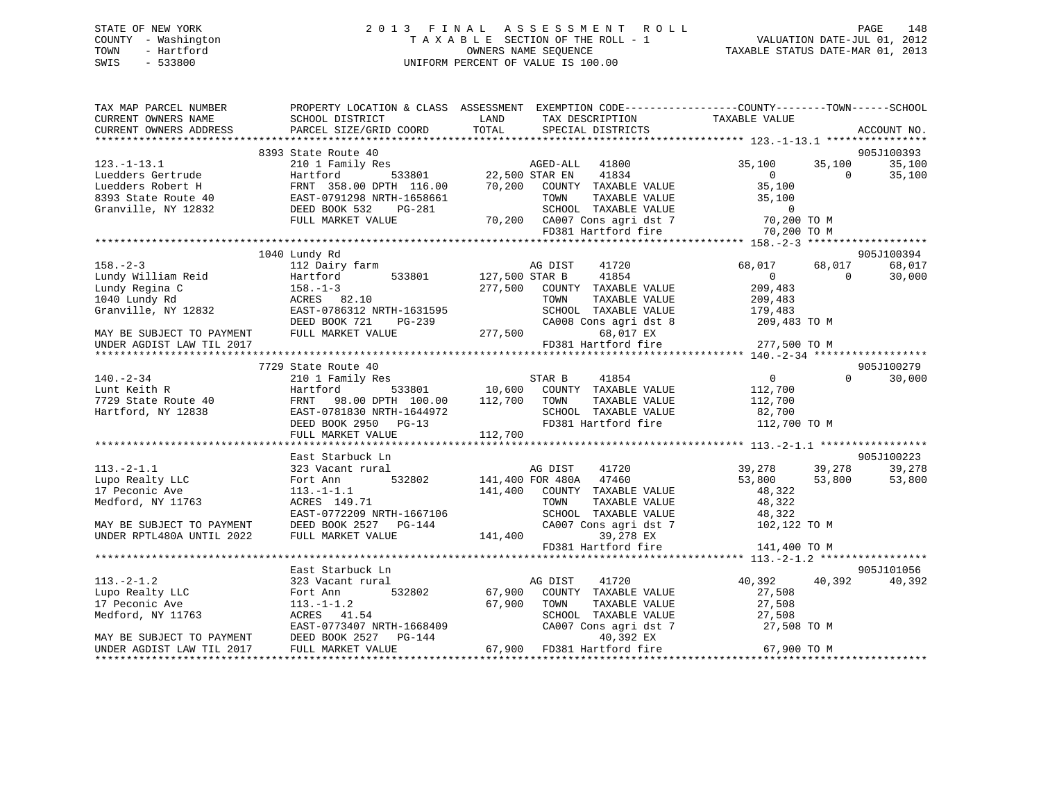## STATE OF NEW YORK 2 0 1 3 F I N A L A S S E S S M E N T R O L L PAGE 148 COUNTY - Washington T A X A B L E SECTION OF THE ROLL - 1 VALUATION DATE-JUL 01, 2012 TOWN - Hartford **TAXABLE STATUS DATE-MAR 01, 2013** OWNERS NAME SEQUENCE TAXABLE STATUS DATE-MAR 01, 2013 SWIS - 533800 UNIFORM PERCENT OF VALUE IS 100.00

| TAX MAP PARCEL NUMBER                                                                                                                                                                                                                                                                                                                                                                                                 |                                                                                                                                                                                                                                                                         | PROPERTY LOCATION & CLASS ASSESSMENT EXEMPTION CODE---------------COUNTY-------TOWN-----SCHOOL                                                                                                                                          |                                            |
|-----------------------------------------------------------------------------------------------------------------------------------------------------------------------------------------------------------------------------------------------------------------------------------------------------------------------------------------------------------------------------------------------------------------------|-------------------------------------------------------------------------------------------------------------------------------------------------------------------------------------------------------------------------------------------------------------------------|-----------------------------------------------------------------------------------------------------------------------------------------------------------------------------------------------------------------------------------------|--------------------------------------------|
| CURRENT OWNERS NAME                                                                                                                                                                                                                                                                                                                                                                                                   | SCHOOL DISTRICT                                                                                                                                                                                                                                                         | LAND<br>TAX DESCRIPTION                                                                                                                                                                                                                 | TAXABLE VALUE                              |
| CURRENT OWNERS ADDRESS                                                                                                                                                                                                                                                                                                                                                                                                | SCHOOL DISTRICT<br>PARCEL SIZE/GRID COORD                                                                                                                                                                                                                               | TOTAL<br>SPECIAL DISTRICTS                                                                                                                                                                                                              | ACCOUNT NO.                                |
|                                                                                                                                                                                                                                                                                                                                                                                                                       |                                                                                                                                                                                                                                                                         |                                                                                                                                                                                                                                         |                                            |
|                                                                                                                                                                                                                                                                                                                                                                                                                       | 8393 State Route 40                                                                                                                                                                                                                                                     |                                                                                                                                                                                                                                         | 905J100393                                 |
|                                                                                                                                                                                                                                                                                                                                                                                                                       |                                                                                                                                                                                                                                                                         | 123.-1-13.1 210 1 $ram_1y$ $\kappa$ 22,500 STAR EN 41834<br>Luedders Gertrude Hartford 533801 22,500 STAR EN 41834<br>Luedders Robert H FRNT 358.00 DPTH 116.00 70,200 COUNTY TAXABLE VALUE<br>8393 State Route 40 EAST-0791298 NRTH-16 | 35,100<br>35,100<br>35,100                 |
|                                                                                                                                                                                                                                                                                                                                                                                                                       |                                                                                                                                                                                                                                                                         |                                                                                                                                                                                                                                         | $\overline{0}$<br>35,100<br>$\overline{0}$ |
|                                                                                                                                                                                                                                                                                                                                                                                                                       |                                                                                                                                                                                                                                                                         |                                                                                                                                                                                                                                         | $35,100$<br>$35,100$                       |
|                                                                                                                                                                                                                                                                                                                                                                                                                       |                                                                                                                                                                                                                                                                         |                                                                                                                                                                                                                                         | 35,100                                     |
|                                                                                                                                                                                                                                                                                                                                                                                                                       |                                                                                                                                                                                                                                                                         |                                                                                                                                                                                                                                         |                                            |
|                                                                                                                                                                                                                                                                                                                                                                                                                       |                                                                                                                                                                                                                                                                         | SCHOOL TAXABLE VALUE<br>70,200 CA007 Cons agri dst 7 70,200 TO M<br>FD381 Hartford fine                                                                                                                                                 |                                            |
|                                                                                                                                                                                                                                                                                                                                                                                                                       |                                                                                                                                                                                                                                                                         | FD381 Hartford fire                                                                                                                                                                                                                     | 70,200 TO M                                |
|                                                                                                                                                                                                                                                                                                                                                                                                                       |                                                                                                                                                                                                                                                                         |                                                                                                                                                                                                                                         |                                            |
|                                                                                                                                                                                                                                                                                                                                                                                                                       | 1040 Lundy Rd                                                                                                                                                                                                                                                           |                                                                                                                                                                                                                                         | 905J100394                                 |
| $158. - 2 - 3$                                                                                                                                                                                                                                                                                                                                                                                                        | 112 Dairy farm                                                                                                                                                                                                                                                          | AG DIST 41720                                                                                                                                                                                                                           | 68,017<br>68,017<br>68,017                 |
|                                                                                                                                                                                                                                                                                                                                                                                                                       |                                                                                                                                                                                                                                                                         | 533801 127,500 STAR B 41854                                                                                                                                                                                                             | 30,000<br>$\sim$ 0<br>$\Omega$             |
|                                                                                                                                                                                                                                                                                                                                                                                                                       |                                                                                                                                                                                                                                                                         | 277,500 COUNTY TAXABLE VALUE                                                                                                                                                                                                            | 209,483                                    |
|                                                                                                                                                                                                                                                                                                                                                                                                                       |                                                                                                                                                                                                                                                                         | TOWN<br>TAXABLE VALUE                                                                                                                                                                                                                   | 209,483                                    |
|                                                                                                                                                                                                                                                                                                                                                                                                                       |                                                                                                                                                                                                                                                                         | SCHOOL TAXABLE VALUE                                                                                                                                                                                                                    | 179,483                                    |
|                                                                                                                                                                                                                                                                                                                                                                                                                       |                                                                                                                                                                                                                                                                         | CA008 Cons agri dst 8 209,483 TO M<br>$PG-239$<br>CA008                                                                                                                                                                                 |                                            |
|                                                                                                                                                                                                                                                                                                                                                                                                                       |                                                                                                                                                                                                                                                                         | 68,017 EX                                                                                                                                                                                                                               |                                            |
|                                                                                                                                                                                                                                                                                                                                                                                                                       | 158.-2-3<br>Lundy William Reid<br>Lundy Rd<br>158.-1-3<br>Lundy Rd<br>158.-1-3<br>158.-1-3<br>158.-1-3<br>158.-1-3<br>158.-1-3<br>158.-1-3<br>158.-1-3<br>158.-1-3<br>159.00<br>158.-1-3<br>22.10<br>162.10<br>FAST-0786312 NRTH-1631595<br>DEED BOOK 721<br>PG-239<br> | FD381 Hartford fire 277,500 TO M                                                                                                                                                                                                        |                                            |
|                                                                                                                                                                                                                                                                                                                                                                                                                       |                                                                                                                                                                                                                                                                         |                                                                                                                                                                                                                                         |                                            |
|                                                                                                                                                                                                                                                                                                                                                                                                                       | 7729 State Route 40                                                                                                                                                                                                                                                     |                                                                                                                                                                                                                                         | 905J100279                                 |
|                                                                                                                                                                                                                                                                                                                                                                                                                       |                                                                                                                                                                                                                                                                         |                                                                                                                                                                                                                                         | $\overline{0}$<br>$\Omega$<br>30,000       |
|                                                                                                                                                                                                                                                                                                                                                                                                                       |                                                                                                                                                                                                                                                                         |                                                                                                                                                                                                                                         | 112,700                                    |
|                                                                                                                                                                                                                                                                                                                                                                                                                       | FRNT 98.00 DPTH 100.00 112,700 TOWN                                                                                                                                                                                                                                     | 1000 IAXABLE VALUE 112,700<br>SCHOOL TAXABLE VALUE 82,700<br>FD381 Hartford fire                                                                                                                                                        |                                            |
|                                                                                                                                                                                                                                                                                                                                                                                                                       |                                                                                                                                                                                                                                                                         |                                                                                                                                                                                                                                         |                                            |
|                                                                                                                                                                                                                                                                                                                                                                                                                       |                                                                                                                                                                                                                                                                         | FD381 Hartford fire 112,700 TO M                                                                                                                                                                                                        |                                            |
|                                                                                                                                                                                                                                                                                                                                                                                                                       |                                                                                                                                                                                                                                                                         |                                                                                                                                                                                                                                         |                                            |
|                                                                                                                                                                                                                                                                                                                                                                                                                       |                                                                                                                                                                                                                                                                         |                                                                                                                                                                                                                                         |                                            |
|                                                                                                                                                                                                                                                                                                                                                                                                                       | East Starbuck Ln                                                                                                                                                                                                                                                        |                                                                                                                                                                                                                                         | 905J100223                                 |
| $113.-2-1.1$                                                                                                                                                                                                                                                                                                                                                                                                          | 323 Vacant rural                                                                                                                                                                                                                                                        | 41720<br>AG DIST                                                                                                                                                                                                                        | 39,278<br>39,278                           |
| Lupo Realty LLC                                                                                                                                                                                                                                                                                                                                                                                                       |                                                                                                                                                                                                                                                                         | Fort Ann 532802 141,400 FOR 480A 47460                                                                                                                                                                                                  | 39,278<br>53,800<br>53,800<br>53,800       |
| 17 Peconic Ave                                                                                                                                                                                                                                                                                                                                                                                                        | $113.-1-1.1$                                                                                                                                                                                                                                                            | 141,400 COUNTY TAXABLE VALUE                                                                                                                                                                                                            | 48,322<br>48,322                           |
| Medford, NY 11763                                                                                                                                                                                                                                                                                                                                                                                                     | ACRES 149.71                                                                                                                                                                                                                                                            | TOWN<br>TAXABLE VALUE                                                                                                                                                                                                                   |                                            |
|                                                                                                                                                                                                                                                                                                                                                                                                                       |                                                                                                                                                                                                                                                                         | SCHOOL TAXABLE VALUE                                                                                                                                                                                                                    | 48,322<br>102.122                          |
|                                                                                                                                                                                                                                                                                                                                                                                                                       | EAST-0772209 NRTH-1667106<br>MAY BE SUBJECT TO PAYMENT DEED BOOK 2527 PG-144                                                                                                                                                                                            | CA007 Cons agri dst 7                                                                                                                                                                                                                   | 102,122 TO M                               |
| UNDER RPTL480A UNTIL 2022                                                                                                                                                                                                                                                                                                                                                                                             | FULL MARKET VALUE                                                                                                                                                                                                                                                       | 141,400<br>39,278 EX                                                                                                                                                                                                                    |                                            |
|                                                                                                                                                                                                                                                                                                                                                                                                                       |                                                                                                                                                                                                                                                                         | FD381 Hartford fire                                                                                                                                                                                                                     | 141,400 TO M                               |
|                                                                                                                                                                                                                                                                                                                                                                                                                       |                                                                                                                                                                                                                                                                         |                                                                                                                                                                                                                                         |                                            |
|                                                                                                                                                                                                                                                                                                                                                                                                                       | East Starbuck Ln                                                                                                                                                                                                                                                        |                                                                                                                                                                                                                                         | 905J101056                                 |
|                                                                                                                                                                                                                                                                                                                                                                                                                       | 323 Vacant rural                                                                                                                                                                                                                                                        | AG DIST 41720<br>67,900 COUNTY TAXABLE VALUE                                                                                                                                                                                            | 40,392 40,392<br>40,392                    |
|                                                                                                                                                                                                                                                                                                                                                                                                                       | Fort Ann 532802                                                                                                                                                                                                                                                         |                                                                                                                                                                                                                                         | 27,508                                     |
|                                                                                                                                                                                                                                                                                                                                                                                                                       |                                                                                                                                                                                                                                                                         | 67,900<br>TOWN<br>TAXABLE VALUE                                                                                                                                                                                                         | 27,508<br>27.508                           |
|                                                                                                                                                                                                                                                                                                                                                                                                                       |                                                                                                                                                                                                                                                                         | SCHOOL TAXABLE VALUE                                                                                                                                                                                                                    | 27,508                                     |
| $\begin{array}{lll} \text{max} & \text{max} & \text{max} \\ \text{113.-2-1.2} & \text{sum} & \text{sum} \\ \text{Lupo} & \text{Reality} & \text{LLC} & \text{Fort Ann} \\ \text{sum} & \text{max} & \text{max} & \text{max} \\ \text{max} & \text{max} & \text{max} & \text{max} \\ \text{max} & \text{max} & \text{max} \\ \text{max} & \text{max} & \text{max} \\ \text{max} & \text{max} & \text{max} \end{array}$ |                                                                                                                                                                                                                                                                         | CA007 Cons agri dst 7                                                                                                                                                                                                                   | 27,508 TO M                                |
|                                                                                                                                                                                                                                                                                                                                                                                                                       | EAST-0773407 NETH-1668409<br>MAY BE SUBJECT TO PAYMENT BAST-0773407 NRTH-1668409<br>UNDER AGDIST LAW TIL 2017 FULL MARKET VALUE 67,900                                                                                                                                  | 40,392 EX                                                                                                                                                                                                                               |                                            |
|                                                                                                                                                                                                                                                                                                                                                                                                                       |                                                                                                                                                                                                                                                                         | ---<br>67,900 FD381 Hartford fire                                                                                                                                                                                                       | 67,900 TO M                                |
|                                                                                                                                                                                                                                                                                                                                                                                                                       |                                                                                                                                                                                                                                                                         |                                                                                                                                                                                                                                         |                                            |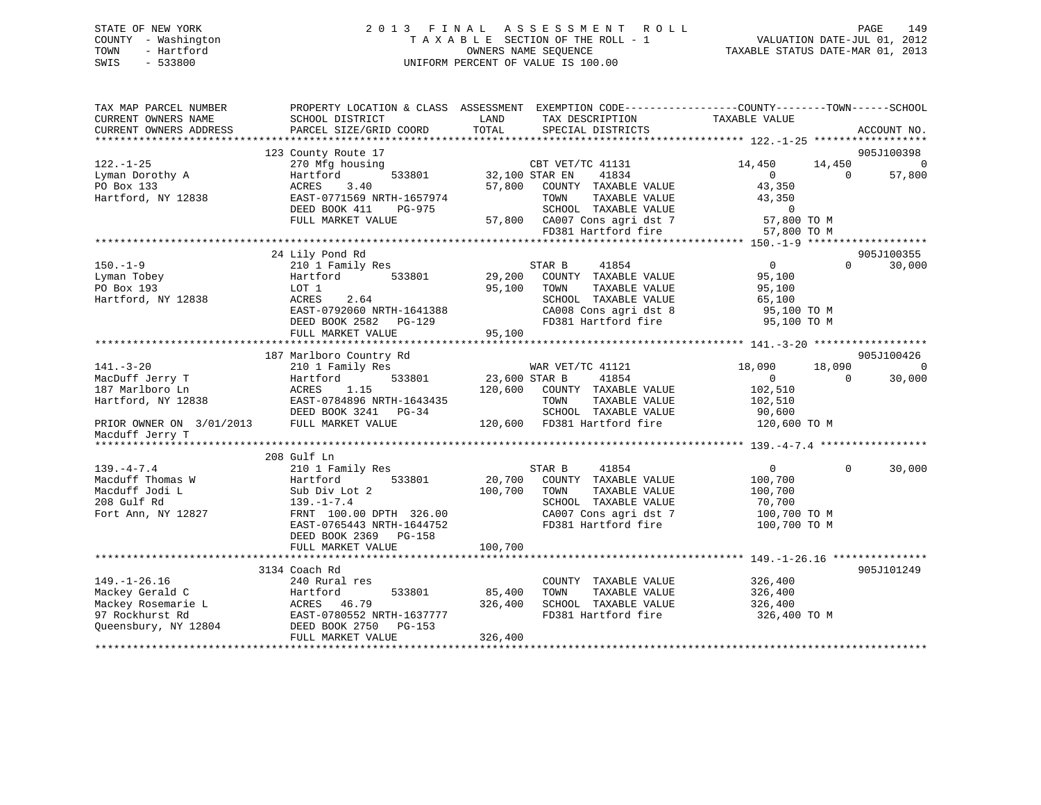# STATE OF NEW YORK 2 0 1 3 F I N A L A S S E S S M E N T R O L L PAGE 149COUNTY - Washington  $T A X A B L E$  SECTION OF THE ROLL - 1<br>TOWN - Hartford SWIS - 533800 UNIFORM PERCENT OF VALUE IS 100.00

VALUATION DATE-JUL 01, 2012 TAXABLE STATUS DATE-MAR 01, 2013

| TAX MAP PARCEL NUMBER<br>CURRENT OWNERS NAME                                                                               | SCHOOL DISTRICT                                                                                                                                                                                     | LAND<br>TAX DESCRIPTION                                                                                                                                                  | PROPERTY LOCATION & CLASS ASSESSMENT EXEMPTION CODE---------------COUNTY-------TOWN-----SCHOOL<br>TAXABLE VALUE      |
|----------------------------------------------------------------------------------------------------------------------------|-----------------------------------------------------------------------------------------------------------------------------------------------------------------------------------------------------|--------------------------------------------------------------------------------------------------------------------------------------------------------------------------|----------------------------------------------------------------------------------------------------------------------|
| CURRENT OWNERS ADDRESS                                                                                                     | PARCEL SIZE/GRID COORD                                                                                                                                                                              | TOTAL<br>SPECIAL DISTRICTS                                                                                                                                               | ACCOUNT NO.                                                                                                          |
|                                                                                                                            | 123 County Route 17                                                                                                                                                                                 |                                                                                                                                                                          | 905J100398                                                                                                           |
| 122.-1-25<br>Lyman Dorothy A<br>PO Box 133                                                                                 | 270 Mfg housing<br>533801<br>Hartford<br>3.40<br>ACRES                                                                                                                                              | CBT VET/TC 41131<br>32,100 STAR EN<br>41834<br>57,800<br>COUNTY TAXABLE VALUE                                                                                            | 14,450<br>14,450<br>$\overline{0}$<br>57,800<br>$\overline{0}$<br>$\Omega$<br>43,350                                 |
| Hartford, NY 12838                                                                                                         | EAST-0771569 NRTH-1657974<br>DEED BOOK 411<br>PG-975<br>FULL MARKET VALUE                                                                                                                           | TAXABLE VALUE<br>TOWN<br>SCHOOL TAXABLE VALUE<br>57,800 CA007 Cons agri dst 7<br>FD381 Hartford fire                                                                     | 43,350<br>$\overline{0}$<br>57,800 TO M<br>57,800 TO M                                                               |
|                                                                                                                            |                                                                                                                                                                                                     |                                                                                                                                                                          |                                                                                                                      |
| $150. - 1 - 9$<br>Lyman Tobey<br>PO Box 193<br>Hartford, NY 12838                                                          | 24 Lily Pond Rd<br>210 1 Family Res<br>Hartford<br>533801<br>LOT 1<br>ACRES<br>2.64<br>EAST-0792060 NRTH-1641388<br>DEED BOOK 2582 PG-129<br>FULL MARKET VALUE                                      | STAR B<br>41854<br>29,200<br>COUNTY TAXABLE VALUE<br>95,100<br>TAXABLE VALUE<br>TOWN<br>SCHOOL TAXABLE VALUE<br>CA008 Cons agri dst 8<br>FD381 Hartford fire<br>95,100   | 905J100355<br>$\overline{0}$<br>$\Omega$<br>30,000<br>95,100<br>95,100<br>65,100<br>95,100 TO M<br>95,100 TO M       |
|                                                                                                                            | 187 Marlboro Country Rd                                                                                                                                                                             |                                                                                                                                                                          | 905J100426                                                                                                           |
| $141. - 3 - 20$<br>MacDuff Jerry T<br>187 Marlboro Ln<br>Hartford, NY 12838<br>PRIOR OWNER ON 3/01/2013<br>Macduff Jerry T | 210 1 Family Res<br>533801<br>Hartford<br>ACRES<br>1.15<br>EAST-0784896 NRTH-1643435<br>DEED BOOK 3241 PG-34<br>FULL MARKET VALUE                                                                   | WAR VET/TC 41121<br>23,600 STAR B<br>41854<br>120,600<br>COUNTY TAXABLE VALUE<br>TAXABLE VALUE<br>TOWN<br>SCHOOL TAXABLE VALUE<br>120,600 FD381 Hartford fire            | 18,090<br>18,090<br>$\Omega$<br>30,000<br>$\overline{0}$<br>$\Omega$<br>102,510<br>102,510<br>90,600<br>120,600 TO M |
| *********************                                                                                                      |                                                                                                                                                                                                     |                                                                                                                                                                          |                                                                                                                      |
| $139. -4 - 7.4$<br>Macduff Thomas W<br>Macduff Jodi L<br>208 Gulf Rd<br>Fort Ann, NY 12827                                 | 208 Gulf Ln<br>210 1 Family Res<br>533801<br>Hartford<br>Sub Div Lot 2<br>$139. - 1 - 7.4$<br>FRNT 100.00 DPTH 326.00<br>EAST-0765443 NRTH-1644752<br>DEED BOOK 2369<br>PG-158<br>FULL MARKET VALUE | 41854<br>STAR B<br>20,700<br>COUNTY TAXABLE VALUE<br>100,700<br>TOWN<br>TAXABLE VALUE<br>SCHOOL TAXABLE VALUE<br>CA007 Cons agri dst 7<br>FD381 Hartford fire<br>100,700 | $\overline{0}$<br>$\mathbf 0$<br>30,000<br>100,700<br>100,700<br>70,700<br>100,700 TO M<br>100,700 TO M              |
|                                                                                                                            |                                                                                                                                                                                                     |                                                                                                                                                                          |                                                                                                                      |
| $149. - 1 - 26.16$<br>Mackey Gerald C<br>Mackey Rosemarie L<br>97 Rockhurst Rd<br>Queensbury, NY 12804                     | 3134 Coach Rd<br>240 Rural res<br>Hartford<br>533801<br>ACRES 46.79<br>EAST-0780552 NRTH-1637777<br>DEED BOOK 2750<br>PG-153<br>FULL MARKET VALUE                                                   | COUNTY TAXABLE VALUE<br>TAXABLE VALUE<br>85,400<br>TOWN<br>326,400<br>SCHOOL TAXABLE VALUE<br>FD381 Hartford fire<br>326,400                                             | 905J101249<br>326,400<br>326,400<br>326,400<br>326,400 TO M                                                          |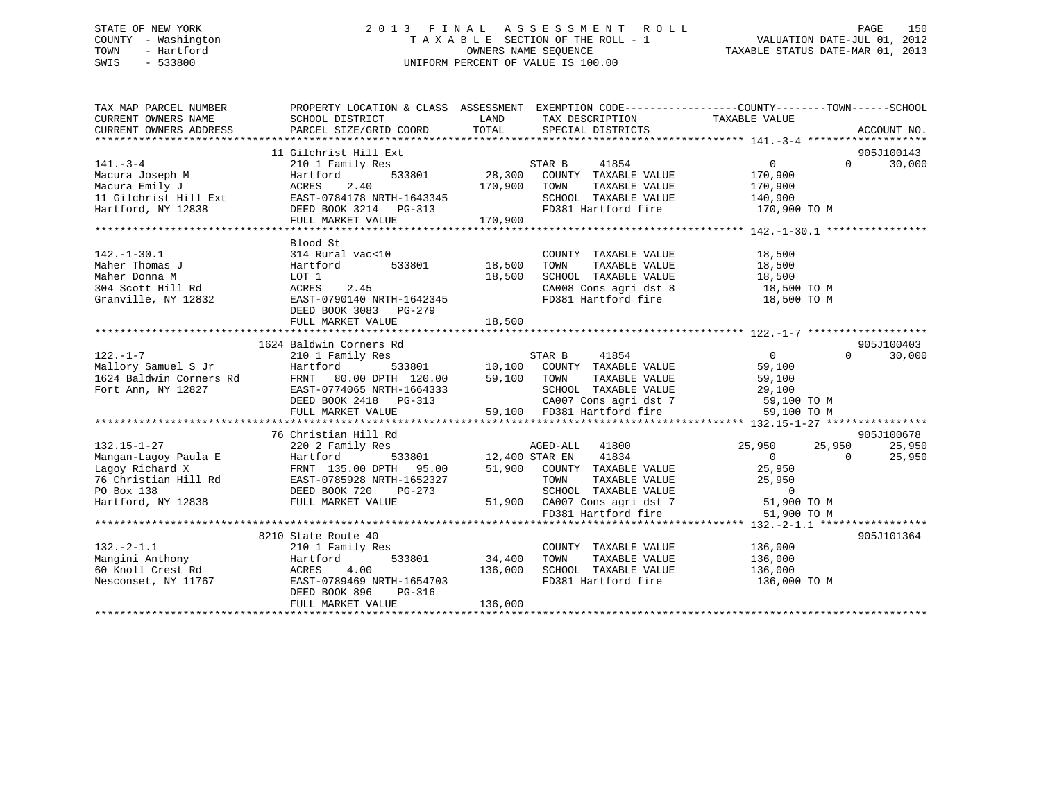## STATE OF NEW YORK 2 0 1 3 F I N A L A S S E S S M E N T R O L L PAGE 150 COUNTY - Washington T A X A B L E SECTION OF THE ROLL - 1 VALUATION DATE-JUL 01, 2012 TOWN - Hartford **TAXABLE STATUS DATE-MAR 01, 2013** SWIS - 533800 UNIFORM PERCENT OF VALUE IS 100.00

| TAX MAP PARCEL NUMBER                               | PROPERTY LOCATION & CLASS ASSESSMENT EXEMPTION CODE----------------COUNTY-------TOWN------SCHOOL                                                                                                                           |                        |                                                                                                                                  |                |            |                      |
|-----------------------------------------------------|----------------------------------------------------------------------------------------------------------------------------------------------------------------------------------------------------------------------------|------------------------|----------------------------------------------------------------------------------------------------------------------------------|----------------|------------|----------------------|
| CURRENT OWNERS NAME                                 | SCHOOL DISTRICT                                                                                                                                                                                                            | LAND                   | TAX DESCRIPTION                                                                                                                  | TAXABLE VALUE  |            |                      |
| CURRENT OWNERS ADDRESS                              | PARCEL SIZE/GRID COORD                                                                                                                                                                                                     | TOTAL                  | SPECIAL DISTRICTS                                                                                                                |                |            | ACCOUNT NO.          |
|                                                     |                                                                                                                                                                                                                            |                        |                                                                                                                                  |                |            |                      |
| $141. - 3 - 4$                                      | 11 Gilchrist Hill Ext                                                                                                                                                                                                      |                        |                                                                                                                                  | $\overline{0}$ | $\Omega$   | 905J100143<br>30,000 |
| Macura Joseph M                                     | 210 1 Family Res<br>Hartford                                                                                                                                                                                               |                        |                                                                                                                                  | 170,900        |            |                      |
| Macura Emily J                                      | 2.40<br>ACRES                                                                                                                                                                                                              | 170,900 TOWN           | TAXABLE VALUE                                                                                                                    | 170,900        |            |                      |
|                                                     |                                                                                                                                                                                                                            |                        |                                                                                                                                  |                |            |                      |
| 11 Gilchrist Hill Ext<br>Hartford, NY 12838         | EAST-0784178 NRTH-1643345<br>DEED BOOK 3214 PG-313                                                                                                                                                                         |                        | SCHOOL TAXABLE VALUE 140,900<br>FD381 Hartford fire 170,900 TO M                                                                 |                |            |                      |
|                                                     | FULL MARKET VALUE                                                                                                                                                                                                          | 170,900                |                                                                                                                                  |                |            |                      |
|                                                     |                                                                                                                                                                                                                            |                        |                                                                                                                                  |                |            |                      |
|                                                     | Blood St                                                                                                                                                                                                                   |                        |                                                                                                                                  |                |            |                      |
| $142. - 1 - 30.1$                                   | 314 Rural vac<10                                                                                                                                                                                                           |                        | COUNTY TAXABLE VALUE                                                                                                             | 18,500         |            |                      |
| Maher Thomas J                                      | Hartford                                                                                                                                                                                                                   | )<br>533801     18,500 |                                                                                                                                  |                |            |                      |
| Maher Donna M                                       | LOT 1                                                                                                                                                                                                                      | 18,500                 |                                                                                                                                  |                |            |                      |
|                                                     |                                                                                                                                                                                                                            |                        |                                                                                                                                  |                |            |                      |
|                                                     | 304 Scott Hill Rd<br>304 Scott Hill Rd<br>Cranville. NY 12832 EAST-0790140 NRTH-1642345                                                                                                                                    |                        | TOWN TAXABLE VALUE 18,500<br>SCHOOL TAXABLE VALUE 18,500<br>CA008 Cons agri dst 8 18,500 TO M<br>FD381 Hartford fire 18,500 TO M |                |            |                      |
|                                                     | DEED BOOK 3083 PG-279                                                                                                                                                                                                      |                        |                                                                                                                                  |                |            |                      |
|                                                     | FULL MARKET VALUE                                                                                                                                                                                                          | 18,500                 |                                                                                                                                  |                |            |                      |
|                                                     |                                                                                                                                                                                                                            |                        |                                                                                                                                  |                |            |                      |
|                                                     | 1624 Baldwin Corners Rd                                                                                                                                                                                                    |                        |                                                                                                                                  |                |            | 905J100403           |
| $122. - 1 - 7$                                      | 210 1 Family Res                                                                                                                                                                                                           |                        | STAR B 41854                                                                                                                     | $\overline{0}$ | $\Omega$   | 30,000               |
| Mallory Samuel S Jr                                 | Hartford 533801 10,100 COUNTY<br>Rd FRNT 80.00 DPTH 120.00 59,100 TOWN<br>EAST-0774065 NRTH-1664333 SCHOOL                                                                                                                 |                        | 533801 10,100 COUNTY TAXABLE VALUE                                                                                               | 59,100         |            |                      |
| 1624 Baldwin Corners Rd                             |                                                                                                                                                                                                                            |                        |                                                                                                                                  |                |            |                      |
| Fort Ann, NY 12827                                  |                                                                                                                                                                                                                            |                        |                                                                                                                                  |                |            |                      |
|                                                     |                                                                                                                                                                                                                            |                        |                                                                                                                                  |                |            |                      |
|                                                     |                                                                                                                                                                                                                            |                        |                                                                                                                                  |                |            |                      |
|                                                     |                                                                                                                                                                                                                            |                        |                                                                                                                                  |                |            |                      |
| $132.15 - 1 - 27$                                   | 76 Christian Hill Rd<br>220 2 Family Res                                                                                                                                                                                   |                        |                                                                                                                                  | 25,950         | 25,950     | 905J100678<br>25,950 |
|                                                     |                                                                                                                                                                                                                            |                        | 3<br>533801 12,400 STAR EN 41834<br>AGED-ALL 41800                                                                               | $\overline{0}$ | $\bigcirc$ | 25,950               |
|                                                     |                                                                                                                                                                                                                            |                        | 51,900 COUNTY TAXABLE VALUE                                                                                                      | 25,950         |            |                      |
|                                                     |                                                                                                                                                                                                                            |                        | TAXABLE VALUE<br>TOWN                                                                                                            | 25,950         |            |                      |
|                                                     | 192.19-1-27<br>Magan-Lagoy Paula E Hartford 533801<br>Magan-Lagoy Paula E Hartford 533801<br>Tempory Richard X FRNT 135.00 DPTH 95.00<br>76 Christian Hill Rd EAST-0785928 NRTH-1652327<br>PO Box 138 DEED BOOK 720 PG-273 |                        | SCHOOL TAXABLE VALUE                                                                                                             | $\sim$ 0       |            |                      |
| Hartford, NY 12838 FULL MARKET VALUE                |                                                                                                                                                                                                                            |                        |                                                                                                                                  | 51,900 TO M    |            |                      |
|                                                     |                                                                                                                                                                                                                            |                        | 51,900 CA007 Cons agri dst 7<br>FD381 Hartford fire                                                                              | 51,900 TO M    |            |                      |
|                                                     |                                                                                                                                                                                                                            |                        |                                                                                                                                  |                |            |                      |
|                                                     | 8210 State Route 40                                                                                                                                                                                                        |                        |                                                                                                                                  |                |            | 905J101364           |
| $132 - 2 - 1.1$                                     | 210 1 Family Res                                                                                                                                                                                                           |                        | COUNTY TAXABLE VALUE 136,000                                                                                                     |                |            |                      |
|                                                     | 533801                                                                                                                                                                                                                     | 34,400                 | TOWN<br>TAXABLE VALUE 136,000                                                                                                    |                |            |                      |
| Mangini Anthony<br>60 Knoll Crest Rd 100 ACRES 1990 |                                                                                                                                                                                                                            | 136,000                | SCHOOL TAXABLE VALUE                                                                                                             | 136,000        |            |                      |
| Nesconset, NY 11767                                 | EAST-0789469 NRTH-1654703                                                                                                                                                                                                  |                        | FD381 Hartford fire 136,000 TO M                                                                                                 |                |            |                      |
|                                                     | DEED BOOK 896<br>PG-316                                                                                                                                                                                                    |                        |                                                                                                                                  |                |            |                      |
|                                                     | FULL MARKET VALUE                                                                                                                                                                                                          | 136,000                |                                                                                                                                  |                |            |                      |
|                                                     |                                                                                                                                                                                                                            |                        |                                                                                                                                  |                |            |                      |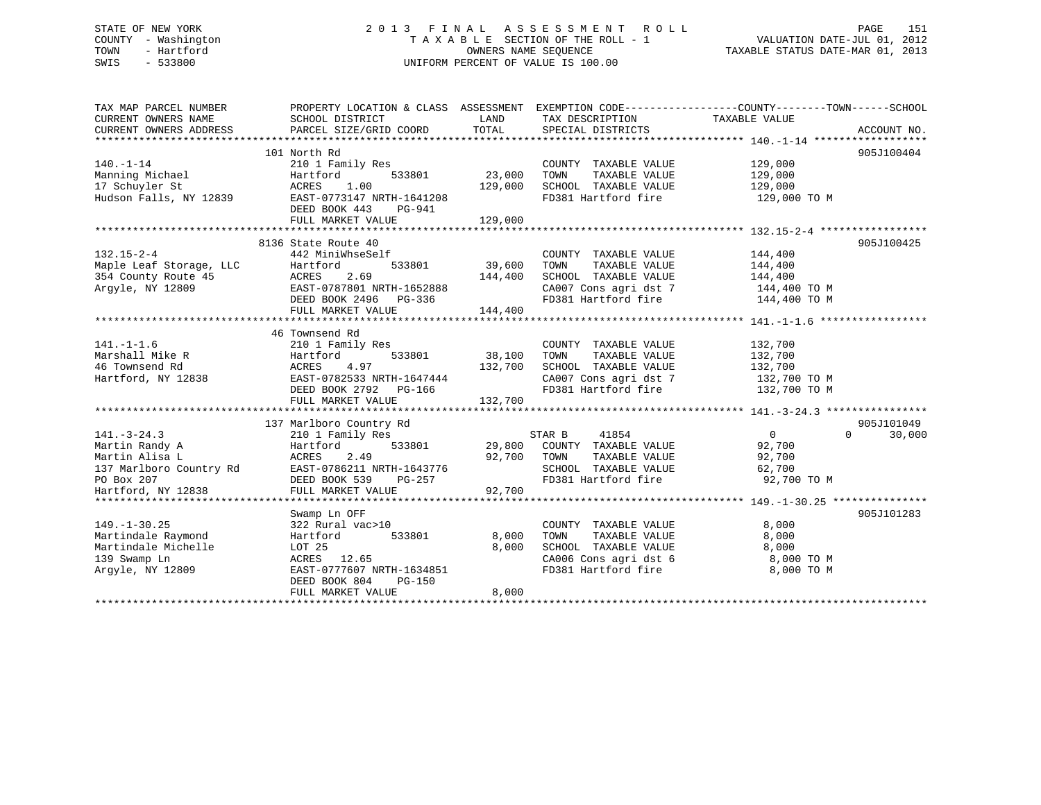## STATE OF NEW YORK 2 0 1 3 F I N A L A S S E S S M E N T R O L L PAGE 151 COUNTY - Washington T A X A B L E SECTION OF THE ROLL - 1 VALUATION DATE-JUL 01, 2012 TOWN - Hartford **TAXABLE STATUS DATE-MAR 01, 2013** OWNERS NAME SEQUENCE TAXABLE STATUS DATE-MAR 01, 2013 SWIS - 533800 UNIFORM PERCENT OF VALUE IS 100.00

| TAX MAP PARCEL NUMBER<br>CURRENT OWNERS NAME<br>CURRENT OWNERS ADDRESS | SCHOOL DISTRICT<br>PARCEL SIZE/GRID COORD  | LAND<br>TOTAL | TAX DESCRIPTION<br>SPECIAL DISTRICTS        | PROPERTY LOCATION & CLASS ASSESSMENT EXEMPTION CODE----------------COUNTY-------TOWN------SCHOOL<br>TAXABLE VALUE<br>ACCOUNT NO. |
|------------------------------------------------------------------------|--------------------------------------------|---------------|---------------------------------------------|----------------------------------------------------------------------------------------------------------------------------------|
|                                                                        |                                            |               |                                             |                                                                                                                                  |
|                                                                        | 101 North Rd                               |               |                                             | 905J100404                                                                                                                       |
| $140. - 1 - 14$                                                        | 210 1 Family Res                           |               | COUNTY TAXABLE VALUE                        | 129,000                                                                                                                          |
| Manning Michael                                                        | Hartford<br>533801                         | 23,000        | TOWN<br>TAXABLE VALUE                       | 129,000                                                                                                                          |
| 17 Schuyler St                                                         | ACRES<br>1.00                              | 129,000       | SCHOOL TAXABLE VALUE                        | 129,000                                                                                                                          |
| Hudson Falls, NY 12839                                                 | EAST-0773147 NRTH-1641208                  |               | FD381 Hartford fire                         | 129,000 TO M                                                                                                                     |
|                                                                        | DEED BOOK 443<br>$PG-941$                  |               |                                             |                                                                                                                                  |
|                                                                        | FULL MARKET VALUE                          | 129,000       |                                             |                                                                                                                                  |
|                                                                        |                                            |               |                                             |                                                                                                                                  |
|                                                                        | 8136 State Route 40                        |               |                                             | 905J100425                                                                                                                       |
| $132.15 - 2 - 4$                                                       | 442 MiniWhseSelf                           |               | COUNTY TAXABLE VALUE                        | 144,400                                                                                                                          |
| Maple Leaf Storage, LLC                                                | 533801<br>Hartford                         | 39,600        | TOWN<br>TAXABLE VALUE                       | 144,400                                                                                                                          |
| 354 County Route 45                                                    | 2.69<br>ACRES                              | 144,400       | SCHOOL TAXABLE VALUE                        | 144,400                                                                                                                          |
| Arqyle, NY 12809                                                       | EAST-0787801 NRTH-1652888                  |               | CA007 Cons agri dst 7                       | 144,400 TO M                                                                                                                     |
|                                                                        | DEED BOOK 2496 PG-336                      |               | FD381 Hartford fire                         | 144,400 TO M                                                                                                                     |
|                                                                        | FULL MARKET VALUE                          | 144,400       |                                             |                                                                                                                                  |
|                                                                        |                                            |               |                                             |                                                                                                                                  |
|                                                                        | 46 Townsend Rd                             |               |                                             |                                                                                                                                  |
| $141. - 1 - 1.6$                                                       | 210 1 Family Res                           |               | COUNTY TAXABLE VALUE                        | 132,700                                                                                                                          |
| Marshall Mike R                                                        | 533801<br>Hartford                         | 38,100        | TOWN<br>TAXABLE VALUE                       | 132,700                                                                                                                          |
| 46 Townsend Rd                                                         | ACRES<br>4.97                              | 132,700       | SCHOOL TAXABLE VALUE                        | 132,700                                                                                                                          |
| Hartford, NY 12838                                                     | EAST-0782533 NRTH-1647444                  |               | CA007 Cons agri dst 7                       | 132,700 TO M                                                                                                                     |
|                                                                        | DEED BOOK 2792 PG-166                      |               | FD381 Hartford fire                         | 132,700 TO M                                                                                                                     |
|                                                                        | FULL MARKET VALUE                          | 132,700       |                                             |                                                                                                                                  |
|                                                                        |                                            |               |                                             |                                                                                                                                  |
|                                                                        | 137 Marlboro Country Rd                    |               |                                             | 905J101049                                                                                                                       |
| $141. - 3 - 24.3$                                                      | 210 1 Family Res                           |               | STAR B<br>41854                             | $\Omega$<br>$\Omega$<br>30,000                                                                                                   |
| Martin Randy A                                                         | 533801<br>Hartford                         | 29,800        | COUNTY TAXABLE VALUE                        | 92,700                                                                                                                           |
| Martin Alisa L                                                         | ACRES<br>2.49<br>EAST-0786211 NRTH-1643776 | 92,700        | TOWN<br>TAXABLE VALUE                       | 92,700                                                                                                                           |
| 137 Marlboro Country Rd<br>PO Box 207                                  | DEED BOOK 539<br>PG-257                    |               | SCHOOL TAXABLE VALUE<br>FD381 Hartford fire | 62,700<br>92,700 TO M                                                                                                            |
| Hartford, NY 12838                                                     | FULL MARKET VALUE                          | 92,700        |                                             |                                                                                                                                  |
|                                                                        |                                            |               |                                             |                                                                                                                                  |
|                                                                        | Swamp Ln OFF                               |               |                                             | 905J101283                                                                                                                       |
| $149. - 1 - 30.25$                                                     | 322 Rural vac>10                           |               | COUNTY TAXABLE VALUE                        | 8,000                                                                                                                            |
| Martindale Raymond                                                     | 533801<br>Hartford                         | 8,000         | TOWN<br>TAXABLE VALUE                       | 8,000                                                                                                                            |
| Martindale Michelle                                                    | LOT 25                                     | 8,000         | SCHOOL TAXABLE VALUE                        | 8,000                                                                                                                            |
| 139 Swamp Ln                                                           | ACRES 12.65                                |               | CA006 Cons agri dst 6                       | 8,000 TO M                                                                                                                       |
| Arqyle, NY 12809                                                       | EAST-0777607 NRTH-1634851                  |               | FD381 Hartford fire                         | 8,000 TO M                                                                                                                       |
|                                                                        | DEED BOOK 804<br>PG-150                    |               |                                             |                                                                                                                                  |
|                                                                        | FULL MARKET VALUE                          | 8,000         |                                             |                                                                                                                                  |
|                                                                        |                                            |               |                                             |                                                                                                                                  |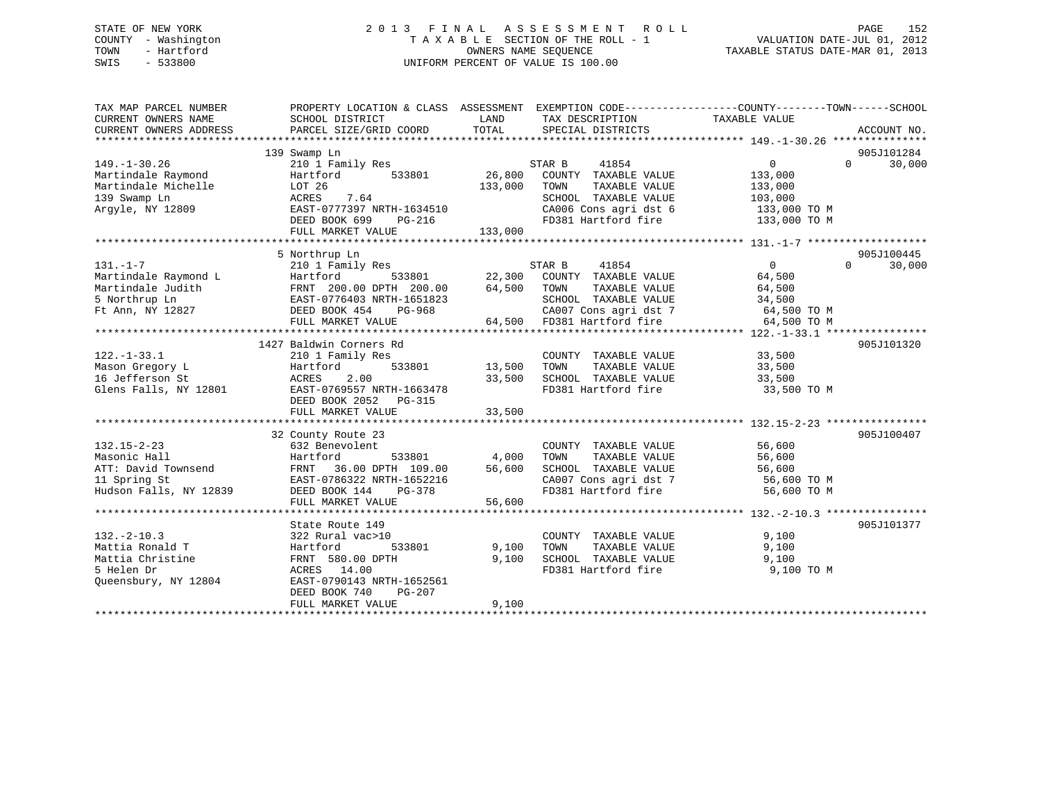## STATE OF NEW YORK 2 0 1 3 F I N A L A S S E S S M E N T R O L L PAGE 152 COUNTY - Washington T A X A B L E SECTION OF THE ROLL - 1 VALUATION DATE-JUL 01, 2012 TOWN - Hartford **TAXABLE STATUS DATE-MAR 01, 2013** OWNERS NAME SEQUENCE TAXABLE STATUS DATE-MAR 01, 2013 SWIS - 533800 UNIFORM PERCENT OF VALUE IS 100.00

| TAX MAP PARCEL NUMBER  |                                      |             |                       | PROPERTY LOCATION & CLASS ASSESSMENT EXEMPTION CODE---------------COUNTY-------TOWN------SCHOOL |  |
|------------------------|--------------------------------------|-------------|-----------------------|-------------------------------------------------------------------------------------------------|--|
| CURRENT OWNERS NAME    | SCHOOL DISTRICT                      | LAND        | TAX DESCRIPTION       | TAXABLE VALUE                                                                                   |  |
| CURRENT OWNERS ADDRESS | PARCEL SIZE/GRID COORD               | TOTAL       | SPECIAL DISTRICTS     | ACCOUNT NO.                                                                                     |  |
|                        |                                      |             |                       |                                                                                                 |  |
|                        | 139 Swamp Ln                         |             |                       | 905J101284                                                                                      |  |
| $149. - 1 - 30.26$     | 210 1 Family Res                     |             | 41854<br>STAR B       | $\overline{0}$<br>$\Omega$<br>30,000                                                            |  |
| Martindale Raymond     | 533801<br>Hartford                   | 26,800      | COUNTY TAXABLE VALUE  | 133,000                                                                                         |  |
| Martindale Michelle    | LOT 26                               | 133,000     | TOWN<br>TAXABLE VALUE | 133,000                                                                                         |  |
| 139 Swamp Ln           | ACRES<br>7.64                        |             | SCHOOL TAXABLE VALUE  | 103,000                                                                                         |  |
| Argyle, NY 12809       | EAST-0777397 NRTH-1634510            |             | CA006 Cons agri dst 6 | 133,000 TO M                                                                                    |  |
|                        | DEED BOOK 699<br>PG-216              |             | FD381 Hartford fire   | 133,000 TO M                                                                                    |  |
|                        | FULL MARKET VALUE                    | 133,000     |                       |                                                                                                 |  |
|                        |                                      |             |                       |                                                                                                 |  |
|                        | 5 Northrup Ln                        |             |                       | 905J100445                                                                                      |  |
| $131. - 1 - 7$         | 210 1 Family Res                     |             | STAR B<br>41854       | $\Omega$<br>$\overline{0}$<br>30,000                                                            |  |
| Martindale Raymond L   | Hartford<br>533801                   | 22,300      | COUNTY TAXABLE VALUE  | 64,500                                                                                          |  |
| Martindale Judith      | FRNT 200.00 DPTH 200.00              | 64,500      | TOWN<br>TAXABLE VALUE | 64,500                                                                                          |  |
| 5 Northrup Ln          | EAST-0776403 NRTH-1651823            |             | SCHOOL TAXABLE VALUE  | 34,500                                                                                          |  |
| Ft Ann, NY 12827       | DEED BOOK 454<br>PG-968              |             | CA007 Cons agri dst 7 | 64,500 TO M                                                                                     |  |
|                        | FULL MARKET VALUE                    | 64,500      | FD381 Hartford fire   | 64,500 TO M                                                                                     |  |
|                        | ************************************ | *********** |                       |                                                                                                 |  |
|                        | 1427 Baldwin Corners Rd              |             |                       | 905J101320                                                                                      |  |
| $122. - 1 - 33.1$      | 210 1 Family Res                     |             | COUNTY TAXABLE VALUE  | 33,500                                                                                          |  |
| Mason Gregory L        | 533801<br>Hartford                   | 13,500      | TOWN<br>TAXABLE VALUE | 33,500                                                                                          |  |
| 16 Jefferson St        | 2.00<br>ACRES                        | 33,500      | SCHOOL TAXABLE VALUE  | 33,500                                                                                          |  |
| Glens Falls, NY 12801  | EAST-0769557 NRTH-1663478            |             | FD381 Hartford fire   | 33,500 TO M                                                                                     |  |
|                        | DEED BOOK 2052 PG-315                |             |                       |                                                                                                 |  |
|                        | FULL MARKET VALUE                    | 33,500      |                       |                                                                                                 |  |
|                        |                                      |             |                       |                                                                                                 |  |
|                        | 32 County Route 23                   |             |                       | 905J100407                                                                                      |  |
| $132.15 - 2 - 23$      | 632 Benevolent                       |             | COUNTY TAXABLE VALUE  | 56,600                                                                                          |  |
| Masonic Hall           | 533801<br>Hartford                   | 4,000       | TOWN<br>TAXABLE VALUE | 56,600                                                                                          |  |
| ATT: David Townsend    | FRNT 36.00 DPTH 109.00               | 56,600      | SCHOOL TAXABLE VALUE  | 56,600                                                                                          |  |
| 11 Spring St           | EAST-0786322 NRTH-1652216            |             | CA007 Cons agri dst 7 | 56,600 TO M                                                                                     |  |
| Hudson Falls, NY 12839 | DEED BOOK 144<br>$PG-378$            |             | FD381 Hartford fire   | 56,600 TO M                                                                                     |  |
|                        | FULL MARKET VALUE                    | 56,600      |                       |                                                                                                 |  |
|                        |                                      |             |                       |                                                                                                 |  |
|                        | State Route 149                      |             |                       | 905J101377                                                                                      |  |
| $132. - 2 - 10.3$      | 322 Rural vac>10                     |             | COUNTY TAXABLE VALUE  | 9,100                                                                                           |  |
| Mattia Ronald T        | Hartford<br>533801                   | 9,100       | TOWN<br>TAXABLE VALUE | 9,100                                                                                           |  |
| Mattia Christine       | FRNT 580.00 DPTH                     | 9,100       | SCHOOL TAXABLE VALUE  | 9,100                                                                                           |  |
| 5 Helen Dr             | ACRES 14.00                          |             | FD381 Hartford fire   | 9,100 TO M                                                                                      |  |
| Queensbury, NY 12804   | EAST-0790143 NRTH-1652561            |             |                       |                                                                                                 |  |
|                        | DEED BOOK 740<br>$PG-207$            |             |                       |                                                                                                 |  |
|                        | FULL MARKET VALUE                    | 9,100       |                       |                                                                                                 |  |
|                        |                                      |             |                       |                                                                                                 |  |
|                        |                                      |             |                       |                                                                                                 |  |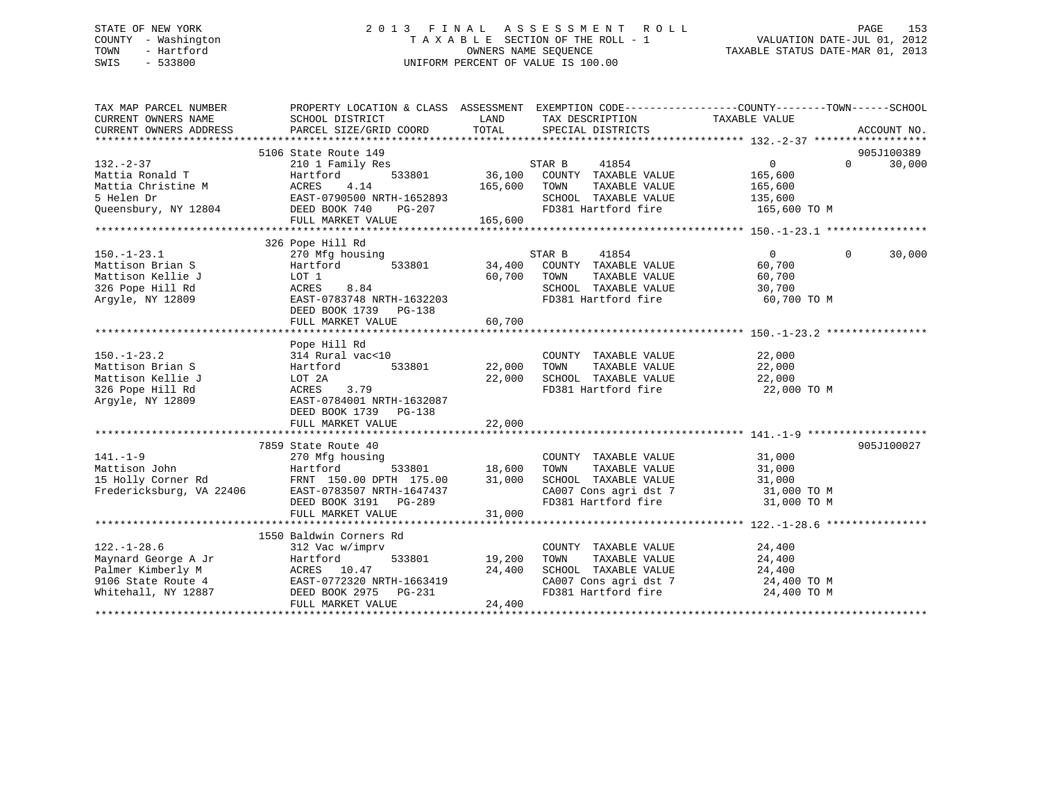## STATE OF NEW YORK 2 0 1 3 F I N A L A S S E S S M E N T R O L L PAGE 153 COUNTY - Washington T A X A B L E SECTION OF THE ROLL - 1 VALUATION DATE-JUL 01, 2012 TOWN - Hartford OWNERS NAME SEQUENCE TAXABLE STATUS DATE-MAR 01, 2013 SWIS - 533800 UNIFORM PERCENT OF VALUE IS 100.00

| TAX MAP PARCEL NUMBER<br>CURRENT OWNERS NAME<br>CURRENT OWNERS ADDRESS                  | PROPERTY LOCATION & CLASS ASSESSMENT EXEMPTION CODE---------------COUNTY-------TOWN-----SCHOOL<br>SCHOOL DISTRICT<br>PARCEL SIZE/GRID COORD | TOTAL                    | LAND TAX DESCRIPTION<br>SPECIAL DISTRICTS     | TAXABLE VALUE                  | ACCOUNT NO.        |
|-----------------------------------------------------------------------------------------|---------------------------------------------------------------------------------------------------------------------------------------------|--------------------------|-----------------------------------------------|--------------------------------|--------------------|
|                                                                                         |                                                                                                                                             |                          |                                               |                                |                    |
|                                                                                         | 5106 State Route 149                                                                                                                        |                          |                                               |                                | 905J100389         |
| $132. - 2 - 37$                                                                         | 210 1 Family Res                                                                                                                            |                          | STAR B<br>41854                               | $\overline{0}$                 | $\Omega$<br>30,000 |
| Mattia Ronald T                                                                         | Hartford                                                                                                                                    |                          | 533801 36,100 COUNTY TAXABLE VALUE            | 165,600                        |                    |
| Mattia Christine M                                                                      | ACRES<br>4.14                                                                                                                               | 165,600                  | TOWN<br>TAXABLE VALUE                         | 165,600                        |                    |
|                                                                                         |                                                                                                                                             |                          | SCHOOL TAXABLE VALUE 135,600                  |                                |                    |
|                                                                                         |                                                                                                                                             |                          | FD381 Hartford fire                           | 165,600 TO M                   |                    |
|                                                                                         | FULL MARKET VALUE                                                                                                                           | 165,600                  |                                               |                                |                    |
|                                                                                         |                                                                                                                                             |                          |                                               |                                |                    |
|                                                                                         | 326 Pope Hill Rd                                                                                                                            |                          |                                               |                                |                    |
| $150. - 1 - 23.1$                                                                       | 270 Mfg housing                                                                                                                             |                          | 41854<br>STAR B                               | $\overline{0}$                 | $\Omega$<br>30,000 |
| Mattison Brian S                                                                        | 533801<br>Hartford                                                                                                                          |                          | 34,400 COUNTY TAXABLE VALUE                   | 60,700                         |                    |
| Mattison Kellie J                                                                       | LOT 1                                                                                                                                       |                          | 60,700 TOWN<br>TAXABLE VALUE                  | 60,700                         |                    |
| 326 Pope Hill Rd                                                                        | 8.84<br>ACRES                                                                                                                               |                          | SCHOOL TAXABLE VALUE                          | 30,700                         |                    |
| Argyle, NY 12809                                                                        | EAST-0783748 NRTH-1632203                                                                                                                   |                          | FD381 Hartford fire                           | 60,700 TO M                    |                    |
|                                                                                         | DEED BOOK 1739 PG-138                                                                                                                       |                          |                                               |                                |                    |
|                                                                                         | FULL MARKET VALUE                                                                                                                           | 60,700                   |                                               |                                |                    |
|                                                                                         |                                                                                                                                             |                          |                                               |                                |                    |
|                                                                                         | Pope Hill Rd                                                                                                                                |                          |                                               |                                |                    |
| $150. - 1 - 23.2$                                                                       | 314 Rural vac<10                                                                                                                            |                          | COUNTY TAXABLE VALUE                          | 22,000                         |                    |
| Mattison Brian S                                                                        | 533801<br>Hartford                                                                                                                          | 22,000 TOWN              | TAXABLE VALUE                                 | 22,000                         |                    |
| Mattison Kellie J                                                                       | LOT 2A                                                                                                                                      |                          | 22,000 SCHOOL TAXABLE VALUE                   | 22,000                         |                    |
| 326 Pope Hill Rd                                                                        | ACRES<br>3.79                                                                                                                               |                          | FD381 Hartford fire                           | 22,000 TO M                    |                    |
| Argyle, NY 12809                                                                        | EAST-0784001 NRTH-1632087                                                                                                                   |                          |                                               |                                |                    |
|                                                                                         | DEED BOOK 1739 PG-138                                                                                                                       |                          |                                               |                                |                    |
|                                                                                         | FULL MARKET VALUE                                                                                                                           | 22,000                   |                                               |                                |                    |
|                                                                                         |                                                                                                                                             |                          |                                               |                                |                    |
|                                                                                         | 7859 State Route 40                                                                                                                         |                          |                                               |                                | 905J100027         |
| $141. - 1 - 9$                                                                          | 270 Mfg housing                                                                                                                             | COUNT 533801 18,600 TOWN | COUNTY TAXABLE VALUE                          | 31,000                         |                    |
|                                                                                         | Hartford                                                                                                                                    |                          | TAXABLE VALUE                                 | 31,000                         |                    |
| Mattison John<br>15 Holly Corner Rd<br>Fredericksburg, VA 22406                         | FRNT 150.00 DPTH 175.00                                                                                                                     | 31,000                   | SCHOOL TAXABLE VALUE                          | $31,000$ TO M<br>$31,000$ TO M |                    |
|                                                                                         | EAST-0783507 NRTH-1647437                                                                                                                   |                          | CA007 Cons agri dst 7<br>FD381 Hartford fire  |                                |                    |
|                                                                                         | DEED BOOK 3191 PG-289                                                                                                                       |                          |                                               | 31,000 TO M                    |                    |
|                                                                                         | FULL MARKET VALUE                                                                                                                           | 31,000                   |                                               |                                |                    |
|                                                                                         |                                                                                                                                             |                          |                                               |                                |                    |
|                                                                                         | 1550 Baldwin Corners Rd                                                                                                                     |                          |                                               |                                |                    |
| $122. - 1 - 28.6$<br>Maynard George A Jr                                                | 312 Vac w/imprv<br>Hartford                                                                                                                 | 533801 19,200            | COUNTY TAXABLE VALUE<br>TAXABLE VALUE<br>TOWN | 24,400<br>24,400               |                    |
|                                                                                         |                                                                                                                                             | 24,400                   |                                               |                                |                    |
| Palmer Kimberly M<br>9106 State Route 4<br>Whitehall, NY 12887<br>PEED BOOK 2975 PG-231 |                                                                                                                                             |                          | SCHOOL TAXABLE VALUE                          | 24,400<br>24,400 TO M          |                    |
|                                                                                         |                                                                                                                                             |                          | CA007 Cons agri dst 7<br>FD381 Hartford fire  | 24,400 TO M                    |                    |
|                                                                                         | FULL MARKET VALUE                                                                                                                           | 24,400                   |                                               |                                |                    |
|                                                                                         |                                                                                                                                             |                          |                                               |                                |                    |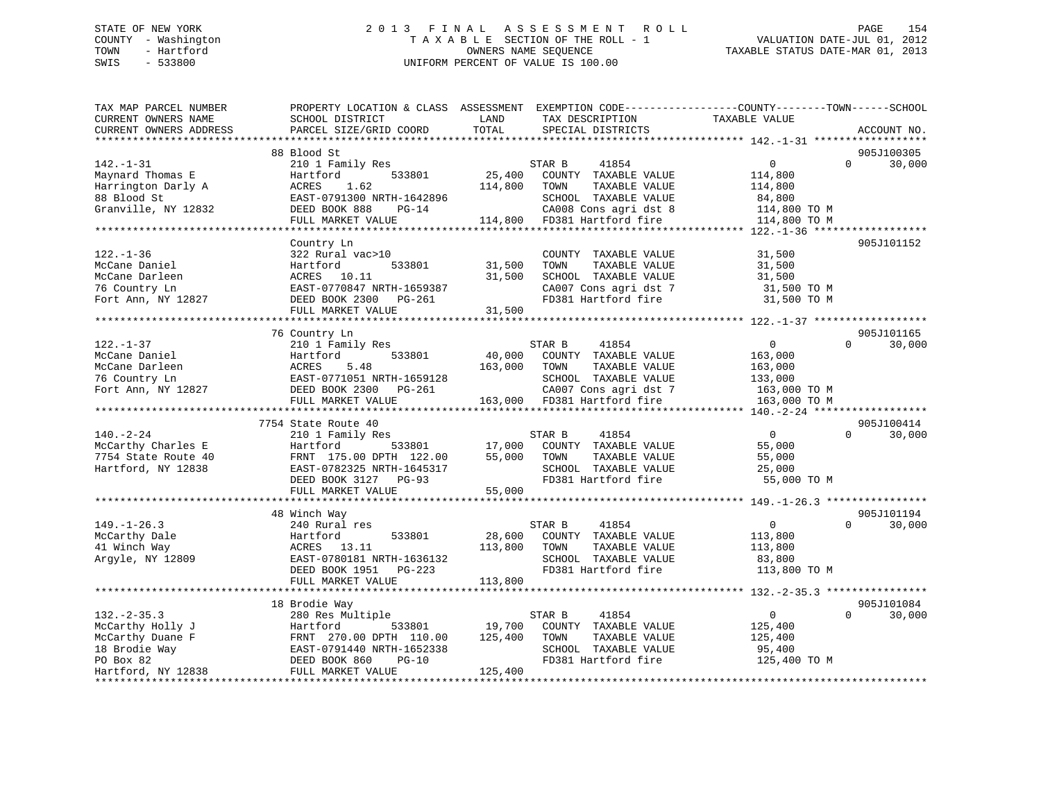## STATE OF NEW YORK 2 0 1 3 F I N A L A S S E S S M E N T R O L L PAGE 154 COUNTY - Washington T A X A B L E SECTION OF THE ROLL - 1 VALUATION DATE-JUL 01, 2012 TOWN - Hartford OWNERS NAME SEQUENCE TAXABLE STATUS DATE-MAR 01, 2013 SWIS - 533800 UNIFORM PERCENT OF VALUE IS 100.00

| TAX MAP PARCEL NUMBER<br>CURRENT OWNERS NAME<br>CURRENT OWNERS ADDRESS                                       | PROPERTY LOCATION & CLASS ASSESSMENT EXEMPTION CODE----------------COUNTY-------TOWN------SCHOOL<br>SCHOOL DISTRICT<br>PARCEL SIZE/GRID COORD                                          | LAND<br>TOTAL                | TAX DESCRIPTION<br>SPECIAL DISTRICTS                                                                                                             | TAXABLE VALUE                                                                 | ACCOUNT NO.                      |
|--------------------------------------------------------------------------------------------------------------|----------------------------------------------------------------------------------------------------------------------------------------------------------------------------------------|------------------------------|--------------------------------------------------------------------------------------------------------------------------------------------------|-------------------------------------------------------------------------------|----------------------------------|
|                                                                                                              |                                                                                                                                                                                        |                              |                                                                                                                                                  |                                                                               |                                  |
| $142. - 1 - 31$<br>Maynard Thomas E<br>Harrington Darly A<br>88 Blood St<br>Granville, NY 12832              | 88 Blood St<br>210 1 Family Res<br>Hartford<br>533801<br>ACRES<br>1.62<br>EAST-0791300 NRTH-1642896<br>DEED BOOK 888<br>$PG-14$<br>FULL MARKET VALUE<br>****************************** | 25,400<br>114,800            | STAR B<br>41854<br>COUNTY TAXABLE VALUE<br>TOWN<br>TAXABLE VALUE<br>SCHOOL TAXABLE VALUE<br>CA008 Cons agri dst 8<br>114,800 FD381 Hartford fire | $\mathbf 0$<br>114,800<br>114,800<br>84,800<br>114,800 TO M<br>114,800 TO M   | 905J100305<br>$\Omega$<br>30,000 |
|                                                                                                              |                                                                                                                                                                                        |                              |                                                                                                                                                  |                                                                               | 905J101152                       |
| $122. - 1 - 36$<br>McCane Daniel<br>McCane Darleen<br>76 Country Ln<br>Fort Ann, NY 12827                    | Country Ln<br>322 Rural vac>10<br>533801<br>Hartford<br>ACRES 10.11<br>EAST-0770847 NRTH-1659387<br>DEED BOOK 2300 PG-261<br>FULL MARKET VALUE                                         | 31,500<br>31,500<br>31,500   | COUNTY TAXABLE VALUE<br>TOWN<br>TAXABLE VALUE<br>SCHOOL TAXABLE VALUE<br>CA007 Cons agri dst 7<br>FD381 Hartford fire                            | 31,500<br>31,500<br>31,500<br>31,500 TO M<br>31,500 TO M                      |                                  |
|                                                                                                              |                                                                                                                                                                                        |                              |                                                                                                                                                  |                                                                               |                                  |
|                                                                                                              | 76 Country Ln                                                                                                                                                                          |                              |                                                                                                                                                  |                                                                               | 905J101165                       |
| $122. - 1 - 37$<br>McCane Daniel<br>McCane Darleen<br>76 Country Ln<br>Fort Ann, NY 12827                    | 210 1 Family Res<br>533801<br>Hartford<br>ACRES<br>5.48<br>EAST-0771051 NRTH-1659128<br>DEED BOOK 2300 PG-261<br>FULL MARKET VALUE                                                     | 40,000<br>163,000            | STAR B<br>41854<br>COUNTY TAXABLE VALUE<br>TOWN<br>TAXABLE VALUE<br>SCHOOL TAXABLE VALUE<br>CA007 Cons agri dst 7<br>163,000 FD381 Hartford fire | $\mathbf{0}$<br>163,000<br>163,000<br>133,000<br>163,000 TO M<br>163,000 TO M | $\Omega$<br>30,000               |
|                                                                                                              |                                                                                                                                                                                        |                              |                                                                                                                                                  |                                                                               |                                  |
| $140. - 2 - 24$<br>McCarthy Charles E<br>7754 State Route 40<br>Hartford, NY 12838                           | 7754 State Route 40<br>210 1 Family Res<br>Hartford<br>533801<br>FRNT 175.00 DPTH 122.00<br>EAST-0782325 NRTH-1645317<br>DEED BOOK 3127 PG-93<br>FULL MARKET VALUE                     | 17,000<br>55,000<br>55,000   | 41854<br>STAR B<br>COUNTY TAXABLE VALUE<br>TOWN<br>TAXABLE VALUE<br>SCHOOL TAXABLE VALUE<br>FD381 Hartford fire                                  | $\overline{0}$<br>55,000<br>55,000<br>25,000<br>55,000 TO M                   | 905J100414<br>$\Omega$<br>30,000 |
|                                                                                                              |                                                                                                                                                                                        |                              |                                                                                                                                                  |                                                                               |                                  |
| $149. - 1 - 26.3$<br>McCarthy Dale<br>41 Winch Way<br>Argyle, NY 12809                                       | 48 Winch Way<br>240 Rural res<br>Hartford<br>533801<br>ACRES<br>13.11<br>EAST-0780181 NRTH-1636132<br>DEED BOOK 1951<br>PG-223                                                         | 28,600<br>113,800            | STAR B<br>41854<br>COUNTY TAXABLE VALUE<br>TOWN<br>TAXABLE VALUE<br>SCHOOL TAXABLE VALUE<br>FD381 Hartford fire                                  | $\overline{0}$<br>113,800<br>113,800<br>83,800<br>113,800 TO M                | 905J101194<br>$\Omega$<br>30,000 |
|                                                                                                              | FULL MARKET VALUE                                                                                                                                                                      | 113,800                      |                                                                                                                                                  |                                                                               |                                  |
| $132 - 2 - 35.3$<br>McCarthy Holly J<br>McCarthy Duane F<br>18 Brodie Way<br>PO Box 82<br>Hartford, NY 12838 | 18 Brodie Way<br>280 Res Multiple<br>533801<br>Hartford<br>FRNT 270.00 DPTH 110.00<br>EAST-0791440 NRTH-1652338<br>DEED BOOK 860<br>$PG-10$<br>FULL MARKET VALUE                       | 19,700<br>125,400<br>125,400 | STAR B<br>41854<br>COUNTY TAXABLE VALUE<br>TOWN<br>TAXABLE VALUE<br>SCHOOL TAXABLE VALUE<br>FD381 Hartford fire                                  | $\overline{0}$<br>125,400<br>125,400<br>95,400<br>125,400 TO M                | 905J101084<br>$\Omega$<br>30,000 |
|                                                                                                              |                                                                                                                                                                                        |                              |                                                                                                                                                  |                                                                               |                                  |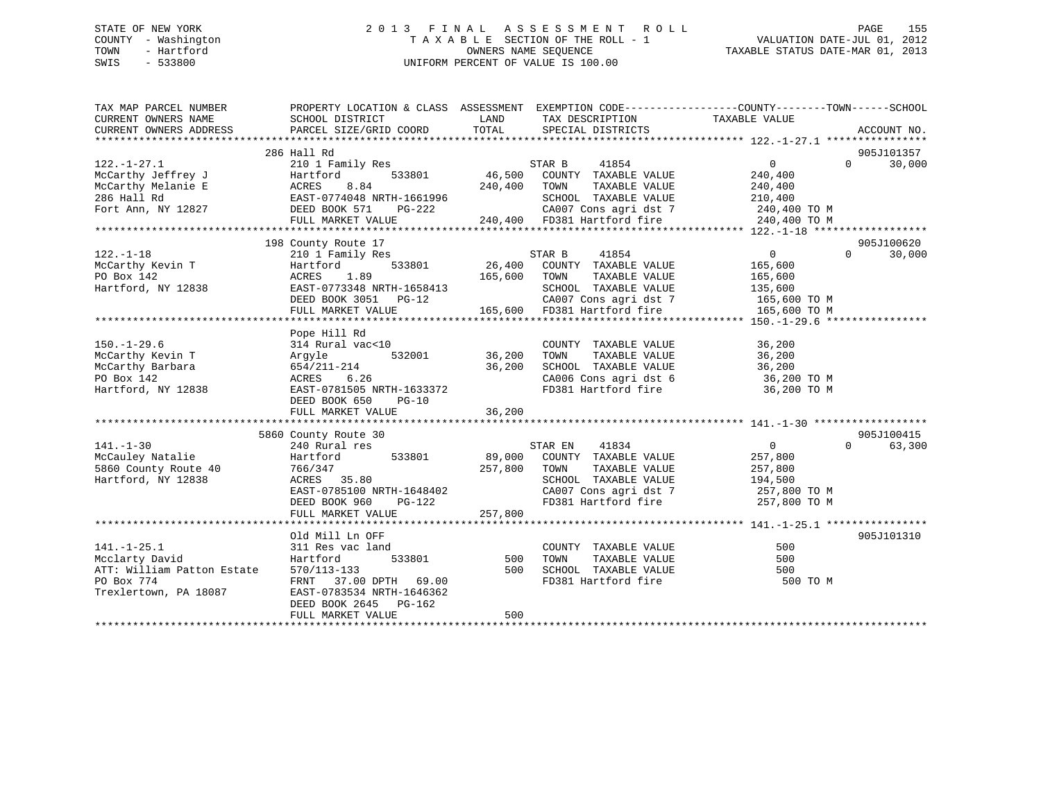## STATE OF NEW YORK 2 0 1 3 F I N A L A S S E S S M E N T R O L L PAGE 155 COUNTY - Washington T A X A B L E SECTION OF THE ROLL - 1 VALUATION DATE-JUL 01, 2012 TOWN - Hartford **TAXABLE STATUS DATE-MAR 01, 2013** SWIS - 533800 UNIFORM PERCENT OF VALUE IS 100.00

| TAXABLE VALUE<br>CURRENT OWNERS NAME<br>SCHOOL DISTRICT<br>LAND<br>TAX DESCRIPTION<br>TOTAL<br>CURRENT OWNERS ADDRESS<br>PARCEL SIZE/GRID COORD<br>SPECIAL DISTRICTS<br>ACCOUNT NO. |            |
|-------------------------------------------------------------------------------------------------------------------------------------------------------------------------------------|------------|
|                                                                                                                                                                                     |            |
|                                                                                                                                                                                     |            |
| 286 Hall Rd                                                                                                                                                                         | 905J101357 |
| $122. - 1 - 27.1$<br>210 1 Family Res<br>41854<br>0<br>$\Omega$<br>STAR B                                                                                                           | 30,000     |
| 46,500<br>McCarthy Jeffrey J<br>533801<br>COUNTY TAXABLE VALUE<br>240,400<br>Hartford                                                                                               |            |
| McCarthy Melanie E<br>8.84<br>240,400<br>TAXABLE VALUE<br>ACRES<br>TOWN<br>240,400                                                                                                  |            |
| 286 Hall Rd<br>EAST-0774048 NRTH-1661996<br>SCHOOL TAXABLE VALUE<br>210,400                                                                                                         |            |
| CA007 Cons agri dst 7<br>Fort Ann, NY 12827<br>DEED BOOK 571<br>PG-222<br>240,400 TO M                                                                                              |            |
| 240,400 FD381 Hartford fire<br>240,400 TO M<br>FULL MARKET VALUE                                                                                                                    |            |
|                                                                                                                                                                                     |            |
| 198 County Route 17                                                                                                                                                                 | 905J100620 |
| $122. - 1 - 18$<br>$\overline{0}$<br>$\Omega$<br>210 1 Family Res<br>STAR B<br>41854                                                                                                | 30,000     |
| 26,400<br>533801<br>COUNTY TAXABLE VALUE<br>McCarthy Kevin T<br>Hartford<br>165,600                                                                                                 |            |
| PO Box 142<br>ACRES<br>1.89<br>165,600<br>TAXABLE VALUE<br>TOWN<br>165,600                                                                                                          |            |
| EAST-0773348 NRTH-1658413<br>Hartford, NY 12838<br>SCHOOL TAXABLE VALUE<br>135,600                                                                                                  |            |
| CA007 Cons agri dst 7<br>DEED BOOK 3051 PG-12<br>165,600 TO M                                                                                                                       |            |
| 165,600 FD381 Hartford fire<br>FULL MARKET VALUE<br>165,600 TO M                                                                                                                    |            |
|                                                                                                                                                                                     |            |
| Pope Hill Rd                                                                                                                                                                        |            |
| $150. - 1 - 29.6$<br>314 Rural vac<10<br>COUNTY TAXABLE VALUE<br>36,200                                                                                                             |            |
| 36,200<br>McCarthy Kevin T<br>532001<br>TOWN<br>TAXABLE VALUE<br>36,200<br>Argyle                                                                                                   |            |
| McCarthy Barbara<br>654/211-214<br>36,200<br>SCHOOL TAXABLE VALUE<br>36,200                                                                                                         |            |
| CA006 Cons agri dst 6 36,200 TO M<br>PO Box 142<br>ACRES<br>6.26                                                                                                                    |            |
| Hartford, NY 12838<br>EAST-0781505 NRTH-1633372<br>FD381 Hartford fire<br>36,200 TO M                                                                                               |            |
| DEED BOOK 650<br>$PG-10$                                                                                                                                                            |            |
| 36,200<br>FULL MARKET VALUE                                                                                                                                                         |            |
|                                                                                                                                                                                     |            |
| 5860 County Route 30                                                                                                                                                                | 905J100415 |
| $0 \qquad \qquad$<br>$\Omega$<br>$141. - 1 - 30$<br>240 Rural res<br>41834<br>STAR EN                                                                                               | 63,300     |
| McCauley Natalie<br>533801<br>89,000<br>COUNTY TAXABLE VALUE<br>257,800<br>Hartford                                                                                                 |            |
| 257,800<br>TAXABLE VALUE<br>5860 County Route 40<br>TOWN<br>257,800<br>766/347                                                                                                      |            |
| Hartford, NY 12838<br>ACRES 35.80<br>SCHOOL TAXABLE VALUE<br>194,500                                                                                                                |            |
| CA007 Cons agri dst 7<br>EAST-0785100 NRTH-1648402<br>257,800 TO M                                                                                                                  |            |
| FD381 Hartford fire<br>DEED BOOK 960<br>PG-122<br>257,800 TO M                                                                                                                      |            |
| 257,800<br>FULL MARKET VALUE                                                                                                                                                        |            |
|                                                                                                                                                                                     |            |
| Old Mill Ln OFF                                                                                                                                                                     | 905J101310 |
| $141. - 1 - 25.1$<br>500<br>311 Res vac land<br>COUNTY TAXABLE VALUE                                                                                                                |            |
| Mcclarty David<br>533801<br>TAXABLE VALUE<br>500<br>Hartford<br>500<br>TOWN                                                                                                         |            |
| ATT: William Patton Estate<br>500<br>SCHOOL TAXABLE VALUE<br>570/113-133<br>500                                                                                                     |            |
| PO Box 774<br>FD381 Hartford fire                                                                                                                                                   |            |
| FRNT 37.00 DPTH 69.00<br>500 TO M<br>Trexlertown, PA 18087                                                                                                                          |            |
| EAST-0783534 NRTH-1646362                                                                                                                                                           |            |
| DEED BOOK 2645<br>$PG-162$<br>500                                                                                                                                                   |            |
| FULL MARKET VALUE                                                                                                                                                                   |            |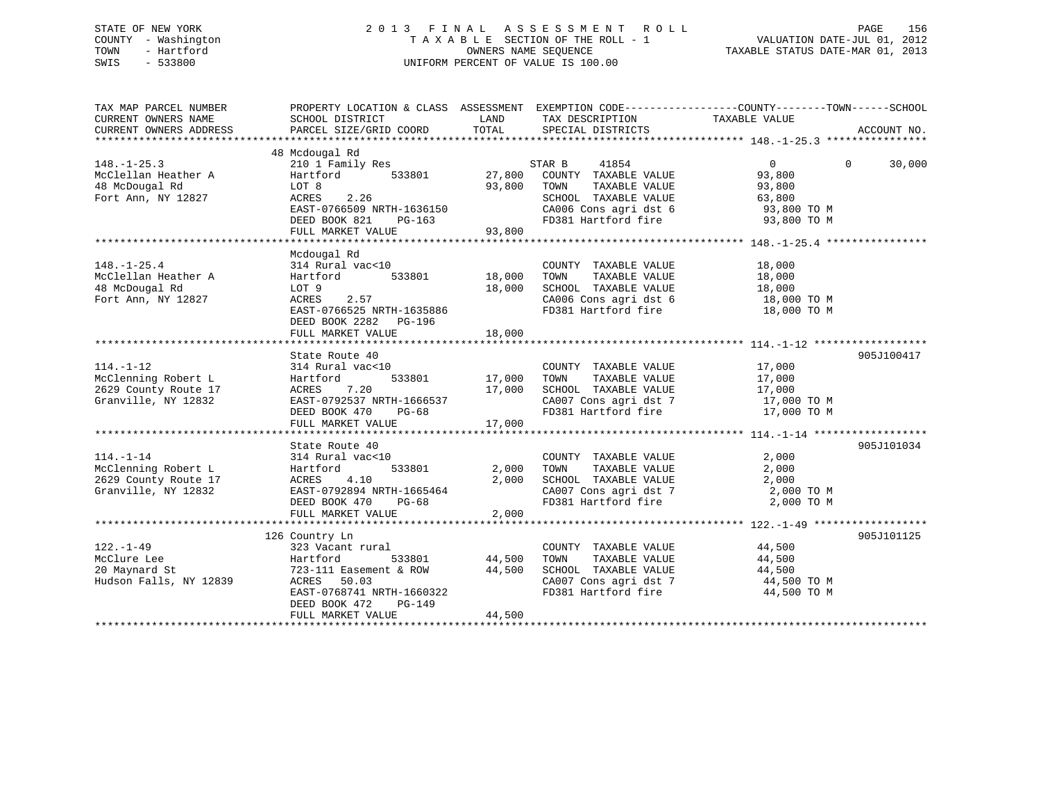## STATE OF NEW YORK 2 0 1 3 F I N A L A S S E S S M E N T R O L L PAGE 156 COUNTY - Washington T A X A B L E SECTION OF THE ROLL - 1 VALUATION DATE-JUL 01, 2012 TOWN - Hartford **TAXABLE STATUS DATE-MAR 01, 2013** SWIS - 533800 UNIFORM PERCENT OF VALUE IS 100.00

| TAX MAP PARCEL NUMBER<br>CURRENT OWNERS NAME<br>CURRENT OWNERS ADDRESS                | PROPERTY LOCATION & CLASS ASSESSMENT EXEMPTION CODE---------------COUNTY-------TOWN------SCHOOL<br>SCHOOL DISTRICT<br>PARCEL SIZE/GRID COORD                    | LAND<br>TOTAL                          | TAX DESCRIPTION TAXABLE VALUE<br>SPECIAL DISTRICTS                                                                                                   |                                                | ACCOUNT NO.        |
|---------------------------------------------------------------------------------------|-----------------------------------------------------------------------------------------------------------------------------------------------------------------|----------------------------------------|------------------------------------------------------------------------------------------------------------------------------------------------------|------------------------------------------------|--------------------|
| $148. - 1 - 25.3$<br>McClellan Heather A<br>48 McDougal Rd<br>Fort Ann, NY 12827      | 48 Mcdougal Rd<br>210 1 Family Res<br>Hartford<br>533801<br>LOT 8<br>2.26<br>ACRES<br>EAST-0766509 NRTH-1636150                                                 | 27,800<br>93,800                       | STAR B<br>41854<br>COUNTY TAXABLE VALUE<br>TAXABLE VALUE<br>TOWN<br>SCHOOL TAXABLE VALUE<br>CA006 Cons agri dst 6                                    | 0<br>93,800<br>93,800<br>63,800<br>93,800 TO M | $\Omega$<br>30,000 |
|                                                                                       | DEED BOOK 821<br>PG-163<br>FULL MARKET VALUE                                                                                                                    | 93,800                                 | FD381 Hartford fire 93,800 TO M                                                                                                                      |                                                |                    |
|                                                                                       |                                                                                                                                                                 |                                        |                                                                                                                                                      |                                                |                    |
| $148. - 1 - 25.4$<br>McClellan Heather A<br>48 McDougal Rd<br>Fort Ann, NY 12827      | Mcdougal Rd<br>314 Rural vac<10<br>Hartford<br>LOT 9<br>ACRES<br>2.57<br>EAST-0766525 NRTH-1635886<br>DEED BOOK 2282 PG-196                                     | 533801 18,000<br>18,000                | COUNTY TAXABLE VALUE<br>TOWN<br>TAXABLE VALUE<br>SCHOOL TAXABLE VALUE<br>CA006 Cons agri dst 6 18,000 TO M<br>FD381 Hartford fire                    | 18,000<br>18,000<br>18,000<br>18,000 TO M      |                    |
|                                                                                       | FULL MARKET VALUE                                                                                                                                               | 18,000                                 |                                                                                                                                                      |                                                |                    |
|                                                                                       |                                                                                                                                                                 |                                        |                                                                                                                                                      |                                                |                    |
| $114. - 1 - 12$<br>McClenning Robert L<br>2629 County Route 17<br>Granville, NY 12832 | State Route 40<br>314 Rural vac<10<br>Hartford<br>7.20<br>ACRES<br>EAST-0792537 NRTH-1666537<br>DEED BOOK 470<br>$PG-68$<br>FULL MARKET VALUE                   | _<br>533801 17,000<br>17,000<br>17,000 | COUNTY TAXABLE VALUE<br>TAXABLE VALUE<br>TOWN<br>SCHOOL TAXABLE VALUE 17,000<br>CA007 Cons agri dst 7 17,000 TO M<br>FD381 Hartford fire 17,000 TO M | 17,000<br>17,000                               | 905J100417         |
|                                                                                       |                                                                                                                                                                 |                                        |                                                                                                                                                      |                                                |                    |
| $114. - 1 - 14$<br>McClenning Robert L<br>2629 County Route 17<br>Granville, NY 12832 | State Route 40<br>314 Rural vac<10<br>533801<br>Hartford<br>ACRES 4.10<br>EAST-0792894 NRTH-1665464<br>DEED BOOK 470<br>PG-68<br>FULL MARKET VALUE              | 2,000<br>2,000<br>2,000                | COUNTY TAXABLE VALUE<br>TOWN<br>TAXABLE VALUE<br>SCHOOL TAXABLE VALUE<br>CA007 Cons agri dst 7 2,000 TO M<br>FD381 Hartford fire                     | 2,000<br>2,000<br>2,000<br>2,000 TO M          | 905J101034         |
|                                                                                       | 126 Country Ln                                                                                                                                                  |                                        |                                                                                                                                                      |                                                | 905J101125         |
| $122. - 1 - 49$<br>McClure Lee<br>20 Maynard St<br>Hudson Falls, NY 12839             | 323 Vacant rural<br>Hartford<br>533801<br>723-111 Easement & ROW<br>ACRES<br>50.03<br>EAST-0768741 NRTH-1660322<br>DEED BOOK 472<br>PG-149<br>FULL MARKET VALUE | 44,500<br>44,500<br>44,500             | COUNTY TAXABLE VALUE<br>TOWN<br>TAXABLE VALUE<br>SCHOOL TAXABLE VALUE<br>CA007 Cons agri dst 7 44,500 TO M<br>FD381 Hartford fire                    | 44,500<br>44,500<br>44,500<br>44,500 TO M      |                    |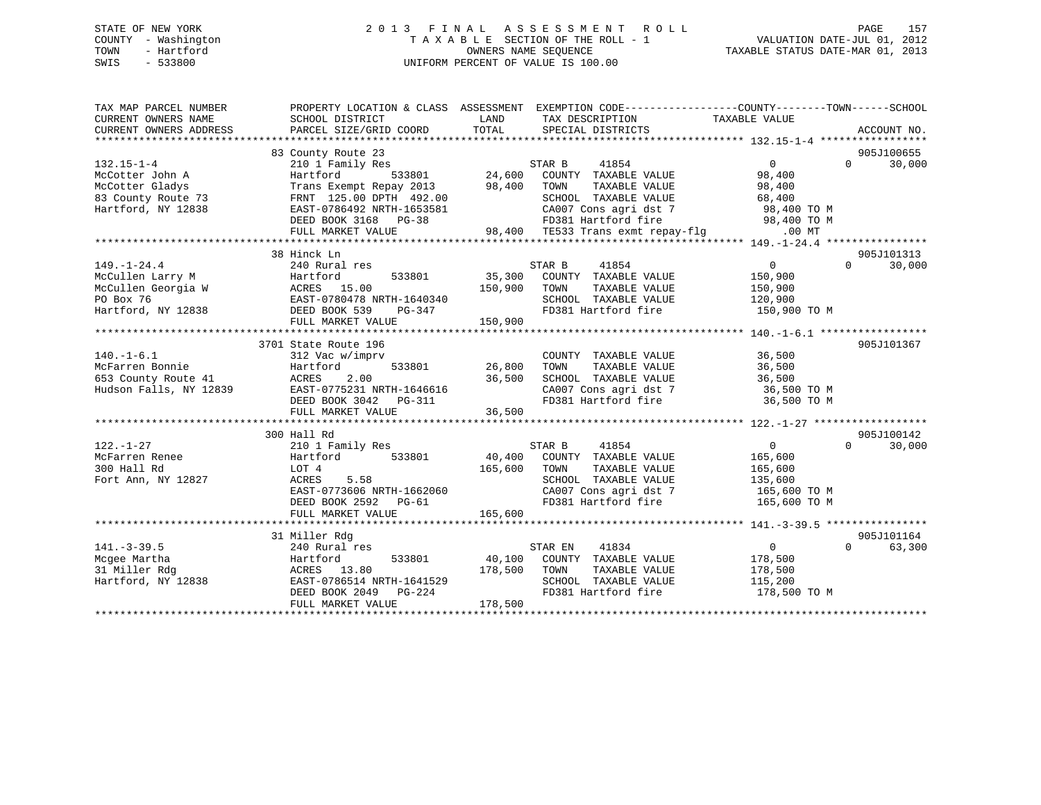## STATE OF NEW YORK 2 0 1 3 F I N A L A S S E S S M E N T R O L L PAGE 157 COUNTY - Washington T A X A B L E SECTION OF THE ROLL - 1 VALUATION DATE-JUL 01, 2012 TOWN - Hartford OWNERS NAME SEQUENCE TAXABLE STATUS DATE-MAR 01, 2013 SWIS - 533800 UNIFORM PERCENT OF VALUE IS 100.00

| TAX MAP PARCEL NUMBER              |                                                                                                    | PROPERTY LOCATION & CLASS ASSESSMENT EXEMPTION CODE---------------COUNTY-------TOWN------SCHOOL |                                      |
|------------------------------------|----------------------------------------------------------------------------------------------------|-------------------------------------------------------------------------------------------------|--------------------------------------|
| CURRENT OWNERS NAME                | SCHOOL DISTRICT                                                                                    | LAND<br>TAX DESCRIPTION                                                                         | TAXABLE VALUE                        |
| CURRENT OWNERS ADDRESS             | PARCEL SIZE/GRID COORD                                                                             | TOTAL<br>SPECIAL DISTRICTS                                                                      | ACCOUNT NO.                          |
|                                    |                                                                                                    |                                                                                                 |                                      |
|                                    | 83 County Route 23                                                                                 |                                                                                                 | 905J100655<br>$\Omega$               |
| $132.15 - 1 - 4$                   | 210 1 Family Res                                                                                   | STAR B $41854$<br>24,600 COUNTY TAXABLE VALUE                                                   | 30,000<br>$\overline{0}$             |
| McCotter John A<br>McCotter Gladys | Hartford<br>533801<br>Trans Exempt Repay 2013 98,400 TOWN                                          | TAXABLE VALUE                                                                                   | 98,400<br>98,400                     |
| 83 County Route 73                 |                                                                                                    | SCHOOL TAXABLE VALUE                                                                            | 68,400                               |
|                                    | FRNT 125.00 DPTH 492.00<br>EAST-0786492 NRTH-1653581                                               |                                                                                                 |                                      |
| Hartford, NY 12838                 | DEED BOOK 3168 PG-38                                                                               | CA007 Cons agri dst 7 98,400 TO M<br>FD381 Hartford fire 98,400 TO M                            |                                      |
|                                    | FULL MARKET VALUE                                                                                  |                                                                                                 |                                      |
|                                    |                                                                                                    |                                                                                                 |                                      |
|                                    | 38 Hinck Ln                                                                                        |                                                                                                 | 905J101313                           |
| $149. - 1 - 24.4$                  | 240 Rural res                                                                                      |                                                                                                 | $\overline{0}$<br>$\Omega$<br>30,000 |
| McCullen Larry M                   |                                                                                                    | STAR B<br>41854<br>35,300 COUNTY TAXABLE VALUE                                                  | 150,900                              |
|                                    |                                                                                                    | 150,900 TOWN<br>TAXABLE VALUE                                                                   | 150,900                              |
|                                    | McCullen Larry m<br>McCullen Georgia W<br>EAST-0780478 NRTH-1640340                                | SCHOOL TAXABLE VALUE                                                                            | 120,900                              |
|                                    | DEED BOOK 539<br>PG-347                                                                            | FD381 Hartford fire                                                                             | 150,900 TO M                         |
| Hartford, NY 12838                 |                                                                                                    | 150,900                                                                                         |                                      |
|                                    | FULL MARKET VALUE                                                                                  |                                                                                                 |                                      |
|                                    | 3701 State Route 196                                                                               |                                                                                                 | 905J101367                           |
| $140. - 1 - 6.1$                   | 312 Vac w/imprv                                                                                    | COUNTY TAXABLE VALUE                                                                            | 36,500                               |
| McFarren Bonnie                    | Hartford<br>533801                                                                                 | 26,800<br>TAXABLE VALUE<br>TOWN                                                                 | 36,500                               |
| 653 County Route 41                |                                                                                                    | SCHOOL TAXABLE VALUE                                                                            | 36,500                               |
| Hudson Falls, NY 12839             | ACRES 2.00 36,500<br>EAST-0775231 NRTH-1646616<br>DEED BOOK 3042 PG-311<br>THIM WISCOM 3042 PG-311 | CA007 Cons agri dst 7<br>CA007 Cons agri dst 7                                                  | 36,500 TO M                          |
|                                    |                                                                                                    |                                                                                                 | 36,500 TO M                          |
|                                    | FULL MARKET VALUE                                                                                  | 36,500                                                                                          |                                      |
|                                    |                                                                                                    |                                                                                                 |                                      |
|                                    | 300 Hall Rd                                                                                        |                                                                                                 | 905J100142                           |
| $122. - 1 - 27$                    | 210 1 Family Res                                                                                   | STAR B<br>41854                                                                                 | $\Omega$<br>$\overline{0}$<br>30,000 |
| McFarren Renee                     | Hartford 533801                                                                                    | 40,400 COUNTY TAXABLE VALUE                                                                     | 165,600                              |
| 300 Hall Rd                        | LOT 4                                                                                              | 165,600 TOWN<br>TAXABLE VALUE                                                                   | 165,600                              |
| Fort Ann, NY 12827                 | ACRES<br>5.58                                                                                      | SCHOOL TAXABLE VALUE                                                                            |                                      |
|                                    | EAST-0773606 NRTH-1662060                                                                          | CA007 Cons agri dst 7                                                                           | 135,600<br>165,600 TO M              |
|                                    | DEED BOOK 2592 PG-61                                                                               | FD381 Hartford fire                                                                             | 165,600 TO M                         |
|                                    | FULL MARKET VALUE                                                                                  | 165,600                                                                                         |                                      |
|                                    |                                                                                                    |                                                                                                 |                                      |
|                                    | 31 Miller Rdg                                                                                      |                                                                                                 | 905J101164                           |
| $141. - 3 - 39.5$                  | 240 Rural res                                                                                      | 41834<br>STAR EN                                                                                | 63,300<br>$\overline{0}$<br>$\Omega$ |
| Mcgee Martha                       | Hartford                                                                                           | 533801 40,100 COUNTY TAXABLE VALUE                                                              | 178,500                              |
| 31 Miller Rdg                      | ACRES 13.80                                                                                        | 178,500 TOWN<br>TAXABLE VALUE                                                                   | 178,500                              |
| Hartford, NY 12838                 | EAST-0786514 NRTH-1641529                                                                          | SCHOOL TAXABLE VALUE                                                                            | 115,200                              |
|                                    | DEED BOOK 2049 PG-224                                                                              | FD381 Hartford fire                                                                             | 178,500 TO M                         |
|                                    | FULL MARKET VALUE                                                                                  | 178,500                                                                                         |                                      |
|                                    |                                                                                                    |                                                                                                 |                                      |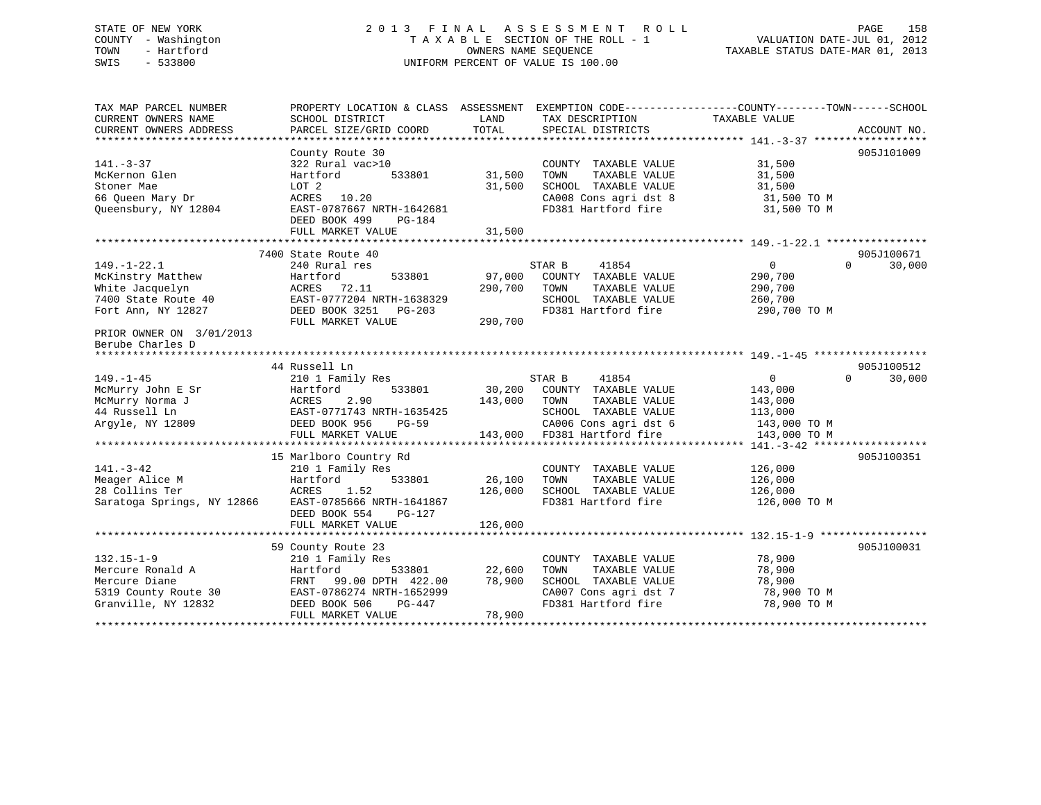## STATE OF NEW YORK 2 0 1 3 F I N A L A S S E S S M E N T R O L L PAGE 158 COUNTY - Washington T A X A B L E SECTION OF THE ROLL - 1 VALUATION DATE-JUL 01, 2012 TOWN - Hartford **TAXABLE STATUS DATE-MAR 01, 2013** SWIS - 533800 UNIFORM PERCENT OF VALUE IS 100.00

| TAX MAP PARCEL NUMBER       | PROPERTY LOCATION & CLASS ASSESSMENT |                      |                       | EXEMPTION CODE-----------------COUNTY-------TOWN------SCHOOL |                    |
|-----------------------------|--------------------------------------|----------------------|-----------------------|--------------------------------------------------------------|--------------------|
| CURRENT OWNERS NAME         | SCHOOL DISTRICT                      | LAND                 | TAX DESCRIPTION       | TAXABLE VALUE                                                |                    |
| CURRENT OWNERS ADDRESS      | PARCEL SIZE/GRID COORD               | TOTAL                | SPECIAL DISTRICTS     |                                                              | ACCOUNT NO.        |
|                             |                                      |                      |                       |                                                              |                    |
|                             | County Route 30                      |                      |                       |                                                              | 905J101009         |
| $141. - 3 - 37$             | 322 Rural vac>10                     |                      | COUNTY TAXABLE VALUE  | 31,500                                                       |                    |
| McKernon Glen               | 533801<br>Hartford                   | 31,500               | TAXABLE VALUE<br>TOWN | 31,500                                                       |                    |
| Stoner Mae                  | LOT 2                                | 31,500               | SCHOOL TAXABLE VALUE  | 31,500                                                       |                    |
| 66 Queen Mary Dr            | ACRES 10.20                          |                      | CA008 Cons agri dst 8 | 31,500 TO M                                                  |                    |
| Oueensbury, NY 12804        | EAST-0787667 NRTH-1642681            |                      | FD381 Hartford fire   | 31,500 TO M                                                  |                    |
|                             | DEED BOOK 499<br>PG-184              |                      |                       |                                                              |                    |
|                             | FULL MARKET VALUE                    | 31,500               |                       |                                                              |                    |
|                             |                                      |                      |                       |                                                              |                    |
|                             | 7400 State Route 40                  |                      |                       |                                                              | 905J100671         |
| $149. - 1 - 22.1$           | 240 Rural res                        |                      | STAR B<br>41854       | $\overline{0}$                                               | 30,000<br>$\Omega$ |
| McKinstry Matthew           | Hartford<br>533801                   | 97,000               | COUNTY TAXABLE VALUE  | 290,700                                                      |                    |
| White Jacquelyn             | ACRES<br>72.11                       | 290,700              | TOWN<br>TAXABLE VALUE | 290,700                                                      |                    |
| 7400 State Route 40         | EAST-0777204 NRTH-1638329            |                      | SCHOOL TAXABLE VALUE  | 260,700                                                      |                    |
| Fort Ann, NY 12827          | DEED BOOK 3251<br>PG-203             |                      | FD381 Hartford fire   | 290,700 TO M                                                 |                    |
|                             | FULL MARKET VALUE                    | 290,700              |                       |                                                              |                    |
| PRIOR OWNER ON 3/01/2013    |                                      |                      |                       |                                                              |                    |
| Berube Charles D            |                                      |                      |                       |                                                              |                    |
| *************************** |                                      |                      |                       |                                                              |                    |
|                             | 44 Russell Ln                        |                      |                       |                                                              | 905J100512         |
| $149. - 1 - 45$             | 210 1 Family Res                     |                      | 41854<br>STAR B       | $\mathbf 0$                                                  | 30,000<br>0        |
| McMurry John E Sr           | 533801<br>Hartford                   | 30,200               | COUNTY TAXABLE VALUE  | 143,000                                                      |                    |
| McMurry Norma J             | 2.90<br>ACRES                        | 143,000              | TOWN<br>TAXABLE VALUE | 143,000                                                      |                    |
| 44 Russell Ln               | EAST-0771743 NRTH-1635425            |                      | SCHOOL TAXABLE VALUE  | 113,000                                                      |                    |
| Argyle, NY 12809            | DEED BOOK 956<br><b>PG-59</b>        |                      | CA006 Cons agri dst 6 | 143,000 TO M                                                 |                    |
|                             | FULL MARKET VALUE                    | 143,000              | FD381 Hartford fire   | 143,000 TO M                                                 |                    |
|                             |                                      |                      |                       |                                                              |                    |
|                             | 15 Marlboro Country Rd               |                      |                       |                                                              | 905J100351         |
| $141. - 3 - 42$             | 210 1 Family Res                     |                      | COUNTY TAXABLE VALUE  | 126,000                                                      |                    |
| Meager Alice M              | Hartford<br>533801                   | 26,100               | TOWN<br>TAXABLE VALUE | 126,000                                                      |                    |
| 28 Collins Ter              | 1.52<br>ACRES                        | 126,000              | SCHOOL TAXABLE VALUE  | 126,000                                                      |                    |
| Saratoga Springs, NY 12866  | EAST-0785666 NRTH-1641867            |                      | FD381 Hartford fire   | 126,000 TO M                                                 |                    |
|                             | DEED BOOK 554<br>PG-127              |                      |                       |                                                              |                    |
|                             | FULL MARKET VALUE                    | 126,000              |                       |                                                              |                    |
|                             |                                      | ******************** |                       | ********** 132.15-1-9 ***                                    |                    |
|                             | 59 County Route 23                   |                      |                       |                                                              | 905J100031         |
| $132.15 - 1 - 9$            | 210 1 Family Res                     |                      | COUNTY TAXABLE VALUE  | 78,900                                                       |                    |
| Mercure Ronald A            | Hartford<br>533801                   | 22,600               | TAXABLE VALUE<br>TOWN | 78,900                                                       |                    |
| Mercure Diane               | 99.00 DPTH 422.00<br>FRNT            | 78,900               | SCHOOL TAXABLE VALUE  | 78,900                                                       |                    |
| 5319 County Route 30        | EAST-0786274 NRTH-1652999            |                      | CA007 Cons agri dst 7 | 78,900 TO M                                                  |                    |
| Granville, NY 12832         | DEED BOOK 506<br>PG-447              |                      | FD381 Hartford fire   | 78,900 TO M                                                  |                    |
|                             | FULL MARKET VALUE                    | 78,900               |                       |                                                              |                    |
|                             |                                      |                      |                       |                                                              |                    |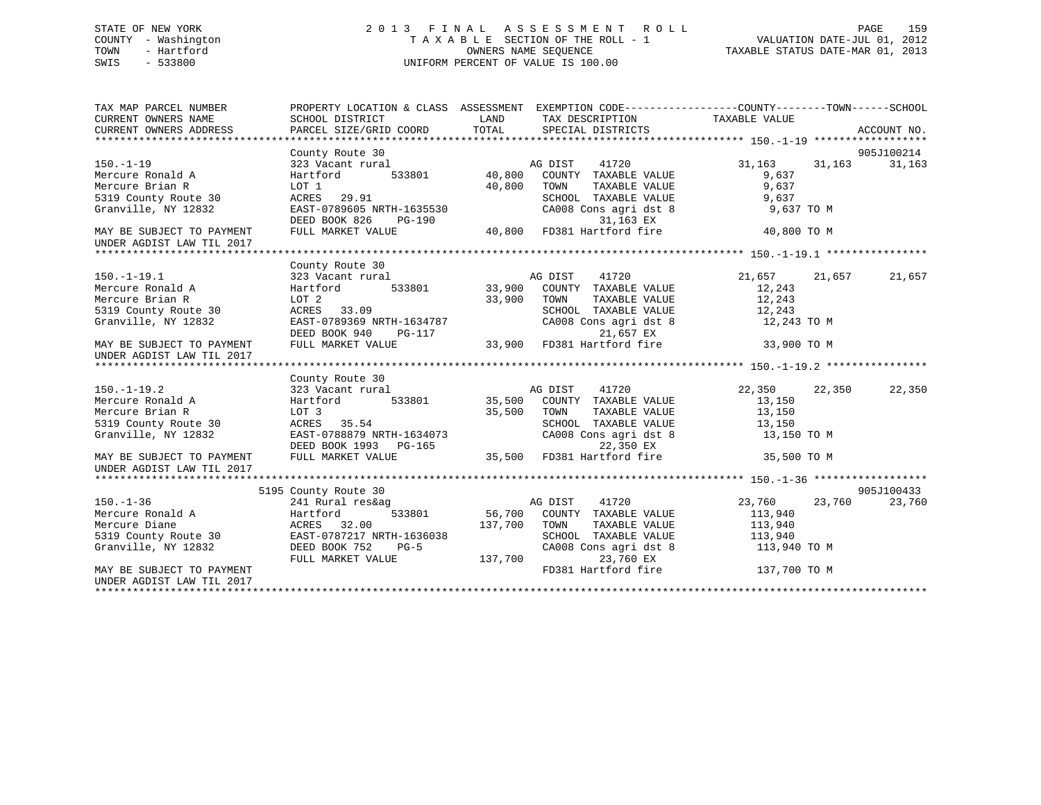## STATE OF NEW YORK 2 0 1 3 F I N A L A S S E S S M E N T R O L L PAGE 159 COUNTY - Washington T A X A B L E SECTION OF THE ROLL - 1 VALUATION DATE-JUL 01, 2012 TOWN - Hartford OWNERS NAME SEQUENCE TAXABLE STATUS DATE-MAR 01, 2013 SWIS - 533800 UNIFORM PERCENT OF VALUE IS 100.00UNIFORM PERCENT OF VALUE IS 100.00

| TAX MAP PARCEL NUMBER<br>CURRENT OWNERS NAME           | SCHOOL DISTRICT              | LAND                                                               | TAX DESCRIPTION TAXABLE VALUE                               | PROPERTY LOCATION & CLASS ASSESSMENT EXEMPTION CODE----------------COUNTY-------TOWN-----SCHOOL |             |
|--------------------------------------------------------|------------------------------|--------------------------------------------------------------------|-------------------------------------------------------------|-------------------------------------------------------------------------------------------------|-------------|
| CURRENT OWNERS ADDRESS                                 | PARCEL SIZE/GRID COORD TOTAL |                                                                    | SPECIAL DISTRICTS                                           |                                                                                                 | ACCOUNT NO. |
|                                                        | County Route 30              |                                                                    |                                                             |                                                                                                 | 905J100214  |
| $150. - 1 - 19$                                        | 323 Vacant rural             |                                                                    | 41720<br>AG DIST                                            | 31,163<br>31,163                                                                                | 31,163      |
| Mercure Ronald A                                       | Hartford                     | $\begin{array}{cc} 1 & & & & 1 \\ 533801 & & & 40,800 \end{array}$ | COUNTY TAXABLE VALUE                                        | 9,637                                                                                           |             |
| Mercure Brian R                                        | LOT 1                        | 40,800                                                             | TOWN<br>TAXABLE VALUE                                       | 9,637                                                                                           |             |
| 5319 County Route 30                                   | ACRES 29.91                  |                                                                    | SCHOOL TAXABLE VALUE                                        | 9,637                                                                                           |             |
| Granville, NY 12832                                    | EAST-0789605 NRTH-1635530    |                                                                    | CA008 Cons agri dst 8                                       | 9,637 TO M                                                                                      |             |
|                                                        | DEED BOOK 826<br>PG-190      |                                                                    | 31,163 EX                                                   |                                                                                                 |             |
| MAY BE SUBJECT TO PAYMENT                              | FULL MARKET VALUE            |                                                                    | 40,800 FD381 Hartford fire                                  | 40,800 TO M                                                                                     |             |
| UNDER AGDIST LAW TIL 2017                              |                              |                                                                    |                                                             |                                                                                                 |             |
|                                                        |                              |                                                                    |                                                             |                                                                                                 |             |
|                                                        | County Route 30              |                                                                    |                                                             |                                                                                                 |             |
| $150.-1-19.1$                                          | 323 Vacant rural             |                                                                    | 1<br>Hag bist 11720<br>133801 33,900 COUNTY TAXABLE VALUE   | 21,657 21,657                                                                                   | 21,657      |
| Mercure Ronald A                                       | Hartford                     |                                                                    |                                                             | 12,243                                                                                          |             |
| Mercure Brian R                                        | LOT 2                        | 33,900 TOWN                                                        | TAXABLE VALUE                                               | 12,243                                                                                          |             |
| 5319 County Route 30                                   | ACRES 33.09                  |                                                                    | SCHOOL TAXABLE VALUE                                        | 12,243                                                                                          |             |
| Granville, NY 12832                                    | EAST-0789369 NRTH-1634787    |                                                                    | SCHOOL TAXABLE VALUE<br>CA008 Cons agri dst 8<br>21.657 EX  | 12,243 TO M                                                                                     |             |
|                                                        | DEED BOOK 940                |                                                                    |                                                             |                                                                                                 |             |
| MAY BE SUBJECT TO PAYMENT                              | FULL MARKET VALUE            |                                                                    | PG-117<br>LUE 33,900 FD381 Hartford fire 33,900 TO M        |                                                                                                 |             |
| UNDER AGDIST LAW TIL 2017                              |                              |                                                                    |                                                             |                                                                                                 |             |
|                                                        |                              |                                                                    |                                                             |                                                                                                 |             |
|                                                        | County Route 30              |                                                                    |                                                             |                                                                                                 |             |
| $150.-1-19.2$                                          | 323 Vacant rural             |                                                                    | AG DIST<br>AG DIST 41720<br>35,500 COUNTY TAXABLE VALUE     | 22,350<br>22,350                                                                                | 22,350      |
| Mercure Ronald A                                       | 533801<br>Hartford           |                                                                    |                                                             | 13,150                                                                                          |             |
| Mercure Brian R                                        | LOT 3                        | 35,500                                                             | TOWN<br>TAXABLE VALUE                                       | 13,150                                                                                          |             |
| 5319 County Route 30                                   | ACRES 35.54                  |                                                                    |                                                             |                                                                                                 |             |
| Granville, NY 12832                                    | EAST-0788879 NRTH-1634073    |                                                                    | SCHOOL TAXABLE VALUE 13,150<br>CA008 Cons agri dst 8 13,150 | 13,150 TO M                                                                                     |             |
|                                                        | DEED BOOK 1993 PG-165        |                                                                    | 22,350 EX                                                   |                                                                                                 |             |
| MAY BE SUBJECT TO PAYMENT<br>UNDER AGDIST LAW TIL 2017 | FULL MARKET VALUE            |                                                                    | 35,500 FD381 Hartford fire                                  | 35,500 TO M                                                                                     |             |
|                                                        |                              |                                                                    |                                                             |                                                                                                 |             |
|                                                        | 5195 County Route 30         |                                                                    |                                                             |                                                                                                 | 905J100433  |
| $150. - 1 - 36$                                        | 241 Rural res&ag             |                                                                    | AG DIST<br>41720                                            | 23,760 23,760                                                                                   | 23,760      |
| Mercure Ronald A                                       | Hartford<br>533801           |                                                                    | 56,700 COUNTY TAXABLE VALUE                                 | 113,940                                                                                         |             |
| Mercure Diane                                          | ACRES 32.00                  | 137,700                                                            | TOWN<br>TAXABLE VALUE                                       | 113,940                                                                                         |             |
| 5319 County Route 30                                   | EAST-0787217 NRTH-1636038    |                                                                    | SCHOOL TAXABLE VALUE                                        | 113,940                                                                                         |             |
| Granville, NY 12832                                    | DEED BOOK 752<br>$PG-5$      |                                                                    | CA008 Cons agri dst 8                                       | 113,940 TO M                                                                                    |             |
|                                                        | FULL MARKET VALUE            | 137,700                                                            | 23,760 EX                                                   |                                                                                                 |             |
| MAY BE SUBJECT TO PAYMENT                              |                              |                                                                    | FD381 Hartford fire                                         | 137,700 TO M                                                                                    |             |
| UNDER AGDIST LAW TIL 2017                              |                              |                                                                    |                                                             |                                                                                                 |             |
|                                                        |                              |                                                                    |                                                             |                                                                                                 |             |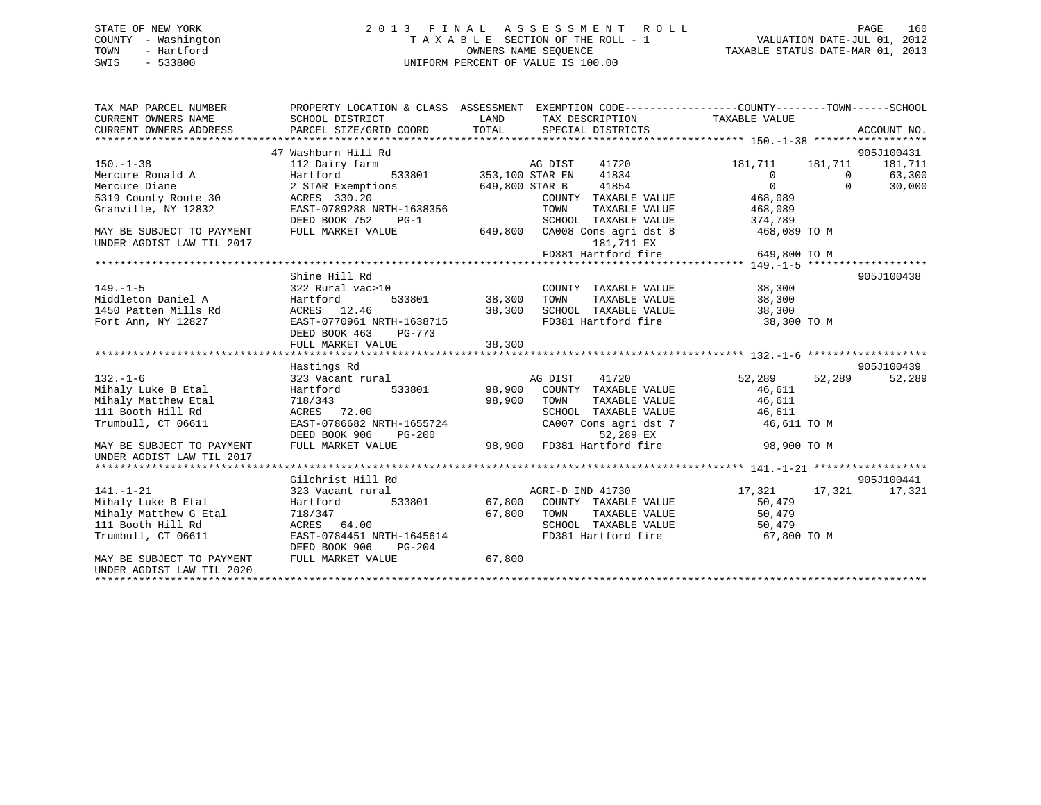## STATE OF NEW YORK 2 0 1 3 F I N A L A S S E S S M E N T R O L L PAGE 160 COUNTY - Washington T A X A B L E SECTION OF THE ROLL - 1 VALUATION DATE-JUL 01, 2012 TOWN - Hartford **TAXABLE STATUS DATE-MAR 01, 2013** SWIS - 533800 UNIFORM PERCENT OF VALUE IS 100.00

| TAX MAP PARCEL NUMBER<br>CURRENT OWNERS NAME<br>CURRENT OWNERS ADDRESS | PROPERTY LOCATION & CLASS ASSESSMENT EXEMPTION CODE---------------COUNTY-------TOWN------SCHOOL<br>SCHOOL DISTRICT<br>PARCEL SIZE/GRID COORD | LAND<br>TOTAL      | TAX DESCRIPTION TAXABLE VALUE<br>SPECIAL DISTRICTS                       |                |          | ACCOUNT NO. |
|------------------------------------------------------------------------|----------------------------------------------------------------------------------------------------------------------------------------------|--------------------|--------------------------------------------------------------------------|----------------|----------|-------------|
|                                                                        | 47 Washburn Hill Rd                                                                                                                          |                    |                                                                          |                |          | 905J100431  |
| $150. - 1 - 38$                                                        | 112 Dairy farm                                                                                                                               |                    | 41720                                                                    | 181,711        | 181,711  | 181,711     |
| Mercure Ronald A                                                       | rm AG DIST<br>533801 353,100 STAR EN<br>Hartford                                                                                             |                    | 41834                                                                    | $\overline{0}$ | $\Omega$ | 63,300      |
| Mercure Diane                                                          | 2 STAR Exemptions                                                                                                                            | 649,800 STAR B     | 41854                                                                    | $\Omega$       | $\Omega$ | 30,000      |
| 5319 County Route 30                                                   | ACRES 330.20                                                                                                                                 |                    | COUNTY TAXABLE VALUE                                                     | 468,089        |          |             |
| Granville, NY 12832                                                    | EAST-0789288 NRTH-1638356                                                                                                                    |                    | TOWN<br>TAXABLE VALUE                                                    | 468,089        |          |             |
|                                                                        | DEED BOOK 752<br>$PG-1$                                                                                                                      |                    | SCHOOL TAXABLE VALUE                                                     | 374,789        |          |             |
| MAY BE SUBJECT TO PAYMENT                                              | FULL MARKET VALUE                                                                                                                            |                    | 649,800 CA008 Cons agri dst 8                                            | 468,089 TO M   |          |             |
| UNDER AGDIST LAW TIL 2017                                              |                                                                                                                                              |                    | 181,711 EX                                                               |                |          |             |
|                                                                        |                                                                                                                                              |                    | FD381 Hartford fire                                                      | 649,800 TO M   |          |             |
|                                                                        |                                                                                                                                              |                    |                                                                          |                |          |             |
|                                                                        | Shine Hill Rd                                                                                                                                |                    |                                                                          |                |          | 905J100438  |
| $149. - 1 - 5$                                                         | 322 Rural vac>10                                                                                                                             |                    | COUNTY TAXABLE VALUE                                                     | 38,300         |          |             |
| Middleton Daniel A                                                     | Hartford                                                                                                                                     | 533801 38,300 TOWN | TAXABLE VALUE                                                            | 38,300         |          |             |
| 1450 Patten Mills Rd                                                   | ACRES 12.46                                                                                                                                  | 38,300             | SCHOOL TAXABLE VALUE                                                     | 38,300         |          |             |
| Fort Ann, NY 12827                                                     | EAST-0770961 NRTH-1638715                                                                                                                    |                    | FD381 Hartford fire                                                      | 38,300 TO M    |          |             |
|                                                                        | DEED BOOK 463<br>PG-773                                                                                                                      |                    |                                                                          |                |          |             |
|                                                                        | FULL MARKET VALUE                                                                                                                            | 38,300             |                                                                          |                |          |             |
|                                                                        |                                                                                                                                              |                    |                                                                          |                |          |             |
|                                                                        | Hastings Rd                                                                                                                                  |                    |                                                                          |                |          | 905J100439  |
| $132. - 1 - 6$                                                         | 323 Vacant rural                                                                                                                             |                    | AG DIST 41720                                                            | 52,289         | 52,289   | 52,289      |
| Mihaly Luke B Etal                                                     | 533801<br>Hartford                                                                                                                           |                    | 98,900 COUNTY TAXABLE VALUE                                              | 46,611         |          |             |
| Mihaly Matthew Etal                                                    | 718/343                                                                                                                                      | 98,900             | TOWN<br>TAXABLE VALUE                                                    | 46,611         |          |             |
| 111 Booth Hill Rd                                                      | ACRES 72.00                                                                                                                                  |                    | SCHOOL TAXABLE VALUE                                                     | 46,611         |          |             |
| Trumbull, CT 06611                                                     | EAST-0786682 NRTH-1655724                                                                                                                    |                    | CA007 Cons agri dst 7                                                    | 46,611 TO M    |          |             |
|                                                                        | DEED BOOK 906<br><b>PG-200</b>                                                                                                               |                    |                                                                          |                |          |             |
| MAY BE SUBJECT TO PAYMENT                                              | FULL MARKET VALUE                                                                                                                            |                    | 5724 52,289 EX<br>200 98,900 FD381 Hartford fire                         | 98,900 TO M    |          |             |
| UNDER AGDIST LAW TIL 2017                                              |                                                                                                                                              |                    |                                                                          |                |          |             |
|                                                                        |                                                                                                                                              |                    |                                                                          |                |          |             |
|                                                                        | Gilchrist Hill Rd                                                                                                                            |                    |                                                                          |                |          | 905J100441  |
| $141. - 1 - 21$                                                        | 323 Vacant rural                                                                                                                             |                    | AGRI-D IND 41730                                                         | 17,321 17,321  |          | 17,321      |
| Mihaly Luke B Etal                                                     | Hartford                                                                                                                                     |                    | 533801 67,800 COUNTY TAXABLE VALUE                                       | 50,479         |          |             |
| Mihaly Matthew G Etal                                                  | 718/347                                                                                                                                      |                    |                                                                          | 50,479         |          |             |
| 111 Booth Hill Rd                                                      | ACRES 64.00                                                                                                                                  |                    | 67,800 TOWN TAXABLE VALUE<br>SCHOOL TAXABLE VALUE<br>FD381 Hartford fire | 50,479         |          |             |
| Trumbull, CT 06611                                                     | EAST-0784451 NRTH-1645614                                                                                                                    |                    |                                                                          | 67,800 TO M    |          |             |
|                                                                        | DEED BOOK 906<br>PG-204                                                                                                                      |                    |                                                                          |                |          |             |
| MAY BE SUBJECT TO PAYMENT                                              | FULL MARKET VALUE                                                                                                                            | 67,800             |                                                                          |                |          |             |
| UNDER AGDIST LAW TIL 2020                                              |                                                                                                                                              |                    |                                                                          |                |          |             |
|                                                                        |                                                                                                                                              |                    |                                                                          |                |          |             |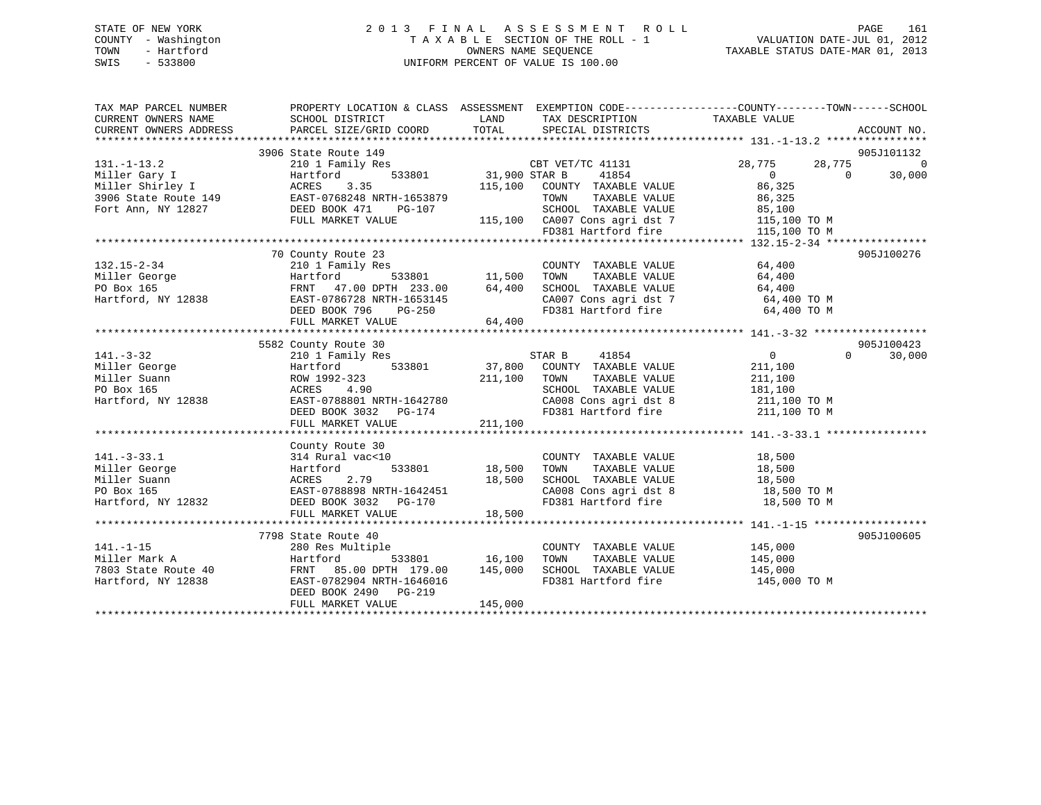## STATE OF NEW YORK 2 0 1 3 F I N A L A S S E S S M E N T R O L L PAGE 161 COUNTY - Washington T A X A B L E SECTION OF THE ROLL - 1 VALUATION DATE-JUL 01, 2012 TOWN - Hartford **TAXABLE STATUS DATE-MAR 01, 2013** SWIS - 533800 UNIFORM PERCENT OF VALUE IS 100.00

| 905J101132<br>3906 State Route 149<br>149<br>/ Res<br>533801 31,900 STAR B 41854<br>115,100 COUNTY TAXABLE VALUE<br>TOWN TAXABLE VALUE<br>TOWN TAXABLE VALUE<br>$131. -1 - 13.2$<br>28,775 28,775<br>$\overline{0}$<br>210 1 Family Res<br>Miller Gary I artford 533801 31,900<br>Miller Shirley I ACRES 3.35 115,100<br>3906 State Route 149 EAST-0768248 NRTH-1653879<br>Fort Ann, NY 12827 DEED BOOK 471 PG-107<br>FULL MARKET VALUE 115,100<br>$\begin{array}{c} 0 \\ 86,325 \end{array}$<br>$\overline{0}$<br>30,000<br>COUNTY TAXABLE VALUE<br>TAXABLE VALUE 86,325<br>3-107 SCHOOL TAXABLE VALUE 85,100<br>115,100 CA007 Cons agri dst 7 115,100 TO M<br>FD381 Hartford fire 115,100 TO M<br>FULL MARKET VALUE<br>905J100276<br>70 County Route 23<br>$\begin{tabular}{lllllll} \multicolumn{2}{c}{\textbf{COUNTY}} & \textbf{TXABLE VALUE} & & \multicolumn{2}{c}{\textbf{G4,400}} \\ \multicolumn{2}{c}{\textbf{TONN}} & \textbf{TXABLE VALUE} & & \multicolumn{2}{c}{\textbf{G4,400}} \\ \multicolumn{2}{c}{\textbf{TONN}} & \multicolumn{2}{c}{\textbf{TXABLE VALUE}} & & \multicolumn{2}{c}{\textbf{G4,400}} \\ \multicolumn{2}{c}{\textbf{TONN}} & \multicolumn{2}{c}{\textbf{TXABLE VALUE}} & & \multicolumn{2}{c}{\textbf{G4,4$<br>s<br>533801 11,500 TOWN<br>SCHOOL TAXABLE VALUE 64,400<br>CA007 Cons agri dst 7 64,400 TO M<br>FD381 Hartford fire 64,400 TO M<br>EAST-0786728 NRTH-1653145<br>DEED BOOK 796 PG-250<br>FULL MARKET VALUE 64,400<br>3582 County Route 30<br>141.-3-32<br>210 1 Family Res<br>Miller George Hartford (1992-323<br>211,100<br>211,100<br>211,100<br>211,100<br>211,100<br>211,100<br>211,100<br>211,100<br>211,100<br>211,100<br>211,100<br>211,100<br>211,100<br>211,100<br>211,100<br>21<br>County Route 30<br>vac<10<br>533801 18,500<br>$141. - 3 - 33.1$<br>314 Rural vac<10<br>$\begin{tabular}{lllllllllll} \multicolumn{2}{c}{\text{COUNTY}} & \text{TAXABLE VALUE} & & & 18\,,500 \\ \text{TOWN} & \text{TAXABLE VALUE} & & & 18\,,500 \\ \end{tabular}$<br>Miller George<br>Hartford<br>Miller Suann MIRES 2.79 18,500<br>PO Box 165 EAST-0788898 NRTH-1642451<br>Hartford, NY 12832 DEED BOOK 3032 PG-170<br>SCHOOL TAXABLE VALUE $18,500$<br>CA008 Cons agri dst 8 $18,500$ TO M<br>FD381 Hartford fire $18,500$ TO M<br>18,500<br>FULL MARKET VALUE<br>905J100605<br>7798 State Route 40<br>COUNTY TAXABLE VALUE 145,000<br>$141. - 1 - 15$<br>280 Res Multiple<br>TAXABLE VALUE 145,000<br>533801 16,100<br>Miller Mark A<br>TOWN<br>Hartford<br>7803 State Route 40<br>Hartford, NY 12838<br>FRNT 85.00 DPTH 179.00 145,000<br>SCHOOL TAXABLE VALUE 145,000<br>FD381 Hartford fire 145,000<br>145,000 TO M<br>Hartford, NY 12838<br>EAST-0782904 NRTH-1646016<br>DEED BOOK 2490 PG-219<br>FULL MARKET VALUE<br>145,000 | TAX MAP PARCEL NUMBER | PROPERTY LOCATION & CLASS ASSESSMENT EXEMPTION CODE---------------COUNTY-------TOWN-----SCHOOL |  |  |
|--------------------------------------------------------------------------------------------------------------------------------------------------------------------------------------------------------------------------------------------------------------------------------------------------------------------------------------------------------------------------------------------------------------------------------------------------------------------------------------------------------------------------------------------------------------------------------------------------------------------------------------------------------------------------------------------------------------------------------------------------------------------------------------------------------------------------------------------------------------------------------------------------------------------------------------------------------------------------------------------------------------------------------------------------------------------------------------------------------------------------------------------------------------------------------------------------------------------------------------------------------------------------------------------------------------------------------------------------------------------------------------------------------------------------------------------------------------------------------------------------------------------------------------------------------------------------------------------------------------------------------------------------------------------------------------------------------------------------------------------------------------------------------------------------------------------------------------------------------------------------------------------------------------------------------------------------------------------------------------------------------------------------------------------------------------------------------------------------------------------------------------------------------------------------------------------------------------------------------------------------------------------------------------------------------------------------------------------------------------------------------------------------------------------------------------------------------------------------------------------------------------------------------------------------------------------------------------------------------------------------------------------------------------------------------------------------------------------------------------------------------------------------------------|-----------------------|------------------------------------------------------------------------------------------------|--|--|
|                                                                                                                                                                                                                                                                                                                                                                                                                                                                                                                                                                                                                                                                                                                                                                                                                                                                                                                                                                                                                                                                                                                                                                                                                                                                                                                                                                                                                                                                                                                                                                                                                                                                                                                                                                                                                                                                                                                                                                                                                                                                                                                                                                                                                                                                                                                                                                                                                                                                                                                                                                                                                                                                                                                                                                                      |                       |                                                                                                |  |  |
|                                                                                                                                                                                                                                                                                                                                                                                                                                                                                                                                                                                                                                                                                                                                                                                                                                                                                                                                                                                                                                                                                                                                                                                                                                                                                                                                                                                                                                                                                                                                                                                                                                                                                                                                                                                                                                                                                                                                                                                                                                                                                                                                                                                                                                                                                                                                                                                                                                                                                                                                                                                                                                                                                                                                                                                      |                       |                                                                                                |  |  |
|                                                                                                                                                                                                                                                                                                                                                                                                                                                                                                                                                                                                                                                                                                                                                                                                                                                                                                                                                                                                                                                                                                                                                                                                                                                                                                                                                                                                                                                                                                                                                                                                                                                                                                                                                                                                                                                                                                                                                                                                                                                                                                                                                                                                                                                                                                                                                                                                                                                                                                                                                                                                                                                                                                                                                                                      |                       |                                                                                                |  |  |
|                                                                                                                                                                                                                                                                                                                                                                                                                                                                                                                                                                                                                                                                                                                                                                                                                                                                                                                                                                                                                                                                                                                                                                                                                                                                                                                                                                                                                                                                                                                                                                                                                                                                                                                                                                                                                                                                                                                                                                                                                                                                                                                                                                                                                                                                                                                                                                                                                                                                                                                                                                                                                                                                                                                                                                                      |                       |                                                                                                |  |  |
|                                                                                                                                                                                                                                                                                                                                                                                                                                                                                                                                                                                                                                                                                                                                                                                                                                                                                                                                                                                                                                                                                                                                                                                                                                                                                                                                                                                                                                                                                                                                                                                                                                                                                                                                                                                                                                                                                                                                                                                                                                                                                                                                                                                                                                                                                                                                                                                                                                                                                                                                                                                                                                                                                                                                                                                      |                       |                                                                                                |  |  |
|                                                                                                                                                                                                                                                                                                                                                                                                                                                                                                                                                                                                                                                                                                                                                                                                                                                                                                                                                                                                                                                                                                                                                                                                                                                                                                                                                                                                                                                                                                                                                                                                                                                                                                                                                                                                                                                                                                                                                                                                                                                                                                                                                                                                                                                                                                                                                                                                                                                                                                                                                                                                                                                                                                                                                                                      |                       |                                                                                                |  |  |
|                                                                                                                                                                                                                                                                                                                                                                                                                                                                                                                                                                                                                                                                                                                                                                                                                                                                                                                                                                                                                                                                                                                                                                                                                                                                                                                                                                                                                                                                                                                                                                                                                                                                                                                                                                                                                                                                                                                                                                                                                                                                                                                                                                                                                                                                                                                                                                                                                                                                                                                                                                                                                                                                                                                                                                                      |                       |                                                                                                |  |  |
|                                                                                                                                                                                                                                                                                                                                                                                                                                                                                                                                                                                                                                                                                                                                                                                                                                                                                                                                                                                                                                                                                                                                                                                                                                                                                                                                                                                                                                                                                                                                                                                                                                                                                                                                                                                                                                                                                                                                                                                                                                                                                                                                                                                                                                                                                                                                                                                                                                                                                                                                                                                                                                                                                                                                                                                      |                       |                                                                                                |  |  |
|                                                                                                                                                                                                                                                                                                                                                                                                                                                                                                                                                                                                                                                                                                                                                                                                                                                                                                                                                                                                                                                                                                                                                                                                                                                                                                                                                                                                                                                                                                                                                                                                                                                                                                                                                                                                                                                                                                                                                                                                                                                                                                                                                                                                                                                                                                                                                                                                                                                                                                                                                                                                                                                                                                                                                                                      |                       |                                                                                                |  |  |
|                                                                                                                                                                                                                                                                                                                                                                                                                                                                                                                                                                                                                                                                                                                                                                                                                                                                                                                                                                                                                                                                                                                                                                                                                                                                                                                                                                                                                                                                                                                                                                                                                                                                                                                                                                                                                                                                                                                                                                                                                                                                                                                                                                                                                                                                                                                                                                                                                                                                                                                                                                                                                                                                                                                                                                                      |                       |                                                                                                |  |  |
|                                                                                                                                                                                                                                                                                                                                                                                                                                                                                                                                                                                                                                                                                                                                                                                                                                                                                                                                                                                                                                                                                                                                                                                                                                                                                                                                                                                                                                                                                                                                                                                                                                                                                                                                                                                                                                                                                                                                                                                                                                                                                                                                                                                                                                                                                                                                                                                                                                                                                                                                                                                                                                                                                                                                                                                      |                       |                                                                                                |  |  |
|                                                                                                                                                                                                                                                                                                                                                                                                                                                                                                                                                                                                                                                                                                                                                                                                                                                                                                                                                                                                                                                                                                                                                                                                                                                                                                                                                                                                                                                                                                                                                                                                                                                                                                                                                                                                                                                                                                                                                                                                                                                                                                                                                                                                                                                                                                                                                                                                                                                                                                                                                                                                                                                                                                                                                                                      |                       |                                                                                                |  |  |
|                                                                                                                                                                                                                                                                                                                                                                                                                                                                                                                                                                                                                                                                                                                                                                                                                                                                                                                                                                                                                                                                                                                                                                                                                                                                                                                                                                                                                                                                                                                                                                                                                                                                                                                                                                                                                                                                                                                                                                                                                                                                                                                                                                                                                                                                                                                                                                                                                                                                                                                                                                                                                                                                                                                                                                                      |                       |                                                                                                |  |  |
|                                                                                                                                                                                                                                                                                                                                                                                                                                                                                                                                                                                                                                                                                                                                                                                                                                                                                                                                                                                                                                                                                                                                                                                                                                                                                                                                                                                                                                                                                                                                                                                                                                                                                                                                                                                                                                                                                                                                                                                                                                                                                                                                                                                                                                                                                                                                                                                                                                                                                                                                                                                                                                                                                                                                                                                      |                       |                                                                                                |  |  |
|                                                                                                                                                                                                                                                                                                                                                                                                                                                                                                                                                                                                                                                                                                                                                                                                                                                                                                                                                                                                                                                                                                                                                                                                                                                                                                                                                                                                                                                                                                                                                                                                                                                                                                                                                                                                                                                                                                                                                                                                                                                                                                                                                                                                                                                                                                                                                                                                                                                                                                                                                                                                                                                                                                                                                                                      |                       |                                                                                                |  |  |
|                                                                                                                                                                                                                                                                                                                                                                                                                                                                                                                                                                                                                                                                                                                                                                                                                                                                                                                                                                                                                                                                                                                                                                                                                                                                                                                                                                                                                                                                                                                                                                                                                                                                                                                                                                                                                                                                                                                                                                                                                                                                                                                                                                                                                                                                                                                                                                                                                                                                                                                                                                                                                                                                                                                                                                                      |                       |                                                                                                |  |  |
|                                                                                                                                                                                                                                                                                                                                                                                                                                                                                                                                                                                                                                                                                                                                                                                                                                                                                                                                                                                                                                                                                                                                                                                                                                                                                                                                                                                                                                                                                                                                                                                                                                                                                                                                                                                                                                                                                                                                                                                                                                                                                                                                                                                                                                                                                                                                                                                                                                                                                                                                                                                                                                                                                                                                                                                      |                       |                                                                                                |  |  |
|                                                                                                                                                                                                                                                                                                                                                                                                                                                                                                                                                                                                                                                                                                                                                                                                                                                                                                                                                                                                                                                                                                                                                                                                                                                                                                                                                                                                                                                                                                                                                                                                                                                                                                                                                                                                                                                                                                                                                                                                                                                                                                                                                                                                                                                                                                                                                                                                                                                                                                                                                                                                                                                                                                                                                                                      |                       |                                                                                                |  |  |
|                                                                                                                                                                                                                                                                                                                                                                                                                                                                                                                                                                                                                                                                                                                                                                                                                                                                                                                                                                                                                                                                                                                                                                                                                                                                                                                                                                                                                                                                                                                                                                                                                                                                                                                                                                                                                                                                                                                                                                                                                                                                                                                                                                                                                                                                                                                                                                                                                                                                                                                                                                                                                                                                                                                                                                                      |                       |                                                                                                |  |  |
|                                                                                                                                                                                                                                                                                                                                                                                                                                                                                                                                                                                                                                                                                                                                                                                                                                                                                                                                                                                                                                                                                                                                                                                                                                                                                                                                                                                                                                                                                                                                                                                                                                                                                                                                                                                                                                                                                                                                                                                                                                                                                                                                                                                                                                                                                                                                                                                                                                                                                                                                                                                                                                                                                                                                                                                      |                       |                                                                                                |  |  |
|                                                                                                                                                                                                                                                                                                                                                                                                                                                                                                                                                                                                                                                                                                                                                                                                                                                                                                                                                                                                                                                                                                                                                                                                                                                                                                                                                                                                                                                                                                                                                                                                                                                                                                                                                                                                                                                                                                                                                                                                                                                                                                                                                                                                                                                                                                                                                                                                                                                                                                                                                                                                                                                                                                                                                                                      |                       |                                                                                                |  |  |
|                                                                                                                                                                                                                                                                                                                                                                                                                                                                                                                                                                                                                                                                                                                                                                                                                                                                                                                                                                                                                                                                                                                                                                                                                                                                                                                                                                                                                                                                                                                                                                                                                                                                                                                                                                                                                                                                                                                                                                                                                                                                                                                                                                                                                                                                                                                                                                                                                                                                                                                                                                                                                                                                                                                                                                                      |                       |                                                                                                |  |  |
|                                                                                                                                                                                                                                                                                                                                                                                                                                                                                                                                                                                                                                                                                                                                                                                                                                                                                                                                                                                                                                                                                                                                                                                                                                                                                                                                                                                                                                                                                                                                                                                                                                                                                                                                                                                                                                                                                                                                                                                                                                                                                                                                                                                                                                                                                                                                                                                                                                                                                                                                                                                                                                                                                                                                                                                      |                       |                                                                                                |  |  |
|                                                                                                                                                                                                                                                                                                                                                                                                                                                                                                                                                                                                                                                                                                                                                                                                                                                                                                                                                                                                                                                                                                                                                                                                                                                                                                                                                                                                                                                                                                                                                                                                                                                                                                                                                                                                                                                                                                                                                                                                                                                                                                                                                                                                                                                                                                                                                                                                                                                                                                                                                                                                                                                                                                                                                                                      |                       |                                                                                                |  |  |
|                                                                                                                                                                                                                                                                                                                                                                                                                                                                                                                                                                                                                                                                                                                                                                                                                                                                                                                                                                                                                                                                                                                                                                                                                                                                                                                                                                                                                                                                                                                                                                                                                                                                                                                                                                                                                                                                                                                                                                                                                                                                                                                                                                                                                                                                                                                                                                                                                                                                                                                                                                                                                                                                                                                                                                                      |                       |                                                                                                |  |  |
|                                                                                                                                                                                                                                                                                                                                                                                                                                                                                                                                                                                                                                                                                                                                                                                                                                                                                                                                                                                                                                                                                                                                                                                                                                                                                                                                                                                                                                                                                                                                                                                                                                                                                                                                                                                                                                                                                                                                                                                                                                                                                                                                                                                                                                                                                                                                                                                                                                                                                                                                                                                                                                                                                                                                                                                      |                       |                                                                                                |  |  |
|                                                                                                                                                                                                                                                                                                                                                                                                                                                                                                                                                                                                                                                                                                                                                                                                                                                                                                                                                                                                                                                                                                                                                                                                                                                                                                                                                                                                                                                                                                                                                                                                                                                                                                                                                                                                                                                                                                                                                                                                                                                                                                                                                                                                                                                                                                                                                                                                                                                                                                                                                                                                                                                                                                                                                                                      |                       |                                                                                                |  |  |
|                                                                                                                                                                                                                                                                                                                                                                                                                                                                                                                                                                                                                                                                                                                                                                                                                                                                                                                                                                                                                                                                                                                                                                                                                                                                                                                                                                                                                                                                                                                                                                                                                                                                                                                                                                                                                                                                                                                                                                                                                                                                                                                                                                                                                                                                                                                                                                                                                                                                                                                                                                                                                                                                                                                                                                                      |                       |                                                                                                |  |  |
|                                                                                                                                                                                                                                                                                                                                                                                                                                                                                                                                                                                                                                                                                                                                                                                                                                                                                                                                                                                                                                                                                                                                                                                                                                                                                                                                                                                                                                                                                                                                                                                                                                                                                                                                                                                                                                                                                                                                                                                                                                                                                                                                                                                                                                                                                                                                                                                                                                                                                                                                                                                                                                                                                                                                                                                      |                       |                                                                                                |  |  |
|                                                                                                                                                                                                                                                                                                                                                                                                                                                                                                                                                                                                                                                                                                                                                                                                                                                                                                                                                                                                                                                                                                                                                                                                                                                                                                                                                                                                                                                                                                                                                                                                                                                                                                                                                                                                                                                                                                                                                                                                                                                                                                                                                                                                                                                                                                                                                                                                                                                                                                                                                                                                                                                                                                                                                                                      |                       |                                                                                                |  |  |
|                                                                                                                                                                                                                                                                                                                                                                                                                                                                                                                                                                                                                                                                                                                                                                                                                                                                                                                                                                                                                                                                                                                                                                                                                                                                                                                                                                                                                                                                                                                                                                                                                                                                                                                                                                                                                                                                                                                                                                                                                                                                                                                                                                                                                                                                                                                                                                                                                                                                                                                                                                                                                                                                                                                                                                                      |                       |                                                                                                |  |  |
|                                                                                                                                                                                                                                                                                                                                                                                                                                                                                                                                                                                                                                                                                                                                                                                                                                                                                                                                                                                                                                                                                                                                                                                                                                                                                                                                                                                                                                                                                                                                                                                                                                                                                                                                                                                                                                                                                                                                                                                                                                                                                                                                                                                                                                                                                                                                                                                                                                                                                                                                                                                                                                                                                                                                                                                      |                       |                                                                                                |  |  |
|                                                                                                                                                                                                                                                                                                                                                                                                                                                                                                                                                                                                                                                                                                                                                                                                                                                                                                                                                                                                                                                                                                                                                                                                                                                                                                                                                                                                                                                                                                                                                                                                                                                                                                                                                                                                                                                                                                                                                                                                                                                                                                                                                                                                                                                                                                                                                                                                                                                                                                                                                                                                                                                                                                                                                                                      |                       |                                                                                                |  |  |
|                                                                                                                                                                                                                                                                                                                                                                                                                                                                                                                                                                                                                                                                                                                                                                                                                                                                                                                                                                                                                                                                                                                                                                                                                                                                                                                                                                                                                                                                                                                                                                                                                                                                                                                                                                                                                                                                                                                                                                                                                                                                                                                                                                                                                                                                                                                                                                                                                                                                                                                                                                                                                                                                                                                                                                                      |                       |                                                                                                |  |  |
|                                                                                                                                                                                                                                                                                                                                                                                                                                                                                                                                                                                                                                                                                                                                                                                                                                                                                                                                                                                                                                                                                                                                                                                                                                                                                                                                                                                                                                                                                                                                                                                                                                                                                                                                                                                                                                                                                                                                                                                                                                                                                                                                                                                                                                                                                                                                                                                                                                                                                                                                                                                                                                                                                                                                                                                      |                       |                                                                                                |  |  |
|                                                                                                                                                                                                                                                                                                                                                                                                                                                                                                                                                                                                                                                                                                                                                                                                                                                                                                                                                                                                                                                                                                                                                                                                                                                                                                                                                                                                                                                                                                                                                                                                                                                                                                                                                                                                                                                                                                                                                                                                                                                                                                                                                                                                                                                                                                                                                                                                                                                                                                                                                                                                                                                                                                                                                                                      |                       |                                                                                                |  |  |
|                                                                                                                                                                                                                                                                                                                                                                                                                                                                                                                                                                                                                                                                                                                                                                                                                                                                                                                                                                                                                                                                                                                                                                                                                                                                                                                                                                                                                                                                                                                                                                                                                                                                                                                                                                                                                                                                                                                                                                                                                                                                                                                                                                                                                                                                                                                                                                                                                                                                                                                                                                                                                                                                                                                                                                                      |                       |                                                                                                |  |  |
|                                                                                                                                                                                                                                                                                                                                                                                                                                                                                                                                                                                                                                                                                                                                                                                                                                                                                                                                                                                                                                                                                                                                                                                                                                                                                                                                                                                                                                                                                                                                                                                                                                                                                                                                                                                                                                                                                                                                                                                                                                                                                                                                                                                                                                                                                                                                                                                                                                                                                                                                                                                                                                                                                                                                                                                      |                       |                                                                                                |  |  |
|                                                                                                                                                                                                                                                                                                                                                                                                                                                                                                                                                                                                                                                                                                                                                                                                                                                                                                                                                                                                                                                                                                                                                                                                                                                                                                                                                                                                                                                                                                                                                                                                                                                                                                                                                                                                                                                                                                                                                                                                                                                                                                                                                                                                                                                                                                                                                                                                                                                                                                                                                                                                                                                                                                                                                                                      |                       |                                                                                                |  |  |
|                                                                                                                                                                                                                                                                                                                                                                                                                                                                                                                                                                                                                                                                                                                                                                                                                                                                                                                                                                                                                                                                                                                                                                                                                                                                                                                                                                                                                                                                                                                                                                                                                                                                                                                                                                                                                                                                                                                                                                                                                                                                                                                                                                                                                                                                                                                                                                                                                                                                                                                                                                                                                                                                                                                                                                                      |                       |                                                                                                |  |  |
|                                                                                                                                                                                                                                                                                                                                                                                                                                                                                                                                                                                                                                                                                                                                                                                                                                                                                                                                                                                                                                                                                                                                                                                                                                                                                                                                                                                                                                                                                                                                                                                                                                                                                                                                                                                                                                                                                                                                                                                                                                                                                                                                                                                                                                                                                                                                                                                                                                                                                                                                                                                                                                                                                                                                                                                      |                       |                                                                                                |  |  |
|                                                                                                                                                                                                                                                                                                                                                                                                                                                                                                                                                                                                                                                                                                                                                                                                                                                                                                                                                                                                                                                                                                                                                                                                                                                                                                                                                                                                                                                                                                                                                                                                                                                                                                                                                                                                                                                                                                                                                                                                                                                                                                                                                                                                                                                                                                                                                                                                                                                                                                                                                                                                                                                                                                                                                                                      |                       |                                                                                                |  |  |
|                                                                                                                                                                                                                                                                                                                                                                                                                                                                                                                                                                                                                                                                                                                                                                                                                                                                                                                                                                                                                                                                                                                                                                                                                                                                                                                                                                                                                                                                                                                                                                                                                                                                                                                                                                                                                                                                                                                                                                                                                                                                                                                                                                                                                                                                                                                                                                                                                                                                                                                                                                                                                                                                                                                                                                                      |                       |                                                                                                |  |  |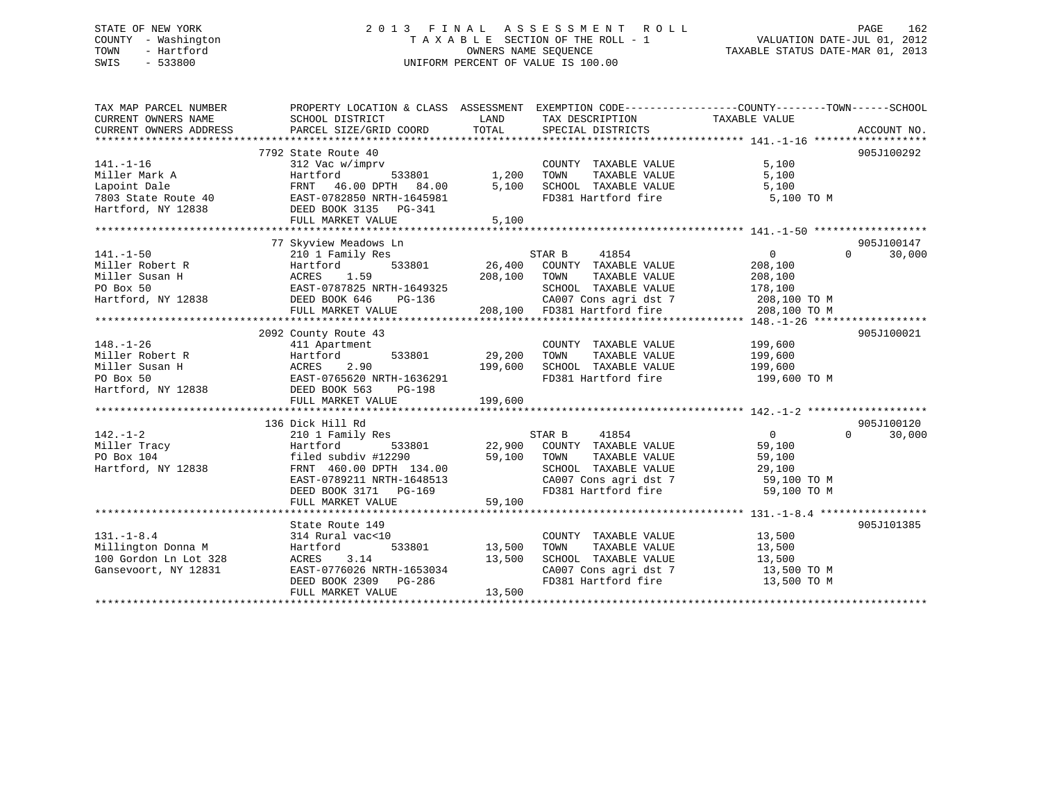## STATE OF NEW YORK 2 0 1 3 F I N A L A S S E S S M E N T R O L L PAGE 162 COUNTY - Washington T A X A B L E SECTION OF THE ROLL - 1 VALUATION DATE-JUL 01, 2012 TOWN - Hartford **TAXABLE STATUS DATE-MAR 01, 2013** SWIS - 533800 UNIFORM PERCENT OF VALUE IS 100.00

| TAX MAP PARCEL NUMBER<br>CURRENT OWNERS NAME<br>CURRENT OWNERS ADDRESS                                                                                                                                                                                          | PROPERTY LOCATION & CLASS ASSESSMENT EXEMPTION CODE---------------COUNTY-------TOWN-----SCHOOL<br>SCHOOL DISTRICT<br>PARCEL SIZE/GRID COORD                                                                                                                                                                                                                                                          | LAND<br>TOTAL      | TAX DESCRIPTION<br>SPECIAL DISTRICTS                             | TAXABLE VALUE              | ACCOUNT NO.        |
|-----------------------------------------------------------------------------------------------------------------------------------------------------------------------------------------------------------------------------------------------------------------|------------------------------------------------------------------------------------------------------------------------------------------------------------------------------------------------------------------------------------------------------------------------------------------------------------------------------------------------------------------------------------------------------|--------------------|------------------------------------------------------------------|----------------------------|--------------------|
|                                                                                                                                                                                                                                                                 |                                                                                                                                                                                                                                                                                                                                                                                                      |                    |                                                                  |                            |                    |
|                                                                                                                                                                                                                                                                 | 7792 State Route 40                                                                                                                                                                                                                                                                                                                                                                                  |                    |                                                                  |                            | 905J100292         |
| $141. - 1 - 16$                                                                                                                                                                                                                                                 | 312 Vac w/imprv                                                                                                                                                                                                                                                                                                                                                                                      |                    | COUNTY TAXABLE VALUE                                             | 5,100                      |                    |
| Miller Mark A                                                                                                                                                                                                                                                   | Hartford                                                                                                                                                                                                                                                                                                                                                                                             | $533801$ 1,200     | TAXABLE VALUE<br>TOWN                                            | 5,100                      |                    |
| Lapoint Dale                                                                                                                                                                                                                                                    | FRNT 46.00 DPTH 84.00                                                                                                                                                                                                                                                                                                                                                                                | 5,100              | SCHOOL TAXABLE VALUE                                             | 5,100                      |                    |
| 7803 State Route 40 EAST-0782850 NRTH-1645981                                                                                                                                                                                                                   |                                                                                                                                                                                                                                                                                                                                                                                                      |                    | FD381 Hartford fire                                              | 5,100 TO M                 |                    |
| Hartford, NY 12838 DEED BOOK 3135 PG-341                                                                                                                                                                                                                        |                                                                                                                                                                                                                                                                                                                                                                                                      |                    |                                                                  |                            |                    |
|                                                                                                                                                                                                                                                                 | FULL MARKET VALUE                                                                                                                                                                                                                                                                                                                                                                                    | 5,100              |                                                                  |                            |                    |
|                                                                                                                                                                                                                                                                 |                                                                                                                                                                                                                                                                                                                                                                                                      |                    |                                                                  |                            |                    |
|                                                                                                                                                                                                                                                                 | 77 Skyview Meadows Ln                                                                                                                                                                                                                                                                                                                                                                                |                    |                                                                  |                            | 905J100147         |
| $141. - 1 - 50$                                                                                                                                                                                                                                                 | 210 1 Family Res                                                                                                                                                                                                                                                                                                                                                                                     |                    | STAR B 41854                                                     | $\overline{0}$             | 30,000<br>$\Omega$ |
| Miller Robert R                                                                                                                                                                                                                                                 | Hartford                                                                                                                                                                                                                                                                                                                                                                                             |                    |                                                                  | 208,100                    |                    |
| Miller Susan H<br>PO Box 50<br>Hartford, NY 12838<br>Hartford, NY 12838<br>PO BOX 646<br>DEED BOOK 646<br>PG-136                                                                                                                                                | 208,100 TOWN                                                                                                                                                                                                                                                                                                                                                                                         |                    | TAXABLE VALUE                                                    | 208,100                    |                    |
|                                                                                                                                                                                                                                                                 |                                                                                                                                                                                                                                                                                                                                                                                                      |                    | SCHOOL TAXABLE VALUE                                             | 178,100                    |                    |
|                                                                                                                                                                                                                                                                 |                                                                                                                                                                                                                                                                                                                                                                                                      |                    | CA007 Cons agri dst 7 208,100 TO M                               |                            |                    |
|                                                                                                                                                                                                                                                                 | FULL MARKET VALUE 208,100 FD381 Hartford fire 208,100 TO M                                                                                                                                                                                                                                                                                                                                           |                    |                                                                  |                            |                    |
|                                                                                                                                                                                                                                                                 |                                                                                                                                                                                                                                                                                                                                                                                                      |                    |                                                                  |                            |                    |
|                                                                                                                                                                                                                                                                 | 2092 County Route 43                                                                                                                                                                                                                                                                                                                                                                                 |                    |                                                                  |                            | 905J100021         |
| $148. - 1 - 26$                                                                                                                                                                                                                                                 | 411 Apartment                                                                                                                                                                                                                                                                                                                                                                                        |                    | COUNTY TAXABLE VALUE 199,600                                     |                            |                    |
|                                                                                                                                                                                                                                                                 |                                                                                                                                                                                                                                                                                                                                                                                                      | 533801 29,200 TOWN | TAXABLE VALUE                                                    | 199,600                    |                    |
| Miller Robert R<br>Miller Susan H<br>PO Box 50<br>Hartford, NY 12838<br>Hartford, NY 12838<br>PO Box 50<br>Hartford, NY 12838<br>PO BOR 563<br>PO BOR 563<br>PO BOR 563<br>PO BOR 563<br>PO BOR 563<br>PO BOR 563<br>PO BOR 563<br>PO BOR 563<br>PO BOR 563<br> |                                                                                                                                                                                                                                                                                                                                                                                                      |                    | SCHOOL TAXABLE VALUE 199,600                                     |                            |                    |
|                                                                                                                                                                                                                                                                 |                                                                                                                                                                                                                                                                                                                                                                                                      | 199,600            | FD381 Hartford fire 199,600 TO M                                 |                            |                    |
|                                                                                                                                                                                                                                                                 |                                                                                                                                                                                                                                                                                                                                                                                                      |                    |                                                                  |                            |                    |
|                                                                                                                                                                                                                                                                 |                                                                                                                                                                                                                                                                                                                                                                                                      |                    |                                                                  |                            |                    |
|                                                                                                                                                                                                                                                                 |                                                                                                                                                                                                                                                                                                                                                                                                      |                    |                                                                  |                            |                    |
|                                                                                                                                                                                                                                                                 |                                                                                                                                                                                                                                                                                                                                                                                                      |                    |                                                                  |                            |                    |
|                                                                                                                                                                                                                                                                 | 136 Dick Hill Rd<br>210 1 Family Res                                                                                                                                                                                                                                                                                                                                                                 |                    |                                                                  |                            | 905J100120         |
| $142. - 1 - 2$                                                                                                                                                                                                                                                  |                                                                                                                                                                                                                                                                                                                                                                                                      |                    | 41854<br>STAR B                                                  | $\overline{0}$             | $\Omega$<br>30,000 |
| Miller Tracy<br>De December 1944                                                                                                                                                                                                                                | Hartford                                                                                                                                                                                                                                                                                                                                                                                             |                    | 533801 22,900 COUNTY TAXABLE VALUE                               | 59,100                     |                    |
| PO Box 104<br>Hartford, NY 12838                                                                                                                                                                                                                                | filed subdiv #12290                                                                                                                                                                                                                                                                                                                                                                                  | 59,100 TOWN        | TAXABLE VALUE                                                    | 59,100<br>59,100<br>29,100 |                    |
|                                                                                                                                                                                                                                                                 | FRNT 460.00 DPTH 134.00                                                                                                                                                                                                                                                                                                                                                                              |                    | SCHOOL TAXABLE VALUE                                             |                            |                    |
|                                                                                                                                                                                                                                                                 | EAST-0789211 NRTH-1648513                                                                                                                                                                                                                                                                                                                                                                            |                    | CA007 Cons agri dst 7 59,100 TO M                                |                            |                    |
|                                                                                                                                                                                                                                                                 | DEED BOOK 3171 PG-169                                                                                                                                                                                                                                                                                                                                                                                |                    | FD381 Hartford fire                                              | 59,100 TO M                |                    |
|                                                                                                                                                                                                                                                                 | FULL MARKET VALUE                                                                                                                                                                                                                                                                                                                                                                                    | 59,100             |                                                                  |                            |                    |
|                                                                                                                                                                                                                                                                 |                                                                                                                                                                                                                                                                                                                                                                                                      |                    |                                                                  |                            |                    |
|                                                                                                                                                                                                                                                                 | State Route 149                                                                                                                                                                                                                                                                                                                                                                                      |                    |                                                                  |                            | 905J101385         |
| $131. - 1 - 8.4$                                                                                                                                                                                                                                                | 314 Rural vac<10                                                                                                                                                                                                                                                                                                                                                                                     |                    | COUNTY TAXABLE VALUE 13,500                                      |                            |                    |
| Millington Donna M                                                                                                                                                                                                                                              | Hartford                                                                                                                                                                                                                                                                                                                                                                                             | 533801 13,500      | TOWN<br>TAXABLE VALUE                                            | 13,500                     |                    |
| 100 Gordon Ln Lot 328                                                                                                                                                                                                                                           |                                                                                                                                                                                                                                                                                                                                                                                                      |                    | SCHOOL TAXABLE VALUE 13,500<br>CA007 Cons agri dst 7 13,500 TO M |                            |                    |
| Gansevoort, NY 12831                                                                                                                                                                                                                                            |                                                                                                                                                                                                                                                                                                                                                                                                      |                    |                                                                  |                            |                    |
|                                                                                                                                                                                                                                                                 |                                                                                                                                                                                                                                                                                                                                                                                                      |                    | FD381 Hartford fire 13,500 TO M                                  |                            |                    |
|                                                                                                                                                                                                                                                                 | $\begin{tabular}{lllll} \multicolumn{2}{c}{\begin{tabular}{l}p{0.01\textwidth}p{0.01\textwidth}p{0.01\textwidth}p{0.01\textwidth}p{0.01\textwidth}p{0.01\textwidth}p{0.01\textwidth}p{0.01\textwidth}p{0.01\textwidth}p{0.01\textwidth}p{0.01\textwidth}p{0.01\textwidth}p{0.01\textwidth}p{0.01\textwidth}p{0.01\textwidth}p{0.01\textwidth}p{0.01\textwidth}p{0.01\textwidth}p{0.01\textwidth}p{0$ |                    |                                                                  |                            |                    |
|                                                                                                                                                                                                                                                                 |                                                                                                                                                                                                                                                                                                                                                                                                      |                    |                                                                  |                            |                    |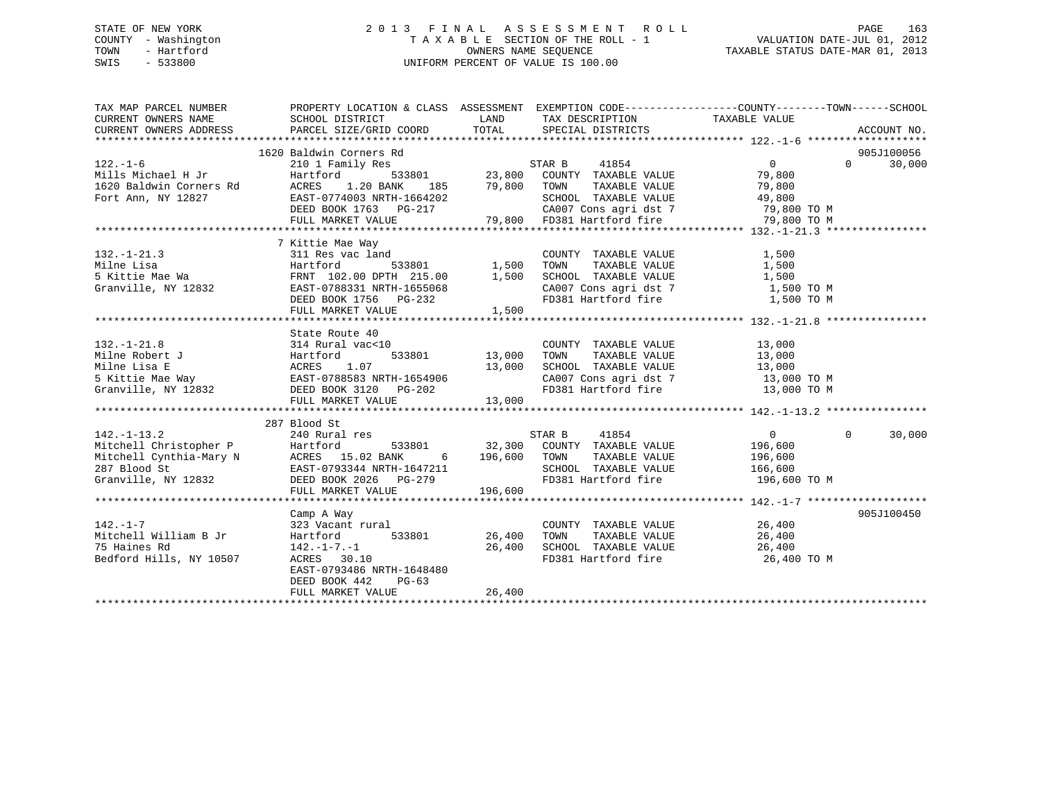## STATE OF NEW YORK 2 0 1 3 F I N A L A S S E S S M E N T R O L L PAGE 163 COUNTY - Washington T A X A B L E SECTION OF THE ROLL - 1 VALUATION DATE-JUL 01, 2012 TOWN - Hartford **TAXABLE STATUS DATE-MAR 01, 2013** SWIS - 533800 UNIFORM PERCENT OF VALUE IS 100.00

| TAX MAP PARCEL NUMBER                                                                                                                                                                                                                                                                                                                                                                                           | PROPERTY LOCATION & CLASS ASSESSMENT EXEMPTION CODE----------------COUNTY-------TOWN------SCHOOL |         |                             |                    |
|-----------------------------------------------------------------------------------------------------------------------------------------------------------------------------------------------------------------------------------------------------------------------------------------------------------------------------------------------------------------------------------------------------------------|--------------------------------------------------------------------------------------------------|---------|-----------------------------|--------------------|
| $\begin{tabular}{c cccc} \texttt{1620\textbf{1620}} & \texttt{Baldwin}\ \texttt{Corners}\ \texttt{Rd} & \texttt{STAR}\ \texttt{1620}\ \texttt{Baldwin}\ \texttt{Corners}\ \texttt{Rd} & \texttt{1854} & 0 & 0 & 30,000 \\ & 2101\text{ Family} \ \texttt{Res} & 533801 & 23,800\ \texttt{COUNT}\ \texttt{TXABLE}\ \texttt{VALUE} & 79,800 \\ & \texttt{1620\textbf{1600}} & \texttt{1620\textbf{1600}} & 0 & 3$ |                                                                                                  |         |                             |                    |
| 7 Kittie Mae Way<br>132.-1-21.3<br>1,500<br>1,500<br>5 Kittie Mae Wa<br>5 Kittie Mae Wa<br>6 FRNT 102.00 DPTH 215.00<br>6 FRNT 102.00 DPTH 215.00<br>5 Kittie Mae Wa<br>FRNT 102.00 DPTH 215.00<br>1,500<br>2007 COM TAXABLE VALUE<br>21,500<br>2007 COM                                                                                                                                                        | FULL MARKET VALUE 1,500                                                                          |         |                             |                    |
| 132.-1-21.8<br>Milne Robert J<br>Milne Lisa E<br>5 Kittie Mae Way<br>Granville, NY 12832<br>Harres 1.07<br>S Kittie Mae Way<br>EXST-0788583 NRTH-1654906<br>EXST-0788583 NRTH-1654906<br>FULL MARKET VALUE<br>FULL MARKET VALUE<br>13,000<br>FULL MARK                                                                                                                                                          | State Route 40                                                                                   | 13,000  |                             |                    |
| 28/ Blood St<br>Mitchell Christopher P<br>Mitchell Cynthia-Mary N<br>Mitchell Cynthia-Mary N<br>Mitchell Cynthia-Mary N<br>Mitchell Cynthia-Mary N<br>Mitchell Cynthia-Mary N<br>Mitchell Cynthia-Mary N<br>Mitchell Cynthia-Mary N<br>Mitchell                                                                                                                                                                 | FULL MARKET VALUE                                                                                | 196,600 |                             | $\Omega$<br>30,000 |
| $142. - 1 - 7$<br>Bedford Hills, NY 10507                                                                                                                                                                                                                                                                                                                                                                       | Camp A Way<br>camp A way<br>323 Vacant rural<br>EAST-0793486 NRTH-1648480<br>DEED BOOK 442 PG-63 |         | COUNTY TAXABLE VALUE 26,400 | 905J100450         |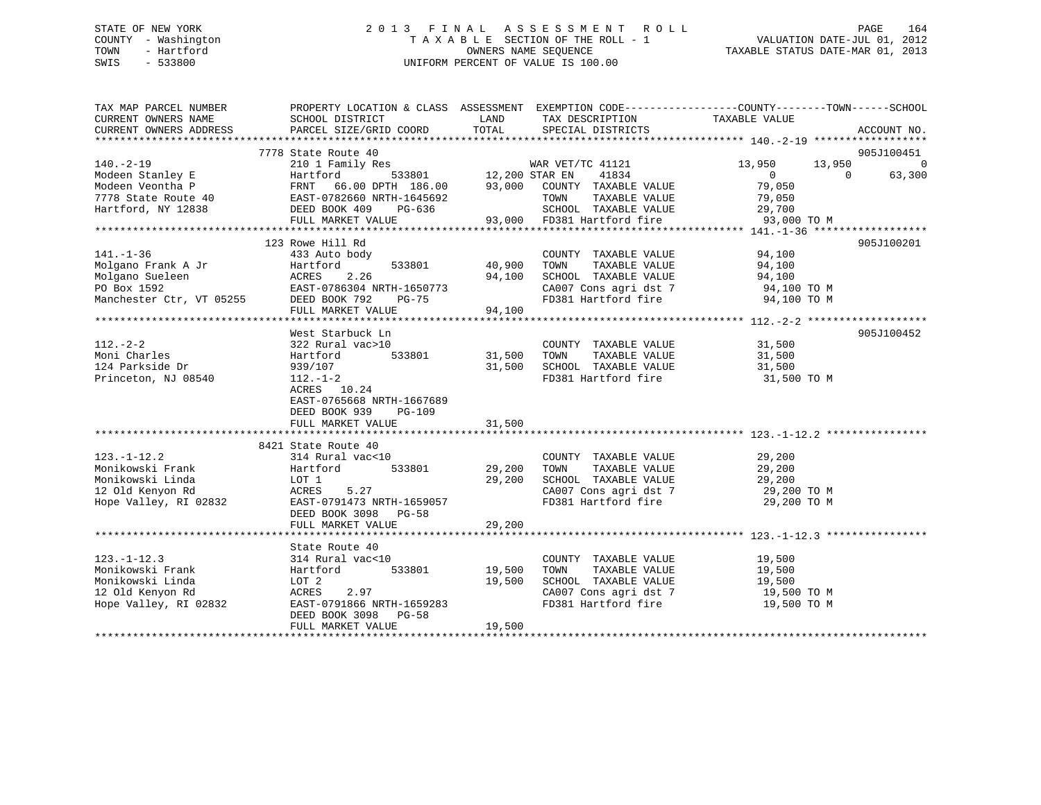## STATE OF NEW YORK 2 0 1 3 F I N A L A S S E S S M E N T R O L L PAGE 164 COUNTY - Washington T A X A B L E SECTION OF THE ROLL - 1 VALUATION DATE-JUL 01, 2012 TOWN - Hartford **TAXABLE STATUS DATE-MAR 01, 2013** OWNERS NAME SEQUENCE TAXABLE STATUS DATE-MAR 01, 2013 SWIS - 533800 UNIFORM PERCENT OF VALUE IS 100.00

| TAX MAP PARCEL NUMBER<br>CURRENT OWNERS NAME<br>CURRENT OWNERS ADDRESS                                                                                                                                                                                        | PROPERTY LOCATION & CLASS ASSESSMENT EXEMPTION CODE----------------COUNTY-------TOWN-----SCHOOL<br>SCHOOL DISTRICT<br>PARCEL SIZE/GRID COORD                 | <b>EXAMPLE THE STATE OF STATE OF STATE</b><br>TOTAL | TAX DESCRIPTION<br>SPECIAL DISTRICTS                                                                                                              | TAXABLE VALUE                             | ACCOUNT NO.            |
|---------------------------------------------------------------------------------------------------------------------------------------------------------------------------------------------------------------------------------------------------------------|--------------------------------------------------------------------------------------------------------------------------------------------------------------|-----------------------------------------------------|---------------------------------------------------------------------------------------------------------------------------------------------------|-------------------------------------------|------------------------|
|                                                                                                                                                                                                                                                               |                                                                                                                                                              |                                                     |                                                                                                                                                   |                                           |                        |
| $140. - 2 - 19$<br>140.-2-19<br>Modeen Stanley E Hartford, NY 12838<br>Modeen Veontha P EAST-0782660 NRTH-1645692<br>Hartford, NY 12838<br>EED BOOK 409 PG-636<br>FULL MARKET VALUE 93,000 FD381 Hartford fire<br>FILL MARKET VALUE 93,000 FD381 Hartford fir | 7778 State Route 40<br>210 1 Family Res                                                                                                                      |                                                     | WAR VET/TC 41121<br>533801 12,200 STAR EN 41834                                                                                                   | 13,950                                    | 905J100451<br>13,950 0 |
| $141. - 1 - 36$<br>Molgano Frank A Jr Hartford<br>Molgano Sueleen ACRES 2.26<br>PO Box 1592 EAST-0786304 N<br>Manchester Ctr, VT 05255 DEED BOOK 792                                                                                                          | 123 Rowe Hill Rd<br>433 Auto body<br>--------<br>EAST-0786304 NRTH-1650773<br>DEED BOOK 792 PG-75<br>FULL MARKET VALUE                                       | 533801 40,900<br>94,100<br>94,100                   | COUNTY TAXABLE VALUE 94,100<br>CA007 Cons agri dst 7 94,100 TO M<br>FD381 Hartford fire 94,100 TO M                                               |                                           | 905J100201             |
| $112. - 2 - 2$<br>Moni Charles<br>124 Parkside Dr<br>Princeton, NJ 08540                                                                                                                                                                                      | West Starbuck Ln<br>322 Rural vac>10<br>Hartford<br>939/107<br>$112.-1-2$<br>ACRES 10.24<br>EAST-0765668 NRTH-1667689<br>DEED BOOK 939<br>PG-109             | 533801 31,500<br>31,500                             | COUNTY TAXABLE VALUE 31,500<br>TOWN<br>SCHOOL TAXABLE VALUE 31,500<br>FD381 Hartford fire 31,500 TO M                                             | TAXABLE VALUE 31,500                      | 905J100452             |
| $123. - 1 - 12.2$<br>Nonikowski Frank<br>Monikowski Linda<br>12 Old Kenyon Rd<br>Hope Valley, RI 02832                                                                                                                                                        | 8421 State Route 40<br>314 Rural vac<10<br>533801<br>Hartford<br>LOT 1<br>5.27<br>ACRES 5.27<br>EAST-0791473 NRTH-1659057<br>DEED BOOK 3098 PG-58            | 29,200<br>29,200                                    | COUNTY TAXABLE VALUE<br>TOWN      TAXABLE VALUE<br>SCHOOL   TAXABLE VALUE<br>CA007 Cons agri dst 7 29,200 TO M<br>FD381 Hartford fire 29,200 TO M | 29,200<br>29,200<br>29,200                |                        |
| $123. - 1 - 12.3$<br>Monikowski Frank<br>Monikowski Linda<br>12 Old Kenyon Rd<br>Hope Valley, RI 02832                                                                                                                                                        | State Route 40<br>314 Rural vac<10<br>533801<br>Hartford<br>LOT 2<br>2.97<br>ACRES<br>EAST-0791866 NRTH-1659283<br>DEED BOOK 3098 PG-58<br>FULL MARKET VALUE | 19,500<br>19,500<br>19,500                          | COUNTY TAXABLE VALUE<br>TOWN<br>TAXABLE VALUE<br>SCHOOL TAXABLE VALUE<br>CA007 Cons agri dst 7 $19,500$ TO M<br>FD381 Hartford fire               | 19,500<br>19,500<br>19,500<br>19,500 TO M |                        |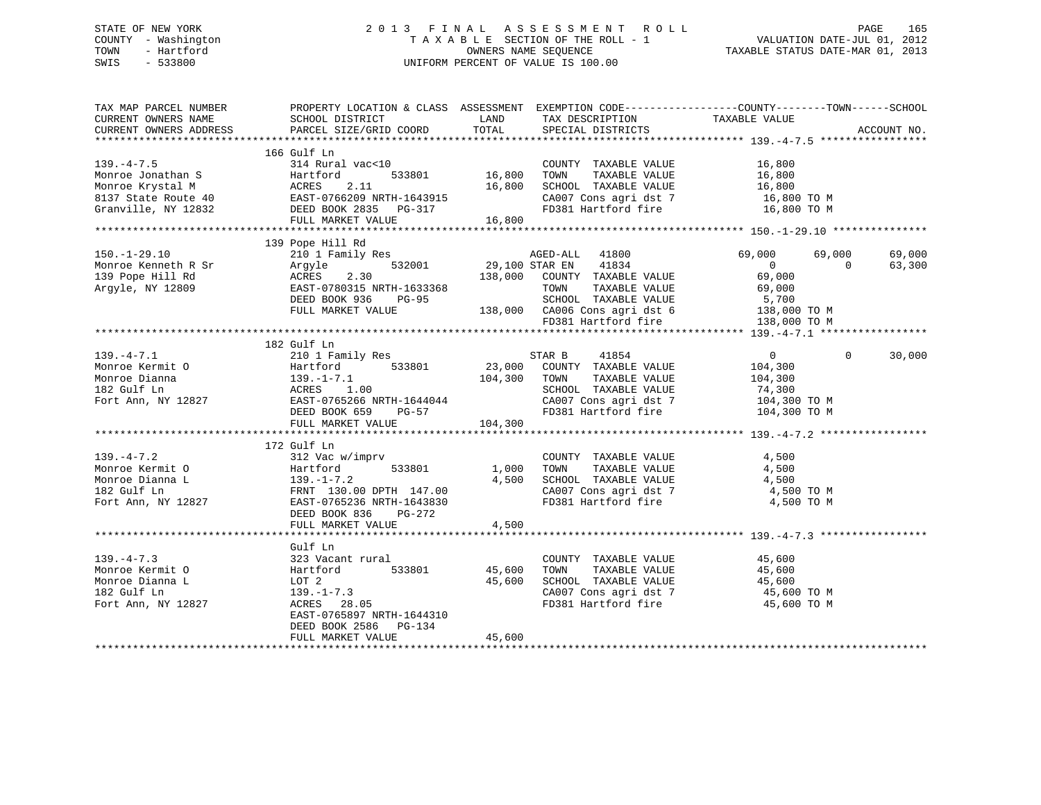## STATE OF NEW YORK 2 0 1 3 F I N A L A S S E S S M E N T R O L L PAGE 165 COUNTY - Washington T A X A B L E SECTION OF THE ROLL - 1 VALUATION DATE-JUL 01, 2012 TOWN - Hartford **TAXABLE STATUS DATE-MAR 01, 2013** SWIS - 533800 UNIFORM PERCENT OF VALUE IS 100.00

| TAX MAP PARCEL NUMBER<br>CURRENT OWNERS NAME<br>CURRENT OWNERS ADDRESS                                 | SCHOOL DISTRICT<br>PARCEL SIZE/GRID COORD                                                                                                                         | LAND<br>TOTAL                     | TAX DESCRIPTION TAXABLE VALUE SPECIAL DISTRICTS<br>SPECIAL DISTRICTS                                                                                                | PROPERTY LOCATION & CLASS ASSESSMENT EXEMPTION CODE---------------COUNTY-------TOWN-----SCHOOL              | ACCOUNT NO.      |
|--------------------------------------------------------------------------------------------------------|-------------------------------------------------------------------------------------------------------------------------------------------------------------------|-----------------------------------|---------------------------------------------------------------------------------------------------------------------------------------------------------------------|-------------------------------------------------------------------------------------------------------------|------------------|
| $139. -4 - 7.5$<br>Monroe Jonathan S<br>Monroe Krystal M<br>8137 State Route 40<br>Granville, NY 12832 | 166 Gulf Ln<br>314 Rural vac<10<br>Hartford<br>ACRES 2.11<br>EAST-0766209 NRTH-1643915<br>DEED BOOK 2835 PG-317<br>FULL MARKET VALUE                              | 533801 16,800<br>16,800<br>16,800 | COUNTY TAXABLE VALUE<br>TOWN<br>TAXABLE VALUE<br>SCHOOL TAXABLE VALUE<br>CA007 Cons agri dst 7<br>FD381 Hartford fire                                               | 16,800<br>16,800<br>16,800<br>16,800 TO M<br>16,800 TO M                                                    |                  |
|                                                                                                        | 139 Pope Hill Rd                                                                                                                                                  |                                   |                                                                                                                                                                     |                                                                                                             |                  |
| $150. - 1 - 29.10$<br>Monroe Kenneth R Sr<br>139 Pope Hill Rd<br>Argyle, NY 12809                      | 210 1 Family Res<br>Argyle<br>532001<br>2.30<br>ACRES<br>EAST-0780315 NRTH-1633368<br>DEED BOOK 936<br>PG-95<br>FULL MARKET VALUE                                 | 29,100 STAR EN                    | AGED-ALL<br>41800<br>41834<br>138,000 COUNTY TAXABLE VALUE<br>TOWN<br>TAXABLE VALUE<br>SCHOOL TAXABLE VALUE<br>138,000 CA006 Cons agri dst 6<br>FD381 Hartford fire | 69,000<br>69,000<br>$\overline{0}$<br>$\Omega$<br>69,000<br>69,000<br>5,700<br>138,000 TO M<br>138,000 TO M | 69,000<br>63,300 |
|                                                                                                        | 182 Gulf Ln                                                                                                                                                       |                                   |                                                                                                                                                                     |                                                                                                             |                  |
| $139. -4 - 7.1$<br>Monroe Kermit O<br>Monroe Dianna<br>182 Gulf Ln<br>Fort Ann, NY 12827               | 210 1 Family Res<br>Hartford<br>533801<br>139.-1<br>ACRES<br>$139. - 1 - 7.1$<br>1.00<br>EAST-0765266 NRTH-1644044<br>DEED BOOK 659<br>PG-57<br>FULL MARKET VALUE | 23,000<br>104,300 TOWN<br>104,300 | 41854<br>STAR B<br>COUNTY TAXABLE VALUE<br>TAXABLE VALUE<br>SCHOOL TAXABLE VALUE<br>CA007 Cons agri dst 7<br>FD381 Hartford fire                                    | 0<br>$\Omega$<br>104,300<br>104,300<br>74,300<br>104,300 TO M<br>104,300 TO M                               | 30,000           |
|                                                                                                        |                                                                                                                                                                   |                                   |                                                                                                                                                                     |                                                                                                             |                  |
| $139. -4 - 7.2$<br>Monroe Kermit O<br>Monroe Dianna L<br>182 Gulf Ln<br>Fort Ann, NY 12827             | 172 Gulf Ln<br>312 Vac w/imprv<br>533801<br>Hartford 533801<br>139.-1-7.2<br>FRNT 130.00 DPTH 147.00<br>EAST-0765236 NRTH-1643830<br>DEED BOOK 836<br>PG-272      | 1,000<br>4,500                    | COUNTY TAXABLE VALUE<br>TAXABLE VALUE<br>TOWN<br>SCHOOL TAXABLE VALUE<br>CA007 Cons agri dst 7<br>FD381 Hartford fire                                               | 4,500<br>4,500<br>4,500<br>4,500 TO M<br>4,500 TO M                                                         |                  |
|                                                                                                        | FULL MARKET VALUE                                                                                                                                                 | 4,500                             |                                                                                                                                                                     |                                                                                                             |                  |
|                                                                                                        | Gulf Ln                                                                                                                                                           |                                   |                                                                                                                                                                     |                                                                                                             |                  |
| $139. -4 - 7.3$<br>Monroe Kermit O<br>Monroe Dianna L<br>182 Gulf Ln<br>Fort Ann, NY 12827             | 323 Vacant rural<br>533801<br>Hartford<br>LOT 2<br>$139. - 1 - 7.3$<br>ACRES 28.05<br>EAST-0765897 NRTH-1644310<br>DEED BOOK 2586<br>PG-134                       | 45,600<br>45,600                  | COUNTY TAXABLE VALUE<br>TAXABLE VALUE<br>TOWN<br>SCHOOL TAXABLE VALUE<br>CA007 Cons agri dst 7<br>FD381 Hartford fire                                               | 45,600<br>45,600<br>45,600<br>45,600 TO M<br>45,600 TO M                                                    |                  |
|                                                                                                        | FULL MARKET VALUE                                                                                                                                                 | 45,600                            |                                                                                                                                                                     |                                                                                                             |                  |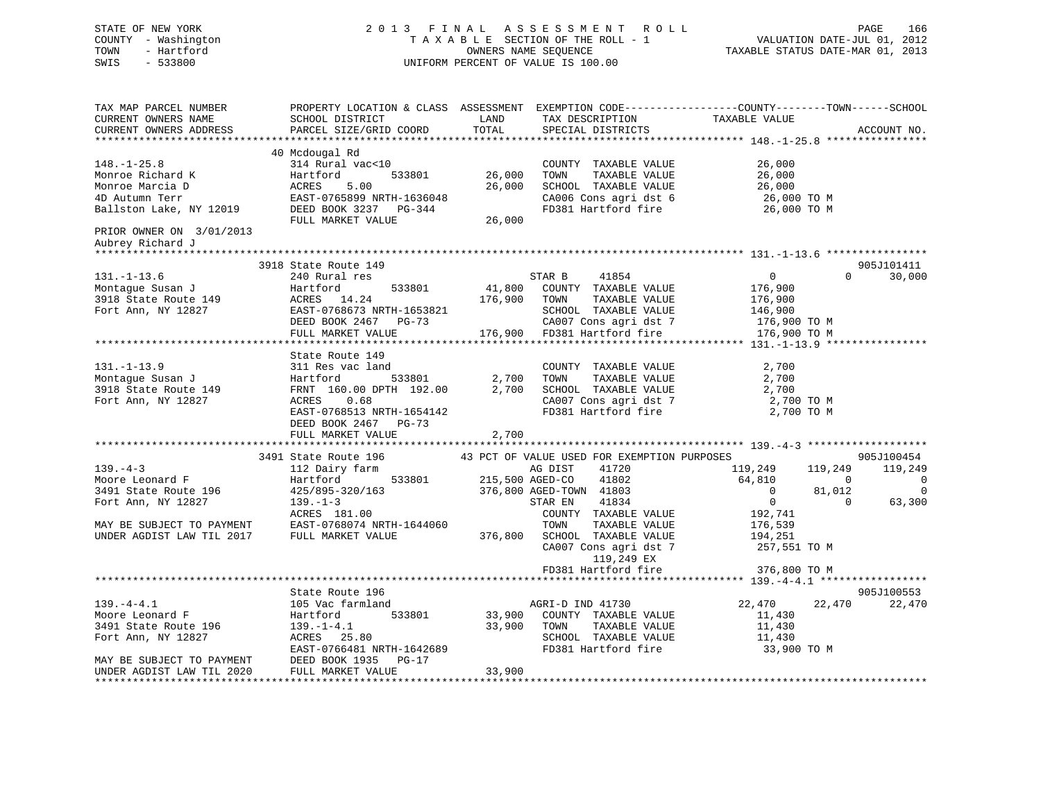## STATE OF NEW YORK 2 0 1 3 F I N A L A S S E S S M E N T R O L L PAGE 166 COUNTY - Washington T A X A B L E SECTION OF THE ROLL - 1 VALUATION DATE-JUL 01, 2012 TOWN - Hartford **TAXABLE STATUS DATE-MAR 01, 2013** OWNERS NAME SEQUENCE TAXABLE STATUS DATE-MAR 01, 2013 SWIS - 533800 UNIFORM PERCENT OF VALUE IS 100.00

| TAX MAP PARCEL NUMBER<br>CURRENT OWNERS NAME<br>CURRENT OWNERS ADDRESS                                        | PROPERTY LOCATION & CLASS ASSESSMENT EXEMPTION CODE----------------COUNTY-------TOWN------SCHOOL<br>SCHOOL DISTRICT<br>PARCEL SIZE/GRID COORD        | LAND<br>TOTAL    | TAX DESCRIPTION<br>SPECIAL DISTRICTS                                                                                                            | TAXABLE VALUE                                                                                                  | ACCOUNT NO.                                            |
|---------------------------------------------------------------------------------------------------------------|------------------------------------------------------------------------------------------------------------------------------------------------------|------------------|-------------------------------------------------------------------------------------------------------------------------------------------------|----------------------------------------------------------------------------------------------------------------|--------------------------------------------------------|
|                                                                                                               |                                                                                                                                                      |                  |                                                                                                                                                 |                                                                                                                |                                                        |
| $148. - 1 - 25.8$<br>Monroe Richard K<br>Monroe Marcia D<br>4D Autumn Terr<br>Ballston Lake, NY 12019         | 40 Mcdougal Rd<br>314 Rural vac<10<br>Hartford<br>533801<br>ACRES<br>5.00<br>EAST-0765899 NRTH-1636048<br>DEED BOOK 3237 PG-344                      | 26,000<br>26,000 | COUNTY TAXABLE VALUE<br>TOWN<br>TAXABLE VALUE<br>SCHOOL TAXABLE VALUE<br>CA006 Cons agri dst 6<br>FD381 Hartford fire                           | 26,000<br>26,000<br>26,000<br>26,000 TO M<br>26,000 TO M                                                       |                                                        |
| PRIOR OWNER ON 3/01/2013<br>Aubrey Richard J                                                                  | FULL MARKET VALUE                                                                                                                                    | 26,000           |                                                                                                                                                 |                                                                                                                |                                                        |
|                                                                                                               |                                                                                                                                                      |                  |                                                                                                                                                 |                                                                                                                |                                                        |
| $131. - 1 - 13.6$<br>Montague Susan J<br>3918 State Route 149<br>Fort Ann, NY 12827                           | 3918 State Route 149<br>240 Rural res<br>Hartford<br>533801<br>ACRES 14.24<br>EAST-0768673 NRTH-1653821<br>DEED BOOK 2467 PG-73<br>FULL MARKET VALUE | 176,900 TOWN     | STAR B<br>41854<br>41,800 COUNTY TAXABLE VALUE<br>TAXABLE VALUE<br>SCHOOL TAXABLE VALUE<br>CA007 Cons agri dst 7<br>176,900 FD381 Hartford fire | $\overline{0}$<br>$\Omega$<br>176,900<br>176,900<br>146,900<br>176,900 ТО М<br>176,900 TO M                    | 905J101411<br>30,000                                   |
|                                                                                                               | State Route 149                                                                                                                                      |                  |                                                                                                                                                 |                                                                                                                |                                                        |
| $131. - 1 - 13.9$<br>Montague Susan J<br>3918 State Route 149<br>Fort Ann, NY 12827                           | 311 Res vac land<br>533801<br>Hartford<br>FRNT 160.00 DPTH 192.00<br>ACRES 0.68<br>EAST-0768513 NRTH-1654142<br>DEED BOOK 2467 PG-73                 | 2,700<br>2,700   | COUNTY TAXABLE VALUE<br>TOWN<br>TAXABLE VALUE<br>SCHOOL TAXABLE VALUE<br>CA007 Cons agri dst 7<br>FD381 Hartford fire                           | 2,700<br>2,700<br>2,700<br>2,700 TO M<br>2,700 TO M                                                            |                                                        |
|                                                                                                               | FULL MARKET VALUE                                                                                                                                    | 2,700            |                                                                                                                                                 |                                                                                                                |                                                        |
|                                                                                                               |                                                                                                                                                      |                  |                                                                                                                                                 |                                                                                                                |                                                        |
| $139. -4-3$<br>Moore Leonard F<br>3491 State Route 196<br>Fort Ann, NY 12827                                  | 3491 State Route 196<br>112 Dairy farm<br>Hartford<br>533801<br>425/895-320/163<br>$139. - 1 - 3$<br>ACRES 181.00                                    | 215,500 AGED-CO  | 43 PCT OF VALUE USED FOR EXEMPTION PURPOSES<br>AG DIST<br>41720<br>41802<br>376,800 AGED-TOWN 41803<br>STAR EN<br>41834<br>COUNTY TAXABLE VALUE | 119,249<br>119,249<br>64,810<br>$\mathbf 0$<br>81,012<br>$\mathbf{0}$<br>$\overline{0}$<br>$\Omega$<br>192,741 | 905J100454<br>119,249<br>0<br>$\overline{0}$<br>63,300 |
| MAY BE SUBJECT TO PAYMENT<br>UNDER AGDIST LAW TIL 2017                                                        | EAST-0768074 NRTH-1644060<br>FULL MARKET VALUE                                                                                                       | 376,800          | TOWN<br>TAXABLE VALUE<br>SCHOOL TAXABLE VALUE<br>CA007 Cons agri dst 7<br>119,249 EX<br>FD381 Hartford fire                                     | 176,539<br>194,251<br>257,551 TO M<br>376,800 TO M                                                             |                                                        |
|                                                                                                               |                                                                                                                                                      |                  |                                                                                                                                                 |                                                                                                                |                                                        |
|                                                                                                               | State Route 196                                                                                                                                      |                  |                                                                                                                                                 |                                                                                                                | 905J100553                                             |
| $139. -4 - 4.1$<br>Moore Leonard F<br>3491 State Route 196<br>Fort Ann, NY 12827<br>MAY BE SUBJECT TO PAYMENT | 105 Vac farmland<br>533801<br>Hartford<br>$139. - 1 - 4.1$<br>ACRES 25.80<br>EAST-0766481 NRTH-1642689<br>DEED BOOK 1935 PG-17                       | 33,900 TOWN      | AGRI-D IND 41730<br>33,900 COUNTY TAXABLE VALUE<br>TAXABLE VALUE<br>SCHOOL TAXABLE VALUE<br>FD381 Hartford fire                                 | 22,470<br>22,470<br>11,430<br>11,430<br>11,430<br>33,900 TO M                                                  | 22,470                                                 |
| UNDER AGDIST LAW TIL 2020                                                                                     | FULL MARKET VALUE                                                                                                                                    | 33,900           |                                                                                                                                                 |                                                                                                                |                                                        |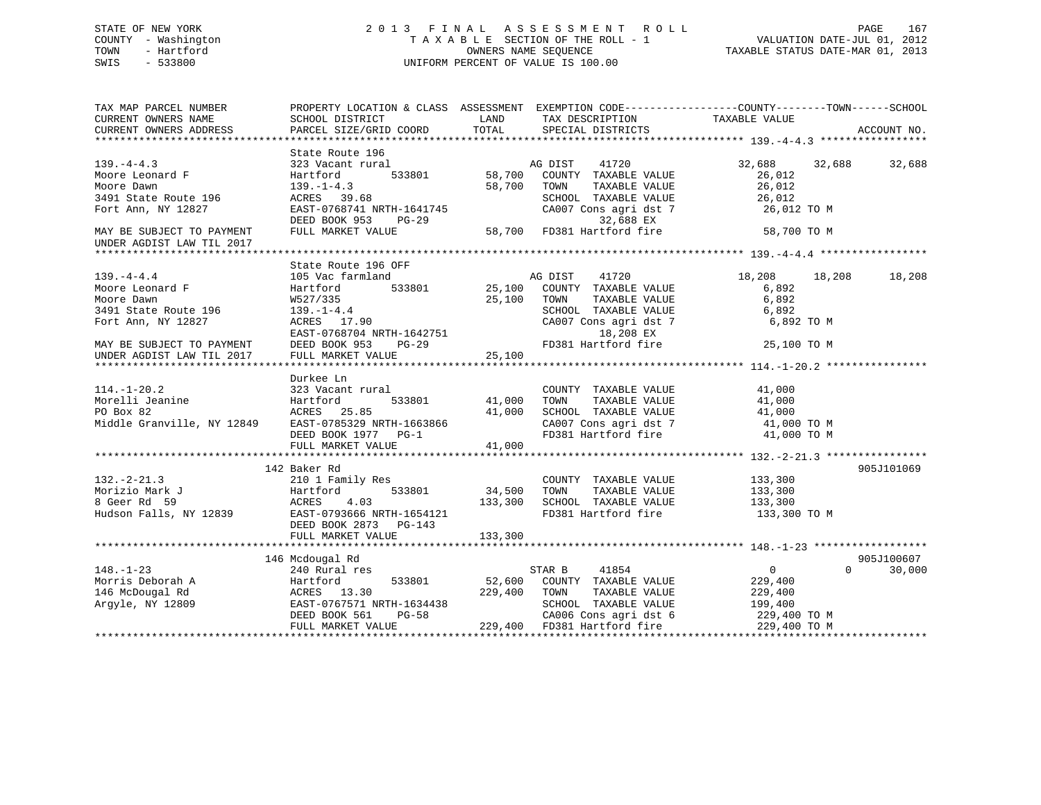## STATE OF NEW YORK 2 0 1 3 F I N A L A S S E S S M E N T R O L L PAGE 167 COUNTY - Washington T A X A B L E SECTION OF THE ROLL - 1 VALUATION DATE-JUL 01, 2012 TOWN - Hartford **TAXABLE STATUS DATE-MAR 01, 2013** SWIS - 533800 UNIFORM PERCENT OF VALUE IS 100.00

| State Route 196<br>323 Vacant rural<br>AG DIST<br>41720<br>32,688<br>32,688<br>32,688<br>Moore Leonard F<br>Hartford<br>533801<br>58,700<br>COUNTY TAXABLE VALUE<br>26,012<br>$139. - 1 - 4.3$<br>58,700<br>26,012<br>TOWN<br>TAXABLE VALUE<br>3491 State Route 196<br>ACRES 39.68<br>SCHOOL TAXABLE VALUE<br>26,012<br>CA007 Cons agri dst 7<br>EAST-0768741 NRTH-1641745<br>26,012 TO M<br>DEED BOOK 953<br>32,688 EX<br><b>PG-29</b><br>FULL MARKET VALUE<br>58,700<br>FD381 Hartford fire<br>58,700 TO M<br>State Route 196 OFF<br>AG DIST<br>105 Vac farmland<br>41720<br>18,208<br>18,208<br>18,208<br>Hartford<br>533801<br>25,100<br>COUNTY TAXABLE VALUE<br>6,892<br>TAXABLE VALUE<br>6,892<br>Moore Dawn<br>W527/335<br>25,100<br>TOWN<br>SCHOOL TAXABLE VALUE<br>$139. - 1 - 4.4$<br>6,892<br>Fort Ann, NY 12827<br>CA007 Cons agri dst 7<br>6,892 TO M<br>ACRES 17.90<br>EAST-0768704 NRTH-1642751<br>18,208 EX<br>FD381 Hartford fire<br>DEED BOOK 953<br>25,100 TO M<br>MAY BE SUBJECT TO PAYMENT<br>$PG-29$<br>25,100<br>FULL MARKET VALUE<br>Durkee Ln<br>323 Vacant rural<br>COUNTY TAXABLE VALUE<br>41,000<br>Morelli Jeanine<br>TAXABLE VALUE<br>Hartford<br>533801<br>41,000<br>TOWN<br>41,000<br>ACRES 25.85<br>41,000<br>SCHOOL TAXABLE VALUE<br>41,000<br>Middle Granville, NY 12849<br>CA007 Cons agri dst 7<br>EAST-0785329 NRTH-1663866<br>41,000 TO M<br>FD381 Hartford fire<br>DEED BOOK 1977 PG-1<br>41,000 TO M<br>41,000<br>FULL MARKET VALUE<br>142 Baker Rd<br>905J101069<br>$132 - 2 - 21.3$<br>210 1 Family Res<br>COUNTY TAXABLE VALUE<br>133,300<br>533801<br>34,500<br>TOWN<br>TAXABLE VALUE<br>Hartford<br>133,300<br>8 Geer Rd 59<br>SCHOOL TAXABLE VALUE<br>ACRES<br>4.03<br>133,300<br>133,300<br>FD381 Hartford fire<br>EAST-0793666 NRTH-1654121<br>133,300 TO M<br>DEED BOOK 2873 PG-143<br>133,300<br>FULL MARKET VALUE<br>146 Mcdougal Rd<br>905J100607<br>$148. - 1 - 23$<br>41854<br>$\overline{0}$<br>$\Omega$<br>30,000<br>240 Rural res<br>STAR B<br>533801<br>52,600<br>COUNTY TAXABLE VALUE<br>Hartford<br>229,400<br>ACRES 13.30<br>229,400<br>TOWN<br>TAXABLE VALUE<br>229,400<br>SCHOOL TAXABLE VALUE<br>EAST-0767571 NRTH-1634438<br>199,400<br>DEED BOOK 561<br>$PG-58$<br>CA006 Cons agri dst 6<br>229,400 TO M<br>229,400 FD381 Hartford fire<br>229,400 TO M<br>FULL MARKET VALUE | TAX MAP PARCEL NUMBER<br>CURRENT OWNERS NAME<br>CURRENT OWNERS ADDRESS | SCHOOL DISTRICT<br>PARCEL SIZE/GRID COORD | LAND<br>TAX DESCRIPTION<br>TOTAL<br>SPECIAL DISTRICTS | PROPERTY LOCATION & CLASS ASSESSMENT EXEMPTION CODE----------------COUNTY-------TOWN------SCHOOL<br>TAXABLE VALUE<br>ACCOUNT NO. |
|-------------------------------------------------------------------------------------------------------------------------------------------------------------------------------------------------------------------------------------------------------------------------------------------------------------------------------------------------------------------------------------------------------------------------------------------------------------------------------------------------------------------------------------------------------------------------------------------------------------------------------------------------------------------------------------------------------------------------------------------------------------------------------------------------------------------------------------------------------------------------------------------------------------------------------------------------------------------------------------------------------------------------------------------------------------------------------------------------------------------------------------------------------------------------------------------------------------------------------------------------------------------------------------------------------------------------------------------------------------------------------------------------------------------------------------------------------------------------------------------------------------------------------------------------------------------------------------------------------------------------------------------------------------------------------------------------------------------------------------------------------------------------------------------------------------------------------------------------------------------------------------------------------------------------------------------------------------------------------------------------------------------------------------------------------------------------------------------------------------------------------------------------------------------------------------------------------------------------------------------------------------------------------------------------------------------------------------------------|------------------------------------------------------------------------|-------------------------------------------|-------------------------------------------------------|----------------------------------------------------------------------------------------------------------------------------------|
|                                                                                                                                                                                                                                                                                                                                                                                                                                                                                                                                                                                                                                                                                                                                                                                                                                                                                                                                                                                                                                                                                                                                                                                                                                                                                                                                                                                                                                                                                                                                                                                                                                                                                                                                                                                                                                                                                                                                                                                                                                                                                                                                                                                                                                                                                                                                                 |                                                                        |                                           |                                                       |                                                                                                                                  |
|                                                                                                                                                                                                                                                                                                                                                                                                                                                                                                                                                                                                                                                                                                                                                                                                                                                                                                                                                                                                                                                                                                                                                                                                                                                                                                                                                                                                                                                                                                                                                                                                                                                                                                                                                                                                                                                                                                                                                                                                                                                                                                                                                                                                                                                                                                                                                 | $139. -4 - 4.3$                                                        |                                           |                                                       |                                                                                                                                  |
|                                                                                                                                                                                                                                                                                                                                                                                                                                                                                                                                                                                                                                                                                                                                                                                                                                                                                                                                                                                                                                                                                                                                                                                                                                                                                                                                                                                                                                                                                                                                                                                                                                                                                                                                                                                                                                                                                                                                                                                                                                                                                                                                                                                                                                                                                                                                                 | Moore Dawn                                                             |                                           |                                                       |                                                                                                                                  |
|                                                                                                                                                                                                                                                                                                                                                                                                                                                                                                                                                                                                                                                                                                                                                                                                                                                                                                                                                                                                                                                                                                                                                                                                                                                                                                                                                                                                                                                                                                                                                                                                                                                                                                                                                                                                                                                                                                                                                                                                                                                                                                                                                                                                                                                                                                                                                 | Fort Ann, NY 12827                                                     |                                           |                                                       |                                                                                                                                  |
|                                                                                                                                                                                                                                                                                                                                                                                                                                                                                                                                                                                                                                                                                                                                                                                                                                                                                                                                                                                                                                                                                                                                                                                                                                                                                                                                                                                                                                                                                                                                                                                                                                                                                                                                                                                                                                                                                                                                                                                                                                                                                                                                                                                                                                                                                                                                                 | MAY BE SUBJECT TO PAYMENT<br>UNDER AGDIST LAW TIL 2017                 |                                           |                                                       |                                                                                                                                  |
|                                                                                                                                                                                                                                                                                                                                                                                                                                                                                                                                                                                                                                                                                                                                                                                                                                                                                                                                                                                                                                                                                                                                                                                                                                                                                                                                                                                                                                                                                                                                                                                                                                                                                                                                                                                                                                                                                                                                                                                                                                                                                                                                                                                                                                                                                                                                                 |                                                                        |                                           |                                                       |                                                                                                                                  |
|                                                                                                                                                                                                                                                                                                                                                                                                                                                                                                                                                                                                                                                                                                                                                                                                                                                                                                                                                                                                                                                                                                                                                                                                                                                                                                                                                                                                                                                                                                                                                                                                                                                                                                                                                                                                                                                                                                                                                                                                                                                                                                                                                                                                                                                                                                                                                 | $139. -4 - 4.4$                                                        |                                           |                                                       |                                                                                                                                  |
|                                                                                                                                                                                                                                                                                                                                                                                                                                                                                                                                                                                                                                                                                                                                                                                                                                                                                                                                                                                                                                                                                                                                                                                                                                                                                                                                                                                                                                                                                                                                                                                                                                                                                                                                                                                                                                                                                                                                                                                                                                                                                                                                                                                                                                                                                                                                                 | Moore Leonard F                                                        |                                           |                                                       |                                                                                                                                  |
|                                                                                                                                                                                                                                                                                                                                                                                                                                                                                                                                                                                                                                                                                                                                                                                                                                                                                                                                                                                                                                                                                                                                                                                                                                                                                                                                                                                                                                                                                                                                                                                                                                                                                                                                                                                                                                                                                                                                                                                                                                                                                                                                                                                                                                                                                                                                                 | 3491 State Route 196                                                   |                                           |                                                       |                                                                                                                                  |
|                                                                                                                                                                                                                                                                                                                                                                                                                                                                                                                                                                                                                                                                                                                                                                                                                                                                                                                                                                                                                                                                                                                                                                                                                                                                                                                                                                                                                                                                                                                                                                                                                                                                                                                                                                                                                                                                                                                                                                                                                                                                                                                                                                                                                                                                                                                                                 |                                                                        |                                           |                                                       |                                                                                                                                  |
|                                                                                                                                                                                                                                                                                                                                                                                                                                                                                                                                                                                                                                                                                                                                                                                                                                                                                                                                                                                                                                                                                                                                                                                                                                                                                                                                                                                                                                                                                                                                                                                                                                                                                                                                                                                                                                                                                                                                                                                                                                                                                                                                                                                                                                                                                                                                                 | UNDER AGDIST LAW TIL 2017                                              |                                           |                                                       |                                                                                                                                  |
|                                                                                                                                                                                                                                                                                                                                                                                                                                                                                                                                                                                                                                                                                                                                                                                                                                                                                                                                                                                                                                                                                                                                                                                                                                                                                                                                                                                                                                                                                                                                                                                                                                                                                                                                                                                                                                                                                                                                                                                                                                                                                                                                                                                                                                                                                                                                                 |                                                                        |                                           |                                                       |                                                                                                                                  |
|                                                                                                                                                                                                                                                                                                                                                                                                                                                                                                                                                                                                                                                                                                                                                                                                                                                                                                                                                                                                                                                                                                                                                                                                                                                                                                                                                                                                                                                                                                                                                                                                                                                                                                                                                                                                                                                                                                                                                                                                                                                                                                                                                                                                                                                                                                                                                 | $114. - 1 - 20.2$                                                      |                                           |                                                       |                                                                                                                                  |
|                                                                                                                                                                                                                                                                                                                                                                                                                                                                                                                                                                                                                                                                                                                                                                                                                                                                                                                                                                                                                                                                                                                                                                                                                                                                                                                                                                                                                                                                                                                                                                                                                                                                                                                                                                                                                                                                                                                                                                                                                                                                                                                                                                                                                                                                                                                                                 | PO Box 82                                                              |                                           |                                                       |                                                                                                                                  |
|                                                                                                                                                                                                                                                                                                                                                                                                                                                                                                                                                                                                                                                                                                                                                                                                                                                                                                                                                                                                                                                                                                                                                                                                                                                                                                                                                                                                                                                                                                                                                                                                                                                                                                                                                                                                                                                                                                                                                                                                                                                                                                                                                                                                                                                                                                                                                 |                                                                        |                                           |                                                       |                                                                                                                                  |
|                                                                                                                                                                                                                                                                                                                                                                                                                                                                                                                                                                                                                                                                                                                                                                                                                                                                                                                                                                                                                                                                                                                                                                                                                                                                                                                                                                                                                                                                                                                                                                                                                                                                                                                                                                                                                                                                                                                                                                                                                                                                                                                                                                                                                                                                                                                                                 |                                                                        |                                           |                                                       |                                                                                                                                  |
|                                                                                                                                                                                                                                                                                                                                                                                                                                                                                                                                                                                                                                                                                                                                                                                                                                                                                                                                                                                                                                                                                                                                                                                                                                                                                                                                                                                                                                                                                                                                                                                                                                                                                                                                                                                                                                                                                                                                                                                                                                                                                                                                                                                                                                                                                                                                                 |                                                                        |                                           |                                                       |                                                                                                                                  |
|                                                                                                                                                                                                                                                                                                                                                                                                                                                                                                                                                                                                                                                                                                                                                                                                                                                                                                                                                                                                                                                                                                                                                                                                                                                                                                                                                                                                                                                                                                                                                                                                                                                                                                                                                                                                                                                                                                                                                                                                                                                                                                                                                                                                                                                                                                                                                 | Morizio Mark J                                                         |                                           |                                                       |                                                                                                                                  |
|                                                                                                                                                                                                                                                                                                                                                                                                                                                                                                                                                                                                                                                                                                                                                                                                                                                                                                                                                                                                                                                                                                                                                                                                                                                                                                                                                                                                                                                                                                                                                                                                                                                                                                                                                                                                                                                                                                                                                                                                                                                                                                                                                                                                                                                                                                                                                 | Hudson Falls, NY 12839                                                 |                                           |                                                       |                                                                                                                                  |
|                                                                                                                                                                                                                                                                                                                                                                                                                                                                                                                                                                                                                                                                                                                                                                                                                                                                                                                                                                                                                                                                                                                                                                                                                                                                                                                                                                                                                                                                                                                                                                                                                                                                                                                                                                                                                                                                                                                                                                                                                                                                                                                                                                                                                                                                                                                                                 |                                                                        |                                           |                                                       |                                                                                                                                  |
|                                                                                                                                                                                                                                                                                                                                                                                                                                                                                                                                                                                                                                                                                                                                                                                                                                                                                                                                                                                                                                                                                                                                                                                                                                                                                                                                                                                                                                                                                                                                                                                                                                                                                                                                                                                                                                                                                                                                                                                                                                                                                                                                                                                                                                                                                                                                                 |                                                                        |                                           |                                                       |                                                                                                                                  |
|                                                                                                                                                                                                                                                                                                                                                                                                                                                                                                                                                                                                                                                                                                                                                                                                                                                                                                                                                                                                                                                                                                                                                                                                                                                                                                                                                                                                                                                                                                                                                                                                                                                                                                                                                                                                                                                                                                                                                                                                                                                                                                                                                                                                                                                                                                                                                 |                                                                        |                                           |                                                       |                                                                                                                                  |
|                                                                                                                                                                                                                                                                                                                                                                                                                                                                                                                                                                                                                                                                                                                                                                                                                                                                                                                                                                                                                                                                                                                                                                                                                                                                                                                                                                                                                                                                                                                                                                                                                                                                                                                                                                                                                                                                                                                                                                                                                                                                                                                                                                                                                                                                                                                                                 | Morris Deborah A                                                       |                                           |                                                       |                                                                                                                                  |
|                                                                                                                                                                                                                                                                                                                                                                                                                                                                                                                                                                                                                                                                                                                                                                                                                                                                                                                                                                                                                                                                                                                                                                                                                                                                                                                                                                                                                                                                                                                                                                                                                                                                                                                                                                                                                                                                                                                                                                                                                                                                                                                                                                                                                                                                                                                                                 | 146 McDougal Rd                                                        |                                           |                                                       |                                                                                                                                  |
|                                                                                                                                                                                                                                                                                                                                                                                                                                                                                                                                                                                                                                                                                                                                                                                                                                                                                                                                                                                                                                                                                                                                                                                                                                                                                                                                                                                                                                                                                                                                                                                                                                                                                                                                                                                                                                                                                                                                                                                                                                                                                                                                                                                                                                                                                                                                                 | Arqyle, NY 12809                                                       |                                           |                                                       |                                                                                                                                  |
|                                                                                                                                                                                                                                                                                                                                                                                                                                                                                                                                                                                                                                                                                                                                                                                                                                                                                                                                                                                                                                                                                                                                                                                                                                                                                                                                                                                                                                                                                                                                                                                                                                                                                                                                                                                                                                                                                                                                                                                                                                                                                                                                                                                                                                                                                                                                                 |                                                                        |                                           |                                                       |                                                                                                                                  |
|                                                                                                                                                                                                                                                                                                                                                                                                                                                                                                                                                                                                                                                                                                                                                                                                                                                                                                                                                                                                                                                                                                                                                                                                                                                                                                                                                                                                                                                                                                                                                                                                                                                                                                                                                                                                                                                                                                                                                                                                                                                                                                                                                                                                                                                                                                                                                 |                                                                        |                                           |                                                       |                                                                                                                                  |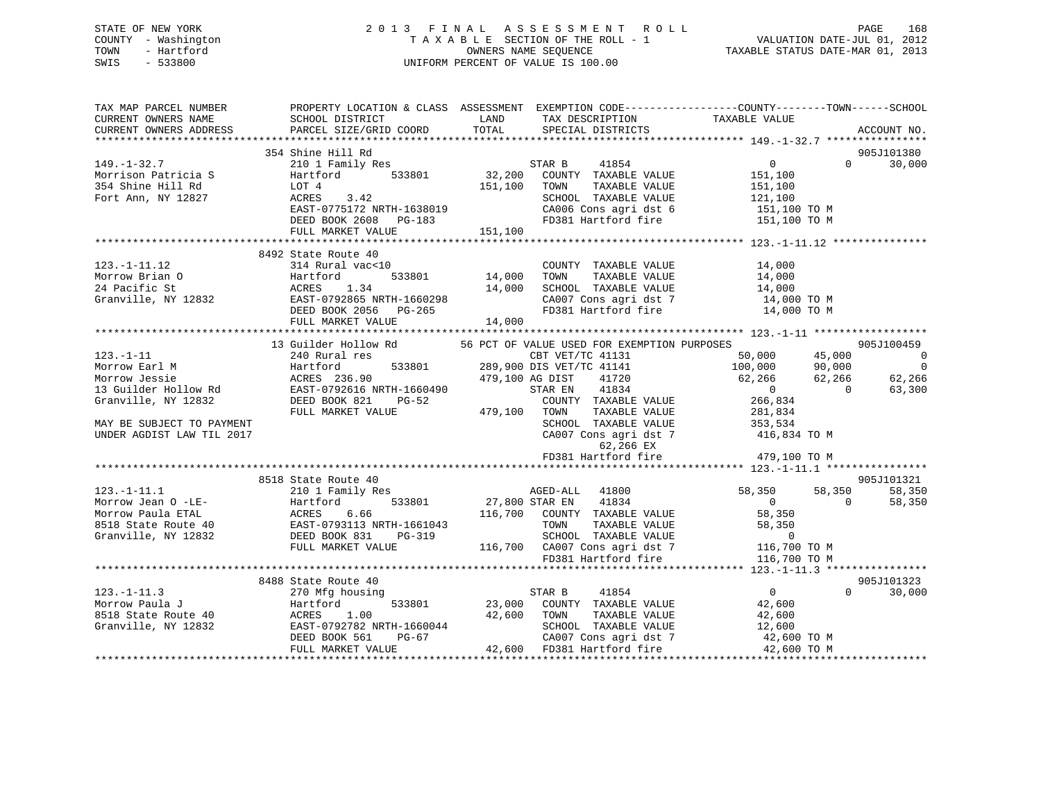## STATE OF NEW YORK 2 0 1 3 F I N A L A S S E S S M E N T R O L L PAGE 168 COUNTY - Washington T A X A B L E SECTION OF THE ROLL - 1 VALUATION DATE-JUL 01, 2012 TOWN - Hartford **TAXABLE STATUS DATE-MAR 01, 2013** SWIS - 533800 UNIFORM PERCENT OF VALUE IS 100.00

| TAX MAP PARCEL NUMBER<br>CURRENT OWNERS NAME<br>CURRENT OWNERS ADDRESS | SCHOOL DISTRICT<br>PARCEL SIZE/GRID COORD                                                                                                                                                                                                                                                                                                           | TOTAL                         | LAND TAX DESCRIPTION<br>SPECIAL DISTRICTS                                                                                                                                                                                                                                                                        | PROPERTY LOCATION & CLASS ASSESSMENT EXEMPTION CODE---------------COUNTY-------TOWN-----SCHOOL<br>TAXABLE VALUE                                                                                                                             | ACCOUNT NO.                     |
|------------------------------------------------------------------------|-----------------------------------------------------------------------------------------------------------------------------------------------------------------------------------------------------------------------------------------------------------------------------------------------------------------------------------------------------|-------------------------------|------------------------------------------------------------------------------------------------------------------------------------------------------------------------------------------------------------------------------------------------------------------------------------------------------------------|---------------------------------------------------------------------------------------------------------------------------------------------------------------------------------------------------------------------------------------------|---------------------------------|
|                                                                        |                                                                                                                                                                                                                                                                                                                                                     |                               |                                                                                                                                                                                                                                                                                                                  |                                                                                                                                                                                                                                             |                                 |
|                                                                        | 354 Shine Hill Rd                                                                                                                                                                                                                                                                                                                                   |                               |                                                                                                                                                                                                                                                                                                                  |                                                                                                                                                                                                                                             | 905J101380                      |
| $149. - 1 - 32.7$                                                      | 210 1 Family Res                                                                                                                                                                                                                                                                                                                                    |                               | 41854<br>STAR B                                                                                                                                                                                                                                                                                                  | $\overline{0}$                                                                                                                                                                                                                              | $\Omega$ and $\Omega$<br>30,000 |
|                                                                        | Hartford 533801<br>Morrison Patricia S<br>Morrison Patricia S<br>354 Shine Hill Rd<br>Fort Ann, NY 12827<br>ACRES 3.42<br>PRES 3.42<br>PRES 3.42                                                                                                                                                                                                    |                               | $32,200 \t\t\t  \begin{array}{l}\n 32,200 \t\t\t  \end{array} \t\t\t  \begin{array}{l}\n  \text{COUNTY} \t\t\t  \end{array} \t\t \begin{array}{l}\n  \text{TAXABLE} \t\t\t  \end{array} \t\t\t \begin{array}{l}\n  \text{ALUE} \t\t\t  \end{array} \t\t\t  \begin{array}{l}\n 151,100 \\  151,100\n \end{array}$ |                                                                                                                                                                                                                                             |                                 |
|                                                                        |                                                                                                                                                                                                                                                                                                                                                     |                               |                                                                                                                                                                                                                                                                                                                  |                                                                                                                                                                                                                                             |                                 |
|                                                                        | EAST-0775172 NRTH-1638019                                                                                                                                                                                                                                                                                                                           |                               |                                                                                                                                                                                                                                                                                                                  | SCHOOL TAXABLE VALUE 121,100<br>CA006 Cons agri dst 6 151,100 TO M                                                                                                                                                                          |                                 |
|                                                                        | DEED BOOK 2608 PG-183                                                                                                                                                                                                                                                                                                                               |                               |                                                                                                                                                                                                                                                                                                                  | FD381 Hartford fire 151,100 TO M                                                                                                                                                                                                            |                                 |
|                                                                        | FULL MARKET VALUE                                                                                                                                                                                                                                                                                                                                   | 151,100                       |                                                                                                                                                                                                                                                                                                                  |                                                                                                                                                                                                                                             |                                 |
|                                                                        |                                                                                                                                                                                                                                                                                                                                                     |                               |                                                                                                                                                                                                                                                                                                                  |                                                                                                                                                                                                                                             |                                 |
|                                                                        | 8492 State Route 40                                                                                                                                                                                                                                                                                                                                 |                               |                                                                                                                                                                                                                                                                                                                  |                                                                                                                                                                                                                                             |                                 |
|                                                                        | 123.-1-11.12<br>Morrow Brian 0<br>24 Pacific St 213 ACRES<br>Granville, NY 12832<br>24 Pacific St 20134<br>24 Pacific St 20134<br>24 Pacific St 201365<br>24 Pacific St 201365<br>22 DEED BOOK 2056<br>24 Pacific MY 12832<br>22 DEED BOOK 2056<br>                                                                                                 |                               | COUNTY TAXABLE VALUE 14,000<br>TOWN TAXABLE VALUE 14,000                                                                                                                                                                                                                                                         |                                                                                                                                                                                                                                             |                                 |
|                                                                        |                                                                                                                                                                                                                                                                                                                                                     | 0 COUNT<br>533801 14,000 TOWN |                                                                                                                                                                                                                                                                                                                  |                                                                                                                                                                                                                                             |                                 |
|                                                                        |                                                                                                                                                                                                                                                                                                                                                     |                               |                                                                                                                                                                                                                                                                                                                  | SCHOOL TAXABLE VALUE 14,000<br>CA007 Cons agri dst 7 14,000 TO M                                                                                                                                                                            |                                 |
|                                                                        |                                                                                                                                                                                                                                                                                                                                                     |                               |                                                                                                                                                                                                                                                                                                                  |                                                                                                                                                                                                                                             |                                 |
|                                                                        |                                                                                                                                                                                                                                                                                                                                                     |                               |                                                                                                                                                                                                                                                                                                                  | FD381 Hartford fire 14,000 TO M                                                                                                                                                                                                             |                                 |
|                                                                        |                                                                                                                                                                                                                                                                                                                                                     |                               |                                                                                                                                                                                                                                                                                                                  |                                                                                                                                                                                                                                             |                                 |
|                                                                        |                                                                                                                                                                                                                                                                                                                                                     |                               |                                                                                                                                                                                                                                                                                                                  |                                                                                                                                                                                                                                             |                                 |
|                                                                        | 13 Guilder Hollow Rd                                                                                                                                                                                                                                                                                                                                |                               | 56 PCT OF VALUE USED FOR EXEMPTION PURPOSES                                                                                                                                                                                                                                                                      |                                                                                                                                                                                                                                             | 905J100459                      |
|                                                                        |                                                                                                                                                                                                                                                                                                                                                     |                               |                                                                                                                                                                                                                                                                                                                  | CBT VET/TC 41131 50,000 45,000<br>533801 289,900 DIS VET/TC 41141 100,000 90,000                                                                                                                                                            | $\overline{\phantom{0}}$        |
|                                                                        |                                                                                                                                                                                                                                                                                                                                                     |                               |                                                                                                                                                                                                                                                                                                                  |                                                                                                                                                                                                                                             | $\overline{0}$                  |
|                                                                        |                                                                                                                                                                                                                                                                                                                                                     |                               | $41720$<br>$41834$<br>479,100 AG DIST<br>STAR EN 41834                                                                                                                                                                                                                                                           | $62,266$ $62,266$ $62,266$ $62$<br>0 0 63                                                                                                                                                                                                   | 62,266<br>63,300                |
|                                                                        |                                                                                                                                                                                                                                                                                                                                                     |                               | COUNTY TAXABLE VALUE                                                                                                                                                                                                                                                                                             | $\begin{smallmatrix}&&0\0&266\,,834\end{smallmatrix}$                                                                                                                                                                                       |                                 |
|                                                                        |                                                                                                                                                                                                                                                                                                                                                     |                               | TAXABLE VALUE                                                                                                                                                                                                                                                                                                    | 281,834                                                                                                                                                                                                                                     |                                 |
| MAY BE SUBJECT TO PAYMENT                                              |                                                                                                                                                                                                                                                                                                                                                     |                               |                                                                                                                                                                                                                                                                                                                  |                                                                                                                                                                                                                                             |                                 |
| UNDER AGDIST LAW TIL 2017                                              |                                                                                                                                                                                                                                                                                                                                                     |                               |                                                                                                                                                                                                                                                                                                                  | $\begin{tabular}{lllllllll} \texttt{SCHOOL} & \texttt{TAXABLE} & \texttt{VAUE} & & \texttt{353,534} \\ \texttt{CA007} & \texttt{Cons}\ \texttt{agri}\ \texttt{dst}\ \texttt{7} & & \texttt{416,834}\ \texttt{TO}\ \texttt{M} \end{tabular}$ |                                 |
|                                                                        |                                                                                                                                                                                                                                                                                                                                                     |                               | 62,266 EX                                                                                                                                                                                                                                                                                                        |                                                                                                                                                                                                                                             |                                 |
|                                                                        |                                                                                                                                                                                                                                                                                                                                                     |                               | FD381 Hartford fire                                                                                                                                                                                                                                                                                              | 479,100 TO M                                                                                                                                                                                                                                |                                 |
|                                                                        |                                                                                                                                                                                                                                                                                                                                                     |                               |                                                                                                                                                                                                                                                                                                                  |                                                                                                                                                                                                                                             |                                 |
|                                                                        | 8518 State Route 40                                                                                                                                                                                                                                                                                                                                 |                               |                                                                                                                                                                                                                                                                                                                  |                                                                                                                                                                                                                                             | 905J101321                      |
|                                                                        |                                                                                                                                                                                                                                                                                                                                                     |                               | AGED-ALL 41800                                                                                                                                                                                                                                                                                                   | 58,350 58,350                                                                                                                                                                                                                               | 58,350                          |
|                                                                        |                                                                                                                                                                                                                                                                                                                                                     |                               | 533801 27,800 STAR EN 41834                                                                                                                                                                                                                                                                                      | $\overline{0}$<br>$\overline{0}$                                                                                                                                                                                                            | 58,350                          |
|                                                                        |                                                                                                                                                                                                                                                                                                                                                     |                               | 116,700 COUNTY TAXABLE VALUE                                                                                                                                                                                                                                                                                     | 58,350                                                                                                                                                                                                                                      |                                 |
|                                                                        | $\begin{tabular}{llllllll} 123.-1-11.1 & \textit{210 10} & \textit{211 10} & \textit{212 10} & \textit{210 10} & \textit{210 10} & \textit{210 10} & \textit{210 10} & \textit{210 10} & \textit{210 10} & \textit{210 10} & \textit{210 10} & \textit{210 10} & \textit{210 10} & \textit{210 10} & \textit{210 10} & \textit{210 10} & \textit{2$ |                               |                                                                                                                                                                                                                                                                                                                  | 58,350<br>-1661043<br>PG-319<br>PG-319<br>116,700 CA007 Cons agri dst 7<br>FD381 Hartford fire<br>116,700 TOM PG381 Hartford fire<br>116,700 TOM PD381 Hartford fire<br>116,700 TOM                                                         |                                 |
|                                                                        |                                                                                                                                                                                                                                                                                                                                                     |                               |                                                                                                                                                                                                                                                                                                                  |                                                                                                                                                                                                                                             |                                 |
|                                                                        |                                                                                                                                                                                                                                                                                                                                                     |                               |                                                                                                                                                                                                                                                                                                                  |                                                                                                                                                                                                                                             |                                 |
|                                                                        |                                                                                                                                                                                                                                                                                                                                                     |                               |                                                                                                                                                                                                                                                                                                                  |                                                                                                                                                                                                                                             |                                 |
|                                                                        |                                                                                                                                                                                                                                                                                                                                                     |                               |                                                                                                                                                                                                                                                                                                                  |                                                                                                                                                                                                                                             |                                 |
|                                                                        | 8488 State Route 40                                                                                                                                                                                                                                                                                                                                 |                               |                                                                                                                                                                                                                                                                                                                  |                                                                                                                                                                                                                                             | 905J101323<br>$\Omega$          |
|                                                                        |                                                                                                                                                                                                                                                                                                                                                     |                               |                                                                                                                                                                                                                                                                                                                  |                                                                                                                                                                                                                                             | 30,000                          |
|                                                                        |                                                                                                                                                                                                                                                                                                                                                     |                               |                                                                                                                                                                                                                                                                                                                  |                                                                                                                                                                                                                                             |                                 |
|                                                                        |                                                                                                                                                                                                                                                                                                                                                     |                               |                                                                                                                                                                                                                                                                                                                  |                                                                                                                                                                                                                                             |                                 |
|                                                                        |                                                                                                                                                                                                                                                                                                                                                     |                               |                                                                                                                                                                                                                                                                                                                  |                                                                                                                                                                                                                                             |                                 |
|                                                                        | 123.-1-11.3<br>Morrow Paula J 270 Mfg housing<br>Morrow Paula J Hartford 533801<br>8518 State Route 40 ACRES 1.00<br>Granville, NY 12832 EAST-0792782 NRTH-1660044<br>DEED BOOK 561 PG-67 CA007 Cons agri dst 7 42,600 TO M<br>FULL MARKE                                                                                                           |                               |                                                                                                                                                                                                                                                                                                                  |                                                                                                                                                                                                                                             |                                 |
|                                                                        |                                                                                                                                                                                                                                                                                                                                                     |                               |                                                                                                                                                                                                                                                                                                                  |                                                                                                                                                                                                                                             |                                 |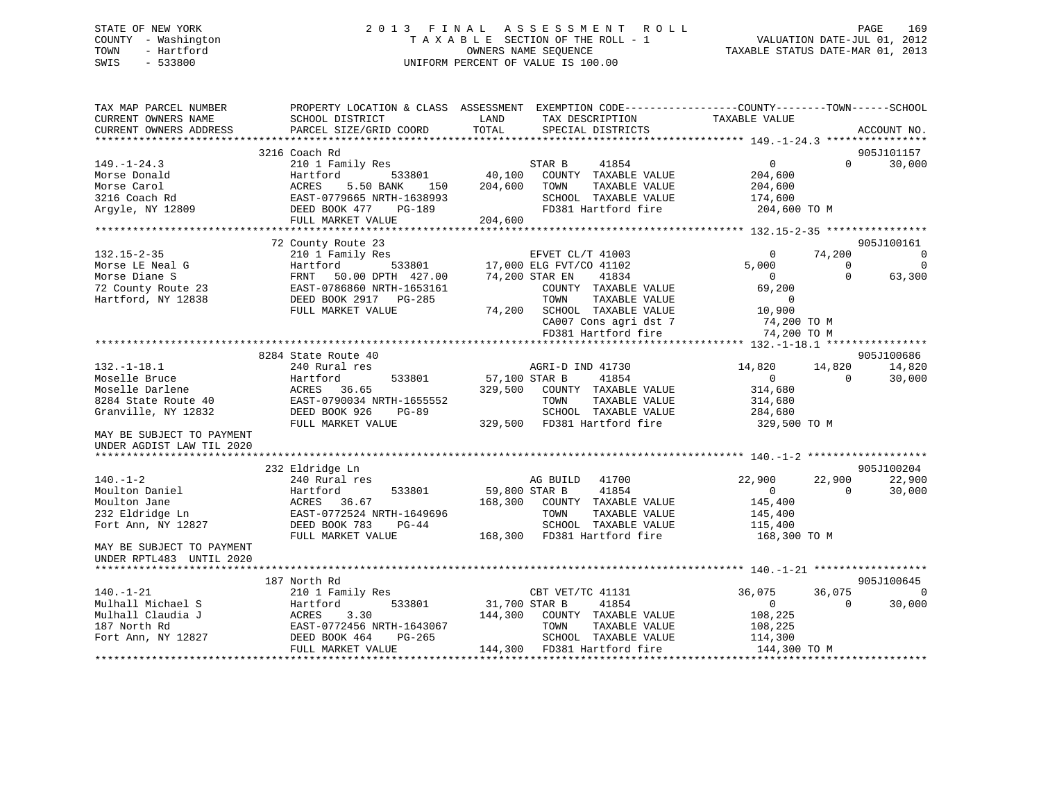# STATE OF NEW YORK 2013 FINAL ASSESSMENT ROLL PAGE 169 COUNTY - Washington  $T A X A B L E$  SECTION OF THE ROLL - 1<br>TOWN - Hartford SWIS - 533800 UNIFORM PERCENT OF VALUE IS 100.00

VALUATION DATE-JUL 01, 2012

TAXABLE STATUS DATE-MAR 01, 2013

| TAX MAP PARCEL NUMBER<br>CURRENT OWNERS NAME<br>CURRENT OWNERS ADDRESS | SCHOOL DISTRICT<br>PARCEL SIZE/GRID COORD | PROPERTY LOCATION & CLASS ASSESSMENT EXEMPTION CODE---------------COUNTY-------TOWN-----SCHOOL<br>LAND<br>TAX DESCRIPTION<br>TOTAL<br>SPECIAL DISTRICTS | TAXABLE VALUE                                 | ACCOUNT NO.         |
|------------------------------------------------------------------------|-------------------------------------------|---------------------------------------------------------------------------------------------------------------------------------------------------------|-----------------------------------------------|---------------------|
|                                                                        |                                           |                                                                                                                                                         |                                               |                     |
|                                                                        | 3216 Coach Rd                             |                                                                                                                                                         |                                               | 905J101157          |
| $149. - 1 - 24.3$                                                      | 210 1 Family Res                          | 41854<br>STAR B                                                                                                                                         | $\overline{0}$<br>$\Omega$                    | 30,000              |
| Morse Donald                                                           | 533801<br>Hartford                        | 40,100<br>COUNTY TAXABLE VALUE                                                                                                                          | 204,600                                       |                     |
| Morse Carol                                                            | <b>ACRES</b><br>5.50 BANK<br>150          | 204,600<br>TOWN<br>TAXABLE VALUE                                                                                                                        | 204,600                                       |                     |
| 3216 Coach Rd                                                          | EAST-0779665 NRTH-1638993                 | SCHOOL TAXABLE VALUE                                                                                                                                    | 174,600                                       |                     |
| Arqyle, NY 12809                                                       | DEED BOOK 477<br>PG-189                   | FD381 Hartford fire                                                                                                                                     | 204,600 TO M                                  |                     |
|                                                                        | FULL MARKET VALUE                         | 204,600                                                                                                                                                 |                                               |                     |
|                                                                        |                                           |                                                                                                                                                         |                                               |                     |
|                                                                        | 72 County Route 23                        |                                                                                                                                                         |                                               | 905J100161          |
| $132.15 - 2 - 35$<br>Morse LE Neal G                                   | 210 1 Family Res<br>533801                | EFVET CL/T 41003                                                                                                                                        | 74,200<br>$\mathbf 0$<br>5,000<br>$\Omega$    | $\overline{0}$<br>0 |
| Morse Diane S                                                          | Hartford<br>50.00 DPTH 427.00<br>FRNT     | 17,000 ELG FVT/CO 41102<br>74,200 STAR EN<br>41834                                                                                                      | $\Omega$<br>$\Omega$                          | 63,300              |
| 72 County Route 23                                                     | EAST-0786860 NRTH-1653161                 | COUNTY TAXABLE VALUE                                                                                                                                    | 69,200                                        |                     |
| Hartford, NY 12838                                                     | DEED BOOK 2917 PG-285                     | TOWN<br>TAXABLE VALUE                                                                                                                                   | $\Omega$                                      |                     |
|                                                                        | FULL MARKET VALUE                         | 74,200 SCHOOL TAXABLE VALUE                                                                                                                             | 10,900                                        |                     |
|                                                                        |                                           | CA007 Cons agri dst 7                                                                                                                                   | 74,200 TO M                                   |                     |
|                                                                        |                                           | FD381 Hartford fire                                                                                                                                     | 74,200 TO M                                   |                     |
|                                                                        |                                           |                                                                                                                                                         | *************** 132.-1-18.1 ***************** |                     |
|                                                                        | 8284 State Route 40                       |                                                                                                                                                         |                                               | 905J100686          |
| $132. - 1 - 18.1$                                                      | 240 Rural res                             | AGRI-D IND 41730                                                                                                                                        | 14,820<br>14,820                              | 14,820              |
| Moselle Bruce                                                          | 533801<br>Hartford                        | 57,100 STAR B<br>41854                                                                                                                                  | $\overline{0}$<br>$\Omega$                    | 30,000              |
| Moselle Darlene                                                        | 36.65<br>ACRES                            | 329,500<br>COUNTY TAXABLE VALUE                                                                                                                         | 314,680                                       |                     |
| 8284 State Route 40                                                    | EAST-0790034 NRTH-1655552                 | TOWN<br>TAXABLE VALUE                                                                                                                                   | 314,680                                       |                     |
| Granville, NY 12832                                                    | DEED BOOK 926<br>PG-89                    | SCHOOL TAXABLE VALUE                                                                                                                                    | 284,680                                       |                     |
|                                                                        | FULL MARKET VALUE                         | 329,500 FD381 Hartford fire                                                                                                                             | 329,500 TO M                                  |                     |
| MAY BE SUBJECT TO PAYMENT<br>UNDER AGDIST LAW TIL 2020                 |                                           |                                                                                                                                                         |                                               |                     |
|                                                                        |                                           |                                                                                                                                                         |                                               |                     |
|                                                                        | 232 Eldridge Ln                           |                                                                                                                                                         |                                               | 905J100204          |
| $140. - 1 - 2$                                                         | 240 Rural res                             | AG BUILD<br>41700                                                                                                                                       | 22,900<br>22,900                              | 22,900              |
| Moulton Daniel                                                         | Hartford<br>533801                        | 59,800 STAR B<br>41854                                                                                                                                  | $\overline{0}$<br>$\Omega$                    | 30,000              |
| Moulton Jane                                                           | ACRES<br>36.67                            | 168,300 COUNTY TAXABLE VALUE                                                                                                                            | 145,400                                       |                     |
| 232 Eldridge Ln                                                        | EAST-0772524 NRTH-1649696                 | TAXABLE VALUE<br>TOWN                                                                                                                                   | 145,400                                       |                     |
| Fort Ann, NY 12827                                                     | DEED BOOK 783<br>$PG-44$                  | SCHOOL TAXABLE VALUE                                                                                                                                    | 115,400                                       |                     |
|                                                                        | FULL MARKET VALUE                         | 168,300 FD381 Hartford fire                                                                                                                             | 168,300 TO M                                  |                     |
| MAY BE SUBJECT TO PAYMENT                                              |                                           |                                                                                                                                                         |                                               |                     |
| UNDER RPTL483 UNTIL 2020                                               |                                           |                                                                                                                                                         |                                               |                     |
|                                                                        |                                           |                                                                                                                                                         |                                               |                     |
|                                                                        | 187 North Rd                              |                                                                                                                                                         |                                               | 905J100645          |
| $140. - 1 - 21$                                                        | 210 1 Family Res                          | CBT VET/TC 41131                                                                                                                                        | 36,075<br>36,075                              | $\mathbf 0$         |
| Mulhall Michael S                                                      | 533801<br>Hartford                        | 31,700 STAR B<br>41854                                                                                                                                  | $\overline{0}$<br>$\Omega$                    | 30,000              |
| Mulhall Claudia J                                                      | 3.30<br>ACRES                             | 144,300<br>COUNTY TAXABLE VALUE                                                                                                                         | 108,225                                       |                     |
| 187 North Rd                                                           | EAST-0772456 NRTH-1643067                 | TOWN<br>TAXABLE VALUE                                                                                                                                   | 108,225                                       |                     |
| Fort Ann, NY 12827                                                     | DEED BOOK 464<br>PG-265                   | SCHOOL TAXABLE VALUE                                                                                                                                    | 114,300                                       |                     |
|                                                                        | FULL MARKET VALUE                         | 144,300 FD381 Hartford fire                                                                                                                             | 144,300 TO M                                  |                     |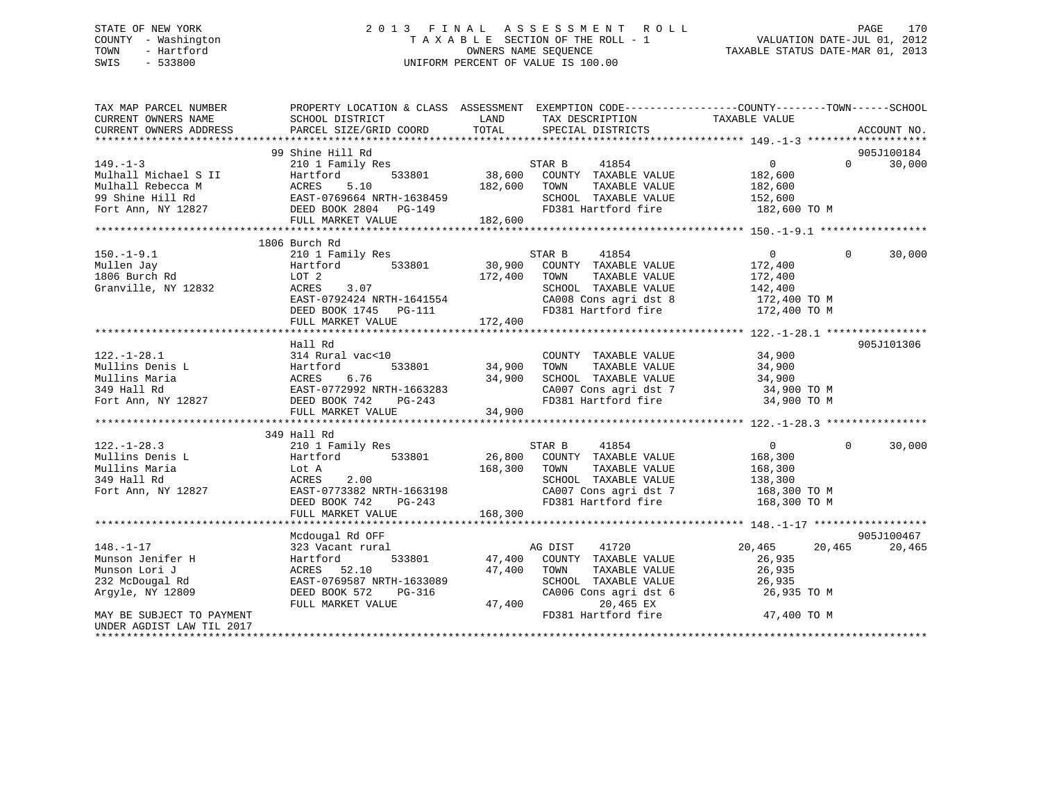## STATE OF NEW YORK 2 0 1 3 F I N A L A S S E S S M E N T R O L L PAGE 170 COUNTY - Washington T A X A B L E SECTION OF THE ROLL - 1 VALUATION DATE-JUL 01, 2012 TOWN - Hartford OWNERS NAME SEQUENCE TAXABLE STATUS DATE-MAR 01, 2013 SWIS - 533800 UNIFORM PERCENT OF VALUE IS 100.00UNIFORM PERCENT OF VALUE IS 100.00

| TAX MAP PARCEL NUMBER<br>CURRENT OWNERS NAME                                          | PROPERTY LOCATIO<br>SCHOOL DISTRICT | LAND TAX DESCRIPTION TAXABLE VALUE COORD TOTAL SPECIAL DISTRICTS                                                                                                                                | PROPERTY LOCATION & CLASS ASSESSMENT EXEMPTION CODE----------------COUNTY-------TOWN------SCHOOL                                                                                                                                                                                                                                                                                                                  |
|---------------------------------------------------------------------------------------|-------------------------------------|-------------------------------------------------------------------------------------------------------------------------------------------------------------------------------------------------|-------------------------------------------------------------------------------------------------------------------------------------------------------------------------------------------------------------------------------------------------------------------------------------------------------------------------------------------------------------------------------------------------------------------|
| CURRENT OWNERS ADDRESS                                                                | PARCEL SIZE/GRID COORD              |                                                                                                                                                                                                 | ACCOUNT NO.                                                                                                                                                                                                                                                                                                                                                                                                       |
|                                                                                       | 99 Shine Hill Rd                    |                                                                                                                                                                                                 | 905J100184                                                                                                                                                                                                                                                                                                                                                                                                        |
|                                                                                       |                                     |                                                                                                                                                                                                 |                                                                                                                                                                                                                                                                                                                                                                                                                   |
|                                                                                       |                                     |                                                                                                                                                                                                 |                                                                                                                                                                                                                                                                                                                                                                                                                   |
|                                                                                       |                                     |                                                                                                                                                                                                 |                                                                                                                                                                                                                                                                                                                                                                                                                   |
|                                                                                       |                                     |                                                                                                                                                                                                 |                                                                                                                                                                                                                                                                                                                                                                                                                   |
|                                                                                       |                                     |                                                                                                                                                                                                 |                                                                                                                                                                                                                                                                                                                                                                                                                   |
|                                                                                       |                                     |                                                                                                                                                                                                 |                                                                                                                                                                                                                                                                                                                                                                                                                   |
|                                                                                       |                                     |                                                                                                                                                                                                 | $\begin{tabular}{lllllllllllll} \textbf{149. -1-3} & \textbf{99} \text{ Shine Hill Rd} & \textbf{210 1 Family Res} & \textbf{STAR B} & \textbf{41854} & \textbf{0} & \textbf{99.5J100184} \\ & \textbf{210 1 Family Res} & \textbf{182,600} & \textbf{182,600} & \textbf{0} & \textbf{30,000} \\ \textbf{Multall Rebecca M} & \textbf{AcrES} & \textbf{5.10} & \textbf{182,600} & \textbf{200INTY} & \textbf{TAX$ |
|                                                                                       | 1806 Burch Rd                       |                                                                                                                                                                                                 |                                                                                                                                                                                                                                                                                                                                                                                                                   |
| $150. - 1 - 9.1$                                                                      | 210 1 Family Res                    | 41854<br>STAR B                                                                                                                                                                                 | $\overline{0}$<br>$\Omega$<br>30,000                                                                                                                                                                                                                                                                                                                                                                              |
|                                                                                       | Hartford                            |                                                                                                                                                                                                 |                                                                                                                                                                                                                                                                                                                                                                                                                   |
|                                                                                       |                                     | $533801$ 30,900 COUNTY TAXABLE VALUE 172,400<br>172,400 TOWN TAXABLE VALUE 172,400                                                                                                              |                                                                                                                                                                                                                                                                                                                                                                                                                   |
| Granville, NY 12832                                                                   | LOT 2<br>ACRES 3.07                 | SCHOOL TAXABLE VALUE 142,400                                                                                                                                                                    |                                                                                                                                                                                                                                                                                                                                                                                                                   |
|                                                                                       |                                     |                                                                                                                                                                                                 |                                                                                                                                                                                                                                                                                                                                                                                                                   |
|                                                                                       |                                     |                                                                                                                                                                                                 |                                                                                                                                                                                                                                                                                                                                                                                                                   |
|                                                                                       |                                     |                                                                                                                                                                                                 |                                                                                                                                                                                                                                                                                                                                                                                                                   |
|                                                                                       |                                     |                                                                                                                                                                                                 | 3.07 5CHOOL TAXABLE VALUE 12832<br>EAST-0792424 NRTH-1641554 CA008 Cons agri dst 8 172,400 TO M<br>DEED BOOK 1745 PG-111 FD381 Hartford fire 172,400 TO M<br>FULL MARKET VALUE 172,400<br>FULL MARKET VALUE 172,400                                                                                                                                                                                               |
|                                                                                       | Hall Rd                             |                                                                                                                                                                                                 | 905J101306                                                                                                                                                                                                                                                                                                                                                                                                        |
| $122. - 1 - 28.1$                                                                     | 314 Rural vac<10                    | COUNTY TAXABLE VALUE                                                                                                                                                                            | 34,900                                                                                                                                                                                                                                                                                                                                                                                                            |
|                                                                                       |                                     | TOWN                                                                                                                                                                                            |                                                                                                                                                                                                                                                                                                                                                                                                                   |
|                                                                                       |                                     | SCHOOL TAXABLE VALUE                                                                                                                                                                            | TAXABLE VALUE 34,900<br>TAXABLE VALUE 34,900                                                                                                                                                                                                                                                                                                                                                                      |
|                                                                                       |                                     | CA007 Cons agri dst 7 34,900 TO M                                                                                                                                                               |                                                                                                                                                                                                                                                                                                                                                                                                                   |
|                                                                                       |                                     | FD381 Hartford fire                                                                                                                                                                             | 34,900 TO M                                                                                                                                                                                                                                                                                                                                                                                                       |
|                                                                                       |                                     |                                                                                                                                                                                                 |                                                                                                                                                                                                                                                                                                                                                                                                                   |
|                                                                                       |                                     |                                                                                                                                                                                                 |                                                                                                                                                                                                                                                                                                                                                                                                                   |
|                                                                                       | 349 Hall Rd                         |                                                                                                                                                                                                 |                                                                                                                                                                                                                                                                                                                                                                                                                   |
| $122. - 1 - 28.3$                                                                     |                                     | 122.-1-28.3<br>Mullins Denis L 210 1 Family Res<br>Mullins Maria Lot A 2.00<br>Fort Ann, NY 12827 DEED BOOK 742 PG-243 PG-243 PG-243<br>TEED BOOK 742 PG-243 PG-243 PG-243 PG-243 PG-243 PG-243 | $\Omega$<br>30,000                                                                                                                                                                                                                                                                                                                                                                                                |
|                                                                                       |                                     |                                                                                                                                                                                                 |                                                                                                                                                                                                                                                                                                                                                                                                                   |
|                                                                                       |                                     |                                                                                                                                                                                                 |                                                                                                                                                                                                                                                                                                                                                                                                                   |
|                                                                                       |                                     |                                                                                                                                                                                                 |                                                                                                                                                                                                                                                                                                                                                                                                                   |
|                                                                                       |                                     | CA007 Cons agri dst 7 168,300 TO M                                                                                                                                                              |                                                                                                                                                                                                                                                                                                                                                                                                                   |
|                                                                                       |                                     | FD381 Hartford fire                                                                                                                                                                             | 168,300 TO M                                                                                                                                                                                                                                                                                                                                                                                                      |
|                                                                                       | FULL MARKET VALUE                   | 168,300                                                                                                                                                                                         |                                                                                                                                                                                                                                                                                                                                                                                                                   |
|                                                                                       |                                     |                                                                                                                                                                                                 |                                                                                                                                                                                                                                                                                                                                                                                                                   |
|                                                                                       | Mcdougal Rd OFF                     |                                                                                                                                                                                                 | 905J100467                                                                                                                                                                                                                                                                                                                                                                                                        |
| $148. - 1 - 17$                                                                       |                                     | 323 Vacant rural<br>Hartford 533801 17,400 COUNTY TAXABLE VALUE                                                                                                                                 | 20,465 20,465<br>20,465                                                                                                                                                                                                                                                                                                                                                                                           |
|                                                                                       |                                     |                                                                                                                                                                                                 | 26,935                                                                                                                                                                                                                                                                                                                                                                                                            |
| 148.-1-17<br>Munson Jenifer H<br>Munson Lori J<br>232 McDougal Rd<br>Argyle, NY 12809 | ACRES 52.10                         | 47,400<br>TOWN                                                                                                                                                                                  | TAXABLE VALUE 26,935                                                                                                                                                                                                                                                                                                                                                                                              |
|                                                                                       | EAST-0769587 NRTH-1633089           | H-1633089<br>PG-316                                                                                                                                                                             |                                                                                                                                                                                                                                                                                                                                                                                                                   |
| Argyle, NY 12809                                                                      | DEED BOOK 572                       |                                                                                                                                                                                                 |                                                                                                                                                                                                                                                                                                                                                                                                                   |
|                                                                                       | FULL MARKET VALUE                   | 47,400                                                                                                                                                                                          |                                                                                                                                                                                                                                                                                                                                                                                                                   |
| MAY BE SUBJECT TO PAYMENT                                                             |                                     | SCHOOL TAXABLE VALUE 26,935<br>CA006 Cons agri dst 6 26,935 TO M<br>20,465 EX<br>FD381 Hartford fire 47,400 TO M                                                                                |                                                                                                                                                                                                                                                                                                                                                                                                                   |
| UNDER AGDIST LAW TIL 2017                                                             |                                     |                                                                                                                                                                                                 |                                                                                                                                                                                                                                                                                                                                                                                                                   |
|                                                                                       |                                     |                                                                                                                                                                                                 |                                                                                                                                                                                                                                                                                                                                                                                                                   |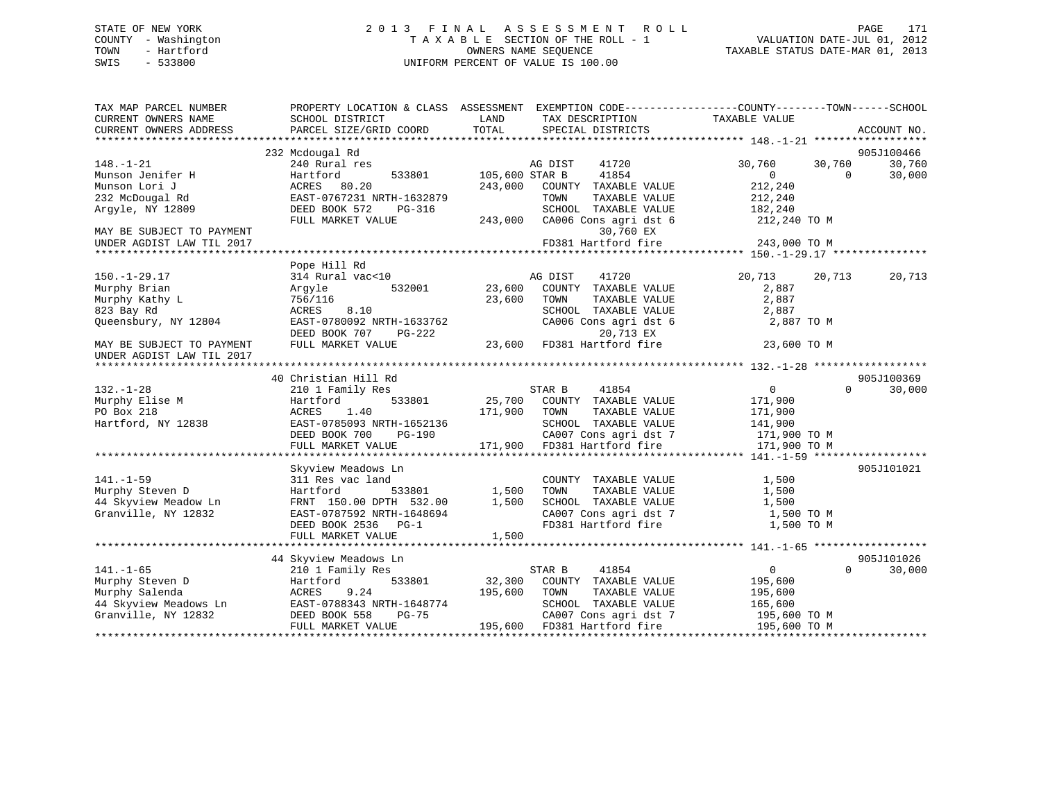## STATE OF NEW YORK 2 0 1 3 F I N A L A S S E S S M E N T R O L L PAGE 171 COUNTY - Washington T A X A B L E SECTION OF THE ROLL - 1 VALUATION DATE-JUL 01, 2012 TOWN - Hartford **TAXABLE STATUS DATE-MAR 01, 2013** SWIS - 533800 UNIFORM PERCENT OF VALUE IS 100.00

| TAX MAP PARCEL NUMBER<br>CURRENT OWNERS NAME | SCHOOL DISTRICT           | PROPERTY LOCATION & CLASS ASSESSMENT EXEMPTION CODE----------------COUNTY-------TOWN------SCHOOL<br>LAND<br>TAX DESCRIPTION | TAXABLE VALUE                        |
|----------------------------------------------|---------------------------|-----------------------------------------------------------------------------------------------------------------------------|--------------------------------------|
| CURRENT OWNERS ADDRESS                       | PARCEL SIZE/GRID COORD    | TOTAL<br>SPECIAL DISTRICTS                                                                                                  | ACCOUNT NO.                          |
|                                              |                           |                                                                                                                             |                                      |
|                                              | 232 Mcdougal Rd           |                                                                                                                             | 905J100466                           |
| $148. - 1 - 21$                              | 240 Rural res             | AG DIST<br>41720                                                                                                            | 30,760<br>30,760<br>30,760           |
| Munson Jenifer H                             | 533801<br>Hartford        | 105,600 STAR B<br>41854                                                                                                     | 30,000<br>$\Omega$<br>$\Omega$       |
| Munson Lori J                                | ACRES 80.20               | 243,000<br>COUNTY TAXABLE VALUE                                                                                             | 212,240                              |
| 232 McDougal Rd                              | EAST-0767231 NRTH-1632879 | TOWN<br>TAXABLE VALUE                                                                                                       | 212,240                              |
| Argyle, NY 12809                             | DEED BOOK 572<br>PG-316   | SCHOOL TAXABLE VALUE                                                                                                        | 182,240                              |
| MAY BE SUBJECT TO PAYMENT                    | FULL MARKET VALUE         | 243,000<br>CA006 Cons agri dst 6<br>30,760 EX                                                                               | 212,240 TO M                         |
| UNDER AGDIST LAW TIL 2017                    |                           | FD381 Hartford fire                                                                                                         | 243,000 TO M                         |
|                                              |                           |                                                                                                                             |                                      |
|                                              | Pope Hill Rd              |                                                                                                                             |                                      |
| $150. - 1 - 29.17$                           | 314 Rural vac<10          | 41720<br>AG DIST                                                                                                            | 20,713<br>20,713<br>20,713           |
| Murphy Brian                                 | 532001<br>Argyle          | 23,600<br>COUNTY TAXABLE VALUE                                                                                              | 2,887                                |
| Murphy Kathy L                               | 756/116                   | 23,600<br>TOWN<br>TAXABLE VALUE                                                                                             | 2,887                                |
| 823 Bay Rd                                   | ACRES<br>8.10             | SCHOOL TAXABLE VALUE                                                                                                        | 2,887                                |
| Queensbury, NY 12804                         | EAST-0780092 NRTH-1633762 | CA006 Cons agri dst 6                                                                                                       | 2,887 TO M                           |
|                                              | DEED BOOK 707<br>$PG-222$ | 20,713 EX                                                                                                                   |                                      |
| MAY BE SUBJECT TO PAYMENT                    | FULL MARKET VALUE         | 23,600<br>FD381 Hartford fire                                                                                               | 23,600 TO M                          |
| UNDER AGDIST LAW TIL 2017                    |                           |                                                                                                                             |                                      |
|                                              |                           |                                                                                                                             |                                      |
|                                              | 40 Christian Hill Rd      |                                                                                                                             | 905J100369                           |
| $132. - 1 - 28$                              | 210 1 Family Res          | STAR B<br>41854                                                                                                             | $\overline{0}$<br>$\Omega$<br>30,000 |
| Murphy Elise M                               | Hartford<br>533801        | 25,700 COUNTY TAXABLE VALUE                                                                                                 | 171,900                              |
| PO Box 218                                   | 1.40<br>ACRES             | 171,900<br>TAXABLE VALUE<br>TOWN                                                                                            | 171,900                              |
| Hartford, NY 12838                           | EAST-0785093 NRTH-1652136 | SCHOOL TAXABLE VALUE                                                                                                        | 141,900                              |
|                                              | DEED BOOK 700<br>PG-190   | CA007 Cons agri dst 7                                                                                                       | 171,900 TO M                         |
|                                              | FULL MARKET VALUE         | 171,900<br>FD381 Hartford fire                                                                                              | 171,900 TO M                         |
|                                              |                           |                                                                                                                             |                                      |
|                                              | Skyview Meadows Ln        |                                                                                                                             | 905J101021                           |
| $141. - 1 - 59$                              | 311 Res vac land          | COUNTY TAXABLE VALUE                                                                                                        | 1,500                                |
| Murphy Steven D                              | 533801<br>Hartford        | 1,500<br>TOWN<br>TAXABLE VALUE                                                                                              | 1,500                                |
| 44 Skyview Meadow Ln                         | FRNT 150.00 DPTH 532.00   | 1,500<br>SCHOOL TAXABLE VALUE                                                                                               | 1,500                                |
| Granville, NY 12832                          | EAST-0787592 NRTH-1648694 | CA007 Cons agri dst 7                                                                                                       | 1,500 TO M                           |
|                                              | DEED BOOK 2536 PG-1       | FD381 Hartford fire                                                                                                         | 1,500 TO M                           |
|                                              | FULL MARKET VALUE         | 1,500                                                                                                                       |                                      |
|                                              |                           |                                                                                                                             |                                      |
|                                              | 44 Skyview Meadows Ln     |                                                                                                                             | 905J101026                           |
| $141. - 1 - 65$                              | 210 1 Family Res          | STAR B<br>41854                                                                                                             | $\overline{0}$<br>$\Omega$<br>30,000 |
| Murphy Steven D                              | 533801<br>Hartford        | 32,300<br>COUNTY TAXABLE VALUE                                                                                              | 195,600                              |
| Murphy Salenda                               | 9.24<br>ACRES             | 195,600<br>TAXABLE VALUE<br>TOWN                                                                                            | 195,600                              |
| 44 Skyview Meadows Ln                        | EAST-0788343 NRTH-1648774 | SCHOOL TAXABLE VALUE                                                                                                        | 165,600                              |
| Granville, NY 12832                          | DEED BOOK 558<br>$PG-75$  | CA007 Cons agri dst 7                                                                                                       | 195,600 ТО М                         |
|                                              | FULL MARKET VALUE         | 195,600<br>FD381 Hartford fire                                                                                              | 195,600 ТО М                         |
|                                              |                           |                                                                                                                             |                                      |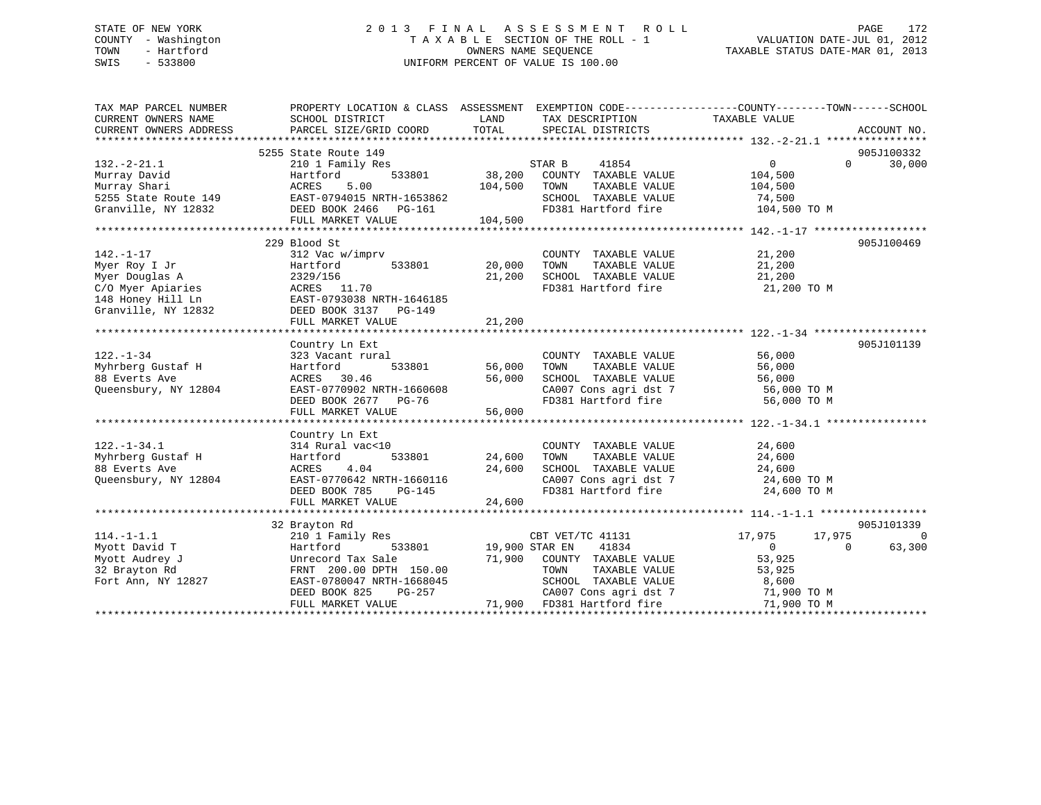## STATE OF NEW YORK 2 0 1 3 F I N A L A S S E S S M E N T R O L L PAGE 172 COUNTY - Washington T A X A B L E SECTION OF THE ROLL - 1 VALUATION DATE-JUL 01, 2012 TOWN - Hartford **TAXABLE STATUS DATE-MAR 01, 2013** SWIS - 533800 UNIFORM PERCENT OF VALUE IS 100.00

| TAX MAP PARCEL NUMBER<br>CURRENT OWNERS NAME<br>CURRENT OWNERS ADDRESS                                                                     | PROPERTY LOCATION & CLASS ASSESSMENT EXEMPTION CODE---------------COUNTY-------TOWN-----SCHOOL<br>SCHOOL DISTRICT<br>PARCEL SIZE/GRID COORD TOTAL SPECIAL DISTRICTS              |                              | LAND TAX DESCRIPTION                                                                                                                                                                               | TAXABLE VALUE                    | ACCOUNT NO.                 |
|--------------------------------------------------------------------------------------------------------------------------------------------|----------------------------------------------------------------------------------------------------------------------------------------------------------------------------------|------------------------------|----------------------------------------------------------------------------------------------------------------------------------------------------------------------------------------------------|----------------------------------|-----------------------------|
|                                                                                                                                            |                                                                                                                                                                                  |                              |                                                                                                                                                                                                    |                                  |                             |
|                                                                                                                                            |                                                                                                                                                                                  |                              |                                                                                                                                                                                                    |                                  | 905J100332                  |
|                                                                                                                                            |                                                                                                                                                                                  |                              |                                                                                                                                                                                                    | $\overline{0}$                   | $0 \qquad \qquad$<br>30,000 |
|                                                                                                                                            |                                                                                                                                                                                  |                              |                                                                                                                                                                                                    | 104,500                          |                             |
|                                                                                                                                            |                                                                                                                                                                                  |                              |                                                                                                                                                                                                    | TAXABLE VALUE 104,500            |                             |
|                                                                                                                                            |                                                                                                                                                                                  |                              | SCHOOL TAXABLE VALUE 74,500<br>FD381 Hartford fire 104,500 TO M                                                                                                                                    |                                  |                             |
|                                                                                                                                            |                                                                                                                                                                                  |                              | FD381 Hartford fire                                                                                                                                                                                |                                  |                             |
|                                                                                                                                            |                                                                                                                                                                                  |                              |                                                                                                                                                                                                    |                                  |                             |
|                                                                                                                                            |                                                                                                                                                                                  |                              |                                                                                                                                                                                                    |                                  |                             |
|                                                                                                                                            | 229 Blood St                                                                                                                                                                     |                              |                                                                                                                                                                                                    |                                  | 905J100469                  |
| $142. - 1 - 17$                                                                                                                            | 312 Vac w/imprv<br>$312$ Vac w/imprv<br>$Hartford$ 533801 20,000 TOWN                                                                                                            |                              | COUNTY TAXABLE VALUE 21,200                                                                                                                                                                        |                                  |                             |
|                                                                                                                                            |                                                                                                                                                                                  |                              | 20,000 TOWN TAXABLE VALUE 21,200<br>21,200 SCHOOL TAXABLE VALUE 21,200<br>FD381 Hartford film                                                                                                      |                                  |                             |
|                                                                                                                                            |                                                                                                                                                                                  |                              |                                                                                                                                                                                                    |                                  |                             |
| Myer Roy I Jr<br>Myer Roy I Jr<br>Myer Douglas A<br>C/O Myer Apiaries<br>148 Honey Hill Ln<br>Granville, NY 12832<br>DEED BOOK 3137 PG-149 |                                                                                                                                                                                  |                              | FD381 Hartford fire 21,200 TO M                                                                                                                                                                    |                                  |                             |
|                                                                                                                                            |                                                                                                                                                                                  |                              |                                                                                                                                                                                                    |                                  |                             |
|                                                                                                                                            |                                                                                                                                                                                  |                              |                                                                                                                                                                                                    |                                  |                             |
|                                                                                                                                            | FULL MARKET VALUE                                                                                                                                                                | 21,200                       |                                                                                                                                                                                                    |                                  |                             |
|                                                                                                                                            |                                                                                                                                                                                  |                              |                                                                                                                                                                                                    |                                  |                             |
|                                                                                                                                            | Country Ln Ext<br>323 Vacant rural                                                                                                                                               |                              |                                                                                                                                                                                                    |                                  | 905J101139                  |
| $122. - 1 - 34$                                                                                                                            |                                                                                                                                                                                  |                              |                                                                                                                                                                                                    |                                  |                             |
| Myhrberg Gustaf H                                                                                                                          | Hartford                                                                                                                                                                         | - COON<br>533801 56,000 TOWN | COUNTY TAXABLE VALUE 56,000<br>TOWN      TAXABLE VALUE 56,000                                                                                                                                      |                                  |                             |
| 12804<br>88 Everts Ave                                                                                                                     | ACRES 30.46 56,000 SCHOOL TAXABLE VALUE 56,000 56,000 EAST-0770902 NRTH-1660608 56,000 CA007 Cons agri dst 7 56,000 TO M<br>DEED BOOK 2677 PG-76 FD381 Hartford fire 56,000 TO M |                              |                                                                                                                                                                                                    |                                  |                             |
| Queensbury, NY 12804                                                                                                                       |                                                                                                                                                                                  |                              |                                                                                                                                                                                                    |                                  |                             |
|                                                                                                                                            |                                                                                                                                                                                  |                              |                                                                                                                                                                                                    |                                  |                             |
|                                                                                                                                            |                                                                                                                                                                                  |                              |                                                                                                                                                                                                    |                                  |                             |
|                                                                                                                                            |                                                                                                                                                                                  |                              |                                                                                                                                                                                                    |                                  |                             |
|                                                                                                                                            | Country Ln Ext                                                                                                                                                                   |                              |                                                                                                                                                                                                    |                                  |                             |
|                                                                                                                                            |                                                                                                                                                                                  | COUNTY<br>533801 24,600 TOWN |                                                                                                                                                                                                    |                                  |                             |
|                                                                                                                                            |                                                                                                                                                                                  |                              | $\begin{tabular}{lllllllll} \multicolumn{2}{c}{\textbf{COUNTY}} & \textbf{TAXABLE VALUE} & & & 24,600 \\ \multicolumn{2}{c}{\textbf{TONN}} & \textbf{TAXABLE VALUE} & & & 24,600 \\ \end{tabular}$ |                                  |                             |
|                                                                                                                                            |                                                                                                                                                                                  |                              |                                                                                                                                                                                                    |                                  |                             |
| 122.-1-34.1<br>Myhrberg Gustaf H 314 Rural vac<10<br>88 Everts Ave ACRES 4.04<br>Queensbury, NY 12804<br>There book 705                    | ACRES 4.04 24,600 SCHOOL TAXABLE VALUE 24,600 CRES<br>EAST-0770642 NRTH-1660116 24,600 CA007 Cons agri dst 7 24,600 TO M<br>DEED BOOK 785 PG-145 FD381 Hartford fire 24,600 TO M |                              |                                                                                                                                                                                                    |                                  |                             |
|                                                                                                                                            |                                                                                                                                                                                  |                              |                                                                                                                                                                                                    |                                  |                             |
|                                                                                                                                            | FULL MARKET VALUE                                                                                                                                                                | 24,600                       |                                                                                                                                                                                                    |                                  |                             |
|                                                                                                                                            |                                                                                                                                                                                  |                              |                                                                                                                                                                                                    |                                  |                             |
|                                                                                                                                            | 32 Brayton Rd                                                                                                                                                                    |                              |                                                                                                                                                                                                    |                                  | 905J101339                  |
| $114. - 1 - 1.1$                                                                                                                           | 210 1 Family Res                                                                                                                                                                 |                              | CBT VET/TC 41131                                                                                                                                                                                   | 17,975<br>17,975                 | $\overline{0}$              |
| Myott David T                                                                                                                              | Hartford                                                                                                                                                                         |                              | 41834                                                                                                                                                                                              | $\overline{0}$<br>$\overline{0}$ | 63,300                      |
| Myott Audrey J                                                                                                                             | Unrecord Tax Sale                                                                                                                                                                |                              | 71,900 COUNTY TAXABLE VALUE 53,925                                                                                                                                                                 |                                  |                             |
|                                                                                                                                            | FRNT 200.00 DPTH 150.00                                                                                                                                                          |                              |                                                                                                                                                                                                    |                                  |                             |
| 32 Brayton Rd<br>Fort Ann, NY 12827                                                                                                        | EAST-0780047 NRTH-1668045                                                                                                                                                        |                              | TOWN TAXABLE VALUE 53,925<br>SCHOOL TAXABLE VALUE 8,600                                                                                                                                            |                                  |                             |
|                                                                                                                                            | DEED BOOK 825                                                                                                                                                                    |                              | CA007 Cons agri dst 7 71,900 TO M                                                                                                                                                                  |                                  |                             |
|                                                                                                                                            | FULL MARKET VALUE                                                                                                                                                                |                              | PG-257 CA007 Cons agri dst 7<br>LUE 71,900 FD381 Hartford fire                                                                                                                                     | 71,900 TO M                      |                             |
|                                                                                                                                            |                                                                                                                                                                                  |                              |                                                                                                                                                                                                    |                                  |                             |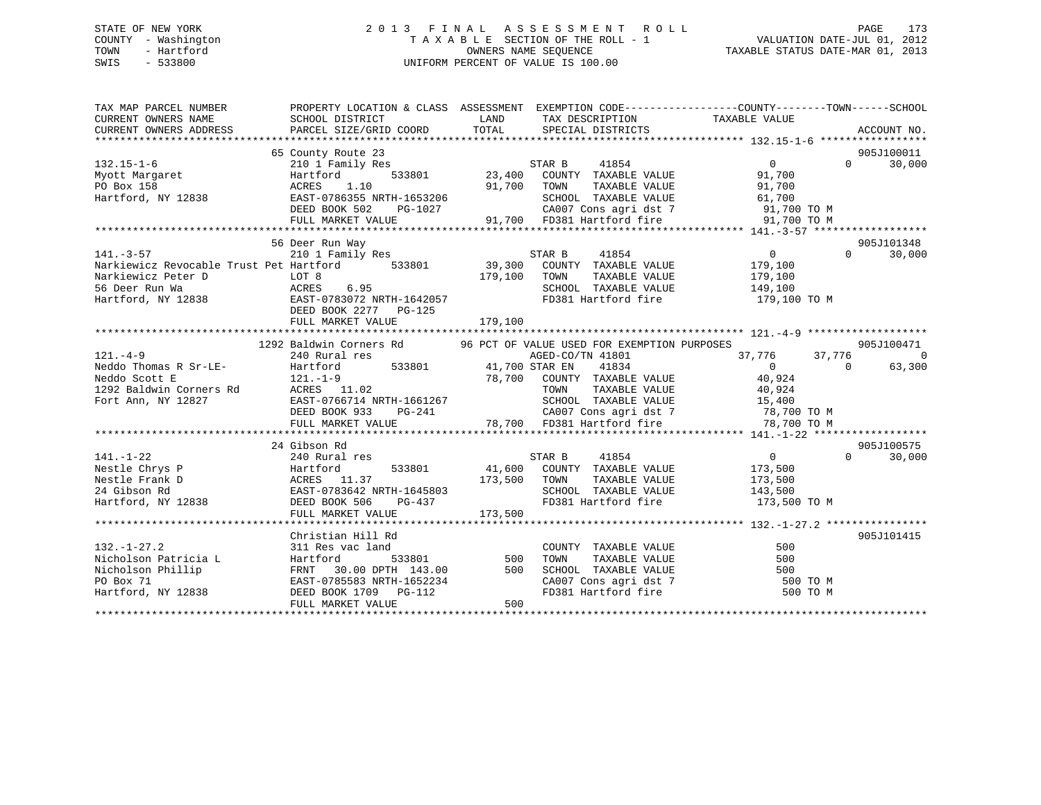## STATE OF NEW YORK 2 0 1 3 F I N A L A S S E S S M E N T R O L L PAGE 173 COUNTY - Washington T A X A B L E SECTION OF THE ROLL - 1 VALUATION DATE-JUL 01, 2012 TOWN - Hartford OWNERS NAME SEQUENCE TAXABLE STATUS DATE-MAR 01, 2013 SWIS - 533800 UNIFORM PERCENT OF VALUE IS 100.00

| TAX MAP PARCEL NUMBER<br>CURRENT OWNERS NAME<br>CURRENT OWNERS ADDRESS | PROPERTY LOCATION & CLASS ASSESSMENT EXEMPTION CODE----------------COUNTY-------TOWN------SCHOOL<br>SCHOOL DISTRICT<br>PARCEL SIZE/GRID COORD | LAND<br>TOTAL   | TAX DESCRIPTION TAXABLE VALUE<br>SPECIAL DISTRICTS  |                                   | ACCOUNT NO.        |
|------------------------------------------------------------------------|-----------------------------------------------------------------------------------------------------------------------------------------------|-----------------|-----------------------------------------------------|-----------------------------------|--------------------|
|                                                                        |                                                                                                                                               |                 |                                                     |                                   |                    |
|                                                                        | 65 County Route 23                                                                                                                            |                 |                                                     |                                   | 905J100011         |
| $132.15 - 1 - 6$                                                       | 210 1 Family Res                                                                                                                              |                 | STAR B<br>41854                                     | $\Omega$                          | $\Omega$<br>30,000 |
| Myott Margaret                                                         | Hartford                                                                                                                                      |                 | 533801 23,400 COUNTY TAXABLE VALUE                  | 91,700                            |                    |
| PO Box 158                                                             | 1.10<br>ACRES                                                                                                                                 | 91,700 TOWN     | TAXABLE VALUE                                       | 91,700                            |                    |
| PO Box 158<br>Hartford, NY 12838                                       | EAST-0786355 NRTH-1653206                                                                                                                     |                 | SCHOOL TAXABLE VALUE                                | 61,700                            |                    |
|                                                                        | DEED BOOK 502<br>PG-1027                                                                                                                      |                 |                                                     | 91,700 TO M                       |                    |
|                                                                        | FULL MARKET VALUE                                                                                                                             |                 | CA007 Cons agri dst 7<br>91,700 FD381 Hartford fire | 91,700 TO M                       |                    |
|                                                                        |                                                                                                                                               |                 |                                                     |                                   |                    |
|                                                                        | 56 Deer Run Way                                                                                                                               |                 |                                                     |                                   | 905J101348         |
| $141. -3 - 57$                                                         | 210 1 Family Res                                                                                                                              |                 | 41854<br>STAR B                                     | $\overline{0}$                    | 30,000<br>$\Omega$ |
| Narkiewicz Revocable Trust Pet Hartford 533801                         |                                                                                                                                               |                 | 39,300 COUNTY TAXABLE VALUE                         | 179,100                           |                    |
| Narkiewicz Peter D                                                     | LOT 8                                                                                                                                         | 179,100         | TOWN<br>TAXABLE VALUE                               | 179,100                           |                    |
| <b>ACRES</b><br>56 Deer Run Wa                                         | 6.95                                                                                                                                          |                 | SCHOOL TAXABLE VALUE 149,100                        |                                   |                    |
| Hartford, NY 12838 EAST-0783072 NRTH-1642057                           |                                                                                                                                               |                 |                                                     | FD381 Hartford fire 179,100 TO M  |                    |
|                                                                        | DEED BOOK 2277 PG-125                                                                                                                         |                 |                                                     |                                   |                    |
|                                                                        | FULL MARKET VALUE                                                                                                                             | 179,100         |                                                     |                                   |                    |
|                                                                        |                                                                                                                                               |                 |                                                     |                                   |                    |
|                                                                        | 1292 Baldwin Corners Rd 96 PCT OF VALUE USED FOR EXEMPTION PURPOSES                                                                           |                 |                                                     |                                   | 905J100471         |
| $121. -4 - 9$                                                          | 240 Rural res                                                                                                                                 |                 | AGED-CO/TN 41801                                    | 37,776 37,776                     | $\Omega$           |
| Neddo Thomas R Sr-LE-                                                  | Hartford<br>533801 41,700 STAR EN                                                                                                             |                 | 41834                                               | $\Omega$                          | 63,300<br>$\Omega$ |
| Neddo Scott E                                                          | $121. - 1 - 9$                                                                                                                                |                 | 78,700 COUNTY TAXABLE VALUE                         | 40,924                            |                    |
| 1292 Baldwin Corners Rd                                                | ACRES 11.02                                                                                                                                   |                 |                                                     |                                   |                    |
| Fort Ann, NY 12827                                                     | EAST-0766714 NRTH-1661267                                                                                                                     |                 |                                                     |                                   |                    |
|                                                                        | DEED BOOK 933                                                                                                                                 |                 |                                                     | CA007 Cons agri dst 7 78,700 TO M |                    |
|                                                                        | FULL MARKET VALUE                                                                                                                             |                 | PG-241<br>PG-241 78,700 FD381 Hartford fire         | 78,700 TO M                       |                    |
|                                                                        |                                                                                                                                               |                 |                                                     |                                   |                    |
|                                                                        | 24 Gibson Rd                                                                                                                                  |                 |                                                     |                                   | 905J100575         |
| $141. - 1 - 22$                                                        | 240 Rural res                                                                                                                                 |                 | STAR B<br>41854                                     | $\overline{0}$                    | $\Omega$<br>30,000 |
| Nestle Chrys P                                                         | Hartford                                                                                                                                      |                 | 533801 41,600 COUNTY TAXABLE VALUE                  | 173,500                           |                    |
| Nestle Frank D                                                         | ACRES 11.37                                                                                                                                   | 173,500 TOWN    | TAXABLE VALUE                                       | 173,500                           |                    |
| 24 Gibson Rd                                                           | EAST-0783642 NRTH-1645803                                                                                                                     |                 | SCHOOL TAXABLE VALUE                                | 143,500                           |                    |
| Hartford, NY 12838                                                     | DEED BOOK 506<br>PG-437                                                                                                                       |                 | FD381 Hartford fire                                 | 173,500 TO M                      |                    |
|                                                                        | FULL MARKET VALUE                                                                                                                             | 173,500         |                                                     |                                   |                    |
|                                                                        | Christian Hill Rd                                                                                                                             |                 |                                                     |                                   | 905J101415         |
| $132. - 1 - 27.2$                                                      | 311 Res vac land                                                                                                                              |                 | COUNTY TAXABLE VALUE                                | 500                               |                    |
| Nicholson Patricia L                                                   | Hartford                                                                                                                                      | -<br>533801 500 | TAXABLE VALUE<br>TOWN                               | 500                               |                    |
| Nicholson Phillip                                                      | FRNT<br>30.00 DPTH 143.00                                                                                                                     | 500             | SCHOOL TAXABLE VALUE                                | 500                               |                    |
| PO Box 71                                                              | EAST-0785583 NRTH-1652234                                                                                                                     |                 |                                                     | 500 TO M                          |                    |
| Hartford, NY 12838                                                     | DEED BOOK 1709 PG-112                                                                                                                         |                 | SCHOOL TAXABLE WILLIAM CA007 Cons agri dst 7        | 500 TO M                          |                    |
|                                                                        | FULL MARKET VALUE                                                                                                                             | 500             |                                                     |                                   |                    |
|                                                                        |                                                                                                                                               |                 |                                                     |                                   |                    |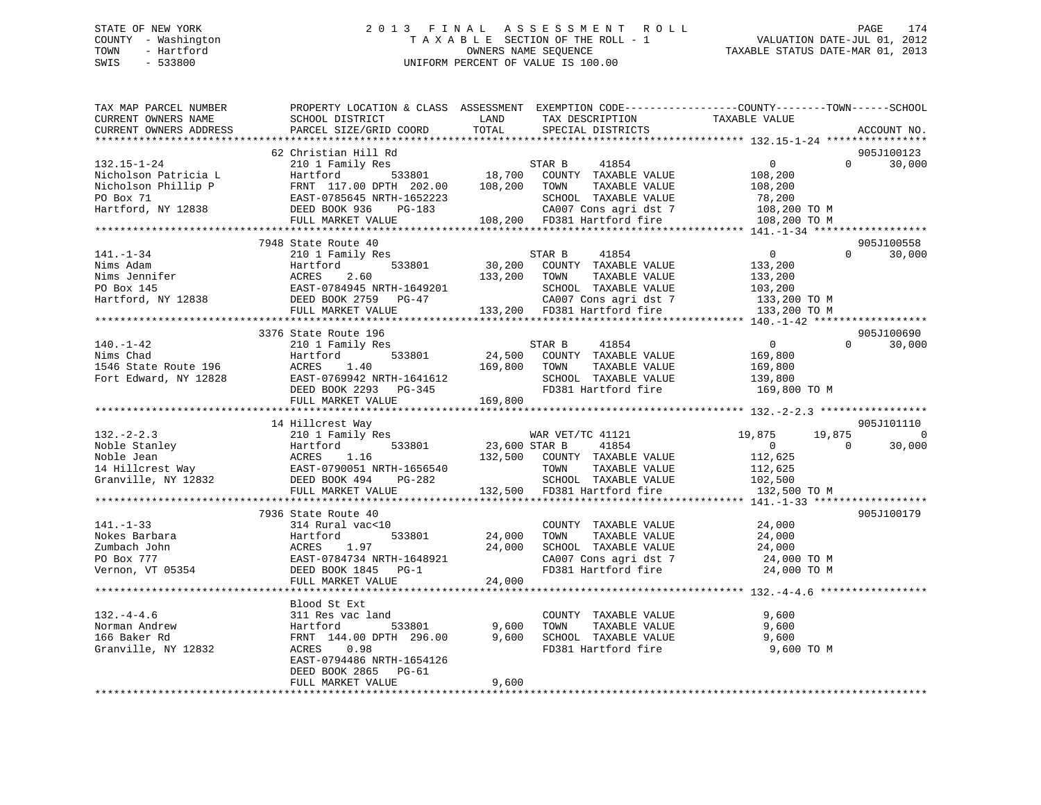## STATE OF NEW YORK 2 0 1 3 F I N A L A S S E S S M E N T R O L L PAGE 174 COUNTY - Washington T A X A B L E SECTION OF THE ROLL - 1 VALUATION DATE-JUL 01, 2012 TOWN - Hartford **TAXABLE STATUS DATE-MAR 01, 2013** SWIS - 533800 UNIFORM PERCENT OF VALUE IS 100.00

| TAX MAP PARCEL NUMBER<br>CURRENT OWNERS NAME<br>CURRENT OWNERS ADDRESS                                                                                                                                                                                                      | PROPERTY LOCATION & CLASS ASSESSMENT EXEMPTION CODE---------------COUNTY-------TOWN-----SCHOOL<br>SCHOOL DISTRICT<br>PARCEL SIZE/GRID COORD                | LAND<br>TOTAL              | TAX DESCRIPTION<br>SPECIAL DISTRICTS                                                                                                                                                                             | TAXABLE VALUE                          |                          | ACCOUNT NO.          |
|-----------------------------------------------------------------------------------------------------------------------------------------------------------------------------------------------------------------------------------------------------------------------------|------------------------------------------------------------------------------------------------------------------------------------------------------------|----------------------------|------------------------------------------------------------------------------------------------------------------------------------------------------------------------------------------------------------------|----------------------------------------|--------------------------|----------------------|
| ********************                                                                                                                                                                                                                                                        | ***************************                                                                                                                                |                            |                                                                                                                                                                                                                  |                                        |                          |                      |
|                                                                                                                                                                                                                                                                             | 62 Christian Hill Rd                                                                                                                                       |                            |                                                                                                                                                                                                                  |                                        | $\Omega$                 | 905J100123<br>30,000 |
|                                                                                                                                                                                                                                                                             | 7948 State Route 40                                                                                                                                        |                            |                                                                                                                                                                                                                  |                                        |                          | 905J100558           |
|                                                                                                                                                                                                                                                                             |                                                                                                                                                            |                            |                                                                                                                                                                                                                  |                                        | $\Omega$                 | 30,000               |
|                                                                                                                                                                                                                                                                             | 3376 State Route 196                                                                                                                                       |                            |                                                                                                                                                                                                                  |                                        |                          | 905J100690           |
| $140. - 1 - 42$<br>140.-1-42<br>Nims Chad<br>Nate Route 196<br>Nate Route 196<br>Fort Edward, NY 12828<br>EXST-0769942 NRTH-1641612<br>EXST-0769942 NRTH-1641612<br>DEED BOOK 2293<br>PG-345<br>FULL MARKET VALUE<br>169,800<br>FULL MARKET VALUE<br>169,800<br>FULL MARKET | 210 1 Family Res                                                                                                                                           |                            | STAR B<br>41854<br>FD381 Hartford fire 169,800 TO M                                                                                                                                                              | $\overline{0}$                         |                          | $0 \t 30,000$        |
|                                                                                                                                                                                                                                                                             |                                                                                                                                                            |                            |                                                                                                                                                                                                                  |                                        |                          |                      |
|                                                                                                                                                                                                                                                                             | 14 Hillcrest Way                                                                                                                                           |                            |                                                                                                                                                                                                                  |                                        |                          | 905J101110           |
| 132.-2-2.3<br>Noble Stanley<br>Noble Jean acres 1.16<br>14 Hillcrest Way EAST-0790051 NRTH-1656540<br>Granville, NY 12832<br>Noble Jean acres 1.16<br>132,500 COUNTY TAXABLE<br>132,500 COUNTY TAXABLE<br>TOWN TAXABLE<br>CFARABLE<br>CFARABLE<br>CF                        | FULL MARKET VALUE                                                                                                                                          |                            | WAR VET/TC 41121<br>132,500 COUNTY TAXABLE VALUE<br>-1656540<br>PG-282<br>PG-282<br>132,500 FD381 Hartford fire 102,500 TOWN TAXABLE VALUE<br>132,500 TO PD381 Hartford fire 132,500 TO M                        | 19,875<br>$\overline{0}$<br>112,625    | 19,875<br>$\overline{0}$ | $\Omega$<br>30,000   |
|                                                                                                                                                                                                                                                                             | 7936 State Route 40                                                                                                                                        |                            |                                                                                                                                                                                                                  |                                        |                          | 905J100179           |
| $141. - 1 - 33$<br>Nokes Barbara<br>2umbach John 1977<br>PO Box 777<br>PO Box 777<br>Vernon, VT 05354<br>PO BOX 1845<br>PO BOX 1845<br>PO BOX 1845<br>PO BOX 1845<br>PO BOX 1845<br>PO BOX 1845<br>PO BOX 1845<br>PO BOX 1845<br>PO BOX 1845<br>PULL MARKET VALUE           | 314 Rural vac<10<br>FULL MARKET VALUE                                                                                                                      | 24,000<br>24,000<br>24,000 | COUNTY TAXABLE VALUE<br>TAXABLE VALUE<br>TOWN<br>SCHOOL TAXABLE VALUE 24,000<br>CA007 Cons agri dst 7 24,000 TO M<br>FD381 Hartford fire                                                                         | $\frac{24,000}{24,000}$<br>24,000 TO M |                          |                      |
|                                                                                                                                                                                                                                                                             |                                                                                                                                                            |                            |                                                                                                                                                                                                                  |                                        |                          |                      |
| $132. -4 - 4.6$<br>Norman Andrew<br>166 Baker Rd<br>Granville, NY 12832                                                                                                                                                                                                     | 311 Res vac land<br>311 Res vac land<br>Hartford 533801<br>FRNT 144.00 DPTH 296.00<br>2832 ACRES 0.98<br>EAST-0794486 NRTH-1654126<br>DEED BOOK 2865 PG-61 |                            | COUNTY TAXABLE VALUE<br>$\begin{tabular}{lllllllllll} 9,600& {\tt TOWN} & {\tt TAXABLE} & {\tt VALUE} & 9,600 \\ 9,600& {\tt SCHOOL} & {\tt TAXABLE} & {\tt VALUE} & 9,600 \end{tabular}$<br>FD381 Hartford fire | 9,600<br>9,600 TO M                    |                          |                      |
|                                                                                                                                                                                                                                                                             | FULL MARKET VALUE                                                                                                                                          | 9,600                      |                                                                                                                                                                                                                  |                                        |                          |                      |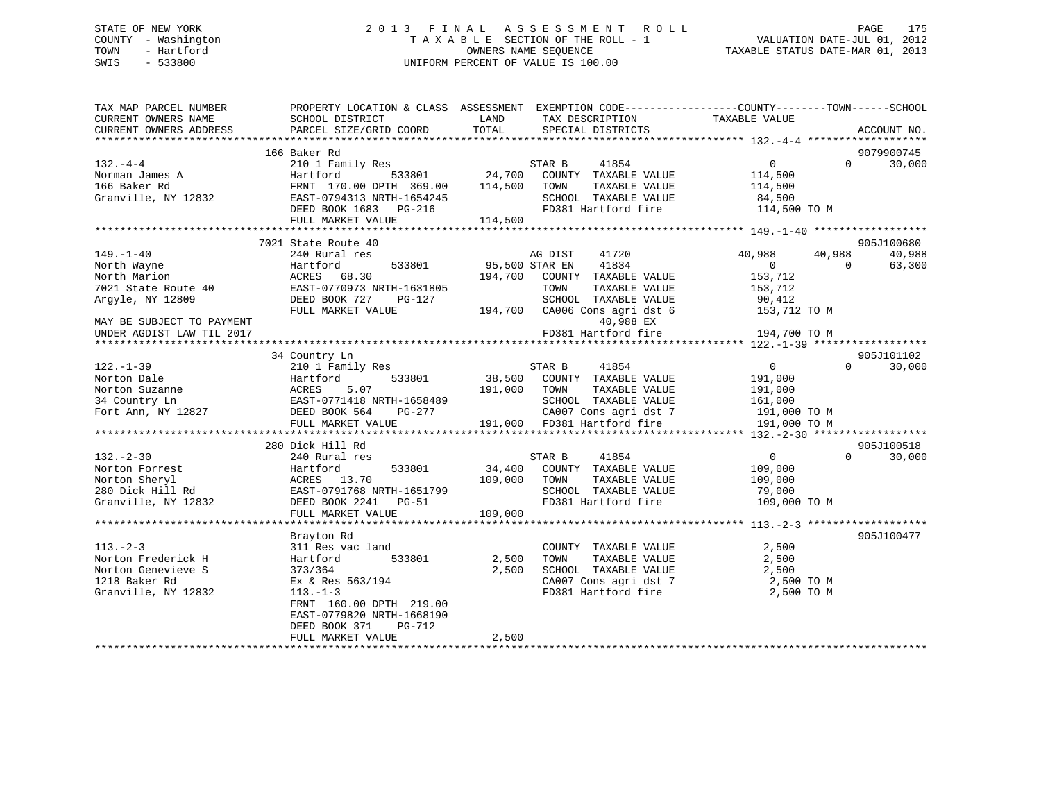## STATE OF NEW YORK 2 0 1 3 F I N A L A S S E S S M E N T R O L L PAGE 175 COUNTY - Washington T A X A B L E SECTION OF THE ROLL - 1 VALUATION DATE-JUL 01, 2012 TOWN - Hartford **TAXABLE STATUS DATE-MAR 01, 2013** SWIS - 533800 UNIFORM PERCENT OF VALUE IS 100.00

| TAX MAP PARCEL NUMBER     | PROPERTY LOCATION & CLASS ASSESSMENT EXEMPTION CODE---------------COUNTY-------TOWN-----SCHOOL |                |                               |                  |                    |
|---------------------------|------------------------------------------------------------------------------------------------|----------------|-------------------------------|------------------|--------------------|
| CURRENT OWNERS NAME       | SCHOOL DISTRICT                                                                                | LAND           | TAX DESCRIPTION               | TAXABLE VALUE    |                    |
| CURRENT OWNERS ADDRESS    | PARCEL SIZE/GRID COORD                                                                         | TOTAL          | SPECIAL DISTRICTS             |                  | ACCOUNT NO.        |
|                           |                                                                                                |                |                               |                  |                    |
|                           | 166 Baker Rd                                                                                   |                |                               |                  | 9079900745         |
| $132 - 4 - 4$             | 210 1 Family Res                                                                               |                | 41854<br>STAR B               | $\Omega$         | $\Omega$<br>30,000 |
|                           |                                                                                                |                |                               |                  |                    |
| Norman James A            | 533801<br>Hartford                                                                             | 24,700         | COUNTY TAXABLE VALUE          | 114,500          |                    |
| 166 Baker Rd              | FRNT 170.00 DPTH 369.00                                                                        | 114,500        | TAXABLE VALUE<br>TOWN         | 114,500          |                    |
| Granville, NY 12832       | EAST-0794313 NRTH-1654245                                                                      |                | SCHOOL TAXABLE VALUE          | 84,500           |                    |
|                           | DEED BOOK 1683 PG-216                                                                          |                | FD381 Hartford fire           | 114,500 TO M     |                    |
|                           | FULL MARKET VALUE                                                                              | 114,500        |                               |                  |                    |
|                           |                                                                                                |                |                               |                  |                    |
|                           | 7021 State Route 40                                                                            |                |                               |                  | 905J100680         |
| 149.–1–40                 | 240 Rural res                                                                                  |                | 41720<br>AG DIST              | 40,988<br>40,988 | 40,988             |
|                           |                                                                                                |                |                               |                  |                    |
| North Wayne               | Hartford<br>533801<br>Hartford<br>ACRES 68.30                                                  | 95,500 STAR EN | 41834                         | $\overline{0}$   | 63,300<br>$\Omega$ |
| North Marion              |                                                                                                |                | 194,700 COUNTY TAXABLE VALUE  | 153,712          |                    |
| 7021 State Route 40       | EAST-0770973 NRTH-1631805                                                                      |                | TAXABLE VALUE<br>TOWN         | 153,712          |                    |
| Argyle, NY 12809          | DEED BOOK 727<br>PG-127                                                                        |                | SCHOOL TAXABLE VALUE          | 90,412           |                    |
|                           | FULL MARKET VALUE                                                                              |                | 194,700 CA006 Cons agri dst 6 | 153,712 TO M     |                    |
| MAY BE SUBJECT TO PAYMENT |                                                                                                |                | 40,988 EX                     |                  |                    |
| UNDER AGDIST LAW TIL 2017 |                                                                                                |                | FD381 Hartford fire           | 194,700 TO M     |                    |
| *********************     |                                                                                                |                |                               |                  |                    |
|                           |                                                                                                |                |                               |                  |                    |
|                           | 34 Country Ln                                                                                  |                |                               |                  | 905J101102         |
| 122.-1-39                 | 210 1 Family Res                                                                               |                | 41854<br>STAR B               | $\overline{0}$   | $\Omega$<br>30,000 |
| Norton Dale               | 533801<br>Hartford 533801<br>ACRES 5.07<br>EAST-0771418 NRTH-1658489                           |                | 38,500 COUNTY TAXABLE VALUE   | 191,000          |                    |
| Norton Suzanne            |                                                                                                | 191,000        | TOWN<br>TAXABLE VALUE         | 191,000          |                    |
| 34 Country Ln             |                                                                                                |                | SCHOOL TAXABLE VALUE          | 161,000          |                    |
| Fort Ann, NY 12827        | DEED BOOK 564<br>PG-277                                                                        |                | CA007 Cons agri dst 7         | 191,000 TO M     |                    |
|                           | FULL MARKET VALUE                                                                              |                | 191,000 FD381 Hartford fire   | 191,000 TO M     |                    |
|                           |                                                                                                |                |                               |                  |                    |
|                           |                                                                                                |                |                               |                  |                    |
|                           | 280 Dick Hill Rd                                                                               |                |                               |                  | 905J100518         |
| $132 - 2 - 30$            | 240 Rural res                                                                                  |                | STAR B<br>41854               | $\overline{0}$   | $\Omega$<br>30,000 |
| Norton Forrest            | 533801                                                                                         | 34,400         | COUNTY TAXABLE VALUE          | 109,000          |                    |
| Norton Sheryl             |                                                                                                | 109,000        | TAXABLE VALUE<br>TOWN         | 109,000          |                    |
| 280 Dick Hill Rd          | Hartford<br>ACRES 13.70<br>EAST-0791768 M<br>EAST-0791768 NRTH-1651799                         |                | SCHOOL TAXABLE VALUE          | 79,000           |                    |
| Granville, NY 12832       | DEED BOOK 2241 PG-51                                                                           |                | FD381 Hartford fire           | 109,000 TO M     |                    |
|                           | FULL MARKET VALUE                                                                              | 109,000        |                               |                  |                    |
|                           |                                                                                                |                |                               |                  |                    |
|                           |                                                                                                |                |                               |                  |                    |
|                           | Brayton Rd                                                                                     |                |                               |                  | 905J100477         |
| $113. - 2 - 3$            | 311 Res vac land                                                                               |                | COUNTY TAXABLE VALUE          | 2,500            |                    |
| Norton Frederick H        | 533801<br>Hartford                                                                             | 2,500          | TOWN<br>TAXABLE VALUE         | 2,500            |                    |
| Norton Genevieve S        | 373/364                                                                                        | 2,500          | SCHOOL TAXABLE VALUE          | 2,500            |                    |
| 1218 Baker Rd             | Ex & Res 563/194                                                                               |                | CA007 Cons agri dst 7         | 2,500 TO M       |                    |
| Granville, NY 12832       | $113. - 1 - 3$                                                                                 |                | FD381 Hartford fire           | 2,500 TO M       |                    |
|                           | FRNT 160.00 DPTH 219.00                                                                        |                |                               |                  |                    |
|                           | EAST-0779820 NRTH-1668190                                                                      |                |                               |                  |                    |
|                           |                                                                                                |                |                               |                  |                    |
|                           | DEED BOOK 371<br>PG-712                                                                        |                |                               |                  |                    |
|                           | FULL MARKET VALUE                                                                              | 2,500          |                               |                  |                    |
|                           |                                                                                                |                |                               |                  |                    |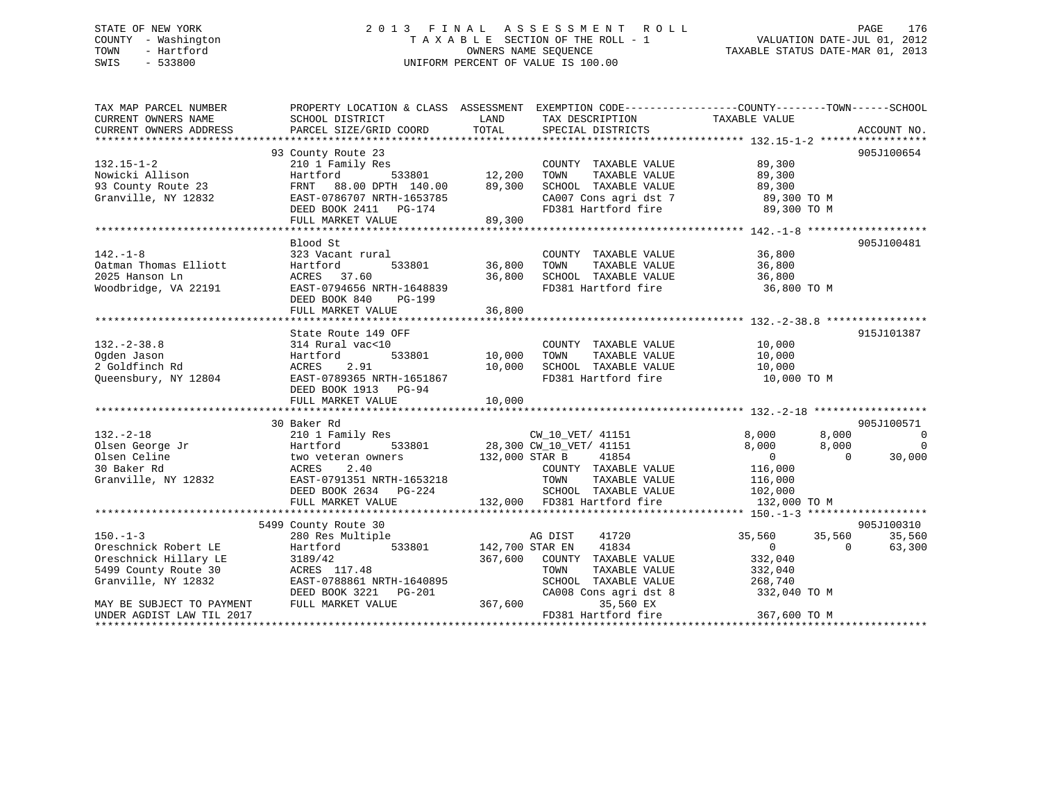## STATE OF NEW YORK 2 0 1 3 F I N A L A S S E S S M E N T R O L L PAGE 176 COUNTY - Washington T A X A B L E SECTION OF THE ROLL - 1 VALUATION DATE-JUL 01, 2012 TOWN - Hartford **TAXABLE STATUS DATE-MAR 01, 2013** SWIS - 533800 UNIFORM PERCENT OF VALUE IS 100.00

| TAX MAP PARCEL NUMBER<br>CURRENT OWNERS NAME<br>CURRENT OWNERS ADDRESS | PROPERTY LOCATION & CLASS ASSESSMENT EXEMPTION CODE---------------COUNTY-------TOWN-----SCHOOL<br>SCHOOL DISTRICT<br>PARCEL SIZE/GRID COORD | LAND<br>TOTAL   | TAX DESCRIPTION<br>SPECIAL DISTRICTS       | TAXABLE VALUE                                                        | ACCOUNT NO.    |
|------------------------------------------------------------------------|---------------------------------------------------------------------------------------------------------------------------------------------|-----------------|--------------------------------------------|----------------------------------------------------------------------|----------------|
|                                                                        |                                                                                                                                             |                 |                                            |                                                                      |                |
|                                                                        | 93 County Route 23                                                                                                                          |                 |                                            |                                                                      | 905J100654     |
| $132.15 - 1 - 2$                                                       | 210 1 Family Res                                                                                                                            | 12,200          | COUNTY TAXABLE VALUE                       | 89,300                                                               |                |
| Nowicki Allison                                                        | 533801<br>Hartford                                                                                                                          |                 | TAXABLE VALUE<br>TOWN                      | 89,300                                                               |                |
| 93 County Route 23                                                     | FRNT 88.00 DPTH 140.00                                                                                                                      | 89,300          | SCHOOL TAXABLE VALUE                       | 89,300                                                               |                |
| Granville, NY 12832                                                    | EAST-0786707 NRTH-1653785                                                                                                                   |                 |                                            |                                                                      |                |
|                                                                        | DEED BOOK 2411 PG-174                                                                                                                       |                 |                                            | CA007 Cons agri dst 7 89,300 TO M<br>FD381 Hartford fire 89,300 TO M |                |
|                                                                        | FULL MARKET VALUE                                                                                                                           | 89,300          |                                            |                                                                      |                |
|                                                                        |                                                                                                                                             |                 |                                            |                                                                      |                |
|                                                                        | Blood St                                                                                                                                    |                 |                                            |                                                                      | 905J100481     |
| $142. - 1 - 8$                                                         | 323 Vacant rural                                                                                                                            |                 | COUNTY TAXABLE VALUE                       | 36,800                                                               |                |
| Oatman Thomas Elliott                                                  | Hartford                                                                                                                                    |                 | TAXABLE VALUE<br>TOWN                      | 36,800                                                               |                |
| 2025 Hanson Ln                                                         | ACRES 37.60                                                                                                                                 | 36,800          | SCHOOL TAXABLE VALUE                       | 36,800                                                               |                |
| Woodbridge, VA 22191                                                   | EAST-0794656 NRTH-1648839                                                                                                                   |                 | ANDUL TAXABLE VALUE<br>FD381 Hartford fire | 36,800 TO M                                                          |                |
|                                                                        | DEED BOOK 840<br>PG-199                                                                                                                     |                 |                                            |                                                                      |                |
|                                                                        | FULL MARKET VALUE                                                                                                                           | 36,800          |                                            |                                                                      |                |
|                                                                        |                                                                                                                                             |                 |                                            |                                                                      |                |
|                                                                        | State Route 149 OFF                                                                                                                         |                 |                                            |                                                                      | 915J101387     |
| $132. - 2 - 38.8$                                                      | 314 Rural vac<10                                                                                                                            |                 | COUNTY TAXABLE VALUE 10,000                |                                                                      |                |
| Ogden Jason                                                            | Hartford                                                                                                                                    | 533801 10,000   | TOWN<br>TAXABLE VALUE                      | 10,000                                                               |                |
| 2 Goldfinch Rd                                                         | ACRES 2.91                                                                                                                                  |                 |                                            |                                                                      |                |
| Queensbury, NY 12804                                                   | EAST-0789365 NRTH-1651867                                                                                                                   | 10,000          |                                            |                                                                      |                |
|                                                                        | DEED BOOK 1913 PG-94                                                                                                                        |                 |                                            |                                                                      |                |
|                                                                        |                                                                                                                                             |                 |                                            |                                                                      |                |
|                                                                        |                                                                                                                                             |                 |                                            |                                                                      |                |
|                                                                        | 30 Baker Rd                                                                                                                                 |                 |                                            |                                                                      | 905J100571     |
| $132. - 2 - 18$                                                        |                                                                                                                                             |                 |                                            | 8,000<br>8,000                                                       | $\overline{0}$ |
| Olsen George Jr                                                        |                                                                                                                                             |                 |                                            | 8,000                                                                | $\Omega$       |
|                                                                        |                                                                                                                                             |                 |                                            | 8,000<br>$\overline{0}$<br>$\overline{0}$                            |                |
| Olsen Celine                                                           |                                                                                                                                             |                 |                                            |                                                                      | 30,000         |
| 30 Baker Rd                                                            |                                                                                                                                             |                 | COUNTY TAXABLE VALUE                       | 116,000                                                              |                |
| Granville, NY 12832                                                    |                                                                                                                                             |                 | TOWN<br>TAXABLE VALUE                      | 116,000                                                              |                |
|                                                                        |                                                                                                                                             |                 | SCHOOL TAXABLE VALUE 102,000               |                                                                      |                |
|                                                                        | EAST-0791351 NRTH-1653218<br>DEED BOOK 2634 PG-224<br>FULL MARKET VALUF                                                                     |                 | 132,000 FD381 Hartford fire                | 132,000 TO M                                                         |                |
|                                                                        |                                                                                                                                             |                 |                                            |                                                                      |                |
|                                                                        | 5499 County Route 30                                                                                                                        |                 |                                            |                                                                      | 905J100310     |
| $150. - 1 - 3$                                                         | 280 Res Multiple                                                                                                                            |                 | AG DIST<br>41720                           | 35,560 35,560                                                        | 35,560         |
| Oreschnick Robert LE                                                   | 533801<br>Hartford                                                                                                                          | 142,700 STAR EN | 41834                                      | $\overline{0}$<br>$\Omega$                                           | 63,300         |
| Oreschnick Hillary LE                                                  | 3189/42                                                                                                                                     |                 | 367,600 COUNTY TAXABLE VALUE               | 332,040                                                              |                |
| 5499 County Route 30                                                   | ACRES 117.48                                                                                                                                |                 | TOWN<br>TAXABLE VALUE                      | 332,040                                                              |                |
| Granville, NY 12832                                                    | EAST-0788861 NRTH-1640895                                                                                                                   |                 | SCHOOL TAXABLE VALUE                       | 268,740                                                              |                |
|                                                                        | DEED BOOK 3221 PG-201                                                                                                                       |                 | CA008 Cons agri dst 8                      | 332,040 TO M                                                         |                |
| MAY BE SUBJECT TO PAYMENT                                              | FULL MARKET VALUE                                                                                                                           | 367,600         | 35,560 EX                                  |                                                                      |                |
| UNDER AGDIST LAW TIL 2017                                              |                                                                                                                                             |                 | FD381 Hartford fire                        | 367,600 TO M                                                         |                |
|                                                                        |                                                                                                                                             |                 |                                            |                                                                      |                |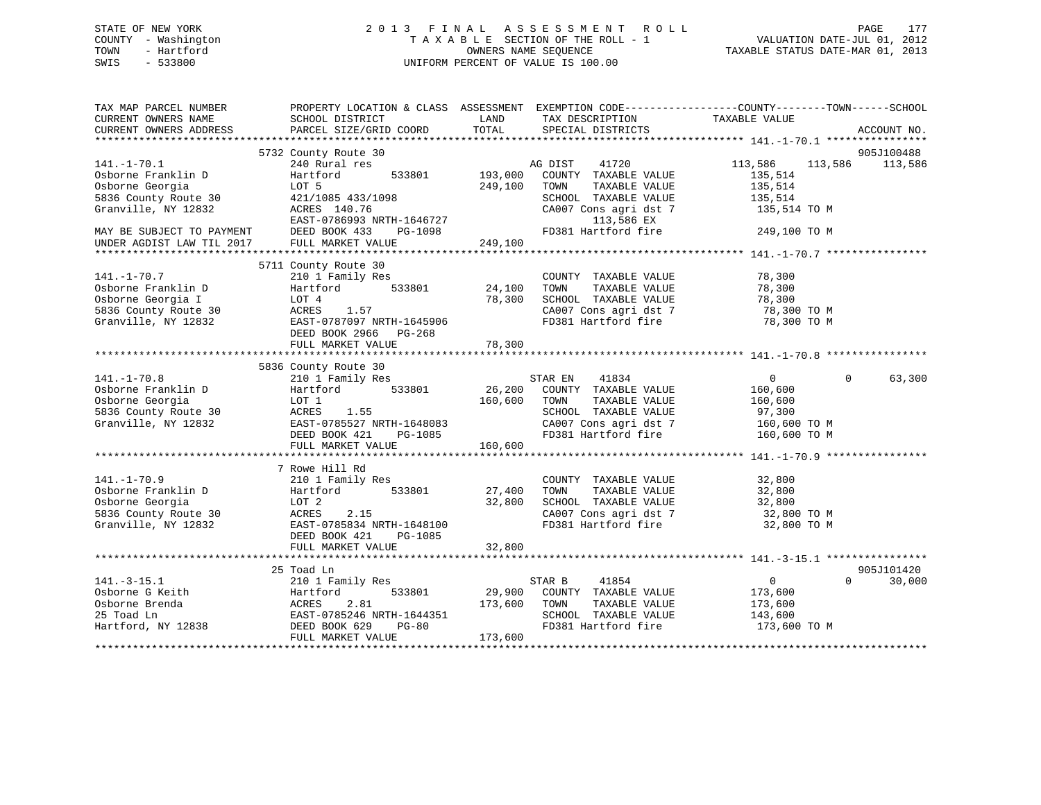## STATE OF NEW YORK 2 0 1 3 F I N A L A S S E S S M E N T R O L L PAGE 177 COUNTY - Washington T A X A B L E SECTION OF THE ROLL - 1 VALUATION DATE-JUL 01, 2012 TOWN - Hartford **TAXABLE STATUS DATE-MAR 01, 2013** SWIS - 533800 UNIFORM PERCENT OF VALUE IS 100.00

| TAX MAP PARCEL NUMBER<br>CURRENT OWNERS NAME           | SCHOOL DISTRICT           | LAND    | TAX DESCRIPTION       | PROPERTY LOCATION & CLASS ASSESSMENT EXEMPTION CODE----------------COUNTY-------TOWN------SCHOOL<br>TAXABLE VALUE |             |
|--------------------------------------------------------|---------------------------|---------|-----------------------|-------------------------------------------------------------------------------------------------------------------|-------------|
| CURRENT OWNERS ADDRESS                                 | PARCEL SIZE/GRID COORD    | TOTAL   | SPECIAL DISTRICTS     |                                                                                                                   | ACCOUNT NO. |
|                                                        |                           |         |                       |                                                                                                                   |             |
|                                                        | 5732 County Route 30      |         |                       |                                                                                                                   | 905J100488  |
| $141. - 1 - 70.1$                                      | 240 Rural res             |         | 41720<br>AG DIST      | 113,586<br>113,586                                                                                                | 113,586     |
| Osborne Franklin D                                     | Hartford<br>533801        | 193,000 | COUNTY TAXABLE VALUE  | 135,514                                                                                                           |             |
| Osborne Georgia                                        | LOT 5                     | 249,100 | TOWN<br>TAXABLE VALUE | 135,514                                                                                                           |             |
| 5836 County Route 30                                   | 421/1085 433/1098         |         | SCHOOL TAXABLE VALUE  | 135,514                                                                                                           |             |
| Granville, NY 12832                                    | ACRES 140.76              |         | CA007 Cons agri dst 7 | 135,514 TO M                                                                                                      |             |
|                                                        | EAST-0786993 NRTH-1646727 |         | 113,586 EX            |                                                                                                                   |             |
| MAY BE SUBJECT TO PAYMENT<br>UNDER AGDIST LAW TIL 2017 | DEED BOOK 433<br>PG-1098  |         | FD381 Hartford fire   | 249,100 TO M                                                                                                      |             |
|                                                        | FULL MARKET VALUE         | 249,100 |                       |                                                                                                                   |             |
|                                                        |                           |         |                       |                                                                                                                   |             |
|                                                        | 5711 County Route 30      |         |                       |                                                                                                                   |             |
| $141. - 1 - 70.7$                                      | 210 1 Family Res          |         | COUNTY TAXABLE VALUE  | 78,300                                                                                                            |             |
| Osborne Franklin D                                     | Hartford<br>533801        | 24,100  | TOWN<br>TAXABLE VALUE | 78,300                                                                                                            |             |
| Osborne Georgia I                                      | LOT 4                     | 78,300  | SCHOOL TAXABLE VALUE  | 78,300                                                                                                            |             |
| 5836 County Route 30                                   | 1.57<br>ACRES             |         | CA007 Cons agri dst 7 | 78,300 TO M                                                                                                       |             |
| Granville, NY 12832                                    | EAST-0787097 NRTH-1645906 |         | FD381 Hartford fire   | 78,300 TO M                                                                                                       |             |
|                                                        | DEED BOOK 2966 PG-268     |         |                       |                                                                                                                   |             |
|                                                        | FULL MARKET VALUE         | 78,300  |                       |                                                                                                                   |             |
|                                                        |                           |         |                       |                                                                                                                   |             |
|                                                        | 5836 County Route 30      |         |                       |                                                                                                                   |             |
| $141. - 1 - 70.8$                                      | 210 1 Family Res          |         | STAR EN<br>41834      | $\overline{0}$<br>$\Omega$                                                                                        | 63,300      |
| Osborne Franklin D                                     | 533801<br>Hartford        | 26,200  | COUNTY TAXABLE VALUE  | 160,600                                                                                                           |             |
| Osborne Georgia                                        | LOT 1                     | 160,600 | TOWN<br>TAXABLE VALUE | 160,600                                                                                                           |             |
| 5836 County Route 30                                   | ACRES<br>1.55             |         | SCHOOL TAXABLE VALUE  | 97,300                                                                                                            |             |
| Granville, NY 12832                                    | EAST-0785527 NRTH-1648083 |         | CA007 Cons agri dst 7 | 160,600 TO M                                                                                                      |             |
|                                                        | DEED BOOK 421<br>PG-1085  |         | FD381 Hartford fire   | 160,600 TO M                                                                                                      |             |
|                                                        | FULL MARKET VALUE         | 160,600 |                       |                                                                                                                   |             |
|                                                        | 7 Rowe Hill Rd            |         |                       |                                                                                                                   |             |
| $141. - 1 - 70.9$                                      | 210 1 Family Res          |         | COUNTY TAXABLE VALUE  | 32,800                                                                                                            |             |
| Osborne Franklin D                                     | Hartford<br>533801        | 27,400  | TOWN<br>TAXABLE VALUE | 32,800                                                                                                            |             |
| Osborne Georgia                                        | LOT 2                     | 32,800  | SCHOOL TAXABLE VALUE  | 32,800                                                                                                            |             |
| 5836 County Route 30                                   | ACRES<br>2.15             |         | CA007 Cons agri dst 7 | 32,800 TO M                                                                                                       |             |
| Granville, NY 12832                                    | EAST-0785834 NRTH-1648100 |         | FD381 Hartford fire   | 32,800 TO M                                                                                                       |             |
|                                                        | DEED BOOK 421<br>PG-1085  |         |                       |                                                                                                                   |             |
|                                                        |                           |         |                       |                                                                                                                   |             |
|                                                        |                           |         |                       |                                                                                                                   |             |
|                                                        | 25 Toad Ln                |         |                       |                                                                                                                   | 905J101420  |
| $141. - 3 - 15.1$                                      | 210 1 Family Res          |         | 41854<br>STAR B       | $\mathbf{0}$<br>$\Omega$                                                                                          | 30,000      |
| Osborne G Keith                                        | Hartford<br>533801        | 29,900  | COUNTY TAXABLE VALUE  | 173,600                                                                                                           |             |
| Osborne Brenda                                         | 2.81<br>ACRES             | 173,600 | TOWN<br>TAXABLE VALUE | 173,600                                                                                                           |             |
| 25 Toad Ln                                             | EAST-0785246 NRTH-1644351 |         | SCHOOL TAXABLE VALUE  | 143,600                                                                                                           |             |
| Hartford, NY 12838                                     | DEED BOOK 629<br>$PG-80$  |         | FD381 Hartford fire   | 173,600 TO M                                                                                                      |             |
|                                                        | FULL MARKET VALUE         | 173,600 |                       |                                                                                                                   |             |
|                                                        |                           |         |                       |                                                                                                                   |             |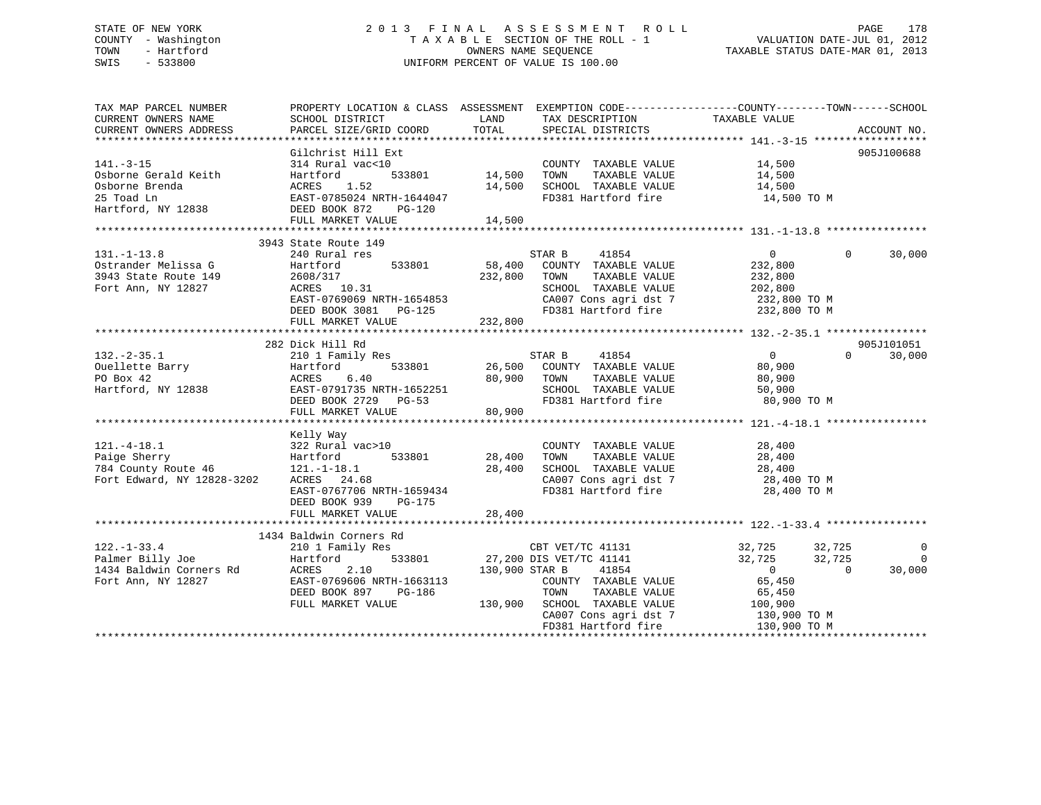## STATE OF NEW YORK 2 0 1 3 F I N A L A S S E S S M E N T R O L L PAGE 178 COUNTY - Washington T A X A B L E SECTION OF THE ROLL - 1 VALUATION DATE-JUL 01, 2012 TOWN - Hartford **TAXABLE STATUS DATE-MAR 01, 2013** SWIS - 533800 UNIFORM PERCENT OF VALUE IS 100.00

|        | LAND<br>TOTAL                                                                                                                                                                                                                                                                                                                                                                                                                                                                                                                  | TAX DESCRIPTION<br>SPECIAL DISTRICTS                                 |                                                                                                                                                                                                                                                                                         | ACCOUNT NO.                                                                                                                                                                                                                                                                                                                                                                                                                                                                                                                                                                                                                                                                                                                                                                                                                                               |
|--------|--------------------------------------------------------------------------------------------------------------------------------------------------------------------------------------------------------------------------------------------------------------------------------------------------------------------------------------------------------------------------------------------------------------------------------------------------------------------------------------------------------------------------------|----------------------------------------------------------------------|-----------------------------------------------------------------------------------------------------------------------------------------------------------------------------------------------------------------------------------------------------------------------------------------|-----------------------------------------------------------------------------------------------------------------------------------------------------------------------------------------------------------------------------------------------------------------------------------------------------------------------------------------------------------------------------------------------------------------------------------------------------------------------------------------------------------------------------------------------------------------------------------------------------------------------------------------------------------------------------------------------------------------------------------------------------------------------------------------------------------------------------------------------------------|
| PG-120 |                                                                                                                                                                                                                                                                                                                                                                                                                                                                                                                                | TOWN                                                                 | 14,500<br>14,500<br>14,500 TO M                                                                                                                                                                                                                                                         | 905J100688                                                                                                                                                                                                                                                                                                                                                                                                                                                                                                                                                                                                                                                                                                                                                                                                                                                |
|        |                                                                                                                                                                                                                                                                                                                                                                                                                                                                                                                                |                                                                      |                                                                                                                                                                                                                                                                                         |                                                                                                                                                                                                                                                                                                                                                                                                                                                                                                                                                                                                                                                                                                                                                                                                                                                           |
| 533801 |                                                                                                                                                                                                                                                                                                                                                                                                                                                                                                                                | STAR B<br>41854<br>TOWN                                              | $\Omega$<br>$\Omega$<br>232,800<br>232,800                                                                                                                                                                                                                                              | 30,000                                                                                                                                                                                                                                                                                                                                                                                                                                                                                                                                                                                                                                                                                                                                                                                                                                                    |
|        |                                                                                                                                                                                                                                                                                                                                                                                                                                                                                                                                |                                                                      |                                                                                                                                                                                                                                                                                         | 905J101051                                                                                                                                                                                                                                                                                                                                                                                                                                                                                                                                                                                                                                                                                                                                                                                                                                                |
|        |                                                                                                                                                                                                                                                                                                                                                                                                                                                                                                                                | STAR B<br>41854                                                      | $\overline{0}$<br>80,900<br>80,900<br>50,900<br>80,900 TO M                                                                                                                                                                                                                             | $\Omega$<br>30,000                                                                                                                                                                                                                                                                                                                                                                                                                                                                                                                                                                                                                                                                                                                                                                                                                                        |
|        | 28,400<br>28,400                                                                                                                                                                                                                                                                                                                                                                                                                                                                                                               |                                                                      | 28,400 TO M                                                                                                                                                                                                                                                                             |                                                                                                                                                                                                                                                                                                                                                                                                                                                                                                                                                                                                                                                                                                                                                                                                                                                           |
|        |                                                                                                                                                                                                                                                                                                                                                                                                                                                                                                                                |                                                                      |                                                                                                                                                                                                                                                                                         |                                                                                                                                                                                                                                                                                                                                                                                                                                                                                                                                                                                                                                                                                                                                                                                                                                                           |
|        |                                                                                                                                                                                                                                                                                                                                                                                                                                                                                                                                | TOWN<br>FD381 Hartford fire                                          | 32,725 32,725<br>32,725<br>32,725<br>$\overline{0}$<br>$\Omega$<br>65,450<br>130,900 TO M                                                                                                                                                                                               | $\mathbf 0$<br>0<br>30,000                                                                                                                                                                                                                                                                                                                                                                                                                                                                                                                                                                                                                                                                                                                                                                                                                                |
|        | SCHOOL DISTRICT<br>PARCEL SIZE/GRID COORD<br>Gilchrist Hill Ext<br>314 Rural vac<10<br>Hartford<br>ACRES 1.52<br>Hartford, NY 12838 DEED BOOK 872<br>3943 State Route 149<br>240 Rural res<br>Ostrander Melissa G<br>2011 Chata Poute 149 2608/317<br>ACRES 10.31<br>282 Dick Hill Rd<br>210 1 Family Res<br>FULL MARKET VALUE<br>Kelly Way<br>322 Rural vac>10<br>Hartford<br>121.-1-18.1<br>ACRES 24.68<br>DEED BOOK 939 PG-175<br>FULL MARKET VALUE<br>1434 Baldwin Corners Rd<br>DEED BOOK 897 PG-186<br>FULL MARKET VALUE | ACRES 1.52<br>EAST-0785024 NRTH-1644047<br>EAST-0767706 NRTH-1659434 | 533801 14,500<br>232,800<br>00 000 132.1-2-3.1<br>00 10 26,500<br>PO Box 42<br>Hartford, NY 12838<br>26,500<br>EAST-0791735 NRTH-1652251<br>DEED BOOK 2729<br>27.1<br>28.2251<br>28.2251<br>28.2251<br>29.2251<br>29.2251<br>29.2251<br>80,900<br>533801 28,400<br>130,900 STAR B 41854 | PROPERTY LOCATION & CLASS ASSESSMENT EXEMPTION CODE----------------COUNTY-------TOWN------SCHOOL<br>TAXABLE VALUE<br>COUNTY TAXABLE VALUE<br>TAXABLE VALUE<br>14,500 SCHOOL TAXABLE VALUE 14,500<br>FD381 Hartford fire<br>58,400 COUNTY TAXABLE VALUE<br>TAXABLE VALUE<br>SCHOOL TAXABLE VALUE $202,800$<br>CA007 Cons agri dst 7 $232,800$ TO M<br>FD381 Hartford fire 232,800 TO M<br>$10$ 533801 $26,500$ COUNTY TAXABLE VALUE<br>40 $80,900$ TOWN TAXABLE VALUE<br>SCHOOL TAXABLE VALUE<br>FD381 Hartford fire<br>COUNTY TAXABLE VALUE<br>TOWN TAXABLE VALUE 28,400<br>SCHOOL TAXABLE VALUE 28,400<br>CA007 Cons agri dst 7 28,400 TO M<br>FD381 Hartford fire<br>S<br>533801 27,200 DIS VET/TC 41141<br>COUNTY TAXABLE VALUE<br>TAXABLE VALUE 65,450<br>TAXABLE VALUE 100,900<br>130,900 SCHOOL TAXABLE VALUE<br>CA007 Cons agri dst 7 130,900 TO M |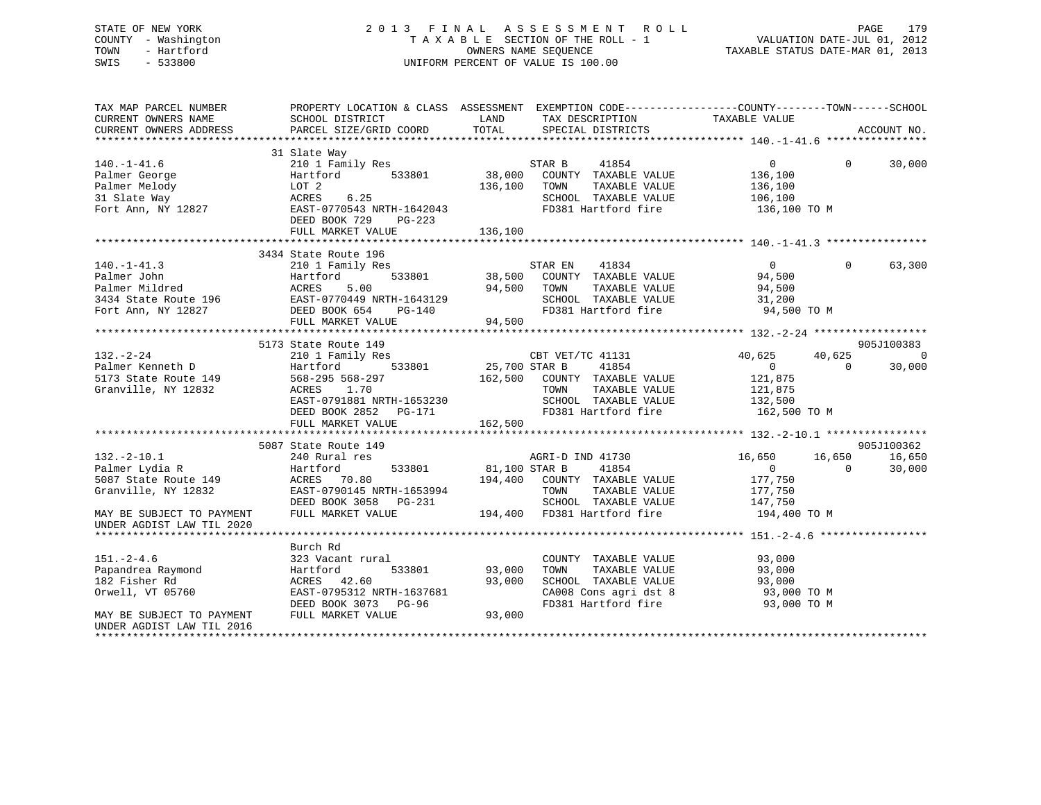| STATE OF NEW YORK<br>COUNTY - Washington<br>- Hartford<br>TOWN<br>$-533800$<br>SWIS                                                                                                                                            | OWNERS NAME SEQUERAL OF VALUE 18 100.00 |             | 2013 FINAL ASSESSMENT ROLL<br>3 FINAL ASSESSMENT ROLL<br>TAXABLE SECTION OF THE ROLL - 1 VALUATION DATE-JUL 01, 2012<br>OWNERS NAME SEQUENCE<br>ERCENT OF VALUE IS 100 00 |                | PAGE              | 179    |
|--------------------------------------------------------------------------------------------------------------------------------------------------------------------------------------------------------------------------------|-----------------------------------------|-------------|---------------------------------------------------------------------------------------------------------------------------------------------------------------------------|----------------|-------------------|--------|
| TAX MAP PARCEL NUMBER THE PROPERTY LOCATION & CLASS ASSESSMENT EXEMPTION CODE---------------COUNTY-------TOWN-----SCHOOL                                                                                                       |                                         |             |                                                                                                                                                                           |                |                   |        |
| CURRENT OWNERS NAME                                                                                                                                                                                                            | SCHOOL DISTRICT                         | <b>LAND</b> | TAX DESCRIPTION TAXABLE VALUE                                                                                                                                             |                |                   |        |
| CURRENT OWNERS ADDRESS                                                                                                                                                                                                         |                                         |             |                                                                                                                                                                           |                |                   |        |
|                                                                                                                                                                                                                                |                                         |             |                                                                                                                                                                           |                |                   |        |
|                                                                                                                                                                                                                                | 31 Slate Way                            |             |                                                                                                                                                                           |                |                   |        |
| $140.-1-41.6$                                                                                                                                                                                                                  | 210 1 Family Res                        |             | STAR B 41854                                                                                                                                                              | $\overline{0}$ | $0 \qquad \qquad$ | 30,000 |
| Palmer George 6136,100 Eartford 533801 38,000 COUNTY TAXABLE VALUE 136,100<br>Palmer Melody LOT 2                                                                                                                              |                                         |             |                                                                                                                                                                           |                |                   |        |
|                                                                                                                                                                                                                                |                                         | 136,100     | TOWN<br>TAXABLE VALUE                                                                                                                                                     | 136,100        |                   |        |
| 31 Slate Way 6.25                                                                                                                                                                                                              |                                         |             | SCHOOL TAXABLE VALUE<br>EAST-0770543 NRTH-1642043 FD381 Hartford fire                                                                                                     | 106,100        |                   |        |
| Fort Ann, NY 12827                                                                                                                                                                                                             | DEED BOOK 729<br>$PG-223$               |             |                                                                                                                                                                           | 136,100 TO M   |                   |        |
|                                                                                                                                                                                                                                | FULL MARKET VALUE                       | 136,100     |                                                                                                                                                                           |                |                   |        |
|                                                                                                                                                                                                                                |                                         |             |                                                                                                                                                                           |                |                   |        |
|                                                                                                                                                                                                                                | 3434 State Route 196                    |             |                                                                                                                                                                           |                |                   |        |
| $140.-1-41.3$                                                                                                                                                                                                                  | 210 1 Family Res                        |             | STAR EN 41834                                                                                                                                                             | $\overline{0}$ | $0 \qquad \qquad$ | 63,300 |
| Palmer John New York States and The States of the States of the States of the States of the States of the States of the States of the States of the States of the States of the States of the States of the States of the Stat | Hartford 533801 38,500 COUNTY           |             | TAXABLE VALUE                                                                                                                                                             | 94,500         |                   |        |
| Palmer Mildred and the Malmer Mildred                                                                                                                                                                                          | ACRES 5.00                              | 94,500      | TOWN<br>TAXABLE VALUE                                                                                                                                                     | 94,500         |                   |        |
| 3434 State Route 196                                                                                                                                                                                                           | EAST-0770449 NRTH-1643129               |             | SCHOOL TAXABLE VALUE                                                                                                                                                      | 31,200         |                   |        |
| Fort Ann, NY 12827                                                                                                                                                                                                             | DEED BOOK 654 PG-140                    |             | FD381 Hartford fire 94,500 TO M                                                                                                                                           |                |                   |        |
|                                                                                                                                                                                                                                | FULL MARKET VALUE                       | 94,500      |                                                                                                                                                                           |                |                   |        |

|                                | 5173 State Route 149                       |                                                                                                                                                                                                                                            |                            | 905J100383    |
|--------------------------------|--------------------------------------------|--------------------------------------------------------------------------------------------------------------------------------------------------------------------------------------------------------------------------------------------|----------------------------|---------------|
| $132. - 2 - 24$                |                                            | 210 1 Family Res CBT VET/TC 41131                                                                                                                                                                                                          | 40,625 40,625              |               |
|                                |                                            |                                                                                                                                                                                                                                            | $\overline{0}$             | $0 \t 30,000$ |
|                                |                                            |                                                                                                                                                                                                                                            |                            |               |
| Granville, NY 12832 ACRES 1.70 |                                            | $\begin{array}{cccccccccc} \texttt{ACRES} & & 1.70 & & & & & & \texttt{TOWN} & & \texttt{TAXABLE VALUE} & & & & & 121,875 \\ \texttt{EAST-0791881 NRTH-1653230} & & & & & & & \texttt{SCHOOL TAXABLE VALUE} & & & & & 132,500 \end{array}$ |                            |               |
|                                |                                            |                                                                                                                                                                                                                                            |                            |               |
|                                |                                            | DEED BOOK 2852 PG-171 FD381 Hartford fire 162,500 TO M                                                                                                                                                                                     |                            |               |
|                                | FULL MARKET VALUE 162,500                  |                                                                                                                                                                                                                                            |                            |               |
|                                |                                            |                                                                                                                                                                                                                                            |                            |               |
|                                | 5087 State Route 149                       |                                                                                                                                                                                                                                            |                            | 905J100362    |
|                                |                                            | 132.-2-10.1 240 Rural res AGRI-D IND 41730 16,650 16,650 16,650 16,650                                                                                                                                                                     |                            |               |
|                                |                                            |                                                                                                                                                                                                                                            | $\overline{0}$<br>$\Omega$ | 30,000        |
|                                |                                            |                                                                                                                                                                                                                                            | 177,750                    |               |
|                                |                                            | TAXABLE VALUE 177,750                                                                                                                                                                                                                      |                            |               |
|                                | DEED BOOK 3058 PG-231                      | SCHOOL TAXABLE VALUE                                                                                                                                                                                                                       | 147,750                    |               |
|                                |                                            | MAY BE SUBJECT TO PAYMENT FULL MARKET VALUE 194,400 FD381 Hartford fire 194,400 TO M                                                                                                                                                       |                            |               |
| UNDER AGDIST LAW TIL 2020      |                                            |                                                                                                                                                                                                                                            |                            |               |
|                                |                                            |                                                                                                                                                                                                                                            |                            |               |
|                                | Burch Rd                                   |                                                                                                                                                                                                                                            |                            |               |
| $151. - 2 - 4.6$               | 323 Vacant rural                           | COUNTY TAXABLE VALUE                                                                                                                                                                                                                       | 93,000                     |               |
|                                |                                            | 533801 93,000<br>TOWN<br>TAXABLE VALUE                                                                                                                                                                                                     | 93,000                     |               |
|                                |                                            | 93,000 SCHOOL TAXABLE VALUE                                                                                                                                                                                                                | 93,000                     |               |
|                                | Orwell, VT 05760 EAST-0795312 NRTH-1637681 | CA008 Cons agri dst 8 93,000 TO M                                                                                                                                                                                                          |                            |               |
|                                | DEED BOOK 3073 PG-96                       | FD381 Hartford fire 53,000 TO M                                                                                                                                                                                                            |                            |               |
| MAY BE SUBJECT TO PAYMENT      | FULL MARKET VALUE                          | 93,000                                                                                                                                                                                                                                     |                            |               |
| UNDER AGDIST LAW TIL 2016      |                                            |                                                                                                                                                                                                                                            |                            |               |
|                                |                                            |                                                                                                                                                                                                                                            |                            |               |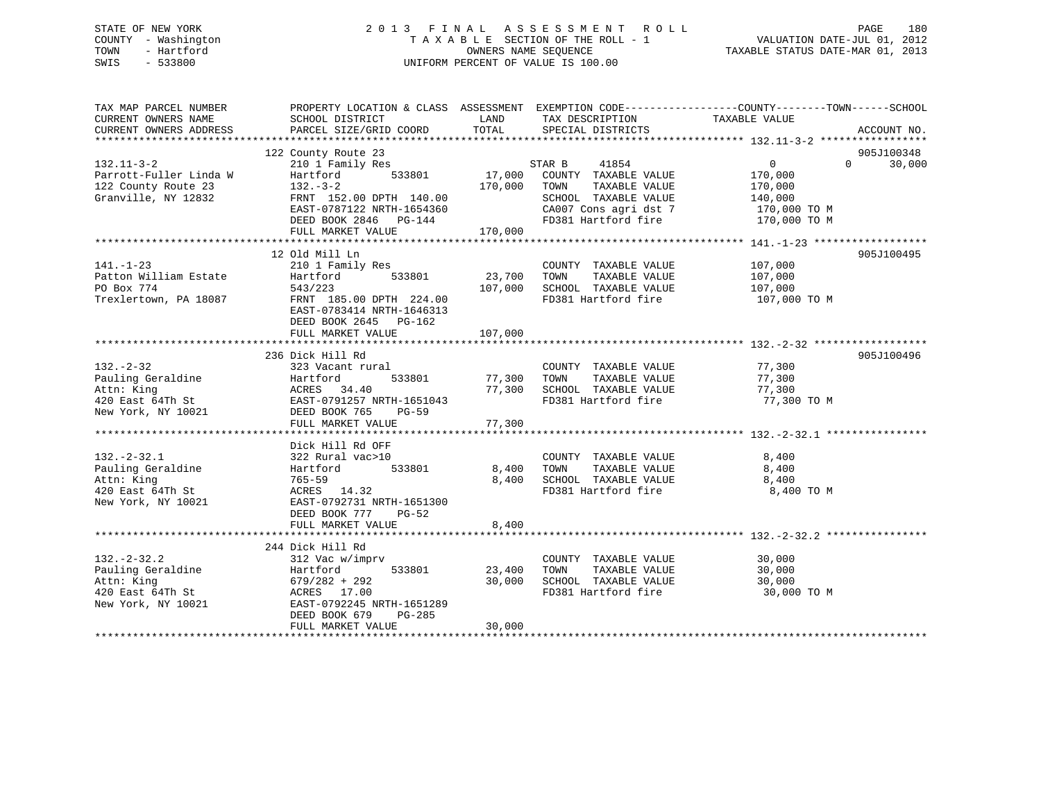## STATE OF NEW YORK 2 0 1 3 F I N A L A S S E S S M E N T R O L L PAGE 180 COUNTY - Washington T A X A B L E SECTION OF THE ROLL - 1 VALUATION DATE-JUL 01, 2012 TOWN - Hartford **TAXABLE STATUS DATE-MAR 01, 2013** SWIS - 533800 UNIFORM PERCENT OF VALUE IS 100.00

| TAX MAP PARCEL NUMBER<br>CURRENT OWNERS NAME<br>CURRENT OWNERS ADDRESS | SCHOOL DISTRICT<br>PARCEL SIZE/GRID COORD | LAND<br>TOTAL | TAX DESCRIPTION<br>SPECIAL DISTRICTS          | PROPERTY LOCATION & CLASS ASSESSMENT EXEMPTION CODE----------------COUNTY-------TOWN------SCHOOL<br>TAXABLE VALUE | ACCOUNT NO. |
|------------------------------------------------------------------------|-------------------------------------------|---------------|-----------------------------------------------|-------------------------------------------------------------------------------------------------------------------|-------------|
|                                                                        |                                           |               |                                               |                                                                                                                   |             |
|                                                                        | 122 County Route 23                       |               |                                               |                                                                                                                   | 905J100348  |
| $132.11 - 3 - 2$                                                       | 210 1 Family Res                          |               | STAR B<br>41854                               | $\overline{0}$<br>$\Omega$                                                                                        | 30,000      |
| Parrott-Fuller Linda W                                                 | 533801<br>Hartford                        | 17,000        | COUNTY TAXABLE VALUE                          | 170,000                                                                                                           |             |
| 122 County Route 23                                                    | $132 - 3 - 2$                             | 170,000       | TOWN<br>TAXABLE VALUE                         | 170,000                                                                                                           |             |
| Granville, NY 12832                                                    | FRNT 152.00 DPTH 140.00                   |               | SCHOOL TAXABLE VALUE                          | 140,000                                                                                                           |             |
|                                                                        | EAST-0787122 NRTH-1654360                 |               | CA007 Cons agri dst 7                         | 170,000 TO M                                                                                                      |             |
|                                                                        | DEED BOOK 2846 PG-144                     |               | FD381 Hartford fire                           | 170,000 TO M                                                                                                      |             |
|                                                                        | FULL MARKET VALUE                         | 170,000       |                                               |                                                                                                                   |             |
|                                                                        |                                           |               |                                               |                                                                                                                   |             |
|                                                                        | 12 Old Mill Ln                            |               |                                               |                                                                                                                   | 905J100495  |
| $141. - 1 - 23$                                                        | 210 1 Family Res                          |               | COUNTY TAXABLE VALUE                          | 107,000                                                                                                           |             |
| Patton William Estate                                                  | Hartford<br>533801                        | 23,700        | TAXABLE VALUE<br>TOWN                         | 107,000                                                                                                           |             |
| PO Box 774                                                             | 543/223                                   | 107,000       | SCHOOL TAXABLE VALUE                          | 107,000                                                                                                           |             |
| Trexlertown, PA 18087                                                  | FRNT 185.00 DPTH 224.00                   |               | FD381 Hartford fire                           | 107,000 TO M                                                                                                      |             |
|                                                                        | EAST-0783414 NRTH-1646313                 |               |                                               |                                                                                                                   |             |
|                                                                        | DEED BOOK 2645 PG-162                     |               |                                               |                                                                                                                   |             |
|                                                                        | FULL MARKET VALUE                         | 107,000       |                                               |                                                                                                                   |             |
|                                                                        |                                           |               |                                               |                                                                                                                   |             |
|                                                                        | 236 Dick Hill Rd                          |               |                                               |                                                                                                                   | 905J100496  |
| $132 - 2 - 32$                                                         | 323 Vacant rural                          |               | COUNTY TAXABLE VALUE                          | 77,300                                                                                                            |             |
| Pauling Geraldine                                                      | Hartford<br>533801                        | 77,300        | TOWN<br>TAXABLE VALUE                         | 77,300                                                                                                            |             |
| Attn: King                                                             | ACRES 34.40                               |               | 77,300 SCHOOL TAXABLE VALUE                   | 77,300                                                                                                            |             |
| 420 East 64Th St                                                       | EAST-0791257 NRTH-1651043                 |               | FD381 Hartford fire                           | 77,300 TO M                                                                                                       |             |
| New York, NY 10021                                                     | DEED BOOK 765<br><b>PG-59</b>             |               |                                               |                                                                                                                   |             |
|                                                                        | FULL MARKET VALUE                         | 77,300        |                                               |                                                                                                                   |             |
|                                                                        |                                           |               |                                               |                                                                                                                   |             |
|                                                                        | Dick Hill Rd OFF                          |               |                                               |                                                                                                                   |             |
| $132 - 2 - 32.1$                                                       | 322 Rural vac>10                          |               | COUNTY TAXABLE VALUE                          | 8,400                                                                                                             |             |
| Pauling Geraldine                                                      | Hartford<br>533801                        | 8,400         | TOWN<br>TAXABLE VALUE                         | 8,400                                                                                                             |             |
| Attn: King                                                             | $765 - 59$                                | 8,400         | SCHOOL TAXABLE VALUE                          | 8,400                                                                                                             |             |
| 420 East 64Th St                                                       | ACRES 14.32                               |               | FD381 Hartford fire                           | 8,400 TO M                                                                                                        |             |
| New York, NY 10021                                                     | EAST-0792731 NRTH-1651300                 |               |                                               |                                                                                                                   |             |
|                                                                        | DEED BOOK 777<br>PG-52                    |               |                                               |                                                                                                                   |             |
|                                                                        | FULL MARKET VALUE                         | 8,400         |                                               |                                                                                                                   |             |
|                                                                        |                                           |               |                                               |                                                                                                                   |             |
|                                                                        | 244 Dick Hill Rd                          |               |                                               |                                                                                                                   |             |
| $132 - 2 - 32.2$                                                       |                                           |               |                                               | 30,000                                                                                                            |             |
|                                                                        | 312 Vac w/imprv<br>533801                 | 23,400        | COUNTY TAXABLE VALUE<br>TOWN<br>TAXABLE VALUE | 30,000                                                                                                            |             |
| Pauling Geraldine                                                      | Hartford                                  |               |                                               |                                                                                                                   |             |
| Attn: King                                                             | $679/282 + 292$                           | 30,000        | SCHOOL TAXABLE VALUE                          | 30,000                                                                                                            |             |
| 420 East 64Th St                                                       | ACRES 17.00                               |               | FD381 Hartford fire                           | 30,000 TO M                                                                                                       |             |
| New York, NY 10021                                                     | EAST-0792245 NRTH-1651289                 |               |                                               |                                                                                                                   |             |
|                                                                        | DEED BOOK 679<br>PG-285                   |               |                                               |                                                                                                                   |             |
|                                                                        | FULL MARKET VALUE                         | 30,000        |                                               |                                                                                                                   |             |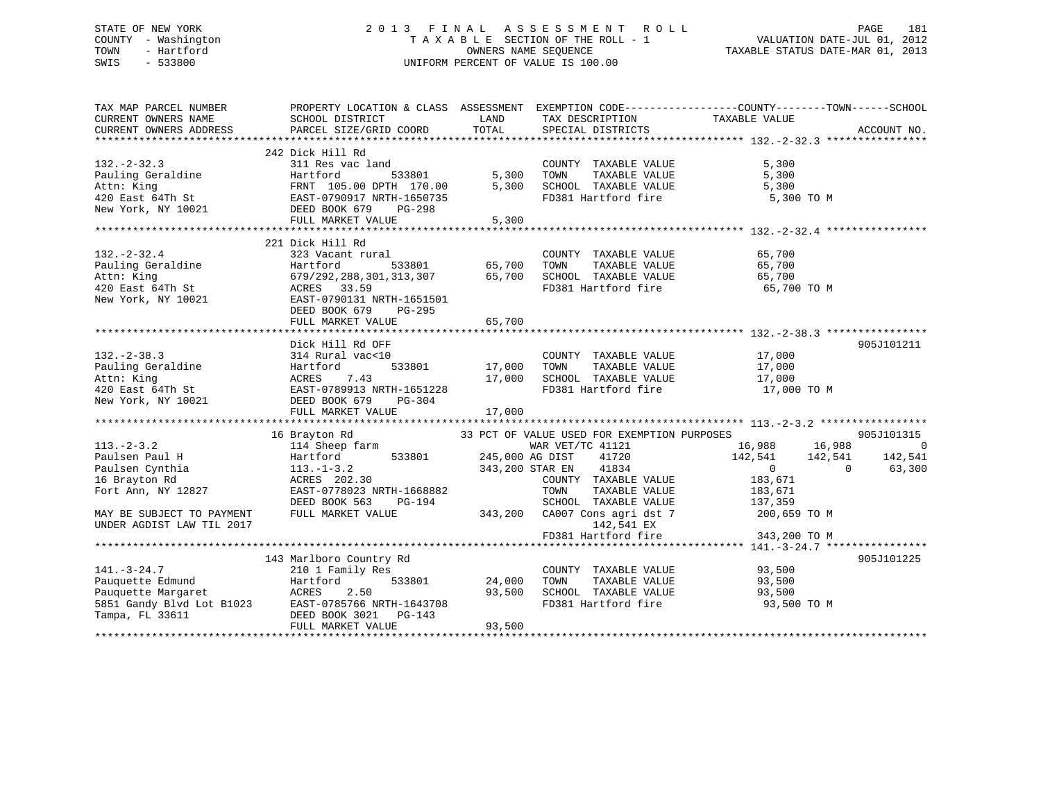# STATE OF NEW YORK 2 0 1 3 F I N A L A S S E S S M E N T R O L L PAGE 181 COUNTY - Washington T A X A B L E SECTION OF THE ROLL - 1 VALUATION DATE-JUL 01, 2012 TOWN - Hartford OWNERS NAME SEQUENCE TAXABLE STATUS DATE-MAR 01, 2013 SWIS - 533800 UNIFORM PERCENT OF VALUE IS 100.00

| TAX MAP PARCEL NUMBER<br>CURRENT OWNERS NAME | SCHOOL DISTRICT                                                                                                                                                                                                                                                                                                                                                                                                    | LAND   | TAX DESCRIPTION                                                                                    | PROPERTY LOCATION & CLASS ASSESSMENT EXEMPTION CODE----------------COUNTY-------TOWN------SCHOOL<br>TAXABLE VALUE |            |
|----------------------------------------------|--------------------------------------------------------------------------------------------------------------------------------------------------------------------------------------------------------------------------------------------------------------------------------------------------------------------------------------------------------------------------------------------------------------------|--------|----------------------------------------------------------------------------------------------------|-------------------------------------------------------------------------------------------------------------------|------------|
|                                              |                                                                                                                                                                                                                                                                                                                                                                                                                    |        |                                                                                                    |                                                                                                                   |            |
|                                              |                                                                                                                                                                                                                                                                                                                                                                                                                    |        |                                                                                                    |                                                                                                                   |            |
| $132 - 2 - 32.3$                             | 242 Dick Hill Rd<br>311 Res vac land<br>Pauling Geraldine<br>Att For Hartford 533801 5,300 TOWN<br>Attn: King FRNT 105.00 DPTH 170.00 5,300 SCHOOL<br>420 East 64Th St EAST-0790917 NRTH-1650735 FD381<br>New York, NY 10021 DEED BOOK 679 PG-298                                                                                                                                                                  |        | COUNTY TAXABLE VALUE 5,300<br>TAXABLE VALUE<br>L. TAXABLE VALUE<br>5,300 SCHOOL TAXABLE VALUE      | 5,300<br>5,300<br>FD381 Hartford fire 5,300 TO M                                                                  |            |
|                                              |                                                                                                                                                                                                                                                                                                                                                                                                                    |        |                                                                                                    |                                                                                                                   |            |
|                                              | 132.-2-32.4<br>Pauling Geraldine and the Hartford 533801 65,700 TOWN TAXABLE VALUE 65,700<br>Attn: King 679/292,288,301,313,307 65,700 SCHOOL TAXABLE VALUE 65,700<br>420 East 64Th St ACRES 33.59<br>New York, NY 10021 EAST POPOLY 1<br>DEED BOOK 679 PG-295                                                                                                                                                     |        |                                                                                                    | 65,700 TO M                                                                                                       |            |
|                                              | Dick Hill Rd OFF                                                                                                                                                                                                                                                                                                                                                                                                   |        |                                                                                                    |                                                                                                                   | 905J101211 |
|                                              | 132.-2-38.3<br>Pauling Geraldine<br>Pauling Geraldine Hartford 533801 17,000 TOWN<br>Attn: King ACRES 7.43 17,000 SCHOOI<br>420 East 64Th St EAST-0789913 NRTH-1651228 FD381<br>New York, NY 10021 DEED BOOK 679 PG-304<br>FULL MARKET V                                                                                                                                                                           |        | COUNTY TAXABLE VALUE 17,000                                                                        | FD381 Hartford fire 17,000 TO M                                                                                   |            |
|                                              |                                                                                                                                                                                                                                                                                                                                                                                                                    |        |                                                                                                    |                                                                                                                   |            |
| UNDER AGDIST LAW TIL 2017                    | 16 Brayton Rd<br>113.-2-3.2<br>Paulsen Paul H<br>Paulsen Cynthia<br>Paulsen Cynthia<br>142,541<br>Paulsen Cynthia<br>142,541<br>Paulsen Cynthia<br>142,541<br>Paulsen Cynthia<br>142,541<br>Paulsen Cynthia<br>142,541<br>Paulsen Cynthia<br>142,541<br>142,541<br>142,541<br>142                                                                                                                                  |        |                                                                                                    | 33 PCT OF VALUE USED FOR EXEMPTION PURPOSES<br>142,541 EX<br>FD381 Hartford fire 343,200 TO M                     | 905J101315 |
|                                              |                                                                                                                                                                                                                                                                                                                                                                                                                    |        |                                                                                                    |                                                                                                                   |            |
| $141. - 3 - 24.7$                            | 143 Marlboro Country Rd<br>210 1 Family Res<br>141.-3-24.7 210 1 Family Res<br>Pauquette Edmund Hartford 533801 24,000<br>Pauquette Margaret ACRES 2.50 93,500<br>5851 Gandy Blvd Lot B1023 EAST-0785766 NRTH-1643708<br>Tampa, FL 33611 DEED BOOK 3021 PG-143<br>$\begin{array}{cccc}\n 1 & 1 & 1 & 1 \\  24 & 0 & 0 & 1 \\  0 & 2 & 0 & 0 \\  0 & 2 & 0 & 0 \\  0 & 0 & 0 & 0\n\end{array}$<br>FULL MARKET VALUE | 93,500 | COUNTY TAXABLE VALUE 93,500<br>TAXABLE VALUE<br>SCHOOL TAXABLE VALUE 93,500<br>FD381 Hartford fire | 93,500<br>93,500 TO M                                                                                             | 905J101225 |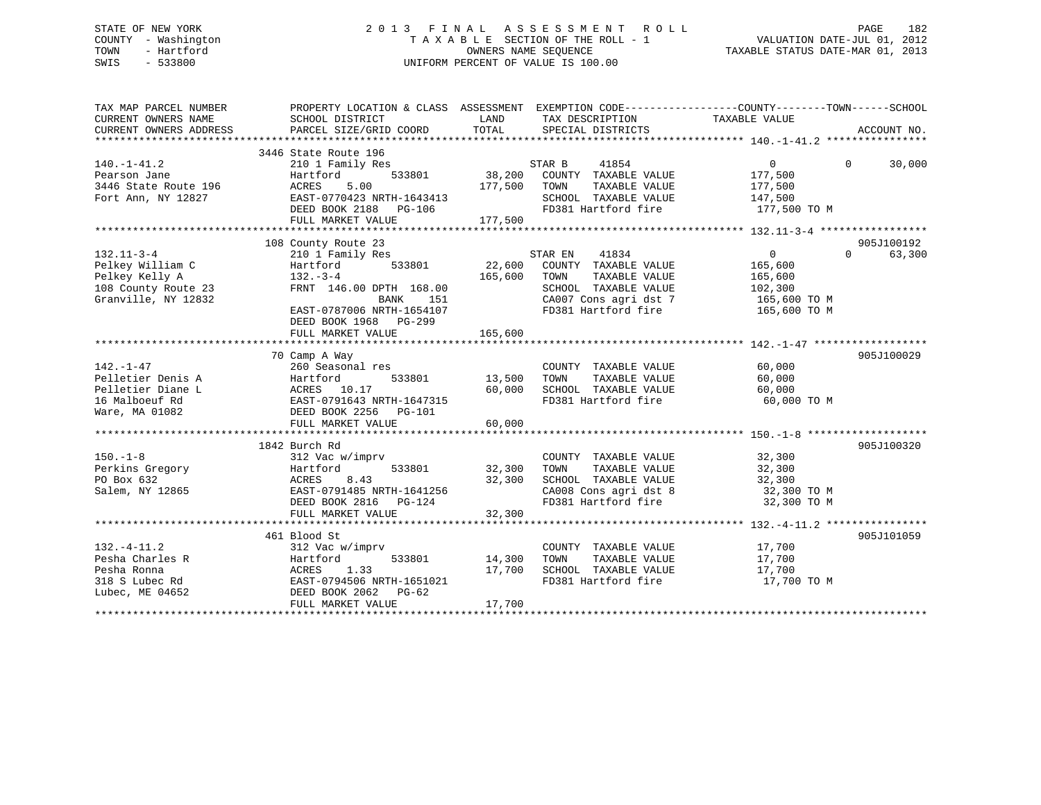# STATE OF NEW YORK 2 0 1 3 F I N A L A S S E S S M E N T R O L L PAGE 182 COUNTY - Washington T A X A B L E SECTION OF THE ROLL - 1 VALUATION DATE-JUL 01, 2012 TOWN - Hartford **TAXABLE STATUS DATE-MAR 01, 2013** OWNERS NAME SEQUENCE TAXABLE STATUS DATE-MAR 01, 2013 SWIS - 533800 UNIFORM PERCENT OF VALUE IS 100.00

| TAX MAP PARCEL NUMBER<br>CURRENT OWNERS NAME<br>CURRENT OWNERS ADDRESS                        | PROPERTY LOCATION & CLASS ASSESSMENT EXEMPTION CODE---------------COUNTY-------TOWN-----SCHOOL<br>SCHOOL DISTRICT<br>PARCEL SIZE/GRID COORD                | LAND<br>TOTAL                |                | SPECIAL DISTRICTS                                                                                             | TAX DESCRIPTION TAXABLE VALUE                                   |          | ACCOUNT NO.          |
|-----------------------------------------------------------------------------------------------|------------------------------------------------------------------------------------------------------------------------------------------------------------|------------------------------|----------------|---------------------------------------------------------------------------------------------------------------|-----------------------------------------------------------------|----------|----------------------|
| 140.-1-41.2<br>Pearson Jane<br>3446 State Route 196<br>Fort Ann, NY 12827                     | 3446 State Route 196<br>210 1 Family Res<br>533801<br>Hartford<br>ACRES<br>5.00<br>EAST-0770423 NRTH-1643413<br>DEED BOOK 2188 PG-106<br>FULL MARKET VALUE | 38,200<br>177,500<br>177,500 | STAR B<br>TOWN | 41854<br>COUNTY TAXABLE VALUE<br>TAXABLE VALUE<br>SCHOOL TAXABLE VALUE<br>FD381 Hartford fire                 | $\overline{0}$<br>177,500<br>177,500<br>147,500<br>177,500 TO M | $\Omega$ | 30,000               |
| 132.11-3-4<br>Pelkey William C                                                                | 108 County Route 23<br>210 1 Family Res<br>533801<br>Hartford                                                                                              | 22,600                       | STAR EN        | 41834<br>COUNTY TAXABLE VALUE                                                                                 | $\overline{0}$<br>165,600                                       | $\Omega$ | 905J100192<br>63,300 |
| Pelkey Kelly A<br>108 County Route 23<br>Granville, NY 12832                                  | $132 - 3 - 4$<br>FRNT 146.00 DPTH 168.00<br>BANK<br>151<br>EAST-0787006 NRTH-1654107<br>DEED BOOK 1968 PG-299<br>FULL MARKET VALUE                         | 165,600<br>165,600           | TOWN           | TAXABLE VALUE<br>SCHOOL TAXABLE VALUE<br>CA007 Cons agri dst 7<br>FD381 Hartford fire                         | 165,600<br>102,300<br>165,600 TO M<br>165,600 TO M              |          |                      |
|                                                                                               |                                                                                                                                                            |                              |                |                                                                                                               |                                                                 |          |                      |
| $142. - 1 - 47$<br>Pelletier Denis A<br>Pelletier Diane L<br>16 Malboeuf Rd<br>Ware, MA 01082 | 70 Camp A Way<br>260 Seasonal res<br>Hartford<br>533801<br>ACRES 10.17<br>EAST-0791643 NRTH-1647315<br>DEED BOOK 2256 PG-101<br>FULL MARKET VALUE          | 13,500<br>60,000<br>60,000   | TOWN           | COUNTY TAXABLE VALUE<br>TAXABLE VALUE<br>SCHOOL TAXABLE VALUE<br>FD381 Hartford fire                          | 60,000<br>60,000<br>60,000<br>60,000 TO M                       |          | 905J100029           |
|                                                                                               | 1842 Burch Rd                                                                                                                                              |                              |                |                                                                                                               |                                                                 |          | 905J100320           |
| $150. - 1 - 8$<br>Perkins Gregory<br>PO Box 632<br>Salem, NY 12865                            | 312 Vac w/imprv<br>Hartford<br>533801<br>ACRES<br>EAST-0<br>8.43<br>EAST-0791485 NRTH-1641256<br>DEED BOOK 2816 PG-124<br>FULL MARKET VALUE                | 32,300<br>32,300<br>32,300   | TOWN           | COUNTY TAXABLE VALUE<br>TAXABLE VALUE<br>SCHOOL TAXABLE VALUE<br>CA008 Cons agri dst 8<br>FD381 Hartford fire | 32,300<br>32,300<br>32,300<br>32,300 TO M<br>32,300 TO M        |          |                      |
|                                                                                               | 461 Blood St                                                                                                                                               |                              |                |                                                                                                               |                                                                 |          | 905J101059           |
| $132. - 4 - 11.2$<br>Pesha Charles R<br>Pesha Ronna<br>318 S Lubec Rd<br>Lubec, ME 04652      | 312 Vac w/imprv<br>Hartford<br>533801<br>ACRES<br>EAST-0<br>1.33<br>EAST-0794506 NRTH-1651021<br>DEED BOOK 2062<br>PG-62<br>FULL MARKET VALUE              | 14,300<br>17,700<br>17,700   | TOWN           | COUNTY TAXABLE VALUE<br>TAXABLE VALUE<br>SCHOOL TAXABLE VALUE<br>FD381 Hartford fire                          | 17,700<br>17,700<br>17,700<br>17,700 TO M                       |          |                      |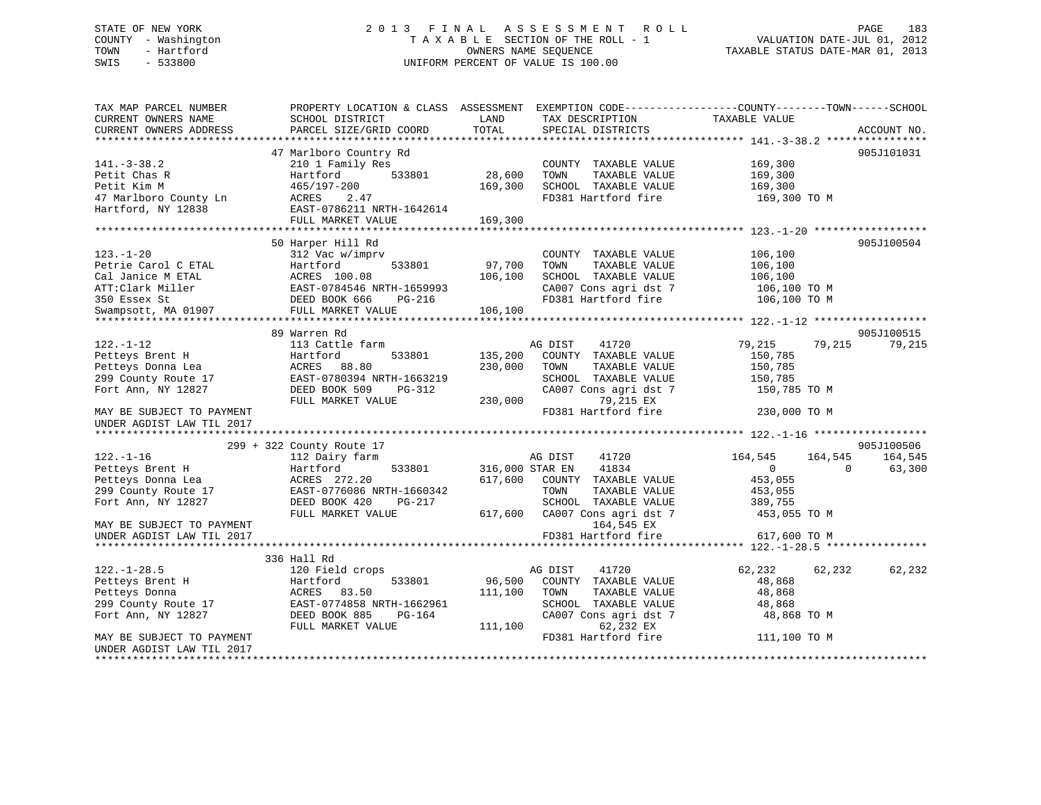# STATE OF NEW YORK 2 0 1 3 F I N A L A S S E S S M E N T R O L L PAGE 183 COUNTY - Washington T A X A B L E SECTION OF THE ROLL - 1 VALUATION DATE-JUL 01, 2012 TOWN - Hartford **TAXABLE STATUS DATE-MAR 01, 2013** SWIS - 533800 UNIFORM PERCENT OF VALUE IS 100.00

| TAX MAP PARCEL NUMBER<br>CURRENT OWNERS NAME | SCHOOL DISTRICT           | LAND<br>TOTAL     | TAX DESCRIPTION                               | PROPERTY LOCATION & CLASS ASSESSMENT EXEMPTION CODE----------------COUNTY-------TOWN------SCHOOL<br>TAXABLE VALUE | ACCOUNT NO. |
|----------------------------------------------|---------------------------|-------------------|-----------------------------------------------|-------------------------------------------------------------------------------------------------------------------|-------------|
| CURRENT OWNERS ADDRESS                       | PARCEL SIZE/GRID COORD    |                   | SPECIAL DISTRICTS                             |                                                                                                                   |             |
|                                              | 47 Marlboro Country Rd    |                   |                                               |                                                                                                                   | 905J101031  |
| $141. - 3 - 38.2$                            | 210 1 Family Res          |                   | COUNTY TAXABLE VALUE                          | 169,300                                                                                                           |             |
| Petit Chas R                                 | 533801<br>Hartford        | 28,600            | TOWN<br>TAXABLE VALUE                         | 169,300                                                                                                           |             |
| Petit Kim M                                  | 465/197-200               | 169,300           | SCHOOL TAXABLE VALUE                          | 169,300                                                                                                           |             |
| 47 Marlboro County Ln                        | ACRES<br>2.47             |                   | FD381 Hartford fire                           | 169,300 TO M                                                                                                      |             |
| Hartford, NY 12838                           | EAST-0786211 NRTH-1642614 |                   |                                               |                                                                                                                   |             |
|                                              | FULL MARKET VALUE         | 169,300           |                                               |                                                                                                                   |             |
|                                              |                           |                   |                                               |                                                                                                                   |             |
|                                              | 50 Harper Hill Rd         |                   |                                               |                                                                                                                   | 905J100504  |
| $123. - 1 - 20$                              | 312 Vac w/imprv           |                   | COUNTY TAXABLE VALUE                          | 106,100                                                                                                           |             |
| Petrie Carol C ETAL                          | Hartford<br>533801        | 97,700            | TAXABLE VALUE<br>TOWN                         | 106,100                                                                                                           |             |
| Cal Janice M ETAL                            | ACRES 100.08              | 106,100           | SCHOOL TAXABLE VALUE                          | 106,100                                                                                                           |             |
| ATT:Clark Miller                             | EAST-0784546 NRTH-1659993 |                   | CA007 Cons agri dst 7                         | 106,100 TO M                                                                                                      |             |
| 350 Essex St                                 | DEED BOOK 666<br>PG-216   |                   | FD381 Hartford fire                           | 106,100 TO M                                                                                                      |             |
| Swampsott, MA 01907                          | FULL MARKET VALUE         | 106,100           |                                               |                                                                                                                   |             |
|                                              | 89 Warren Rd              |                   |                                               |                                                                                                                   | 905J100515  |
| $122. - 1 - 12$                              | 113 Cattle farm           |                   | AG DIST<br>41720                              | 79,215<br>79,215                                                                                                  | 79,215      |
| Petteys Brent H                              | Hartford<br>533801        | 135,200           | COUNTY TAXABLE VALUE                          | 150,785                                                                                                           |             |
| Petteys Donna Lea                            | ACRES<br>88.80            | 230,000           | TOWN<br>TAXABLE VALUE                         | 150,785                                                                                                           |             |
| 299 County Route 17                          | EAST-0780394 NRTH-1663219 |                   | SCHOOL TAXABLE VALUE                          | 150,785                                                                                                           |             |
| Fort Ann, NY 12827                           | DEED BOOK 509<br>PG-312   |                   | CA007 Cons agri dst 7                         | 150,785 TO M                                                                                                      |             |
|                                              | FULL MARKET VALUE         | 230,000           | 79,215 EX                                     |                                                                                                                   |             |
| MAY BE SUBJECT TO PAYMENT                    |                           |                   | FD381 Hartford fire                           | 230,000 TO M                                                                                                      |             |
| UNDER AGDIST LAW TIL 2017                    |                           |                   |                                               |                                                                                                                   |             |
|                                              |                           |                   |                                               |                                                                                                                   |             |
|                                              | 299 + 322 County Route 17 |                   |                                               |                                                                                                                   | 905J100506  |
| $122. - 1 - 16$                              | 112 Dairy farm            |                   | AG DIST<br>41720                              | 164,545<br>164,545                                                                                                | 164,545     |
| Petteys Brent H                              | Hartford<br>533801        | 316,000 STAR EN   | 41834                                         | $\overline{0}$<br>$\Omega$                                                                                        | 63,300      |
| Petteys Donna Lea                            | ACRES 272.20              | 617,600           | COUNTY TAXABLE VALUE                          | 453,055                                                                                                           |             |
| 299 County Route 17                          | EAST-0776086 NRTH-1660342 |                   | TOWN<br>TAXABLE VALUE                         | 453,055                                                                                                           |             |
| Fort Ann, NY 12827                           | DEED BOOK 420<br>PG-217   |                   | SCHOOL TAXABLE VALUE                          | 389,755                                                                                                           |             |
|                                              | FULL MARKET VALUE         | 617,600           | CA007 Cons agri dst 7                         | 453,055 TO M                                                                                                      |             |
| MAY BE SUBJECT TO PAYMENT                    |                           |                   | 164,545 EX                                    |                                                                                                                   |             |
| UNDER AGDIST LAW TIL 2017                    |                           |                   | FD381 Hartford fire                           | 617,600 TO M                                                                                                      |             |
|                                              |                           |                   |                                               |                                                                                                                   |             |
|                                              | 336 Hall Rd               |                   |                                               |                                                                                                                   |             |
| $122. - 1 - 28.5$                            | 120 Field crops<br>533801 |                   | AG DIST<br>41720                              | 62,232<br>62,232                                                                                                  | 62,232      |
| Petteys Brent H<br>Petteys Donna             | Hartford<br>ACRES 83.50   | 96,500<br>111,100 | COUNTY TAXABLE VALUE<br>TAXABLE VALUE<br>TOWN | 48,868<br>48,868                                                                                                  |             |
| 299 County Route 17                          | EAST-0774858 NRTH-1662961 |                   | SCHOOL TAXABLE VALUE                          | 48,868                                                                                                            |             |
| Fort Ann, NY 12827                           | DEED BOOK 885<br>PG-164   |                   | CA007 Cons agri dst 7                         | 48,868 TO M                                                                                                       |             |
|                                              | FULL MARKET VALUE         | 111,100           | 62,232 EX                                     |                                                                                                                   |             |
| MAY BE SUBJECT TO PAYMENT                    |                           |                   | FD381 Hartford fire                           | 111,100 TO M                                                                                                      |             |
| UNDER AGDIST LAW TIL 2017                    |                           |                   |                                               |                                                                                                                   |             |
|                                              |                           |                   |                                               |                                                                                                                   |             |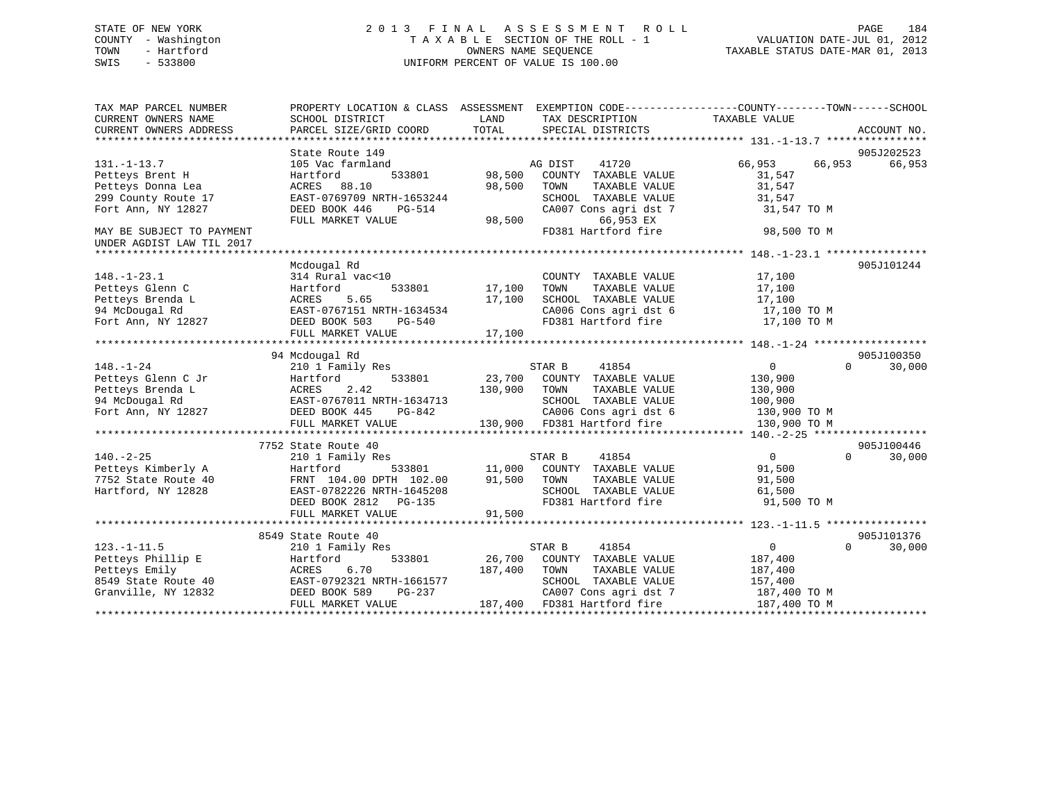# STATE OF NEW YORK 2 0 1 3 F I N A L A S S E S S M E N T R O L L PAGE 184 COUNTY - Washington T A X A B L E SECTION OF THE ROLL - 1 VALUATION DATE-JUL 01, 2012 TOWN - Hartford **TAXABLE STATUS DATE-MAR 01, 2013** OWNERS NAME SEQUENCE TAXABLE STATUS DATE-MAR 01, 2013 SWIS - 533800 UNIFORM PERCENT OF VALUE IS 100.00

| TAX MAP PARCEL NUMBER     |                                                                                        |               |                                                               | PROPERTY LOCATION & CLASS ASSESSMENT EXEMPTION CODE---------------COUNTY-------TOWN------SCHOOL |
|---------------------------|----------------------------------------------------------------------------------------|---------------|---------------------------------------------------------------|-------------------------------------------------------------------------------------------------|
| CURRENT OWNERS NAME       | SCHOOL DISTRICT                                                                        | LAND          | TAX DESCRIPTION                                               | TAXABLE VALUE                                                                                   |
| CURRENT OWNERS ADDRESS    | PARCEL SIZE/GRID COORD                                                                 | TOTAL         | SPECIAL DISTRICTS                                             | ACCOUNT NO.                                                                                     |
|                           |                                                                                        |               |                                                               |                                                                                                 |
|                           | State Route 149                                                                        |               |                                                               | 905J202523                                                                                      |
| $131. - 1 - 13.7$         | 105 Vac farmland                                                                       |               | AG DIST<br>41720                                              | 66,953 66,953<br>66,953                                                                         |
| Petteys Brent H           | 533801<br>Hartford                                                                     | 98,500        | COUNTY TAXABLE VALUE                                          | 31,547                                                                                          |
| Petteys Donna Lea         | ACRES 88.10                                                                            | 98,500        | TOWN<br>TAXABLE VALUE                                         | 31,547                                                                                          |
| 299 County Route 17       | EAST-0769709 NRTH-1653244                                                              |               |                                                               | 31,547                                                                                          |
| Fort Ann, NY 12827        | DEED BOOK 446<br>PG-514                                                                |               | SCHOOL TAXABLE VALUE<br>CA007 Cons agri dst 7                 | 31,547 TO M                                                                                     |
|                           | FULL MARKET VALUE                                                                      | 98,500        | 66,953 EX                                                     |                                                                                                 |
| MAY BE SUBJECT TO PAYMENT |                                                                                        |               | FD381 Hartford fire                                           | 98,500 TO M                                                                                     |
| UNDER AGDIST LAW TIL 2017 |                                                                                        |               |                                                               |                                                                                                 |
|                           |                                                                                        |               |                                                               |                                                                                                 |
|                           | Mcdougal Rd                                                                            |               |                                                               | 905J101244                                                                                      |
| $148. - 1 - 23.1$         | 314 Rural vac<10                                                                       |               | COUNTY TAXABLE VALUE                                          | 17,100                                                                                          |
| Petteys Glenn C           | Hartford                                                                               | 533801 17,100 | TAXABLE VALUE<br>TOWN                                         | 17,100                                                                                          |
| Petteys Brenda L          |                                                                                        | 17,100        | SCHOOL TAXABLE VALUE                                          | 17,100                                                                                          |
|                           |                                                                                        |               |                                                               | CA006 Cons agri dst 6 17,100 TO M                                                               |
|                           | 94 McDougal Rd<br>Fort Ann, NY 12827<br>Fort Ann, NY 12827<br>The DEED BOOK 503 PG-540 |               | FD381 Hartford fire                                           | 17,100 TO M                                                                                     |
|                           | FULL MARKET VALUE                                                                      | 17,100        |                                                               |                                                                                                 |
|                           |                                                                                        |               |                                                               |                                                                                                 |
|                           | 94 Mcdougal Rd                                                                         |               |                                                               | 905J100350                                                                                      |
|                           | 210 1 Family Res                                                                       |               |                                                               | $\overline{0}$<br>$\Omega$<br>30,000                                                            |
|                           |                                                                                        |               |                                                               |                                                                                                 |
|                           |                                                                                        |               |                                                               |                                                                                                 |
|                           |                                                                                        |               |                                                               |                                                                                                 |
|                           |                                                                                        |               |                                                               |                                                                                                 |
|                           |                                                                                        |               |                                                               |                                                                                                 |
|                           |                                                                                        |               |                                                               |                                                                                                 |
|                           |                                                                                        |               |                                                               | 905J100446                                                                                      |
| $140. - 2 - 25$           | 210 1 Family Res                                                                       |               | 41854<br>STAR B                                               | $\overline{0}$<br>$\Omega$ and $\Omega$<br>30,000                                               |
| Petteys Kimberly A        | Hartford                                                                               |               | 533801 11,000 COUNTY TAXABLE VALUE                            | 91,500                                                                                          |
| 7752 State Route 40       | FRNT 104.00 DPTH 102.00                                                                | 91,500        | TOWN<br>TAXABLE VALUE                                         | 91,500                                                                                          |
| Hartford, NY 12828        | FRNT 104.00 DPTH 102.00<br>EAST-0782226 NRTH-1645208                                   |               | SCHOOL TAXABLE VALUE 61,500                                   |                                                                                                 |
|                           | DEED BOOK 2812    PG-135                                                               |               | FD381 Hartford fire                                           | 91,500 TO M                                                                                     |
|                           | FULL MARKET VALUE                                                                      | 91,500        |                                                               |                                                                                                 |
|                           |                                                                                        |               |                                                               |                                                                                                 |
|                           | 8549 State Route 40                                                                    |               |                                                               | 905J101376                                                                                      |
| $123. - 1 - 11.5$         | 210 1 Family Res                                                                       |               | 41854<br>STAR B                                               | $\overline{0}$<br>$\Omega$<br>30,000                                                            |
| Petteys Phillip E         | Hartford                                                                               | 533801 26,700 | COUNTY TAXABLE VALUE                                          | 187,400                                                                                         |
| Petteys Emily             | ACRES 6.70                                                                             | 187,400 TOWN  | TAXABLE VALUE                                                 | 187,400                                                                                         |
| 8549 State Route 40       | ACRES 0.77<br>EAST-0792321 NRTH-1661577                                                |               | SCHOOL TAXABLE VALUE                                          | 157,400                                                                                         |
| Granville, NY 12832       | DEED BOOK 589                                                                          |               |                                                               |                                                                                                 |
|                           | FULL MARKET VALUE                                                                      |               | PG-237 CA007 Cons agri dst 7<br>E 187,400 FD381 Hartford fire | CA007 Cons agri dst 7 187,400 TO M<br>187,400 TO M                                              |
|                           |                                                                                        |               |                                                               |                                                                                                 |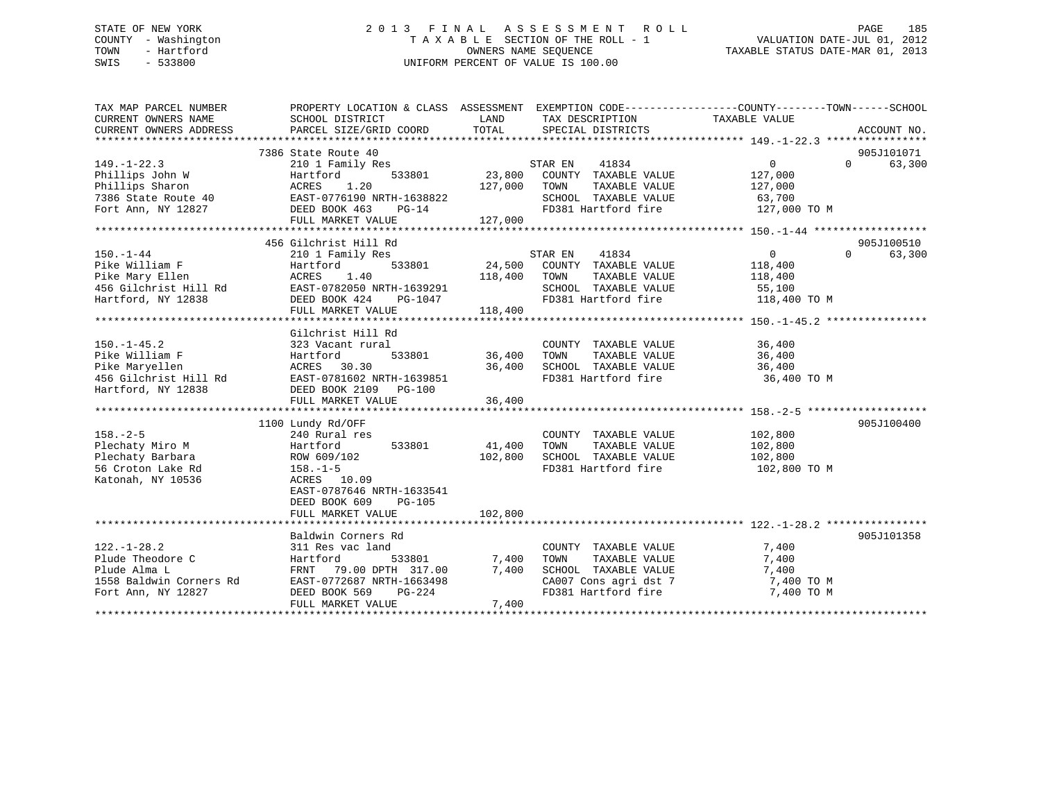# STATE OF NEW YORK 2 0 1 3 F I N A L A S S E S S M E N T R O L L PAGE 185 COUNTY - Washington T A X A B L E SECTION OF THE ROLL - 1 VALUATION DATE-JUL 01, 2012 TOWN - Hartford **TAXABLE STATUS DATE-MAR 01, 2013** SWIS - 533800 UNIFORM PERCENT OF VALUE IS 100.00

| TAX MAP PARCEL NUMBER                                                                                                                                     | PROPERTY LOCATION & CLASS ASSESSMENT EXEMPTION CODE----------------COUNTY-------TOWN------SCHOOL |              |                                    |                                                                                                                                                                                             |                                 |
|-----------------------------------------------------------------------------------------------------------------------------------------------------------|--------------------------------------------------------------------------------------------------|--------------|------------------------------------|---------------------------------------------------------------------------------------------------------------------------------------------------------------------------------------------|---------------------------------|
|                                                                                                                                                           |                                                                                                  |              |                                    |                                                                                                                                                                                             |                                 |
|                                                                                                                                                           | 7386 State Route 40                                                                              |              |                                    |                                                                                                                                                                                             | 905J101071                      |
| $149. - 1 - 22.3$                                                                                                                                         | 210 1 Family Res                                                                                 |              | STAR EN<br>41834                   | $\Omega$                                                                                                                                                                                    | $\Omega$ and $\Omega$<br>63,300 |
| Phillips John W                                                                                                                                           |                                                                                                  |              | 533801 23,800 COUNTY TAXABLE VALUE | 127,000                                                                                                                                                                                     |                                 |
|                                                                                                                                                           |                                                                                                  | 127,000      | TAXABLE VALUE<br>TOWN              | 127,000                                                                                                                                                                                     |                                 |
| Phillips John W Hartford 533801<br>Phillips Sharon ACRES 1.20<br>7386 State Route 40<br>Fort Ann, NY 12827 DEED BOOK 463 PG-14<br>FILL MAPKET VALUE PG-14 |                                                                                                  |              | SCHOOL TAXABLE VALUE               | 63,700                                                                                                                                                                                      |                                 |
|                                                                                                                                                           |                                                                                                  |              | FD381 Hartford fire                | 127,000 TO M                                                                                                                                                                                |                                 |
|                                                                                                                                                           | FULL MARKET VALUE                                                                                | 127,000      |                                    |                                                                                                                                                                                             |                                 |
|                                                                                                                                                           |                                                                                                  |              |                                    |                                                                                                                                                                                             |                                 |
|                                                                                                                                                           | 456 Gilchrist Hill Rd                                                                            |              |                                    |                                                                                                                                                                                             | 905J100510                      |
| $150. - 1 - 44$                                                                                                                                           | 210 1 Family Res                                                                                 |              | 41834<br>STAR EN                   | $\overline{0}$                                                                                                                                                                              | $\Omega$<br>63,300              |
| Pike William F                                                                                                                                            | 533801<br>Hartford                                                                               |              | 24,500 COUNTY TAXABLE VALUE        | 118,400<br>118,400                                                                                                                                                                          |                                 |
| Pike Mary Ellen                                                                                                                                           | ACRES<br>1.40                                                                                    | 118,400 TOWN | TAXABLE VALUE                      |                                                                                                                                                                                             |                                 |
| 456 Gilchrist Hill Rd<br>EAST-0782050 NRTH-1639291                                                                                                        |                                                                                                  |              | SCHOOL TAXABLE VALUE 55,100        |                                                                                                                                                                                             |                                 |
| Hartford, NY 12838                                                                                                                                        | DEED BOOK $424$ PG-1047                                                                          |              |                                    | FD381 Hartford fire 118,400 TO M                                                                                                                                                            |                                 |
|                                                                                                                                                           | FULL MARKET VALUE                                                                                | 118,400      |                                    |                                                                                                                                                                                             |                                 |
|                                                                                                                                                           |                                                                                                  |              |                                    |                                                                                                                                                                                             |                                 |
|                                                                                                                                                           | Gilchrist Hill Rd                                                                                |              |                                    |                                                                                                                                                                                             |                                 |
| $150. - 1 - 45.2$                                                                                                                                         | 323 Vacant rural                                                                                 |              | COUNTY TAXABLE VALUE               | 36,400                                                                                                                                                                                      |                                 |
| Pike William F                                                                                                                                            | 533801 36,400<br>Hartford                                                                        |              | TOWN                               | TAXABLE VALUE 36,400                                                                                                                                                                        |                                 |
| Pike Maryellen                                                                                                                                            | ACRES 30.30                                                                                      | 36,400       | SCHOOL TAXABLE VALUE               | 36,400                                                                                                                                                                                      |                                 |
| 456 Gilchrist Hill Rd                                                                                                                                     | EAST-0781602 NRTH-1639851                                                                        |              | FD381 Hartford fire                | 36,400 TO M                                                                                                                                                                                 |                                 |
| Hartford, NY 12838                                                                                                                                        | DEED BOOK 2109 PG-100                                                                            |              |                                    |                                                                                                                                                                                             |                                 |
|                                                                                                                                                           | FULL MARKET VALUE                                                                                | 36,400       |                                    |                                                                                                                                                                                             |                                 |
|                                                                                                                                                           |                                                                                                  |              |                                    |                                                                                                                                                                                             |                                 |
|                                                                                                                                                           | 1100 Lundy Rd/OFF                                                                                |              |                                    |                                                                                                                                                                                             | 905J100400                      |
| $158. - 2 - 5$                                                                                                                                            | 240 Rural res                                                                                    |              | COUNTY TAXABLE VALUE 102,800       |                                                                                                                                                                                             |                                 |
| Plechaty Miro M                                                                                                                                           | Hartford 533801                                                                                  | 41,400       | TOWN<br>TAXABLE VALUE              | 102,800                                                                                                                                                                                     |                                 |
| Plechaty Barbara                                                                                                                                          | ROW 609/102                                                                                      | 102,800      | SCHOOL TAXABLE VALUE               | 102,800<br>102,800 TO M                                                                                                                                                                     |                                 |
| 56 Croton Lake Rd                                                                                                                                         | $158. - 1 - 5$                                                                                   |              | FD381 Hartford fire                |                                                                                                                                                                                             |                                 |
| Katonah, NY 10536                                                                                                                                         | ACRES 10.09                                                                                      |              |                                    |                                                                                                                                                                                             |                                 |
|                                                                                                                                                           | EAST-0787646 NRTH-1633541                                                                        |              |                                    |                                                                                                                                                                                             |                                 |
|                                                                                                                                                           | DEED BOOK 609<br><b>PG-105</b>                                                                   |              |                                    |                                                                                                                                                                                             |                                 |
|                                                                                                                                                           | FULL MARKET VALUE                                                                                | 102,800      |                                    |                                                                                                                                                                                             |                                 |
|                                                                                                                                                           |                                                                                                  |              |                                    |                                                                                                                                                                                             |                                 |
|                                                                                                                                                           | Baldwin Corners Rd                                                                               |              |                                    |                                                                                                                                                                                             | 905J101358                      |
| $122. - 1 - 28.2$                                                                                                                                         | 311 Res vac land                                                                                 |              | COUNTY TAXABLE VALUE               | 7,400                                                                                                                                                                                       |                                 |
| Plude Theodore C                                                                                                                                          | 533801<br>Hartford                                                                               | 7,400        | TAXABLE VALUE<br>TOWN              | 7,400                                                                                                                                                                                       |                                 |
| Plude Alma L                                                                                                                                              | FRNT 79.00 DPTH 317.00                                                                           | 7,400        | SCHOOL TAXABLE VALUE               | 7,400                                                                                                                                                                                       |                                 |
| 1558 Baldwin Corners Rd                                                                                                                                   | EAST-0772687 NRTH-1663498                                                                        |              |                                    | $\begin{array}{lll} \texttt{CA007} \texttt{ Cons} & \texttt{agri} \texttt{dst} & 7 & \texttt{7,400 T0 M} \\ \texttt{FD381} & \texttt{Hartford} \texttt{fire} & & 7,400 T0 M \\ \end{array}$ |                                 |
| Fort Ann, NY 12827                                                                                                                                        | DEED BOOK 569<br>PG-224                                                                          |              |                                    |                                                                                                                                                                                             |                                 |
|                                                                                                                                                           | FULL MARKET VALUE                                                                                | 7,400        |                                    |                                                                                                                                                                                             |                                 |
|                                                                                                                                                           |                                                                                                  |              |                                    |                                                                                                                                                                                             |                                 |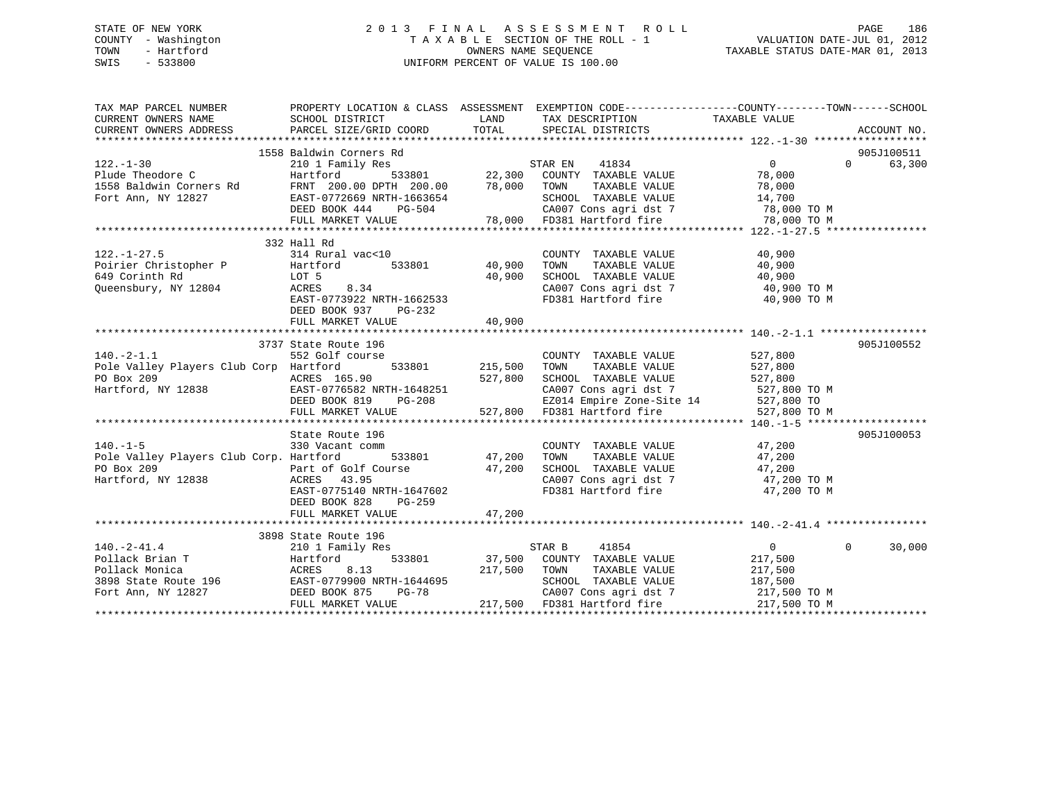# STATE OF NEW YORK 2 0 1 3 F I N A L A S S E S S M E N T R O L L PAGE 186 COUNTY - Washington T A X A B L E SECTION OF THE ROLL - 1 VALUATION DATE-JUL 01, 2012 TOWN - Hartford **TAXABLE STATUS DATE-MAR 01, 2013** OWNERS NAME SEQUENCE TAXABLE STATUS DATE-MAR 01, 2013 SWIS - 533800 UNIFORM PERCENT OF VALUE IS 100.00

| TAX MAP PARCEL NUMBER THE PROPERTY LOCATION & CLASS ASSESSMENT EXEMPTION CODE---------------COUNTY--------TOWN------SCHOOL                                                                                                                                |                         |        |                                                                        |                |                    |
|-----------------------------------------------------------------------------------------------------------------------------------------------------------------------------------------------------------------------------------------------------------|-------------------------|--------|------------------------------------------------------------------------|----------------|--------------------|
| CURRENT OWNERS NAME SCHOOL DISTRICT                                                                                                                                                                                                                       |                         |        | LAND TAX DESCRIPTION TAXABLE VALUE                                     |                |                    |
|                                                                                                                                                                                                                                                           |                         |        |                                                                        |                |                    |
|                                                                                                                                                                                                                                                           |                         |        |                                                                        |                |                    |
|                                                                                                                                                                                                                                                           |                         |        |                                                                        |                |                    |
|                                                                                                                                                                                                                                                           |                         |        |                                                                        |                |                    |
|                                                                                                                                                                                                                                                           |                         |        |                                                                        |                |                    |
|                                                                                                                                                                                                                                                           |                         |        |                                                                        |                |                    |
|                                                                                                                                                                                                                                                           |                         |        |                                                                        |                |                    |
|                                                                                                                                                                                                                                                           |                         |        |                                                                        |                |                    |
|                                                                                                                                                                                                                                                           |                         |        |                                                                        |                |                    |
| 132.-1-30<br>1558 Baldwin Corners Rd<br>210 1 Family Res<br>Plude Theodore C<br>1558 Baldwin Corners Rd<br>1558 Baldwin Corners Rd<br>FRNT 200.00 DPTH 200.00 78,000 TOWN TAXABLE VALUE<br>78,000 TOM TAXABLE VALUE<br>78,000 TOM TAXABLE VALU            |                         |        |                                                                        |                |                    |
|                                                                                                                                                                                                                                                           | 332 Hall Rd             |        |                                                                        |                |                    |
|                                                                                                                                                                                                                                                           |                         |        |                                                                        |                |                    |
|                                                                                                                                                                                                                                                           |                         |        |                                                                        |                |                    |
| 122.-1-27.5<br>Poirier Christopher P 314 Rural vac<10<br>Foirier Christopher P Hartford 533801 40,900 TOWN TAXABLE VALUE 40,900<br>649 Corinth Rd LOT 5 40,900 SCHOOL TAXABLE VALUE 40,900<br>Queensbury, NY 12804 ACRES 8.34 CAST-0                      |                         |        |                                                                        |                |                    |
|                                                                                                                                                                                                                                                           |                         |        | CA007 Cons agri dst 7 (40,900 TO M<br>FD381 Hartford fire (40,900 TO M |                |                    |
|                                                                                                                                                                                                                                                           |                         |        |                                                                        |                |                    |
|                                                                                                                                                                                                                                                           | DEED BOOK 937<br>PG-232 |        |                                                                        |                |                    |
|                                                                                                                                                                                                                                                           | FULL MARKET VALUE       | 40,900 |                                                                        |                |                    |
|                                                                                                                                                                                                                                                           |                         |        |                                                                        |                |                    |
|                                                                                                                                                                                                                                                           |                         |        |                                                                        |                | 905J100552         |
|                                                                                                                                                                                                                                                           |                         |        |                                                                        |                |                    |
|                                                                                                                                                                                                                                                           |                         |        |                                                                        |                |                    |
|                                                                                                                                                                                                                                                           |                         |        |                                                                        |                |                    |
|                                                                                                                                                                                                                                                           |                         |        |                                                                        |                |                    |
|                                                                                                                                                                                                                                                           |                         |        |                                                                        |                |                    |
| 3737 State Route 196<br>215,500 TOWNTY TAXABLE VALUE<br>215,500 TOWN TAXABLE VALUE<br>215,500 TOWN TAXABLE VALUE<br>215,500 TOWN TAXABLE VALUE<br>215,500 TOWN TAXABLE VALUE<br>215,500 TOWN TAXABLE VALUE<br>215,500 TOWN TAXABLE VALUE<br>27            |                         |        |                                                                        |                |                    |
|                                                                                                                                                                                                                                                           |                         |        |                                                                        |                |                    |
|                                                                                                                                                                                                                                                           | State Route 196         |        |                                                                        |                | 905J100053         |
| 140.-1-5 330 Vacant comm<br>Pole Valley Players Club Corp. Hartford 533801 47,200 TOWN                                                                                                                                                                    |                         |        |                                                                        |                |                    |
|                                                                                                                                                                                                                                                           |                         |        |                                                                        |                |                    |
|                                                                                                                                                                                                                                                           |                         |        |                                                                        |                |                    |
| PO Box 209<br>Hartford, NY 12838<br>Hartford, NY 12838<br>TAGES 43.95                                                                                                                                                                                     |                         |        |                                                                        |                |                    |
|                                                                                                                                                                                                                                                           |                         |        |                                                                        |                |                    |
|                                                                                                                                                                                                                                                           | DEED BOOK 828<br>PG-259 |        |                                                                        |                |                    |
|                                                                                                                                                                                                                                                           | FULL MARKET VALUE       | 47,200 |                                                                        |                |                    |
|                                                                                                                                                                                                                                                           |                         |        |                                                                        |                |                    |
|                                                                                                                                                                                                                                                           | 3898 State Route 196    |        |                                                                        |                |                    |
| $140. - 2 - 41.4$<br>140.-2-41.4 210 1 Family Res 57AR B 41854 0<br>Pollack Brian T Hartford 533801 37,500 COUNTY TAXABLE VALUE<br>217,500 Fort Ann, NY 12827 DEED BOOK 875 PG-78 217,500 FORES 217,500<br>Fort Ann, NY 12827 DEED BOOK 875 PG-78 217,500 |                         |        |                                                                        | $\overline{0}$ | $\Omega$<br>30,000 |
|                                                                                                                                                                                                                                                           |                         |        |                                                                        |                |                    |
|                                                                                                                                                                                                                                                           |                         |        |                                                                        |                |                    |
|                                                                                                                                                                                                                                                           |                         |        | CA007 Cons agri dst 7 217,500 TO M                                     |                |                    |
|                                                                                                                                                                                                                                                           |                         |        |                                                                        |                |                    |
|                                                                                                                                                                                                                                                           | FULL MARKET VALUE       |        | 217,500 FD381 Hartford fire 317,500 TO M                               |                |                    |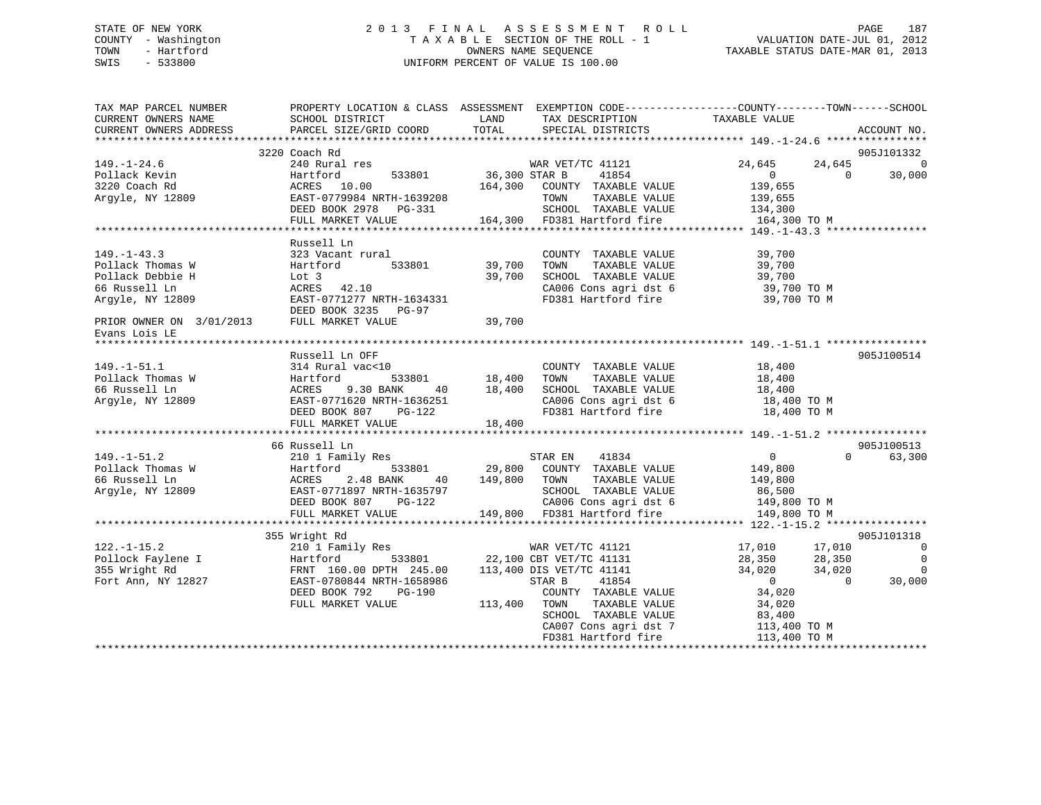# STATE OF NEW YORK 2 0 1 3 F I N A L A S S E S S M E N T R O L L PAGE 187 COUNTY - Washington T A X A B L E SECTION OF THE ROLL - 1 VALUATION DATE-JUL 01, 2012 TOWN - Hartford **TAXABLE STATUS DATE-MAR 01, 2013** SWIS - 533800 UNIFORM PERCENT OF VALUE IS 100.00

| TAX MAP PARCEL NUMBER<br>CURRENT OWNERS NAME                                                                                                | SCHOOL DISTRICT                                                                                                                                                  | LAND<br>TAX DESCRIPTION                                                                                                                                                                                                            | PROPERTY LOCATION & CLASS ASSESSMENT EXEMPTION CODE----------------COUNTY-------TOWN------SCHOOL<br>TAXABLE VALUE                                                                                                                              |
|---------------------------------------------------------------------------------------------------------------------------------------------|------------------------------------------------------------------------------------------------------------------------------------------------------------------|------------------------------------------------------------------------------------------------------------------------------------------------------------------------------------------------------------------------------------|------------------------------------------------------------------------------------------------------------------------------------------------------------------------------------------------------------------------------------------------|
| CURRENT OWNERS ADDRESS                                                                                                                      | PARCEL SIZE/GRID COORD                                                                                                                                           | TOTAL<br>SPECIAL DISTRICTS                                                                                                                                                                                                         | ACCOUNT NO.                                                                                                                                                                                                                                    |
|                                                                                                                                             | 3220 Coach Rd                                                                                                                                                    |                                                                                                                                                                                                                                    | 905J101332                                                                                                                                                                                                                                     |
| $149. - 1 - 24.6$<br>Pollack Kevin<br>3220 Coach Rd<br>Argyle, NY 12809                                                                     | 240 Rural res<br>Hartford<br>ACRES 10.00<br>EAST-0779984 NRTH-1639208<br>DEED BOOK 2978 PG-331<br>FULL MARKET VALUE                                              | WAR VET/TC 41121<br>533801 36,300 STAR B<br>41854<br>164,300 COUNTY TAXABLE VALUE<br>TOWN<br>TAXABLE VALUE<br>SCHOOL TAXABLE VALUE<br>164,300 FD381 Hartford fire                                                                  | 24,645<br>24,645<br>$\Omega$<br>30,000<br>$\overline{0}$<br>$\bigcap$<br>139,655<br>139,655<br>134,300<br>164,300 TO M                                                                                                                         |
| $149. - 1 - 43.3$<br>Pollack Thomas W<br>Pollack Debbie H<br>66 Russell Ln<br>Argyle, NY 12809<br>PRIOR OWNER ON 3/01/2013<br>Evans Lois LE | Russell Ln<br>323 Vacant rural<br>533801<br>Hartford<br>Lot 3<br>$ACRES$ 42.10<br>EAST-0771277 NRTH-1634331<br>DEED BOOK 3235 PG-97<br>FULL MARKET VALUE         | COUNTY TAXABLE VALUE<br>39,700<br>TOWN<br>TAXABLE VALUE<br>39,700<br>SCHOOL TAXABLE VALUE<br>SCHOOL TAXABLE VALUE 39,700<br>CA006 Cons agri dst 6 39,700 TO M<br>FD381 Hartford fire<br>39,700                                     | 39,700<br>39,700<br>39,700<br>39,700 TO M                                                                                                                                                                                                      |
| $149. - 1 - 51.1$<br>Pollack Thomas W<br>66 Russell Ln<br>Argyle, NY 12809                                                                  | Russell Ln OFF<br>314 Rural vac<10<br>Hartford<br>ACRES 9.30 BANK<br>EAST-0771620 NRTH-1636251<br>NERD BOOK 807 PG-122                                           | COUNT<br>18,400 TOWN<br>COUNTY TAXABLE VALUE<br>TAXABLE VALUE<br>SCHOOL TAXABLE VALUE<br>40 18,400<br>CA006 Cons agri dst 6<br>FD381 Hartford fire<br>18,400                                                                       | 905J100514<br>18,400<br>18,400<br>18,400<br>18,400 TO M<br>18,400 TO M                                                                                                                                                                         |
| $149. - 1 - 51.2$<br>Pollack Thomas W<br>66 Russell Ln<br>Argyle, NY 12809                                                                  | 66 Russell Ln<br>210 1 Family Res<br>533801<br>Hartford<br>2.48 BANK<br>ACRES<br>40<br>EAST-0771897 NRTH-1635797<br>DEED BOOK 807<br>PG-122<br>FULL MARKET VALUE | STAR EN 41834<br>29,800 COUNTY TAXABLE VALUE<br>149,800 TOWN<br>TAXABLE VALUE<br>SCHOOL TAXABLE VALUE<br>CA006 Cons agri dst 6 149,800 TO M<br>149,800 FD381 Hartford fire                                                         | 905J100513<br>$\overline{0}$<br>$\Omega$<br>63,300<br>149,800<br>149,800<br>86,500<br>149,800 TO M                                                                                                                                             |
| $122. - 1 - 15.2$<br>Pollock Faylene I<br>255 Viriable Pol<br>355 Wright Rd<br>Fort Ann, NY 12827                                           | 355 Wright Rd<br>210 1 Family Res<br>Hartford<br>FRNT 160.00 DPTH 245.00<br>EAST-0780844 NRTH-1658986<br>DEED BOOK 792<br>$PG-190$<br>FULL MARKET VALUE          | WAR VET/TC 41121<br>533801 22,100 CBT VET/TC 41131<br>113,400 DIS VET/TC 41141<br>STAR B<br>41854<br>COUNTY TAXABLE VALUE<br>113,400 TOWN<br>TAXABLE VALUE<br>SCHOOL TAXABLE VALUE<br>CA007 Cons agri dst 7<br>FD381 Hartford fire | 905J101318<br>17,010 17,010<br>$\overline{0}$<br>$\overline{0}$<br>28,350 28,350<br>34,020 34,020<br>34,020<br>$\Omega$<br>30,000<br>$\overline{0}$<br>$\bigcirc$<br>34,020<br>$\frac{1}{34}$ , 020<br>83, 020<br>113,400 TO M<br>113,400 TO M |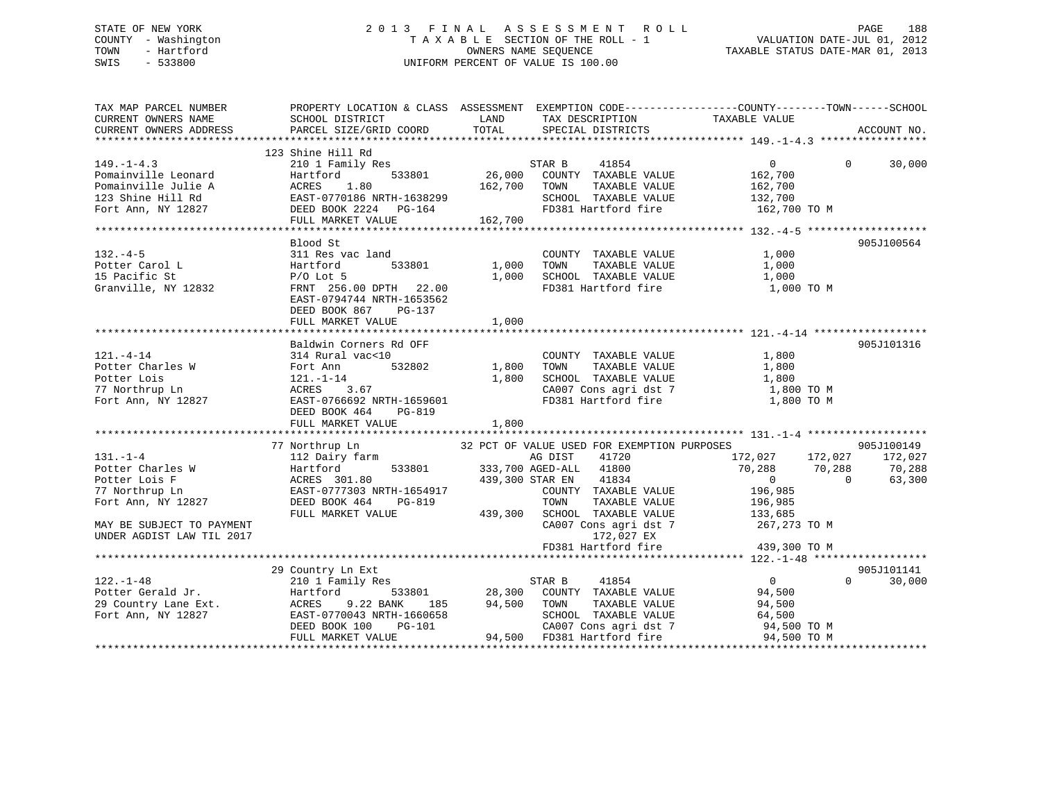# STATE OF NEW YORK 2 0 1 3 F I N A L A S S E S S M E N T R O L L PAGE 188 COUNTY - Washington T A X A B L E SECTION OF THE ROLL - 1 VALUATION DATE-JUL 01, 2012 TOWN - Hartford **TAXABLE STATUS DATE-MAR 01, 2013** SWIS - 533800 UNIFORM PERCENT OF VALUE IS 100.00

| TAX MAP PARCEL NUMBER                                                                                                                                                                                                                                                                                                                                                                                         |                                                                                                                                                       |       |                                                                                                                                                                       | PROPERTY LOCATION & CLASS ASSESSMENT EXEMPTION CODE---------------COUNTY-------TOWN-----SCHOOL |                                  |
|---------------------------------------------------------------------------------------------------------------------------------------------------------------------------------------------------------------------------------------------------------------------------------------------------------------------------------------------------------------------------------------------------------------|-------------------------------------------------------------------------------------------------------------------------------------------------------|-------|-----------------------------------------------------------------------------------------------------------------------------------------------------------------------|------------------------------------------------------------------------------------------------|----------------------------------|
| $149. - 1 - 4.3$                                                                                                                                                                                                                                                                                                                                                                                              | 123 Shine Hill Rd<br>Shine Hill Rd<br>210 1 Family Res 633801 (26,000 COUNTY TAXABLE VALUE 162,700 (201)<br>26,000 COUNTY TAXABLE VALUE 162,700 (201) |       |                                                                                                                                                                       | $\begin{matrix}0&0\end{matrix}$                                                                | 30,000                           |
| 132.-4-5<br>Potter Carol L 311 Res vac land<br>2533801 1,000 TOWN TAXABLE VALUE 1,000<br>311 Res vac land<br>253801 1,000 TOWN TAXABLE VALUE 1,000<br>35 Bacific St P/O Lot 5<br>378.00 DPTH 22.00<br>378.00 PTH 22.00<br>276.00 DPTH 22.00<br>2                                                                                                                                                              | Blood St<br>EAST-0794744 NRTH-1653562<br>DEED BOOK 867 PG-137<br>FULL MARKET VALUE                                                                    | 1,000 |                                                                                                                                                                       |                                                                                                | 905J100564                       |
| $121. -4 - 14$<br>1.1-1-14<br>Potter Charles W Fort Ann, NY 12827<br>Fort Ann, NY 12827<br>Fort Ann, NY 12827<br>DEED BOOK 464<br>DEED BOOK 464<br>PG-819<br>PEED BOOK 464<br>PG-819<br>PG-819<br>PG-819<br>PG-819<br>PG-819<br>PG-819                                                                                                                                                                        | Baldwin Corners Rd OFF<br>314 Rural vac<10<br>DEED BOOK 464 PG-819<br>FULL MARKET VALUE                                                               | 1,800 | COUNTY TAXABLE VALUE 1,800                                                                                                                                            |                                                                                                | 905J101316                       |
| MAY BE SUBJECT TO PAYMENT<br>UNDER AGDIST LAW TIL 2017                                                                                                                                                                                                                                                                                                                                                        | FULL MARKET VALUE                                                                                                                                     |       | COUNTY TAXABLE VALUE 196,985<br>TOWN TAXABLE VALUE 196,985<br>439,300 SCHOOL TAXABLE VALUE 133,685<br>CA007 Cons agri dst 7 172,027 EX<br>FD381 Hartford fire 439,300 | 172,027 172,027 172,027<br>$70,288$ $70,288$ $70,288$ $70,288$<br>0 0 63,300<br>267,273 TO M   | 905J100149                       |
| $\begin{tabular}{lllllllllll} $\texttt{122.}-1$--48 & $\texttt{239.300 TO M}$ & $\texttt{122.}-1$--48 $ & $\texttt{239.300 TO M}$ \\ & $\texttt{23.300 TO M}$ & $\texttt{24.100} $ & $\texttt{18.100} $ & $\texttt{18.100} $ \\ & $\texttt{29.101 Family Res}$ & $\texttt{28.300 COUNTY} $ & $\texttt{TAXABLE VALUE}$ & $94,500$ \\ & $\texttt{29.101 Family Res}$ & $\texttt{28.300 COUNTY} $ & $\texttt{TA$ |                                                                                                                                                       |       | WRTH-1660658 SCHOOL TAXABLE VALUE 64,500<br>PG-101 2A007 Cons agri dst 7 94,500 TO M<br>24,500 FD381 Hartford fire 94,500 TO M                                        |                                                                                                | 905J101141<br>$\Omega$<br>30,000 |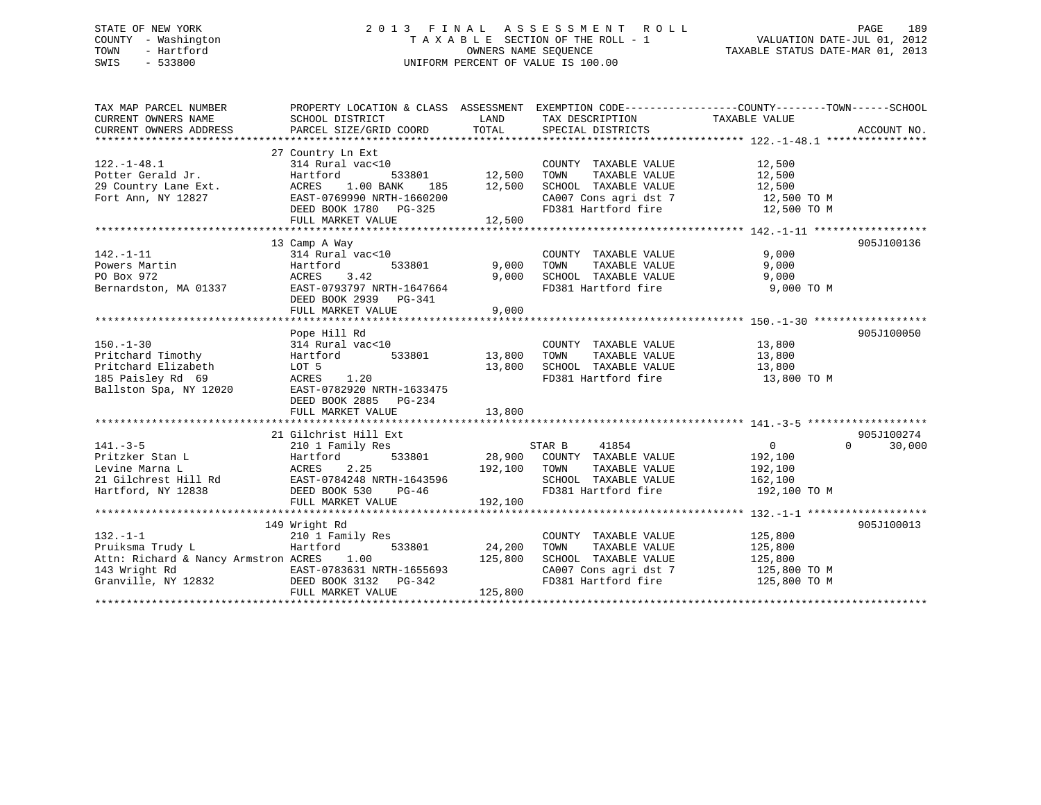# STATE OF NEW YORK 2 0 1 3 F I N A L A S S E S S M E N T R O L L PAGE 189 COUNTY - Washington T A X A B L E SECTION OF THE ROLL - 1 VALUATION DATE-JUL 01, 2012 TOWN - Hartford **TAXABLE STATUS DATE-MAR 01, 2013** SWIS - 533800 UNIFORM PERCENT OF VALUE IS 100.00

| TAX MAP PARCEL NUMBER                                                                                                                                                     | PROPERTY LOCATION & CLASS ASSESSMENT EXEMPTION CODE----------------COUNTY-------TOWN------SCHOOL                                                   |                              |                                                                                                                                               |                                                                 |                                  |
|---------------------------------------------------------------------------------------------------------------------------------------------------------------------------|----------------------------------------------------------------------------------------------------------------------------------------------------|------------------------------|-----------------------------------------------------------------------------------------------------------------------------------------------|-----------------------------------------------------------------|----------------------------------|
|                                                                                                                                                                           |                                                                                                                                                    |                              |                                                                                                                                               |                                                                 |                                  |
| $122. - 1 - 48.1$                                                                                                                                                         | 27 Country Ln Ext<br>314 Rural vac<10<br>DEED BOOK 1780 PG-325                                                                                     |                              | COUNTY TAXABLE VALUE<br>TAXABLE VALUE<br>TOWN<br>SCHOOL TAXABLE VALUE<br>CA007 Cons agri dst 7 12,500 TO M<br>FD381 Hartford fire 12,500 TO M | 12,500<br>12,500<br>12,500                                      |                                  |
|                                                                                                                                                                           | FULL MARKET VALUE                                                                                                                                  | 12,500                       |                                                                                                                                               |                                                                 |                                  |
| $142. - 1 - 11$<br>Powers Martin<br>PO Box 972<br>Bernardston, MA 01337                                                                                                   | 13 Camp A Way<br>$314$ Rural vac<10<br>533801<br>Hartford<br>ACRES 3.42<br>EAST-0793797 NRTH-1647664<br>DEED BOOK 2939 PG-341<br>FULL MARKET VALUE | 9,000<br>9,000<br>9,000      | COUNTY TAXABLE VALUE<br>TOWN<br>TAXABLE VALUE<br>9,000 SCHOOL TAXABLE VALUE 9,000<br>FD381 Hartford fire 9,000                                | 9,000<br>9,000<br>9,000 TO M                                    | 905J100136                       |
|                                                                                                                                                                           |                                                                                                                                                    |                              |                                                                                                                                               |                                                                 |                                  |
| $150. - 1 - 30$<br>Pritchard Timothy<br>Pritchard Elizabeth<br>185 Paisley Rd 69<br>Ballston Spa, NY 12020                                                                | Pope Hill Rd<br>LOT 5<br>ACRES 1.20<br>EAST-0782920 NRTH-1633475<br>DEED BOOK 2885 PG-234                                                          |                              | COUNTY TAXABLE VALUE<br>TAXABLE VALUE<br>13,800 SCHOOL TAXABLE VALUE 13,800<br>FD381 Hartford fire                                            | 13,800<br>13,800<br>13,800 TO M                                 | 905J100050                       |
|                                                                                                                                                                           | FULL MARKET VALUE                                                                                                                                  | 13,800                       |                                                                                                                                               |                                                                 |                                  |
|                                                                                                                                                                           | 21 Gilchrist Hill Ext<br>210 1 Family Res<br>FULL MARKET VALUE                                                                                     | 192,100                      | TAXABLE VALUE<br>SCHOOL TAXABLE VALUE<br>FD381 Hartford fire                                                                                  | $\overline{0}$<br>192,100<br>192,100<br>162,100<br>192,100 TO M | 905J100274<br>30,000<br>$\Omega$ |
|                                                                                                                                                                           |                                                                                                                                                    |                              |                                                                                                                                               |                                                                 |                                  |
| $132. - 1 - 1$<br>Pruiksma Trudy L<br>Attn: Richard & Nancy Armstron ACRES 1.00<br>143 Wright Rd<br>Granville, NY 12832<br>CHER BOOK 3132 PG-342<br>THER MOOK 3132 PG-342 | 149 Wright Rd<br>210 1 Family Res<br>533801<br>Hartford<br>FULL MARKET VALUE                                                                       | 24,200<br>125,800<br>125,800 | COUNTY TAXABLE VALUE 125,800<br>TOWN<br>CA007 Cons agri dst 7 125,800 TO M<br>FD381 Hartford fire                                             | 125,800 TO M                                                    | 905J100013                       |
|                                                                                                                                                                           |                                                                                                                                                    |                              |                                                                                                                                               |                                                                 |                                  |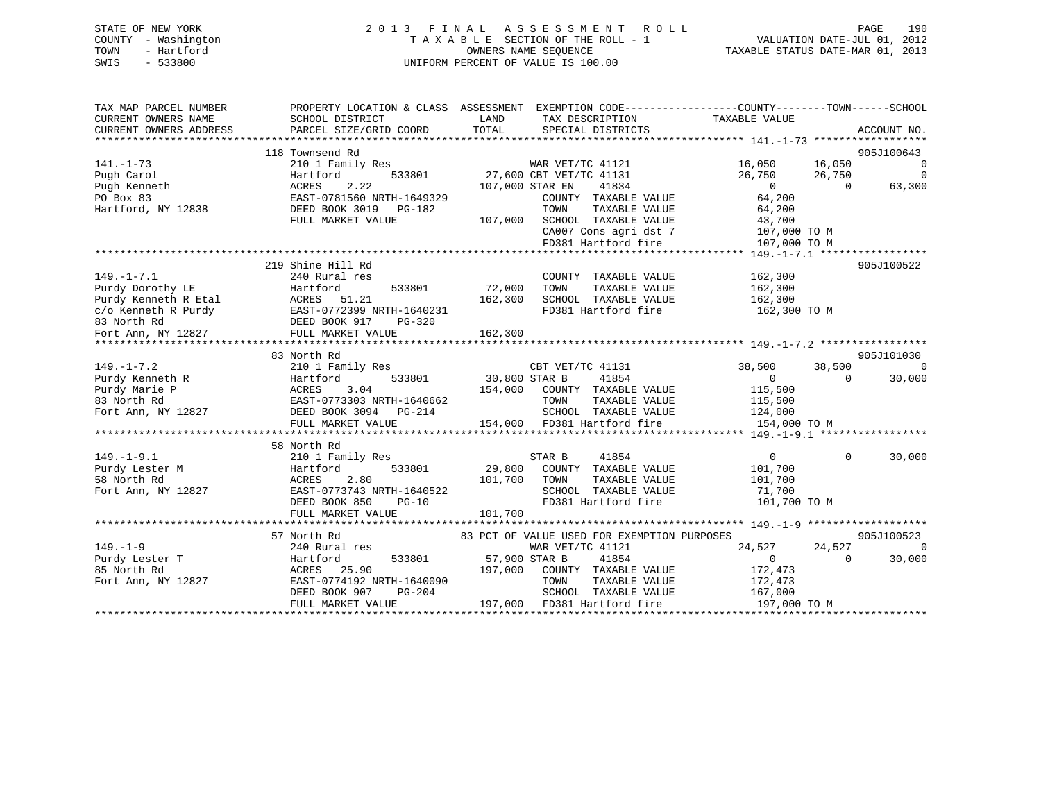| STATE OF NEW YORK   | 2013 FINAL ASSESSMENT ROLL         | 190<br>PAGE                      |
|---------------------|------------------------------------|----------------------------------|
| COUNTY - Washington | TAXABLE SECTION OF THE ROLL - 1    | VALUATION DATE-JUL 01, 2012      |
| TOWN<br>- Hartford  | OWNERS NAME SEOUENCE               | TAXABLE STATUS DATE-MAR 01, 2013 |
| SWIS<br>- 533800    | UNIFORM PERCENT OF VALUE IS 100.00 |                                  |

| TAX MAP PARCEL NUMBER<br>CURRENT OWNERS NAME | SCHOOL DISTRICT                                                                                                 | PROPERTY LOCATION & CLASS ASSESSMENT EXEMPTION CODE----------------COUNTY-------TOWN-----SCHOOL<br>LAND<br>TAX DESCRIPTION       | TAXABLE VALUE                        |
|----------------------------------------------|-----------------------------------------------------------------------------------------------------------------|----------------------------------------------------------------------------------------------------------------------------------|--------------------------------------|
| CURRENT OWNERS ADDRESS                       | PARCEL SIZE/GRID COORD                                                                                          | TOTAL<br>SPECIAL DISTRICTS                                                                                                       | ACCOUNT NO.                          |
|                                              |                                                                                                                 |                                                                                                                                  |                                      |
|                                              | 118 Townsend Rd                                                                                                 |                                                                                                                                  | 905J100643                           |
| $141. - 1 - 73$                              | 210 1 Family Res                                                                                                | s<br>533801 27,600 CBT VET/TC 41131                                                                                              | 16,050 16,050<br>$\overline{0}$      |
| Pugh Carol                                   | Hartford                                                                                                        |                                                                                                                                  | $\overline{0}$<br>26,750<br>26,750   |
| Pugh Kenneth                                 | 2.22<br>ACRES                                                                                                   | 107,000 STAR EN<br>41834                                                                                                         | $\overline{0}$<br>63,300<br>$\Omega$ |
| PO Box 83                                    | EAST-0781560 NRTH-1649329                                                                                       | COUNTY TAXABLE VALUE                                                                                                             | 64,200                               |
| Hartford, NY 12838                           | DEED BOOK 3019    PG-182                                                                                        | TOWN<br>TAXABLE VALUE                                                                                                            | 64,200                               |
|                                              | FULL MARKET VALUE                                                                                               | SCHOOL TAXABLE VALUE<br>CA007 Cons agri dst 7 (107,000 TO M<br>FD381 Hartford fire (107,000 TO M<br>107,000 SCHOOL TAXABLE VALUE |                                      |
|                                              |                                                                                                                 |                                                                                                                                  |                                      |
|                                              |                                                                                                                 |                                                                                                                                  |                                      |
|                                              |                                                                                                                 |                                                                                                                                  |                                      |
|                                              | 219 Shine Hill Rd                                                                                               |                                                                                                                                  | 905J100522                           |
| $149. - 1 - 7.1$                             | 240 Rural res                                                                                                   | COUNTY TAXABLE VALUE                                                                                                             | 162,300                              |
| Purdy Dorothy LE                             | 533801<br>Hartford<br>nartroru<br>ACRES 51.21                                                                   | 72,000<br>TOWN<br>TAXABLE VALUE                                                                                                  | 162,300                              |
| Purdy Kenneth R Etal                         |                                                                                                                 | SCHOOL TAXABLE VALUE<br>162,300                                                                                                  | 162,300                              |
|                                              |                                                                                                                 | FD381 Hartford fire 162,300 TO M                                                                                                 |                                      |
|                                              |                                                                                                                 |                                                                                                                                  |                                      |
|                                              | C/O Kenneth R Purdy<br>BAST-0772399 NRTH-1640231<br>BED BOOK 917 PG-320<br>Fort Ann, NY 12827 FULL MARKET VALUE | 162,300                                                                                                                          |                                      |
|                                              |                                                                                                                 |                                                                                                                                  |                                      |
|                                              | 83 North Rd                                                                                                     |                                                                                                                                  | 905J101030                           |
| $149. - 1 - 7.2$                             | 210 1 Family Res                                                                                                | CBT VET/TC 41131                                                                                                                 | 38,500<br>$\Omega$<br>38,500         |
| Purdy Kenneth R                              | 533801<br>Hartford 533801<br>ACRES 3.04<br>EAST-0773303 NRTH-1640662                                            | $30,800$ STAR B<br>41854                                                                                                         | 30,000<br>$\overline{0}$<br>$\Omega$ |
| Purdy Marie P                                |                                                                                                                 | 154,000 COUNTY TAXABLE VALUE                                                                                                     | 115,500                              |
| 83 North Rd                                  |                                                                                                                 | TOWN<br>TAXABLE VALUE                                                                                                            | 115,500                              |
| Fort Ann, NY 12827                           | DEED BOOK 3094 PG-214                                                                                           | SCHOOL TAXABLE VALUE<br>SCHOOL TAXABLE VALUE 124,000<br>154,000 FD381 Hartford fire 154,000 TO M                                 |                                      |
|                                              | FULL MARKET VALUE                                                                                               |                                                                                                                                  |                                      |
|                                              |                                                                                                                 |                                                                                                                                  |                                      |
|                                              | 58 North Rd                                                                                                     |                                                                                                                                  |                                      |
| $149. - 1 - 9.1$                             | 210 1 Family Res                                                                                                | 41854<br>STAR B                                                                                                                  | $\Omega$<br>$\Omega$<br>30,000       |
| Hartfo<br>ACRES<br>Purdy Lester M            | 533801<br>Hartford                                                                                              | 29,800 COUNTY TAXABLE VALUE                                                                                                      | 101,700                              |
| 58 North Rd                                  | 2.80                                                                                                            | 101,700<br>TOWN<br>TAXABLE VALUE                                                                                                 | 101,700                              |
| Fort Ann, NY 12827                           | EAST-0773743 NRTH-1640522                                                                                       | SCHOOL TAXABLE VALUE                                                                                                             | 71,700                               |
|                                              | DEED BOOK 850<br>$PG-10$                                                                                        | FD381 Hartford fire                                                                                                              | 101,700 TO M                         |
|                                              | FULL MARKET VALUE                                                                                               | 101,700                                                                                                                          |                                      |
|                                              | *****************************                                                                                   |                                                                                                                                  |                                      |
|                                              | 57 North Rd                                                                                                     | 83 PCT OF VALUE USED FOR EXEMPTION PURPOSES                                                                                      | 905J100523                           |
| $149. - 1 - 9$                               | 240 Rural res                                                                                                   | WAR VET/TC 41121                                                                                                                 | 24,527<br>24,527<br>$\Omega$         |
| Purdy Lester T                               | 533801<br>Hartford                                                                                              | 57,900 STAR B<br>41854                                                                                                           | $\sim$ 0<br>$\Omega$<br>30,000       |
| 85 North Rd                                  | ACRES 25.90                                                                                                     | 197,000 COUNTY TAXABLE VALUE                                                                                                     | 172,473                              |
| Fort Ann, NY 12827                           | EAST-0774192 NRTH-1640090                                                                                       | TOWN<br>TAXABLE VALUE                                                                                                            | 172,473                              |
|                                              | DEED BOOK 907<br>PG-204                                                                                         | SCHOOL TAXABLE VALUE                                                                                                             | 167,000                              |
|                                              | FULL MARKET VALUE                                                                                               | 197,000 FD381 Hartford fire                                                                                                      | 197,000 TO M                         |
|                                              |                                                                                                                 |                                                                                                                                  |                                      |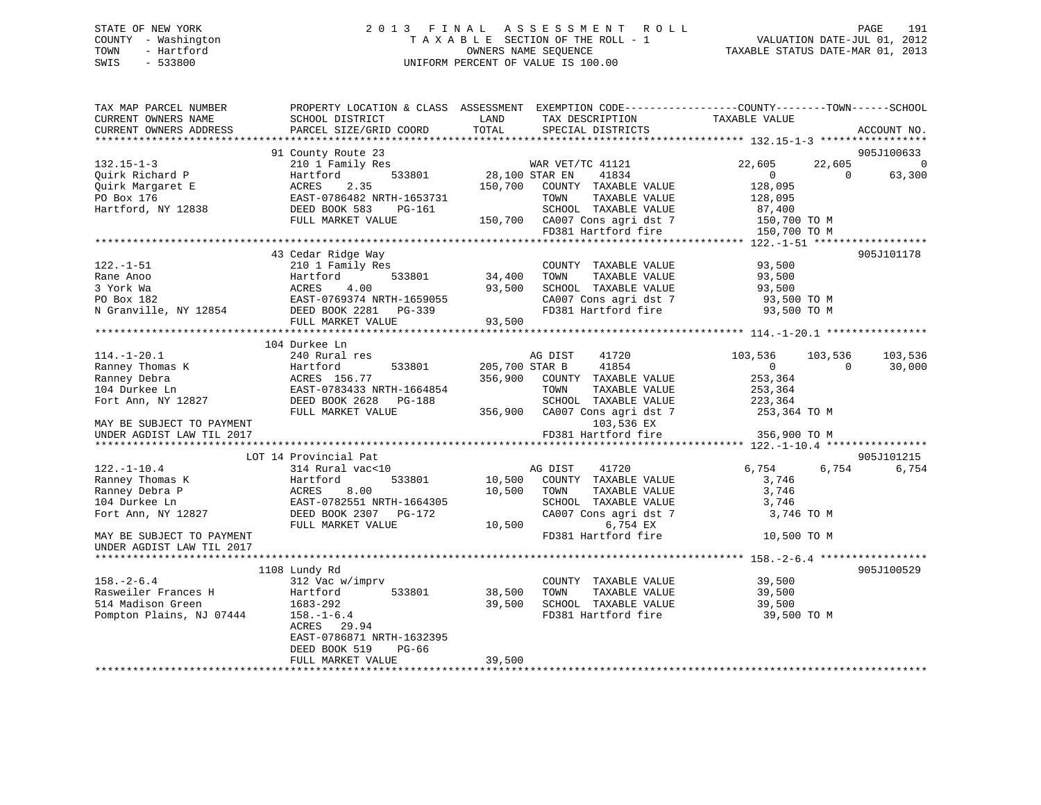# STATE OF NEW YORK 2 0 1 3 F I N A L A S S E S S M E N T R O L L PAGE 191 COUNTY - Washington T A X A B L E SECTION OF THE ROLL - 1 VALUATION DATE-JUL 01, 2012 TOWN - Hartford **TAXABLE STATUS DATE-MAR 01, 2013** SWIS - 533800 UNIFORM PERCENT OF VALUE IS 100.00

| TAX MAP PARCEL NUMBER<br>CURRENT OWNERS NAME<br>CURRENT OWNERS ADDRESS | PROPERTY LOCATION & CLASS ASSESSMENT<br>SCHOOL DISTRICT<br>PARCEL SIZE/GRID COORD | LAND<br>TAX DESCRIPTION<br>TOTAL<br>SPECIAL DISTRICTS | EXEMPTION CODE-----------------COUNTY-------TOWN------SCHOOL<br>TAXABLE VALUE<br>ACCOUNT NO. |
|------------------------------------------------------------------------|-----------------------------------------------------------------------------------|-------------------------------------------------------|----------------------------------------------------------------------------------------------|
|                                                                        |                                                                                   |                                                       |                                                                                              |
|                                                                        | 91 County Route 23                                                                |                                                       | 905J100633                                                                                   |
| $132.15 - 1 - 3$                                                       | 210 1 Family Res                                                                  | WAR VET/TC 41121                                      | 22,605<br>22,605<br>$\overline{0}$                                                           |
| Ouirk Richard P                                                        | 533801<br>Hartford                                                                | 28,100 STAR EN<br>41834                               | 63,300<br>$\Omega$<br>$\Omega$                                                               |
| Ouirk Margaret E                                                       | ACRES<br>2.35                                                                     | 150,700<br>COUNTY TAXABLE VALUE                       | 128,095                                                                                      |
| PO Box 176                                                             | EAST-0786482 NRTH-1653731                                                         | TAXABLE VALUE<br>TOWN                                 | 128,095                                                                                      |
| Hartford, NY 12838                                                     | DEED BOOK 583<br>PG-161                                                           | SCHOOL TAXABLE VALUE                                  | 87,400                                                                                       |
|                                                                        | FULL MARKET VALUE                                                                 | 150,700 CA007 Cons agri dst 7<br>FD381 Hartford fire  | 150,700 TO M                                                                                 |
|                                                                        |                                                                                   |                                                       | 150,700 TO M                                                                                 |
|                                                                        | 43 Cedar Ridge Way                                                                |                                                       | 905J101178                                                                                   |
| $122. - 1 - 51$                                                        | 210 1 Family Res                                                                  | COUNTY TAXABLE VALUE                                  | 93,500                                                                                       |
| Rane Anoo                                                              | Hartford<br>533801                                                                | 34,400<br>TAXABLE VALUE<br>TOWN                       | 93,500                                                                                       |
| 3 York Wa                                                              | ACRES<br>4.00                                                                     | 93,500<br>SCHOOL TAXABLE VALUE                        | 93,500                                                                                       |
| PO Box 182                                                             | EAST-0769374 NRTH-1659055                                                         | CA007 Cons agri dst 7                                 | 93,500 TO M                                                                                  |
| N Granville, NY 12854                                                  | DEED BOOK 2281 PG-339                                                             | FD381 Hartford fire                                   | 93,500 TO M                                                                                  |
|                                                                        | FULL MARKET VALUE                                                                 | 93,500                                                |                                                                                              |
|                                                                        |                                                                                   |                                                       |                                                                                              |
|                                                                        | 104 Durkee Ln                                                                     |                                                       |                                                                                              |
| $114. - 1 - 20.1$                                                      | 240 Rural res                                                                     | AG DIST<br>41720                                      | 103,536<br>103,536<br>103,536                                                                |
| Ranney Thomas K                                                        | 533801<br>Hartford                                                                | 205,700 STAR B<br>41854                               | $\Omega$<br>30,000<br>$\overline{0}$                                                         |
| Ranney Debra                                                           | ACRES 156.77                                                                      | 356,900<br>COUNTY TAXABLE VALUE                       | 253,364                                                                                      |
| 104 Durkee Ln                                                          | EAST-0783433 NRTH-1664854                                                         | TOWN<br>TAXABLE VALUE                                 | 253,364                                                                                      |
| Fort Ann, NY 12827                                                     | DEED BOOK 2628<br>PG-188<br>FULL MARKET VALUE                                     | SCHOOL TAXABLE VALUE                                  | 223,364<br>253,364 TO M                                                                      |
| MAY BE SUBJECT TO PAYMENT                                              |                                                                                   | 356,900 CA007 Cons agri dst 7<br>103,536 EX           |                                                                                              |
| UNDER AGDIST LAW TIL 2017                                              |                                                                                   | FD381 Hartford fire                                   | 356,900 TO M                                                                                 |
|                                                                        |                                                                                   |                                                       |                                                                                              |
|                                                                        | LOT 14 Provincial Pat                                                             |                                                       | 905J101215                                                                                   |
| $122. - 1 - 10.4$                                                      | 314 Rural vac<10                                                                  | AG DIST<br>41720                                      | 6,754<br>6,754<br>6,754                                                                      |
| Ranney Thomas K                                                        | Hartford<br>533801                                                                | 10,500 COUNTY TAXABLE VALUE                           | 3,746                                                                                        |
| Ranney Debra P                                                         | 8.00<br>ACRES                                                                     | 10,500<br>TOWN<br>TAXABLE VALUE                       | 3,746                                                                                        |
| 104 Durkee Ln                                                          | EAST-0782551 NRTH-1664305                                                         | SCHOOL TAXABLE VALUE                                  | 3,746                                                                                        |
| Fort Ann, NY 12827                                                     | DEED BOOK 2307 PG-172                                                             | CA007 Cons agri dst 7                                 | 3,746 TO M                                                                                   |
|                                                                        | FULL MARKET VALUE                                                                 | 6,754 EX<br>10,500                                    |                                                                                              |
| MAY BE SUBJECT TO PAYMENT                                              |                                                                                   | FD381 Hartford fire                                   | 10,500 TO M                                                                                  |
| UNDER AGDIST LAW TIL 2017                                              |                                                                                   |                                                       |                                                                                              |
|                                                                        | 1108 Lundy Rd                                                                     |                                                       | 905J100529                                                                                   |
| $158. - 2 - 6.4$                                                       | 312 Vac w/imprv                                                                   | COUNTY TAXABLE VALUE                                  | 39,500                                                                                       |
| Rasweiler Frances H                                                    | 533801<br>Hartford                                                                | 38,500<br>TAXABLE VALUE<br>TOWN                       | 39,500                                                                                       |
| 514 Madison Green                                                      | 1683-292                                                                          | SCHOOL TAXABLE VALUE<br>39,500                        | 39,500                                                                                       |
| Pompton Plains, NJ 07444                                               | $158. - 1 - 6.4$                                                                  | FD381 Hartford fire                                   | 39,500 TO M                                                                                  |
|                                                                        | ACRES 29.94                                                                       |                                                       |                                                                                              |
|                                                                        | EAST-0786871 NRTH-1632395                                                         |                                                       |                                                                                              |
|                                                                        | DEED BOOK 519<br>PG-66                                                            |                                                       |                                                                                              |
|                                                                        | FULL MARKET VALUE                                                                 | 39,500                                                |                                                                                              |
|                                                                        |                                                                                   |                                                       |                                                                                              |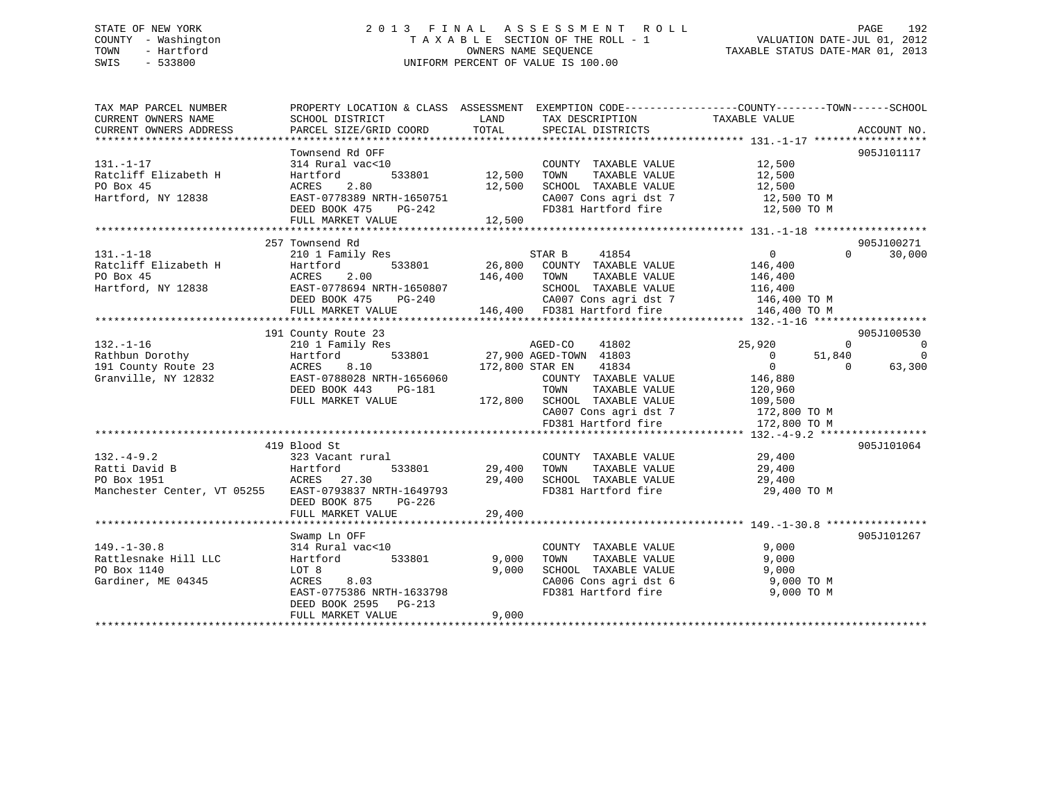# STATE OF NEW YORK 2 0 1 3 F I N A L A S S E S S M E N T R O L L PAGE 192 COUNTY - Washington T A X A B L E SECTION OF THE ROLL - 1 VALUATION DATE-JUL 01, 2012 TOWN - Hartford **TAXABLE STATUS DATE-MAR 01, 2013** SWIS - 533800 UNIFORM PERCENT OF VALUE IS 100.00

| TAX MAP PARCEL NUMBER                                 | PROPERTY LOCATION & CLASS ASSESSMENT EXEMPTION CODE---------------COUNTY-------TOWN-----SCHOOL |               |                                                                                                                                                                                                     |                            |                    |
|-------------------------------------------------------|------------------------------------------------------------------------------------------------|---------------|-----------------------------------------------------------------------------------------------------------------------------------------------------------------------------------------------------|----------------------------|--------------------|
| CURRENT OWNERS NAME<br>CURRENT OWNERS ADDRESS         | SCHOOL DISTRICT<br>PARCEL SIZE/GRID COORD                                                      | LAND<br>TOTAL | TAX DESCRIPTION<br>SPECIAL DISTRICTS                                                                                                                                                                | TAXABLE VALUE              | ACCOUNT NO.        |
|                                                       |                                                                                                |               |                                                                                                                                                                                                     |                            |                    |
|                                                       | Townsend Rd OFF                                                                                |               |                                                                                                                                                                                                     |                            | 905J101117         |
| $131. - 1 - 17$                                       | 314 Rural vac<10                                                                               |               | COUNTY TAXABLE VALUE                                                                                                                                                                                | 12,500                     |                    |
| Ratcliff Elizabeth H                                  | Hartford<br>533801                                                                             | 12,500        | TAXABLE VALUE<br>TOWN                                                                                                                                                                               | 12,500                     |                    |
| PO Box 45                                             | ACRES<br>2.80                                                                                  | 12,500        | SCHOOL TAXABLE VALUE                                                                                                                                                                                | 12,500                     |                    |
| Hartford, NY 12838                                    | EAST-0778389 NRTH-1650751                                                                      |               |                                                                                                                                                                                                     |                            |                    |
|                                                       | DEED BOOK 475<br>PG-242                                                                        |               | $\begin{array}{lll} \texttt{CA007} \texttt{ Cons} & \texttt{agri} \texttt{dst} & 7 & 12,500 \texttt{ TO M} \\ \texttt{FD381} & \texttt{Hartford} \texttt{fire} & 12,500 \texttt{ TO M} \end{array}$ |                            |                    |
|                                                       | FULL MARKET VALUE                                                                              | 12,500        |                                                                                                                                                                                                     |                            |                    |
|                                                       |                                                                                                |               |                                                                                                                                                                                                     |                            |                    |
|                                                       | 257 Townsend Rd                                                                                |               |                                                                                                                                                                                                     |                            | 905J100271         |
| $131. - 1 - 18$                                       | 210 1 Family Res                                                                               |               | STAR B<br>41854                                                                                                                                                                                     | $\overline{0}$             | $\Omega$<br>30,000 |
| Ratcliff Elizabeth H                                  | Hartford<br>533801                                                                             |               | 26,800 COUNTY TAXABLE VALUE 146,400                                                                                                                                                                 |                            |                    |
| PO Box 45                                             | ACRES<br>2.00                                                                                  | 146,400       | TAXABLE VALUE<br>TOWN                                                                                                                                                                               | 146,400                    |                    |
| Hartford, NY 12838                                    | EAST-0778694 NRTH-1650807                                                                      |               | SCHOOL TAXABLE VALUE                                                                                                                                                                                | 116,400                    |                    |
|                                                       | DEED BOOK 475<br>PG-240                                                                        |               | CA007 Cons agri dst 7 146,400 TO M                                                                                                                                                                  |                            |                    |
|                                                       | FULL MARKET VALUE                                                                              |               | 146,400 FD381 Hartford fire                                                                                                                                                                         | 146,400 TO M               |                    |
|                                                       |                                                                                                |               |                                                                                                                                                                                                     |                            |                    |
|                                                       | 191 County Route 23                                                                            |               |                                                                                                                                                                                                     |                            | 905J100530         |
| $132. - 1 - 16$                                       | 210 1 Family Res                                                                               |               | 41802<br>AGED-CO                                                                                                                                                                                    | 25,920<br>$\Omega$         | $\overline{0}$     |
| Rathbun Dorothy                                       | 533801<br>Hartford                                                                             |               | 27,900 AGED-TOWN 41803                                                                                                                                                                              | 51,840<br>$\overline{0}$   | $\overline{0}$     |
| 191 County Route 23                                   | 8.10<br>ACRES                                                                                  |               | 172,800 STAR EN 41834                                                                                                                                                                               | $\overline{0}$<br>$\Omega$ | 63,300             |
| Granville, NY 12832                                   | EAST-0788028 NRTH-1656060                                                                      |               | COUNTY TAXABLE VALUE                                                                                                                                                                                | 146,880                    |                    |
|                                                       | DEED BOOK 443<br>PG-181                                                                        |               | TOWN<br>TAXABLE VALUE                                                                                                                                                                               | 120,960                    |                    |
|                                                       | FULL MARKET VALUE                                                                              |               | 172,800 SCHOOL TAXABLE VALUE                                                                                                                                                                        | 109,500                    |                    |
|                                                       |                                                                                                |               | CA007 Cons agri dst 7                                                                                                                                                                               | 172,800 TO M               |                    |
|                                                       |                                                                                                |               | FD381 Hartford fire                                                                                                                                                                                 | 172,800 TO M               |                    |
|                                                       |                                                                                                |               |                                                                                                                                                                                                     |                            |                    |
|                                                       | 419 Blood St                                                                                   |               |                                                                                                                                                                                                     |                            | 905J101064         |
| $132 - 4 - 9.2$                                       | 323 Vacant rural                                                                               |               | COUNTY TAXABLE VALUE                                                                                                                                                                                | 29,400                     |                    |
| Ratti David B                                         | 533801<br>Hartford                                                                             | 29,400        | TOWN<br>TAXABLE VALUE                                                                                                                                                                               | 29,400                     |                    |
| PO Box 1951                                           | ACRES 27.30                                                                                    |               | 29,400 SCHOOL TAXABLE VALUE                                                                                                                                                                         | 29,400                     |                    |
| Manchester Center, VT 05255 EAST-0793837 NRTH-1649793 |                                                                                                |               | FD381 Hartford fire 29,400 TO M                                                                                                                                                                     |                            |                    |
|                                                       | DEED BOOK 875<br>PG-226                                                                        |               |                                                                                                                                                                                                     |                            |                    |
|                                                       | FULL MARKET VALUE                                                                              | 29,400        |                                                                                                                                                                                                     |                            |                    |
|                                                       |                                                                                                |               |                                                                                                                                                                                                     |                            |                    |
|                                                       | Swamp Ln OFF                                                                                   |               |                                                                                                                                                                                                     |                            | 905J101267         |
| $149. - 1 - 30.8$                                     | 314 Rural vac<10                                                                               |               | COUNTY TAXABLE VALUE                                                                                                                                                                                | 9,000                      |                    |
| Rattlesnake Hill LLC                                  | 533801<br>Hartford                                                                             | 9,000         | TAXABLE VALUE<br>TOWN                                                                                                                                                                               | 9,000                      |                    |
| PO Box 1140                                           | LOT 8                                                                                          | 9,000         | SCHOOL TAXABLE VALUE                                                                                                                                                                                | 9,000                      |                    |
| Gardiner, ME 04345                                    | ACRES<br>8.03                                                                                  |               | CA006 Cons agri dst 6                                                                                                                                                                               | 9,000 TO M                 |                    |
|                                                       | EAST-0775386 NRTH-1633798                                                                      |               | FD381 Hartford fire                                                                                                                                                                                 | 9,000 TO M                 |                    |
|                                                       | DEED BOOK 2595 PG-213                                                                          |               |                                                                                                                                                                                                     |                            |                    |
|                                                       | FULL MARKET VALUE                                                                              | 9,000         |                                                                                                                                                                                                     |                            |                    |
|                                                       |                                                                                                |               |                                                                                                                                                                                                     |                            |                    |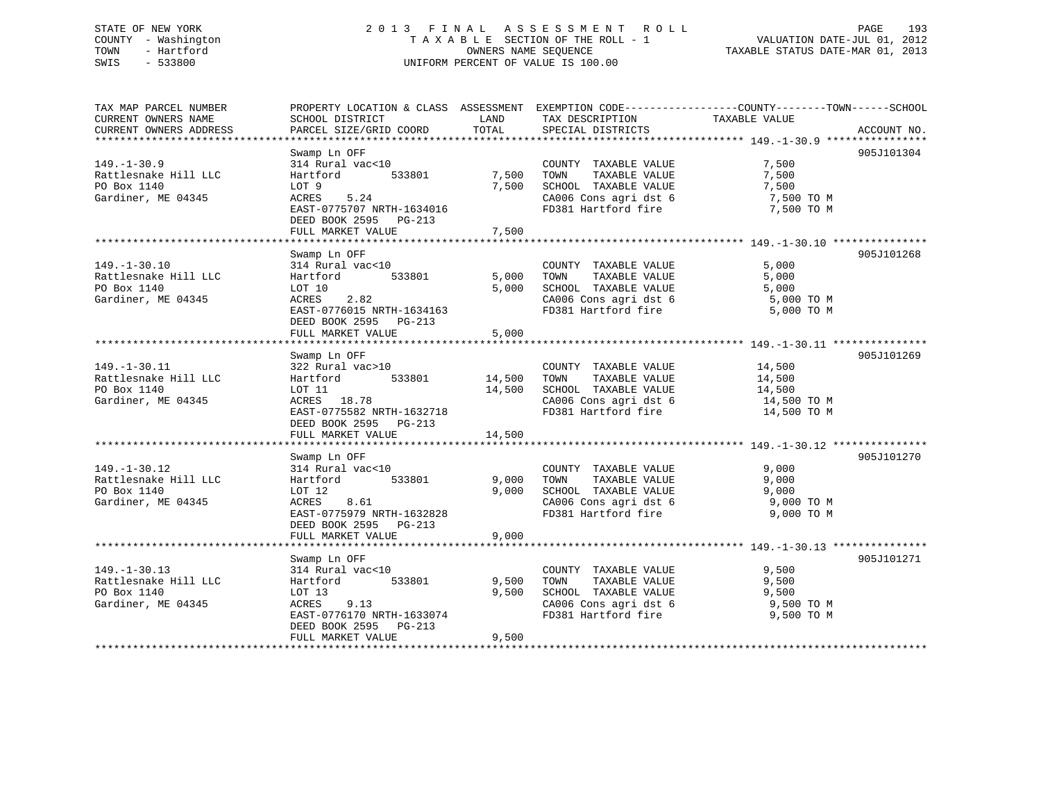# STATE OF NEW YORK 2 0 1 3 F I N A L A S S E S S M E N T R O L L PAGE 193 COUNTY - Washington T A X A B L E SECTION OF THE ROLL - 1 VALUATION DATE-JUL 01, 2012 TOWN - Hartford **TAXABLE STATUS DATE-MAR 01, 2013** SWIS - 533800 UNIFORM PERCENT OF VALUE IS 100.00

| TAX MAP PARCEL NUMBER<br>CURRENT OWNERS NAME | PROPERTY LOCATION & CLASS ASSESSMENT EXEMPTION CODE---------------COUNTY-------TOWN------SCHOOL<br>SCHOOL DISTRICT | LAND   | TAX DESCRIPTION                                                         | TAXABLE VALUE |             |
|----------------------------------------------|--------------------------------------------------------------------------------------------------------------------|--------|-------------------------------------------------------------------------|---------------|-------------|
| CURRENT OWNERS ADDRESS                       | PARCEL SIZE/GRID COORD                                                                                             | TOTAL  | SPECIAL DISTRICTS                                                       |               | ACCOUNT NO. |
|                                              |                                                                                                                    |        |                                                                         |               |             |
|                                              | Swamp Ln OFF                                                                                                       |        |                                                                         |               | 905J101304  |
| $149. - 1 - 30.9$                            | 314 Rural vac<10                                                                                                   |        | COUNTY TAXABLE VALUE                                                    | 7,500         |             |
| Rattlesnake Hill LLC                         | Hartford<br>533801                                                                                                 | 7,500  | TAXABLE VALUE<br>TOWN                                                   | 7,500         |             |
| PO Box 1140                                  | LOT 9                                                                                                              | 7,500  | SCHOOL TAXABLE VALUE                                                    | 7,500         |             |
| Gardiner, ME 04345                           | ACRES 5.24                                                                                                         |        | CA006 Cons agri dst 6                                                   | 7,500 TO M    |             |
|                                              | EAST-0775707 NRTH-1634016                                                                                          |        | FD381 Hartford fire                                                     | 7,500 TO M    |             |
|                                              | DEED BOOK 2595 PG-213                                                                                              |        |                                                                         |               |             |
|                                              | FULL MARKET VALUE                                                                                                  | 7,500  |                                                                         |               |             |
|                                              |                                                                                                                    |        |                                                                         |               |             |
|                                              | Swamp Ln OFF                                                                                                       |        |                                                                         |               | 905J101268  |
| $149. - 1 - 30.10$                           | 314 Rural vac<10                                                                                                   |        | COUNTY TAXABLE VALUE                                                    | 5,000         |             |
| Rattlesnake Hill LLC                         | Hartford 533801                                                                                                    | 5,000  | TOWN<br>TAXABLE VALUE                                                   | 5,000         |             |
| PO Box 1140                                  | LOT 10                                                                                                             | 5,000  | SCHOOL TAXABLE VALUE                                                    | 5,000         |             |
| Gardiner, ME 04345                           | 2.82<br>ACRES                                                                                                      |        | CA006 Cons agri dst 6                                                   | 5,000 TO M    |             |
|                                              | EAST-0776015 NRTH-1634163                                                                                          |        | FD381 Hartford fire                                                     | 5,000 TO M    |             |
|                                              | DEED BOOK 2595 PG-213                                                                                              |        |                                                                         |               |             |
|                                              | FULL MARKET VALUE                                                                                                  | 5,000  |                                                                         |               |             |
|                                              |                                                                                                                    |        |                                                                         |               |             |
|                                              | Swamp Ln OFF                                                                                                       |        |                                                                         |               | 905J101269  |
| $149. - 1 - 30.11$                           | 322 Rural vac>10                                                                                                   | 14,500 | COUNTY TAXABLE VALUE 14,500                                             |               |             |
| Rattlesnake Hill LLC                         | Hartford 533801                                                                                                    |        | TOWN TAXABLE VALUE                                                      | 14,500        |             |
| PO Box 1140                                  | LOT 11                                                                                                             |        | 14,500 SCHOOL TAXABLE VALUE 14,500<br>CA006 Cons agri dst 6 14,500 TO M |               |             |
| Gardiner, ME 04345                           | ACRES 18.78                                                                                                        |        |                                                                         |               |             |
|                                              | EAST-0775582 NRTH-1632718                                                                                          |        | FD381 Hartford fire                                                     | 14,500 TO M   |             |
|                                              | DEED BOOK 2595 PG-213                                                                                              |        |                                                                         |               |             |
|                                              | FULL MARKET VALUE                                                                                                  | 14,500 |                                                                         |               |             |
|                                              |                                                                                                                    |        |                                                                         |               |             |
|                                              | Swamp Ln OFF                                                                                                       |        |                                                                         |               | 905J101270  |
| $149. - 1 - 30.12$                           | 314 Rural vac<10                                                                                                   |        | COUNTY TAXABLE VALUE                                                    | 9,000         |             |
| Rattlesnake Hill LLC                         | 533801<br>Hartford                                                                                                 | 9,000  | TOWN<br>TAXABLE VALUE                                                   | 9,000         |             |
| PO Box 1140                                  | LOT 12                                                                                                             | 9.000  | SCHOOL TAXABLE VALUE                                                    | 9,000         |             |
| Gardiner, ME 04345                           | 8.61<br>ACRES                                                                                                      |        | CA006 Cons agri dst 6                                                   | 9,000 TO M    |             |
|                                              | EAST-0775979 NRTH-1632828                                                                                          |        | FD381 Hartford fire                                                     | 9,000 TO M    |             |
|                                              | DEED BOOK 2595 PG-213                                                                                              |        |                                                                         |               |             |
|                                              | FULL MARKET VALUE                                                                                                  | 9,000  |                                                                         |               |             |
|                                              |                                                                                                                    |        |                                                                         |               |             |
|                                              | Swamp Ln OFF                                                                                                       |        |                                                                         |               | 905J101271  |
| $149. - 1 - 30.13$                           | 314 Rural vac<10                                                                                                   |        | COUNTY TAXABLE VALUE                                                    | 9,500         |             |
| Rattlesnake Hill LLC                         | 533801<br>Hartford                                                                                                 | 9,500  | TAXABLE VALUE<br>TOWN                                                   | 9,500         |             |
| PO Box 1140                                  | LOT 13                                                                                                             | 9,500  | SCHOOL TAXABLE VALUE                                                    | 9,500         |             |
| Gardiner, ME 04345                           | ACRES<br>9.13                                                                                                      |        | CA006 Cons agri dst 6                                                   | 9,500 TO M    |             |
|                                              | EAST-0776170 NRTH-1633074                                                                                          |        | FD381 Hartford fire                                                     | 9,500 TO M    |             |
|                                              | DEED BOOK 2595 PG-213                                                                                              |        |                                                                         |               |             |
|                                              | FULL MARKET VALUE                                                                                                  | 9,500  |                                                                         |               |             |
|                                              |                                                                                                                    |        |                                                                         |               |             |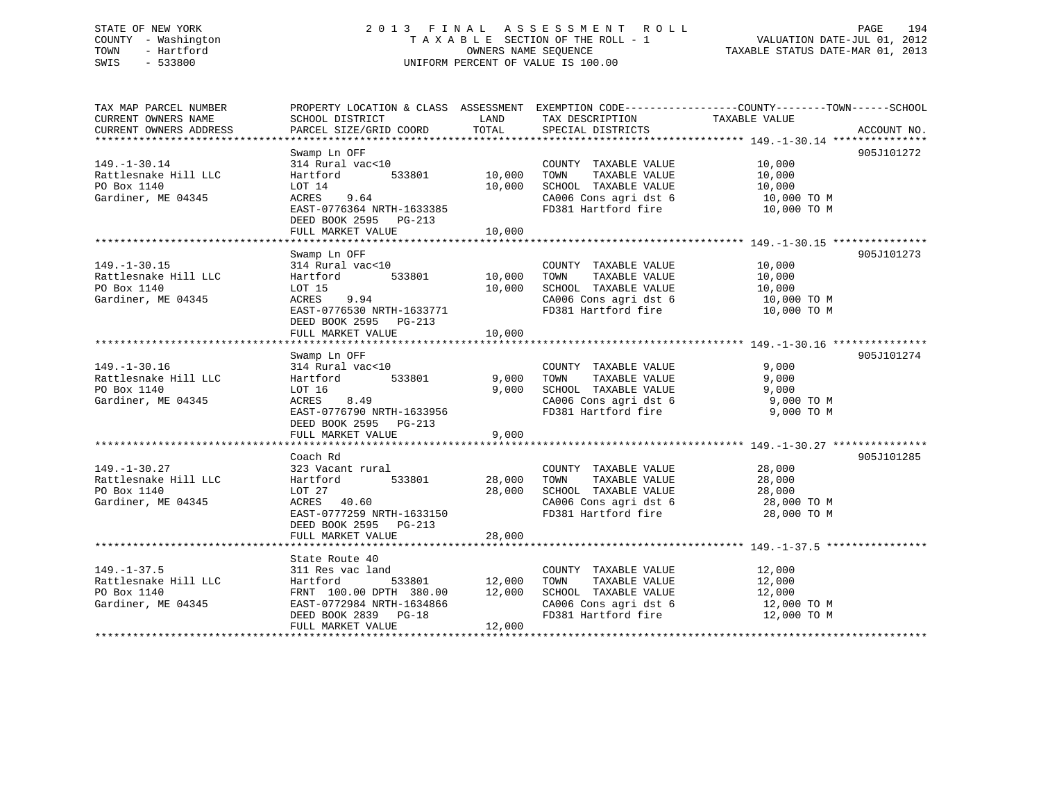# STATE OF NEW YORK 2 0 1 3 F I N A L A S S E S S M E N T R O L L PAGE 194 COUNTY - Washington T A X A B L E SECTION OF THE ROLL - 1 VALUATION DATE-JUL 01, 2012 TOWN - Hartford **TAXABLE STATUS DATE-MAR 01, 2013** OWNERS NAME SEQUENCE TAXABLE STATUS DATE-MAR 01, 2013 SWIS - 533800 UNIFORM PERCENT OF VALUE IS 100.00

| TAX MAP PARCEL NUMBER<br>CURRENT OWNERS NAME                                    | SCHOOL DISTRICT                                                                                                                                            | LAND                              | TAX DESCRIPTION                                                                                                       | PROPERTY LOCATION & CLASS ASSESSMENT EXEMPTION CODE---------------COUNTY-------TOWN------SCHOOL<br>TAXABLE VALUE |
|---------------------------------------------------------------------------------|------------------------------------------------------------------------------------------------------------------------------------------------------------|-----------------------------------|-----------------------------------------------------------------------------------------------------------------------|------------------------------------------------------------------------------------------------------------------|
| CURRENT OWNERS ADDRESS                                                          | PARCEL SIZE/GRID COORD                                                                                                                                     | TOTAL                             | SPECIAL DISTRICTS                                                                                                     | ACCOUNT NO.                                                                                                      |
| $149. - 1 - 30.14$<br>Rattlesnake Hill LLC<br>PO Box 1140<br>Gardiner, ME 04345 | Swamp Ln OFF<br>314 Rural vac<10<br>Hartford<br>LOT 14<br>ACRES 9.64<br>EAST-0776364 NRTH-1633385<br>DEED BOOK 2595 PG-213<br>FULL MARKET VALUE            | 533801 10,000<br>10,000<br>10,000 | COUNTY TAXABLE VALUE<br>TOWN<br>TAXABLE VALUE<br>SCHOOL TAXABLE VALUE<br>FD381 Hartford fire                          | 905J101272<br>10,000<br>10,000<br>10,000<br>CA006 Cons agri dst 6 10,000 TO M<br>10,000 TO M                     |
| $149. - 1 - 30.15$<br>Rattlesnake Hill LLC<br>PO Box 1140<br>Gardiner, ME 04345 | Swamp Ln OFF<br>314 Rural vac<10<br>Hartford<br>LOT 15<br>$ACRES$ 9.94<br>EAST-0776530 NRTH-1633771<br>DEED BOOK 2595 PG-213<br>FULL MARKET VALUE          | 533801 10,000<br>10,000<br>10,000 | COUNTY TAXABLE VALUE<br>TOWN<br>TAXABLE VALUE<br>SCHOOL TAXABLE VALUE                                                 | 905J101273<br>10,000<br>10,000<br>10,000<br>CA006 Cons agri dst 6 10,000 TO M<br>FD381 Hartford fire 10,000 TO M |
| $149. - 1 - 30.16$<br>Rattlesnake Hill LLC<br>PO Box 1140<br>Gardiner, ME 04345 | Swamp Ln OFF<br>314 Rural vac<10<br>Hartford<br>LOT 16<br>8.49<br>ACRES<br>EAST-0776790 NRTH-1633956<br>DEED BOOK 2595 PG-213<br>FULL MARKET VALUE         | 533801 9,000<br>9,000<br>9,000    | COUNTY TAXABLE VALUE<br>TAXABLE VALUE<br>TOWN<br>SCHOOL TAXABLE VALUE<br>CA006 Cons agri dst 6                        | 905J101274<br>9,000<br>9,000<br>9,000<br>$9,000$ TO M<br>9,000 TO M<br>FD381 Hartford fire 9,000 TO M            |
| $149. - 1 - 30.27$<br>Rattlesnake Hill LLC<br>PO Box 1140<br>Gardiner, ME 04345 | Coach Rd<br>323 Vacant rural<br>Hartford<br>LOT 27<br>ACRES 40.60<br>EAST-0777259 NRTH-1633150<br>DEED BOOK 2595 PG-213<br>FULL MARKET VALUE               | 533801 28,000<br>28,000<br>28,000 | COUNTY TAXABLE VALUE<br>TOWN<br>TAXABLE VALUE<br>SCHOOL TAXABLE VALUE<br>CA006 Cons agri dst 6<br>FD381 Hartford fire | 905J101285<br>28,000<br>28,000<br>$28,000$ TO M<br>$28,000$ TO M<br>28,000 TO M                                  |
| $149. - 1 - 37.5$<br>Rattlesnake Hill LLC<br>PO Box 1140<br>Gardiner, ME 04345  | State Route 40<br>311 Res vac land<br>Hartford<br>FRNT 100.00 DPTH 380.00 12,000<br>EAST-0772984 NRTH-1634866<br>DEED BOOK 2839 PG-18<br>FULL MARKET VALUE | 533801 12,000<br>12,000           | COUNTY TAXABLE VALUE<br>TOWN<br>TAXABLE VALUE<br>SCHOOL TAXABLE VALUE<br>CA006 Cons agri dst 6<br>FD381 Hartford fire | 12,000<br>12,000<br>12,000<br>12,000 TO M<br>12,000 TO M                                                         |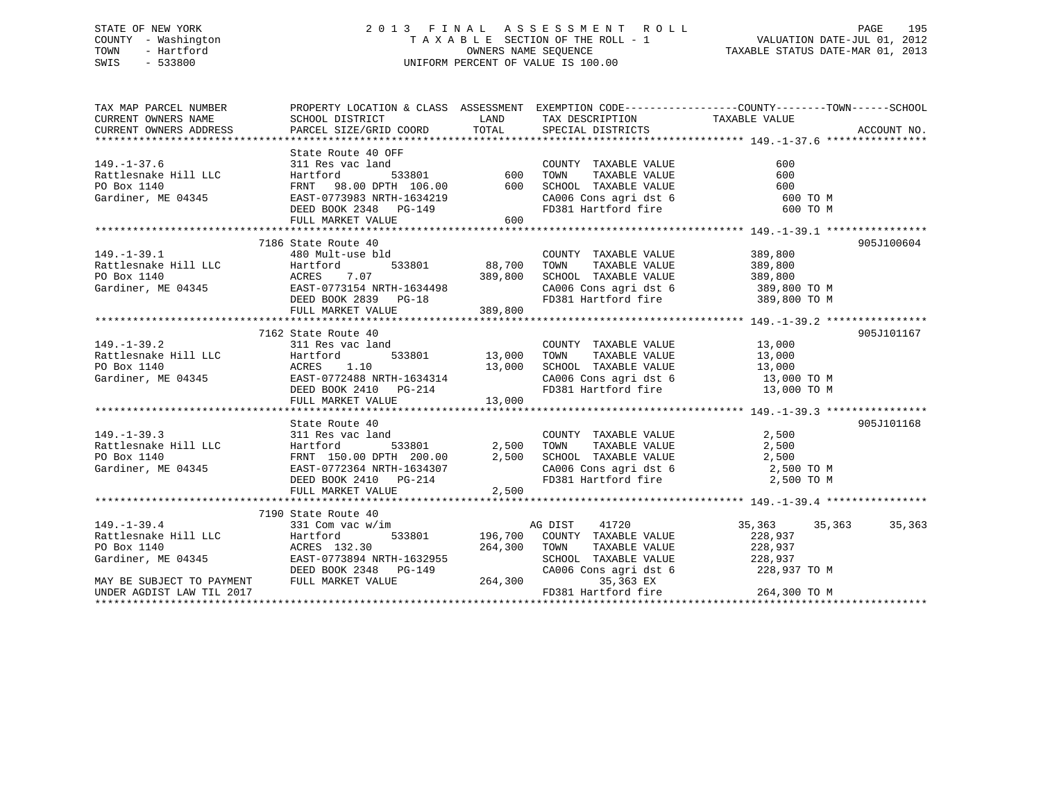# STATE OF NEW YORK 2 0 1 3 F I N A L A S S E S S M E N T R O L L PAGE 195 COUNTY - Washington T A X A B L E SECTION OF THE ROLL - 1 VALUATION DATE-JUL 01, 2012 TOWN - Hartford **TAXABLE STATUS DATE-MAR 01, 2013** SWIS - 533800 UNIFORM PERCENT OF VALUE IS 100.00

| THA WAP PARCEL NOWBER<br>CURRENT OWNERS NAME<br>CURRENT OWNERS ADDRESS<br>PARCEL SIZE/GRIL<br>State Route 40 OFF<br>149.-1-37.6<br>Rattlesnake Hill LLC Hartford 533801<br>PO Box 1140 FRNT 98.00 DPTH 106.00 600 SCHOOL TAXABLE VALUE<br>Gardiner, ME 04345 EAST-0773983 NRTH-1634219 CA006 Cons agri dst 6<br>DEED BOOK 2348 PG-149 FD381 Hartford fir<br>600<br>600<br>600<br>CA006 Cons agri dst 6 600 TO M<br>600 TO M |
|-----------------------------------------------------------------------------------------------------------------------------------------------------------------------------------------------------------------------------------------------------------------------------------------------------------------------------------------------------------------------------------------------------------------------------|
|                                                                                                                                                                                                                                                                                                                                                                                                                             |
|                                                                                                                                                                                                                                                                                                                                                                                                                             |
|                                                                                                                                                                                                                                                                                                                                                                                                                             |
|                                                                                                                                                                                                                                                                                                                                                                                                                             |
|                                                                                                                                                                                                                                                                                                                                                                                                                             |
|                                                                                                                                                                                                                                                                                                                                                                                                                             |
|                                                                                                                                                                                                                                                                                                                                                                                                                             |
|                                                                                                                                                                                                                                                                                                                                                                                                                             |
|                                                                                                                                                                                                                                                                                                                                                                                                                             |
|                                                                                                                                                                                                                                                                                                                                                                                                                             |
|                                                                                                                                                                                                                                                                                                                                                                                                                             |
| 7186 State Route 40<br>905J100604                                                                                                                                                                                                                                                                                                                                                                                           |
| 180 Beach Road 10<br>480 Mult-use bld<br>COUNTY TAXABLE VALUE 389,800<br>$149. - 1 - 39.1$                                                                                                                                                                                                                                                                                                                                  |
| 533801 88,700 TOWN<br>TAXABLE VALUE 389,800                                                                                                                                                                                                                                                                                                                                                                                 |
|                                                                                                                                                                                                                                                                                                                                                                                                                             |
| SCHOOL TAXABLE VALUE 389,800<br>CA006 Cons agri dst 6 389,800 TO M<br>FD381 Hartford fire 389,800 TO M                                                                                                                                                                                                                                                                                                                      |
| Rattlesnake Hill LLC<br>PO Box 1140<br>Gardiner, ME 04345<br>CRES CON BOX 1140<br>CRES CON 2389,800<br>CRES CON 289,800<br>DEED BOOK 2899<br>CRES CON 289,800<br>CRES CON 289,800<br>CRES CON 289,800<br>CRES CON 289,800<br>CRES CON 289,800<br>CRES                                                                                                                                                                       |
|                                                                                                                                                                                                                                                                                                                                                                                                                             |
|                                                                                                                                                                                                                                                                                                                                                                                                                             |
| 7162 State Route 40<br>905J101167                                                                                                                                                                                                                                                                                                                                                                                           |
| $\begin{tabular}{lllllllllll} \multicolumn{2}{c}{\textbf{COUNTY}} & \textbf{TAXABLE VALUE} & & & 13\, ,000 \\ \multicolumn{2}{c}{\textbf{TOWN}} & \textbf{TAXABLE VALUE} & & & 13\, ,000 \\ \end{tabular}$                                                                                                                                                                                                                  |
|                                                                                                                                                                                                                                                                                                                                                                                                                             |
|                                                                                                                                                                                                                                                                                                                                                                                                                             |
| 149.-1-39.2<br>Rattlesnake Hill LLC 311 Res vac land COUNTY<br>PO Box 1140 ACRES 1.10 13,000 SCHOOL<br>Gardiner, ME 04345 BEED BOOK 2410 PG-214 FD381 Ha<br>13,000 SCHOOL TAXABLE VALUE 13,000<br>CA006 Cons agri dst 6 13,000 TO M<br>FD381 Hartford fire 13,000 TO M                                                                                                                                                      |
|                                                                                                                                                                                                                                                                                                                                                                                                                             |
| 13,000<br>FULL MARKET VALUE                                                                                                                                                                                                                                                                                                                                                                                                 |
|                                                                                                                                                                                                                                                                                                                                                                                                                             |
| 905J101168<br>State Route 40                                                                                                                                                                                                                                                                                                                                                                                                |
| COUNTY TAXABLE VALUE 2,500<br>$149. - 1 - 39.3$<br>311 Res vac land                                                                                                                                                                                                                                                                                                                                                         |
|                                                                                                                                                                                                                                                                                                                                                                                                                             |
|                                                                                                                                                                                                                                                                                                                                                                                                                             |
|                                                                                                                                                                                                                                                                                                                                                                                                                             |
| Partlesnake Hill LLC<br>PO Box 1140<br>FRATE 150.00 DPTH 200.00<br>Cardiner, ME 04345<br>DEED BOOK 2410<br>PC BOOK 2410<br>PC BOOK 2410<br>PC-214<br>PULL MARKET VALUE<br>PC 2,500<br>PC 2014<br>PC 2,500<br>PC 2016<br>PC 2016<br>PC 2016<br>PC 2,500<br>PC 2<br>2,500                                                                                                                                                     |
| FULL MARKET VALUE                                                                                                                                                                                                                                                                                                                                                                                                           |
| 7190 State Route 40                                                                                                                                                                                                                                                                                                                                                                                                         |
| AG DIST 41720<br>$149. - 1 - 39.4$<br>35,363 35,363<br>35,363<br>331 Com vac w/im                                                                                                                                                                                                                                                                                                                                           |
|                                                                                                                                                                                                                                                                                                                                                                                                                             |
|                                                                                                                                                                                                                                                                                                                                                                                                                             |
|                                                                                                                                                                                                                                                                                                                                                                                                                             |
|                                                                                                                                                                                                                                                                                                                                                                                                                             |
| 149.-1-39.4<br>Rattlesnake Hill LLC Martford 533801 196,700 COUNTY TAXABLE VALUE<br>PO Box 1140 ACRES 132.30 264,300 TOWN TAXABLE VALUE 228,937<br>Gardiner, ME 04345 EAST-0773894 NRTH-1632955 SCHOOL TAXABLE VALUE 228,937<br>FRED R                                                                                                                                                                                      |
| FULL MARKET VALUE 264,300<br>MAY BE SUBJECT TO PAYMENT<br>35,363 EX<br>FD381 Hartford fire 264,300 TO M<br>UNDER AGDIST LAW TIL 2017                                                                                                                                                                                                                                                                                        |
|                                                                                                                                                                                                                                                                                                                                                                                                                             |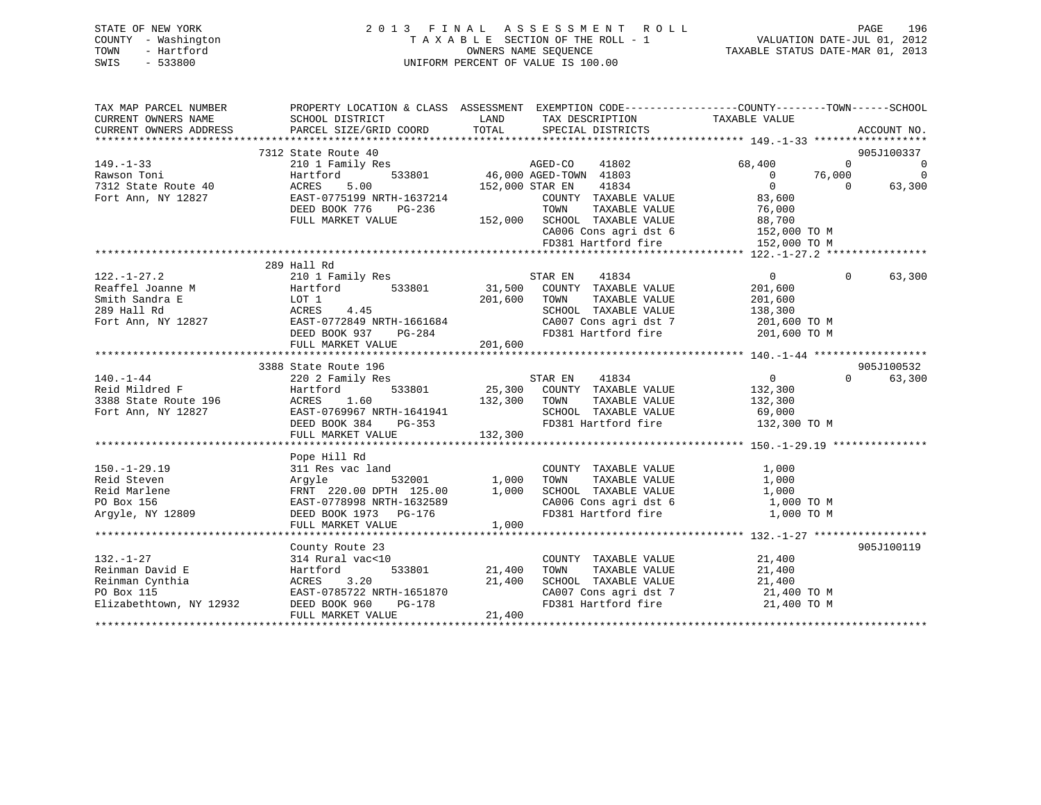# STATE OF NEW YORK 2 0 1 3 F I N A L A S S E S S M E N T R O L L PAGE 196 COUNTY - Washington T A X A B L E SECTION OF THE ROLL - 1 VALUATION DATE-JUL 01, 2012 TOWN - Hartford **TAXABLE STATUS DATE-MAR 01, 2013** OWNERS NAME SEQUENCE TAXABLE STATUS DATE-MAR 01, 2013 SWIS - 533800 UNIFORM PERCENT OF VALUE IS 100.00

| TAX MAP PARCEL NUMBER<br>CURRENT OWNERS NAME<br>CURRENT OWNERS ADDRESS | PROPERTY LOCATION & CLASS ASSESSMENT EXEMPTION CODE---------------COUNTY-------TOWN------SCHOOL<br>SCHOOL DISTRICT<br>PARCEL SIZE/GRID COORD | LAND<br>TOTAL   | TAX DESCRIPTION TAXABLE VALUE<br>SPECIAL DISTRICTS                                                    |                |          | ACCOUNT NO.    |
|------------------------------------------------------------------------|----------------------------------------------------------------------------------------------------------------------------------------------|-----------------|-------------------------------------------------------------------------------------------------------|----------------|----------|----------------|
|                                                                        |                                                                                                                                              |                 |                                                                                                       |                |          |                |
|                                                                        | 7312 State Route 40                                                                                                                          |                 |                                                                                                       |                |          | 905J100337     |
| 149.-1-33<br>Rawson Toni                                               | 210 1 Family Res                                                                                                                             |                 | 3<br>533801 46,000 AGED-TOWN 41803                                                                    | 68,400         | $\Omega$ | $\overline{0}$ |
|                                                                        | Hartford                                                                                                                                     |                 |                                                                                                       | $\overline{0}$ | 76,000   | $\overline{0}$ |
| 7312 State Route 40                                                    | 5.00<br>ACRES                                                                                                                                | 152,000 STAR EN | 41834                                                                                                 | $\overline{0}$ | $\Omega$ | 63,300         |
| Fort Ann, NY 12827                                                     | EAST-0775199 NRTH-1637214                                                                                                                    |                 | COUNTY TAXABLE VALUE                                                                                  | 83,600         |          |                |
|                                                                        | DEED BOOK 776<br>PG-236                                                                                                                      |                 | TAXABLE VALUE<br>TOWN                                                                                 | 76,000         |          |                |
|                                                                        | FULL MARKET VALUE                                                                                                                            |                 | 152,000 SCHOOL TAXABLE VALUE                                                                          |                |          |                |
|                                                                        |                                                                                                                                              |                 |                                                                                                       |                |          |                |
|                                                                        |                                                                                                                                              |                 | SCHOOL TAXABLE VALUE 88,700<br>CA006 Cons agri dst 6 152,000 TO M<br>FD381 Hartford fire 152,000 TO M |                |          |                |
|                                                                        |                                                                                                                                              |                 |                                                                                                       |                |          |                |
|                                                                        | 289 Hall Rd                                                                                                                                  |                 |                                                                                                       |                |          |                |
| $122. - 1 - 27.2$                                                      | 210 1 Family Res                                                                                                                             |                 | STAR EN<br>41834                                                                                      | $\overline{0}$ | $\Omega$ | 63,300         |
| Reaffel Joanne M                                                       | Hartford<br>533801                                                                                                                           |                 | 31,500 COUNTY TAXABLE VALUE                                                                           | 201,600        |          |                |
| Smith Sandra E                                                         | LOT 1                                                                                                                                        | 201,600         | TAXABLE VALUE<br>TOWN                                                                                 | 201,600        |          |                |
| 289 Hall Rd                                                            | ACRES<br>4.45                                                                                                                                |                 | SCHOOL TAXABLE VALUE                                                                                  | 138,300        |          |                |
| Fort Ann, NY 12827                                                     | EAST-0772849 NRTH-1661684                                                                                                                    |                 | CA007 Cons agri dst 7 201,600 TO M                                                                    |                |          |                |
|                                                                        | DEED BOOK 937<br>PG-284                                                                                                                      |                 | FD381 Hartford fire 201,600 TO M                                                                      |                |          |                |
|                                                                        | FULL MARKET VALUE                                                                                                                            | 201,600         |                                                                                                       |                |          |                |
|                                                                        |                                                                                                                                              |                 |                                                                                                       |                |          |                |
|                                                                        | 3388 State Route 196                                                                                                                         |                 |                                                                                                       |                |          | 905J100532     |
| $140. - 1 - 44$                                                        | 220 2 Family Res                                                                                                                             |                 | 41834<br>STAR EN                                                                                      | $\overline{0}$ | $\Omega$ | 63,300         |
| Reid Mildred F                                                         | 533801<br>Hartford                                                                                                                           | 25,300          | COUNTY TAXABLE VALUE                                                                                  | 132,300        |          |                |
|                                                                        | ACRES<br>1.60                                                                                                                                |                 | TAXABLE VALUE                                                                                         |                |          |                |
| 3388 State Route 196                                                   |                                                                                                                                              | 132,300         | TOWN                                                                                                  | 132,300        |          |                |
| Fort Ann, NY 12827                                                     | EAST-0769967 NRTH-1641941                                                                                                                    |                 | SCHOOL TAXABLE VALUE                                                                                  | 69,000         |          |                |
|                                                                        | DEED BOOK 384<br>$PG-353$                                                                                                                    |                 | FD381 Hartford fire                                                                                   | 132,300 TO M   |          |                |
|                                                                        | FULL MARKET VALUE                                                                                                                            | 132,300         |                                                                                                       |                |          |                |
|                                                                        |                                                                                                                                              |                 |                                                                                                       |                |          |                |
|                                                                        | Pope Hill Rd                                                                                                                                 |                 |                                                                                                       |                |          |                |
| $150. - 1 - 29.19$                                                     | 311 Res vac land                                                                                                                             |                 | COUNTY TAXABLE VALUE<br>TAXABLE VALUE<br>TAXABLE VALUE                                                | 1,000          |          |                |
| Reid Steven                                                            | Argyle                                                                                                                                       |                 | TOWN                                                                                                  | 1,000          |          |                |
| Reid Marlene                                                           | FRNT 220.00 DPTH 125.00                                                                                                                      | 1,000           | SCHOOL TAXABLE VALUE                                                                                  | 1,000          |          |                |
| PO Box 156                                                             | EAST-0778998 NRTH-1632589                                                                                                                    |                 | CA006 Cons agri dst 6<br>FD381 Hartford fire                                                          | 1,000 TO M     |          |                |
| Argyle, NY 12809                                                       | DEED BOOK 1973 PG-176                                                                                                                        |                 |                                                                                                       | 1,000 TO M     |          |                |
|                                                                        | FULL MARKET VALUE                                                                                                                            | 1,000           |                                                                                                       |                |          |                |
|                                                                        |                                                                                                                                              |                 |                                                                                                       |                |          |                |
|                                                                        | County Route 23                                                                                                                              |                 |                                                                                                       |                |          | 905J100119     |
| $132. - 1 - 27$                                                        | 314 Rural vac<10                                                                                                                             |                 | COUNTY TAXABLE VALUE                                                                                  | 21,400         |          |                |
| Reinman David E                                                        | 533801<br>Hartford                                                                                                                           | 21,400          | TAXABLE VALUE<br>TOWN                                                                                 | 21,400         |          |                |
| Reinman Cynthia                                                        | ACRES 3.20                                                                                                                                   | 21,400          | SCHOOL TAXABLE VALUE                                                                                  | 21,400         |          |                |
| PO Box 115                                                             | EAST-0785722 NRTH-1651870                                                                                                                    |                 | SCHOOL TAXABLE VALUE 21,400<br>CA007 Cons agri dst 7 21,400 TO M                                      |                |          |                |
| Elizabethtown, NY 12932                                                | DEED BOOK 960<br>PG-178                                                                                                                      |                 | FD381 Hartford fire 21,400 TO M                                                                       |                |          |                |
|                                                                        | FULL MARKET VALUE                                                                                                                            | 21,400          |                                                                                                       |                |          |                |
|                                                                        |                                                                                                                                              |                 |                                                                                                       |                |          |                |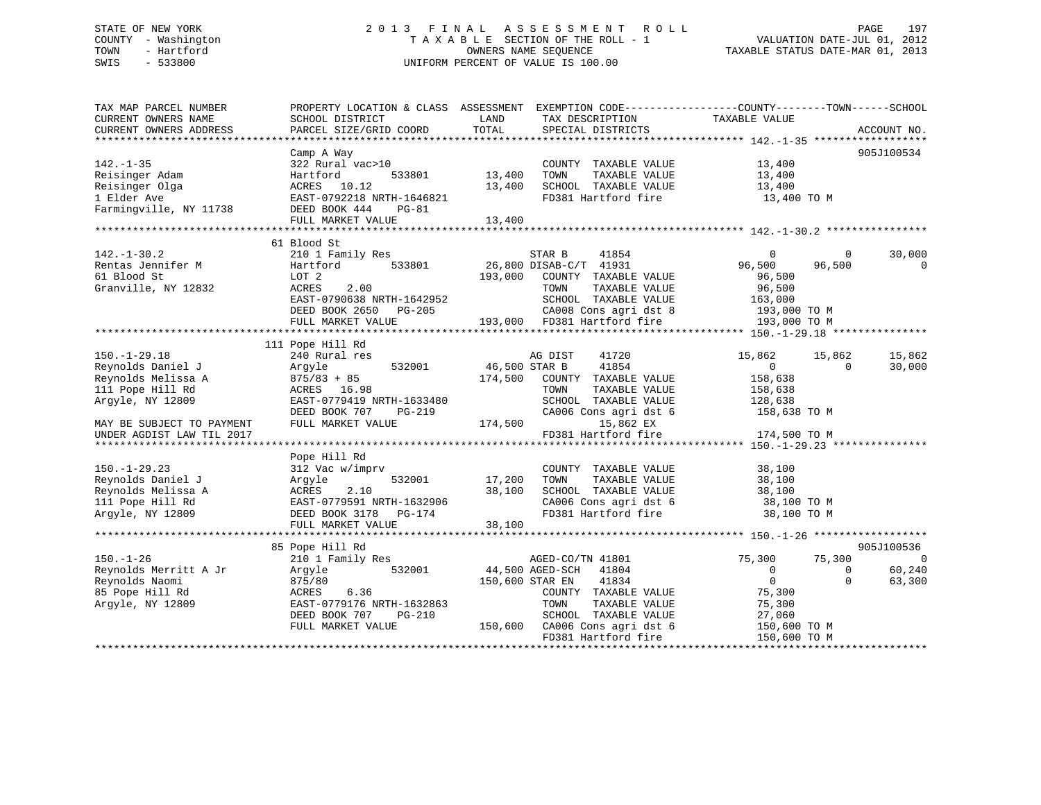# STATE OF NEW YORK 2 0 1 3 F I N A L A S S E S S M E N T R O L L PAGE 197 COUNTY - Washington T A X A B L E SECTION OF THE ROLL - 1 VALUATION DATE-JUL 01, 2012 TOWN - Hartford **TAXABLE STATUS DATE-MAR 01, 2013** SWIS - 533800 UNIFORM PERCENT OF VALUE IS 100.00

| TAX MAP PARCEL NUMBER<br>CURRENT OWNERS NAME<br>CURRENT OWNERS ADDRESS                                                                                          | PROPERTY LOCATION & CLASS ASSESSMENT<br>SCHOOL DISTRICT<br>PARCEL SIZE/GRID COORD                                                                                                 | LAND<br>TOTAL                       | TAX DESCRIPTION<br>SPECIAL DISTRICTS                                                                                                                                                                      | EXEMPTION CODE-----------------COUNTY-------TOWN------SCHOOL<br>TAXABLE VALUE                                                                         | ACCOUNT NO.                         |
|-----------------------------------------------------------------------------------------------------------------------------------------------------------------|-----------------------------------------------------------------------------------------------------------------------------------------------------------------------------------|-------------------------------------|-----------------------------------------------------------------------------------------------------------------------------------------------------------------------------------------------------------|-------------------------------------------------------------------------------------------------------------------------------------------------------|-------------------------------------|
| $142. - 1 - 35$<br>Reisinger Adam<br>Reisinger Olga<br>1 Elder Ave<br>Farmingville, NY 11738<br>*********************                                           | Camp A Way<br>322 Rural vac>10<br>Hartford<br>533801<br>ACRES 10.12<br>EAST-0792218 NRTH-1646821<br>DEED BOOK 444<br><b>PG-81</b><br>FULL MARKET VALUE                            | 13,400<br>13,400<br>13,400          | COUNTY TAXABLE VALUE<br>TOWN<br>TAXABLE VALUE<br>SCHOOL TAXABLE VALUE<br>FD381 Hartford fire                                                                                                              | 13,400<br>13,400<br>13,400<br>13,400 TO M                                                                                                             | 905J100534                          |
| $142. - 1 - 30.2$<br>Rentas Jennifer M<br>61 Blood St<br>Granville, NY 12832                                                                                    | 61 Blood St<br>210 1 Family Res<br>533801<br>Hartford<br>LOT 2<br>2.00<br>ACRES<br>EAST-0790638 NRTH-1642952<br>DEED BOOK 2650<br>PG-205<br>FULL MARKET VALUE                     | 193,000                             | STAR B<br>41854<br>26,800 DISAB-C/T 41931<br>COUNTY TAXABLE VALUE<br>TOWN<br>TAXABLE VALUE<br>SCHOOL TAXABLE VALUE<br>CA008 Cons agri dst 8<br>193,000 FD381 Hartford fire<br>*************************** | $\Omega$<br>$\Omega$<br>96,500<br>96,500<br>96,500<br>96,500<br>163,000<br>193,000 TO M<br>193,000 TO M                                               | 30,000<br>$\Omega$                  |
| $150. - 1 - 29.18$<br>Reynolds Daniel J<br>Reynolds Melissa A<br>111 Pope Hill Rd<br>Argyle, NY 12809<br>MAY BE SUBJECT TO PAYMENT<br>UNDER AGDIST LAW TIL 2017 | 111 Pope Hill Rd<br>240 Rural res<br>532001<br>Argyle<br>$875/83 + 85$<br>ACRES 16.98<br>EAST-0779419 NRTH-1633480<br>DEED BOOK 707<br>$PG-219$<br>FULL MARKET VALUE              | 46,500 STAR B<br>174,500<br>174,500 | AG DIST<br>41720<br>41854<br>COUNTY TAXABLE VALUE<br>TOWN<br>TAXABLE VALUE<br>SCHOOL TAXABLE VALUE<br>CA006 Cons agri dst 6<br>15,862 EX<br>FD381 Hartford fire                                           | ***************** 150.-1-29.18 ***<br>15,862<br>15,862<br>$\overline{0}$<br>$\Omega$<br>158,638<br>158,638<br>128,638<br>158,638 TO M<br>174,500 TO M | 15,862<br>30,000                    |
| $150. - 1 - 29.23$<br>Reynolds Daniel J<br>Reynolds Melissa A<br>111 Pope Hill Rd<br>Argyle, NY 12809                                                           | Pope Hill Rd<br>312 Vac w/imprv<br>532001<br>Argyle<br>2.10<br>ACRES<br>EAST-0779591 NRTH-1632906<br>DEED BOOK 3178<br>PG-174<br>FULL MARKET VALUE<br>*************************** | 17,200<br>38,100<br>38,100          | COUNTY TAXABLE VALUE<br>TOWN<br>TAXABLE VALUE<br>SCHOOL TAXABLE VALUE<br>CA006 Cons agri dst 6<br>FD381 Hartford fire                                                                                     | 38,100<br>38,100<br>38,100<br>38,100 TO M<br>38,100 TO M                                                                                              |                                     |
| $150. - 1 - 26$<br>Reynolds Merritt A Jr<br>Reynolds Naomi<br>85 Pope Hill Rd<br>Arqyle, NY 12809                                                               | 85 Pope Hill Rd<br>210 1 Family Res<br>532001<br>Argyle<br>875/80<br>6.36<br>ACRES<br>EAST-0779176 NRTH-1632863<br>DEED BOOK 707<br>PG-210<br>FULL MARKET VALUE                   | 150,600                             | AGED-CO/TN 41801<br>44,500 AGED-SCH<br>41804<br>150,600 STAR EN<br>41834<br>COUNTY TAXABLE VALUE<br>TOWN<br>TAXABLE VALUE<br>SCHOOL TAXABLE VALUE<br>CA006 Cons agri dst 6<br>FD381 Hartford fire         | 75,300<br>75,300<br>$\Omega$<br>0<br>$\mathbf 0$<br>$\Omega$<br>75,300<br>75,300<br>27,060<br>150,600 TO M<br>150,600 TO M                            | 905J100536<br>0<br>60,240<br>63,300 |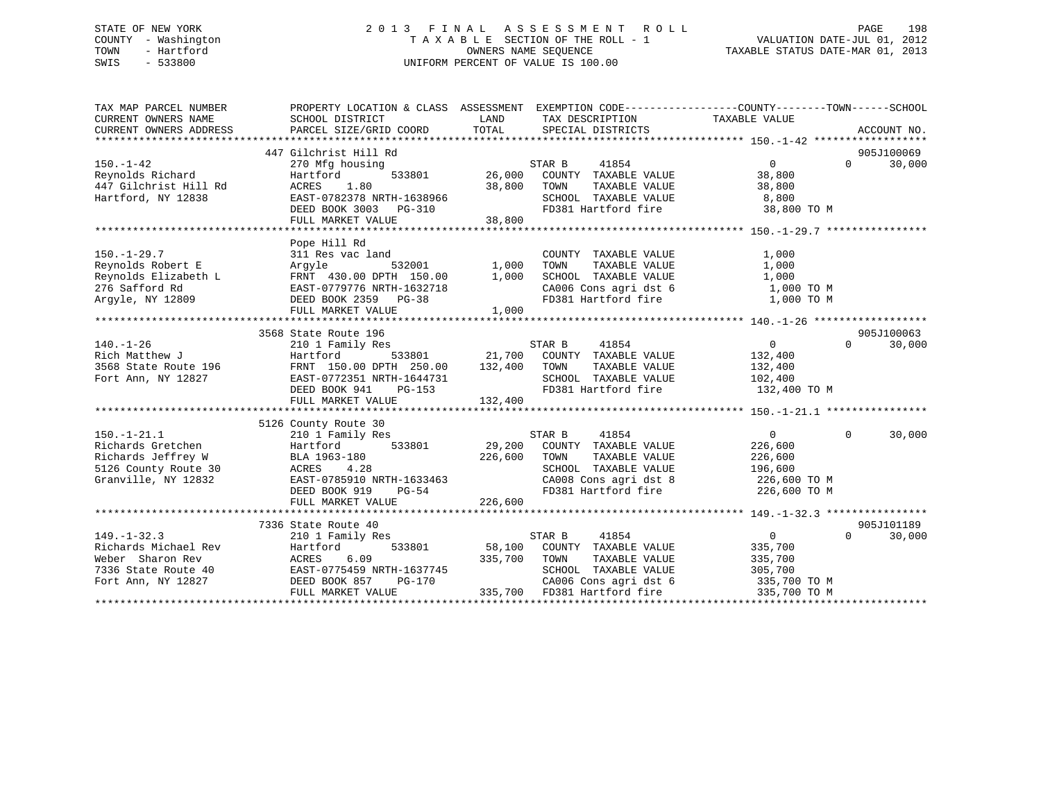# STATE OF NEW YORK 2 0 1 3 F I N A L A S S E S S M E N T R O L L PAGE 198 COUNTY - Washington T A X A B L E SECTION OF THE ROLL - 1 VALUATION DATE-JUL 01, 2012 TOWN - Hartford **TAXABLE STATUS DATE-MAR 01, 2013** SWIS - 533800 UNIFORM PERCENT OF VALUE IS 100.00

| TAX MAP PARCEL NUMBER<br>CURRENT OWNERS NAME                                                                                                                                                                                                                                                                                          | PROPERTY LOCATION & CLASS ASSESSMENT EXEMPTION CODE---------------COUNTY-------TOWN-----SCHOOL<br>SCHOOL DISTRICT | LAND              | TAX DESCRIPTION                                                                                                                           | TAXABLE VALUE  |          |             |
|---------------------------------------------------------------------------------------------------------------------------------------------------------------------------------------------------------------------------------------------------------------------------------------------------------------------------------------|-------------------------------------------------------------------------------------------------------------------|-------------------|-------------------------------------------------------------------------------------------------------------------------------------------|----------------|----------|-------------|
| CURRENT OWNERS ADDRESS                                                                                                                                                                                                                                                                                                                | PARCEL SIZE/GRID COORD                                                                                            |                   | TOTAL SPECIAL DISTRICTS                                                                                                                   |                |          | ACCOUNT NO. |
|                                                                                                                                                                                                                                                                                                                                       | 447 Gilchrist Hill Rd                                                                                             |                   |                                                                                                                                           |                |          | 905J100069  |
| $150. - 1 - 42$                                                                                                                                                                                                                                                                                                                       | 270 Mfg housing                                                                                                   |                   | STAR B<br>41854                                                                                                                           | $\overline{0}$ | $\Omega$ | 30,000      |
| Reynolds Richard<br>"" Gilchrist Hill Rd                                                                                                                                                                                                                                                                                              | Hartford                                                                                                          |                   | $533801 \qquad 26,000 \qquad \text{COUNTY} \quad \text{TAXABLE VALUE} \\ 80 \qquad 38,800 \qquad \text{TOWN} \qquad \text{TAXABLE VALUE}$ | 38,800         |          |             |
|                                                                                                                                                                                                                                                                                                                                       |                                                                                                                   | 38,800 TOWN       |                                                                                                                                           | 38,800         |          |             |
| Hartford, NY 12838                                                                                                                                                                                                                                                                                                                    |                                                                                                                   |                   | SCHOOL TAXABLE VALUE 8,800                                                                                                                |                |          |             |
|                                                                                                                                                                                                                                                                                                                                       |                                                                                                                   |                   | FD381 Hartford fire                                                                                                                       | 38,800 TO M    |          |             |
|                                                                                                                                                                                                                                                                                                                                       | Hartiora<br>ACRES 1.80<br>EAST-0782378 NRTH-1638966<br>PEED BOOK 3003 PG-310<br>38,800<br>139,800                 |                   |                                                                                                                                           |                |          |             |
|                                                                                                                                                                                                                                                                                                                                       |                                                                                                                   |                   |                                                                                                                                           |                |          |             |
|                                                                                                                                                                                                                                                                                                                                       | Pope Hill Rd<br>311 Res vac land                                                                                  |                   | COUNTY TAXABLE VALUE                                                                                                                      | 1,000          |          |             |
|                                                                                                                                                                                                                                                                                                                                       |                                                                                                                   | 532001 1,000 TOWN | TAXABLE VALUE                                                                                                                             | 1,000          |          |             |
|                                                                                                                                                                                                                                                                                                                                       |                                                                                                                   |                   |                                                                                                                                           |                |          |             |
|                                                                                                                                                                                                                                                                                                                                       |                                                                                                                   |                   |                                                                                                                                           |                |          |             |
|                                                                                                                                                                                                                                                                                                                                       |                                                                                                                   |                   | SCHOOL TAXABLE VALUE $1,000$<br>CA006 Cons agri dst 6 $1,000$ TO M<br>FD381 Hartford fire $1,000$ TO M                                    |                |          |             |
|                                                                                                                                                                                                                                                                                                                                       | FULL MARKET VALUE                                                                                                 | 1,000             |                                                                                                                                           |                |          |             |
|                                                                                                                                                                                                                                                                                                                                       |                                                                                                                   |                   |                                                                                                                                           |                |          |             |
|                                                                                                                                                                                                                                                                                                                                       | 3568 State Route 196                                                                                              |                   |                                                                                                                                           |                |          | 905J100063  |
| $\begin{tabular}{l l l l} 140.-1-26 & 2101 Family Res & 517AK B \\ \text{Rich Matthew J & 196 & 7000} & 533801 & 21,700 & 200NT \\ 3568 State Route 196 & 3587 & 533801 & 21,700 & 200NT \\ 3568 State Route 196 & 3587-0772351 NRTH-1644731 & 250.00 & 132,400 & 70WN \\ 3568 State Route 196 & 3587-0772351 NRTH-1644731 & 2000 & $ |                                                                                                                   |                   | s<br>533801 21,700 COUNTY TAXABLE VALUE 132,400                                                                                           | $\overline{0}$ | $\Omega$ | 30,000      |
|                                                                                                                                                                                                                                                                                                                                       |                                                                                                                   |                   |                                                                                                                                           |                |          |             |
|                                                                                                                                                                                                                                                                                                                                       |                                                                                                                   |                   | TAXABLE VALUE 132,400                                                                                                                     |                |          |             |
|                                                                                                                                                                                                                                                                                                                                       | EAST-0772351 NRTH-1644731<br>DEED BOOK 941 PG-153                                                                 |                   |                                                                                                                                           |                |          |             |
|                                                                                                                                                                                                                                                                                                                                       | FULL MARKET VALUE                                                                                                 | 132,400           |                                                                                                                                           |                |          |             |
|                                                                                                                                                                                                                                                                                                                                       |                                                                                                                   |                   |                                                                                                                                           |                |          |             |
|                                                                                                                                                                                                                                                                                                                                       | 5126 County Route 30                                                                                              |                   |                                                                                                                                           |                |          |             |
| $150. - 1 - 21.1$                                                                                                                                                                                                                                                                                                                     | 210 1 Family Res                                                                                                  |                   | STAR B<br>41854                                                                                                                           | $\Omega$       | $\Omega$ | 30,000      |
| Richards Gretchen                                                                                                                                                                                                                                                                                                                     | Hartford                                                                                                          |                   | 533801 29,200 COUNTY TAXABLE VALUE                                                                                                        | 226,600        |          |             |
| Richards Gretchen Hartfo<br>Richards Jeffrey W BLA 19<br>5126 County Route 30 ACRES                                                                                                                                                                                                                                                   | BLA 1963-180                                                                                                      | 226,600 TOWN      | TAXABLE VALUE                                                                                                                             | 226,600        |          |             |
|                                                                                                                                                                                                                                                                                                                                       |                                                                                                                   |                   | SCHOOL TAXABLE VALUE                                                                                                                      | 196,600        |          |             |
| Granville, NY 12832                                                                                                                                                                                                                                                                                                                   |                                                                                                                   |                   | CA008 Cons agri dst 8 226,600 TO M<br>FD381 Hartford fire 226,600 TO M                                                                    |                |          |             |
|                                                                                                                                                                                                                                                                                                                                       | ----- - --20<br>EAST-0785910 NRTH-1633463<br>DEED BOOK 919 PG-54<br>FIILL MARKET WII---                           |                   |                                                                                                                                           |                |          |             |
|                                                                                                                                                                                                                                                                                                                                       | FULL MARKET VALUE                                                                                                 | 226,600           |                                                                                                                                           |                |          |             |
|                                                                                                                                                                                                                                                                                                                                       | 7336 State Route 40                                                                                               |                   |                                                                                                                                           |                |          | 905J101189  |
| $149. - 1 - 32.3$                                                                                                                                                                                                                                                                                                                     | 210 1 Family Res                                                                                                  |                   | 41854<br>STAR B                                                                                                                           | $\overline{0}$ | $\Omega$ | 30,000      |
|                                                                                                                                                                                                                                                                                                                                       |                                                                                                                   |                   |                                                                                                                                           |                |          |             |
| Pichards Michael Rev<br>Richards Michael Rev<br>Weber Sharon Rev<br>7336 State Route 40<br>Fort Ann, NY 12827<br>Fort Ann, NY 12827<br>PEED BOOK 857 PG-170<br>PEED BOOK 857 PG-170<br>PEED BOOK 857 PG-170<br>235,700 FD381 Ha                                                                                                       |                                                                                                                   |                   | 58,100 COUNTY TAXABLE VALUE 335,700<br>335,700 TOWN TAXABLE VALUE 335,700                                                                 |                |          |             |
|                                                                                                                                                                                                                                                                                                                                       |                                                                                                                   |                   | SCHOOL TAXABLE VALUE 305,700                                                                                                              |                |          |             |
|                                                                                                                                                                                                                                                                                                                                       |                                                                                                                   |                   |                                                                                                                                           |                |          |             |
|                                                                                                                                                                                                                                                                                                                                       | FULL MARKET VALUE                                                                                                 |                   | 70 CA006 Cons agri dst 6 335,700 TO M<br>335,700 FD381 Hartford fire 335,700 TO M                                                         |                |          |             |
|                                                                                                                                                                                                                                                                                                                                       |                                                                                                                   |                   |                                                                                                                                           |                |          |             |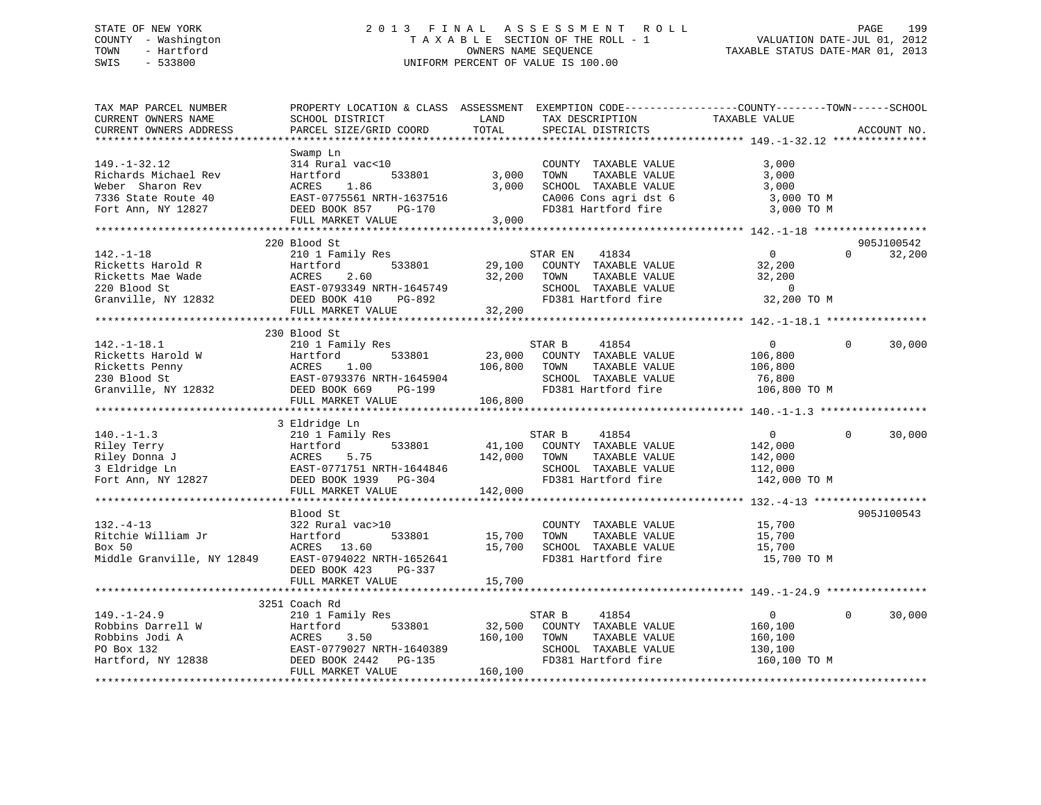# STATE OF NEW YORK 2 0 1 3 F I N A L A S S E S S M E N T R O L L PAGE 199 COUNTY - Washington T A X A B L E SECTION OF THE ROLL - 1 VALUATION DATE-JUL 01, 2012 TOWN - Hartford OWNERS NAME SEQUENCE TAXABLE STATUS DATE-MAR 01, 2013 SWIS - 533800 UNIFORM PERCENT OF VALUE IS 100.00UNIFORM PERCENT OF VALUE IS 100.00

| TAX MAP PARCEL NUMBER<br>CURRENT OWNERS NAME<br>CURRENT OWNERS ADDRESS | PROPERTY LOCATION & CLASS ASSESSMENT EXEMPTION CODE----------------COUNTY-------TOWN------SCHOOL<br>SCHOOL DISTRICT<br>PARCEL SIZE/GRID COORD | LAND<br>TOTAL | TAX DESCRIPTION<br>SPECIAL DISTRICTS | TAXABLE VALUE  | ACCOUNT NO.            |
|------------------------------------------------------------------------|-----------------------------------------------------------------------------------------------------------------------------------------------|---------------|--------------------------------------|----------------|------------------------|
|                                                                        |                                                                                                                                               |               |                                      |                |                        |
|                                                                        | Swamp Ln                                                                                                                                      |               |                                      |                |                        |
| $149. - 1 - 32.12$                                                     | 314 Rural vac<10                                                                                                                              |               | COUNTY TAXABLE VALUE                 | 3,000          |                        |
| Richards Michael Rev                                                   | 533801<br>Hartford                                                                                                                            | 3,000         | TOWN<br>TAXABLE VALUE                | 3,000          |                        |
| Weber Sharon Rev                                                       | ACRES<br>1.86                                                                                                                                 | 3,000         | SCHOOL TAXABLE VALUE                 | 3,000          |                        |
| 7336 State Route 40                                                    | EAST-0775561 NRTH-1637516                                                                                                                     |               | CA006 Cons agri dst 6                | 3,000 TO M     |                        |
| Fort Ann, NY 12827                                                     | DEED BOOK 857<br>PG-170                                                                                                                       |               | FD381 Hartford fire                  | 3,000 TO M     |                        |
|                                                                        | FULL MARKET VALUE                                                                                                                             | 3,000         |                                      |                |                        |
|                                                                        |                                                                                                                                               |               |                                      |                |                        |
|                                                                        | 220 Blood St                                                                                                                                  |               |                                      |                | 905J100542             |
| $142. - 1 - 18$                                                        | 210 1 Family Res                                                                                                                              |               | 41834<br>STAR EN                     | $\overline{0}$ | 32,200<br>$\Omega$     |
| Ricketts Harold R                                                      | Hartford<br>533801                                                                                                                            |               | 29,100 COUNTY TAXABLE VALUE          | 32,200         |                        |
| Ricketts Mae Wade                                                      | ACRES<br>2.60                                                                                                                                 | 32,200        | TOWN<br>TAXABLE VALUE                | 32,200         |                        |
| 220 Blood St                                                           | EAST-0793349 NRTH-1645749                                                                                                                     |               | SCHOOL TAXABLE VALUE                 | $\sim$ 0       |                        |
| Granville, NY 12832                                                    | DEED BOOK 410<br>PG-892                                                                                                                       |               | FD381 Hartford fire                  | 32,200 TO M    |                        |
|                                                                        | FULL MARKET VALUE                                                                                                                             | 32,200        |                                      |                |                        |
|                                                                        |                                                                                                                                               |               |                                      |                |                        |
|                                                                        | 230 Blood St                                                                                                                                  |               |                                      |                |                        |
| $142. - 1 - 18.1$                                                      | 210 1 Family Res                                                                                                                              |               | STAR B<br>41854                      | $\overline{0}$ | 30,000<br>$\Omega$     |
| Ricketts Harold W                                                      | Hartford<br>533801                                                                                                                            |               | 23,000 COUNTY TAXABLE VALUE          | 106,800        |                        |
| Ricketts Penny                                                         | 1.00<br>ACRES                                                                                                                                 | 106,800       | TOWN<br>TAXABLE VALUE                | 106,800        |                        |
| 230 Blood St                                                           | EAST-0793376 NRTH-1645904                                                                                                                     |               | SCHOOL TAXABLE VALUE                 | 76,800         |                        |
| Granville, NY 12832                                                    | DEED BOOK 669<br>PG-199                                                                                                                       |               | FD381 Hartford fire                  | 106,800 TO M   |                        |
|                                                                        | FULL MARKET VALUE                                                                                                                             | 106,800       |                                      |                |                        |
|                                                                        |                                                                                                                                               |               |                                      |                |                        |
|                                                                        | 3 Eldridge Ln                                                                                                                                 |               |                                      |                |                        |
| $140. -1 - 1.3$                                                        | 210 1 Family Res                                                                                                                              |               | STAR B<br>41854                      | $\overline{0}$ | $\Omega$<br>30,000     |
| Riley Terry                                                            | 533801<br>Hartford                                                                                                                            | 41,100        | COUNTY TAXABLE VALUE                 | 142,000        |                        |
| Riley Donna J                                                          | ACRES<br>5.75                                                                                                                                 | 142,000       | TAXABLE VALUE<br>TOWN                | 142,000        |                        |
| 3 Eldridge Ln                                                          | EAST-0771751 NRTH-1644846                                                                                                                     |               | SCHOOL TAXABLE VALUE                 | 112,000        |                        |
| Fort Ann, NY 12827                                                     | DEED BOOK 1939 PG-304                                                                                                                         |               | FD381 Hartford fire                  | 142,000 TO M   |                        |
|                                                                        | FULL MARKET VALUE                                                                                                                             | 142,000       |                                      |                |                        |
|                                                                        |                                                                                                                                               |               |                                      |                |                        |
|                                                                        | Blood St                                                                                                                                      |               |                                      |                | 905J100543             |
| $132. - 4 - 13$                                                        | 322 Rural vac>10                                                                                                                              |               | COUNTY TAXABLE VALUE                 | 15,700         |                        |
| Ritchie William Jr                                                     | 533801<br>Hartford                                                                                                                            | 15,700        | TAXABLE VALUE<br>TOWN                | 15,700         |                        |
| Box 50                                                                 | ACRES 13.60                                                                                                                                   | 15,700        | SCHOOL TAXABLE VALUE                 | 15,700         |                        |
| Middle Granville, NY 12849                                             | EAST-0794022 NRTH-1652641                                                                                                                     |               | FD381 Hartford fire                  | 15,700 TO M    |                        |
|                                                                        | DEED BOOK 423<br>PG-337                                                                                                                       |               |                                      |                |                        |
|                                                                        | FULL MARKET VALUE                                                                                                                             | 15,700        |                                      |                |                        |
|                                                                        |                                                                                                                                               |               |                                      |                |                        |
|                                                                        | 3251 Coach Rd                                                                                                                                 |               |                                      |                |                        |
|                                                                        |                                                                                                                                               |               |                                      |                |                        |
| $149. - 1 - 24.9$                                                      | 210 1 Family Res<br>533801                                                                                                                    |               | STAR B<br>41854                      | $\overline{0}$ | 30,000<br>$\mathbf{0}$ |
| Robbins Darrell W                                                      | Hartford                                                                                                                                      | 32,500        | COUNTY TAXABLE VALUE                 | 160,100        |                        |
| Robbins Jodi A                                                         | ACRES<br>3.50                                                                                                                                 | 160,100       | TOWN<br>TAXABLE VALUE                | 160,100        |                        |
| PO Box 132                                                             | EAST-0779027 NRTH-1640389                                                                                                                     |               | SCHOOL TAXABLE VALUE                 | 130,100        |                        |
| Hartford, NY 12838                                                     | DEED BOOK 2442 PG-135                                                                                                                         |               | FD381 Hartford fire                  | 160,100 TO M   |                        |
|                                                                        | FULL MARKET VALUE                                                                                                                             | 160,100       |                                      |                |                        |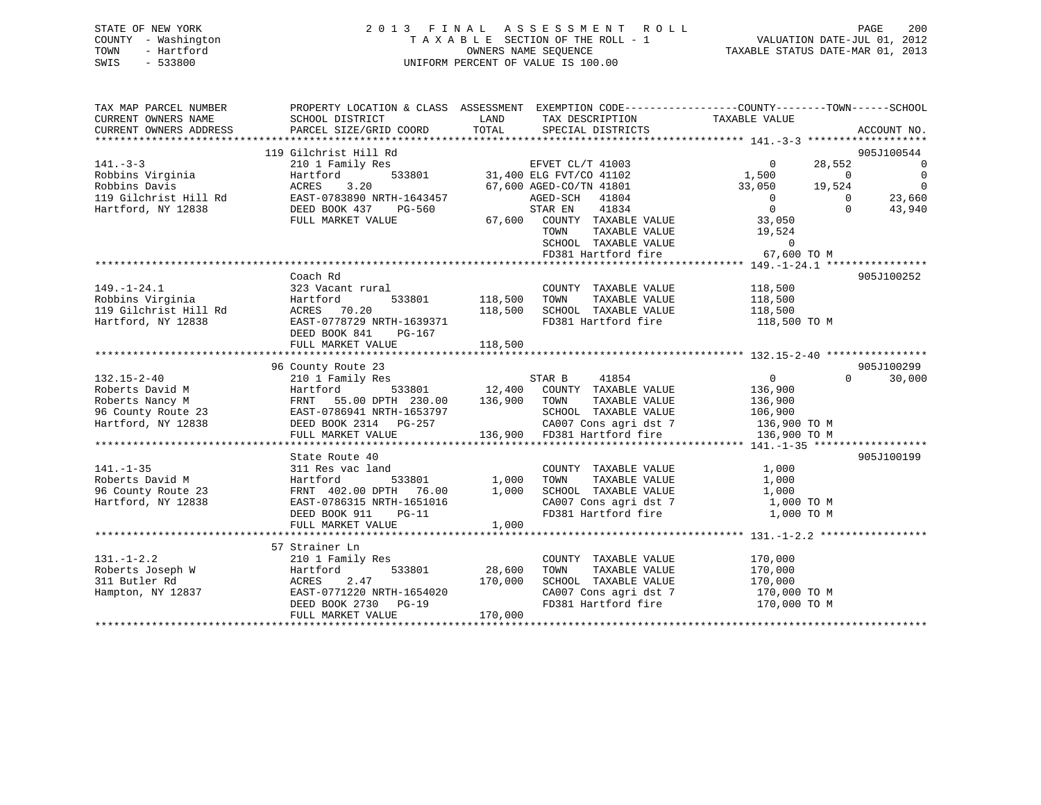| STATE OF NEW YORK   | 2013 FINAL ASSESSMENT ROLL         | PAGE                             | 200 |
|---------------------|------------------------------------|----------------------------------|-----|
| COUNTY - Washington | TAXABLE SECTION OF THE ROLL - 1    | VALUATION DATE-JUL 01, 2012      |     |
| - Hartford<br>TOWN  | OWNERS NAME SEOUENCE               | TAXABLE STATUS DATE-MAR 01, 2013 |     |
| $-533800$<br>SWIS   | UNIFORM PERCENT OF VALUE IS 100.00 |                                  |     |

| TAX MAP PARCEL NUMBER<br>CURRENT OWNERS NAME | SCHOOL DISTRICT                                   | LAND    | TAX DESCRIPTION TAXABLE VALUE                | PROPERTY LOCATION & CLASS ASSESSMENT EXEMPTION CODE----------------COUNTY-------TOWN-----SCHOOL |                |
|----------------------------------------------|---------------------------------------------------|---------|----------------------------------------------|-------------------------------------------------------------------------------------------------|----------------|
| CURRENT OWNERS ADDRESS                       | PARCEL SIZE/GRID COORD                            | TOTAL   | SPECIAL DISTRICTS                            |                                                                                                 | ACCOUNT NO.    |
|                                              | 119 Gilchrist Hill Rd                             |         |                                              |                                                                                                 | 905J100544     |
| $141. - 3 - 3$                               | 210 1 Family Res                                  |         | EFVET CL/T 41003                             | $\Omega$<br>28,552                                                                              | $\overline{0}$ |
| Robbins Virginia                             | Hartford                                          |         | 533801 31,400 ELG FVT/CO 41102               | 1,500<br>$\Omega$                                                                               | $\overline{0}$ |
| Robbins Davis                                | 3.20<br>ACRES                                     |         | 67,600 AGED-CO/TN 41801                      | 33,050<br>19,524                                                                                | $\overline{0}$ |
| 119 Gilchrist Hill Rd                        | EAST-0783890 NRTH-1643457                         |         | AGED-SCH 41804                               | $\overline{0}$<br>$\Omega$                                                                      | 23,660         |
| Hartford, NY 12838                           | DEED BOOK 437<br>PG-560                           |         | STAR EN<br>41834                             | $\overline{0}$<br>$\Omega$                                                                      | 43,940         |
|                                              | FULL MARKET VALUE                                 |         | 67,600 COUNTY TAXABLE VALUE                  | 33,050                                                                                          |                |
|                                              |                                                   |         | TAXABLE VALUE<br>TOWN                        | 19,524                                                                                          |                |
|                                              |                                                   |         | SCHOOL TAXABLE VALUE                         | $\mathbf{0}$                                                                                    |                |
|                                              |                                                   |         | FD381 Hartford fire                          | 67,600 TO M                                                                                     |                |
|                                              |                                                   |         |                                              |                                                                                                 |                |
|                                              | Coach Rd                                          |         |                                              |                                                                                                 | 905J100252     |
| $149. - 1 - 24.1$                            | 323 Vacant rural                                  |         | COUNTY TAXABLE VALUE                         | 118,500                                                                                         |                |
| Robbins Virginia                             | Hartford<br>533801                                | 118,500 | TOWN<br>TAXABLE VALUE                        | 118,500                                                                                         |                |
| 119 Gilchrist Hill Rd                        | ACRES 70.20                                       | 118,500 | SCHOOL TAXABLE VALUE                         | 118,500                                                                                         |                |
| Hartford, NY 12838                           | EAST-0778729 NRTH-1639371                         |         | FD381 Hartford fire                          | 118,500 TO M                                                                                    |                |
|                                              | DEED BOOK 841<br>PG-167                           |         |                                              |                                                                                                 |                |
|                                              | FULL MARKET VALUE                                 | 118,500 |                                              |                                                                                                 |                |
|                                              |                                                   |         |                                              |                                                                                                 |                |
|                                              | 96 County Route 23                                |         |                                              |                                                                                                 | 905J100299     |
| $132.15 - 2 - 40$                            | 210 1 Family Res                                  |         | STAR B<br>41854                              | $\overline{0}$<br>$\Omega$                                                                      | 30,000         |
| Roberts David M                              | Hartford                                          |         | 533801 12,400 COUNTY TAXABLE VALUE           | 136,900                                                                                         |                |
| Roberts Nancy M                              | 55.00 DPTH 230.00<br>FRNT                         | 136,900 | TOWN<br>TAXABLE VALUE                        | 136,900                                                                                         |                |
| 96 County Route 23                           | EAST-0786941 NRTH-1653797                         |         | SCHOOL TAXABLE VALUE                         | 106,900                                                                                         |                |
| Hartford, NY 12838                           | DEED BOOK 2314 PG-257                             |         | CA007 Cons agri dst 7                        | 136,900 TO M                                                                                    |                |
|                                              | FULL MARKET VALUE                                 |         | 136,900 FD381 Hartford fire                  | 136,900 TO M                                                                                    |                |
|                                              |                                                   |         |                                              |                                                                                                 |                |
|                                              | State Route 40                                    |         |                                              |                                                                                                 | 905J100199     |
| $141. - 1 - 35$                              | 311 Res vac land                                  |         | COUNTY TAXABLE VALUE                         | 1,000                                                                                           |                |
| Roberts David M                              | Hartford<br>533801                                | 1,000   | TAXABLE VALUE<br>TOWN                        | 1,000                                                                                           |                |
| 96 County Route 23                           | FRNT 402.00 DPTH 76.00                            | 1,000   | SCHOOL TAXABLE VALUE                         | 1,000                                                                                           |                |
| Hartford, NY 12838                           | EAST-0786315 NRTH-1651016                         |         | CA007 Cons agri dst 7                        | 1,000 TO M                                                                                      |                |
|                                              | DEED BOOK 911<br>$PG-11$                          |         | FD381 Hartford fire                          | 1,000 TO M                                                                                      |                |
|                                              | FULL MARKET VALUE                                 | 1,000   |                                              |                                                                                                 |                |
|                                              |                                                   |         |                                              |                                                                                                 |                |
|                                              | 57 Strainer Ln                                    |         |                                              |                                                                                                 |                |
| $131. - 1 - 2.2$                             | 210 1 Family Res                                  |         | COUNTY TAXABLE VALUE                         | 170,000                                                                                         |                |
| Roberts Joseph W                             | Hartford<br>533801                                | 28,600  | TOWN<br>TAXABLE VALUE                        | 170,000                                                                                         |                |
| 311 Butler Rd                                | 2.47<br>ACRES                                     | 170,000 | SCHOOL TAXABLE VALUE                         | 170,000                                                                                         |                |
| Hampton, NY 12837                            | EAST-0771220 NRTH-1654020<br>DEED BOOK 2730 PG-19 |         | CA007 Cons agri dst 7<br>FD381 Hartford fire | 170,000 TO M<br>170,000 TO M                                                                    |                |
|                                              |                                                   |         |                                              |                                                                                                 |                |

\*\*\*\*\*\*\*\*\*\*\*\*\*\*\*\*\*\*\*\*\*\*\*\*\*\*\*\*\*\*\*\*\*\*\*\*\*\*\*\*\*\*\*\*\*\*\*\*\*\*\*\*\*\*\*\*\*\*\*\*\*\*\*\*\*\*\*\*\*\*\*\*\*\*\*\*\*\*\*\*\*\*\*\*\*\*\*\*\*\*\*\*\*\*\*\*\*\*\*\*\*\*\*\*\*\*\*\*\*\*\*\*\*\*\*\*\*\*\*\*\*\*\*\*\*\*\*\*\*\*\*\*

DEED BOOK 2730 PG-19<br>FULL MARKET VALUE 170,000

FULL MARKET VALUE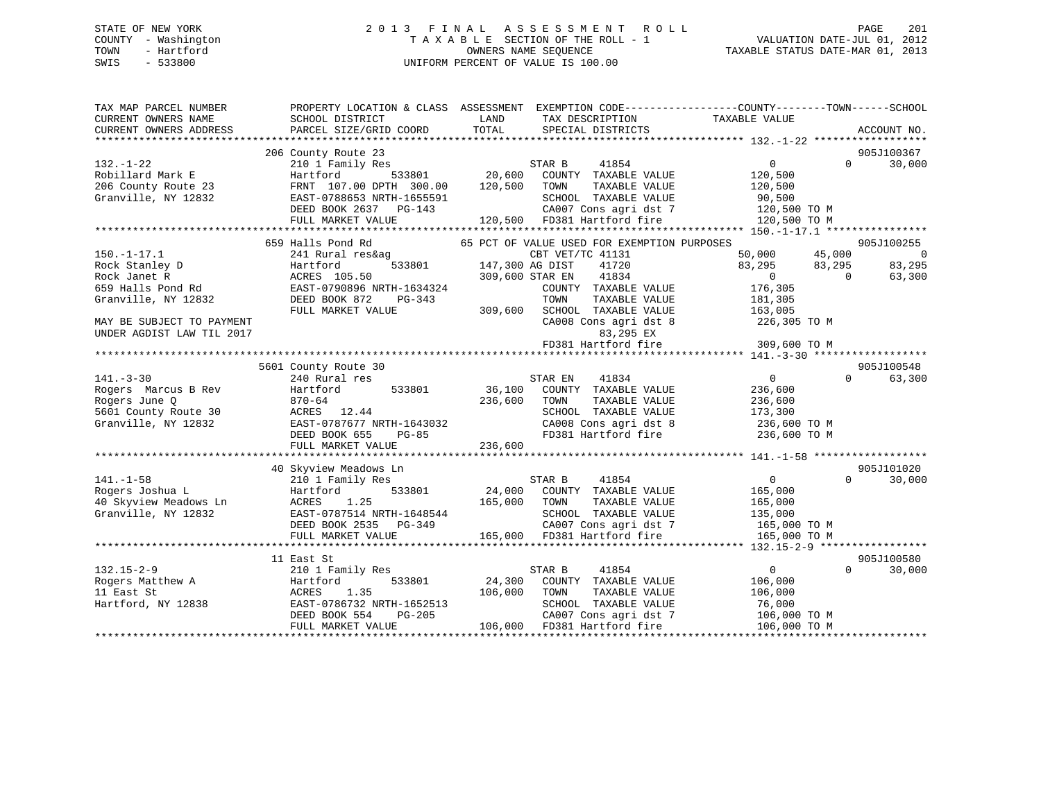# STATE OF NEW YORK 2 0 1 3 F I N A L A S S E S S M E N T R O L L PAGE 201 COUNTY - Washington T A X A B L E SECTION OF THE ROLL - 1 VALUATION DATE-JUL 01, 2012 TOWN - Hartford **TAXABLE STATUS DATE-MAR 01, 2013** SWIS - 533800 UNIFORM PERCENT OF VALUE IS 100.00

| TAX MAP PARCEL NUMBER<br>CURRENT OWNERS NAME | SCHOOL DISTRICT                         | PROPERTY LOCATION & CLASS ASSESSMENT EXEMPTION CODE----------------COUNTY-------TOWN------SCHOOL<br>LAND<br>TAX DESCRIPTION | TAXABLE VALUE                                      |
|----------------------------------------------|-----------------------------------------|-----------------------------------------------------------------------------------------------------------------------------|----------------------------------------------------|
| CURRENT OWNERS ADDRESS                       | PARCEL SIZE/GRID COORD                  | TOTAL<br>SPECIAL DISTRICTS                                                                                                  | ACCOUNT NO.                                        |
|                                              |                                         |                                                                                                                             |                                                    |
| $132. - 1 - 22$                              | 206 County Route 23<br>210 1 Family Res | STAR B<br>41854                                                                                                             | 905J100367<br>$\overline{0}$<br>30,000<br>$\Omega$ |
| Robillard Mark E                             | 533801<br>Hartford                      | 20,600<br>COUNTY TAXABLE VALUE                                                                                              | 120,500                                            |
| 206 County Route 23                          | FRNT 107.00 DPTH 300.00                 | 120,500<br>TOWN<br>TAXABLE VALUE                                                                                            | 120,500                                            |
| Granville, NY 12832                          | EAST-0788653 NRTH-1655591               | SCHOOL TAXABLE VALUE                                                                                                        | 90,500                                             |
|                                              | DEED BOOK 2637 PG-143                   | CA007 Cons agri dst 7                                                                                                       | 120,500 TO M                                       |
|                                              | FULL MARKET VALUE                       | 120,500 FD381 Hartford fire                                                                                                 | 120,500 TO M                                       |
|                                              |                                         |                                                                                                                             |                                                    |
|                                              | 659 Halls Pond Rd                       | 65 PCT OF VALUE USED FOR EXEMPTION PURPOSES                                                                                 | 905J100255                                         |
| $150. - 1 - 17.1$                            | 241 Rural res&ag                        | CBT VET/TC 41131                                                                                                            | 50,000<br>45,000<br>- 0                            |
| Rock Stanley D                               | 533801<br>Hartford                      | 147,300 AG DIST<br>41720                                                                                                    | 83,295<br>83,295<br>83,295                         |
| Rock Janet R                                 | ACRES 105.50                            | 309,600 STAR EN<br>41834                                                                                                    | $\overline{0}$<br>$\bigcirc$<br>63,300             |
| 659 Halls Pond Rd                            | EAST-0790896 NRTH-1634324               | COUNTY TAXABLE VALUE                                                                                                        | 176,305                                            |
| Granville, NY 12832                          | DEED BOOK 872<br>PG-343                 | TOWN<br>TAXABLE VALUE                                                                                                       | 181,305                                            |
|                                              | FULL MARKET VALUE                       | 309,600<br>SCHOOL TAXABLE VALUE                                                                                             | 163,005                                            |
| MAY BE SUBJECT TO PAYMENT                    |                                         | CA008 Cons agri dst 8                                                                                                       | 226,305 TO M                                       |
| UNDER AGDIST LAW TIL 2017                    |                                         | 83,295 EX                                                                                                                   |                                                    |
|                                              |                                         | FD381 Hartford fire                                                                                                         | 309,600 TO M                                       |
|                                              |                                         |                                                                                                                             |                                                    |
|                                              | 5601 County Route 30                    |                                                                                                                             | 905J100548                                         |
| $141. - 3 - 30$                              | 240 Rural res                           | 41834<br>STAR EN                                                                                                            | $\Omega$<br>$\overline{0}$<br>63,300               |
| Rogers Marcus B Rev                          | Hartford<br>533801                      | 36,100<br>COUNTY TAXABLE VALUE                                                                                              | 236,600                                            |
| Rogers June Q                                | $870 - 64$                              | 236,600<br>TOWN<br>TAXABLE VALUE                                                                                            | 236,600                                            |
| 5601 County Route 30                         | ACRES 12.44                             | SCHOOL TAXABLE VALUE                                                                                                        | 173,300                                            |
| Granville, NY 12832                          | EAST-0787677 NRTH-1643032               | CA008 Cons agri dst 8                                                                                                       | 236,600 TO M                                       |
|                                              | DEED BOOK 655<br>$PG-85$                | FD381 Hartford fire                                                                                                         | 236,600 TO M                                       |
|                                              | FULL MARKET VALUE                       | 236,600                                                                                                                     |                                                    |
|                                              |                                         |                                                                                                                             |                                                    |
|                                              | 40 Skyview Meadows Ln                   |                                                                                                                             | 905J101020                                         |
| $141. - 1 - 58$                              | 210 1 Family Res                        | 41854<br>STAR B                                                                                                             | $\overline{0}$<br>$\Omega$<br>30,000               |
| Rogers Joshua L                              | 533801<br>Hartford                      | 24,000<br>COUNTY TAXABLE VALUE                                                                                              | 165,000                                            |
| 40 Skyview Meadows Ln                        | 1.25<br>ACRES                           | 165,000 TOWN<br>TAXABLE VALUE                                                                                               | 165,000                                            |
| Granville, NY 12832                          | EAST-0787514 NRTH-1648544               | SCHOOL TAXABLE VALUE                                                                                                        | 135,000                                            |
|                                              | DEED BOOK 2535 PG-349                   | CA007 Cons agri dst 7                                                                                                       | 165,000 TO M                                       |
|                                              | FULL MARKET VALUE                       | 165,000 FD381 Hartford fire                                                                                                 | 165,000 TO M                                       |
|                                              |                                         |                                                                                                                             |                                                    |
|                                              | 11 East St                              |                                                                                                                             | 905J100580                                         |
| $132.15 - 2 - 9$                             | 210 1 Family Res                        | STAR B<br>41854                                                                                                             | $\Omega$<br>30,000<br>$\overline{0}$               |
| Rogers Matthew A                             | Hartford<br>533801                      | 24,300<br>COUNTY TAXABLE VALUE                                                                                              | 106,000                                            |
| 11 East St                                   | ACRES<br>1.35                           | 106,000<br>TAXABLE VALUE<br>TOWN                                                                                            | 106,000                                            |
| Hartford, NY 12838                           | EAST-0786732 NRTH-1652513               | SCHOOL TAXABLE VALUE                                                                                                        | 76,000                                             |
|                                              | DEED BOOK 554<br>$PG-205$               | CA007 Cons agri dst 7                                                                                                       | 106,000 TO M                                       |
|                                              | FULL MARKET VALUE                       | 106,000 FD381 Hartford fire                                                                                                 | 106,000 TO M                                       |
|                                              |                                         |                                                                                                                             |                                                    |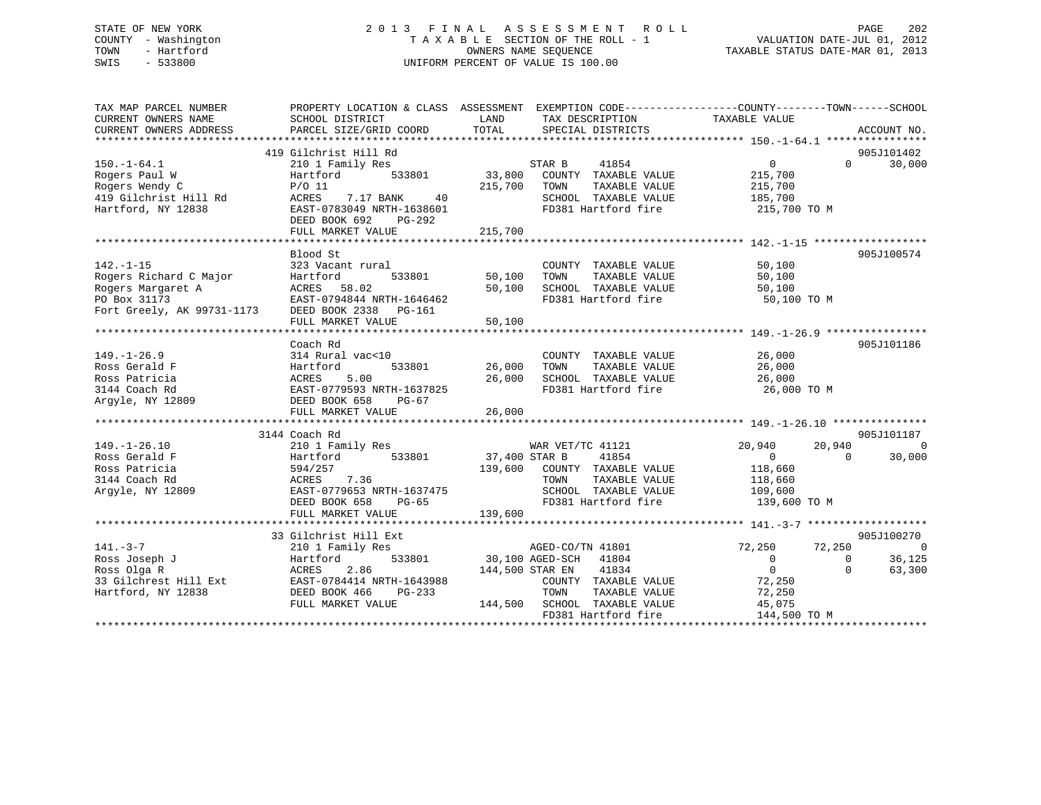# STATE OF NEW YORK 2 0 1 3 F I N A L A S S E S S M E N T R O L L PAGE 202 COUNTY - Washington T A X A B L E SECTION OF THE ROLL - 1 VALUATION DATE-JUL 01, 2012 TOWN - Hartford **TAXABLE STATUS DATE-MAR 01, 2013** OWNERS NAME SEQUENCE TAXABLE STATUS DATE-MAR 01, 2013 SWIS - 533800 UNIFORM PERCENT OF VALUE IS 100.00

| TAX MAP PARCEL NUMBER                                                                                                                                          | PROPERTY LOCATION & CLASS ASSESSMENT EXEMPTION CODE----------------COUNTY-------TOWN------SCHOOL |               |                                                |                        |                          |
|----------------------------------------------------------------------------------------------------------------------------------------------------------------|--------------------------------------------------------------------------------------------------|---------------|------------------------------------------------|------------------------|--------------------------|
| CURRENT OWNERS NAME                                                                                                                                            | SCHOOL DISTRICT                                                                                  | LAND          | TAX DESCRIPTION                                | TAXABLE VALUE          |                          |
| CURRENT OWNERS ADDRESS                                                                                                                                         | PARCEL SIZE/GRID COORD                                                                           | TOTAL         | SPECIAL DISTRICTS                              |                        | ACCOUNT NO.              |
|                                                                                                                                                                |                                                                                                  |               |                                                |                        |                          |
|                                                                                                                                                                | 419 Gilchrist Hill Rd                                                                            |               |                                                |                        | 905J101402               |
| $150. - 1 - 64.1$                                                                                                                                              | 210 1 Family Res                                                                                 |               | STAR B<br>41854                                | $\overline{0}$         | $0 \t30,000$             |
| Rogers Paul W                                                                                                                                                  | 533801<br>Hartford                                                                               |               | 33,800 COUNTY TAXABLE VALUE                    | 215,700                |                          |
| Rogers Wendy C                                                                                                                                                 | $P/O$ 11                                                                                         | 215,700 TOWN  | TAXABLE VALUE                                  |                        |                          |
| Rogers wendy C<br>419 Gilchrist Hill Rd                                                                                                                        | ACRES<br>7.17 BANK<br>40                                                                         |               | SCHOOL TAXABLE VALUE                           | 215,700<br>185,700     |                          |
| Hartford, NY 12838                                                                                                                                             | EAST-0783049 NRTH-1638601                                                                        |               | FD381 Hartford fire 215,700 TO M               |                        |                          |
|                                                                                                                                                                | DEED BOOK 692<br>PG-292                                                                          |               |                                                |                        |                          |
|                                                                                                                                                                | FULL MARKET VALUE                                                                                | 215,700       |                                                |                        |                          |
|                                                                                                                                                                |                                                                                                  |               |                                                |                        |                          |
|                                                                                                                                                                | Blood St                                                                                         |               |                                                |                        | 905J100574               |
| $142. - 1 - 15$                                                                                                                                                | 323 Vacant rural                                                                                 |               | COUNTY TAXABLE VALUE                           | 50,100                 |                          |
| Rogers Richard C Major                                                                                                                                         | 533801 50,100<br>Hartford                                                                        |               | TAXABLE VALUE<br>TOWN                          | 50,100                 |                          |
|                                                                                                                                                                |                                                                                                  | 50,100        | SCHOOL TAXABLE VALUE 50,100                    |                        |                          |
|                                                                                                                                                                | EAST-0794844 NRTH-1646462                                                                        |               | FD381 Hartford fire                            | 50,100 TO M            |                          |
| Rogers Margaret A<br>Rogers Margaret A<br>PO Box 31173<br>Fort Greely, AK 99731-1173<br>DEED BOOK 2338 PG-161                                                  |                                                                                                  |               |                                                |                        |                          |
|                                                                                                                                                                | FULL MARKET VALUE                                                                                | 50,100        |                                                |                        |                          |
|                                                                                                                                                                |                                                                                                  |               |                                                |                        |                          |
|                                                                                                                                                                | Coach Rd                                                                                         |               |                                                |                        | 905J101186               |
| $149. - 1 - 26.9$                                                                                                                                              | 314 Rural vac<10                                                                                 |               | COUNTY TAXABLE VALUE                           | 26,000<br>26,000       |                          |
| Ross Gerald F                                                                                                                                                  | Hartford                                                                                         | 533801 26,000 | TOWN<br>TAXABLE VALUE                          |                        |                          |
|                                                                                                                                                                |                                                                                                  | 26,000        | SCHOOL TAXABLE VALUE 26,000                    |                        |                          |
|                                                                                                                                                                | EAST-0779593 NRTH-1637825                                                                        |               | FD381 Hartford fire                            | 26,000 TO M            |                          |
| Noss extrains<br>Ross Patricia<br>3144 Coach Rd<br>Argyle, NY 12809<br>DEED BOOK 658                                                                           | PG-67                                                                                            |               |                                                |                        |                          |
|                                                                                                                                                                |                                                                                                  |               |                                                |                        |                          |
|                                                                                                                                                                |                                                                                                  |               |                                                |                        |                          |
|                                                                                                                                                                | 3144 Coach Rd                                                                                    |               |                                                |                        | 905J101187               |
| $149. - 1 - 26.10$                                                                                                                                             | 210 1 Family Res                                                                                 |               | WAR VET/TC 41121                               | 20,940                 | 20,940<br>$\overline{0}$ |
| Ross Gerald F                                                                                                                                                  | Hartford 533801 37,400 STAR B                                                                    |               | 41854                                          | $\overline{0}$         | 30,000<br>$\Omega$       |
| Ross Patricia                                                                                                                                                  | 594/257<br>ACRES       7.36                                                                      |               | 139,600 COUNTY TAXABLE VALUE                   | 118,660<br>118,660     |                          |
| 3144 Coach Rd                                                                                                                                                  |                                                                                                  |               | TOWN<br>TAXABLE VALUE                          |                        |                          |
| Argyle, NY 12809 EAST-0779653 NRTH-1637475                                                                                                                     |                                                                                                  |               | SCHOOL TAXABLE VALUE 109,600                   |                        |                          |
|                                                                                                                                                                | DEED BOOK 658<br>PG-65                                                                           |               | FD381 Hartford fire                            | 139,600 TO M           |                          |
|                                                                                                                                                                | FULL MARKET VALUE                                                                                | 139,600       |                                                |                        |                          |
|                                                                                                                                                                |                                                                                                  |               |                                                |                        |                          |
|                                                                                                                                                                | 33 Gilchrist Hill Ext                                                                            |               |                                                |                        | 905J100270               |
| $141 - 3 - 7$                                                                                                                                                  | 210 1 Family Res                                                                                 |               | AGED-CO/TN 41801                               | 72,250                 | 72,250<br>$\overline{0}$ |
| 141.-3-7<br>Ross Joseph J<br>Ross Joseph J<br>Ross Olga R<br>33 Gilchrest Hill Ext<br>Hartford, NY 12838<br>Hartford, NY 12838<br>Ross DEED BOOK 466<br>PG-233 |                                                                                                  |               | 533801 30,100 AGED-SCH 41804                   | $\overline{0}$         | 36,125<br>$\overline{0}$ |
|                                                                                                                                                                |                                                                                                  |               | 144,500 STAR EN 41834                          | $\overline{0}$         | $\Omega$<br>63,300       |
|                                                                                                                                                                |                                                                                                  |               | COUNTY TAXABLE VALUE<br>TOWN     TAXABLE VALUE | 72,250                 |                          |
|                                                                                                                                                                |                                                                                                  |               |                                                | 72,250                 |                          |
|                                                                                                                                                                | FULL MARKET VALUE                                                                                |               | 144,500 SCHOOL TAXABLE VALUE                   | 45,075<br>144,500 TO M |                          |
|                                                                                                                                                                |                                                                                                  |               | FD381 Hartford fire                            |                        |                          |
|                                                                                                                                                                |                                                                                                  |               |                                                |                        |                          |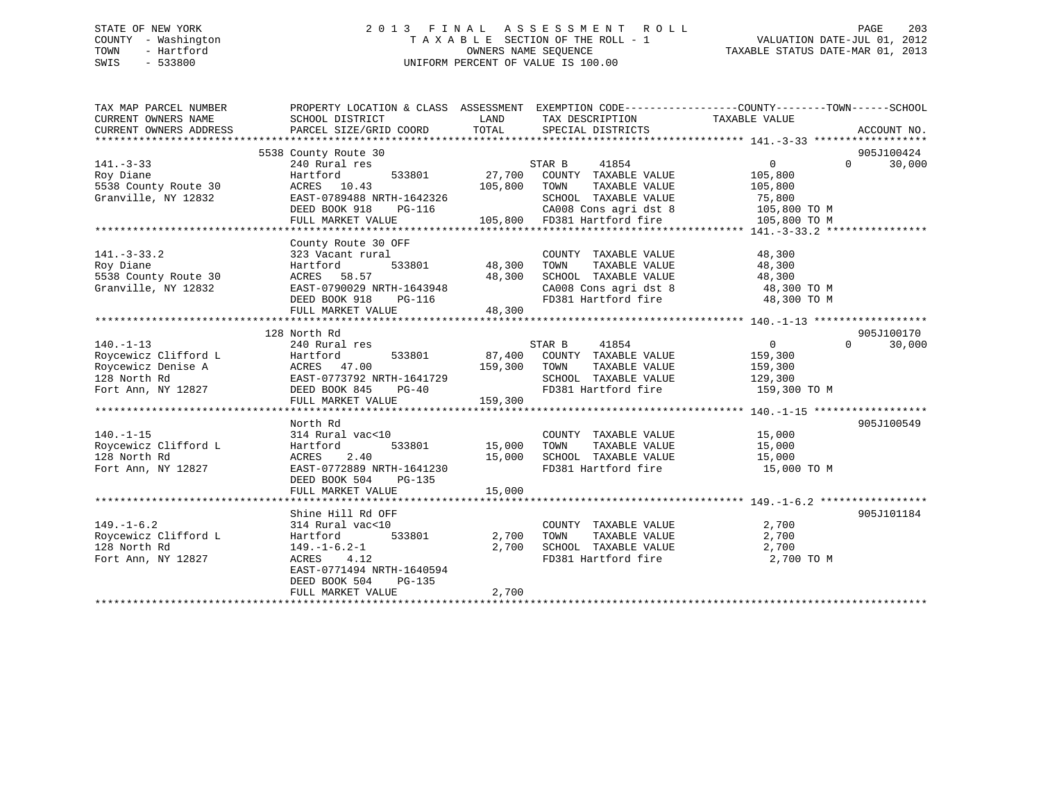# STATE OF NEW YORK 2 0 1 3 F I N A L A S S E S S M E N T R O L L PAGE 203 COUNTY - Washington T A X A B L E SECTION OF THE ROLL - 1 VALUATION DATE-JUL 01, 2012 TOWN - Hartford **TAXABLE STATUS DATE-MAR 01, 2013** SWIS - 533800 UNIFORM PERCENT OF VALUE IS 100.00

| TAX MAP PARCEL NUMBER<br>CURRENT OWNERS NAME<br>CURRENT OWNERS ADDRESS                                                                                                                                 | PROPERTY LOCATION & CLASS ASSESSMENT EXEMPTION CODE----------------COUNTY-------TOWN------SCHOOL<br>SCHOOL DISTRICT<br>PARCEL SIZE/GRID COORD | LAND<br>TOTAL | TAX DESCRIPTION<br>SPECIAL DISTRICTS                                                                                                                              | TAXABLE VALUE       | ACCOUNT NO.        |
|--------------------------------------------------------------------------------------------------------------------------------------------------------------------------------------------------------|-----------------------------------------------------------------------------------------------------------------------------------------------|---------------|-------------------------------------------------------------------------------------------------------------------------------------------------------------------|---------------------|--------------------|
|                                                                                                                                                                                                        | 5538 County Route 30                                                                                                                          |               |                                                                                                                                                                   |                     | 905J100424         |
| $141. - 3 - 33$                                                                                                                                                                                        | 240 Rural res                                                                                                                                 |               | STAR B<br>41854                                                                                                                                                   | $\overline{0}$      | 30,000<br>$\Omega$ |
| Roy Diane                                                                                                                                                                                              | Hartford                                                                                                                                      |               |                                                                                                                                                                   | 105,800             |                    |
| 5538 County Route 30                                                                                                                                                                                   | ACRES 10.43                                                                                                                                   | 105,800       | 533801 27,700 COUNTY TAXABLE VALUE<br>TAXABLE VALUE<br>TOWN                                                                                                       | 105,800             |                    |
| Granville, NY 12832                                                                                                                                                                                    | EAST-0789488 NRTH-1642326                                                                                                                     |               | SCHOOL TAXABLE VALUE                                                                                                                                              | 75,800              |                    |
|                                                                                                                                                                                                        | DEED BOOK 918                                                                                                                                 |               |                                                                                                                                                                   |                     |                    |
|                                                                                                                                                                                                        | FULL MARKET VALUE                                                                                                                             |               | - 2008 Cons agri dst 8<br>PG-116 CA008 Cons agri dst 8<br>E 105,800 FD381 Hartford fire<br>CA008 Cons agri dst 8 105,800 TO M<br>FD381 Hartford fire 105,800 TO M |                     |                    |
|                                                                                                                                                                                                        |                                                                                                                                               |               |                                                                                                                                                                   |                     |                    |
|                                                                                                                                                                                                        | County Route 30 OFF                                                                                                                           |               |                                                                                                                                                                   |                     |                    |
| $141. - 3 - 33.2$                                                                                                                                                                                      | 323 Vacant rural                                                                                                                              |               | COUNTY TAXABLE VALUE                                                                                                                                              | 48,300              |                    |
| Roy Diane                                                                                                                                                                                              | Hartford                                                                                                                                      | 533801 48,300 | TAXABLE VALUE<br>TOWN                                                                                                                                             | 48,300              |                    |
| 5538 County Route 30                                                                                                                                                                                   | ACRES 58.57                                                                                                                                   | 48,300        | SCHOOL TAXABLE VALUE                                                                                                                                              | 48,300              |                    |
| Granville, NY 12832                                                                                                                                                                                    |                                                                                                                                               |               |                                                                                                                                                                   |                     |                    |
|                                                                                                                                                                                                        | EAST-0790029 NRTH-1643948<br>DEED BOOK 918 PG-116                                                                                             |               | CA008 Cons agri dst 8 48,300 TO M<br>FD381 Hartford fire 48,300 TO M                                                                                              |                     |                    |
|                                                                                                                                                                                                        | FULL MARKET VALUE                                                                                                                             | 48,300        |                                                                                                                                                                   |                     |                    |
|                                                                                                                                                                                                        |                                                                                                                                               |               |                                                                                                                                                                   |                     |                    |
|                                                                                                                                                                                                        | 128 North Rd                                                                                                                                  |               |                                                                                                                                                                   |                     | 905J100170         |
| $140. - 1 - 13$                                                                                                                                                                                        | 240 Rural res                                                                                                                                 |               | 41854<br>STAR B                                                                                                                                                   | $\overline{0}$      | 30,000<br>$\Omega$ |
|                                                                                                                                                                                                        |                                                                                                                                               |               |                                                                                                                                                                   | 159,300             |                    |
| Roycewicz Clifford L<br>Roycewicz Denise A<br>128 North Rd<br>Fort Ann, NY 12827<br>Roycewicz Denise A<br>EAST-0773792 NRTH-1641729<br>DEED BOOK 845<br>NGLE DEED BOOK 845<br>NGLE PG-40<br>NGLE PG-40 |                                                                                                                                               | 159,300 TOWN  | 87,400 COUNTY TAXABLE VALUE<br>TAXABLE VALUE                                                                                                                      | 159,300             |                    |
|                                                                                                                                                                                                        |                                                                                                                                               |               |                                                                                                                                                                   |                     |                    |
|                                                                                                                                                                                                        |                                                                                                                                               |               | SCHOOL TAXABLE VALUE 129,300                                                                                                                                      | 159,300 TO M        |                    |
|                                                                                                                                                                                                        | FULL MARKET VALUE                                                                                                                             | 159,300       | FD381 Hartford fire                                                                                                                                               |                     |                    |
|                                                                                                                                                                                                        |                                                                                                                                               |               |                                                                                                                                                                   |                     |                    |
|                                                                                                                                                                                                        | North Rd                                                                                                                                      |               |                                                                                                                                                                   |                     | 905J100549         |
| $140. - 1 - 15$                                                                                                                                                                                        | 314 Rural vac<10                                                                                                                              |               | COUNTY TAXABLE VALUE                                                                                                                                              | 15,000              |                    |
| Roycewicz Clifford L                                                                                                                                                                                   |                                                                                                                                               |               |                                                                                                                                                                   |                     |                    |
|                                                                                                                                                                                                        | Hartford                                                                                                                                      | 533801 15,000 | TOWN<br>TAXABLE VALUE                                                                                                                                             | 15,000              |                    |
| 128 North Rd                                                                                                                                                                                           | 2.40<br>ACRES                                                                                                                                 | 15,000        | SCHOOL TAXABLE VALUE<br>FD381 Hartford fire                                                                                                                       |                     |                    |
| Fort Ann, NY 12827                                                                                                                                                                                     | EAST-0772889 NRTH-1641230                                                                                                                     |               |                                                                                                                                                                   | $15,000$ TO M       |                    |
|                                                                                                                                                                                                        | DEED BOOK 504<br>PG-135                                                                                                                       | 15,000        |                                                                                                                                                                   |                     |                    |
|                                                                                                                                                                                                        | FULL MARKET VALUE                                                                                                                             |               |                                                                                                                                                                   |                     |                    |
|                                                                                                                                                                                                        | Shine Hill Rd OFF                                                                                                                             |               |                                                                                                                                                                   |                     | 905J101184         |
|                                                                                                                                                                                                        |                                                                                                                                               |               |                                                                                                                                                                   | $\frac{2}{2}$ , 700 |                    |
| $149. - 1 - 6.2$                                                                                                                                                                                       | 314 Rural vac<10                                                                                                                              |               | COUNTY TAXABLE VALUE<br>TOWN      TAXABLE VALUE                                                                                                                   |                     |                    |
| Roycewicz Clifford L                                                                                                                                                                                   | 533801<br>Hartford                                                                                                                            | 2,700         |                                                                                                                                                                   | 2,700               |                    |
| 128 North Rd                                                                                                                                                                                           | $149. - 1 - 6.2 - 1$                                                                                                                          | 2,700         | SCHOOL TAXABLE VALUE 2,700                                                                                                                                        |                     |                    |
| Fort Ann, NY 12827                                                                                                                                                                                     | 4.12<br>ACRES                                                                                                                                 |               | FD381 Hartford fire                                                                                                                                               | 2,700 TO M          |                    |
|                                                                                                                                                                                                        | EAST-0771494 NRTH-1640594                                                                                                                     |               |                                                                                                                                                                   |                     |                    |
|                                                                                                                                                                                                        | $PG-135$<br>DEED BOOK 504                                                                                                                     |               |                                                                                                                                                                   |                     |                    |
|                                                                                                                                                                                                        | FULL MARKET VALUE                                                                                                                             | 2,700         |                                                                                                                                                                   |                     |                    |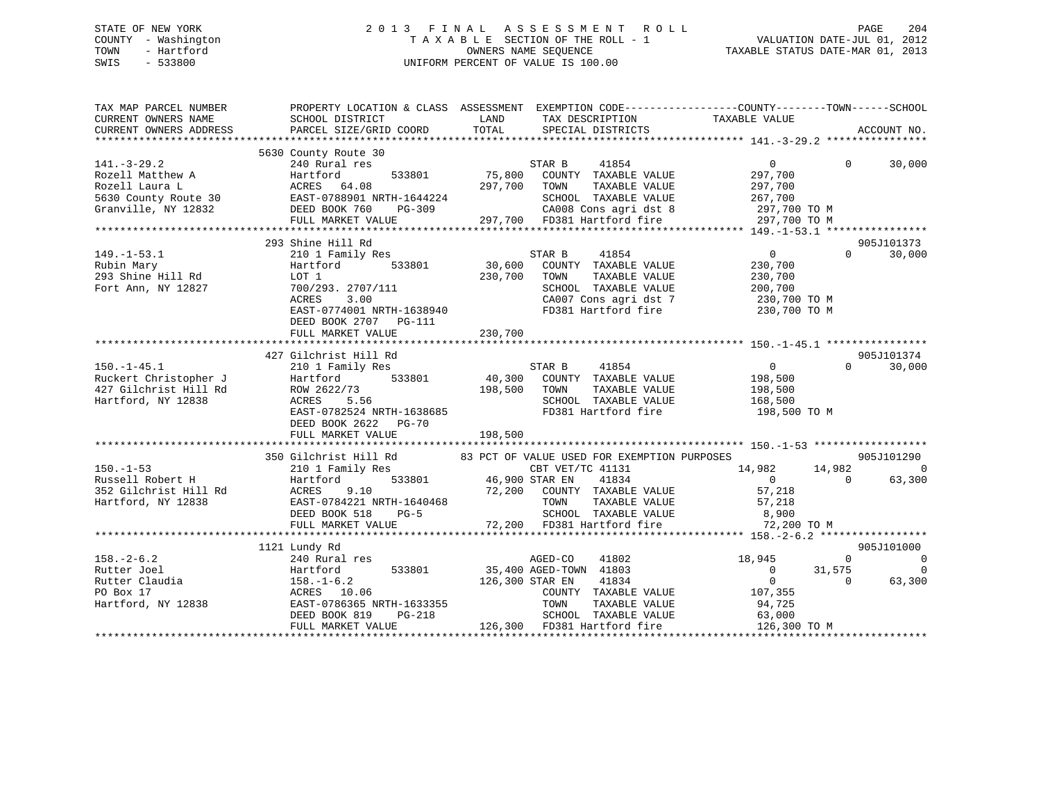# STATE OF NEW YORK 2 0 1 3 F I N A L A S S E S S M E N T R O L L PAGE 204 COUNTY - Washington T A X A B L E SECTION OF THE ROLL - 1 VALUATION DATE-JUL 01, 2012 TOWN - Hartford **TAXABLE STATUS DATE-MAR 01, 2013** SWIS - 533800 UNIFORM PERCENT OF VALUE IS 100.00

| TAX MAP PARCEL NUMBER<br>CURRENT OWNERS NAME                                                                                                                            | SCHOOL DISTRICT                                                                                                                                                                                                               | TAX DESCRIPTION TAXABLE VALUE SPECIAL DISTRICTS<br>LAND                                                                                                                                                                                                                                                                                                                 | PROPERTY LOCATION & CLASS ASSESSMENT EXEMPTION CODE---------------COUNTY-------TOWN-----SCHOOL                                                                                                                                               |
|-------------------------------------------------------------------------------------------------------------------------------------------------------------------------|-------------------------------------------------------------------------------------------------------------------------------------------------------------------------------------------------------------------------------|-------------------------------------------------------------------------------------------------------------------------------------------------------------------------------------------------------------------------------------------------------------------------------------------------------------------------------------------------------------------------|----------------------------------------------------------------------------------------------------------------------------------------------------------------------------------------------------------------------------------------------|
| CURRENT OWNERS ADDRESS                                                                                                                                                  | PARCEL SIZE/GRID COORD                                                                                                                                                                                                        | TOTAL                                                                                                                                                                                                                                                                                                                                                                   | ACCOUNT NO.                                                                                                                                                                                                                                  |
|                                                                                                                                                                         | 5630 County Route 30                                                                                                                                                                                                          |                                                                                                                                                                                                                                                                                                                                                                         |                                                                                                                                                                                                                                              |
| $141.-3-29.2$<br>Rozell Matthew A                                                                                                                                       | 240 Rural res<br>533801<br>Hartford                                                                                                                                                                                           | STAR B<br>41854<br>75,800 COUNTY TAXABLE VALUE                                                                                                                                                                                                                                                                                                                          | $\overline{0}$<br>$\Omega$<br>30,000<br>297,700                                                                                                                                                                                              |
|                                                                                                                                                                         |                                                                                                                                                                                                                               | Rozell Matthew A CRES 64.08<br>Rozell Laura L (2011,100 TO M 2511,100 COMP 2011,100 CAO 2012)<br>SCHOOL TAXABLE VALUE 2011,100 TO M 26100 COMP 2011,100 TO M 297,700 TO M 297,700 TO M 297,700 TO M 297,700 TO M 297,700 TO M 297,                                                                                                                                      |                                                                                                                                                                                                                                              |
|                                                                                                                                                                         |                                                                                                                                                                                                                               |                                                                                                                                                                                                                                                                                                                                                                         |                                                                                                                                                                                                                                              |
|                                                                                                                                                                         |                                                                                                                                                                                                                               |                                                                                                                                                                                                                                                                                                                                                                         |                                                                                                                                                                                                                                              |
| $149. - 1 - 53.1$<br>Rubin Mary<br>293 Shine Hill Rd<br>Fort Ann, NY 12827<br>$150. - 1 - 45.1$<br>Ruckert Christopher J<br>427 Gilchrist Hill Rd<br>Hartford, NY 12838 | 210 1 Family Res<br>Hartford<br>LOT 1<br>700/293. 2707/111<br>ACRES<br>3.00<br>EAST-0774001 NRTH-1638940<br>DEED BOOK 2707 PG-111<br>FULL MARKET VALUE<br>427 Gilchrist Hill Rd<br>210 1 Family Res<br>Hartford<br>ACRES 5.56 | STAR B<br>41854<br>533801 30,600 COUNTY TAXABLE VALUE<br>230,700<br>TOWN<br>TAXABLE VALUE<br>SCHOOL TAXABLE VALUE<br>CA007 Cons agri dst 7<br>230,700<br>STAR B<br>41854<br>533801 40,300 COUNTY TAXABLE VALUE<br>198,500 TOWN<br>SCHOOL TAXABLE VALUE                                                                                                                  | 905J101373<br>$\overline{0}$<br>$\Omega$<br>30,000<br>230,700<br>230,700<br>200,700<br>230,700 TO M<br>FD381 Hartford fire 230,700 TO M<br>905J101374<br>$\overline{0}$<br>$\Omega$<br>30,000<br>198,500<br>TAXABLE VALUE 198,500<br>168,500 |
|                                                                                                                                                                         | EAST-0782524 NRTH-1638685<br>DEED BOOK 2622 PG-70<br>FULL MARKET VALUE                                                                                                                                                        | 198,500                                                                                                                                                                                                                                                                                                                                                                 | FD381 Hartford fire 198,500 TO M                                                                                                                                                                                                             |
|                                                                                                                                                                         |                                                                                                                                                                                                                               |                                                                                                                                                                                                                                                                                                                                                                         |                                                                                                                                                                                                                                              |
| $150. - 1 - 53$<br>Russell Robert H<br>352 Gilchrist Hill Rd<br>Hartford, NY 12838                                                                                      | 210 1 Family Res<br>Hartford                                                                                                                                                                                                  | 350 Gilchrist Hill Rd 83 PCT OF VALUE USED FOR EXEMPTION PURPOSES<br>CBT VET/TC 41131<br>533801 46,900 STAR EN<br>41834<br>ACRES 9.10 72,200 COUNTY TAXABLE VALUE<br>EAST-0784221 NRTH-1640468 TOWN TAXABLE VALUE<br>DEED BOOK 518 PG-5 SCHOOL TAXABLE VALUE<br>FULL MARKET VALUE 72,200 FD381 Hartford fire<br>TOWN TAXABLE VALUE 57,218<br>SCHOOL TAXABLE VALUE 8,900 | 905J101290<br>14,982<br>14,982<br>$\Omega$<br>$\overline{0}$<br>63,300<br>$\overline{0}$<br>57,218                                                                                                                                           |
|                                                                                                                                                                         |                                                                                                                                                                                                                               |                                                                                                                                                                                                                                                                                                                                                                         | 72,200 TO M                                                                                                                                                                                                                                  |
|                                                                                                                                                                         | 1121 Lundy Rd                                                                                                                                                                                                                 |                                                                                                                                                                                                                                                                                                                                                                         | 905J101000                                                                                                                                                                                                                                   |
| $158. - 2 - 6.2$<br>Rutter Joel<br>Rutter Claudia<br>PO Box 17<br>Hartford, NY 12838                                                                                    | 240 Rural res<br>Hartford<br>158.-1-6.2<br>ACRES 10.<br>EAST-078636<br>----- 2008.1<br>ACRES 10.06<br>EAST-0786365 NRTH-1633355                                                                                               | 41802<br>AGED-CO<br>533801 35,400 AGED-TOWN 41803<br>126,300 STAR EN<br>41834<br>COUNTY TAXABLE VALUE 107,355<br>TOWN<br>TAXABLE VALUE                                                                                                                                                                                                                                  | 18,945<br>$\overline{0}$<br>$\Omega$<br>31,575<br>$\Omega$<br>$\overline{0}$<br>$\overline{0}$<br>$\bigcirc$<br>63,300<br>94,725                                                                                                             |
|                                                                                                                                                                         | DEED BOOK 819<br>FULL MARKET VALUE                                                                                                                                                                                            | SCHOOL TAXABLE VALUE 63,000<br>$PG-218$<br>126,300 FD381 Hartford fire                                                                                                                                                                                                                                                                                                  | 126,300 TO M                                                                                                                                                                                                                                 |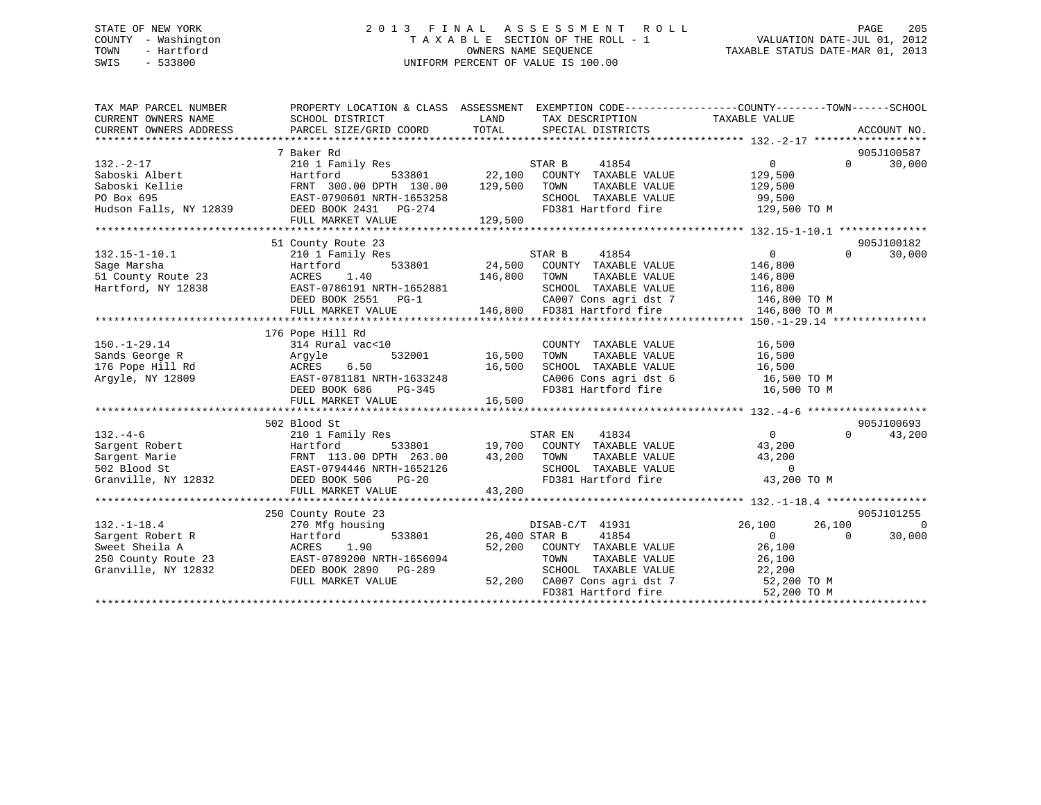# STATE OF NEW YORK 2 0 1 3 F I N A L A S S E S S M E N T R O L L PAGE 205 COUNTY - Washington T A X A B L E SECTION OF THE ROLL - 1 VALUATION DATE-JUL 01, 2012 TOWN - Hartford **TAXABLE STATUS DATE-MAR 01, 2013** SWIS - 533800 UNIFORM PERCENT OF VALUE IS 100.00

| TAX MAP PARCEL NUMBER<br>CURRENT OWNERS NAME<br>CURRENT OWNERS ADDRESS                                | SCHOOL DISTRICT<br>PARCEL SIZE/GRID COORD                                                                                                                                                             | TAX DESCRIPTION TAXABLE VALUE<br>LAND<br>TOTAL<br>SPECIAL DISTRICTS                                                                                                                                | PROPERTY LOCATION & CLASS ASSESSMENT EXEMPTION CODE----------------COUNTY-------TOWN-----SCHOOL<br>ACCOUNT NO.                            |
|-------------------------------------------------------------------------------------------------------|-------------------------------------------------------------------------------------------------------------------------------------------------------------------------------------------------------|----------------------------------------------------------------------------------------------------------------------------------------------------------------------------------------------------|-------------------------------------------------------------------------------------------------------------------------------------------|
| $132. - 2 - 17$<br>Saboski Albert<br>Saboski Kellie<br>PO Box 695<br>Hudson Falls, NY 12839           | 7 Baker Rd<br>210 1 Family Res<br>Hartford<br>FRNT 300.00 DPTH 130.00 129,500<br>FRNT 300.00 DE 11 - 10<br>EAST-0790601 NRTH-1653258<br>101-1011 DG-274<br>DEED BOOK 2431 PG-274<br>FULL MARKET VALUE | 41854<br>STAR B<br>533801 22,100<br>COUNTY TAXABLE VALUE<br>TOWN<br>TAXABLE VALUE<br>SCHOOL TAXABLE VALUE<br>129,500                                                                               | 905J100587<br>$\Omega$<br>$\Omega$<br>30,000<br>129,500<br>129,500<br>99,500<br>FD381 Hartford fire 129,500 TO M                          |
| $132.15 - 1 - 10.1$<br>Sage Marsha<br>51 County Route 23<br>Hartford, NY 12838                        | 51 County Route 23<br>210 1 Family Res<br>533801<br>Hartford<br>1.40<br>ACRES<br>EAST-0786191 NRTH-1652881<br>DEED BOOK 2551 PG-1<br>FULL MARKET VALUE                                                | 41854<br>STAR B<br>24,500 COUNTY TAXABLE VALUE<br>146,800<br>TOWN<br>TAXABLE VALUE<br>SCHOOL TAXABLE VALUE<br>146,800 FD381 Hartford fire                                                          | 905J100182<br>$\overline{0}$<br>$\Omega$<br>30,000<br>146,800<br>146,800<br>116,800<br>CA007 Cons agri dst 7 146,800 TO M<br>146,800 TO M |
| $150. - 1 - 29.14$<br>Sands George R<br>176 Pope Hill Rd<br>Argyle, NY 12809                          | 176 Pope Hill Rd<br>314 Rural vac<10<br>532001<br>Argyle<br>ACRES<br>6.50<br>EAST-0781181 NRTH-1633248<br>DEED BOOK 686<br>PG-345                                                                     | COUNTY TAXABLE VALUE<br>16,500<br>TOWN TAXABLE VALUE 16,500<br>SCHOOL TAXABLE VALUE 16,500<br>16,500<br>$\overline{8}$<br>FD381 Hartford fire                                                      | 16,500<br>CA006 Cons agri dst 6 16,500 TO M<br>16,500 TO M                                                                                |
| $132 - 4 - 6$<br>Sargent Robert<br>Sargent Marie<br>502 Blood St<br>Granville, NY 12832               | 502 Blood St<br>210 1 Family Res<br>Hartford<br>FRNT 113.00 DPTH 263.00<br>EAST-0794446 NRTH-1652126<br>AST-0794446 NRTH-1652126<br>DEED BOOK 506<br>$PG-20$<br>FULL MARKET VALUE                     | 41834<br>STAR EN<br>533801 19,700 COUNTY TAXABLE VALUE 43,200<br>43,200<br>TOWN TAXABLE VALUE 43,2<br>SCHOOL TAXABLE VALUE<br>FD381 Hartford fire<br>43,200                                        | 905J100693<br>$\overline{0}$<br>$\Omega$<br>43,200<br>43,200<br>$\overline{0}$<br>43,200 TO M                                             |
| $132. - 1 - 18.4$<br>Sargent Robert R<br>Sweet Sheila A<br>250 County Route 23<br>Granville, NY 12832 | 250 County Route 23<br>270 Mfg housing<br>533801<br>Hartford<br>1.90<br>ACRES<br>EAST-0789200 NRTH-1656094<br>DEED BOOK 2890 PG-289<br>FULL MARKET VALUE                                              | DISAB-C/T 41931<br>41854<br>26,400 STAR B<br>52,200 COUNTY TAXABLE VALUE 26,100<br>TOWN TAXABLE VALUE 26,100<br>SCHOOL TAXABLE VALUE 22,200<br>52,200 CA007 Cons agri dst 7<br>FD381 Hartford fire | 905J101255<br>26,100<br>$\bigcap$<br>26,100<br>$\Omega$<br>30,000<br>$\Omega$<br>52,200 TO M<br>52,200 TO M                               |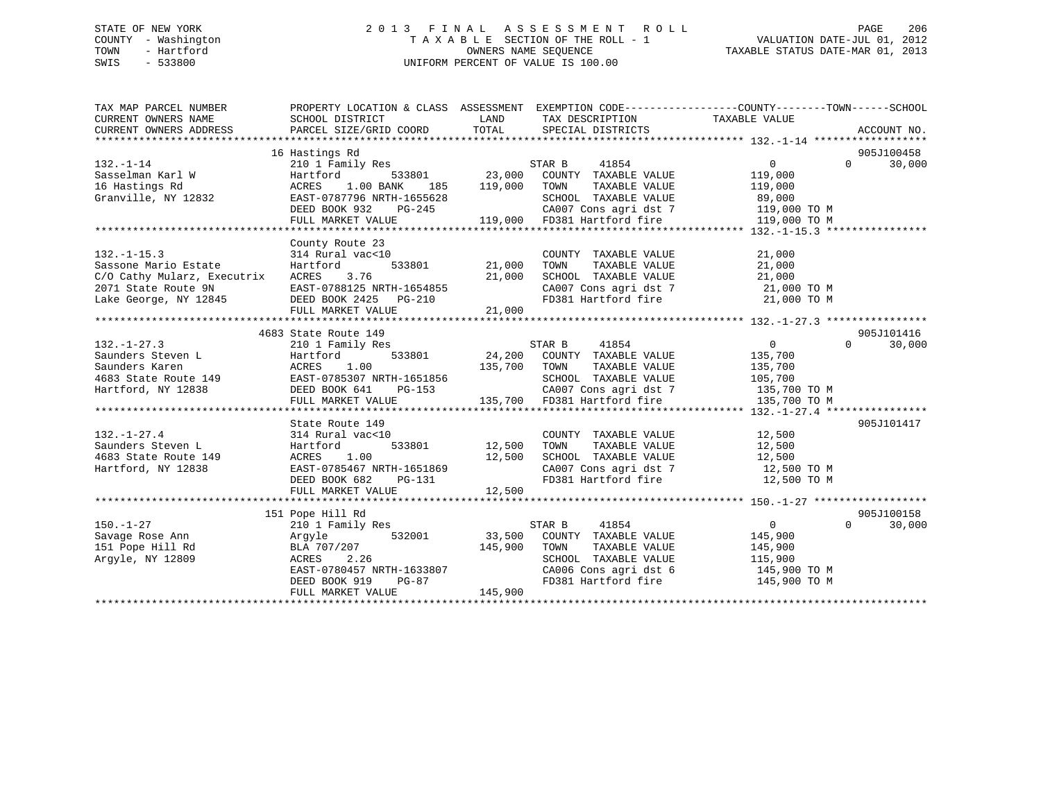# STATE OF NEW YORK 2 0 1 3 F I N A L A S S E S S M E N T R O L L PAGE 206 COUNTY - Washington T A X A B L E SECTION OF THE ROLL - 1 VALUATION DATE-JUL 01, 2012 TOWN - Hartford **TAXABLE STATUS DATE-MAR 01, 2013** SWIS - 533800 UNIFORM PERCENT OF VALUE IS 100.00

| TAX MAP PARCEL NUMBER<br>CURRENT OWNERS NAME<br>CURRENT OWNERS ADDRESS | PROPERTY LOCATION & CLASS ASSESSMENT EXEMPTION CODE----------------COUNTY-------TOWN------SCHOOL<br>SCHOOL DISTRICT<br>PARCEL SIZE/GRID COORD | LAND<br>TOTAL | TAX DESCRIPTION TAXABLE VALUE<br>SPECIAL DISTRICTS                |                    |          | ACCOUNT NO. |
|------------------------------------------------------------------------|-----------------------------------------------------------------------------------------------------------------------------------------------|---------------|-------------------------------------------------------------------|--------------------|----------|-------------|
|                                                                        | 16 Hastings Rd                                                                                                                                |               |                                                                   |                    |          | 905J100458  |
| $132. - 1 - 14$                                                        | 210 1 Family Res                                                                                                                              |               | STAR B<br>41854                                                   | $\Omega$           | $\Omega$ | 30,000      |
| Sasselman Karl W                                                       | Hartford                                                                                                                                      | 533801 23,000 | COUNTY TAXABLE VALUE<br>TOWN                                      | 119,000            |          |             |
| 16 Hastings Rd                                                         | ACRES<br>1.00 BANK<br>185<br>EAST-0787796 NRTH-1655628                                                                                        | 119,000       | TAXABLE VALUE<br>SCHOOL TAXABLE VALUE                             | 119,000            |          |             |
| Granville, NY 12832                                                    | DEED BOOK 932<br>PG-245                                                                                                                       |               |                                                                   | 89,000             |          |             |
|                                                                        |                                                                                                                                               |               | CA007 Cons agri dst 7 119,000 TO M<br>119,000 FD381 Hartford fire |                    |          |             |
|                                                                        | FULL MARKET VALUE                                                                                                                             |               |                                                                   | 119,000 TO M       |          |             |
|                                                                        | County Route 23                                                                                                                               |               |                                                                   |                    |          |             |
| $132. - 1 - 15.3$                                                      | 314 Rural vac<10                                                                                                                              |               | COUNTY TAXABLE VALUE                                              | 21,000             |          |             |
| Sassone Mario Estate                                                   | 533801<br>Hartford                                                                                                                            | 21,000        | TAXABLE VALUE<br>TOWN                                             | 21,000             |          |             |
| C/O Cathy Mularz, Executrix                                            | 3.76<br>ACRES                                                                                                                                 | 21,000        | SCHOOL TAXABLE VALUE                                              | 21,000             |          |             |
|                                                                        |                                                                                                                                               |               |                                                                   | 21,000 TO M        |          |             |
|                                                                        |                                                                                                                                               |               | CA007 Cons agri dst 7<br>FD381 Hartford fire                      | 21,000 TO M        |          |             |
|                                                                        | FULL MARKET VALUE                                                                                                                             | 21,000        |                                                                   |                    |          |             |
|                                                                        |                                                                                                                                               |               |                                                                   |                    |          |             |
|                                                                        | 4683 State Route 149                                                                                                                          |               |                                                                   |                    |          | 905J101416  |
| $132. - 1 - 27.3$                                                      | 210 1 Family Res                                                                                                                              |               | STAR B<br>41854                                                   | $\overline{0}$     | $\Omega$ | 30,000      |
| Saunders Steven L                                                      | 533801<br>Hartford                                                                                                                            |               | 24,200 COUNTY TAXABLE VALUE                                       | 135,700            |          |             |
| Saunders Karen                                                         | 1.00<br>ACRES                                                                                                                                 | 135,700       | TOWN<br>TAXABLE VALUE                                             | 135,700            |          |             |
| 4683 State Route 149 EAST-0785307 NRTH-1651856                         |                                                                                                                                               |               | SCHOOL TAXABLE VALUE                                              | 105,700            |          |             |
| Hartford, NY 12838                                                     | DEED BOOK 641<br>PG-153                                                                                                                       |               |                                                                   | 135,700 TO M       |          |             |
|                                                                        | FULL MARKET VALUE                                                                                                                             |               | CA007 Cons agri dst 7<br>135,700 FD381 Hartford fire              | 135,700 TO M       |          |             |
|                                                                        |                                                                                                                                               |               |                                                                   |                    |          |             |
|                                                                        | State Route 149                                                                                                                               |               |                                                                   |                    |          | 905J101417  |
| $132. - 1 - 27.4$                                                      | 314 Rural vac<10                                                                                                                              |               | COUNTY TAXABLE VALUE                                              | 12,500             |          |             |
| Saunders Steven L                                                      | Hartford                                                                                                                                      | 533801 12,500 | TAXABLE VALUE<br>TOWN                                             | 12,500             |          |             |
| 4683 State Route 149                                                   | 1.00<br>ACRES                                                                                                                                 | 12,500        | SCHOOL TAXABLE VALUE                                              | 12,500             |          |             |
| Hartford, NY 12838                                                     | EAST-0785467 NRTH-1651869                                                                                                                     |               |                                                                   |                    |          |             |
|                                                                        | DEED BOOK 682<br>PG-131                                                                                                                       |               | FD381 Hartford fire                                               | 12,500 TO M        |          |             |
|                                                                        | FULL MARKET VALUE                                                                                                                             | 12,500        |                                                                   |                    |          |             |
|                                                                        |                                                                                                                                               |               |                                                                   |                    |          |             |
|                                                                        | 151 Pope Hill Rd                                                                                                                              |               |                                                                   |                    |          | 905J100158  |
| $150. - 1 - 27$                                                        | 210 1 Family Res                                                                                                                              |               | 41854<br>STAR B                                                   | $\overline{0}$     | $\Omega$ | 30,000      |
| Savage Rose Ann                                                        | Arqyle<br>532001                                                                                                                              | 33,500        | COUNTY TAXABLE VALUE                                              | 145,900            |          |             |
|                                                                        |                                                                                                                                               | 145,900       | TAXABLE VALUE<br>TOWN                                             |                    |          |             |
| 151 Pope Hill Rd<br>Argyle, NY 12809                                   | BLA 707/207<br>2.26<br>ACRES                                                                                                                  |               |                                                                   | 145,900<br>115,900 |          |             |
|                                                                        | EAST-0780457 NRTH-1633807                                                                                                                     |               | SCHOOL TAXABLE VALUE<br>CA006 Cons agri dst 6                     | 145,900 TO M       |          |             |
|                                                                        | DEED BOOK 919<br>PG-87                                                                                                                        |               | FD381 Hartford fire                                               | 145,900 TO M       |          |             |
|                                                                        | FULL MARKET VALUE                                                                                                                             | 145,900       |                                                                   |                    |          |             |
|                                                                        |                                                                                                                                               |               |                                                                   |                    |          |             |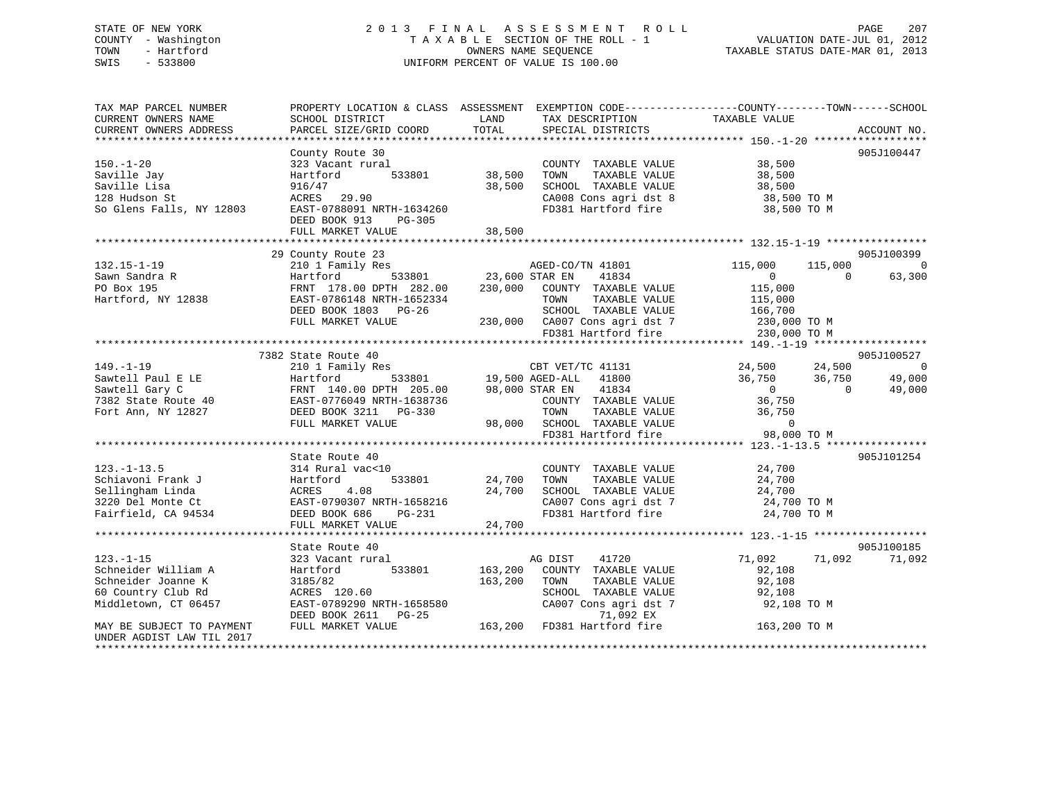# STATE OF NEW YORK 2 0 1 3 F I N A L A S S E S S M E N T R O L L PAGE 207 COUNTY - Washington T A X A B L E SECTION OF THE ROLL - 1 VALUATION DATE-JUL 01, 2012 TOWN - Hartford **TAXABLE STATUS DATE-MAR 01, 2013** SWIS - 533800 UNIFORM PERCENT OF VALUE IS 100.00

| TAX MAP PARCEL NUMBER<br>CURRENT OWNERS NAME<br>CURRENT OWNERS ADDRESS                                                                                                   | PROPERTY LOCATION & CLASS ASSESSMENT EXEMPTION CODE----------------COUNTY-------TOWN-----SCHOOL<br>SCHOOL DISTRICT<br>PARCEL SIZE/GRID COORD | LAND<br>TOTAL | TAX DESCRIPTION<br>SPECIAL DISTRICTS               | TAXABLE VALUE                    | ACCOUNT NO. |
|--------------------------------------------------------------------------------------------------------------------------------------------------------------------------|----------------------------------------------------------------------------------------------------------------------------------------------|---------------|----------------------------------------------------|----------------------------------|-------------|
|                                                                                                                                                                          |                                                                                                                                              |               |                                                    |                                  |             |
|                                                                                                                                                                          | County Route 30                                                                                                                              |               |                                                    |                                  | 905J100447  |
| $150. - 1 - 20$                                                                                                                                                          | 323 Vacant rural                                                                                                                             |               | COUNTY TAXABLE VALUE 38,500                        |                                  |             |
| Saville Jay                                                                                                                                                              | Hartford                                                                                                                                     | 533801 38,500 | TOWN<br>TAXABLE VALUE                              | 38,500                           |             |
| Saville Lisa                                                                                                                                                             | 916/47                                                                                                                                       | 38,500        | SCHOOL TAXABLE VALUE<br>CA008 Cons agri dst 8      | 38,500                           |             |
| 128 Hudson St                                                                                                                                                            | ACRES 29.90                                                                                                                                  |               |                                                    | 38,500 TO M                      |             |
| So Glens Falls, NY 12803                                                                                                                                                 | EAST-0788091 NRTH-1634260                                                                                                                    |               | FD381 Hartford fire                                | 38,500 TO M                      |             |
|                                                                                                                                                                          | DEED BOOK 913<br>PG-305                                                                                                                      |               |                                                    |                                  |             |
|                                                                                                                                                                          | FULL MARKET VALUE                                                                                                                            | 38,500        |                                                    |                                  |             |
|                                                                                                                                                                          | 29 County Route 23                                                                                                                           |               |                                                    |                                  | 905J100399  |
| $132.15 - 1 - 19$                                                                                                                                                        |                                                                                                                                              |               |                                                    | 115,000                          | $\bigcirc$  |
|                                                                                                                                                                          |                                                                                                                                              |               |                                                    | $\overline{0}$<br>$\Omega$       | 63,300      |
|                                                                                                                                                                          |                                                                                                                                              |               |                                                    | 115,000                          |             |
| Sawn Sandra R<br>PO Box 195<br>Hartford, NY 12838                                                                                                                        | EAST-0786148 NRTH-1652334                                                                                                                    |               | TAXABLE VALUE<br>TOWN                              |                                  |             |
|                                                                                                                                                                          | DEED BOOK 1803 PG-26                                                                                                                         |               | SCHOOL TAXABLE VALUE                               | 115,000<br>166,700               |             |
|                                                                                                                                                                          | FULL MARKET VALUE                                                                                                                            |               | 230,000 CA007 Cons agri dst 7 230,000 TO M         |                                  |             |
|                                                                                                                                                                          |                                                                                                                                              |               | FD381 Hartford fire                                | 230,000 TO M                     |             |
|                                                                                                                                                                          |                                                                                                                                              |               |                                                    |                                  |             |
|                                                                                                                                                                          | 7382 State Route 40                                                                                                                          |               |                                                    |                                  | 905J100527  |
| $149. - 1 - 19$                                                                                                                                                          | 210 1 Family Res                                                                                                                             |               |                                                    | CBT VET/TC 41131 24,500 24,500 0 |             |
| Sawtell Paul E LE Hartford 533801<br>Sawtell Gary C FRNT 140.00 DPTH 205.00<br>7382 State Route 40 EAST-0776049 NRTH-1638736<br>Fort Ann, NY 12827 DEED BOOK 3211 PG-330 |                                                                                                                                              |               |                                                    | $36,750$<br>0<br>36,750          | 49,000      |
|                                                                                                                                                                          |                                                                                                                                              |               | 98,000 STAR EN<br>41834                            | $\Omega$                         | 49,000      |
|                                                                                                                                                                          |                                                                                                                                              |               | COUNTY TAXABLE VALUE                               | 36,750                           |             |
|                                                                                                                                                                          |                                                                                                                                              |               | TOWN<br>TAXABLE VALUE                              | 36,750                           |             |
|                                                                                                                                                                          | FULL MARKET VALUE                                                                                                                            |               | 98,000 SCHOOL TAXABLE VALUE<br>FD381 Hartford fire | $\overline{0}$                   |             |
|                                                                                                                                                                          |                                                                                                                                              |               | FD381 Hartford fire                                | 98,000 TO M                      |             |
|                                                                                                                                                                          |                                                                                                                                              |               |                                                    |                                  |             |
|                                                                                                                                                                          | State Route 40                                                                                                                               |               |                                                    |                                  | 905J101254  |
| $123. - 1 - 13.5$                                                                                                                                                        | 314 Rural vac<10                                                                                                                             | 24,700        | COUNTY TAXABLE VALUE                               | 24,700                           |             |
| Schiavoni Frank J                                                                                                                                                        | Hartford<br>533801                                                                                                                           |               | TOWN<br>TAXABLE VALUE                              | 24,700                           |             |
| Sellingham Linda                                                                                                                                                         | ACRES<br>4.08                                                                                                                                | 24,700        | SCHOOL TAXABLE VALUE                               | 24,700                           |             |
| 3220 Del Monte Ct                                                                                                                                                        | EAST-0790307 NRTH-1658216                                                                                                                    |               | CA007 Cons agri dst 7                              | 24,700 TO M                      |             |
| Fairfield, CA 94534                                                                                                                                                      | DEED BOOK 686<br>PG-231                                                                                                                      |               | FD381 Hartford fire                                | 24,700 TO M                      |             |
|                                                                                                                                                                          | FULL MARKET VALUE                                                                                                                            | 24,700        |                                                    |                                  |             |
|                                                                                                                                                                          | State Route 40                                                                                                                               |               |                                                    |                                  | 905J100185  |
| $123. - 1 - 15$                                                                                                                                                          | 323 Vacant rural                                                                                                                             |               | 41720<br>AG DIST                                   | 71,092<br>71,092                 | 71,092      |
| Schneider William A                                                                                                                                                      | 533801<br>Hartford                                                                                                                           | 163,200       | COUNTY TAXABLE VALUE                               | 92,108                           |             |
| Schneider Joanne K                                                                                                                                                       | 3185/82                                                                                                                                      | 163,200       | TOWN<br>TAXABLE VALUE                              | 92,108                           |             |
| 60 Country Club Rd                                                                                                                                                       | ACRES 120.60                                                                                                                                 |               |                                                    | 92,108                           |             |
| Middletown, CT 06457                                                                                                                                                     | EAST-0789290 NRTH-1658580                                                                                                                    |               | SCHOOL TAXABLE VALUE<br>CA007 Cons agri dst 7      | 92,108 TO M                      |             |
|                                                                                                                                                                          | DEED BOOK 2611 PG-25                                                                                                                         |               | 71,092 EX                                          |                                  |             |
| MAY BE SUBJECT TO PAYMENT                                                                                                                                                | FULL MARKET VALUE                                                                                                                            |               | 163,200 FD381 Hartford fire                        | 163,200 TO M                     |             |
| UNDER AGDIST LAW TIL 2017                                                                                                                                                |                                                                                                                                              |               |                                                    |                                  |             |
|                                                                                                                                                                          |                                                                                                                                              |               |                                                    |                                  |             |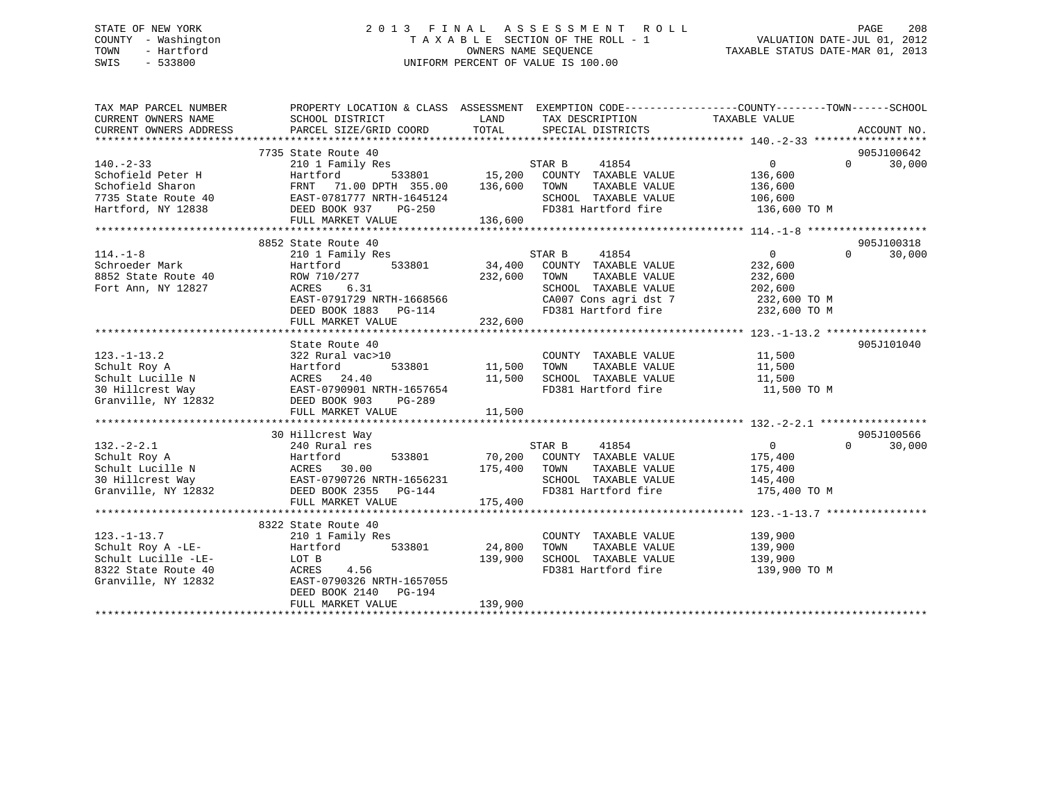# STATE OF NEW YORK 2 0 1 3 F I N A L A S S E S S M E N T R O L L PAGE 208 COUNTY - Washington T A X A B L E SECTION OF THE ROLL - 1 VALUATION DATE-JUL 01, 2012 TOWN - Hartford **TAXABLE STATUS DATE-MAR 01, 2013** SWIS - 533800 UNIFORM PERCENT OF VALUE IS 100.00

| TAX MAP PARCEL NUMBER<br>CURRENT OWNERS NAME<br>CURRENT OWNERS ADDRESS | PROPERTY LOCATION & CLASS ASSESSMENT<br>SCHOOL DISTRICT<br>PARCEL SIZE/GRID COORD | LAND<br>TOTAL | TAX DESCRIPTION<br>SPECIAL DISTRICTS | EXEMPTION CODE----------------COUNTY-------TOWN------SCHOOL<br>TAXABLE VALUE | ACCOUNT NO.        |
|------------------------------------------------------------------------|-----------------------------------------------------------------------------------|---------------|--------------------------------------|------------------------------------------------------------------------------|--------------------|
|                                                                        |                                                                                   |               |                                      |                                                                              |                    |
|                                                                        | 7735 State Route 40                                                               |               |                                      |                                                                              | 905J100642         |
| $140. - 2 - 33$                                                        | 210 1 Family Res                                                                  |               | STAR B<br>41854                      | $\mathbf{0}$                                                                 | 30,000<br>$\Omega$ |
| Schofield Peter H                                                      | Hartford<br>533801                                                                | 15,200        | COUNTY TAXABLE VALUE                 | 136,600                                                                      |                    |
| Schofield Sharon                                                       | 71.00 DPTH 355.00<br>FRNT                                                         | 136,600       | TOWN<br>TAXABLE VALUE                | 136,600                                                                      |                    |
| 7735 State Route 40                                                    | EAST-0781777 NRTH-1645124                                                         |               | SCHOOL TAXABLE VALUE                 | 106,600                                                                      |                    |
| Hartford, NY 12838                                                     | DEED BOOK 937<br>PG-250                                                           |               | FD381 Hartford fire                  | 136,600 TO M                                                                 |                    |
|                                                                        | FULL MARKET VALUE                                                                 | 136,600       |                                      |                                                                              |                    |
|                                                                        |                                                                                   |               |                                      |                                                                              |                    |
|                                                                        | 8852 State Route 40                                                               |               |                                      |                                                                              | 905J100318         |
| $114. - 1 - 8$                                                         | 210 1 Family Res                                                                  |               | 41854<br>STAR B                      | $\mathbf 0$                                                                  | $\Omega$<br>30,000 |
| Schroeder Mark                                                         | 533801<br>Hartford                                                                | 34,400        | COUNTY TAXABLE VALUE                 | 232,600                                                                      |                    |
| 8852 State Route 40                                                    | ROW 710/277                                                                       | 232,600       | TAXABLE VALUE<br>TOWN                | 232,600                                                                      |                    |
| Fort Ann, NY 12827                                                     | ACRES<br>6.31                                                                     |               | SCHOOL TAXABLE VALUE                 | 202,600                                                                      |                    |
|                                                                        | EAST-0791729 NRTH-1668566                                                         |               | CA007 Cons agri dst 7                | 232,600 TO M                                                                 |                    |
|                                                                        | DEED BOOK 1883<br>PG-114                                                          |               | FD381 Hartford fire                  | 232,600 TO M                                                                 |                    |
|                                                                        | FULL MARKET VALUE                                                                 | 232,600       |                                      |                                                                              |                    |
|                                                                        |                                                                                   |               |                                      |                                                                              |                    |
|                                                                        | State Route 40                                                                    |               |                                      |                                                                              | 905J101040         |
| $123. - 1 - 13.2$                                                      | 322 Rural vac>10                                                                  |               | COUNTY TAXABLE VALUE                 | 11,500                                                                       |                    |
| Schult Roy A                                                           | 533801<br>Hartford                                                                | 11,500        | TAXABLE VALUE<br>TOWN                | 11,500                                                                       |                    |
| Schult Lucille N                                                       | ACRES 24.40                                                                       | 11,500        | SCHOOL TAXABLE VALUE                 | 11,500                                                                       |                    |
| 30 Hillcrest Way                                                       | EAST-0790901 NRTH-1657654                                                         |               | FD381 Hartford fire                  | 11,500 TO M                                                                  |                    |
| Granville, NY 12832                                                    | DEED BOOK 903<br>PG-289                                                           |               |                                      |                                                                              |                    |
|                                                                        | FULL MARKET VALUE                                                                 | 11,500        |                                      |                                                                              |                    |
|                                                                        |                                                                                   |               |                                      |                                                                              |                    |
|                                                                        | 30 Hillcrest Way                                                                  |               |                                      |                                                                              | 905J100566         |
| $132 - 2 - 2.1$                                                        | 240 Rural res                                                                     |               | 41854<br>STAR B                      | $\overline{0}$                                                               | $\Omega$<br>30,000 |
| Schult Roy A                                                           | Hartford<br>533801                                                                | 70,200        | COUNTY TAXABLE VALUE                 | 175,400                                                                      |                    |
| Schult Lucille N                                                       | ACRES 30.00                                                                       | 175,400       | TOWN<br>TAXABLE VALUE                | 175,400                                                                      |                    |
| 30 Hillcrest Way                                                       | EAST-0790726 NRTH-1656231                                                         |               | SCHOOL TAXABLE VALUE                 | 145,400                                                                      |                    |
| Granville, NY 12832                                                    | DEED BOOK 2355<br>$PG-144$                                                        |               | FD381 Hartford fire                  | 175,400 TO M                                                                 |                    |
|                                                                        | FULL MARKET VALUE                                                                 | 175,400       |                                      |                                                                              |                    |
|                                                                        |                                                                                   |               |                                      |                                                                              |                    |
|                                                                        | 8322 State Route 40                                                               |               |                                      |                                                                              |                    |
| $123. - 1 - 13.7$                                                      | 210 1 Family Res                                                                  |               | COUNTY TAXABLE VALUE                 | 139,900                                                                      |                    |
| Schult Roy A -LE-                                                      | Hartford<br>533801                                                                | 24,800        | TOWN<br>TAXABLE VALUE                | 139,900                                                                      |                    |
| Schult Lucille -LE-                                                    | LOT B                                                                             | 139,900       | SCHOOL TAXABLE VALUE                 | 139,900                                                                      |                    |
| 8322 State Route 40                                                    | ACRES<br>4.56                                                                     |               | FD381 Hartford fire                  | 139,900 TO M                                                                 |                    |
| Granville, NY 12832                                                    | EAST-0790326 NRTH-1657055                                                         |               |                                      |                                                                              |                    |
|                                                                        | DEED BOOK 2140 PG-194                                                             |               |                                      |                                                                              |                    |
|                                                                        | FULL MARKET VALUE                                                                 | 139,900       |                                      |                                                                              |                    |
|                                                                        |                                                                                   |               |                                      |                                                                              |                    |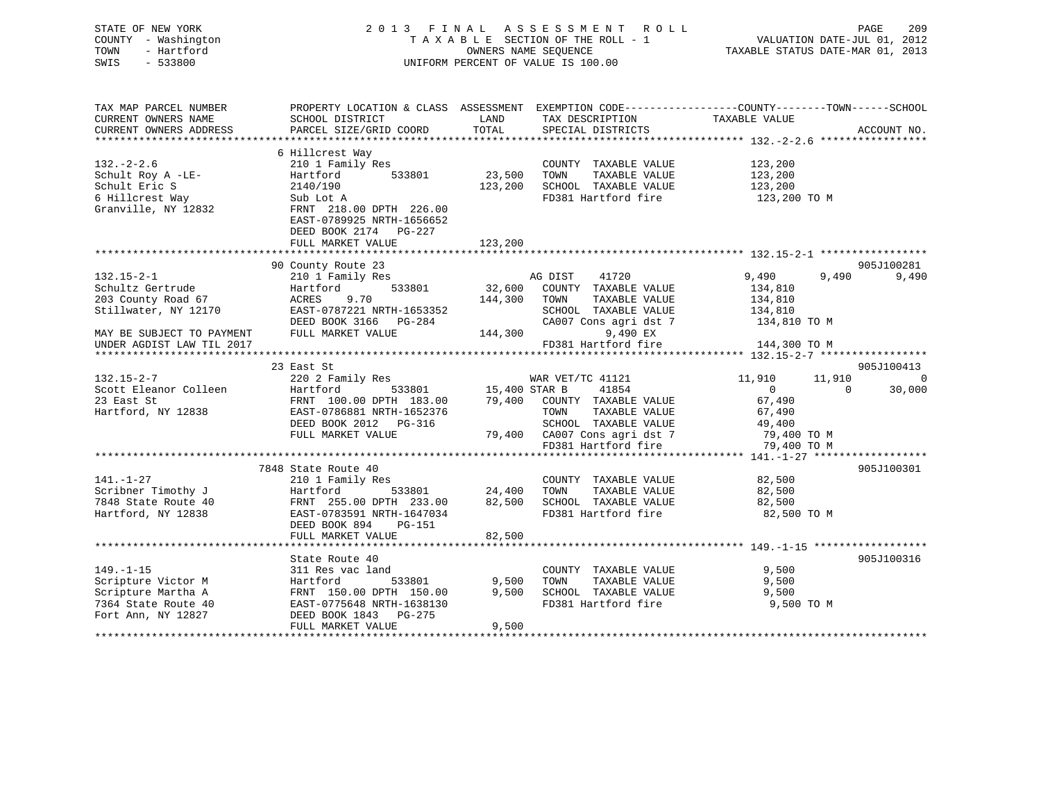| STATE OF NEW YORK<br>COUNTY - Washington<br>TOWN<br>- Hartford |                                                                                                   |              | 2013 FINAL ASSESSMENT ROLL<br>TAXABLE SECTION OF THE ROLL - 1 VALUATION DATE-JUL 01, 2012<br>OWNERS NAME SEQUENCE | TAXABLE STATUS DATE-MAR 01, 2013 |                | 209<br>PAGE    |
|----------------------------------------------------------------|---------------------------------------------------------------------------------------------------|--------------|-------------------------------------------------------------------------------------------------------------------|----------------------------------|----------------|----------------|
| SWIS<br>$-533800$                                              |                                                                                                   |              | UNIFORM PERCENT OF VALUE IS 100.00                                                                                |                                  |                |                |
| TAX MAP PARCEL NUMBER                                          | PROPERTY LOCATION & CLASS ASSESSMENT EXEMPTION CODE-----------------COUNTY-------TOWN------SCHOOL |              |                                                                                                                   |                                  |                |                |
| CURRENT OWNERS NAME                                            | SCHOOL DISTRICT                                                                                   | LAND         | TAX DESCRIPTION TAXABLE VALUE                                                                                     |                                  |                |                |
| CURRENT OWNERS ADDRESS                                         | PARCEL SIZE/GRID COORD                                                                            |              | TOTAL SPECIAL DISTRICTS                                                                                           |                                  |                | ACCOUNT NO.    |
|                                                                |                                                                                                   |              |                                                                                                                   |                                  |                |                |
| $132. - 2 - 2.6$                                               | 6 Hillcrest Way<br>210 1 Family Res                                                               |              | COUNTY TAXABLE VALUE                                                                                              |                                  |                |                |
|                                                                | Hartford 533801                                                                                   | 23,500 TOWN  | TAXABLE VALUE                                                                                                     | 123,200<br>123,200<br>123,200    |                |                |
| Schult Roy A -LE-<br>Schult Eric S                             | 2140/190                                                                                          |              | 123,200 SCHOOL TAXABLE VALUE                                                                                      | 123,200                          |                |                |
|                                                                | Sub Lot A                                                                                         |              | FD381 Hartford fire                                                                                               | 123,200 TO M                     |                |                |
| 6 Hillcrest Way<br>Granville, NY 12832                         | FRNT 218.00 DPTH 226.00                                                                           |              |                                                                                                                   |                                  |                |                |
|                                                                | EAST-0789925 NRTH-1656652                                                                         |              |                                                                                                                   |                                  |                |                |
|                                                                | DEED BOOK 2174 PG-227                                                                             |              |                                                                                                                   |                                  |                |                |
|                                                                | FULL MARKET VALUE                                                                                 | 123,200      |                                                                                                                   |                                  |                |                |
|                                                                |                                                                                                   |              |                                                                                                                   |                                  |                |                |
|                                                                | 90 County Route 23                                                                                |              |                                                                                                                   |                                  |                | 905J100281     |
| $132.15 - 2 - 1$                                               | 210 1 Family Res                                                                                  |              | AG DIST<br>41720                                                                                                  | 9,490                            | 9,490          | 9,490          |
| Schultz Gertrude                                               | Hartford                                                                                          |              | 533801 32,600 COUNTY TAXABLE VALUE                                                                                | 134,810                          |                |                |
| 203 County Road 67                                             | ACRES 9.70                                                                                        | 144,300 TOWN | TAXABLE VALUE                                                                                                     | 134,810                          |                |                |
| Stillwater, NY 12170                                           | EAST-0787221 NRTH-1653352                                                                         |              | SCHOOL TAXABLE VALUE<br>CA007 Cons agri dst 7                                                                     | 134,810<br>134,810 TO M          |                |                |
|                                                                | DEED BOOK 3166 PG-284                                                                             |              |                                                                                                                   |                                  |                |                |
| MAY BE SUBJECT TO PAYMENT FULL MARKET VALUE                    |                                                                                                   | 144,300      | 9,490 EX                                                                                                          |                                  |                |                |
| UNDER AGDIST LAW TIL 2017                                      |                                                                                                   |              | FD381 Hartford fire 144,300 TO M                                                                                  |                                  |                |                |
|                                                                | 23 East St                                                                                        |              |                                                                                                                   |                                  |                | 905J100413     |
| $132.15 - 2 - 7$                                               | 220 2 Family Res                                                                                  |              |                                                                                                                   | 11,910 11,910                    |                | $\overline{0}$ |
| Scott Eleanor Colleen                                          | Hartford                                                                                          |              | % WAR VET/TC 41121<br>533801 15,400 STAR B 41854                                                                  | $\overline{0}$                   | $\overline{0}$ | 30,000         |
| 23 East St                                                     | FRNT 100.00 DPTH 183.00 79,400 COUNTY TAXABLE VALUE                                               |              |                                                                                                                   | 67,490                           |                |                |
| Hartford, NY 12838                                             | EAST-0786881 NRTH-1652376                                                                         |              | TAXABLE VALUE<br>TOWN                                                                                             | 67,490                           |                |                |
|                                                                | DEED BOOK 2012    PG-316                                                                          |              | SCHOOL TAXABLE VALUE 49,400                                                                                       |                                  |                |                |
|                                                                | FULL MARKET VALUE                                                                                 |              | 79,400 CA007 Cons agri dst 7 79,400 TO M                                                                          |                                  |                |                |
|                                                                |                                                                                                   |              | FD381 Hartford fire                                                                                               | 79,400 TO M                      |                |                |
|                                                                |                                                                                                   |              |                                                                                                                   |                                  |                |                |
|                                                                | 7848 State Route 40                                                                               |              |                                                                                                                   |                                  |                | 905J100301     |
| $141 - 1 - 27$                                                 | $210 \t1$ Family Req.                                                                             |              | COUNTY TAYARLE VALUE                                                                                              | 82.500                           |                |                |

| 141.-1-27           | 210 1 Family Res          |        | TAXABLE VALUE<br>COUNTY | 82,500      |  |
|---------------------|---------------------------|--------|-------------------------|-------------|--|
| Scribner Timothy J  | Hartford<br>533801        | 24,400 | TOWN<br>TAXABLE VALUE   | 82,500      |  |
| 7848 State Route 40 | FRNT 255.00 DPTH 233.00   | 82,500 | SCHOOL TAXABLE VALUE    | 82,500      |  |
| Hartford, NY 12838  | EAST-0783591 NRTH-1647034 |        | FD381 Hartford fire     | 82,500 TO M |  |
|                     | DEED BOOK 894<br>PG-151   |        |                         |             |  |
|                     | FULL MARKET VALUE         | 82,500 |                         |             |  |
|                     |                           |        |                         |             |  |
|                     | State Route 40            |        |                         | 905J100316  |  |
| 149.–1–15           | 311 Res vac land          |        | COUNTY<br>TAXABLE VALUE | 9,500       |  |
| Scripture Victor M  | 533801<br>Hartford        | 9.500  | TOWN<br>TAXABLE VALUE   | 9,500       |  |
| Scripture Martha A  | FRNT 150.00 DPTH 150.00   | 9,500  | SCHOOL TAXABLE VALUE    | 9.500       |  |
| 7364 State Route 40 | EAST-0775648 NRTH-1638130 |        | FD381 Hartford fire     | 9,500 TO M  |  |
| Fort Ann, NY 12827  | DEED BOOK 1843 PG-275     |        |                         |             |  |
|                     | FULL MARKET VALUE         | 9.500  |                         |             |  |
|                     |                           |        |                         |             |  |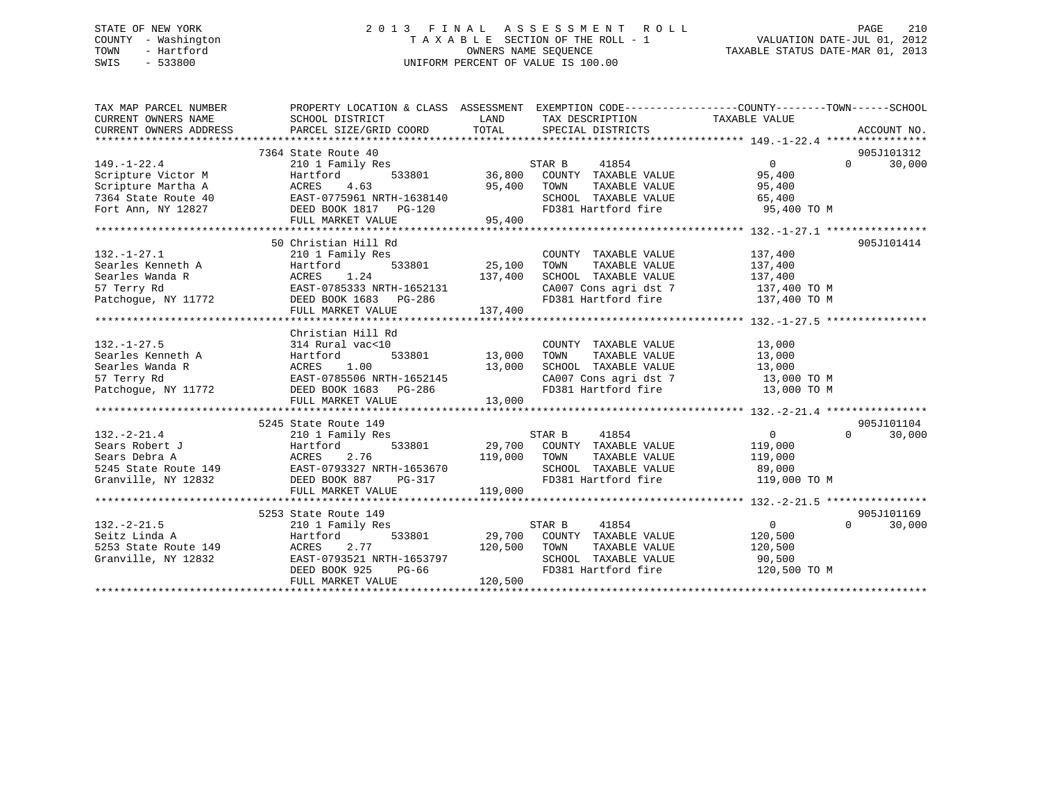# STATE OF NEW YORK 2 0 1 3 F I N A L A S S E S S M E N T R O L L PAGE 210 COUNTY - Washington T A X A B L E SECTION OF THE ROLL - 1 VALUATION DATE-JUL 01, 2012 TOWN - Hartford **TAXABLE STATUS DATE-MAR 01, 2013** SWIS - 533800 UNIFORM PERCENT OF VALUE IS 100.00

| TAX MAP PARCEL NUMBER<br>CURRENT OWNERS NAME<br>CURRENT OWNERS ADDRESS | PROPERTY LOCATION & CLASS ASSESSMENT EXEMPTION CODE----------------COUNTY-------TOWN------SCHOOL<br>SCHOOL DISTRICT<br>PARCEL SIZE/GRID COORD | LAND<br>TOTAL | TAX DESCRIPTION TAXABLE VALUE<br>SPECIAL DISTRICTS        |                |          | ACCOUNT NO. |
|------------------------------------------------------------------------|-----------------------------------------------------------------------------------------------------------------------------------------------|---------------|-----------------------------------------------------------|----------------|----------|-------------|
|                                                                        | 7364 State Route 40                                                                                                                           |               |                                                           |                |          | 905J101312  |
| $149. - 1 - 22.4$                                                      | 210 1 Family Res                                                                                                                              |               | STAR B<br>41854                                           | $\Omega$       | $\Omega$ | 30,000      |
| Scripture Victor M                                                     | Hartford                                                                                                                                      |               | $533801$ 36,800 COUNTY TAXABLE VALUE                      | 95,400         |          |             |
| Scripture Martha A                                                     |                                                                                                                                               | 95,400 TOWN   | TAXABLE VALUE                                             | 95,400         |          |             |
| 7364 State Route 40                                                    | ACRES 4.63 95,400<br>EAST-0775961 NRTH-1638140<br>DEED BOOK 1817 PG-120                                                                       |               | SCHOOL TAXABLE VALUE                                      | 65,400         |          |             |
| Fort Ann, NY 12827                                                     |                                                                                                                                               |               |                                                           |                |          |             |
|                                                                        | FULL MARKET VALUE                                                                                                                             | 95,400        |                                                           |                |          |             |
|                                                                        |                                                                                                                                               |               |                                                           |                |          |             |
|                                                                        | 50 Christian Hill Rd                                                                                                                          |               |                                                           |                |          | 905J101414  |
| $132. - 1 - 27.1$                                                      | 210 1 Family Res                                                                                                                              |               | COUNTY TAXABLE VALUE                                      | 137,400        |          |             |
| Searles Kenneth A                                                      | Hartford                                                                                                                                      | 533801 25,100 | TAXABLE VALUE<br>TOWN                                     | 137,400        |          |             |
| Searles Wanda R                                                        |                                                                                                                                               | 137,400       | SCHOOL TAXABLE VALUE                                      | 137,400        |          |             |
| 57 Terry Rd                                                            |                                                                                                                                               |               | CA007 Cons agri dst 7 137,400 TO M                        |                |          |             |
| Patchogue, NY 11772                                                    | DEED BOOK 1683 PG-286                                                                                                                         |               | FD381 Hartford fire 137,400 TO M                          |                |          |             |
|                                                                        | FULL MARKET VALUE                                                                                                                             | 137,400       |                                                           |                |          |             |
|                                                                        |                                                                                                                                               |               |                                                           |                |          |             |
|                                                                        | Christian Hill Rd                                                                                                                             |               |                                                           |                |          |             |
| $132. - 1 - 27.5$                                                      | 314 Rural vac<10                                                                                                                              |               | COUNTY TAXABLE VALUE                                      | 13,000         |          |             |
| Searles Kenneth A                                                      | 533801<br>Hartford                                                                                                                            | 13,000        | TAXABLE VALUE<br>TOWN                                     | 13,000         |          |             |
| Searles Wanda R                                                        | 1.00<br>ACRES                                                                                                                                 | 13,000        | SCHOOL TAXABLE VALUE                                      | 13,000         |          |             |
| 57 Terry Rd                                                            |                                                                                                                                               |               | CA007 Cons agri dst 7 13,000 TO M                         |                |          |             |
| Patchogue, NY 11772                                                    | EAST-0785506 NRTH-1652145<br>DEED BOOK 1683 PG-286                                                                                            |               | FD381 Hartford fire                                       | 13,000 TO M    |          |             |
|                                                                        | FULL MARKET VALUE                                                                                                                             | 13,000        |                                                           |                |          |             |
|                                                                        |                                                                                                                                               |               |                                                           |                |          |             |
|                                                                        | 5245 State Route 149                                                                                                                          |               |                                                           |                |          | 905J101104  |
| $132 - 2 - 21.4$                                                       | 210 1 Family Res                                                                                                                              |               | STAR B<br>41854                                           | $\overline{0}$ | $\Omega$ | 30,000      |
| Sears Robert J                                                         | 533801<br>Hartford                                                                                                                            |               | 29,700 COUNTY TAXABLE VALUE                               | 119,000        |          |             |
| Sears Debra A                                                          | 2.76<br>ACRES                                                                                                                                 | 119,000       | TOWN                                                      |                |          |             |
|                                                                        |                                                                                                                                               |               | TOWN TAXABLE VALUE 119,000<br>SCHOOL TAXABLE VALUE 89,000 |                |          |             |
| Granville, NY 12832                                                    | DEED BOOK 887<br>$PG-317$                                                                                                                     |               | FD381 Hartford fire 119,000 TO M                          |                |          |             |
|                                                                        | FULL MARKET VALUE                                                                                                                             | 119,000       |                                                           |                |          |             |
|                                                                        |                                                                                                                                               |               |                                                           |                |          |             |
|                                                                        | 5253 State Route 149                                                                                                                          |               |                                                           |                |          | 905J101169  |
| $132 - 2 - 21.5$                                                       | 210 1 Family Res                                                                                                                              |               | STAR B<br>41854                                           | $\overline{0}$ | $\Omega$ | 30,000      |
| Seitz Linda A                                                          | 533801<br>Hartford                                                                                                                            |               | 29,700 COUNTY TAXABLE VALUE                               | 120,500        |          |             |
| 5253 State Route 149                                                   | ACRES<br>2.77                                                                                                                                 | 120,500       | TOWN<br>TAXABLE VALUE                                     | 120,500        |          |             |
| Granville, NY 12832                                                    | EAST-0793521 NRTH-1653797                                                                                                                     |               | SCHOOL TAXABLE VALUE                                      | 90,500         |          |             |
|                                                                        | DEED BOOK 925<br>$PG-66$                                                                                                                      |               | FD381 Hartford fire                                       | 120,500 TO M   |          |             |
|                                                                        | FULL MARKET VALUE                                                                                                                             | 120,500       |                                                           |                |          |             |
|                                                                        |                                                                                                                                               |               |                                                           |                |          |             |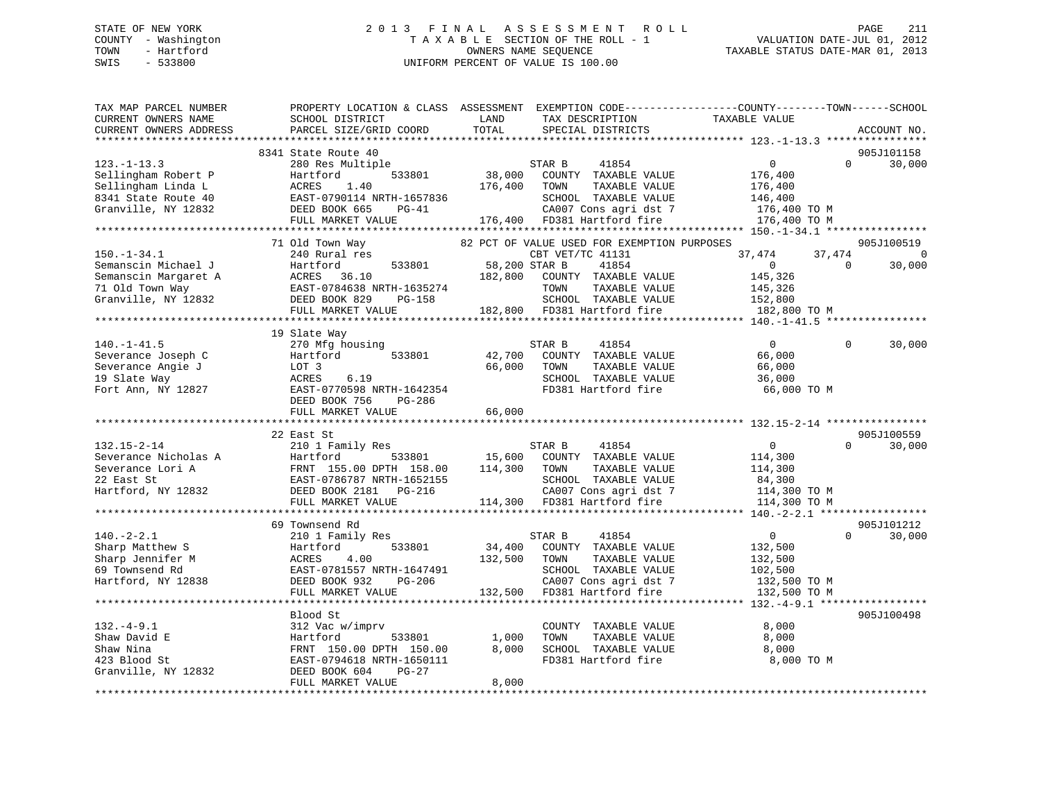# STATE OF NEW YORK 2 0 1 3 F I N A L A S S E S S M E N T R O L L PAGE 211 COUNTY - Washington T A X A B L E SECTION OF THE ROLL - 1 VALUATION DATE-JUL 01, 2012 TOWN - Hartford **TAXABLE STATUS DATE-MAR 01, 2013** SWIS - 533800 UNIFORM PERCENT OF VALUE IS 100.00

| TAX MAP PARCEL NUMBER<br>CURRENT OWNERS NAME<br>CURRENT OWNERS ADDRESS                                       | PROPERTY LOCATION & CLASS ASSESSMENT EXEMPTION CODE----------------COUNTY-------TOWN-----SCHOOL<br>SCHOOL DISTRICT<br>PARCEL SIZE/GRID COORD                  | LAND<br>TOTAL            | TAX DESCRIPTION<br>SPECIAL DISTRICTS                                                                                                                    | TAXABLE VALUE                                                                   |                    | ACCOUNT NO.                      |
|--------------------------------------------------------------------------------------------------------------|---------------------------------------------------------------------------------------------------------------------------------------------------------------|--------------------------|---------------------------------------------------------------------------------------------------------------------------------------------------------|---------------------------------------------------------------------------------|--------------------|----------------------------------|
|                                                                                                              |                                                                                                                                                               |                          |                                                                                                                                                         |                                                                                 |                    |                                  |
| $123. - 1 - 13.3$<br>Sellingham Robert P<br>Sellingham Linda L<br>8341 State Route 40<br>Granville, NY 12832 | 8341 State Route 40<br>280 Res Multiple<br>533801<br>Hartford<br>ACRES<br>1.40<br>EAST-0790114 NRTH-1657836<br>DEED BOOK 665<br>$PG-41$<br>FULL MARKET VALUE  | 38,000<br>176,400        | 41854<br>STAR B<br>COUNTY TAXABLE VALUE<br>TAXABLE VALUE<br>TOWN<br>SCHOOL TAXABLE VALUE<br>CA007 Cons agri dst 7<br>176,400 FD381 Hartford fire        | $\overline{0}$<br>176,400<br>176,400<br>146,400<br>176,400 TO M<br>176,400 TO M | $\Omega$           | 905J101158<br>30,000             |
|                                                                                                              |                                                                                                                                                               |                          |                                                                                                                                                         |                                                                                 |                    |                                  |
| $150. - 1 - 34.1$<br>Semanscin Michael J<br>Semanscin Margaret A<br>71 Old Town Way<br>Granville, NY 12832   | 71 Old Town Way<br>240 Rural res<br>533801<br>Hartford<br>ACRES 36.10<br>EAST-0784638 NRTH-1635274<br>DEED ROOK 829 PG-158                                    | 58,200 STAR B<br>182,800 | 82 PCT OF VALUE USED FOR EXEMPTION PURPOSES<br>CBT VET/TC 41131<br>41854<br>COUNTY TAXABLE VALUE<br>TOWN<br>TAXABLE VALUE<br>SCHOOL TAXABLE VALUE       | 37,474<br>$\overline{0}$<br>145,326<br>145,326<br>152,800                       | 37,474<br>$\Omega$ | 905J100519<br>$\Omega$<br>30,000 |
|                                                                                                              | FULL MARKET VALUE                                                                                                                                             |                          | 182,800 FD381 Hartford fire                                                                                                                             | 182,800 TO M                                                                    |                    |                                  |
|                                                                                                              |                                                                                                                                                               |                          |                                                                                                                                                         |                                                                                 |                    |                                  |
| $140. - 1 - 41.5$<br>Severance Joseph C<br>Severance Angie J<br>19 Slate Way<br>Fort Ann, NY 12827           | 19 Slate Way<br>270 Mfg housing<br>Hartford<br>533801<br>LOT 3<br>6.19<br>ACRES<br>EAST-0770598 NRTH-1642354<br>DEED BOOK 756<br>PG-286                       | 66,000                   | STAR B<br>41854<br>42,700 COUNTY TAXABLE VALUE<br>TOWN<br>TAXABLE VALUE<br>SCHOOL TAXABLE VALUE<br>FD381 Hartford fire                                  | $\Omega$<br>66,000<br>66,000<br>36,000<br>66,000 TO M                           | $\Omega$           | 30,000                           |
|                                                                                                              | FULL MARKET VALUE                                                                                                                                             | 66,000                   |                                                                                                                                                         |                                                                                 |                    |                                  |
|                                                                                                              | *************************************                                                                                                                         |                          |                                                                                                                                                         |                                                                                 |                    |                                  |
| $132.15 - 2 - 14$<br>Severance Nicholas A<br>Severance Lori A<br>22 East St<br>Hartford, NY 12832            | 22 East St<br>210 1 Family Res<br>Hartford<br>533801<br>FRNT 155.00 DPTH 158.00<br>EAST-0786787 NRTH-1652155<br>DEED BOOK 2181    PG-216<br>FULL MARKET VALUE | 114,300                  | STAR B<br>41854<br>15,600 COUNTY TAXABLE VALUE<br>TOWN<br>TAXABLE VALUE<br>SCHOOL TAXABLE VALUE<br>CA007 Cons agri dst 7<br>114,300 FD381 Hartford fire | $\overline{0}$<br>114,300<br>114,300<br>84,300<br>114,300 TO M<br>114,300 TO M  | $\Omega$           | 905J100559<br>30,000             |
|                                                                                                              |                                                                                                                                                               |                          |                                                                                                                                                         |                                                                                 |                    |                                  |
|                                                                                                              | 69 Townsend Rd                                                                                                                                                |                          |                                                                                                                                                         |                                                                                 |                    | 905J101212                       |
| $140.-2-2.1$<br>Sharp Matthew S<br>Sharp Jennifer M<br>69 Townsend Rd<br>Hartford, NY 12838                  | 210 1 Family Res<br>533801<br>Hartford<br>ACRES<br>4.00<br>EAST-0781557 NRTH-1647491<br>DEED BOOK 932<br>PG-206                                               | 132,500                  | 41854<br>STAR B<br>34,400 COUNTY TAXABLE VALUE<br>TOWN<br>TAXABLE VALUE<br>SCHOOL TAXABLE VALUE<br>CA007 Cons agri dst 7                                | $\overline{0}$<br>132,500<br>132,500<br>102,500<br>132,500 TO M                 | $\Omega$           | 30,000                           |
|                                                                                                              | FULL MARKET VALUE                                                                                                                                             | 132,500                  | FD381 Hartford fire                                                                                                                                     | 132,500 TO M                                                                    |                    |                                  |
| $132. -4 - 9.1$<br>Shaw David E<br>Shaw Nina<br>423 Blood St<br>Granville, NY 12832                          | Blood St<br>312 Vac w/imprv<br>Hartford<br>533801<br>FRNT 150.00 DPTH 150.00<br>EAST-0794618 NRTH-1650111<br>DEED BOOK 604<br>$PG-27$                         | 1,000<br>8,000           | COUNTY TAXABLE VALUE<br>TOWN<br>TAXABLE VALUE<br>SCHOOL TAXABLE VALUE<br>FD381 Hartford fire                                                            | 8,000<br>8,000<br>8,000<br>8,000 TO M                                           |                    | 905J100498                       |
|                                                                                                              | FULL MARKET VALUE                                                                                                                                             | 8,000                    |                                                                                                                                                         |                                                                                 |                    |                                  |
|                                                                                                              |                                                                                                                                                               |                          |                                                                                                                                                         |                                                                                 |                    |                                  |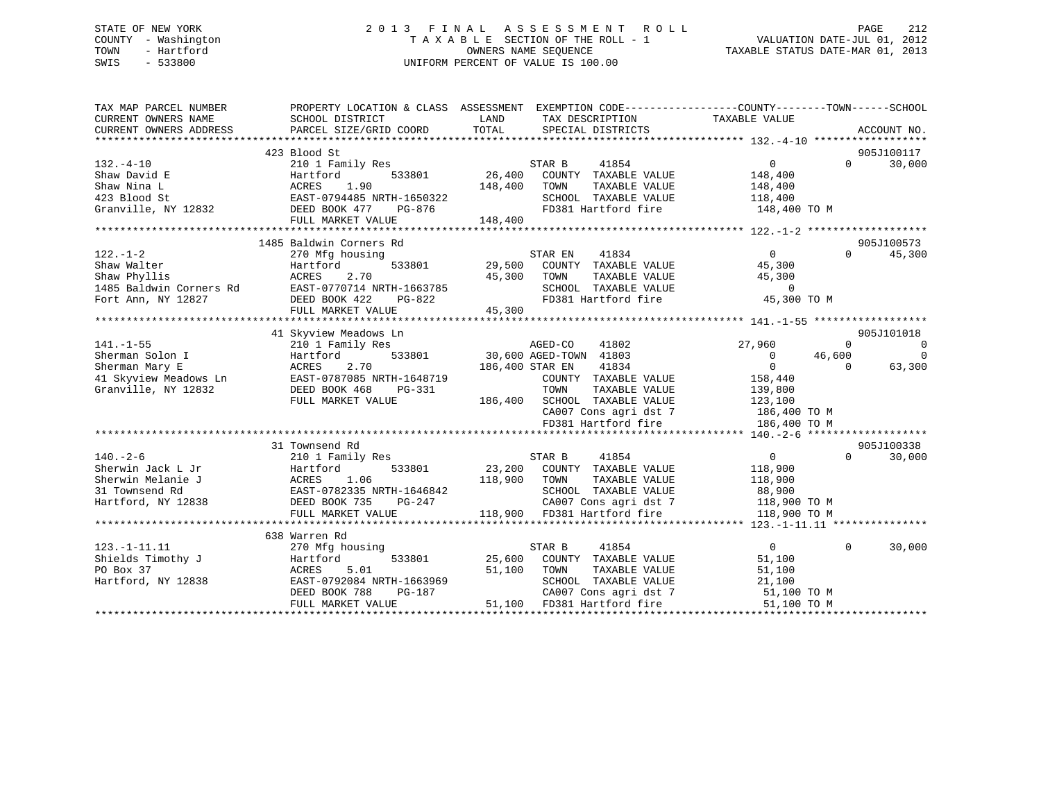# STATE OF NEW YORK 2 0 1 3 F I N A L A S S E S S M E N T R O L L PAGE 212 COUNTY - Washington T A X A B L E SECTION OF THE ROLL - 1 VALUATION DATE-JUL 01, 2012 TOWN - Hartford **TAXABLE STATUS DATE-MAR 01, 2013** SWIS - 533800 UNIFORM PERCENT OF VALUE IS 100.00

| TAX MAP PARCEL NUMBER<br>CURRENT OWNERS NAME | SCHOOL DISTRICT           | LAND<br>TAX DESCRIPTION          | PROPERTY LOCATION & CLASS ASSESSMENT EXEMPTION CODE----------------COUNTY-------TOWN------SCHOOL<br>TAXABLE VALUE |
|----------------------------------------------|---------------------------|----------------------------------|-------------------------------------------------------------------------------------------------------------------|
| CURRENT OWNERS ADDRESS                       | PARCEL SIZE/GRID COORD    | TOTAL<br>SPECIAL DISTRICTS       | ACCOUNT NO.                                                                                                       |
|                                              |                           |                                  |                                                                                                                   |
|                                              | 423 Blood St              |                                  | 905J100117                                                                                                        |
| $132. -4 - 10$                               | 210 1 Family Res          | STAR B<br>41854                  | $\mathbf{0}$<br>$\Omega$<br>30,000                                                                                |
| Shaw David E                                 | 533801<br>Hartford        | 26,400<br>COUNTY TAXABLE VALUE   | 148,400                                                                                                           |
| Shaw Nina L                                  | ACRES<br>1.90             | 148,400<br>TOWN<br>TAXABLE VALUE | 148,400                                                                                                           |
| 423 Blood St                                 | EAST-0794485 NRTH-1650322 | SCHOOL TAXABLE VALUE             | 118,400                                                                                                           |
| Granville, NY 12832                          | DEED BOOK 477<br>PG-876   | FD381 Hartford fire              | 148,400 TO M                                                                                                      |
|                                              | FULL MARKET VALUE         | 148,400                          |                                                                                                                   |
|                                              | 1485 Baldwin Corners Rd   |                                  | 905J100573                                                                                                        |
| $122. - 1 - 2$                               | 270 Mfg housing           | STAR EN<br>41834                 | $\overline{0}$<br>$\Omega$<br>45,300                                                                              |
| Shaw Walter                                  | 533801<br>Hartford        | 29,500<br>COUNTY TAXABLE VALUE   | 45,300                                                                                                            |
| Shaw Phyllis                                 | ACRES<br>2.70             | 45,300<br>TOWN<br>TAXABLE VALUE  | 45,300                                                                                                            |
| 1485 Baldwin Corners Rd                      | EAST-0770714 NRTH-1663785 | SCHOOL TAXABLE VALUE             | $\overline{0}$                                                                                                    |
| Fort Ann, NY 12827                           | DEED BOOK 422<br>PG-822   | FD381 Hartford fire              | 45,300 TO M                                                                                                       |
|                                              | FULL MARKET VALUE         | 45,300                           |                                                                                                                   |
|                                              |                           |                                  |                                                                                                                   |
|                                              | 41 Skyview Meadows Ln     |                                  | 905J101018                                                                                                        |
| $141. - 1 - 55$                              | 210 1 Family Res          | AGED-CO<br>41802                 | 27,960<br>$\overline{0}$<br>$\Omega$                                                                              |
| Sherman Solon I                              | 533801<br>Hartford        | 30,600 AGED-TOWN 41803           | 46,600<br>$\Omega$<br>$\overline{0}$                                                                              |
| Sherman Mary E                               | 2.70<br>ACRES             | 186,400 STAR EN<br>41834         | $\mathbf{0}$<br>63,300<br>$\Omega$                                                                                |
| 41 Skyview Meadows Ln                        | EAST-0787085 NRTH-1648719 | COUNTY TAXABLE VALUE             | 158,440                                                                                                           |
| Granville, NY 12832                          | DEED BOOK 468<br>PG-331   | TOWN<br>TAXABLE VALUE            | 139,800                                                                                                           |
|                                              | FULL MARKET VALUE         | 186,400 SCHOOL TAXABLE VALUE     | 123,100                                                                                                           |
|                                              |                           | CA007 Cons agri dst 7            | 186,400 TO M                                                                                                      |
|                                              |                           | FD381 Hartford fire              | 186,400 TO M                                                                                                      |
|                                              |                           |                                  |                                                                                                                   |
|                                              | 31 Townsend Rd            |                                  | 905J100338                                                                                                        |
| $140. - 2 - 6$                               | 210 1 Family Res          | STAR B<br>41854                  | $\overline{0}$<br>$\Omega$<br>30,000                                                                              |
| Sherwin Jack L Jr                            | Hartford<br>533801        | 23,200 COUNTY TAXABLE VALUE      | 118,900                                                                                                           |
| Sherwin Melanie J                            | ACRES<br>1.06             | 118,900<br>TOWN<br>TAXABLE VALUE | 118,900                                                                                                           |
| 31 Townsend Rd                               | EAST-0782335 NRTH-1646842 | SCHOOL TAXABLE VALUE             | 88,900                                                                                                            |
| Hartford, NY 12838                           | DEED BOOK 735<br>PG-247   | CA007 Cons agri dst 7            | 118,900 TO M                                                                                                      |
|                                              | FULL MARKET VALUE         | 118,900 FD381 Hartford fire      | 118,900 TO M                                                                                                      |
|                                              |                           |                                  |                                                                                                                   |
|                                              | 638 Warren Rd             |                                  |                                                                                                                   |
| $123. - 1 - 11.11$                           | 270 Mfg housing           | STAR B<br>41854                  | $\overline{0}$<br>$\Omega$<br>30,000                                                                              |
| Shields Timothy J                            | 533801<br>Hartford        | 25,600<br>COUNTY TAXABLE VALUE   | 51,100                                                                                                            |
| PO Box 37                                    | ACRES<br>5.01             | 51,100<br>TOWN<br>TAXABLE VALUE  | 51,100                                                                                                            |
| Hartford, NY 12838                           | EAST-0792084 NRTH-1663969 | SCHOOL TAXABLE VALUE             | 21,100                                                                                                            |
|                                              | DEED BOOK 788<br>PG-187   | CA007 Cons agri dst 7            | 51,100 TO M                                                                                                       |
|                                              | FULL MARKET VALUE         | 51,100<br>FD381 Hartford fire    | 51,100 TO M                                                                                                       |
|                                              |                           |                                  |                                                                                                                   |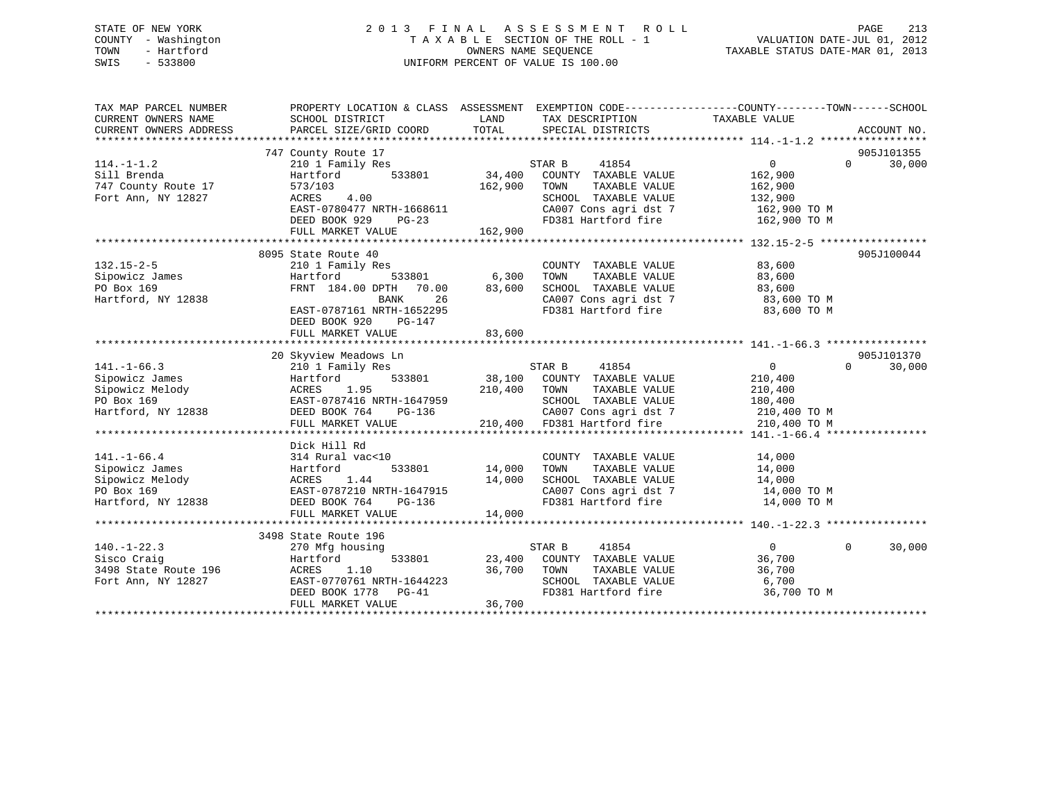# STATE OF NEW YORK 2 0 1 3 F I N A L A S S E S S M E N T R O L L PAGE 213 COUNTY - Washington T A X A B L E SECTION OF THE ROLL - 1 VALUATION DATE-JUL 01, 2012 TOWN - Hartford **TAXABLE STATUS DATE-MAR 01, 2013** SWIS - 533800 UNIFORM PERCENT OF VALUE IS 100.00

| TAX MAP PARCEL NUMBER<br>CURRENT OWNERS NAME<br>CURRENT OWNERS ADDRESS | PROPERTY LOCATION & CLASS ASSESSMENT EXEMPTION CODE---------------COUNTY-------TOWN-----SCHOOL<br>SCHOOL DISTRICT<br>PARCEL SIZE/GRID COORD                                                                                            | LAND<br>TOTAL       | TAX DESCRIPTION TAXABLE VALUE<br>SPECIAL DISTRICTS                                                                                                                                                 |                | ACCOUNT NO.                 |
|------------------------------------------------------------------------|----------------------------------------------------------------------------------------------------------------------------------------------------------------------------------------------------------------------------------------|---------------------|----------------------------------------------------------------------------------------------------------------------------------------------------------------------------------------------------|----------------|-----------------------------|
|                                                                        |                                                                                                                                                                                                                                        |                     |                                                                                                                                                                                                    |                |                             |
|                                                                        | 747 County Route 17                                                                                                                                                                                                                    |                     |                                                                                                                                                                                                    |                | 905J101355                  |
| $114. -1 - 1.2$                                                        | 210 1 Family Res                                                                                                                                                                                                                       |                     | STAR B<br>41854                                                                                                                                                                                    | $\overline{0}$ | 30,000<br>$0 \qquad \qquad$ |
| Sill Brenda                                                            | 533801 34,400<br>Hartford                                                                                                                                                                                                              |                     | COUNTY TAXABLE VALUE                                                                                                                                                                               | 162,900        |                             |
| 747 County Route 17                                                    | 573/103                                                                                                                                                                                                                                | 162,900             | TAXABLE VALUE<br>TOWN                                                                                                                                                                              | 162,900        |                             |
| Fort Ann, NY 12827                                                     | ACRES 4.00                                                                                                                                                                                                                             |                     | SCHOOL TAXABLE VALUE                                                                                                                                                                               | 132,900        |                             |
|                                                                        | EAST-0780477 NRTH-1668611<br>DEED BOOK 929 PG-23<br>FIIII MADFER YTT---                                                                                                                                                                |                     | CA007 Cons agri dst 7 162,900 TO M<br>FD381 Hartford fire 162,900 TO M                                                                                                                             |                |                             |
|                                                                        |                                                                                                                                                                                                                                        |                     |                                                                                                                                                                                                    |                |                             |
|                                                                        | FULL MARKET VALUE                                                                                                                                                                                                                      | 162,900             |                                                                                                                                                                                                    |                |                             |
|                                                                        |                                                                                                                                                                                                                                        |                     |                                                                                                                                                                                                    |                |                             |
|                                                                        | 8095 State Route 40                                                                                                                                                                                                                    |                     |                                                                                                                                                                                                    |                | 905J100044                  |
| $132.15 - 2 - 5$                                                       | 210 1 Family Res                                                                                                                                                                                                                       |                     |                                                                                                                                                                                                    |                |                             |
| 132.15-2-5<br>Sipowicz James<br>PO Box 169<br>Hartford, NY 12838       | Hartford                                                                                                                                                                                                                               |                     | $\begin{tabular}{lllllllllll} \multicolumn{2}{c}{\textbf{COUNTY}} & \textbf{TXABLE VALUE} & & & 83,600 \\ \multicolumn{2}{c}{\textbf{TOWN}} & \textbf{TXABLE VALUE} & & & 83,600 \\ \end{tabular}$ |                |                             |
|                                                                        | FRNT 184.00 DPTH 70.00 83,600                                                                                                                                                                                                          |                     | SCHOOL TAXABLE VALUE 83,600                                                                                                                                                                        |                |                             |
|                                                                        | BANK 26<br>EAST-0787161 NRTH-1652295                                                                                                                                                                                                   |                     | CA007 Cons agri dst 7 83,600 TO M<br>FD381 Hartford fire 83,600 TO M                                                                                                                               |                |                             |
|                                                                        |                                                                                                                                                                                                                                        |                     |                                                                                                                                                                                                    |                |                             |
|                                                                        | DEED BOOK 920<br>PG-147                                                                                                                                                                                                                |                     |                                                                                                                                                                                                    |                |                             |
|                                                                        | FULL MARKET VALUE                                                                                                                                                                                                                      | 83,600              |                                                                                                                                                                                                    |                |                             |
|                                                                        |                                                                                                                                                                                                                                        |                     |                                                                                                                                                                                                    |                |                             |
|                                                                        | 20 Skyview Meadows Ln                                                                                                                                                                                                                  |                     |                                                                                                                                                                                                    |                | 905J101370                  |
| $141. - 1 - 66.3$                                                      | Xangle of the STAR B 210 1 Family Res Allo 1 Family Res Allo 200 and STAR B 41854                                                                                                                                                      |                     |                                                                                                                                                                                                    | $\overline{0}$ | $\Omega$<br>30,000          |
|                                                                        |                                                                                                                                                                                                                                        |                     |                                                                                                                                                                                                    |                |                             |
|                                                                        |                                                                                                                                                                                                                                        |                     |                                                                                                                                                                                                    |                |                             |
|                                                                        |                                                                                                                                                                                                                                        |                     |                                                                                                                                                                                                    |                |                             |
|                                                                        | 141.-1-06.3<br>Sipowicz James Hartford 533801 38,100 COUNTY TAXABLE VALUE 210,400<br>FO Box 169 EAST-0787416 NRTH-1647959 SCHOOL TAXABLE VALUE 210,400<br>Hartford, NY 12838 DEEP BOOK 100 COUNTY TAXABLE VALUE 210,400<br>Hartford, N |                     | CA007 Cons agri dst 7 210,400 TO M                                                                                                                                                                 |                |                             |
|                                                                        | FULL MARKET VALUE 210,400 FD381 Hartford fire                                                                                                                                                                                          |                     |                                                                                                                                                                                                    | 210,400 TO M   |                             |
|                                                                        |                                                                                                                                                                                                                                        |                     |                                                                                                                                                                                                    |                |                             |
|                                                                        | Dick Hill Rd                                                                                                                                                                                                                           |                     |                                                                                                                                                                                                    |                |                             |
| $141. - 1 - 66.4$                                                      | 314 Rural vac<10                                                                                                                                                                                                                       |                     |                                                                                                                                                                                                    |                |                             |
|                                                                        |                                                                                                                                                                                                                                        |                     | $\begin{tabular}{llllllll} \multicolumn{2}{c}{\textbf{COUNTY}} & \textbf{TAXABLE VALUE} & & & 14,000 \\ \multicolumn{2}{c}{\textbf{TOWN}} & \textbf{TAXABLE VALUE} & & 14,000 \\ \end{tabular}$    |                |                             |
|                                                                        | Sipowicz Melody<br>PO Box 169<br>Hartford, NY 12838<br>Hartford, NY 12838<br>CEED BOOK 764<br>PC-136                                                                                                                                   | 14,000              | SCHOOL TAXABLE VALUE $14,000$<br>CA007 Cons agri dst 7 $14,000$ TO M<br>FD381 Hartford fire $14,000$ TO M                                                                                          |                |                             |
|                                                                        |                                                                                                                                                                                                                                        |                     |                                                                                                                                                                                                    |                |                             |
|                                                                        |                                                                                                                                                                                                                                        | H-1647915<br>PG-136 |                                                                                                                                                                                                    |                |                             |
|                                                                        | FULL MARKET VALUE                                                                                                                                                                                                                      | 14,000              |                                                                                                                                                                                                    |                |                             |
|                                                                        |                                                                                                                                                                                                                                        |                     |                                                                                                                                                                                                    |                |                             |
|                                                                        | 3498 State Route 196                                                                                                                                                                                                                   |                     |                                                                                                                                                                                                    |                |                             |
| $140. - 1 - 22.3$                                                      | 270 Mfg housing                                                                                                                                                                                                                        |                     | STAR B 41854                                                                                                                                                                                       | $\overline{0}$ | $\Omega$<br>30,000          |
| Sisco Craig                                                            | Hartford                                                                                                                                                                                                                               |                     | 533801 23,400 COUNTY TAXABLE VALUE                                                                                                                                                                 | 36,700         |                             |
|                                                                        |                                                                                                                                                                                                                                        | 36,700 TOWN         | TAXABLE VALUE                                                                                                                                                                                      | 36,700         |                             |
|                                                                        |                                                                                                                                                                                                                                        |                     |                                                                                                                                                                                                    | 6,700          |                             |
|                                                                        | ACRES 1.10 36,700<br>EAST-0770761 NRTH-1644223<br>DEED BOOK 1778 PG-41                                                                                                                                                                 |                     | SCHOOL TAXABLE VALUE<br>FD381 Hartford fire                                                                                                                                                        | 36,700 TO M    |                             |
|                                                                        | FULL MARKET VALUE                                                                                                                                                                                                                      | 36,700              |                                                                                                                                                                                                    |                |                             |
|                                                                        |                                                                                                                                                                                                                                        |                     |                                                                                                                                                                                                    |                |                             |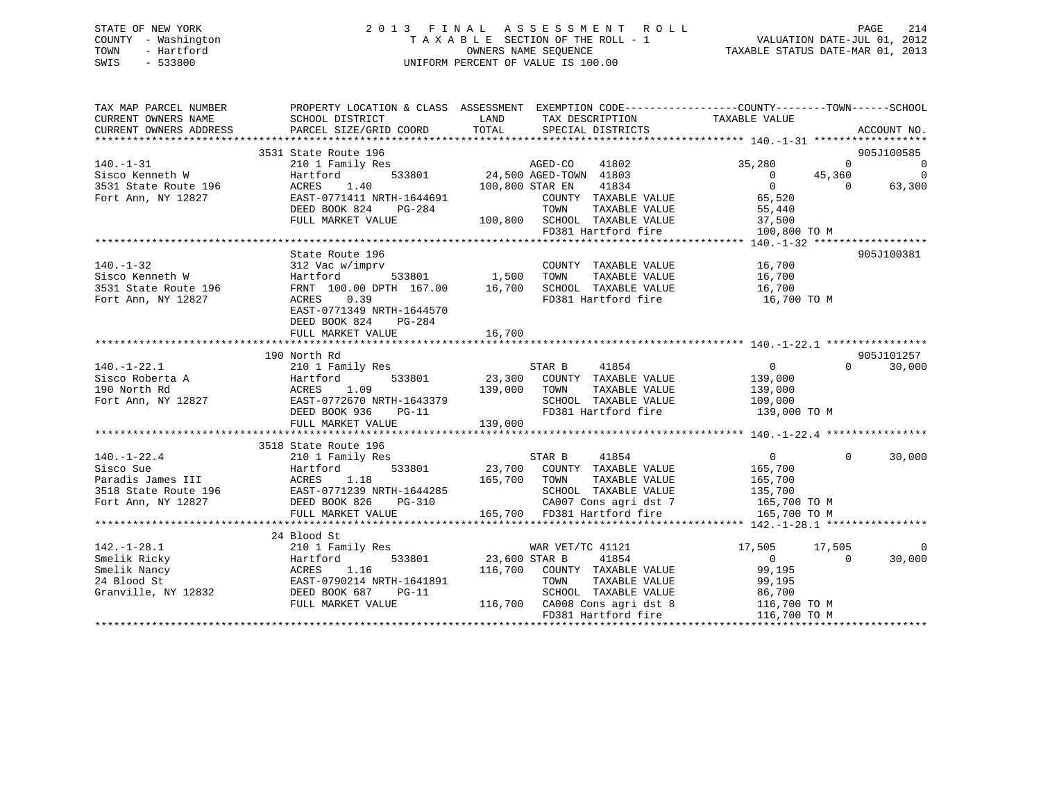# STATE OF NEW YORK 2 0 1 3 F I N A L A S S E S S M E N T R O L L PAGE 214 COUNTY - Washington T A X A B L E SECTION OF THE ROLL - 1 VALUATION DATE-JUL 01, 2012 TOWN - Hartford **TAXABLE STATUS DATE-MAR 01, 2013** SWIS - 533800 UNIFORM PERCENT OF VALUE IS 100.00

| TAX MAP PARCEL NUMBER<br>CURRENT OWNERS NAME<br>CURRENT OWNERS ADDRESS                                                                                             | PROPERTY LOCATION & CLASS ASSESSMENT EXEMPTION CODE----------------COUNTY-------TOWN------SCHOOL<br>SCHOOL DISTRICT<br>PARCEL SIZE/GRID COORD TOTAL                                                                                                                                                                                     | LAND                                                                                                                                                                                                            | TAX DESCRIPTION TAXABLE VALUE<br>SPECIAL DISTRICTS<br>SPECIAL DISTRICTS |                                           |                    | ACCOUNT NO.        |
|--------------------------------------------------------------------------------------------------------------------------------------------------------------------|-----------------------------------------------------------------------------------------------------------------------------------------------------------------------------------------------------------------------------------------------------------------------------------------------------------------------------------------|-----------------------------------------------------------------------------------------------------------------------------------------------------------------------------------------------------------------|-------------------------------------------------------------------------|-------------------------------------------|--------------------|--------------------|
|                                                                                                                                                                    | 3531 State Route 196                                                                                                                                                                                                                                                                                                                    |                                                                                                                                                                                                                 |                                                                         |                                           |                    | 905J100585         |
| $140. - 1 - 31$                                                                                                                                                    | 210 1 Family Res                                                                                                                                                                                                                                                                                                                        |                                                                                                                                                                                                                 |                                                                         | 35,280                                    | $\Omega$           | $\Omega$           |
| Sisco Kenneth W                                                                                                                                                    |                                                                                                                                                                                                                                                                                                                                         |                                                                                                                                                                                                                 |                                                                         |                                           |                    | $\mathbf 0$        |
| 3531 State Route 196                                                                                                                                               | Hartford<br>ACRES<br>1.40                                                                                                                                                                                                                                                                                                               | 1978<br>1972 MGED-CO 41802<br>533801 24,500 AGED-TOWN 41803<br>100,800 STAR EN 41834                                                                                                                            | 41834                                                                   | $\overline{0}$<br>$\overline{0}$          | 45,360<br>$\Omega$ | 63,300             |
| Fort Ann, NY 12827                                                                                                                                                 | EAST-0771411 NRTH-1644691                                                                                                                                                                                                                                                                                                               |                                                                                                                                                                                                                 |                                                                         |                                           |                    |                    |
|                                                                                                                                                                    | ---- 1999-1991<br>DEED BOOK 824 PG-284<br>RIILI MARYTE :                                                                                                                                                                                                                                                                                | TOWN                                                                                                                                                                                                            | COUNTY TAXABLE VALUE<br>TAXABLE VALUE                                   | 65,520<br>55.440<br>55,440                |                    |                    |
|                                                                                                                                                                    | FULL MARKET VALUE                                                                                                                                                                                                                                                                                                                       |                                                                                                                                                                                                                 |                                                                         |                                           |                    |                    |
|                                                                                                                                                                    |                                                                                                                                                                                                                                                                                                                                         | 100,800 SCHOOL TAXABLE VALUE 37,500                                                                                                                                                                             |                                                                         |                                           |                    |                    |
|                                                                                                                                                                    |                                                                                                                                                                                                                                                                                                                                         |                                                                                                                                                                                                                 |                                                                         | FD381 Hartford fire 100,800 TO M          |                    |                    |
|                                                                                                                                                                    |                                                                                                                                                                                                                                                                                                                                         |                                                                                                                                                                                                                 |                                                                         |                                           |                    |                    |
|                                                                                                                                                                    | State Route 196                                                                                                                                                                                                                                                                                                                         |                                                                                                                                                                                                                 | COUNTY TAXABLE VALUE 16,700                                             |                                           |                    | 905J100381         |
| $140. - 1 - 32$                                                                                                                                                    | 312 Vac w/imprv                                                                                                                                                                                                                                                                                                                         |                                                                                                                                                                                                                 |                                                                         |                                           |                    |                    |
| Sisco Kenneth W                                                                                                                                                    | $\begin{tabular}{lcccc} 312 \text{Vac w/imprv} & & & & & & & \text{TAXABLE VALUE} \\ \text{Hartford} & & 533801 & & 1,500 & \text{TOWN} & \text{TAXABLE VALUE} \\ \text{FRNT} & 100.00 \text{ DPTH} & 167.00 & & 16,700 & \text{SCHOOL} & \text{TAXABLE VALUE} \\ \text{ACRES} & & 0.39 & & & \text{FD381 Hartford fire} \end{tabular}$ |                                                                                                                                                                                                                 |                                                                         | TAXABLE VALUE 16,700                      |                    |                    |
| 3531 State Route 196                                                                                                                                               |                                                                                                                                                                                                                                                                                                                                         |                                                                                                                                                                                                                 |                                                                         | 16,700<br>FD381 Hartford fire 16,700 TO M |                    |                    |
| Fort Ann, NY 12827                                                                                                                                                 |                                                                                                                                                                                                                                                                                                                                         |                                                                                                                                                                                                                 |                                                                         |                                           |                    |                    |
|                                                                                                                                                                    | EAST-0771349 NRTH-1644570                                                                                                                                                                                                                                                                                                               |                                                                                                                                                                                                                 |                                                                         |                                           |                    |                    |
|                                                                                                                                                                    | DEED BOOK 824 PG-284                                                                                                                                                                                                                                                                                                                    |                                                                                                                                                                                                                 |                                                                         |                                           |                    |                    |
|                                                                                                                                                                    | FULL MARKET VALUE                                                                                                                                                                                                                                                                                                                       | 16,700                                                                                                                                                                                                          |                                                                         |                                           |                    |                    |
|                                                                                                                                                                    |                                                                                                                                                                                                                                                                                                                                         |                                                                                                                                                                                                                 |                                                                         |                                           |                    |                    |
|                                                                                                                                                                    | 190 North Rd                                                                                                                                                                                                                                                                                                                            |                                                                                                                                                                                                                 |                                                                         |                                           |                    | 905J101257         |
| 140.-1-22.1 210 1 Family Res<br>Sisco Roberta A Hartford 533801<br>190 North Rd ACRES 1.09<br>Fort Ann, NY 12827 EAST-0772670 NRTH-1643379                         |                                                                                                                                                                                                                                                                                                                                         | $\begin{array}{ccccccccc}\n & & & & & \text{STAR B} & & 41854 & & & & & 0 \\  & & & & & & & & 0 & & & & 0 \\ 533801 & & & & & & 23,300 & & \text{COUNTY} & \text{TAXABLE VALUE} & & & & & 139,000\n\end{array}$ |                                                                         |                                           |                    | $\Omega$<br>30,000 |
|                                                                                                                                                                    |                                                                                                                                                                                                                                                                                                                                         |                                                                                                                                                                                                                 |                                                                         |                                           |                    |                    |
|                                                                                                                                                                    |                                                                                                                                                                                                                                                                                                                                         | 139,000 TOWN                                                                                                                                                                                                    | TAXABLE VALUE                                                           | 139,000<br>109,000                        |                    |                    |
|                                                                                                                                                                    |                                                                                                                                                                                                                                                                                                                                         |                                                                                                                                                                                                                 | SCHOOL TAXABLE VALUE                                                    |                                           |                    |                    |
|                                                                                                                                                                    | DEED BOOK 936<br>PG-11                                                                                                                                                                                                                                                                                                                  |                                                                                                                                                                                                                 |                                                                         | FD381 Hartford fire 139,000 TO M          |                    |                    |
|                                                                                                                                                                    | FULL MARKET VALUE                                                                                                                                                                                                                                                                                                                       | 139,000                                                                                                                                                                                                         |                                                                         |                                           |                    |                    |
|                                                                                                                                                                    |                                                                                                                                                                                                                                                                                                                                         |                                                                                                                                                                                                                 |                                                                         |                                           |                    |                    |
|                                                                                                                                                                    | 3518 State Route 196                                                                                                                                                                                                                                                                                                                    |                                                                                                                                                                                                                 |                                                                         |                                           |                    |                    |
| $140. - 1 - 22.4$                                                                                                                                                  | 210 1 Family Res                                                                                                                                                                                                                                                                                                                        | STAR B 41854                                                                                                                                                                                                    |                                                                         | $\sim$ 0                                  | $\Omega$           | 30,000             |
|                                                                                                                                                                    |                                                                                                                                                                                                                                                                                                                                         | 533801 23,700 COUNTY TAXABLE VALUE 165,700                                                                                                                                                                      |                                                                         |                                           |                    |                    |
|                                                                                                                                                                    |                                                                                                                                                                                                                                                                                                                                         | 165,700 TOWN TAXABLE VALUE 165,700<br>1644285 SCHOOL TAXABLE VALUE 135,700<br>2G-310 CA007 Cons agri dst 7 165,700 TO M<br>165,700 FD381 Hartford fire 165,700 TO M                                             |                                                                         |                                           |                    |                    |
|                                                                                                                                                                    |                                                                                                                                                                                                                                                                                                                                         |                                                                                                                                                                                                                 |                                                                         |                                           |                    |                    |
| Fort Ann, NY 12827                                                                                                                                                 | DEED BOOK 826<br>PG-310                                                                                                                                                                                                                                                                                                                 |                                                                                                                                                                                                                 |                                                                         |                                           |                    |                    |
|                                                                                                                                                                    | FULL MARKET VALUE                                                                                                                                                                                                                                                                                                                       |                                                                                                                                                                                                                 |                                                                         |                                           |                    |                    |
|                                                                                                                                                                    |                                                                                                                                                                                                                                                                                                                                         |                                                                                                                                                                                                                 |                                                                         |                                           |                    |                    |
|                                                                                                                                                                    | 24 Blood St                                                                                                                                                                                                                                                                                                                             |                                                                                                                                                                                                                 |                                                                         |                                           |                    |                    |
|                                                                                                                                                                    |                                                                                                                                                                                                                                                                                                                                         |                                                                                                                                                                                                                 | WAR VET/TC 41121                                                        | 17,505 17,505                             |                    | 0                  |
|                                                                                                                                                                    |                                                                                                                                                                                                                                                                                                                                         | 533801 23,600 STAR B 41854<br>6 116,700 COUNTY TAXABLE VALUE                                                                                                                                                    |                                                                         | $\overline{0}$                            | $\overline{0}$     | 30,000             |
|                                                                                                                                                                    |                                                                                                                                                                                                                                                                                                                                         |                                                                                                                                                                                                                 |                                                                         | 99,195                                    |                    |                    |
| 142.-1-28.1<br>Smelik Ricky<br>Smelik Nancy<br>210 1 Family Res<br>Hartford 533801<br>Smelik Nancy<br>24 Blood St<br>Cranville, NY 12832<br>DEED BOOK 687<br>PG-11 |                                                                                                                                                                                                                                                                                                                                         | TOWN                                                                                                                                                                                                            | TAXABLE VALUE                                                           | 99,195<br>86.700                          |                    |                    |
|                                                                                                                                                                    |                                                                                                                                                                                                                                                                                                                                         |                                                                                                                                                                                                                 | SCHOOL TAXABLE VALUE                                                    | 86,700                                    |                    |                    |
|                                                                                                                                                                    | FULL MARKET VALUE                                                                                                                                                                                                                                                                                                                       | 116,700 CA008 Cons agri dst 8 116,700 TO M                                                                                                                                                                      |                                                                         |                                           |                    |                    |
|                                                                                                                                                                    |                                                                                                                                                                                                                                                                                                                                         |                                                                                                                                                                                                                 | FD381 Hartford fire                                                     | 116,700 TO M                              |                    |                    |
|                                                                                                                                                                    |                                                                                                                                                                                                                                                                                                                                         |                                                                                                                                                                                                                 |                                                                         |                                           |                    |                    |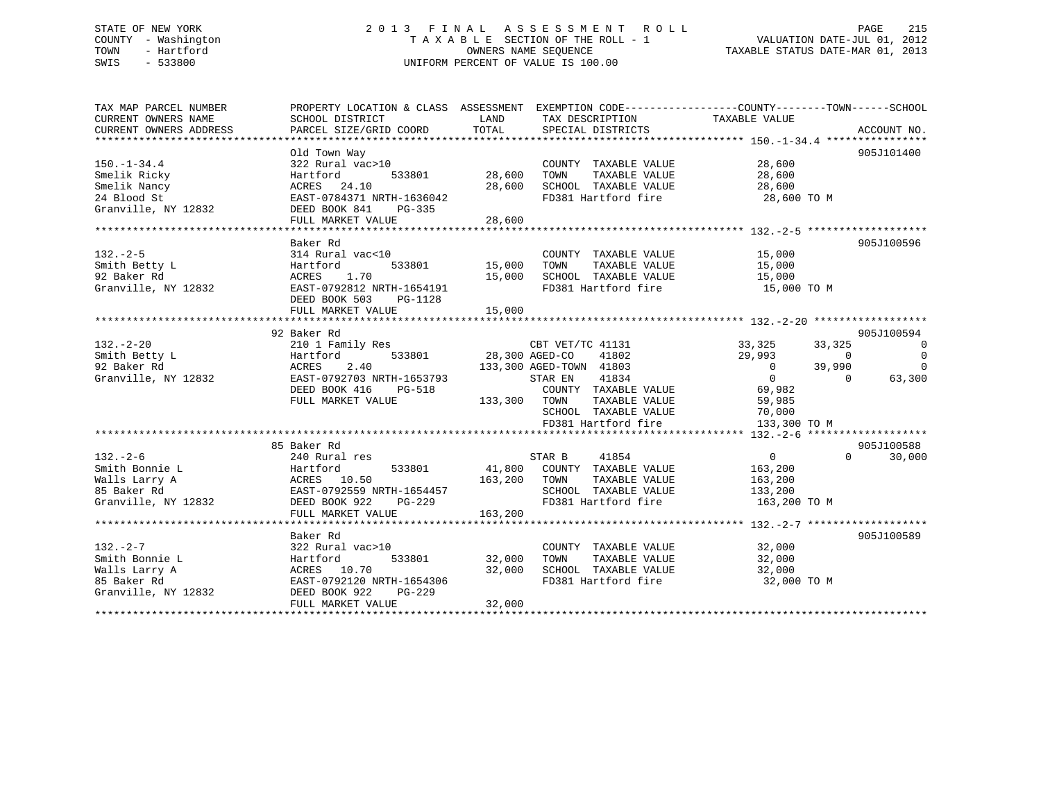# STATE OF NEW YORK 2 0 1 3 F I N A L A S S E S S M E N T R O L L PAGE 215 COUNTY - Washington T A X A B L E SECTION OF THE ROLL - 1 VALUATION DATE-JUL 01, 2012 TOWN - Hartford **TAXABLE STATUS DATE-MAR 01, 2013** SWIS - 533800 UNIFORM PERCENT OF VALUE IS 100.00

| TAX MAP PARCEL NUMBER  | PROPERTY LOCATION & CLASS ASSESSMENT EXEMPTION CODE---------------COUNTY-------TOWN-----SCHOOL |                |                             |                |                |                |
|------------------------|------------------------------------------------------------------------------------------------|----------------|-----------------------------|----------------|----------------|----------------|
| CURRENT OWNERS NAME    | SCHOOL DISTRICT                                                                                | LAND           | TAX DESCRIPTION             | TAXABLE VALUE  |                |                |
| CURRENT OWNERS ADDRESS | PARCEL SIZE/GRID COORD                                                                         | TOTAL          | SPECIAL DISTRICTS           |                |                | ACCOUNT NO.    |
|                        |                                                                                                |                |                             |                |                |                |
| $150. - 1 - 34.4$      | Old Town Way                                                                                   |                |                             |                |                | 905J101400     |
|                        | 322 Rural vac>10                                                                               |                | COUNTY TAXABLE VALUE        | 28,600         |                |                |
| Smelik Ricky           | Hartford<br>533801                                                                             | 28,600         | TOWN<br>TAXABLE VALUE       | 28,600         |                |                |
| Smelik Nancy           | ACRES<br>24.10                                                                                 | 28,600         | SCHOOL TAXABLE VALUE        | 28,600         |                |                |
| 24 Blood St            | EAST-0784371 NRTH-1636042                                                                      |                | FD381 Hartford fire         | 28,600 TO M    |                |                |
| Granville, NY 12832    | DEED BOOK 841<br>PG-335                                                                        |                |                             |                |                |                |
|                        | FULL MARKET VALUE                                                                              | 28,600         |                             |                |                |                |
|                        | Baker Rd                                                                                       |                |                             |                |                | 905J100596     |
| $132 - 2 - 5$          | 314 Rural vac<10                                                                               |                | COUNTY TAXABLE VALUE        | 15,000         |                |                |
| Smith Betty L          | Hartford<br>533801                                                                             | 15,000         | TOWN<br>TAXABLE VALUE       | 15,000         |                |                |
| 92 Baker Rd            | 1.70<br>ACRES                                                                                  | 15,000         | SCHOOL TAXABLE VALUE        | 15,000         |                |                |
| Granville, NY 12832    | EAST-0792812 NRTH-1654191                                                                      |                | FD381 Hartford fire         | 15,000 TO M    |                |                |
|                        | DEED BOOK 503<br>PG-1128                                                                       |                |                             |                |                |                |
|                        | FULL MARKET VALUE                                                                              | 15,000         |                             |                |                |                |
|                        |                                                                                                |                |                             |                |                |                |
|                        | 92 Baker Rd                                                                                    |                |                             |                |                | 905J100594     |
| $132 - 2 - 20$         | 210 1 Family Res                                                                               |                | CBT VET/TC 41131            | 33,325         | 33,325         | - 0            |
| Smith Betty L          | 533801<br>Hartford                                                                             | 28,300 AGED-CO | 41802                       | 29,993         | $\overline{0}$ | $\overline{0}$ |
| 92 Baker Rd            | 2.40<br>ACRES                                                                                  |                | 133,300 AGED-TOWN 41803     | $\overline{0}$ | 39,990         | $\mathbf 0$    |
| Granville, NY 12832    | EAST-0792703 NRTH-1653793                                                                      |                | STAR EN<br>41834            | $\overline{0}$ | $\Omega$       | 63,300         |
|                        | DEED BOOK 416<br>PG-518                                                                        |                | COUNTY TAXABLE VALUE        | 69,982         |                |                |
|                        | FULL MARKET VALUE                                                                              | 133,300 TOWN   | TAXABLE VALUE               | 59,985         |                |                |
|                        |                                                                                                |                | SCHOOL TAXABLE VALUE        | 70,000         |                |                |
|                        |                                                                                                |                | FD381 Hartford fire         | 133,300 TO M   |                |                |
|                        |                                                                                                |                |                             |                |                |                |
|                        | 85 Baker Rd                                                                                    |                |                             |                |                | 905J100588     |
| $132 - 2 - 6$          | 240 Rural res                                                                                  |                | STAR B<br>41854             | $\overline{0}$ | $\Omega$       | 30,000         |
| Smith Bonnie L         | 533801<br>Hartford                                                                             |                | 41,800 COUNTY TAXABLE VALUE | 163,200        |                |                |
| Walls Larry A          | ACRES 10.50                                                                                    | 163,200        | TAXABLE VALUE<br>TOWN       | 163,200        |                |                |
| 85 Baker Rd            | EAST-0792559 NRTH-1654457                                                                      |                | SCHOOL TAXABLE VALUE        | 133,200        |                |                |
| Granville, NY 12832    | DEED BOOK 922<br>PG-229                                                                        |                | FD381 Hartford fire         | 163,200 TO M   |                |                |
|                        | FULL MARKET VALUE                                                                              | 163,200        |                             |                |                |                |
|                        |                                                                                                |                |                             |                |                |                |
|                        | Baker Rd                                                                                       |                |                             |                |                | 905J100589     |
| $132 - 2 - 7$          | 322 Rural vac>10                                                                               |                | COUNTY TAXABLE VALUE        | 32,000         |                |                |
| Smith Bonnie L         | 533801<br>Hartford                                                                             | 32,000         | TOWN<br>TAXABLE VALUE       | 32,000         |                |                |
| Walls Larry A          | ACRES 10.70                                                                                    | 32,000         | SCHOOL TAXABLE VALUE        | 32,000         |                |                |
| 85 Baker Rd            | EAST-0792120 NRTH-1654306                                                                      |                | FD381 Hartford fire         | 32,000 TO M    |                |                |
| Granville, NY 12832    | DEED BOOK 922<br>PG-229                                                                        |                |                             |                |                |                |
|                        | FULL MARKET VALUE                                                                              | 32,000         |                             |                |                |                |
|                        |                                                                                                |                |                             |                |                |                |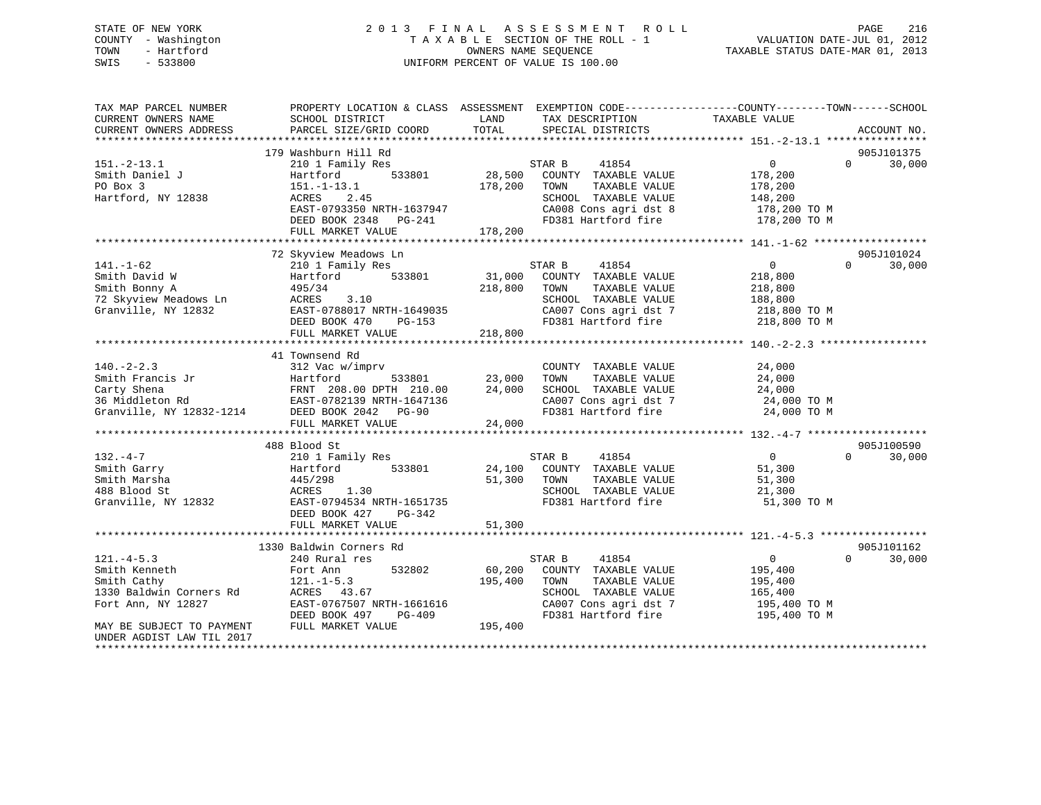# STATE OF NEW YORK 2 0 1 3 F I N A L A S S E S S M E N T R O L L PAGE 216 COUNTY - Washington T A X A B L E SECTION OF THE ROLL - 1 VALUATION DATE-JUL 01, 2012 TOWN - Hartford OWNERS NAME SEQUENCE TAXABLE STATUS DATE-MAR 01, 2013 SWIS - 533800 UNIFORM PERCENT OF VALUE IS 100.00

| TAX MAP PARCEL NUMBER<br>CURRENT OWNERS NAME       | SCHOOL DISTRICT                                | LAND                    | TAX DESCRIPTION                               | PROPERTY LOCATION & CLASS ASSESSMENT EXEMPTION CODE----------------COUNTY-------TOWN------SCHOOL<br>TAXABLE VALUE |             |
|----------------------------------------------------|------------------------------------------------|-------------------------|-----------------------------------------------|-------------------------------------------------------------------------------------------------------------------|-------------|
| CURRENT OWNERS ADDRESS                             | PARCEL SIZE/GRID COORD                         | TOTAL                   | SPECIAL DISTRICTS                             |                                                                                                                   | ACCOUNT NO. |
|                                                    |                                                |                         |                                               |                                                                                                                   |             |
|                                                    | 179 Washburn Hill Rd                           |                         |                                               |                                                                                                                   | 905J101375  |
| $151. - 2 - 13.1$                                  | 210 1 Family Res                               |                         | 41854<br>STAR B                               | $\Omega$<br>$\overline{0}$                                                                                        | 30,000      |
| Smith Daniel J                                     | 533801<br>Hartford                             | 28,500                  | COUNTY TAXABLE VALUE                          | 178,200                                                                                                           |             |
| PO Box 3                                           | $151. - 1 - 13.1$                              | 178,200                 | TOWN<br>TAXABLE VALUE                         | 178,200                                                                                                           |             |
| Hartford, NY 12838                                 | ACRES<br>2.45                                  |                         | SCHOOL TAXABLE VALUE                          | 148,200                                                                                                           |             |
|                                                    | EAST-0793350 NRTH-1637947                      |                         | CA008 Cons agri dst 8                         | 178,200 ТО М                                                                                                      |             |
|                                                    | DEED BOOK 2348<br>PG-241                       |                         | FD381 Hartford fire                           | 178,200 TO M                                                                                                      |             |
|                                                    | FULL MARKET VALUE                              | 178,200                 |                                               |                                                                                                                   |             |
|                                                    |                                                |                         |                                               |                                                                                                                   |             |
|                                                    | 72 Skyview Meadows Ln                          |                         |                                               |                                                                                                                   | 905J101024  |
| $141. - 1 - 62$                                    | 210 1 Family Res                               |                         | STAR B<br>41854                               | 0<br>$\Omega$                                                                                                     | 30,000      |
| Smith David W                                      | 533801<br>Hartford                             | 31,000                  | COUNTY TAXABLE VALUE                          | 218,800                                                                                                           |             |
| Smith Bonny A                                      | 495/34                                         | 218,800                 | TAXABLE VALUE<br>TOWN                         | 218,800                                                                                                           |             |
| 72 Skyview Meadows Ln                              | ACRES<br>3.10                                  |                         | SCHOOL TAXABLE VALUE                          | 188,800                                                                                                           |             |
| Granville, NY 12832                                | EAST-0788017 NRTH-1649035                      |                         | CA007 Cons agri dst 7                         | 218,800 TO M                                                                                                      |             |
|                                                    | DEED BOOK 470<br>PG-153                        |                         | FD381 Hartford fire                           | 218,800 TO M                                                                                                      |             |
|                                                    | FULL MARKET VALUE                              | 218,800                 |                                               |                                                                                                                   |             |
|                                                    |                                                |                         |                                               |                                                                                                                   |             |
|                                                    | 41 Townsend Rd                                 |                         |                                               |                                                                                                                   |             |
| $140. -2 - 2.3$                                    | 312 Vac w/imprv                                |                         | COUNTY TAXABLE VALUE                          | 24,000                                                                                                            |             |
|                                                    | 533801<br>Hartford                             | 23,000                  | TOWN<br>TAXABLE VALUE                         | 24,000                                                                                                            |             |
| Smith Francis Jr<br>Carty Shena<br>36 Middleton Rd | FRNT 208.00 DPTH 210.00                        | 24,000                  | SCHOOL TAXABLE VALUE                          | 24,000                                                                                                            |             |
|                                                    | EAST-0782139 NRTH-1647136                      |                         | CA007 Cons agri dst 7                         | 24,000 TO M                                                                                                       |             |
| Granville, NY 12832-1214                           | DEED BOOK 2042 PG-90                           |                         | FD381 Hartford fire                           | 24,000 TO M                                                                                                       |             |
|                                                    | FULL MARKET VALUE                              | 24,000                  |                                               |                                                                                                                   |             |
|                                                    |                                                |                         |                                               |                                                                                                                   |             |
|                                                    | 488 Blood St                                   |                         |                                               |                                                                                                                   | 905J100590  |
| $132 - 4 - 7$                                      | 210 1 Family Res                               |                         | STAR B<br>41854                               | $\overline{0}$<br>$\Omega$                                                                                        | 30,000      |
| Smith Garry                                        | 533801<br>Hartford                             | 24,100                  | COUNTY TAXABLE VALUE                          | 51,300                                                                                                            |             |
| Smith Marsha                                       | 445/298                                        | 51,300                  | TAXABLE VALUE<br>TOWN                         | 51,300                                                                                                            |             |
| 488 Blood St                                       | ACRES<br>1.30                                  |                         | SCHOOL TAXABLE VALUE                          | 21,300                                                                                                            |             |
| Granville, NY 12832                                | EAST-0794534 NRTH-1651735                      |                         | FD381 Hartford fire                           | 51,300 TO M                                                                                                       |             |
|                                                    | DEED BOOK 427<br>PG-342                        |                         |                                               |                                                                                                                   |             |
|                                                    | FULL MARKET VALUE<br>************************* | 51,300<br>************* |                                               |                                                                                                                   |             |
|                                                    |                                                |                         |                                               |                                                                                                                   |             |
|                                                    | 1330 Baldwin Corners Rd                        |                         |                                               | $\Omega$                                                                                                          | 905J101162  |
| $121. -4 - 5.3$                                    | 240 Rural res                                  |                         | STAR B<br>41854<br>COUNTY TAXABLE VALUE       | 0                                                                                                                 | 30,000      |
| Smith Kenneth                                      | 532802<br>Fort Ann                             | 60,200<br>195,400       | TOWN<br>TAXABLE VALUE                         | 195,400                                                                                                           |             |
| Smith Cathy                                        | $121. - 1 - 5.3$                               |                         |                                               | 195,400                                                                                                           |             |
| 1330 Baldwin Corners Rd                            | ACRES 43.67<br>EAST-0767507 NRTH-1661616       |                         | SCHOOL TAXABLE VALUE<br>CA007 Cons agri dst 7 | 165,400                                                                                                           |             |
| Fort Ann, NY 12827                                 | DEED BOOK 497<br>PG-409                        |                         | FD381 Hartford fire                           | 195,400 TO M<br>195,400 TO M                                                                                      |             |
| MAY BE SUBJECT TO PAYMENT                          | FULL MARKET VALUE                              | 195,400                 |                                               |                                                                                                                   |             |
| UNDER AGDIST LAW TIL 2017                          |                                                |                         |                                               |                                                                                                                   |             |
|                                                    |                                                |                         |                                               |                                                                                                                   |             |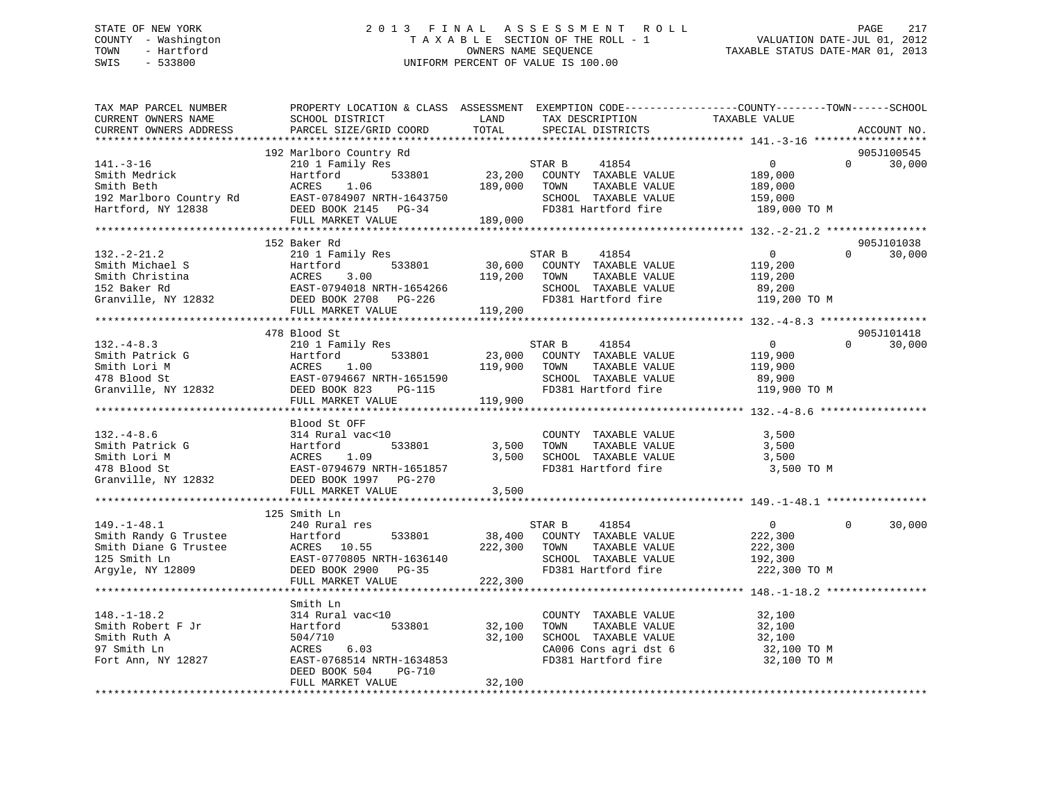# STATE OF NEW YORK 2 0 1 3 F I N A L A S S E S S M E N T R O L L PAGE 217 COUNTY - Washington T A X A B L E SECTION OF THE ROLL - 1 VALUATION DATE-JUL 01, 2012 TOWN - Hartford **TAXABLE STATUS DATE-MAR 01, 2013** SWIS - 533800 UNIFORM PERCENT OF VALUE IS 100.00

| TAX MAP PARCEL NUMBER<br>CURRENT OWNERS NAME<br>CURRENT OWNERS ADDRESS                                                                                        | PROPERTY LOCATION & CLASS ASSESSMENT EXEMPTION CODE---------------COUNTY-------TOWN------SCHOOL<br>SCHOOL DISTRICT<br>PARCEL SIZE/GRID COORD             | LAND<br>TOTAL              | TAX DESCRIPTION<br>SPECIAL DISTRICTS                                                                                             | TAXABLE VALUE                                                  | ACCOUNT NO.                      |
|---------------------------------------------------------------------------------------------------------------------------------------------------------------|----------------------------------------------------------------------------------------------------------------------------------------------------------|----------------------------|----------------------------------------------------------------------------------------------------------------------------------|----------------------------------------------------------------|----------------------------------|
|                                                                                                                                                               |                                                                                                                                                          |                            |                                                                                                                                  |                                                                |                                  |
|                                                                                                                                                               | 192 Marlboro Country Rd                                                                                                                                  |                            |                                                                                                                                  |                                                                | 905J100545                       |
| $141.-3-16$<br>141.-3-10<br>Smith Medrick<br>Costh                                                                                                            | 210 1 Family Res<br>533801<br>Hartford<br>1.06<br>ACRES                                                                                                  | 189,000 TOWN               | STAR B<br>41854<br>23,200 COUNTY TAXABLE VALUE<br>TAXABLE VALUE<br>SCHOOL TAXABLE VALUE 159,000                                  | $\overline{0}$<br>189,000<br>189,000                           | $\Omega$<br>30,000               |
| Hartford, NY 12838                                                                                                                                            | FULL MARKET VALUE                                                                                                                                        | 189,000                    | FD381 Hartford fire                                                                                                              | 189,000 TO M                                                   |                                  |
|                                                                                                                                                               |                                                                                                                                                          |                            |                                                                                                                                  |                                                                |                                  |
|                                                                                                                                                               | 152 Baker Rd                                                                                                                                             |                            |                                                                                                                                  |                                                                | 905J101038                       |
| $132. -2 - 21.2$                                                                                                                                              | 210 1 Family Res<br>119,200 TOWN                                                                                                                         |                            | STAR B<br>41854<br>30,600 COUNTY TAXABLE VALUE<br>TAXABLE VALUE<br>SCHOOL TAXABLE VALUE<br>FD381 Hartford fire 119,200 TO M      | $\overline{0}$<br>119,200<br>119,200<br>89,200                 | $\Omega$<br>30,000               |
|                                                                                                                                                               | FULL MARKET VALUE                                                                                                                                        | 119,200                    |                                                                                                                                  |                                                                |                                  |
|                                                                                                                                                               |                                                                                                                                                          |                            |                                                                                                                                  |                                                                |                                  |
| $132 - 4 - 8.3$<br>Smith Patrick G<br>Smith Lori M<br>478 Blood St<br>Smith Patrick G<br>Smith Lori M<br>478 Blood St<br>Granville, NY 12832<br>EEED BOOK 823 | 478 Blood St<br>210 1 Family Res<br>533801<br>EAST-0794667 NRTH-1651590<br>DG-112<br>PG-112<br>FULL MARKET VALUE                                         | 119,900 TOWN<br>119,900    | STAR B<br>41854<br>23,000 COUNTY TAXABLE VALUE<br>TAXABLE VALUE<br>SCHOOL TAXABLE VALUE<br>FD381 Hartford fire                   | $\overline{0}$<br>119,900<br>119,900<br>89,900<br>119,900 TO M | 905J101418<br>$\Omega$<br>30,000 |
|                                                                                                                                                               |                                                                                                                                                          |                            |                                                                                                                                  |                                                                |                                  |
| $132 - 4 - 8.6$<br>Smith Patrick G<br>Smith Lori M<br>478 Blood St<br>Granville, NY 12832                                                                     | Blood St OFF<br>314 Rural vac<10<br>Hartford 533801<br>ACRES 1.09<br>EAST-0794679 NRTH-1651857<br>DEED BOOK 1997 PG-270                                  | 533801 3,500 TOWN<br>3,500 | COUNTY TAXABLE VALUE<br>TOWN      TAXABLE VALUE<br>SCHOOL TAXABLE VALUE<br>FD381 Hartford fire                                   | 3,500<br>3,500<br>3,500<br>3,500 TO M                          |                                  |
|                                                                                                                                                               | FULL MARKET VALUE                                                                                                                                        | 3,500                      |                                                                                                                                  |                                                                |                                  |
|                                                                                                                                                               |                                                                                                                                                          |                            |                                                                                                                                  |                                                                |                                  |
| $149. - 1 - 48.1$<br>Smith Randy G Trustee<br>Smith Diane G Trustee<br>125 Smith Ln<br>Argyle, NY 12809                                                       | 240 Rural res<br>Hartford 533801<br>ACRES 10.55<br>EAST-0770805 NRTH-1626111<br>FULL MARKET VALUE                                                        | 222,300 TOWN<br>222,300    | STAR B<br>41854<br>38,400 COUNTY TAXABLE VALUE<br>TAXABLE VALUE<br>SCHOOL TAXABLE VALUE<br>FD381 Hartford fire 222,300 TO M      | 0<br>222,300<br>222,300<br>192,300                             | 30,000<br>0                      |
|                                                                                                                                                               | **************************************                                                                                                                   |                            |                                                                                                                                  | ************************************ 148.-1-18.2 ****          |                                  |
| $148. - 1 - 18.2$<br>Smith Robert F Jr<br>Smith Ruth A<br>97 Smith Ln<br>Fort Ann, NY 12827                                                                   | Smith Ln<br>314 Rural vac<10<br>533801<br>Hartford<br>504/710<br>ACRES 6.03<br>EAST-0768514 NRTH-1634853<br>DEED BOOK 504<br>PG-710<br>FULL MARKET VALUE | 32,100<br>32,100<br>32,100 | COUNTY TAXABLE VALUE<br>TOWN TAXABLE VALUE 32,100<br>SCHOOL TAXABLE VALUE 32,100<br>CA006 Cons agri dst 6<br>FD381 Hartford fire | 32,100<br>32,100 TO M<br>32,100 TO M                           |                                  |
|                                                                                                                                                               |                                                                                                                                                          |                            |                                                                                                                                  |                                                                |                                  |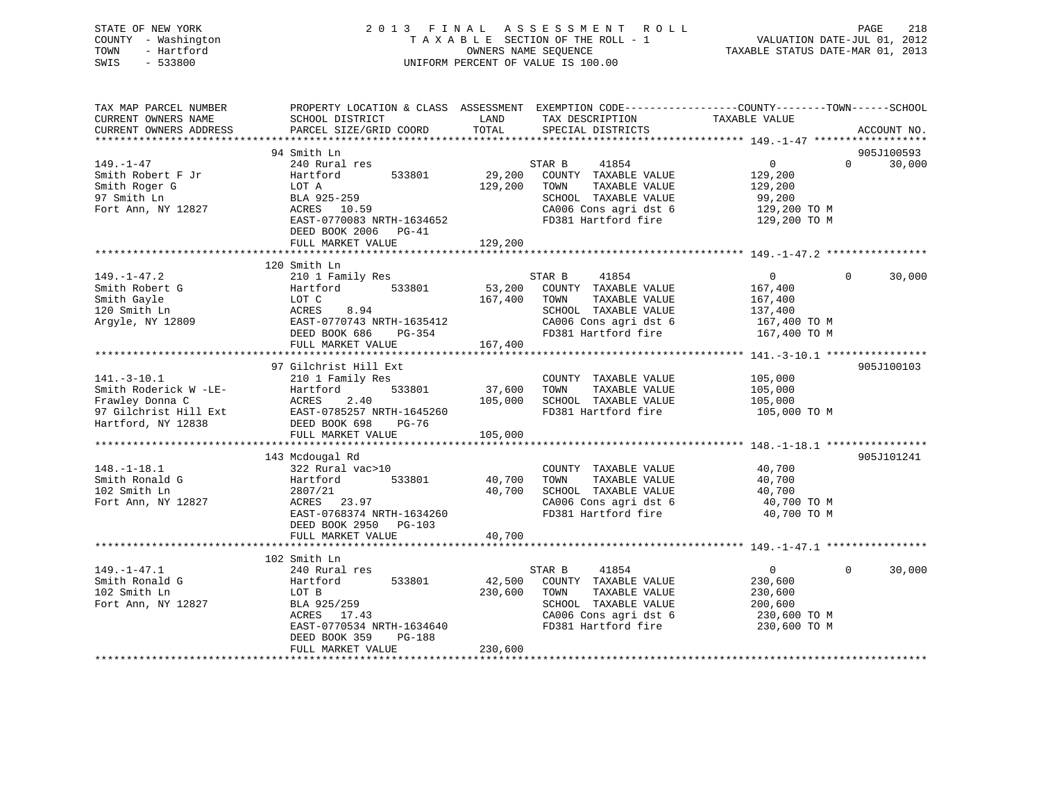# STATE OF NEW YORK 2 0 1 3 F I N A L A S S E S S M E N T R O L L PAGE 218 COUNTY - Washington T A X A B L E SECTION OF THE ROLL - 1 VALUATION DATE-JUL 01, 2012 TOWN - Hartford **TAXABLE STATUS DATE-MAR 01, 2013** SWIS - 533800 UNIFORM PERCENT OF VALUE IS 100.00

| TAX MAP PARCEL NUMBER<br>CURRENT OWNERS NAME<br>CURRENT OWNERS ADDRESS                                       | PROPERTY LOCATION & CLASS ASSESSMENT EXEMPTION CODE----------------COUNTY-------TOWN------SCHOOL<br>SCHOOL DISTRICT<br>PARCEL SIZE/GRID COORD                           | LAND<br>TOTAL                | TAX DESCRIPTION<br>SPECIAL DISTRICTS                                                                                                     | TAXABLE VALUE                                                                                 | ACCOUNT NO.          |
|--------------------------------------------------------------------------------------------------------------|-------------------------------------------------------------------------------------------------------------------------------------------------------------------------|------------------------------|------------------------------------------------------------------------------------------------------------------------------------------|-----------------------------------------------------------------------------------------------|----------------------|
|                                                                                                              |                                                                                                                                                                         |                              |                                                                                                                                          |                                                                                               |                      |
| $149. - 1 - 47$<br>Smith Robert F Jr<br>Smith Roger G<br>97 Smith Ln<br>Fort Ann, NY 12827                   | 94 Smith Ln<br>240 Rural res<br>533801<br>Hartford<br>LOT A<br>BLA 925-259<br>ACRES 10.59<br>EAST-0770083 NRTH-1634652<br>DEED BOOK 2006 PG-41<br>FULL MARKET VALUE     | 29,200<br>129,200<br>129,200 | STAR B<br>41854<br>COUNTY TAXABLE VALUE<br>TOWN<br>TAXABLE VALUE<br>SCHOOL TAXABLE VALUE<br>CA006 Cons agri dst 6<br>FD381 Hartford fire | $0 \qquad \qquad$<br>$\Omega$<br>129,200<br>129,200<br>99,200<br>129,200 TO M<br>129,200 TO M | 905J100593<br>30,000 |
|                                                                                                              |                                                                                                                                                                         |                              |                                                                                                                                          |                                                                                               |                      |
| $149. - 1 - 47.2$<br>Smith Robert G<br>Smith Gayle<br>120 Smith Ln<br>Argyle, NY 12809                       | 120 Smith Ln<br>210 1 Family Res<br>533801<br>Hartford<br>LOT C<br>8.94<br>ACRES<br>EAST-0770743 NRTH-1635412<br>DEED BOOK 686<br>PG-354<br>FULL MARKET VALUE           | 53,200<br>167,400<br>167,400 | 41854<br>STAR B<br>COUNTY TAXABLE VALUE<br>TAXABLE VALUE<br>TOWN<br>SCHOOL TAXABLE VALUE<br>CA006 Cons agri dst 6<br>FD381 Hartford fire | $\mathbf{0}$<br>$\Omega$<br>167,400<br>167,400<br>137,400<br>167,400 TO M<br>167,400 TO M     | 30,000               |
|                                                                                                              | 97 Gilchrist Hill Ext                                                                                                                                                   |                              |                                                                                                                                          |                                                                                               | 905J100103           |
| $141. - 3 - 10.1$<br>Smith Roderick W -LE-<br>Frawley Donna C<br>97 Gilchrist Hill Ext<br>Hartford, NY 12838 | 210 1 Family Res<br>533801<br>Hartford<br>ACRES<br>2.40<br>EAST-0785257 NRTH-1645260<br>DEED BOOK 698<br>PG-76<br>FULL MARKET VALUE                                     | 37,600<br>105,000<br>105,000 | COUNTY TAXABLE VALUE<br>TAXABLE VALUE<br>TOWN<br>SCHOOL TAXABLE VALUE<br>FD381 Hartford fire                                             | 105,000<br>105,000<br>105,000<br>105,000 TO M                                                 |                      |
|                                                                                                              | 143 Mcdougal Rd                                                                                                                                                         |                              |                                                                                                                                          |                                                                                               | 905J101241           |
| $148. - 1 - 18.1$<br>Smith Ronald G<br>102 Smith Ln<br>Fort Ann, NY 12827                                    | 322 Rural vac>10<br>533801<br>Hartford<br>2807/21<br>ACRES 23.97<br>EAST-0768374 NRTH-1634260<br>DEED BOOK 2950<br>$PG-103$                                             | 40,700<br>40,700             | COUNTY TAXABLE VALUE<br>TOWN<br>TAXABLE VALUE<br>SCHOOL TAXABLE VALUE<br>CA006 Cons agri dst 6<br>FD381 Hartford fire                    | 40,700<br>40,700<br>40,700<br>40,700 TO M<br>40,700 TO M                                      |                      |
|                                                                                                              | FULL MARKET VALUE                                                                                                                                                       | 40,700                       |                                                                                                                                          |                                                                                               |                      |
|                                                                                                              |                                                                                                                                                                         |                              |                                                                                                                                          |                                                                                               |                      |
| $149. - 1 - 47.1$<br>Smith Ronald G<br>102 Smith Ln<br>Fort Ann, NY 12827                                    | 102 Smith Ln<br>240 Rural res<br>533801<br>Hartford<br>LOT B<br>BLA 925/259<br>ACRES 17.43<br>EAST-0770534 NRTH-1634640<br>DEED BOOK 359<br>PG-188<br>FULL MARKET VALUE | 42,500<br>230,600<br>230,600 | 41854<br>STAR B<br>COUNTY TAXABLE VALUE<br>TAXABLE VALUE<br>TOWN<br>SCHOOL TAXABLE VALUE<br>CA006 Cons agri dst 6<br>FD381 Hartford fire | $\overline{0}$<br>$\Omega$<br>230,600<br>230,600<br>200,600<br>230,600 TO M<br>230,600 TO M   | 30,000               |
|                                                                                                              |                                                                                                                                                                         |                              |                                                                                                                                          |                                                                                               |                      |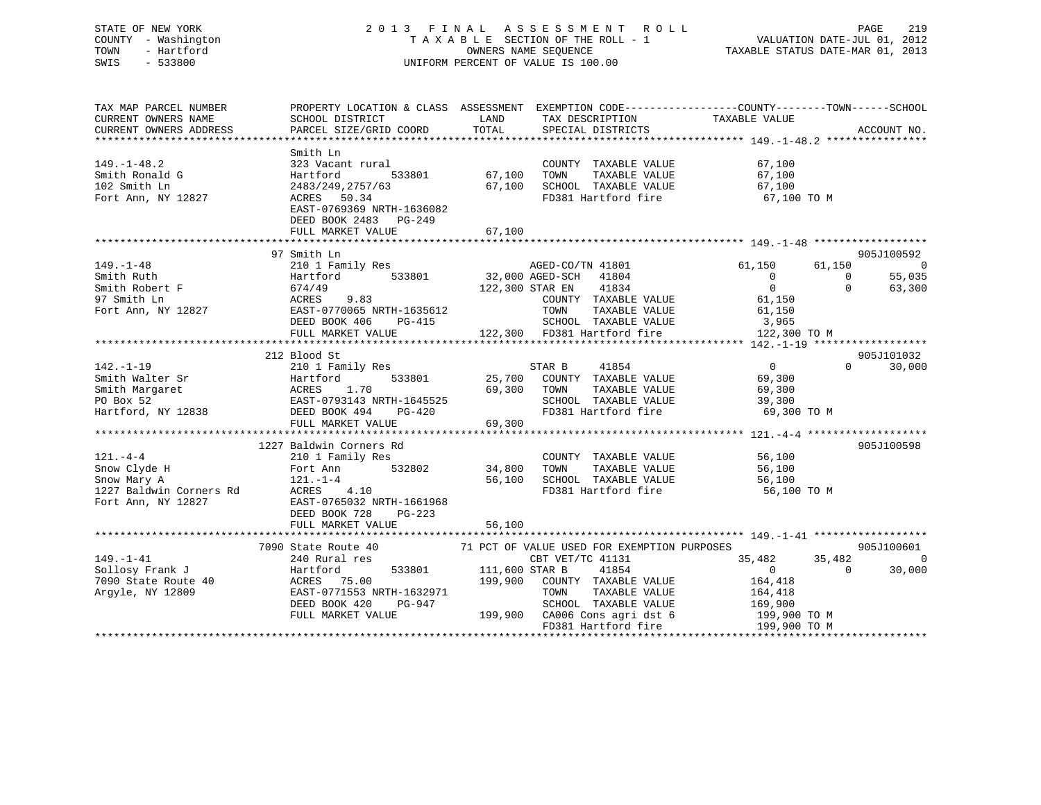# STATE OF NEW YORK 2 0 1 3 F I N A L A S S E S S M E N T R O L L PAGE 219 COUNTY - Washington T A X A B L E SECTION OF THE ROLL - 1 VALUATION DATE-JUL 01, 2012 TOWN - Hartford **TAXABLE STATUS DATE-MAR 01, 2013** SWIS - 533800 UNIFORM PERCENT OF VALUE IS 100.00

| TAX MAP PARCEL NUMBER<br>CURRENT OWNERS NAME | PROPERTY LOCATION & CLASS ASSESSMENT EXEMPTION CODE----------------COUNTY-------TOWN------SCHOOL<br>SCHOOL DISTRICT                                        | LAND                  | TAX DESCRIPTION                                                                    | TAXABLE VALUE        |                |                |
|----------------------------------------------|------------------------------------------------------------------------------------------------------------------------------------------------------------|-----------------------|------------------------------------------------------------------------------------|----------------------|----------------|----------------|
| CURRENT OWNERS ADDRESS                       | PARCEL SIZE/GRID COORD                                                                                                                                     | TOTAL                 | SPECIAL DISTRICTS                                                                  |                      |                | ACCOUNT NO.    |
|                                              |                                                                                                                                                            |                       |                                                                                    |                      |                |                |
| $149. - 1 - 48.2$                            | Smith Ln<br>323 Vacant rural<br>Hartford<br>533801                                                                                                         | 67,100                | COUNTY TAXABLE VALUE<br>TAXABLE VALUE                                              | 67,100<br>67,100     |                |                |
| Smith Ronald G<br>102 Smith Ln               | 2483/249,2757/63                                                                                                                                           | 67,100                | TOWN<br>SCHOOL TAXABLE VALUE                                                       | 67,100               |                |                |
| Fort Ann, NY 12827                           | ACRES 50.34                                                                                                                                                |                       | FD381 Hartford fire                                                                | 67,100 TO M          |                |                |
|                                              | EAST-0769369 NRTH-1636082<br>DEED BOOK 2483 PG-249<br>FULL MARKET VALUE                                                                                    | 67,100                |                                                                                    |                      |                |                |
|                                              |                                                                                                                                                            |                       |                                                                                    |                      |                |                |
|                                              | 97 Smith Ln                                                                                                                                                |                       |                                                                                    |                      |                | 905J100592     |
| $149. - 1 - 48$                              | 210 1 Family Res                                                                                                                                           |                       |                                                                                    | 61,150               | 61,150         | 0              |
| Smith Ruth                                   |                                                                                                                                                            |                       |                                                                                    | $\overline{0}$       | $\overline{0}$ | 55,035         |
|                                              |                                                                                                                                                            |                       | 41834<br>122,300 STAR EN                                                           | $\overline{0}$       | $\Omega$       | 63,300         |
|                                              | Smith Robert F<br>97 Smith Ln<br>Port Ann, NY 12827<br>Fort Ann, NY 12827<br>EAST-0770065 NRTH-1635612                                                     |                       | COUNTY TAXABLE VALUE                                                               | 61,150               |                |                |
|                                              |                                                                                                                                                            |                       | TAXABLE VALUE<br>TOWN                                                              | 61,150               |                |                |
|                                              | DEED BOOK 406<br>PG-415                                                                                                                                    |                       |                                                                                    |                      |                |                |
|                                              | FULL MARKET VALUE                                                                                                                                          |                       | 3,965 5-415 SCHOOL TAXABLE VALUE 3,965<br>122,300 FD381 Hartford fire 122,300 TO M |                      |                |                |
|                                              |                                                                                                                                                            |                       |                                                                                    |                      |                |                |
|                                              | 212 Blood St                                                                                                                                               |                       |                                                                                    |                      |                | 905J101032     |
|                                              |                                                                                                                                                            |                       | STAR B<br>41854                                                                    | $\overline{0}$       | $\Omega$       | 30,000         |
|                                              |                                                                                                                                                            |                       | 25,700 COUNTY TAXABLE VALUE                                                        | 69,300               |                |                |
|                                              |                                                                                                                                                            | 69,300 TOWN           | TAXABLE VALUE                                                                      | 69,300               |                |                |
|                                              |                                                                                                                                                            |                       |                                                                                    |                      |                |                |
|                                              |                                                                                                                                                            |                       | SCHOOL TAXABLE VALUE 39,300<br>FD381 Hartford fire 69,300 TO M                     |                      |                |                |
|                                              |                                                                                                                                                            |                       |                                                                                    |                      |                |                |
|                                              | FULL MARKET VALUE                                                                                                                                          | 69,300                |                                                                                    |                      |                |                |
|                                              |                                                                                                                                                            |                       |                                                                                    |                      |                |                |
| $121. -4 - 4$                                | 1227 Baldwin Corners Rd                                                                                                                                    |                       |                                                                                    |                      |                | 905J100598     |
|                                              | 210 1 Family Res                                                                                                                                           |                       | COUNTY TAXABLE VALUE                                                               | 56,100               |                |                |
| Snow Clyde H                                 | 210 1 raw<br>Fort Ann<br>121.-1-4<br>532802                                                                                                                | 34,800                | TOWN                                                                               | TAXABLE VALUE 56,100 |                |                |
| Snow Mary A                                  |                                                                                                                                                            | 56,100                | SCHOOL TAXABLE VALUE                                                               | 56,100               |                |                |
| 1227 Baldwin Corners Rd                      | ACRES 4.10                                                                                                                                                 |                       | FD381 Hartford fire                                                                | 56,100 TO M          |                |                |
| Fort Ann, NY 12827                           | EAST-0765032 NRTH-1661968                                                                                                                                  |                       |                                                                                    |                      |                |                |
|                                              | DEED BOOK 728<br>PG-223                                                                                                                                    |                       |                                                                                    |                      |                |                |
|                                              | FULL MARKET VALUE                                                                                                                                          | 56,100                |                                                                                    |                      |                |                |
|                                              |                                                                                                                                                            |                       |                                                                                    |                      |                |                |
|                                              | 7090 State Route 40                                                                                                                                        |                       | 71 PCT OF VALUE USED FOR EXEMPTION PURPOSES                                        |                      |                | 905J100601     |
| $149. - 1 - 41$                              | 240 Rural res                                                                                                                                              |                       | CBT VET/TC 41131                                                                   | 35,482               | 35,482         | $\overline{0}$ |
|                                              | 149.-1-41<br>Sollosy Frank J<br>7090 State Route 40 (ACRES 75.00<br>2009 (EAST-0771553 NRTH-1632971<br>2008 EAST-0771553 NRTH-1632971<br>2008 1008 129-947 | 533801 111,600 STAR B | 41854                                                                              | $\overline{0}$       | $\Omega$       | 30,000         |
|                                              |                                                                                                                                                            | 199,900               | COUNTY TAXABLE VALUE                                                               | 164,418              |                |                |
|                                              |                                                                                                                                                            |                       | TAXABLE VALUE<br>TOWN                                                              | 164,418              |                |                |
|                                              |                                                                                                                                                            |                       |                                                                                    |                      |                |                |
|                                              | FULL MARKET VALUE                                                                                                                                          |                       |                                                                                    |                      |                |                |
|                                              |                                                                                                                                                            |                       | FD381 Hartford fire                                                                | 199,900 TO M         |                |                |
|                                              |                                                                                                                                                            |                       |                                                                                    |                      |                |                |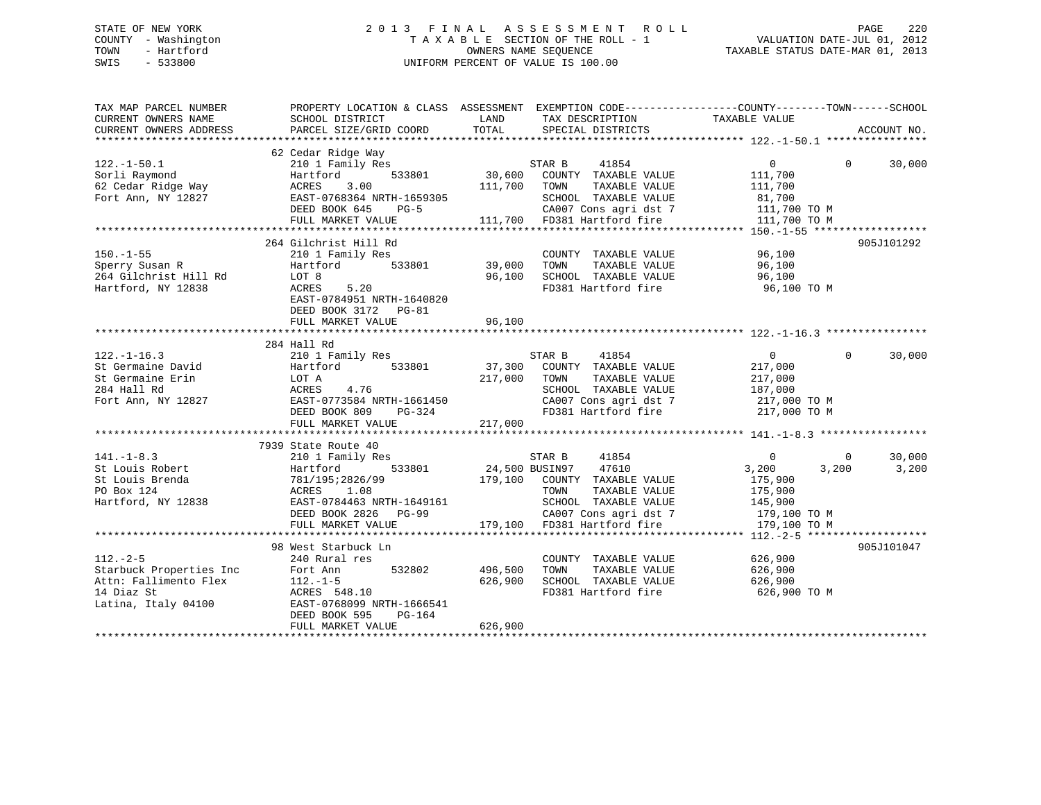# STATE OF NEW YORK 2 0 1 3 F I N A L A S S E S S M E N T R O L L PAGE 220 COUNTY - Washington T A X A B L E SECTION OF THE ROLL - 1 VALUATION DATE-JUL 01, 2012 TOWN - Hartford **TAXABLE STATUS DATE-MAR 01, 2013** SWIS - 533800 UNIFORM PERCENT OF VALUE IS 100.00

| TAX MAP PARCEL NUMBER<br>CURRENT OWNERS NAME<br>CURRENT OWNERS ADDRESS                     | SCHOOL DISTRICT<br>PARCEL SIZE/GRID COORD                                                                                                                                                                             | LAND<br>TAX DESCRIPTION<br>TOTAL<br>SPECIAL DISTRICTS                                                                                                                                                                                                                                  | PROPERTY LOCATION & CLASS ASSESSMENT EXEMPTION CODE----------------COUNTY-------TOWN------SCHOOL<br>TAXABLE VALUE<br>ACCOUNT NO.                                                                                                                                                             |
|--------------------------------------------------------------------------------------------|-----------------------------------------------------------------------------------------------------------------------------------------------------------------------------------------------------------------------|----------------------------------------------------------------------------------------------------------------------------------------------------------------------------------------------------------------------------------------------------------------------------------------|----------------------------------------------------------------------------------------------------------------------------------------------------------------------------------------------------------------------------------------------------------------------------------------------|
| $122.-1-50.1$<br>Sorli Raymond                                                             | 62 Cedar Ridge Way<br>210 1 Family Res<br>533801<br>Hartford                                                                                                                                                          | STAR B<br>41854<br>30,600 COUNTY TAXABLE VALUE<br>SOFII AgNuolo 2011 ACRES 3.00<br>Fort Ann, NY 12827 EAST-0768364 NRTH-1659305 EED BOOK 645 PG-5 CA007 Cons agri dst 7 111,700 TO M<br>FULL MARKET VALUE 111,700 TO M CA007 Cons agri dst 7 111,700 TO M<br>FULL MARKET VALUE 111,700 | $\overline{0}$<br>$\Omega$<br>30,000<br>111,700                                                                                                                                                                                                                                              |
| $150. - 1 - 55$<br>Sperry Susan R<br>264 Gilchrist Hill Rd<br>Hartford, NY 12838           | 264 Gilchrist Hill Rd<br>210 1 Family Res<br>533801<br>Hartford<br>LOT 8<br>ACRES 5.20<br>EAST-0784951 NRTH-1640820<br>DEED BOOK 3172 PG-81                                                                           | COUNTY TAXABLE VALUE<br>39,000<br>96,100<br>FD381 Hartford fire                                                                                                                                                                                                                        | 905J101292<br>96,100<br>96,100 TO M                                                                                                                                                                                                                                                          |
| $122. - 1 - 16.3$                                                                          | 284 Hall Rd<br>210 1 Family Res                                                                                                                                                                                       | STAR B<br>41854<br>37,300 COUNTY TAXABLE VALUE<br>217 000 TOWN TAXABLE VALUE                                                                                                                                                                                                           | $\Omega$<br>$\Omega$<br>30,000<br>122.1-1.0.00<br>284 Hall Rd<br>284 Hall Rd<br>284 Hall Rd<br>284 Hall Rd<br>284 Hall Rd<br>284 Hall Rd<br>284 Hall Rd<br>284 Hall Rd<br>2827 EATABLE VALUE<br>217,000 TOWN<br>217,000 TOWN<br>217,000 TOWN<br>217,000 TAXABLE VALUE<br>217,000 TO CAOOT OF |
| $141. - 1 - 8.3$<br>St Louis Robert<br>St Louis Brenda<br>PO Box 124<br>Hartford, NY 12838 | 7939 State Route 40<br>210 1 Family Res<br>Hartford 533801 24,<br>781/195:2826/99 179,<br>ACRES 1.08<br>EAST-0784463 NRTH-1649161<br>DEED BOOK 2826 PG-99<br>FULL MARKET VALUE                                        | STAR B<br>41854<br>24,500 BUSIN97 47610<br>179,100 COUNTY TAXABLE VALUE<br>CONSERVANCE CONSIDER AND CONSIDER A CONSIDER A CONSIDER A CONSIDERATION OF THE CONSIDERATION OF THE CONSIDERAT<br>179,100 TO M TO 381 Hartford fire 179,100 TO M                                            | 30,000<br>$\overline{0}$<br>$\overline{0}$<br>3,200<br>3,200<br>3,200<br>175,900                                                                                                                                                                                                             |
| $112. - 2 - 5$                                                                             | 98 West Starbuck Ln<br>240 Rural res<br>Fort Ann 532802<br>Attn: Fallimento Flex 112.-1-5<br>14 Diaz St ACRES 548.10<br>Latina, Italy 04100 EAST-0768099 NRTH-1666541<br>DEED BOOK 595<br>PG-164<br>FULL MARKET VALUE | COUNTY TAXABLE VALUE<br>496,500<br>TAXABLE VALUE<br>TOWN<br>SCHOOL TAXABLE VALUE<br>626,900<br>626,900                                                                                                                                                                                 | 905J101047<br>626,900<br>626,900<br>626,900<br>FD381 Hartford fire 626,900 TO M                                                                                                                                                                                                              |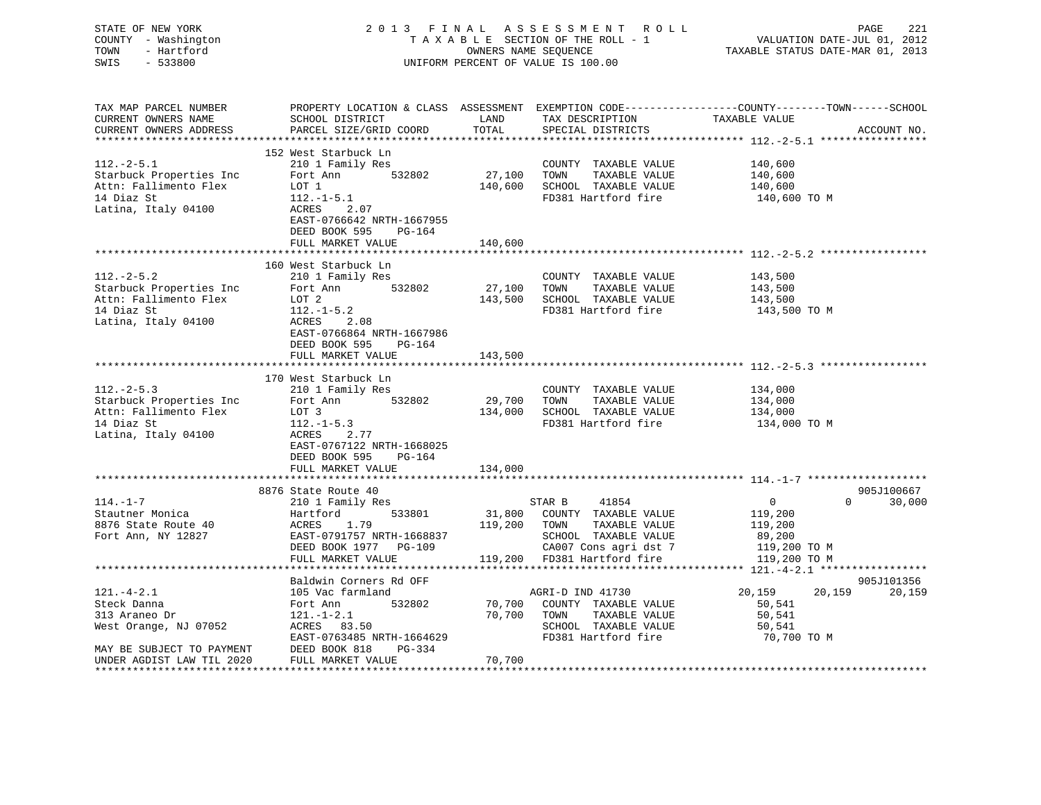| STATE OF NEW YORK<br>COUNTY - Washington<br>- Hartford<br>TOWN<br>SWIS<br>$-533800$ |                                                                                            |               | 2013 FINAL ASSESSMENT ROLL<br>TAXABLE SECTION OF THE ROLL - 1<br>OWNERS NAME SEQUENCE<br>UNIFORM PERCENT OF VALUE IS 100.00 | PAGE<br>221<br>VALUATION DATE-JUL 01, 2012<br>TAXABLE STATUS DATE-MAR 01, 2013                                                  |
|-------------------------------------------------------------------------------------|--------------------------------------------------------------------------------------------|---------------|-----------------------------------------------------------------------------------------------------------------------------|---------------------------------------------------------------------------------------------------------------------------------|
| TAX MAP PARCEL NUMBER<br>CURRENT OWNERS NAME<br>CURRENT OWNERS ADDRESS              | SCHOOL DISTRICT<br>PARCEL SIZE/GRID COORD                                                  | LAND<br>TOTAL | TAX DESCRIPTION<br>SPECIAL DISTRICTS                                                                                        | PROPERTY LOCATION & CLASS ASSESSMENT EXEMPTION CODE---------------COUNTY-------TOWN------SCHOOL<br>TAXABLE VALUE<br>ACCOUNT NO. |
|                                                                                     | 152 West Starbuck Ln                                                                       |               |                                                                                                                             |                                                                                                                                 |
| $112.-2-5.1$                                                                        | 210 1 Family Res                                                                           |               | COUNTY TAXABLE VALUE                                                                                                        | 140,600                                                                                                                         |
| Starbuck Properties Inc                                                             | Fort Ann<br>532802                                                                         | 27,100        | TOWN<br>TAXABLE VALUE                                                                                                       | 140,600                                                                                                                         |
| Attn: Fallimento Flex                                                               | LOT 1                                                                                      | 140,600       | SCHOOL TAXABLE VALUE                                                                                                        | 140,600                                                                                                                         |
| 14 Diaz St                                                                          | $112.-1-5.1$                                                                               |               | FD381 Hartford fire                                                                                                         | 140,600 TO M                                                                                                                    |
| Latina, Italy 04100                                                                 | ACRES<br>2.07<br>EAST-0766642 NRTH-1667955<br>DEED BOOK 595<br>PG-164<br>FULL MARKET VALUE | 140,600       |                                                                                                                             |                                                                                                                                 |
|                                                                                     |                                                                                            |               |                                                                                                                             |                                                                                                                                 |
|                                                                                     | 160 West Starbuck Ln                                                                       |               |                                                                                                                             |                                                                                                                                 |
| $112.-2-5.2$                                                                        | 210 1 Family Res                                                                           |               | COUNTY TAXABLE VALUE                                                                                                        | 143,500                                                                                                                         |
| Starbuck Properties Inc                                                             | 532802<br>Fort Ann                                                                         | 27,100        | TOWN<br>TAXABLE VALUE                                                                                                       | 143,500                                                                                                                         |
| Attn: Fallimento Flex                                                               | LOT 2                                                                                      | 143,500       | SCHOOL TAXABLE VALUE                                                                                                        | 143,500                                                                                                                         |
| 14 Diaz St                                                                          | $112.-1-5.2$                                                                               |               | FD381 Hartford fire                                                                                                         | 143,500 TO M                                                                                                                    |
| Latina, Italy 04100                                                                 | ACRES<br>2.08<br>EAST-0766864 NRTH-1667986<br>DEED BOOK 595<br>PG-164                      |               |                                                                                                                             |                                                                                                                                 |
|                                                                                     | FULL MARKET VALUE                                                                          | 143,500       |                                                                                                                             |                                                                                                                                 |
|                                                                                     |                                                                                            |               |                                                                                                                             |                                                                                                                                 |
|                                                                                     | 170 West Starbuck Ln                                                                       |               |                                                                                                                             |                                                                                                                                 |
| $112.-2-5.3$                                                                        | 210 1 Family Res                                                                           |               | COUNTY TAXABLE VALUE                                                                                                        | 134,000                                                                                                                         |
| Starbuck Properties Inc                                                             | Fort Ann<br>532802                                                                         | 29,700        | TOWN<br>TAXABLE VALUE                                                                                                       | 134,000                                                                                                                         |
| Attn: Fallimento Flex<br>14 Diaz St                                                 | LOT 3<br>$112. - 1 - 5.3$                                                                  | 134,000       | SCHOOL TAXABLE VALUE<br>FD381 Hartford fire                                                                                 | 134,000                                                                                                                         |
| Latina, Italy 04100                                                                 | ACRES<br>2.77<br>EAST-0767122 NRTH-1668025<br>DEED BOOK 595<br>PG-164                      |               |                                                                                                                             | 134,000 TO M                                                                                                                    |
|                                                                                     | FULL MARKET VALUE                                                                          | 134,000       |                                                                                                                             |                                                                                                                                 |
|                                                                                     |                                                                                            |               |                                                                                                                             |                                                                                                                                 |
|                                                                                     | 8876 State Route 40                                                                        |               |                                                                                                                             | 905J100667                                                                                                                      |
| $114. - 1 - 7$                                                                      | 210 1 Family Res                                                                           |               | STAR B<br>41854                                                                                                             | 30,000<br>$\Omega$<br>$\Omega$                                                                                                  |
| Stautner Monica                                                                     | 533801<br>Hartford                                                                         | 31,800        | COUNTY TAXABLE VALUE                                                                                                        | 119,200                                                                                                                         |
| 8876 State Route 40                                                                 | ACRES<br>1.79                                                                              | 119,200       | TOWN<br>TAXABLE VALUE                                                                                                       | 119,200                                                                                                                         |
| Fort Ann, NY 12827                                                                  | EAST-0791757 NRTH-1668837                                                                  |               | SCHOOL TAXABLE VALUE                                                                                                        | 89,200                                                                                                                          |
|                                                                                     | DEED BOOK 1977 PG-109<br>FULL MARKET VALUE                                                 |               | CA007 Cons agri dst 7<br>119,200 FD381 Hartford fire                                                                        | 119,200 TO M<br>119,200 TO M                                                                                                    |
|                                                                                     |                                                                                            |               |                                                                                                                             |                                                                                                                                 |
|                                                                                     | Baldwin Corners Rd OFF                                                                     |               |                                                                                                                             | 905J101356                                                                                                                      |
| $121. - 4 - 2.1$                                                                    | 105 Vac farmland                                                                           |               | AGRI-D IND 41730                                                                                                            | 20,159<br>20,159<br>20,159                                                                                                      |
| Steck Danna                                                                         | 532802<br>Fort Ann                                                                         | 70,700        | COUNTY TAXABLE VALUE                                                                                                        | 50,541                                                                                                                          |
| 313 Araneo Dr                                                                       | $121. - 1 - 2.1$                                                                           | 70,700        | TOWN<br>TAXABLE VALUE                                                                                                       | 50,541                                                                                                                          |
| West Orange, NJ 07052                                                               | ACRES 83.50                                                                                |               | SCHOOL TAXABLE VALUE                                                                                                        | 50,541                                                                                                                          |
|                                                                                     | EAST-0763485 NRTH-1664629                                                                  |               | FD381 Hartford fire                                                                                                         | 70,700 TO M                                                                                                                     |
| MAY BE SUBJECT TO PAYMENT                                                           | DEED BOOK 818<br>PG-334                                                                    |               |                                                                                                                             |                                                                                                                                 |
| UNDER AGDIST LAW TIL 2020                                                           | FULL MARKET VALUE                                                                          | 70,700        |                                                                                                                             |                                                                                                                                 |
|                                                                                     |                                                                                            |               |                                                                                                                             |                                                                                                                                 |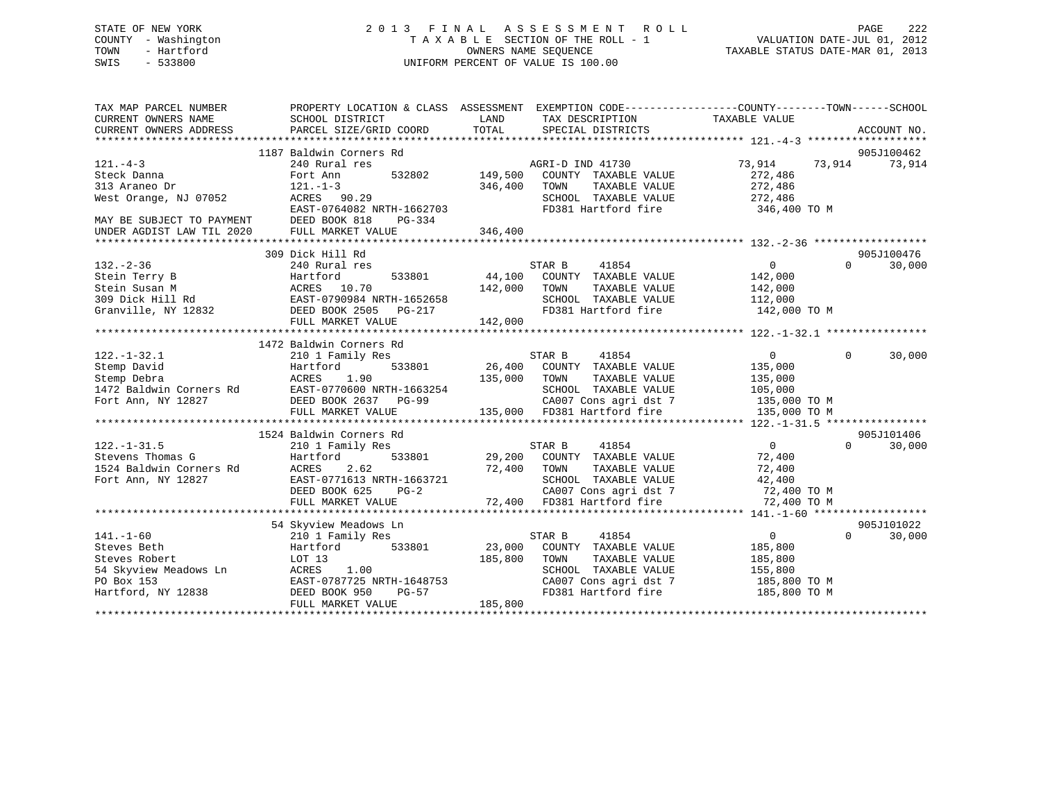# STATE OF NEW YORK 2 0 1 3 F I N A L A S S E S S M E N T R O L L PAGE 222 COUNTY - Washington T A X A B L E SECTION OF THE ROLL - 1 VALUATION DATE-JUL 01, 2012 TOWN - Hartford **TAXABLE STATUS DATE-MAR 01, 2013** SWIS - 533800 UNIFORM PERCENT OF VALUE IS 100.00

| TAX MAP PARCEL NUMBER                       | PROPERTY LOCATION & CLASS ASSESSMENT EXEMPTION CODE---------------COUNTY-------TOWN-----SCHOOL                                                                        |              |                                                                                                                        |                |          |             |
|---------------------------------------------|-----------------------------------------------------------------------------------------------------------------------------------------------------------------------|--------------|------------------------------------------------------------------------------------------------------------------------|----------------|----------|-------------|
| CURRENT OWNERS NAME                         | SCHOOL DISTRICT                                                                                                                                                       | LAND         | TAX DESCRIPTION                                                                                                        | TAXABLE VALUE  |          |             |
| CURRENT OWNERS ADDRESS                      | PARCEL SIZE/GRID COORD                                                                                                                                                | TOTAL        | SPECIAL DISTRICTS                                                                                                      |                |          | ACCOUNT NO. |
|                                             |                                                                                                                                                                       |              |                                                                                                                        |                |          |             |
|                                             | 1187 Baldwin Corners Rd                                                                                                                                               |              |                                                                                                                        |                |          | 905J100462  |
| $121. -4-3$                                 | 240 Rural res                                                                                                                                                         |              | AGRI-D IND 41730                                                                                                       | 73,914 73,914  |          | 73,914      |
| Steck Danna                                 | 532802<br>Fort Ann                                                                                                                                                    | 149,500      | COUNTY TAXABLE VALUE                                                                                                   | 272,486        |          |             |
| 313 Araneo Dr                               | $121. - 1 - 3$                                                                                                                                                        | 346,400      | TAXABLE VALUE<br>TOWN                                                                                                  | 272,486        |          |             |
| West Orange, NJ 07052                       | ACRES 90.29                                                                                                                                                           |              | SCHOOL TAXABLE VALUE 272,486                                                                                           |                |          |             |
|                                             | EAST-0764082 NRTH-1662703                                                                                                                                             |              | FD381 Hartford fire                                                                                                    | 346,400 TO M   |          |             |
| MAY BE SUBJECT TO PAYMENT                   | DEED BOOK 818<br>PG-334                                                                                                                                               |              |                                                                                                                        |                |          |             |
| UNDER AGDIST LAW TIL 2020 FULL MARKET VALUE |                                                                                                                                                                       | 346,400      |                                                                                                                        |                |          |             |
|                                             | 309 Dick Hill Rd                                                                                                                                                      |              |                                                                                                                        |                |          | 905J100476  |
| $132. - 2 - 36$                             | 240 Rural res                                                                                                                                                         |              | STAR B<br>41854                                                                                                        | $\overline{0}$ | $\Omega$ | 30,000      |
|                                             |                                                                                                                                                                       |              | COUNTY TAXABLE VALUE 142,000                                                                                           |                |          |             |
|                                             |                                                                                                                                                                       |              | TAXABLE VALUE<br>TOWN                                                                                                  | 142,000        |          |             |
|                                             |                                                                                                                                                                       |              | SCHOOL TAXABLE VALUE                                                                                                   | 112,000        |          |             |
|                                             | 12.1.2.1.3.<br>Stein Terry B (1.70 Martford 533801 44,100<br>Stein Susan M (1.70 142,000 101)<br>309 Dick Hill Rd (1.70 142,000 142,000 168 EAST-0790984 NRTH-1652658 |              | FD381 Hartford fire 142,000 TO M                                                                                       |                |          |             |
|                                             | FULL MARKET VALUE                                                                                                                                                     | 142,000      |                                                                                                                        |                |          |             |
|                                             |                                                                                                                                                                       |              |                                                                                                                        |                |          |             |
|                                             | 1472 Baldwin Corners Rd                                                                                                                                               |              |                                                                                                                        |                |          |             |
|                                             |                                                                                                                                                                       |              | STAR B<br>41854                                                                                                        | $\overline{0}$ | $\Omega$ | 30,000      |
|                                             |                                                                                                                                                                       |              | 26,400 COUNTY TAXABLE VALUE                                                                                            | 135,000        |          |             |
|                                             |                                                                                                                                                                       | 135,000 TOWN | TAXABLE VALUE                                                                                                          | 135,000        |          |             |
|                                             |                                                                                                                                                                       |              |                                                                                                                        |                |          |             |
|                                             |                                                                                                                                                                       |              | SCHOOL TAXABLE VALUE 105,000<br>CA007 Cons agri dst 7 135,000 TO M                                                     |                |          |             |
|                                             |                                                                                                                                                                       |              | 135,000 FD381 Hartford fire                                                                                            | 135,000 TO M   |          |             |
|                                             |                                                                                                                                                                       |              |                                                                                                                        |                |          |             |
|                                             | 1524 Baldwin Corners Rd                                                                                                                                               |              |                                                                                                                        |                |          | 905J101406  |
| $122. - 1 - 31.5$                           | 210 1 Family Res                                                                                                                                                      |              |                                                                                                                        | $\overline{0}$ | $\Omega$ | 30,000      |
| Stevens Thomas G                            | Hartford<br>533801                                                                                                                                                    |              | STAR B 41854<br>29,200 COUNTY TAXABLE VALUE                                                                            | 72,400         |          |             |
| 1524 Baldwin Corners Rd                     | 210 1<br>Hartfc<br>Rd ACRES<br>2.62                                                                                                                                   | 72,400 TOWN  | TAXABLE VALUE                                                                                                          | 72,400         |          |             |
| Fort Ann, NY 12827                          | EAST-0771613 NRTH-1663721                                                                                                                                             |              |                                                                                                                        |                |          |             |
|                                             | DEED BOOK 625<br>$PG-2$                                                                                                                                               |              |                                                                                                                        |                |          |             |
|                                             | FULL MARKET VALUE                                                                                                                                                     |              | SCHOOL TAXABLE VALUE 42,400<br>CA007 Cons agri dst 7 (2,400 TD381 Hartford fire 72,400 TD381 Hartford fire 72,400 TO M |                |          |             |
|                                             |                                                                                                                                                                       |              |                                                                                                                        |                |          |             |
|                                             | 54 Skyview Meadows Ln                                                                                                                                                 |              |                                                                                                                        |                |          | 905J101022  |
| $141. - 1 - 60$                             | 210 1 Family Res                                                                                                                                                      |              | 41854<br>STAR B                                                                                                        | $\overline{0}$ | $\Omega$ | 30,000      |
| Steves Beth                                 | 533801<br>Hartford                                                                                                                                                    | 23,000       | COUNTY TAXABLE VALUE                                                                                                   | 185,800        |          |             |
| Steves Robert                               | LOT 13                                                                                                                                                                | 185,800      | TOWN<br>TAXABLE VALUE                                                                                                  | 185,800        |          |             |
| 54 Skyview Meadows Ln                       | ACRES<br>1.00                                                                                                                                                         |              | SCHOOL TAXABLE VALUE                                                                                                   | 155,800        |          |             |
| PO Box 153                                  | EAST-0787725 NRTH-1648753                                                                                                                                             |              | CA007 Cons agri dst 7<br>FD381 Hartford fire                                                                           | 185,800 TO M   |          |             |
| Hartford, NY 12838                          | DEED BOOK 950                                                                                                                                                         | $PG-57$      |                                                                                                                        | 185,800 TO M   |          |             |
|                                             | FULL MARKET VALUE                                                                                                                                                     | 185,800      |                                                                                                                        |                |          |             |
|                                             |                                                                                                                                                                       |              |                                                                                                                        |                |          |             |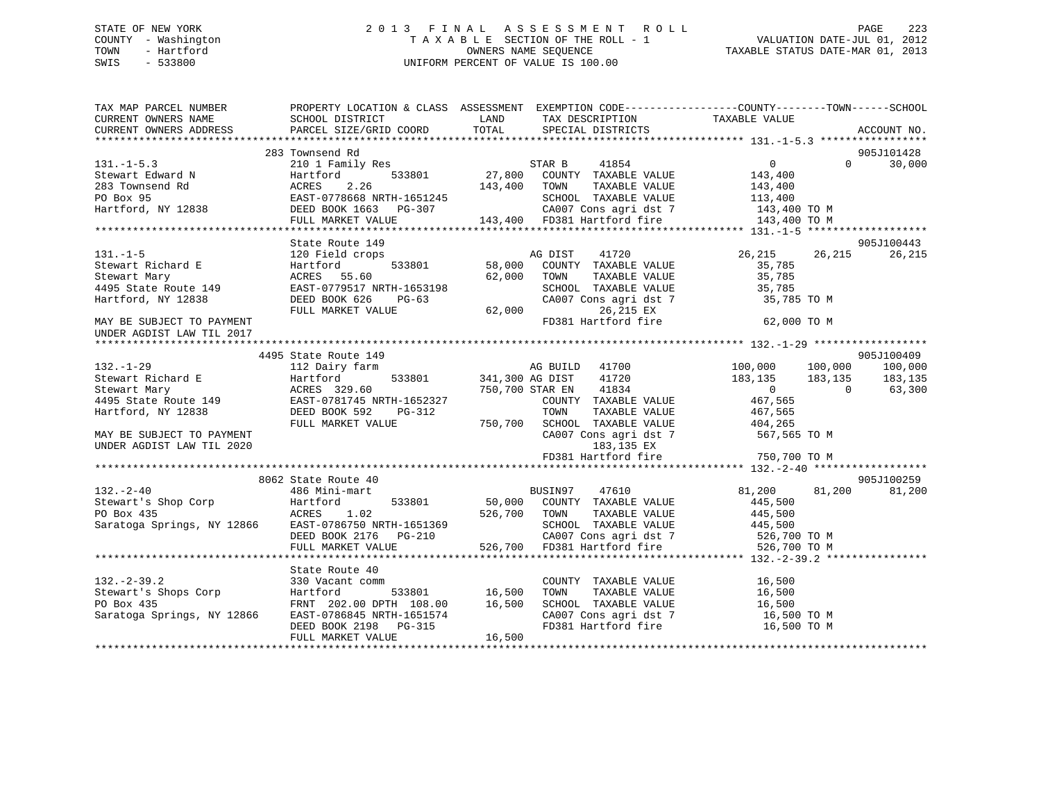## STATE OF NEW YORK 2 0 1 3 F I N A L A S S E S S M E N T R O L L PAGE 223COUNTY - Washington  $\begin{array}{ccc}\n\text{T A X A B L E} & \text{SECTION OF THE ROLL} - 1 \\
\text{TOWN} & - \text{ Hartford}\n\end{array}$ OWNERS NAME SEQUENCE TAXABLE STATUS DATE-MAR 01, 2013 SWIS - 533800 UNIFORM PERCENT OF VALUE IS 100.00

| SCHOOL DISTRICT<br><b>LAND</b><br>TAX DESCRIPTION<br>TAXABLE VALUE<br>CURRENT OWNERS NAME<br>CURRENT OWNERS ADDRESS<br>905J101428<br>283 Townsend Rd<br>$\Omega$<br>30,000<br>131.-1-5.5<br>283 Townsend Rd 283 Townsend Rd 283 Townsend Rd 283 Townsend Rd 283 Townsend Rd 283 Townsend Rd 283 Townsend Rd 283 Townsend Rd 283 Townsend Rd 283 Townsend Rd 283 Townsend Rd 283 Townsend Rd 283 Townsend Rd 28<br>905J100443<br>MG DIST 41720<br>533801 58,000 COUNTY TAXABLE VALUE<br>26,215 26,215<br>26,215<br>131.-1-5<br>131.-1-5<br>Stewart Richard E<br>Stewart Mary<br>1495 State Route 149<br>1495 State Route 149<br>1495 State Route 149<br>1495 State Route 149<br>1495 State Route 149<br>1495 State Route 149<br>1495 State Route 149<br>1495 State Rout<br>35,785<br>35,785<br>TAXABLE VALUE<br>TOWN TAAADDE VALUE<br>SCHOOL TAXABLE VALUE 35,785<br>2009 Constanti dst 7 35,785 TO M<br>CA007 Cons agri dst 7<br>26,215 EX<br>FD381 Hartford fire<br>62,000 TO M<br>905J100409<br>4495 State Route 149<br>MG BUILD 41700<br>533801 341,300 AG DIST 41720<br>$100,000$ $100,000$<br>$183,135$ $183,135$<br>$132. - 1 - 29$<br>100,000<br>112 Dairy farm<br>132.-1-29<br>Stewart Richard E 12 Dairy farm<br>Stewart Mary ACRES 329.60<br>4495 State Route 149<br>Hartford, NY 12838<br>ERST-0781745 NRTH-1652327<br>DEED BOOK 592<br>PG-312<br>183,135<br>750,700 STAR EN 41834<br>$\begin{array}{c} 0 \\ 467,565 \end{array}$<br>63,300<br>$\overline{0}$<br>COUNTY TAXABLE VALUE<br>RTH-1652327<br>PG-312 TOWN TAXABLE VALUE<br>TOWN TAXABLE VALUE<br>TOWN TAXABLE VALUE<br>TOWN TAXABLE VALUE<br>CA007 Cons agri dst 7 567,565 TO M<br>FULL MARKET VALUE<br>MAY BE SUBJECT TO PAYMENT<br>UNDER AGDIST LAW TIL 2020<br>905J100259<br>8062 State Route 40<br>81,200 81,200<br>81,200<br>$132 - 2 - 40$<br>486 Mini-mart<br>BUSIN97 47610<br>1920 1920 1920 1920 1938 11 1930 1938 11 1930 1939 11 1930 1938 11 1930 1938 11 1930 1938 11 1930 1938 11 193<br>1920 1920 1938 11 1930 1938 11 1930 1938 1286 1939 12866 1845,500 1938 12866 1935<br>1920 1938 1939 1938 1939 193<br>State Route 40<br><sup>1</sup><br>533801 16,500<br>COUNTY TAXABLE VALUE<br>16,500<br>16,500<br>TOWN<br>TAXABLE VALUE<br>SCHOOL TAXABLE VALUE 16,500<br>Saratoga Springs, NY 12866<br>EAST-0786845 NRTH-1651574<br>DEED BOOK 2198 PG-315<br>CA007 Cons agri dst 7<br>FD381 Hartford fire<br>16,500 TO M<br>16,500 TO M<br>16,500<br>FULL MARKET VALUE | TAX MAP PARCEL NUMBER | PROPERTY LOCATION & CLASS ASSESSMENT EXEMPTION CODE-----------------COUNTY-------TOWN------SCHOOL |  |  |  |
|-------------------------------------------------------------------------------------------------------------------------------------------------------------------------------------------------------------------------------------------------------------------------------------------------------------------------------------------------------------------------------------------------------------------------------------------------------------------------------------------------------------------------------------------------------------------------------------------------------------------------------------------------------------------------------------------------------------------------------------------------------------------------------------------------------------------------------------------------------------------------------------------------------------------------------------------------------------------------------------------------------------------------------------------------------------------------------------------------------------------------------------------------------------------------------------------------------------------------------------------------------------------------------------------------------------------------------------------------------------------------------------------------------------------------------------------------------------------------------------------------------------------------------------------------------------------------------------------------------------------------------------------------------------------------------------------------------------------------------------------------------------------------------------------------------------------------------------------------------------------------------------------------------------------------------------------------------------------------------------------------------------------------------------------------------------------------------------------------------------------------------------------------------------------------------------------------------------------------------------------------------------------------------------------------------------------------------------------------------------------------------------------------------------------------------------------------------|-----------------------|---------------------------------------------------------------------------------------------------|--|--|--|
|                                                                                                                                                                                                                                                                                                                                                                                                                                                                                                                                                                                                                                                                                                                                                                                                                                                                                                                                                                                                                                                                                                                                                                                                                                                                                                                                                                                                                                                                                                                                                                                                                                                                                                                                                                                                                                                                                                                                                                                                                                                                                                                                                                                                                                                                                                                                                                                                                                                       |                       |                                                                                                   |  |  |  |
|                                                                                                                                                                                                                                                                                                                                                                                                                                                                                                                                                                                                                                                                                                                                                                                                                                                                                                                                                                                                                                                                                                                                                                                                                                                                                                                                                                                                                                                                                                                                                                                                                                                                                                                                                                                                                                                                                                                                                                                                                                                                                                                                                                                                                                                                                                                                                                                                                                                       |                       |                                                                                                   |  |  |  |
|                                                                                                                                                                                                                                                                                                                                                                                                                                                                                                                                                                                                                                                                                                                                                                                                                                                                                                                                                                                                                                                                                                                                                                                                                                                                                                                                                                                                                                                                                                                                                                                                                                                                                                                                                                                                                                                                                                                                                                                                                                                                                                                                                                                                                                                                                                                                                                                                                                                       |                       |                                                                                                   |  |  |  |
|                                                                                                                                                                                                                                                                                                                                                                                                                                                                                                                                                                                                                                                                                                                                                                                                                                                                                                                                                                                                                                                                                                                                                                                                                                                                                                                                                                                                                                                                                                                                                                                                                                                                                                                                                                                                                                                                                                                                                                                                                                                                                                                                                                                                                                                                                                                                                                                                                                                       |                       |                                                                                                   |  |  |  |
|                                                                                                                                                                                                                                                                                                                                                                                                                                                                                                                                                                                                                                                                                                                                                                                                                                                                                                                                                                                                                                                                                                                                                                                                                                                                                                                                                                                                                                                                                                                                                                                                                                                                                                                                                                                                                                                                                                                                                                                                                                                                                                                                                                                                                                                                                                                                                                                                                                                       | $131. -1 - 5.3$       |                                                                                                   |  |  |  |
|                                                                                                                                                                                                                                                                                                                                                                                                                                                                                                                                                                                                                                                                                                                                                                                                                                                                                                                                                                                                                                                                                                                                                                                                                                                                                                                                                                                                                                                                                                                                                                                                                                                                                                                                                                                                                                                                                                                                                                                                                                                                                                                                                                                                                                                                                                                                                                                                                                                       |                       |                                                                                                   |  |  |  |
|                                                                                                                                                                                                                                                                                                                                                                                                                                                                                                                                                                                                                                                                                                                                                                                                                                                                                                                                                                                                                                                                                                                                                                                                                                                                                                                                                                                                                                                                                                                                                                                                                                                                                                                                                                                                                                                                                                                                                                                                                                                                                                                                                                                                                                                                                                                                                                                                                                                       |                       |                                                                                                   |  |  |  |
|                                                                                                                                                                                                                                                                                                                                                                                                                                                                                                                                                                                                                                                                                                                                                                                                                                                                                                                                                                                                                                                                                                                                                                                                                                                                                                                                                                                                                                                                                                                                                                                                                                                                                                                                                                                                                                                                                                                                                                                                                                                                                                                                                                                                                                                                                                                                                                                                                                                       |                       |                                                                                                   |  |  |  |
|                                                                                                                                                                                                                                                                                                                                                                                                                                                                                                                                                                                                                                                                                                                                                                                                                                                                                                                                                                                                                                                                                                                                                                                                                                                                                                                                                                                                                                                                                                                                                                                                                                                                                                                                                                                                                                                                                                                                                                                                                                                                                                                                                                                                                                                                                                                                                                                                                                                       |                       |                                                                                                   |  |  |  |
|                                                                                                                                                                                                                                                                                                                                                                                                                                                                                                                                                                                                                                                                                                                                                                                                                                                                                                                                                                                                                                                                                                                                                                                                                                                                                                                                                                                                                                                                                                                                                                                                                                                                                                                                                                                                                                                                                                                                                                                                                                                                                                                                                                                                                                                                                                                                                                                                                                                       |                       |                                                                                                   |  |  |  |
|                                                                                                                                                                                                                                                                                                                                                                                                                                                                                                                                                                                                                                                                                                                                                                                                                                                                                                                                                                                                                                                                                                                                                                                                                                                                                                                                                                                                                                                                                                                                                                                                                                                                                                                                                                                                                                                                                                                                                                                                                                                                                                                                                                                                                                                                                                                                                                                                                                                       |                       |                                                                                                   |  |  |  |
|                                                                                                                                                                                                                                                                                                                                                                                                                                                                                                                                                                                                                                                                                                                                                                                                                                                                                                                                                                                                                                                                                                                                                                                                                                                                                                                                                                                                                                                                                                                                                                                                                                                                                                                                                                                                                                                                                                                                                                                                                                                                                                                                                                                                                                                                                                                                                                                                                                                       |                       |                                                                                                   |  |  |  |
|                                                                                                                                                                                                                                                                                                                                                                                                                                                                                                                                                                                                                                                                                                                                                                                                                                                                                                                                                                                                                                                                                                                                                                                                                                                                                                                                                                                                                                                                                                                                                                                                                                                                                                                                                                                                                                                                                                                                                                                                                                                                                                                                                                                                                                                                                                                                                                                                                                                       |                       |                                                                                                   |  |  |  |
|                                                                                                                                                                                                                                                                                                                                                                                                                                                                                                                                                                                                                                                                                                                                                                                                                                                                                                                                                                                                                                                                                                                                                                                                                                                                                                                                                                                                                                                                                                                                                                                                                                                                                                                                                                                                                                                                                                                                                                                                                                                                                                                                                                                                                                                                                                                                                                                                                                                       |                       |                                                                                                   |  |  |  |
|                                                                                                                                                                                                                                                                                                                                                                                                                                                                                                                                                                                                                                                                                                                                                                                                                                                                                                                                                                                                                                                                                                                                                                                                                                                                                                                                                                                                                                                                                                                                                                                                                                                                                                                                                                                                                                                                                                                                                                                                                                                                                                                                                                                                                                                                                                                                                                                                                                                       |                       |                                                                                                   |  |  |  |
|                                                                                                                                                                                                                                                                                                                                                                                                                                                                                                                                                                                                                                                                                                                                                                                                                                                                                                                                                                                                                                                                                                                                                                                                                                                                                                                                                                                                                                                                                                                                                                                                                                                                                                                                                                                                                                                                                                                                                                                                                                                                                                                                                                                                                                                                                                                                                                                                                                                       |                       |                                                                                                   |  |  |  |
|                                                                                                                                                                                                                                                                                                                                                                                                                                                                                                                                                                                                                                                                                                                                                                                                                                                                                                                                                                                                                                                                                                                                                                                                                                                                                                                                                                                                                                                                                                                                                                                                                                                                                                                                                                                                                                                                                                                                                                                                                                                                                                                                                                                                                                                                                                                                                                                                                                                       |                       |                                                                                                   |  |  |  |
|                                                                                                                                                                                                                                                                                                                                                                                                                                                                                                                                                                                                                                                                                                                                                                                                                                                                                                                                                                                                                                                                                                                                                                                                                                                                                                                                                                                                                                                                                                                                                                                                                                                                                                                                                                                                                                                                                                                                                                                                                                                                                                                                                                                                                                                                                                                                                                                                                                                       |                       |                                                                                                   |  |  |  |
|                                                                                                                                                                                                                                                                                                                                                                                                                                                                                                                                                                                                                                                                                                                                                                                                                                                                                                                                                                                                                                                                                                                                                                                                                                                                                                                                                                                                                                                                                                                                                                                                                                                                                                                                                                                                                                                                                                                                                                                                                                                                                                                                                                                                                                                                                                                                                                                                                                                       |                       |                                                                                                   |  |  |  |
|                                                                                                                                                                                                                                                                                                                                                                                                                                                                                                                                                                                                                                                                                                                                                                                                                                                                                                                                                                                                                                                                                                                                                                                                                                                                                                                                                                                                                                                                                                                                                                                                                                                                                                                                                                                                                                                                                                                                                                                                                                                                                                                                                                                                                                                                                                                                                                                                                                                       |                       |                                                                                                   |  |  |  |
|                                                                                                                                                                                                                                                                                                                                                                                                                                                                                                                                                                                                                                                                                                                                                                                                                                                                                                                                                                                                                                                                                                                                                                                                                                                                                                                                                                                                                                                                                                                                                                                                                                                                                                                                                                                                                                                                                                                                                                                                                                                                                                                                                                                                                                                                                                                                                                                                                                                       |                       |                                                                                                   |  |  |  |
|                                                                                                                                                                                                                                                                                                                                                                                                                                                                                                                                                                                                                                                                                                                                                                                                                                                                                                                                                                                                                                                                                                                                                                                                                                                                                                                                                                                                                                                                                                                                                                                                                                                                                                                                                                                                                                                                                                                                                                                                                                                                                                                                                                                                                                                                                                                                                                                                                                                       |                       |                                                                                                   |  |  |  |
|                                                                                                                                                                                                                                                                                                                                                                                                                                                                                                                                                                                                                                                                                                                                                                                                                                                                                                                                                                                                                                                                                                                                                                                                                                                                                                                                                                                                                                                                                                                                                                                                                                                                                                                                                                                                                                                                                                                                                                                                                                                                                                                                                                                                                                                                                                                                                                                                                                                       |                       |                                                                                                   |  |  |  |
|                                                                                                                                                                                                                                                                                                                                                                                                                                                                                                                                                                                                                                                                                                                                                                                                                                                                                                                                                                                                                                                                                                                                                                                                                                                                                                                                                                                                                                                                                                                                                                                                                                                                                                                                                                                                                                                                                                                                                                                                                                                                                                                                                                                                                                                                                                                                                                                                                                                       |                       |                                                                                                   |  |  |  |
|                                                                                                                                                                                                                                                                                                                                                                                                                                                                                                                                                                                                                                                                                                                                                                                                                                                                                                                                                                                                                                                                                                                                                                                                                                                                                                                                                                                                                                                                                                                                                                                                                                                                                                                                                                                                                                                                                                                                                                                                                                                                                                                                                                                                                                                                                                                                                                                                                                                       |                       |                                                                                                   |  |  |  |
|                                                                                                                                                                                                                                                                                                                                                                                                                                                                                                                                                                                                                                                                                                                                                                                                                                                                                                                                                                                                                                                                                                                                                                                                                                                                                                                                                                                                                                                                                                                                                                                                                                                                                                                                                                                                                                                                                                                                                                                                                                                                                                                                                                                                                                                                                                                                                                                                                                                       |                       |                                                                                                   |  |  |  |
|                                                                                                                                                                                                                                                                                                                                                                                                                                                                                                                                                                                                                                                                                                                                                                                                                                                                                                                                                                                                                                                                                                                                                                                                                                                                                                                                                                                                                                                                                                                                                                                                                                                                                                                                                                                                                                                                                                                                                                                                                                                                                                                                                                                                                                                                                                                                                                                                                                                       |                       |                                                                                                   |  |  |  |
|                                                                                                                                                                                                                                                                                                                                                                                                                                                                                                                                                                                                                                                                                                                                                                                                                                                                                                                                                                                                                                                                                                                                                                                                                                                                                                                                                                                                                                                                                                                                                                                                                                                                                                                                                                                                                                                                                                                                                                                                                                                                                                                                                                                                                                                                                                                                                                                                                                                       |                       |                                                                                                   |  |  |  |
|                                                                                                                                                                                                                                                                                                                                                                                                                                                                                                                                                                                                                                                                                                                                                                                                                                                                                                                                                                                                                                                                                                                                                                                                                                                                                                                                                                                                                                                                                                                                                                                                                                                                                                                                                                                                                                                                                                                                                                                                                                                                                                                                                                                                                                                                                                                                                                                                                                                       |                       |                                                                                                   |  |  |  |
|                                                                                                                                                                                                                                                                                                                                                                                                                                                                                                                                                                                                                                                                                                                                                                                                                                                                                                                                                                                                                                                                                                                                                                                                                                                                                                                                                                                                                                                                                                                                                                                                                                                                                                                                                                                                                                                                                                                                                                                                                                                                                                                                                                                                                                                                                                                                                                                                                                                       |                       |                                                                                                   |  |  |  |
|                                                                                                                                                                                                                                                                                                                                                                                                                                                                                                                                                                                                                                                                                                                                                                                                                                                                                                                                                                                                                                                                                                                                                                                                                                                                                                                                                                                                                                                                                                                                                                                                                                                                                                                                                                                                                                                                                                                                                                                                                                                                                                                                                                                                                                                                                                                                                                                                                                                       |                       |                                                                                                   |  |  |  |
|                                                                                                                                                                                                                                                                                                                                                                                                                                                                                                                                                                                                                                                                                                                                                                                                                                                                                                                                                                                                                                                                                                                                                                                                                                                                                                                                                                                                                                                                                                                                                                                                                                                                                                                                                                                                                                                                                                                                                                                                                                                                                                                                                                                                                                                                                                                                                                                                                                                       |                       |                                                                                                   |  |  |  |
|                                                                                                                                                                                                                                                                                                                                                                                                                                                                                                                                                                                                                                                                                                                                                                                                                                                                                                                                                                                                                                                                                                                                                                                                                                                                                                                                                                                                                                                                                                                                                                                                                                                                                                                                                                                                                                                                                                                                                                                                                                                                                                                                                                                                                                                                                                                                                                                                                                                       |                       |                                                                                                   |  |  |  |
|                                                                                                                                                                                                                                                                                                                                                                                                                                                                                                                                                                                                                                                                                                                                                                                                                                                                                                                                                                                                                                                                                                                                                                                                                                                                                                                                                                                                                                                                                                                                                                                                                                                                                                                                                                                                                                                                                                                                                                                                                                                                                                                                                                                                                                                                                                                                                                                                                                                       |                       |                                                                                                   |  |  |  |
|                                                                                                                                                                                                                                                                                                                                                                                                                                                                                                                                                                                                                                                                                                                                                                                                                                                                                                                                                                                                                                                                                                                                                                                                                                                                                                                                                                                                                                                                                                                                                                                                                                                                                                                                                                                                                                                                                                                                                                                                                                                                                                                                                                                                                                                                                                                                                                                                                                                       |                       |                                                                                                   |  |  |  |
|                                                                                                                                                                                                                                                                                                                                                                                                                                                                                                                                                                                                                                                                                                                                                                                                                                                                                                                                                                                                                                                                                                                                                                                                                                                                                                                                                                                                                                                                                                                                                                                                                                                                                                                                                                                                                                                                                                                                                                                                                                                                                                                                                                                                                                                                                                                                                                                                                                                       |                       |                                                                                                   |  |  |  |
|                                                                                                                                                                                                                                                                                                                                                                                                                                                                                                                                                                                                                                                                                                                                                                                                                                                                                                                                                                                                                                                                                                                                                                                                                                                                                                                                                                                                                                                                                                                                                                                                                                                                                                                                                                                                                                                                                                                                                                                                                                                                                                                                                                                                                                                                                                                                                                                                                                                       |                       |                                                                                                   |  |  |  |
|                                                                                                                                                                                                                                                                                                                                                                                                                                                                                                                                                                                                                                                                                                                                                                                                                                                                                                                                                                                                                                                                                                                                                                                                                                                                                                                                                                                                                                                                                                                                                                                                                                                                                                                                                                                                                                                                                                                                                                                                                                                                                                                                                                                                                                                                                                                                                                                                                                                       |                       |                                                                                                   |  |  |  |
|                                                                                                                                                                                                                                                                                                                                                                                                                                                                                                                                                                                                                                                                                                                                                                                                                                                                                                                                                                                                                                                                                                                                                                                                                                                                                                                                                                                                                                                                                                                                                                                                                                                                                                                                                                                                                                                                                                                                                                                                                                                                                                                                                                                                                                                                                                                                                                                                                                                       |                       |                                                                                                   |  |  |  |
|                                                                                                                                                                                                                                                                                                                                                                                                                                                                                                                                                                                                                                                                                                                                                                                                                                                                                                                                                                                                                                                                                                                                                                                                                                                                                                                                                                                                                                                                                                                                                                                                                                                                                                                                                                                                                                                                                                                                                                                                                                                                                                                                                                                                                                                                                                                                                                                                                                                       |                       |                                                                                                   |  |  |  |
|                                                                                                                                                                                                                                                                                                                                                                                                                                                                                                                                                                                                                                                                                                                                                                                                                                                                                                                                                                                                                                                                                                                                                                                                                                                                                                                                                                                                                                                                                                                                                                                                                                                                                                                                                                                                                                                                                                                                                                                                                                                                                                                                                                                                                                                                                                                                                                                                                                                       |                       |                                                                                                   |  |  |  |
|                                                                                                                                                                                                                                                                                                                                                                                                                                                                                                                                                                                                                                                                                                                                                                                                                                                                                                                                                                                                                                                                                                                                                                                                                                                                                                                                                                                                                                                                                                                                                                                                                                                                                                                                                                                                                                                                                                                                                                                                                                                                                                                                                                                                                                                                                                                                                                                                                                                       |                       |                                                                                                   |  |  |  |
|                                                                                                                                                                                                                                                                                                                                                                                                                                                                                                                                                                                                                                                                                                                                                                                                                                                                                                                                                                                                                                                                                                                                                                                                                                                                                                                                                                                                                                                                                                                                                                                                                                                                                                                                                                                                                                                                                                                                                                                                                                                                                                                                                                                                                                                                                                                                                                                                                                                       |                       |                                                                                                   |  |  |  |
|                                                                                                                                                                                                                                                                                                                                                                                                                                                                                                                                                                                                                                                                                                                                                                                                                                                                                                                                                                                                                                                                                                                                                                                                                                                                                                                                                                                                                                                                                                                                                                                                                                                                                                                                                                                                                                                                                                                                                                                                                                                                                                                                                                                                                                                                                                                                                                                                                                                       |                       |                                                                                                   |  |  |  |
|                                                                                                                                                                                                                                                                                                                                                                                                                                                                                                                                                                                                                                                                                                                                                                                                                                                                                                                                                                                                                                                                                                                                                                                                                                                                                                                                                                                                                                                                                                                                                                                                                                                                                                                                                                                                                                                                                                                                                                                                                                                                                                                                                                                                                                                                                                                                                                                                                                                       |                       |                                                                                                   |  |  |  |
|                                                                                                                                                                                                                                                                                                                                                                                                                                                                                                                                                                                                                                                                                                                                                                                                                                                                                                                                                                                                                                                                                                                                                                                                                                                                                                                                                                                                                                                                                                                                                                                                                                                                                                                                                                                                                                                                                                                                                                                                                                                                                                                                                                                                                                                                                                                                                                                                                                                       |                       |                                                                                                   |  |  |  |
|                                                                                                                                                                                                                                                                                                                                                                                                                                                                                                                                                                                                                                                                                                                                                                                                                                                                                                                                                                                                                                                                                                                                                                                                                                                                                                                                                                                                                                                                                                                                                                                                                                                                                                                                                                                                                                                                                                                                                                                                                                                                                                                                                                                                                                                                                                                                                                                                                                                       |                       |                                                                                                   |  |  |  |
|                                                                                                                                                                                                                                                                                                                                                                                                                                                                                                                                                                                                                                                                                                                                                                                                                                                                                                                                                                                                                                                                                                                                                                                                                                                                                                                                                                                                                                                                                                                                                                                                                                                                                                                                                                                                                                                                                                                                                                                                                                                                                                                                                                                                                                                                                                                                                                                                                                                       |                       |                                                                                                   |  |  |  |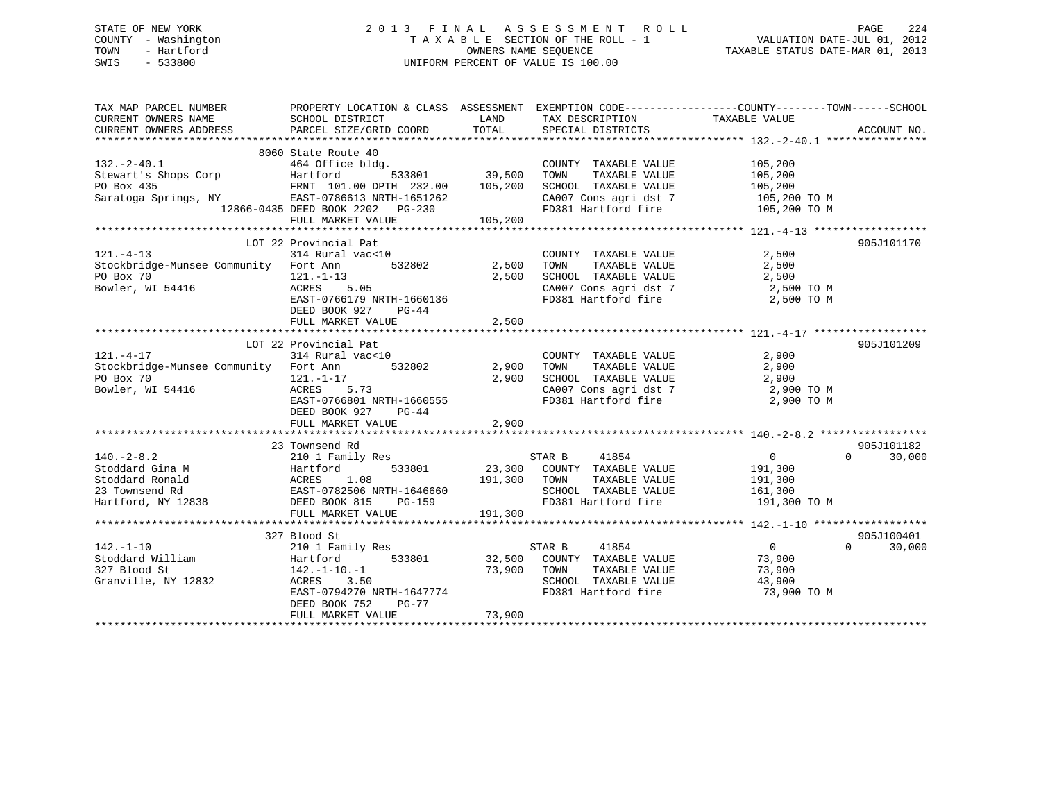# STATE OF NEW YORK 2 0 1 3 F I N A L A S S E S S M E N T R O L L PAGE 224 COUNTY - Washington T A X A B L E SECTION OF THE ROLL - 1 VALUATION DATE-JUL 01, 2012 TOWN - Hartford **TAXABLE STATUS DATE-MAR 01, 2013** OWNERS NAME SEQUENCE TAXABLE STATUS DATE-MAR 01, 2013 SWIS - 533800 UNIFORM PERCENT OF VALUE IS 100.00

| TAX MAP PARCEL NUMBER                 |                                 |               |                                                   | PROPERTY LOCATION & CLASS ASSESSMENT EXEMPTION CODE---------------COUNTY-------TOWN------SCHOOL                                                                                                                                        |        |
|---------------------------------------|---------------------------------|---------------|---------------------------------------------------|----------------------------------------------------------------------------------------------------------------------------------------------------------------------------------------------------------------------------------------|--------|
| CURRENT OWNERS NAME                   | SCHOOL DISTRICT                 | LAND          | TAX DESCRIPTION                                   | TAXABLE VALUE                                                                                                                                                                                                                          |        |
| CURRENT OWNERS ADDRESS                | PARCEL SIZE/GRID COORD          | TOTAL         | SPECIAL DISTRICTS                                 | ACCOUNT NO.                                                                                                                                                                                                                            |        |
|                                       |                                 |               |                                                   |                                                                                                                                                                                                                                        |        |
|                                       | 8060 State Route 40             |               |                                                   |                                                                                                                                                                                                                                        |        |
| $132. - 2 - 40.1$                     | 464 Office bldg.                |               | COUNTY TAXABLE VALUE                              | 105,200                                                                                                                                                                                                                                |        |
| Stewart's Shops Corp Flartford        |                                 | 533801 39,500 | TOWN<br>TAXABLE VALUE                             | 105,200                                                                                                                                                                                                                                |        |
|                                       | FRNT 101.00 DPTH 232.00 105,200 |               | SCHOOL TAXABLE VALUE                              | 105,200                                                                                                                                                                                                                                |        |
| ru box 435<br>Saratoga Springs, NY    | EAST-0786613 NRTH-1651262       |               | CA007 Cons agri dst 7                             | 105,200 TO M                                                                                                                                                                                                                           |        |
|                                       |                                 |               |                                                   |                                                                                                                                                                                                                                        |        |
|                                       |                                 |               |                                                   |                                                                                                                                                                                                                                        |        |
|                                       |                                 |               |                                                   | 3aracoga Springs, Nietropolity 1986–0435 DEED BOOK 2202 PG-230<br>Intervention of DEED BOOK 2202 PG-230<br>FULL MARKET VALUE 105,200<br>Attervention and the strategies of the strategies and the strategies and the strategies of the |        |
|                                       | LOT 22 Provincial Pat           |               |                                                   | 905J101170                                                                                                                                                                                                                             |        |
| $121. - 4 - 13$                       | 314 Rural vac<10                |               | COUNTY TAXABLE VALUE                              | 2,500                                                                                                                                                                                                                                  |        |
| Stockbridge-Munsee Community Fort Ann |                                 | 532802 2,500  | TOWN<br>TAXABLE VALUE                             | 2,500                                                                                                                                                                                                                                  |        |
| PO Box 70                             | $121. - 1 - 13$                 | 2,500         | SCHOOL TAXABLE VALUE                              | 2,500                                                                                                                                                                                                                                  |        |
| Bowler, WI 54416                      | ACRES 5.05                      |               |                                                   | CA007 Cons agri dst 7 2,500 TO M                                                                                                                                                                                                       |        |
|                                       | EAST-0766179 NRTH-1660136       |               | FD381 Hartford fire                               | 2,500 TO M                                                                                                                                                                                                                             |        |
|                                       | DEED BOOK 927<br>PG-44          |               |                                                   |                                                                                                                                                                                                                                        |        |
|                                       |                                 |               |                                                   |                                                                                                                                                                                                                                        |        |
|                                       | FULL MARKET VALUE               | 2,500         |                                                   |                                                                                                                                                                                                                                        |        |
|                                       |                                 |               |                                                   |                                                                                                                                                                                                                                        |        |
|                                       | LOT 22 Provincial Pat           |               |                                                   | 905J101209                                                                                                                                                                                                                             |        |
| $121. - 4 - 17$                       | 314 Rural vac<10                |               | COUNTY TAXABLE VALUE<br>TOWN TAXABLE VALUE        | 2,900                                                                                                                                                                                                                                  |        |
| Stockbridge-Munsee Community Fort Ann |                                 | 532802 2,900  |                                                   | 2,900                                                                                                                                                                                                                                  |        |
| PO Box 70                             | 121.-1-17                       | 2,900         |                                                   | SCHOOL TAXABLE VALUE 2,900<br>CA007 Cons agri dst 7 2,900 TO M                                                                                                                                                                         |        |
| Bowler, WI 54416                      | ACRES 5.73                      |               |                                                   |                                                                                                                                                                                                                                        |        |
|                                       | EAST-0766801 NRTH-1660555       |               | FD381 Hartford fire                               | 2,900 TO M                                                                                                                                                                                                                             |        |
|                                       | DEED BOOK 927<br>$PG-44$        |               |                                                   |                                                                                                                                                                                                                                        |        |
|                                       | FULL MARKET VALUE               | 2,900         |                                                   |                                                                                                                                                                                                                                        |        |
|                                       |                                 |               |                                                   |                                                                                                                                                                                                                                        |        |
|                                       | 23 Townsend Rd                  |               |                                                   | 905J101182                                                                                                                                                                                                                             |        |
| $140. - 2 - 8.2$                      | 210 1 Family Res                |               | STAR B 41854<br>23,300 COUNTY TAXABLE VALUE       | $\overline{0}$<br>$\Omega$                                                                                                                                                                                                             | 30,000 |
|                                       | 533801                          |               |                                                   | 191,300                                                                                                                                                                                                                                |        |
|                                       |                                 | 191,300       | TAXABLE VALUE<br>TOWN                             | 191,300                                                                                                                                                                                                                                |        |
|                                       | EAST-0782506 NRTH-1646660       |               | SCHOOL TAXABLE VALUE                              | 161,300                                                                                                                                                                                                                                |        |
|                                       | PG-159                          |               | FD381 Hartford fire                               | 191,300 TO M                                                                                                                                                                                                                           |        |
|                                       | FULL MARKET VALUE               | 191,300       |                                                   |                                                                                                                                                                                                                                        |        |
|                                       |                                 |               |                                                   |                                                                                                                                                                                                                                        |        |
|                                       | 327 Blood St                    |               |                                                   | 905J100401                                                                                                                                                                                                                             |        |
| $142. - 1 - 10$                       | 210 1 Family Res                |               | STAR B<br>41854                                   | $\overline{0}$<br>$\Omega$                                                                                                                                                                                                             | 30,000 |
| Stoddard William                      | Hartford                        | 533801 32,500 | COUNTY TAXABLE VALUE                              | 73,900                                                                                                                                                                                                                                 |        |
| 327 Blood St                          | $142. - 1 - 10. - 1$            | 73,900 TOWN   |                                                   | 73,900                                                                                                                                                                                                                                 |        |
| Granville, NY 12832                   | ACRES 3.50                      |               | TOWN      TAXABLE VALUE<br>SCHOOL   TAXABLE VALUE | 43,900                                                                                                                                                                                                                                 |        |
|                                       | EAST-0794270 NRTH-1647774       |               | FD381 Hartford fire                               | 73,900 TO M                                                                                                                                                                                                                            |        |
|                                       | DEED BOOK 752<br>PG-77          |               |                                                   |                                                                                                                                                                                                                                        |        |
|                                       |                                 |               |                                                   |                                                                                                                                                                                                                                        |        |
|                                       |                                 |               |                                                   |                                                                                                                                                                                                                                        |        |
|                                       |                                 |               |                                                   |                                                                                                                                                                                                                                        |        |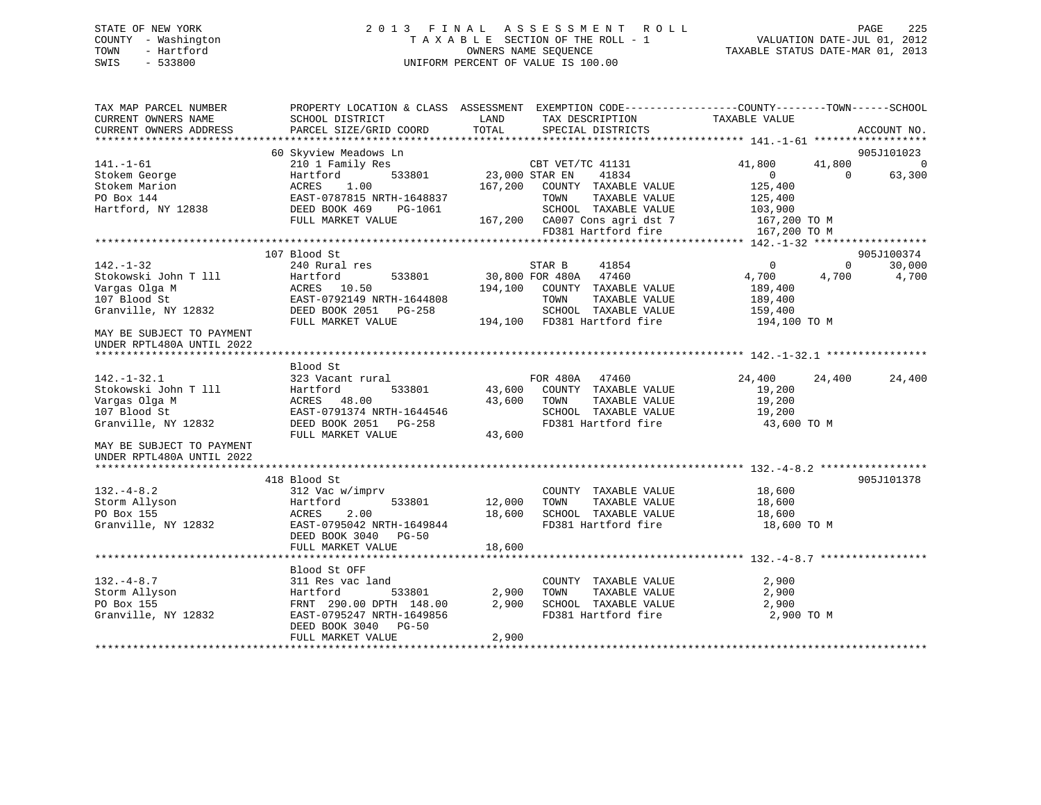# STATE OF NEW YORK 2 0 1 3 F I N A L A S S E S S M E N T R O L L PAGE 225 COUNTY - Washington T A X A B L E SECTION OF THE ROLL - 1 VALUATION DATE-JUL 01, 2012 TOWN - Hartford **TAXABLE STATUS DATE-MAR 01, 2013** OWNERS NAME SEQUENCE TAXABLE STATUS DATE-MAR 01, 2013 SWIS - 533800 UNIFORM PERCENT OF VALUE IS 100.00

| TAX MAP PARCEL NUMBER<br>CURRENT OWNERS NAME           | PROPERTY LOCATION & CLASS ASSESSMENT EXEMPTION CODE----------------COUNTY-------TOWN------SCHOOL<br>SCHOOL DISTRICT | LAND           | TAX DESCRIPTION                             | TAXABLE VALUE         |                    |
|--------------------------------------------------------|---------------------------------------------------------------------------------------------------------------------|----------------|---------------------------------------------|-----------------------|--------------------|
| CURRENT OWNERS ADDRESS                                 | PARCEL SIZE/GRID COORD                                                                                              | TOTAL          | SPECIAL DISTRICTS                           |                       | ACCOUNT NO.        |
|                                                        | 60 Skyview Meadows Ln                                                                                               |                |                                             |                       | 905J101023         |
| $141. - 1 - 61$                                        | 210 1 Family Res                                                                                                    |                | CBT VET/TC 41131                            | 41,800<br>41,800      | $\overline{0}$     |
| Stokem George                                          | 533801<br>Hartford                                                                                                  | 23,000 STAR EN | 41834                                       | $\Omega$              | 63,300<br>$\Omega$ |
| Stokem Marion                                          | ACRES<br>1.00                                                                                                       |                | 167,200 COUNTY TAXABLE VALUE                | 125,400               |                    |
| PO Box 144                                             |                                                                                                                     |                | TAXABLE VALUE<br>TOWN                       | 125,400               |                    |
| Hartford, NY 12838                                     |                                                                                                                     |                | SCHOOL TAXABLE VALUE                        | 103,900               |                    |
|                                                        | FULL MARKET VALUE                                                                                                   |                | 167,200 CA007 Cons agri dst 7               | 167,200 TO M          |                    |
|                                                        |                                                                                                                     |                | FD381 Hartford fire                         | 167,200 TO M          |                    |
|                                                        |                                                                                                                     |                |                                             |                       |                    |
|                                                        | 107 Blood St                                                                                                        |                |                                             |                       | 905J100374         |
| $142. - 1 - 32$                                        | 240 Rural res                                                                                                       |                | 41854<br>STAR B                             | $\Omega$              | 30,000<br>$\Omega$ |
| Stokowski John T 111                                   | 533801<br>Hartford                                                                                                  |                | 30,800 FOR 480A 47460                       | 4,700<br>4,700        | 4,700              |
| Vargas Olga M                                          | ACRES 10.50                                                                                                         | 194,100        | COUNTY TAXABLE VALUE                        | 189,400               |                    |
| 107 Blood St                                           | EAST-0792149 NRTH-1644808                                                                                           |                | TOWN<br>TAXABLE VALUE                       | 189,400               |                    |
| Granville, NY 12832                                    | DEED BOOK 2051 PG-258                                                                                               |                | SCHOOL TAXABLE VALUE                        | 159,400               |                    |
| MAY BE SUBJECT TO PAYMENT<br>UNDER RPTL480A UNTIL 2022 | FULL MARKET VALUE                                                                                                   |                | 194,100 FD381 Hartford fire                 | 194,100 TO M          |                    |
|                                                        | Blood St                                                                                                            |                |                                             |                       |                    |
| $142. - 1 - 32.1$                                      | 323 Vacant rural                                                                                                    |                | FOR 480A 47460                              | 24,400<br>24,400      | 24,400             |
| Stokowski John T 111                                   | 533801<br>Hartford                                                                                                  | 43,600         | COUNTY TAXABLE VALUE                        | 19,200                |                    |
| Vargas Olga M                                          | ACRES 48.00                                                                                                         | 43,600         | TOWN<br>TAXABLE VALUE                       | 19,200                |                    |
| 107 Blood St                                           | EAST-0791374 NRTH-1644546                                                                                           |                | SCHOOL TAXABLE VALUE                        | 19,200                |                    |
| Granville, NY 12832                                    | DEED BOOK 2051 PG-258                                                                                               |                | FD381 Hartford fire                         | 43,600 TO M           |                    |
|                                                        | FULL MARKET VALUE                                                                                                   | 43,600         |                                             |                       |                    |
| MAY BE SUBJECT TO PAYMENT                              |                                                                                                                     |                |                                             |                       |                    |
| UNDER RPTL480A UNTIL 2022                              |                                                                                                                     |                |                                             |                       |                    |
|                                                        |                                                                                                                     |                |                                             |                       |                    |
|                                                        | 418 Blood St                                                                                                        |                |                                             |                       | 905J101378         |
| $132. - 4 - 8.2$                                       | 312 Vac w/imprv                                                                                                     |                | COUNTY TAXABLE VALUE                        | 18,600                |                    |
| Storm Allyson                                          | Hartford<br>533801                                                                                                  | 12,000         | TAXABLE VALUE<br>TOWN                       | 18,600                |                    |
| PO Box 155<br>Granville, NY 12832                      | ACRES<br>2.00<br>EAST-0795042 NRTH-1649844                                                                          | 18,600         | SCHOOL TAXABLE VALUE<br>FD381 Hartford fire | 18,600<br>18,600 TO M |                    |
|                                                        | DEED BOOK 3040 PG-50                                                                                                |                |                                             |                       |                    |
|                                                        | FULL MARKET VALUE                                                                                                   | 18,600         |                                             |                       |                    |
|                                                        |                                                                                                                     |                |                                             |                       |                    |
|                                                        | Blood St OFF                                                                                                        |                |                                             |                       |                    |
| $132. - 4 - 8.7$                                       | 311 Res vac land                                                                                                    |                | COUNTY TAXABLE VALUE                        | 2,900                 |                    |
| Storm Allyson                                          | Hartford<br>533801                                                                                                  | 2,900          | TOWN<br>TAXABLE VALUE                       | 2,900                 |                    |
| PO Box 155                                             | FRNT 290.00 DPTH 148.00                                                                                             | 2,900          | SCHOOL TAXABLE VALUE                        | 2,900                 |                    |
| Granville, NY 12832                                    | EAST-0795247 NRTH-1649856                                                                                           |                | FD381 Hartford fire                         | 2,900 TO M            |                    |
|                                                        | DEED BOOK 3040 PG-50                                                                                                |                |                                             |                       |                    |
|                                                        | FULL MARKET VALUE                                                                                                   | 2,900          |                                             |                       |                    |
|                                                        |                                                                                                                     |                |                                             |                       |                    |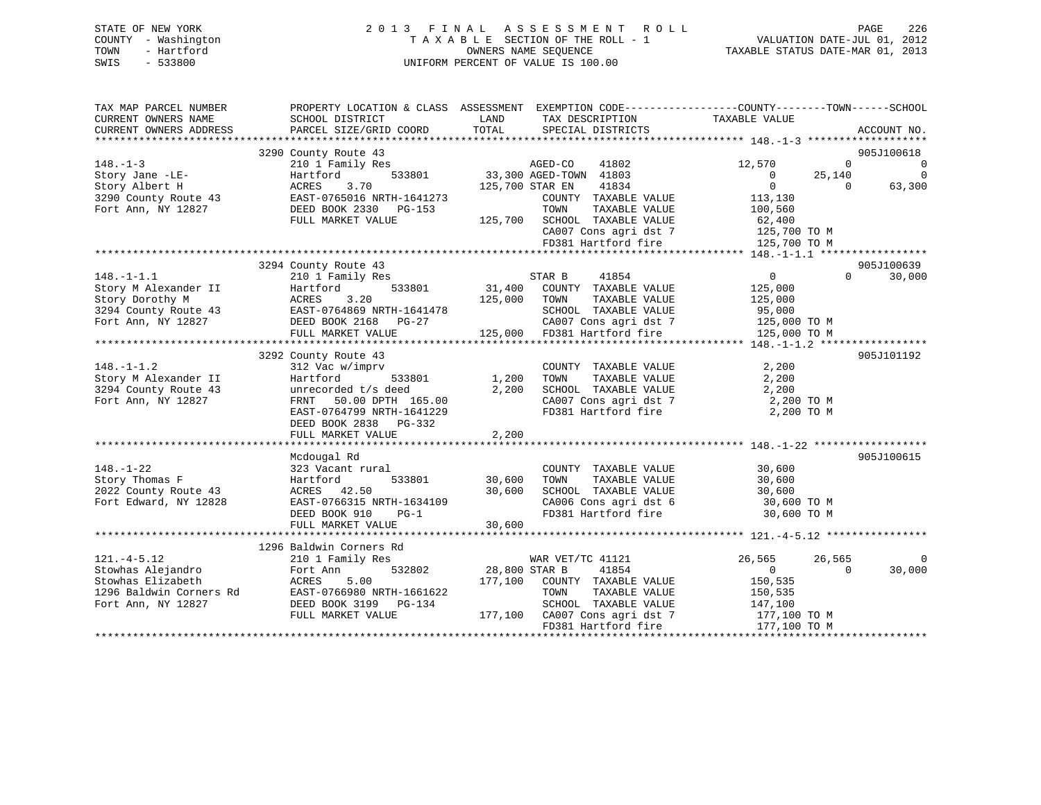# STATE OF NEW YORK 2 0 1 3 F I N A L A S S E S S M E N T R O L L PAGE 226 COUNTY - Washington T A X A B L E SECTION OF THE ROLL - 1 VALUATION DATE-JUL 01, 2012 TOWN - Hartford **TAXABLE STATUS DATE-MAR 01, 2013** SWIS - 533800 UNIFORM PERCENT OF VALUE IS 100.00

| TAX MAP PARCEL NUMBER<br>CURRENT OWNERS NAME | SCHOOL DISTRICT           | PROPERTY LOCATION & CLASS ASSESSMENT EXEMPTION CODE----------------COUNTY-------TOWN------SCHOOL<br>LAND<br>TAX DESCRIPTION | TAXABLE VALUE              |             |
|----------------------------------------------|---------------------------|-----------------------------------------------------------------------------------------------------------------------------|----------------------------|-------------|
| CURRENT OWNERS ADDRESS                       | PARCEL SIZE/GRID COORD    | TOTAL<br>SPECIAL DISTRICTS                                                                                                  |                            | ACCOUNT NO. |
|                                              | 3290 County Route 43      |                                                                                                                             |                            | 905J100618  |
| $148. - 1 - 3$                               | 210 1 Family Res          | AGED-CO<br>41802                                                                                                            | 12,570<br>$\Omega$         | 0           |
| Story Jane -LE-                              | 533801<br>Hartford        | 33,300 AGED-TOWN 41803                                                                                                      | 25,140<br>$\overline{0}$   | $\mathbf 0$ |
| Story Albert H                               | 3.70<br>ACRES             | 41834<br>125,700 STAR EN                                                                                                    | $\Omega$<br>$\Omega$       | 63,300      |
|                                              |                           |                                                                                                                             |                            |             |
| 3290 County Route 43                         | EAST-0765016 NRTH-1641273 | COUNTY TAXABLE VALUE                                                                                                        | 113,130                    |             |
| Fort Ann, NY 12827                           | DEED BOOK 2330 PG-153     | TOWN<br>TAXABLE VALUE                                                                                                       | 100,560                    |             |
|                                              | FULL MARKET VALUE         | 125,700 SCHOOL TAXABLE VALUE                                                                                                | 62,400                     |             |
|                                              |                           | CA007 Cons agri dst 7                                                                                                       | 125,700 TO M               |             |
|                                              |                           | FD381 Hartford fire                                                                                                         | 125,700 TO M               |             |
|                                              |                           |                                                                                                                             |                            |             |
|                                              | 3294 County Route 43      |                                                                                                                             |                            | 905J100639  |
| $148. - 1 - 1.1$                             | 210 1 Family Res          | 41854<br>STAR B                                                                                                             | $\Omega$<br>$\overline{0}$ | 30,000      |
| Story M Alexander II                         | Hartford<br>533801        | 31,400<br>COUNTY TAXABLE VALUE                                                                                              | 125,000                    |             |
| Story Dorothy M                              | ACRES<br>3.20             | 125,000<br>TOWN<br>TAXABLE VALUE                                                                                            | 125,000                    |             |
| 3294 County Route 43                         | EAST-0764869 NRTH-1641478 | SCHOOL TAXABLE VALUE                                                                                                        | 95,000                     |             |
| Fort Ann, NY 12827                           | DEED BOOK 2168 PG-27      | CA007 Cons agri dst 7                                                                                                       | 125,000 TO M               |             |
|                                              | FULL MARKET VALUE         | $125,000$ FD381 Hartford fire                                                                                               | 125,000 TO M               |             |
|                                              |                           |                                                                                                                             |                            |             |
|                                              | 3292 County Route 43      |                                                                                                                             |                            | 905J101192  |
| $148. - 1 - 1.2$                             | 312 Vac w/imprv           | COUNTY TAXABLE VALUE                                                                                                        | 2,200                      |             |
| Story M Alexander II                         | Hartford<br>533801        | 1,200<br>TOWN<br>TAXABLE VALUE                                                                                              | 2,200                      |             |
| 3294 County Route 43                         | unrecorded t/s deed       | 2,200<br>SCHOOL TAXABLE VALUE                                                                                               | 2,200                      |             |
| Fort Ann, NY 12827                           | FRNT 50.00 DPTH 165.00    | CA007 Cons agri dst 7                                                                                                       | 2,200 TO M                 |             |
|                                              | EAST-0764799 NRTH-1641229 | FD381 Hartford fire                                                                                                         | 2,200 TO M                 |             |
|                                              | DEED BOOK 2838 PG-332     |                                                                                                                             |                            |             |
|                                              | FULL MARKET VALUE         | 2,200                                                                                                                       |                            |             |
|                                              |                           |                                                                                                                             |                            |             |
|                                              | Mcdougal Rd               |                                                                                                                             |                            | 905J100615  |
| $148. - 1 - 22$                              | 323 Vacant rural          | COUNTY TAXABLE VALUE                                                                                                        | 30,600                     |             |
| Story Thomas F                               | Hartford<br>533801        | TAXABLE VALUE<br>30,600<br>TOWN                                                                                             | 30,600                     |             |
| 2022 County Route 43                         | ACRES 42.50               | 30,600<br>SCHOOL TAXABLE VALUE                                                                                              | 30,600                     |             |
| Fort Edward, NY 12828                        | EAST-0766315 NRTH-1634109 | CA006 Cons agri dst 6                                                                                                       | 30,600 TO M                |             |
|                                              | DEED BOOK 910<br>$PG-1$   | FD381 Hartford fire                                                                                                         | 30,600 TO M                |             |
|                                              | FULL MARKET VALUE         | 30,600                                                                                                                      |                            |             |
|                                              |                           |                                                                                                                             |                            |             |
|                                              | 1296 Baldwin Corners Rd   |                                                                                                                             |                            |             |
| $121. -4 - 5.12$                             | 210 1 Family Res          | WAR VET/TC 41121                                                                                                            | 26,565<br>26,565           | 0           |
| Stowhas Alejandro                            | 532802<br>Fort Ann        | 28,800 STAR B<br>41854                                                                                                      | $\overline{0}$<br>$\Omega$ | 30,000      |
| Stowhas Elizabeth                            | 5.00<br>ACRES             | 177,100<br>COUNTY TAXABLE VALUE                                                                                             | 150,535                    |             |
| 1296 Baldwin Corners Rd                      | EAST-0766980 NRTH-1661622 | TOWN<br>TAXABLE VALUE                                                                                                       | 150,535                    |             |
| Fort Ann, NY 12827                           | DEED BOOK 3199 PG-134     | SCHOOL TAXABLE VALUE                                                                                                        | 147,100                    |             |
|                                              | FULL MARKET VALUE         | 177,100 CA007 Cons agri dst 7                                                                                               | 177,100 TO M               |             |
|                                              |                           | FD381 Hartford fire                                                                                                         | 177,100 TO M               |             |
|                                              |                           |                                                                                                                             |                            |             |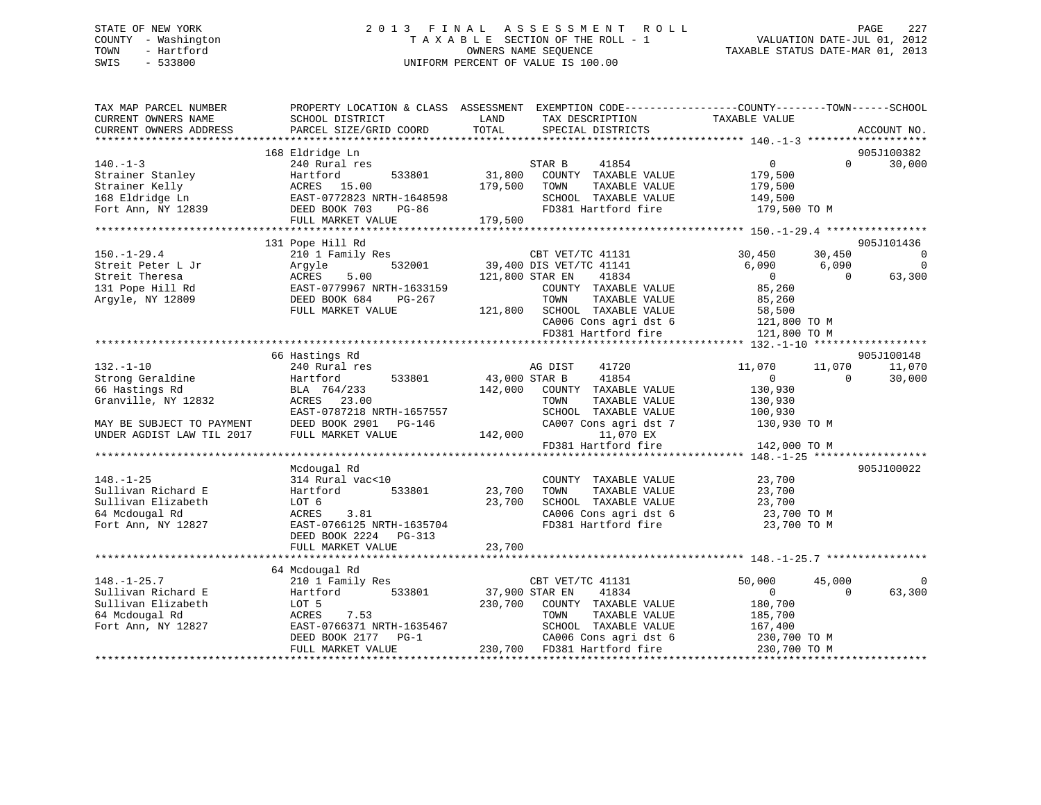# STATE OF NEW YORK 2 0 1 3 F I N A L A S S E S S M E N T R O L L PAGE 227 COUNTY - Washington T A X A B L E SECTION OF THE ROLL - 1 VALUATION DATE-JUL 01, 2012 TOWN - Hartford **TAXABLE STATUS DATE-MAR 01, 2013** SWIS - 533800 UNIFORM PERCENT OF VALUE IS 100.00

| TAX MAP PARCEL NUMBER<br>CURRENT OWNERS NAME<br>CURRENT OWNERS ADDRESS | PROPERTY LOCATION & CLASS ASSESSMENT EXEMPTION CODE----------------COUNTY-------TOWN------SCHOOL<br>SCHOOL DISTRICT<br>PARCEL SIZE/GRID COORD | LAND<br>TOTAL   | TAX DESCRIPTION<br>SPECIAL DISTRICTS        | TAXABLE VALUE           |          | ACCOUNT NO.    |
|------------------------------------------------------------------------|-----------------------------------------------------------------------------------------------------------------------------------------------|-----------------|---------------------------------------------|-------------------------|----------|----------------|
|                                                                        |                                                                                                                                               |                 |                                             |                         |          |                |
|                                                                        | 168 Eldridge Ln                                                                                                                               |                 |                                             |                         |          | 905J100382     |
| $140. - 1 - 3$                                                         | 240 Rural res                                                                                                                                 |                 | STAR B<br>41854                             | $\overline{0}$          | $\Omega$ | 30,000         |
| Strainer Stanley                                                       | 533801<br>Hartford                                                                                                                            | 31,800          | COUNTY TAXABLE VALUE                        | 179,500                 |          |                |
| Strainer Kelly                                                         | ACRES 15.00                                                                                                                                   | 179,500         | TOWN<br>TAXABLE VALUE                       | 179,500                 |          |                |
| 168 Eldridge Ln<br>Fort Ann, NY 12839                                  | EAST-0772823 NRTH-1648598<br>DEED BOOK 703<br><b>PG-86</b>                                                                                    |                 | SCHOOL TAXABLE VALUE<br>FD381 Hartford fire | 149,500<br>179,500 TO M |          |                |
|                                                                        | FULL MARKET VALUE                                                                                                                             | 179,500         |                                             |                         |          |                |
|                                                                        |                                                                                                                                               |                 |                                             |                         |          |                |
|                                                                        | 131 Pope Hill Rd                                                                                                                              |                 |                                             |                         |          | 905J101436     |
| $150. - 1 - 29.4$                                                      | 210 1 Family Res                                                                                                                              |                 | CBT VET/TC 41131                            | 30,450                  | 30,450   | $\overline{0}$ |
| Streit Peter L Jr                                                      | 532001<br>Arqyle                                                                                                                              |                 | 39,400 DIS VET/TC 41141                     | 6,090                   | 6,090    | $\mathbf 0$    |
| Streit Theresa                                                         | 5.00<br>ACRES                                                                                                                                 | 121,800 STAR EN | 41834                                       | $\Omega$                | $\Omega$ | 63,300         |
| 131 Pope Hill Rd                                                       | EAST-0779967 NRTH-1633159                                                                                                                     |                 | COUNTY TAXABLE VALUE                        | 85,260                  |          |                |
| Argyle, NY 12809                                                       | DEED BOOK 684<br>PG-267                                                                                                                       |                 | TOWN<br>TAXABLE VALUE                       | 85,260                  |          |                |
|                                                                        | FULL MARKET VALUE                                                                                                                             | 121,800         | SCHOOL TAXABLE VALUE                        | 58,500                  |          |                |
|                                                                        |                                                                                                                                               |                 | CA006 Cons agri dst 6                       | 121,800 TO M            |          |                |
|                                                                        |                                                                                                                                               |                 | FD381 Hartford fire                         | 121,800 TO M            |          |                |
|                                                                        |                                                                                                                                               |                 |                                             |                         |          |                |
|                                                                        | 66 Hastings Rd                                                                                                                                |                 |                                             |                         |          | 905J100148     |
| $132 - 1 - 10$                                                         | 240 Rural res                                                                                                                                 |                 | AG DIST<br>41720                            | 11,070                  | 11,070   | 11,070         |
| Strong Geraldine                                                       | 533801<br>Hartford                                                                                                                            | 43,000 STAR B   | 41854                                       | $\Omega$                | $\Omega$ | 30,000         |
| 66 Hastings Rd                                                         | BLA 764/233                                                                                                                                   | 142,000         | COUNTY TAXABLE VALUE                        | 130,930                 |          |                |
| Granville, NY 12832                                                    | ACRES 23.00                                                                                                                                   |                 | TOWN<br>TAXABLE VALUE                       | 130,930                 |          |                |
|                                                                        | EAST-0787218 NRTH-1657557                                                                                                                     |                 | SCHOOL TAXABLE VALUE                        | 100,930                 |          |                |
| MAY BE SUBJECT TO PAYMENT<br>UNDER AGDIST LAW TIL 2017                 | DEED BOOK 2901<br>PG-146<br>FULL MARKET VALUE                                                                                                 | 142,000         | CA007 Cons agri dst 7<br>11,070 EX          | 130,930 TO M            |          |                |
|                                                                        |                                                                                                                                               |                 | FD381 Hartford fire                         | 142,000 TO M            |          |                |
|                                                                        |                                                                                                                                               |                 |                                             |                         |          |                |
|                                                                        | Mcdougal Rd                                                                                                                                   |                 |                                             |                         |          | 905J100022     |
| $148. - 1 - 25$                                                        | 314 Rural vac<10                                                                                                                              |                 | COUNTY TAXABLE VALUE                        | 23,700                  |          |                |
| Sullivan Richard E                                                     | 533801<br>Hartford                                                                                                                            | 23,700          | TOWN<br>TAXABLE VALUE                       | 23,700                  |          |                |
| Sullivan Elizabeth                                                     | LOT 6                                                                                                                                         | 23,700          | SCHOOL TAXABLE VALUE                        | 23,700                  |          |                |
| 64 Mcdougal Rd                                                         | 3.81<br>ACRES                                                                                                                                 |                 | CA006 Cons agri dst 6                       | 23,700 TO M             |          |                |
| Fort Ann, NY 12827                                                     | EAST-0766125 NRTH-1635704                                                                                                                     |                 | FD381 Hartford fire                         | 23,700 TO M             |          |                |
|                                                                        | DEED BOOK 2224 PG-313                                                                                                                         |                 |                                             |                         |          |                |
|                                                                        | FULL MARKET VALUE                                                                                                                             | 23,700          |                                             |                         |          |                |
|                                                                        |                                                                                                                                               |                 |                                             |                         |          |                |
|                                                                        | 64 Mcdougal Rd                                                                                                                                |                 |                                             |                         |          |                |
| $148. - 1 - 25.7$                                                      | 210 1 Family Res                                                                                                                              |                 | CBT VET/TC 41131                            | 50,000                  | 45,000   | $\Omega$       |
| Sullivan Richard E                                                     | 533801<br>Hartford                                                                                                                            | 37,900 STAR EN  | 41834                                       | $\Omega$                | $\Omega$ | 63,300         |
| Sullivan Elizabeth                                                     | LOT 5                                                                                                                                         | 230,700         | COUNTY TAXABLE VALUE                        | 180,700                 |          |                |
| 64 Mcdougal Rd                                                         | ACRES<br>7.53                                                                                                                                 |                 | TOWN<br>TAXABLE VALUE                       | 185,700                 |          |                |
| Fort Ann, NY 12827                                                     | EAST-0766371 NRTH-1635467                                                                                                                     |                 | SCHOOL TAXABLE VALUE                        | 167,400                 |          |                |
|                                                                        | DEED BOOK 2177<br>$PG-1$                                                                                                                      |                 | CA006 Cons agri dst 6                       | 230,700 TO M            |          |                |
|                                                                        | FULL MARKET VALUE                                                                                                                             |                 | 230,700 FD381 Hartford fire                 | 230,700 TO M            |          |                |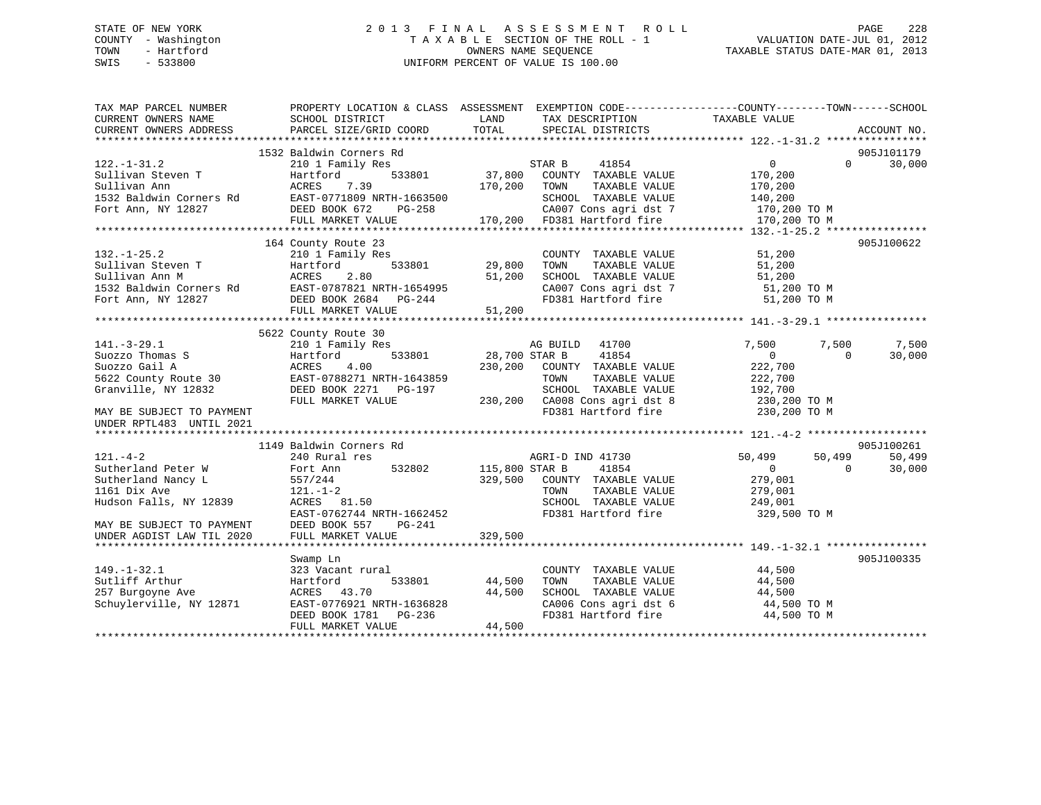# STATE OF NEW YORK 2 0 1 3 F I N A L A S S E S S M E N T R O L L PAGE 228 COUNTY - Washington T A X A B L E SECTION OF THE ROLL - 1 VALUATION DATE-JUL 01, 2012 TOWN - Hartford **TAXABLE STATUS DATE-MAR 01, 2013** OWNERS NAME SEQUENCE TAXABLE STATUS DATE-MAR 01, 2013 SWIS - 533800 UNIFORM PERCENT OF VALUE IS 100.00

| TAX MAP PARCEL NUMBER     |                                                                                              |                                                | PROPERTY LOCATION & CLASS ASSESSMENT EXEMPTION CODE----------------COUNTY-------TOWN-----SCHOOL |
|---------------------------|----------------------------------------------------------------------------------------------|------------------------------------------------|-------------------------------------------------------------------------------------------------|
| CURRENT OWNERS NAME       | SCHOOL DISTRICT                                                                              | LAND<br>TAX DESCRIPTION                        | TAXABLE VALUE                                                                                   |
| CURRENT OWNERS ADDRESS    | PARCEL SIZE/GRID COORD                                                                       | TOTAL<br>SPECIAL DISTRICTS                     | ACCOUNT NO.                                                                                     |
|                           |                                                                                              |                                                |                                                                                                 |
|                           | 1532 Baldwin Corners Rd                                                                      |                                                | 905J101179                                                                                      |
| $122. - 1 - 31.2$         | 210 1 Family Res                                                                             | STAR B<br>41854                                | 0<br>$\Omega$<br>30,000                                                                         |
| Sullivan Steven T         | 533801<br>Hartford                                                                           | 37,800<br>COUNTY TAXABLE VALUE                 | 170,200                                                                                         |
| Sullivan Ann              | ACRES<br>7.39                                                                                | 170,200<br>TOWN<br>TAXABLE VALUE               | 170,200                                                                                         |
| 1532 Baldwin Corners Rd   | EAST-0771809 NRTH-1663500                                                                    | SCHOOL TAXABLE VALUE                           | 140,200                                                                                         |
| Fort Ann, NY 12827        | DEED BOOK 672<br>PG-258                                                                      | CA007 Cons agri dst 7                          | 170,200 TO M                                                                                    |
|                           | FULL MARKET VALUE                                                                            | 170,200 FD381 Hartford fire                    | 170,200 TO M                                                                                    |
|                           | 164 County Route 23                                                                          |                                                | 905J100622                                                                                      |
| $132. - 1 - 25.2$         | 210 1 Family Res                                                                             | COUNTY TAXABLE VALUE                           | 51,200                                                                                          |
| Sullivan Steven T         | 533801<br>Hartford                                                                           | TAXABLE VALUE<br>29,800<br>TOWN                | 51,200                                                                                          |
| Sullivan Ann M            | ACRES<br>2.80                                                                                | 51,200<br>SCHOOL TAXABLE VALUE                 | 51,200                                                                                          |
| 1532 Baldwin Corners Rd   |                                                                                              | CA007 Cons agri dst 7                          | 51,200 TO M                                                                                     |
| Fort Ann, NY 12827        |                                                                                              | FD381 Hartford fire                            | 51,200 TO M                                                                                     |
|                           | EAST-0787821 NRTH-1654995<br>DEED BOOK 2684 PG-244<br>FULL MARKET VALUE<br>FULL MARKET VALUE | 51,200                                         |                                                                                                 |
|                           |                                                                                              |                                                |                                                                                                 |
|                           | 5622 County Route 30                                                                         |                                                |                                                                                                 |
| $141. - 3 - 29.1$         | 210 1 Family Res                                                                             | AG BUILD 41700                                 | 7,500<br>7,500<br>7,500                                                                         |
| Suozzo Thomas S           | 533801<br>Hartford                                                                           | 28,700 STAR B<br>41854                         | $\overline{0}$<br>30,000<br>$\Omega$                                                            |
| Suozzo Gail A             | ACRES<br>4.00                                                                                | 230,200<br>COUNTY TAXABLE VALUE                | 222,700                                                                                         |
| 5622 County Route 30      | EAST-0788271 NRTH-1643859                                                                    | TOWN<br>TAXABLE VALUE                          | 222,700                                                                                         |
| Granville, NY 12832       | DEED BOOK 2271 PG-197                                                                        | SCHOOL TAXABLE VALUE                           | 192,700                                                                                         |
|                           | FULL MARKET VALUE                                                                            | 230,200 CA008 Cons agri dst 8                  | 230,200 TO M                                                                                    |
| MAY BE SUBJECT TO PAYMENT |                                                                                              | FD381 Hartford fire                            | 230,200 TO M                                                                                    |
| UNDER RPTL483 UNTIL 2021  |                                                                                              |                                                |                                                                                                 |
|                           |                                                                                              |                                                |                                                                                                 |
|                           | 1149 Baldwin Corners Rd                                                                      |                                                | 905J100261                                                                                      |
| $121. - 4 - 2$            | 240 Rural res                                                                                | AGRI-D IND 41730                               | 50,499<br>50,499<br>50,499                                                                      |
| Sutherland Peter W        | 532802<br>Fort Ann                                                                           | 115,800 STAR B<br>41854                        | $\overline{0}$<br>$\Omega$<br>30,000                                                            |
| Sutherland Nancy L        | 557/244                                                                                      | 329,500<br>COUNTY TAXABLE VALUE                | 279,001                                                                                         |
| 1161 Dix Ave              | $121. - 1 - 2$                                                                               | TAXABLE VALUE<br>TOWN                          | 279,001                                                                                         |
| Hudson Falls, NY 12839    | ACRES 81.50                                                                                  | SCHOOL TAXABLE VALUE                           | 249,001                                                                                         |
|                           | EAST-0762744 NRTH-1662452                                                                    | FD381 Hartford fire                            | 329,500 TO M                                                                                    |
| MAY BE SUBJECT TO PAYMENT | DEED BOOK 557<br>PG-241                                                                      |                                                |                                                                                                 |
| UNDER AGDIST LAW TIL 2020 | FULL MARKET VALUE                                                                            | 329,500                                        |                                                                                                 |
|                           |                                                                                              |                                                |                                                                                                 |
|                           | Swamp Ln                                                                                     |                                                | 905J100335                                                                                      |
| $149. - 1 - 32.1$         | 323 Vacant rural                                                                             | COUNTY TAXABLE VALUE                           | 44,500                                                                                          |
| Sutliff Arthur            | Hartford<br>533801                                                                           | 44,500<br>TOWN<br>TAXABLE VALUE                | 44,500                                                                                          |
| 257 Burgoyne Ave          | ACRES 43.70                                                                                  | 44,500<br>SCHOOL TAXABLE VALUE                 | 44,500                                                                                          |
| Schuylerville, NY 12871   | EAST-0776921 NRTH-1636828                                                                    | CA006 Cons agri dst 6<br>CA006 Cons agri dst 6 | 44,500 TO M                                                                                     |
|                           | DEED BOOK 1781<br>PG-236                                                                     | FD381 Hartford fire                            | 44,500 TO M                                                                                     |
|                           | FULL MARKET VALUE                                                                            | 44,500                                         |                                                                                                 |
|                           |                                                                                              |                                                |                                                                                                 |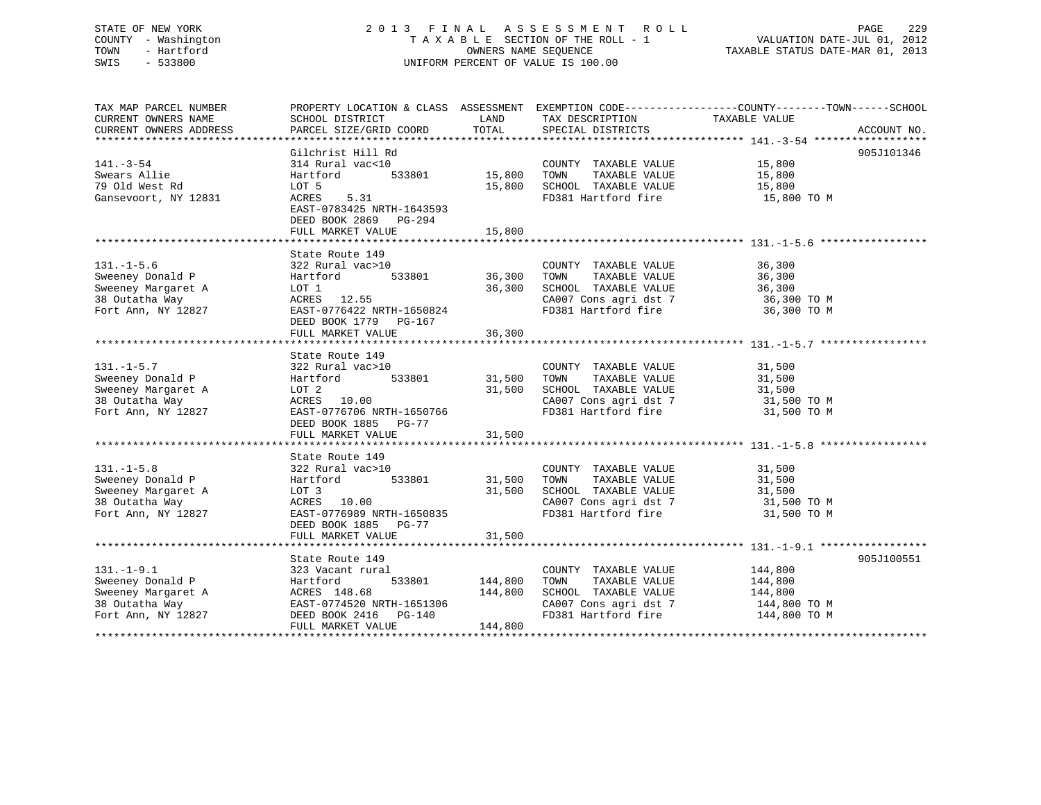# STATE OF NEW YORK 2 0 1 3 F I N A L A S S E S S M E N T R O L L PAGE 229 COUNTY - Washington T A X A B L E SECTION OF THE ROLL - 1 VALUATION DATE-JUL 01, 2012 TOWN - Hartford OWNERS NAME SEQUENCE TAXABLE STATUS DATE-MAR 01, 2013 SWIS - 533800 UNIFORM PERCENT OF VALUE IS 100.00

| TAX MAP PARCEL NUMBER<br>CURRENT OWNERS NAME<br>CURRENT OWNERS ADDRESS                                                                                                                     | SCHOOL DISTRICT<br>PARCEL SIZE/GRID COORD | <b>EXAMPLE TO A LAND THE SECOND SERVICE SERVICE SERVICE SERVICE SERVICE SERVICE SERVICE SERVICE SERVICE SERVICE</b><br>TOTAL | TAX DESCRIPTION TAXABLE VALUE<br>SPECIAL DISTRICTS<br>SPECIAL DISTRICTS                                                                                                                                                                   | PROPERTY LOCATION & CLASS ASSESSMENT EXEMPTION CODE---------------COUNTY-------TOWN------SCHOOL<br>ACCOUNT NO. |
|--------------------------------------------------------------------------------------------------------------------------------------------------------------------------------------------|-------------------------------------------|------------------------------------------------------------------------------------------------------------------------------|-------------------------------------------------------------------------------------------------------------------------------------------------------------------------------------------------------------------------------------------|----------------------------------------------------------------------------------------------------------------|
|                                                                                                                                                                                            |                                           |                                                                                                                              |                                                                                                                                                                                                                                           |                                                                                                                |
|                                                                                                                                                                                            | Gilchrist Hill Rd                         |                                                                                                                              |                                                                                                                                                                                                                                           | 905J101346                                                                                                     |
| $141. - 3 - 54$                                                                                                                                                                            | 314 Rural vac<10                          |                                                                                                                              |                                                                                                                                                                                                                                           |                                                                                                                |
| Swears Allie                                                                                                                                                                               | Hartford                                  | $533801$ 15,800 TOWN                                                                                                         | COUNTY TAXABLE VALUE 15,800<br>TOWN TAXABLE VALUE 15,800                                                                                                                                                                                  |                                                                                                                |
| 79 Old West Rd                                                                                                                                                                             | LOT 5                                     |                                                                                                                              | 15,800 SCHOOL TAXABLE VALUE 15,800 TO M<br>IS,800 FD381 Hartford fire 15,800 TO M                                                                                                                                                         |                                                                                                                |
| Gansevoort, NY 12831                                                                                                                                                                       | 5.31<br>ACRES                             |                                                                                                                              |                                                                                                                                                                                                                                           |                                                                                                                |
|                                                                                                                                                                                            | EAST-0783425 NRTH-1643593                 |                                                                                                                              |                                                                                                                                                                                                                                           |                                                                                                                |
|                                                                                                                                                                                            | DEED BOOK 2869 PG-294                     |                                                                                                                              |                                                                                                                                                                                                                                           |                                                                                                                |
|                                                                                                                                                                                            |                                           |                                                                                                                              |                                                                                                                                                                                                                                           |                                                                                                                |
|                                                                                                                                                                                            |                                           |                                                                                                                              |                                                                                                                                                                                                                                           |                                                                                                                |
|                                                                                                                                                                                            | State Route 149                           |                                                                                                                              |                                                                                                                                                                                                                                           | 36,300                                                                                                         |
| $131. - 1 - 5.6$                                                                                                                                                                           | 322 Rural vac>10<br>szz kurai<br>Hartford | 0 COUNT<br>533801 36,300 TOWN                                                                                                | COUNTY TAXABLE VALUE<br>TAXABLE VALUE                                                                                                                                                                                                     |                                                                                                                |
|                                                                                                                                                                                            |                                           |                                                                                                                              |                                                                                                                                                                                                                                           | 36,300                                                                                                         |
| Sweeney Donald P<br>Sweeney Margaret A                                                                                                                                                     | LOT 1<br>ACRES 12.55                      | 36,300                                                                                                                       | SCHOOL TAXABLE VALUE                                                                                                                                                                                                                      |                                                                                                                |
| 38 Outatha Way<br>Fort Ann, NY 12827                                                                                                                                                       | EAST-0776422 NRTH-1650824                 |                                                                                                                              | CA007 Cons agri dst 7 36,300 TO M<br>FD381 Hartford fire 36,300 TO M                                                                                                                                                                      |                                                                                                                |
|                                                                                                                                                                                            |                                           |                                                                                                                              |                                                                                                                                                                                                                                           |                                                                                                                |
|                                                                                                                                                                                            | DEED BOOK 1779 PG-167                     | 36,300                                                                                                                       |                                                                                                                                                                                                                                           |                                                                                                                |
|                                                                                                                                                                                            | FULL MARKET VALUE                         |                                                                                                                              |                                                                                                                                                                                                                                           |                                                                                                                |
|                                                                                                                                                                                            | State Route 149                           |                                                                                                                              |                                                                                                                                                                                                                                           |                                                                                                                |
| $131. - 1 - 5.7$                                                                                                                                                                           | 322 Rural vac>10                          |                                                                                                                              | COUNTY TAXABLE VALUE                                                                                                                                                                                                                      | 31,500                                                                                                         |
| Sweeney Donald P                                                                                                                                                                           | 322 Rural<br>Hartford                     |                                                                                                                              | TAXABLE VALUE                                                                                                                                                                                                                             | 31,500                                                                                                         |
|                                                                                                                                                                                            |                                           |                                                                                                                              | 31,500 SCHOOL TAXABLE VALUE                                                                                                                                                                                                               | 31,500                                                                                                         |
|                                                                                                                                                                                            | LOT 2<br>ACRES 10.00                      |                                                                                                                              |                                                                                                                                                                                                                                           |                                                                                                                |
| Sweeney Margaret A<br>38 Outatha Way<br>Fort Ann, NY 12827                                                                                                                                 | EAST-0776706 NRTH-1650766                 |                                                                                                                              | $\begin{array}{lll} \texttt{CA007} \texttt{ Cons} & \texttt{agri} \texttt{dst} & 7 & 31,500 \texttt{ TO M} \\ \texttt{FD381} & \texttt{Hartford} \texttt{fire} & 31,500 \texttt{ TO M} \end{array}$                                       |                                                                                                                |
|                                                                                                                                                                                            | DEED BOOK 1885 PG-77                      |                                                                                                                              |                                                                                                                                                                                                                                           |                                                                                                                |
|                                                                                                                                                                                            |                                           |                                                                                                                              |                                                                                                                                                                                                                                           |                                                                                                                |
|                                                                                                                                                                                            |                                           |                                                                                                                              |                                                                                                                                                                                                                                           |                                                                                                                |
|                                                                                                                                                                                            | State Route 149                           |                                                                                                                              |                                                                                                                                                                                                                                           |                                                                                                                |
| $131. -1 - 5.8$                                                                                                                                                                            | 322 Rural vac>10                          |                                                                                                                              | COUNTY TAXABLE VALUE                                                                                                                                                                                                                      | 31,500                                                                                                         |
| Sweeney Donald P                                                                                                                                                                           | vac>10<br>533801 31,500<br>Hartford       |                                                                                                                              | TAXABLE VALUE<br>TOWN                                                                                                                                                                                                                     | 31,500                                                                                                         |
| Sweeney Margaret A                                                                                                                                                                         | LOT 3                                     | 31,500                                                                                                                       | SCHOOL TAXABLE VALUE                                                                                                                                                                                                                      | 31,500                                                                                                         |
| 38 Outatha Way                                                                                                                                                                             |                                           |                                                                                                                              |                                                                                                                                                                                                                                           |                                                                                                                |
| Fort Ann, NY 12827                                                                                                                                                                         | ACRES 10.00<br>EAST-0776989 NRTH-1650835  |                                                                                                                              | CA007 Cons agri dst 7 31,500 TO M<br>FD381 Hartford fire 31,500 TO M                                                                                                                                                                      |                                                                                                                |
|                                                                                                                                                                                            | DEED BOOK 1885 PG-77                      |                                                                                                                              |                                                                                                                                                                                                                                           |                                                                                                                |
|                                                                                                                                                                                            | FULL MARKET VALUE                         | 31,500                                                                                                                       |                                                                                                                                                                                                                                           |                                                                                                                |
|                                                                                                                                                                                            |                                           |                                                                                                                              |                                                                                                                                                                                                                                           |                                                                                                                |
|                                                                                                                                                                                            | State Route 149                           |                                                                                                                              |                                                                                                                                                                                                                                           | 905J100551                                                                                                     |
|                                                                                                                                                                                            |                                           |                                                                                                                              | COUNTY TAXABLE VALUE                                                                                                                                                                                                                      | 144,800                                                                                                        |
|                                                                                                                                                                                            | 533801 144,800                            |                                                                                                                              | TAXABLE VALUE<br>TOWN                                                                                                                                                                                                                     | 144,800                                                                                                        |
|                                                                                                                                                                                            |                                           | 144,800                                                                                                                      | SCHOOL TAXABLE VALUE                                                                                                                                                                                                                      | 144,800                                                                                                        |
|                                                                                                                                                                                            |                                           |                                                                                                                              |                                                                                                                                                                                                                                           |                                                                                                                |
| 131.-1-9.1 323 Vacant rural<br>Sweeney Donald P Hartford 533801<br>Sweeney Margaret A ACRES 148.68<br>38 Outatha Way EAST-0774520 NRTH-1651306<br>Fort Ann, NY 12827 DEED BOOK 2416 PG-140 |                                           |                                                                                                                              | $\begin{array}{lll} \texttt{CA007} \texttt{ Cons} & \texttt{aspti} & \texttt{dst} & \texttt{7} & \texttt{144,800} & \texttt{TO M} \\ \texttt{FD381} & \texttt{Hartford} & \texttt{fire} & & \texttt{144,800} & \texttt{TO M} \end{array}$ |                                                                                                                |
|                                                                                                                                                                                            | FULL MARKET VALUE                         | 144,800                                                                                                                      |                                                                                                                                                                                                                                           |                                                                                                                |
|                                                                                                                                                                                            |                                           |                                                                                                                              |                                                                                                                                                                                                                                           |                                                                                                                |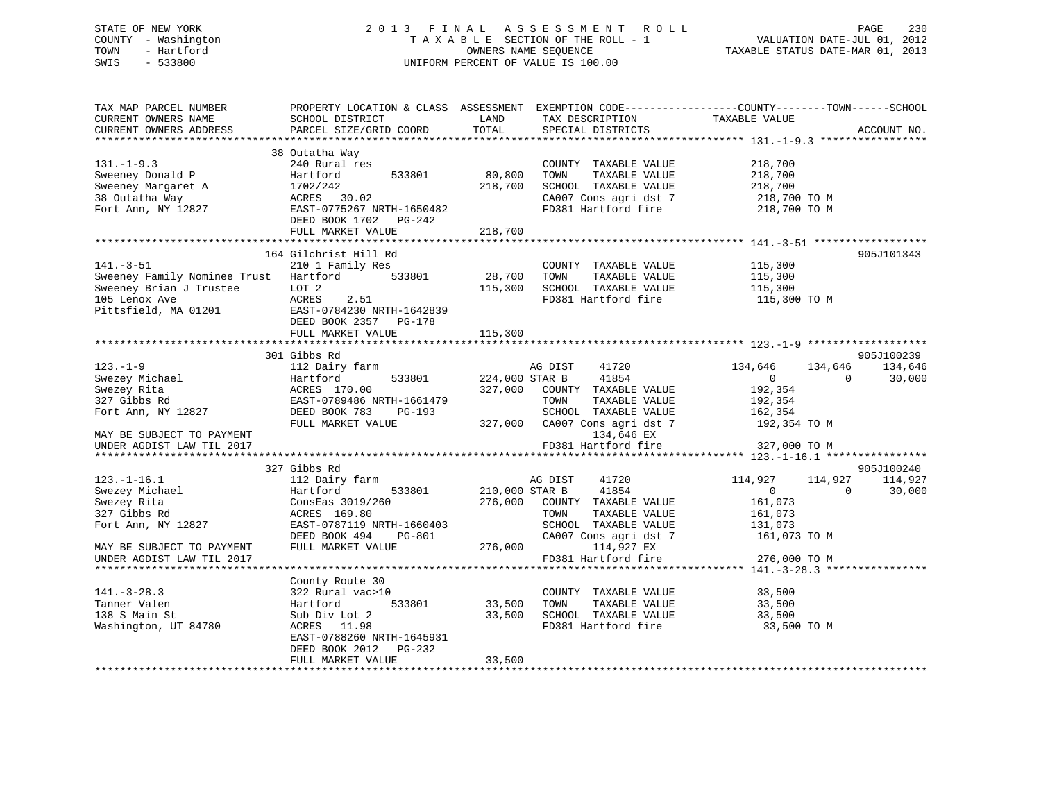# STATE OF NEW YORK 2 0 1 3 F I N A L A S S E S S M E N T R O L L PAGE 230 COUNTY - Washington T A X A B L E SECTION OF THE ROLL - 1 VALUATION DATE-JUL 01, 2012 TOWN - Hartford **TAXABLE STATUS DATE-MAR 01, 2013** SWIS - 533800 UNIFORM PERCENT OF VALUE IS 100.00

| TAX MAP PARCEL NUMBER<br>CURRENT OWNERS NAME<br>CURRENT OWNERS ADDRESS | SCHOOL DISTRICT<br>PARCEL SIZE/GRID COORD | LAND<br>TOTAL  | TAX DESCRIPTION TAXABLE VALUE<br>SPECIAL DISTRICTS<br>SPECIAL DISTRICTS | PROPERTY LOCATION & CLASS ASSESSMENT EXEMPTION CODE---------------COUNTY-------TOWN-----SCHOOL | ACCOUNT NO. |
|------------------------------------------------------------------------|-------------------------------------------|----------------|-------------------------------------------------------------------------|------------------------------------------------------------------------------------------------|-------------|
|                                                                        |                                           |                |                                                                         |                                                                                                |             |
|                                                                        | 38 Outatha Way                            |                |                                                                         |                                                                                                |             |
| $131. - 1 - 9.3$                                                       | 240 Rural res                             |                | COUNTY TAXABLE VALUE                                                    | 218,700                                                                                        |             |
| Sweeney Donald P                                                       | Hartford<br>533801                        | 80,800         | TOWN<br>TAXABLE VALUE                                                   | 218,700                                                                                        |             |
| Sweeney Margaret A                                                     | 1702/242                                  | 218,700        | SCHOOL TAXABLE VALUE                                                    | 218,700                                                                                        |             |
| 38 Outatha Way                                                         | ACRES 30.02                               |                | CA007 Cons agri dst 7<br>FD381 Hartford fire                            | 218,700 TO M<br>218,700 TO M                                                                   |             |
| Fort Ann, NY 12827                                                     | EAST-0775267 NRTH-1650482                 |                |                                                                         |                                                                                                |             |
|                                                                        | DEED BOOK 1702 PG-242                     |                |                                                                         |                                                                                                |             |
|                                                                        | FULL MARKET VALUE                         | 218,700        |                                                                         |                                                                                                |             |
|                                                                        |                                           |                |                                                                         |                                                                                                |             |
|                                                                        | 164 Gilchrist Hill Rd                     |                |                                                                         |                                                                                                | 905J101343  |
| $141. - 3 - 51$                                                        | 210 1 Family Res                          |                | COUNTY TAXABLE VALUE                                                    | 115,300                                                                                        |             |
| Sweeney Family Nominee Trust Hartford                                  | 533801                                    | 28,700         | TAXABLE VALUE<br>TOWN                                                   | 115,300                                                                                        |             |
| Sweeney Brian J Trustee                                                | LOT 2                                     | 115,300        | SCHOOL TAXABLE VALUE                                                    | 115,300                                                                                        |             |
| 105 Lenox Ave                                                          | ACRES<br>2.51                             |                |                                                                         | FD381 Hartford fire 115,300 TO M                                                               |             |
| Pittsfield, MA 01201                                                   | EAST-0784230 NRTH-1642839                 |                |                                                                         |                                                                                                |             |
|                                                                        | DEED BOOK 2357 PG-178                     |                |                                                                         |                                                                                                |             |
|                                                                        | FULL MARKET VALUE                         | 115,300        |                                                                         |                                                                                                |             |
|                                                                        |                                           |                |                                                                         |                                                                                                |             |
|                                                                        | 301 Gibbs Rd                              |                |                                                                         |                                                                                                | 905J100239  |
| $123. - 1 - 9$                                                         | 112 Dairy farm                            |                | AG DIST<br>41720                                                        | 134,646<br>134,646                                                                             | 134,646     |
| Swezey Michael                                                         | 533801<br>Hartford                        | 224,000 STAR B | 41854                                                                   | $\overline{0}$<br>$\overline{\phantom{0}}$                                                     | 30,000      |
| Swezey Rita                                                            | ACRES 170.00                              |                | 327,000 COUNTY TAXABLE VALUE                                            | 192,354                                                                                        |             |
| 327 Gibbs Rd                                                           | EAST-0789486 NRTH-1661479                 |                | TOWN<br>TAXABLE VALUE                                                   | 192,354                                                                                        |             |
| Fort Ann, NY 12827                                                     | DEED BOOK 783 PG-193                      |                | SCHOOL TAXABLE VALUE                                                    | 162,354                                                                                        |             |
|                                                                        | FULL MARKET VALUE                         |                | $327,000$ CA007 Cons agri dst 7 192,354 TO M                            |                                                                                                |             |
| MAY BE SUBJECT TO PAYMENT                                              |                                           |                | 134,646 EX                                                              |                                                                                                |             |
| UNDER AGDIST LAW TIL 2017                                              |                                           |                | FD381 Hartford fire                                                     | 327,000 TO M                                                                                   |             |
|                                                                        |                                           |                |                                                                         |                                                                                                |             |
|                                                                        | 327 Gibbs Rd                              |                |                                                                         |                                                                                                | 905J100240  |
| $123.-1-16.1$                                                          | 112 Dairy farm                            |                | AG DIST 41720                                                           | 114,927<br>114,927                                                                             | 114,927     |
| Swezey Michael                                                         | 533801<br>Hartford                        | 210,000 STAR B | 41854                                                                   | $\overline{0}$<br>$\overline{0}$                                                               | 30,000      |
| Swezey Rita                                                            | ConsEas 3019/260                          |                | 276,000 COUNTY TAXABLE VALUE                                            | 161,073                                                                                        |             |
| 327 Gibbs Rd                                                           | ACRES 169.80                              |                | TOWN<br>TAXABLE VALUE                                                   | 161,073                                                                                        |             |
| Fort Ann, NY 12827                                                     | EAST-0787119 NRTH-1660403                 |                | SCHOOL TAXABLE VALUE                                                    | 131,073                                                                                        |             |
|                                                                        | DEED BOOK 494<br>PG-801                   |                | CA007 Cons agri dst 7                                                   | 161,073 TO M                                                                                   |             |
| MAY BE SUBJECT TO PAYMENT                                              | FULL MARKET VALUE                         | 276,000        | 114,927 EX                                                              |                                                                                                |             |
| UNDER AGDIST LAW TIL 2017                                              |                                           |                | FD381 Hartford fire                                                     | 276,000 TO M                                                                                   |             |
|                                                                        |                                           |                |                                                                         |                                                                                                |             |
|                                                                        | County Route 30                           |                |                                                                         |                                                                                                |             |
| $141. - 3 - 28.3$                                                      | 322 Rural vac>10                          |                | COUNTY TAXABLE VALUE                                                    | 33,500                                                                                         |             |
| Tanner Valen                                                           | 533801<br>Hartford                        | 33,500         | TOWN<br>TAXABLE VALUE                                                   | 33,500                                                                                         |             |
| 138 S Main St                                                          | Sub Div Lot 2                             | 33,500         | SCHOOL TAXABLE VALUE 33,500                                             |                                                                                                |             |
| Washington, UT 84780                                                   | ACRES 11.98                               |                | FD381 Hartford fire                                                     | 33,500 TO M                                                                                    |             |
|                                                                        | EAST-0788260 NRTH-1645931                 |                |                                                                         |                                                                                                |             |
|                                                                        | DEED BOOK 2012 PG-232                     |                |                                                                         |                                                                                                |             |
|                                                                        | FULL MARKET VALUE                         | 33,500         |                                                                         |                                                                                                |             |
|                                                                        |                                           |                |                                                                         |                                                                                                |             |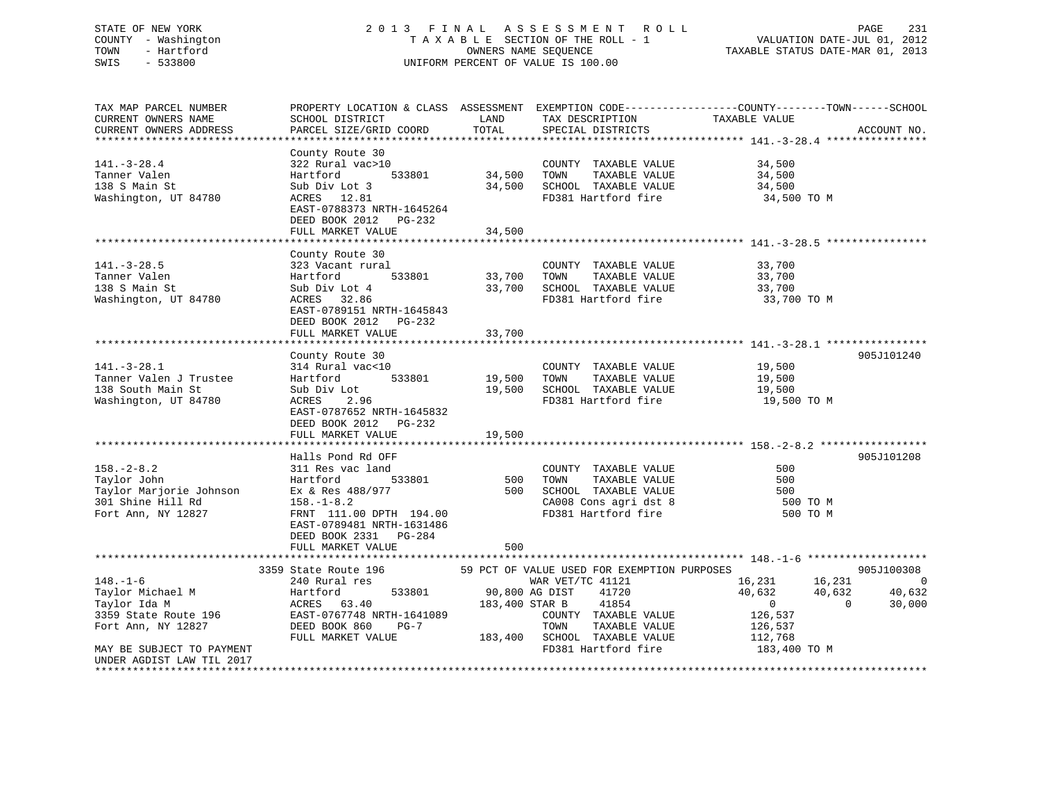# STATE OF NEW YORK 2 0 1 3 F I N A L A S S E S S M E N T R O L L PAGE 231 COUNTY - Washington T A X A B L E SECTION OF THE ROLL - 1 VALUATION DATE-JUL 01, 2012 TOWN - Hartford **TAXABLE STATUS DATE-MAR 01, 2013** SWIS - 533800 UNIFORM PERCENT OF VALUE IS 100.00

| TAX MAP PARCEL NUMBER                                             | PROPERTY LOCATION & CLASS ASSESSMENT EXEMPTION CODE----------------COUNTY-------TOWN------SCHOOL |                |                                               |                                  |                |
|-------------------------------------------------------------------|--------------------------------------------------------------------------------------------------|----------------|-----------------------------------------------|----------------------------------|----------------|
| CURRENT OWNERS NAME                                               | SCHOOL DISTRICT                                                                                  | LAND           | TAX DESCRIPTION                               | TAXABLE VALUE                    |                |
| CURRENT OWNERS ADDRESS                                            | PARCEL SIZE/GRID COORD                                                                           | TOTAL          | SPECIAL DISTRICTS                             |                                  | ACCOUNT NO.    |
|                                                                   |                                                                                                  |                |                                               |                                  |                |
|                                                                   | County Route 30                                                                                  |                |                                               |                                  |                |
| $141. - 3 - 28.4$                                                 | 322 Rural vac>10                                                                                 |                | COUNTY TAXABLE VALUE                          | 34,500                           |                |
| Tanner Valen                                                      | 533801<br>Hartford                                                                               | 34,500 TOWN    | TAXABLE VALUE                                 | 34,500                           |                |
| 138 S Main St                                                     | Sub Div Lot 3                                                                                    | 34,500         | SCHOOL TAXABLE VALUE                          | 34,500                           |                |
| Washington, UT 84780                                              | ACRES 12.81                                                                                      |                | FD381 Hartford fire                           | 34,500 TO M                      |                |
|                                                                   | EAST-0788373 NRTH-1645264                                                                        |                |                                               |                                  |                |
|                                                                   | DEED BOOK 2012 PG-232                                                                            |                |                                               |                                  |                |
|                                                                   | FULL MARKET VALUE                                                                                | 34,500         |                                               |                                  |                |
|                                                                   |                                                                                                  |                |                                               |                                  |                |
|                                                                   | County Route 30                                                                                  |                |                                               |                                  |                |
| $141. - 3 - 28.5$                                                 | 323 Vacant rural                                                                                 |                | COUNTY TAXABLE VALUE                          | 33,700                           |                |
| Tanner Valen                                                      | 533801<br>Hartford                                                                               |                | TAXABLE VALUE<br>33,700 TOWN                  | 33,700                           |                |
| 138 S Main St                                                     | Sub Div Lot 4                                                                                    |                | 33,700 SCHOOL TAXABLE VALUE                   | 33,700                           |                |
| Washington, UT 84780                                              | ACRES 32.86                                                                                      |                | FD381 Hartford fire                           | 33,700 TO M                      |                |
|                                                                   | EAST-0789151 NRTH-1645843                                                                        |                |                                               |                                  |                |
|                                                                   | DEED BOOK 2012 PG-232                                                                            |                |                                               |                                  |                |
|                                                                   | FULL MARKET VALUE                                                                                | 33,700         |                                               |                                  |                |
|                                                                   |                                                                                                  |                |                                               |                                  |                |
|                                                                   | County Route 30                                                                                  |                |                                               |                                  | 905J101240     |
| $141. - 3 - 28.1$                                                 | 314 Rural vac<10                                                                                 |                | COUNTY TAXABLE VALUE                          | 19,500                           |                |
| Tanner Valen J Trustee                                            | Hartford 533801                                                                                  | 19,500         | TOWN<br>TAXABLE VALUE                         | 19,500                           |                |
| 138 South Main St                                                 | Sub Div Lot                                                                                      |                | 19,500 SCHOOL TAXABLE VALUE                   | 19,500                           |                |
| Washington, UT 84780                                              | ACRES 2.96                                                                                       |                | FD381 Hartford fire                           | 19,500 TO M                      |                |
|                                                                   | EAST-0787652 NRTH-1645832                                                                        |                |                                               |                                  |                |
|                                                                   | DEED BOOK 2012 PG-232                                                                            |                |                                               |                                  |                |
|                                                                   | FULL MARKET VALUE                                                                                | 19,500         |                                               |                                  |                |
|                                                                   | Halls Pond Rd OFF                                                                                |                |                                               |                                  | 905J101208     |
| $158. - 2 - 8.2$                                                  | 311 Res vac land                                                                                 |                | COUNTY TAXABLE VALUE                          | 500                              |                |
| Taylor John                                                       | Hartford<br>533801                                                                               | 500 TOWN       | TAXABLE VALUE                                 | 500                              |                |
|                                                                   | Ex & Res 488/977                                                                                 |                | 500 SCHOOL TAXABLE VALUE                      | 500                              |                |
| Taylor Marjorie Johnson<br>201 Shine Will Pd<br>301 Shine Hill Rd | $158. - 1 - 8.2$                                                                                 |                | SCHOOL TAXABLE VALUE<br>CA008 Cons agri dst 8 | 500 TO M                         |                |
| Fort Ann, NY 12827                                                | FRNT 111.00 DPTH 194.00                                                                          |                | FD381 Hartford fire                           | 500 TO M                         |                |
|                                                                   | EAST-0789481 NRTH-1631486                                                                        |                |                                               |                                  |                |
|                                                                   | DEED BOOK 2331 PG-284                                                                            |                |                                               |                                  |                |
|                                                                   | FULL MARKET VALUE                                                                                | 500            |                                               |                                  |                |
|                                                                   |                                                                                                  |                |                                               |                                  |                |
|                                                                   | 3359 State Route 196                                                                             |                | 59 PCT OF VALUE USED FOR EXEMPTION PURPOSES   |                                  | 905J100308     |
| $148. - 1 - 6$                                                    | 240 Rural res                                                                                    |                | WAR VET/TC 41121                              | 16,231 16,231                    | $\overline{0}$ |
| Taylor Michael M                                                  | 533801<br>Hartford                                                                               | 90,800 AG DIST | 41720                                         | 40,632<br>40,632                 | 40,632         |
| Taylor Ida M                                                      | ACRES 63.40                                                                                      |                | 183,400 STAR B<br>41854                       | $\overline{0}$<br>$\overline{0}$ | 30,000         |
| 3359 State Route 196                                              | EAST-0767748 NRTH-1641089                                                                        |                | COUNTY TAXABLE VALUE                          | 126,537                          |                |
| Fort Ann, NY 12827                                                | DEED BOOK 860<br>$PG-7$                                                                          |                | TOWN<br>TAXABLE VALUE                         | 126,537                          |                |
|                                                                   | FULL MARKET VALUE                                                                                |                | 183,400 SCHOOL TAXABLE VALUE 112,768          |                                  |                |
| MAY BE SUBJECT TO PAYMENT                                         |                                                                                                  |                | FD381 Hartford fire                           | 183,400 TO M                     |                |
| UNDER AGDIST LAW TIL 2017                                         |                                                                                                  |                |                                               |                                  |                |
|                                                                   |                                                                                                  |                |                                               |                                  |                |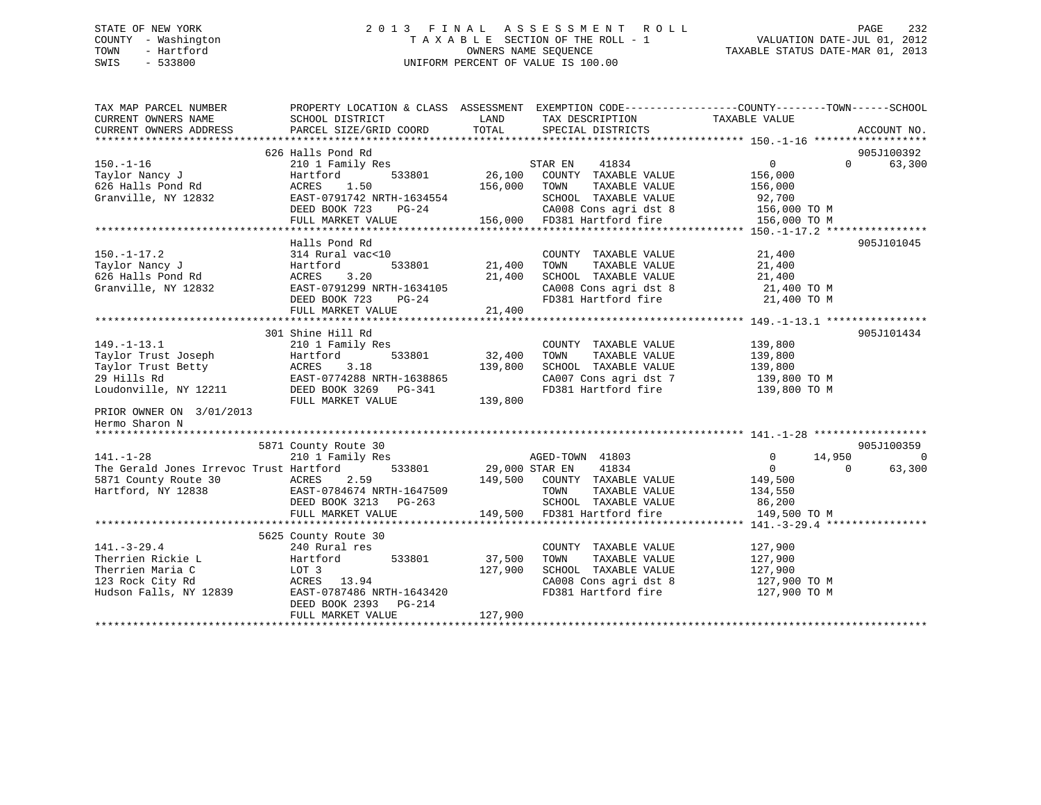# STATE OF NEW YORK 2 0 1 3 F I N A L A S S E S S M E N T R O L L PAGE 232 COUNTY - Washington T A X A B L E SECTION OF THE ROLL - 1 VALUATION DATE-JUL 01, 2012 TOWN - Hartford **TAXABLE STATUS DATE-MAR 01, 2013** SWIS - 533800 UNIFORM PERCENT OF VALUE IS 100.00

| TAX MAP PARCEL NUMBER                        | PROPERTY LOCATION & CLASS ASSESSMENT EXEMPTION CODE---------------COUNTY-------TOWN------SCHOOL |                |                                                                                 |                                          |                |
|----------------------------------------------|-------------------------------------------------------------------------------------------------|----------------|---------------------------------------------------------------------------------|------------------------------------------|----------------|
| CURRENT OWNERS NAME                          | SCHOOL DISTRICT                                                                                 | LAND           | TAX DESCRIPTION                                                                 | TAXABLE VALUE                            |                |
| CURRENT OWNERS ADDRESS                       | PARCEL SIZE/GRID COORD                                                                          | TOTAL          | SPECIAL DISTRICTS                                                               |                                          | ACCOUNT NO.    |
|                                              |                                                                                                 |                |                                                                                 |                                          |                |
|                                              | 626 Halls Pond Rd                                                                               |                |                                                                                 |                                          | 905J100392     |
| $150. - 1 - 16$                              | 210 1 Family Res                                                                                | ST<br>26,100   | 41834<br>STAR EN                                                                | $0 \qquad \qquad$<br>$\Omega$            | 63,300         |
| Taylor Nancy J                               | Hartford<br>533801                                                                              |                | COUNTY TAXABLE VALUE                                                            | 156,000                                  |                |
| 626 Halls Pond Rd                            | ACRES<br>1.50                                                                                   | 156,000        | TOWN<br>TAXABLE VALUE                                                           | 156,000                                  |                |
| Granville, NY 12832                          | EAST-0791742 NRTH-1634554                                                                       |                | SCHOOL TAXABLE VALUE                                                            | 92,700                                   |                |
|                                              | DEED BOOK 723<br>$PG-24$                                                                        |                | CA008 Cons agri dst 8 156,000 TO M                                              |                                          |                |
|                                              | FULL MARKET VALUE                                                                               |                | 156,000 FD381 Hartford fire                                                     | 156,000 TO M                             |                |
|                                              |                                                                                                 |                |                                                                                 |                                          |                |
|                                              | Halls Pond Rd                                                                                   |                |                                                                                 |                                          | 905J101045     |
| $150. - 1 - 17.2$                            | 314 Rural vac<10                                                                                |                | COUNTY TAXABLE VALUE                                                            | 21,400                                   |                |
| Taylor Nancy J                               | Hartford                                                                                        | 533801 21,400  | TAXABLE VALUE<br>TOWN                                                           | 21,400                                   |                |
| 626 Halls Pond Rd                            | 3.20<br>ACRES                                                                                   | 21,400         | SCHOOL TAXABLE VALUE<br>SCHOOL TAXABLE VALUE<br>CA008 Cons agri dst 8           | 21,400<br>$21,400$ TO M<br>$21,400$ TO M |                |
| Granville, NY 12832                          | EAST-0791299 NRTH-1634105                                                                       |                |                                                                                 |                                          |                |
|                                              | DEED BOOK 723<br>$PG-24$                                                                        |                | FD381 Hartford fire                                                             | 21,400 TO M                              |                |
|                                              | FULL MARKET VALUE                                                                               | 21,400         |                                                                                 |                                          |                |
|                                              |                                                                                                 |                |                                                                                 |                                          |                |
|                                              | 301 Shine Hill Rd                                                                               |                |                                                                                 |                                          | 905J101434     |
| $149. - 1 - 13.1$                            | 210 1 Family Res                                                                                |                | COUNTY TAXABLE VALUE                                                            | 139,800                                  |                |
| Taylor Trust Joseph                          | 533801<br>Hartford                                                                              | 32,400         | TAXABLE VALUE<br>TOWN                                                           | 139,800                                  |                |
| Taylor Trust Betty                           | ACRES 3.18                                                                                      | 139,800        | SCHOOL TAXABLE VALUE                                                            | 139,800                                  |                |
| 29 Hills Rd                                  | EAST-0774288 NRTH-1638865                                                                       |                | CA007 Cons agri dst 7 139,800 TO M                                              |                                          |                |
| Loudonville, NY 12211                        | DEED BOOK 3269 PG-341                                                                           |                | FD381 Hartford fire                                                             | 139,800 TO M                             |                |
|                                              | FULL MARKET VALUE                                                                               | 139,800        |                                                                                 |                                          |                |
| PRIOR OWNER ON 3/01/2013                     |                                                                                                 |                |                                                                                 |                                          |                |
| Hermo Sharon N                               |                                                                                                 |                |                                                                                 |                                          |                |
|                                              |                                                                                                 |                |                                                                                 |                                          |                |
|                                              | 5871 County Route 30                                                                            |                |                                                                                 |                                          | 905J100359     |
| $141. - 1 - 28$                              | 210 1 Family Res                                                                                |                | AGED-TOWN 41803                                                                 | 14,950<br>$\overline{0}$                 | $\overline{0}$ |
| The Gerald Jones Irrevoc Trust Hartford      | 533801                                                                                          | 29,000 STAR EN | 41834                                                                           | $\overline{0}$<br>$\Omega$               | 63,300         |
| 5871 County Route 30 ACRES                   | 2.59                                                                                            |                | 149,500 COUNTY TAXABLE VALUE                                                    | 149,500                                  |                |
| Hartford, NY 12838 EAST-0784674 NRTH-1647509 |                                                                                                 |                | TOWN                                                                            | TAXABLE VALUE 134,550                    |                |
|                                              | DEED BOOK 3213 PG-263                                                                           |                | SCHOOL TAXABLE VALUE<br>SCHOOL   TAXABLE VALUE<br>149,500   FD381 Hartford fire | 86,200                                   |                |
|                                              | FULL MARKET VALUE                                                                               |                |                                                                                 | 149,500 TO M                             |                |
|                                              |                                                                                                 |                |                                                                                 |                                          |                |
|                                              | 5625 County Route 30                                                                            |                |                                                                                 |                                          |                |
| $141. - 3 - 29.4$                            | 240 Rural res                                                                                   |                | COUNTY TAXABLE VALUE                                                            | 127,900                                  |                |
| Therrien Rickie L                            | 533801<br>Hartford                                                                              | 37,500         | TAXABLE VALUE<br>TOWN                                                           | 127,900                                  |                |
| Therrien Maria C                             | LOT 3                                                                                           | 127,900        | SCHOOL TAXABLE VALUE                                                            | 127,900                                  |                |
| 123 Rock City Rd                             | ACRES 13.94                                                                                     |                | CA008 Cons agri dst 8                                                           | 127,900 TO M                             |                |
| Hudson Falls, NY 12839                       | EAST-0787486 NRTH-1643420                                                                       |                | FD381 Hartford fire                                                             | 127,900 TO M                             |                |
|                                              | DEED BOOK 2393 PG-214                                                                           |                |                                                                                 |                                          |                |
|                                              | FULL MARKET VALUE                                                                               | 127,900        |                                                                                 |                                          |                |
|                                              |                                                                                                 |                |                                                                                 |                                          |                |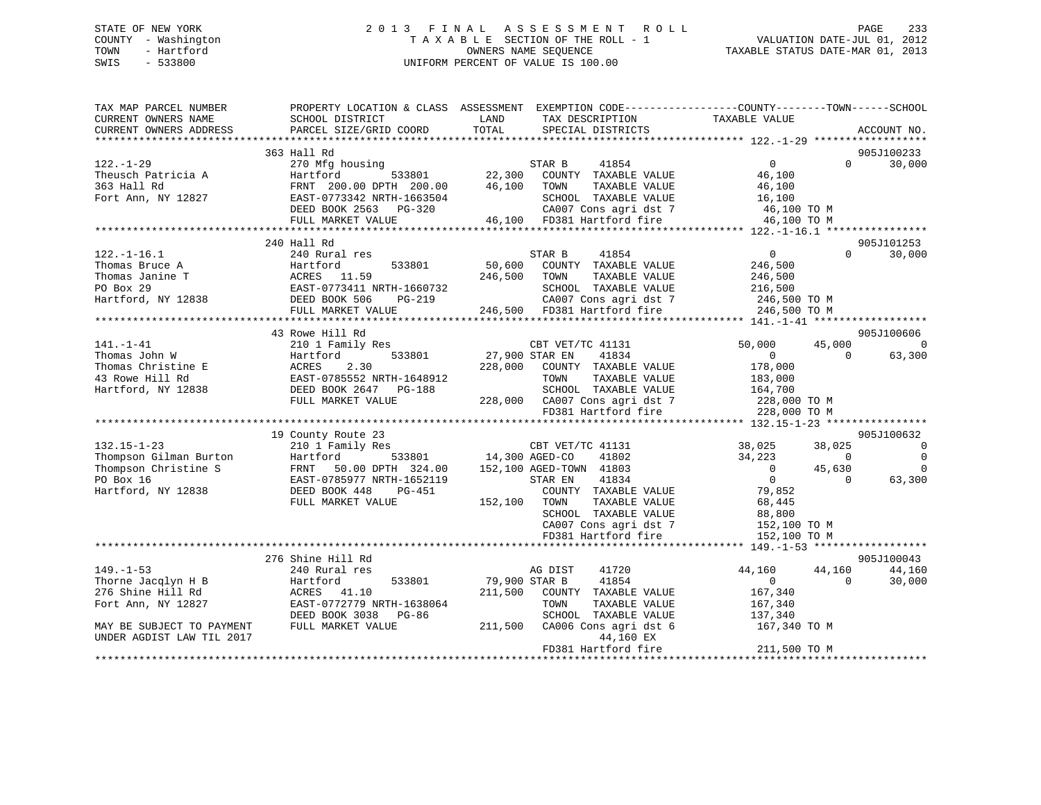# STATE OF NEW YORK 2 0 1 3 F I N A L A S S E S S M E N T R O L L PAGE 233 COUNTY - Washington T A X A B L E SECTION OF THE ROLL - 1 VALUATION DATE-JUL 01, 2012 TOWN - Hartford **TAXABLE STATUS DATE-MAR 01, 2013** SWIS - 533800 UNIFORM PERCENT OF VALUE IS 100.00

| TAX MAP PARCEL NUMBER<br>CURRENT OWNERS NAME | PROPERTY LOCATION & CLASS ASSESSMENT EXEMPTION CODE---------------COUNTY-------TOWN-----SCHOOL<br>SCHOOL DISTRICT | LAND           | TAX DESCRIPTION                               | TAXABLE VALUE            |                    |                |
|----------------------------------------------|-------------------------------------------------------------------------------------------------------------------|----------------|-----------------------------------------------|--------------------------|--------------------|----------------|
| CURRENT OWNERS ADDRESS                       | PARCEL SIZE/GRID COORD                                                                                            | TOTAL          | SPECIAL DISTRICTS                             |                          |                    | ACCOUNT NO.    |
|                                              |                                                                                                                   |                |                                               |                          |                    |                |
|                                              | 363 Hall Rd                                                                                                       |                |                                               |                          |                    | 905J100233     |
| $122. - 1 - 29$                              | 270 Mfg housing                                                                                                   |                | STAR B<br>41854                               | $\overline{0}$           | $\Omega$           | 30,000         |
| Theusch Patricia A                           | Hartford<br>533801                                                                                                | 22,300         | COUNTY TAXABLE VALUE                          | 46,100                   |                    |                |
| 363 Hall Rd                                  | FRNT 200.00 DPTH 200.00                                                                                           | 46,100         | TAXABLE VALUE<br>TOWN                         | 46,100                   |                    |                |
| Fort Ann, NY 12827                           | EAST-0773342 NRTH-1663504                                                                                         |                | SCHOOL TAXABLE VALUE                          | 16,100                   |                    |                |
|                                              | DEED BOOK 2563<br>PG-320                                                                                          |                | CA007 Cons agri dst 7                         | 46,100 TO M              |                    |                |
|                                              | FULL MARKET VALUE                                                                                                 |                | 46,100 FD381 Hartford fire                    | 46,100 TO M              |                    |                |
|                                              |                                                                                                                   |                |                                               |                          |                    |                |
|                                              | 240 Hall Rd                                                                                                       |                |                                               |                          |                    | 905J101253     |
| $122. - 1 - 16.1$                            | 240 Rural res                                                                                                     |                | 41854<br>STAR B                               | $\overline{0}$           | $\Omega$           | 30,000         |
| Thomas Bruce A                               | 533801<br>Hartford                                                                                                | 50,600         | COUNTY TAXABLE VALUE                          | 246,500                  |                    |                |
| Thomas Janine T                              | ACRES 11.59                                                                                                       | 246,500        | TAXABLE VALUE<br>TOWN                         | 246,500                  |                    |                |
| PO Box 29<br>Hartford, NY 12838              | EAST-0773411 NRTH-1660732                                                                                         |                | SCHOOL TAXABLE VALUE                          | 216,500                  |                    |                |
|                                              | DEED BOOK 506<br>$PG-219$                                                                                         |                | CA007 Cons agri dst 7                         | 246,500 TO M             |                    |                |
|                                              | FULL MARKET VALUE                                                                                                 |                | 246,500 FD381 Hartford fire                   | 246,500 TO M             |                    |                |
|                                              |                                                                                                                   |                |                                               |                          |                    | 905J100606     |
|                                              | 43 Rowe Hill Rd                                                                                                   |                |                                               |                          |                    | $\overline{0}$ |
| $141. - 1 - 41$<br>Thomas John W             | 210 1 Family Res<br>533801                                                                                        | 27,900 STAR EN | CBT VET/TC 41131<br>41834                     | 50,000<br>$\overline{0}$ | 45,000<br>$\Omega$ | 63,300         |
|                                              | Hartford<br>2.30<br>ACRES                                                                                         | 228,000        |                                               | 178,000                  |                    |                |
| Thomas Christine E<br>43 Rowe Hill Rd        | EAST-0785552 NRTH-1648912                                                                                         |                | COUNTY TAXABLE VALUE<br>TAXABLE VALUE<br>TOWN | 183,000                  |                    |                |
| Hartford, NY 12838                           | DEED BOOK 2647<br>PG-188                                                                                          |                | SCHOOL TAXABLE VALUE                          | 164,700                  |                    |                |
|                                              | FULL MARKET VALUE                                                                                                 |                | 228,000 CA007 Cons agri dst 7                 | 228,000 TO M             |                    |                |
|                                              |                                                                                                                   |                | FD381 Hartford fire                           | 228,000 TO M             |                    |                |
|                                              |                                                                                                                   |                |                                               |                          |                    |                |
|                                              | 19 County Route 23                                                                                                |                |                                               |                          |                    | 905J100632     |
| $132.15 - 1 - 23$                            | 210 1 Family Res                                                                                                  |                | CBT VET/TC 41131                              | 38,025                   | 38,025             | 0              |
| Thompson Gilman Burton                       | 533801<br>Hartford                                                                                                | 14,300 AGED-CO | 41802                                         | 34,223                   | $\Omega$           | $\overline{0}$ |
| Thompson Christine S                         |                                                                                                                   |                | 152,100 AGED-TOWN 41803                       | $\overline{0}$           | 45,630             | $\Omega$       |
| PO Box 16                                    | FRNT 50.00 DPTH 324.00<br>EAST-0785977 NRTH-1652119<br>EAST-0785977 NRTH-1652119                                  |                | 41834<br>STAR EN                              | $\overline{0}$           | $\Omega$           | 63,300         |
| Hartford, NY 12838                           | PG-451<br>DEED BOOK 448                                                                                           |                | COUNTY TAXABLE VALUE                          | 79,852                   |                    |                |
|                                              | FULL MARKET VALUE                                                                                                 | 152,100        | TOWN<br>TAXABLE VALUE                         | 68,445                   |                    |                |
|                                              |                                                                                                                   |                | SCHOOL TAXABLE VALUE                          | 88,800                   |                    |                |
|                                              |                                                                                                                   |                | CA007 Cons agri dst 7                         | 152,100 TO M             |                    |                |
|                                              |                                                                                                                   |                | FD381 Hartford fire                           | 152,100 TO M             |                    |                |
|                                              |                                                                                                                   |                |                                               |                          |                    |                |
|                                              | 276 Shine Hill Rd                                                                                                 |                |                                               |                          |                    | 905J100043     |
| $149. - 1 - 53$                              | 240 Rural res                                                                                                     |                | AG DIST<br>41720                              | 44,160                   | 44,160             | 44,160         |
| Thorne Jacqlyn H B                           | 533801<br>Hartford                                                                                                | 79,900 STAR B  | 41854                                         | 0                        | $\Omega$           | 30,000         |
| 276 Shine Hill Rd                            | ACRES 41.10                                                                                                       | 211,500        | COUNTY TAXABLE VALUE                          | 167,340                  |                    |                |
| Fort Ann, NY 12827                           | EAST-0772779 NRTH-1638064                                                                                         |                | TOWN<br>TAXABLE VALUE                         | 167,340                  |                    |                |
|                                              | DEED BOOK 3038<br>PG-86                                                                                           |                | SCHOOL TAXABLE VALUE                          | 137,340                  |                    |                |
| MAY BE SUBJECT TO PAYMENT                    | FULL MARKET VALUE                                                                                                 | 211,500        | CA006 Cons agri dst 6                         | 167,340 TO M             |                    |                |
| UNDER AGDIST LAW TIL 2017                    |                                                                                                                   |                | 44,160 EX                                     |                          |                    |                |
|                                              |                                                                                                                   |                | FD381 Hartford fire                           | 211,500 TO M             |                    |                |
|                                              |                                                                                                                   |                |                                               |                          |                    |                |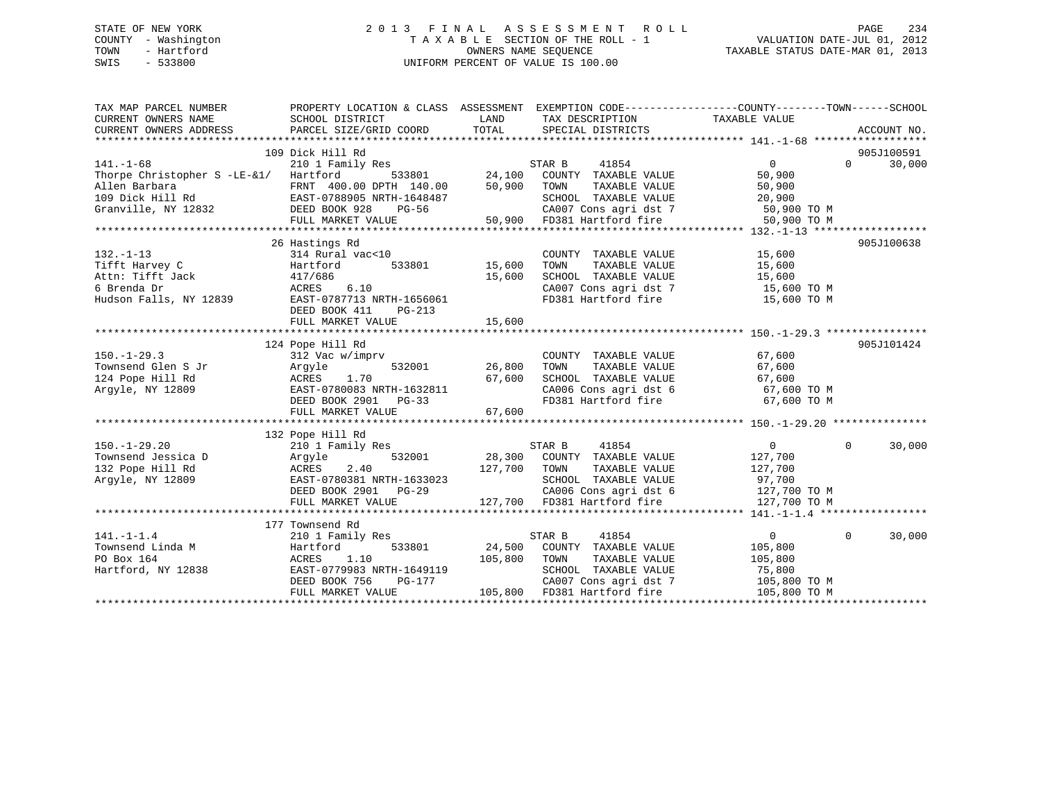# STATE OF NEW YORK 2 0 1 3 F I N A L A S S E S S M E N T R O L L PAGE 234 COUNTY - Washington T A X A B L E SECTION OF THE ROLL - 1 VALUATION DATE-JUL 01, 2012 TOWN - Hartford **TAXABLE STATUS DATE-MAR 01, 2013** OWNERS NAME SEQUENCE TAXABLE STATUS DATE-MAR 01, 2013 SWIS - 533800 UNIFORM PERCENT OF VALUE IS 100.00

| TAX MAP PARCEL NUMBER                                                                                                                                                                                                                                                                                                                                                                                                       | PROPERTY LOCATION & CLASS ASSESSMENT EXEMPTION CODE----------------COUNTY-------TOWN------SCHOOL |               |                                                                             |                                                                                                       |                             |
|-----------------------------------------------------------------------------------------------------------------------------------------------------------------------------------------------------------------------------------------------------------------------------------------------------------------------------------------------------------------------------------------------------------------------------|--------------------------------------------------------------------------------------------------|---------------|-----------------------------------------------------------------------------|-------------------------------------------------------------------------------------------------------|-----------------------------|
| CURRENT OWNERS NAME                                                                                                                                                                                                                                                                                                                                                                                                         | SCHOOL DISTRICT                                                                                  | LAND          | TAX DESCRIPTION                                                             | TAXABLE VALUE                                                                                         |                             |
| CURRENT OWNERS ADDRESS                                                                                                                                                                                                                                                                                                                                                                                                      | PARCEL SIZE/GRID COORD TOTAL                                                                     |               | SPECIAL DISTRICTS                                                           |                                                                                                       | ACCOUNT NO.                 |
|                                                                                                                                                                                                                                                                                                                                                                                                                             |                                                                                                  |               |                                                                             |                                                                                                       |                             |
|                                                                                                                                                                                                                                                                                                                                                                                                                             | 109 Dick Hill Rd                                                                                 |               |                                                                             |                                                                                                       | 905J100591                  |
|                                                                                                                                                                                                                                                                                                                                                                                                                             |                                                                                                  |               |                                                                             | $\overline{0}$                                                                                        | $0 \qquad \qquad$<br>30,000 |
|                                                                                                                                                                                                                                                                                                                                                                                                                             |                                                                                                  |               |                                                                             | 50,900                                                                                                |                             |
|                                                                                                                                                                                                                                                                                                                                                                                                                             |                                                                                                  |               | TAXABLE VALUE                                                               | 50,900                                                                                                |                             |
|                                                                                                                                                                                                                                                                                                                                                                                                                             |                                                                                                  |               |                                                                             | SCHOOL TAXABLE VALUE 20,900<br>CA007 Cons agri dst 7 50,900 TO M                                      |                             |
|                                                                                                                                                                                                                                                                                                                                                                                                                             |                                                                                                  |               | CA007 Cons agri dst 7 50,900 TO M<br>50,900 FD381 Hartford fire 50,900 TO M |                                                                                                       |                             |
| $\begin{tabular}{lllllllllllllllllll} \multicolumn{4}{c}{141.-1-68} & 109\text{ DLCK null K} & \multicolumn{4}{c}{109\text{ DLCK null K}} & \multicolumn{4}{c}{141.-1-68} & \multicolumn{4}{c}{STAR B} & 41854 \\ & 210&\text{Family Res} & S33801 & 24,100 & \text{COUNTY TAXABLE VALUE} \\ \text{Allen Barbara} & \multicolumn{4}{c}{\text{ERNT 400.00 DPTH 140.00}} & 50,900 & \text{TOWN} & TAXABLE VALUE \\ 109\text{$ |                                                                                                  |               |                                                                             |                                                                                                       |                             |
|                                                                                                                                                                                                                                                                                                                                                                                                                             |                                                                                                  |               |                                                                             |                                                                                                       |                             |
|                                                                                                                                                                                                                                                                                                                                                                                                                             | 26 Hastings Rd                                                                                   |               |                                                                             |                                                                                                       | 905J100638                  |
| $132. - 1 - 13$                                                                                                                                                                                                                                                                                                                                                                                                             | 314 Rural vac<10                                                                                 |               | COUNTY TAXABLE VALUE 15,600                                                 |                                                                                                       |                             |
| Tifft Harvey C                                                                                                                                                                                                                                                                                                                                                                                                              | Hartford 533801 15,600                                                                           |               | TOWN                                                                        | TAXABLE VALUE 15,600                                                                                  |                             |
| Attn: Tifft Jack<br>S Prenda Dr                                                                                                                                                                                                                                                                                                                                                                                             | 417/686<br>ACRES 6.10                                                                            | 15,600        |                                                                             | SCHOOL TAXABLE VALUE 15,600<br>CA007 Cons agri dst 7 15,600 TO M                                      |                             |
|                                                                                                                                                                                                                                                                                                                                                                                                                             |                                                                                                  |               |                                                                             | FD381 Hartford fire 15,600 TO M                                                                       |                             |
| Hudson Falls, NY 12839 EAST-0787713 NRTH-1656061                                                                                                                                                                                                                                                                                                                                                                            | DEED BOOK 411<br>$PG-213$                                                                        |               |                                                                             |                                                                                                       |                             |
|                                                                                                                                                                                                                                                                                                                                                                                                                             |                                                                                                  |               |                                                                             |                                                                                                       |                             |
|                                                                                                                                                                                                                                                                                                                                                                                                                             |                                                                                                  |               |                                                                             |                                                                                                       |                             |
|                                                                                                                                                                                                                                                                                                                                                                                                                             | 124 Pope Hill Rd                                                                                 |               |                                                                             |                                                                                                       | 905J101424                  |
| $150. - 1 - 29.3$                                                                                                                                                                                                                                                                                                                                                                                                           | 312 Vac w/imprv                                                                                  |               | COUNTY TAXABLE VALUE                                                        | 67,600                                                                                                |                             |
|                                                                                                                                                                                                                                                                                                                                                                                                                             |                                                                                                  | 532001 26,800 | TOWN                                                                        | TAXABLE VALUE 67,600                                                                                  |                             |
|                                                                                                                                                                                                                                                                                                                                                                                                                             |                                                                                                  |               |                                                                             |                                                                                                       |                             |
|                                                                                                                                                                                                                                                                                                                                                                                                                             |                                                                                                  |               |                                                                             | SCHOOL TAXABLE VALUE 67,600<br>CA006 Cons agri dst 6 67,600 TO M                                      |                             |
|                                                                                                                                                                                                                                                                                                                                                                                                                             | DEED BOOK 2901<br>$PG-33$                                                                        |               |                                                                             | FD381 Hartford fire 67,600 TO M                                                                       |                             |
|                                                                                                                                                                                                                                                                                                                                                                                                                             | FULL MARKET VALUE                                                                                | 67,600        |                                                                             |                                                                                                       |                             |
|                                                                                                                                                                                                                                                                                                                                                                                                                             |                                                                                                  |               |                                                                             |                                                                                                       |                             |
|                                                                                                                                                                                                                                                                                                                                                                                                                             |                                                                                                  |               |                                                                             |                                                                                                       |                             |
|                                                                                                                                                                                                                                                                                                                                                                                                                             |                                                                                                  |               | 41854<br>STAR B                                                             | $\overline{0}$                                                                                        | $\Omega$<br>30,000          |
|                                                                                                                                                                                                                                                                                                                                                                                                                             |                                                                                                  |               | 532001 28,300 COUNTY TAXABLE VALUE                                          | 127,700                                                                                               |                             |
|                                                                                                                                                                                                                                                                                                                                                                                                                             |                                                                                                  | 127,700 TOWN  |                                                                             | TAXABLE VALUE 127,700                                                                                 |                             |
|                                                                                                                                                                                                                                                                                                                                                                                                                             |                                                                                                  |               |                                                                             |                                                                                                       |                             |
|                                                                                                                                                                                                                                                                                                                                                                                                                             | NAUL-V/0V301 NRIH-1633023<br>DEED BOOK 2901 PG-29<br>THIT WITH-2008                              |               |                                                                             | SCHOOL TAXABLE VALUE 97,700<br>CA006 Cons agri dst 6 127,700 TO M                                     |                             |
| 150.-1-29.20<br>Townsend Jessica D<br>Comme Hill Rd<br>Comme Hill Rd<br>Comme Hill Rd<br>EAST-0780381 NRTH-1633023<br>Comme ROOK 2901<br>PG-29                                                                                                                                                                                                                                                                              |                                                                                                  |               | 127,700 FD381 Hartford fire                                                 | 127,700 TO M                                                                                          |                             |
|                                                                                                                                                                                                                                                                                                                                                                                                                             |                                                                                                  |               |                                                                             |                                                                                                       |                             |
|                                                                                                                                                                                                                                                                                                                                                                                                                             | 177 Townsend Rd                                                                                  |               |                                                                             |                                                                                                       |                             |
|                                                                                                                                                                                                                                                                                                                                                                                                                             | 210 1 Family Res                                                                                 |               | STAR B<br>41854                                                             | $0 \qquad \qquad$                                                                                     | 30,000<br>$\Omega$          |
| 141. $-1-1.4$<br>Townsend Linda M                                                                                                                                                                                                                                                                                                                                                                                           | 533801<br>Hartford                                                                               |               | 24,500 COUNTY TAXABLE VALUE                                                 | 105,800                                                                                               |                             |
|                                                                                                                                                                                                                                                                                                                                                                                                                             | 1.10<br>ACRES                                                                                    | 105,800       | TAXABLE VALUE<br>TOWN                                                       | 105,800                                                                                               |                             |
| Hartford, NY 12838                                                                                                                                                                                                                                                                                                                                                                                                          |                                                                                                  |               |                                                                             |                                                                                                       |                             |
|                                                                                                                                                                                                                                                                                                                                                                                                                             | EAST-0779983 NRTH-1649119<br>DEED BOOK 756 PG-177                                                |               |                                                                             |                                                                                                       |                             |
|                                                                                                                                                                                                                                                                                                                                                                                                                             | FULL MARKET VALUE                                                                                |               | 105,800 FD381 Hartford fire                                                 | SCHOOL TAXABLE VALUE 75,800<br>CA007 Cons agri dst 7 105,800 TO M<br>FD381 Hartford fire 105,800 TO M |                             |
|                                                                                                                                                                                                                                                                                                                                                                                                                             |                                                                                                  |               |                                                                             |                                                                                                       |                             |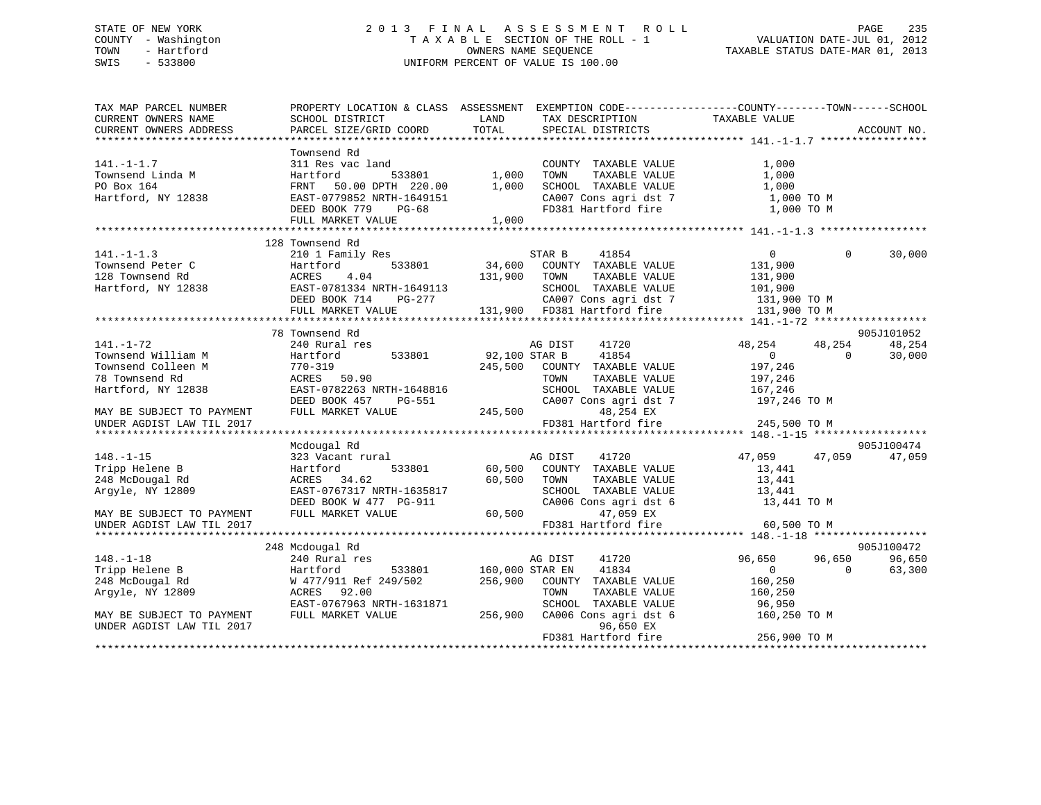# STATE OF NEW YORK 2 0 1 3 F I N A L A S S E S S M E N T R O L L PAGE 235 COUNTY - Washington T A X A B L E SECTION OF THE ROLL - 1 VALUATION DATE-JUL 01, 2012 TOWN - Hartford **TAXABLE STATUS DATE-MAR 01, 2013** SWIS - 533800 UNIFORM PERCENT OF VALUE IS 100.00

| TAX MAP PARCEL NUMBER<br>CURRENT OWNERS NAME<br>CURRENT OWNERS ADDRESS                                                           | SCHOOL DISTRICT<br>PARCEL SIZE/GRID COORD                                                                                                                      | <b>EXAMPLE DESCRIPTION OF STREET AND SERVICE STREET AND STREET AND STREET AND STREET AND STREET AND STREET AND S</b><br>TAX DESCRIPTION TAXABLE VALUE SPECIAL DISTRICTS<br>TOTAL                         | PROPERTY LOCATION & CLASS ASSESSMENT EXEMPTION CODE---------------COUNTY-------TOWN------SCHOOL<br>ACCOUNT NO.                                                                                                                                                                               |
|----------------------------------------------------------------------------------------------------------------------------------|----------------------------------------------------------------------------------------------------------------------------------------------------------------|----------------------------------------------------------------------------------------------------------------------------------------------------------------------------------------------------------|----------------------------------------------------------------------------------------------------------------------------------------------------------------------------------------------------------------------------------------------------------------------------------------------|
| $141. - 1 - 1.7$<br>Townsend Linda M<br>PO Box 164<br>Hartford, NY 12838                                                         | Townsend Rd                                                                                                                                                    | COUNTY TAXABLE VALUE<br>TAXABLE VALUE<br>TOWN<br>SCHOOL TAXABLE VALUE<br>SCHOOL TAXABLE VALUE 1,000<br>CA007 Cons agri dst 7 1,000 TO M<br>FD381 Hartford fire                                           | 1,000<br>1,000<br>1,000 TO M                                                                                                                                                                                                                                                                 |
| $141. - 1 - 1.3$<br>Townsend Peter C<br>128 Townsend Rd                                                                          | 128 Townsend Rd<br>210 1 Family Res<br>Hartford 533801<br>ACRES                                                                                                | Family Res<br>rd 533801 34,600 COUNTY TAXABLE VALUE<br>4.04 131,900 TOWN TAXABLE VALUE<br>781334 NDTY 1640110                                                                                            | $\overline{0}$<br>$\Omega$<br>30,000<br>131,900<br>131,900<br>120 Iowisend Ax (12838 (12837-0781334 NRTH-1649113 (1280) CANABLE VALUE (12838 (12838 (12857-0781334 NRTH-1649113 (128000L) TAXABLE VALUE (12838 (12838 (12857-0781334 NRTH-1649113 (128000L) TAXABLE VALUE (131,900 TO M FULL |
|                                                                                                                                  |                                                                                                                                                                |                                                                                                                                                                                                          |                                                                                                                                                                                                                                                                                              |
| $141. - 1 - 72$<br>Townsend William M<br>Townsend Colleen M<br>78 Townsend Rd<br>Hartford, NY 12838<br>MAY BE SUBJECT TO PAYMENT | 78 Townsend Rd<br>240 Rural res<br>Hartford<br>770-319<br>ACRES 50.90<br>ACRES 50.90<br>EAST-0782263 NRTH-1648816<br>DEED BOOK 457 PG-551<br>FULL MARKET VALUE | 41720<br>AG DIST<br>533801 92,100 STAR B<br>41854<br>245,500 COUNTY TAXABLE VALUE<br>TAXABLE VALUE<br>TOWN<br>SCHOOL TAXABLE VALUE 167,246<br>CA007 Cons agri dst 7 197,246 TO M<br>245,500<br>48,254 EX | 905J101052<br>48,254<br>48,254<br>48,254<br>$\overline{0}$<br>$\Omega$<br>30,000<br>197,246<br>197,246                                                                                                                                                                                       |
| UNDER AGDIST LAW TIL 2017                                                                                                        |                                                                                                                                                                | FD381 Hartford fire                                                                                                                                                                                      | 245,500 TO M                                                                                                                                                                                                                                                                                 |
| $148. - 1 - 15$<br>Tripp Helene B<br>248 McDougal Rd<br>Argyle, NY 12809<br>MAY BE SUBJECT TO PAYMENT                            | Mcdougal Rd<br>533801<br>Hartford<br>ACRES 34.62<br>EAST-0767317 NRTH-1635817<br>DEED BOOK W 477 PG-911<br>FULL MARKET VALUE                                   | 323 Vacant rural Martin AG DIST 41720<br>60,500 COUNTY TAXABLE VALUE<br>60,500 TOWN<br>TAXABLE VALUE<br>SCHOOL TAXABLE VALUE<br>CA006 Cons agri dst 6<br>$60,500$ $47,059$ EX                            | 905J100474<br>47,059 47,059<br>47,059<br>13,441<br>13,441<br>13,441<br>13,441 TO M                                                                                                                                                                                                           |
| UNDER AGDIST LAW TIL 2017                                                                                                        |                                                                                                                                                                | FD381 Hartford fire                                                                                                                                                                                      | 60,500 TO M                                                                                                                                                                                                                                                                                  |
| $148. - 1 - 18$<br>Tripp Helene B<br>248 McDougal Rd                                                                             | 248 Mcdougal Rd<br>240 Rural res<br>Hartford 533801 160,000 STAR EN                                                                                            | 41720<br>AG DIST<br>41834<br>W 477/911 Ref 249/502 256,900 COUNTY TAXABLE VALUE                                                                                                                          | 905J100472<br>96,650<br>96,650<br>96,650<br>$\overline{0}$<br>$\Omega$<br>63,300<br>160,250                                                                                                                                                                                                  |
| Arqyle, NY 12809<br>MAY BE SUBJECT TO PAYMENT<br>UNDER AGDIST LAW TIL 2017                                                       | ACRES 92.00<br>EAST-0767963 NRTH-1631871<br>FULL MARKET VALUE                                                                                                  | TAXABLE VALUE<br>TOWN<br>SCHOOL TAXABLE VALUE<br>256,900<br>CA006 Cons agri dst 6<br>96,650 EX<br>FD381 Hartford fire                                                                                    | 160,250<br>96,950<br>160,250 TO M<br>256,900 TO M                                                                                                                                                                                                                                            |
|                                                                                                                                  |                                                                                                                                                                |                                                                                                                                                                                                          |                                                                                                                                                                                                                                                                                              |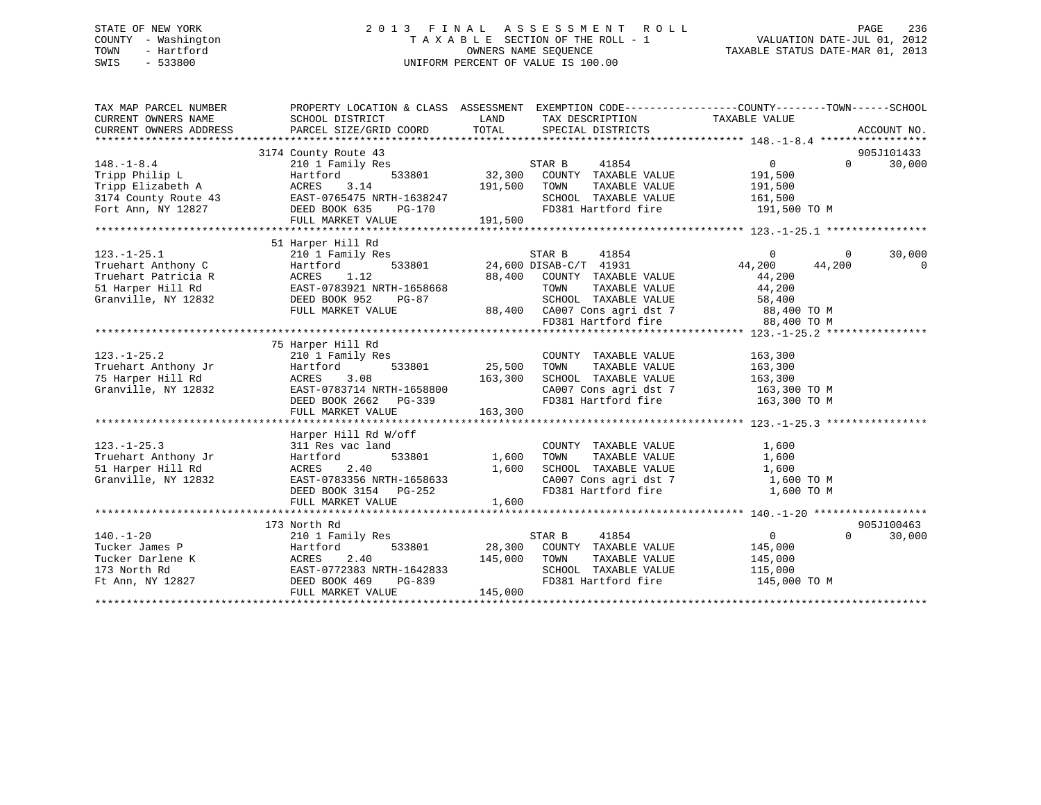# STATE OF NEW YORK 2 0 1 3 F I N A L A S S E S S M E N T R O L L PAGE 236 COUNTY - Washington T A X A B L E SECTION OF THE ROLL - 1 VALUATION DATE-JUL 01, 2012 TOWN - Hartford **TAXABLE STATUS DATE-MAR 01, 2013** SWIS - 533800 UNIFORM PERCENT OF VALUE IS 100.00

| TAX MAP PARCEL NUMBER<br>CURRENT OWNERS NAME<br>CURRENT OWNERS ADDRESS                                              | PROPERTY LOCATION & CLASS ASSESSMENT EXEMPTION CODE---------------COUNTY-------TOWN------SCHOOL<br>SCHOOL DISTRICT<br>PARCEL SIZE/GRID COORD                                               | LAND<br>TOTAL                       | TAX DESCRIPTION<br>SPECIAL DISTRICTS                                                                                                                                                                                   | TAXABLE VALUE                                        |                          | ACCOUNT NO.           |
|---------------------------------------------------------------------------------------------------------------------|--------------------------------------------------------------------------------------------------------------------------------------------------------------------------------------------|-------------------------------------|------------------------------------------------------------------------------------------------------------------------------------------------------------------------------------------------------------------------|------------------------------------------------------|--------------------------|-----------------------|
| $148. - 1 - 8.4$<br>Tripp Philip L<br>Tripp Elizabeth A<br>3174 County Route 43<br>Fort Ann, NY 12827 DEED BOOK 635 | 3174 County Route 43<br>210 1 Family Res<br>533801<br>Hartford<br>3.14<br>ACRES<br>EAST-0765475 NRTH-1638247<br>PG-170<br>FULL MARKET VALUE                                                | 191,500<br>191,500                  | STAR B<br>41854<br>32,300 COUNTY TAXABLE VALUE<br>TOWN<br>TAXABLE VALUE<br>SCHOOL TAXABLE VALUE 161,500<br>FD381 Hartford fire 191,500 TO M                                                                            | $\overline{0}$<br>191,500<br>191,500                 | $\Omega$                 | 905J101433<br>30,000  |
| $123. - 1 - 25.1$<br>Truehart Anthony C<br>Truehart Patricia R<br>51 Harper Hill Rd<br>Granville, NY 12832          | 51 Harper Hill Rd<br>ndiper niii ka<br>210 1 Family Res<br>Hartford<br>ACRES 1.12<br>EAST-0783921 NRTH-1658668<br>DEED BOOK 952<br>PG-87<br>FULL MARKET VALUE                              |                                     | STAR B<br>41854<br>533801 24,600 DISAB-C/T 41931<br>88,400 COUNTY TAXABLE VALUE<br>TOWN<br>TAXABLE VALUE<br>SCHOOL TAXABLE VALUE 58,400<br>88,400 CA007 Cons agri dst 7 88,400 TO M<br>FD381 Hartford fire 88,400 TO M | $\overline{0}$<br>44,200<br>44,200<br>44,200         | $\overline{0}$<br>44,200 | 30,000<br>$\mathbf 0$ |
| $123. - 1 - 25.2$<br>Truehart Anthony Jr<br>75 Harper Hill Rd<br>Granville, NY 12832                                | 75 Harper Hill Rd<br>210 1 Family Res<br>Hartford<br>ACRES<br>3.08<br>EAST-0783714 NRTH-1658800<br>DEED BOOK 2662 PG-339<br>FULL MARKET VALUE                                              | 533801 25,500<br>163,300<br>163,300 | COUNTY TAXABLE VALUE<br>TOWN<br>TAXABLE VALUE<br>SCHOOL TAXABLE VALUE<br>SCHOOL TAXABLE VALUE 163,300<br>CA007 Cons agri dst 7 163,300 TO M<br>FD381 Hartford fire 163,300 TO M                                        | 163,300<br>163,300<br>163,300                        |                          |                       |
| $123. - 1 - 25.3$<br>Truehart Anthony Jr<br>51 Harper Hill Rd<br>Granville, NY 12832                                | Harper Hill Rd W/off<br>311 Res vac land<br>Hartford<br>533801<br>ACRES<br>2.40<br>EACH<br>== 0783356 NRTH-1658633<br>=== 0007 3154 - 00.252<br>DEED BOOK 3154 PG-252<br>FULL MARKET VALUE | 1,600<br>1,600<br>1,600             | COUNTY TAXABLE VALUE<br>COUNTY TAXABLE VALUE<br>TOWN     TAXABLE VALUE<br>SCHOOL   TAXABLE VALUE<br>CA007 Cons agri dst 7<br>FD381 Hartford fire                                                                       | 1,600<br>1,600<br>1,600<br>1,600 TO M<br>1,600 TO M  |                          |                       |
| $140. - 1 - 20$<br>Tucker James P<br>Tucker Darlene K<br>173 North Rd<br>Ft Ann, NY 12827                           | 173 North Rd<br>210 1 Family Res<br>533801<br>Hartford 533801<br>ACRES 2.40<br>EAST-0772383 NRTH-1642833<br>DEED BOOK 469<br>PG-839<br>FULL MARKET VALUE                                   | 28,300<br>145,000<br>145,000        | 41854<br>STAR B<br>COUNTY TAXABLE VALUE<br>TAXABLE VALUE<br>TOWN<br>SCHOOL TAXABLE VALUE 115,000<br>FD381 Hartford fire                                                                                                | $\overline{0}$<br>145,000<br>145,000<br>145,000 TO M | $\Omega$                 | 905J100463<br>30,000  |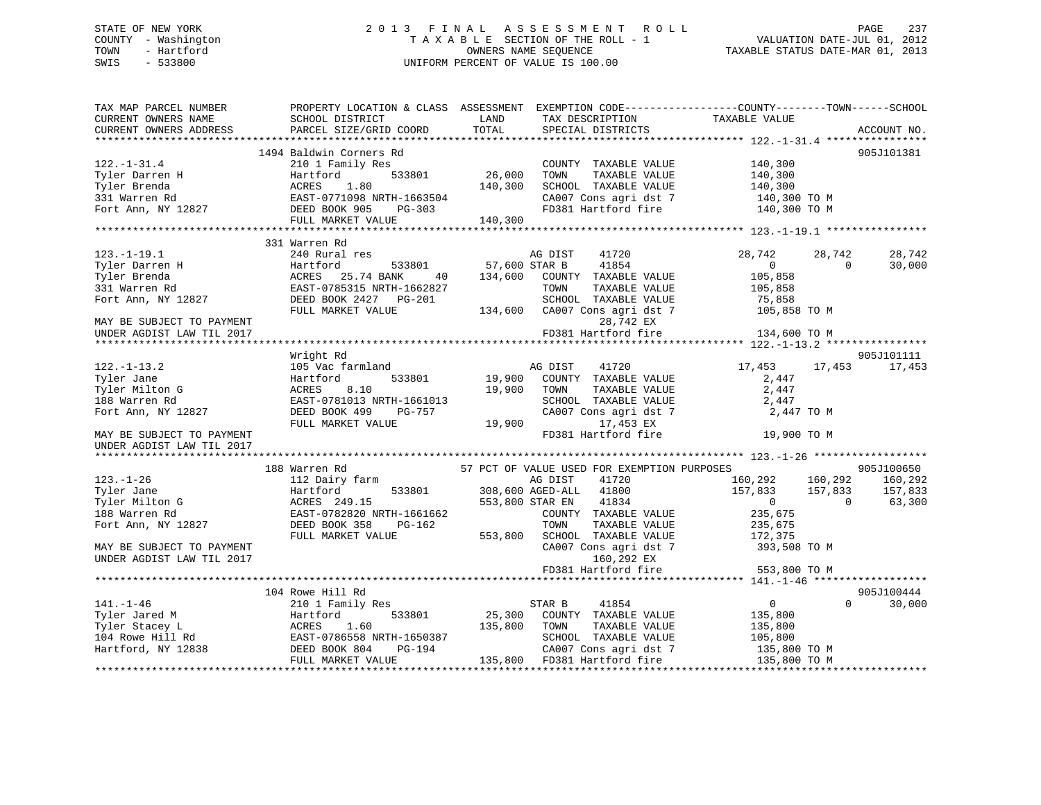# STATE OF NEW YORK 2 0 1 3 F I N A L A S S E S S M E N T R O L L PAGE 237 COUNTY - Washington T A X A B L E SECTION OF THE ROLL - 1 VALUATION DATE-JUL 01, 2012 TOWN - Hartford OWNERS NAME SEQUENCE TAXABLE STATUS DATE-MAR 01, 2013 SWIS - 533800 UNIFORM PERCENT OF VALUE IS 100.00

| TAX MAP PARCEL NUMBER          | PROPERTY LOCATION & CLASS ASSESSMENT EXEMPTION CODE----------------COUNTY-------TOWN------SCHOOL |               |                                             |                        |                    |
|--------------------------------|--------------------------------------------------------------------------------------------------|---------------|---------------------------------------------|------------------------|--------------------|
| CURRENT OWNERS NAME            | SCHOOL DISTRICT                                                                                  | LAND          | TAX DESCRIPTION                             | TAXABLE VALUE          |                    |
| CURRENT OWNERS ADDRESS         | PARCEL SIZE/GRID COORD                                                                           | TOTAL         | SPECIAL DISTRICTS                           |                        | ACCOUNT NO.        |
|                                |                                                                                                  |               |                                             |                        |                    |
|                                | 1494 Baldwin Corners Rd                                                                          |               |                                             |                        | 905J101381         |
| $122. - 1 - 31.4$              | 210 1 Family Res                                                                                 |               | COUNTY TAXABLE VALUE                        | 140,300                |                    |
| Tyler Darren H                 | 533801<br>Hartford                                                                               | 26,000        | TOWN<br>TAXABLE VALUE                       | 140,300                |                    |
| Tyler Brenda                   | ACRES<br>1.80                                                                                    | 140,300       | SCHOOL TAXABLE VALUE                        | 140,300                |                    |
| 331 Warren Rd                  | EAST-0771098 NRTH-1663504                                                                        |               | CA007 Cons agri dst 7                       | 140,300 TO M           |                    |
| Fort Ann, NY 12827             | DEED BOOK 905<br>PG-303                                                                          |               | FD381 Hartford fire                         | 140,300 TO M           |                    |
|                                | FULL MARKET VALUE                                                                                | 140,300       |                                             |                        |                    |
|                                | 331 Warren Rd                                                                                    |               |                                             |                        |                    |
| $123. - 1 - 19.1$              | 240 Rural res                                                                                    |               | AG DIST<br>41720                            | 28,742<br>28,742       | 28,742             |
|                                | 533801<br>Hartford                                                                               | 57,600 STAR B | 41854                                       | $\overline{0}$         | $\Omega$<br>30,000 |
| Tyler Darren H<br>Tyler Brenda | ACRES 25.74 BANK<br>40                                                                           | 134,600       | COUNTY TAXABLE VALUE                        | 105,858                |                    |
| 331 Warren Rd                  | EAST-0785315 NRTH-1662827                                                                        |               | TOWN<br>TAXABLE VALUE                       | 105,858                |                    |
|                                |                                                                                                  |               | SCHOOL TAXABLE VALUE                        |                        |                    |
| Fort Ann, NY 12827             | DEED BOOK 2427 PG-201<br>FULL MARKET VALUE                                                       |               | CA007 Cons agri dst 7                       | 75,858<br>105,858 TO M |                    |
|                                |                                                                                                  | 134,600       | 28,742 EX                                   |                        |                    |
| MAY BE SUBJECT TO PAYMENT      |                                                                                                  |               | FD381 Hartford fire                         |                        |                    |
| UNDER AGDIST LAW TIL 2017      |                                                                                                  |               |                                             | 134,600 TO M           |                    |
|                                | Wright Rd                                                                                        |               |                                             |                        | 905J101111         |
| $122. - 1 - 13.2$              | 105 Vac farmland                                                                                 |               | 41720<br>AG DIST                            | 17,453 17,453          | 17,453             |
| Tyler Jane                     | 533801<br>Hartford                                                                               | 19,900        | COUNTY TAXABLE VALUE                        | 2,447                  |                    |
| Tyler Milton G                 | ACRES<br>8.10                                                                                    | 19,900        | TOWN<br>TAXABLE VALUE                       | 2,447                  |                    |
| 188 Warren Rd                  | EAST-0781013 NRTH-1661013                                                                        |               | SCHOOL TAXABLE VALUE                        | 2,447                  |                    |
| Fort Ann, NY 12827             | DEED BOOK 499<br>PG-757                                                                          |               | CA007 Cons agri dst 7                       | 2,447 TO M             |                    |
|                                | FULL MARKET VALUE                                                                                | 19,900        | 17,453 EX                                   |                        |                    |
| MAY BE SUBJECT TO PAYMENT      |                                                                                                  |               | FD381 Hartford fire                         | 19,900 TO M            |                    |
| UNDER AGDIST LAW TIL 2017      |                                                                                                  |               |                                             |                        |                    |
|                                |                                                                                                  |               |                                             |                        |                    |
|                                | 188 Warren Rd                                                                                    |               | 57 PCT OF VALUE USED FOR EXEMPTION PURPOSES |                        | 905J100650         |
| $123. - 1 - 26$                | 112 Dairy farm                                                                                   |               | 41720<br>AG DIST                            | 160,292                | 160,292 160,292    |
| Tyler Jane                     | 533801<br>Hartford                                                                               |               | 308,600 AGED-ALL<br>41800                   | 157,833<br>157,833     | 157,833            |
| Tyler Milton G                 | ACRES 249.15                                                                                     |               | 553,800 STAR EN<br>41834                    | $\overline{0}$         | $\Omega$<br>63,300 |
| 188 Warren Rd                  | EAST-0782820 NRTH-1661662                                                                        |               | COUNTY TAXABLE VALUE                        | 235,675                |                    |
| Fort Ann, NY 12827             | DEED BOOK 358<br>PG-162                                                                          |               | TAXABLE VALUE<br>TOWN                       | 235,675                |                    |
|                                | FULL MARKET VALUE                                                                                | 553,800       | SCHOOL TAXABLE VALUE                        | 172,375                |                    |
| MAY BE SUBJECT TO PAYMENT      |                                                                                                  |               | CA007 Cons agri dst 7                       | 393,508 TO M           |                    |
| UNDER AGDIST LAW TIL 2017      |                                                                                                  |               | 160,292 EX                                  |                        |                    |
|                                |                                                                                                  |               | FD381 Hartford fire                         | 553,800 TO M           |                    |
|                                |                                                                                                  |               |                                             |                        |                    |
|                                | 104 Rowe Hill Rd                                                                                 |               |                                             |                        | 905J100444         |
| $141. - 1 - 46$                | 210 1 Family Res                                                                                 |               | 41854<br>STAR B                             | $\overline{0}$         | $\Omega$<br>30,000 |
| Tyler Jared M                  | Hartford<br>533801                                                                               | 25,300        | COUNTY TAXABLE VALUE                        | 135,800                |                    |
| Tyler Stacey L                 | ACRES<br>1.60                                                                                    | 135,800       | TAXABLE VALUE<br>TOWN                       | 135,800                |                    |
| 104 Rowe Hill Rd               | EAST-0786558 NRTH-1650387                                                                        |               | SCHOOL TAXABLE VALUE                        | 105,800                |                    |
| Hartford, NY 12838             | DEED BOOK 804<br>PG-194                                                                          |               | CA007 Cons agri dst 7                       | 135,800 TO M           |                    |
|                                | FULL MARKET VALUE                                                                                |               | 135,800 FD381 Hartford fire                 | 135,800 TO M           |                    |
|                                |                                                                                                  |               |                                             |                        |                    |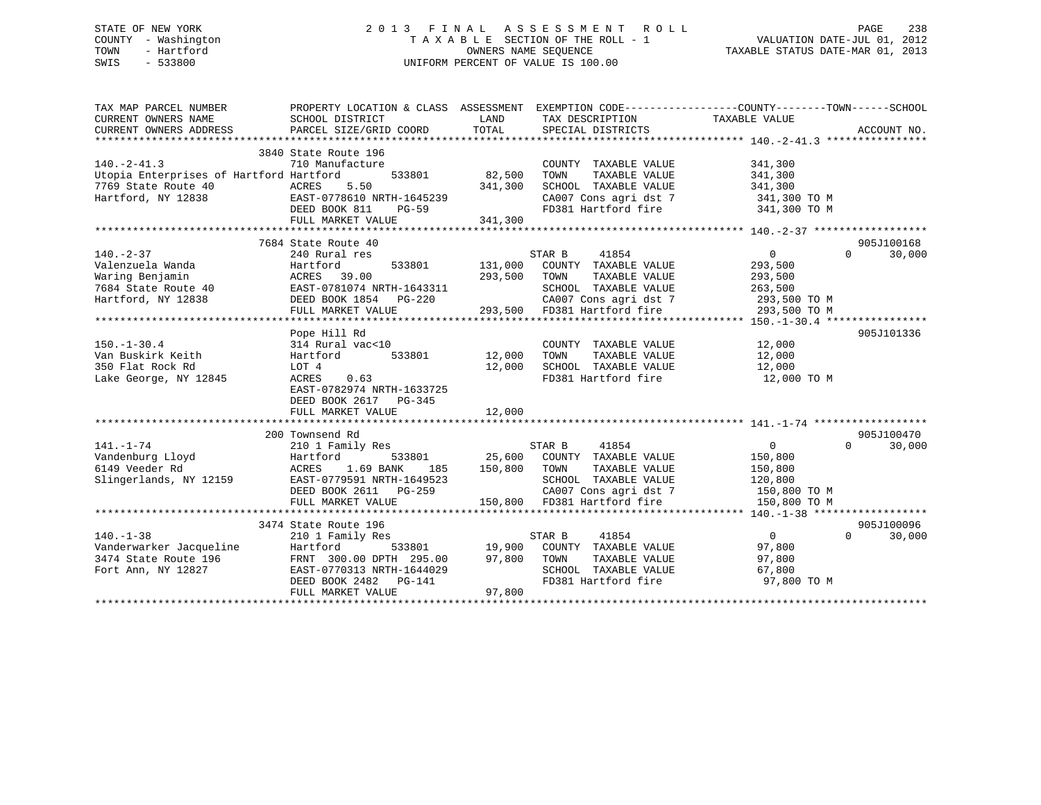| STATE OF NEW YORK |              |
|-------------------|--------------|
| COUNTY            | - Washington |
| TOWN<br>$-$       | Hartford     |
| SWIS              | $-533800$    |

# STATE OF NEW YORK 2 0 1 3 F I N A L A S S E S S M E N T R O L L PAGE 238 COUNTY - Washington T A X A B L E SECTION OF THE ROLL - 1 VALUATION DATE-JUL 01, 2012 TOWN - Hartford OWNERS NAME SEQUENCE TAXABLE STATUS DATE-MAR 01, 2013 SWIS - 533800 UNIFORM PERCENT OF VALUE IS 100.00

| TAX MAP PARCEL NUMBER<br>CURRENT OWNERS NAME<br>CURRENT OWNERS ADDRESS                                   | PROPERTY LOCATION & CLASS ASSESSMENT<br>SCHOOL DISTRICT<br>PARCEL SIZE/GRID COORD                                                                                       | LAND<br>TOTAL                | EXEMPTION CODE----------------COUNTY-------TOWN-----SCHOOL<br>TAX DESCRIPTION TAXABLE VALUE<br>SPECIAL DISTRICTS                                             |                                                                 | ACCOUNT NO.                      |
|----------------------------------------------------------------------------------------------------------|-------------------------------------------------------------------------------------------------------------------------------------------------------------------------|------------------------------|--------------------------------------------------------------------------------------------------------------------------------------------------------------|-----------------------------------------------------------------|----------------------------------|
| $140. -2 - 41.3$<br>Utopia Enterprises of Hartford Hartford<br>7769 State Route 40<br>Hartford, NY 12838 | 3840 State Route 196<br>710 Manufacture<br>533801<br>ACRES<br>5.50<br>EAST-0778610 NRTH-1645239<br>DEED BOOK 811<br><b>PG-59</b><br>FULL MARKET VALUE                   | 82,500<br>341,300<br>341,300 | COUNTY TAXABLE VALUE<br>TOWN<br>TAXABLE VALUE<br>SCHOOL TAXABLE VALUE<br>CA007 Cons agri dst 7 341,300 TO M<br>FD381 Hartford fire                           | 341,300<br>341,300<br>341,300<br>341,300 TO M                   |                                  |
|                                                                                                          | 7684 State Route 40                                                                                                                                                     |                              |                                                                                                                                                              |                                                                 | 905J100168                       |
| $140. - 2 - 37$<br>Valenzuela Wanda<br>Waring Benjamin<br>7684 State Route 40<br>Hartford, NY 12838      | 240 Rural res<br>Hartford<br>533801<br>ACRES 39.00<br>EAST-0781074 NRTH-1643311<br>DEED BOOK 1854 PG-220<br>FULL MARKET VALUE                                           | 131,000<br>293,500           | STAR B 41854<br>COUNTY TAXABLE VALUE<br>TOWN<br>TAXABLE VALUE<br>SCHOOL TAXABLE VALUE<br>CA007 Cons agri dst 7 293,500 TO M<br>293,500 FD381 Hartford fire   | $\overline{0}$<br>293,500<br>293,500<br>263,500<br>293,500 TO M | $\Omega$<br>30,000               |
|                                                                                                          |                                                                                                                                                                         |                              |                                                                                                                                                              |                                                                 |                                  |
| $150. - 1 - 30.4$<br>Van Buskirk Keith<br>350 Flat Rock Rd<br>Lake George, NY 12845                      | Pope Hill Rd<br>314 Rural vac<10<br>533801<br>Hartford<br>LOT 4<br>0.63<br>ACRES<br>EAST-0782974 NRTH-1633725<br>DEED BOOK 2617 PG-345<br>FULL MARKET VALUE             | 12,000<br>12,000<br>12,000   | COUNTY TAXABLE VALUE<br>TOWN<br>TAXABLE VALUE<br>SCHOOL TAXABLE VALUE 12,000<br>FD381 Hartford fire 12,000 TO M                                              | 12,000<br>12,000                                                | 905J101336                       |
|                                                                                                          |                                                                                                                                                                         |                              |                                                                                                                                                              |                                                                 |                                  |
| $141. - 1 - 74$<br>Vandenburg Lloyd<br>6149 Veeder Rd<br>Slingerlands, NY 12159                          | 200 Townsend Rd<br>210 1 Family Res<br>Hartford<br>533801<br>1.69 BANK<br>ACRES<br>185<br>EAST-0779591 NRTH-1649523<br>DEED BOOK 2611 PG-259<br>FULL MARKET VALUE       | 150,800 TOWN<br>150,800      | STAR B<br>41854<br>25,600 COUNTY TAXABLE VALUE<br>TAXABLE VALUE<br>SCHOOL TAXABLE VALUE 120,800<br>CA007 Cons agri dst 7 150,800 TO M<br>FD381 Hartford fire | $\Omega$<br>150,800<br>150,800<br>150,800 TO M                  | 905J100470<br>30,000<br>$\Omega$ |
|                                                                                                          |                                                                                                                                                                         |                              |                                                                                                                                                              |                                                                 | 905J100096                       |
| $140. - 1 - 38$<br>vanuerwarker Jacqueline<br>3474 State Route 196<br>Fort 1:<br>Fort Ann, NY 12827      | 3474 State Route 196<br>210 1 Family Res<br>Hartford<br>533801<br>FRNT 300.00 DPTH 295.00<br>EAST-0770313 NRTH-1644029<br>DEED BOOK 2482    PG-141<br>FULL MARKET VALUE | 97,800                       | 41854<br>STAR B<br>19,900 COUNTY TAXABLE VALUE<br>97,800 TOWN TAXABLE VALUE<br>TAXABLE VALUE<br>SCHOOL TAXABLE VALUE<br>FD381 Hartford fire                  | $\overline{0}$<br>97,800<br>97,800<br>67,800<br>97,800 TO M     | $\Omega$<br>30,000               |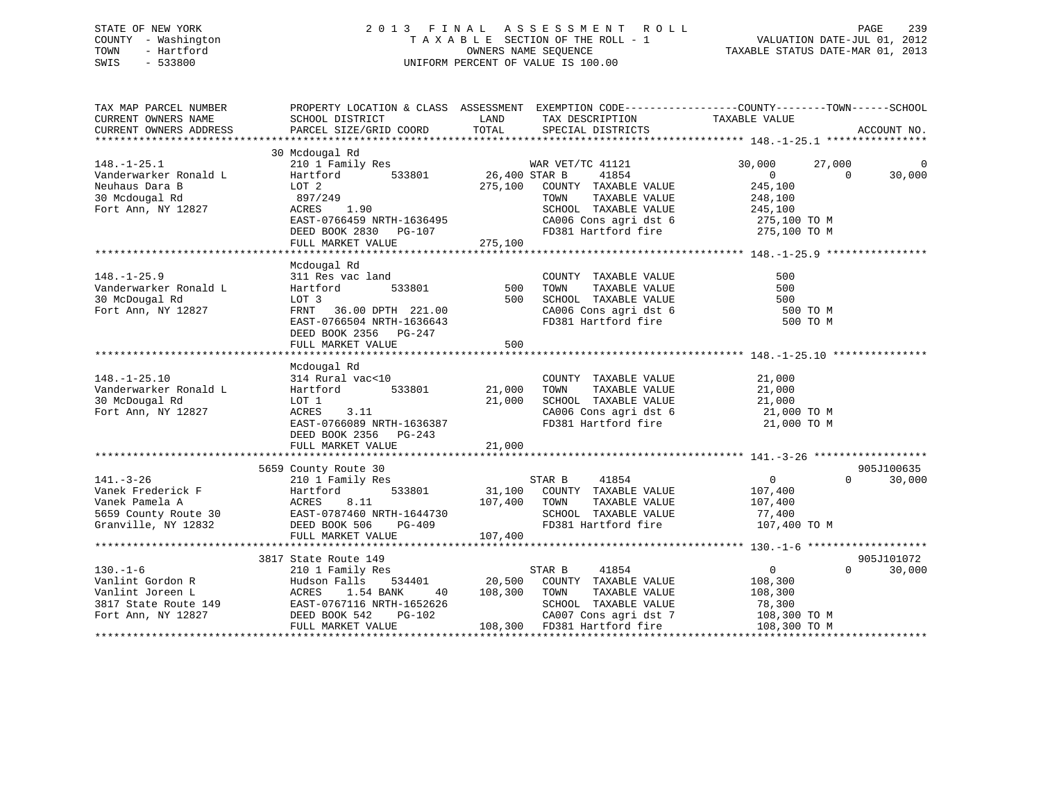# STATE OF NEW YORK 2 0 1 3 F I N A L A S S E S S M E N T R O L L PAGE 239 COUNTY - Washington T A X A B L E SECTION OF THE ROLL - 1 VALUATION DATE-JUL 01, 2012 TOWN - Hartford **TAXABLE STATUS DATE-MAR 01, 2013** SWIS - 533800 UNIFORM PERCENT OF VALUE IS 100.00

| TAX MAP PARCEL NUMBER  | PROPERTY LOCATION & CLASS ASSESSMENT EXEMPTION CODE---------------COUNTY-------TOWN-----SCHOOL |               |                                  |                         |                    |
|------------------------|------------------------------------------------------------------------------------------------|---------------|----------------------------------|-------------------------|--------------------|
| CURRENT OWNERS NAME    | SCHOOL DISTRICT                                                                                | LAND          | TAX DESCRIPTION                  | TAXABLE VALUE           |                    |
| CURRENT OWNERS ADDRESS | PARCEL SIZE/GRID COORD                                                                         | TOTAL         | SPECIAL DISTRICTS                |                         | ACCOUNT NO.        |
|                        |                                                                                                |               |                                  |                         |                    |
|                        | 30 Mcdougal Rd                                                                                 |               |                                  |                         |                    |
| $148. - 1 - 25.1$      | 210 1 Family Res                                                                               |               | WAR VET/TC 41121                 | 30,000<br>27,000        | $\Omega$           |
| Vanderwarker Ronald L  | 533801<br>Hartford                                                                             | 26,400 STAR B | 41854                            | $\overline{0}$          | 30,000<br>$\Omega$ |
| Neuhaus Dara B         | LOT 2                                                                                          |               | 275,100 COUNTY TAXABLE VALUE     | 245,100                 |                    |
| 30 Mcdougal Rd         | 897/249                                                                                        |               | TAXABLE VALUE<br>TOWN            | 248,100                 |                    |
| Fort Ann, NY 12827     | 1.90<br>ACRES                                                                                  |               | SCHOOL TAXABLE VALUE             | 245,100<br>275,100 TO M |                    |
|                        | EAST-0766459 NRTH-1636495                                                                      |               | CA006 Cons agri dst 6            |                         |                    |
|                        | DEED BOOK 2830 PG-107                                                                          |               | FD381 Hartford fire 275,100 TO M |                         |                    |
|                        | FULL MARKET VALUE                                                                              | 275,100       |                                  |                         |                    |
|                        |                                                                                                |               |                                  |                         |                    |
|                        | Mcdougal Rd                                                                                    |               |                                  |                         |                    |
| $148. - 1 - 25.9$      | 311 Res vac land                                                                               |               | COUNTY TAXABLE VALUE             | 500                     |                    |
| Vanderwarker Ronald L  | 533801<br>Hartford                                                                             | 500           | TOWN<br>TAXABLE VALUE            | 500                     |                    |
| 30 McDougal Rd         | LOT 3                                                                                          | 500           | SCHOOL TAXABLE VALUE             | 500                     |                    |
| Fort Ann, NY 12827     | FRNT 36.00 DPTH 221.00                                                                         |               | CA006 Cons agri dst 6            | 500 TO M                |                    |
|                        | EAST-0766504 NRTH-1636643                                                                      |               | FD381 Hartford fire              | 500 TO M                |                    |
|                        | DEED BOOK 2356 PG-247                                                                          |               |                                  |                         |                    |
|                        | FULL MARKET VALUE                                                                              | 500           |                                  |                         |                    |
|                        |                                                                                                |               |                                  |                         |                    |
|                        | Mcdougal Rd                                                                                    |               |                                  |                         |                    |
| $148. - 1 - 25.10$     | 314 Rural vac<10                                                                               |               | COUNTY TAXABLE VALUE             | 21,000                  |                    |
| Vanderwarker Ronald L  | 533801<br>Hartford                                                                             | 21,000        | TOWN<br>TAXABLE VALUE            | 21,000                  |                    |
| 30 McDougal Rd         | LOT 1                                                                                          | 21,000        | SCHOOL TAXABLE VALUE             | 21,000                  |                    |
| Fort Ann, NY 12827     | 3.11<br>ACRES                                                                                  |               | CA006 Cons agri dst 6            | 21,000 TO M             |                    |
|                        | EAST-0766089 NRTH-1636387                                                                      |               | FD381 Hartford fire              | 21,000 TO M             |                    |
|                        | DEED BOOK 2356 PG-243                                                                          |               |                                  |                         |                    |
|                        | FULL MARKET VALUE                                                                              | 21,000        |                                  |                         |                    |
|                        |                                                                                                |               |                                  |                         |                    |
|                        | 5659 County Route 30                                                                           |               |                                  |                         | 905J100635         |
| $141. - 3 - 26$        | 210 1 Family Res                                                                               |               | STAR B<br>41854                  | $\overline{0}$          | $\Omega$<br>30,000 |
| Vanek Frederick F      | 533801<br>Hartford                                                                             |               | 31,100 COUNTY TAXABLE VALUE      | 107,400                 |                    |
| Vanek Pamela A         | ACRES<br>8.11                                                                                  | 107,400       | TOWN<br>TAXABLE VALUE            | 107,400                 |                    |
| 5659 County Route 30   | EAST-0787460 NRTH-1644730                                                                      |               | SCHOOL TAXABLE VALUE             | 77,400                  |                    |
| Granville, NY 12832    | DEED BOOK 506<br>PG-409                                                                        |               | FD381 Hartford fire              | 107,400 TO M            |                    |
|                        | FULL MARKET VALUE                                                                              | 107,400       |                                  |                         |                    |
|                        |                                                                                                |               |                                  |                         |                    |
|                        | 3817 State Route 149                                                                           |               |                                  |                         | 905J101072         |
| $130. - 1 - 6$         | 210 1 Family Res                                                                               |               | 41854<br>STAR B                  | $\overline{0}$          | $\Omega$<br>30,000 |
| Vanlint Gordon R       | Hudson Falls<br>534401                                                                         | 20,500        | COUNTY TAXABLE VALUE             | 108,300                 |                    |
| Vanlint Joreen L       | ACRES<br>1.54 BANK<br>40                                                                       | 108,300       | TOWN<br>TAXABLE VALUE            | 108,300                 |                    |
| 3817 State Route 149   | EAST-0767116 NRTH-1652626                                                                      |               | SCHOOL TAXABLE VALUE             | 78,300                  |                    |
| Fort Ann, NY 12827     | EAST-0767116 N<br>DEED BOOK 542<br>PG-102                                                      |               | CA007 Cons agri dst 7            | 108,300 TO M            |                    |
|                        | FULL MARKET VALUE                                                                              |               | 108,300 FD381 Hartford fire      | 108,300 TO M            |                    |
|                        |                                                                                                |               |                                  |                         |                    |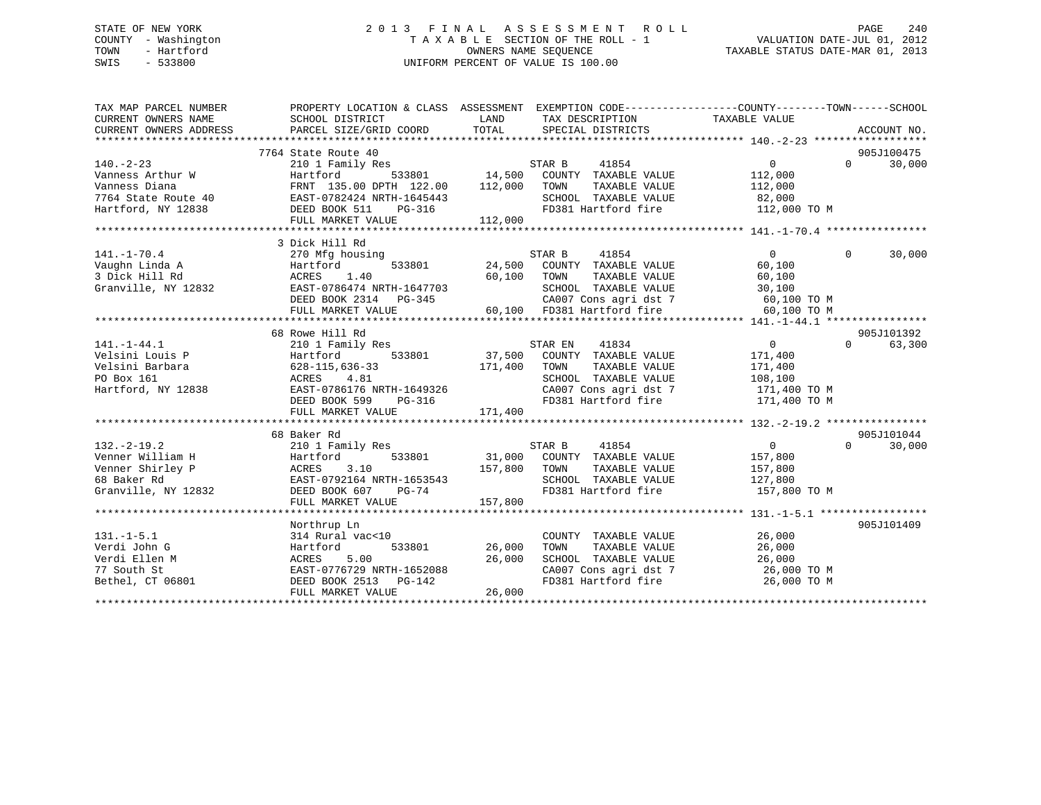# STATE OF NEW YORK 2 0 1 3 F I N A L A S S E S S M E N T R O L L PAGE 240 COUNTY - Washington T A X A B L E SECTION OF THE ROLL - 1 VALUATION DATE-JUL 01, 2012 TOWN - Hartford **TAXABLE STATUS DATE-MAR 01, 2013** OWNERS NAME SEQUENCE TAXABLE STATUS DATE-MAR 01, 2013 SWIS - 533800 UNIFORM PERCENT OF VALUE IS 100.00

| TAX MAP PARCEL NUMBER  |                                                               |                                                                                                            | PROPERTY LOCATION & CLASS ASSESSMENT EXEMPTION CODE---------------COUNTY-------TOWN------SCHOOL |
|------------------------|---------------------------------------------------------------|------------------------------------------------------------------------------------------------------------|-------------------------------------------------------------------------------------------------|
| CURRENT OWNERS NAME    | SCHOOL DISTRICT                                               | <b>EXAMPLE LAND</b><br>TAX DESCRIPTION                                                                     | TAXABLE VALUE                                                                                   |
| CURRENT OWNERS ADDRESS | PARCEL SIZE/GRID COORD                                        | TOTAL<br>SPECIAL DISTRICTS                                                                                 | ACCOUNT NO.                                                                                     |
|                        |                                                               |                                                                                                            |                                                                                                 |
|                        | 7764 State Route 40                                           |                                                                                                            | 905J100475                                                                                      |
| $140. -2 - 23$         | 210 1 Family Res                                              | STAR B<br>41854                                                                                            | 30,000<br>$\overline{0}$<br>$\Omega$                                                            |
| Vanness Arthur W       | 533801<br>Hartford                                            | 14,500 COUNTY TAXABLE VALUE                                                                                | 112,000                                                                                         |
| Vanness Diana          | FRNT 135.00 DPTH 122.00                                       | 112,000<br>TAXABLE VALUE<br>TOWN                                                                           | 112,000                                                                                         |
| 7764 State Route 40    | EAST-0782424 NRTH-1645443                                     | SCHOOL TAXABLE VALUE                                                                                       | 82,000                                                                                          |
| Hartford, NY 12838     | DEED BOOK 511<br>PG-316                                       | FD381 Hartford fire                                                                                        | 112,000 TO M                                                                                    |
|                        | FULL MARKET VALUE                                             | 112,000                                                                                                    |                                                                                                 |
|                        |                                                               |                                                                                                            |                                                                                                 |
|                        | 3 Dick Hill Rd                                                |                                                                                                            |                                                                                                 |
| $141. - 1 - 70.4$      | 270 Mfg housing                                               | 41854<br>STAR B                                                                                            | 30,000<br>$\overline{0}$<br>$\Omega$                                                            |
| Vaughn Linda A         | Hartford                                                      | 533801 24,500 COUNTY TAXABLE VALUE                                                                         | 60,100                                                                                          |
| 3 Dick Hill Rd         | ACRES 1.40<br>60 1.40 ACRES 1.40<br>EAST-0786474 NRTH-1647703 | 60,100 TOWN                                                                                                | 60,100                                                                                          |
| Granville, NY 12832    |                                                               | SCHOOL TAXABLE VALUE<br>SCHOOL TAXABLE VALUE                                                               | 30,100                                                                                          |
|                        |                                                               | DEED BOOK 2314 PG-345<br>FULL MARKET VALUE 60,100 FD381 Hartford fire<br>CA007 Cons agri dst 7 60,100 TO M |                                                                                                 |
|                        |                                                               |                                                                                                            | 60,100 TO M                                                                                     |
|                        |                                                               |                                                                                                            |                                                                                                 |
|                        | 68 Rowe Hill Rd                                               |                                                                                                            | 905J101392                                                                                      |
| $141. - 1 - 44.1$      | 210 1 Family Res<br>Hartford 533801                           | STAR EN $41834$<br>37,500 COUNTY TAXABLE VALUE                                                             | $\Omega$<br>63,300<br>0                                                                         |
| Velsini Louis P        |                                                               |                                                                                                            | 171,400                                                                                         |
| Velsini Barbara        | $628 - 115, 636 - 33$                                         | 171,400 TOWN<br>TAXABLE VALUE                                                                              | 171,400                                                                                         |
| PO Box 161             | ACRES 4.81                                                    | SCHOOL TAXABLE VALUE                                                                                       | 108,100                                                                                         |
| Hartford, NY 12838     | EAST-0786176 NRTH-1649326                                     | CA007 Cons agri dst 7<br>CA007 Cons agri dst 7                                                             | $100, 100$ TO M<br>171,400 TO M                                                                 |
|                        | DEED BOOK 599<br>PG-316                                       | FD381 Hartford fire                                                                                        | 171,400 TO M                                                                                    |
|                        | FULL MARKET VALUE                                             | 171,400                                                                                                    |                                                                                                 |
|                        | 68 Baker Rd                                                   |                                                                                                            | 905J101044                                                                                      |
| $132. - 2 - 19.2$      | 210 1 Family Res                                              | STAR B<br>41854                                                                                            | $\overline{0}$<br>30,000<br>$\Omega$                                                            |
| Venner William H       | 533801<br>Hartford                                            | 31,000 COUNTY TAXABLE VALUE                                                                                | 157,800                                                                                         |
| Venner Shirley P       | 3.10<br>ACRES                                                 | 157,800 TOWN<br>TAXABLE VALUE                                                                              | 157,800                                                                                         |
| 68 Baker Rd            | יב<br>EAST-0792164 NRTH-1653543<br>המספט הקמת המשור           | SCHOOL TAXABLE VALUE                                                                                       | 127,800                                                                                         |
| Granville, NY 12832    | DEED BOOK 607 PG-74                                           | FD381 Hartford fire                                                                                        | 157,800 TO M                                                                                    |
|                        | FULL MARKET VALUE                                             | 157,800                                                                                                    |                                                                                                 |
|                        |                                                               |                                                                                                            |                                                                                                 |
|                        | Northrup Ln                                                   |                                                                                                            | 905J101409                                                                                      |
| $131. - 1 - 5.1$       | 314 Rural vac<10                                              | COUNTY TAXABLE VALUE                                                                                       | 26,000                                                                                          |
| Verdi John G           | 533801<br>Hartford                                            | 26,000<br>TOWN<br>TAXABLE VALUE                                                                            | 26,000                                                                                          |
| Verdi Ellen M          | 5.00<br>ACRES                                                 | 26,000<br>SCHOOL TAXABLE VALUE                                                                             | 26,000                                                                                          |
| 77 South St            | EAST-0776729 NRTH-1652088                                     |                                                                                                            | CA007 Cons agri dst 7 26,000 TO M                                                               |
| Bethel, CT 06801       | DEED BOOK 2513 PG-142                                         | FD381 Hartford fire                                                                                        | 26,000 TO M                                                                                     |
|                        | FULL MARKET VALUE                                             | 26,000                                                                                                     |                                                                                                 |
|                        |                                                               |                                                                                                            |                                                                                                 |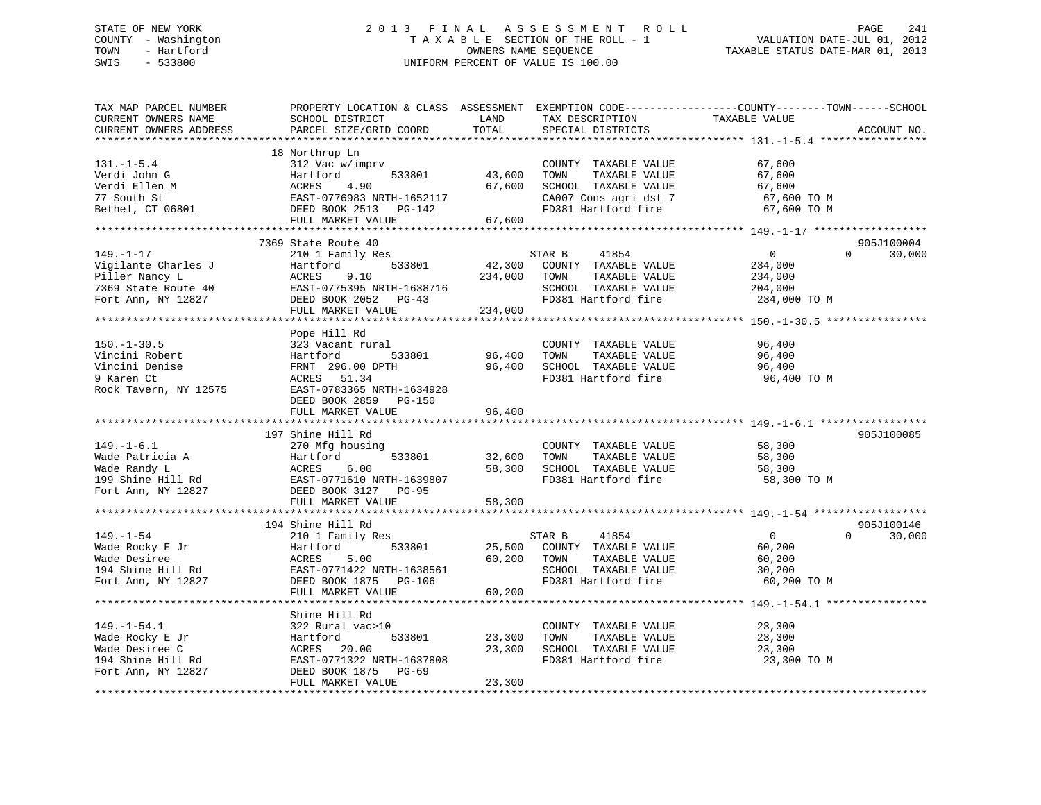# STATE OF NEW YORK 2 0 1 3 F I N A L A S S E S S M E N T R O L L PAGE 241 COUNTY - Washington T A X A B L E SECTION OF THE ROLL - 1 VALUATION DATE-JUL 01, 2012 TOWN - Hartford **TAXABLE STATUS DATE-MAR 01, 2013** SWIS - 533800 UNIFORM PERCENT OF VALUE IS 100.00

| TAX MAP PARCEL NUMBER<br>CURRENT OWNERS NAME<br>CURRENT OWNERS ADDRESS                                | SCHOOL DISTRICT<br>PARCEL SIZE/GRID COORD                                                                                                           | LAND<br>TOTAL              | TAX DESCRIPTION<br>SPECIAL DISTRICTS                                                                                  | PROPERTY LOCATION & CLASS ASSESSMENT EXEMPTION CODE---------------COUNTY-------TOWN------SCHOOL<br>TAXABLE VALUE | ACCOUNT NO.          |
|-------------------------------------------------------------------------------------------------------|-----------------------------------------------------------------------------------------------------------------------------------------------------|----------------------------|-----------------------------------------------------------------------------------------------------------------------|------------------------------------------------------------------------------------------------------------------|----------------------|
|                                                                                                       |                                                                                                                                                     |                            |                                                                                                                       |                                                                                                                  |                      |
| $131. - 1 - 5.4$<br>Verdi John G<br>Verdi Ellen M<br>77 South St<br>Bethel, CT 06801                  | 18 Northrup Ln<br>312 Vac w/imprv<br>Hartford<br>533801<br>ACRES<br>4.90<br>EAST-0776983 NRTH-1652117<br>DEED BOOK 2513 PG-142<br>FULL MARKET VALUE | 43,600<br>67,600<br>67,600 | COUNTY TAXABLE VALUE<br>TOWN<br>TAXABLE VALUE<br>SCHOOL TAXABLE VALUE<br>CA007 Cons agri dst 7<br>FD381 Hartford fire | 67,600<br>67,600<br>67,600<br>67,600 TO M<br>67,600 TO M                                                         |                      |
|                                                                                                       |                                                                                                                                                     |                            |                                                                                                                       |                                                                                                                  |                      |
| $149. - 1 - 17$<br>Vigilante Charles J<br>Piller Nancy L<br>7369 State Route 40<br>Fort Ann, NY 12827 | 7369 State Route 40<br>210 1 Family Res<br>533801<br>Hartford<br>ACRES<br>9.10<br>EAST-0775395 NRTH-1638716<br>DEED BOOK 2052 PG-43                 | 42,300<br>234,000          | 41854<br>STAR B<br>COUNTY TAXABLE VALUE<br>TOWN<br>TAXABLE VALUE<br>SCHOOL TAXABLE VALUE<br>FD381 Hartford fire       | $\overline{0}$<br>$\Omega$<br>234,000<br>234,000<br>204,000<br>234,000 TO M                                      | 905J100004<br>30,000 |
|                                                                                                       | FULL MARKET VALUE                                                                                                                                   | 234,000                    |                                                                                                                       |                                                                                                                  |                      |
|                                                                                                       |                                                                                                                                                     |                            |                                                                                                                       |                                                                                                                  |                      |
| $150. - 1 - 30.5$<br>Vincini Robert<br>Vincini Denise<br>9 Karen Ct<br>Rock Tavern, NY 12575          | Pope Hill Rd<br>323 Vacant rural<br>533801<br>Hartford<br>FRNT 296.00 DPTH<br>ACRES 51.34<br>EAST-0783365 NRTH-1634928<br>DEED BOOK 2859 PG-150     | 96,400<br>96,400           | COUNTY TAXABLE VALUE<br>TOWN<br>TAXABLE VALUE<br>SCHOOL TAXABLE VALUE<br>FD381 Hartford fire                          | 96,400<br>96,400<br>96,400<br>96,400 TO M                                                                        |                      |
|                                                                                                       | FULL MARKET VALUE                                                                                                                                   | 96,400                     |                                                                                                                       |                                                                                                                  |                      |
|                                                                                                       |                                                                                                                                                     |                            |                                                                                                                       |                                                                                                                  |                      |
|                                                                                                       | 197 Shine Hill Rd                                                                                                                                   |                            |                                                                                                                       |                                                                                                                  | 905J100085           |
| $149. - 1 - 6.1$<br>Wade Patricia A<br>Wade Randy L<br>199 Shine Hill Rd<br>Fort Ann, NY 12827        | 270 Mfg housing<br>533801<br>Hartford<br>ACRES<br>6.00<br>EAST-0771610 NRTH-1639807<br>DEED BOOK 3127 PG-95                                         | 32,600<br>58,300           | COUNTY TAXABLE VALUE<br>TOWN<br>TAXABLE VALUE<br>SCHOOL TAXABLE VALUE<br>FD381 Hartford fire                          | 58,300<br>58,300<br>58,300<br>58,300 TO M                                                                        |                      |
|                                                                                                       | FULL MARKET VALUE                                                                                                                                   | 58,300                     |                                                                                                                       |                                                                                                                  |                      |
|                                                                                                       | 194 Shine Hill Rd                                                                                                                                   |                            |                                                                                                                       |                                                                                                                  | 905J100146           |
| $149. - 1 - 54$<br>Wade Rocky E Jr<br>Wade Desiree<br>194 Shine Hill Rd<br>Fort Ann, NY 12827         | 210 1 Family Res<br>533801<br>Hartford<br>ACRES<br>5.00<br>EAST-0771422 NRTH-1638561<br>DEED BOOK 1875 PG-106                                       | 25,500<br>60,200           | STAR B<br>41854<br>COUNTY TAXABLE VALUE<br>TOWN<br>TAXABLE VALUE<br>SCHOOL TAXABLE VALUE<br>FD381 Hartford fire       | $\overline{0}$<br>$\Omega$<br>60,200<br>60,200<br>30,200<br>60,200 TO M                                          | 30,000               |
|                                                                                                       | FULL MARKET VALUE                                                                                                                                   | 60,200                     |                                                                                                                       |                                                                                                                  |                      |
| $149. - 1 - 54.1$<br>Wade Rocky E Jr<br>Wade Desiree C                                                | Shine Hill Rd<br>322 Rural vac>10<br>Hartford<br>533801<br>20.00<br>ACRES                                                                           | 23,300<br>23,300           | COUNTY TAXABLE VALUE<br>TOWN<br>TAXABLE VALUE<br>SCHOOL TAXABLE VALUE                                                 | 23,300<br>23,300<br>23,300                                                                                       |                      |
| 194 Shine Hill Rd<br>Fort Ann, NY 12827                                                               | EAST-0771322 NRTH-1637808<br>DEED BOOK 1875 PG-69<br>FULL MARKET VALUE                                                                              | 23,300                     | FD381 Hartford fire                                                                                                   | 23,300 TO M                                                                                                      |                      |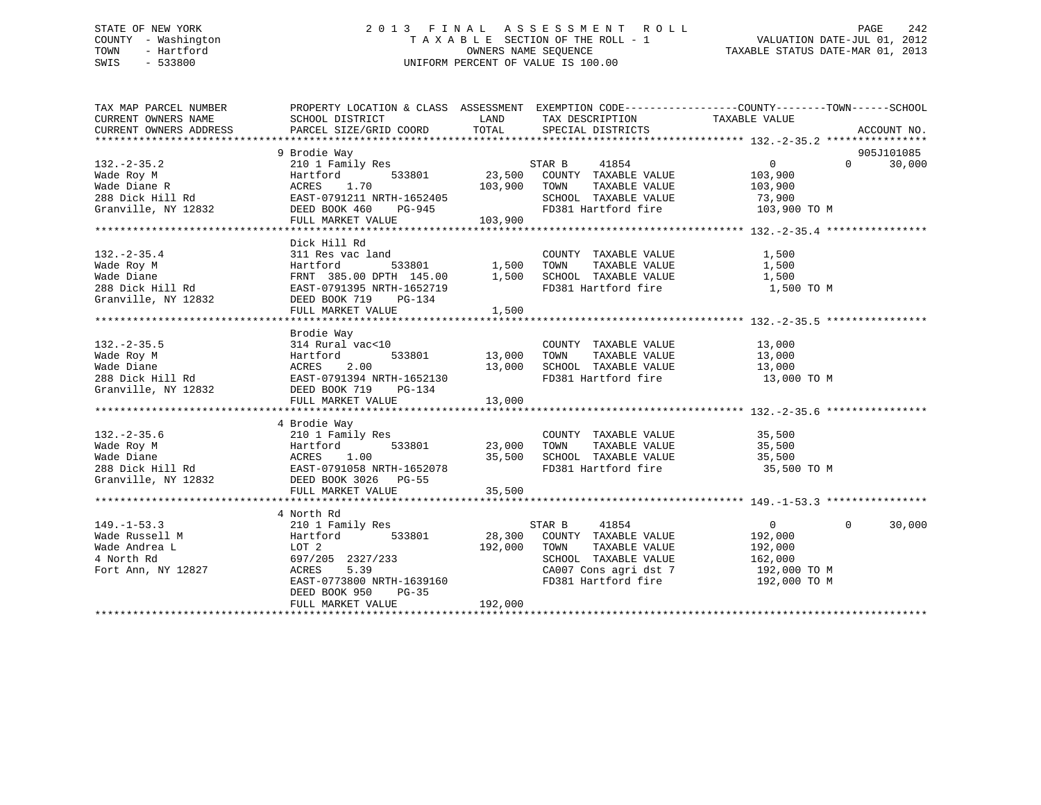# STATE OF NEW YORK 2 0 1 3 F I N A L A S S E S S M E N T R O L L PAGE 242 COUNTY - Washington T A X A B L E SECTION OF THE ROLL - 1 VALUATION DATE-JUL 01, 2012 TOWN - Hartford **TAXABLE STATUS DATE-MAR 01, 2013** OWNERS NAME SEQUENCE TAXABLE STATUS DATE-MAR 01, 2013 SWIS - 533800 UNIFORM PERCENT OF VALUE IS 100.00

| TAX MAP PARCEL NUMBER<br>CURRENT OWNERS NAME<br>CURRENT OWNERS ADDRESS                                                                    | PROPERTY LOCATION & CLASS ASSESSMENT EXEMPTION CODE----------------COUNTY-------TOWN-----SCHOOL<br>SCHOOL DISTRICT<br>PARCEL SIZE/GRID COORD | LAND<br>TOTAL | TAX DESCRIPTION<br>SPECIAL DISTRICTS | TAXABLE VALUE              | ACCOUNT NO. |
|-------------------------------------------------------------------------------------------------------------------------------------------|----------------------------------------------------------------------------------------------------------------------------------------------|---------------|--------------------------------------|----------------------------|-------------|
|                                                                                                                                           |                                                                                                                                              |               |                                      |                            |             |
|                                                                                                                                           | 9 Brodie Way                                                                                                                                 |               |                                      |                            | 905J101085  |
| $132 - 2 - 35.2$                                                                                                                          | 210 1 Family Res                                                                                                                             |               | STAR B<br>41854                      | $\overline{0}$<br>$\Omega$ | 30,000      |
| Wade Roy M                                                                                                                                | 533801<br>Hartford                                                                                                                           | 23,500        | COUNTY TAXABLE VALUE                 | 103,900                    |             |
| Wade Diane R                                                                                                                              | 1.70<br>ACRES                                                                                                                                | 103,900       | TOWN<br>TAXABLE VALUE                | 103,900                    |             |
| 288 Dick Hill Rd                                                                                                                          | EAST-0791211 NRTH-1652405                                                                                                                    |               | SCHOOL TAXABLE VALUE                 | 73,900                     |             |
| Granville, NY 12832                                                                                                                       | DEED BOOK 460<br>PG-945                                                                                                                      |               | FD381 Hartford fire                  | 103,900 TO M               |             |
|                                                                                                                                           | FULL MARKET VALUE                                                                                                                            | 103,900       |                                      |                            |             |
|                                                                                                                                           |                                                                                                                                              |               |                                      |                            |             |
|                                                                                                                                           | Dick Hill Rd                                                                                                                                 |               |                                      |                            |             |
| $132. - 2 - 35.4$                                                                                                                         | 311 Res vac land                                                                                                                             |               | COUNTY TAXABLE VALUE                 | 1,500                      |             |
| Wade Roy M                                                                                                                                | 533801<br>Hartford                                                                                                                           | 1,500         | TOWN<br>TAXABLE VALUE                | 1,500                      |             |
|                                                                                                                                           | FRNT 385.00 DPTH 145.00                                                                                                                      | 1,500         | SCHOOL TAXABLE VALUE                 | 1,500                      |             |
|                                                                                                                                           | EAST-0791395 NRTH-1652719                                                                                                                    |               | FD381 Hartford fire                  | 1,500 TO M                 |             |
|                                                                                                                                           | PG-134                                                                                                                                       |               |                                      |                            |             |
|                                                                                                                                           | FULL MARKET VALUE                                                                                                                            | 1,500         |                                      |                            |             |
|                                                                                                                                           |                                                                                                                                              |               |                                      |                            |             |
|                                                                                                                                           | Brodie Way                                                                                                                                   |               |                                      |                            |             |
| $132 - 2 - 35.5$                                                                                                                          | 314 Rural vac<10                                                                                                                             |               | COUNTY TAXABLE VALUE                 | 13,000                     |             |
|                                                                                                                                           |                                                                                                                                              | 13,000        | TAXABLE VALUE<br>TOWN                | 13,000                     |             |
|                                                                                                                                           |                                                                                                                                              | 13,000        | SCHOOL TAXABLE VALUE                 | 13,000                     |             |
|                                                                                                                                           |                                                                                                                                              |               | FD381 Hartford fire                  | 13,000 TO M                |             |
|                                                                                                                                           |                                                                                                                                              |               |                                      |                            |             |
|                                                                                                                                           | FULL MARKET VALUE                                                                                                                            | 13,000        |                                      |                            |             |
|                                                                                                                                           |                                                                                                                                              |               |                                      |                            |             |
|                                                                                                                                           | 4 Brodie Way                                                                                                                                 |               |                                      |                            |             |
| $132. - 2 - 35.6$                                                                                                                         | 210 1 Family Res                                                                                                                             |               | COUNTY TAXABLE VALUE                 | 35,500                     |             |
|                                                                                                                                           | 533801                                                                                                                                       | 23,000        | TOWN<br>TAXABLE VALUE                | 35,500                     |             |
|                                                                                                                                           |                                                                                                                                              | 35,500        | SCHOOL TAXABLE VALUE                 | 35,500                     |             |
|                                                                                                                                           | EAST-0791058 NRTH-1652078                                                                                                                    |               | FD381 Hartford fire                  | 35,500 TO M                |             |
| Wade Roy M<br>Wade Diane Martford 533801<br>288 Dick Hill Rd<br>Cranville, NY 12832<br>287-0791058 NRTH-16520<br>288 DEED BOOK 3026 PG-55 |                                                                                                                                              |               |                                      |                            |             |
|                                                                                                                                           | FULL MARKET VALUE                                                                                                                            | 35,500        |                                      |                            |             |
|                                                                                                                                           |                                                                                                                                              |               |                                      |                            |             |
|                                                                                                                                           |                                                                                                                                              |               |                                      |                            |             |
|                                                                                                                                           | 4 North Rd                                                                                                                                   |               |                                      |                            |             |
| $149. - 1 - 53.3$                                                                                                                         | 210 1 Family Res                                                                                                                             |               | STAR B<br>41854                      | $\overline{0}$<br>$\Omega$ | 30,000      |
| Wade Russell M                                                                                                                            | Hartford<br>533801                                                                                                                           | 28,300        | COUNTY TAXABLE VALUE                 | 192,000                    |             |
| Wade Andrea L                                                                                                                             | LOT 2                                                                                                                                        | 192,000       | TOWN<br>TAXABLE VALUE                | 192,000                    |             |
| 4 North Rd                                                                                                                                | 697/205 2327/233                                                                                                                             |               | SCHOOL TAXABLE VALUE                 | 162,000                    |             |
| Fort Ann, NY 12827                                                                                                                        | 5.39<br>ACRES                                                                                                                                |               | CA007 Cons agri dst 7                | 192,000 TO M               |             |
|                                                                                                                                           | EAST-0773800 NRTH-1639160                                                                                                                    |               | FD381 Hartford fire                  | 192,000 TO M               |             |
|                                                                                                                                           | DEED BOOK 950<br>$PG-35$                                                                                                                     |               |                                      |                            |             |
|                                                                                                                                           | FULL MARKET VALUE                                                                                                                            | 192,000       |                                      |                            |             |
|                                                                                                                                           |                                                                                                                                              |               |                                      |                            |             |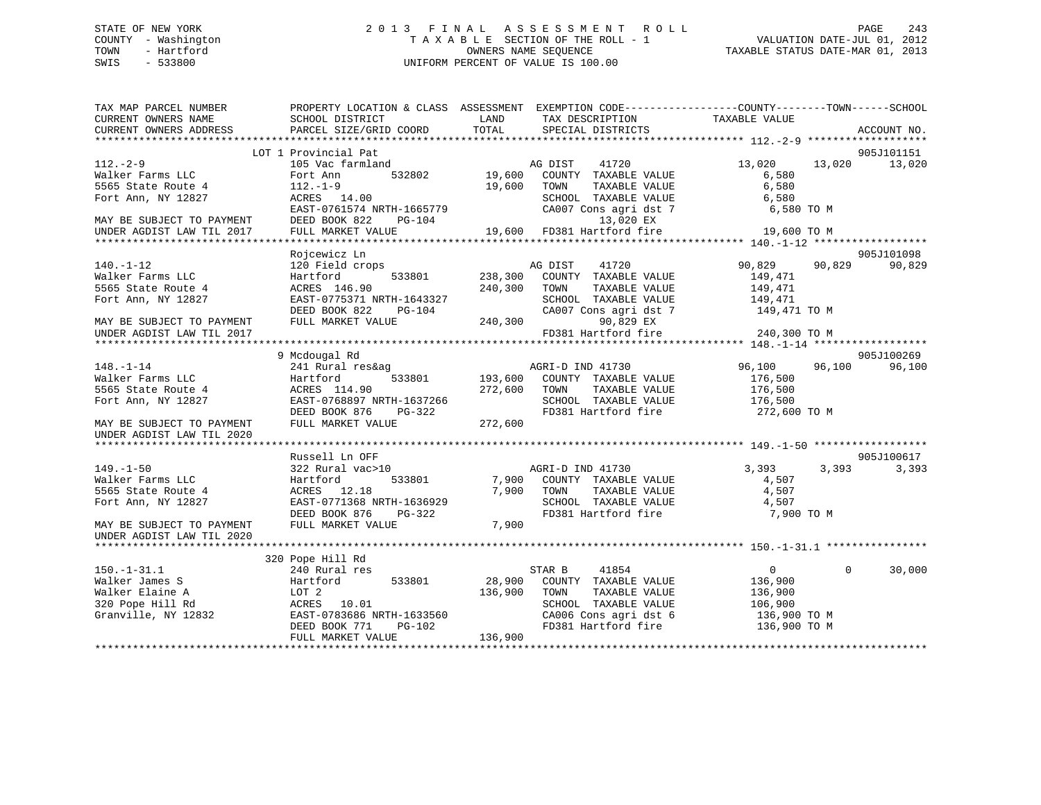# STATE OF NEW YORK 2 0 1 3 F I N A L A S S E S S M E N T R O L L PAGE 243 COUNTY - Washington T A X A B L E SECTION OF THE ROLL - 1 VALUATION DATE-JUL 01, 2012 TOWN - Hartford **TAXABLE STATUS DATE-MAR 01, 2013** SWIS - 533800 UNIFORM PERCENT OF VALUE IS 100.00

| LOT 1 Provincial Pat<br>905J101151<br>13,020<br>$112. - 2 - 9$<br>105 Vac farmland<br>AG DIST<br>41720<br>13,020<br>13,020<br>Walker Farms LLC<br>532802<br>19,600<br>COUNTY TAXABLE VALUE<br>Fort Ann<br>6,580<br>5565 State Route 4<br>$112. - 1 - 9$<br>19,600<br>TAXABLE VALUE<br>6,580<br>TOWN<br>Fort Ann, NY 12827<br>ACRES 14.00<br>SCHOOL TAXABLE VALUE<br>6,580<br>EAST-0761574 NRTH-1665779<br>CA007 Cons agri dst 7<br>6,580 ТО М<br>13,020 EX<br>DEED BOOK 822<br>$PG-104$<br>MAY BE SUBJECT TO PAYMENT<br>19,600 FD381 Hartford fire<br>FULL MARKET VALUE<br>UNDER AGDIST LAW TIL 2017<br>19,600 TO M<br>Rojcewicz Ln<br>905J101098<br>90,829<br>$140. - 1 - 12$<br>120 Field crops<br>AG DIST<br>41720<br>90,829<br>90,829<br>Walker Farms LLC<br>533801<br>238,300<br>COUNTY TAXABLE VALUE<br>Hartford<br>149,471<br>5565 State Route 4<br>ACRES 146.90<br>240,300<br>TOWN<br>TAXABLE VALUE<br>149,471<br>Fort Ann, NY 12827<br>EAST-0775371 NRTH-1643327<br>SCHOOL TAXABLE VALUE<br>149,471<br>DEED BOOK 822<br>CA007 Cons agri dst 7<br>PG-104<br>149,471 TO M<br>FULL MARKET VALUE<br>240,300<br>90,829 EX<br>MAY BE SUBJECT TO PAYMENT<br>FD381 Hartford fire<br>240,300 TO M<br>UNDER AGDIST LAW TIL 2017<br>905J100269<br>9 Mcdougal Rd<br>$148. - 1 - 14$<br>241 Rural res&ag<br>AGRI-D IND 41730<br>96,100<br>96,100<br>96,100<br>533801<br>193,600 COUNTY TAXABLE VALUE<br>Walker Farms LLC<br>Hartford<br>176,500<br>5565 State Route 4<br>ACRES 114.90<br>272,600 TOWN<br>TAXABLE VALUE<br>176,500<br>SCHOOL TAXABLE VALUE<br>Fort Ann, NY 12827<br>EAST-0768897 NRTH-1637266<br>176,500<br>DEED BOOK 876<br>$PG-322$<br>FD381 Hartford fire<br>272,600 TO M<br>FULL MARKET VALUE<br>272,600<br>MAY BE SUBJECT TO PAYMENT<br>UNDER AGDIST LAW TIL 2020<br>905J100617<br>Russell Ln OFF<br>$149. - 1 - 50$<br>322 Rural vac>10<br>AGRI-D IND 41730<br>3,393<br>3,393<br>3,393<br>Walker Farms LLC<br>Hartford<br>533801<br>7,900<br>COUNTY TAXABLE VALUE<br>4,507<br>7,900<br>TAXABLE VALUE<br>4,507<br>5565 State Route 4<br>ACRES 12.18<br>TOWN<br>Fort Ann, NY 12827<br>EAST-0771368 NRTH-1636929<br>SCHOOL TAXABLE VALUE<br>4,507<br>DEED BOOK 876<br>FD381 Hartford fire<br>7,900 TO M<br>PG-322<br>FULL MARKET VALUE<br>7,900<br>MAY BE SUBJECT TO PAYMENT<br>UNDER AGDIST LAW TIL 2020<br>320 Pope Hill Rd<br>$150. - 1 - 31.1$<br>240 Rural res<br>STAR B<br>41854<br>$0 \qquad \qquad$<br>$\Omega$<br>30,000<br>533801<br>28,900<br>COUNTY TAXABLE VALUE<br>Walker James S<br>Hartford<br>136,900<br>Walker Elaine A<br>LOT 2<br>136,900<br>TAXABLE VALUE<br>TOWN<br>136,900<br>10.01<br>SCHOOL TAXABLE VALUE<br>320 Pope Hill Rd<br>ACRES<br>106,900<br>Granville, NY 12832<br>EAST-0783686 NRTH-1633560<br>CA006 Cons agri dst 6<br>136,900 TO M<br>FD381 Hartford fire<br>$PG-102$<br>136,900 TO M<br>DEED BOOK 771<br>FULL MARKET VALUE<br>136,900 | TAX MAP PARCEL NUMBER<br>CURRENT OWNERS NAME<br>CURRENT OWNERS ADDRESS | PROPERTY LOCATION & CLASS ASSESSMENT EXEMPTION CODE----------------COUNTY-------TOWN-----SCHOOL<br>SCHOOL DISTRICT<br>PARCEL SIZE/GRID COORD | LAND<br>TOTAL | TAX DESCRIPTION<br>SPECIAL DISTRICTS | TAXABLE VALUE | ACCOUNT NO. |
|-------------------------------------------------------------------------------------------------------------------------------------------------------------------------------------------------------------------------------------------------------------------------------------------------------------------------------------------------------------------------------------------------------------------------------------------------------------------------------------------------------------------------------------------------------------------------------------------------------------------------------------------------------------------------------------------------------------------------------------------------------------------------------------------------------------------------------------------------------------------------------------------------------------------------------------------------------------------------------------------------------------------------------------------------------------------------------------------------------------------------------------------------------------------------------------------------------------------------------------------------------------------------------------------------------------------------------------------------------------------------------------------------------------------------------------------------------------------------------------------------------------------------------------------------------------------------------------------------------------------------------------------------------------------------------------------------------------------------------------------------------------------------------------------------------------------------------------------------------------------------------------------------------------------------------------------------------------------------------------------------------------------------------------------------------------------------------------------------------------------------------------------------------------------------------------------------------------------------------------------------------------------------------------------------------------------------------------------------------------------------------------------------------------------------------------------------------------------------------------------------------------------------------------------------------------------------------------------------------------------------------------------------------------------------------------------------------------------------------------------------------------------------------------------------------------------------------------------------------------------------------------------|------------------------------------------------------------------------|----------------------------------------------------------------------------------------------------------------------------------------------|---------------|--------------------------------------|---------------|-------------|
|                                                                                                                                                                                                                                                                                                                                                                                                                                                                                                                                                                                                                                                                                                                                                                                                                                                                                                                                                                                                                                                                                                                                                                                                                                                                                                                                                                                                                                                                                                                                                                                                                                                                                                                                                                                                                                                                                                                                                                                                                                                                                                                                                                                                                                                                                                                                                                                                                                                                                                                                                                                                                                                                                                                                                                                                                                                                                           |                                                                        |                                                                                                                                              |               |                                      |               |             |
|                                                                                                                                                                                                                                                                                                                                                                                                                                                                                                                                                                                                                                                                                                                                                                                                                                                                                                                                                                                                                                                                                                                                                                                                                                                                                                                                                                                                                                                                                                                                                                                                                                                                                                                                                                                                                                                                                                                                                                                                                                                                                                                                                                                                                                                                                                                                                                                                                                                                                                                                                                                                                                                                                                                                                                                                                                                                                           |                                                                        |                                                                                                                                              |               |                                      |               |             |
|                                                                                                                                                                                                                                                                                                                                                                                                                                                                                                                                                                                                                                                                                                                                                                                                                                                                                                                                                                                                                                                                                                                                                                                                                                                                                                                                                                                                                                                                                                                                                                                                                                                                                                                                                                                                                                                                                                                                                                                                                                                                                                                                                                                                                                                                                                                                                                                                                                                                                                                                                                                                                                                                                                                                                                                                                                                                                           |                                                                        |                                                                                                                                              |               |                                      |               |             |
|                                                                                                                                                                                                                                                                                                                                                                                                                                                                                                                                                                                                                                                                                                                                                                                                                                                                                                                                                                                                                                                                                                                                                                                                                                                                                                                                                                                                                                                                                                                                                                                                                                                                                                                                                                                                                                                                                                                                                                                                                                                                                                                                                                                                                                                                                                                                                                                                                                                                                                                                                                                                                                                                                                                                                                                                                                                                                           |                                                                        |                                                                                                                                              |               |                                      |               |             |
|                                                                                                                                                                                                                                                                                                                                                                                                                                                                                                                                                                                                                                                                                                                                                                                                                                                                                                                                                                                                                                                                                                                                                                                                                                                                                                                                                                                                                                                                                                                                                                                                                                                                                                                                                                                                                                                                                                                                                                                                                                                                                                                                                                                                                                                                                                                                                                                                                                                                                                                                                                                                                                                                                                                                                                                                                                                                                           |                                                                        |                                                                                                                                              |               |                                      |               |             |
|                                                                                                                                                                                                                                                                                                                                                                                                                                                                                                                                                                                                                                                                                                                                                                                                                                                                                                                                                                                                                                                                                                                                                                                                                                                                                                                                                                                                                                                                                                                                                                                                                                                                                                                                                                                                                                                                                                                                                                                                                                                                                                                                                                                                                                                                                                                                                                                                                                                                                                                                                                                                                                                                                                                                                                                                                                                                                           |                                                                        |                                                                                                                                              |               |                                      |               |             |
|                                                                                                                                                                                                                                                                                                                                                                                                                                                                                                                                                                                                                                                                                                                                                                                                                                                                                                                                                                                                                                                                                                                                                                                                                                                                                                                                                                                                                                                                                                                                                                                                                                                                                                                                                                                                                                                                                                                                                                                                                                                                                                                                                                                                                                                                                                                                                                                                                                                                                                                                                                                                                                                                                                                                                                                                                                                                                           |                                                                        |                                                                                                                                              |               |                                      |               |             |
|                                                                                                                                                                                                                                                                                                                                                                                                                                                                                                                                                                                                                                                                                                                                                                                                                                                                                                                                                                                                                                                                                                                                                                                                                                                                                                                                                                                                                                                                                                                                                                                                                                                                                                                                                                                                                                                                                                                                                                                                                                                                                                                                                                                                                                                                                                                                                                                                                                                                                                                                                                                                                                                                                                                                                                                                                                                                                           |                                                                        |                                                                                                                                              |               |                                      |               |             |
|                                                                                                                                                                                                                                                                                                                                                                                                                                                                                                                                                                                                                                                                                                                                                                                                                                                                                                                                                                                                                                                                                                                                                                                                                                                                                                                                                                                                                                                                                                                                                                                                                                                                                                                                                                                                                                                                                                                                                                                                                                                                                                                                                                                                                                                                                                                                                                                                                                                                                                                                                                                                                                                                                                                                                                                                                                                                                           |                                                                        |                                                                                                                                              |               |                                      |               |             |
|                                                                                                                                                                                                                                                                                                                                                                                                                                                                                                                                                                                                                                                                                                                                                                                                                                                                                                                                                                                                                                                                                                                                                                                                                                                                                                                                                                                                                                                                                                                                                                                                                                                                                                                                                                                                                                                                                                                                                                                                                                                                                                                                                                                                                                                                                                                                                                                                                                                                                                                                                                                                                                                                                                                                                                                                                                                                                           |                                                                        |                                                                                                                                              |               |                                      |               |             |
|                                                                                                                                                                                                                                                                                                                                                                                                                                                                                                                                                                                                                                                                                                                                                                                                                                                                                                                                                                                                                                                                                                                                                                                                                                                                                                                                                                                                                                                                                                                                                                                                                                                                                                                                                                                                                                                                                                                                                                                                                                                                                                                                                                                                                                                                                                                                                                                                                                                                                                                                                                                                                                                                                                                                                                                                                                                                                           |                                                                        |                                                                                                                                              |               |                                      |               |             |
|                                                                                                                                                                                                                                                                                                                                                                                                                                                                                                                                                                                                                                                                                                                                                                                                                                                                                                                                                                                                                                                                                                                                                                                                                                                                                                                                                                                                                                                                                                                                                                                                                                                                                                                                                                                                                                                                                                                                                                                                                                                                                                                                                                                                                                                                                                                                                                                                                                                                                                                                                                                                                                                                                                                                                                                                                                                                                           |                                                                        |                                                                                                                                              |               |                                      |               |             |
|                                                                                                                                                                                                                                                                                                                                                                                                                                                                                                                                                                                                                                                                                                                                                                                                                                                                                                                                                                                                                                                                                                                                                                                                                                                                                                                                                                                                                                                                                                                                                                                                                                                                                                                                                                                                                                                                                                                                                                                                                                                                                                                                                                                                                                                                                                                                                                                                                                                                                                                                                                                                                                                                                                                                                                                                                                                                                           |                                                                        |                                                                                                                                              |               |                                      |               |             |
|                                                                                                                                                                                                                                                                                                                                                                                                                                                                                                                                                                                                                                                                                                                                                                                                                                                                                                                                                                                                                                                                                                                                                                                                                                                                                                                                                                                                                                                                                                                                                                                                                                                                                                                                                                                                                                                                                                                                                                                                                                                                                                                                                                                                                                                                                                                                                                                                                                                                                                                                                                                                                                                                                                                                                                                                                                                                                           |                                                                        |                                                                                                                                              |               |                                      |               |             |
|                                                                                                                                                                                                                                                                                                                                                                                                                                                                                                                                                                                                                                                                                                                                                                                                                                                                                                                                                                                                                                                                                                                                                                                                                                                                                                                                                                                                                                                                                                                                                                                                                                                                                                                                                                                                                                                                                                                                                                                                                                                                                                                                                                                                                                                                                                                                                                                                                                                                                                                                                                                                                                                                                                                                                                                                                                                                                           |                                                                        |                                                                                                                                              |               |                                      |               |             |
|                                                                                                                                                                                                                                                                                                                                                                                                                                                                                                                                                                                                                                                                                                                                                                                                                                                                                                                                                                                                                                                                                                                                                                                                                                                                                                                                                                                                                                                                                                                                                                                                                                                                                                                                                                                                                                                                                                                                                                                                                                                                                                                                                                                                                                                                                                                                                                                                                                                                                                                                                                                                                                                                                                                                                                                                                                                                                           |                                                                        |                                                                                                                                              |               |                                      |               |             |
|                                                                                                                                                                                                                                                                                                                                                                                                                                                                                                                                                                                                                                                                                                                                                                                                                                                                                                                                                                                                                                                                                                                                                                                                                                                                                                                                                                                                                                                                                                                                                                                                                                                                                                                                                                                                                                                                                                                                                                                                                                                                                                                                                                                                                                                                                                                                                                                                                                                                                                                                                                                                                                                                                                                                                                                                                                                                                           |                                                                        |                                                                                                                                              |               |                                      |               |             |
|                                                                                                                                                                                                                                                                                                                                                                                                                                                                                                                                                                                                                                                                                                                                                                                                                                                                                                                                                                                                                                                                                                                                                                                                                                                                                                                                                                                                                                                                                                                                                                                                                                                                                                                                                                                                                                                                                                                                                                                                                                                                                                                                                                                                                                                                                                                                                                                                                                                                                                                                                                                                                                                                                                                                                                                                                                                                                           |                                                                        |                                                                                                                                              |               |                                      |               |             |
|                                                                                                                                                                                                                                                                                                                                                                                                                                                                                                                                                                                                                                                                                                                                                                                                                                                                                                                                                                                                                                                                                                                                                                                                                                                                                                                                                                                                                                                                                                                                                                                                                                                                                                                                                                                                                                                                                                                                                                                                                                                                                                                                                                                                                                                                                                                                                                                                                                                                                                                                                                                                                                                                                                                                                                                                                                                                                           |                                                                        |                                                                                                                                              |               |                                      |               |             |
|                                                                                                                                                                                                                                                                                                                                                                                                                                                                                                                                                                                                                                                                                                                                                                                                                                                                                                                                                                                                                                                                                                                                                                                                                                                                                                                                                                                                                                                                                                                                                                                                                                                                                                                                                                                                                                                                                                                                                                                                                                                                                                                                                                                                                                                                                                                                                                                                                                                                                                                                                                                                                                                                                                                                                                                                                                                                                           |                                                                        |                                                                                                                                              |               |                                      |               |             |
|                                                                                                                                                                                                                                                                                                                                                                                                                                                                                                                                                                                                                                                                                                                                                                                                                                                                                                                                                                                                                                                                                                                                                                                                                                                                                                                                                                                                                                                                                                                                                                                                                                                                                                                                                                                                                                                                                                                                                                                                                                                                                                                                                                                                                                                                                                                                                                                                                                                                                                                                                                                                                                                                                                                                                                                                                                                                                           |                                                                        |                                                                                                                                              |               |                                      |               |             |
|                                                                                                                                                                                                                                                                                                                                                                                                                                                                                                                                                                                                                                                                                                                                                                                                                                                                                                                                                                                                                                                                                                                                                                                                                                                                                                                                                                                                                                                                                                                                                                                                                                                                                                                                                                                                                                                                                                                                                                                                                                                                                                                                                                                                                                                                                                                                                                                                                                                                                                                                                                                                                                                                                                                                                                                                                                                                                           |                                                                        |                                                                                                                                              |               |                                      |               |             |
|                                                                                                                                                                                                                                                                                                                                                                                                                                                                                                                                                                                                                                                                                                                                                                                                                                                                                                                                                                                                                                                                                                                                                                                                                                                                                                                                                                                                                                                                                                                                                                                                                                                                                                                                                                                                                                                                                                                                                                                                                                                                                                                                                                                                                                                                                                                                                                                                                                                                                                                                                                                                                                                                                                                                                                                                                                                                                           |                                                                        |                                                                                                                                              |               |                                      |               |             |
|                                                                                                                                                                                                                                                                                                                                                                                                                                                                                                                                                                                                                                                                                                                                                                                                                                                                                                                                                                                                                                                                                                                                                                                                                                                                                                                                                                                                                                                                                                                                                                                                                                                                                                                                                                                                                                                                                                                                                                                                                                                                                                                                                                                                                                                                                                                                                                                                                                                                                                                                                                                                                                                                                                                                                                                                                                                                                           |                                                                        |                                                                                                                                              |               |                                      |               |             |
|                                                                                                                                                                                                                                                                                                                                                                                                                                                                                                                                                                                                                                                                                                                                                                                                                                                                                                                                                                                                                                                                                                                                                                                                                                                                                                                                                                                                                                                                                                                                                                                                                                                                                                                                                                                                                                                                                                                                                                                                                                                                                                                                                                                                                                                                                                                                                                                                                                                                                                                                                                                                                                                                                                                                                                                                                                                                                           |                                                                        |                                                                                                                                              |               |                                      |               |             |
|                                                                                                                                                                                                                                                                                                                                                                                                                                                                                                                                                                                                                                                                                                                                                                                                                                                                                                                                                                                                                                                                                                                                                                                                                                                                                                                                                                                                                                                                                                                                                                                                                                                                                                                                                                                                                                                                                                                                                                                                                                                                                                                                                                                                                                                                                                                                                                                                                                                                                                                                                                                                                                                                                                                                                                                                                                                                                           |                                                                        |                                                                                                                                              |               |                                      |               |             |
|                                                                                                                                                                                                                                                                                                                                                                                                                                                                                                                                                                                                                                                                                                                                                                                                                                                                                                                                                                                                                                                                                                                                                                                                                                                                                                                                                                                                                                                                                                                                                                                                                                                                                                                                                                                                                                                                                                                                                                                                                                                                                                                                                                                                                                                                                                                                                                                                                                                                                                                                                                                                                                                                                                                                                                                                                                                                                           |                                                                        |                                                                                                                                              |               |                                      |               |             |
|                                                                                                                                                                                                                                                                                                                                                                                                                                                                                                                                                                                                                                                                                                                                                                                                                                                                                                                                                                                                                                                                                                                                                                                                                                                                                                                                                                                                                                                                                                                                                                                                                                                                                                                                                                                                                                                                                                                                                                                                                                                                                                                                                                                                                                                                                                                                                                                                                                                                                                                                                                                                                                                                                                                                                                                                                                                                                           |                                                                        |                                                                                                                                              |               |                                      |               |             |
|                                                                                                                                                                                                                                                                                                                                                                                                                                                                                                                                                                                                                                                                                                                                                                                                                                                                                                                                                                                                                                                                                                                                                                                                                                                                                                                                                                                                                                                                                                                                                                                                                                                                                                                                                                                                                                                                                                                                                                                                                                                                                                                                                                                                                                                                                                                                                                                                                                                                                                                                                                                                                                                                                                                                                                                                                                                                                           |                                                                        |                                                                                                                                              |               |                                      |               |             |
|                                                                                                                                                                                                                                                                                                                                                                                                                                                                                                                                                                                                                                                                                                                                                                                                                                                                                                                                                                                                                                                                                                                                                                                                                                                                                                                                                                                                                                                                                                                                                                                                                                                                                                                                                                                                                                                                                                                                                                                                                                                                                                                                                                                                                                                                                                                                                                                                                                                                                                                                                                                                                                                                                                                                                                                                                                                                                           |                                                                        |                                                                                                                                              |               |                                      |               |             |
|                                                                                                                                                                                                                                                                                                                                                                                                                                                                                                                                                                                                                                                                                                                                                                                                                                                                                                                                                                                                                                                                                                                                                                                                                                                                                                                                                                                                                                                                                                                                                                                                                                                                                                                                                                                                                                                                                                                                                                                                                                                                                                                                                                                                                                                                                                                                                                                                                                                                                                                                                                                                                                                                                                                                                                                                                                                                                           |                                                                        |                                                                                                                                              |               |                                      |               |             |
|                                                                                                                                                                                                                                                                                                                                                                                                                                                                                                                                                                                                                                                                                                                                                                                                                                                                                                                                                                                                                                                                                                                                                                                                                                                                                                                                                                                                                                                                                                                                                                                                                                                                                                                                                                                                                                                                                                                                                                                                                                                                                                                                                                                                                                                                                                                                                                                                                                                                                                                                                                                                                                                                                                                                                                                                                                                                                           |                                                                        |                                                                                                                                              |               |                                      |               |             |
|                                                                                                                                                                                                                                                                                                                                                                                                                                                                                                                                                                                                                                                                                                                                                                                                                                                                                                                                                                                                                                                                                                                                                                                                                                                                                                                                                                                                                                                                                                                                                                                                                                                                                                                                                                                                                                                                                                                                                                                                                                                                                                                                                                                                                                                                                                                                                                                                                                                                                                                                                                                                                                                                                                                                                                                                                                                                                           |                                                                        |                                                                                                                                              |               |                                      |               |             |
|                                                                                                                                                                                                                                                                                                                                                                                                                                                                                                                                                                                                                                                                                                                                                                                                                                                                                                                                                                                                                                                                                                                                                                                                                                                                                                                                                                                                                                                                                                                                                                                                                                                                                                                                                                                                                                                                                                                                                                                                                                                                                                                                                                                                                                                                                                                                                                                                                                                                                                                                                                                                                                                                                                                                                                                                                                                                                           |                                                                        |                                                                                                                                              |               |                                      |               |             |
|                                                                                                                                                                                                                                                                                                                                                                                                                                                                                                                                                                                                                                                                                                                                                                                                                                                                                                                                                                                                                                                                                                                                                                                                                                                                                                                                                                                                                                                                                                                                                                                                                                                                                                                                                                                                                                                                                                                                                                                                                                                                                                                                                                                                                                                                                                                                                                                                                                                                                                                                                                                                                                                                                                                                                                                                                                                                                           |                                                                        |                                                                                                                                              |               |                                      |               |             |
|                                                                                                                                                                                                                                                                                                                                                                                                                                                                                                                                                                                                                                                                                                                                                                                                                                                                                                                                                                                                                                                                                                                                                                                                                                                                                                                                                                                                                                                                                                                                                                                                                                                                                                                                                                                                                                                                                                                                                                                                                                                                                                                                                                                                                                                                                                                                                                                                                                                                                                                                                                                                                                                                                                                                                                                                                                                                                           |                                                                        |                                                                                                                                              |               |                                      |               |             |
|                                                                                                                                                                                                                                                                                                                                                                                                                                                                                                                                                                                                                                                                                                                                                                                                                                                                                                                                                                                                                                                                                                                                                                                                                                                                                                                                                                                                                                                                                                                                                                                                                                                                                                                                                                                                                                                                                                                                                                                                                                                                                                                                                                                                                                                                                                                                                                                                                                                                                                                                                                                                                                                                                                                                                                                                                                                                                           |                                                                        |                                                                                                                                              |               |                                      |               |             |
|                                                                                                                                                                                                                                                                                                                                                                                                                                                                                                                                                                                                                                                                                                                                                                                                                                                                                                                                                                                                                                                                                                                                                                                                                                                                                                                                                                                                                                                                                                                                                                                                                                                                                                                                                                                                                                                                                                                                                                                                                                                                                                                                                                                                                                                                                                                                                                                                                                                                                                                                                                                                                                                                                                                                                                                                                                                                                           |                                                                        |                                                                                                                                              |               |                                      |               |             |
|                                                                                                                                                                                                                                                                                                                                                                                                                                                                                                                                                                                                                                                                                                                                                                                                                                                                                                                                                                                                                                                                                                                                                                                                                                                                                                                                                                                                                                                                                                                                                                                                                                                                                                                                                                                                                                                                                                                                                                                                                                                                                                                                                                                                                                                                                                                                                                                                                                                                                                                                                                                                                                                                                                                                                                                                                                                                                           |                                                                        |                                                                                                                                              |               |                                      |               |             |
|                                                                                                                                                                                                                                                                                                                                                                                                                                                                                                                                                                                                                                                                                                                                                                                                                                                                                                                                                                                                                                                                                                                                                                                                                                                                                                                                                                                                                                                                                                                                                                                                                                                                                                                                                                                                                                                                                                                                                                                                                                                                                                                                                                                                                                                                                                                                                                                                                                                                                                                                                                                                                                                                                                                                                                                                                                                                                           |                                                                        |                                                                                                                                              |               |                                      |               |             |
|                                                                                                                                                                                                                                                                                                                                                                                                                                                                                                                                                                                                                                                                                                                                                                                                                                                                                                                                                                                                                                                                                                                                                                                                                                                                                                                                                                                                                                                                                                                                                                                                                                                                                                                                                                                                                                                                                                                                                                                                                                                                                                                                                                                                                                                                                                                                                                                                                                                                                                                                                                                                                                                                                                                                                                                                                                                                                           |                                                                        |                                                                                                                                              |               |                                      |               |             |
|                                                                                                                                                                                                                                                                                                                                                                                                                                                                                                                                                                                                                                                                                                                                                                                                                                                                                                                                                                                                                                                                                                                                                                                                                                                                                                                                                                                                                                                                                                                                                                                                                                                                                                                                                                                                                                                                                                                                                                                                                                                                                                                                                                                                                                                                                                                                                                                                                                                                                                                                                                                                                                                                                                                                                                                                                                                                                           |                                                                        |                                                                                                                                              |               |                                      |               |             |
|                                                                                                                                                                                                                                                                                                                                                                                                                                                                                                                                                                                                                                                                                                                                                                                                                                                                                                                                                                                                                                                                                                                                                                                                                                                                                                                                                                                                                                                                                                                                                                                                                                                                                                                                                                                                                                                                                                                                                                                                                                                                                                                                                                                                                                                                                                                                                                                                                                                                                                                                                                                                                                                                                                                                                                                                                                                                                           |                                                                        |                                                                                                                                              |               |                                      |               |             |
|                                                                                                                                                                                                                                                                                                                                                                                                                                                                                                                                                                                                                                                                                                                                                                                                                                                                                                                                                                                                                                                                                                                                                                                                                                                                                                                                                                                                                                                                                                                                                                                                                                                                                                                                                                                                                                                                                                                                                                                                                                                                                                                                                                                                                                                                                                                                                                                                                                                                                                                                                                                                                                                                                                                                                                                                                                                                                           |                                                                        |                                                                                                                                              |               |                                      |               |             |
|                                                                                                                                                                                                                                                                                                                                                                                                                                                                                                                                                                                                                                                                                                                                                                                                                                                                                                                                                                                                                                                                                                                                                                                                                                                                                                                                                                                                                                                                                                                                                                                                                                                                                                                                                                                                                                                                                                                                                                                                                                                                                                                                                                                                                                                                                                                                                                                                                                                                                                                                                                                                                                                                                                                                                                                                                                                                                           |                                                                        |                                                                                                                                              |               |                                      |               |             |
|                                                                                                                                                                                                                                                                                                                                                                                                                                                                                                                                                                                                                                                                                                                                                                                                                                                                                                                                                                                                                                                                                                                                                                                                                                                                                                                                                                                                                                                                                                                                                                                                                                                                                                                                                                                                                                                                                                                                                                                                                                                                                                                                                                                                                                                                                                                                                                                                                                                                                                                                                                                                                                                                                                                                                                                                                                                                                           |                                                                        |                                                                                                                                              |               |                                      |               |             |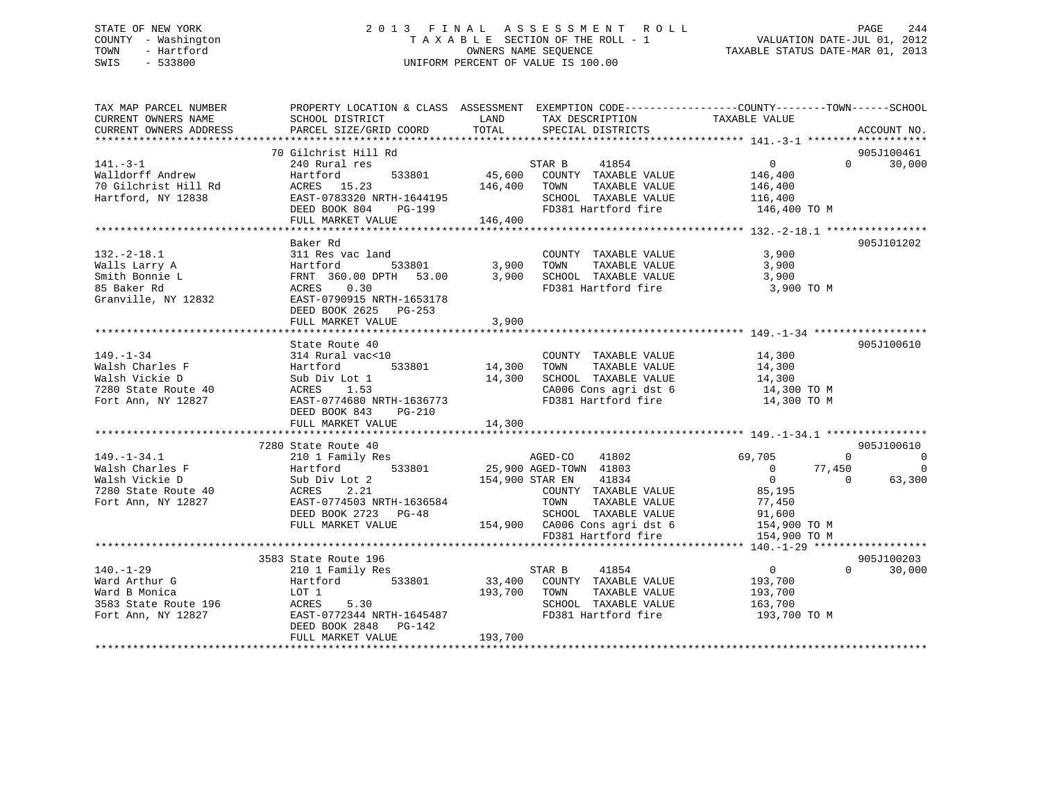# STATE OF NEW YORK 2 0 1 3 F I N A L A S S E S S M E N T R O L L PAGE 244 COUNTY - Washington T A X A B L E SECTION OF THE ROLL - 1 VALUATION DATE-JUL 01, 2012 TOWN - Hartford **TAXABLE STATUS DATE-MAR 01, 2013** OWNERS NAME SEQUENCE TAXABLE STATUS DATE-MAR 01, 2013 SWIS - 533800 UNIFORM PERCENT OF VALUE IS 100.00

| TOTAL<br>CURRENT OWNERS ADDRESS<br>PARCEL SIZE/GRID COORD<br>SPECIAL DISTRICTS<br>ACCOUNT NO.<br>70 Gilchrist Hill Rd<br>240 Rural res<br>905J100461<br>41854<br>$\overline{0}$<br>$0 \t 30,000$<br>$141. -3 - 1$<br>STAR B<br>533801 45,600 COUNTY TAXABLE VALUE<br>Walldorff Andrew<br>70 Gilchrist Hill Rd<br>146,400<br>Hartford<br>ACRES 15.23<br>146,400 TOWN<br>TAXABLE VALUE<br>146,400<br>EAST-0783320 NRTH-1644195<br>DEED BOOK 804 PG-199<br>Hartford, NY 12838<br>SCHOOL TAXABLE VALUE<br>116,400<br>FD381 Hartford fire<br>146,400 TO M<br>146,400<br>FULL MARKET VALUE<br>Baker Rd<br>905J101202<br>$132 - 2 - 18.1$<br>311 Res vac land<br>COUNTY TAXABLE VALUE<br>3,900<br>3,900<br>Hartford<br>FRNT 360.00 I<br>ACRES 0.30<br>533801 3,900<br>TAXABLE VALUE<br>Walls Larry A<br>TOWN<br>FRNT 360.00 DPTH 53.00 3,900 SCHOOL TAXABLE VALUE<br>Smith Bonnie L<br>3,900<br>85 Baker Rd<br>FD381 Hartford fire<br>3,900 TO M<br>Granville, NY 12832<br>EAST-0790915 NRTH-1653178<br>DEED BOOK 2625 PG-253 |
|------------------------------------------------------------------------------------------------------------------------------------------------------------------------------------------------------------------------------------------------------------------------------------------------------------------------------------------------------------------------------------------------------------------------------------------------------------------------------------------------------------------------------------------------------------------------------------------------------------------------------------------------------------------------------------------------------------------------------------------------------------------------------------------------------------------------------------------------------------------------------------------------------------------------------------------------------------------------------------------------------------------------|
|                                                                                                                                                                                                                                                                                                                                                                                                                                                                                                                                                                                                                                                                                                                                                                                                                                                                                                                                                                                                                        |
|                                                                                                                                                                                                                                                                                                                                                                                                                                                                                                                                                                                                                                                                                                                                                                                                                                                                                                                                                                                                                        |
|                                                                                                                                                                                                                                                                                                                                                                                                                                                                                                                                                                                                                                                                                                                                                                                                                                                                                                                                                                                                                        |
|                                                                                                                                                                                                                                                                                                                                                                                                                                                                                                                                                                                                                                                                                                                                                                                                                                                                                                                                                                                                                        |
|                                                                                                                                                                                                                                                                                                                                                                                                                                                                                                                                                                                                                                                                                                                                                                                                                                                                                                                                                                                                                        |
|                                                                                                                                                                                                                                                                                                                                                                                                                                                                                                                                                                                                                                                                                                                                                                                                                                                                                                                                                                                                                        |
|                                                                                                                                                                                                                                                                                                                                                                                                                                                                                                                                                                                                                                                                                                                                                                                                                                                                                                                                                                                                                        |
|                                                                                                                                                                                                                                                                                                                                                                                                                                                                                                                                                                                                                                                                                                                                                                                                                                                                                                                                                                                                                        |
|                                                                                                                                                                                                                                                                                                                                                                                                                                                                                                                                                                                                                                                                                                                                                                                                                                                                                                                                                                                                                        |
|                                                                                                                                                                                                                                                                                                                                                                                                                                                                                                                                                                                                                                                                                                                                                                                                                                                                                                                                                                                                                        |
|                                                                                                                                                                                                                                                                                                                                                                                                                                                                                                                                                                                                                                                                                                                                                                                                                                                                                                                                                                                                                        |
|                                                                                                                                                                                                                                                                                                                                                                                                                                                                                                                                                                                                                                                                                                                                                                                                                                                                                                                                                                                                                        |
|                                                                                                                                                                                                                                                                                                                                                                                                                                                                                                                                                                                                                                                                                                                                                                                                                                                                                                                                                                                                                        |
|                                                                                                                                                                                                                                                                                                                                                                                                                                                                                                                                                                                                                                                                                                                                                                                                                                                                                                                                                                                                                        |
|                                                                                                                                                                                                                                                                                                                                                                                                                                                                                                                                                                                                                                                                                                                                                                                                                                                                                                                                                                                                                        |
|                                                                                                                                                                                                                                                                                                                                                                                                                                                                                                                                                                                                                                                                                                                                                                                                                                                                                                                                                                                                                        |
| FULL MARKET VALUE<br>3,900                                                                                                                                                                                                                                                                                                                                                                                                                                                                                                                                                                                                                                                                                                                                                                                                                                                                                                                                                                                             |
|                                                                                                                                                                                                                                                                                                                                                                                                                                                                                                                                                                                                                                                                                                                                                                                                                                                                                                                                                                                                                        |
| 905J100610<br>state noute 40<br>314 Rural vac<10                                                                                                                                                                                                                                                                                                                                                                                                                                                                                                                                                                                                                                                                                                                                                                                                                                                                                                                                                                       |
| 14,300<br>COUNTY TAXABLE VALUE                                                                                                                                                                                                                                                                                                                                                                                                                                                                                                                                                                                                                                                                                                                                                                                                                                                                                                                                                                                         |
| 14,300<br>533801 14,300<br>TOWN<br>TAXABLE VALUE                                                                                                                                                                                                                                                                                                                                                                                                                                                                                                                                                                                                                                                                                                                                                                                                                                                                                                                                                                       |
| 14,300<br>SCHOOL TAXABLE VALUE 14,300<br>CA006 Cons agri dst 6 14,300 TO M                                                                                                                                                                                                                                                                                                                                                                                                                                                                                                                                                                                                                                                                                                                                                                                                                                                                                                                                             |
| FD381 Hartford fire                                                                                                                                                                                                                                                                                                                                                                                                                                                                                                                                                                                                                                                                                                                                                                                                                                                                                                                                                                                                    |
| EAST-0774680 NRTH-1636773<br>14,300 TO M<br>$PG-210$                                                                                                                                                                                                                                                                                                                                                                                                                                                                                                                                                                                                                                                                                                                                                                                                                                                                                                                                                                   |
| 14,300<br>FULL MARKET VALUE                                                                                                                                                                                                                                                                                                                                                                                                                                                                                                                                                                                                                                                                                                                                                                                                                                                                                                                                                                                            |
|                                                                                                                                                                                                                                                                                                                                                                                                                                                                                                                                                                                                                                                                                                                                                                                                                                                                                                                                                                                                                        |
| 7280 State Route 40<br>905J100610                                                                                                                                                                                                                                                                                                                                                                                                                                                                                                                                                                                                                                                                                                                                                                                                                                                                                                                                                                                      |
| 210 1 Family Res<br>$149. - 1 - 34.1$<br>AGED-CO<br>41802<br>69,705<br>$\Omega$<br>$\overline{0}$                                                                                                                                                                                                                                                                                                                                                                                                                                                                                                                                                                                                                                                                                                                                                                                                                                                                                                                      |
| 25,900 AGED-TOWN 41803<br>Hartford 533801<br>77,450<br>Walsh Charles F<br>$\overline{0}$<br>$\overline{\phantom{0}}$                                                                                                                                                                                                                                                                                                                                                                                                                                                                                                                                                                                                                                                                                                                                                                                                                                                                                                   |
| 154,900 STAR EN<br>$\overline{0}$<br>41834<br>$\Omega$<br>63,300<br>Walsh Vickie D<br>Sub Div Lot 2                                                                                                                                                                                                                                                                                                                                                                                                                                                                                                                                                                                                                                                                                                                                                                                                                                                                                                                    |
| COUNTY TAXABLE VALUE<br>85,195<br>2.21                                                                                                                                                                                                                                                                                                                                                                                                                                                                                                                                                                                                                                                                                                                                                                                                                                                                                                                                                                                 |
| 7280 State Route 40 ACRES<br>Fort Ann, NY 12827 EAST-0<br>EAST-0774503 NRTH-1636584<br>TAXABLE VALUE<br>Fort Ann, NY 12827<br>TOWN<br>77,450                                                                                                                                                                                                                                                                                                                                                                                                                                                                                                                                                                                                                                                                                                                                                                                                                                                                           |
| SCHOOL TAXABLE VALUE 91,600<br>DEED BOOK 2723 PG-48                                                                                                                                                                                                                                                                                                                                                                                                                                                                                                                                                                                                                                                                                                                                                                                                                                                                                                                                                                    |
| FULL MARKET VALUE<br>154,900 CA006 Cons agri dst 6<br>154,900 TO M                                                                                                                                                                                                                                                                                                                                                                                                                                                                                                                                                                                                                                                                                                                                                                                                                                                                                                                                                     |
| FD381 Hartford fire<br>154,900 TO M                                                                                                                                                                                                                                                                                                                                                                                                                                                                                                                                                                                                                                                                                                                                                                                                                                                                                                                                                                                    |
|                                                                                                                                                                                                                                                                                                                                                                                                                                                                                                                                                                                                                                                                                                                                                                                                                                                                                                                                                                                                                        |
| 905J100203<br>3583 State Route 196                                                                                                                                                                                                                                                                                                                                                                                                                                                                                                                                                                                                                                                                                                                                                                                                                                                                                                                                                                                     |
| $\Omega$<br>$140. - 1 - 29$<br>$\overline{0}$<br>30,000<br>210 1 Family Res<br>41854<br>STAR B                                                                                                                                                                                                                                                                                                                                                                                                                                                                                                                                                                                                                                                                                                                                                                                                                                                                                                                         |
| 33,400 COUNTY TAXABLE VALUE<br>Hartford 533801<br>193,700<br>Ward Arthur G                                                                                                                                                                                                                                                                                                                                                                                                                                                                                                                                                                                                                                                                                                                                                                                                                                                                                                                                             |
| TAXABLE VALUE<br>Ward B Monica<br>LOT 1<br>193,700<br>TOWN<br>193,700                                                                                                                                                                                                                                                                                                                                                                                                                                                                                                                                                                                                                                                                                                                                                                                                                                                                                                                                                  |
| 163,700<br>3583 State Route 196 ACRES 5.30<br>SCHOOL TAXABLE VALUE                                                                                                                                                                                                                                                                                                                                                                                                                                                                                                                                                                                                                                                                                                                                                                                                                                                                                                                                                     |
| EAST-0772344 NRTH-1645487<br>FD381 Hartford fire<br>193,700 TO M<br>Fort Ann, NY 12827                                                                                                                                                                                                                                                                                                                                                                                                                                                                                                                                                                                                                                                                                                                                                                                                                                                                                                                                 |
| DEED BOOK 2848 PG-142                                                                                                                                                                                                                                                                                                                                                                                                                                                                                                                                                                                                                                                                                                                                                                                                                                                                                                                                                                                                  |
| 193,700<br>FULL MARKET VALUE                                                                                                                                                                                                                                                                                                                                                                                                                                                                                                                                                                                                                                                                                                                                                                                                                                                                                                                                                                                           |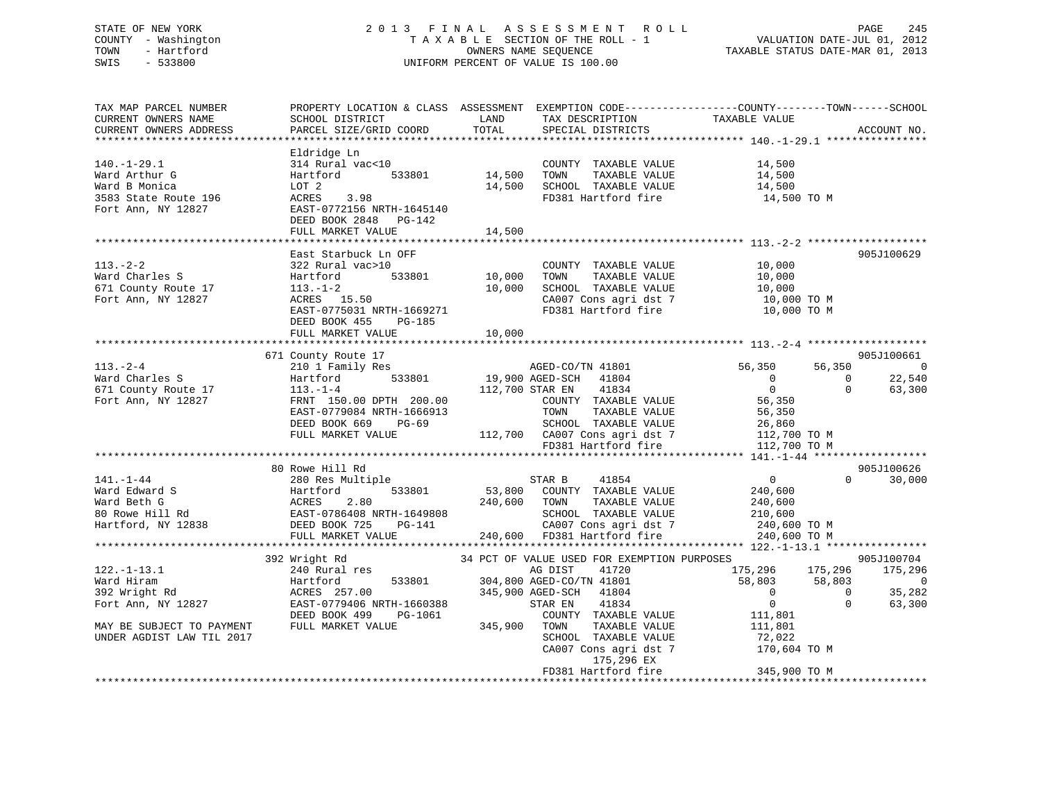# STATE OF NEW YORK 2 0 1 3 F I N A L A S S E S S M E N T R O L L PAGE 245 COUNTY - Washington T A X A B L E SECTION OF THE ROLL - 1 VALUATION DATE-JUL 01, 2012 TOWN - Hartford **TAXABLE STATUS DATE-MAR 01, 2013** OWNERS NAME SEQUENCE TAXABLE STATUS DATE-MAR 01, 2013 SWIS - 533800 UNIFORM PERCENT OF VALUE IS 100.00

| TAX MAP PARCEL NUMBER<br>CURRENT OWNERS NAME<br>CURRENT OWNERS ADDRESS                                                                 | PROPERTY LOCATION & CLASS ASSESSMENT EXEMPTION CODE----------------COUNTY-------TOWN-----SCHOOL<br>SCHOOL DISTRICT<br>PARCEL SIZE/GRID COORD                              | LAND<br>TOTAL              | TAX DESCRIPTION<br>SPECIAL DISTRICTS<br>SPECIAL DISTRICTS                                                                                                                                                                                                        |                                                                                                                      |                        | ACCOUNT NO.                                           |
|----------------------------------------------------------------------------------------------------------------------------------------|---------------------------------------------------------------------------------------------------------------------------------------------------------------------------|----------------------------|------------------------------------------------------------------------------------------------------------------------------------------------------------------------------------------------------------------------------------------------------------------|----------------------------------------------------------------------------------------------------------------------|------------------------|-------------------------------------------------------|
| $140.-1-29.1$<br>Ward Arthur G<br>Ward B Monica<br>3583 State Route 196<br>Fort Ann, NY 12827                                          | Eldridge Ln<br>314 Rural vac<10<br>Hartford 533801<br>LOT 2<br>ACRES 3.98<br>EAST-0772156 NRTH-1645140<br>DEED BOOK 2848 PG-142<br>FULL MARKET VALUE                      | 14,500<br>14,500           | COUNTY TAXABLE VALUE 14,500<br>TOWN<br>TAXABLE VALUE<br>14,500 SCHOOL TAXABLE VALUE<br>FD381 Hartford fire                                                                                                                                                       | 14,500<br>$14,500$<br>$14,500$<br>14,500 TO M                                                                        |                        |                                                       |
|                                                                                                                                        |                                                                                                                                                                           |                            |                                                                                                                                                                                                                                                                  |                                                                                                                      |                        |                                                       |
| $113. - 2 - 2$<br>Ward Charles S<br>671 County Route 17<br>Fort Ann, NY 12827                                                          | East Starbuck Ln OFF<br>322 Rural vac>10<br>533801<br>Hartford<br>$113. - 1 - 2$<br>ACRES 15.50<br>EAST-0775031 NRTH-1669271<br>DEED BOOK 455 PG-185<br>FULL MARKET VALUE | 10,000<br>10,000<br>10,000 | COUNTY TAXABLE VALUE<br>TAXABLE VALUE<br>TOWN<br>SCHOOL TAXABLE VALUE<br>CA007 Cons agri dst 7<br>FD381 Hartford fire 10,000 TO M                                                                                                                                | 10,000<br>10,000<br>10,000<br>10,000 TO M                                                                            |                        | 905J100629                                            |
|                                                                                                                                        |                                                                                                                                                                           |                            |                                                                                                                                                                                                                                                                  |                                                                                                                      |                        |                                                       |
| $113. - 2 - 4$<br>Ward Charles S<br>671 County Route 17<br>Fort Ann, NY 12827                                                          | 671 County Route 17<br>210 1 Family Res<br>Hartford<br>$113. - 1 - 4$<br>FRNT 150.00 DPTH 200.00<br>EAST-0779084 NRTH-1666913<br>DEED BOOK 669 PG-69<br>FULL MARKET VALUE | 112,700 STAR EN            | 41834<br>COUNTY TAXABLE VALUE<br>SCHOOL TAXABLE VALUE<br>SCHOOL TAXABLE VALUE<br>112,700 CA007 Cons agri dst 7 26,860<br>FD381 Hartford fire<br>112.700 TO M<br>112.700 TO M<br>112.700 TO M<br>112.700 TO M<br>112.700 TO M<br>112.700 TO M<br>2011.12.700 TO M | 56,350<br>$\overline{0}$<br>$\Omega$<br>56,350                                                                       | $\Omega$<br>$\Omega$   | 905J100661<br>56,350 0<br>22,540<br>63,300            |
|                                                                                                                                        |                                                                                                                                                                           |                            |                                                                                                                                                                                                                                                                  |                                                                                                                      |                        |                                                       |
| $141. - 1 - 44$<br>Ward Edward S<br>Ward Beth G<br>80 Rowe Hill Rd<br>Hartford, NY 12838<br>Hartford, NY 12838<br>DEED BOOK 725 PG-141 | 80 Rowe Hill Rd<br>280 Res Multiple<br>NRTH-1649808<br>PG-141<br>FULL MARKET VALUE                                                                                        | 240,600 TOWN               | STAR B<br>41854<br>53,800 COUNTY TAXABLE VALUE<br>TAXABLE VALUE<br>SCHOOL TAXABLE VALUE<br>CA007 Cons agri dst 7<br>240,600 FD381 Hartford fire                                                                                                                  | $\overline{0}$<br>240,600<br>240,600<br>210,600<br>240,600 TO M<br>240,600 TO M                                      | $\Omega$               | 905J100626<br>30,000                                  |
|                                                                                                                                        |                                                                                                                                                                           |                            |                                                                                                                                                                                                                                                                  |                                                                                                                      |                        |                                                       |
| $122. - 1 - 13.1$<br>Ward Hiram<br>392 Wright Rd<br>Fort Ann, NY 12827<br>MAY BE SUBJECT TO PAYMENT<br>UNDER AGDIST LAW TIL 2017       | 392 Wright Rd<br>240 Rural res<br>Hartford<br>533801<br>ACRES 257.00<br>EAST-0779406 NRTH-1660388<br>PG-1061<br>DEED BOOK 499<br>FULL MARKET VALUE                        | $345,900$ TOWN             | 34 PCT OF VALUE USED FOR EXEMPTION PURPOSES<br>AG DIST<br>41720<br>304,800 AGED-CO/TN 41801<br>345,900 AGED-SCH 41804<br>41834<br>STAR EN<br>COUNTY TAXABLE VALUE<br>TAXABLE VALUE<br>SCHOOL TAXABLE VALUE<br>CA007 Cons agri dst 7<br>175,296 EX                | 175,296 175,296<br>58,803 58,803<br>$\overline{0}$<br>$\overline{0}$<br>111,801<br>111,801<br>72,022<br>170,604 TO M | $\bigcirc$<br>$\Omega$ | 905J100704<br>175,296<br>$\sim$ 0<br>35,282<br>63,300 |
|                                                                                                                                        |                                                                                                                                                                           |                            | FD381 Hartford fire                                                                                                                                                                                                                                              | 345,900 TO M                                                                                                         |                        |                                                       |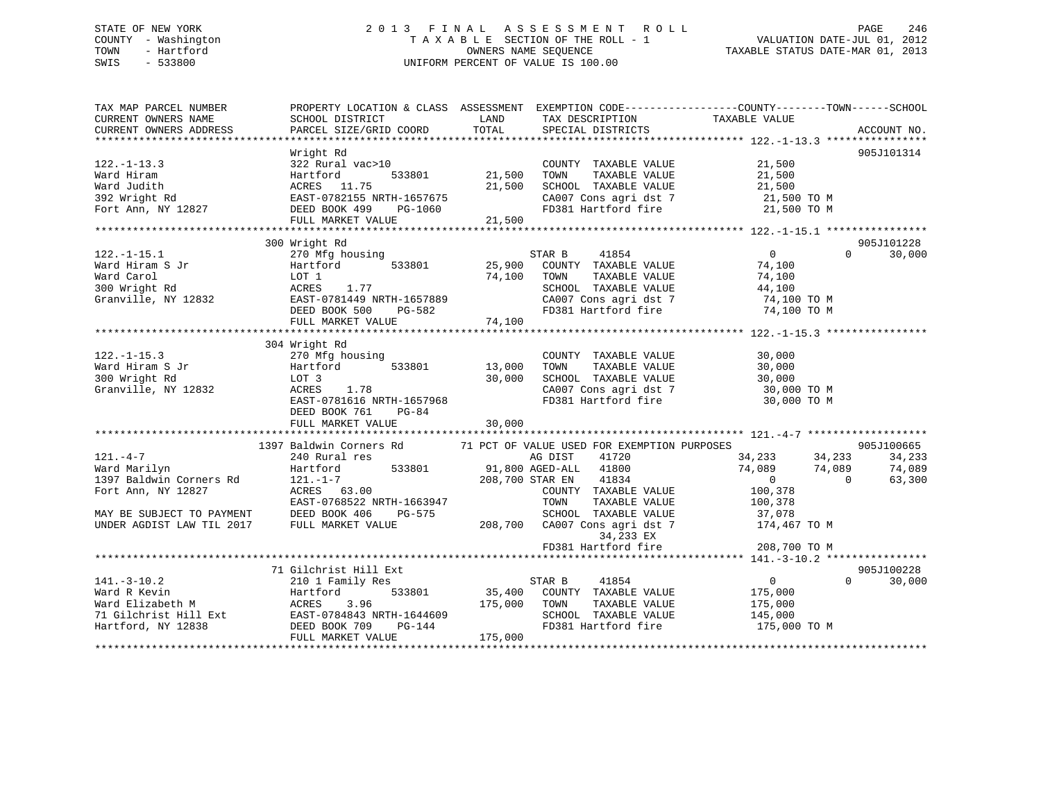# STATE OF NEW YORK 2 0 1 3 F I N A L A S S E S S M E N T R O L L PAGE 246 COUNTY - Washington T A X A B L E SECTION OF THE ROLL - 1 VALUATION DATE-JUL 01, 2012 TOWN - Hartford OWNERS NAME SEQUENCE TAXABLE STATUS DATE-MAR 01, 2013 SWIS - 533800 UNIFORM PERCENT OF VALUE IS 100.00

| TAX MAP PARCEL NUMBER<br>CURRENT OWNERS NAME<br>CURRENT OWNERS ADDRESS                                                                    | PROPERTY LOCATION & CLASS ASSESSMENT<br>SCHOOL DISTRICT<br>PARCEL SIZE/GRID COORD                                                                 | LAND<br>TOTAL              | TAX DESCRIPTION<br>SPECIAL DISTRICTS                                                                                                                                                 | EXEMPTION CODE-----------------COUNTY-------TOWN------SCHOOL<br>TAXABLE VALUE                                      | ACCOUNT NO.                |
|-------------------------------------------------------------------------------------------------------------------------------------------|---------------------------------------------------------------------------------------------------------------------------------------------------|----------------------------|--------------------------------------------------------------------------------------------------------------------------------------------------------------------------------------|--------------------------------------------------------------------------------------------------------------------|----------------------------|
| $122. - 1 - 13.3$<br>Ward Hiram<br>Ward Judith<br>392 Wright Rd<br>Fort Ann, NY 12827                                                     | Wright Rd<br>322 Rural vac>10<br>533801<br>Hartford<br>ACRES 11.75<br>EAST-0782155 NRTH-1657675<br>DEED BOOK 499<br>PG-1060<br>FULL MARKET VALUE  | 21,500<br>21,500<br>21,500 | COUNTY TAXABLE VALUE<br>TOWN<br>TAXABLE VALUE<br>SCHOOL TAXABLE VALUE<br>CA007 Cons agri dst 7                                                                                       | 21,500<br>21,500<br>21,500<br>21,500 TO M<br>FD381 Hartford fire 21,500 TO M                                       | 905J101314                 |
|                                                                                                                                           | 300 Wright Rd                                                                                                                                     |                            |                                                                                                                                                                                      |                                                                                                                    | 905J101228                 |
| $122. - 1 - 15.1$<br>Ward Hiram S Jr<br>Ward Carol<br>300 Wright Rd<br>Granville, NY 12832                                                | 270 Mfg housing<br>Hartford<br>533801<br>LOT 1<br>1.77<br>ACRES<br>EAST-0781449 NRTH-1657889<br>DEED BOOK 500<br>PG-582<br>FULL MARKET VALUE      | 25,900<br>74,100<br>74,100 | STAR B<br>41854<br>COUNTY TAXABLE VALUE<br>TOWN<br>TAXABLE VALUE<br>SCHOOL TAXABLE VALUE<br>CA007 Cons agri dst 7<br>FD381 Hartford fire                                             | $\overline{0}$<br>$\Omega$<br>74,100<br>74,100<br>44,100<br>74,100 TO M<br>74,100 TO M                             | 30,000                     |
|                                                                                                                                           | 304 Wright Rd                                                                                                                                     |                            |                                                                                                                                                                                      |                                                                                                                    |                            |
| $122. - 1 - 15.3$<br>Ward Hiram S Jr<br>300 Wright Rd<br>Granville, NY 12832                                                              | 270 Mfg housing<br>Hartford<br>533801<br>LOT 3<br>ACRES<br>1.78<br>EAST-0781616 NRTH-1657968<br>DEED BOOK 761<br>$PG-84$<br>FULL MARKET VALUE     | 13,000<br>30,000<br>30,000 | COUNTY TAXABLE VALUE<br>TAXABLE VALUE<br>TOWN<br>SCHOOL TAXABLE VALUE<br>CA007 Cons agri dst 7<br>FD381 Hartford fire                                                                | 30,000<br>30,000<br>30,000<br>30,000 TO M<br>30,000 TO M                                                           |                            |
|                                                                                                                                           | 1397 Baldwin Corners Rd                                                                                                                           |                            | 71 PCT OF VALUE USED FOR EXEMPTION PURPOSES                                                                                                                                          |                                                                                                                    | 905J100665                 |
| $121. - 4 - 7$<br>Ward Marilyn<br>1397 Baldwin Corners Rd<br>Fort Ann, NY 12827<br>MAY BE SUBJECT TO PAYMENT<br>UNDER AGDIST LAW TIL 2017 | 240 Rural res<br>533801<br>Hartford<br>$121. - 1 - 7$<br>ACRES 63.00<br>EAST-0768522 NRTH-1663947<br>DEED BOOK 406<br>PG-575<br>FULL MARKET VALUE | 208,700                    | AG DIST<br>41720<br>91,800 AGED-ALL 41800<br>208,700 STAR EN<br>41834<br>COUNTY TAXABLE VALUE<br>TAXABLE VALUE<br>TOWN<br>SCHOOL TAXABLE VALUE<br>CA007 Cons agri dst 7<br>34,233 EX | 34,233<br>34,233<br>74,089<br>74,089<br>$\overline{0}$<br>$\Omega$<br>100,378<br>100,378<br>37,078<br>174,467 TO M | 34,233<br>74,089<br>63,300 |
|                                                                                                                                           |                                                                                                                                                   |                            | FD381 Hartford fire                                                                                                                                                                  | 208,700 TO M<br>********************* 141.-3-10.2 ****************                                                 |                            |
| $141. - 3 - 10.2$<br>Ward R Kevin<br>Ward Elizabeth M                                                                                     | 71 Gilchrist Hill Ext<br>210 1 Family Res<br>533801<br>Hartford<br>3.96<br>ACRES                                                                  | 35,400<br>175,000          | STAR B<br>41854<br>COUNTY TAXABLE VALUE<br>TAXABLE VALUE<br>TOWN                                                                                                                     | $\overline{0}$<br>$\Omega$<br>175,000<br>175,000                                                                   | 905J100228<br>30,000       |
| 71 Gilchrist Hill Ext<br>Hartford, NY 12838                                                                                               | EAST-0784843 NRTH-1644609<br>DEED BOOK 709<br>PG-144<br>FULL MARKET VALUE                                                                         | 175,000                    | SCHOOL TAXABLE VALUE<br>FD381 Hartford fire                                                                                                                                          | 145,000<br>175,000 TO M                                                                                            |                            |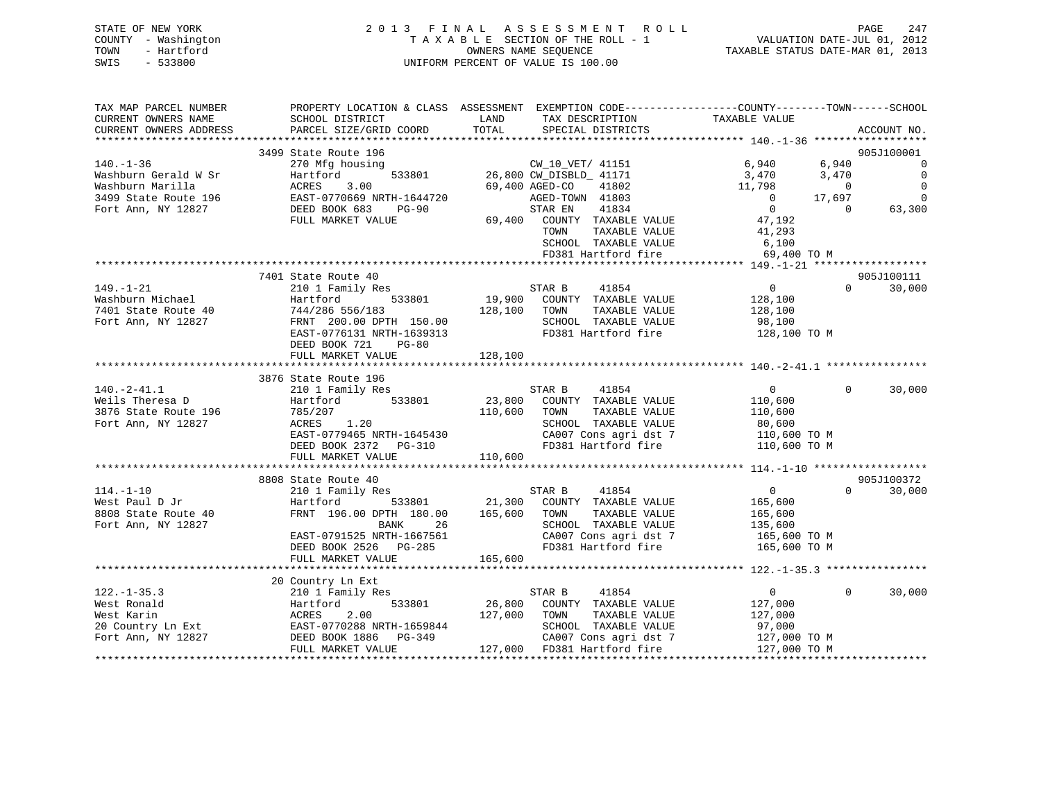| STATE OF NEW YORK   | 2013 FINAL ASSESSMENT ROLL         | 247<br>PAGE                      |
|---------------------|------------------------------------|----------------------------------|
| COUNTY - Washington | TAXABLE SECTION OF THE ROLL - 1    | VALUATION DATE-JUL 01, 2012      |
| TOWN<br>- Hartford  | OWNERS NAME SEOUENCE               | TAXABLE STATUS DATE-MAR 01, 2013 |
| - 533800<br>SWIS    | UNIFORM PERCENT OF VALUE IS 100.00 |                                  |

| TAX MAP PARCEL NUMBER                   | PROPERTY LOCATION & CLASS ASSESSMENT EXEMPTION CODE---------------COUNTY-------TOWN------SCHOOL                                               |              |                                                                                                                               |                                                                                                                                                                          |          |                          |
|-----------------------------------------|-----------------------------------------------------------------------------------------------------------------------------------------------|--------------|-------------------------------------------------------------------------------------------------------------------------------|--------------------------------------------------------------------------------------------------------------------------------------------------------------------------|----------|--------------------------|
| CURRENT OWNERS NAME                     | SCHOOL DISTRICT                                                                                                                               | LAND         | TAX DESCRIPTION                                                                                                               | TAXABLE VALUE                                                                                                                                                            |          |                          |
| CURRENT OWNERS ADDRESS                  | PARCEL SIZE/GRID COORD                                                                                                                        | TOTAL        | SPECIAL DISTRICTS                                                                                                             |                                                                                                                                                                          |          | ACCOUNT NO.              |
|                                         |                                                                                                                                               |              |                                                                                                                               |                                                                                                                                                                          |          |                          |
|                                         | 3499 State Route 196                                                                                                                          |              |                                                                                                                               |                                                                                                                                                                          |          | 905J100001               |
| $140. - 1 - 36$                         | 270 Mfg housing                                                                                                                               |              | 9 196<br>196<br>1971 1983 16,800 CW_DISBLD_ 41171<br>533801 26,800 CW_DISBLD_ 41171<br>69 400 AGED-CO 41802<br>11,798         |                                                                                                                                                                          | 6,940    | $\overline{\phantom{0}}$ |
| Washburn Gerald W Sr                    |                                                                                                                                               |              |                                                                                                                               |                                                                                                                                                                          | 3,470    | $\overline{0}$           |
| Washburn Marilla                        |                                                                                                                                               |              |                                                                                                                               |                                                                                                                                                                          |          | $\overline{0}$           |
| 3499 State Route 196                    | 270 Mfg housing<br>Hartford 533801<br>ACRES 3.00<br>EAST-0770669 NRTH-1644720<br>DEED BOOK 683 PG-90                                          |              | AGED-TOWN 41803<br>STAR EN 41834                                                                                              | $\begin{array}{ccc} & & 3,470 \\ -1,798 & & 0 \\ & & 0 & 17,697 \\ & & & 0 & \\ & & & & \\ & & & & \\ & & & & & \\ & & & & & \\ & & & & & \\ & & & & & & \\ \end{array}$ |          | $\overline{0}$           |
| Fort Ann, NY 12827                      |                                                                                                                                               |              |                                                                                                                               |                                                                                                                                                                          |          | 63,300                   |
|                                         | FULL MARKET VALUE                                                                                                                             |              | 69,400 COUNTY TAXABLE VALUE                                                                                                   | 47,192                                                                                                                                                                   |          |                          |
|                                         |                                                                                                                                               |              | TOWN                                                                                                                          | TAXABLE VALUE 41,293<br>TAXABLE VALUE 6,100                                                                                                                              |          |                          |
|                                         |                                                                                                                                               |              |                                                                                                                               |                                                                                                                                                                          |          |                          |
|                                         |                                                                                                                                               |              | SCHOOL TAXABLE VALUE 6,100<br>FD381 Hartford fire 69,400 TO M                                                                 |                                                                                                                                                                          |          |                          |
|                                         |                                                                                                                                               |              |                                                                                                                               |                                                                                                                                                                          |          |                          |
|                                         | 7401 State Route 40                                                                                                                           |              |                                                                                                                               |                                                                                                                                                                          |          | 905J100111               |
| $149. - 1 - 21$                         | 210 1 Family Res                                                                                                                              | STAR B       | 41854                                                                                                                         | $\overline{0}$                                                                                                                                                           | $\Omega$ | 30,000                   |
| Washburn Michael                        | Hartford                                                                                                                                      |              | 533801 19,900 COUNTY TAXABLE VALUE                                                                                            | 128,100                                                                                                                                                                  |          |                          |
| 7401 State Route 40                     | $\begin{tabular}{lllll} 744/286 & 556/183 & & 128,100 & TOWN \\ \texttt{FRNT} & 200.00 \texttt{ DPTH} & 150.00 & & & SCHOOL \\ \end{tabular}$ |              | TAXABLE VALUE                                                                                                                 | 128,100                                                                                                                                                                  |          |                          |
| Fort Ann, NY 12827                      |                                                                                                                                               |              | SCHOOL TAXABLE VALUE 98,100                                                                                                   |                                                                                                                                                                          |          |                          |
|                                         | EAST-0776131 NRTH-1639313                                                                                                                     |              | FD381 Hartford fire                                                                                                           | 128,100 TO M                                                                                                                                                             |          |                          |
|                                         | DEED BOOK 721<br>$PG-80$                                                                                                                      |              |                                                                                                                               |                                                                                                                                                                          |          |                          |
|                                         | FULL MARKET VALUE                                                                                                                             | 128,100      |                                                                                                                               |                                                                                                                                                                          |          |                          |
|                                         |                                                                                                                                               |              |                                                                                                                               |                                                                                                                                                                          |          |                          |
|                                         | 3876 State Route 196                                                                                                                          |              |                                                                                                                               |                                                                                                                                                                          |          |                          |
|                                         | 210 1 Family Res                                                                                                                              |              | STAR B 41854                                                                                                                  | $\overline{0}$                                                                                                                                                           | $\Omega$ | 30,000                   |
|                                         | Hartford 533801                                                                                                                               |              | 23,800 COUNTY TAXABLE VALUE                                                                                                   | 110,600                                                                                                                                                                  |          |                          |
|                                         |                                                                                                                                               | 110,600 TOWN |                                                                                                                               | TAXABLE VALUE 110,600                                                                                                                                                    |          |                          |
| Fort Ann, NY 12827                      | ACRES 1.20                                                                                                                                    |              | SCHOOL TAXABLE VALUE                                                                                                          | 80,600                                                                                                                                                                   |          |                          |
|                                         | EAST-0779465 NRTH-1645430                                                                                                                     |              | $\frac{30000 \text{ T}}{10000 \text{ T}}$ $\frac{30000 \text{ T}}{10000 \text{ T}}$ $\frac{30000 \text{ T}}{10000 \text{ T}}$ |                                                                                                                                                                          |          |                          |
|                                         | DEED BOOK 2372 PG-310                                                                                                                         |              | FD381 Hartford fire                                                                                                           | 110,600 TO M                                                                                                                                                             |          |                          |
|                                         | FULL MARKET VALUE                                                                                                                             | 110,600      |                                                                                                                               |                                                                                                                                                                          |          |                          |
|                                         |                                                                                                                                               |              |                                                                                                                               |                                                                                                                                                                          |          |                          |
|                                         | 8808 State Route 40                                                                                                                           |              |                                                                                                                               |                                                                                                                                                                          |          | 905J100372               |
| $114. - 1 - 10$                         | 210 1 Family Res                                                                                                                              |              | STAR B 41854                                                                                                                  | $\overline{0}$                                                                                                                                                           | $\Omega$ | 30,000                   |
| West Paul D Jr                          | Hartford                                                                                                                                      |              | $533801$ 21,300 COUNTY TAXABLE VALUE 165,600                                                                                  |                                                                                                                                                                          |          |                          |
| Nest family<br>8808 State Route 40      | FRNT 196.00 DPTH 180.00 165,600 TOWN                                                                                                          |              | TAXABLE VALUE                                                                                                                 | 165,600<br>135,600                                                                                                                                                       |          |                          |
| Fort Ann, NY 12827                      |                                                                                                                                               |              | SCHOOL TAXABLE VALUE                                                                                                          |                                                                                                                                                                          |          |                          |
|                                         | BANK 26<br>EAST-0791525 NRTH-1667561<br>DEED BOOK 2526 PG-285                                                                                 |              | CA007 Cons agri dst 7<br>ED201 Hartford fire                                                                                  | 165,600 ТО М<br>165,600 ТО М                                                                                                                                             |          |                          |
|                                         |                                                                                                                                               |              | FD381 Hartford fire                                                                                                           |                                                                                                                                                                          |          |                          |
|                                         | FULL MARKET VALUE                                                                                                                             | 165,600      |                                                                                                                               |                                                                                                                                                                          |          |                          |
|                                         |                                                                                                                                               |              |                                                                                                                               |                                                                                                                                                                          |          |                          |
|                                         | 20 Country Ln Ext                                                                                                                             |              |                                                                                                                               |                                                                                                                                                                          |          |                          |
| $122. - 1 - 35.3$                       | 210 1 Family Res                                                                                                                              |              | 41854<br>STAR B                                                                                                               | $\overline{0}$                                                                                                                                                           | $\Omega$ | 30,000                   |
| West Ronald                             | Hartford                                                                                                                                      |              | 533801 26,800 COUNTY TAXABLE VALUE                                                                                            |                                                                                                                                                                          |          |                          |
| West Karin                              | 2.00<br>ACRES                                                                                                                                 | 127,000      | TOWN<br>TAXABLE VALUE                                                                                                         | 127,000<br>127,000                                                                                                                                                       |          |                          |
|                                         |                                                                                                                                               |              | SCHOOL TAXABLE VALUE                                                                                                          | 97,000<br>127,000 TO M                                                                                                                                                   |          |                          |
| 20 Country Ln Ext<br>Fort Ann, NY 12827 | EAST-0770288 NRTH-1659844<br>DEED BOOK 1886 PG-349                                                                                            |              | CA007 Cons agri dst 7                                                                                                         |                                                                                                                                                                          |          |                          |
|                                         | FULL MARKET VALUE                                                                                                                             |              | 127,000 FD381 Hartford fire                                                                                                   | 127,000 TO M                                                                                                                                                             |          |                          |
|                                         |                                                                                                                                               |              |                                                                                                                               |                                                                                                                                                                          |          |                          |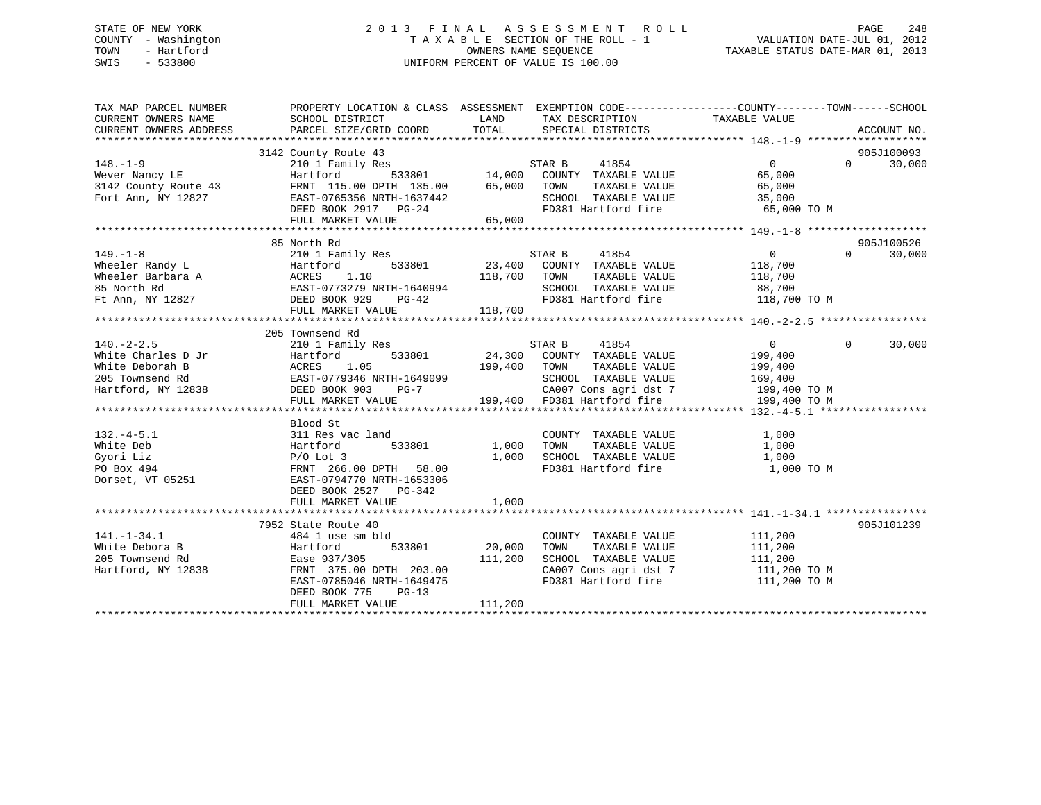# STATE OF NEW YORK 2 0 1 3 F I N A L A S S E S S M E N T R O L L PAGE 248 COUNTY - Washington T A X A B L E SECTION OF THE ROLL - 1 VALUATION DATE-JUL 01, 2012 TOWN - Hartford **TAXABLE STATUS DATE-MAR 01, 2013** OWNERS NAME SEQUENCE TAXABLE STATUS DATE-MAR 01, 2013 SWIS - 533800 UNIFORM PERCENT OF VALUE IS 100.00

| TAX MAP PARCEL NUMBER<br>CURRENT OWNERS NAME<br>CURRENT OWNERS ADDRESS                                                                                                                                                                                                                                                                                                                  | PROPERTY LOCATION & CLASS ASSESSMENT EXEMPTION CODE---------------COUNTY-------TOWN-----SCHOOL<br>SCHOOL DISTRICT<br>PARCEL SIZE/GRID COORD |              | LAND TAX DESCRIPTION<br>TOTAL SPECIAL DISTRICTS                                  | TAXABLE VALUE                                                          | ACCOUNT NO. |        |
|-----------------------------------------------------------------------------------------------------------------------------------------------------------------------------------------------------------------------------------------------------------------------------------------------------------------------------------------------------------------------------------------|---------------------------------------------------------------------------------------------------------------------------------------------|--------------|----------------------------------------------------------------------------------|------------------------------------------------------------------------|-------------|--------|
|                                                                                                                                                                                                                                                                                                                                                                                         |                                                                                                                                             |              |                                                                                  |                                                                        |             |        |
|                                                                                                                                                                                                                                                                                                                                                                                         | 3142 County Route 43                                                                                                                        |              |                                                                                  |                                                                        | 905J100093  |        |
| $\begin{tabular}{lllllllllllllllllllllll} \hline 148.-1-9 & 2101 Family Res & 533801 & 14,000 & 20UNTY TAXABLE VALUE \\ \hline 3142 County Route 43 & FRNT 115.00 DPTH 135.00 & 65,000 TOWN TAXABLE VALUE \\ \hline 537AR B & 41854 & 533801 & 14,000 COUNTY TAXABLE VALUE \\ \hline 70rt Ann, NY 12827 & EAST-0765356 NRTH-1637442 & SCHOOL TAXABLE VALUE \\ \hline & 5380KTH-1637442$ |                                                                                                                                             |              |                                                                                  | $\overline{0}$                                                         | $\Omega$    | 30,000 |
|                                                                                                                                                                                                                                                                                                                                                                                         |                                                                                                                                             |              |                                                                                  | 65,000                                                                 |             |        |
|                                                                                                                                                                                                                                                                                                                                                                                         |                                                                                                                                             |              | TAXABLE VALUE                                                                    | 65,000                                                                 |             |        |
|                                                                                                                                                                                                                                                                                                                                                                                         |                                                                                                                                             |              | SCHOOL TAXABLE VALUE 35,000                                                      |                                                                        |             |        |
|                                                                                                                                                                                                                                                                                                                                                                                         |                                                                                                                                             |              | FD381 Hartford fire                                                              | 65,000 TO M                                                            |             |        |
|                                                                                                                                                                                                                                                                                                                                                                                         | FULL MARKET VALUE                                                                                                                           | 65,000       |                                                                                  |                                                                        |             |        |
|                                                                                                                                                                                                                                                                                                                                                                                         |                                                                                                                                             |              |                                                                                  |                                                                        |             |        |
|                                                                                                                                                                                                                                                                                                                                                                                         | 85 North Rd                                                                                                                                 |              |                                                                                  |                                                                        | 905J100526  |        |
| $149. - 1 - 8$                                                                                                                                                                                                                                                                                                                                                                          | 210 1 Family Res                                                                                                                            |              | STAR B<br>41854                                                                  | $\overline{0}$                                                         | $\Omega$    | 30,000 |
|                                                                                                                                                                                                                                                                                                                                                                                         |                                                                                                                                             |              |                                                                                  |                                                                        |             |        |
|                                                                                                                                                                                                                                                                                                                                                                                         |                                                                                                                                             |              |                                                                                  |                                                                        |             |        |
|                                                                                                                                                                                                                                                                                                                                                                                         |                                                                                                                                             |              |                                                                                  |                                                                        |             |        |
| Wheeler Randy L<br>Wheeler Barbara A<br>Meeler Barbara A<br>Meeler Barbara A<br>ACRES 1.10<br>S5 North Rd<br>EAST-0773279 NRTH-1640994<br>EAST-0773279 NRTH-1640994<br>EAST-0773279 NRTH-1640994<br>DEED BOOK 929 PG-42<br>Ft Ann, NY 12827<br>FILI,                                                                                                                                    |                                                                                                                                             |              |                                                                                  |                                                                        |             |        |
|                                                                                                                                                                                                                                                                                                                                                                                         | FULL MARKET VALUE                                                                                                                           | 118,700      |                                                                                  |                                                                        |             |        |
|                                                                                                                                                                                                                                                                                                                                                                                         |                                                                                                                                             |              |                                                                                  |                                                                        |             |        |
|                                                                                                                                                                                                                                                                                                                                                                                         | 205 Townsend Rd                                                                                                                             |              |                                                                                  |                                                                        |             |        |
| $140. - 2 - 2.5$                                                                                                                                                                                                                                                                                                                                                                        | 210 1 Family Res                                                                                                                            |              | STAR B<br>41854                                                                  | $\overline{0}$                                                         | $\Omega$    | 30,000 |
|                                                                                                                                                                                                                                                                                                                                                                                         |                                                                                                                                             |              | 533801 24,300 COUNTY TAXABLE VALUE                                               | 199,400<br>199,400                                                     |             |        |
| White Charles D Jr<br>White Charles D Jr<br>White Deborah B MCRES 1.05 199,400<br>205 Townsend Rd EAST-0779346 NRTH-1649099<br>Hartford, NY 12838 DEED BOOK 903 PG-7<br>FIITL MARKET VALUE 199 400                                                                                                                                                                                      |                                                                                                                                             | 199,400 TOWN | TAXABLE VALUE                                                                    |                                                                        |             |        |
|                                                                                                                                                                                                                                                                                                                                                                                         |                                                                                                                                             |              | SCHOOL TAXABLE VALUE                                                             | 169,400                                                                |             |        |
|                                                                                                                                                                                                                                                                                                                                                                                         |                                                                                                                                             |              | 7 (2007 Cons agri dst 7 199,400 TO M<br>199,400 FD381 Hartford fire 199,400 TO M |                                                                        |             |        |
|                                                                                                                                                                                                                                                                                                                                                                                         | FULL MARKET VALUE                                                                                                                           |              |                                                                                  |                                                                        |             |        |
|                                                                                                                                                                                                                                                                                                                                                                                         |                                                                                                                                             |              |                                                                                  |                                                                        |             |        |
|                                                                                                                                                                                                                                                                                                                                                                                         | Blood St                                                                                                                                    |              |                                                                                  |                                                                        |             |        |
| $132 - 4 - 5.1$                                                                                                                                                                                                                                                                                                                                                                         | 311 Res vac land                                                                                                                            |              | COUNTY TAXABLE VALUE                                                             | 1,000                                                                  |             |        |
| White Deb                                                                                                                                                                                                                                                                                                                                                                               | 533801                                                                                                                                      | 1,000 TOWN   | TAXABLE VALUE                                                                    | 1,000                                                                  |             |        |
| Hartford<br>P/O Lot 3<br>FRNT 266.<br>251 EAST-07947<br>Gyori Liz                                                                                                                                                                                                                                                                                                                       |                                                                                                                                             |              | 1,000 SCHOOL TAXABLE VALUE 1,000<br>FD381 Hartford fire 1,000 TO M               |                                                                        |             |        |
| PO Box 494                                                                                                                                                                                                                                                                                                                                                                              | FRNT 266.00 DPTH 58.00                                                                                                                      |              |                                                                                  |                                                                        |             |        |
| Dorset, VT 05251                                                                                                                                                                                                                                                                                                                                                                        | EAST-0794770 NRTH-1653306                                                                                                                   |              |                                                                                  |                                                                        |             |        |
|                                                                                                                                                                                                                                                                                                                                                                                         | DEED BOOK 2527 PG-342                                                                                                                       |              |                                                                                  |                                                                        |             |        |
|                                                                                                                                                                                                                                                                                                                                                                                         | FULL MARKET VALUE                                                                                                                           | 1,000        |                                                                                  |                                                                        |             |        |
|                                                                                                                                                                                                                                                                                                                                                                                         |                                                                                                                                             |              |                                                                                  |                                                                        |             |        |
|                                                                                                                                                                                                                                                                                                                                                                                         | 7952 State Route 40                                                                                                                         |              |                                                                                  |                                                                        | 905J101239  |        |
| $141. - 1 - 34.1$                                                                                                                                                                                                                                                                                                                                                                       | 484 1 use sm bld                                                                                                                            |              | COUNTY TAXABLE VALUE                                                             | 111,200                                                                |             |        |
| White Debora B                                                                                                                                                                                                                                                                                                                                                                          | 533801                                                                                                                                      | 20,000 TOWN  | TAXABLE VALUE                                                                    | 111,200                                                                |             |        |
| Hartford<br>Ease 937/305<br>FRNT 375.00<br>205 Townsend Rd                                                                                                                                                                                                                                                                                                                              | Ease 937/305 211,200<br>FRNT 375.00 DPTH 203.00<br>EAST-0785046 NRTH-1649475                                                                |              | SCHOOL TAXABLE VALUE                                                             | 111,200                                                                |             |        |
| Hartford, NY 12838                                                                                                                                                                                                                                                                                                                                                                      |                                                                                                                                             |              |                                                                                  | CA007 Cons agri dst 7 111,200 TO M<br>FD381 Hartford fire 111,200 TO M |             |        |
|                                                                                                                                                                                                                                                                                                                                                                                         | DEED BOOK 775<br>$PG-13$                                                                                                                    |              |                                                                                  |                                                                        |             |        |
|                                                                                                                                                                                                                                                                                                                                                                                         | FULL MARKET VALUE                                                                                                                           | 111,200      |                                                                                  |                                                                        |             |        |
|                                                                                                                                                                                                                                                                                                                                                                                         |                                                                                                                                             |              |                                                                                  |                                                                        |             |        |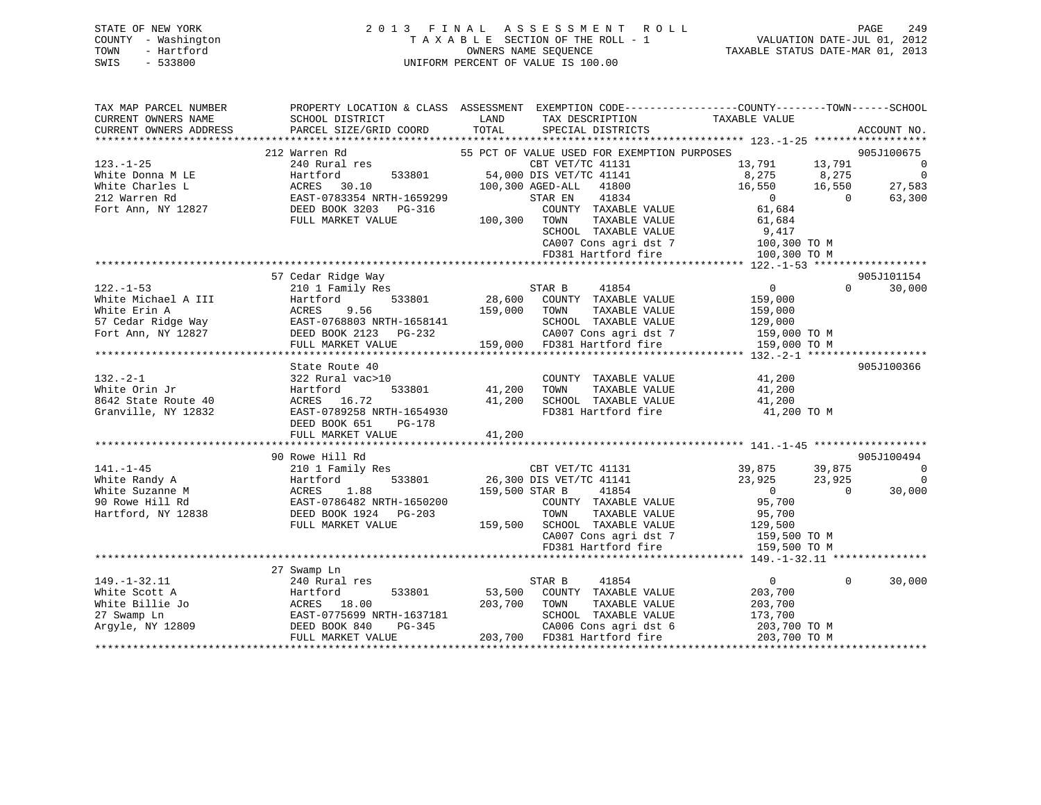# STATE OF NEW YORK 2 0 1 3 F I N A L A S S E S S M E N T R O L L PAGE 249 COUNTY - Washington T A X A B L E SECTION OF THE ROLL - 1 VALUATION DATE-JUL 01, 2012 TOWN - Hartford OWNERS NAME SEQUENCE TAXABLE STATUS DATE-MAR 01, 2013 SWIS - 533800 UNIFORM PERCENT OF VALUE IS 100.00

| TAX MAP PARCEL NUMBER<br>CURRENT OWNERS NAME                                            | PROPERTY LOCATION & CLASS ASSESSMENT EXEMPTION CODE---------------COUNTY-------TOWN-----SCHOOL<br>SCHOOL DISTRICT | LAND                                        | TAX DESCRIPTION                                                                                                                      | TAXABLE VALUE                                                        |          |                          |
|-----------------------------------------------------------------------------------------|-------------------------------------------------------------------------------------------------------------------|---------------------------------------------|--------------------------------------------------------------------------------------------------------------------------------------|----------------------------------------------------------------------|----------|--------------------------|
| CURRENT OWNERS ADDRESS                                                                  | PARCEL SIZE/GRID COORD                                                                                            | TOTAL                                       | SPECIAL DISTRICTS                                                                                                                    |                                                                      |          | ACCOUNT NO.              |
|                                                                                         | 212 Warren Rd                                                                                                     |                                             | 55 PCT OF VALUE USED FOR EXEMPTION PURPOSES                                                                                          |                                                                      |          | 905J100675               |
| $123. - 1 - 25$                                                                         | 240 Rural res                                                                                                     |                                             | CBT VET/TC 41131                                                                                                                     | 13,791 13,791                                                        |          | $\overline{0}$           |
| White Donna M LE                                                                        | 533801<br>Hartford                                                                                                | 54,000 DIS VET/TC 41141                     |                                                                                                                                      |                                                                      |          | $\overline{\phantom{0}}$ |
| White Charles L                                                                         |                                                                                                                   | 100,300 AGED-ALL 41800                      |                                                                                                                                      |                                                                      |          | 27,583                   |
| 212 Warren Rd                                                                           |                                                                                                                   | STAR EN                                     | 41834                                                                                                                                | $13,791$<br>$8,275$<br>$16,550$<br>$16,550$<br>$0$<br>$\overline{0}$ |          | 63,300                   |
| Fort Ann, NY 12827                                                                      | ACRES 30.10<br>EAST-0783354 NRTH-1659299<br>DEED BOOK 3203 PG-316                                                 |                                             | COUNTY TAXABLE VALUE                                                                                                                 | 61,684                                                               |          |                          |
|                                                                                         | FULL MARKET VALUE                                                                                                 | 100,300 TOWN                                | TAXABLE VALUE                                                                                                                        | 61,684                                                               |          |                          |
|                                                                                         |                                                                                                                   |                                             | ${\tt SCHOOD\quad} {\tt TAXABLE\ VALUE\quad} \qquad {\tt 9,417\atop \tt CAO07\ Cons\ agri\ dat\ 7\quad} \qquad {\tt 100,300\ TO\ M}$ |                                                                      |          |                          |
|                                                                                         |                                                                                                                   |                                             |                                                                                                                                      |                                                                      |          |                          |
|                                                                                         |                                                                                                                   |                                             | FD381 Hartford fire                                                                                                                  | 100,300 TO M                                                         |          |                          |
|                                                                                         |                                                                                                                   |                                             |                                                                                                                                      |                                                                      |          |                          |
|                                                                                         | 57 Cedar Ridge Way                                                                                                |                                             |                                                                                                                                      |                                                                      |          | 905J101154               |
| $122. - 1 - 53$                                                                         | 210 1 Family Res                                                                                                  | STAR B                                      | 41854                                                                                                                                | $\overline{0}$                                                       | $\Omega$ | 30,000                   |
| White Michael A III                                                                     | 533801<br>Hartford<br>Hartfo<br>ACRES                                                                             | 28,600                                      | COUNTY TAXABLE VALUE                                                                                                                 | 159,000                                                              |          |                          |
| White Erin A                                                                            | 9.56                                                                                                              | 159,000<br>TOWN                             | TAXABLE VALUE                                                                                                                        | 159,000                                                              |          |                          |
|                                                                                         |                                                                                                                   |                                             | SCHOOL TAXABLE VALUE                                                                                                                 | 129,000                                                              |          |                          |
|                                                                                         | 57 Cedar Ridge Way<br>Fort Ann, NY 12827<br>Fort Ann, NY 12827<br>FILL MARKET VALUE VALUE                         |                                             | CA007 Cons agri dst 7                                                                                                                | 159,000 TO M                                                         |          |                          |
|                                                                                         | FULL MARKET VALUE                                                                                                 |                                             | 159,000 FD381 Hartford fire                                                                                                          | 159,000 TO M                                                         |          |                          |
|                                                                                         |                                                                                                                   |                                             |                                                                                                                                      |                                                                      |          |                          |
| $132 - 2 - 1$                                                                           | State Route 40<br>322 Rural vac>10                                                                                |                                             | COUNTY TAXABLE VALUE                                                                                                                 | 41,200                                                               |          | 905J100366               |
| White Orin Jr                                                                           | Hartford                                                                                                          | 533801 41,200<br>TOWN                       | TAXABLE VALUE                                                                                                                        | 41,200                                                               |          |                          |
| 8642 State Route 40                                                                     | ACRES 16.72                                                                                                       | 41,200                                      | SCHOOL TAXABLE VALUE                                                                                                                 | 41,200                                                               |          |                          |
| Granville, NY 12832                                                                     | EAST-0789258 NRTH-1654930                                                                                         |                                             | FD381 Hartford fire                                                                                                                  | 41,200 TO M                                                          |          |                          |
|                                                                                         | DEED BOOK 651<br>PG-178                                                                                           |                                             |                                                                                                                                      |                                                                      |          |                          |
|                                                                                         | FULL MARKET VALUE                                                                                                 | 41,200                                      |                                                                                                                                      |                                                                      |          |                          |
|                                                                                         |                                                                                                                   |                                             |                                                                                                                                      |                                                                      |          |                          |
|                                                                                         | 90 Rowe Hill Rd                                                                                                   |                                             |                                                                                                                                      |                                                                      |          | 905J100494               |
| $141. - 1 - 45$                                                                         | 210 1 Family Res                                                                                                  |                                             |                                                                                                                                      |                                                                      |          | $\overline{0}$           |
| White Randy A                                                                           | 533801<br>Hartford                                                                                                | CBT VET/TC 41131<br>26,300 DIS VET/TC 41141 |                                                                                                                                      | 39,875 39,875<br>23,925 23,925                                       |          | $\overline{0}$           |
| White Suzanne M                                                                         | ACRES 1.88<br>EAST-0786482 NRTH-1650200                                                                           | 159,500 STAR B                              | 41854                                                                                                                                | $\overline{0}$                                                       | $\Omega$ | 30,000                   |
| 90 Rowe Hill Rd                                                                         |                                                                                                                   |                                             | COUNTY TAXABLE VALUE                                                                                                                 | 95,700                                                               |          |                          |
| Hartford, NY 12838                                                                      | DEED BOOK 1924 PG-203                                                                                             | TOWN                                        | TAXABLE VALUE                                                                                                                        | 95,700                                                               |          |                          |
|                                                                                         | FULL MARKET VALUE                                                                                                 |                                             | 159,500 SCHOOL TAXABLE VALUE                                                                                                         | 129,500                                                              |          |                          |
|                                                                                         |                                                                                                                   |                                             | CA007 Cons agri dst 7 159,500 TO M                                                                                                   |                                                                      |          |                          |
|                                                                                         |                                                                                                                   |                                             | FD381 Hartford fire                                                                                                                  | 159,500 TO M                                                         |          |                          |
|                                                                                         |                                                                                                                   |                                             |                                                                                                                                      |                                                                      |          |                          |
|                                                                                         | 27 Swamp Ln                                                                                                       |                                             |                                                                                                                                      |                                                                      |          |                          |
| $149. - 1 - 32.11$                                                                      | 240 Rural res                                                                                                     | STAR B                                      | 41854                                                                                                                                | $\overline{0}$                                                       | $\Omega$ | 30,000                   |
| White Scott A                                                                           | 533801<br>Hartford                                                                                                | 53,500                                      | COUNTY TAXABLE VALUE                                                                                                                 | 203,700                                                              |          |                          |
|                                                                                         |                                                                                                                   | 203,700<br>TOWN                             | TAXABLE VALUE                                                                                                                        | 203,700                                                              |          |                          |
|                                                                                         | EAST-0775699 NRTH-1637181                                                                                         |                                             | SCHOOL TAXABLE VALUE                                                                                                                 | 173,700                                                              |          |                          |
| White Billie Jo<br>27 Swamp Ln<br>Argyle, NY 12809<br>Argyle, NY 12809<br>DEED BOOK 840 | $PG-345$                                                                                                          |                                             | CA006 Cons agri dst 6                                                                                                                | 203,700 TO M                                                         |          |                          |
|                                                                                         | FULL MARKET VALUE                                                                                                 | 203,700 FD381 Hartford fire                 |                                                                                                                                      | 203,700 TO M                                                         |          |                          |
|                                                                                         |                                                                                                                   |                                             |                                                                                                                                      |                                                                      |          |                          |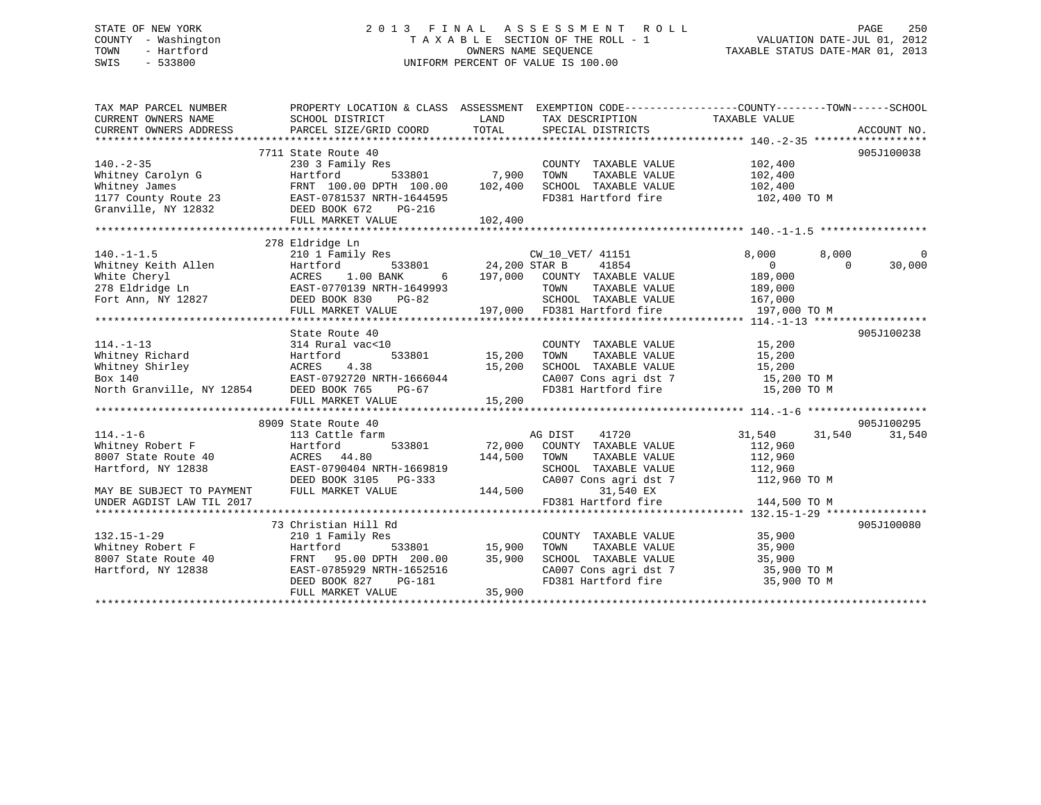# STATE OF NEW YORK 2 0 1 3 F I N A L A S S E S S M E N T R O L L PAGE 250 COUNTY - Washington T A X A B L E SECTION OF THE ROLL - 1 VALUATION DATE-JUL 01, 2012 TOWN - Hartford **TAXABLE STATUS DATE-MAR 01, 2013** SWIS - 533800 UNIFORM PERCENT OF VALUE IS 100.00

| TAX MAP PARCEL NUMBER<br>CURRENT OWNERS NAME<br>CURRENT OWNERS ADDRESS                                                                    | PROPERTY LOCATION & CLASS ASSESSMENT EXEMPTION CODE---------------COUNTY-------TOWN------SCHOOL<br>SCHOOL DISTRICT<br>PARCEL SIZE/GRID COORD                          | LAND<br>TOTAL                      | TAX DESCRIPTION<br>SPECIAL DISTRICTS                                                                                                                   | TAXABLE VALUE                                                                     | ACCOUNT NO.                       |
|-------------------------------------------------------------------------------------------------------------------------------------------|-----------------------------------------------------------------------------------------------------------------------------------------------------------------------|------------------------------------|--------------------------------------------------------------------------------------------------------------------------------------------------------|-----------------------------------------------------------------------------------|-----------------------------------|
| $140. - 2 - 35$<br>Whitney Carolyn G<br>Whitney James<br>1177 County Route 23 EAST-0781537 NRTH-1644595<br>Granville, NY 12832            | 7711 State Route 40<br>230 3 Family Res<br>Hartford<br>FRNT 100.00 DPTH 100.00<br>DEED BOOK 672<br>PG-216<br>FULL MARKET VALUE                                        | 533801 7,900<br>102,400<br>102,400 | COUNTY TAXABLE VALUE<br>TOWN<br>TAXABLE VALUE<br>SCHOOL TAXABLE VALUE<br>FD381 Hartford fire                                                           | 102,400<br>102,400<br>102,400<br>102,400 TO M                                     | 905J100038                        |
| $140. - 1 - 1.5$<br>Whitney Keith Allen<br>White Cheryl<br>278 Eldridge Ln<br>Fort Ann, NY 12827                                          | 278 Eldridge Ln<br>210 1 Family Res CW_10_VET/ 41151<br>Hartford<br>ACRES 1.00 BANK<br>EAST-0770139 NRTH-1649993<br>DEED BOOK 830 PG-82<br>FULL MARKET VALUE          | 533801 24,200 STAR B               | 41854<br>6 197,000 COUNTY TAXABLE VALUE<br>TOWN<br>TAXABLE VALUE<br>SCHOOL TAXABLE VALUE 167,000<br>197,000 FD381 Hartford fire                        | 8,000<br>8,000<br>$\overline{0}$<br>189,000<br>189,000<br>197,000 TO M            | $\mathbf 0$<br>30,000<br>$\Omega$ |
| $114. - 1 - 13$<br>Whitney Richard<br>Whitney Shirley<br>Morth Shirley<br>Box 140<br>North Granville, NY 12854<br>DEED BOOK 765           | State Route 40<br>314 Rural vac<10<br>533801<br>Hartford<br>EAST-0792720 NRTH-1666044<br>PG-67<br>FULL MARKET VALUE                                                   | 15,200<br>15,200<br>15,200         | COUNTY TAXABLE VALUE<br>TOWN<br>TAXABLE VALUE<br>SCHOOL TAXABLE VALUE<br>CA007 Cons agri dst 7<br>FD381 Hartford fire                                  | 15,200<br>15,200<br>15,200<br>15,200 TO M<br>15,200 TO M                          | 905J100238                        |
| $114. - 1 - 6$<br>Whitney Robert F<br>8007 State Route 40<br>Hartford, NY 12838<br>MAY BE SUBJECT TO PAYMENT<br>UNDER AGDIST LAW TIL 2017 | 8909 State Route 40<br>113 Cattle farm<br>533801<br>Hartford<br>ACRES 44.80<br>EAST-0790404 NRTH-1669819<br>DEED BOOK 3105 PG-333<br>FULL MARKET VALUE                | 72,000<br>144,500<br>144,500       | 41720<br>AG DIST<br>COUNTY TAXABLE VALUE<br>TAXABLE VALUE<br>TOWN<br>SCHOOL TAXABLE VALUE<br>CA007 Cons agri dst 7<br>31,540 EX<br>FD381 Hartford fire | 31,540<br>31,540<br>112,960<br>112,960<br>112,960<br>112,960 TO M<br>144,500 TO M | 905J100295<br>31,540              |
| $132.15 - 1 - 29$<br>Whitney Robert F<br>8007 State Route 40<br>Hartford, NY 12838                                                        | 73 Christian Hill Rd<br>210 1 Family Res<br>Hartford<br>533801<br>FRNT 95.00 DPTH 200.00<br>EAST-0785929 NRTH-1652516<br>DEED BOOK 827<br>PG-181<br>FULL MARKET VALUE | $15,900$<br>$35,900$<br>35,900     | COUNTY TAXABLE VALUE<br>TOWN<br>TAXABLE VALUE<br>SCHOOL TAXABLE VALUE<br>FD381 Hartford fire                                                           | 35,900<br>35,900<br>35,900<br>CA007 Cons agri dst 7 35,900 TO M<br>35,900 TO M    | 905J100080                        |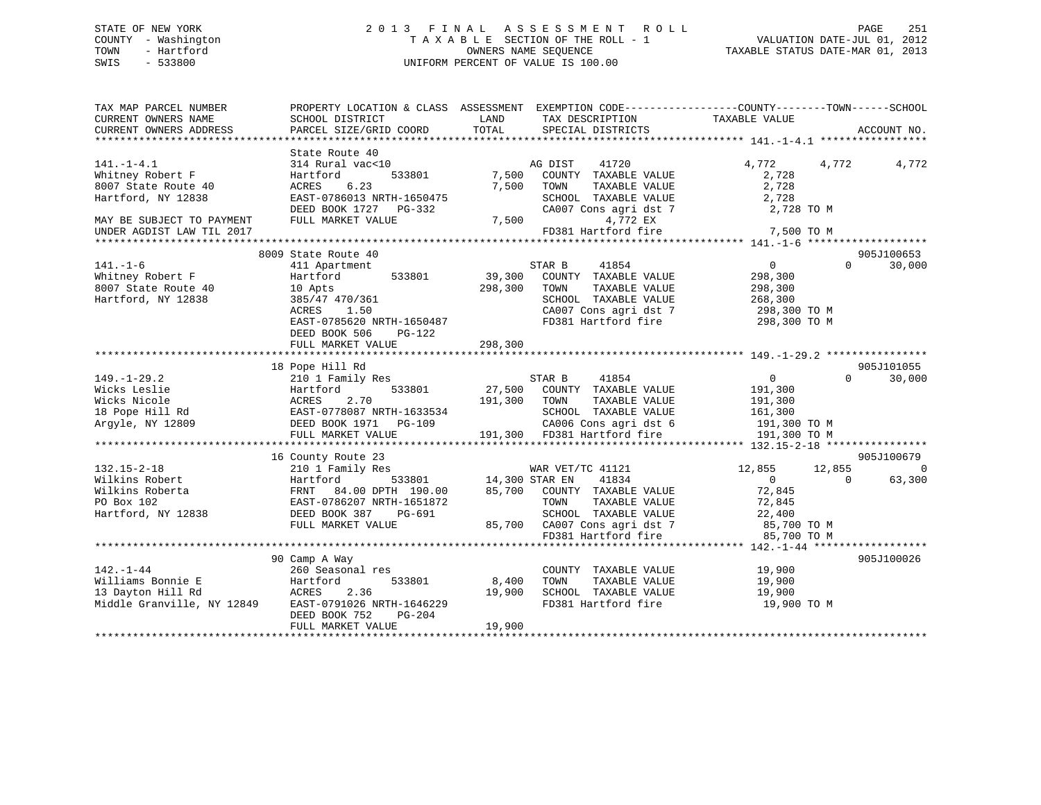# STATE OF NEW YORK 2 0 1 3 F I N A L A S S E S S M E N T R O L L PAGE 251 COUNTY - Washington T A X A B L E SECTION OF THE ROLL - 1 VALUATION DATE-JUL 01, 2012 TOWN - Hartford **TAXABLE STATUS DATE-MAR 01, 2013** SWIS - 533800 UNIFORM PERCENT OF VALUE IS 100.00

| TAX MAP PARCEL NUMBER<br>CURRENT OWNERS NAME<br>CURRENT OWNERS ADDRESS                     | PROPERTY LOCATION & CLASS ASSESSMENT<br>SCHOOL DISTRICT<br>PARCEL SIZE/GRID COORD                                                           | LAND<br>TAX DESCRIPTION<br>TOTAL<br>SPECIAL DISTRICTS                                                                                                         | EXEMPTION CODE-----------------COUNTY-------TOWN------SCHOOL<br>TAXABLE VALUE<br>ACCOUNT NO.       |
|--------------------------------------------------------------------------------------------|---------------------------------------------------------------------------------------------------------------------------------------------|---------------------------------------------------------------------------------------------------------------------------------------------------------------|----------------------------------------------------------------------------------------------------|
|                                                                                            |                                                                                                                                             |                                                                                                                                                               |                                                                                                    |
| $141. - 1 - 4.1$<br>Whitney Robert F                                                       | State Route 40<br>314 Rural vac<10<br>Hartford<br>533801                                                                                    | AG DIST<br>41720<br>7,500<br>COUNTY TAXABLE VALUE                                                                                                             | 4,772<br>4,772<br>4,772<br>2,728                                                                   |
| 8007 State Route 40<br>Hartford, NY 12838                                                  | 6.23<br>ACRES<br>EAST-0786013 NRTH-1650475                                                                                                  | 7,500<br>TOWN<br>TAXABLE VALUE<br>SCHOOL TAXABLE VALUE                                                                                                        | 2,728<br>2,728                                                                                     |
| MAY BE SUBJECT TO PAYMENT<br>UNDER AGDIST LAW TIL 2017                                     | DEED BOOK 1727 PG-332<br>FULL MARKET VALUE                                                                                                  | CA007 Cons agri dst 7<br>7,500<br>4,772 EX<br>FD381 Hartford fire                                                                                             | 2,728 TO M<br>7,500 TO M                                                                           |
|                                                                                            |                                                                                                                                             |                                                                                                                                                               |                                                                                                    |
|                                                                                            | 8009 State Route 40                                                                                                                         |                                                                                                                                                               | 905J100653                                                                                         |
| $141. - 1 - 6$<br>Whitney Robert F<br>8007 State Route 40<br>Hartford, NY 12838            | 411 Apartment<br>Hartford<br>533801<br>10 Apts<br>385/47 470/361<br>ACRES<br>1.50<br>EAST-0785620 NRTH-1650487<br>DEED BOOK 506<br>$PG-122$ | 41854<br>STAR B<br>39,300<br>COUNTY TAXABLE VALUE<br>298,300<br>TOWN<br>TAXABLE VALUE<br>SCHOOL TAXABLE VALUE<br>CA007 Cons agri dst 7<br>FD381 Hartford fire | $\Omega$<br>30,000<br>0<br>298,300<br>298,300<br>268,300<br>298,300 TO M<br>298,300 TO M           |
|                                                                                            | FULL MARKET VALUE                                                                                                                           | 298,300                                                                                                                                                       |                                                                                                    |
|                                                                                            |                                                                                                                                             |                                                                                                                                                               |                                                                                                    |
|                                                                                            | 18 Pope Hill Rd                                                                                                                             |                                                                                                                                                               | 905J101055                                                                                         |
| $149. - 1 - 29.2$<br>Wicks Leslie<br>Wicks Nicole<br>18 Pope Hill Rd                       | 210 1 Family Res<br>533801<br>Hartford<br>ACRES<br>2.70<br>EAST-0778087 NRTH-1633534                                                        | 41854<br>STAR B<br>27,500 COUNTY TAXABLE VALUE<br>191,300 TOWN<br>TAXABLE VALUE<br>SCHOOL TAXABLE VALUE                                                       | $\overline{0}$<br>30,000<br>$\Omega$<br>191,300<br>191,300<br>161,300                              |
| Argyle, NY 12809                                                                           | DEED BOOK 1971    PG-109<br>FULL MARKET VALUE                                                                                               | CA006 Cons agri dst 6<br>191,300 FD381 Hartford fire                                                                                                          | 191,300 TO M<br>191,300 TO M                                                                       |
|                                                                                            |                                                                                                                                             |                                                                                                                                                               |                                                                                                    |
|                                                                                            | 16 County Route 23                                                                                                                          |                                                                                                                                                               | 905J100679                                                                                         |
| $132.15 - 2 - 18$<br>Wilkins Robert<br>Wilkins Roberta<br>PO Box 102<br>Hartford, NY 12838 | 210 1 Family Res<br>533801<br>Hartford<br>84.00 DPTH 190.00<br>FRNT<br>EAST-0786207 NRTH-1651872<br>DEED BOOK 387<br>PG-691                 | WAR VET/TC 41121<br>14,300 STAR EN<br>41834<br>85,700<br>COUNTY TAXABLE VALUE<br>TOWN<br>TAXABLE VALUE<br>SCHOOL TAXABLE VALUE                                | 12,855<br>12,855<br>$\Omega$<br>$\overline{0}$<br>63,300<br>$\Omega$<br>72,845<br>72,845<br>22,400 |
|                                                                                            | FULL MARKET VALUE                                                                                                                           | 85,700 CA007 Cons agri dst 7<br>FD381 Hartford fire                                                                                                           | 85,700 TO M<br>85,700 TO M                                                                         |
|                                                                                            |                                                                                                                                             |                                                                                                                                                               |                                                                                                    |
| $142. - 1 - 44$                                                                            | 90 Camp A Way<br>260 Seasonal res                                                                                                           | COUNTY TAXABLE VALUE                                                                                                                                          | 905J100026<br>19,900                                                                               |
| Williams Bonnie E<br>13 Dayton Hill Rd<br>Middle Granville, NY 12849                       | 533801<br>Hartford<br>ACRES<br>2.36<br>EAST-0791026 NRTH-1646229                                                                            | 8,400<br>TAXABLE VALUE<br>TOWN<br>19,900<br>SCHOOL TAXABLE VALUE<br>FD381 Hartford fire                                                                       | 19,900<br>19,900<br>19,900 TO M                                                                    |
|                                                                                            | DEED BOOK 752<br>PG-204<br>FULL MARKET VALUE                                                                                                | 19,900                                                                                                                                                        |                                                                                                    |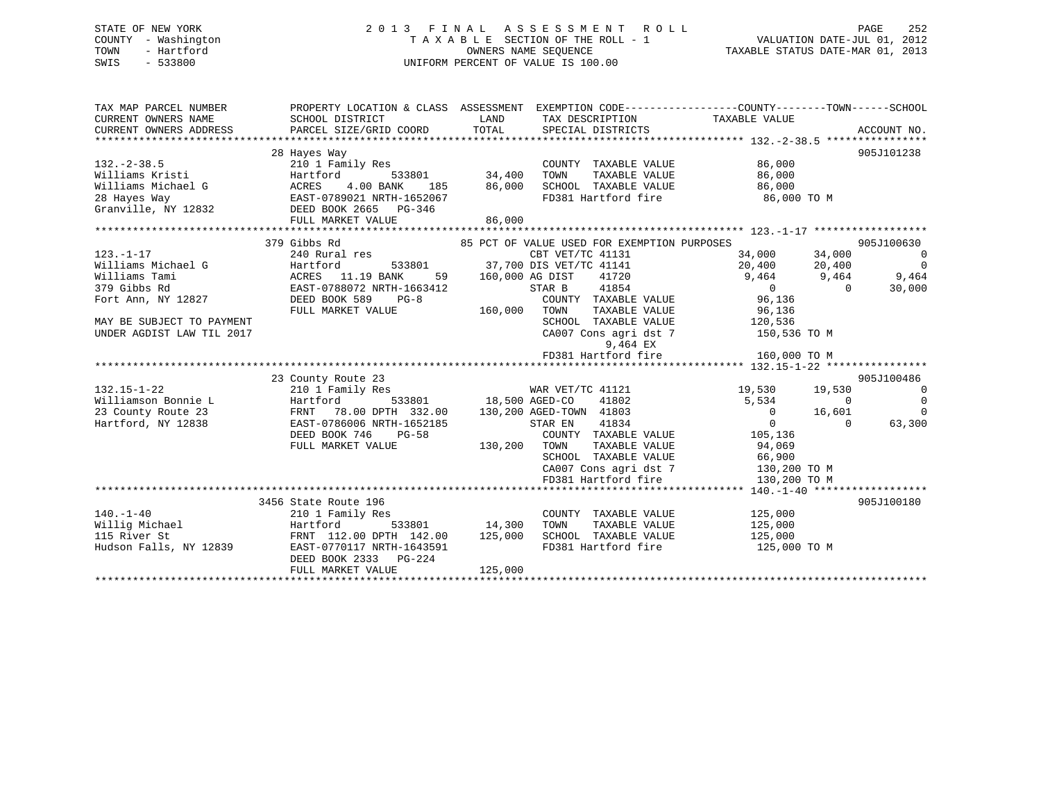# STATE OF NEW YORK 2 0 1 3 F I N A L A S S E S S M E N T R O L L PAGE 252 COUNTY - Washington T A X A B L E SECTION OF THE ROLL - 1 VALUATION DATE-JUL 01, 2012 TOWN - Hartford **TAXABLE STATUS DATE-MAR 01, 2013** SWIS - 533800 UNIFORM PERCENT OF VALUE IS 100.00

| TAX MAP PARCEL NUMBER<br>CURRENT OWNERS NAME                                                                                                                                                                                                    | PROPERTY LOCATION & CLASS ASSESSMENT<br>SCHOOL DISTRICT | LAND<br>TOTAL      | EXEMPTION CODE----------------COUNTY-------TOWN------SCHOOL<br>TAX DESCRIPTION TAXABLE VALUE<br>SPECIAL DISTRICTS |                                              | ACCOUNT NO.             |
|-------------------------------------------------------------------------------------------------------------------------------------------------------------------------------------------------------------------------------------------------|---------------------------------------------------------|--------------------|-------------------------------------------------------------------------------------------------------------------|----------------------------------------------|-------------------------|
|                                                                                                                                                                                                                                                 |                                                         |                    |                                                                                                                   |                                              |                         |
|                                                                                                                                                                                                                                                 | 28 Hayes Way                                            |                    |                                                                                                                   |                                              | 905J101238              |
| $132 - 2 - 38.5$                                                                                                                                                                                                                                | 210 1 Family Res                                        |                    | COUNTY TAXABLE VALUE                                                                                              | 86,000                                       |                         |
|                                                                                                                                                                                                                                                 |                                                         |                    | TOWN<br>TAXABLE VALUE                                                                                             | 86,000                                       |                         |
|                                                                                                                                                                                                                                                 |                                                         | 185 86,000         | SCHOOL TAXABLE VALUE 86,000                                                                                       |                                              |                         |
|                                                                                                                                                                                                                                                 |                                                         |                    |                                                                                                                   | FD381 Hartford fire 36,000 TO M              |                         |
| 132.-2-38.5<br>Williams Kristi<br>Williams Michael G<br>28 Hayes Way<br>Granville, NY 12832<br>PHIC MORES 4.00 BANK<br>28 Hayes Way<br>EAST-0789021 NRTH-1652067<br>CEED BOOK 2665<br>PENTLE MAPKET VALUE<br>PHIC MAPKET VALUE                  |                                                         |                    |                                                                                                                   |                                              |                         |
|                                                                                                                                                                                                                                                 | FULL MARKET VALUE                                       | 86,000             |                                                                                                                   |                                              |                         |
|                                                                                                                                                                                                                                                 |                                                         |                    |                                                                                                                   |                                              |                         |
| 123.-1-17<br>Williams Michael G<br>Williams Tami (ACRES 11.19 BANK 59<br>379 Gibbs Rd<br>Michael G<br>279 Gibbs Rd<br>Michael GAST-0788072 NRTH-1663412<br>DEED BOOK 589 PG-8<br>Michael Michael DEED BOOK 589 PG-8<br>Michael Michael DEED BOO | 379 Gibbs Rd                                            |                    | 85 PCT OF VALUE USED FOR EXEMPTION PURPOSES                                                                       | 90<br>$34,000$ $34,000$<br>$20,400$ $20,400$ | 905J100630              |
|                                                                                                                                                                                                                                                 |                                                         |                    | CBT VET/TC 41131<br>533801 37,700 DIS VET/TC 41141                                                                |                                              | $\overline{0}$          |
|                                                                                                                                                                                                                                                 |                                                         | 59 160,000 AG DIST |                                                                                                                   |                                              | $\overline{0}$<br>9,464 |
|                                                                                                                                                                                                                                                 |                                                         |                    | STAR B                                                                                                            | 41720 9,464 9,464                            | 30,000<br>$\sim$ 0      |
|                                                                                                                                                                                                                                                 |                                                         |                    | TAR B       41854<br>COUNTY   TAXABLE VALUE                                                                       | $0$<br>96,136                                |                         |
|                                                                                                                                                                                                                                                 |                                                         | 160,000 TOWN       |                                                                                                                   | TAXABLE VALUE 96,136                         |                         |
| MAY BE SUBJECT TO PAYMENT                                                                                                                                                                                                                       |                                                         |                    | SCHOOL TAXABLE VALUE 120,536                                                                                      |                                              |                         |
| UNDER AGDIST LAW TIL 2017                                                                                                                                                                                                                       |                                                         |                    |                                                                                                                   | CA007 Cons agri dst 7 150,536 TO M           |                         |
|                                                                                                                                                                                                                                                 |                                                         |                    | 9,464 EX                                                                                                          |                                              |                         |
|                                                                                                                                                                                                                                                 |                                                         |                    | FD381 Hartford fire                                                                                               | 160,000 TO M                                 |                         |
|                                                                                                                                                                                                                                                 |                                                         |                    |                                                                                                                   |                                              |                         |
|                                                                                                                                                                                                                                                 | 23 County Route 23                                      |                    |                                                                                                                   |                                              | 905J100486              |
| $132.15 - 1 - 22$                                                                                                                                                                                                                               | 210 1 Family Res                                        |                    | WAR VET/TC 41121 19,530 19,530                                                                                    |                                              | $\overline{0}$          |
| Williamson Bonnie L                                                                                                                                                                                                                             | Hartford                                                |                    | 533801 18,500 AGED-CO<br>41802                                                                                    | 5,534 0                                      | $\Omega$                |
| 23 County Route 23                                                                                                                                                                                                                              | FRNT 78.00 DPTH 332.00 130,200 AGED-TOWN 41803          |                    |                                                                                                                   | $0 \t 16,601$                                | $\Omega$                |
| Hartford, NY 12838                                                                                                                                                                                                                              | EAST-0786006 NRTH-1652185                               |                    | STAR EN                                                                                                           |                                              | 63,300<br>$\Omega$      |
|                                                                                                                                                                                                                                                 | DEED BOOK 746 PG-58                                     |                    |                                                                                                                   |                                              |                         |
|                                                                                                                                                                                                                                                 | FULL MARKET VALUE                                       | 130,200 TOWN       |                                                                                                                   | TAXABLE VALUE 94,069                         |                         |
|                                                                                                                                                                                                                                                 |                                                         |                    | SCHOOL TAXABLE VALUE 66,900<br>CA007 Cons agri dst 7 130,200 TO M<br>FD381 Hartford fire 130,200 TO M             |                                              |                         |
|                                                                                                                                                                                                                                                 |                                                         |                    |                                                                                                                   |                                              |                         |
|                                                                                                                                                                                                                                                 |                                                         |                    |                                                                                                                   |                                              |                         |
|                                                                                                                                                                                                                                                 |                                                         |                    |                                                                                                                   |                                              |                         |
|                                                                                                                                                                                                                                                 | 3456 State Route 196                                    |                    |                                                                                                                   |                                              | 905J100180              |
| $140. - 1 - 40$                                                                                                                                                                                                                                 | 210 1 Family Res                                        | 533801 14,300      | COUNTY TAXABLE VALUE<br>TAXABLE VALUE                                                                             | 125,000                                      |                         |
| Willig Michael<br>115 River St                                                                                                                                                                                                                  | Hartford                                                |                    | TOWN                                                                                                              | 125,000                                      |                         |
| Hudson Falls, NY 12839                                                                                                                                                                                                                          | FRNT 112.00 DPTH 142.00 125,000                         |                    | SCHOOL TAXABLE VALUE 125,000                                                                                      |                                              |                         |
|                                                                                                                                                                                                                                                 | EAST-0770117 NRTH-1643591<br>DEED BOOK 2333 PG-224      |                    |                                                                                                                   | FD381 Hartford fire 125,000 TO M             |                         |
|                                                                                                                                                                                                                                                 | FULL MARKET VALUE                                       | 125,000            |                                                                                                                   |                                              |                         |
|                                                                                                                                                                                                                                                 |                                                         |                    |                                                                                                                   |                                              |                         |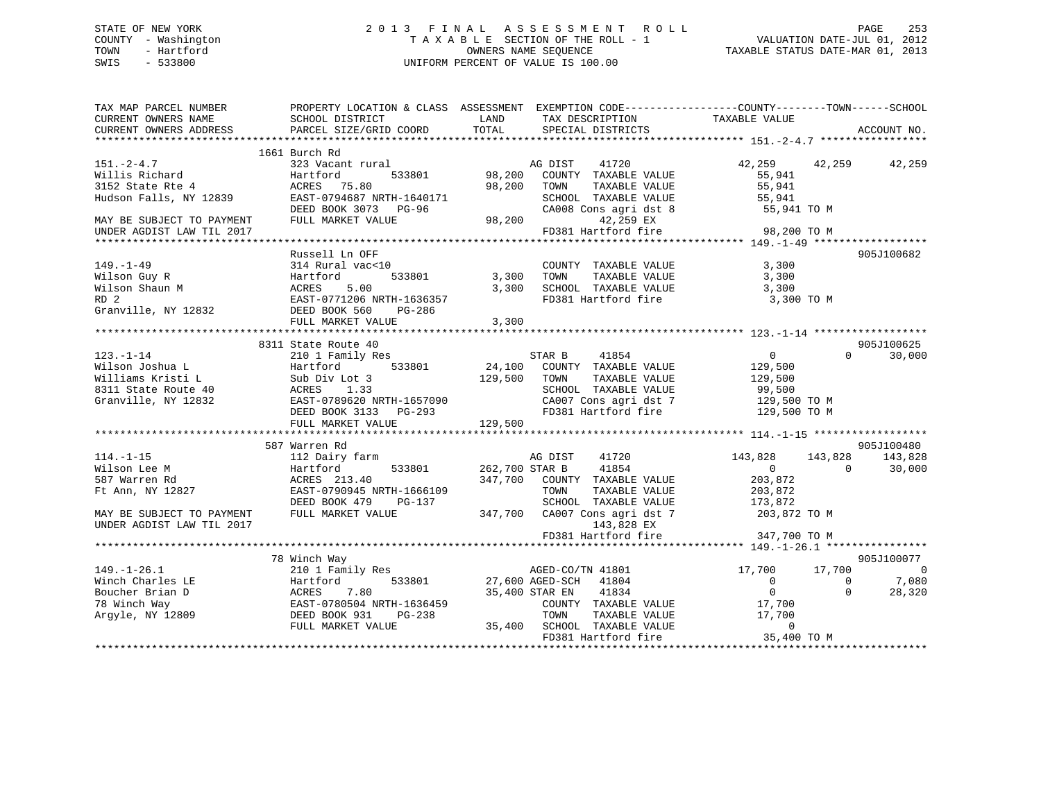# STATE OF NEW YORK 2 0 1 3 F I N A L A S S E S S M E N T R O L L PAGE 253 COUNTY - Washington T A X A B L E SECTION OF THE ROLL - 1 VALUATION DATE-JUL 01, 2012 TOWN - Hartford OWNERS NAME SEQUENCE TAXABLE STATUS DATE-MAR 01, 2013 SWIS - 533800 UNIFORM PERCENT OF VALUE IS 100.00

| TAX MAP PARCEL NUMBER<br>CURRENT OWNERS NAME<br>CURRENT OWNERS ADDRESS                                                         | PROPERTY LOCATION & CLASS ASSESSMENT EXEMPTION CODE---------------COUNTY-------TOWN------SCHOOL<br>SCHOOL DISTRICT<br>PARCEL SIZE/GRID COORD                            | LAND<br>TOTAL           | TAX DESCRIPTION<br>SPECIAL DISTRICTS                                                                                                                                        | TAXABLE VALUE                                                                       |                                | ACCOUNT NO.                                               |
|--------------------------------------------------------------------------------------------------------------------------------|-------------------------------------------------------------------------------------------------------------------------------------------------------------------------|-------------------------|-----------------------------------------------------------------------------------------------------------------------------------------------------------------------------|-------------------------------------------------------------------------------------|--------------------------------|-----------------------------------------------------------|
|                                                                                                                                |                                                                                                                                                                         |                         |                                                                                                                                                                             |                                                                                     |                                |                                                           |
| $151. - 2 - 4.7$<br>Willis Richard<br>3152 State Rte 4<br>Hudson Falls, NY 12839                                               | 1661 Burch Rd<br>323 Vacant rural<br>Hartford<br>533801<br>ACRES 75.80<br>EAST-0794687 NRTH-1640171<br>DEED BOOK 3073 PG-96                                             | 98,200<br>98,200        | AG DIST<br>41720<br>COUNTY TAXABLE VALUE<br>TOWN<br>TAXABLE VALUE<br>SCHOOL TAXABLE VALUE<br>CA008 Cons agri dst 8                                                          | 42,259 42,259<br>55,941<br>55,941<br>55,941<br>55,941 TO M                          |                                | 42,259                                                    |
| MAY BE SUBJECT TO PAYMENT<br>UNDER AGDIST LAW TIL 2017                                                                         | FULL MARKET VALUE                                                                                                                                                       |                         | 42,259 EX<br>98,200<br>FD381 Hartford fire                                                                                                                                  | 98,200 TO M                                                                         |                                |                                                           |
|                                                                                                                                |                                                                                                                                                                         |                         |                                                                                                                                                                             |                                                                                     |                                |                                                           |
| $149. - 1 - 49$<br>Wilson Guy R<br>Wilson Shaun M<br>RD <sub>2</sub><br>Granville, NY 12832                                    | Russell Ln OFF<br>314 Rural vac<10<br>533801<br>Hartford<br>5.00<br>ACRES<br>EAST-0771206 NRTH-1636357<br>DEED BOOK 560<br>PG-286<br>FULL MARKET VALUE                  | 3,300<br>3,300<br>3,300 | COUNTY TAXABLE VALUE<br>TOWN<br>TAXABLE VALUE<br>SCHOOL TAXABLE VALUE<br>FD381 Hartford fire                                                                                | 3,300<br>3,300<br>3,300<br>3,300 TO M                                               |                                | 905J100682                                                |
|                                                                                                                                |                                                                                                                                                                         |                         |                                                                                                                                                                             |                                                                                     |                                |                                                           |
| $123. - 1 - 14$<br>Wilson Joshua L<br>Williams Kristi L<br>8311 State Route 40<br>Granville, NY 12832                          | 8311 State Route 40<br>210 1 Family Res<br>Hartford<br>533801<br>Sub Div Lot 3<br>ACRES 1.33<br>EAST-0789620 NRTH-1657090<br>DEED BOOK 3133 PG-293<br>FULL MARKET VALUE | 129,500<br>129,500      | STAR B<br>41854<br>24,100 COUNTY TAXABLE VALUE<br>TAXABLE VALUE<br>TOWN<br>SCHOOL TAXABLE VALUE<br>CA007 Cons agri dst 7<br>FD381 Hartford fire                             | $\overline{0}$<br>129,500<br>129,500<br>99,500<br>129,500 TO M<br>129,500 TO M      | $\Omega$                       | 905J100625<br>30,000                                      |
|                                                                                                                                |                                                                                                                                                                         |                         |                                                                                                                                                                             |                                                                                     |                                |                                                           |
| $114. - 1 - 15$<br>Wilson Lee M<br>587 Warren Rd<br>Ft Ann, NY 12827<br>MAY BE SUBJECT TO PAYMENT<br>UNDER AGDIST LAW TIL 2017 | 587 Warren Rd<br>112 Dairy farm<br>533801<br>Hartford<br>ACRES 213.40<br>EAST-0790945 NRTH-1666109<br>DEED BOOK 479<br>PG-137<br>FULL MARKET VALUE                      | 262,700 STAR B          | AG DIST<br>41720<br>41854<br>347,700 COUNTY TAXABLE VALUE<br>TOWN<br>TAXABLE VALUE<br>SCHOOL TAXABLE VALUE<br>347,700 CA007 Cons agri dst 7<br>143,828 EX                   | 143,828<br>$\overline{0}$<br>203,872<br>203,872<br>173,872<br>203,872 TO M          | 143,828<br>$\Omega$            | 905J100480<br>143,828<br>30,000                           |
|                                                                                                                                |                                                                                                                                                                         |                         | FD381 Hartford fire                                                                                                                                                         | 347,700 TO M                                                                        |                                |                                                           |
|                                                                                                                                |                                                                                                                                                                         |                         |                                                                                                                                                                             |                                                                                     |                                |                                                           |
| $149. - 1 - 26.1$<br>Winch Charles LE<br>Boucher Brian D<br>78 Winch Way<br>Argyle, NY 12809                                   | 78 Winch Way<br>210 1 Family Res<br>533801<br>Hartford<br>7.80<br>ACRES<br>EAST-0780504 NRTH-1636459<br>DEED BOOK 931<br>PG-238<br>FULL MARKET VALUE                    |                         | AGED-CO/TN 41801<br>27,600 AGED-SCH 41804<br>35,400 STAR EN<br>41834<br>COUNTY TAXABLE VALUE<br>TOWN<br>TAXABLE VALUE<br>35,400 SCHOOL TAXABLE VALUE<br>FD381 Hartford fire | 17,700<br>$\Omega$<br>$\overline{0}$<br>17,700<br>17,700<br>$\Omega$<br>35,400 TO M | 17,700<br>$\Omega$<br>$\Omega$ | 905J100077<br>$\overline{\phantom{0}}$<br>7,080<br>28,320 |
|                                                                                                                                |                                                                                                                                                                         |                         |                                                                                                                                                                             |                                                                                     |                                |                                                           |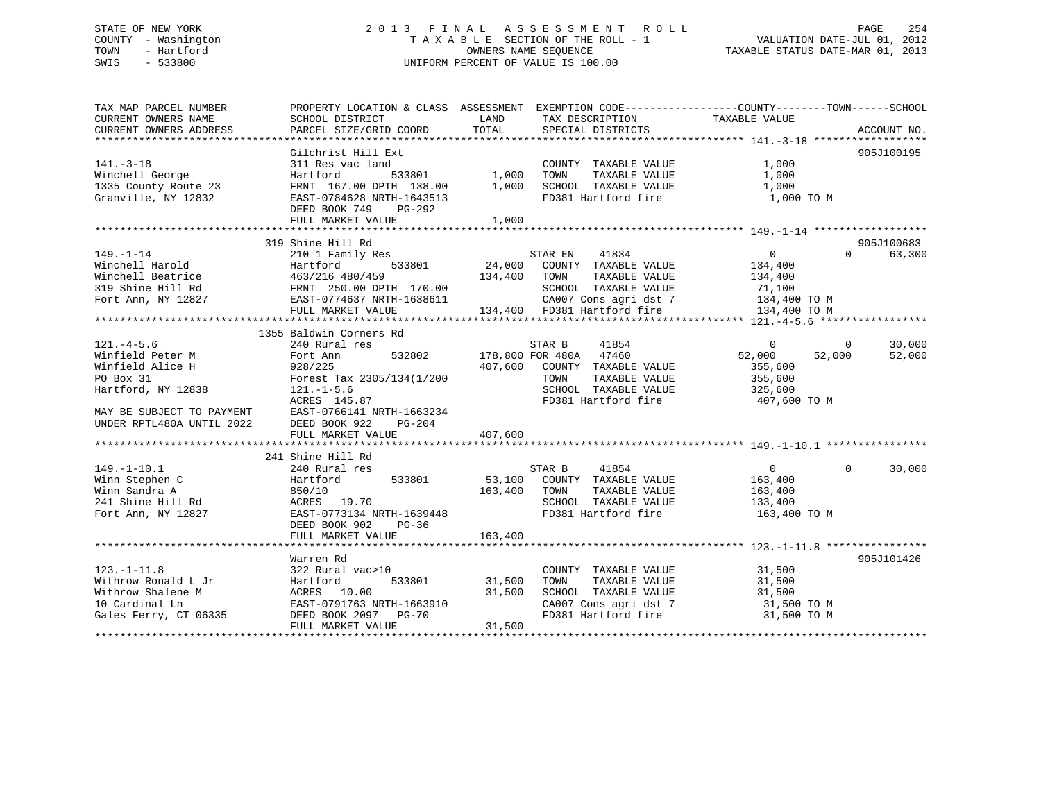# STATE OF NEW YORK 2 0 1 3 F I N A L A S S E S S M E N T R O L L PAGE 254 COUNTY - Washington T A X A B L E SECTION OF THE ROLL - 1 VALUATION DATE-JUL 01, 2012 TOWN - Hartford **TAXABLE STATUS DATE-MAR 01, 2013** SWIS - 533800 UNIFORM PERCENT OF VALUE IS 100.00

| TAX MAP PARCEL NUMBER<br>CURRENT OWNERS NAME                                                                                                         | SCHOOL DISTRICT                                                                                                                                                                                                                                                         | LAND<br>TAX DESCRIPTION                                                                                                                                                                                                                                                                   | PROPERTY LOCATION & CLASS ASSESSMENT EXEMPTION CODE---------------COUNTY-------TOWN-----SCHOOL<br>TAXABLE VALUE                              |                                            |
|------------------------------------------------------------------------------------------------------------------------------------------------------|-------------------------------------------------------------------------------------------------------------------------------------------------------------------------------------------------------------------------------------------------------------------------|-------------------------------------------------------------------------------------------------------------------------------------------------------------------------------------------------------------------------------------------------------------------------------------------|----------------------------------------------------------------------------------------------------------------------------------------------|--------------------------------------------|
| CURRENT OWNERS ADDRESS                                                                                                                               | PARCEL SIZE/GRID COORD                                                                                                                                                                                                                                                  | TOTAL<br>SPECIAL DISTRICTS                                                                                                                                                                                                                                                                |                                                                                                                                              | ACCOUNT NO.                                |
| $141. - 3 - 18$                                                                                                                                      | Gilchrist Hill Ext<br>311 Res vac land                                                                                                                                                                                                                                  | COUNTY TAXABLE VALUE                                                                                                                                                                                                                                                                      | 1,000                                                                                                                                        | 905J100195                                 |
| Winchell George<br>1335 County Route 23<br>Granville, NY 12832                                                                                       | Hartford<br>FRNT 167.00 DPTH 138.00 1,000<br>EAST-0784628 NRTH-1643513<br>DEED BOOK 749<br>PG-292                                                                                                                                                                       | 533801 1,000<br>TOWN<br>SCHOOL TAXABLE VALUE<br>FD381 Hartford fire                                                                                                                                                                                                                       | 1,000<br>TAXABLE VALUE<br>1,000<br>1,000 TO M                                                                                                |                                            |
|                                                                                                                                                      | FULL MARKET VALUE                                                                                                                                                                                                                                                       | 1,000                                                                                                                                                                                                                                                                                     |                                                                                                                                              |                                            |
|                                                                                                                                                      | 319 Shine Hill Rd                                                                                                                                                                                                                                                       |                                                                                                                                                                                                                                                                                           |                                                                                                                                              | 905J100683                                 |
| $149. - 1 - 14$                                                                                                                                      | 210 1 Family Res<br>$533801$ /459<br>Winchell Harold Martford 533801 24,000<br>Winchell Beatrice 463/216 480/459 134,400<br>319 Shine Hill Rd FRNT 250.00 DPTH 170.00<br>Fort Ann, NY 12827 EAST-0774637 NRTH-1638611<br>FULL MARKET VALUE 134,400<br>FULL MARKET VALUE | 41834<br>STAR EN<br>$24,000$ $24,000$ $72.1034$ $72.100$ $72.100$ $72.100$ $72.100$ $72.100$ $72.100$ $72.100$ $72.100$ $72.100$ $72.100$ $72.100$ $72.100$ $72.100$ $72.100$ $72.100$ $72.100$ $72.100$ $72.100$ $72.100$ $72.100$ $72.100$ $72.$<br>TOWN<br>134,400 FD381 Hartford fire | $\overline{0}$<br>134,400<br>134,400<br>TAXABLE VALUE<br>SCHOOL TAXABLE VALUE $71,100$<br>CA007 Cons agri dst 7 134,400 TO M<br>134,400 TO M | $0 \qquad \qquad$<br>63,300                |
|                                                                                                                                                      | 1355 Baldwin Corners Rd                                                                                                                                                                                                                                                 |                                                                                                                                                                                                                                                                                           |                                                                                                                                              |                                            |
| $121. -4 - 5.6$<br>Winfield Peter M<br>Winfield Alice H<br>PO Box 31<br>Hartford, NY 12838<br>MAY BE SUBJECT TO PAYMENT<br>UNDER RPTL480A UNTIL 2022 | 240 Rural res<br>Fort Ann<br>532802<br>928/225<br>Forest Tax 2305/134(1/200<br>$121. - 1 - 5.6$<br>ACRES 145.87<br>EAST-0766141 NRTH-1663234<br>DEED BOOK 922<br>PG-204<br>FULL MARKET VALUE                                                                            | 41854<br>STAR B<br>178,800 FOR 480A 47460<br>407,600 COUNTY TAXABLE VALUE<br>TOWN<br>SCHOOL TAXABLE VALUE<br>FD381 Hartford fire<br>407,600                                                                                                                                               | $\Omega$<br>52,000<br>355,600<br>TAXABLE VALUE<br>355,600<br>325,600<br>407,600 TO M                                                         | 30,000<br>$\mathbf{0}$<br>52,000<br>52,000 |
| $149. - 1 - 10.1$<br>Winn Stephen C<br>Winn Sandra A<br>241 Shine Hill Rd<br>Fort Ann, NY 12827                                                      | 241 Shine Hill Rd<br>240 Rural res<br>533801<br>Hartford<br>850/10<br>ACRES 19.70<br>EAST-0773134 NRTH-1639448<br>DEED BOOK 902<br>$PG-36$                                                                                                                              | STAR B<br>41854<br>53,100 COUNTY TAXABLE VALUE<br>163,400 TOWN<br>SCHOOL TAXABLE VALUE<br>FD381 Hartford fire                                                                                                                                                                             | 0<br>163,400<br>TAXABLE VALUE<br>163,400<br>133,400<br>163,400 TO M                                                                          | 30,000<br>$\Omega$                         |
|                                                                                                                                                      |                                                                                                                                                                                                                                                                         |                                                                                                                                                                                                                                                                                           |                                                                                                                                              |                                            |
| $123. - 1 - 11.8$<br>Withrow Ronald L Jr<br>Withrow Shalene M<br>10 Cardinal Ln<br>Gales Ferry, CT 06335                                             | Warren Rd<br>322 Rural vac>10<br>Hartford<br>533801<br>ACRES 10.00<br>EAST-0791763 NRTH-1663910<br>DEED BOOK 2097 PG-70                                                                                                                                                 | COUNTY TAXABLE VALUE<br>31,500<br>TOWN<br>31,500<br>SCHOOL TAXABLE VALUE<br>CA007 Cons agri dst 7<br>FD381 Hartford fire                                                                                                                                                                  | 31,500<br>TAXABLE VALUE<br>31,500<br>31,500<br>31,500 TO M<br>31,500 TO M                                                                    | 905J101426                                 |
|                                                                                                                                                      | FULL MARKET VALUE                                                                                                                                                                                                                                                       | 31,500                                                                                                                                                                                                                                                                                    |                                                                                                                                              |                                            |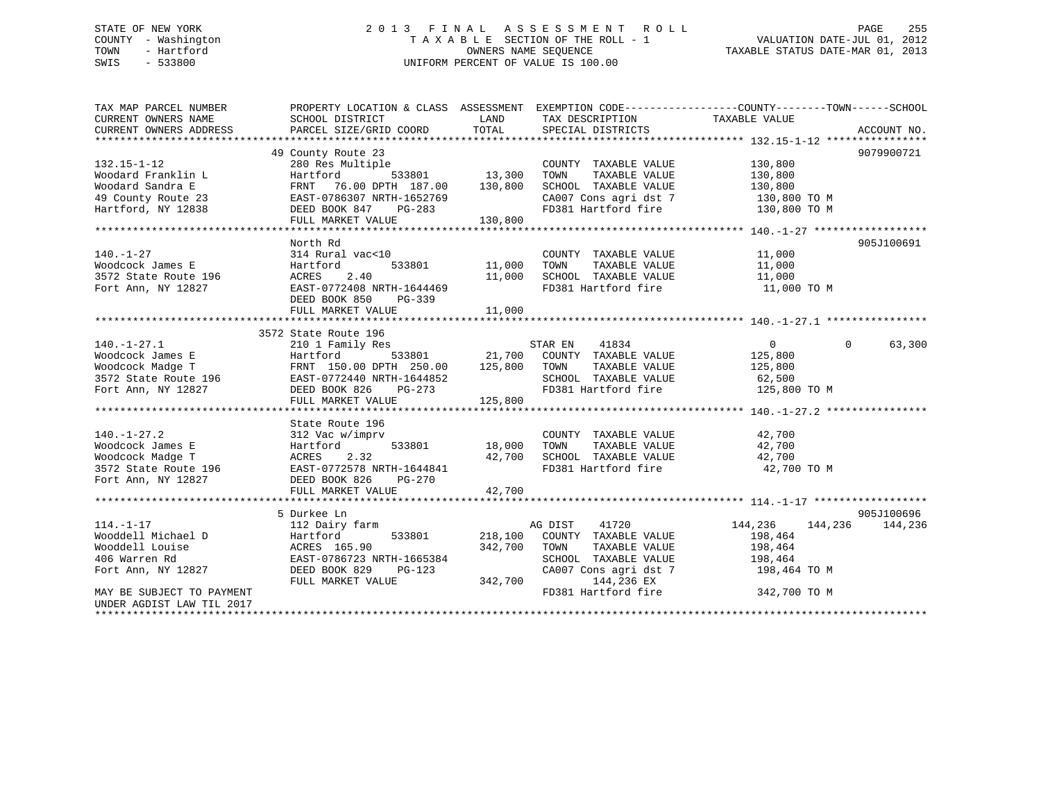# STATE OF NEW YORK 2 0 1 3 F I N A L A S S E S S M E N T R O L L PAGE 255 COUNTY - Washington T A X A B L E SECTION OF THE ROLL - 1 VALUATION DATE-JUL 01, 2012 TOWN - Hartford **TAXABLE STATUS DATE-MAR 01, 2013** OWNERS NAME SEQUENCE TAXABLE STATUS DATE-MAR 01, 2013 SWIS - 533800 UNIFORM PERCENT OF VALUE IS 100.00

| TAX MAP PARCEL NUMBER                          | PROPERTY LOCATION & CLASS ASSESSMENT EXEMPTION CODE----------------COUNTY-------TOWN------SCHOOL |                    |                                               |                                                    |                    |
|------------------------------------------------|--------------------------------------------------------------------------------------------------|--------------------|-----------------------------------------------|----------------------------------------------------|--------------------|
| CURRENT OWNERS NAME                            | SCHOOL DISTRICT                                                                                  | LAND<br>TOTAL      | TAX DESCRIPTION                               | TAXABLE VALUE                                      |                    |
| CURRENT OWNERS ADDRESS                         | PARCEL SIZE/GRID COORD                                                                           |                    | SPECIAL DISTRICTS                             |                                                    | ACCOUNT NO.        |
|                                                |                                                                                                  |                    |                                               |                                                    | 9079900721         |
|                                                | 49 County Route 23<br>280 Res Multiple                                                           |                    |                                               |                                                    |                    |
| $132.15 - 1 - 12$<br>Woodard Franklin L        | Hartford                                                                                         | 533801 13,300      | COUNTY TAXABLE VALUE<br>TOWN<br>TAXABLE VALUE | 130,800<br>130,800                                 |                    |
| Woodard Sandra E                               | 76.00 DPTH 187.00<br>FRNT                                                                        | 130,800            | SCHOOL TAXABLE VALUE                          | 130,800                                            |                    |
| 49 County Route 23                             | EAST-0786307 NRTH-1652769                                                                        |                    |                                               |                                                    |                    |
| Hartford, NY 12838                             | DEED BOOK 847<br>PG-283                                                                          |                    | FD381 Hartford fire                           | CA007 Cons agri dst 7 130,800 TO M<br>130,800 TO M |                    |
|                                                | FULL MARKET VALUE                                                                                | 130,800            |                                               |                                                    |                    |
|                                                |                                                                                                  |                    |                                               |                                                    |                    |
|                                                | North Rd                                                                                         |                    |                                               |                                                    | 905J100691         |
| $140. - 1 - 27$                                | 314 Rural vac<10                                                                                 |                    | COUNTY TAXABLE VALUE                          | 11,000                                             |                    |
| Woodcock James E                               | Hartford<br>533801                                                                               | 11,000             | TOWN<br>TAXABLE VALUE                         | 11,000                                             |                    |
| 3572 State Route 196                           | 2.40<br>ACRES                                                                                    | 11,000             | SCHOOL TAXABLE VALUE                          | 11,000                                             |                    |
| Fort Ann, NY 12827                             | EAST-0772408 NRTH-1644469                                                                        |                    | FD381 Hartford fire                           | 11,000 TO M                                        |                    |
|                                                | DEED BOOK 850<br>PG-339                                                                          |                    |                                               |                                                    |                    |
|                                                | FULL MARKET VALUE                                                                                | 11,000             |                                               |                                                    |                    |
|                                                |                                                                                                  |                    |                                               |                                                    |                    |
|                                                | 3572 State Route 196                                                                             |                    |                                               |                                                    |                    |
| $140. - 1 - 27.1$                              | 210 1 Family Res                                                                                 |                    | 41834<br>STAR EN                              | $\overline{0}$                                     | 63,300<br>$\Omega$ |
| Woodcock James E                               | Hartford                                                                                         | 533801 21,700      | COUNTY TAXABLE VALUE                          | 125,800                                            |                    |
| Woodcock Madge T                               | FRNT 150.00 DPTH 250.00                                                                          | 125,800            | TAXABLE VALUE<br>TOWN                         | 125,800                                            |                    |
| 3572 State Route 196 EAST-0772440 NRTH-1644852 |                                                                                                  |                    | SCHOOL TAXABLE VALUE                          | 62,500                                             |                    |
| Fort Ann, NY 12827                             | DEED BOOK 826<br>$PG-273$                                                                        |                    | FD381 Hartford fire                           | 125,800 TO M                                       |                    |
|                                                | FULL MARKET VALUE                                                                                | 125,800            |                                               |                                                    |                    |
|                                                |                                                                                                  |                    |                                               |                                                    |                    |
|                                                | State Route 196                                                                                  |                    |                                               |                                                    |                    |
| $140. - 1 - 27.2$                              | 312 Vac w/imprv                                                                                  |                    | COUNTY TAXABLE VALUE                          | 42,700                                             |                    |
| Woodcock James E                               | 533801<br>Hartford                                                                               | 18,000             | TOWN<br>TAXABLE VALUE                         | 42,700                                             |                    |
| Woodcock Madge T                               | 2.32<br>ACRES                                                                                    | 42,700             | SCHOOL TAXABLE VALUE                          | 42,700                                             |                    |
| 3572 State Route 196                           | EAST-0772578 NRTH-1644841                                                                        |                    | FD381 Hartford fire                           | 42,700 TO M                                        |                    |
| Fort Ann, NY 12827                             | DEED BOOK 826<br>PG-270                                                                          |                    |                                               |                                                    |                    |
|                                                | FULL MARKET VALUE                                                                                | 42,700             |                                               |                                                    |                    |
|                                                |                                                                                                  |                    |                                               |                                                    |                    |
|                                                | 5 Durkee Ln                                                                                      |                    |                                               |                                                    | 905J100696         |
| $114. - 1 - 17$                                | 112 Dairy farm                                                                                   |                    | 41720<br>AG DIST                              | 144,236<br>144,236                                 | 144,236            |
|                                                |                                                                                                  |                    |                                               |                                                    |                    |
| Wooddell Michael D<br>Wooddell Louise          | Hartford<br>533801<br>ACRES 165.90                                                               | 218,100<br>342,700 | COUNTY TAXABLE VALUE<br>TOWN<br>TAXABLE VALUE | 198,464<br>198,464                                 |                    |
| 406 Warren Rd                                  | EAST-0786723 NRTH-1665384                                                                        |                    | SCHOOL TAXABLE VALUE                          | 198,464                                            |                    |
| Fort Ann, NY 12827                             | DEED BOOK 829<br>PG-123                                                                          |                    | CA007 Cons agri dst 7                         | 198,464 TO M                                       |                    |
|                                                |                                                                                                  | 342,700            | 144,236 EX                                    |                                                    |                    |
| MAY BE SUBJECT TO PAYMENT                      | FULL MARKET VALUE                                                                                |                    | FD381 Hartford fire                           | 342,700 TO M                                       |                    |
| UNDER AGDIST LAW TIL 2017                      |                                                                                                  |                    |                                               |                                                    |                    |
|                                                |                                                                                                  |                    |                                               |                                                    |                    |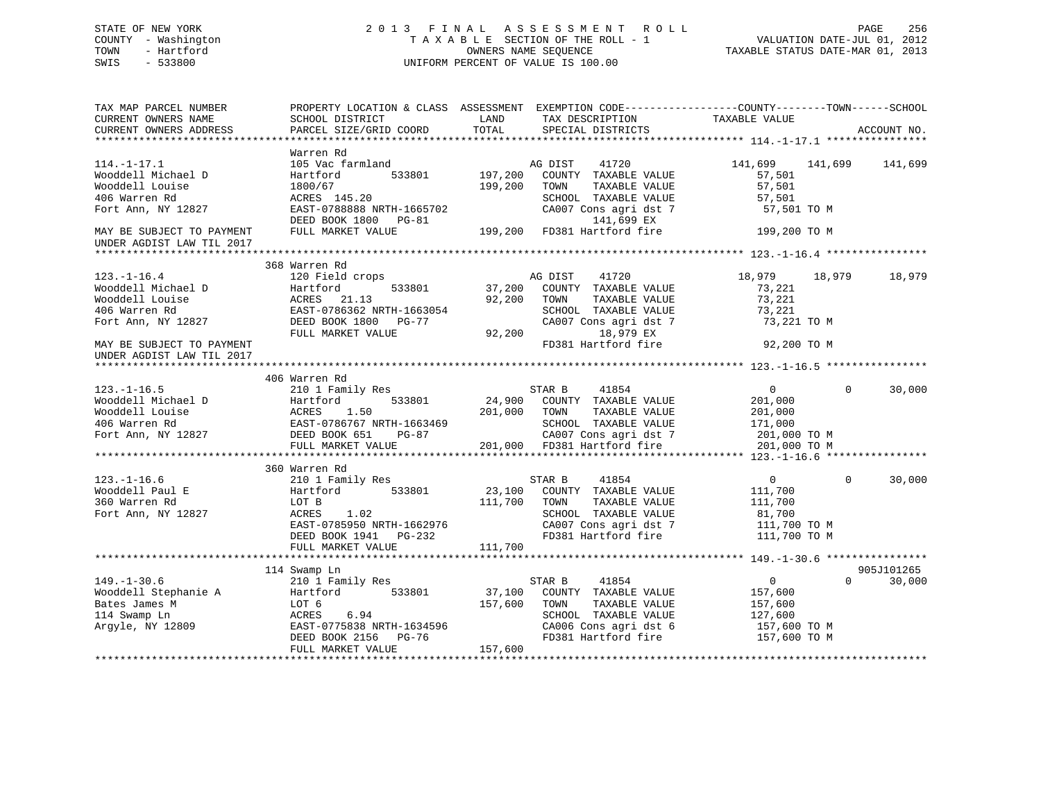# STATE OF NEW YORK 2 0 1 3 F I N A L A S S E S S M E N T R O L L PAGE 256 COUNTY - Washington T A X A B L E SECTION OF THE ROLL - 1 VALUATION DATE-JUL 01, 2012 TOWN - Hartford OWNERS NAME SEQUENCE TAXABLE STATUS DATE-MAR 01, 2013 SWIS - 533800 UNIFORM PERCENT OF VALUE IS 100.00

| TAX MAP PARCEL NUMBER<br>CURRENT OWNERS NAME<br>CURRENT OWNERS ADDRESS                                                                                                     | PROPERTY LOCATION & CLASS ASSESSMENT EXEMPTION CODE----------------COUNTY-------TOWN------SCHOOL<br>SCHOOL DISTRICT<br>PARCEL SIZE/GRID COORD | LAND<br>TOTAL  | TAX DESCRIPTION TAXABLE VALUE SPECIAL DISTRICTS          |                 | ACCOUNT NO.        |
|----------------------------------------------------------------------------------------------------------------------------------------------------------------------------|-----------------------------------------------------------------------------------------------------------------------------------------------|----------------|----------------------------------------------------------|-----------------|--------------------|
| $114. - 1 - 17.1$                                                                                                                                                          | Warren Rd<br>105 Vac farmland                                                                                                                 |                | 41720<br>AG DIST                                         | 141,699 141,699 | 141,699            |
| Wooddell Michael D                                                                                                                                                         | Hartford                                                                                                                                      | 533801 197,200 | COUNTY TAXABLE VALUE                                     | 57,501          |                    |
| Wooddell Louise                                                                                                                                                            | 1800/67                                                                                                                                       | 199,200        | TOWN<br>TAXABLE VALUE                                    | 57,501          |                    |
| 406 Warren Rd                                                                                                                                                              | ACRES 145.20                                                                                                                                  |                | SCHOOL TAXABLE VALUE                                     | 57,501          |                    |
| Fort Ann, NY 12827                                                                                                                                                         | EAST-0788888 NRTH-1665702                                                                                                                     |                | CA007 Cons agri dst 7                                    | 57,501 TO M     |                    |
|                                                                                                                                                                            | DEED BOOK 1800 PG-81<br>FULL MARKET VALUE 199,200 FD381 Hartford fire                                                                         |                |                                                          |                 |                    |
| MAY BE SUBJECT TO PAYMENT<br>UNDER AGDIST LAW TIL 2017                                                                                                                     |                                                                                                                                               |                |                                                          | 199,200 TO M    |                    |
|                                                                                                                                                                            |                                                                                                                                               |                |                                                          |                 |                    |
|                                                                                                                                                                            | 368 Warren Rd                                                                                                                                 |                |                                                          |                 |                    |
| $123. - 1 - 16.4$                                                                                                                                                          | 120 Field crops                                                                                                                               | AG DIST        | 41720                                                    | 18,979 18,979   | 18,979             |
| Nooddell Michael D<br>Wooddell Louise Bartford 533801<br>Rooddell Louise ACRES 21.13<br>406 Warren Rd EAST-0786362 NRTH-1663054<br>Fort Ann, NY 12827 DEED BOOK 1800 PG-77 |                                                                                                                                               |                | 533801 37,200 COUNTY TAXABLE VALUE                       | 73,221          |                    |
|                                                                                                                                                                            |                                                                                                                                               | 92,200 TOWN    | TAXABLE VALUE                                            | 73,221          |                    |
|                                                                                                                                                                            |                                                                                                                                               |                | SCHOOL TAXABLE VALUE                                     | 73,221          |                    |
|                                                                                                                                                                            |                                                                                                                                               |                | CA007 Cons agri dst 7                                    | 73,221 TO M     |                    |
|                                                                                                                                                                            | FULL MARKET VALUE                                                                                                                             | 92,200         | 18,979 EX                                                |                 |                    |
| MAY BE SUBJECT TO PAYMENT                                                                                                                                                  |                                                                                                                                               |                | FD381 Hartford fire                                      | 92,200 TO M     |                    |
| UNDER AGDIST LAW TIL 2017                                                                                                                                                  |                                                                                                                                               |                |                                                          |                 |                    |
|                                                                                                                                                                            |                                                                                                                                               |                |                                                          |                 |                    |
|                                                                                                                                                                            | 406 Warren Rd                                                                                                                                 |                |                                                          |                 |                    |
| $123. - 1 - 16.5$                                                                                                                                                          | 210 1 Family Res                                                                                                                              | STAR B         | 41854                                                    | $\overline{0}$  | $\Omega$<br>30,000 |
|                                                                                                                                                                            | 533801                                                                                                                                        |                | 24,900 COUNTY TAXABLE VALUE                              | 201,000         |                    |
|                                                                                                                                                                            |                                                                                                                                               | 201,000 TOWN   | TAXABLE VALUE                                            | 201,000         |                    |
|                                                                                                                                                                            |                                                                                                                                               |                | SCHOOL TAXABLE VALUE 171,000                             |                 |                    |
| Wooddell Michael D<br>Wooddell Louise Mooddell Louise ACRES 1.50 201,000<br>406 Warren Rd<br>Fort Ann, NY 12827 DEED BOOK 651 PG-87<br>FULL MARKET VALUE 201.000           |                                                                                                                                               |                | -87 CA007 Cons agri dst 7<br>201,000 FD381 Hartford fire | 201,000 TO M    |                    |
|                                                                                                                                                                            | FULL MARKET VALUE                                                                                                                             |                |                                                          | 201,000 TO M    |                    |
|                                                                                                                                                                            |                                                                                                                                               |                |                                                          |                 |                    |
|                                                                                                                                                                            | 360 Warren Rd                                                                                                                                 |                |                                                          |                 |                    |
| $123. - 1 - 16.6$                                                                                                                                                          | 210 1 Family Res                                                                                                                              |                | STAR B<br>41854                                          | $\overline{0}$  | $\Omega$<br>30,000 |
| Wooddell Paul E                                                                                                                                                            | 533801<br>Hartford                                                                                                                            |                | 23,100 COUNTY TAXABLE VALUE                              | 111,700         |                    |
| 360 Warren Rd                                                                                                                                                              | LOT B                                                                                                                                         | 111,700 TOWN   | TAXABLE VALUE                                            | 111,700         |                    |
| Fort Ann, NY 12827                                                                                                                                                         | ACRES<br>1.02                                                                                                                                 |                | SCHOOL TAXABLE VALUE                                     | 81,700          |                    |
|                                                                                                                                                                            | EAST-0785950 NRTH-1662976<br>DEED BOOK 1941    PG-232                                                                                         |                | CA007 Cons agri dst 7                                    | 111,700 TO M    |                    |
|                                                                                                                                                                            |                                                                                                                                               |                | FD381 Hartford fire                                      | 111,700 TO M    |                    |
|                                                                                                                                                                            | FULL MARKET VALUE                                                                                                                             | 111,700        |                                                          |                 |                    |
|                                                                                                                                                                            |                                                                                                                                               |                |                                                          |                 | 905J101265         |
|                                                                                                                                                                            | 114 Swamp Ln<br>210 1 Family Res                                                                                                              |                |                                                          | $\overline{0}$  | $\Omega$           |
| $149. - 1 - 30.6$                                                                                                                                                          | Hartford 533801                                                                                                                               |                | STAR B $41854$<br>37,100 COUNTY TAXABLE VALUE            | 157,600         | 30,000             |
| Wooddell Stephanie A<br>Bates James M<br>114 Swamp Ln<br>Argyle, NY 12809                                                                                                  | LOT 6                                                                                                                                         | 157,600        | TOWN<br>TAXABLE VALUE                                    | 157,600         |                    |
|                                                                                                                                                                            | ACRES<br>6.94                                                                                                                                 |                | SCHOOL TAXABLE VALUE                                     | 127,600         |                    |
|                                                                                                                                                                            | EAST-0775838 NRTH-1634596                                                                                                                     |                | CA006 Cons agri dst 6 157,600 TO M                       |                 |                    |
|                                                                                                                                                                            | DEED BOOK 2156 PG-76                                                                                                                          |                | FD381 Hartford fire                                      | 157,600 TO M    |                    |
|                                                                                                                                                                            | FULL MARKET VALUE                                                                                                                             | 157,600        |                                                          |                 |                    |
|                                                                                                                                                                            |                                                                                                                                               |                |                                                          |                 |                    |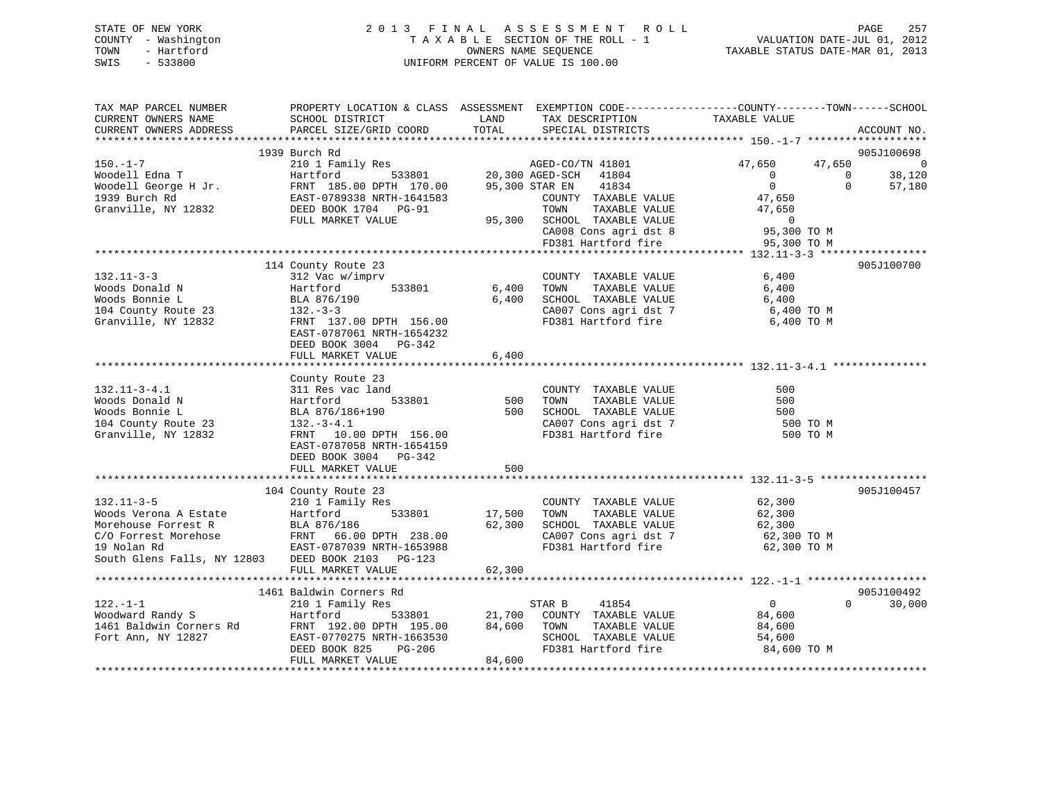| STATE OF NEW YORK   | 2013 FINAL ASSESSMENT ROLL         | 257<br>PAGE                      |
|---------------------|------------------------------------|----------------------------------|
| COUNTY - Washington | TAXABLE SECTION OF THE ROLL - 1    | VALUATION DATE-JUL 01, 2012      |
| TOWN<br>- Hartford  | OWNERS NAME SEOUENCE               | TAXABLE STATUS DATE-MAR 01, 2013 |
| $-533800$<br>SWIS   | UNIFORM PERCENT OF VALUE IS 100.00 |                                  |
|                     |                                    |                                  |

| TAX MAP PARCEL NUMBER                                                                                                                                                                                                                                   | PROPERTY LOCATION & CLASS ASSESSMENT EXEMPTION CODE---------------COUNTY-------TOWN-----SCHOOL                     |             |                                                                            |                                  |                |
|---------------------------------------------------------------------------------------------------------------------------------------------------------------------------------------------------------------------------------------------------------|--------------------------------------------------------------------------------------------------------------------|-------------|----------------------------------------------------------------------------|----------------------------------|----------------|
| CURRENT OWNERS NAME                                                                                                                                                                                                                                     | SCHOOL DISTRICT                                                                                                    | LAND        | TAX DESCRIPTION                                                            | TAXABLE VALUE                    |                |
| CURRENT OWNERS ADDRESS                                                                                                                                                                                                                                  | PARCEL SIZE/GRID COORD                                                                                             | TOTAL       | SPECIAL DISTRICTS                                                          |                                  | ACCOUNT NO.    |
|                                                                                                                                                                                                                                                         |                                                                                                                    |             |                                                                            |                                  |                |
|                                                                                                                                                                                                                                                         | 1939 Burch Rd                                                                                                      |             |                                                                            |                                  | 905J100698     |
| 150.-1-7<br>Woodell Edna T<br>Woodell George H Jr.<br>1939 Burch Rd<br>1939 Burch Rd<br>1939 Burch Rd<br>1939 Burch Rd<br>1939 Burch Rd<br>1939 Burch Rd<br>1939 Burch Rd<br>1939 Burch Rd<br>1949 BEED BOOK 1704 PG-91<br>1949 PG-91<br>1959 BOOK 1704 |                                                                                                                    |             | 8 AGED-CO/TN 41801<br>533801 20,300 AGED-SCH 41804                         | 47,650<br>47,650                 | $\overline{0}$ |
|                                                                                                                                                                                                                                                         |                                                                                                                    |             |                                                                            | $\overline{0}$<br>$\overline{0}$ | 38,120         |
|                                                                                                                                                                                                                                                         |                                                                                                                    |             | 95,300 STAR EN 41834                                                       | 0<br>$\Omega$                    | 57,180         |
|                                                                                                                                                                                                                                                         |                                                                                                                    |             | COUNTY TAXABLE VALUE                                                       | 47,650                           |                |
|                                                                                                                                                                                                                                                         |                                                                                                                    |             | TOWN<br>TAXABLE VALUE                                                      | 47,650                           |                |
|                                                                                                                                                                                                                                                         |                                                                                                                    |             | 95,300 SCHOOL TAXABLE VALUE                                                |                                  |                |
|                                                                                                                                                                                                                                                         |                                                                                                                    |             | CA008 Cons agri dst 8<br>FD381 Hartford fire                               | $95,300$ TO M                    |                |
|                                                                                                                                                                                                                                                         |                                                                                                                    |             |                                                                            | 95,300 TO M                      |                |
|                                                                                                                                                                                                                                                         |                                                                                                                    |             |                                                                            |                                  |                |
|                                                                                                                                                                                                                                                         | 114 County Route 23                                                                                                |             |                                                                            |                                  | 905J100700     |
| $132.11 - 3 - 3$                                                                                                                                                                                                                                        | 312 Vac w/imprv                                                                                                    |             | COUNTY TAXABLE VALUE                                                       | 6,400                            |                |
| Woods Donald N                                                                                                                                                                                                                                          | Hartford<br>533801                                                                                                 | 6,400       | TOWN<br>TAXABLE VALUE                                                      | 6,400                            |                |
| Woods Bonnie L                                                                                                                                                                                                                                          | BLA 876/190                                                                                                        | 6,400       | SCHOOL TAXABLE VALUE                                                       | 6,400                            |                |
| 104 County Route 23                                                                                                                                                                                                                                     | $132 - 3 - 3$                                                                                                      |             | CA007 Cons agri dst 7 6,400 TO M                                           |                                  |                |
| Granville, NY 12832                                                                                                                                                                                                                                     | FRNT 137.00 DPTH 156.00                                                                                            |             | FD381 Hartford fire                                                        | 6,400 TO M                       |                |
|                                                                                                                                                                                                                                                         | EAST-0787061 NRTH-1654232                                                                                          |             |                                                                            |                                  |                |
|                                                                                                                                                                                                                                                         | DEED BOOK 3004 PG-342                                                                                              |             |                                                                            |                                  |                |
|                                                                                                                                                                                                                                                         | FULL MARKET VALUE                                                                                                  | 6,400       |                                                                            |                                  |                |
|                                                                                                                                                                                                                                                         |                                                                                                                    |             |                                                                            |                                  |                |
|                                                                                                                                                                                                                                                         | County Route 23                                                                                                    |             |                                                                            |                                  |                |
| $132.11 - 3 - 4.1$                                                                                                                                                                                                                                      | 311 Res vac land                                                                                                   |             | COUNTY TAXABLE VALUE                                                       | 500                              |                |
| Woods Donald N                                                                                                                                                                                                                                          | 533801<br>Hartford                                                                                                 | 500         | TAXABLE VALUE<br>TOWN                                                      | 500                              |                |
| Woods Bonnie L                                                                                                                                                                                                                                          | BLA 876/186+190                                                                                                    | 500         | SCHOOL TAXABLE VALUE                                                       | 500                              |                |
| 104 County Route 23                                                                                                                                                                                                                                     | $132.-3-4.1$                                                                                                       |             | CA007 Cons agri dst 7<br>FD381 Hartford fire                               | 500 TO M                         |                |
| Granville, NY 12832                                                                                                                                                                                                                                     | FRNT 10.00 DPTH 156.00                                                                                             |             |                                                                            | 500 TO M                         |                |
|                                                                                                                                                                                                                                                         | EAST-0787058 NRTH-1654159                                                                                          |             |                                                                            |                                  |                |
|                                                                                                                                                                                                                                                         | DEED BOOK 3004 PG-342                                                                                              | 500         |                                                                            |                                  |                |
|                                                                                                                                                                                                                                                         | FULL MARKET VALUE                                                                                                  |             |                                                                            |                                  |                |
|                                                                                                                                                                                                                                                         | 104 County Route 23                                                                                                |             |                                                                            |                                  | 905J100457     |
| $132.11 - 3 - 5$                                                                                                                                                                                                                                        | 210 1 Family Res                                                                                                   |             | COUNTY TAXABLE VALUE 62,300                                                |                                  |                |
|                                                                                                                                                                                                                                                         |                                                                                                                    | 17,500 TOWN |                                                                            |                                  |                |
|                                                                                                                                                                                                                                                         |                                                                                                                    |             | $62,300$ SCHOOL TAXABLE VALUE 62,300<br>CA007 Cons agri<br>$45 + 7$ 62,300 |                                  |                |
|                                                                                                                                                                                                                                                         |                                                                                                                    |             |                                                                            | 62,300 TO M                      |                |
| Woods Verona A Estate Hartford 533801<br>Morehouse Forrest R BLA 876/186<br>C/O Forrest Morehose FRNT 66.00 DPTH 238.00<br>19 Nolan Rd EAST-0787039 NRTH-1653988                                                                                        |                                                                                                                    |             | CA007 Cons agri dst 7<br>FD381 Hartford fire                               | 62,300 TO M                      |                |
| South Glens Falls, NY 12803 DEED BOOK 2103 PG-123                                                                                                                                                                                                       |                                                                                                                    |             |                                                                            |                                  |                |
|                                                                                                                                                                                                                                                         | FULL MARKET VALUE                                                                                                  | 62,300      |                                                                            |                                  |                |
|                                                                                                                                                                                                                                                         |                                                                                                                    |             |                                                                            |                                  |                |
|                                                                                                                                                                                                                                                         | 1461 Baldwin Corners Rd                                                                                            |             |                                                                            |                                  | 905J100492     |
| $122. - 1 - 1$                                                                                                                                                                                                                                          | 210 1 Family Res                                                                                                   |             | STAR B<br>41854                                                            | $\overline{0}$<br>$\Omega$       | 30,000         |
|                                                                                                                                                                                                                                                         | 533801<br>Hartford                                                                                                 |             | 21,700 COUNTY TAXABLE VALUE                                                | 84,600                           |                |
| Woodward Randy S<br>1461 Baldwin Corners Rd<br>Fort Ann, NY 12827                                                                                                                                                                                       |                                                                                                                    | 84,600 TOWN | TAXABLE VALUE                                                              | 84,600                           |                |
|                                                                                                                                                                                                                                                         |                                                                                                                    |             | SCHOOL TAXABLE VALUE                                                       | 54,600                           |                |
|                                                                                                                                                                                                                                                         | FRNT 192.00 DPTH 195.00 84,60<br>FRNT 192.00 DPTH 1663530 84,60<br>DREP BOOK 825 PG-206<br>DEED BOOK 825<br>PG-206 |             | FD381 Hartford fire                                                        | 84,600 TO M                      |                |
|                                                                                                                                                                                                                                                         | FULL MARKET VALUE                                                                                                  | 84,600      |                                                                            |                                  |                |
|                                                                                                                                                                                                                                                         |                                                                                                                    |             |                                                                            |                                  |                |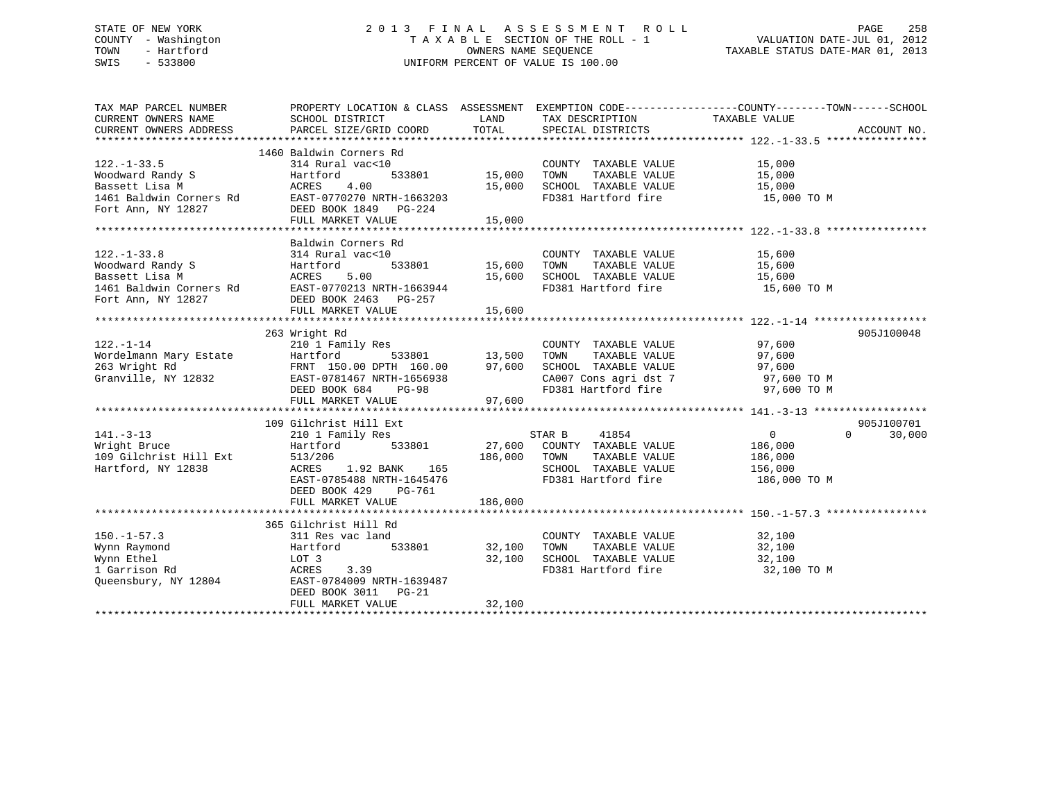# STATE OF NEW YORK 2 0 1 3 F I N A L A S S E S S M E N T R O L L PAGE 258 COUNTY - Washington T A X A B L E SECTION OF THE ROLL - 1 VALUATION DATE-JUL 01, 2012 TOWN - Hartford **TAXABLE STATUS DATE-MAR 01, 2013** SWIS - 533800 UNIFORM PERCENT OF VALUE IS 100.00

| TAX MAP PARCEL NUMBER  | PROPERTY LOCATION & CLASS ASSESSMENT EXEMPTION CODE---------------COUNTY-------TOWN-----SCHOOL                                                                                                         |                               |                                                                                                                        |                       |                    |
|------------------------|--------------------------------------------------------------------------------------------------------------------------------------------------------------------------------------------------------|-------------------------------|------------------------------------------------------------------------------------------------------------------------|-----------------------|--------------------|
| CURRENT OWNERS NAME    | SCHOOL DISTRICT                                                                                                                                                                                        | LAND                          | TAX DESCRIPTION                                                                                                        | TAXABLE VALUE         |                    |
| CURRENT OWNERS ADDRESS | PARCEL SIZE/GRID COORD                                                                                                                                                                                 | TOTAL                         | SPECIAL DISTRICTS                                                                                                      |                       | ACCOUNT NO.        |
|                        |                                                                                                                                                                                                        |                               |                                                                                                                        |                       |                    |
|                        | 1460 Baldwin Corners Rd                                                                                                                                                                                |                               |                                                                                                                        |                       |                    |
| $122. - 1 - 33.5$      | 314 Rural vac<10                                                                                                                                                                                       |                               | COUNTY TAXABLE VALUE                                                                                                   | 15,000                |                    |
|                        |                                                                                                                                                                                                        | 533801 15,000 TOWN            |                                                                                                                        | TAXABLE VALUE 15,000  |                    |
|                        |                                                                                                                                                                                                        | 15,000                        |                                                                                                                        |                       |                    |
|                        |                                                                                                                                                                                                        |                               | SCHOOL   TAXABLE  VALUE                           15,000<br>FD381  Hartford fire                           15,000 TO M |                       |                    |
|                        |                                                                                                                                                                                                        |                               |                                                                                                                        |                       |                    |
|                        |                                                                                                                                                                                                        |                               |                                                                                                                        |                       |                    |
|                        |                                                                                                                                                                                                        |                               |                                                                                                                        |                       |                    |
|                        | Baldwin Corners Rd                                                                                                                                                                                     |                               |                                                                                                                        |                       |                    |
|                        |                                                                                                                                                                                                        |                               | COUNTY TAXABLE VALUE                                                                                                   | 15,600                |                    |
|                        |                                                                                                                                                                                                        | , COUNT<br>533801 15,600 TOWN | TAXABLE VALUE                                                                                                          | 15,600                |                    |
|                        |                                                                                                                                                                                                        |                               |                                                                                                                        |                       |                    |
|                        |                                                                                                                                                                                                        |                               | 15,600 10, -<br>15,600 SCHOOL TAXABLE VALUE 15,600 TO M                                                                |                       |                    |
|                        |                                                                                                                                                                                                        |                               |                                                                                                                        |                       |                    |
|                        | FULL MARKET VALUE                                                                                                                                                                                      | 15,600                        |                                                                                                                        |                       |                    |
|                        |                                                                                                                                                                                                        |                               |                                                                                                                        |                       |                    |
|                        | 263 Wright Rd                                                                                                                                                                                          |                               |                                                                                                                        |                       | 905J100048         |
|                        |                                                                                                                                                                                                        |                               | COUNTY TAXABLE VALUE                                                                                                   | 97,600                |                    |
|                        |                                                                                                                                                                                                        |                               | TAXABLE VALUE<br>TOWN                                                                                                  | 97,600                |                    |
|                        |                                                                                                                                                                                                        |                               | SCHOOL TAXABLE VALUE                                                                                                   |                       |                    |
|                        |                                                                                                                                                                                                        |                               |                                                                                                                        | 97,600<br>97,600 TO M |                    |
|                        |                                                                                                                                                                                                        |                               | CA007 Cons agri dst 7 97,600 TO M<br>FD381 Hartford fire 97,600 TO M                                                   |                       |                    |
|                        | 122.-1-14<br>Wordelmann Mary Estate Hartford 533801<br>263 Wright Rd FRNT 150.00 DPTH 160.00 97,600<br>Granville, NY 12832 EAST-0781467 NRTH-1656938<br>DEED BOOK 684 PG-98<br>THE MADVET VALUE 97,600 |                               |                                                                                                                        |                       |                    |
|                        |                                                                                                                                                                                                        |                               |                                                                                                                        |                       |                    |
|                        | 109 Gilchrist Hill Ext                                                                                                                                                                                 |                               |                                                                                                                        |                       | 905J100701         |
| $141. - 3 - 13$        | 210 1 Family Res                                                                                                                                                                                       |                               | STAR B 41854                                                                                                           | $\overline{0}$        | $\Omega$<br>30,000 |
| Wright Bruce           | Hartford 533801                                                                                                                                                                                        |                               | 27,600 COUNTY TAXABLE VALUE 186,000                                                                                    |                       |                    |
| 109 Gilchrist Hill Ext | 513/206                                                                                                                                                                                                | 186,000 TOWN                  |                                                                                                                        | TAXABLE VALUE 186,000 |                    |
| Hartford, NY 12838     | ACRES 1.92 BANK 165                                                                                                                                                                                    |                               | SCHOOL TAXABLE VALUE                                                                                                   | 156,000               |                    |
|                        | EAST-0785488 NRTH-1645476                                                                                                                                                                              |                               | FD381 Hartford fire 186,000 TO M                                                                                       |                       |                    |
|                        | DEED BOOK 429<br>PG-761                                                                                                                                                                                |                               |                                                                                                                        |                       |                    |
|                        | FULL MARKET VALUE                                                                                                                                                                                      | 186,000                       |                                                                                                                        |                       |                    |
|                        |                                                                                                                                                                                                        |                               |                                                                                                                        |                       |                    |
|                        | 365 Gilchrist Hill Rd                                                                                                                                                                                  |                               |                                                                                                                        |                       |                    |
| $150. - 1 - 57.3$      | 311 Res vac land                                                                                                                                                                                       |                               | COUNTY TAXABLE VALUE 32,100                                                                                            |                       |                    |
| Wynn Raymond           | Hartford                                                                                                                                                                                               | 533801 32,100                 | TAXABLE VALUE<br>TOWN                                                                                                  | 32,100                |                    |
| Wynn Ethel             | LOT 3                                                                                                                                                                                                  |                               |                                                                                                                        | 32,100                |                    |
| 1 Garrison Rd          | ACRES 3.39                                                                                                                                                                                             |                               | 32,100 SCHOOL TAXABLE VALUE<br>FD381 Hartford fire                                                                     | 32,100 TO M           |                    |
| Queensbury, NY 12804   | EAST-0784009 NRTH-1639487                                                                                                                                                                              |                               |                                                                                                                        |                       |                    |
|                        | DEED BOOK 3011 PG-21                                                                                                                                                                                   |                               |                                                                                                                        |                       |                    |
|                        | FULL MARKET VALUE                                                                                                                                                                                      | 32,100                        |                                                                                                                        |                       |                    |
|                        |                                                                                                                                                                                                        |                               |                                                                                                                        |                       |                    |
|                        |                                                                                                                                                                                                        |                               |                                                                                                                        |                       |                    |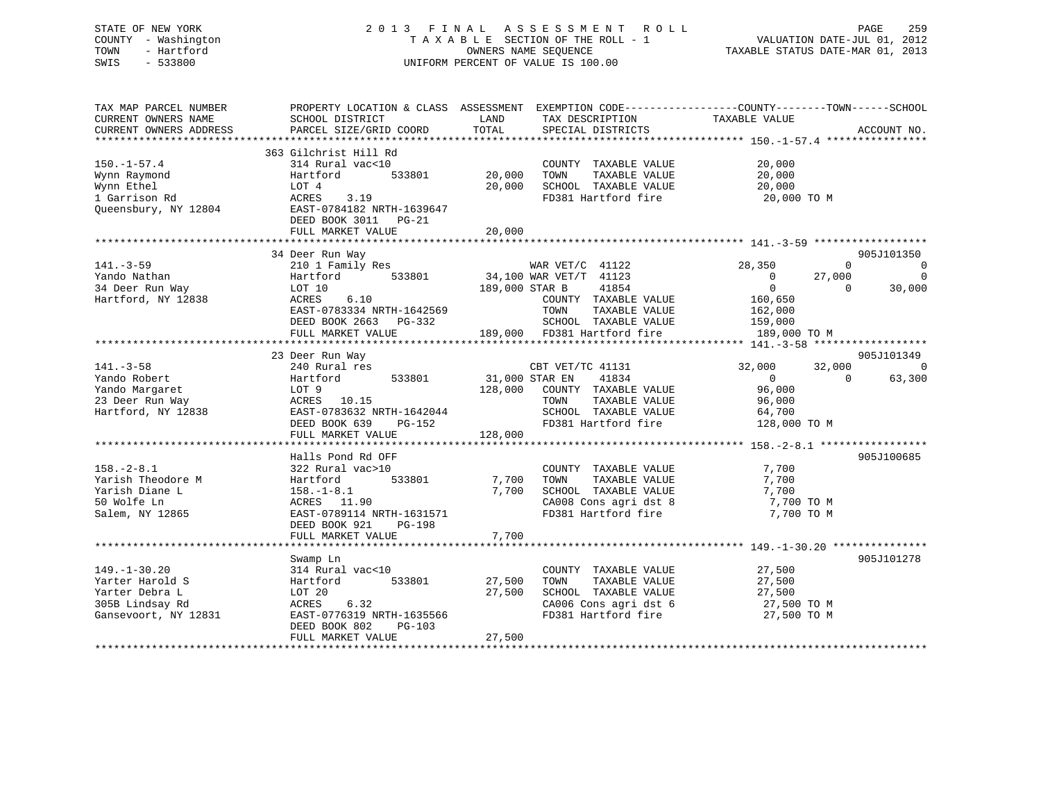# STATE OF NEW YORK 2 0 1 3 F I N A L A S S E S S M E N T R O L L PAGE 259 COUNTY - Washington T A X A B L E SECTION OF THE ROLL - 1 VALUATION DATE-JUL 01, 2012 TOWN - Hartford **TAXABLE STATUS DATE-MAR 01, 2013** SWIS - 533800 UNIFORM PERCENT OF VALUE IS 100.00

| TAX MAP PARCEL NUMBER<br>CURRENT OWNERS NAME<br>CURRENT OWNERS ADDRESS                             | SCHOOL DISTRICT<br>PARCEL SIZE/GRID COORD                                                                                                                                | PROPERTY LOCATION & CLASS ASSESSMENT EXEMPTION CODE---------------COUNTY-------TOWN-----SCHOOL<br>LAND<br>TAX DESCRIPTION<br>TOTAL<br>SPECIAL DISTRICTS         | TAXABLE VALUE<br>ACCOUNT NO.                                                                                                                                            |
|----------------------------------------------------------------------------------------------------|--------------------------------------------------------------------------------------------------------------------------------------------------------------------------|-----------------------------------------------------------------------------------------------------------------------------------------------------------------|-------------------------------------------------------------------------------------------------------------------------------------------------------------------------|
| $150. - 1 - 57.4$<br>Wynn Raymond<br>Wynn Ethel<br>1 Garrison Rd<br>Queensbury, NY 12804           | 363 Gilchrist Hill Rd<br>314 Rural vac<10<br>533801<br>Hartford<br>LOT 4<br>3.19<br>ACRES<br>EAST-0784182 NRTH-1639647<br>DEED BOOK 3011<br>$PG-21$<br>FULL MARKET VALUE | COUNTY TAXABLE VALUE<br>20,000<br>TAXABLE VALUE<br>TOWN<br>20,000<br>SCHOOL TAXABLE VALUE<br>FD381 Hartford fire<br>20,000                                      | 20,000<br>20,000<br>20,000<br>20,000 TO M                                                                                                                               |
|                                                                                                    | 34 Deer Run Way                                                                                                                                                          |                                                                                                                                                                 | 905J101350                                                                                                                                                              |
| $141. - 3 - 59$<br>Yando Nathan<br>34 Deer Run Way<br>Hartford, NY 12838                           | 210 1 Family Res<br>533801<br>Hartford<br>LOT 10<br>ACRES<br>6.10<br>EAST-0783334 NRTH-1642569<br>DEED BOOK 2663 PG-332                                                  | WAR VET/C 41122<br>34,100 WAR VET/T 41123<br>41854<br>189,000 STAR B<br>COUNTY TAXABLE VALUE<br>TOWN<br>TAXABLE VALUE<br>SCHOOL TAXABLE VALUE                   | 28,350<br>$\overline{0}$<br>$\overline{0}$<br>27,000<br>$\overline{0}$<br>$\overline{0}$<br>$\overline{0}$<br>$\overline{0}$<br>30,000<br>160,650<br>162,000<br>159,000 |
|                                                                                                    | FULL MARKET VALUE                                                                                                                                                        | 189,000 FD381 Hartford fire                                                                                                                                     | 189,000 TO M                                                                                                                                                            |
|                                                                                                    | 23 Deer Run Way                                                                                                                                                          |                                                                                                                                                                 | 905J101349                                                                                                                                                              |
| $141. - 3 - 58$<br>Yando Robert<br>Yando Margaret<br>23 Deer Run Way                               | 240 Rural res<br>533801<br>Hartford<br>LOT 9<br>ACRES 10.15<br>Hartford, NY 12838 EAST-0783632 NRTH-1642044<br>DEED BOOK 639<br>$PG-152$                                 | CBT VET/<br>31,000 STAR EN<br>CBT VET/TC 41131<br>41834<br>128,000 COUNTY TAXABLE VALUE<br>TAXABLE VALUE<br>TOWN<br>SCHOOL TAXABLE VALUE<br>FD381 Hartford fire | 32,000<br>32,000<br>0<br>63,300<br>$\overline{0}$<br>$\Omega$<br>96,000<br>96,000<br>64,700<br>128,000 TO M                                                             |
|                                                                                                    | FULL MARKET VALUE                                                                                                                                                        | 128,000                                                                                                                                                         |                                                                                                                                                                         |
| $158. - 2 - 8.1$                                                                                   | Halls Pond Rd OFF<br>322 Rural vac>10                                                                                                                                    | COUNTY TAXABLE VALUE                                                                                                                                            | 905J100685<br>7,700                                                                                                                                                     |
| Yarish Theodore M<br>Yarish Diane L<br>50 Wolfe Ln<br>Salem, NY 12865                              | 533801<br>Hartford<br>$158. - 1 - 8.1$<br>ACRES 11.90<br>EAST-0789114 NRTH-1631571<br>DEED BOOK 921<br>PG-198                                                            | 7,700<br>TAXABLE VALUE<br>7,700<br>SCHOOL TAXABLE VALUE<br>CA008 Cons agri dst 8<br>FD381 Hartford fire                                                         | 7,700<br>7,700<br>7,700 TO M<br>7,700 TO M                                                                                                                              |
|                                                                                                    | FULL MARKET VALUE<br>***********************                                                                                                                             | 7,700                                                                                                                                                           |                                                                                                                                                                         |
| $149. - 1 - 30.20$<br>Yarter Harold S<br>Yarter Debra L<br>305B Lindsay Rd<br>Gansevoort, NY 12831 | Swamp Ln<br>314 Rural vac<10<br>533801<br>Hartford<br>LOT 20<br>6.32<br>ACRES<br>EAST-0776319 NRTH-1635566<br>DEED BOOK 802<br>$PG-103$                                  | COUNTY TAXABLE VALUE<br>27,500<br>TOWN<br>TAXABLE VALUE<br>SCHOOL TAXABLE VALUE<br>27,500<br>CA006 Cons agri dst 6<br>FD381 Hartford fire                       | 905J101278<br>27,500<br>27,500<br>27,500<br>27,500 TO M<br>27,500 TO M                                                                                                  |
|                                                                                                    | FULL MARKET VALUE                                                                                                                                                        | 27,500                                                                                                                                                          |                                                                                                                                                                         |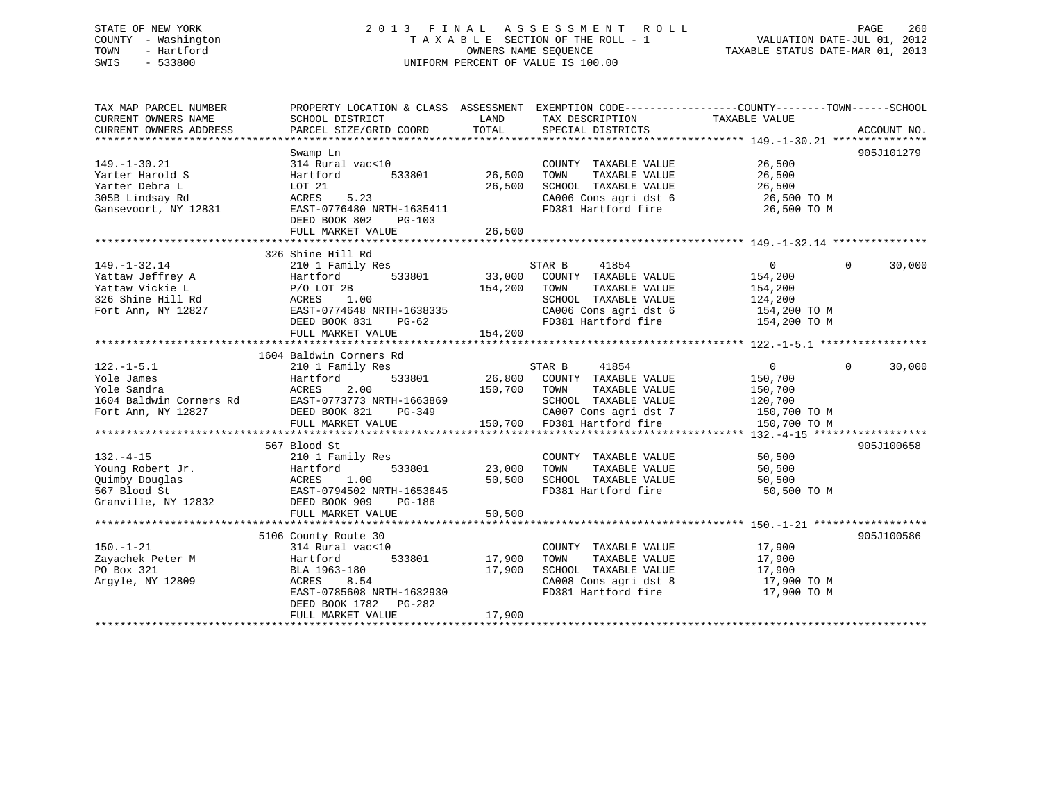# STATE OF NEW YORK 2 0 1 3 F I N A L A S S E S S M E N T R O L L PAGE 260 COUNTY - Washington T A X A B L E SECTION OF THE ROLL - 1 VALUATION DATE-JUL 01, 2012 TOWN - Hartford **TAXABLE STATUS DATE-MAR 01, 2013** SWIS - 533800 UNIFORM PERCENT OF VALUE IS 100.00

| TAX MAP PARCEL NUMBER<br>CURRENT OWNERS NAME<br>CURRENT OWNERS ADDRESS                               | PROPERTY LOCATION & CLASS ASSESSMENT EXEMPTION CODE----------------COUNTY-------TOWN------SCHOOL<br>SCHOOL DISTRICT<br>PARCEL SIZE/GRID COORD         | LAND<br>TOTAL              | TAX DESCRIPTION TAXABLE VALUE<br>SPECIAL DISTRICTS                                                                                                      |                                                                                 | ACCOUNT NO.        |
|------------------------------------------------------------------------------------------------------|-------------------------------------------------------------------------------------------------------------------------------------------------------|----------------------------|---------------------------------------------------------------------------------------------------------------------------------------------------------|---------------------------------------------------------------------------------|--------------------|
|                                                                                                      | Swamp Ln                                                                                                                                              |                            |                                                                                                                                                         |                                                                                 | 905J101279         |
| $149. - 1 - 30.21$<br>Yarter Harold S<br>Yarter Debra L                                              | 314 Rural vac<10<br>Hartford<br>533801<br>LOT 21                                                                                                      | 26,500<br>26,500           | COUNTY TAXABLE VALUE<br>TAXABLE VALUE<br>TOWN<br>SCHOOL TAXABLE VALUE                                                                                   | 26,500<br>26,500<br>26,500                                                      |                    |
| 305B Lindsay Rd<br>Gansevoort, NY 12831                                                              | 5.23<br>ACRES<br>EAST-0776480 NRTH-1635411<br>DEED BOOK 802<br>PG-103<br>FULL MARKET VALUE                                                            | 26,500                     | CA006 Cons agri dst 6<br>FD381 Hartford fire                                                                                                            | 26,500 TO M<br>26,500 TO M                                                      |                    |
|                                                                                                      |                                                                                                                                                       |                            |                                                                                                                                                         |                                                                                 |                    |
| $149. - 1 - 32.14$<br>Yattaw Jeffrey A<br>Yattaw Vickie L<br>326 Shine Hill Rd<br>Fort Ann, NY 12827 | 326 Shine Hill Rd<br>210 1 Family Res<br>533801<br>Hartford<br>$P/O$ LOT 2B<br>1.00<br>ACRES<br>EAST-0774648 NRTH-1638335<br>DEED BOOK 831<br>$PG-62$ | 33,000<br>154,200          | STAR B<br>41854<br>COUNTY TAXABLE VALUE<br>TAXABLE VALUE<br>TOWN<br>SCHOOL TAXABLE VALUE<br>CA006 Cons agri dst 6<br>FD381 Hartford fire                | $\overline{0}$<br>154,200<br>154,200<br>124,200<br>154,200 TO M<br>154,200 TO M | $\Omega$<br>30,000 |
|                                                                                                      | FULL MARKET VALUE                                                                                                                                     | 154,200                    |                                                                                                                                                         |                                                                                 |                    |
|                                                                                                      | 1604 Baldwin Corners Rd                                                                                                                               |                            |                                                                                                                                                         |                                                                                 |                    |
| $122. - 1 - 5.1$<br>Yole James<br>Yole Sandra<br>1604 Baldwin Corners Rd<br>Fort Ann, NY 12827       | 210 1 Family Res<br>Hartford<br>533801<br>ACRES<br>2.00<br>ACRES 2.00<br>EAST-0773773 NRTH-1663869<br>DEED BOOK 821<br>PG-349<br>FULL MARKET VALUE    | 150,700                    | 41854<br>STAR B<br>26,800 COUNTY TAXABLE VALUE<br>TOWN<br>TAXABLE VALUE<br>SCHOOL TAXABLE VALUE<br>CA007 Cons agri dst 7<br>150,700 FD381 Hartford fire | $\overline{0}$<br>150,700<br>150,700<br>120,700<br>150,700 TO M<br>150,700 TO M | $\Omega$<br>30,000 |
|                                                                                                      | 567 Blood St                                                                                                                                          |                            |                                                                                                                                                         |                                                                                 | 905J100658         |
| $132. -4 - 15$<br>Young Robert Jr.<br>Quimby Douglas<br>567 Blood St<br>Granville, NY 12832          | 210 1 Family Res<br>Hartford 533801<br>ACRES 1.00<br>EAST-0794502 NRTH-1653645<br>DEED BOOK 909<br>PG-186                                             | 23,000<br>50,500           | COUNTY TAXABLE VALUE<br>TOWN<br>TAXABLE VALUE<br>SCHOOL TAXABLE VALUE<br>FD381 Hartford fire                                                            | 50,500<br>50,500<br>50,500<br>50,500 TO M                                       |                    |
|                                                                                                      | FULL MARKET VALUE                                                                                                                                     | 50,500                     |                                                                                                                                                         |                                                                                 |                    |
|                                                                                                      | 5106 County Route 30                                                                                                                                  |                            |                                                                                                                                                         |                                                                                 | 905J100586         |
| $150. - 1 - 21$<br>Zayachek Peter M<br>PO Box 321<br>Argyle, NY 12809                                | 314 Rural vac<10<br>533801<br>Hartford<br>BLA 1963-180<br>ACRES<br>8.54<br>EAST-0785608 NRTH-1632930<br>DEED BOOK 1782<br>PG-282<br>FULL MARKET VALUE | 17,900<br>17,900<br>17,900 | COUNTY TAXABLE VALUE<br>TAXABLE VALUE<br>TOWN<br>SCHOOL TAXABLE VALUE<br>CA008 Cons agri dst 8<br>FD381 Hartford fire                                   | 17,900<br>17,900<br>17,900<br>17,900 TO M<br>17,900 TO M                        |                    |
|                                                                                                      |                                                                                                                                                       |                            |                                                                                                                                                         |                                                                                 |                    |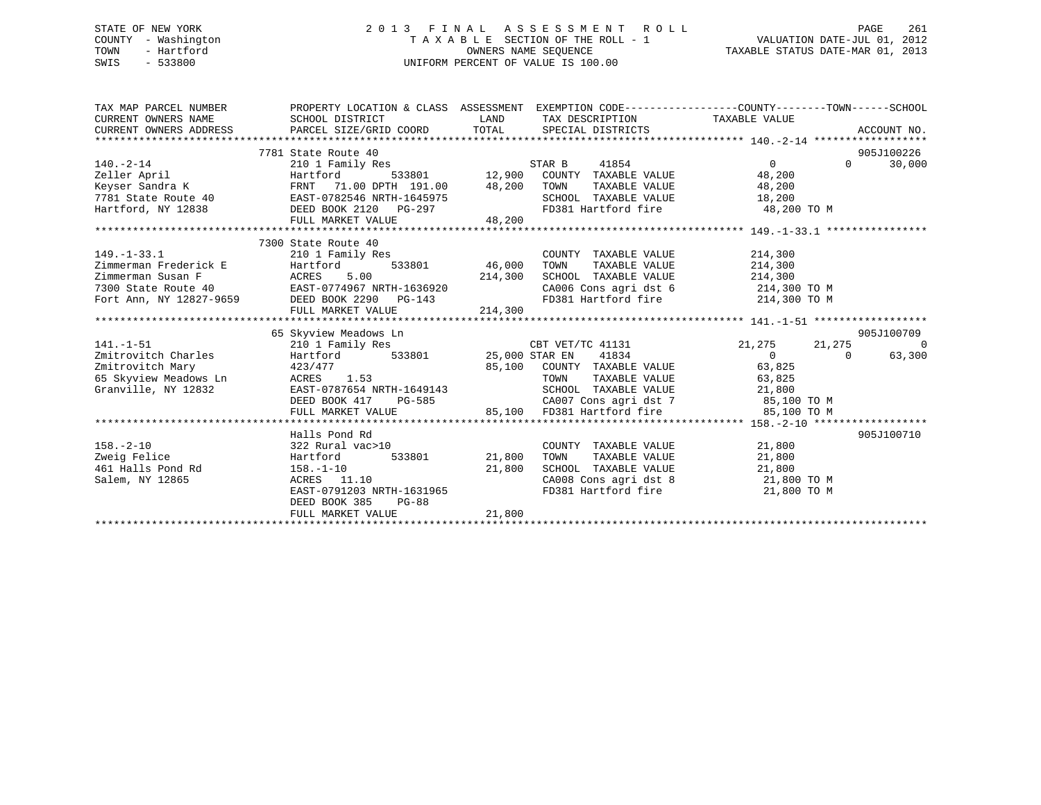# STATE OF NEW YORK 2 0 1 3 F I N A L A S S E S S M E N T R O L L PAGE 261 COUNTY - Washington T A X A B L E SECTION OF THE ROLL - 1 VALUATION DATE-JUL 01, 2012 TOWN - Hartford **TAXABLE STATUS DATE-MAR 01, 2013** SWIS - 533800 UNIFORM PERCENT OF VALUE IS 100.00

| TAX MAP PARCEL NUMBER<br>CURRENT OWNERS NAME<br>CURRENT OWNERS ADDRESS | SCHOOL DISTRICT<br>PARCEL SIZE/GRID COORD TOTAL SPECIAL DISTRICTS                                                                                                                                                                     |                    | LAND TAX DESCRIPTION TAXABLE VALUE                                                                     | PROPERTY LOCATION & CLASS ASSESSMENT EXEMPTION CODE----------------COUNTY-------TOWN-----SCHOOL | ACCOUNT NO.    |
|------------------------------------------------------------------------|---------------------------------------------------------------------------------------------------------------------------------------------------------------------------------------------------------------------------------------|--------------------|--------------------------------------------------------------------------------------------------------|-------------------------------------------------------------------------------------------------|----------------|
|                                                                        | 7781 State Route 40                                                                                                                                                                                                                   |                    |                                                                                                        |                                                                                                 | 905J100226     |
| $140. -2 - 14$                                                         |                                                                                                                                                                                                                                       |                    |                                                                                                        | $\Omega$                                                                                        | 30,000         |
| Zeller April                                                           |                                                                                                                                                                                                                                       |                    |                                                                                                        |                                                                                                 |                |
|                                                                        |                                                                                                                                                                                                                                       |                    |                                                                                                        | TAXABLE VALUE 48,200                                                                            |                |
|                                                                        |                                                                                                                                                                                                                                       |                    | SCHOOL TAXABLE VALUE 18,200                                                                            |                                                                                                 |                |
|                                                                        |                                                                                                                                                                                                                                       |                    | FD381 Hartford fire 48,200 TO M                                                                        |                                                                                                 |                |
|                                                                        | Expect Sandra K<br>TRNT 71.00 DPTH 191.00 48,200 TOWN<br>7781 State Route 40 EAST-0782546 NRTH-1645975 SCHOO<br>Hartford, NY 12838 DEED BOOK 2120 PG-297 FD381<br>FULL MARKET VALUE 48,200 FD381                                      |                    |                                                                                                        |                                                                                                 |                |
|                                                                        |                                                                                                                                                                                                                                       |                    |                                                                                                        |                                                                                                 |                |
|                                                                        | 7300 State Route 40                                                                                                                                                                                                                   |                    |                                                                                                        |                                                                                                 |                |
|                                                                        | 149.-1-33.1 210 1 Family Res<br>210 1 Family Res<br>210 1 Family Res<br>214,000<br>214,300<br>214,300<br>7300 State Route 40<br>Fort Ann, NY 12827-9659<br>BEED BOOK 2290 PG-143<br>PILE MARKET VALUE<br>PILE MARKET VALUE<br>214,300 |                    | COUNTY TAXABLE VALUE 214,300                                                                           |                                                                                                 |                |
|                                                                        |                                                                                                                                                                                                                                       | 533801 46,000 TOWN | TAXABLE VALUE                                                                                          | 214,300                                                                                         |                |
|                                                                        |                                                                                                                                                                                                                                       |                    |                                                                                                        |                                                                                                 |                |
|                                                                        |                                                                                                                                                                                                                                       |                    |                                                                                                        |                                                                                                 |                |
|                                                                        |                                                                                                                                                                                                                                       |                    | SCHOOL TAXABLE VALUE 214,300<br>CA006 Cons agri dst 6 214,300 TO M<br>FD381 Hartford fire 214,300 TO M |                                                                                                 |                |
|                                                                        | FULL MARKET VALUE                                                                                                                                                                                                                     | 214,300            |                                                                                                        |                                                                                                 |                |
|                                                                        |                                                                                                                                                                                                                                       |                    |                                                                                                        |                                                                                                 |                |
|                                                                        | 65 Skyview Meadows Ln                                                                                                                                                                                                                 |                    |                                                                                                        |                                                                                                 | 905J100709     |
| $141. - 1 - 51$                                                        | 210 1 Family Res                                                                                                                                                                                                                      |                    | CBT VET/TC 41131                                                                                       | 21,275<br>21,275                                                                                | $\overline{0}$ |
| Zmitrovitch Charles                                                    |                                                                                                                                                                                                                                       |                    |                                                                                                        |                                                                                                 |                |
|                                                                        | Hartford                                                                                                                                                                                                                              |                    | 533801 25,000 STAR EN 41834                                                                            | $\overline{0}$<br>$\Omega$                                                                      | 63,300         |
| Zmitrovitch Mary                                                       | 423/477                                                                                                                                                                                                                               |                    |                                                                                                        | 63,825                                                                                          |                |
| 65 Skyview Meadows Ln                                                  | ACRES 1.53                                                                                                                                                                                                                            |                    | 85,100 COUNTY TAXABLE VALUE<br>TOWN TAXABLE VALUE                                                      | TAXABLE VALUE 63,825                                                                            |                |
| Granville, NY 12832                                                    | EAST-0787654 NRTH-1649143                                                                                                                                                                                                             |                    | SCHOOL TAXABLE VALUE 21,800                                                                            |                                                                                                 |                |
|                                                                        | DEED BOOK 417                                                                                                                                                                                                                         | $PG-585$           | CA007 Cons agri dst 7 85,100 TO M                                                                      |                                                                                                 |                |
|                                                                        | FULL MARKET VALUE                                                                                                                                                                                                                     |                    | 85,100 FD381 Hartford fire 35,100 TO M                                                                 |                                                                                                 |                |
|                                                                        |                                                                                                                                                                                                                                       |                    |                                                                                                        |                                                                                                 |                |
|                                                                        | Halls Pond Rd                                                                                                                                                                                                                         |                    |                                                                                                        |                                                                                                 | 905J100710     |
| $158. - 2 - 10$                                                        | 322 Rural vac>10                                                                                                                                                                                                                      |                    | COUNTY TAXABLE VALUE 21,800                                                                            |                                                                                                 |                |
| Zweig Felice                                                           | 533801<br>Hartford                                                                                                                                                                                                                    | 21,800             | TOWN                                                                                                   | TAXABLE VALUE 21,800                                                                            |                |
| 461 Halls Pond Rd 158.-1-10                                            |                                                                                                                                                                                                                                       | 21,800             | SCHOOL TAXABLE VALUE 21,800                                                                            |                                                                                                 |                |
| Salem, NY 12865                                                        | 158.-1-10<br>ACRES 11.10                                                                                                                                                                                                              |                    | CA008 Cons agri dst 8 21,800 TO M                                                                      |                                                                                                 |                |
|                                                                        | EAST-0791203 NRTH-1631965                                                                                                                                                                                                             |                    | FD381 Hartford fire                                                                                    | 21,800 TO M                                                                                     |                |
|                                                                        | DEED BOOK 385<br><b>PG-88</b>                                                                                                                                                                                                         |                    |                                                                                                        |                                                                                                 |                |
|                                                                        | FULL MARKET VALUE                                                                                                                                                                                                                     | 21,800             |                                                                                                        |                                                                                                 |                |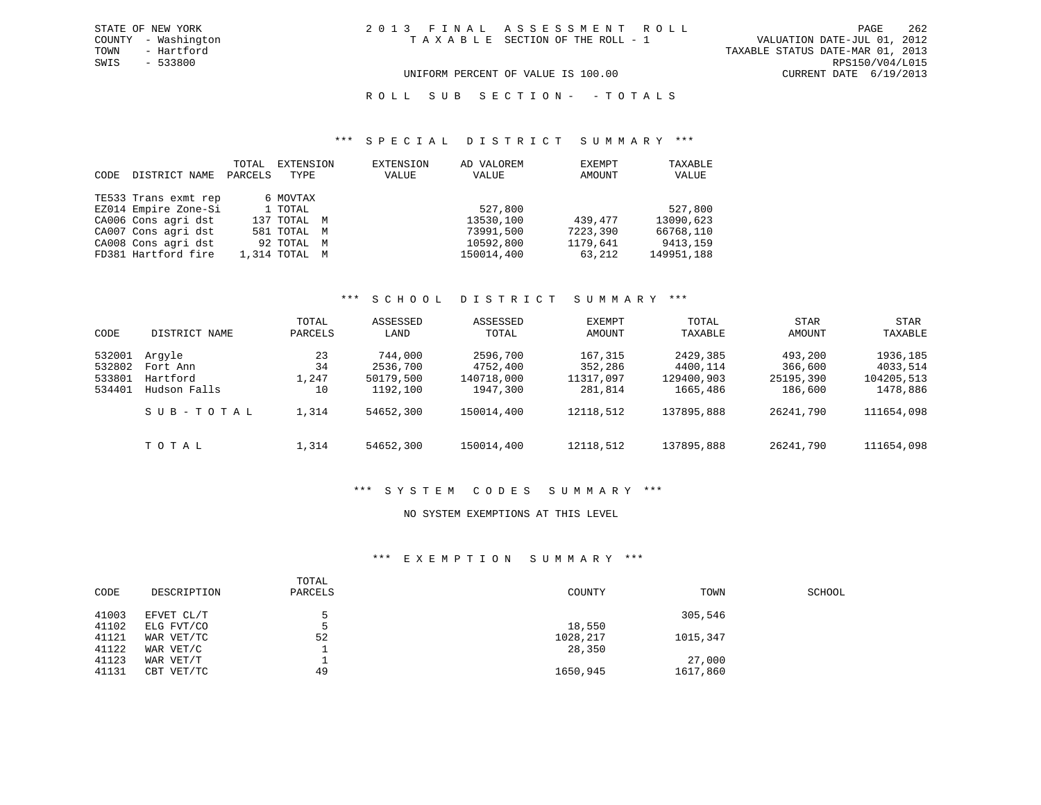TOWN - Hartford TAXABLE STATUS DATE-MAR 01, 2013 SWIS - 533800 RPS150/V04/L015 UNIFORM PERCENT OF VALUE IS 100.00 CURRENT DATE 6/19/2013

R O L L S U B S E C T I O N - - T O T A L S

### \*\*\* S P E C I A L D I S T R I C T S U M M A R Y \*\*\*

| CODE | DISTRICT NAME        | TOTAL<br>PARCELS | EXTENSION<br>TYPE | EXTENSION<br>VALUE | AD VALOREM<br>VALUE | EXEMPT<br>AMOUNT | TAXABLE<br>VALUE |
|------|----------------------|------------------|-------------------|--------------------|---------------------|------------------|------------------|
|      | TE533 Trans exmt rep |                  | 6 MOVTAX          |                    |                     |                  |                  |
|      | EZ014 Empire Zone-Si |                  | 1 TOTAL           |                    | 527,800             |                  | 527,800          |
|      | CA006 Cons agri dst  |                  | 137 TOTAL M       |                    | 13530,100           | 439,477          | 13090,623        |
|      | CA007 Cons agri dst  |                  | 581 TOTAL M       |                    | 73991,500           | 7223,390         | 66768,110        |
|      | CA008 Cons agri dst  |                  | 92 TOTAL M        |                    | 10592,800           | 1179,641         | 9413,159         |
|      | FD381 Hartford fire  |                  | 1,314 TOTAL M     |                    | 150014,400          | 63,212           | 149951,188       |

# \*\*\* S C H O O L D I S T R I C T S U M M A R Y \*\*\*

| CODE                                 | DISTRICT NAME                                  | TOTAL<br>PARCELS        | ASSESSED<br>LAND                             | ASSESSED<br>TOTAL                              | EXEMPT<br>AMOUNT                           | TOTAL<br>TAXABLE                               | STAR<br>AMOUNT                             | STAR<br>TAXABLE                                |
|--------------------------------------|------------------------------------------------|-------------------------|----------------------------------------------|------------------------------------------------|--------------------------------------------|------------------------------------------------|--------------------------------------------|------------------------------------------------|
| 532001<br>532802<br>533801<br>534401 | Arqyle<br>Fort Ann<br>Hartford<br>Hudson Falls | 23<br>34<br>1,247<br>10 | 744,000<br>2536,700<br>50179,500<br>1192,100 | 2596,700<br>4752,400<br>140718,000<br>1947,300 | 167,315<br>352,286<br>11317,097<br>281,814 | 2429,385<br>4400,114<br>129400,903<br>1665,486 | 493,200<br>366,600<br>25195,390<br>186,600 | 1936,185<br>4033,514<br>104205,513<br>1478,886 |
|                                      | SUB-TOTAL                                      | 1,314                   | 54652,300                                    | 150014,400                                     | 12118,512                                  | 137895,888                                     | 26241,790                                  | 111654,098                                     |
|                                      | TOTAL                                          | 1,314                   | 54652,300                                    | 150014,400                                     | 12118,512                                  | 137895,888                                     | 26241,790                                  | 111654,098                                     |

### \*\*\* S Y S T E M C O D E S S U M M A R Y \*\*\*

### NO SYSTEM EXEMPTIONS AT THIS LEVEL

# \*\*\* E X E M P T I O N S U M M A R Y \*\*\*

| CODE  | DESCRIPTION | TOTAL<br>PARCELS | COUNTY   | TOWN     | SCHOOL |
|-------|-------------|------------------|----------|----------|--------|
| 41003 | EFVET CL/T  |                  |          | 305,546  |        |
| 41102 | ELG FVT/CO  |                  | 18,550   |          |        |
| 41121 | WAR VET/TC  | 52               | 1028,217 | 1015,347 |        |
| 41122 | WAR VET/C   |                  | 28,350   |          |        |
| 41123 | WAR VET/T   |                  |          | 27,000   |        |
| 41131 | CBT VET/TC  | 49               | 1650,945 | 1617,860 |        |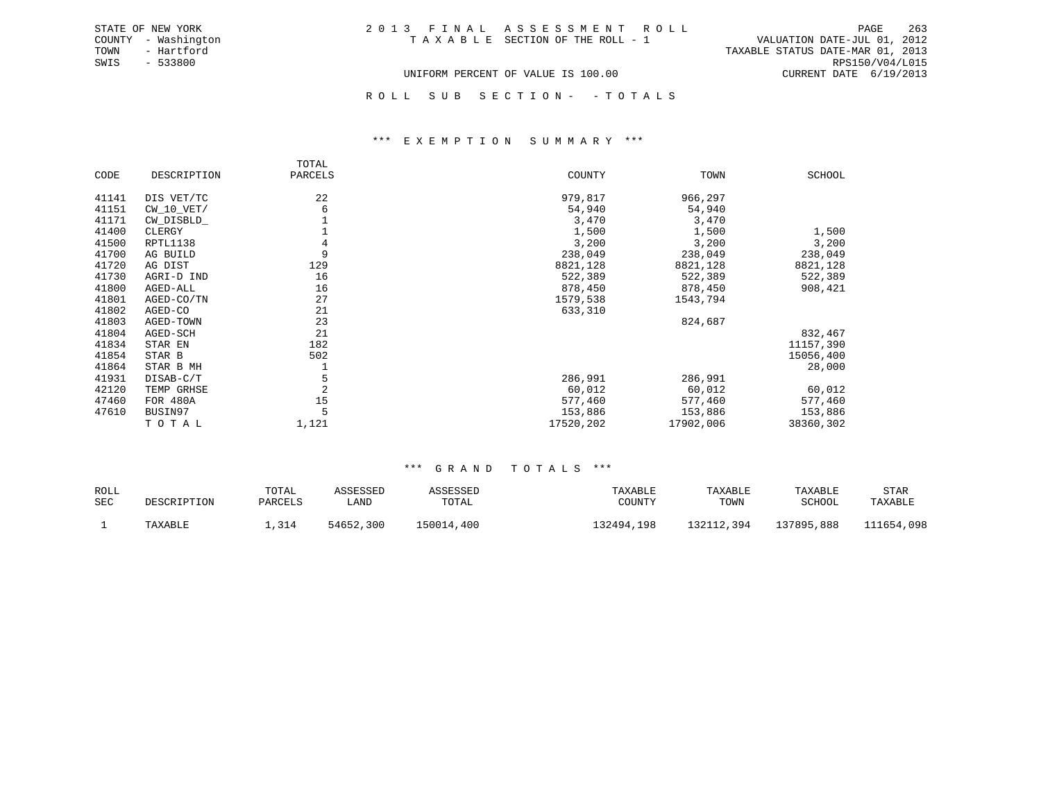| STATE OF NEW YORK |          |              |
|-------------------|----------|--------------|
| COUNTY            |          | - Washington |
| TOWN              |          | - Hartford   |
| SWIS              | - 533800 |              |

TAXABLE STATUS DATE-MAR 01, 2013 SWIS - 533800 RPS150/V04/L015 UNIFORM PERCENT OF VALUE IS 100.00 CURRENT DATE 6/19/2013

ROLL SUB SECTION - - TOTALS

### \*\*\* E X E M P T I O N S U M M A R Y \*\*\*

|       |              | TOTAL   |           |           |               |
|-------|--------------|---------|-----------|-----------|---------------|
| CODE  | DESCRIPTION  | PARCELS | COUNTY    | TOWN      | <b>SCHOOL</b> |
| 41141 | DIS VET/TC   | 22      | 979,817   | 966,297   |               |
| 41151 | $CW_10_VET/$ | 6       | 54,940    | 54,940    |               |
| 41171 | CW_DISBLD_   |         | 3,470     | 3,470     |               |
| 41400 | CLERGY       |         | 1,500     | 1,500     | 1,500         |
| 41500 | RPTL1138     | 4       | 3,200     | 3,200     | 3,200         |
| 41700 | AG BUILD     | 9       | 238,049   | 238,049   | 238,049       |
| 41720 | AG DIST      | 129     | 8821,128  | 8821,128  | 8821,128      |
| 41730 | AGRI-D IND   | 16      | 522,389   | 522,389   | 522,389       |
| 41800 | AGED-ALL     | 16      | 878,450   | 878,450   | 908,421       |
| 41801 | AGED-CO/TN   | 27      | 1579,538  | 1543,794  |               |
| 41802 | AGED-CO      | 21      | 633,310   |           |               |
| 41803 | AGED-TOWN    | 23      |           | 824,687   |               |
| 41804 | AGED-SCH     | 21      |           |           | 832,467       |
| 41834 | STAR EN      | 182     |           |           | 11157,390     |
| 41854 | STAR B       | 502     |           |           | 15056,400     |
| 41864 | STAR B MH    |         |           |           | 28,000        |
| 41931 | DISAB-C/T    | 5       | 286,991   | 286,991   |               |
| 42120 | TEMP GRHSE   | 2       | 60,012    | 60,012    | 60,012        |
| 47460 | FOR 480A     | 15      | 577,460   | 577,460   | 577,460       |
| 47610 | BUSIN97      |         | 153,886   | 153,886   | 153,886       |
|       | TOTAL        | 1,121   | 17520,202 | 17902,006 | 38360,302     |

| ROLL |             | TOTAL   | ASSESSED  | ASSESSED   | TAXABLE    | TAXABLE    | TAXABLE    | STAR       |
|------|-------------|---------|-----------|------------|------------|------------|------------|------------|
| SEC  | DESCRIPTION | PARCELS | LAND      | TOTAL      | COUNTY     | TOWN       | SCHOOL     | TAXABLE    |
|      | TAXABLE     | ,314    | 54652,300 | 150014,400 | 132494,198 | 132112,394 | 137895,888 | 111654,098 |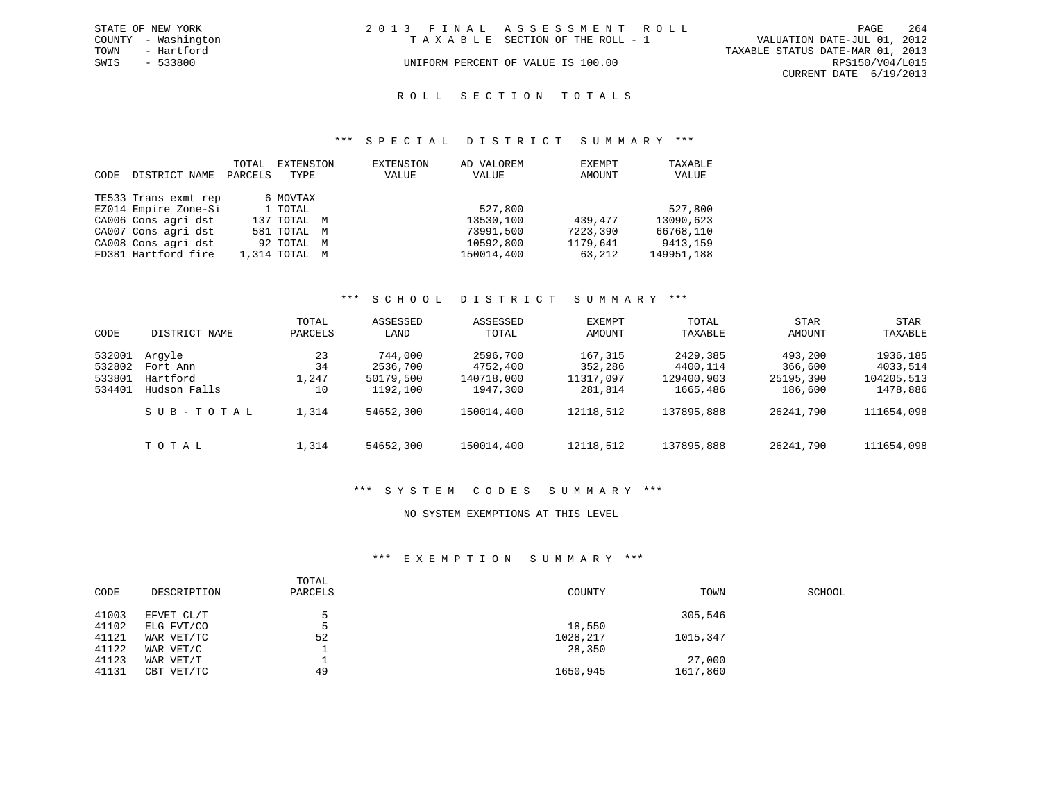|      | STATE OF NEW YORK   | 2013 FINAL ASSESSMENT ROLL |                                    |                                  |                        | PAGE | 264 |
|------|---------------------|----------------------------|------------------------------------|----------------------------------|------------------------|------|-----|
|      | COUNTY - Washington |                            | TAXABLE SECTION OF THE ROLL - 1    | VALUATION DATE-JUL 01, 2012      |                        |      |     |
| TOWN | - Hartford          |                            |                                    | TAXABLE STATUS DATE-MAR 01, 2013 |                        |      |     |
| SWIS | - 533800            |                            | UNIFORM PERCENT OF VALUE IS 100.00 |                                  | RPS150/V04/L015        |      |     |
|      |                     |                            |                                    |                                  | CURRENT DATE 6/19/2013 |      |     |

### R O L L S E C T I O N T O T A L S

### \*\*\* S P E C I A L D I S T R I C T S U M M A R Y \*\*\*

|      |                      | TOTAL   | EXTENSION     | EXTENSION | AD VALOREM | EXEMPT   | TAXABLE    |
|------|----------------------|---------|---------------|-----------|------------|----------|------------|
| CODE | DISTRICT NAME        | PARCELS | TYPE          | VALUE     | VALUE      | AMOUNT   | VALUE      |
|      |                      |         |               |           |            |          |            |
|      | TE533 Trans exmt rep |         | 6 MOVTAX      |           |            |          |            |
|      | EZ014 Empire Zone-Si |         | 1 TOTAL       |           | 527,800    |          | 527,800    |
|      | CA006 Cons agri dst  |         | 137 TOTAL M   |           | 13530,100  | 439,477  | 13090,623  |
|      | CA007 Cons agri dst  |         | 581 TOTAL M   |           | 73991,500  | 7223,390 | 66768,110  |
|      | CA008 Cons agri dst  |         | 92 TOTAL M    |           | 10592,800  | 1179,641 | 9413,159   |
|      | FD381 Hartford fire  |         | 1,314 TOTAL M |           | 150014,400 | 63,212   | 149951,188 |

# \*\*\* S C H O O L D I S T R I C T S U M M A R Y \*\*\*

| CODE   | DISTRICT NAME | TOTAL<br>PARCELS | ASSESSED<br>LAND | ASSESSED<br>TOTAL | EXEMPT<br>AMOUNT | TOTAL<br>TAXABLE | <b>STAR</b><br>AMOUNT | STAR<br>TAXABLE |
|--------|---------------|------------------|------------------|-------------------|------------------|------------------|-----------------------|-----------------|
| 532001 | Arqyle        | 23               | 744,000          | 2596,700          | 167,315          | 2429,385         | 493,200               | 1936,185        |
| 532802 | Fort Ann      | 34               | 2536,700         | 4752,400          | 352,286          | 4400,114         | 366,600               | 4033,514        |
| 533801 | Hartford      | 1,247            | 50179,500        | 140718,000        | 11317,097        | 129400,903       | 25195,390             | 104205,513      |
| 534401 | Hudson Falls  | 10               | 1192,100         | 1947,300          | 281,814          | 1665,486         | 186,600               | 1478,886        |
|        | SUB-TOTAL     | 1,314            | 54652,300        | 150014,400        | 12118,512        | 137895,888       | 26241,790             | 111654,098      |
|        | TOTAL         | 1,314            | 54652,300        | 150014,400        | 12118,512        | 137895,888       | 26241,790             | 111654,098      |

### \*\*\* S Y S T E M C O D E S S U M M A R Y \*\*\*

### NO SYSTEM EXEMPTIONS AT THIS LEVEL

### \*\*\* E X E M P T I O N S U M M A R Y \*\*\*

| CODE  | DESCRIPTION | TOTAL<br>PARCELS | COUNTY   | TOWN     | SCHOOL |
|-------|-------------|------------------|----------|----------|--------|
| 41003 | EFVET CL/T  |                  |          | 305,546  |        |
| 41102 | ELG FVT/CO  |                  | 18,550   |          |        |
| 41121 | WAR VET/TC  | 52               | 1028,217 | 1015,347 |        |
| 41122 | WAR VET/C   |                  | 28,350   |          |        |
| 41123 | WAR VET/T   |                  |          | 27,000   |        |
| 41131 | CBT VET/TC  | 49               | 1650,945 | 1617,860 |        |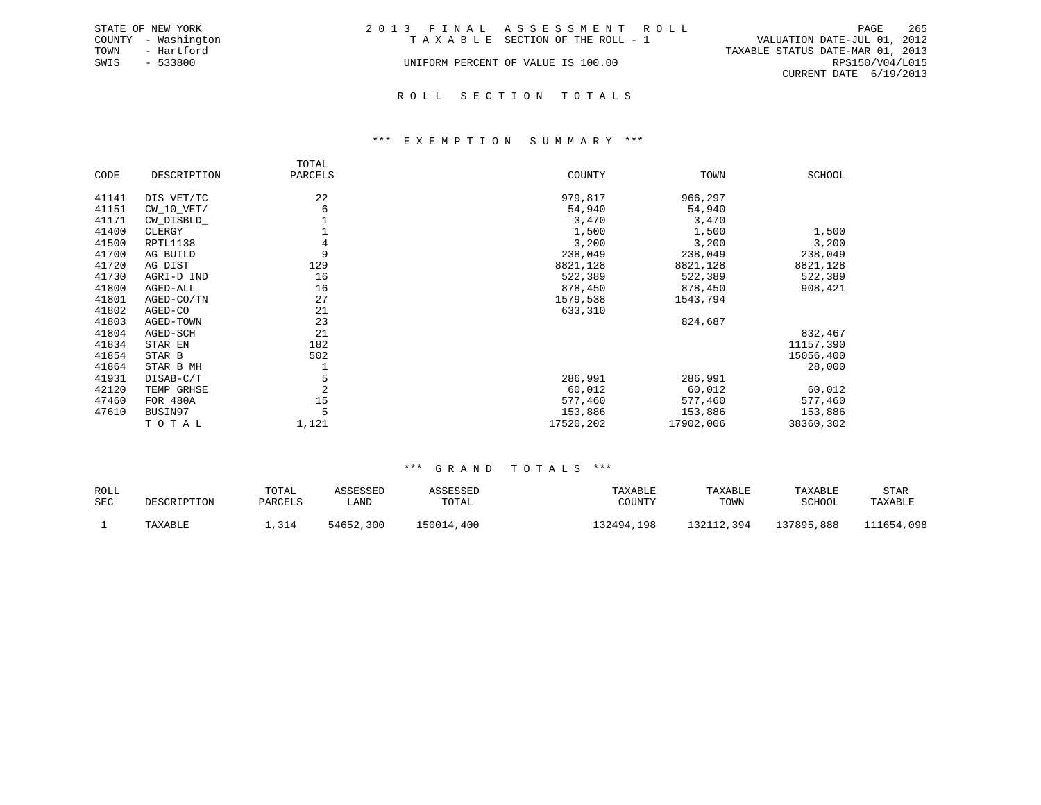|      | STATE OF NEW YORK   | 2013 FINAL ASSESSMENT ROLL         |                                  | PAGE            | 265 |
|------|---------------------|------------------------------------|----------------------------------|-----------------|-----|
|      | COUNTY - Washington | TAXABLE SECTION OF THE ROLL - 1    | VALUATION DATE-JUL 01, 2012      |                 |     |
| TOWN | - Hartford          |                                    | TAXABLE STATUS DATE-MAR 01, 2013 |                 |     |
| SWIS | $-533800$           | UNIFORM PERCENT OF VALUE IS 100.00 |                                  | RPS150/V04/L015 |     |
|      |                     |                                    | CURRENT DATE 6/19/2013           |                 |     |
|      |                     |                                    |                                  |                 |     |

### R O L L S E C T I O N T O T A L S

### \*\*\* E X E M P T I O N S U M M A R Y \*\*\*

|       |              | TOTAL          |           |           |           |
|-------|--------------|----------------|-----------|-----------|-----------|
| CODE  | DESCRIPTION  | PARCELS        | COUNTY    | TOWN      | SCHOOL    |
| 41141 | DIS VET/TC   | 22             | 979,817   | 966,297   |           |
| 41151 | $CW_10_VET/$ | 6              | 54,940    | 54,940    |           |
| 41171 | CW_DISBLD_   |                | 3,470     | 3,470     |           |
| 41400 | CLERGY       |                | 1,500     | 1,500     | 1,500     |
| 41500 | RPTL1138     | 4              | 3,200     | 3,200     | 3,200     |
| 41700 | AG BUILD     | 9              | 238,049   | 238,049   | 238,049   |
| 41720 | AG DIST      | 129            | 8821,128  | 8821,128  | 8821,128  |
| 41730 | AGRI-D IND   | 16             | 522,389   | 522,389   | 522,389   |
| 41800 | AGED-ALL     | 16             | 878,450   | 878,450   | 908,421   |
| 41801 | AGED-CO/TN   | 27             | 1579,538  | 1543,794  |           |
| 41802 | AGED-CO      | 21             | 633,310   |           |           |
| 41803 | AGED-TOWN    | 23             |           | 824,687   |           |
| 41804 | AGED-SCH     | 21             |           |           | 832,467   |
| 41834 | STAR EN      | 182            |           |           | 11157,390 |
| 41854 | STAR B       | 502            |           |           | 15056,400 |
| 41864 | STAR B MH    |                |           |           | 28,000    |
| 41931 | DISAB-C/T    | 5              | 286,991   | 286,991   |           |
| 42120 | TEMP GRHSE   | $\overline{2}$ | 60,012    | 60,012    | 60,012    |
| 47460 | FOR 480A     | 15             | 577,460   | 577,460   | 577,460   |
| 47610 | BUSIN97      | 5              | 153,886   | 153,886   | 153,886   |
|       | TOTAL        | 1,121          | 17520,202 | 17902,006 | 38360,302 |

| ROLL |             | TOTAL   | ASSESSED  | ASSESSED   | TAXABLE    | TAXABLE    | TAXABLE    | STAR       |
|------|-------------|---------|-----------|------------|------------|------------|------------|------------|
| SEC  | DESCRIPTION | PARCELS | úAND      | TOTAL      | COUNTY     | TOWN       | SCHOOL     | TAXABLE    |
|      | TAXABLE     | 1,314   | 54652,300 | 150014,400 | 132494,198 | 132112,394 | 137895,888 | 111654,098 |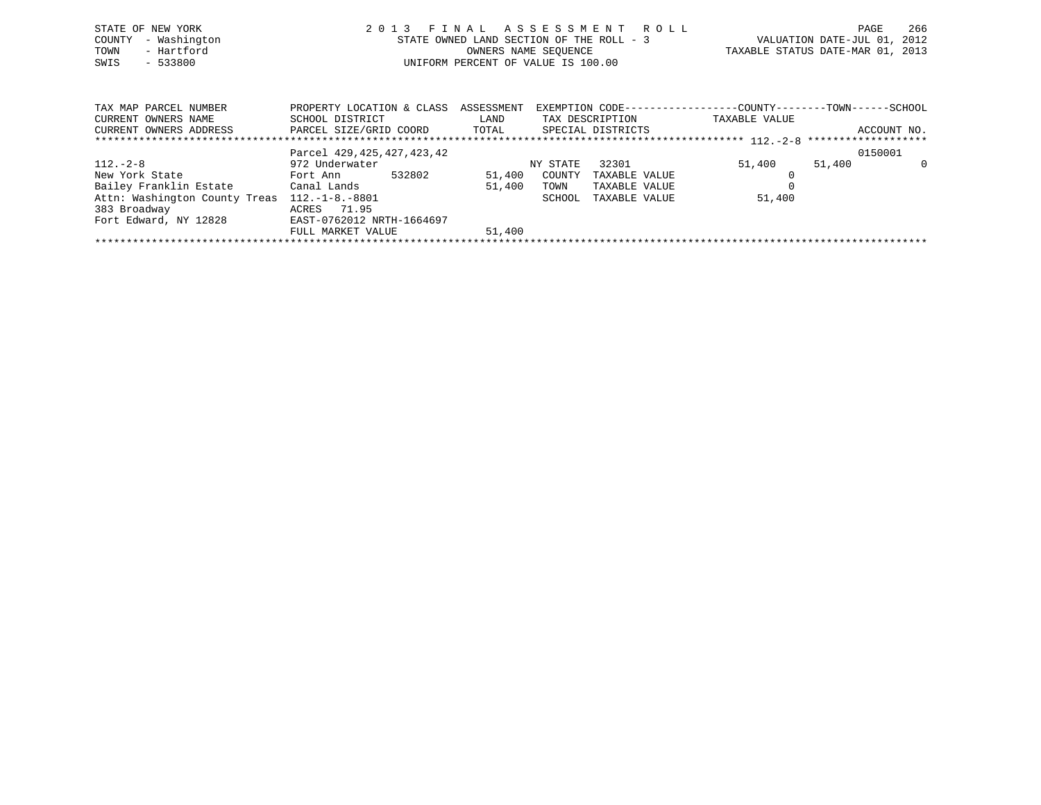| STATE OF NEW YORK<br>- Washington<br>COUNTY<br>- Hartford<br>TOWN<br>$-533800$<br>SWIS     | FINAL ASSESSMENT ROLL<br>2 0 1 3<br>STATE OWNED LAND SECTION OF THE ROLL - 3<br>OWNERS NAME SEQUENCE<br>UNIFORM PERCENT OF VALUE IS 100.00 |                    |                    |                                | TAXABLE STATUS DATE-MAR 01, 2013                                              | PAGE<br>VALUATION DATE-JUL 01, 2012 | 266         |
|--------------------------------------------------------------------------------------------|--------------------------------------------------------------------------------------------------------------------------------------------|--------------------|--------------------|--------------------------------|-------------------------------------------------------------------------------|-------------------------------------|-------------|
| TAX MAP PARCEL NUMBER<br>CURRENT OWNERS NAME<br>CURRENT OWNERS ADDRESS                     | PROPERTY LOCATION & CLASS<br>SCHOOL DISTRICT<br>PARCEL SIZE/GRID COORD TOTAL SPECIAL DISTRICTS                                             | ASSESSMENT<br>LAND |                    | TAX DESCRIPTION                | EXEMPTION CODE-----------------COUNTY-------TOWN------SCHOOL<br>TAXABLE VALUE |                                     | ACCOUNT NO. |
| $112. - 2 - 8$<br>New York State                                                           | Parcel 429, 425, 427, 423, 42<br>972 Underwater<br>532802<br>Fort Ann                                                                      | 51,400             | NY STATE<br>COUNTY | 32301<br>TAXABLE VALUE         | 51,400                                                                        | 0150001<br>51,400                   | $\Omega$    |
| Bailey Franklin Estate         Canal Lands<br>Attn: Washington County Treas 112.-1-8.-8801 |                                                                                                                                            | 51,400             | TOWN<br>SCHOOL     | TAXABLE VALUE<br>TAXABLE VALUE | 51,400                                                                        |                                     |             |

\*\*\*\*\*\*\*\*\*\*\*\*\*\*\*\*\*\*\*\*\*\*\*\*\*\*\*\*\*\*\*\*\*\*\*\*\*\*\*\*\*\*\*\*\*\*\*\*\*\*\*\*\*\*\*\*\*\*\*\*\*\*\*\*\*\*\*\*\*\*\*\*\*\*\*\*\*\*\*\*\*\*\*\*\*\*\*\*\*\*\*\*\*\*\*\*\*\*\*\*\*\*\*\*\*\*\*\*\*\*\*\*\*\*\*\*\*\*\*\*\*\*\*\*\*\*\*\*\*\*\*\*

FULL MARKET VALUE 51,400

383 Broadway ACRES 71.95

Fort Edward, NY 12828 EAST-0762012 NRTH-1664697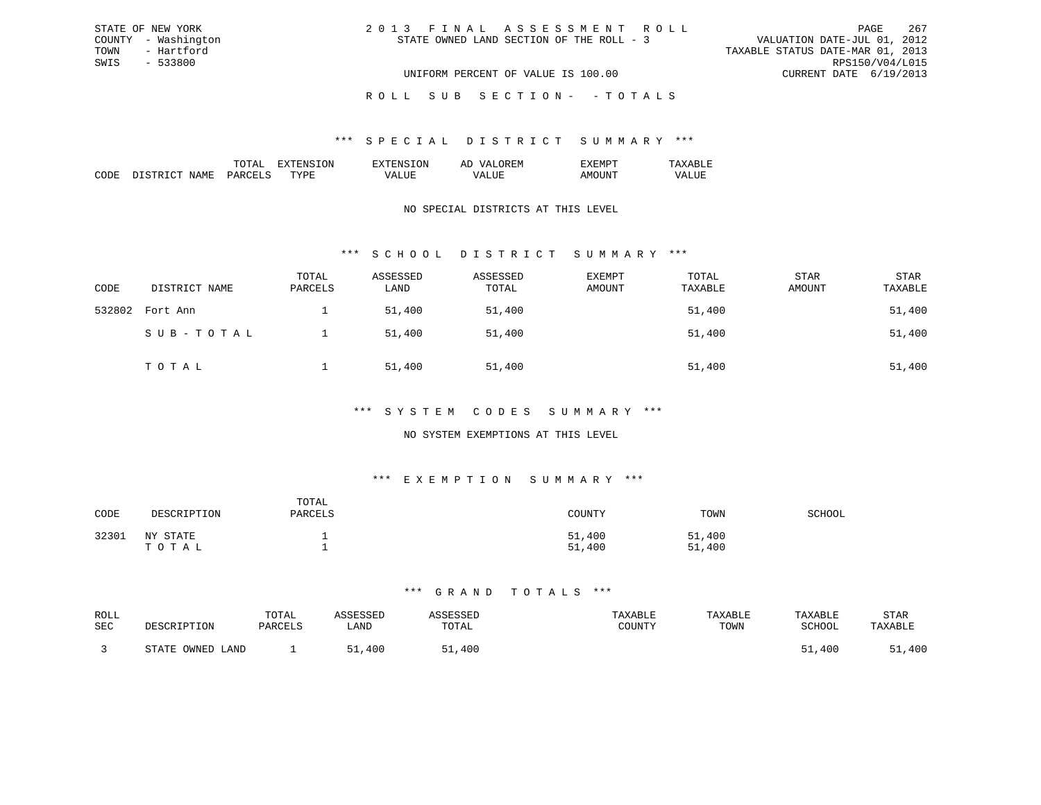| 2013 FINAL ASSESSMENT ROLL               |                                    |  |                                  | PAGE | 267 |
|------------------------------------------|------------------------------------|--|----------------------------------|------|-----|
| STATE OWNED LAND SECTION OF THE ROLL - 3 |                                    |  | VALUATION DATE-JUL 01, 2012      |      |     |
|                                          |                                    |  | TAXABLE STATUS DATE-MAR 01, 2013 |      |     |
|                                          |                                    |  | RPS150/V04/L015                  |      |     |
|                                          | UNIFORM PERCENT OF VALUE IS 100.00 |  | CURRENT DATE 6/19/2013           |      |     |

ROLL SUB SECTION - - TOTALS

### \*\*\* S P E C I A L D I S T R I C T S U M M A R Y \*\*\*

|                    |    | זור<br>вv. | $\cdots$<br>-- |  |
|--------------------|----|------------|----------------|--|
| חר<br>,,,,,,<br>ľМ | m. |            |                |  |

STATE OF NEW YORK COUNTY - Washington TOWN - Hartford SWIS - 533800

### NO SPECIAL DISTRICTS AT THIS LEVEL

# \*\*\* S C H O O L D I S T R I C T S U M M A R Y \*\*\*

| CODE   | DISTRICT NAME | TOTAL<br>PARCELS | ASSESSED<br>LAND | ASSESSED<br>TOTAL | EXEMPT<br>AMOUNT | TOTAL<br>TAXABLE | STAR<br>AMOUNT | <b>STAR</b><br>TAXABLE |
|--------|---------------|------------------|------------------|-------------------|------------------|------------------|----------------|------------------------|
| 532802 | Fort Ann      |                  | 51,400           | 51,400            |                  | 51,400           |                | 51,400                 |
|        | SUB-TOTAL     |                  | 51,400           | 51,400            |                  | 51,400           |                | 51,400                 |
|        | TOTAL         |                  | 51,400           | 51,400            |                  | 51,400           |                | 51,400                 |

### \*\*\* S Y S T E M C O D E S S U M M A R Y \*\*\*

### NO SYSTEM EXEMPTIONS AT THIS LEVEL

# \*\*\* E X E M P T I O N S U M M A R Y \*\*\*

| CODE  | DESCRIPTION       | TOTAL<br>PARCELS | COUNTY           | TOWN             | SCHOOL |
|-------|-------------------|------------------|------------------|------------------|--------|
| 32301 | NY STATE<br>ТОТАЬ |                  | 51,400<br>51,400 | 51,400<br>51,400 |        |

| ROLL |                         | TOTAL   |      |       | TAXABLE | TAXABLE | TAXABLE       | STAR    |
|------|-------------------------|---------|------|-------|---------|---------|---------------|---------|
| SEC  | DESCRIPTION             | PARCELS | LAND | TOTAL | TOUNTY  | TOWN    | <b>SCHOOL</b> | TAXABLF |
|      |                         |         |      |       |         |         |               |         |
|      | OWNED.<br>STATE<br>JAND |         | 400  | ,400  |         |         | 51,400        | 51,400  |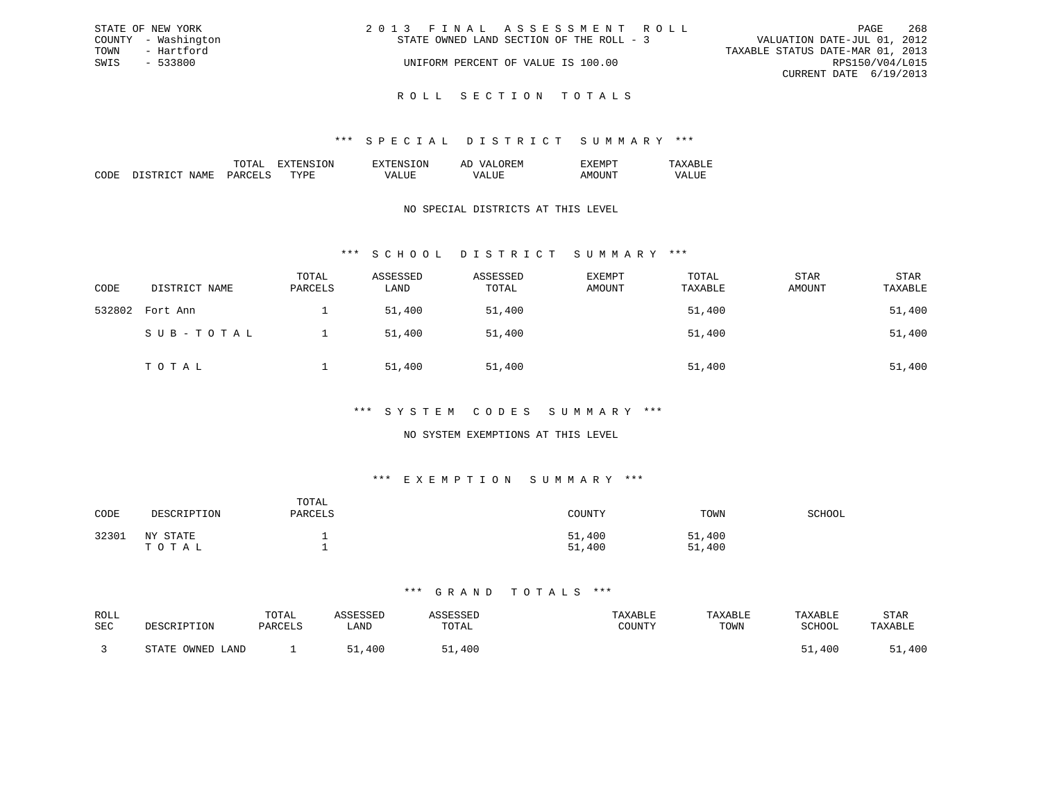| STATE OF NEW YORK   | 2013 FINAL ASSESSMENT ROLL               | 268<br>PAGE                      |
|---------------------|------------------------------------------|----------------------------------|
| COUNTY - Washington | STATE OWNED LAND SECTION OF THE ROLL - 3 | VALUATION DATE-JUL 01, 2012      |
| TOWN<br>- Hartford  |                                          | TAXABLE STATUS DATE-MAR 01, 2013 |
| SWIS<br>- 533800    | UNIFORM PERCENT OF VALUE IS 100.00       | RPS150/V04/L015                  |
|                     |                                          | CURRENT DATE 6/19/2013           |
|                     |                                          |                                  |

R O L L S E C T I O N T O T A L S

### \*\*\* S P E C I A L D I S T R I C T S U M M A R Y \*\*\*

|                                                                                                                              |                      | $\cdots$ | $\cdots$ | . IVI<br>-- |  |
|------------------------------------------------------------------------------------------------------------------------------|----------------------|----------|----------|-------------|--|
| ┓<br>IVI.<br>the contract of the contract of the contract of the contract of the contract of the contract of the contract of | $\sim$ $\sim$ $\sim$ | . пт     |          |             |  |

## NO SPECIAL DISTRICTS AT THIS LEVEL

# \*\*\* S C H O O L D I S T R I C T S U M M A R Y \*\*\*

| CODE   | DISTRICT NAME | TOTAL<br>PARCELS | ASSESSED<br>LAND | ASSESSED<br>TOTAL | <b>EXEMPT</b><br>AMOUNT | TOTAL<br>TAXABLE | STAR<br>AMOUNT | <b>STAR</b><br>TAXABLE |
|--------|---------------|------------------|------------------|-------------------|-------------------------|------------------|----------------|------------------------|
| 532802 | Fort Ann      |                  | 51,400           | 51,400            |                         | 51,400           |                | 51,400                 |
|        | SUB-TOTAL     |                  | 51,400           | 51,400            |                         | 51,400           |                | 51,400                 |
|        | TOTAL         |                  | 51,400           | 51,400            |                         | 51,400           |                | 51,400                 |

### \*\*\* S Y S T E M C O D E S S U M M A R Y \*\*\*

## NO SYSTEM EXEMPTIONS AT THIS LEVEL

# \*\*\* E X E M P T I O N S U M M A R Y \*\*\*

| CODE  | DESCRIPTION       | TOTAL<br>PARCELS | COUNTY           | TOWN             | SCHOOL |
|-------|-------------------|------------------|------------------|------------------|--------|
| 32301 | NY STATE<br>ТОТАЬ |                  | 51,400<br>51,400 | 51,400<br>51,400 |        |

| ROLL<br><b>SEC</b> | DESCRIPTION      | TOTAL<br>PARCELS | <b>\SSESSED</b><br>LAND | <b><i>SSESSED</i></b><br>TOTAL | TAXABLE<br>COUNTY | TAXABLE<br>TOWN | TAXABLE<br>SCHOOL | STAR<br>TAXABLE |
|--------------------|------------------|------------------|-------------------------|--------------------------------|-------------------|-----------------|-------------------|-----------------|
|                    | STATE OWNED LAND |                  | 51<br>400               | 51,400                         |                   |                 | 51,400            | 51,400          |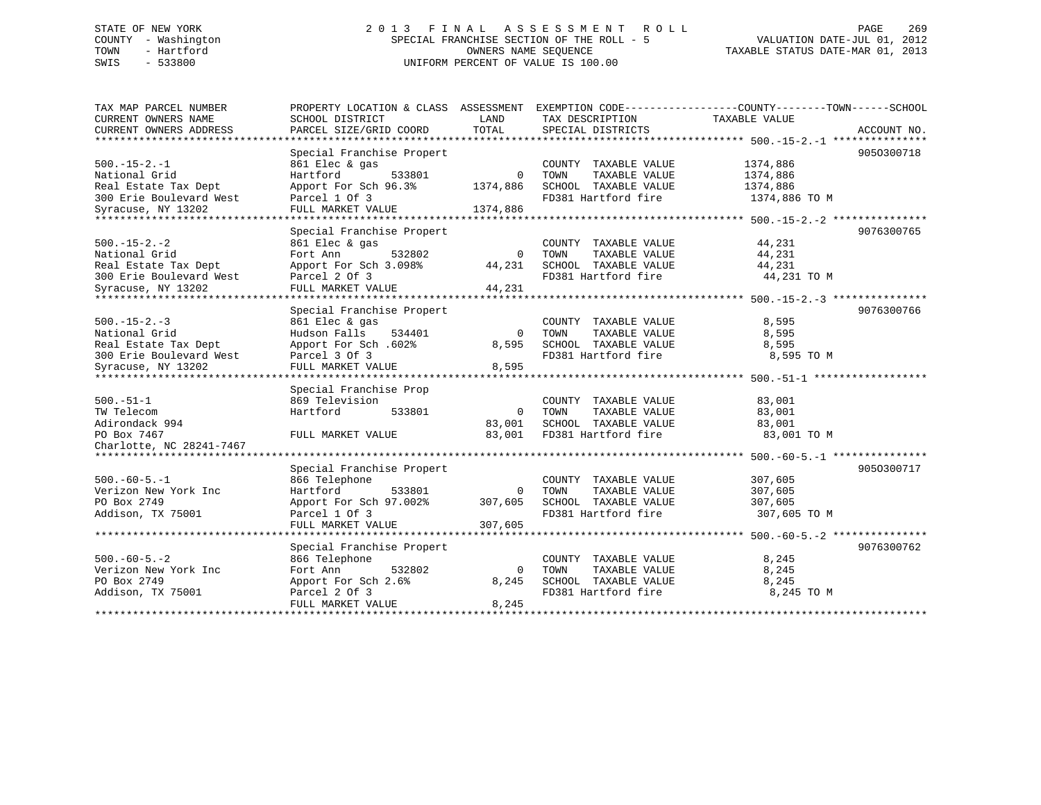# STATE OF NEW YORK 2 0 1 3 F I N A L A S S E S S M E N T R O L L PAGE 269 COUNTY - Washington SPECIAL FRANCHISE SECTION OF THE ROLL - 5 VALUATION DATE-JUL 01, 2012 TOWN - Hartford OWNERS NAME SEQUENCE TAXABLE STATUS DATE-MAR 01, 2013 SWIS - 533800 UNIFORM PERCENT OF VALUE IS 100.00

| TAX MAP PARCEL NUMBER<br>CURRENT OWNERS NAME<br>CURRENT OWNERS ADDRESS | PROPERTY LOCATION & CLASS ASSESSMENT<br>SCHOOL DISTRICT<br>PARCEL SIZE/GRID COORD | LAND<br>TOTAL | EXEMPTION CODE-----------------COUNTY-------TOWN------SCHOOL<br>TAX DESCRIPTION<br>SPECIAL DISTRICTS | TAXABLE VALUE                                | ACCOUNT NO.  |
|------------------------------------------------------------------------|-----------------------------------------------------------------------------------|---------------|------------------------------------------------------------------------------------------------------|----------------------------------------------|--------------|
|                                                                        |                                                                                   |               |                                                                                                      |                                              |              |
|                                                                        | Special Franchise Propert                                                         |               |                                                                                                      |                                              | 9050300718   |
| $500. -15 - 2. -1$                                                     | 861 Elec & gas                                                                    |               | COUNTY TAXABLE VALUE                                                                                 | 1374,886                                     |              |
| National Grid                                                          | Hartford<br>533801                                                                | $\Omega$      | TOWN<br>TAXABLE VALUE                                                                                | 1374,886                                     |              |
| Real Estate Tax Dept                                                   | Apport For Sch 96.3%                                                              | 1374,886      | SCHOOL TAXABLE VALUE                                                                                 | 1374,886                                     |              |
| 300 Erie Boulevard West                                                | Parcel 1 Of 3                                                                     |               | FD381 Hartford fire                                                                                  | 1374,886 TO M                                |              |
| Syracuse, NY 13202                                                     | FULL MARKET VALUE                                                                 | 1374,886      |                                                                                                      |                                              |              |
| ******************************                                         |                                                                                   |               |                                                                                                      |                                              |              |
|                                                                        | Special Franchise Propert                                                         |               |                                                                                                      |                                              | 9076300765   |
| $500. -15 - 2. -2$                                                     | 861 Elec & gas                                                                    |               | COUNTY TAXABLE VALUE                                                                                 | 44,231                                       |              |
| National Grid                                                          | 532802<br>Fort Ann                                                                | $\Omega$      | TAXABLE VALUE<br>TOWN                                                                                | 44,231                                       |              |
| Real Estate Tax Dept                                                   | Apport For Sch 3.098%                                                             | 44,231        | SCHOOL TAXABLE VALUE                                                                                 | 44,231                                       |              |
| 300 Erie Boulevard West                                                | Parcel 2 Of 3                                                                     |               | FD381 Hartford fire                                                                                  | 44,231 TO M                                  |              |
| Syracuse, NY 13202                                                     | FULL MARKET VALUE                                                                 | 44,231        |                                                                                                      |                                              |              |
| ******************                                                     |                                                                                   |               |                                                                                                      | *************** 500.-15-2.-3 *************** |              |
|                                                                        | Special Franchise Propert                                                         |               |                                                                                                      |                                              | 9076300766   |
| $500. -15 - 2. -3$                                                     | 861 Elec & gas                                                                    |               | COUNTY TAXABLE VALUE                                                                                 | 8,595                                        |              |
| National Grid                                                          | Hudson Falls<br>534401                                                            | $\Omega$      | TAXABLE VALUE<br>TOWN                                                                                | 8,595                                        |              |
| Real Estate Tax Dept                                                   | Apport For Sch. 602%                                                              | 8,595         | SCHOOL TAXABLE VALUE                                                                                 | 8,595                                        |              |
| 300 Erie Boulevard West                                                | Parcel 3 Of 3                                                                     |               | FD381 Hartford fire                                                                                  | 8,595 TO M                                   |              |
| Syracuse, NY 13202                                                     | FULL MARKET VALUE                                                                 | 8,595         |                                                                                                      |                                              |              |
|                                                                        | **********************************                                                |               |                                                                                                      | ********************** 500.-51-1 ********    |              |
|                                                                        | Special Franchise Prop                                                            |               |                                                                                                      |                                              |              |
| $500.-51-1$                                                            | 869 Television                                                                    |               | COUNTY TAXABLE VALUE                                                                                 | 83,001                                       |              |
| TW Telecom                                                             | Hartford<br>533801                                                                | $\mathbf 0$   | TOWN<br>TAXABLE VALUE                                                                                | 83,001                                       |              |
| Adirondack 994                                                         |                                                                                   | 83,001        | SCHOOL TAXABLE VALUE                                                                                 | 83,001                                       |              |
| PO Box 7467                                                            | FULL MARKET VALUE                                                                 | 83,001        | FD381 Hartford fire                                                                                  | 83,001 TO M                                  |              |
| Charlotte, NC 28241-7467                                               |                                                                                   |               |                                                                                                      |                                              |              |
| *****************************                                          |                                                                                   |               |                                                                                                      |                                              | ************ |
|                                                                        | Special Franchise Propert                                                         |               |                                                                                                      |                                              | 9050300717   |
| $500. -60 - 5. -1$                                                     | 866 Telephone                                                                     |               | COUNTY TAXABLE VALUE                                                                                 | 307,605                                      |              |
| Verizon New York Inc                                                   | Hartford<br>533801                                                                | 0             | TAXABLE VALUE<br>TOWN                                                                                | 307,605                                      |              |
| PO Box 2749                                                            | Apport For Sch 97.002%                                                            | 307,605       | SCHOOL TAXABLE VALUE                                                                                 | 307,605                                      |              |
| Addison, TX 75001                                                      | Parcel 1 Of 3                                                                     |               | FD381 Hartford fire                                                                                  | 307,605 TO M                                 |              |
|                                                                        | FULL MARKET VALUE                                                                 | 307,605       |                                                                                                      |                                              |              |
|                                                                        |                                                                                   |               |                                                                                                      |                                              |              |
|                                                                        | Special Franchise Propert                                                         |               |                                                                                                      |                                              | 9076300762   |
| $500. -60 - 5. -2$                                                     | 866 Telephone                                                                     |               | COUNTY TAXABLE VALUE                                                                                 | 8,245                                        |              |
| Verizon New York Inc                                                   | Fort Ann<br>532802                                                                | 0             | TOWN<br>TAXABLE VALUE                                                                                | 8,245                                        |              |
| PO Box 2749                                                            | Apport For Sch 2.6%                                                               | 8,245         | SCHOOL TAXABLE VALUE                                                                                 | 8,245                                        |              |
| Addison, TX 75001                                                      | Parcel 2 Of 3                                                                     |               | FD381 Hartford fire                                                                                  | 8,245 TO M                                   |              |
|                                                                        | FULL MARKET VALUE                                                                 | 8,245         |                                                                                                      |                                              |              |
| * * * * * * * * * * * * * * * * * * * *                                |                                                                                   |               |                                                                                                      |                                              |              |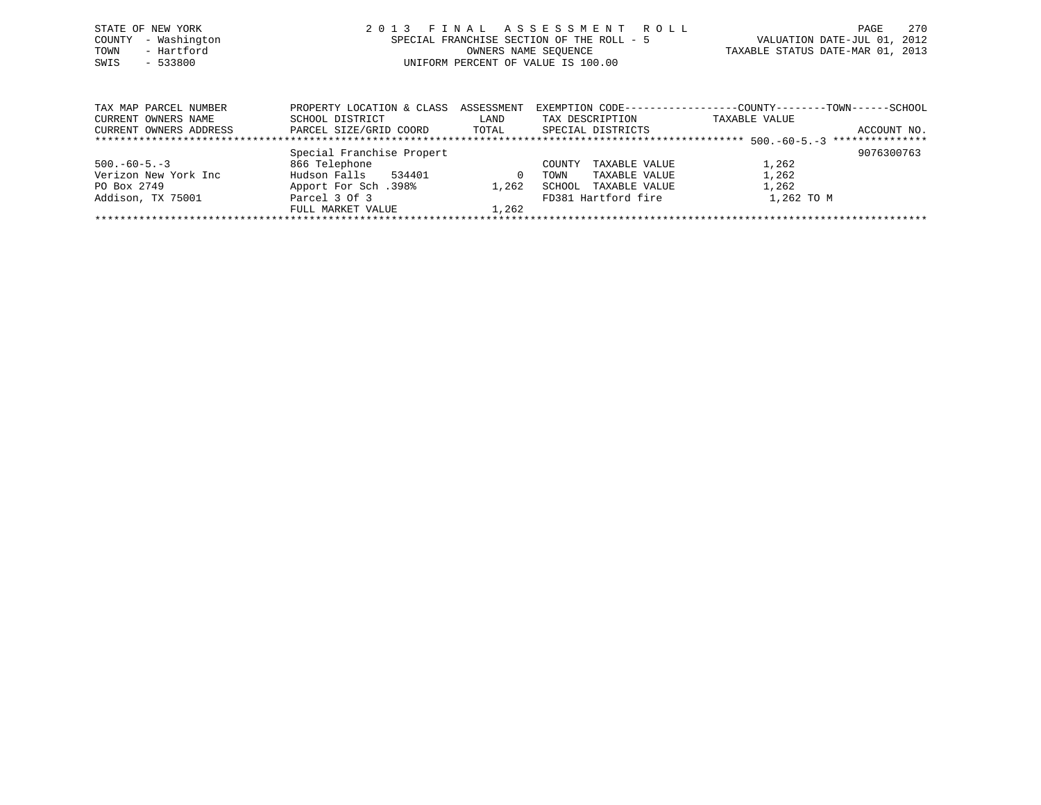| STATE OF NEW YORK   | 2013 FINAL ASSESSMENT ROLL                | 2.70<br>PAGE                     |
|---------------------|-------------------------------------------|----------------------------------|
| COUNTY - Washington | SPECIAL FRANCHISE SECTION OF THE ROLL - 5 | VALUATION DATE-JUL 01, 2012      |
| - Hartford<br>TOWN  | OWNERS NAME SEOUENCE                      | TAXABLE STATUS DATE-MAR 01, 2013 |
| SWIS<br>$-533800$   | UNIFORM PERCENT OF VALUE IS 100.00        |                                  |
|                     |                                           |                                  |
|                     |                                           |                                  |

| TAX MAP PARCEL NUMBER  | PROPERTY LOCATION & CLASS ASSESSMENT |       |                         |               |             |
|------------------------|--------------------------------------|-------|-------------------------|---------------|-------------|
| CURRENT OWNERS NAME    | SCHOOL DISTRICT                      | LAND  | TAX DESCRIPTION         | TAXABLE VALUE |             |
| CURRENT OWNERS ADDRESS | PARCEL SIZE/GRID COORD               | TOTAL | SPECIAL DISTRICTS       |               | ACCOUNT NO. |
|                        |                                      |       |                         |               |             |
|                        | Special Franchise Propert            |       |                         |               | 9076300763  |
| $500. -60 - 5. -3$     | 866 Telephone                        |       | TAXABLE VALUE<br>COUNTY | 1,262         |             |
| Verizon New York Inc   | Hudson Falls<br>534401               |       | TAXABLE VALUE<br>TOWN   | 1,262         |             |
| PO Box 2749            | 198%. Apport For Sch                 | 1,262 | TAXABLE VALUE<br>SCHOOL | 1,262         |             |
| Addison, TX 75001      | Parcel 3 Of 3                        |       | FD381 Hartford fire     | 1,262 TO M    |             |
|                        | FULL MARKET VALUE                    | 1,262 |                         |               |             |
|                        |                                      |       |                         |               |             |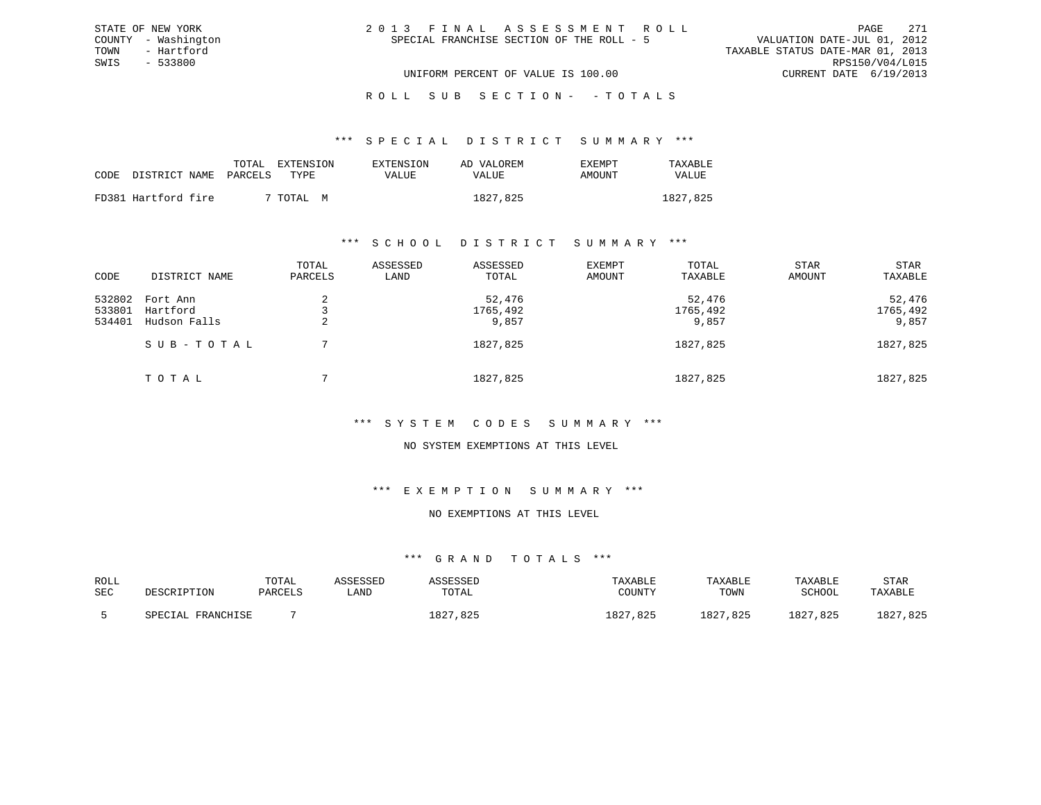| 2013 FINAL ASSESSMENT ROLL |                                           |                                  | PAGE                   | 2.71 |
|----------------------------|-------------------------------------------|----------------------------------|------------------------|------|
|                            | SPECIAL FRANCHISE SECTION OF THE ROLL - 5 | VALUATION DATE-JUL 01, 2012      |                        |      |
|                            |                                           | TAXABLE STATUS DATE-MAR 01, 2013 |                        |      |
|                            |                                           |                                  | RPS150/V04/L015        |      |
|                            | UNIFORM PERCENT OF VALUE IS 100.00        |                                  | CURRENT DATE 6/19/2013 |      |

#### \*\*\* S P E C I A L D I S T R I C T S U M M A R Y \*\*\*

|      |                     | TOTAL   | EXTENSION | EXTENSION | AD VALOREM | EXEMPT | TAXABLE  |
|------|---------------------|---------|-----------|-----------|------------|--------|----------|
| CODE | DISTRICT NAME       | PARCELS | TYPE      | VALUE     | VALUE      | AMOUNT | VALUE    |
|      |                     |         |           |           |            |        |          |
|      | FD381 Hartford fire |         | 7 TOTAL M |           | 1827,825   |        | 1827,825 |

STATE OF NEW YORK COUNTY - Washington TOWN - Hartford SWIS - 533800

### \*\*\* S C H O O L D I S T R I C T S U M M A R Y \*\*\*

| CODE                       | DISTRICT NAME                        | TOTAL<br>PARCELS | ASSESSED<br>LAND | ASSESSED<br>TOTAL           | EXEMPT<br>AMOUNT | TOTAL<br>TAXABLE            | <b>STAR</b><br>AMOUNT | STAR<br>TAXABLE             |
|----------------------------|--------------------------------------|------------------|------------------|-----------------------------|------------------|-----------------------------|-----------------------|-----------------------------|
| 532802<br>533801<br>534401 | Fort Ann<br>Hartford<br>Hudson Falls | 2                |                  | 52,476<br>1765,492<br>9,857 |                  | 52,476<br>1765,492<br>9,857 |                       | 52,476<br>1765,492<br>9,857 |
|                            | SUB-TOTAL                            |                  |                  | 1827,825                    |                  | 1827,825                    |                       | 1827,825                    |
|                            | TOTAL                                |                  |                  | 1827,825                    |                  | 1827,825                    |                       | 1827,825                    |

### \*\*\* S Y S T E M C O D E S S U M M A R Y \*\*\*

### NO SYSTEM EXEMPTIONS AT THIS LEVEL

### \*\*\* E X E M P T I O N S U M M A R Y \*\*\*

### NO EXEMPTIONS AT THIS LEVEL

| ROLL       | DESCRIPTION       | TOTAL   | ASSESSED | ASSESSED | TAXABLE             | TAXABLE            | TAXABLE  | STAR         |
|------------|-------------------|---------|----------|----------|---------------------|--------------------|----------|--------------|
| <b>SEC</b> |                   | PARCELS | ≒AND     | TOTAL    | COUNTY              | TOWN               | SCHOOL   | TAXABLE      |
|            | SPECIAL FRANCHISE |         |          | 1827,825 | 825.<br>027<br>⊥ ర∠ | 1827,825<br>⊥ 8∠ ∶ | 1827,825 | .825<br>⊥827 |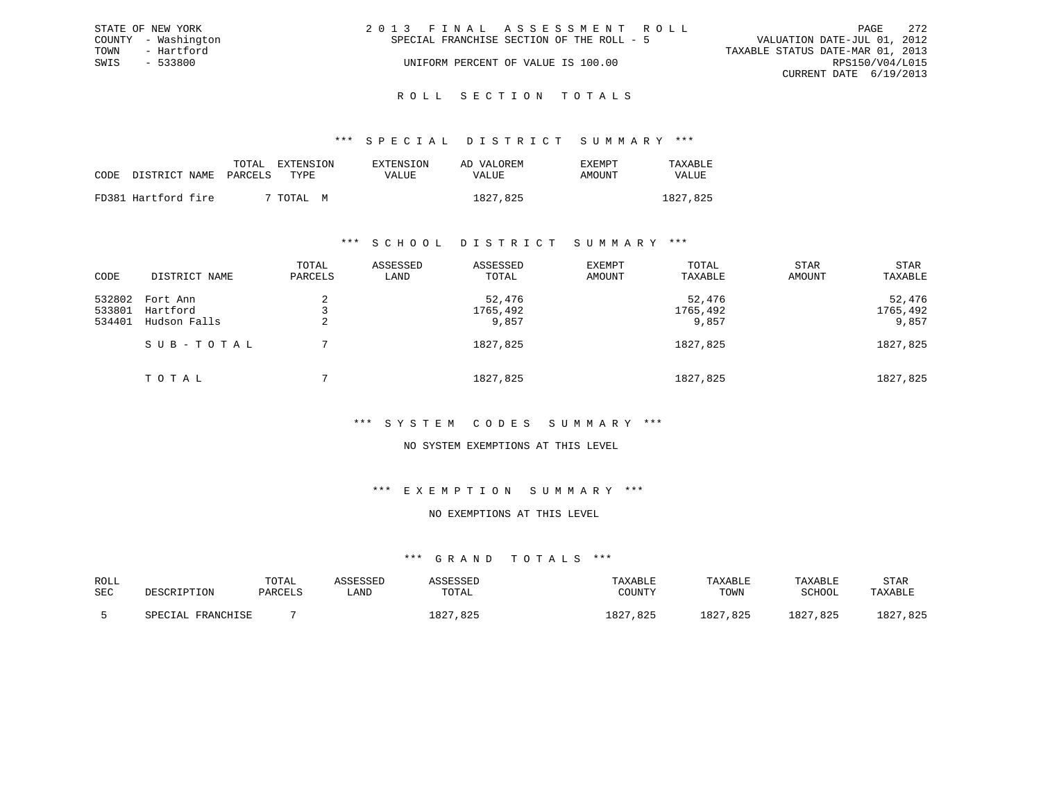|      | STATE OF NEW YORK   | 2013 FINAL ASSESSMENT ROLL                                               | PAGE            | 2.72 |
|------|---------------------|--------------------------------------------------------------------------|-----------------|------|
|      | COUNTY - Washington | VALUATION DATE-JUL 01, 2012<br>SPECIAL FRANCHISE SECTION OF THE ROLL - 5 |                 |      |
| TOWN | - Hartford          | TAXABLE STATUS DATE-MAR 01, 2013                                         |                 |      |
| SWIS | $-533800$           | UNIFORM PERCENT OF VALUE IS 100.00                                       | RPS150/V04/L015 |      |
|      |                     | CURRENT DATE 6/19/2013                                                   |                 |      |
|      |                     |                                                                          |                 |      |

# ROLL SECTION TOTALS

### \*\*\* S P E C I A L D I S T R I C T S U M M A R Y \*\*\*

| CODE DISTRICT NAME PARCELS | TOTAL | EXTENSION<br>TYPE. | <b>EXTENSION</b><br>VALUE | AD VALOREM<br>VALUE | EXEMPT<br>AMOUNT | TAXABLE<br><b>VALUE</b> |
|----------------------------|-------|--------------------|---------------------------|---------------------|------------------|-------------------------|
|                            |       |                    |                           |                     |                  |                         |
| FD381 Hartford fire        |       | 7 TOTAL<br>M       |                           | 1827,825            |                  | 1827,825                |

### \*\*\* S C H O O L D I S T R I C T S U M M A R Y \*\*\*

| CODE                       | DISTRICT NAME                        | TOTAL<br>PARCELS | ASSESSED<br>LAND | ASSESSED<br>TOTAL           | EXEMPT<br>AMOUNT | TOTAL<br>TAXABLE            | <b>STAR</b><br>AMOUNT | STAR<br>TAXABLE             |
|----------------------------|--------------------------------------|------------------|------------------|-----------------------------|------------------|-----------------------------|-----------------------|-----------------------------|
| 532802<br>533801<br>534401 | Fort Ann<br>Hartford<br>Hudson Falls | 2                |                  | 52,476<br>1765,492<br>9,857 |                  | 52,476<br>1765,492<br>9,857 |                       | 52,476<br>1765,492<br>9,857 |
|                            | SUB-TOTAL                            |                  |                  | 1827,825                    |                  | 1827,825                    |                       | 1827,825                    |
|                            | TOTAL                                |                  |                  | 1827,825                    |                  | 1827,825                    |                       | 1827,825                    |

### \*\*\* S Y S T E M C O D E S S U M M A R Y \*\*\*

### NO SYSTEM EXEMPTIONS AT THIS LEVEL

### \*\*\* E X E M P T I O N S U M M A R Y \*\*\*

### NO EXEMPTIONS AT THIS LEVEL

| ROLL | DESCRIPTION       | TOTAL   | ASSESSED | ASSESSED | TAXABLE      | TAXABLE  | TAXABLE  | STAR     |
|------|-------------------|---------|----------|----------|--------------|----------|----------|----------|
| SEC  |                   | PARCELS | ∟AND     | TOTAL    | COUNTY       | TOWN     | SCHOOL   | TAXABLE  |
|      | SPECIAL FRANCHISE |         |          | 1827,825 | .825<br>1827 | 1827,825 | 1827,825 | 1827,825 |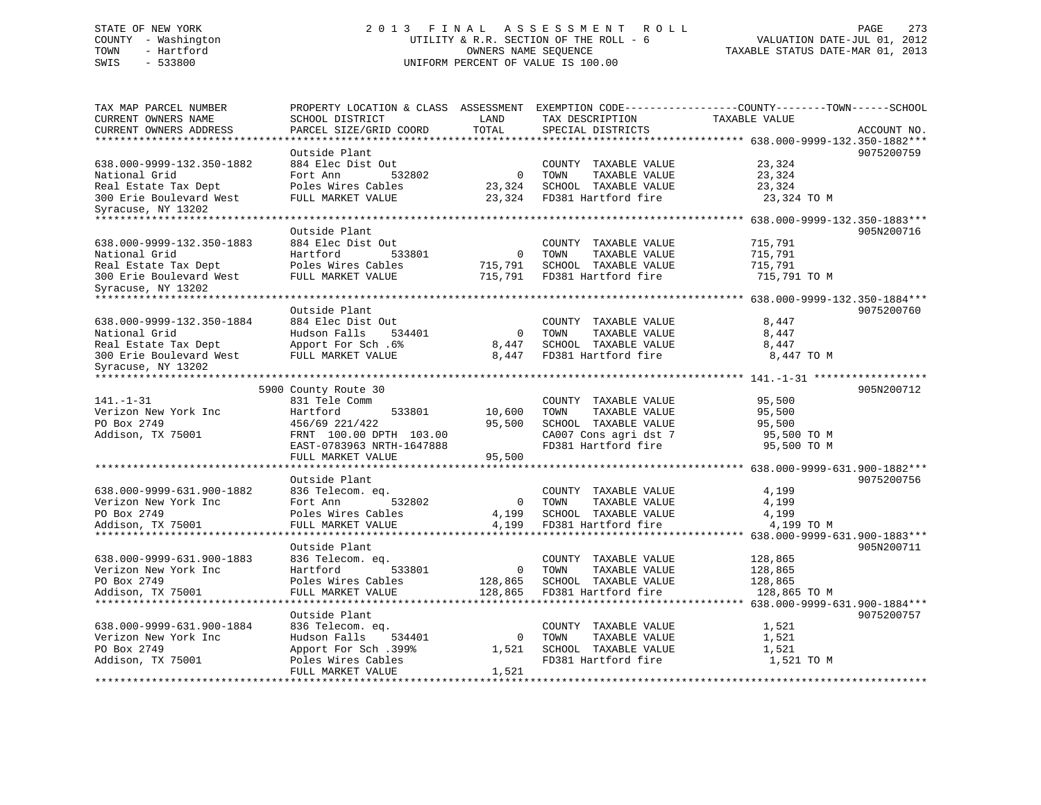# STATE OF NEW YORK 2 0 1 3 F I N A L A S S E S S M E N T R O L L PAGE 273 COUNTY - Washington UTILITY & R.R. SECTION OF THE ROLL - 6 VALUATION DATE-JUL 01, 2012 TOWN - Hartford OWNERS NAME SEQUENCE TAXABLE STATUS DATE-MAR 01, 2013 SWIS - 533800 UNIFORM PERCENT OF VALUE IS 100.00

| Outside Plant<br>884 Elec Dist Out<br>638.000-9999-132.350-1882<br>COUNTY TAXABLE VALUE<br>23,324<br>National Grid<br>Fort Ann<br>532802<br>$\overline{0}$<br>TOWN<br>TAXABLE VALUE<br>23,324<br>Real Estate Tax Dept<br>Poles Wires Cables<br>23,324<br>SCHOOL TAXABLE VALUE<br>23,324<br>FULL MARKET VALUE<br>23,324<br>FD381 Hartford fire<br>300 Erie Boulevard West<br>23,324 TO M<br>Syracuse, NY 13202<br>Outside Plant<br>638.000-9999-132.350-1883<br>884 Elec Dist Out<br>COUNTY TAXABLE VALUE<br>715,791<br>National Grid<br>Hartford<br>533801<br>$\mathbf 0$<br>TOWN<br>TAXABLE VALUE<br>715,791<br>Poles Wires Cables<br>SCHOOL TAXABLE VALUE<br>Real Estate Tax Dept<br>715,791<br>715,791<br>FD381 Hartford fire<br>FULL MARKET VALUE<br>715,791<br>715,791 TO M<br>300 Erie Boulevard West<br>Syracuse, NY 13202<br>Outside Plant<br>638.000-9999-132.350-1884<br>884 Elec Dist Out<br>COUNTY TAXABLE VALUE<br>8,447<br>Hudson Falls<br>National Grid<br>534401<br>$\overline{0}$<br>TOWN<br>TAXABLE VALUE<br>8,447<br>SCHOOL TAXABLE VALUE<br>8,447<br>Real Estate Tax Dept<br>Apport For Sch. 6%<br>8,447<br>FULL MARKET VALUE<br>8,447<br>FD381 Hartford fire<br>8,447 TO M<br>300 Erie Boulevard West<br>Syracuse, NY 13202<br>5900 County Route 30<br>$141. - 1 - 31$<br>831 Tele Comm<br>COUNTY TAXABLE VALUE<br>95,500<br>Verizon New York Inc<br>Hartford<br>533801<br>10,600<br>TOWN<br>TAXABLE VALUE<br>95,500<br>PO Box 2749<br>456/69 221/422<br>95,500<br>SCHOOL TAXABLE VALUE<br>95,500<br>Addison, TX 75001<br>CA007 Cons agri dst 7<br>FRNT 100.00 DPTH 103.00<br>95,500 TO M<br>FD381 Hartford fire<br>EAST-0783963 NRTH-1647888<br>95,500 TO M<br>FULL MARKET VALUE<br>95,500 | ACCOUNT NO. |
|------------------------------------------------------------------------------------------------------------------------------------------------------------------------------------------------------------------------------------------------------------------------------------------------------------------------------------------------------------------------------------------------------------------------------------------------------------------------------------------------------------------------------------------------------------------------------------------------------------------------------------------------------------------------------------------------------------------------------------------------------------------------------------------------------------------------------------------------------------------------------------------------------------------------------------------------------------------------------------------------------------------------------------------------------------------------------------------------------------------------------------------------------------------------------------------------------------------------------------------------------------------------------------------------------------------------------------------------------------------------------------------------------------------------------------------------------------------------------------------------------------------------------------------------------------------------------------------------------------------------------------------------------------------------------------------------------------------|-------------|
|                                                                                                                                                                                                                                                                                                                                                                                                                                                                                                                                                                                                                                                                                                                                                                                                                                                                                                                                                                                                                                                                                                                                                                                                                                                                                                                                                                                                                                                                                                                                                                                                                                                                                                                  | 9075200759  |
|                                                                                                                                                                                                                                                                                                                                                                                                                                                                                                                                                                                                                                                                                                                                                                                                                                                                                                                                                                                                                                                                                                                                                                                                                                                                                                                                                                                                                                                                                                                                                                                                                                                                                                                  |             |
|                                                                                                                                                                                                                                                                                                                                                                                                                                                                                                                                                                                                                                                                                                                                                                                                                                                                                                                                                                                                                                                                                                                                                                                                                                                                                                                                                                                                                                                                                                                                                                                                                                                                                                                  | 905N200716  |
|                                                                                                                                                                                                                                                                                                                                                                                                                                                                                                                                                                                                                                                                                                                                                                                                                                                                                                                                                                                                                                                                                                                                                                                                                                                                                                                                                                                                                                                                                                                                                                                                                                                                                                                  |             |
|                                                                                                                                                                                                                                                                                                                                                                                                                                                                                                                                                                                                                                                                                                                                                                                                                                                                                                                                                                                                                                                                                                                                                                                                                                                                                                                                                                                                                                                                                                                                                                                                                                                                                                                  | 9075200760  |
|                                                                                                                                                                                                                                                                                                                                                                                                                                                                                                                                                                                                                                                                                                                                                                                                                                                                                                                                                                                                                                                                                                                                                                                                                                                                                                                                                                                                                                                                                                                                                                                                                                                                                                                  |             |
|                                                                                                                                                                                                                                                                                                                                                                                                                                                                                                                                                                                                                                                                                                                                                                                                                                                                                                                                                                                                                                                                                                                                                                                                                                                                                                                                                                                                                                                                                                                                                                                                                                                                                                                  | 905N200712  |
|                                                                                                                                                                                                                                                                                                                                                                                                                                                                                                                                                                                                                                                                                                                                                                                                                                                                                                                                                                                                                                                                                                                                                                                                                                                                                                                                                                                                                                                                                                                                                                                                                                                                                                                  |             |
| Outside Plant<br>638.000-9999-631.900-1882<br>836 Telecom. eq.<br>COUNTY TAXABLE VALUE<br>4,199<br>Verizon New York Inc<br>Fort Ann<br>532802<br>$\overline{0}$<br>TOWN<br>TAXABLE VALUE<br>4,199<br>PO Box 2749<br>Poles Wires Cables<br>SCHOOL TAXABLE VALUE<br>4,199<br>4,199<br>Addison, TX 75001<br>FULL MARKET VALUE<br>4,199<br>FD381 Hartford fire<br>4,199 TO M                                                                                                                                                                                                                                                                                                                                                                                                                                                                                                                                                                                                                                                                                                                                                                                                                                                                                                                                                                                                                                                                                                                                                                                                                                                                                                                                         | 9075200756  |
| Outside Plant                                                                                                                                                                                                                                                                                                                                                                                                                                                                                                                                                                                                                                                                                                                                                                                                                                                                                                                                                                                                                                                                                                                                                                                                                                                                                                                                                                                                                                                                                                                                                                                                                                                                                                    | 905N200711  |
| 638.000-9999-631.900-1883<br>836 Telecom. eq.<br>COUNTY TAXABLE VALUE<br>128,865<br>Verizon New York Inc<br>Hartford<br>533801<br>$\mathbf 0$<br>TOWN<br>TAXABLE VALUE<br>128,865<br>PO Box 2749<br>Poles Wires Cables<br>128,865<br>SCHOOL TAXABLE VALUE<br>128,865<br>Addison, TX 75001<br>FULL MARKET VALUE<br>128,865<br>FD381 Hartford fire<br>128,865 TO M                                                                                                                                                                                                                                                                                                                                                                                                                                                                                                                                                                                                                                                                                                                                                                                                                                                                                                                                                                                                                                                                                                                                                                                                                                                                                                                                                 |             |
| Outside Plant                                                                                                                                                                                                                                                                                                                                                                                                                                                                                                                                                                                                                                                                                                                                                                                                                                                                                                                                                                                                                                                                                                                                                                                                                                                                                                                                                                                                                                                                                                                                                                                                                                                                                                    | 9075200757  |
| 638.000-9999-631.900-1884<br>836 Telecom. eq.<br>COUNTY TAXABLE VALUE<br>1,521<br>Hudson Falls<br>Verizon New York Inc<br>534401<br>$\mathbf{0}$<br>TOWN<br>TAXABLE VALUE<br>1,521<br>PO Box 2749<br>Apport For Sch.399%<br>SCHOOL TAXABLE VALUE<br>1,521<br>1,521<br>FD381 Hartford fire<br>Addison, TX 75001<br>1,521 TO M<br>Poles Wires Cables<br>FULL MARKET VALUE<br>1,521                                                                                                                                                                                                                                                                                                                                                                                                                                                                                                                                                                                                                                                                                                                                                                                                                                                                                                                                                                                                                                                                                                                                                                                                                                                                                                                                 |             |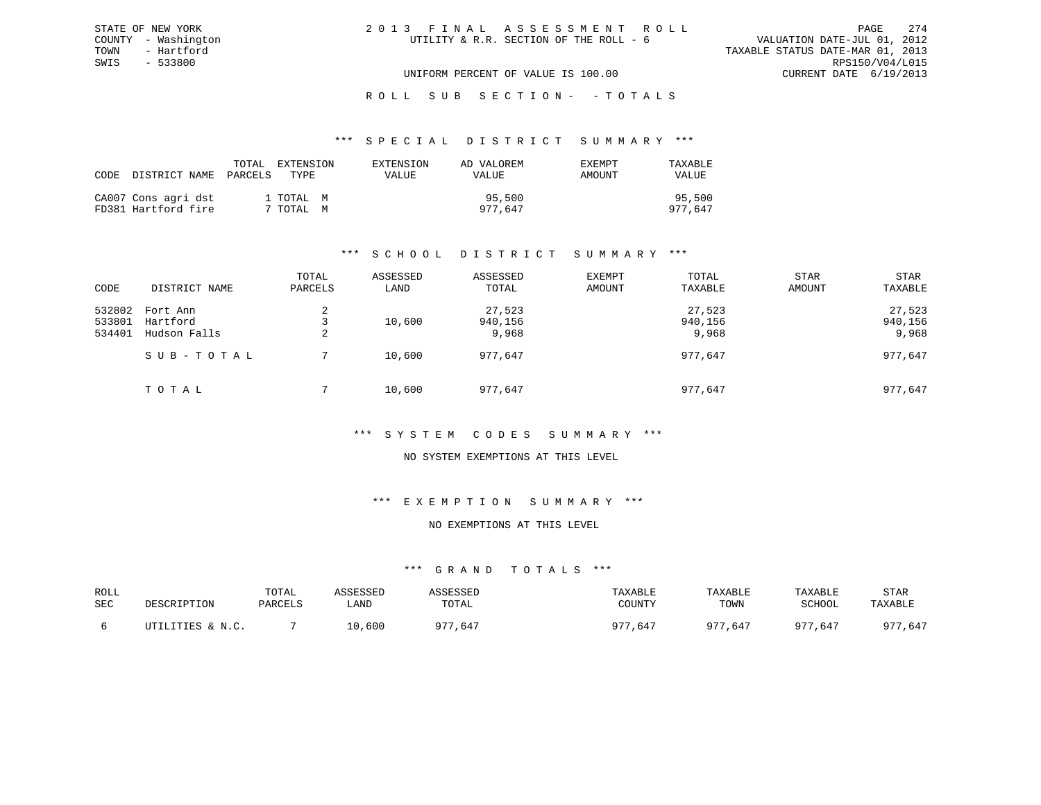#### \*\*\* S P E C I A L D I S T R I C T S U M M A R Y \*\*\*

| CODE DISTRICT NAME PARCELS                 | TOTAL | EXTENSION<br>TYPE.     | EXTENSION<br><b>VALUE</b> | AD VALOREM<br>VALUE | EXEMPT<br>AMOUNT | TAXABLE<br>VALUE  |
|--------------------------------------------|-------|------------------------|---------------------------|---------------------|------------------|-------------------|
| CA007 Cons agri dst<br>FD381 Hartford fire |       | 1 TOTAL M<br>7 TOTAL M |                           | 95,500<br>977.647   |                  | 95,500<br>977,647 |

# \*\*\* S C H O O L D I S T R I C T S U M M A R Y \*\*\*

| CODE                       | DISTRICT NAME                        | TOTAL<br>PARCELS | ASSESSED<br>LAND | ASSESSED<br>TOTAL          | EXEMPT<br>AMOUNT | TOTAL<br>TAXABLE           | <b>STAR</b><br>AMOUNT | STAR<br>TAXABLE            |
|----------------------------|--------------------------------------|------------------|------------------|----------------------------|------------------|----------------------------|-----------------------|----------------------------|
| 532802<br>533801<br>534401 | Fort Ann<br>Hartford<br>Hudson Falls | 2<br>2           | 10,600           | 27,523<br>940,156<br>9,968 |                  | 27,523<br>940,156<br>9,968 |                       | 27,523<br>940,156<br>9,968 |
|                            | SUB-TOTAL                            |                  | 10,600           | 977,647                    |                  | 977,647                    |                       | 977,647                    |
|                            | TOTAL                                |                  | 10,600           | 977,647                    |                  | 977,647                    |                       | 977,647                    |

### \*\*\* S Y S T E M C O D E S S U M M A R Y \*\*\*

### NO SYSTEM EXEMPTIONS AT THIS LEVEL

### \*\*\* E X E M P T I O N S U M M A R Y \*\*\*

### NO EXEMPTIONS AT THIS LEVEL

| ROLL<br>SEC | DESCRIPTION              | TOTAL<br>PARCELS | ASSESSED<br>LAND | ASSESSEL<br>TOTAL | TAXABLE<br>COUNTY | TAXABLE<br>TOWN | TAXABLE<br>SCHOOL | STAR<br>TAXABLE |
|-------------|--------------------------|------------------|------------------|-------------------|-------------------|-----------------|-------------------|-----------------|
|             | LILITIES & N.C<br>ת ידיד |                  | 10,600           | 07r<br>.647       | 077<br>,647       | $0.7 -$<br>,647 | 077<br>.647       | , 647<br>077    |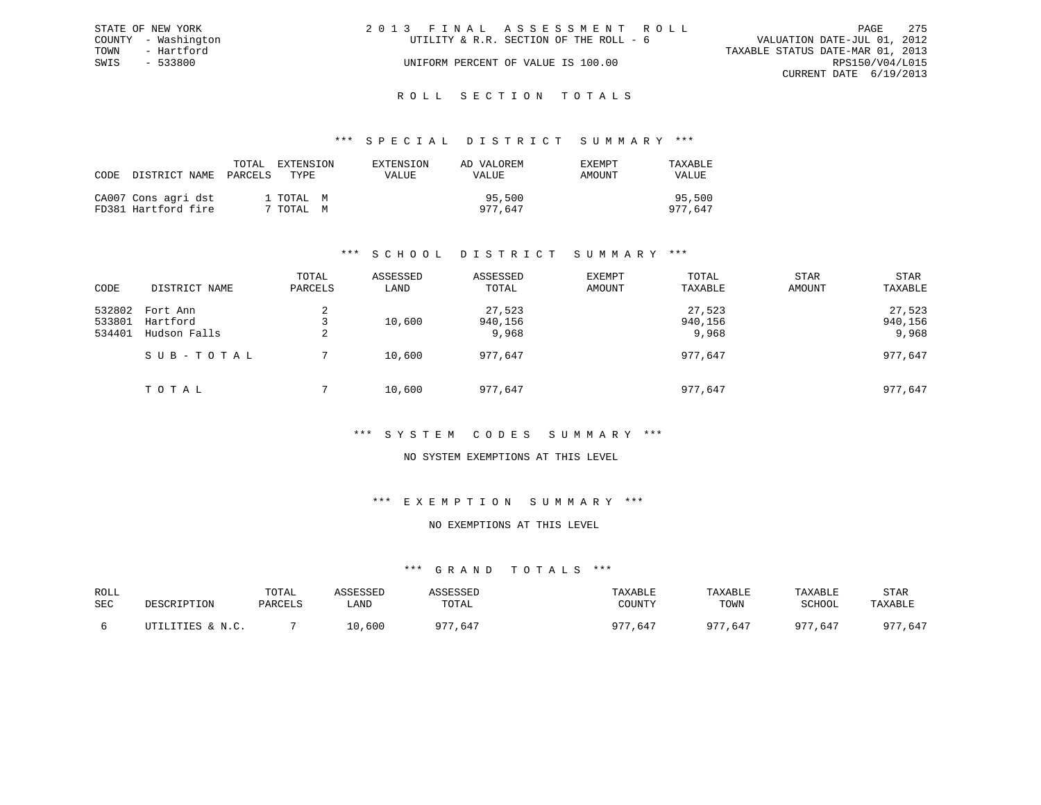|      | STATE OF NEW YORK   | 2013 FINAL ASSESSMENT ROLL                                            | PAGE            | - 275 |
|------|---------------------|-----------------------------------------------------------------------|-----------------|-------|
|      | COUNTY - Washington | VALUATION DATE-JUL 01, 2012<br>UTILITY & R.R. SECTION OF THE ROLL - 6 |                 |       |
| TOWN | - Hartford          | TAXABLE STATUS DATE-MAR 01, 2013                                      |                 |       |
| SWIS | - 533800            | UNIFORM PERCENT OF VALUE IS 100.00                                    | RPS150/V04/L015 |       |
|      |                     | CURRENT DATE 6/19/2013                                                |                 |       |
|      |                     |                                                                       |                 |       |

# ROLL SECTION TOTALS

### \*\*\* S P E C I A L D I S T R I C T S U M M A R Y \*\*\*

| CODE | DISTRICT NAME                              | TOTAL<br>PARCELS | <b>EXTENSION</b><br>TYPE | EXTENSION<br>VALUE | AD VALOREM<br>VALUE | EXEMPT<br>AMOUNT | TAXABLE<br><b>VALUE</b> |
|------|--------------------------------------------|------------------|--------------------------|--------------------|---------------------|------------------|-------------------------|
|      | CA007 Cons agri dst<br>FD381 Hartford fire |                  | 1 TOTAL M<br>TOTAL M     |                    | 95,500<br>977,647   |                  | 95,500<br>977,647       |

# \*\*\* S C H O O L D I S T R I C T S U M M A R Y \*\*\*

| CODE                       | DISTRICT NAME                        | TOTAL<br>PARCELS | ASSESSED<br>LAND | ASSESSED<br>TOTAL          | EXEMPT<br>AMOUNT | TOTAL<br>TAXABLE           | <b>STAR</b><br>AMOUNT | <b>STAR</b><br>TAXABLE     |
|----------------------------|--------------------------------------|------------------|------------------|----------------------------|------------------|----------------------------|-----------------------|----------------------------|
| 532802<br>533801<br>534401 | Fort Ann<br>Hartford<br>Hudson Falls | 2<br>2           | 10,600           | 27,523<br>940,156<br>9,968 |                  | 27,523<br>940,156<br>9,968 |                       | 27,523<br>940,156<br>9,968 |
|                            | SUB-TOTAL                            |                  | 10,600           | 977,647                    |                  | 977,647                    |                       | 977,647                    |
|                            | TOTAL                                |                  | 10,600           | 977,647                    |                  | 977,647                    |                       | 977,647                    |

# \*\*\* S Y S T E M C O D E S S U M M A R Y \*\*\*

### NO SYSTEM EXEMPTIONS AT THIS LEVEL

### \*\*\* E X E M P T I O N S U M M A R Y \*\*\*

### NO EXEMPTIONS AT THIS LEVEL

| ROLL<br>SEC | DESCRIPTION             | TOTAL<br>PARCELS | <i><b>SSESSED</b></i><br>LAND | TOTAL       | TAXABLE<br>COUNTY | TAXABLE<br>TOWN | TAXABLE<br>SCHOOL | STAR<br>TAXABLE |
|-------------|-------------------------|------------------|-------------------------------|-------------|-------------------|-----------------|-------------------|-----------------|
|             | LITIES & N.C.<br>┎┰┯╍┰┰ |                  | 600                           | 077<br>.647 | . 77<br>,647      | 075<br>,647     | 077<br>.647       | 077<br>,647     |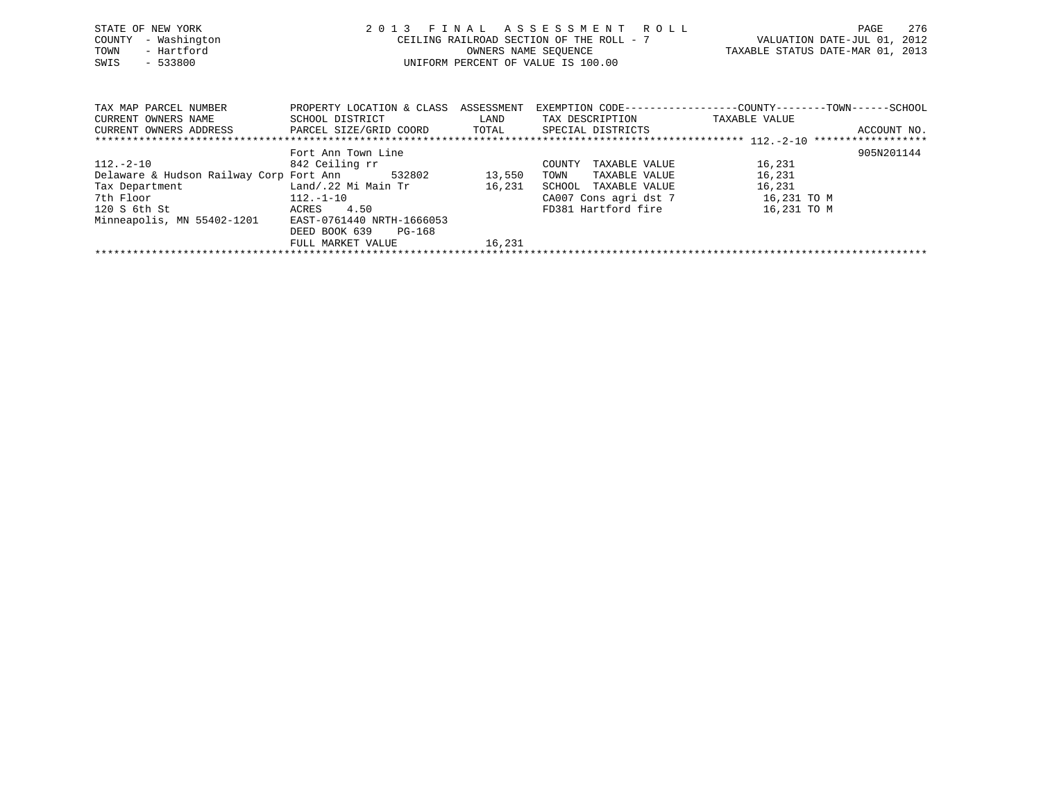| STATE OF NEW YORK<br>- Washington<br>COUNTY<br>- Hartford<br>TOWN<br>$-533800$<br>SWIS | 2 0 1 3                                                 | OWNERS NAME SEOUENCE | FINAL ASSESSMENT ROLL<br>CEILING RAILROAD SECTION OF THE ROLL - 7<br>UNIFORM PERCENT OF VALUE IS 100.00 | TAXABLE STATUS DATE-MAR 01, 2013 | 276<br>PAGE<br>VALUATION DATE-JUL 01, 2012 |
|----------------------------------------------------------------------------------------|---------------------------------------------------------|----------------------|---------------------------------------------------------------------------------------------------------|----------------------------------|--------------------------------------------|
| TAX MAP PARCEL NUMBER<br>CURRENT OWNERS NAME                                           | PROPERTY LOCATION & CLASS ASSESSMENT<br>SCHOOL DISTRICT | LAND                 | EXEMPTION CODE-----------------COUNTY-------TOWN------SCHOOL<br>TAX DESCRIPTION                         | TAXABLE VALUE                    |                                            |
| CURRENT OWNERS ADDRESS             PARCEL SIZE/GRID COORD         TOTAL                |                                                         |                      | SPECIAL DISTRICTS                                                                                       |                                  | ACCOUNT NO.                                |
|                                                                                        |                                                         |                      |                                                                                                         |                                  |                                            |
|                                                                                        | Fort Ann Town Line                                      |                      |                                                                                                         |                                  | 905N201144                                 |
| $112.-2-10$                                                                            | 842 Ceiling rr                                          |                      | TAXABLE VALUE<br>COUNTY                                                                                 | 16,231                           |                                            |
| Delaware & Hudson Railway Corp Fort Ann 532802                                         |                                                         | 13,550               | TOWN<br>TAXABLE VALUE                                                                                   | 16,231                           |                                            |
| Tax Department                                                                         | Land/.22 Mi Main Tr                                     | 16,231               | SCHOOL<br>TAXABLE VALUE                                                                                 | 16,231                           |                                            |
| 7th Floor                                                                              | $112. - 1 - 10$                                         |                      | CA007 Cons agri dst 7                                                                                   | 16,231 TO M                      |                                            |
| 120 S 6th St                                                                           | ACRES 4.50                                              |                      | FD381 Hartford fire                                                                                     | 16,231 TO M                      |                                            |
| Minneapolis, MN 55402-1201 EAST-0761440 NRTH-1666053                                   |                                                         |                      |                                                                                                         |                                  |                                            |

FULL MARKET VALUE 16,231 \*\*\*\*\*\*\*\*\*\*\*\*\*\*\*\*\*\*\*\*\*\*\*\*\*\*\*\*\*\*\*\*\*\*\*\*\*\*\*\*\*\*\*\*\*\*\*\*\*\*\*\*\*\*\*\*\*\*\*\*\*\*\*\*\*\*\*\*\*\*\*\*\*\*\*\*\*\*\*\*\*\*\*\*\*\*\*\*\*\*\*\*\*\*\*\*\*\*\*\*\*\*\*\*\*\*\*\*\*\*\*\*\*\*\*\*\*\*\*\*\*\*\*\*\*\*\*\*\*\*\*\*

DEED BOOK 639 PG-168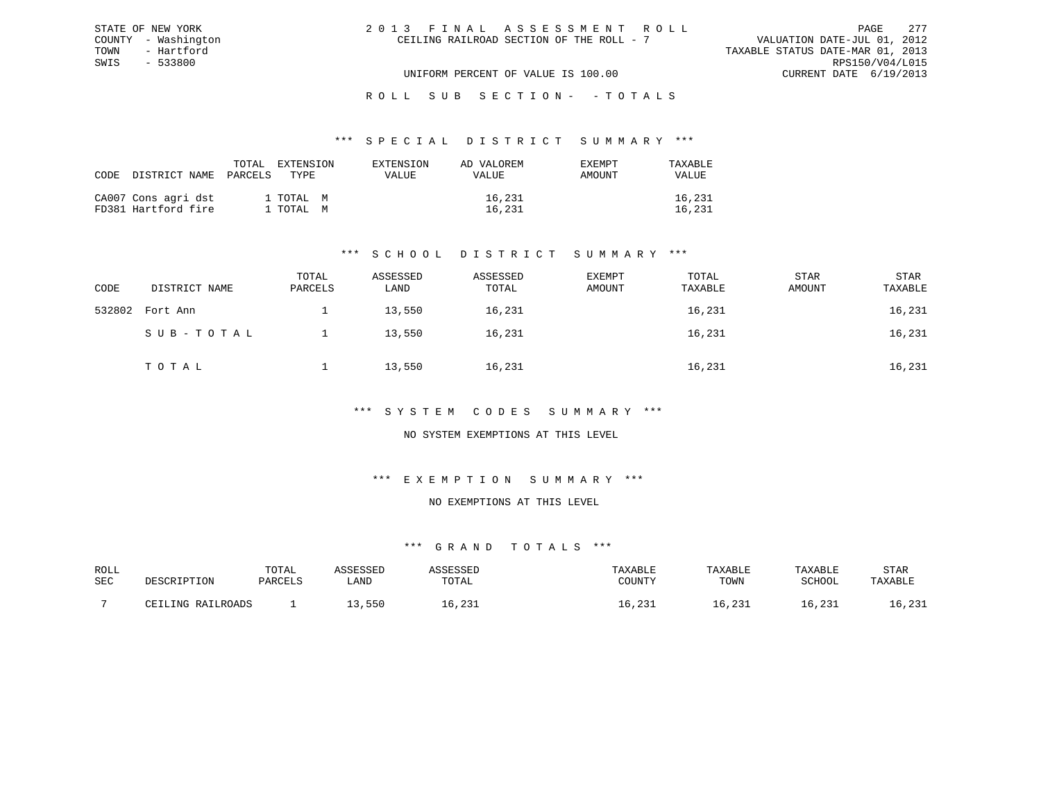| 2013 FINAL ASSESSMENT ROLL               | 2.77<br>PAGE.                    |
|------------------------------------------|----------------------------------|
| CEILING RAILROAD SECTION OF THE ROLL - 7 | VALUATION DATE-JUL 01, 2012      |
|                                          | TAXABLE STATUS DATE-MAR 01, 2013 |
|                                          | RPS150/V04/L015                  |
| UNIFORM PERCENT OF VALUE IS 100.00       | CURRENT DATE 6/19/2013           |

### \*\*\* S P E C I A L D I S T R I C T S U M M A R Y \*\*\*

| CODE DISTRICT NAME                         | TOTAL<br>PARCELS | EXTENSION<br>TYPE.     | EXTENSION<br>VALUE | AD VALOREM<br>VALUE | EXEMPT<br>AMOUNT | TAXABLE<br>VALUE |
|--------------------------------------------|------------------|------------------------|--------------------|---------------------|------------------|------------------|
| CA007 Cons agri dst<br>FD381 Hartford fire |                  | 1 TOTAL M<br>1 TOTAL M |                    | 16,231<br>16,231    |                  | 16,231<br>16,231 |

STATE OF NEW YORK COUNTY - Washington TOWN - Hartford SWIS - 533800

# \*\*\* S C H O O L D I S T R I C T S U M M A R Y \*\*\*

| CODE   | DISTRICT NAME | TOTAL<br>PARCELS | ASSESSED<br>LAND | ASSESSED<br>TOTAL | EXEMPT<br>AMOUNT | TOTAL<br>TAXABLE | STAR<br>AMOUNT | STAR<br>TAXABLE |
|--------|---------------|------------------|------------------|-------------------|------------------|------------------|----------------|-----------------|
| 532802 | Fort Ann      |                  | 13,550           | 16,231            |                  | 16,231           |                | 16,231          |
|        | SUB-TOTAL     |                  | 13,550           | 16,231            |                  | 16,231           |                | 16,231          |
|        | TOTAL         |                  | 13,550           | 16,231            |                  | 16,231           |                | 16,231          |

### \*\*\* S Y S T E M C O D E S S U M M A R Y \*\*\*

### NO SYSTEM EXEMPTIONS AT THIS LEVEL

### \*\*\* E X E M P T I O N S U M M A R Y \*\*\*

#### NO EXEMPTIONS AT THIS LEVEL

| ROLL |                       | TOTAL   | SSESSEL |       | TAXABLE                                      | TAXABLE | TAXABLE           | STAR                 |
|------|-----------------------|---------|---------|-------|----------------------------------------------|---------|-------------------|----------------------|
| SEC  | DESCRIPTION           | PARCELS | . AND   | TOTAL | COUNTY                                       | TOWN    | SCHOOL            | TAXABLE              |
|      | IJUC RATIROADS<br>וסר |         | 550     | , 201 | ່າ ລະ<br>⊥ د ∠ ر<br>$\overline{\phantom{a}}$ | 10,4J1  | ົງ 2 '<br>⊥ د ∠ ر | $\sim$ 001<br>10,4J1 |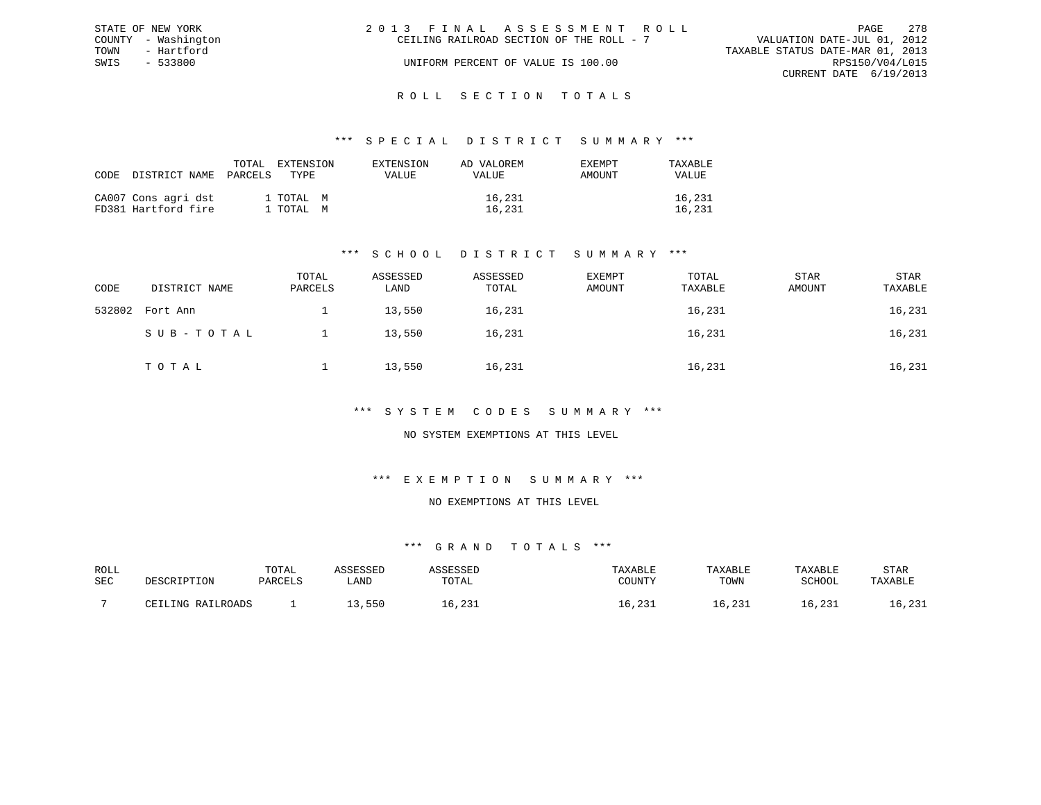|      | STATE OF NEW YORK   | 2013 FINAL ASSESSMENT ROLL |                                          |                                  | PAGE                   | 278 |
|------|---------------------|----------------------------|------------------------------------------|----------------------------------|------------------------|-----|
|      | COUNTY - Washington |                            | CEILING RAILROAD SECTION OF THE ROLL - 7 | VALUATION DATE-JUL 01, 2012      |                        |     |
| TOWN | - Hartford          |                            |                                          | TAXABLE STATUS DATE-MAR 01, 2013 |                        |     |
| SWIS | $-533800$           |                            | UNIFORM PERCENT OF VALUE IS 100.00       |                                  | RPS150/V04/L015        |     |
|      |                     |                            |                                          |                                  | CURRENT DATE 6/19/2013 |     |
|      |                     |                            |                                          |                                  |                        |     |

### R O L L S E C T I O N T O T A L S

### \*\*\* S P E C I A L D I S T R I C T S U M M A R Y \*\*\*

| CODE | DISTRICT NAME                              | TOTAL<br>PARCELS | EXTENSION<br>TYPE      | EXTENSION<br>VALUE | AD VALOREM<br>VALUE | <b>EXEMPT</b><br>AMOUNT | TAXABLE<br><b>VALUE</b> |
|------|--------------------------------------------|------------------|------------------------|--------------------|---------------------|-------------------------|-------------------------|
|      | CA007 Cons agri dst<br>FD381 Hartford fire |                  | 1 TOTAL M<br>1 TOTAL M |                    | 16,231<br>16,231    |                         | 16,231<br>16,231        |

# \*\*\* S C H O O L D I S T R I C T S U M M A R Y \*\*\*

| CODE   | DISTRICT NAME | TOTAL<br>PARCELS | ASSESSED<br>LAND | ASSESSED<br>TOTAL | EXEMPT<br>AMOUNT | TOTAL<br>TAXABLE | STAR<br>AMOUNT | STAR<br>TAXABLE |
|--------|---------------|------------------|------------------|-------------------|------------------|------------------|----------------|-----------------|
| 532802 | Fort Ann      |                  | 13,550           | 16,231            |                  | 16,231           |                | 16,231          |
|        | SUB-TOTAL     |                  | 13,550           | 16,231            |                  | 16,231           |                | 16,231          |
|        | TOTAL         |                  | 13,550           | 16,231            |                  | 16,231           |                | 16,231          |

### \*\*\* S Y S T E M C O D E S S U M M A R Y \*\*\*

### NO SYSTEM EXEMPTIONS AT THIS LEVEL

# \*\*\* E X E M P T I O N S U M M A R Y \*\*\*

#### NO EXEMPTIONS AT THIS LEVEL

| ROLL |                       | TOTAL   | SSESSEL |       | TAXABLE                                      | TAXABLE | TAXABLE           | STAR                 |
|------|-----------------------|---------|---------|-------|----------------------------------------------|---------|-------------------|----------------------|
| SEC  | DESCRIPTION           | PARCELS | . AND   | TOTAL | COUNTY                                       | TOWN    | SCHOOL            | TAXABLE              |
|      | IJUC RATIROADS<br>וסר |         | 550     | , 201 | ່າ ລະ<br>⊥ د ∠ ر<br>$\overline{\phantom{a}}$ | 10,4J1  | ົງ 2 '<br>⊥ د ∠ ر | $\sim$ 001<br>10,4J1 |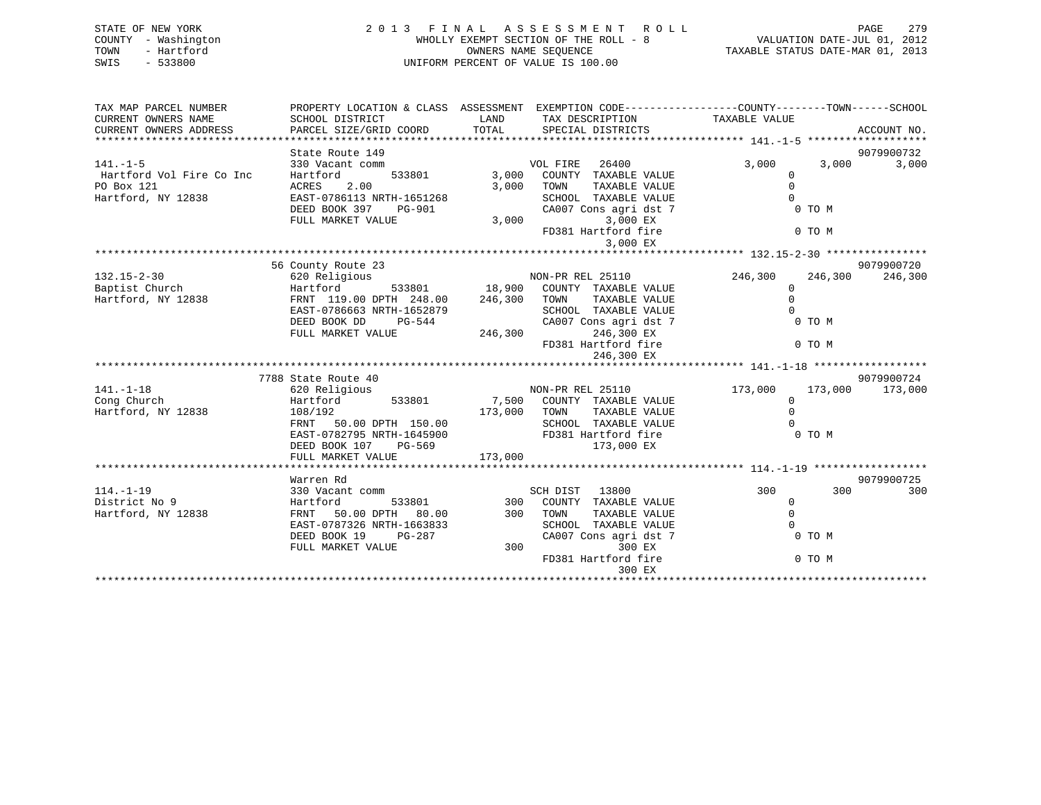| STATE OF NEW YORK<br>- Washington<br>COUNTY<br>- Hartford<br>TOWN<br>SWIS<br>$-533800$ | 2 0 1 3                                      | FINAL ASSESSMENT ROLL<br>WHOLLY EXEMPT SECTION OF THE ROLL - 8<br>OWNERS NAME SEOUENCE<br>UNIFORM PERCENT OF VALUE IS 100.00 |                   |               | 279<br>PAGE<br>VALUATION DATE-JUL 01, 2012<br>TAXABLE STATUS DATE-MAR 01, 2013 |
|----------------------------------------------------------------------------------------|----------------------------------------------|------------------------------------------------------------------------------------------------------------------------------|-------------------|---------------|--------------------------------------------------------------------------------|
| TAX MAP PARCEL NUMBER<br>CURRENT OWNERS NAME                                           | PROPERTY LOCATION & CLASS<br>SCHOOL DISTRICT | ASSESSMENT<br>TAX DESCRIPTION<br>LAND                                                                                        |                   | TAXABLE VALUE | EXEMPTION CODE-----------------COUNTY-------TOWN------SCHOOL                   |
| CURRENT OWNERS ADDRESS                                                                 | PARCEL SIZE/GRID COORD                       | TOTAL                                                                                                                        | SPECIAL DISTRICTS |               | ACCOUNT NO.                                                                    |
|                                                                                        |                                              |                                                                                                                              |                   |               |                                                                                |
|                                                                                        | State Route 149                              |                                                                                                                              |                   |               | 9079900732                                                                     |
| $141. - 1 - 5$                                                                         | 330 Vacant comm                              | VOL FIRE                                                                                                                     | 26400             | 3,000         | 3,000<br>3,000                                                                 |
| Hartford Vol Fire Co Inc                                                               | Hartford<br>533801                           | 3,000<br>COUNTY                                                                                                              | TAXABLE VALUE     |               |                                                                                |

\*\*\*\*\*\*\*\*\*\*\*\*\*\*\*\*\*\*\*\*\*\*\*\*\*\*\*\*\*\*\*\*\*\*\*\*\*\*\*\*\*\*\*\*\*\*\*\*\*\*\*\*\*\*\*\*\*\*\*\*\*\*\*\*\*\*\*\*\*\*\*\*\*\*\*\*\*\*\*\*\*\*\*\*\*\*\*\*\*\*\*\*\*\*\*\*\*\*\*\*\*\*\* 132.15-2-30 \*\*\*\*\*\*\*\*\*\*\*\*\*\*\*\*

132.15-2-30 620 Religious NON-PR REL 25110 246,300 246,300 246,300

EAST-0786663 NRTH-1652879 SCHOOL TAXABLE VALUE 0

DEED BOOK 397 PG-901 CA007 Cons agri dst 7 0 TO M FULL MARKET VALUE 3,000 CA007 Cons agri dst 7

FD381 Hartford fire 0 TO M

9079900720

3,000 EX

246, 300 TOWN TAXABLE VALUE 0

PO Box 121 ACRES 2.00 3,000 TOWN TAXABLE VALUE 0 Hartford, NY 12838 EAST-0786113 NRTH-1651268 SCHOOL TAXABLE VALUE 0

Baptist Church Hartford 533801 18,900 COUNTY TAXABLE VALUE 0

FULL MARKET VALUE

56 County Route 23

|                    | PG-544<br>DEED BOOK DD    | CA007 Cons agri dst 7            | 0 TO M                        |
|--------------------|---------------------------|----------------------------------|-------------------------------|
|                    | FULL MARKET VALUE         | 246,300<br>246,300 EX            |                               |
|                    |                           | FD381 Hartford fire              | 0 TO M                        |
|                    |                           | 246,300 EX                       |                               |
|                    |                           |                                  |                               |
|                    | 7788 State Route 40       |                                  | 9079900724                    |
| $141. - 1 - 18$    | 620 Religious             | NON-PR REL 25110                 | 173,000<br>173,000<br>173,000 |
| Cong Church        | 533801<br>Hartford        | 7,500<br>COUNTY TAXABLE VALUE    |                               |
| Hartford, NY 12838 | 108/192                   | 173,000<br>TOWN<br>TAXABLE VALUE |                               |
|                    | FRNT 50.00 DPTH 150.00    | SCHOOL TAXABLE VALUE             |                               |
|                    | EAST-0782795 NRTH-1645900 | FD381 Hartford fire              | 0 TO M                        |
|                    | DEED BOOK 107<br>PG-569   | 173,000 EX                       |                               |
|                    | FULL MARKET VALUE         | 173,000                          |                               |
|                    |                           |                                  |                               |
|                    | Warren Rd                 |                                  | 9079900725                    |
| $114. - 1 - 19$    | 330 Vacant comm           | 13800<br>SCH DIST                | 300<br>300<br>300             |
| District No 9      | Hartford<br>533801        | 300 COUNTY TAXABLE VALUE         |                               |
| Hartford, NY 12838 | FRNT 50.00 DPTH<br>80.00  | 300<br>TOWN<br>TAXABLE VALUE     |                               |
|                    | EAST-0787326 NRTH-1663833 | TAXABLE VALUE<br>SCHOOL          |                               |
|                    | DEED BOOK 19<br>PG-287    | CA007 Cons agri dst 7            | 0 TO M                        |
|                    | FULL MARKET VALUE         | 300 EX<br>300                    |                               |
|                    |                           | FD381 Hartford fire              | 0 TO M                        |
|                    |                           |                                  |                               |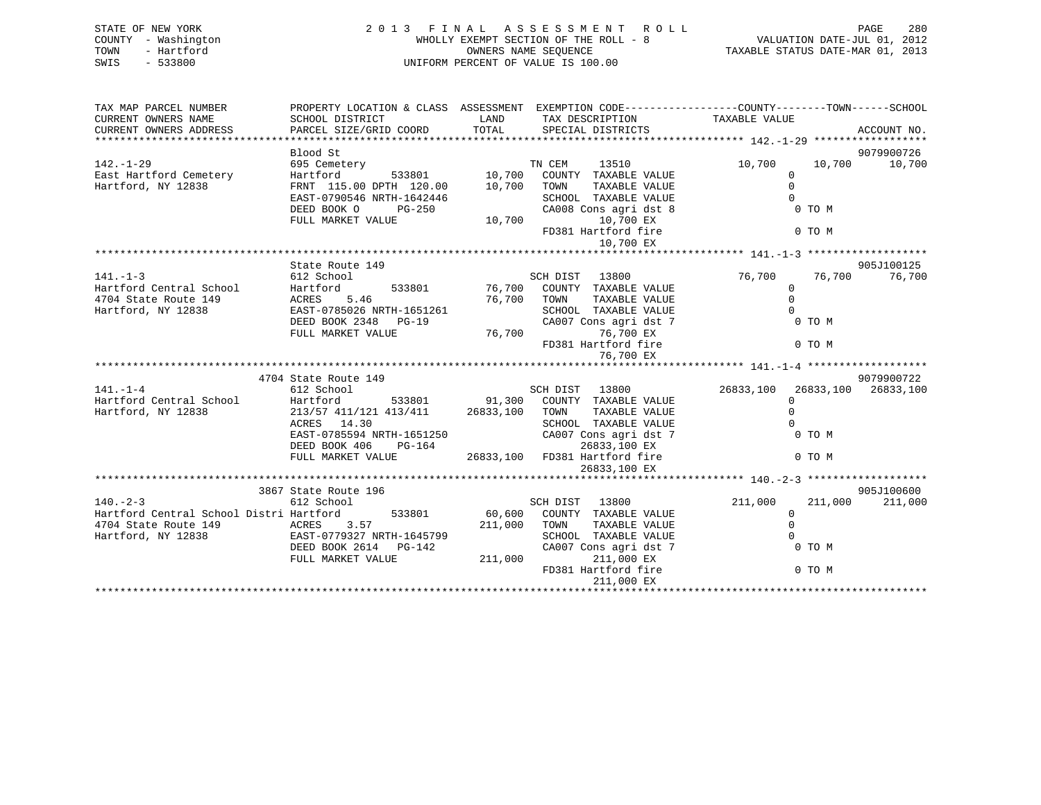| STATE OF NEW YORK<br>COUNTY - Washington<br>TOWN<br>- Hartford<br>SWIS<br>$-533800$ | 2013 FINAL ASSESSMENT ROLL<br>UNIFORM PERCENT OF VALUE IS 100.00                                | WHOLLY EXEMPT SECTION OF THE ROLL - 8<br>WALUATION DATE-JUL 01, 2012<br>ONNERS NAME SEQUENCE CONSIDERED AND CONSIDER TAXABLE STATUS DATE-MAR 01, 2013 |                                                                                                  | PAGE<br>280             |                     |             |
|-------------------------------------------------------------------------------------|-------------------------------------------------------------------------------------------------|-------------------------------------------------------------------------------------------------------------------------------------------------------|--------------------------------------------------------------------------------------------------|-------------------------|---------------------|-------------|
| TAX MAP PARCEL NUMBER                                                               |                                                                                                 |                                                                                                                                                       | PROPERTY LOCATION & CLASS ASSESSMENT EXEMPTION CODE----------------COUNTY-------TOWN------SCHOOL |                         |                     |             |
| CURRENT OWNERS NAME                                                                 | SCHOOL DISTRICT                                                                                 | LAND                                                                                                                                                  | TAX DESCRIPTION                                                                                  | TAXABLE VALUE           |                     |             |
| CURRENT OWNERS ADDRESS                                                              | PARCEL SIZE/GRID COORD                                                                          | TOTAL                                                                                                                                                 | SPECIAL DISTRICTS                                                                                |                         |                     | ACCOUNT NO. |
|                                                                                     | Blood St                                                                                        |                                                                                                                                                       |                                                                                                  |                         |                     | 9079900726  |
| $142. - 1 - 29$                                                                     | 695 Cemetery                                                                                    |                                                                                                                                                       | TN CEM<br>13510                                                                                  | 10,700                  | 10,700              | 10,700      |
| East Hartford Cemetery                                                              | 533801 10,700<br>™™ 120.00 10,700<br>Hartford                                                   |                                                                                                                                                       | COUNTY TAXABLE VALUE                                                                             | $\mathbf{0}$            |                     |             |
| Hartford, NY 12838                                                                  | FRNT 115.00 DPTH 120.00                                                                         |                                                                                                                                                       | TAXABLE VALUE<br>TOWN                                                                            | $\Omega$                |                     |             |
|                                                                                     | EAST-0790546 NRTH-1642446                                                                       |                                                                                                                                                       | SCHOOL TAXABLE VALUE                                                                             | $\Omega$                |                     |             |
|                                                                                     | DEED BOOK O<br>PG-250                                                                           |                                                                                                                                                       | CA008 Cons agri dst 8                                                                            |                         | 0 TO M              |             |
|                                                                                     | FULL MARKET VALUE                                                                               | 10,700                                                                                                                                                | 10,700 EX<br>FD381 Hartford fire                                                                 |                         | 0 TO M              |             |
|                                                                                     |                                                                                                 |                                                                                                                                                       | 10,700 EX                                                                                        |                         |                     |             |
|                                                                                     |                                                                                                 |                                                                                                                                                       |                                                                                                  |                         |                     |             |
|                                                                                     | State Route 149                                                                                 |                                                                                                                                                       |                                                                                                  |                         |                     | 905J100125  |
| $141. - 1 - 3$                                                                      | 612 School                                                                                      |                                                                                                                                                       | SCH DIST 13800                                                                                   | 76,700                  | 76,700              | 76,700      |
| Hartford Central School                                                             | Hartford<br>533801                                                                              |                                                                                                                                                       | 76,700 COUNTY TAXABLE VALUE                                                                      | $\overline{0}$          |                     |             |
| 4704 State Route 149<br>Hartford, NY 12838                                          | 5.46<br>ACRES<br>EAST-0785026 NRTH-1651261                                                      |                                                                                                                                                       | 76,700 TOWN<br>TAXABLE VALUE<br>SCHOOL TAXABLE VALUE                                             | $\mathbf 0$<br>$\Omega$ |                     |             |
|                                                                                     | DEED BOOK 2348<br>$PG-19$                                                                       |                                                                                                                                                       | CA007 Cons agri dst 7                                                                            |                         | 0 TO M              |             |
|                                                                                     | FULL MARKET VALUE                                                                               | 76,700                                                                                                                                                | 76,700 EX                                                                                        |                         |                     |             |
|                                                                                     |                                                                                                 |                                                                                                                                                       | FD381 Hartford fire                                                                              |                         | 0 TO M              |             |
|                                                                                     |                                                                                                 |                                                                                                                                                       | 76,700 EX                                                                                        |                         |                     |             |
|                                                                                     |                                                                                                 |                                                                                                                                                       |                                                                                                  |                         |                     |             |
| $141. - 1 - 4$                                                                      | 4704 State Route 149<br>612 School                                                              |                                                                                                                                                       | SCH DIST 13800                                                                                   | 26833,100               | 26833,100 26833,100 | 9079900722  |
| Hartford Central School                                                             |                                                                                                 |                                                                                                                                                       |                                                                                                  | $\overline{0}$          |                     |             |
| Hartford, NY 12838                                                                  | Hartford 533801 91,300 COUNTY TAXABLE VALUE 213/57 411/121 413/411 26833,100 TOWN TAXABLE VALUE |                                                                                                                                                       |                                                                                                  | $\Omega$                |                     |             |
|                                                                                     | ACRES<br>14.30                                                                                  |                                                                                                                                                       | SCHOOL TAXABLE VALUE                                                                             | $\Omega$                |                     |             |
|                                                                                     | EAST-0785594 NRTH-1651250                                                                       |                                                                                                                                                       | CA007 Cons agri dst 7                                                                            |                         | 0 TO M              |             |
|                                                                                     | DEED BOOK 406<br>PG-164                                                                         |                                                                                                                                                       | 26833,100 EX                                                                                     |                         |                     |             |
|                                                                                     | FULL MARKET VALUE                                                                               |                                                                                                                                                       | 26833,100 FD381 Hartford fire                                                                    |                         | 0 TO M              |             |
|                                                                                     |                                                                                                 |                                                                                                                                                       | 26833,100 EX                                                                                     |                         |                     |             |
|                                                                                     | 3867 State Route 196                                                                            |                                                                                                                                                       |                                                                                                  |                         |                     | 905J100600  |
| $140 - 2 - 3$                                                                       | 612 School                                                                                      |                                                                                                                                                       | SCH DIST<br>13800                                                                                | 211,000                 | 211,000             | 211,000     |
| Hartford Central School Distri Hartford                                             | 533801                                                                                          | 60,600                                                                                                                                                | COUNTY TAXABLE VALUE                                                                             | $\mathbf 0$             |                     |             |
| 4704 State Route 149                                                                | ACRES<br>3.57                                                                                   | 211,000                                                                                                                                               | TOWN<br>TAXABLE VALUE                                                                            | $\Omega$                |                     |             |
| Hartford, NY 12838                                                                  | EAST-0779327 NRTH-1645799                                                                       |                                                                                                                                                       | SCHOOL TAXABLE VALUE                                                                             |                         |                     |             |
|                                                                                     | DEED BOOK 2614 PG-142                                                                           |                                                                                                                                                       | CA007 Cons agri dst 7                                                                            |                         | 0 TO M              |             |
|                                                                                     | FULL MARKET VALUE                                                                               | 211,000                                                                                                                                               | 211,000 EX                                                                                       |                         |                     |             |

\*\*\*\*\*\*\*\*\*\*\*\*\*\*\*\*\*\*\*\*\*\*\*\*\*\*\*\*\*\*\*\*\*\*\*\*\*\*\*\*\*\*\*\*\*\*\*\*\*\*\*\*\*\*\*\*\*\*\*\*\*\*\*\*\*\*\*\*\*\*\*\*\*\*\*\*\*\*\*\*\*\*\*\*\*\*\*\*\*\*\*\*\*\*\*\*\*\*\*\*\*\*\*\*\*\*\*\*\*\*\*\*\*\*\*\*\*\*\*\*\*\*\*\*\*\*\*\*\*\*\*\*

FD381 Hartford fire

211,000 EX

0 TO M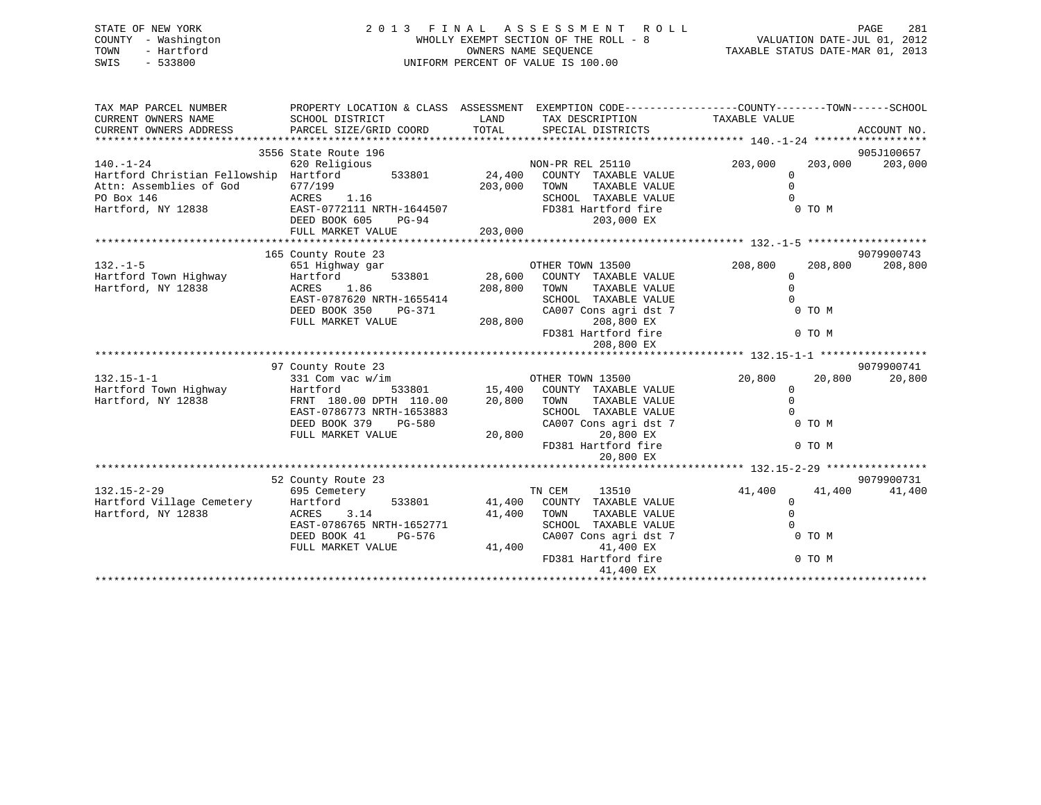# STATE OF NEW YORK 2 0 1 3 F I N A L A S S E S S M E N T R O L L PAGE 281 COUNTY - Washington WHOLLY EXEMPT SECTION OF THE ROLL - 8 VALUATION DATE-JUL 01, 2012 TOWN - Hartford OWNERS NAME SEQUENCE TAXABLE STATUS DATE-MAR 01, 2013 SWIS - 533800 UNIFORM PERCENT OF VALUE IS 100.00

| TAX MAP PARCEL NUMBER<br>CURRENT OWNERS NAME<br>CURRENT OWNERS ADDRESS                                                          | PROPERTY LOCATION & CLASS ASSESSMENT EXEMPTION CODE----------------COUNTY-------TOWN------SCHOOL<br>SCHOOL DISTRICT<br>PARCEL SIZE/GRID COORD              | LAND<br>TOTAL      | TAX DESCRIPTION TAXABLE VALUE<br>SPECIAL DISTRICTS                                                                                                                                |                                                     |                            | ACCOUNT NO.           |
|---------------------------------------------------------------------------------------------------------------------------------|------------------------------------------------------------------------------------------------------------------------------------------------------------|--------------------|-----------------------------------------------------------------------------------------------------------------------------------------------------------------------------------|-----------------------------------------------------|----------------------------|-----------------------|
| $140. - 1 - 24$<br>Hartford Christian Fellowship Hartford 533801<br>Attn: Assemblies of God<br>PO Box 146<br>Hartford, NY 12838 | 3556 State Route 196<br>620 Religious<br>677/199<br>ACRES 1.16<br>EAST-0772111 NRTH-1644507<br>DEED BOOK 605<br>PG-94<br>FULL MARKET VALUE                 | 203,000<br>203,000 | NON-PR REL 25110<br>24,400 COUNTY TAXABLE VALUE<br>TAXABLE VALUE<br>TOWN<br>SCHOOL TAXABLE VALUE<br>FD381 Hartford fire<br>203,000 EX                                             | 203,000<br>0<br>$\Omega$<br>$\Omega$                | 203,000<br>0 TO M          | 905J100657<br>203,000 |
| $132. -1 - 5$<br>Hartford Town Highway<br>Hartford, NY 12838                                                                    | 165 County Route 23<br>651 Highway gar<br>Hartford<br>ACRES<br>1.86<br>EAST-0787620 NRTH-1655414<br>DEED BOOK 350<br>PG-371                                | 208,800            | OTHER TOWN 13500<br>OTHER TOWN 13500<br>533801 28,600 COUNTY TAXABLE VALUE<br>TOWN<br>TAXABLE VALUE<br>SCHOOL TAXABLE VALUE<br>CA007 Cons agri dst 7                              | 208,800<br>$\mathbf 0$<br>$\Omega$<br>$\Omega$      | 208,800<br>0 TO M          | 9079900743<br>208,800 |
|                                                                                                                                 | FULL MARKET VALUE                                                                                                                                          | 208,800            | 208,800 EX<br>FD381 Hartford fire<br>208,800 EX                                                                                                                                   |                                                     | 0 TO M                     |                       |
| $132.15 - 1 - 1$<br>Hartford Town Highway<br>Hartford, NY 12838                                                                 | 97 County Route 23<br>331 Com vac w/im<br>Hartford<br>FRNT 180.00 DPTH 110.00<br>EAST-0786773 NRTH-1653883<br>DEED BOOK 379<br>PG-580<br>FULL MARKET VALUE | 20,800<br>20,800   | OTHER TOWN 13500<br>533801 15,400 COUNTY TAXABLE VALUE<br>TAXABLE VALUE<br>TOWN<br>SCHOOL TAXABLE VALUE<br>CA007 Cons agri dst 7<br>20,800 EX<br>FD381 Hartford fire<br>20,800 EX | 20,800<br>$\mathbf{0}$<br>$\Omega$<br>$\Omega$      | 20,800<br>0 TO M<br>0 TO M | 9079900741<br>20,800  |
| $132.15 - 2 - 29$<br>Hartford Village Cemetery<br>Hartford, NY 12838                                                            | 52 County Route 23<br>695 Cemetery<br>Hartford<br>3.14<br>ACRES<br>EAST-0786765 NRTH-1652771<br>DEED BOOK 41<br>PG-576<br>FULL MARKET VALUE                | 41,400<br>41,400   | TN CEM<br>13510<br>533801 41,400 COUNTY TAXABLE VALUE<br>TOWN<br>TAXABLE VALUE<br>SCHOOL TAXABLE VALUE<br>CA007 Cons agri dst 7<br>41,400 EX<br>FD381 Hartford fire<br>41,400 EX  | 41,400<br>$\mathbf 0$<br>$\mathbf 0$<br>$\mathbf 0$ | 41,400<br>0 TO M<br>0 TO M | 9079900731<br>41,400  |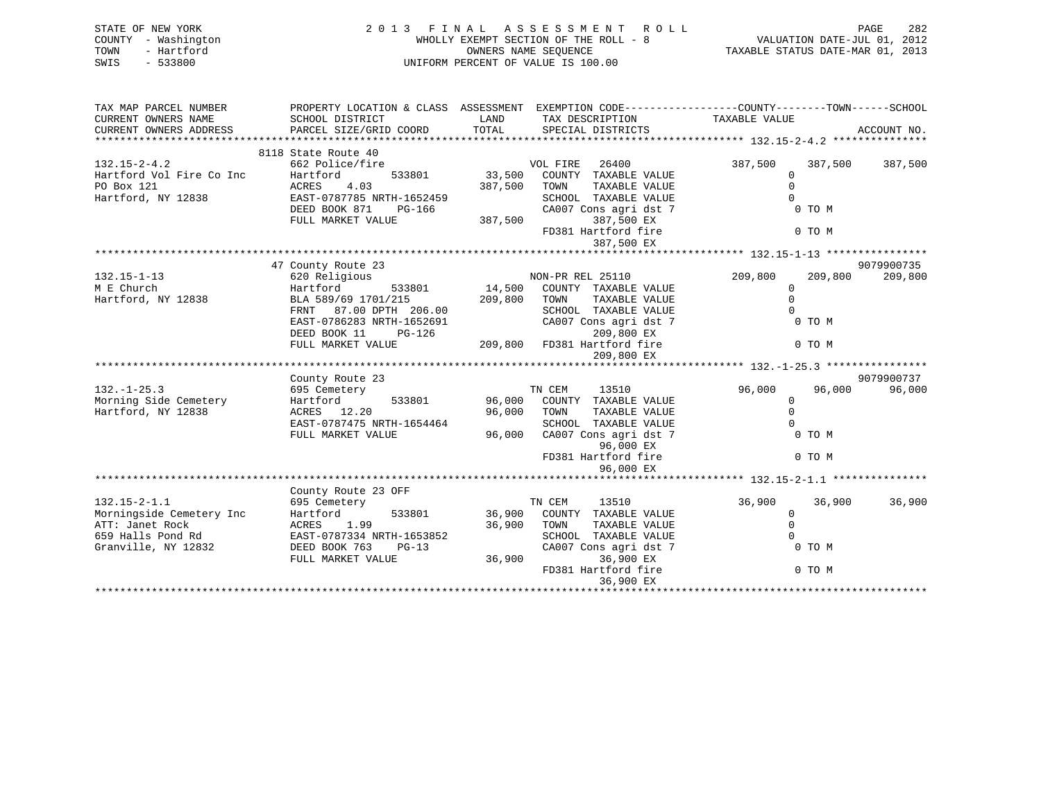| STATE OF NEW YORK<br>COUNTY - Washington<br>- Hartford<br>TOWN<br>$-533800$<br>SWIS | 2013 FINAL ASSESSMENT ROLL<br>WHOLLY EXEMPT SECTION OF THE ROLL - 8<br>UNIFORM PERCENT OF VALUE IS 100.00                         | PAGE 282<br>VALUATION DATE-JUL 01, 2012<br>TAXABLE STATIE DATE 11: |                                                                                                                                                |                                                         |             |
|-------------------------------------------------------------------------------------|-----------------------------------------------------------------------------------------------------------------------------------|--------------------------------------------------------------------|------------------------------------------------------------------------------------------------------------------------------------------------|---------------------------------------------------------|-------------|
| TAX MAP PARCEL NUMBER<br>CURRENT OWNERS NAME                                        | SCHOOL DISTRICT                                                                                                                   | LAND                                                               | PROPERTY LOCATION & CLASS ASSESSMENT EXEMPTION CODE----------------COUNTY-------TOWN------SCHOOL<br>TAX DESCRIPTION                            | TAXABLE VALUE                                           |             |
| CURRENT OWNERS ADDRESS                                                              | PARCEL SIZE/GRID COORD                                                                                                            |                                                                    | TOTAL SPECIAL DISTRICTS                                                                                                                        |                                                         | ACCOUNT NO. |
|                                                                                     | 8118 State Route 40                                                                                                               |                                                                    |                                                                                                                                                |                                                         |             |
| $132.15 - 2 - 4.2$<br>Hartford Vol Fire Co Inc<br>PO Box 121<br>Hartford, NY 12838  | 662 Police/fire<br>Hartford<br>533801<br>ACRES<br>4.03<br>EAST-0787785 NRTH-1652459<br>DEED BOOK 871<br>PG-166                    | 387,500                                                            | VOL FIRE<br>26400<br>33,500 COUNTY TAXABLE VALUE<br>TOWN<br>TAXABLE VALUE<br>SCHOOL TAXABLE VALUE<br>CA007 Cons agri dst 7                     | 387,500<br>387,500<br>0<br>0 TO M                       | 387,500     |
|                                                                                     | FULL MARKET VALUE                                                                                                                 | 387,500                                                            | 387,500 EX<br>FD381 Hartford fire<br>387,500 EX                                                                                                | 0 TO M                                                  |             |
|                                                                                     |                                                                                                                                   |                                                                    |                                                                                                                                                |                                                         |             |
|                                                                                     | 47 County Route 23                                                                                                                |                                                                    |                                                                                                                                                |                                                         | 9079900735  |
| $132.15 - 1 - 13$<br>M E Church<br>Hartford, NY 12838                               | 620 Religious<br>Hartford<br>BLA 589/69 1701/215<br>FRNT 87.00 DPTH 206.00<br>EAST-0786283 NRTH-1652691<br>DEED BOOK 11<br>PG-126 | 209,800                                                            | NON-PR REL 25110<br>533801 14,500 COUNTY TAXABLE VALUE<br>TOWN<br>TAXABLE VALUE<br>SCHOOL TAXABLE VALUE<br>CA007 Cons agri dst 7<br>209,800 EX | 209,800<br>209,800<br>$\mathbf 0$<br>$\Omega$<br>0 TO M | 209,800     |
|                                                                                     | FULL MARKET VALUE                                                                                                                 |                                                                    | 209,800 FD381 Hartford fire                                                                                                                    | 0 TO M                                                  |             |
|                                                                                     |                                                                                                                                   |                                                                    | 209,800 EX                                                                                                                                     |                                                         |             |
|                                                                                     |                                                                                                                                   |                                                                    |                                                                                                                                                |                                                         | 9079900737  |
| $132. - 1 - 25.3$                                                                   | County Route 23<br>695 Cemetery                                                                                                   |                                                                    | TN CEM<br>13510                                                                                                                                | 96,000<br>96,000                                        | 96,000      |
| Morning Side Cemetery<br>Hartford, NY 12838                                         | Hartford<br>533801<br>ACRES 12.20<br>$FACTL0787475 NDTH-1654464$                                                                  | 96,000<br>96,000                                                   | COUNTY TAXABLE VALUE<br>TOWN<br>TAXABLE VALUE<br>SURVOL.<br>סוו. זגזו ס. זם גצגיד                                                              | $\Omega$                                                |             |

|                          | LASI-0767473 NRIH-1094404 |        | SURUUL IAAABLE VALUE    |                  |        |
|--------------------------|---------------------------|--------|-------------------------|------------------|--------|
|                          | FULL MARKET VALUE         | 96,000 | CA007 Cons agri dst 7   | 0 TO M           |        |
|                          |                           |        | 96,000 EX               |                  |        |
|                          |                           |        | FD381 Hartford fire     | 0 TO M           |        |
|                          |                           |        | 96,000 EX               |                  |        |
|                          |                           |        |                         |                  |        |
|                          | County Route 23 OFF       |        |                         |                  |        |
| $132.15 - 2 - 1.1$       | 695 Cemetery              |        | 13510<br>TN CEM         | 36,900<br>36,900 | 36,900 |
| Morningside Cemetery Inc | 533801<br>Hartford        | 36,900 | COUNTY<br>TAXABLE VALUE |                  |        |
| ATT: Janet Rock          | 1.99<br>ACRES             | 36,900 | TOWN<br>TAXABLE VALUE   |                  |        |
| 659 Halls Pond Rd        | EAST-0787334 NRTH-1653852 |        | SCHOOL<br>TAXABLE VALUE |                  |        |
| Granville, NY 12832      | DEED BOOK 763<br>PG-13    |        | CA007 Cons agri dst 7   | 0 TO M           |        |
|                          | FULL MARKET VALUE         | 36,900 | 36,900 EX               |                  |        |
|                          |                           |        | FD381 Hartford fire     | 0 TO M           |        |
|                          |                           |        | 36,900 EX               |                  |        |
|                          |                           |        |                         |                  |        |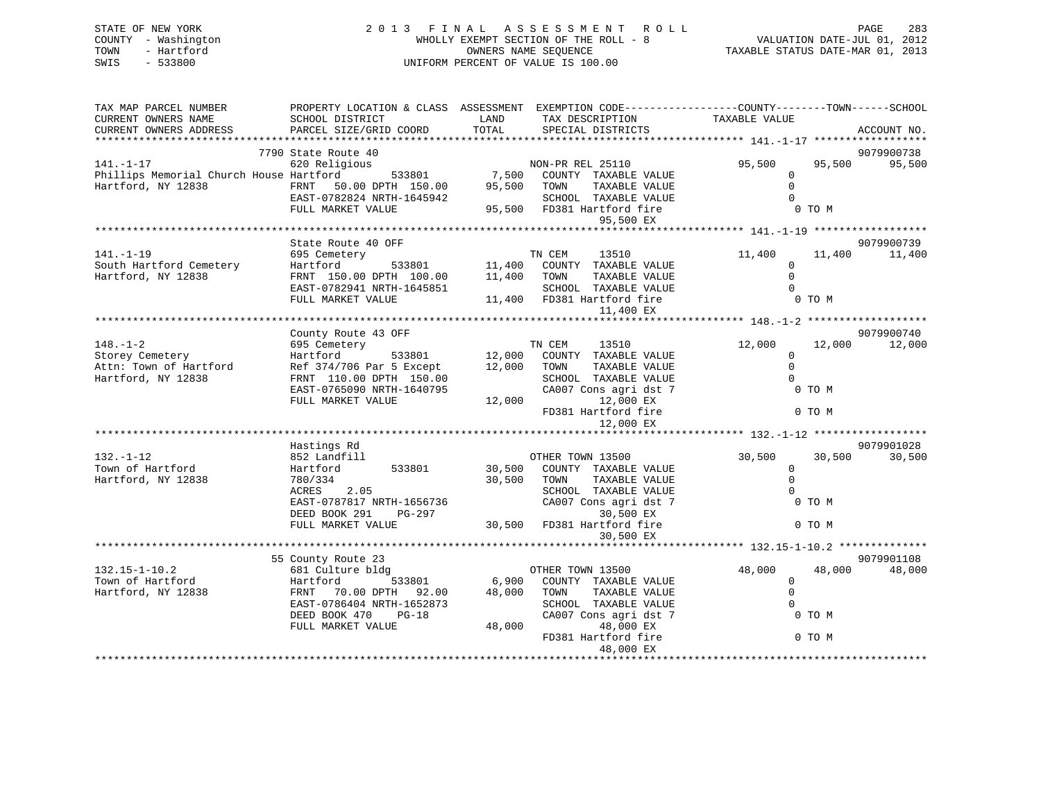| STATE OF NEW YORK   | 2013 FINAL ASSESSMENT ROLL            | 283<br>PAGE                      |
|---------------------|---------------------------------------|----------------------------------|
| COUNTY - Washington | WHOLLY EXEMPT SECTION OF THE ROLL - 8 | VALUATION DATE-JUL 01, 2012      |
| TOWN<br>- Hartford  | OWNERS NAME SEOUENCE                  | TAXABLE STATUS DATE-MAR 01, 2013 |
| SWIS<br>$-533800$   | UNIFORM PERCENT OF VALUE IS 100.00    |                                  |
|                     |                                       |                                  |

| TAX MAP PARCEL NUMBER                                                                                                                                                                                                         | PROPERTY LOCATION & CLASS ASSESSMENT EXEMPTION CODE-----------------COUNTY-------TOWN------SCHOOL                                 |             |                                                                                                                                                                                                                                |               |        |            |
|-------------------------------------------------------------------------------------------------------------------------------------------------------------------------------------------------------------------------------|-----------------------------------------------------------------------------------------------------------------------------------|-------------|--------------------------------------------------------------------------------------------------------------------------------------------------------------------------------------------------------------------------------|---------------|--------|------------|
| CURRENT OWNERS NAME                                                                                                                                                                                                           | SCHOOL DISTRICT                                                                                                                   | LAND        | TAX DESCRIPTION                                                                                                                                                                                                                | TAXABLE VALUE |        |            |
|                                                                                                                                                                                                                               |                                                                                                                                   |             |                                                                                                                                                                                                                                |               |        |            |
|                                                                                                                                                                                                                               |                                                                                                                                   |             |                                                                                                                                                                                                                                |               |        |            |
|                                                                                                                                                                                                                               | 7790 State Route 40                                                                                                               |             |                                                                                                                                                                                                                                |               |        | 9079900738 |
| $141. - 1 - 17$                                                                                                                                                                                                               | 620 Religious                                                                                                                     |             | ious<br>533801 7,500 COUNTY TAXABLE VALUE                                                                                                                                                                                      | 95,500        | 95,500 | 95,500     |
| Phillips Memorial Church House Hartford                                                                                                                                                                                       |                                                                                                                                   |             |                                                                                                                                                                                                                                | $\Omega$      |        |            |
| Hartford, NY 12838                                                                                                                                                                                                            | FRNT 50.00 DPTH 150.00 95,500 TOWN<br>EAST-0782824 NRTH-1645942 SCHOC                                                             |             | TAXABLE VALUE                                                                                                                                                                                                                  | $\Omega$      |        |            |
|                                                                                                                                                                                                                               |                                                                                                                                   |             |                                                                                                                                                                                                                                | $\Omega$      |        |            |
|                                                                                                                                                                                                                               | FULL MARKET VALUE                                                                                                                 |             | 545942 SCHOOL TAXABLE VALUE<br>95,500 FD381 Hartford fire                                                                                                                                                                      |               | 0 TO M |            |
|                                                                                                                                                                                                                               |                                                                                                                                   |             | 95,500 EX                                                                                                                                                                                                                      |               |        |            |
|                                                                                                                                                                                                                               |                                                                                                                                   |             |                                                                                                                                                                                                                                |               |        |            |
|                                                                                                                                                                                                                               | State Route 40 OFF                                                                                                                |             |                                                                                                                                                                                                                                |               |        | 9079900739 |
| $141. - 1 - 19$                                                                                                                                                                                                               | 695 Cemetery                                                                                                                      |             |                                                                                                                                                                                                                                | 11,400 11,400 |        | 11,400     |
|                                                                                                                                                                                                                               | Hartford                                                                                                                          |             | EXTY FOR THE STRIP TO THE STRIP OF THE STRIP OF STRIPS STRIPS ON THE STRIPS OF STRIPS OF THE STRIPS OF STRIPS THE STRIPS OF STRIPS OF STRIPS OF STRIPS OF STRIPS OF STRIPS OF STRIPS OF STRIPS OF STRIPS OF STRIPS OF STRIPS O | $\Omega$      |        |            |
| South Hartford Cemetery<br>Hartford, NY 12838                                                                                                                                                                                 |                                                                                                                                   |             | TAXABLE VALUE                                                                                                                                                                                                                  | $\Omega$      |        |            |
|                                                                                                                                                                                                                               | FRNT 150.00 DPTH 100.00 11,400 TOWN                                                                                               |             |                                                                                                                                                                                                                                | $\Omega$      |        |            |
|                                                                                                                                                                                                                               | EAST-0782941 NRTH-1645851                                                                                                         |             | SCHOOL TAXABLE VALUE                                                                                                                                                                                                           |               |        |            |
|                                                                                                                                                                                                                               | FULL MARKET VALUE 11,400 FD381 Hartford fire                                                                                      |             |                                                                                                                                                                                                                                |               | 0 TO M |            |
|                                                                                                                                                                                                                               |                                                                                                                                   |             | 11,400 EX                                                                                                                                                                                                                      |               |        |            |
|                                                                                                                                                                                                                               |                                                                                                                                   |             |                                                                                                                                                                                                                                |               |        |            |
|                                                                                                                                                                                                                               | County Route 43 OFF                                                                                                               |             |                                                                                                                                                                                                                                |               |        | 9079900740 |
| $148. - 1 - 2$                                                                                                                                                                                                                |                                                                                                                                   |             |                                                                                                                                                                                                                                | 12,000 12,000 |        | 12,000     |
| Storey Cemetery                                                                                                                                                                                                               |                                                                                                                                   |             |                                                                                                                                                                                                                                | $\Omega$      |        |            |
| Processor of Hartford and the set of the set of the set of the set of the set of the set of the set of the set of the Hartford and the Hartford school of the Hartford school set of the Hartford school school school school |                                                                                                                                   |             | TAXABLE VALUE                                                                                                                                                                                                                  | $\Omega$      |        |            |
| Hartford, NY 12838                                                                                                                                                                                                            |                                                                                                                                   |             | SCHOOL TAXABLE VALUE                                                                                                                                                                                                           | $\Omega$      |        |            |
|                                                                                                                                                                                                                               | FRNT 110.00 DPTH 150.00 SCHOOL TAXABLE VAL<br>EAST-0765090 NRTH-1640795 CA007 Cons agri dst<br>FULL MARKET VALUE 12,000 12,000 EX |             | CA007 Cons agri dst 7                                                                                                                                                                                                          | O TO M        |        |            |
|                                                                                                                                                                                                                               |                                                                                                                                   |             |                                                                                                                                                                                                                                |               |        |            |
|                                                                                                                                                                                                                               |                                                                                                                                   |             | FD381 Hartford fire                                                                                                                                                                                                            |               | 0 TO M |            |
|                                                                                                                                                                                                                               |                                                                                                                                   |             | 12,000 EX                                                                                                                                                                                                                      |               |        |            |
|                                                                                                                                                                                                                               |                                                                                                                                   |             |                                                                                                                                                                                                                                |               |        |            |
|                                                                                                                                                                                                                               | Hastings Rd                                                                                                                       |             |                                                                                                                                                                                                                                |               |        | 9079901028 |
| $132. - 1 - 12$                                                                                                                                                                                                               | 852 Landfill                                                                                                                      |             | OTHER TOWN 13500                                                                                                                                                                                                               | 30,500        | 30,500 | 30,500     |
| Town of Hartford                                                                                                                                                                                                              | Hartford 533801                                                                                                                   |             | OIHER IOWN 13500<br>30,500 COUNTY TAXABLE VALUE                                                                                                                                                                                | $\Omega$      |        |            |
| Hartford, NY 12838                                                                                                                                                                                                            | 780/334                                                                                                                           | 30,500 TOWN | TAXABLE VALUE                                                                                                                                                                                                                  | $\Omega$      |        |            |
|                                                                                                                                                                                                                               | ACRES 2.05                                                                                                                        |             | SCHOOL TAXABLE VALUE                                                                                                                                                                                                           | $\Omega$      |        |            |
|                                                                                                                                                                                                                               | EAST-0787817 NRTH-1656736                                                                                                         |             | CA007 Cons agri dst 7                                                                                                                                                                                                          | O TO M        |        |            |
|                                                                                                                                                                                                                               | DEED BOOK 291 PG-297                                                                                                              |             | 30,500 EX                                                                                                                                                                                                                      |               |        |            |
|                                                                                                                                                                                                                               | FULL MARKET VALUE                                                                                                                 |             | 30,500 FD381 Hartford fire                                                                                                                                                                                                     |               | 0 TO M |            |
|                                                                                                                                                                                                                               |                                                                                                                                   |             | 30,500 EX                                                                                                                                                                                                                      |               |        |            |
|                                                                                                                                                                                                                               |                                                                                                                                   |             |                                                                                                                                                                                                                                |               |        |            |
|                                                                                                                                                                                                                               | 55 County Route 23                                                                                                                |             |                                                                                                                                                                                                                                |               |        | 9079901108 |
| 132.15-1-10.2<br>Town of Hartford 681 Culture bldg<br>Hartford 133801 6,900 COUNTY TAXABLE VALUE<br>Hartford, NY 12838 FRNT 70.00 DPTH 92.00 48,000 TOWN TAXABLE VALUE                                                        |                                                                                                                                   |             |                                                                                                                                                                                                                                | 48,000        | 48,000 | 48,000     |
|                                                                                                                                                                                                                               |                                                                                                                                   |             |                                                                                                                                                                                                                                | $\Omega$      |        |            |
|                                                                                                                                                                                                                               |                                                                                                                                   |             |                                                                                                                                                                                                                                |               |        |            |
|                                                                                                                                                                                                                               |                                                                                                                                   |             |                                                                                                                                                                                                                                | $\Omega$      |        |            |
|                                                                                                                                                                                                                               | EAST-0786404 NRTH-1652873                                                                                                         |             | SCHOOL TAXABLE VALUE                                                                                                                                                                                                           | $\Omega$      |        |            |
|                                                                                                                                                                                                                               | DEED BOOK 470 PG-18                                                                                                               |             | CA007 Cons agri dst 7                                                                                                                                                                                                          | 0 TO M        |        |            |
|                                                                                                                                                                                                                               | FULL MARKET VALUE                                                                                                                 |             | 48,000<br>48,000 EX                                                                                                                                                                                                            |               |        |            |
|                                                                                                                                                                                                                               |                                                                                                                                   |             | FD381 Hartford fire                                                                                                                                                                                                            |               | 0 TO M |            |
|                                                                                                                                                                                                                               |                                                                                                                                   |             |                                                                                                                                                                                                                                |               |        |            |
|                                                                                                                                                                                                                               |                                                                                                                                   |             |                                                                                                                                                                                                                                |               |        |            |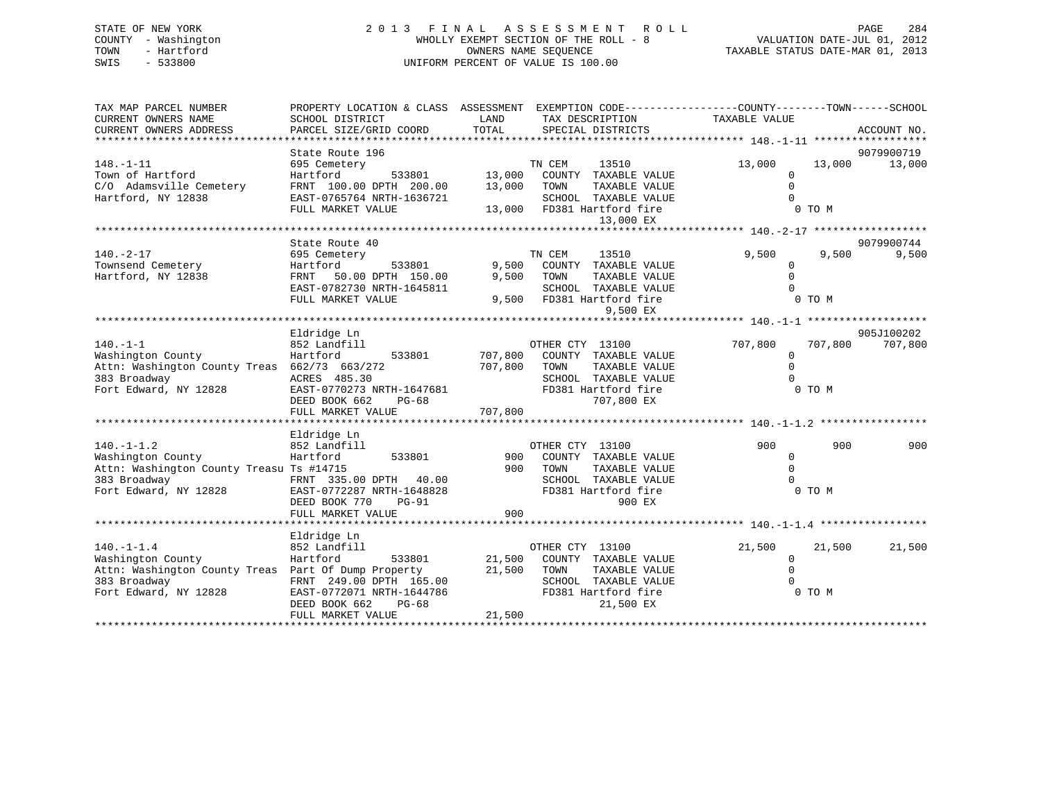# STATE OF NEW YORK 2 0 1 3 F I N A L A S S E S S M E N T R O L L PAGE 284 COUNTY - Washington WHOLLY EXEMPT SECTION OF THE ROLL - 8 VALUATION DATE-JUL 01, 2012 TOWN - Hartford OWNERS NAME SEQUENCE TAXABLE STATUS DATE-MAR 01, 2013 SWIS - 533800 UNIFORM PERCENT OF VALUE IS 100.00

| TAX MAP PARCEL NUMBER<br>CURRENT OWNERS NAME<br>CURRENT OWNERS ADDRESS                                                                | PROPERTY LOCATION & CLASS ASSESSMENT EXEMPTION CODE---------------COUNTY-------TOWN-----SCHOOL<br>SCHOOL DISTRICT<br>PARCEL SIZE/GRID COORD             | LAND<br>TOTAL             | TAX DESCRIPTION<br>SPECIAL DISTRICTS                                                                                         | TAXABLE VALUE                                        | ACCOUNT NO.                    |
|---------------------------------------------------------------------------------------------------------------------------------------|---------------------------------------------------------------------------------------------------------------------------------------------------------|---------------------------|------------------------------------------------------------------------------------------------------------------------------|------------------------------------------------------|--------------------------------|
| $148. - 1 - 11$<br>Town of Hartford<br>C/O Adamsville Cemetery<br>Hartford, NY 12838                                                  | State Route 196<br>695 Cemetery<br>Hartford<br>533801<br>FRNT 100.00 DPTH 200.00<br>EAST-0765764 NRTH-1636721                                           | 13,000<br>13,000          | TN CEM<br>13510<br>COUNTY TAXABLE VALUE<br>TOWN<br>TAXABLE VALUE                                                             | 13,000<br>0<br>$\Omega$<br>$\Omega$                  | 9079900719<br>13,000<br>13,000 |
|                                                                                                                                       | FULL MARKET VALUE                                                                                                                                       |                           | SCHOOL TAXABLE VALUE<br>13,000 FD381 Hartford fire<br>13,000 EX                                                              | 0 TO M                                               |                                |
|                                                                                                                                       |                                                                                                                                                         |                           |                                                                                                                              |                                                      |                                |
| $140. - 2 - 17$<br>Townsend Cemetery                                                                                                  | State Route 40<br>695 Cemetery<br>533801<br>Hartford                                                                                                    | 9,500                     | TN CEM<br>13510<br>COUNTY TAXABLE VALUE                                                                                      | 9,500<br>$\Omega$                                    | 9079900744<br>9,500<br>9,500   |
| Hartford, NY 12838                                                                                                                    | FRNT<br>50.00 DPTH 150.00<br>EAST-0782730 NRTH-1645811<br>FULL MARKET VALUE                                                                             | 9,500                     | TOWN<br>TAXABLE VALUE<br>SCHOOL TAXABLE VALUE<br>9,500 FD381 Hartford fire<br>9,500 EX                                       | $\mathbf 0$<br>$\Omega$                              | 0 TO M                         |
|                                                                                                                                       |                                                                                                                                                         |                           |                                                                                                                              |                                                      |                                |
|                                                                                                                                       | Eldridge Ln                                                                                                                                             |                           |                                                                                                                              |                                                      | 905J100202                     |
| $140. -1 - 1$<br>Washington County<br>Attn: Washington County Treas 662/73 663/272<br>383 Broadway                                    | 852 Landfill<br>Hartford<br>ACRES 485.30                                                                                                                | 533801 707,800<br>707,800 | OTHER CTY 13100<br>COUNTY TAXABLE VALUE<br>TOWN<br>TAXABLE VALUE<br>SCHOOL TAXABLE VALUE                                     | 707,800<br>$\Omega$<br>$\mathbf 0$<br>$\Omega$       | 707,800<br>707,800             |
| Fort Edward, NY 12828                                                                                                                 | EAST-0770273 NRTH-1647681<br>DEED BOOK 662<br>$PG-68$<br>FULL MARKET VALUE                                                                              | 707,800                   | FD381 Hartford fire<br>707,800 EX                                                                                            |                                                      | 0 TO M                         |
|                                                                                                                                       |                                                                                                                                                         |                           |                                                                                                                              |                                                      |                                |
| $140. - 1 - 1.2$<br>Washington County<br>Attn: Washington County Treasu Ts #14715<br>383 Broadway<br>Fort Edward, NY 12828            | Eldridge Ln<br>852 Landfill<br>Hartford<br>533801<br>FRNT 335.00 DPTH 40.00<br>EAST-0772287 NRTH-1648828<br>DEED BOOK 770<br>PG-91<br>FULL MARKET VALUE | 900<br>900<br>900         | OTHER CTY 13100<br>COUNTY TAXABLE VALUE<br>TOWN<br>TAXABLE VALUE<br>SCHOOL TAXABLE VALUE<br>FD381 Hartford fire<br>900 EX    | 900<br>$\mathbf 0$<br>$\Omega$<br>$\Omega$<br>0 TO M | 900<br>900                     |
|                                                                                                                                       |                                                                                                                                                         |                           |                                                                                                                              |                                                      |                                |
| $140. - 1 - 1.4$<br>Washington County<br>Attn: Washington County Treas Part Of Dump Property<br>383 Broadway<br>Fort Edward, NY 12828 | Eldridge Ln<br>852 Landfill<br>533801<br>Hartford<br>FRNT 249.00 DPTH 165.00<br>EAST-0772071 NRTH-1644786<br>DEED BOOK 662<br>$PG-68$                   | 21,500<br>21,500          | OTHER CTY 13100<br>COUNTY TAXABLE VALUE<br>TOWN<br>TAXABLE VALUE<br>SCHOOL TAXABLE VALUE<br>FD381 Hartford fire<br>21,500 EX | 21,500<br>$\mathbf 0$<br>$\mathbf 0$                 | 21,500<br>21,500<br>0 TO M     |
|                                                                                                                                       | FULL MARKET VALUE                                                                                                                                       | 21,500                    |                                                                                                                              |                                                      |                                |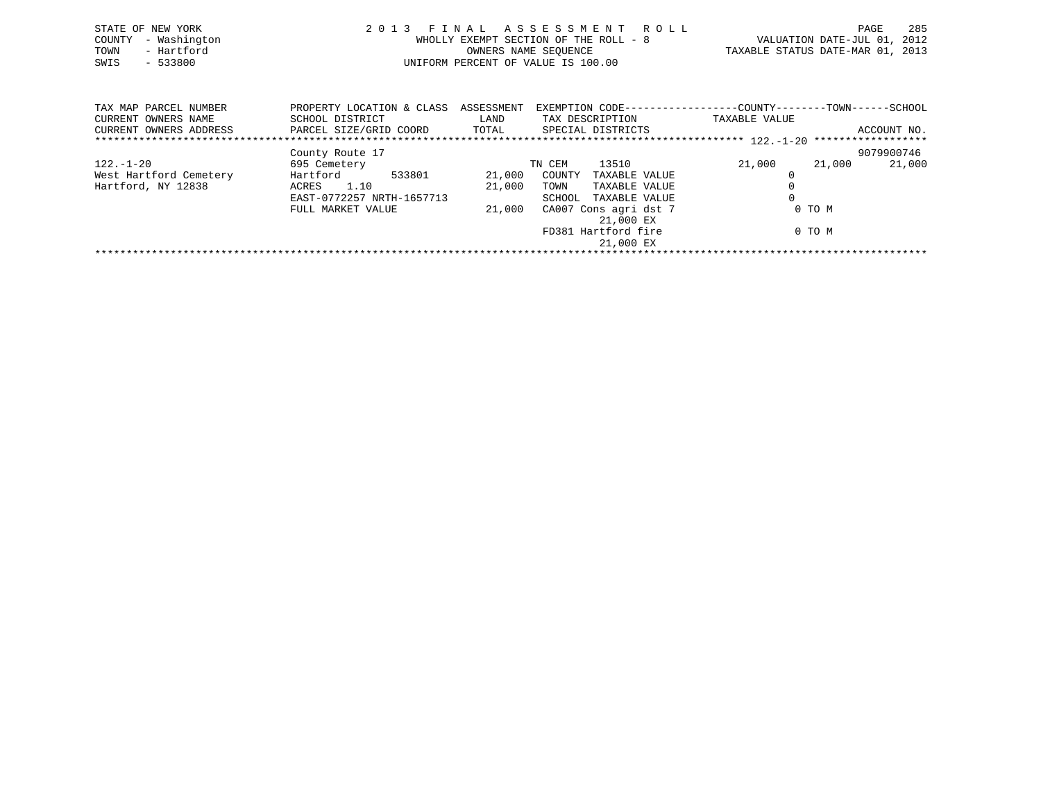| STATE OF NEW YORK<br>- Washington<br>COUNTY<br>- Hartford<br>TOWN<br>SWIS<br>$-533800$ |                                              | WHOLLY EXEMPT SECTION OF THE ROLL - 8<br>OWNERS NAME SEQUENCE<br>UNIFORM PERCENT OF VALUE IS 100.00 |                 | 2013 FINAL ASSESSMENT ROLL | TAXABLE STATUS DATE-MAR 01, 2013                                             | PAGE<br>VALUATION DATE-JUL 01, 2012 | 285         |
|----------------------------------------------------------------------------------------|----------------------------------------------|-----------------------------------------------------------------------------------------------------|-----------------|----------------------------|------------------------------------------------------------------------------|-------------------------------------|-------------|
| TAX MAP PARCEL NUMBER<br>CURRENT OWNERS NAME                                           | PROPERTY LOCATION & CLASS<br>SCHOOL DISTRICT | ASSESSMENT<br>LAND                                                                                  | TAX DESCRIPTION |                            | EXEMPTION CODE----------------COUNTY-------TOWN------SCHOOL<br>TAXABLE VALUE |                                     |             |
| CURRENT OWNERS ADDRESS                                                                 | PARCEL SIZE/GRID COORD                       | TOTAL                                                                                               |                 | SPECIAL DISTRICTS          |                                                                              |                                     | ACCOUNT NO. |
|                                                                                        | County Route 17                              |                                                                                                     |                 |                            |                                                                              |                                     | 9079900746  |
| 122.-1-20                                                                              | 695 Cemetery                                 |                                                                                                     | TN CEM          | 13510                      | 21,000                                                                       | 21,000                              | 21,000      |

\*\*\*\*\*\*\*\*\*\*\*\*\*\*\*\*\*\*\*\*\*\*\*\*\*\*\*\*\*\*\*\*\*\*\*\*\*\*\*\*\*\*\*\*\*\*\*\*\*\*\*\*\*\*\*\*\*\*\*\*\*\*\*\*\*\*\*\*\*\*\*\*\*\*\*\*\*\*\*\*\*\*\*\*\*\*\*\*\*\*\*\*\*\*\*\*\*\*\*\*\*\*\*\*\*\*\*\*\*\*\*\*\*\*\*\*\*\*\*\*\*\*\*\*\*\*\*\*\*\*\*\*

 EAST-0772257 NRTH-1657713 SCHOOL TAXABLE VALUE 0FULL MARKET VALUE  $21,000$  CA007 Cons agri dst 7 0 TO M

21,000 EX

21,000 EX

FD381 Hartford fire 0 TO M

West Hartford Cemetery Hartford 533801 21,000 COUNTY TAXABLE VALUE 0 Hartford, NY 12838 ACRES 1.10 21,000 TOWN TAXABLE VALUE 0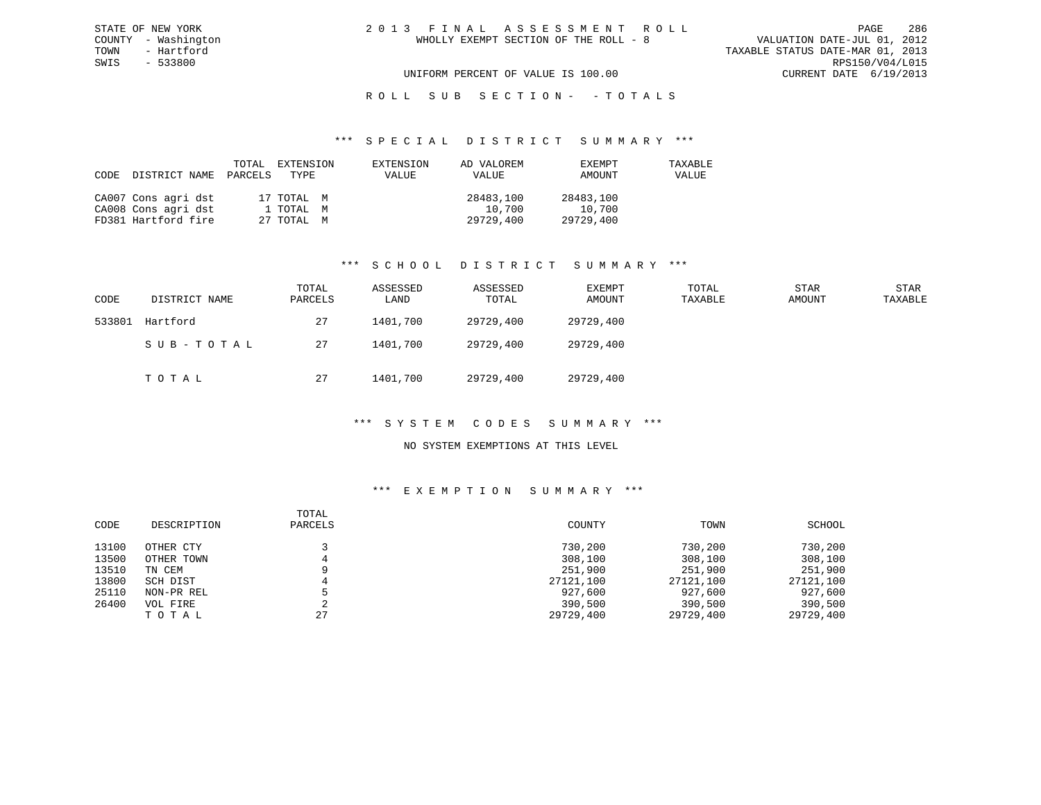# R O L L S U B S E C T I O N - - T O T A L S

#### \*\*\* S P E C I A L D I S T R I C T S U M M A R Y \*\*\*

| CODE | DISTRICT NAME       | PARCELS | TOTAL EXTENSION<br>TYPE | EXTENSION<br>VALUE | AD VALOREM<br>VALUE | EXEMPT<br>AMOUNT | TAXABLE<br>VALUE |
|------|---------------------|---------|-------------------------|--------------------|---------------------|------------------|------------------|
|      | CA007 Cons agri dst |         | 17 TOTAL M              |                    | 28483,100           | 28483,100        |                  |
|      | CA008 Cons agri dst |         | 1 TOTAL M               |                    | 10,700              | 10,700           |                  |
|      | FD381 Hartford fire |         | 27 TOTAL M              |                    | 29729,400           | 29729,400        |                  |

### \*\*\* S C H O O L D I S T R I C T S U M M A R Y \*\*\*

| CODE   | DISTRICT NAME | TOTAL<br>PARCELS | ASSESSED<br>LAND | ASSESSED<br>TOTAL | EXEMPT<br>AMOUNT | TOTAL<br>TAXABLE | <b>STAR</b><br>AMOUNT | <b>STAR</b><br>TAXABLE |
|--------|---------------|------------------|------------------|-------------------|------------------|------------------|-----------------------|------------------------|
| 533801 | Hartford      | 27               | 1401,700         | 29729,400         | 29729,400        |                  |                       |                        |
|        | SUB-TOTAL     | 27               | 1401,700         | 29729,400         | 29729,400        |                  |                       |                        |
|        | TOTAL         | 27               | 1401,700         | 29729,400         | 29729,400        |                  |                       |                        |

### \*\*\* S Y S T E M C O D E S S U M M A R Y \*\*\*

### NO SYSTEM EXEMPTIONS AT THIS LEVEL

### \*\*\* E X E M P T I O N S U M M A R Y \*\*\*

| CODE  | DESCRIPTION | TOTAL<br>PARCELS | COUNTY    | TOWN      | SCHOOL    |
|-------|-------------|------------------|-----------|-----------|-----------|
| 13100 | OTHER CTY   |                  | 730,200   | 730,200   | 730,200   |
| 13500 | OTHER TOWN  |                  | 308,100   | 308,100   | 308,100   |
| 13510 | TN CEM      |                  | 251,900   | 251,900   | 251,900   |
| 13800 | SCH DIST    |                  | 27121,100 | 27121,100 | 27121,100 |
| 25110 | NON-PR REL  |                  | 927,600   | 927,600   | 927,600   |
| 26400 | VOL FIRE    |                  | 390,500   | 390,500   | 390,500   |
|       | TOTAL       | 27               | 29729,400 | 29729,400 | 29729,400 |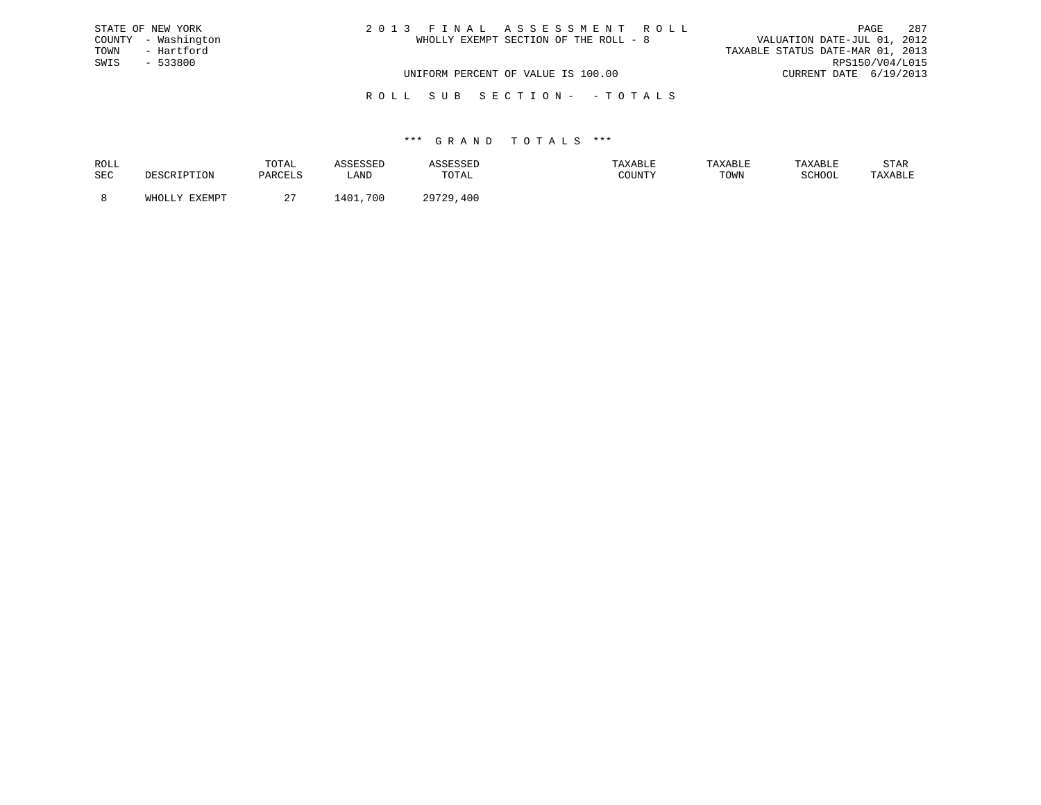| STATE OF NEW YORK   | 2013 FINAL ASSESSMENT ROLL            | 287<br>PAGE                      |
|---------------------|---------------------------------------|----------------------------------|
| COUNTY - Washington | WHOLLY EXEMPT SECTION OF THE ROLL - 8 | VALUATION DATE-JUL 01, 2012      |
| TOWN<br>- Hartford  |                                       | TAXABLE STATUS DATE-MAR 01, 2013 |
| SWIS - 533800       |                                       | RPS150/V04/L015                  |
|                     | UNIFORM PERCENT OF VALUE IS 100.00    | CURRENT DATE 6/19/2013           |
|                     |                                       |                                  |

R O L L S U B S E C T I O N - - T O T A L S

| ROLL       |               | TOTAL    |            |              |        | TAXABLE | TAXABLE           | STAR    |
|------------|---------------|----------|------------|--------------|--------|---------|-------------------|---------|
| <b>SEC</b> |               | DARCFI.S | LAND       | <b>TOTAL</b> | COUNTY | TOWN    | $\alpha$ $\alpha$ | TAXABLE |
|            | <b>TVEMDT</b> | . .      | 700<br>401 | 20720<br>400 |        |         |                   |         |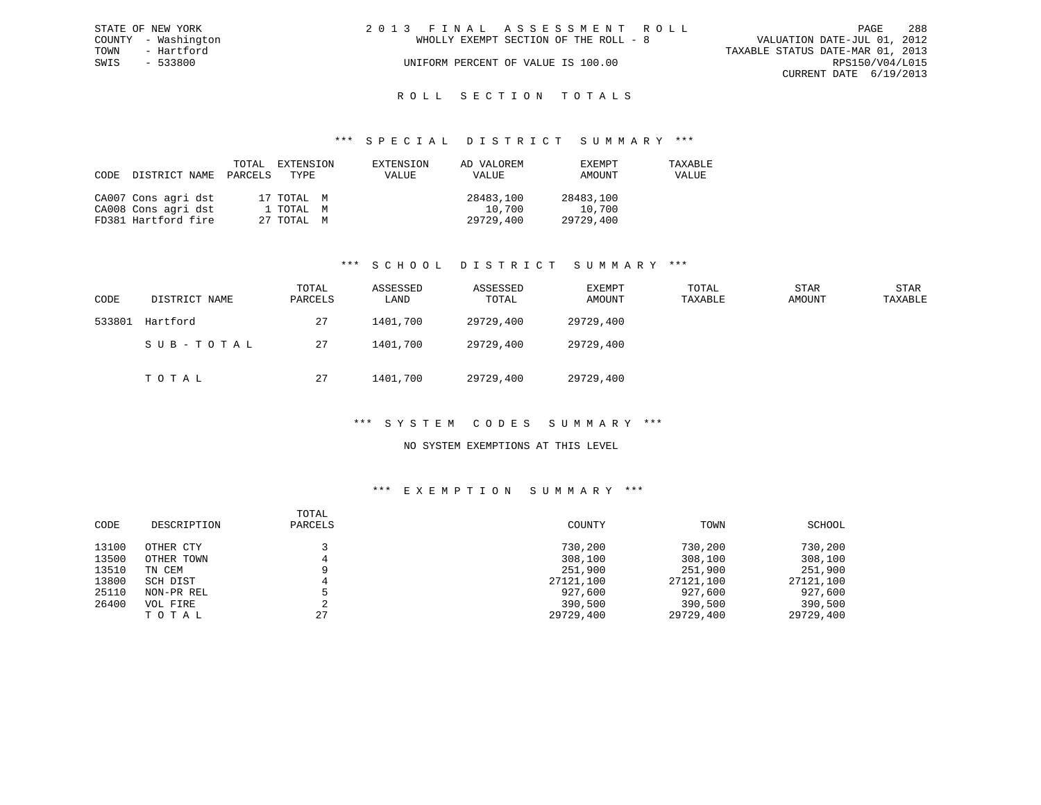| STATE OF NEW YORK   | 2013 FINAL ASSESSMENT ROLL            | 288<br><b>PAGE</b>               |
|---------------------|---------------------------------------|----------------------------------|
| COUNTY - Washington | WHOLLY EXEMPT SECTION OF THE ROLL - 8 | VALUATION DATE-JUL 01, 2012      |
| TOWN<br>- Hartford  |                                       | TAXABLE STATUS DATE-MAR 01, 2013 |
| SWIS<br>$-533800$   | UNIFORM PERCENT OF VALUE IS 100.00    | RPS150/V04/L015                  |
|                     |                                       | CURRENT DATE 6/19/2013           |
|                     |                                       |                                  |

# ROLL SECTION TOTALS

#### \*\*\* S P E C I A L D I S T R I C T S U M M A R Y \*\*\*

| CODE | DISTRICT NAME       | TOTAL<br>PARCELS | EXTENSION<br>TYPE | EXTENSION<br>VALUE | AD VALOREM<br>VALUE | EXEMPT<br>AMOUNT | TAXABLE<br>VALUE |
|------|---------------------|------------------|-------------------|--------------------|---------------------|------------------|------------------|
|      | CA007 Cons agri dst |                  | 17 TOTAL M        |                    | 28483,100           | 28483,100        |                  |
|      | CA008 Cons agri dst |                  | 1 TOTAL M         |                    | 10,700              | 10,700           |                  |
|      | FD381 Hartford fire |                  | 27 TOTAL M        |                    | 29729,400           | 29729,400        |                  |

### \*\*\* S C H O O L D I S T R I C T S U M M A R Y \*\*\*

| CODE   | DISTRICT NAME | TOTAL<br>PARCELS | ASSESSED<br>LAND | ASSESSED<br>TOTAL | EXEMPT<br>AMOUNT | TOTAL<br>TAXABLE | <b>STAR</b><br>AMOUNT | STAR<br>TAXABLE |
|--------|---------------|------------------|------------------|-------------------|------------------|------------------|-----------------------|-----------------|
| 533801 | Hartford      | 27               | 1401,700         | 29729,400         | 29729,400        |                  |                       |                 |
|        | SUB-TOTAL     | 27               | 1401,700         | 29729,400         | 29729,400        |                  |                       |                 |
|        | TOTAL         | 27               | 1401,700         | 29729,400         | 29729,400        |                  |                       |                 |

### \*\*\* S Y S T E M C O D E S S U M M A R Y \*\*\*

### NO SYSTEM EXEMPTIONS AT THIS LEVEL

### \*\*\* E X E M P T I O N S U M M A R Y \*\*\*

| CODE  | DESCRIPTION | TOTAL<br>PARCELS | COUNTY    | TOWN      | SCHOOL    |
|-------|-------------|------------------|-----------|-----------|-----------|
| 13100 | OTHER CTY   |                  | 730,200   | 730,200   | 730,200   |
| 13500 | OTHER TOWN  |                  | 308,100   | 308,100   | 308,100   |
| 13510 | TN CEM      |                  | 251,900   | 251,900   | 251,900   |
| 13800 | SCH DIST    |                  | 27121,100 | 27121,100 | 27121,100 |
| 25110 | NON-PR REL  |                  | 927,600   | 927,600   | 927,600   |
| 26400 | VOL FIRE    |                  | 390,500   | 390,500   | 390,500   |
|       | TOTAL       | 27               | 29729,400 | 29729,400 | 29729,400 |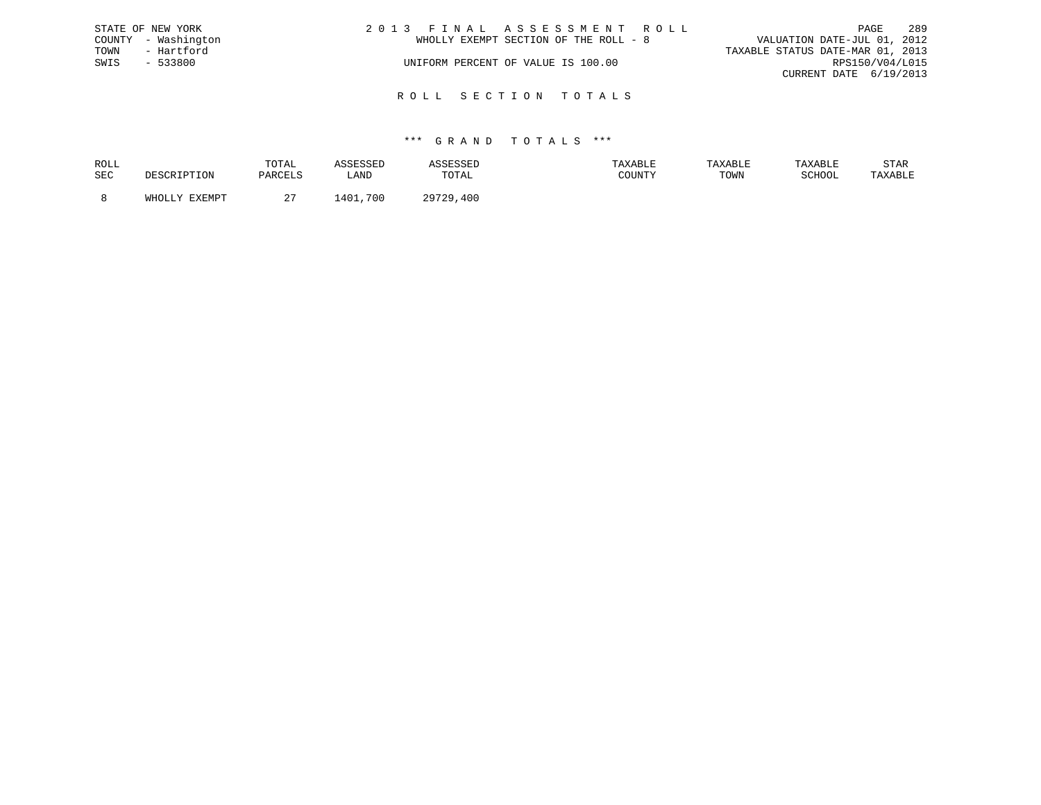| STATE OF NEW YORK   |            | 2013 FINAL ASSESSMENT ROLL            | 289<br>PAGE                      |
|---------------------|------------|---------------------------------------|----------------------------------|
| COUNTY - Washington |            | WHOLLY EXEMPT SECTION OF THE ROLL - 8 | VALUATION DATE-JUL 01, 2012      |
| TOWN                | - Hartford |                                       | TAXABLE STATUS DATE-MAR 01, 2013 |
| SWIS                | - 533800   | UNIFORM PERCENT OF VALUE IS 100.00    | RPS150/V04/L015                  |
|                     |            |                                       | CURRENT DATE 6/19/2013           |
|                     |            |                                       |                                  |

R O L L S E C T I O N T O T A L S

### \*\*\* G R A N D T O T A L S \*\*\*

| ROLL |        | TOTAL   | <i><b>\SSESSED</b></i> | חתכפה         | TAXABLE | TAXABLE | TAXABLE | STAR    |
|------|--------|---------|------------------------|---------------|---------|---------|---------|---------|
| SEC  |        | PARCELS | LAND                   | TOTAL         | COUNTY  | TOWN    | SCHOOL  | TAXABLE |
|      | FYFMDT |         | 401<br>,700            | 20720<br>,400 |         |         |         |         |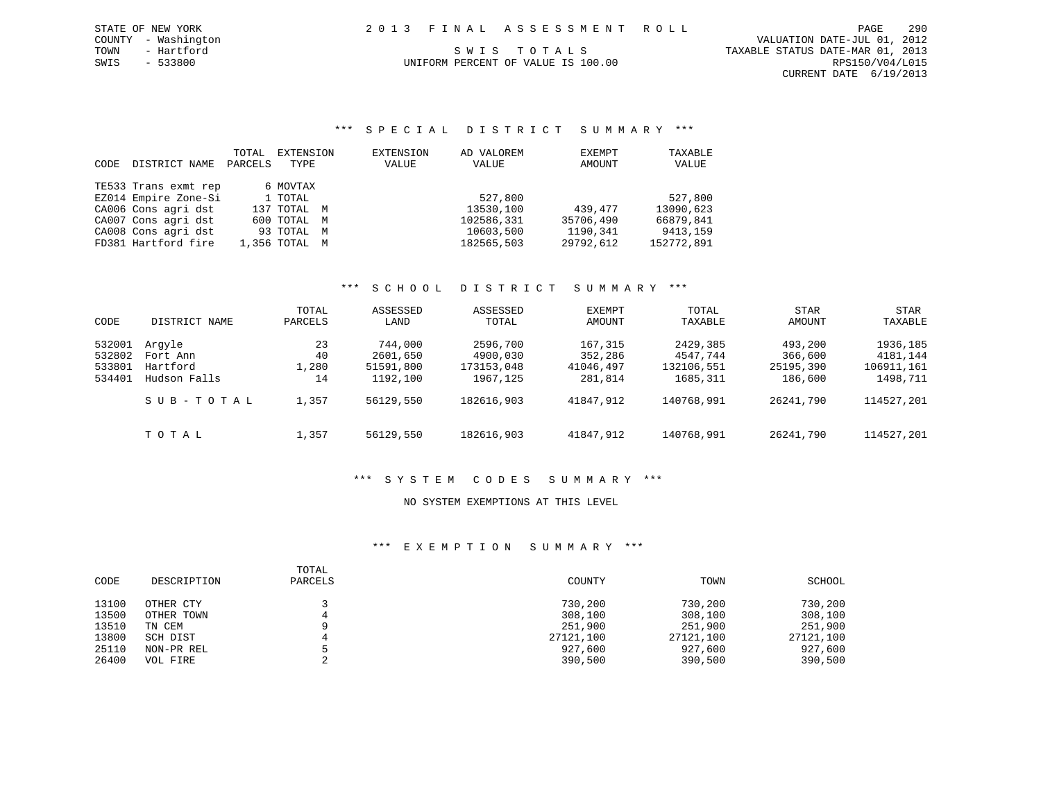COUNTY - Washington VALUATION DATE-JUL 01, 2012 CURRENT DATE 6/19/2013

# TOWN - Hartford S W I S T O T A L S TO T A L S TAXABLE STATUS DATE-MAR 01, 2013

SWIS - 533800 UNIFORM PERCENT OF VALUE IS 100.00 RPS150/V04/L015

# \*\*\* S P E C I A L D I S T R I C T S U M M A R Y \*\*\*

|      |                      | TOTAL   | EXTENSION     | EXTENSION | AD VALOREM | EXEMPT    | TAXABLE    |
|------|----------------------|---------|---------------|-----------|------------|-----------|------------|
| CODE | DISTRICT NAME        | PARCELS | TYPE          | VALUE     | VALUE      | AMOUNT    | VALUE      |
|      |                      |         |               |           |            |           |            |
|      | TE533 Trans exmt rep |         | 6 MOVTAX      |           |            |           |            |
|      | EZ014 Empire Zone-Si |         | 1 TOTAL       |           | 527,800    |           | 527,800    |
|      | CA006 Cons agri dst  |         | 137 TOTAL M   |           | 13530,100  | 439,477   | 13090,623  |
|      | CA007 Cons agri dst  |         | 600 TOTAL M   |           | 102586,331 | 35706,490 | 66879,841  |
|      | CA008 Cons agri dst  |         | 93 TOTAL M    |           | 10603,500  | 1190,341  | 9413,159   |
|      | FD381 Hartford fire  |         | 1,356 TOTAL M |           | 182565,503 | 29792,612 | 152772,891 |

### \*\*\* S C H O O L D I S T R I C T S U M M A R Y \*\*\*

| CODE                                 | DISTRICT NAME                                  | TOTAL<br>PARCELS        | ASSESSED<br>LAND                             | ASSESSED<br>TOTAL                              | EXEMPT<br>AMOUNT                           | TOTAL<br>TAXABLE                               | STAR<br>AMOUNT                             | STAR<br>TAXABLE                                |
|--------------------------------------|------------------------------------------------|-------------------------|----------------------------------------------|------------------------------------------------|--------------------------------------------|------------------------------------------------|--------------------------------------------|------------------------------------------------|
| 532001<br>532802<br>533801<br>534401 | Arqyle<br>Fort Ann<br>Hartford<br>Hudson Falls | 23<br>40<br>1,280<br>14 | 744,000<br>2601,650<br>51591,800<br>1192,100 | 2596,700<br>4900,030<br>173153,048<br>1967,125 | 167,315<br>352,286<br>41046,497<br>281,814 | 2429,385<br>4547.744<br>132106,551<br>1685,311 | 493,200<br>366,600<br>25195,390<br>186,600 | 1936,185<br>4181,144<br>106911,161<br>1498,711 |
|                                      | SUB-TOTAL                                      | 1,357                   | 56129,550                                    | 182616,903                                     | 41847,912                                  | 140768,991                                     | 26241,790                                  | 114527,201                                     |
|                                      | TOTAL                                          | 1,357                   | 56129,550                                    | 182616,903                                     | 41847,912                                  | 140768,991                                     | 26241,790                                  | 114527,201                                     |

# \*\*\* S Y S T E M C O D E S S U M M A R Y \*\*\*

### NO SYSTEM EXEMPTIONS AT THIS LEVEL

| CODE  | DESCRIPTION | TOTAL<br>PARCELS | COUNTY    | TOWN      | SCHOOL    |
|-------|-------------|------------------|-----------|-----------|-----------|
| 13100 | OTHER CTY   |                  | 730,200   | 730,200   | 730,200   |
| 13500 | OTHER TOWN  |                  | 308,100   | 308,100   | 308,100   |
| 13510 | TN CEM      |                  | 251,900   | 251,900   | 251,900   |
| 13800 | SCH DIST    |                  | 27121,100 | 27121,100 | 27121,100 |
| 25110 | NON-PR REL  |                  | 927,600   | 927,600   | 927,600   |
| 26400 | VOL FIRE    |                  | 390,500   | 390,500   | 390,500   |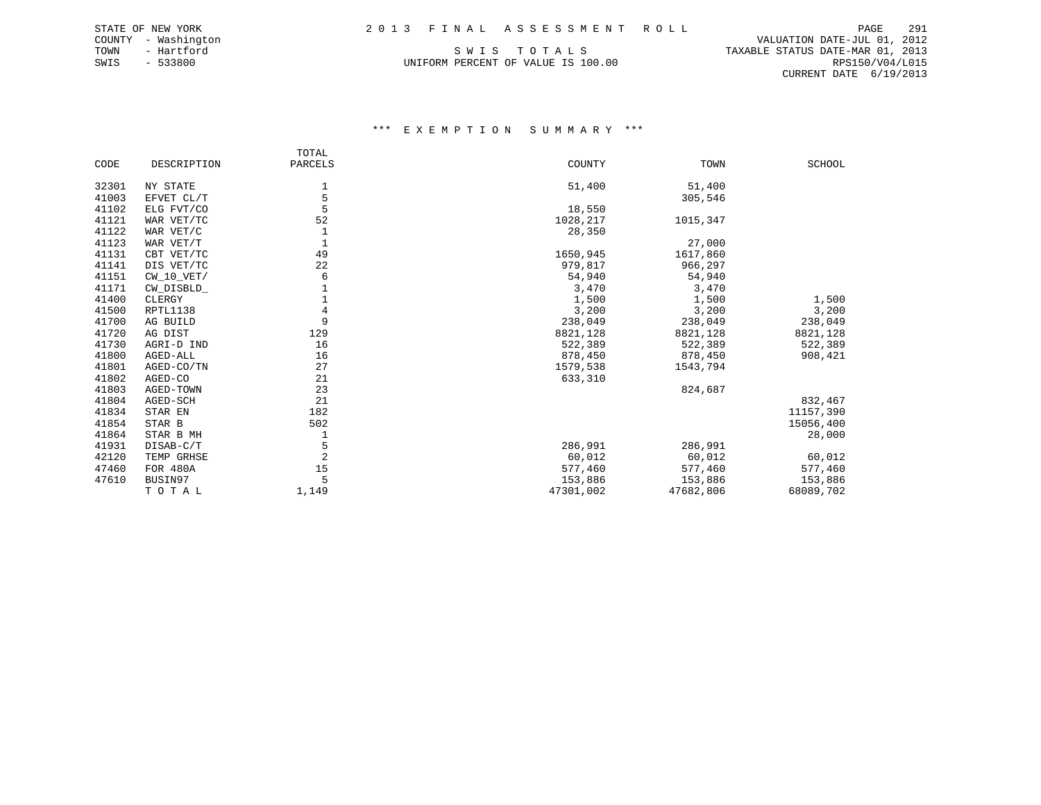SWIS - 533800 UNIFORM PERCENT OF VALUE IS 100.00 RPS150/V04/L015

 COUNTY - Washington VALUATION DATE-JUL 01, 2012 TOWN - Hartford SWIS TO TALS TO THE STATUS DATE-MAR 01, 2013 CURRENT DATE 6/19/2013

|       |              | TOTAL          |           |           |               |
|-------|--------------|----------------|-----------|-----------|---------------|
| CODE  | DESCRIPTION  | PARCELS        | COUNTY    | TOWN      | <b>SCHOOL</b> |
| 32301 | NY STATE     | 1              | 51,400    | 51,400    |               |
| 41003 | EFVET CL/T   | 5              |           | 305,546   |               |
| 41102 | ELG FVT/CO   | 5              | 18,550    |           |               |
| 41121 | WAR VET/TC   | 52             | 1028,217  | 1015,347  |               |
| 41122 | WAR VET/C    |                | 28,350    |           |               |
| 41123 | WAR VET/T    | 1              |           | 27,000    |               |
| 41131 | CBT VET/TC   | 49             | 1650,945  | 1617,860  |               |
| 41141 | DIS VET/TC   | 22             | 979,817   | 966,297   |               |
| 41151 | $CW_10_VET/$ | 6              | 54,940    | 54,940    |               |
| 41171 | CW_DISBLD_   |                | 3,470     | 3,470     |               |
| 41400 | CLERGY       |                | 1,500     | 1,500     | 1,500         |
| 41500 | RPTL1138     | 4              | 3,200     | 3,200     | 3,200         |
| 41700 | AG BUILD     | 9              | 238,049   | 238,049   | 238,049       |
| 41720 | AG DIST      | 129            | 8821,128  | 8821,128  | 8821,128      |
| 41730 | AGRI-D IND   | 16             | 522,389   | 522,389   | 522,389       |
| 41800 | AGED-ALL     | 16             | 878,450   | 878,450   | 908,421       |
| 41801 | AGED-CO/TN   | 27             | 1579,538  | 1543,794  |               |
| 41802 | AGED-CO      | 21             | 633,310   |           |               |
| 41803 | AGED-TOWN    | 23             |           | 824,687   |               |
| 41804 | AGED-SCH     | 21             |           |           | 832,467       |
| 41834 | STAR EN      | 182            |           |           | 11157,390     |
| 41854 | STAR B       | 502            |           |           | 15056,400     |
| 41864 | STAR B MH    | 1              |           |           | 28,000        |
| 41931 | DISAB-C/T    | 5              | 286,991   | 286,991   |               |
| 42120 | TEMP GRHSE   | $\overline{a}$ | 60,012    | 60,012    | 60,012        |
| 47460 | FOR 480A     | 15             | 577,460   | 577,460   | 577,460       |
| 47610 | BUSIN97      | 5              | 153,886   | 153,886   | 153,886       |
|       | TOTAL        | 1,149          | 47301,002 | 47682,806 | 68089,702     |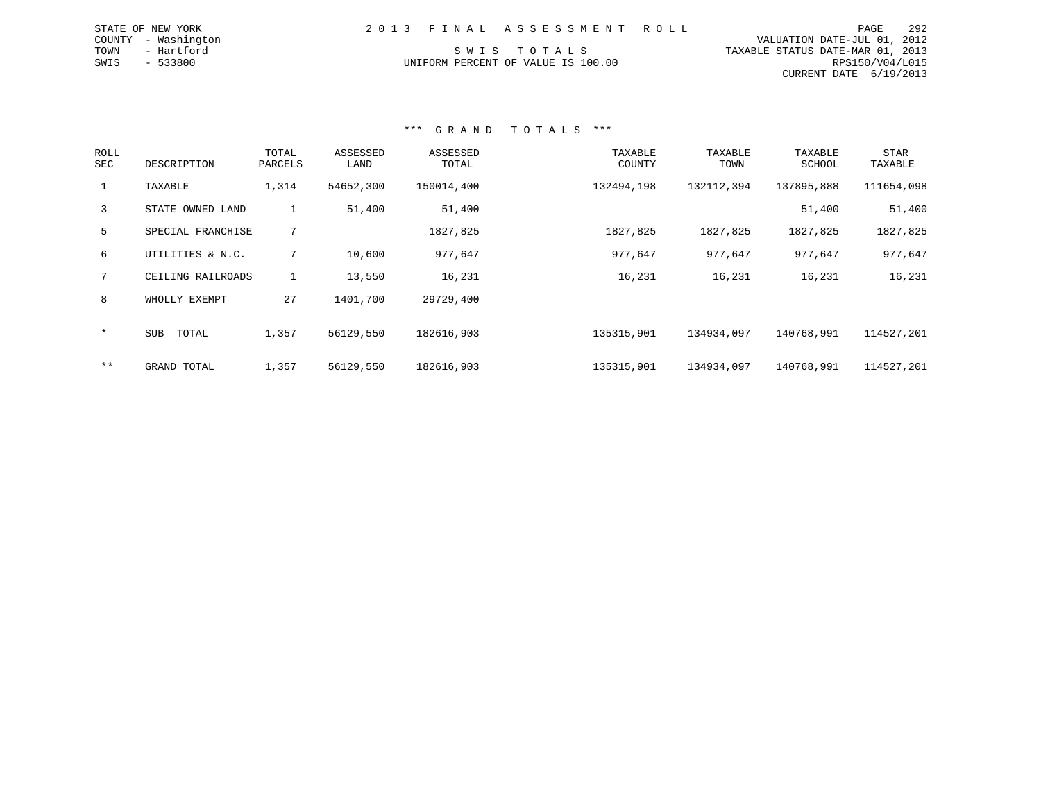| STATE OF NEW YORK      |  | 2013 FINAL ASSESSMENT ROLL | PAGE                        | 292 |
|------------------------|--|----------------------------|-----------------------------|-----|
| COUNTY<br>- Washington |  |                            | VALUATION DATE-JUL 01, 2012 |     |

TOWN - Hartford S W I S T O T A L S TAXABLE STATUS DATE-MAR 01, 2013 UNIFORM PERCENT OF VALUE IS 100.00 RPS150/V04/L015 CURRENT DATE 6/19/2013

## \*\*\* G R A N D T O T A L S \*\*\*

| <b>ROLL</b><br>SEC | DESCRIPTION       | TOTAL<br>PARCELS | ASSESSED<br>LAND | ASSESSED<br>TOTAL | TAXABLE<br>COUNTY | TAXABLE<br>TOWN | TAXABLE<br>SCHOOL | <b>STAR</b><br>TAXABLE |
|--------------------|-------------------|------------------|------------------|-------------------|-------------------|-----------------|-------------------|------------------------|
| $\mathbf{1}$       | TAXABLE           | 1,314            | 54652,300        | 150014,400        | 132494,198        | 132112,394      | 137895,888        | 111654,098             |
| 3                  | STATE OWNED LAND  | $\mathbf{1}$     | 51,400           | 51,400            |                   |                 | 51,400            | 51,400                 |
| 5                  | SPECIAL FRANCHISE | 7                |                  | 1827,825          | 1827,825          | 1827,825        | 1827,825          | 1827,825               |
| 6                  | UTILITIES & N.C.  | 7                | 10,600           | 977,647           | 977,647           | 977,647         | 977,647           | 977,647                |
|                    | CEILING RAILROADS | $\mathbf{1}$     | 13,550           | 16,231            | 16,231            | 16,231          | 16,231            | 16,231                 |
| 8                  | WHOLLY EXEMPT     | 27               | 1401,700         | 29729,400         |                   |                 |                   |                        |
| $\star$            | SUB<br>TOTAL      | 1,357            | 56129,550        | 182616,903        | 135315,901        | 134934,097      | 140768,991        | 114527,201             |
| $***$              | GRAND TOTAL       | 1,357            | 56129,550        | 182616,903        | 135315,901        | 134934,097      | 140768,991        | 114527,201             |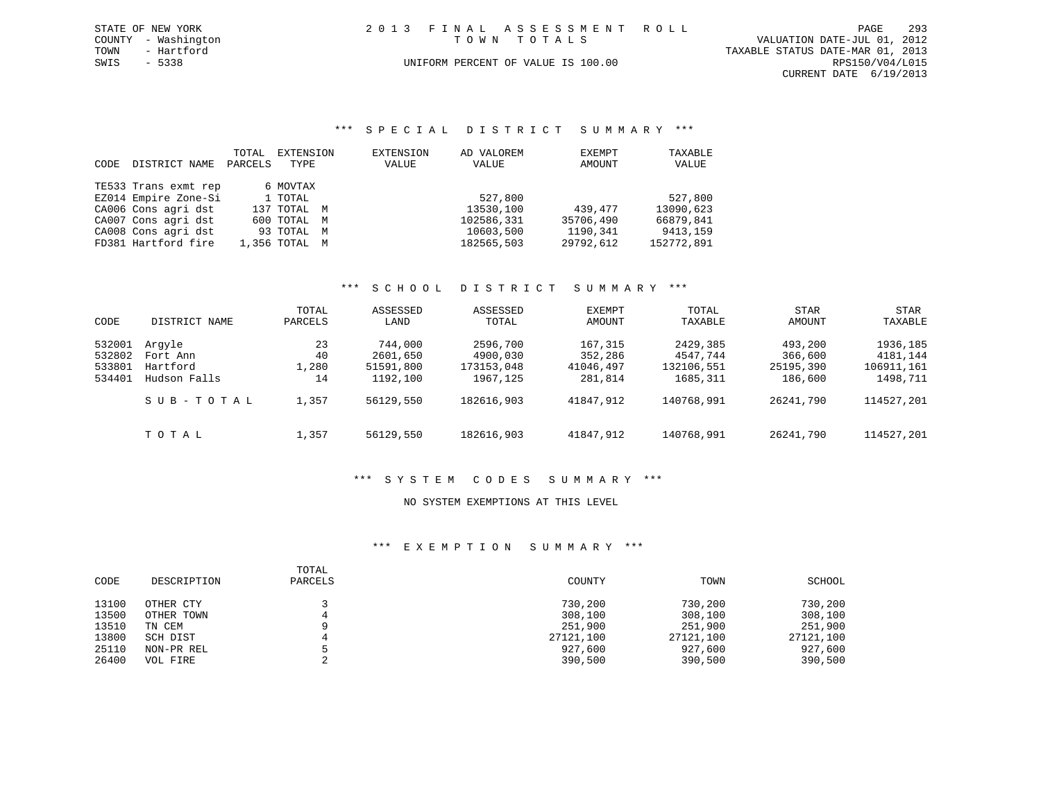|      | STATE OF NEW YORK   | 2013 FINAL ASSESSMENT ROLL         | 293<br>PAGE                      |
|------|---------------------|------------------------------------|----------------------------------|
|      | COUNTY - Washington | TOWN TOTALS                        | VALUATION DATE-JUL 01, 2012      |
| TOWN | - Hartford          |                                    | TAXABLE STATUS DATE-MAR 01, 2013 |
| SWIS | $-5338$             | UNIFORM PERCENT OF VALUE IS 100.00 | RPS150/V04/L015                  |
|      |                     |                                    | CURRENT DATE 6/19/2013           |

### \*\*\* S P E C I A L D I S T R I C T S U M M A R Y \*\*\*

| CODE | DISTRICT NAME        | TOTAL<br>PARCELS | EXTENSION<br>TYPE | EXTENSION<br>VALUE | AD VALOREM<br>VALUE | EXEMPT<br>AMOUNT | TAXABLE<br>VALUE |
|------|----------------------|------------------|-------------------|--------------------|---------------------|------------------|------------------|
|      | TE533 Trans exmt rep |                  | 6 MOVTAX          |                    |                     |                  |                  |
|      | EZ014 Empire Zone-Si |                  | 1 TOTAL           |                    | 527,800             |                  | 527,800          |
|      | CA006 Cons agri dst  |                  | 137 TOTAL M       |                    | 13530,100           | 439,477          | 13090,623        |
|      | CA007 Cons agri dst  |                  | 600 TOTAL M       |                    | 102586,331          | 35706,490        | 66879,841        |
|      | CA008 Cons agri dst  |                  | 93 TOTAL M        |                    | 10603,500           | 1190,341         | 9413,159         |
|      | FD381 Hartford fire  |                  | 1,356 TOTAL M     |                    | 182565,503          | 29792,612        | 152772,891       |

### \*\*\* S C H O O L D I S T R I C T S U M M A R Y \*\*\*

|        |               | TOTAL   | ASSESSED  | ASSESSED   | EXEMPT    | TOTAL      | <b>STAR</b> | <b>STAR</b> |
|--------|---------------|---------|-----------|------------|-----------|------------|-------------|-------------|
| CODE   | DISTRICT NAME | PARCELS | LAND      | TOTAL      | AMOUNT    | TAXABLE    | AMOUNT      | TAXABLE     |
| 532001 | Arqyle        | 23      | 744,000   | 2596,700   | 167,315   | 2429,385   | 493,200     | 1936,185    |
| 532802 | Fort Ann      | 40      | 2601,650  | 4900,030   | 352,286   | 4547.744   | 366,600     | 4181,144    |
| 533801 | Hartford      | 1,280   | 51591,800 | 173153,048 | 41046,497 | 132106,551 | 25195,390   | 106911,161  |
| 534401 | Hudson Falls  | 14      | 1192,100  | 1967,125   | 281,814   | 1685,311   | 186,600     | 1498,711    |
|        | SUB-TOTAL     | 1,357   | 56129,550 | 182616,903 | 41847,912 | 140768,991 | 26241,790   | 114527,201  |
|        | TOTAL         | 1,357   | 56129,550 | 182616,903 | 41847,912 | 140768,991 | 26241,790   | 114527,201  |

# \*\*\* S Y S T E M C O D E S S U M M A R Y \*\*\*

### NO SYSTEM EXEMPTIONS AT THIS LEVEL

| CODE  | DESCRIPTION | TOTAL<br>PARCELS | COUNTY    | TOWN      | SCHOOL    |
|-------|-------------|------------------|-----------|-----------|-----------|
| 13100 | OTHER CTY   |                  | 730,200   | 730,200   | 730,200   |
| 13500 | OTHER TOWN  |                  | 308,100   | 308,100   | 308,100   |
| 13510 | TN CEM      |                  | 251,900   | 251,900   | 251,900   |
| 13800 | SCH DIST    |                  | 27121,100 | 27121,100 | 27121,100 |
| 25110 | NON-PR REL  |                  | 927,600   | 927,600   | 927,600   |
| 26400 | VOL FIRE    |                  | 390,500   | 390,500   | 390,500   |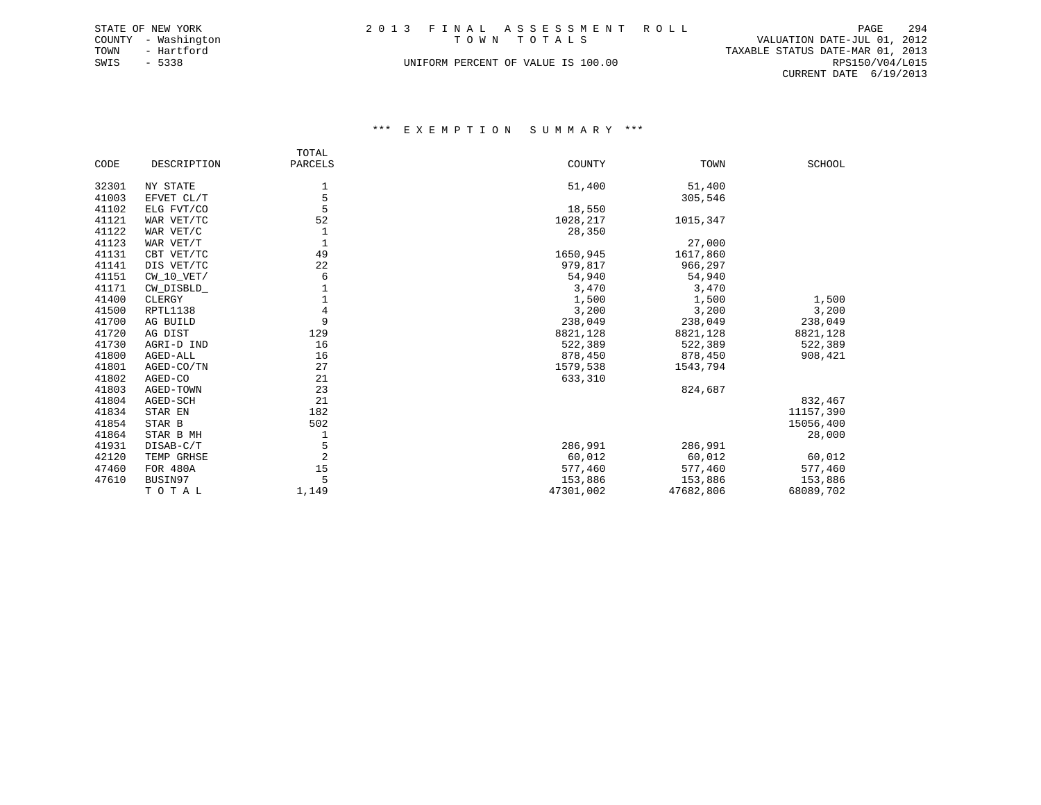|      | STATE OF NEW YORK   | 2013 FINAL ASSESSMENT ROLL |                                    |  |                                  | PAGE            | 294 |
|------|---------------------|----------------------------|------------------------------------|--|----------------------------------|-----------------|-----|
|      | COUNTY - Washington |                            | TOWN TOTALS                        |  | VALUATION DATE-JUL 01, 2012      |                 |     |
| TOWN | - Hartford          |                            |                                    |  | TAXABLE STATUS DATE-MAR 01, 2013 |                 |     |
| SWIS | $-5338$             |                            | UNIFORM PERCENT OF VALUE IS 100.00 |  |                                  | RPS150/V04/L015 |     |
|      |                     |                            |                                    |  | CURRENT DATE $6/19/2013$         |                 |     |

|       |              | TOTAL   |           |           |               |
|-------|--------------|---------|-----------|-----------|---------------|
| CODE  | DESCRIPTION  | PARCELS | COUNTY    | TOWN      | <b>SCHOOL</b> |
| 32301 | NY STATE     | 1       | 51,400    | 51,400    |               |
| 41003 | EFVET CL/T   | 5       |           | 305,546   |               |
| 41102 | ELG FVT/CO   | 5       | 18,550    |           |               |
| 41121 | WAR VET/TC   | 52      | 1028,217  | 1015,347  |               |
| 41122 | WAR VET/C    | 1       | 28,350    |           |               |
| 41123 | WAR VET/T    | 1       |           | 27,000    |               |
| 41131 | CBT VET/TC   | 49      | 1650,945  | 1617,860  |               |
| 41141 | DIS VET/TC   | 22      | 979,817   | 966,297   |               |
| 41151 | $CW_10_VET/$ | 6       | 54,940    | 54,940    |               |
| 41171 | CW DISBLD    | 1       | 3,470     | 3,470     |               |
| 41400 | CLERGY       |         | 1,500     | 1,500     | 1,500         |
| 41500 | RPTL1138     | 4       | 3,200     | 3,200     | 3,200         |
| 41700 | AG BUILD     | 9       | 238,049   | 238,049   | 238,049       |
| 41720 | AG DIST      | 129     | 8821,128  | 8821,128  | 8821,128      |
| 41730 | AGRI-D IND   | 16      | 522,389   | 522,389   | 522,389       |
| 41800 | AGED-ALL     | 16      | 878,450   | 878,450   | 908,421       |
| 41801 | AGED-CO/TN   | 27      | 1579,538  | 1543,794  |               |
| 41802 | AGED-CO      | 21      | 633,310   |           |               |
| 41803 | AGED-TOWN    | 23      |           | 824,687   |               |
| 41804 | AGED-SCH     | 21      |           |           | 832,467       |
| 41834 | STAR EN      | 182     |           |           | 11157,390     |
| 41854 | STAR B       | 502     |           |           | 15056,400     |
| 41864 | STAR B MH    | 1       |           |           | 28,000        |
| 41931 | DISAB-C/T    | 5       | 286,991   | 286,991   |               |
| 42120 | TEMP GRHSE   | 2       | 60,012    | 60,012    | 60,012        |
| 47460 | FOR 480A     | 15      | 577,460   | 577,460   | 577,460       |
| 47610 | BUSIN97      | 5       | 153,886   | 153,886   | 153,886       |
|       | TOTAL        | 1,149   | 47301,002 | 47682,806 | 68089,702     |